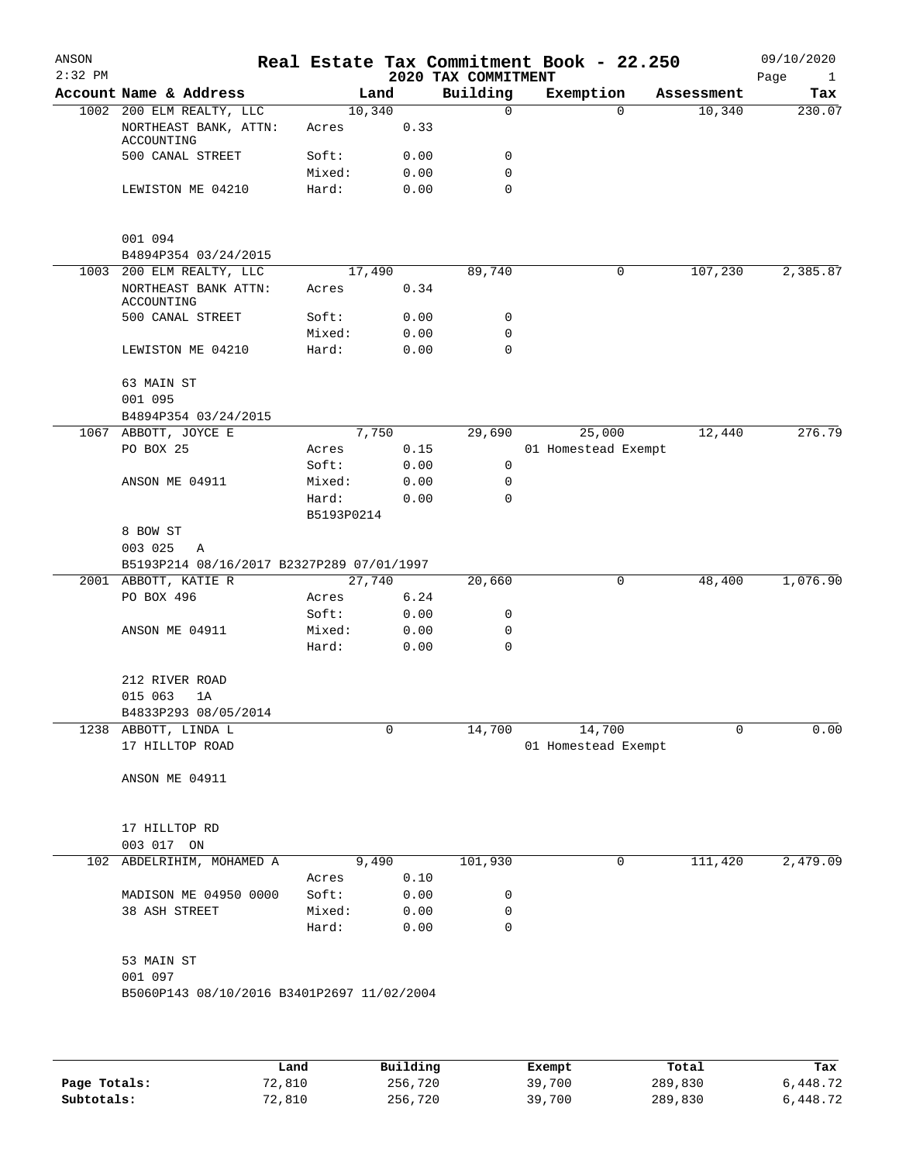| ANSON        |                                            |                 |              |                                 | Real Estate Tax Commitment Book - 22.250 |            | 09/10/2020                  |
|--------------|--------------------------------------------|-----------------|--------------|---------------------------------|------------------------------------------|------------|-----------------------------|
| $2:32$ PM    | Account Name & Address                     | Land            |              | 2020 TAX COMMITMENT<br>Building | Exemption                                | Assessment | Page<br>$\mathbf{1}$<br>Tax |
|              | 1002 200 ELM REALTY, LLC                   | 10,340          |              | 0                               | $\Omega$                                 | 10,340     | 230.07                      |
|              | NORTHEAST BANK, ATTN:<br>ACCOUNTING        | Acres           | 0.33         |                                 |                                          |            |                             |
|              | 500 CANAL STREET                           | Soft:           | 0.00         | 0                               |                                          |            |                             |
|              |                                            | Mixed:          | 0.00         | 0                               |                                          |            |                             |
|              | LEWISTON ME 04210                          | Hard:           | 0.00         | $\mathbf 0$                     |                                          |            |                             |
|              | 001 094                                    |                 |              |                                 |                                          |            |                             |
|              | B4894P354 03/24/2015                       |                 |              |                                 |                                          |            |                             |
|              | 1003 200 ELM REALTY, LLC                   | 17,490          |              | 89,740                          | 0                                        | 107,230    | 2,385.87                    |
|              | NORTHEAST BANK ATTN:<br>ACCOUNTING         | Acres           | 0.34         |                                 |                                          |            |                             |
|              | 500 CANAL STREET                           | Soft:           | 0.00         | 0                               |                                          |            |                             |
|              |                                            | Mixed:          | 0.00         | 0                               |                                          |            |                             |
|              | LEWISTON ME 04210                          | Hard:           | 0.00         | 0                               |                                          |            |                             |
|              | 63 MAIN ST                                 |                 |              |                                 |                                          |            |                             |
|              | 001 095                                    |                 |              |                                 |                                          |            |                             |
|              | B4894P354 03/24/2015                       | 7,750           |              |                                 |                                          | 12,440     | 276.79                      |
|              | 1067 ABBOTT, JOYCE E                       |                 |              | 29,690                          | 25,000                                   |            |                             |
|              | PO BOX 25                                  | Acres           | 0.15         |                                 | 01 Homestead Exempt                      |            |                             |
|              |                                            | Soft:           | 0.00         | 0                               |                                          |            |                             |
|              | ANSON ME 04911                             | Mixed:          | 0.00         | $\mathbf 0$                     |                                          |            |                             |
|              |                                            | Hard:           | 0.00         | $\mathbf 0$                     |                                          |            |                             |
|              |                                            | B5193P0214      |              |                                 |                                          |            |                             |
|              | 8 BOW ST                                   |                 |              |                                 |                                          |            |                             |
|              | 003 025<br>Α                               |                 |              |                                 |                                          |            |                             |
|              | B5193P214 08/16/2017 B2327P289 07/01/1997  |                 |              |                                 |                                          |            |                             |
|              | 2001 ABBOTT, KATIE R                       | 27,740          |              | 20,660                          | 0                                        | 48,400     | 1,076.90                    |
|              | PO BOX 496                                 | Acres           | 6.24         |                                 |                                          |            |                             |
|              |                                            | Soft:           | 0.00         | 0                               |                                          |            |                             |
|              | ANSON ME 04911                             | Mixed:          | 0.00         | 0                               |                                          |            |                             |
|              |                                            | Hard:           | 0.00         | $\mathbf 0$                     |                                          |            |                             |
|              | 212 RIVER ROAD                             |                 |              |                                 |                                          |            |                             |
|              | 015 063<br>1A                              |                 |              |                                 |                                          |            |                             |
|              | B4833P293 08/05/2014                       |                 |              |                                 |                                          |            |                             |
|              | 1238 ABBOTT, LINDA L                       |                 | 0            | 14,700                          | 14,700                                   | 0          | 0.00                        |
|              | 17 HILLTOP ROAD                            |                 |              |                                 | 01 Homestead Exempt                      |            |                             |
|              | ANSON ME 04911                             |                 |              |                                 |                                          |            |                             |
|              | 17 HILLTOP RD                              |                 |              |                                 |                                          |            |                             |
|              | 003 017 ON                                 |                 |              |                                 |                                          |            |                             |
| 102          | ABDELRIHIM, MOHAMED A                      | 9,490           |              | 101,930                         | 0                                        | 111,420    | 2,479.09                    |
|              |                                            |                 |              |                                 |                                          |            |                             |
|              | MADISON ME 04950 0000                      | Acres<br>Soft:  | 0.10<br>0.00 |                                 |                                          |            |                             |
|              |                                            |                 |              | 0                               |                                          |            |                             |
|              | 38 ASH STREET                              | Mixed:<br>Hard: | 0.00<br>0.00 | 0<br>0                          |                                          |            |                             |
|              |                                            |                 |              |                                 |                                          |            |                             |
|              | 53 MAIN ST                                 |                 |              |                                 |                                          |            |                             |
|              | 001 097                                    |                 |              |                                 |                                          |            |                             |
|              | B5060P143 08/10/2016 B3401P2697 11/02/2004 |                 |              |                                 |                                          |            |                             |
|              |                                            |                 |              |                                 |                                          |            |                             |
|              |                                            | Land            | Building     |                                 | Exempt                                   | Total      | Tax                         |
| Page Totals: | 72,810                                     |                 | 256,720      |                                 | 39,700                                   | 289,830    | 6,448.72                    |

**Subtotals:** 72,810 256,720 39,700 289,830 6,448.72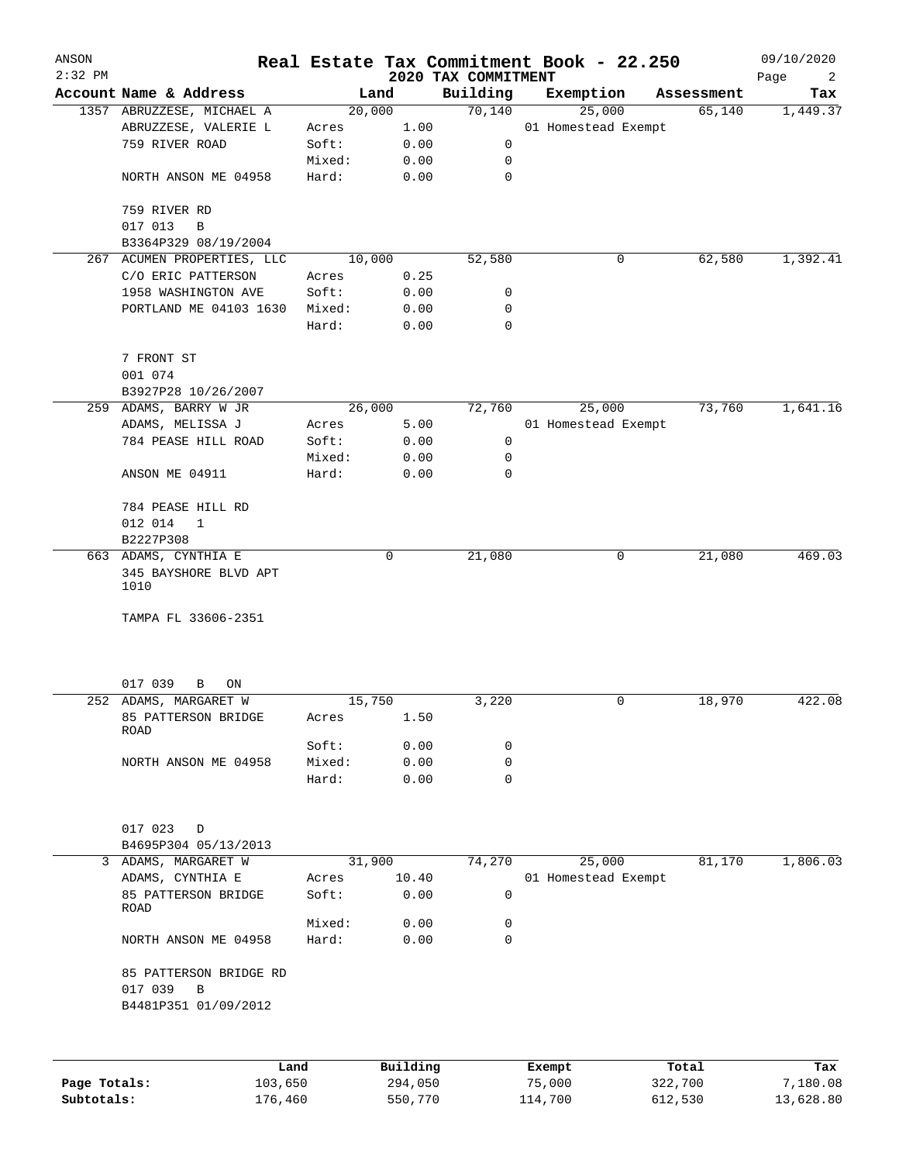| ANSON        |                               |        |          |                                 | Real Estate Tax Commitment Book - 22.250 |                      | 09/10/2020      |
|--------------|-------------------------------|--------|----------|---------------------------------|------------------------------------------|----------------------|-----------------|
| $2:32$ PM    | Account Name & Address        |        | Land     | 2020 TAX COMMITMENT<br>Building |                                          |                      | Page<br>2       |
|              | 1357 ABRUZZESE, MICHAEL A     |        | 20,000   | 70,140                          | Exemption<br>25,000                      | Assessment<br>65,140 | Tax<br>1,449.37 |
|              | ABRUZZESE, VALERIE L          | Acres  | 1.00     |                                 | 01 Homestead Exempt                      |                      |                 |
|              | 759 RIVER ROAD                | Soft:  | 0.00     | 0                               |                                          |                      |                 |
|              |                               | Mixed: | 0.00     | 0                               |                                          |                      |                 |
|              | NORTH ANSON ME 04958          | Hard:  | 0.00     | 0                               |                                          |                      |                 |
|              | 759 RIVER RD                  |        |          |                                 |                                          |                      |                 |
|              | 017 013<br>B                  |        |          |                                 |                                          |                      |                 |
|              | B3364P329 08/19/2004          |        |          |                                 |                                          |                      |                 |
|              | 267 ACUMEN PROPERTIES, LLC    |        | 10,000   | 52,580                          | 0                                        | 62,580               | 1,392.41        |
|              | C/O ERIC PATTERSON            | Acres  | 0.25     |                                 |                                          |                      |                 |
|              | 1958 WASHINGTON AVE           | Soft:  | 0.00     | 0                               |                                          |                      |                 |
|              | PORTLAND ME 04103 1630        | Mixed: | 0.00     | 0                               |                                          |                      |                 |
|              |                               | Hard:  | 0.00     | 0                               |                                          |                      |                 |
|              | 7 FRONT ST                    |        |          |                                 |                                          |                      |                 |
|              | 001 074                       |        |          |                                 |                                          |                      |                 |
|              | B3927P28 10/26/2007           |        |          |                                 |                                          |                      |                 |
|              | 259 ADAMS, BARRY W JR         |        | 26,000   | 72,760                          | 25,000                                   | 73,760               | 1,641.16        |
|              | ADAMS, MELISSA J              | Acres  | 5.00     |                                 | 01 Homestead Exempt                      |                      |                 |
|              | 784 PEASE HILL ROAD           | Soft:  | 0.00     | $\mathsf{O}$                    |                                          |                      |                 |
|              |                               | Mixed: | 0.00     | 0                               |                                          |                      |                 |
|              | ANSON ME 04911                | Hard:  | 0.00     | 0                               |                                          |                      |                 |
|              |                               |        |          |                                 |                                          |                      |                 |
|              | 784 PEASE HILL RD             |        |          |                                 |                                          |                      |                 |
|              | 012 014<br>1                  |        |          |                                 |                                          |                      |                 |
|              | B2227P308                     |        |          |                                 |                                          |                      |                 |
|              | 663 ADAMS, CYNTHIA E          |        | 0        | 21,080                          | 0                                        | 21,080               | 469.03          |
|              | 345 BAYSHORE BLVD APT<br>1010 |        |          |                                 |                                          |                      |                 |
|              | TAMPA FL 33606-2351           |        |          |                                 |                                          |                      |                 |
|              |                               |        |          |                                 |                                          |                      |                 |
|              | 017 039<br>В<br>ON            |        |          |                                 |                                          |                      |                 |
|              | 252 ADAMS, MARGARET W         |        | 15,750   | 3,220                           | 0                                        | 18,970               | 422.08          |
|              | 85 PATTERSON BRIDGE<br>ROAD   | Acres  | 1.50     |                                 |                                          |                      |                 |
|              |                               | Soft:  | 0.00     | 0                               |                                          |                      |                 |
|              | NORTH ANSON ME 04958          | Mixed: | 0.00     | 0                               |                                          |                      |                 |
|              |                               | Hard:  | 0.00     | 0                               |                                          |                      |                 |
|              |                               |        |          |                                 |                                          |                      |                 |
|              | 017 023<br>D                  |        |          |                                 |                                          |                      |                 |
|              | B4695P304 05/13/2013          |        |          |                                 |                                          |                      |                 |
| 3            | ADAMS, MARGARET W             |        | 31,900   | 74,270                          | 25,000                                   | 81,170               | 1,806.03        |
|              | ADAMS, CYNTHIA E              | Acres  | 10.40    |                                 | 01 Homestead Exempt                      |                      |                 |
|              | 85 PATTERSON BRIDGE<br>ROAD   | Soft:  | 0.00     | 0                               |                                          |                      |                 |
|              |                               | Mixed: | 0.00     | 0                               |                                          |                      |                 |
|              | NORTH ANSON ME 04958          | Hard:  | 0.00     | $\Omega$                        |                                          |                      |                 |
|              |                               |        |          |                                 |                                          |                      |                 |
|              | 85 PATTERSON BRIDGE RD        |        |          |                                 |                                          |                      |                 |
|              | 017 039<br>B                  |        |          |                                 |                                          |                      |                 |
|              | B4481P351 01/09/2012          |        |          |                                 |                                          |                      |                 |
|              |                               |        |          |                                 |                                          |                      |                 |
|              |                               | Land   | Building |                                 | Exempt                                   | Total                | Tax             |
| Page Totals: | 103,650                       |        | 294,050  |                                 | 75,000                                   | 322,700              | 7,180.08        |
| Subtotals:   | 176,460                       |        | 550,770  |                                 | 114,700                                  | 612,530              | 13,628.80       |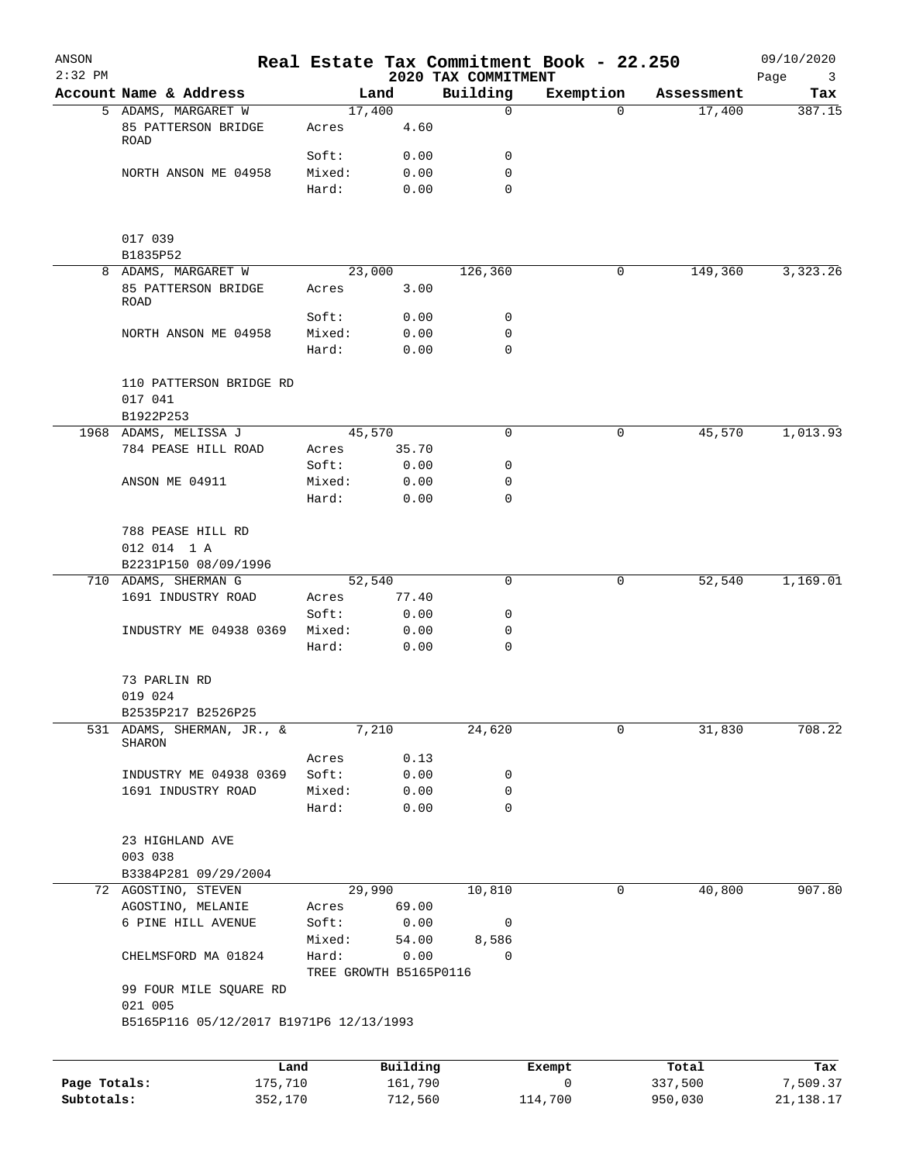| ANSON<br>$2:32$ PM         |                                         |                                 |                    | 2020 TAX COMMITMENT | Real Estate Tax Commitment Book - 22.250 |                    | 09/10/2020<br>Page<br>3 |
|----------------------------|-----------------------------------------|---------------------------------|--------------------|---------------------|------------------------------------------|--------------------|-------------------------|
|                            | Account Name & Address                  |                                 | Land               | Building            | Exemption                                | Assessment         | Tax                     |
|                            | 5 ADAMS, MARGARET W                     |                                 | 17,400             | $\mathbf 0$         | $\Omega$                                 | 17,400             | 387.15                  |
|                            | 85 PATTERSON BRIDGE<br>ROAD             | Acres                           | 4.60               |                     |                                          |                    |                         |
|                            |                                         | Soft:                           | 0.00               | 0                   |                                          |                    |                         |
|                            | NORTH ANSON ME 04958                    | Mixed:                          | 0.00               | 0                   |                                          |                    |                         |
|                            |                                         | Hard:                           | 0.00               | 0                   |                                          |                    |                         |
|                            | 017 039                                 |                                 |                    |                     |                                          |                    |                         |
|                            | B1835P52                                |                                 |                    |                     |                                          |                    |                         |
|                            | 8 ADAMS, MARGARET W                     |                                 | 23,000             | 126,360             | 0                                        | 149,360            | 3,323.26                |
|                            | 85 PATTERSON BRIDGE<br>ROAD             | Acres                           | 3.00               |                     |                                          |                    |                         |
|                            |                                         | Soft:                           | 0.00               | 0<br>0              |                                          |                    |                         |
|                            | NORTH ANSON ME 04958                    | Mixed:<br>Hard:                 | 0.00               | 0                   |                                          |                    |                         |
|                            |                                         |                                 | 0.00               |                     |                                          |                    |                         |
|                            | 110 PATTERSON BRIDGE RD<br>017 041      |                                 |                    |                     |                                          |                    |                         |
|                            | B1922P253                               |                                 |                    |                     |                                          |                    |                         |
|                            | 1968 ADAMS, MELISSA J                   |                                 | 45,570             | $\mathbf 0$         | 0                                        | 45,570             | 1,013.93                |
|                            | 784 PEASE HILL ROAD                     | Acres                           | 35.70              |                     |                                          |                    |                         |
|                            |                                         | Soft:                           | 0.00               | 0                   |                                          |                    |                         |
|                            | ANSON ME 04911                          | Mixed:                          | 0.00               | 0                   |                                          |                    |                         |
|                            |                                         | Hard:                           | 0.00               | $\mathbf 0$         |                                          |                    |                         |
|                            | 788 PEASE HILL RD                       |                                 |                    |                     |                                          |                    |                         |
|                            | 012 014 1 A<br>B2231P150 08/09/1996     |                                 |                    |                     |                                          |                    |                         |
|                            | 710 ADAMS, SHERMAN G                    |                                 | 52,540             | $\mathbf 0$         | 0                                        | 52,540             | 1,169.01                |
|                            | 1691 INDUSTRY ROAD                      | Acres                           | 77.40              |                     |                                          |                    |                         |
|                            |                                         | Soft:                           | 0.00               | 0                   |                                          |                    |                         |
|                            | INDUSTRY ME 04938 0369                  | Mixed:                          | 0.00               | 0                   |                                          |                    |                         |
|                            |                                         | Hard:                           | 0.00               | $\mathbf 0$         |                                          |                    |                         |
|                            | 73 PARLIN RD                            |                                 |                    |                     |                                          |                    |                         |
|                            | 019 024                                 |                                 |                    |                     |                                          |                    |                         |
|                            | B2535P217 B2526P25                      |                                 |                    |                     |                                          |                    |                         |
| 531                        | ADAMS, SHERMAN, JR., &<br><b>SHARON</b> |                                 | 7,210              | 24,620              | 0                                        | 31,830             | 708.22                  |
|                            | INDUSTRY ME 04938 0369                  | Acres<br>Soft:                  | 0.13<br>0.00       | 0                   |                                          |                    |                         |
|                            | 1691 INDUSTRY ROAD                      | Mixed:                          | 0.00               | 0                   |                                          |                    |                         |
|                            |                                         | Hard:                           | 0.00               | $\mathbf 0$         |                                          |                    |                         |
|                            | 23 HIGHLAND AVE                         |                                 |                    |                     |                                          |                    |                         |
|                            | 003 038                                 |                                 |                    |                     |                                          |                    |                         |
|                            | B3384P281 09/29/2004                    |                                 |                    |                     |                                          |                    |                         |
|                            | 72 AGOSTINO, STEVEN                     |                                 | 29,990             | 10,810              | 0                                        | 40,800             | 907.80                  |
|                            | AGOSTINO, MELANIE                       | Acres                           | 69.00              |                     |                                          |                    |                         |
|                            | 6 PINE HILL AVENUE                      | Soft:                           | 0.00               | 0                   |                                          |                    |                         |
|                            |                                         | Mixed:                          | 54.00              | 8,586               |                                          |                    |                         |
|                            | CHELMSFORD MA 01824                     | Hard:<br>TREE GROWTH B5165P0116 | 0.00               | 0                   |                                          |                    |                         |
|                            | 99 FOUR MILE SQUARE RD<br>021 005       |                                 |                    |                     |                                          |                    |                         |
|                            | B5165P116 05/12/2017 B1971P6 12/13/1993 |                                 |                    |                     |                                          |                    |                         |
|                            |                                         |                                 |                    |                     |                                          |                    |                         |
|                            | Land                                    |                                 | Building           |                     | Exempt                                   | Total              | Tax                     |
| Page Totals:<br>Subtotals: | 175,710<br>352,170                      |                                 | 161,790<br>712,560 |                     | 0<br>114,700                             | 337,500<br>950,030 | 7,509.37<br>21, 138. 17 |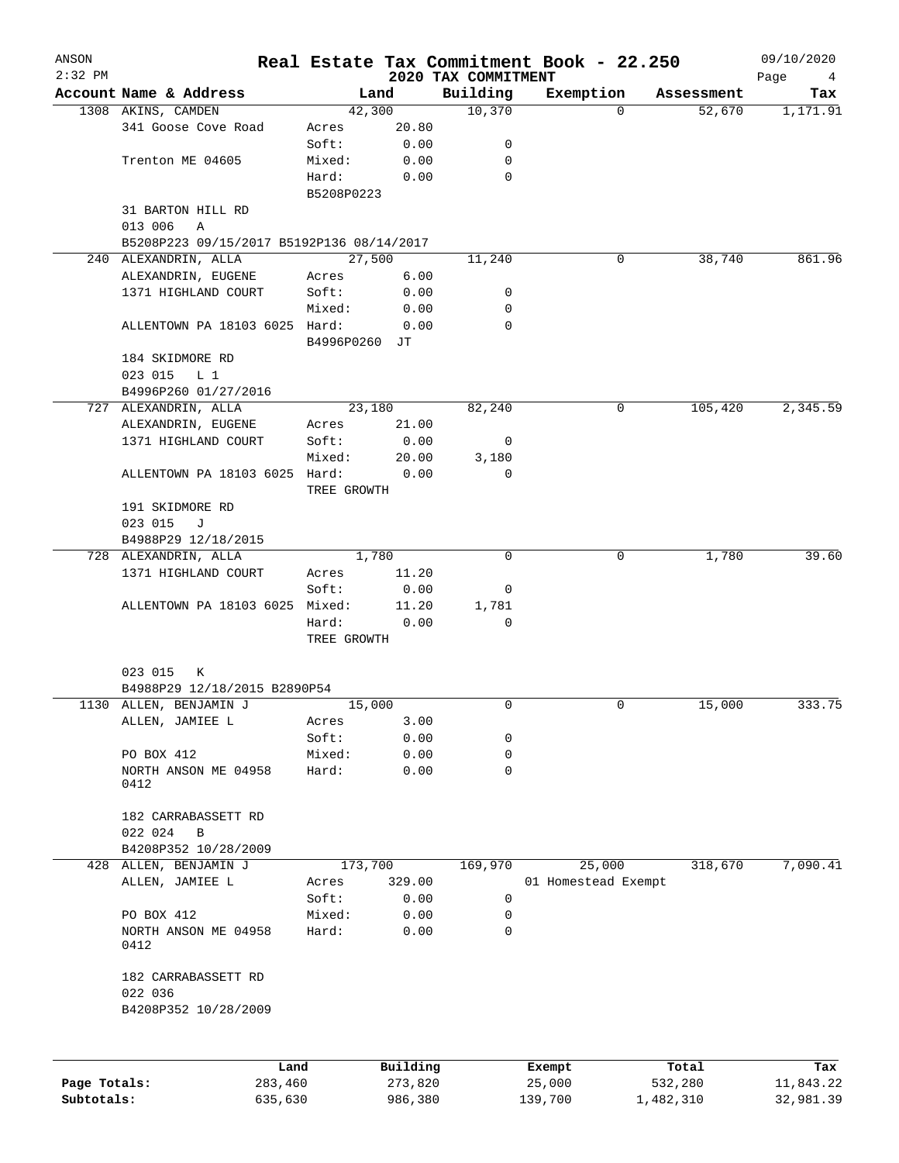| ANSON<br>$2:32$ PM |                                           |               |          | 2020 TAX COMMITMENT | Real Estate Tax Commitment Book - 22.250 |            | 09/10/2020<br>Page<br>4 |
|--------------------|-------------------------------------------|---------------|----------|---------------------|------------------------------------------|------------|-------------------------|
|                    | Account Name & Address                    |               | Land     | Building            | Exemption                                | Assessment | Tax                     |
|                    | 1308 AKINS, CAMDEN                        |               | 42,300   | 10,370              | $\Omega$                                 | 52,670     | 1,171.91                |
|                    | 341 Goose Cove Road                       | Acres         | 20.80    |                     |                                          |            |                         |
|                    |                                           | Soft:         | 0.00     | 0                   |                                          |            |                         |
|                    | Trenton ME 04605                          | Mixed:        | 0.00     | 0                   |                                          |            |                         |
|                    |                                           | Hard:         | 0.00     | $\Omega$            |                                          |            |                         |
|                    |                                           | B5208P0223    |          |                     |                                          |            |                         |
|                    | 31 BARTON HILL RD                         |               |          |                     |                                          |            |                         |
|                    | 013 006<br>Α                              |               |          |                     |                                          |            |                         |
|                    | B5208P223 09/15/2017 B5192P136 08/14/2017 |               |          |                     |                                          |            |                         |
|                    | 240 ALEXANDRIN, ALLA                      | 27,500        |          | 11,240              | 0                                        | 38,740     | 861.96                  |
|                    | ALEXANDRIN, EUGENE                        | Acres         | 6.00     |                     |                                          |            |                         |
|                    | 1371 HIGHLAND COURT                       | Soft:         | 0.00     | 0                   |                                          |            |                         |
|                    |                                           | Mixed:        | 0.00     | 0                   |                                          |            |                         |
|                    | ALLENTOWN PA 18103 6025 Hard:             |               | 0.00     | $\Omega$            |                                          |            |                         |
|                    |                                           | B4996P0260 JT |          |                     |                                          |            |                         |
|                    | 184 SKIDMORE RD                           |               |          |                     |                                          |            |                         |
|                    | 023 015<br>L <sub>1</sub>                 |               |          |                     |                                          |            |                         |
|                    | B4996P260 01/27/2016                      |               |          |                     |                                          |            |                         |
|                    | 727 ALEXANDRIN, ALLA                      |               | 23,180   | 82,240              | 0                                        | 105,420    | 2,345.59                |
|                    | ALEXANDRIN, EUGENE                        | Acres         | 21.00    |                     |                                          |            |                         |
|                    | 1371 HIGHLAND COURT                       | Soft:         | 0.00     | 0                   |                                          |            |                         |
|                    |                                           | Mixed:        | 20.00    | 3,180               |                                          |            |                         |
|                    | ALLENTOWN PA 18103 6025 Hard:             |               | 0.00     | 0                   |                                          |            |                         |
|                    |                                           | TREE GROWTH   |          |                     |                                          |            |                         |
|                    | 191 SKIDMORE RD                           |               |          |                     |                                          |            |                         |
|                    | 023 015<br>J                              |               |          |                     |                                          |            |                         |
|                    | B4988P29 12/18/2015                       |               |          |                     |                                          |            |                         |
|                    | 728 ALEXANDRIN, ALLA                      |               | 1,780    | 0                   | 0                                        | 1,780      | 39.60                   |
|                    | 1371 HIGHLAND COURT                       | Acres         | 11.20    |                     |                                          |            |                         |
|                    |                                           | Soft:         | 0.00     | 0                   |                                          |            |                         |
|                    | ALLENTOWN PA 18103 6025 Mixed:            |               | 11.20    | 1,781               |                                          |            |                         |
|                    |                                           | Hard:         | 0.00     | 0                   |                                          |            |                         |
|                    |                                           | TREE GROWTH   |          |                     |                                          |            |                         |
|                    |                                           |               |          |                     |                                          |            |                         |
|                    | 023 015<br>К                              |               |          |                     |                                          |            |                         |
|                    | B4988P29 12/18/2015 B2890P54              |               |          |                     |                                          |            |                         |
|                    | 1130 ALLEN, BENJAMIN J                    | 15,000        |          | 0                   | 0                                        | 15,000     | 333.75                  |
|                    | ALLEN, JAMIEE L                           | Acres         | 3.00     |                     |                                          |            |                         |
|                    |                                           | Soft:         | 0.00     | 0                   |                                          |            |                         |
|                    | PO BOX 412                                | Mixed:        | 0.00     | 0                   |                                          |            |                         |
|                    | NORTH ANSON ME 04958                      | Hard:         | 0.00     | 0                   |                                          |            |                         |
|                    | 0412                                      |               |          |                     |                                          |            |                         |
|                    |                                           |               |          |                     |                                          |            |                         |
|                    | 182 CARRABASSETT RD                       |               |          |                     |                                          |            |                         |
|                    | 022 024<br>B                              |               |          |                     |                                          |            |                         |
|                    | B4208P352 10/28/2009                      |               |          |                     |                                          |            | 7,090.41                |
|                    | 428 ALLEN, BENJAMIN J                     | 173,700       |          | 169,970             | 25,000                                   | 318,670    |                         |
|                    | ALLEN, JAMIEE L                           | Acres         | 329.00   |                     | 01 Homestead Exempt                      |            |                         |
|                    |                                           | Soft:         | 0.00     | $\mathbf 0$         |                                          |            |                         |
|                    | PO BOX 412                                | Mixed:        | 0.00     | 0                   |                                          |            |                         |
|                    | NORTH ANSON ME 04958<br>0412              | Hard:         | 0.00     | 0                   |                                          |            |                         |
|                    |                                           |               |          |                     |                                          |            |                         |
|                    | 182 CARRABASSETT RD                       |               |          |                     |                                          |            |                         |
|                    | 022 036                                   |               |          |                     |                                          |            |                         |
|                    | B4208P352 10/28/2009                      |               |          |                     |                                          |            |                         |
|                    |                                           |               |          |                     |                                          |            |                         |
|                    | Land                                      |               | Building |                     | Exempt                                   | Total      | Tax                     |
| Page Totals:       | 283,460                                   |               | 273,820  |                     | 25,000                                   | 532,280    | 11,843.22               |
| Subtotals:         | 635,630                                   |               | 986,380  |                     | 139,700                                  | 1,482,310  | 32,981.39               |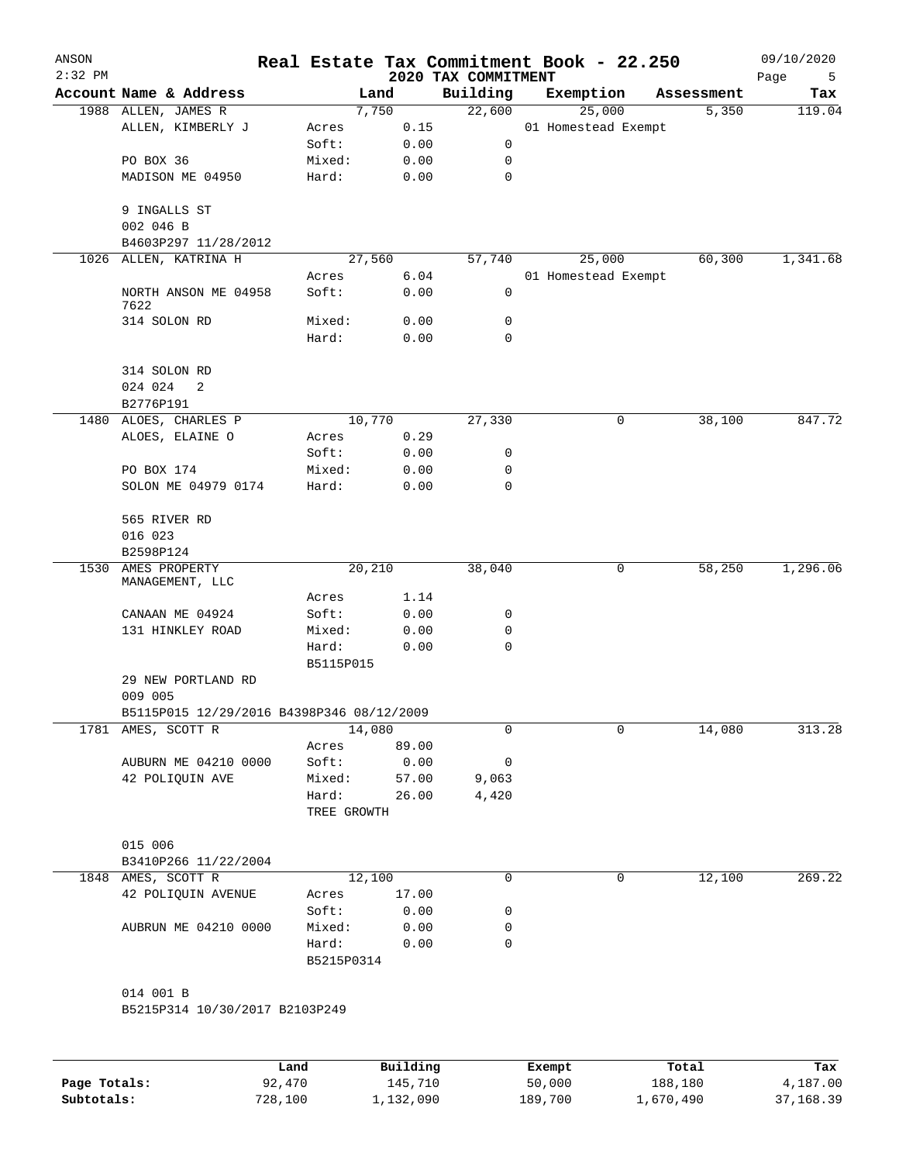| ANSON<br>$2:32$ PM |                                           |                     |                     |                                 | Real Estate Tax Commitment Book - 22.250 |   |                  | 09/10/2020       |
|--------------------|-------------------------------------------|---------------------|---------------------|---------------------------------|------------------------------------------|---|------------------|------------------|
|                    | Account Name & Address                    |                     | Land                | 2020 TAX COMMITMENT<br>Building | Exemption                                |   | Assessment       | Page<br>5<br>Tax |
|                    | 1988 ALLEN, JAMES R                       |                     | 7,750               | 22,600                          | 25,000                                   |   | 5,350            | 119.04           |
|                    | ALLEN, KIMBERLY J                         | Acres               | 0.15                |                                 | 01 Homestead Exempt                      |   |                  |                  |
|                    |                                           | Soft:               | 0.00                | 0                               |                                          |   |                  |                  |
|                    | PO BOX 36                                 | Mixed:              | 0.00                | 0                               |                                          |   |                  |                  |
|                    | MADISON ME 04950                          | Hard:               | 0.00                | 0                               |                                          |   |                  |                  |
|                    | 9 INGALLS ST                              |                     |                     |                                 |                                          |   |                  |                  |
|                    | 002 046 B                                 |                     |                     |                                 |                                          |   |                  |                  |
|                    | B4603P297 11/28/2012                      |                     |                     |                                 |                                          |   |                  |                  |
| 1026               | ALLEN, KATRINA H                          | 27,560              |                     | 57,740                          | 25,000                                   |   | 60,300           | 1,341.68         |
|                    |                                           | Acres               | 6.04                |                                 | 01 Homestead Exempt                      |   |                  |                  |
|                    | NORTH ANSON ME 04958<br>7622              | Soft:               | 0.00                | 0                               |                                          |   |                  |                  |
|                    | 314 SOLON RD                              | Mixed:              | 0.00                | 0                               |                                          |   |                  |                  |
|                    |                                           | Hard:               | 0.00                | 0                               |                                          |   |                  |                  |
|                    | 314 SOLON RD                              |                     |                     |                                 |                                          |   |                  |                  |
|                    | 024 024<br>2<br>B2776P191                 |                     |                     |                                 |                                          |   |                  |                  |
| 1480               | ALOES, CHARLES P                          | 10,770              |                     | 27,330                          |                                          | 0 | 38,100           | 847.72           |
|                    | ALOES, ELAINE O                           | Acres               | 0.29                |                                 |                                          |   |                  |                  |
|                    |                                           | Soft:               | 0.00                | 0                               |                                          |   |                  |                  |
|                    | PO BOX 174                                | Mixed:              | 0.00                | 0                               |                                          |   |                  |                  |
|                    | SOLON ME 04979 0174                       | Hard:               | 0.00                | 0                               |                                          |   |                  |                  |
|                    | 565 RIVER RD                              |                     |                     |                                 |                                          |   |                  |                  |
|                    | 016 023                                   |                     |                     |                                 |                                          |   |                  |                  |
|                    | B2598P124                                 |                     |                     |                                 |                                          |   |                  |                  |
| 1530               | AMES PROPERTY                             | 20,210              |                     | 38,040                          |                                          | 0 | 58,250           | 1,296.06         |
|                    | MANAGEMENT, LLC                           |                     |                     |                                 |                                          |   |                  |                  |
|                    |                                           | Acres               | 1.14                |                                 |                                          |   |                  |                  |
|                    | CANAAN ME 04924                           | Soft:               | 0.00                | 0                               |                                          |   |                  |                  |
|                    | 131 HINKLEY ROAD                          | Mixed:              | 0.00                | 0                               |                                          |   |                  |                  |
|                    |                                           | Hard:<br>B5115P015  | 0.00                | 0                               |                                          |   |                  |                  |
|                    | 29 NEW PORTLAND RD                        |                     |                     |                                 |                                          |   |                  |                  |
|                    | 009 005                                   |                     |                     |                                 |                                          |   |                  |                  |
|                    | B5115P015 12/29/2016 B4398P346 08/12/2009 |                     |                     |                                 |                                          |   |                  |                  |
|                    | 1781 AMES, SCOTT R                        | 14,080              |                     | 0                               |                                          | 0 | 14,080           | 313.28           |
|                    |                                           | Acres               | 89.00               |                                 |                                          |   |                  |                  |
|                    | AUBURN ME 04210 0000                      | Soft:               | 0.00                | 0                               |                                          |   |                  |                  |
|                    | 42 POLIQUIN AVE                           | Mixed:              | 57.00               | 9,063                           |                                          |   |                  |                  |
|                    |                                           | Hard:               | 26.00               | 4,420                           |                                          |   |                  |                  |
|                    |                                           | TREE GROWTH         |                     |                                 |                                          |   |                  |                  |
|                    | 015 006                                   |                     |                     |                                 |                                          |   |                  |                  |
|                    | B3410P266 11/22/2004                      |                     |                     |                                 |                                          |   |                  |                  |
|                    | 1848 AMES, SCOTT R                        | 12,100              |                     | 0                               |                                          | 0 | 12,100           | 269.22           |
|                    | 42 POLIQUIN AVENUE                        | Acres               | 17.00               |                                 |                                          |   |                  |                  |
|                    |                                           | Soft:               | 0.00                | 0                               |                                          |   |                  |                  |
|                    | AUBRUN ME 04210 0000                      | Mixed:              | 0.00                | 0                               |                                          |   |                  |                  |
|                    |                                           | Hard:<br>B5215P0314 | 0.00                | 0                               |                                          |   |                  |                  |
|                    |                                           |                     |                     |                                 |                                          |   |                  |                  |
|                    | 014 001 B                                 |                     |                     |                                 |                                          |   |                  |                  |
|                    | B5215P314 10/30/2017 B2103P249            |                     |                     |                                 |                                          |   |                  |                  |
|                    |                                           |                     |                     |                                 |                                          |   |                  |                  |
| Page Totals:       | 92,470                                    | Land                | Building<br>145,710 |                                 | Exempt<br>50,000                         |   | Total<br>188,180 | Tax<br>4,187.00  |
|                    |                                           |                     |                     |                                 |                                          |   |                  |                  |

**Subtotals:** 728,100 1,132,090 189,700 1,670,490 37,168.39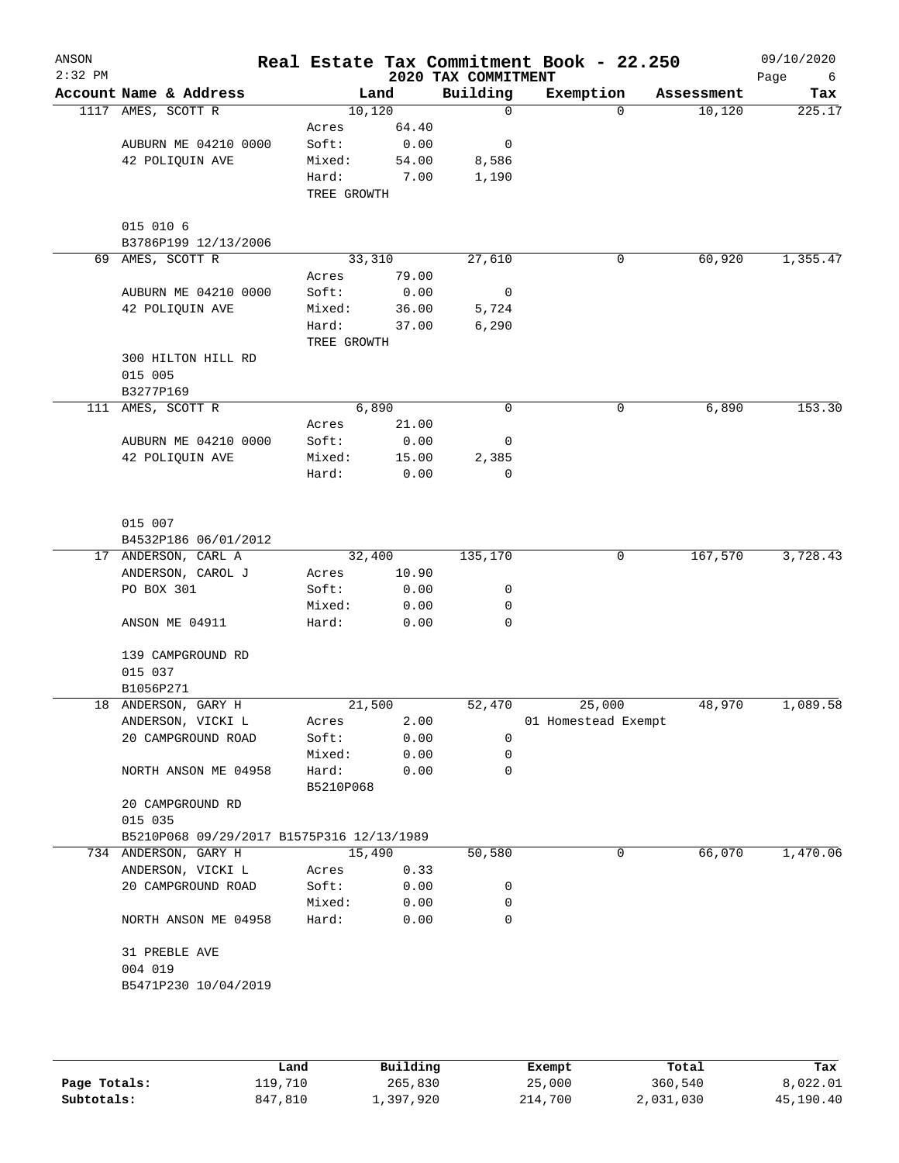| ANSON<br>$2:32$ PM |                                           |             |       | 2020 TAX COMMITMENT | Real Estate Tax Commitment Book - 22.250 |            | 09/10/2020<br>Page<br>6 |
|--------------------|-------------------------------------------|-------------|-------|---------------------|------------------------------------------|------------|-------------------------|
|                    | Account Name & Address                    |             | Land  | Building            | Exemption                                | Assessment | Tax                     |
|                    | 1117 AMES, SCOTT R                        | 10,120      |       | $\mathbf 0$         | 0                                        | 10,120     | 225.17                  |
|                    |                                           | Acres       | 64.40 |                     |                                          |            |                         |
|                    | AUBURN ME 04210 0000                      | Soft:       | 0.00  | 0                   |                                          |            |                         |
|                    | 42 POLIQUIN AVE                           | Mixed:      | 54.00 | 8,586               |                                          |            |                         |
|                    |                                           | Hard:       | 7.00  | 1,190               |                                          |            |                         |
|                    |                                           | TREE GROWTH |       |                     |                                          |            |                         |
|                    | 015 010 6                                 |             |       |                     |                                          |            |                         |
|                    | B3786P199 12/13/2006                      |             |       |                     |                                          |            |                         |
| 69                 | AMES, SCOTT R                             | 33,310      |       | 27,610              | 0                                        | 60,920     | 1,355.47                |
|                    |                                           | Acres       | 79.00 |                     |                                          |            |                         |
|                    | AUBURN ME 04210 0000                      | Soft:       | 0.00  | $\overline{0}$      |                                          |            |                         |
|                    | 42 POLIQUIN AVE                           | Mixed:      | 36.00 | 5,724               |                                          |            |                         |
|                    |                                           | Hard:       | 37.00 | 6,290               |                                          |            |                         |
|                    |                                           | TREE GROWTH |       |                     |                                          |            |                         |
|                    | 300 HILTON HILL RD                        |             |       |                     |                                          |            |                         |
|                    | 015 005<br>B3277P169                      |             |       |                     |                                          |            |                         |
|                    | 111 AMES, SCOTT R                         |             | 6,890 | 0                   | 0                                        | 6,890      | 153.30                  |
|                    |                                           | Acres       | 21.00 |                     |                                          |            |                         |
|                    | AUBURN ME 04210 0000                      | Soft:       | 0.00  | 0                   |                                          |            |                         |
|                    | 42 POLIQUIN AVE                           | Mixed:      | 15.00 | 2,385               |                                          |            |                         |
|                    |                                           | Hard:       | 0.00  | 0                   |                                          |            |                         |
|                    |                                           |             |       |                     |                                          |            |                         |
|                    | 015 007                                   |             |       |                     |                                          |            |                         |
|                    | B4532P186 06/01/2012                      |             |       |                     |                                          |            |                         |
|                    | 17 ANDERSON, CARL A                       | 32,400      |       | 135,170             | 0                                        | 167,570    | 3,728.43                |
|                    | ANDERSON, CAROL J                         | Acres       | 10.90 |                     |                                          |            |                         |
|                    | PO BOX 301                                | Soft:       | 0.00  | 0                   |                                          |            |                         |
|                    |                                           | Mixed:      | 0.00  | 0                   |                                          |            |                         |
|                    | ANSON ME 04911                            | Hard:       | 0.00  | 0                   |                                          |            |                         |
|                    | 139 CAMPGROUND RD                         |             |       |                     |                                          |            |                         |
|                    | 015 037                                   |             |       |                     |                                          |            |                         |
|                    | B1056P271                                 |             |       |                     |                                          |            |                         |
|                    | 18 ANDERSON, GARY H                       | 21,500      |       | 52,470              | 25,000                                   | 48,970     | 1,089.58                |
|                    | ANDERSON, VICKI L                         | Acres       | 2.00  |                     | 01 Homestead Exempt                      |            |                         |
|                    | 20 CAMPGROUND ROAD                        | Soft:       | 0.00  | 0                   |                                          |            |                         |
|                    |                                           | Mixed:      | 0.00  | 0                   |                                          |            |                         |
|                    | NORTH ANSON ME 04958                      | Hard:       | 0.00  | 0                   |                                          |            |                         |
|                    |                                           | B5210P068   |       |                     |                                          |            |                         |
|                    | 20 CAMPGROUND RD                          |             |       |                     |                                          |            |                         |
|                    | 015 035                                   |             |       |                     |                                          |            |                         |
|                    | B5210P068 09/29/2017 B1575P316 12/13/1989 |             |       |                     |                                          |            |                         |
| 734                | ANDERSON, GARY H                          | 15,490      |       | 50,580              | 0                                        | 66,070     | 1,470.06                |
|                    | ANDERSON, VICKI L                         | Acres       | 0.33  |                     |                                          |            |                         |
|                    | 20 CAMPGROUND ROAD                        | Soft:       | 0.00  | 0                   |                                          |            |                         |
|                    |                                           | Mixed:      | 0.00  | 0                   |                                          |            |                         |
|                    | NORTH ANSON ME 04958                      | Hard:       | 0.00  | 0                   |                                          |            |                         |
|                    | 31 PREBLE AVE                             |             |       |                     |                                          |            |                         |
|                    | 004 019                                   |             |       |                     |                                          |            |                         |
|                    | B5471P230 10/04/2019                      |             |       |                     |                                          |            |                         |
|                    |                                           |             |       |                     |                                          |            |                         |
|                    |                                           |             |       |                     |                                          |            |                         |
|                    |                                           |             |       |                     |                                          |            |                         |

|              | Land    | Building  | Exempt  | Total     | Tax       |
|--------------|---------|-----------|---------|-----------|-----------|
| Page Totals: | 119,710 | 265,830   | 25,000  | 360,540   | 8,022.01  |
| Subtotals:   | 847,810 | 397,920 ـ | 214,700 | 2,031,030 | 45,190.40 |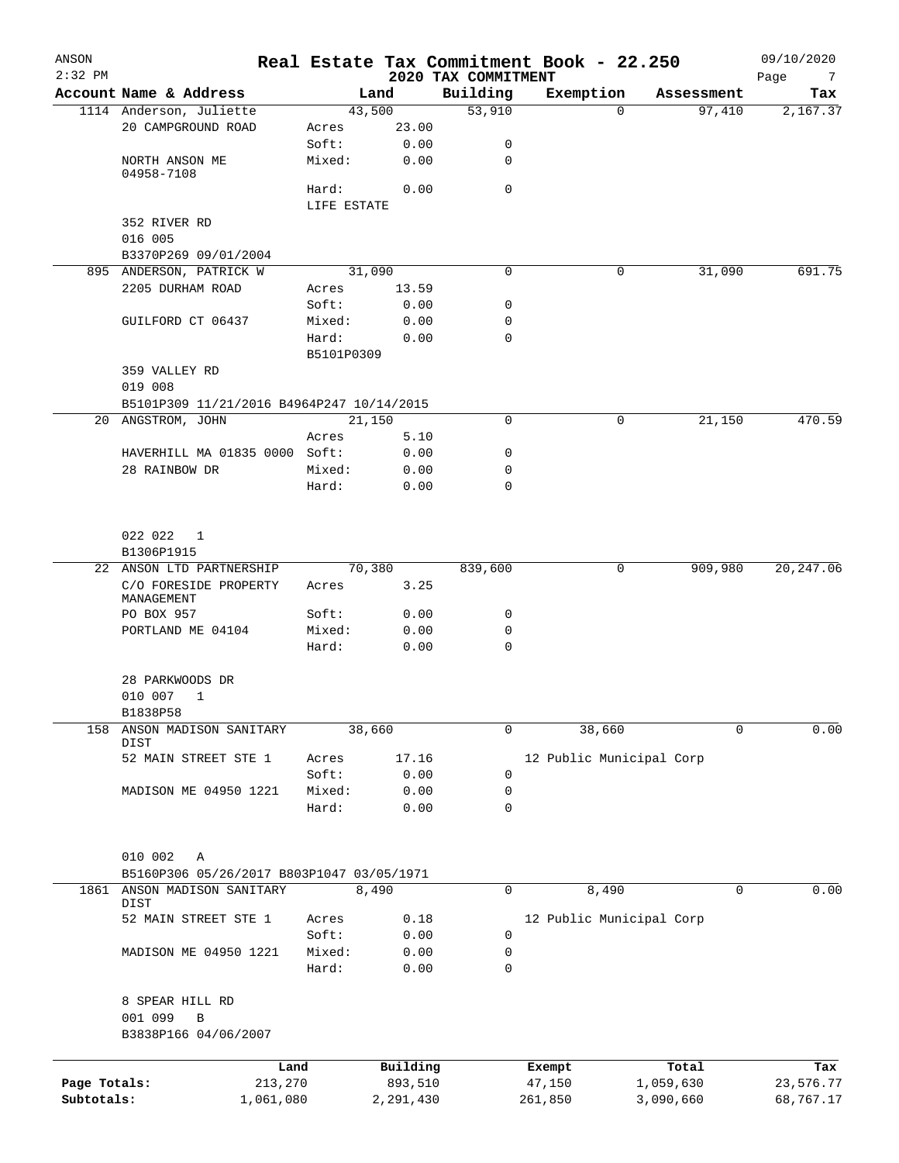| ANSON<br>$2:32$ PM |                                           |                      |           | 2020 TAX COMMITMENT | Real Estate Tax Commitment Book - 22.250 |            | 09/10/2020<br>Page<br>$\overline{7}$ |
|--------------------|-------------------------------------------|----------------------|-----------|---------------------|------------------------------------------|------------|--------------------------------------|
|                    | Account Name & Address                    |                      | Land      | Building            | Exemption                                | Assessment | Tax                                  |
|                    | 1114 Anderson, Juliette                   |                      | 43,500    | 53,910              | $\Omega$                                 | 97,410     | 2,167.37                             |
|                    | 20 CAMPGROUND ROAD                        | Acres                | 23.00     |                     |                                          |            |                                      |
|                    |                                           | Soft:                | 0.00      | 0                   |                                          |            |                                      |
|                    | NORTH ANSON ME<br>04958-7108              | Mixed:               | 0.00      | 0                   |                                          |            |                                      |
|                    |                                           | Hard:<br>LIFE ESTATE | 0.00      | 0                   |                                          |            |                                      |
|                    | 352 RIVER RD                              |                      |           |                     |                                          |            |                                      |
|                    | 016 005                                   |                      |           |                     |                                          |            |                                      |
|                    | B3370P269 09/01/2004                      |                      |           |                     |                                          |            |                                      |
|                    | 895 ANDERSON, PATRICK W                   |                      | 31,090    | 0                   | 0                                        | 31,090     | 691.75                               |
|                    | 2205 DURHAM ROAD                          | Acres                | 13.59     |                     |                                          |            |                                      |
|                    |                                           | Soft:                | 0.00      | 0                   |                                          |            |                                      |
|                    | GUILFORD CT 06437                         | Mixed:               | 0.00      | 0                   |                                          |            |                                      |
|                    |                                           | Hard:                | 0.00      | 0                   |                                          |            |                                      |
|                    |                                           | B5101P0309           |           |                     |                                          |            |                                      |
|                    | 359 VALLEY RD                             |                      |           |                     |                                          |            |                                      |
|                    | 019 008                                   |                      |           |                     |                                          |            |                                      |
|                    | B5101P309 11/21/2016 B4964P247 10/14/2015 |                      |           |                     |                                          |            |                                      |
|                    | 20 ANGSTROM, JOHN                         |                      | 21,150    | 0                   | 0                                        | 21,150     | 470.59                               |
|                    |                                           | Acres                | 5.10      |                     |                                          |            |                                      |
|                    | HAVERHILL MA 01835 0000 Soft:             |                      | 0.00      | 0                   |                                          |            |                                      |
|                    | 28 RAINBOW DR                             | Mixed:               | 0.00      | 0                   |                                          |            |                                      |
|                    |                                           | Hard:                | 0.00      | 0                   |                                          |            |                                      |
|                    |                                           |                      |           |                     |                                          |            |                                      |
|                    | 022 022<br>$\mathbf{1}$                   |                      |           |                     |                                          |            |                                      |
|                    | B1306P1915                                |                      |           |                     |                                          |            |                                      |
| 22                 | ANSON LTD PARTNERSHIP                     |                      | 70,380    | 839,600             | 0                                        | 909,980    | 20, 247.06                           |
|                    | C/O FORESIDE PROPERTY<br>MANAGEMENT       | Acres                | 3.25      |                     |                                          |            |                                      |
|                    | PO BOX 957                                | Soft:                | 0.00      | 0                   |                                          |            |                                      |
|                    | PORTLAND ME 04104                         | Mixed:               | 0.00      | 0                   |                                          |            |                                      |
|                    |                                           | Hard:                | 0.00      | 0                   |                                          |            |                                      |
|                    | 28 PARKWOODS DR                           |                      |           |                     |                                          |            |                                      |
|                    | 010 007<br>$\mathbf{1}$                   |                      |           |                     |                                          |            |                                      |
|                    | B1838P58                                  |                      |           |                     |                                          |            |                                      |
| 158                | ANSON MADISON SANITARY<br>DIST            |                      | 38,660    | 0                   | 38,660                                   | 0          | 0.00                                 |
|                    | 52 MAIN STREET STE 1                      | Acres                | 17.16     |                     | 12 Public Municipal Corp                 |            |                                      |
|                    |                                           | Soft:                | 0.00      | 0                   |                                          |            |                                      |
|                    | MADISON ME 04950 1221                     | Mixed:               | 0.00      | 0                   |                                          |            |                                      |
|                    |                                           | Hard:                | 0.00      | $\mathbf 0$         |                                          |            |                                      |
|                    | 010 002<br>Α                              |                      |           |                     |                                          |            |                                      |
|                    | B5160P306 05/26/2017 B803P1047 03/05/1971 |                      |           |                     |                                          |            |                                      |
| 1861               | ANSON MADISON SANITARY<br>DIST            |                      | 8,490     | 0                   | 8,490                                    | 0          | 0.00                                 |
|                    | 52 MAIN STREET STE 1                      | Acres                | 0.18      |                     | 12 Public Municipal Corp                 |            |                                      |
|                    |                                           | Soft:                | 0.00      | 0                   |                                          |            |                                      |
|                    | MADISON ME 04950 1221                     | Mixed:               | 0.00      | 0                   |                                          |            |                                      |
|                    |                                           | Hard:                | 0.00      | $\mathbf 0$         |                                          |            |                                      |
|                    | 8 SPEAR HILL RD                           |                      |           |                     |                                          |            |                                      |
|                    | 001 099<br>В                              |                      |           |                     |                                          |            |                                      |
|                    | B3838P166 04/06/2007                      |                      |           |                     |                                          |            |                                      |
|                    |                                           |                      |           |                     |                                          |            |                                      |
|                    | Land                                      |                      | Building  |                     | Exempt                                   | Total      | Tax                                  |
| Page Totals:       | 213,270                                   |                      | 893,510   |                     | 47,150                                   | 1,059,630  | 23,576.77                            |
| Subtotals:         | 1,061,080                                 |                      | 2,291,430 |                     | 261,850                                  | 3,090,660  | 68,767.17                            |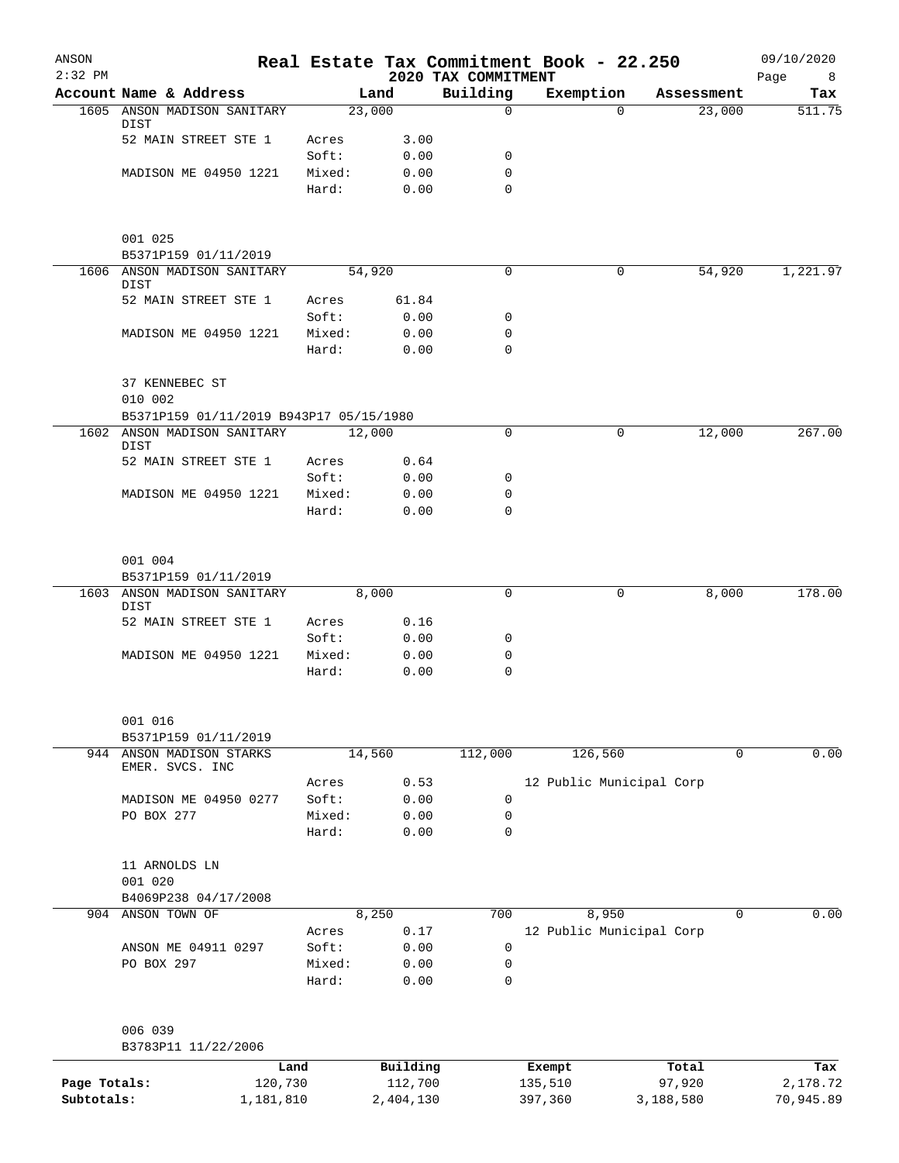| Building<br>Account Name & Address<br>Exemption<br>Land<br>Tax<br>Assessment<br>23,000<br>1605 ANSON MADISON SANITARY<br>$\Omega$<br>23,000<br>$\Omega$<br>DIST<br>52 MAIN STREET STE 1<br>3.00<br>Acres<br>Soft:<br>0.00<br>0<br>MADISON ME 04950 1221<br>Mixed:<br>0.00<br>0<br>$\Omega$<br>Hard:<br>0.00<br>001 025<br>B5371P159 01/11/2019<br>54,920<br>1606 ANSON MADISON SANITARY<br>54,920<br>0<br>0<br>1,221.97<br>DIST<br>52 MAIN STREET STE 1<br>61.84<br>Acres<br>Soft:<br>0.00<br>0<br>MADISON ME 04950 1221<br>Mixed:<br>0.00<br>0<br>Hard:<br>$\mathbf 0$<br>0.00<br>37 KENNEBEC ST<br>010 002<br>B5371P159 01/11/2019 B943P17 05/15/1980<br>1602 ANSON MADISON SANITARY<br>12,000<br>12,000<br>0<br>0<br>DIST<br>52 MAIN STREET STE 1<br>0.64<br>Acres<br>Soft:<br>0.00<br>0<br>MADISON ME 04950 1221<br>Mixed:<br>0.00<br>0<br>$\mathbf 0$<br>Hard:<br>0.00<br>001 004<br>B5371P159 01/11/2019<br>1603 ANSON MADISON SANITARY<br>8,000<br>$\mathbf 0$<br>8,000<br>0<br>DIST<br>52 MAIN STREET STE 1<br>0.16<br>Acres<br>Soft:<br>0.00<br>0<br>0.00<br>0<br>MADISON ME 04950 1221<br>Mixed:<br>$\mathbf 0$<br>Hard:<br>0.00<br>001 016<br>B5371P159 01/11/2019<br>944 ANSON MADISON STARKS<br>14,560<br>112,000<br>126,560<br>0<br>EMER. SVCS. INC<br>12 Public Municipal Corp<br>0.53<br>Acres<br>Soft:<br>0.00<br>0<br>MADISON ME 04950 0277<br>PO BOX 277<br>Mixed:<br>0.00<br>0<br>0<br>Hard:<br>0.00<br>11 ARNOLDS LN<br>001 020<br>B4069P238 04/17/2008<br>904 ANSON TOWN OF<br>700<br>8,950<br>$\mathbf 0$<br>8,250<br>12 Public Municipal Corp<br>0.17<br>Acres<br>0<br>ANSON ME 04911 0297<br>Soft:<br>0.00<br>PO BOX 297<br>Mixed:<br>0.00<br>0<br>0.00<br>0<br>Hard:<br>006 039<br>B3783P11 11/22/2006 | ANSON<br>$2:32$ PM |  | 2020 TAX COMMITMENT | Real Estate Tax Commitment Book - 22.250 |  | 09/10/2020<br>Page<br>8 |
|----------------------------------------------------------------------------------------------------------------------------------------------------------------------------------------------------------------------------------------------------------------------------------------------------------------------------------------------------------------------------------------------------------------------------------------------------------------------------------------------------------------------------------------------------------------------------------------------------------------------------------------------------------------------------------------------------------------------------------------------------------------------------------------------------------------------------------------------------------------------------------------------------------------------------------------------------------------------------------------------------------------------------------------------------------------------------------------------------------------------------------------------------------------------------------------------------------------------------------------------------------------------------------------------------------------------------------------------------------------------------------------------------------------------------------------------------------------------------------------------------------------------------------------------------------------------------------------------------------------------------------------------------------------------------------------------------------------------------------|--------------------|--|---------------------|------------------------------------------|--|-------------------------|
| 511.75                                                                                                                                                                                                                                                                                                                                                                                                                                                                                                                                                                                                                                                                                                                                                                                                                                                                                                                                                                                                                                                                                                                                                                                                                                                                                                                                                                                                                                                                                                                                                                                                                                                                                                                           |                    |  |                     |                                          |  |                         |
| 267.00<br>178.00<br>0.00<br>0.00                                                                                                                                                                                                                                                                                                                                                                                                                                                                                                                                                                                                                                                                                                                                                                                                                                                                                                                                                                                                                                                                                                                                                                                                                                                                                                                                                                                                                                                                                                                                                                                                                                                                                                 |                    |  |                     |                                          |  |                         |
|                                                                                                                                                                                                                                                                                                                                                                                                                                                                                                                                                                                                                                                                                                                                                                                                                                                                                                                                                                                                                                                                                                                                                                                                                                                                                                                                                                                                                                                                                                                                                                                                                                                                                                                                  |                    |  |                     |                                          |  |                         |
|                                                                                                                                                                                                                                                                                                                                                                                                                                                                                                                                                                                                                                                                                                                                                                                                                                                                                                                                                                                                                                                                                                                                                                                                                                                                                                                                                                                                                                                                                                                                                                                                                                                                                                                                  |                    |  |                     |                                          |  |                         |
|                                                                                                                                                                                                                                                                                                                                                                                                                                                                                                                                                                                                                                                                                                                                                                                                                                                                                                                                                                                                                                                                                                                                                                                                                                                                                                                                                                                                                                                                                                                                                                                                                                                                                                                                  |                    |  |                     |                                          |  |                         |
|                                                                                                                                                                                                                                                                                                                                                                                                                                                                                                                                                                                                                                                                                                                                                                                                                                                                                                                                                                                                                                                                                                                                                                                                                                                                                                                                                                                                                                                                                                                                                                                                                                                                                                                                  |                    |  |                     |                                          |  |                         |
|                                                                                                                                                                                                                                                                                                                                                                                                                                                                                                                                                                                                                                                                                                                                                                                                                                                                                                                                                                                                                                                                                                                                                                                                                                                                                                                                                                                                                                                                                                                                                                                                                                                                                                                                  |                    |  |                     |                                          |  |                         |
|                                                                                                                                                                                                                                                                                                                                                                                                                                                                                                                                                                                                                                                                                                                                                                                                                                                                                                                                                                                                                                                                                                                                                                                                                                                                                                                                                                                                                                                                                                                                                                                                                                                                                                                                  |                    |  |                     |                                          |  |                         |
|                                                                                                                                                                                                                                                                                                                                                                                                                                                                                                                                                                                                                                                                                                                                                                                                                                                                                                                                                                                                                                                                                                                                                                                                                                                                                                                                                                                                                                                                                                                                                                                                                                                                                                                                  |                    |  |                     |                                          |  |                         |
|                                                                                                                                                                                                                                                                                                                                                                                                                                                                                                                                                                                                                                                                                                                                                                                                                                                                                                                                                                                                                                                                                                                                                                                                                                                                                                                                                                                                                                                                                                                                                                                                                                                                                                                                  |                    |  |                     |                                          |  |                         |
|                                                                                                                                                                                                                                                                                                                                                                                                                                                                                                                                                                                                                                                                                                                                                                                                                                                                                                                                                                                                                                                                                                                                                                                                                                                                                                                                                                                                                                                                                                                                                                                                                                                                                                                                  |                    |  |                     |                                          |  |                         |
|                                                                                                                                                                                                                                                                                                                                                                                                                                                                                                                                                                                                                                                                                                                                                                                                                                                                                                                                                                                                                                                                                                                                                                                                                                                                                                                                                                                                                                                                                                                                                                                                                                                                                                                                  |                    |  |                     |                                          |  |                         |
|                                                                                                                                                                                                                                                                                                                                                                                                                                                                                                                                                                                                                                                                                                                                                                                                                                                                                                                                                                                                                                                                                                                                                                                                                                                                                                                                                                                                                                                                                                                                                                                                                                                                                                                                  |                    |  |                     |                                          |  |                         |
|                                                                                                                                                                                                                                                                                                                                                                                                                                                                                                                                                                                                                                                                                                                                                                                                                                                                                                                                                                                                                                                                                                                                                                                                                                                                                                                                                                                                                                                                                                                                                                                                                                                                                                                                  |                    |  |                     |                                          |  |                         |
|                                                                                                                                                                                                                                                                                                                                                                                                                                                                                                                                                                                                                                                                                                                                                                                                                                                                                                                                                                                                                                                                                                                                                                                                                                                                                                                                                                                                                                                                                                                                                                                                                                                                                                                                  |                    |  |                     |                                          |  |                         |
|                                                                                                                                                                                                                                                                                                                                                                                                                                                                                                                                                                                                                                                                                                                                                                                                                                                                                                                                                                                                                                                                                                                                                                                                                                                                                                                                                                                                                                                                                                                                                                                                                                                                                                                                  |                    |  |                     |                                          |  |                         |
|                                                                                                                                                                                                                                                                                                                                                                                                                                                                                                                                                                                                                                                                                                                                                                                                                                                                                                                                                                                                                                                                                                                                                                                                                                                                                                                                                                                                                                                                                                                                                                                                                                                                                                                                  |                    |  |                     |                                          |  |                         |
|                                                                                                                                                                                                                                                                                                                                                                                                                                                                                                                                                                                                                                                                                                                                                                                                                                                                                                                                                                                                                                                                                                                                                                                                                                                                                                                                                                                                                                                                                                                                                                                                                                                                                                                                  |                    |  |                     |                                          |  |                         |
|                                                                                                                                                                                                                                                                                                                                                                                                                                                                                                                                                                                                                                                                                                                                                                                                                                                                                                                                                                                                                                                                                                                                                                                                                                                                                                                                                                                                                                                                                                                                                                                                                                                                                                                                  |                    |  |                     |                                          |  |                         |
|                                                                                                                                                                                                                                                                                                                                                                                                                                                                                                                                                                                                                                                                                                                                                                                                                                                                                                                                                                                                                                                                                                                                                                                                                                                                                                                                                                                                                                                                                                                                                                                                                                                                                                                                  |                    |  |                     |                                          |  |                         |
|                                                                                                                                                                                                                                                                                                                                                                                                                                                                                                                                                                                                                                                                                                                                                                                                                                                                                                                                                                                                                                                                                                                                                                                                                                                                                                                                                                                                                                                                                                                                                                                                                                                                                                                                  |                    |  |                     |                                          |  |                         |
|                                                                                                                                                                                                                                                                                                                                                                                                                                                                                                                                                                                                                                                                                                                                                                                                                                                                                                                                                                                                                                                                                                                                                                                                                                                                                                                                                                                                                                                                                                                                                                                                                                                                                                                                  |                    |  |                     |                                          |  |                         |
|                                                                                                                                                                                                                                                                                                                                                                                                                                                                                                                                                                                                                                                                                                                                                                                                                                                                                                                                                                                                                                                                                                                                                                                                                                                                                                                                                                                                                                                                                                                                                                                                                                                                                                                                  |                    |  |                     |                                          |  |                         |
|                                                                                                                                                                                                                                                                                                                                                                                                                                                                                                                                                                                                                                                                                                                                                                                                                                                                                                                                                                                                                                                                                                                                                                                                                                                                                                                                                                                                                                                                                                                                                                                                                                                                                                                                  |                    |  |                     |                                          |  |                         |
|                                                                                                                                                                                                                                                                                                                                                                                                                                                                                                                                                                                                                                                                                                                                                                                                                                                                                                                                                                                                                                                                                                                                                                                                                                                                                                                                                                                                                                                                                                                                                                                                                                                                                                                                  |                    |  |                     |                                          |  |                         |
|                                                                                                                                                                                                                                                                                                                                                                                                                                                                                                                                                                                                                                                                                                                                                                                                                                                                                                                                                                                                                                                                                                                                                                                                                                                                                                                                                                                                                                                                                                                                                                                                                                                                                                                                  |                    |  |                     |                                          |  |                         |
|                                                                                                                                                                                                                                                                                                                                                                                                                                                                                                                                                                                                                                                                                                                                                                                                                                                                                                                                                                                                                                                                                                                                                                                                                                                                                                                                                                                                                                                                                                                                                                                                                                                                                                                                  |                    |  |                     |                                          |  |                         |
|                                                                                                                                                                                                                                                                                                                                                                                                                                                                                                                                                                                                                                                                                                                                                                                                                                                                                                                                                                                                                                                                                                                                                                                                                                                                                                                                                                                                                                                                                                                                                                                                                                                                                                                                  |                    |  |                     |                                          |  |                         |
|                                                                                                                                                                                                                                                                                                                                                                                                                                                                                                                                                                                                                                                                                                                                                                                                                                                                                                                                                                                                                                                                                                                                                                                                                                                                                                                                                                                                                                                                                                                                                                                                                                                                                                                                  |                    |  |                     |                                          |  |                         |
|                                                                                                                                                                                                                                                                                                                                                                                                                                                                                                                                                                                                                                                                                                                                                                                                                                                                                                                                                                                                                                                                                                                                                                                                                                                                                                                                                                                                                                                                                                                                                                                                                                                                                                                                  |                    |  |                     |                                          |  |                         |
|                                                                                                                                                                                                                                                                                                                                                                                                                                                                                                                                                                                                                                                                                                                                                                                                                                                                                                                                                                                                                                                                                                                                                                                                                                                                                                                                                                                                                                                                                                                                                                                                                                                                                                                                  |                    |  |                     |                                          |  |                         |
|                                                                                                                                                                                                                                                                                                                                                                                                                                                                                                                                                                                                                                                                                                                                                                                                                                                                                                                                                                                                                                                                                                                                                                                                                                                                                                                                                                                                                                                                                                                                                                                                                                                                                                                                  |                    |  |                     |                                          |  |                         |
|                                                                                                                                                                                                                                                                                                                                                                                                                                                                                                                                                                                                                                                                                                                                                                                                                                                                                                                                                                                                                                                                                                                                                                                                                                                                                                                                                                                                                                                                                                                                                                                                                                                                                                                                  |                    |  |                     |                                          |  |                         |
|                                                                                                                                                                                                                                                                                                                                                                                                                                                                                                                                                                                                                                                                                                                                                                                                                                                                                                                                                                                                                                                                                                                                                                                                                                                                                                                                                                                                                                                                                                                                                                                                                                                                                                                                  |                    |  |                     |                                          |  |                         |
|                                                                                                                                                                                                                                                                                                                                                                                                                                                                                                                                                                                                                                                                                                                                                                                                                                                                                                                                                                                                                                                                                                                                                                                                                                                                                                                                                                                                                                                                                                                                                                                                                                                                                                                                  |                    |  |                     |                                          |  |                         |
|                                                                                                                                                                                                                                                                                                                                                                                                                                                                                                                                                                                                                                                                                                                                                                                                                                                                                                                                                                                                                                                                                                                                                                                                                                                                                                                                                                                                                                                                                                                                                                                                                                                                                                                                  |                    |  |                     |                                          |  |                         |
|                                                                                                                                                                                                                                                                                                                                                                                                                                                                                                                                                                                                                                                                                                                                                                                                                                                                                                                                                                                                                                                                                                                                                                                                                                                                                                                                                                                                                                                                                                                                                                                                                                                                                                                                  |                    |  |                     |                                          |  |                         |
|                                                                                                                                                                                                                                                                                                                                                                                                                                                                                                                                                                                                                                                                                                                                                                                                                                                                                                                                                                                                                                                                                                                                                                                                                                                                                                                                                                                                                                                                                                                                                                                                                                                                                                                                  |                    |  |                     |                                          |  |                         |
|                                                                                                                                                                                                                                                                                                                                                                                                                                                                                                                                                                                                                                                                                                                                                                                                                                                                                                                                                                                                                                                                                                                                                                                                                                                                                                                                                                                                                                                                                                                                                                                                                                                                                                                                  |                    |  |                     |                                          |  |                         |
|                                                                                                                                                                                                                                                                                                                                                                                                                                                                                                                                                                                                                                                                                                                                                                                                                                                                                                                                                                                                                                                                                                                                                                                                                                                                                                                                                                                                                                                                                                                                                                                                                                                                                                                                  |                    |  |                     |                                          |  |                         |
|                                                                                                                                                                                                                                                                                                                                                                                                                                                                                                                                                                                                                                                                                                                                                                                                                                                                                                                                                                                                                                                                                                                                                                                                                                                                                                                                                                                                                                                                                                                                                                                                                                                                                                                                  |                    |  |                     |                                          |  |                         |

|              | Land      | Building  | Exempt  | Total     | Tax       |
|--------------|-----------|-----------|---------|-----------|-----------|
| Page Totals: | 120,730   | 112,700   | 135,510 | 97,920    | 2,178.72  |
| Subtotals:   | ⊥,181,810 | 2,404,130 | 397,360 | 3,188,580 | 70,945.89 |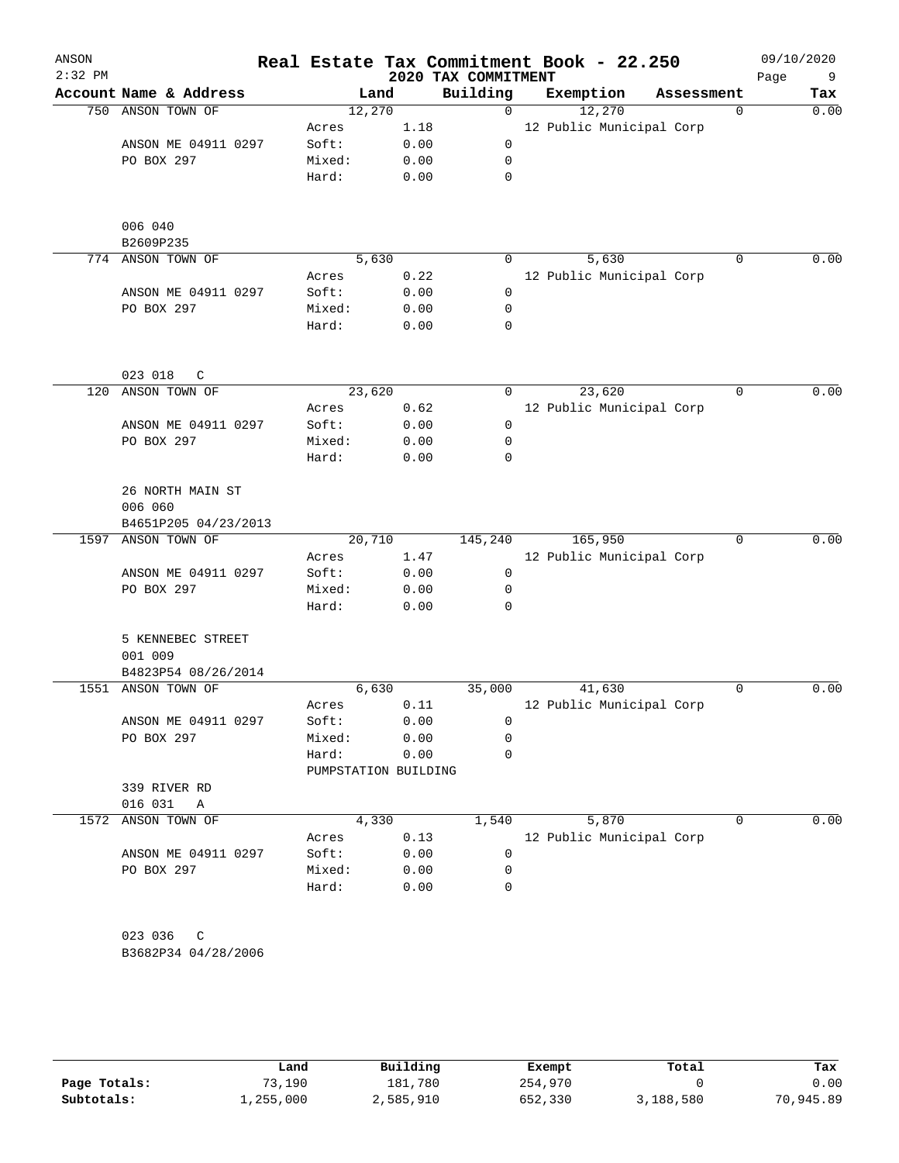| ANSON<br>$2:32$ PM |                             |                      | 2020 TAX COMMITMENT |             | Real Estate Tax Commitment Book - 22.250 |            | 09/10/2020<br>Page<br>9 |
|--------------------|-----------------------------|----------------------|---------------------|-------------|------------------------------------------|------------|-------------------------|
|                    | Account Name & Address      | Land                 |                     | Building    | Exemption                                | Assessment | Tax                     |
| 750                | ANSON TOWN OF               | 12,270               |                     | 0           | 12,270                                   |            | 0.00<br>$\mathbf 0$     |
|                    |                             | Acres                | 1.18                |             | 12 Public Municipal Corp                 |            |                         |
|                    | ANSON ME 04911 0297         | Soft:                | 0.00                | 0           |                                          |            |                         |
|                    | PO BOX 297                  | Mixed:               | 0.00                | 0           |                                          |            |                         |
|                    |                             | Hard:                | 0.00                | 0           |                                          |            |                         |
|                    | 006 040<br>B2609P235        |                      |                     |             |                                          |            |                         |
| 774                | ANSON TOWN OF               | 5,630                |                     | 0           | 5,630                                    |            | 0.00<br>0               |
|                    |                             | Acres                | 0.22                |             | 12 Public Municipal Corp                 |            |                         |
|                    | ANSON ME 04911 0297         | Soft:                | 0.00                | 0           |                                          |            |                         |
|                    | PO BOX 297                  | Mixed:               | 0.00                | 0           |                                          |            |                         |
|                    |                             | Hard:                | 0.00                | 0           |                                          |            |                         |
|                    | 023 018<br>C                |                      |                     |             |                                          |            |                         |
| 120                | ANSON TOWN OF               | 23,620               |                     | 0           | 23,620                                   |            | 0.00<br>0               |
|                    |                             | Acres                | 0.62                |             | 12 Public Municipal Corp                 |            |                         |
|                    | ANSON ME 04911 0297         | Soft:                | 0.00                | 0           |                                          |            |                         |
|                    | PO BOX 297                  | Mixed:               | 0.00                | 0           |                                          |            |                         |
|                    |                             | Hard:                | 0.00                | 0           |                                          |            |                         |
|                    | 26 NORTH MAIN ST<br>006 060 |                      |                     |             |                                          |            |                         |
|                    | B4651P205 04/23/2013        |                      |                     |             |                                          |            |                         |
| 1597               | ANSON TOWN OF               | 20,710               |                     | 145,240     | 165,950                                  |            | 0.00<br>0               |
|                    |                             | Acres                | 1.47                |             | 12 Public Municipal Corp                 |            |                         |
|                    | ANSON ME 04911 0297         | Soft:                | 0.00                | 0           |                                          |            |                         |
|                    | PO BOX 297                  | Mixed:               | 0.00                | 0           |                                          |            |                         |
|                    |                             | Hard:                | 0.00                | 0           |                                          |            |                         |
|                    | 5 KENNEBEC STREET           |                      |                     |             |                                          |            |                         |
|                    | 001 009                     |                      |                     |             |                                          |            |                         |
|                    | B4823P54 08/26/2014         |                      |                     |             |                                          |            |                         |
| 1551               | ANSON TOWN OF               | 6,630                |                     | 35,000      | 41,630                                   |            | 0.00<br>0               |
|                    |                             | Acres                | 0.11                |             | 12 Public Municipal Corp                 |            |                         |
|                    | ANSON ME 04911 0297         | Soft:                | 0.00                | 0           |                                          |            |                         |
|                    | PO BOX 297                  | Mixed:               | 0.00                | 0           |                                          |            |                         |
|                    |                             | Hard:                | 0.00                | 0           |                                          |            |                         |
|                    |                             | PUMPSTATION BUILDING |                     |             |                                          |            |                         |
|                    | 339 RIVER RD                |                      |                     |             |                                          |            |                         |
|                    | 016 031<br>Α                |                      |                     |             |                                          |            |                         |
| 1572               | ANSON TOWN OF               | 4,330                |                     | 1,540       | 5,870                                    |            | 0.00<br>0               |
|                    |                             | Acres                | 0.13                |             | 12 Public Municipal Corp                 |            |                         |
|                    | ANSON ME 04911 0297         | Soft:                | 0.00                | $\mathbf 0$ |                                          |            |                         |
|                    | PO BOX 297                  | Mixed:               | 0.00                | 0           |                                          |            |                         |
|                    |                             | Hard:                | 0.00                | 0           |                                          |            |                         |
|                    | 023 036<br>C                |                      |                     |             |                                          |            |                         |
|                    | B3682P34 04/28/2006         |                      |                     |             |                                          |            |                         |

|              | Land      | Building  | Exempt  | Total     | Tax       |
|--------------|-----------|-----------|---------|-----------|-----------|
| Page Totals: | 73,190    | 181,780   | 254,970 |           | 0.00      |
| Subtotals:   | 1,255,000 | 2,585,910 | 652,330 | 3,188,580 | 70,945.89 |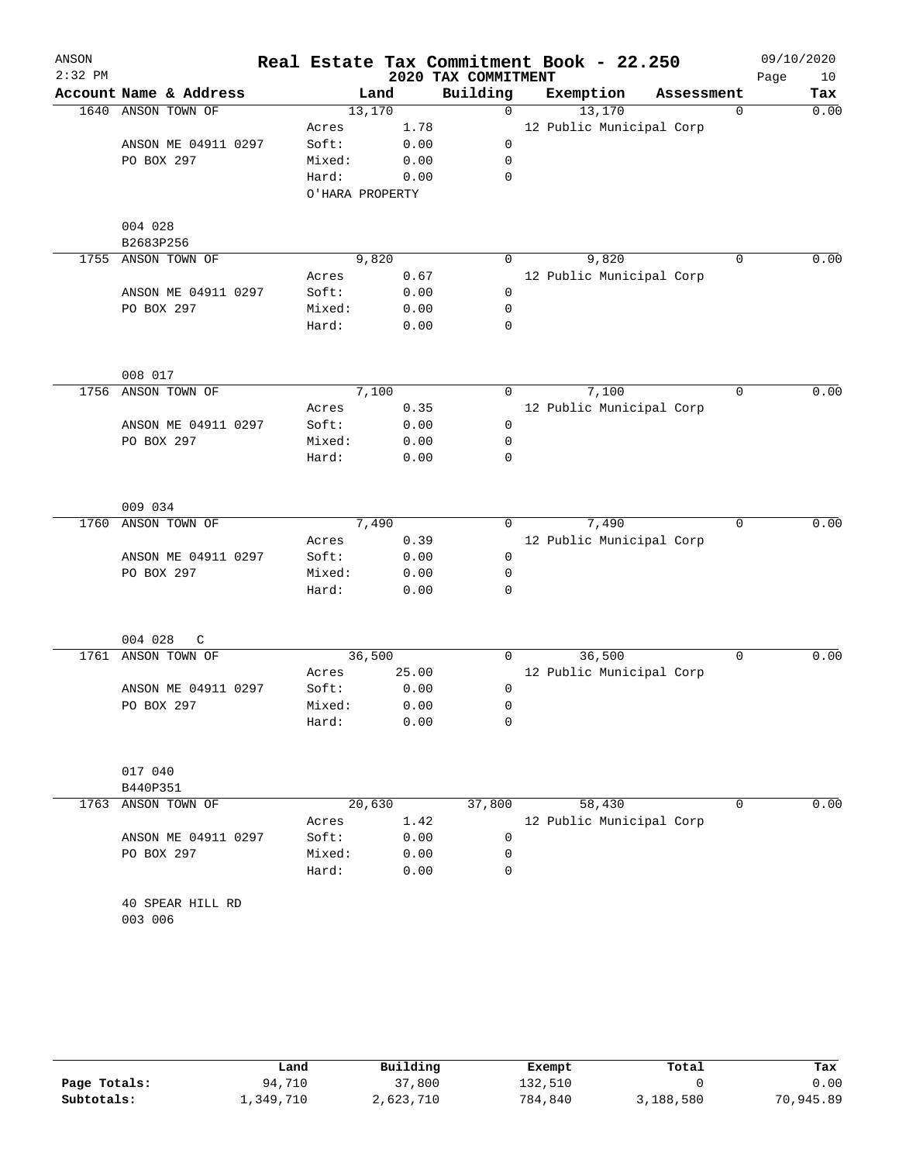|                             |                                                                                                                                                                                                                                                                        |                                                                                                                                                  |                                                                                                                                                                                                           |                                                                                     | Real Estate Tax Commitment Book - 22.250 |                                                           |                                                                                                                                                                      | 09/10/2020<br>Page<br>10            |
|-----------------------------|------------------------------------------------------------------------------------------------------------------------------------------------------------------------------------------------------------------------------------------------------------------------|--------------------------------------------------------------------------------------------------------------------------------------------------|-----------------------------------------------------------------------------------------------------------------------------------------------------------------------------------------------------------|-------------------------------------------------------------------------------------|------------------------------------------|-----------------------------------------------------------|----------------------------------------------------------------------------------------------------------------------------------------------------------------------|-------------------------------------|
| Account Name & Address      |                                                                                                                                                                                                                                                                        |                                                                                                                                                  |                                                                                                                                                                                                           |                                                                                     | Exemption                                |                                                           |                                                                                                                                                                      | Tax                                 |
| ANSON TOWN OF               |                                                                                                                                                                                                                                                                        |                                                                                                                                                  | $\mathbf 0$                                                                                                                                                                                               |                                                                                     | 13,170                                   |                                                           | 0                                                                                                                                                                    | 0.00                                |
|                             | Acres                                                                                                                                                                                                                                                                  | 1.78                                                                                                                                             |                                                                                                                                                                                                           |                                                                                     |                                          |                                                           |                                                                                                                                                                      |                                     |
| ANSON ME 04911 0297         | Soft:                                                                                                                                                                                                                                                                  | 0.00                                                                                                                                             | 0                                                                                                                                                                                                         |                                                                                     |                                          |                                                           |                                                                                                                                                                      |                                     |
| PO BOX 297                  | Mixed:                                                                                                                                                                                                                                                                 | 0.00                                                                                                                                             | 0                                                                                                                                                                                                         |                                                                                     |                                          |                                                           |                                                                                                                                                                      |                                     |
|                             | Hard:                                                                                                                                                                                                                                                                  | 0.00                                                                                                                                             | 0                                                                                                                                                                                                         |                                                                                     |                                          |                                                           |                                                                                                                                                                      |                                     |
|                             |                                                                                                                                                                                                                                                                        |                                                                                                                                                  |                                                                                                                                                                                                           |                                                                                     |                                          |                                                           |                                                                                                                                                                      |                                     |
| 004 028                     |                                                                                                                                                                                                                                                                        |                                                                                                                                                  |                                                                                                                                                                                                           |                                                                                     |                                          |                                                           |                                                                                                                                                                      |                                     |
| B2683P256                   |                                                                                                                                                                                                                                                                        |                                                                                                                                                  |                                                                                                                                                                                                           |                                                                                     |                                          |                                                           |                                                                                                                                                                      |                                     |
|                             |                                                                                                                                                                                                                                                                        |                                                                                                                                                  |                                                                                                                                                                                                           |                                                                                     |                                          |                                                           |                                                                                                                                                                      | 0.00                                |
|                             |                                                                                                                                                                                                                                                                        |                                                                                                                                                  |                                                                                                                                                                                                           |                                                                                     |                                          |                                                           |                                                                                                                                                                      |                                     |
|                             |                                                                                                                                                                                                                                                                        |                                                                                                                                                  |                                                                                                                                                                                                           |                                                                                     |                                          |                                                           |                                                                                                                                                                      |                                     |
|                             |                                                                                                                                                                                                                                                                        |                                                                                                                                                  |                                                                                                                                                                                                           |                                                                                     |                                          |                                                           |                                                                                                                                                                      |                                     |
|                             |                                                                                                                                                                                                                                                                        |                                                                                                                                                  |                                                                                                                                                                                                           |                                                                                     |                                          |                                                           |                                                                                                                                                                      |                                     |
|                             |                                                                                                                                                                                                                                                                        |                                                                                                                                                  |                                                                                                                                                                                                           |                                                                                     |                                          |                                                           |                                                                                                                                                                      |                                     |
|                             |                                                                                                                                                                                                                                                                        |                                                                                                                                                  |                                                                                                                                                                                                           |                                                                                     |                                          |                                                           | $\mathbf 0$                                                                                                                                                          | 0.00                                |
|                             |                                                                                                                                                                                                                                                                        |                                                                                                                                                  |                                                                                                                                                                                                           |                                                                                     |                                          |                                                           |                                                                                                                                                                      |                                     |
|                             |                                                                                                                                                                                                                                                                        |                                                                                                                                                  |                                                                                                                                                                                                           |                                                                                     |                                          |                                                           |                                                                                                                                                                      |                                     |
|                             |                                                                                                                                                                                                                                                                        |                                                                                                                                                  |                                                                                                                                                                                                           |                                                                                     |                                          |                                                           |                                                                                                                                                                      |                                     |
|                             |                                                                                                                                                                                                                                                                        |                                                                                                                                                  | 0                                                                                                                                                                                                         |                                                                                     |                                          |                                                           |                                                                                                                                                                      |                                     |
|                             |                                                                                                                                                                                                                                                                        |                                                                                                                                                  |                                                                                                                                                                                                           |                                                                                     |                                          |                                                           |                                                                                                                                                                      |                                     |
| 009 034                     |                                                                                                                                                                                                                                                                        |                                                                                                                                                  |                                                                                                                                                                                                           |                                                                                     |                                          |                                                           |                                                                                                                                                                      |                                     |
| ANSON TOWN OF               |                                                                                                                                                                                                                                                                        |                                                                                                                                                  | 0                                                                                                                                                                                                         |                                                                                     | 7,490                                    |                                                           | $\mathbf 0$                                                                                                                                                          | 0.00                                |
|                             | Acres                                                                                                                                                                                                                                                                  | 0.39                                                                                                                                             |                                                                                                                                                                                                           |                                                                                     |                                          |                                                           |                                                                                                                                                                      |                                     |
| ANSON ME 04911 0297         |                                                                                                                                                                                                                                                                        | 0.00                                                                                                                                             | 0                                                                                                                                                                                                         |                                                                                     |                                          |                                                           |                                                                                                                                                                      |                                     |
| PO BOX 297                  | Mixed:                                                                                                                                                                                                                                                                 | 0.00                                                                                                                                             | 0                                                                                                                                                                                                         |                                                                                     |                                          |                                                           |                                                                                                                                                                      |                                     |
|                             | Hard:                                                                                                                                                                                                                                                                  | 0.00                                                                                                                                             | 0                                                                                                                                                                                                         |                                                                                     |                                          |                                                           |                                                                                                                                                                      |                                     |
|                             |                                                                                                                                                                                                                                                                        |                                                                                                                                                  |                                                                                                                                                                                                           |                                                                                     |                                          |                                                           |                                                                                                                                                                      |                                     |
|                             |                                                                                                                                                                                                                                                                        |                                                                                                                                                  |                                                                                                                                                                                                           |                                                                                     |                                          |                                                           |                                                                                                                                                                      | 0.00                                |
|                             |                                                                                                                                                                                                                                                                        |                                                                                                                                                  |                                                                                                                                                                                                           |                                                                                     |                                          |                                                           |                                                                                                                                                                      |                                     |
|                             |                                                                                                                                                                                                                                                                        |                                                                                                                                                  |                                                                                                                                                                                                           |                                                                                     |                                          |                                                           |                                                                                                                                                                      |                                     |
|                             |                                                                                                                                                                                                                                                                        |                                                                                                                                                  |                                                                                                                                                                                                           |                                                                                     |                                          |                                                           |                                                                                                                                                                      |                                     |
|                             | Hard:                                                                                                                                                                                                                                                                  | 0.00                                                                                                                                             | 0                                                                                                                                                                                                         |                                                                                     |                                          |                                                           |                                                                                                                                                                      |                                     |
|                             |                                                                                                                                                                                                                                                                        |                                                                                                                                                  |                                                                                                                                                                                                           |                                                                                     |                                          |                                                           |                                                                                                                                                                      |                                     |
|                             |                                                                                                                                                                                                                                                                        |                                                                                                                                                  |                                                                                                                                                                                                           |                                                                                     |                                          |                                                           |                                                                                                                                                                      |                                     |
|                             |                                                                                                                                                                                                                                                                        |                                                                                                                                                  |                                                                                                                                                                                                           |                                                                                     |                                          |                                                           |                                                                                                                                                                      |                                     |
|                             |                                                                                                                                                                                                                                                                        |                                                                                                                                                  |                                                                                                                                                                                                           |                                                                                     |                                          |                                                           |                                                                                                                                                                      | 0.00                                |
|                             |                                                                                                                                                                                                                                                                        |                                                                                                                                                  |                                                                                                                                                                                                           |                                                                                     |                                          |                                                           |                                                                                                                                                                      |                                     |
|                             |                                                                                                                                                                                                                                                                        |                                                                                                                                                  |                                                                                                                                                                                                           |                                                                                     |                                          |                                                           |                                                                                                                                                                      |                                     |
|                             |                                                                                                                                                                                                                                                                        |                                                                                                                                                  |                                                                                                                                                                                                           |                                                                                     |                                          |                                                           |                                                                                                                                                                      |                                     |
|                             |                                                                                                                                                                                                                                                                        |                                                                                                                                                  |                                                                                                                                                                                                           |                                                                                     |                                          |                                                           |                                                                                                                                                                      |                                     |
| 40 SPEAR HILL RD<br>003 006 |                                                                                                                                                                                                                                                                        |                                                                                                                                                  |                                                                                                                                                                                                           |                                                                                     |                                          |                                                           |                                                                                                                                                                      |                                     |
| 1755                        | ANSON TOWN OF<br>ANSON ME 04911 0297<br>PO BOX 297<br>008 017<br>ANSON TOWN OF<br>ANSON ME 04911 0297<br>PO BOX 297<br>004 028<br>C<br>ANSON TOWN OF<br>ANSON ME 04911 0297<br>PO BOX 297<br>017 040<br>B440P351<br>ANSON TOWN OF<br>ANSON ME 04911 0297<br>PO BOX 297 | Acres<br>Soft:<br>Mixed:<br>Hard:<br>Acres<br>Soft:<br>Mixed:<br>Hard:<br>Soft:<br>Acres<br>Soft:<br>Mixed:<br>Acres<br>Soft:<br>Mixed:<br>Hard: | Land<br>13,170<br>O'HARA PROPERTY<br>9,820<br>0.67<br>0.00<br>0.00<br>0.00<br>7,100<br>0.35<br>0.00<br>0.00<br>0.00<br>7,490<br>36,500<br>25.00<br>0.00<br>0.00<br>20,630<br>1.42<br>0.00<br>0.00<br>0.00 | Building<br>0<br>0<br>0<br>0<br>0<br>0<br>0<br>0<br>0<br>0<br>37,800<br>0<br>0<br>0 |                                          | 2020 TAX COMMITMENT<br>9,820<br>7,100<br>36,500<br>58,430 | 12 Public Municipal Corp<br>12 Public Municipal Corp<br>12 Public Municipal Corp<br>12 Public Municipal Corp<br>12 Public Municipal Corp<br>12 Public Municipal Corp | Assessment<br>$\mathbf 0$<br>0<br>0 |

|              | Land      | Building  | Exempt  | Total     | Tax       |
|--------------|-----------|-----------|---------|-----------|-----------|
| Page Totals: | 94,710    | 37,800    | 132,510 |           | 0.00      |
| Subtotals:   | 1,349,710 | 2,623,710 | 784,840 | 3,188,580 | 70,945.89 |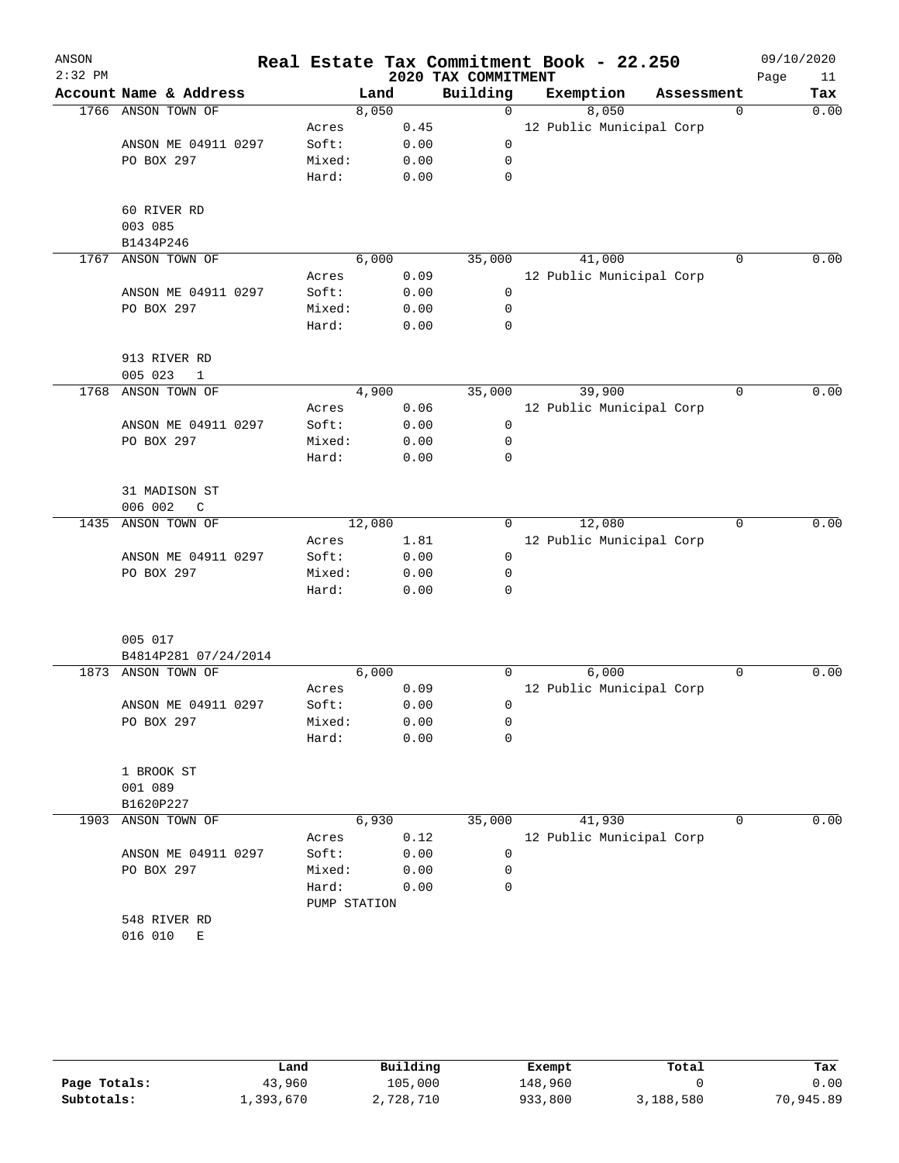| ANSON<br>$2:32$ PM |                                           |              |      | 2020 TAX COMMITMENT | Real Estate Tax Commitment Book - 22.250 |            |             | 09/10/2020<br>11<br>Page |
|--------------------|-------------------------------------------|--------------|------|---------------------|------------------------------------------|------------|-------------|--------------------------|
|                    | Account Name & Address                    | Land         |      | Building            | Exemption                                | Assessment |             | Tax                      |
| 1766               | ANSON TOWN OF                             | 8,050        |      | $\mathbf 0$         | 8,050                                    |            | $\mathbf 0$ | 0.00                     |
|                    |                                           | Acres        | 0.45 |                     | 12 Public Municipal Corp                 |            |             |                          |
|                    | ANSON ME 04911 0297                       | Soft:        | 0.00 | 0                   |                                          |            |             |                          |
|                    | PO BOX 297                                | Mixed:       | 0.00 | 0                   |                                          |            |             |                          |
|                    |                                           | Hard:        | 0.00 | 0                   |                                          |            |             |                          |
|                    |                                           |              |      |                     |                                          |            |             |                          |
|                    | 60 RIVER RD                               |              |      |                     |                                          |            |             |                          |
|                    | 003 085                                   |              |      |                     |                                          |            |             |                          |
| 1767               | B1434P246<br>ANSON TOWN OF                | 6,000        |      |                     | 41,000                                   |            | 0           | 0.00                     |
|                    |                                           |              | 0.09 | 35,000              | 12 Public Municipal Corp                 |            |             |                          |
|                    |                                           | Acres        |      |                     |                                          |            |             |                          |
|                    | ANSON ME 04911 0297                       | Soft:        | 0.00 | 0                   |                                          |            |             |                          |
|                    | PO BOX 297                                | Mixed:       | 0.00 | 0<br>0              |                                          |            |             |                          |
|                    |                                           | Hard:        | 0.00 |                     |                                          |            |             |                          |
|                    | 913 RIVER RD                              |              |      |                     |                                          |            |             |                          |
|                    | 005 023<br>$\mathbf{1}$                   |              |      |                     |                                          |            |             |                          |
| 1768               | ANSON TOWN OF                             | 4,900        |      | 35,000              | 39,900                                   |            | $\mathbf 0$ | 0.00                     |
|                    |                                           | Acres        | 0.06 |                     | 12 Public Municipal Corp                 |            |             |                          |
|                    | ANSON ME 04911 0297                       | Soft:        | 0.00 | 0                   |                                          |            |             |                          |
|                    | PO BOX 297                                | Mixed:       | 0.00 | 0                   |                                          |            |             |                          |
|                    |                                           | Hard:        | 0.00 | 0                   |                                          |            |             |                          |
|                    |                                           |              |      |                     |                                          |            |             |                          |
|                    | 31 MADISON ST                             |              |      |                     |                                          |            |             |                          |
| 1435               | 006 002<br>$\mathcal{C}$<br>ANSON TOWN OF | 12,080       |      | 0                   | 12,080                                   |            | 0           | 0.00                     |
|                    |                                           | Acres        | 1.81 |                     | 12 Public Municipal Corp                 |            |             |                          |
|                    | ANSON ME 04911 0297                       | Soft:        | 0.00 | 0                   |                                          |            |             |                          |
|                    | PO BOX 297                                | Mixed:       | 0.00 | 0                   |                                          |            |             |                          |
|                    |                                           | Hard:        | 0.00 | 0                   |                                          |            |             |                          |
|                    |                                           |              |      |                     |                                          |            |             |                          |
|                    |                                           |              |      |                     |                                          |            |             |                          |
|                    | 005 017<br>B4814P281 07/24/2014           |              |      |                     |                                          |            |             |                          |
| 1873               | ANSON TOWN OF                             | 6,000        |      | 0                   | 6,000                                    |            | 0           | 0.00                     |
|                    |                                           | Acres        | 0.09 |                     | 12 Public Municipal Corp                 |            |             |                          |
|                    | ANSON ME 04911 0297                       | Soft:        | 0.00 | 0                   |                                          |            |             |                          |
|                    | PO BOX 297                                | Mixed:       | 0.00 | 0                   |                                          |            |             |                          |
|                    |                                           | Hard:        | 0.00 | 0                   |                                          |            |             |                          |
|                    |                                           |              |      |                     |                                          |            |             |                          |
|                    | 1 BROOK ST                                |              |      |                     |                                          |            |             |                          |
|                    | 001 089                                   |              |      |                     |                                          |            |             |                          |
|                    | B1620P227                                 |              |      |                     |                                          |            |             |                          |
| 1903               | ANSON TOWN OF                             | 6,930        |      | 35,000              | 41,930                                   |            | 0           | 0.00                     |
|                    |                                           | Acres        | 0.12 |                     | 12 Public Municipal Corp                 |            |             |                          |
|                    | ANSON ME 04911 0297                       | Soft:        | 0.00 | 0                   |                                          |            |             |                          |
|                    | PO BOX 297                                | Mixed:       | 0.00 | 0                   |                                          |            |             |                          |
|                    |                                           | Hard:        | 0.00 | 0                   |                                          |            |             |                          |
|                    |                                           | PUMP STATION |      |                     |                                          |            |             |                          |
|                    | 548 RIVER RD                              |              |      |                     |                                          |            |             |                          |
|                    | 016 010<br>Е                              |              |      |                     |                                          |            |             |                          |
|                    |                                           |              |      |                     |                                          |            |             |                          |

|              | Land      | Building  | Exempt  | Total     | Tax       |
|--------------|-----------|-----------|---------|-----------|-----------|
| Page Totals: | 43,960    | 105,000   | 148,960 |           | 0.00      |
| Subtotals:   | 1,393,670 | 2,728,710 | 933,800 | 3,188,580 | 70,945.89 |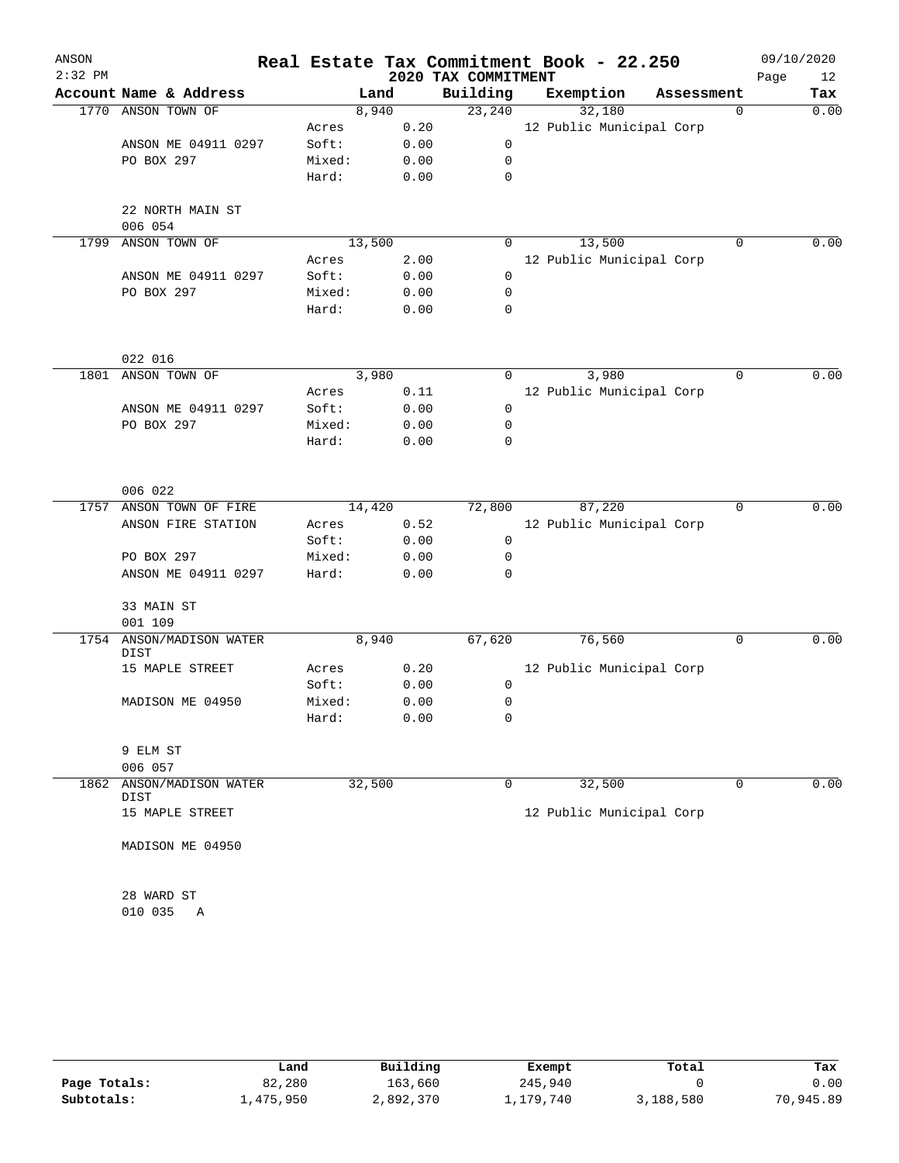| ANSON     |                             |        |        |      |                     | Real Estate Tax Commitment Book - 22.250 |            |             | 09/10/2020 |      |
|-----------|-----------------------------|--------|--------|------|---------------------|------------------------------------------|------------|-------------|------------|------|
| $2:32$ PM |                             |        |        |      | 2020 TAX COMMITMENT |                                          |            |             | Page       | 12   |
|           | Account Name & Address      |        | Land   |      | Building            | Exemption                                | Assessment |             |            | Tax  |
| 1770      | ANSON TOWN OF               |        | 8,940  |      | 23,240              | 32,180                                   |            | $\mathbf 0$ |            | 0.00 |
|           |                             | Acres  |        | 0.20 |                     | 12 Public Municipal Corp                 |            |             |            |      |
|           | ANSON ME 04911 0297         | Soft:  |        | 0.00 | 0                   |                                          |            |             |            |      |
|           | PO BOX 297                  | Mixed: |        | 0.00 | 0                   |                                          |            |             |            |      |
|           |                             | Hard:  |        | 0.00 | 0                   |                                          |            |             |            |      |
|           | 22 NORTH MAIN ST            |        |        |      |                     |                                          |            |             |            |      |
|           | 006 054                     |        |        |      |                     |                                          |            |             |            |      |
| 1799      | ANSON TOWN OF               |        | 13,500 |      | 0                   | 13,500                                   |            | 0           |            | 0.00 |
|           |                             | Acres  |        | 2.00 |                     | 12 Public Municipal Corp                 |            |             |            |      |
|           | ANSON ME 04911 0297         | Soft:  |        | 0.00 | 0                   |                                          |            |             |            |      |
|           | PO BOX 297                  | Mixed: |        | 0.00 | 0                   |                                          |            |             |            |      |
|           |                             | Hard:  |        | 0.00 | 0                   |                                          |            |             |            |      |
|           | 022 016                     |        |        |      |                     |                                          |            |             |            |      |
| 1801      | ANSON TOWN OF               |        | 3,980  |      | 0                   | 3,980                                    |            | 0           |            | 0.00 |
|           |                             | Acres  |        | 0.11 |                     | 12 Public Municipal Corp                 |            |             |            |      |
|           | ANSON ME 04911 0297         | Soft:  |        | 0.00 | 0                   |                                          |            |             |            |      |
|           | PO BOX 297                  | Mixed: |        | 0.00 | 0                   |                                          |            |             |            |      |
|           |                             | Hard:  |        | 0.00 | 0                   |                                          |            |             |            |      |
|           |                             |        |        |      |                     |                                          |            |             |            |      |
|           | 006 022                     |        |        |      |                     |                                          |            |             |            |      |
| 1757      | ANSON TOWN OF FIRE          |        | 14,420 |      | 72,800              | 87,220                                   |            | 0           |            | 0.00 |
|           | ANSON FIRE STATION          | Acres  |        | 0.52 |                     | 12 Public Municipal Corp                 |            |             |            |      |
|           |                             | Soft:  |        | 0.00 | 0                   |                                          |            |             |            |      |
|           | PO BOX 297                  | Mixed: |        | 0.00 | 0                   |                                          |            |             |            |      |
|           | ANSON ME 04911 0297         | Hard:  |        | 0.00 | 0                   |                                          |            |             |            |      |
|           | 33 MAIN ST                  |        |        |      |                     |                                          |            |             |            |      |
|           | 001 109                     |        |        |      |                     |                                          |            |             |            |      |
| 1754      | ANSON/MADISON WATER<br>DIST |        | 8,940  |      | 67,620              | 76,560                                   |            | 0           |            | 0.00 |
|           | 15 MAPLE STREET             | Acres  |        | 0.20 |                     | 12 Public Municipal Corp                 |            |             |            |      |
|           |                             | Soft:  |        | 0.00 | 0                   |                                          |            |             |            |      |
|           | MADISON ME 04950            | Mixed: |        | 0.00 | 0                   |                                          |            |             |            |      |
|           |                             | Hard:  |        | 0.00 | 0                   |                                          |            |             |            |      |
|           | 9 ELM ST                    |        |        |      |                     |                                          |            |             |            |      |
|           | 006 057                     |        |        |      |                     |                                          |            |             |            |      |
| 1862      | ANSON/MADISON WATER<br>DIST |        | 32,500 |      | 0                   | 32,500                                   |            | 0           |            | 0.00 |
|           | 15 MAPLE STREET             |        |        |      |                     | 12 Public Municipal Corp                 |            |             |            |      |
|           | MADISON ME 04950            |        |        |      |                     |                                          |            |             |            |      |
|           | 28 WARD ST                  |        |        |      |                     |                                          |            |             |            |      |
|           | 010 035<br>Α                |        |        |      |                     |                                          |            |             |            |      |
|           |                             |        |        |      |                     |                                          |            |             |            |      |

|              | Land      | Building  | Exempt    | Total     | Tax       |
|--------------|-----------|-----------|-----------|-----------|-----------|
| Page Totals: | 82,280    | 163,660   | 245,940   |           | 0.00      |
| Subtotals:   | 1,475,950 | 2,892,370 | ⊥,179,740 | 3,188,580 | 70,945.89 |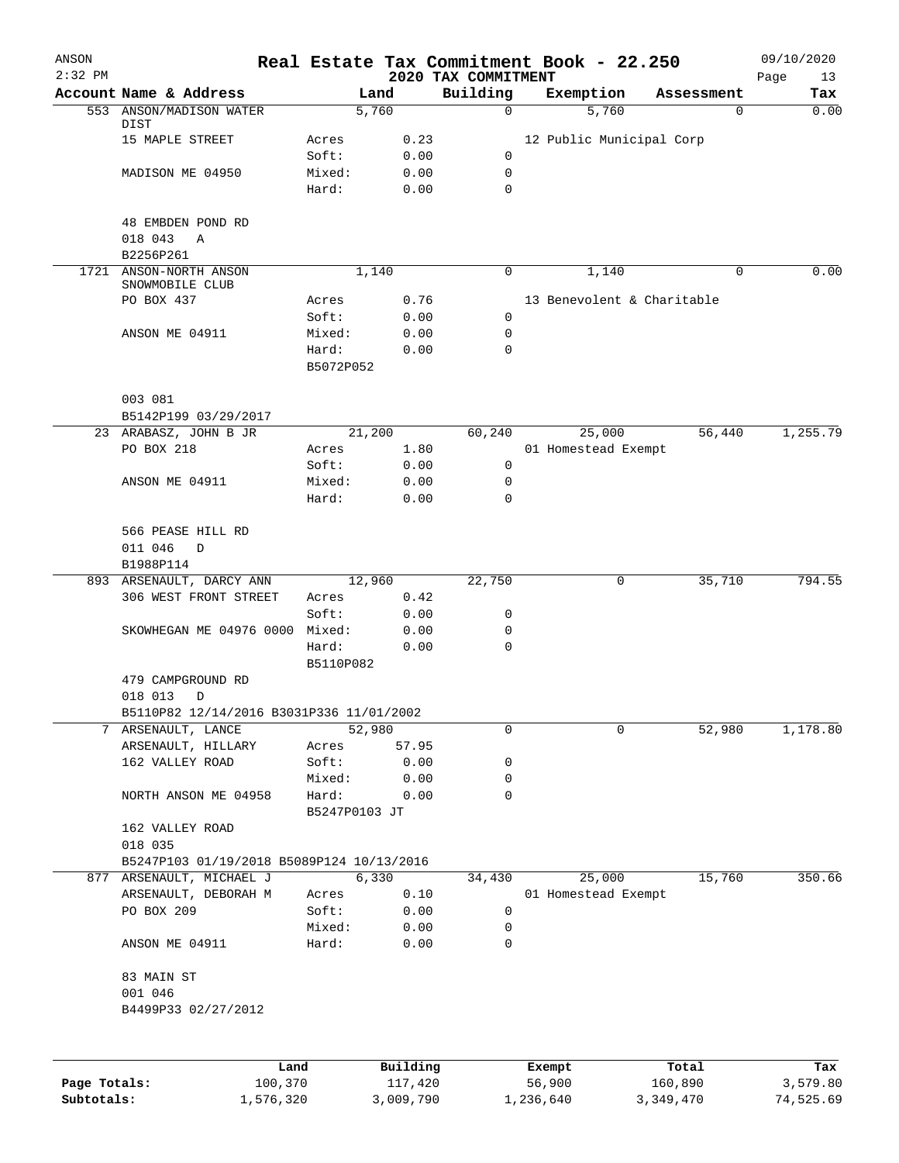| ANSON<br>$2:32$ PM |                                           |               |              | 2020 TAX COMMITMENT |        | Real Estate Tax Commitment Book - 22.250 |            | 09/10/2020<br>Page<br>13 |
|--------------------|-------------------------------------------|---------------|--------------|---------------------|--------|------------------------------------------|------------|--------------------------|
|                    | Account Name & Address                    |               | Land         | Building            |        | Exemption                                | Assessment | Tax                      |
|                    | 553 ANSON/MADISON WATER                   |               | 5,760        | $\mathsf{O}$        |        | 5,760                                    | 0          | 0.00                     |
|                    | DIST<br>15 MAPLE STREET                   | Acres         | 0.23         |                     |        | 12 Public Municipal Corp                 |            |                          |
|                    |                                           | Soft:         | 0.00         | 0                   |        |                                          |            |                          |
|                    | MADISON ME 04950                          | Mixed:        | 0.00         | 0                   |        |                                          |            |                          |
|                    |                                           | Hard:         | 0.00         | 0                   |        |                                          |            |                          |
|                    |                                           |               |              |                     |        |                                          |            |                          |
|                    | 48 EMBDEN POND RD                         |               |              |                     |        |                                          |            |                          |
|                    | 018 043<br>Α<br>B2256P261                 |               |              |                     |        |                                          |            |                          |
|                    | 1721 ANSON-NORTH ANSON                    |               | 1,140        | $\mathbf 0$         |        | 1,140                                    | $\Omega$   | 0.00                     |
|                    | SNOWMOBILE CLUB                           |               |              |                     |        |                                          |            |                          |
|                    | PO BOX 437                                | Acres         | 0.76         |                     |        | 13 Benevolent & Charitable               |            |                          |
|                    |                                           | Soft:         | 0.00         | 0                   |        |                                          |            |                          |
|                    | ANSON ME 04911                            | Mixed:        | 0.00         | 0                   |        |                                          |            |                          |
|                    |                                           | Hard:         | 0.00         | $\Omega$            |        |                                          |            |                          |
|                    |                                           | B5072P052     |              |                     |        |                                          |            |                          |
|                    | 003 081                                   |               |              |                     |        |                                          |            |                          |
|                    | B5142P199 03/29/2017                      |               |              |                     |        |                                          |            |                          |
|                    | 23 ARABASZ, JOHN B JR                     |               | 21,200       | 60,240              |        | 25,000                                   | 56,440     | 1,255.79                 |
|                    | PO BOX 218                                | Acres         | 1.80         |                     |        | 01 Homestead Exempt                      |            |                          |
|                    |                                           | Soft:         | 0.00         | 0                   |        |                                          |            |                          |
|                    | ANSON ME 04911                            | Mixed:        | 0.00         | 0                   |        |                                          |            |                          |
|                    |                                           | Hard:         | 0.00         | $\Omega$            |        |                                          |            |                          |
|                    |                                           |               |              |                     |        |                                          |            |                          |
|                    | 566 PEASE HILL RD                         |               |              |                     |        |                                          |            |                          |
|                    | 011 046<br>D                              |               |              |                     |        |                                          |            |                          |
|                    | B1988P114                                 |               |              |                     |        |                                          |            |                          |
|                    | 893 ARSENAULT, DARCY ANN                  |               | 12,960       | 22,750              |        | 0                                        | 35,710     | 794.55                   |
|                    | 306 WEST FRONT STREET                     | Acres         | 0.42         |                     |        |                                          |            |                          |
|                    | SKOWHEGAN ME 04976 0000 Mixed:            | Soft:         | 0.00         | 0<br>0              |        |                                          |            |                          |
|                    |                                           | Hard:         | 0.00<br>0.00 | 0                   |        |                                          |            |                          |
|                    |                                           | B5110P082     |              |                     |        |                                          |            |                          |
|                    | 479 CAMPGROUND RD                         |               |              |                     |        |                                          |            |                          |
|                    | 018 013<br>D                              |               |              |                     |        |                                          |            |                          |
|                    | B5110P82 12/14/2016 B3031P336 11/01/2002  |               |              |                     |        |                                          |            |                          |
|                    | 7 ARSENAULT, LANCE                        |               | 52,980       | 0                   |        | 0                                        | 52,980     | 1,178.80                 |
|                    | ARSENAULT, HILLARY                        | Acres         | 57.95        |                     |        |                                          |            |                          |
|                    | 162 VALLEY ROAD                           | Soft:         | 0.00         | 0                   |        |                                          |            |                          |
|                    |                                           | Mixed:        | 0.00         | 0                   |        |                                          |            |                          |
|                    | NORTH ANSON ME 04958                      | Hard:         | 0.00         | 0                   |        |                                          |            |                          |
|                    |                                           | B5247P0103 JT |              |                     |        |                                          |            |                          |
|                    | 162 VALLEY ROAD                           |               |              |                     |        |                                          |            |                          |
|                    | 018 035                                   |               |              |                     |        |                                          |            |                          |
|                    | B5247P103 01/19/2018 B5089P124 10/13/2016 |               |              |                     |        |                                          |            |                          |
|                    | 877 ARSENAULT, MICHAEL J                  |               | 6,330        | 34,430              |        | 25,000                                   | 15,760     | 350.66                   |
|                    | ARSENAULT, DEBORAH M                      | Acres         | 0.10         |                     |        | 01 Homestead Exempt                      |            |                          |
|                    | PO BOX 209                                | Soft:         | 0.00         | 0                   |        |                                          |            |                          |
|                    |                                           | Mixed:        | 0.00         | 0                   |        |                                          |            |                          |
|                    | ANSON ME 04911                            | Hard:         | 0.00         | 0                   |        |                                          |            |                          |
|                    | 83 MAIN ST                                |               |              |                     |        |                                          |            |                          |
|                    | 001 046                                   |               |              |                     |        |                                          |            |                          |
|                    | B4499P33 02/27/2012                       |               |              |                     |        |                                          |            |                          |
|                    |                                           |               |              |                     |        |                                          |            |                          |
|                    |                                           |               |              |                     |        |                                          |            |                          |
|                    | Land                                      |               | Building     |                     | Exempt |                                          | Total      | Tax                      |
| Page Totals:       | 100,370                                   |               | 117,420      |                     | 56,900 |                                          | 160,890    | 3,579.80                 |

**Subtotals:** 1,576,320 3,009,790 1,236,640 3,349,470 74,525.69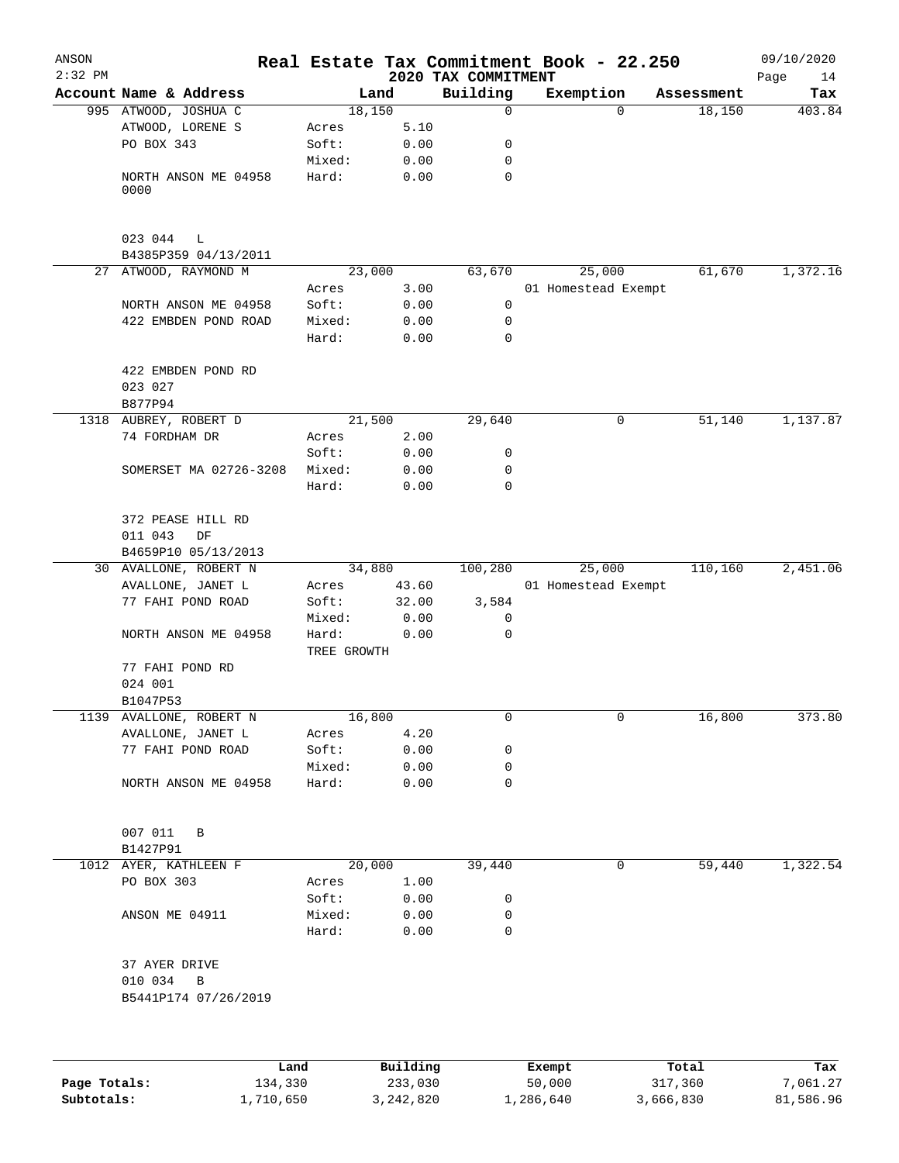| ANSON<br>$2:32$ PM         |                         |                      |                        | 2020 TAX COMMITMENT | Real Estate Tax Commitment Book - 22.250 |                      | 09/10/2020            |
|----------------------------|-------------------------|----------------------|------------------------|---------------------|------------------------------------------|----------------------|-----------------------|
|                            | Account Name & Address  | Land                 |                        | Building            | Exemption                                | Assessment           | Page<br>14<br>Tax     |
|                            | 995 ATWOOD, JOSHUA C    | 18,150               |                        | $\mathbf 0$         | $\Omega$                                 | 18,150               | 403.84                |
|                            | ATWOOD, LORENE S        | Acres                | 5.10                   |                     |                                          |                      |                       |
|                            | PO BOX 343              | Soft:                | 0.00                   | 0                   |                                          |                      |                       |
|                            |                         | Mixed:               | 0.00                   | 0                   |                                          |                      |                       |
|                            | NORTH ANSON ME 04958    | Hard:                | 0.00                   | 0                   |                                          |                      |                       |
|                            | 0000                    |                      |                        |                     |                                          |                      |                       |
|                            | 023 044<br>L            |                      |                        |                     |                                          |                      |                       |
|                            | B4385P359 04/13/2011    |                      |                        |                     |                                          |                      |                       |
|                            | 27 ATWOOD, RAYMOND M    | 23,000               |                        | 63,670              | 25,000                                   | 61,670               | 1,372.16              |
|                            |                         | Acres                | 3.00                   |                     | 01 Homestead Exempt                      |                      |                       |
|                            | NORTH ANSON ME 04958    | Soft:                | 0.00                   | 0                   |                                          |                      |                       |
|                            | 422 EMBDEN POND ROAD    | Mixed:               | 0.00                   | 0                   |                                          |                      |                       |
|                            |                         | Hard:                | 0.00                   | 0                   |                                          |                      |                       |
|                            | 422 EMBDEN POND RD      |                      |                        |                     |                                          |                      |                       |
|                            | 023 027                 |                      |                        |                     |                                          |                      |                       |
|                            | B877P94                 |                      |                        |                     |                                          | 51,140               |                       |
|                            | 1318 AUBREY, ROBERT D   | 21,500               |                        | 29,640              | 0                                        |                      | 1,137.87              |
|                            | 74 FORDHAM DR           | Acres                | 2.00                   |                     |                                          |                      |                       |
|                            |                         | Soft:                | 0.00                   | 0                   |                                          |                      |                       |
|                            | SOMERSET MA 02726-3208  | Mixed:               | 0.00                   | 0                   |                                          |                      |                       |
|                            |                         | Hard:                | 0.00                   | 0                   |                                          |                      |                       |
|                            | 372 PEASE HILL RD       |                      |                        |                     |                                          |                      |                       |
|                            | 011 043<br>DF           |                      |                        |                     |                                          |                      |                       |
|                            | B4659P10 05/13/2013     |                      |                        |                     |                                          |                      |                       |
|                            | 30 AVALLONE, ROBERT N   | 34,880               |                        | 100,280             | 25,000                                   | 110,160              | 2,451.06              |
|                            | AVALLONE, JANET L       | Acres                | 43.60                  |                     | 01 Homestead Exempt                      |                      |                       |
|                            | 77 FAHI POND ROAD       | Soft:                | 32.00                  | 3,584               |                                          |                      |                       |
|                            |                         | Mixed:               | 0.00                   | 0                   |                                          |                      |                       |
|                            | NORTH ANSON ME 04958    | Hard:<br>TREE GROWTH | 0.00                   | 0                   |                                          |                      |                       |
|                            | 77 FAHI POND RD         |                      |                        |                     |                                          |                      |                       |
|                            | 024 001                 |                      |                        |                     |                                          |                      |                       |
|                            | B1047P53                |                      |                        |                     |                                          |                      |                       |
| 1139                       | AVALLONE, ROBERT N      | 16,800               |                        | 0                   | 0                                        | 16,800               | 373.80                |
|                            | AVALLONE, JANET L       | Acres                | 4.20                   |                     |                                          |                      |                       |
|                            | 77 FAHI POND ROAD       | Soft:                | 0.00                   | 0                   |                                          |                      |                       |
|                            |                         | Mixed:               | 0.00                   | 0                   |                                          |                      |                       |
|                            | NORTH ANSON ME 04958    | Hard:                | 0.00                   | 0                   |                                          |                      |                       |
|                            | 007 011<br>B            |                      |                        |                     |                                          |                      |                       |
|                            | B1427P91                |                      |                        |                     |                                          |                      |                       |
|                            | 1012 AYER, KATHLEEN F   | 20,000               |                        | 39,440              | 0                                        | 59,440               | 1,322.54              |
|                            | PO BOX 303              | Acres                | 1.00                   |                     |                                          |                      |                       |
|                            |                         | Soft:                | 0.00                   | 0                   |                                          |                      |                       |
|                            | ANSON ME 04911          | Mixed:               | 0.00                   | 0                   |                                          |                      |                       |
|                            |                         | Hard:                | 0.00                   | 0                   |                                          |                      |                       |
|                            | 37 AYER DRIVE           |                      |                        |                     |                                          |                      |                       |
|                            | 010 034<br>$\, {\bf B}$ |                      |                        |                     |                                          |                      |                       |
|                            | B5441P174 07/26/2019    |                      |                        |                     |                                          |                      |                       |
|                            |                         |                      |                        |                     |                                          |                      |                       |
|                            | Land                    |                      | Building               |                     | Exempt                                   | Total                | Tax                   |
| Page Totals:<br>Subtotals: | 134,330<br>1,710,650    |                      | 233,030<br>3, 242, 820 |                     | 50,000<br>1,286,640                      | 317,360<br>3,666,830 | 7,061.27<br>81,586.96 |
|                            |                         |                      |                        |                     |                                          |                      |                       |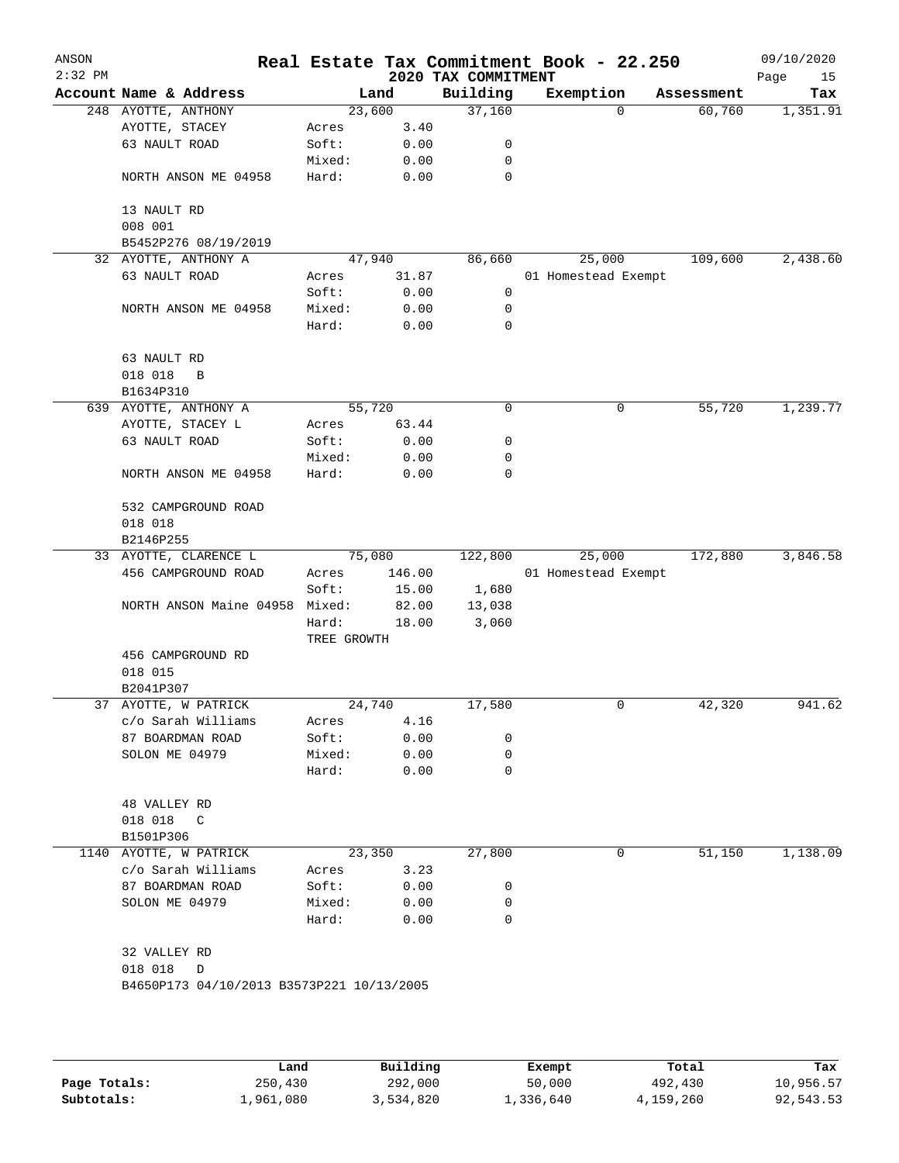| ANSON<br>$2:32$ PM |                                           |                 |              | 2020 TAX COMMITMENT | Real Estate Tax Commitment Book - 22.250 |            | 09/10/2020<br>Page<br>15 |
|--------------------|-------------------------------------------|-----------------|--------------|---------------------|------------------------------------------|------------|--------------------------|
|                    | Account Name & Address                    |                 | Land         | Building            | Exemption                                | Assessment | Tax                      |
|                    | 248 AYOTTE, ANTHONY                       | 23,600          |              | 37,160              | 0                                        | 60,760     | 1,351.91                 |
|                    | AYOTTE, STACEY                            | Acres           | 3.40         |                     |                                          |            |                          |
|                    | 63 NAULT ROAD                             | Soft:           | 0.00         | 0                   |                                          |            |                          |
|                    |                                           | Mixed:          | 0.00         | 0                   |                                          |            |                          |
|                    | NORTH ANSON ME 04958                      | Hard:           | 0.00         | $\mathbf 0$         |                                          |            |                          |
|                    | 13 NAULT RD                               |                 |              |                     |                                          |            |                          |
|                    | 008 001                                   |                 |              |                     |                                          |            |                          |
|                    | B5452P276 08/19/2019                      |                 |              |                     |                                          |            |                          |
|                    | 32 AYOTTE, ANTHONY A                      |                 | 47,940       | 86,660              | 25,000                                   | 109,600    | 2,438.60                 |
|                    | 63 NAULT ROAD                             | Acres           | 31.87        | 0                   | 01 Homestead Exempt                      |            |                          |
|                    |                                           | Soft:           | 0.00         |                     |                                          |            |                          |
|                    | NORTH ANSON ME 04958                      | Mixed:          | 0.00         | 0                   |                                          |            |                          |
|                    |                                           | Hard:           | 0.00         | 0                   |                                          |            |                          |
|                    | 63 NAULT RD                               |                 |              |                     |                                          |            |                          |
|                    | 018 018<br>B                              |                 |              |                     |                                          |            |                          |
|                    | B1634P310                                 |                 |              |                     |                                          |            |                          |
|                    | 639 AYOTTE, ANTHONY A                     | 55,720          |              | 0                   | 0                                        | 55,720     | 1,239.77                 |
|                    | AYOTTE, STACEY L                          | Acres           | 63.44        |                     |                                          |            |                          |
|                    | 63 NAULT ROAD                             | Soft:           | 0.00         | 0                   |                                          |            |                          |
|                    |                                           | Mixed:          | 0.00         | 0                   |                                          |            |                          |
|                    | NORTH ANSON ME 04958                      | Hard:           | 0.00         | 0                   |                                          |            |                          |
|                    | 532 CAMPGROUND ROAD                       |                 |              |                     |                                          |            |                          |
|                    | 018 018                                   |                 |              |                     |                                          |            |                          |
|                    | B2146P255                                 |                 |              |                     |                                          |            |                          |
|                    | 33 AYOTTE, CLARENCE L                     |                 | 75,080       | 122,800             | 25,000                                   | 172,880    | 3,846.58                 |
|                    | 456 CAMPGROUND ROAD                       | Acres           | 146.00       |                     | 01 Homestead Exempt                      |            |                          |
|                    |                                           | Soft:           | 15.00        | 1,680               |                                          |            |                          |
|                    | NORTH ANSON Maine 04958                   | Mixed:          | 82.00        | 13,038              |                                          |            |                          |
|                    |                                           | Hard:           | 18.00        | 3,060               |                                          |            |                          |
|                    |                                           | TREE GROWTH     |              |                     |                                          |            |                          |
|                    | 456 CAMPGROUND RD                         |                 |              |                     |                                          |            |                          |
|                    | 018 015                                   |                 |              |                     |                                          |            |                          |
|                    | B2041P307                                 |                 |              |                     |                                          |            |                          |
|                    | 37 AYOTTE, W PATRICK                      | 24,740          |              | 17,580              | 0                                        | 42,320     | 941.62                   |
|                    | c/o Sarah Williams                        | Acres           | 4.16         |                     |                                          |            |                          |
|                    | 87 BOARDMAN ROAD                          | Soft:           | 0.00         | 0                   |                                          |            |                          |
|                    | SOLON ME 04979                            | Mixed:          | 0.00         | 0                   |                                          |            |                          |
|                    |                                           | Hard:           | 0.00         | 0                   |                                          |            |                          |
|                    | 48 VALLEY RD                              |                 |              |                     |                                          |            |                          |
|                    | 018 018 C                                 |                 |              |                     |                                          |            |                          |
|                    | B1501P306                                 |                 |              |                     |                                          |            |                          |
|                    | 1140 AYOTTE, W PATRICK                    |                 | 23,350       | 27,800              | 0                                        | 51,150     | 1,138.09                 |
|                    |                                           |                 | 3.23         |                     |                                          |            |                          |
|                    | c/o Sarah Williams                        | Acres           |              |                     |                                          |            |                          |
|                    | 87 BOARDMAN ROAD                          | Soft:           | 0.00         | 0                   |                                          |            |                          |
|                    | SOLON ME 04979                            | Mixed:<br>Hard: | 0.00<br>0.00 | 0<br>0              |                                          |            |                          |
|                    |                                           |                 |              |                     |                                          |            |                          |
|                    | 32 VALLEY RD                              |                 |              |                     |                                          |            |                          |
|                    | 018 018<br>D                              |                 |              |                     |                                          |            |                          |
|                    | B4650P173 04/10/2013 B3573P221 10/13/2005 |                 |              |                     |                                          |            |                          |
|                    |                                           |                 |              |                     |                                          |            |                          |
|                    |                                           |                 |              |                     |                                          |            |                          |
|                    |                                           |                 |              |                     |                                          |            |                          |

|              | Land      | Building  | Exempt    | Total     | Tax       |
|--------------|-----------|-----------|-----------|-----------|-----------|
| Page Totals: | 250,430   | 292,000   | 50,000    | 492,430   | 10,956.57 |
| Subtotals:   | 1,961,080 | 3,534,820 | 1,336,640 | 4,159,260 | 92,543.53 |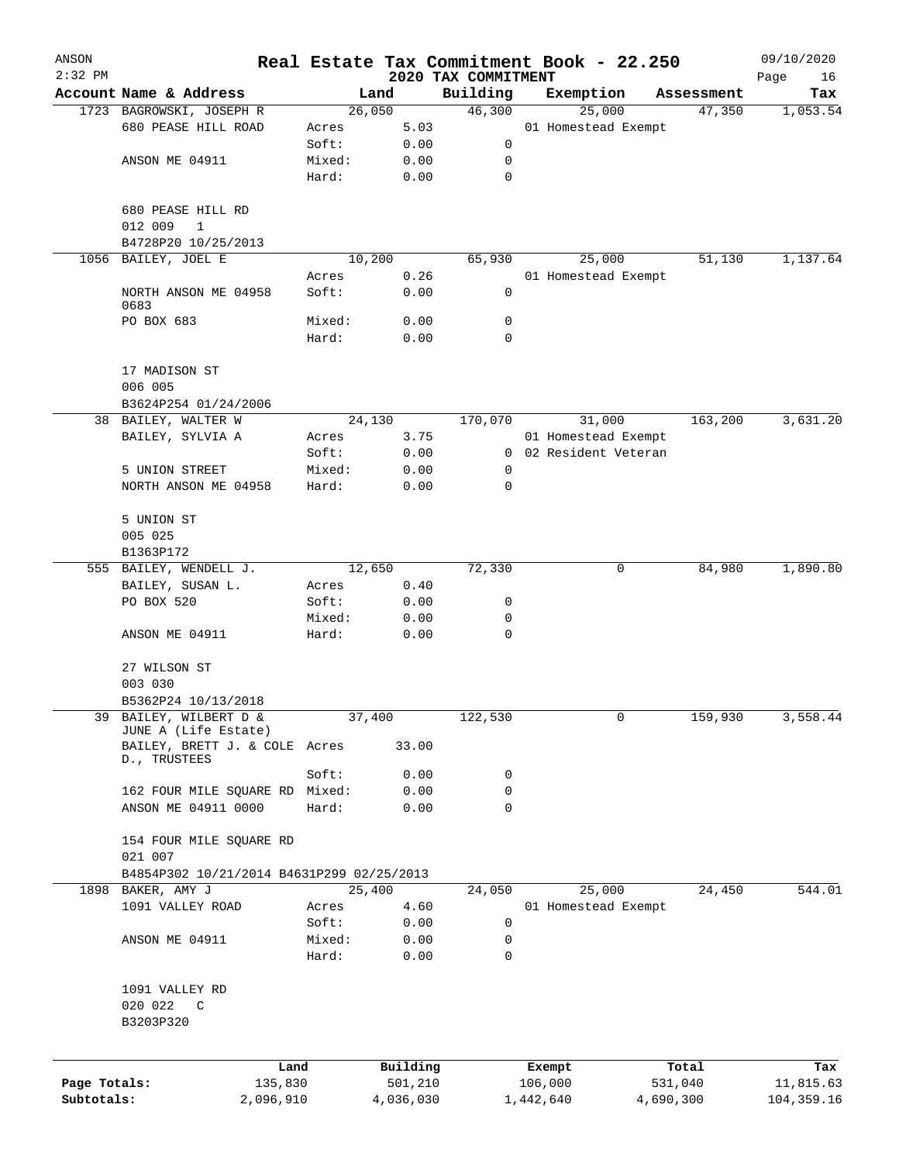| ANSON<br>$2:32$ PM |                                                       |                 |              |                                 | Real Estate Tax Commitment Book - 22.250 |            | 09/10/2020        |
|--------------------|-------------------------------------------------------|-----------------|--------------|---------------------------------|------------------------------------------|------------|-------------------|
|                    | Account Name & Address                                |                 | Land         | 2020 TAX COMMITMENT<br>Building | Exemption                                | Assessment | Page<br>16<br>Tax |
|                    | 1723 BAGROWSKI, JOSEPH R                              |                 | 26,050       | 46,300                          | 25,000                                   | 47,350     | 1,053.54          |
|                    | 680 PEASE HILL ROAD                                   | Acres           | 5.03         |                                 | 01 Homestead Exempt                      |            |                   |
|                    |                                                       | Soft:           | 0.00         | 0                               |                                          |            |                   |
|                    | ANSON ME 04911                                        | Mixed:          | 0.00         | 0                               |                                          |            |                   |
|                    |                                                       | Hard:           | 0.00         | 0                               |                                          |            |                   |
|                    | 680 PEASE HILL RD                                     |                 |              |                                 |                                          |            |                   |
|                    | 012 009<br>1                                          |                 |              |                                 |                                          |            |                   |
|                    | B4728P20 10/25/2013                                   |                 |              |                                 |                                          |            |                   |
| 1056               | BAILEY, JOEL E                                        |                 | 10,200       | 65,930                          | 25,000                                   | 51, 130    | 1,137.64          |
|                    |                                                       | Acres           | 0.26         |                                 | 01 Homestead Exempt                      |            |                   |
|                    | NORTH ANSON ME 04958<br>0683                          | Soft:           | 0.00         | 0                               |                                          |            |                   |
|                    | PO BOX 683                                            | Mixed:          | 0.00         | 0                               |                                          |            |                   |
|                    |                                                       | Hard:           | 0.00         | 0                               |                                          |            |                   |
|                    | 17 MADISON ST<br>006 005                              |                 |              |                                 |                                          |            |                   |
|                    | B3624P254 01/24/2006                                  |                 |              |                                 |                                          |            |                   |
| 38                 | BAILEY, WALTER W                                      |                 | 24,130       | 170,070                         | 31,000                                   | 163,200    | 3,631.20          |
|                    | BAILEY, SYLVIA A                                      | Acres           | 3.75         |                                 | 01 Homestead Exempt                      |            |                   |
|                    |                                                       | Soft:           | 0.00         | $\mathbf{0}$                    | 02 Resident Veteran                      |            |                   |
|                    | 5 UNION STREET                                        | Mixed:          | 0.00         | 0                               |                                          |            |                   |
|                    | NORTH ANSON ME 04958                                  | Hard:           | 0.00         | 0                               |                                          |            |                   |
|                    | 5 UNION ST                                            |                 |              |                                 |                                          |            |                   |
|                    | 005 025                                               |                 |              |                                 |                                          |            |                   |
|                    | B1363P172                                             |                 |              |                                 |                                          |            |                   |
|                    | 555 BAILEY, WENDELL J.                                |                 | 12,650       | 72,330                          | 0                                        | 84,980     | 1,890.80          |
|                    | BAILEY, SUSAN L.                                      | Acres           | 0.40         |                                 |                                          |            |                   |
|                    | PO BOX 520                                            | Soft:           | 0.00         | 0                               |                                          |            |                   |
|                    | ANSON ME 04911                                        | Mixed:<br>Hard: | 0.00<br>0.00 | 0<br>$\mathbf 0$                |                                          |            |                   |
|                    |                                                       |                 |              |                                 |                                          |            |                   |
|                    | 27 WILSON ST                                          |                 |              |                                 |                                          |            |                   |
|                    | 003 030                                               |                 |              |                                 |                                          |            |                   |
|                    | B5362P24 10/13/2018                                   |                 |              |                                 |                                          |            |                   |
| 39                 | BAILEY, WILBERT D &                                   |                 | 37,400       | 122,530                         | 0                                        | 159,930    | 3,558.44          |
|                    | JUNE A (Life Estate)<br>BAILEY, BRETT J. & COLE Acres |                 | 33.00        |                                 |                                          |            |                   |
|                    | D., TRUSTEES                                          |                 |              |                                 |                                          |            |                   |
|                    |                                                       | Soft:           | 0.00         | 0                               |                                          |            |                   |
|                    | 162 FOUR MILE SQUARE RD                               | Mixed:          | 0.00         | 0                               |                                          |            |                   |
|                    | ANSON ME 04911 0000                                   | Hard:           | 0.00         | 0                               |                                          |            |                   |
|                    | 154 FOUR MILE SQUARE RD                               |                 |              |                                 |                                          |            |                   |
|                    | 021 007                                               |                 |              |                                 |                                          |            |                   |
|                    | B4854P302 10/21/2014 B4631P299 02/25/2013             |                 |              |                                 |                                          |            |                   |
|                    | 1898 BAKER, AMY J                                     |                 | 25,400       | 24,050                          | 25,000                                   | 24,450     | 544.01            |
|                    | 1091 VALLEY ROAD                                      | Acres           | 4.60         |                                 | 01 Homestead Exempt                      |            |                   |
|                    |                                                       | Soft:           | 0.00         | 0                               |                                          |            |                   |
|                    | ANSON ME 04911                                        | Mixed:          | 0.00         | 0                               |                                          |            |                   |
|                    |                                                       | Hard:           | 0.00         | 0                               |                                          |            |                   |
|                    | 1091 VALLEY RD                                        |                 |              |                                 |                                          |            |                   |
|                    | 020 022<br>$\mathbb{C}$                               |                 |              |                                 |                                          |            |                   |
|                    | B3203P320                                             |                 |              |                                 |                                          |            |                   |
|                    |                                                       |                 |              |                                 |                                          |            |                   |
|                    |                                                       | Land            | Building     |                                 | Exempt                                   | Total      | Tax               |
| Page Totals:       | 135,830                                               |                 | 501,210      |                                 | 106,000                                  | 531,040    | 11,815.63         |
| Subtotals:         | 2,096,910                                             |                 | 4,036,030    |                                 | 1,442,640                                | 4,690,300  | 104, 359. 16      |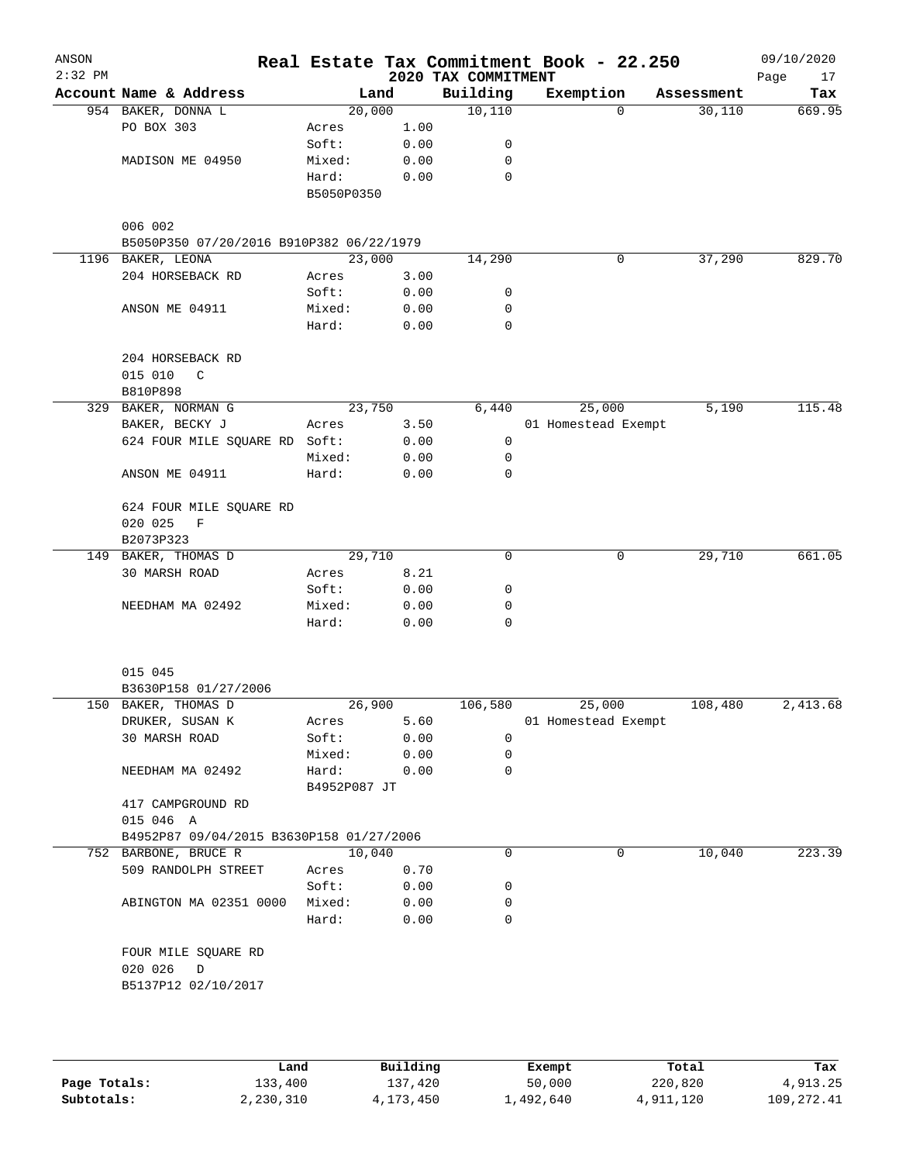| ANSON<br>$2:32$ PM |                                                                  |                       |      | 2020 TAX COMMITMENT | Real Estate Tax Commitment Book - 22.250 |            | 09/10/2020<br>Page<br>17 |
|--------------------|------------------------------------------------------------------|-----------------------|------|---------------------|------------------------------------------|------------|--------------------------|
|                    | Account Name & Address                                           | Land                  |      | Building            | Exemption                                | Assessment | Tax                      |
|                    | 954 BAKER, DONNA L                                               | 20,000                |      | 10,110              | $\Omega$                                 | 30,110     | 669.95                   |
|                    | PO BOX 303                                                       | Acres                 | 1.00 |                     |                                          |            |                          |
|                    |                                                                  | Soft:                 | 0.00 | 0                   |                                          |            |                          |
|                    | MADISON ME 04950                                                 | Mixed:                | 0.00 | $\mathbf 0$         |                                          |            |                          |
|                    |                                                                  | Hard:                 | 0.00 | $\mathbf 0$         |                                          |            |                          |
|                    |                                                                  | B5050P0350            |      |                     |                                          |            |                          |
|                    | 006 002                                                          |                       |      |                     |                                          |            |                          |
|                    | B5050P350 07/20/2016 B910P382 06/22/1979                         |                       |      |                     |                                          |            |                          |
|                    | 1196 BAKER, LEONA                                                | 23,000                |      | 14,290              | 0                                        | 37,290     | 829.70                   |
|                    | 204 HORSEBACK RD                                                 | Acres                 | 3.00 |                     |                                          |            |                          |
|                    |                                                                  | Soft:                 | 0.00 | 0                   |                                          |            |                          |
|                    | ANSON ME 04911                                                   | Mixed:                | 0.00 | 0                   |                                          |            |                          |
|                    |                                                                  | Hard:                 | 0.00 | 0                   |                                          |            |                          |
|                    | 204 HORSEBACK RD                                                 |                       |      |                     |                                          |            |                          |
|                    | 015 010<br>C<br>B810P898                                         |                       |      |                     |                                          |            |                          |
|                    | 329 BAKER, NORMAN G                                              | 23,750                |      | 6,440               | 25,000                                   | 5,190      | 115.48                   |
|                    | BAKER, BECKY J                                                   | Acres                 | 3.50 |                     | 01 Homestead Exempt                      |            |                          |
|                    | 624 FOUR MILE SQUARE RD Soft:                                    |                       | 0.00 | 0                   |                                          |            |                          |
|                    |                                                                  | Mixed:                | 0.00 | 0                   |                                          |            |                          |
|                    | ANSON ME 04911                                                   | Hard:                 | 0.00 | $\mathbf 0$         |                                          |            |                          |
|                    |                                                                  |                       |      |                     |                                          |            |                          |
|                    | 624 FOUR MILE SQUARE RD<br>020 025<br>$\mathbf F$                |                       |      |                     |                                          |            |                          |
|                    | B2073P323                                                        |                       |      |                     |                                          |            |                          |
|                    | 149 BAKER, THOMAS D                                              | 29,710                |      | 0                   | 0                                        | 29,710     | 661.05                   |
|                    | 30 MARSH ROAD                                                    | Acres                 | 8.21 |                     |                                          |            |                          |
|                    |                                                                  | Soft:                 | 0.00 | 0                   |                                          |            |                          |
|                    | NEEDHAM MA 02492                                                 | Mixed:                | 0.00 | 0                   |                                          |            |                          |
|                    |                                                                  | Hard:                 | 0.00 | $\Omega$            |                                          |            |                          |
|                    |                                                                  |                       |      |                     |                                          |            |                          |
|                    | 015 045                                                          |                       |      |                     |                                          |            |                          |
|                    | B3630P158 01/27/2006                                             |                       |      |                     |                                          |            |                          |
|                    | 150 BAKER, THOMAS D                                              | 26,900                |      | 106,580             | 25,000                                   | 108,480    | 2,413.68                 |
|                    | DRUKER, SUSAN K                                                  | Acres                 | 5.60 |                     | 01 Homestead Exempt                      |            |                          |
|                    | 30 MARSH ROAD                                                    | Soft:                 | 0.00 | $\mathbf 0$         |                                          |            |                          |
|                    |                                                                  | Mixed:                | 0.00 | $\mathbf 0$         |                                          |            |                          |
|                    | NEEDHAM MA 02492                                                 | Hard:<br>B4952P087 JT | 0.00 | $\mathbf 0$         |                                          |            |                          |
|                    | 417 CAMPGROUND RD                                                |                       |      |                     |                                          |            |                          |
|                    | 015 046 A                                                        |                       |      |                     |                                          |            |                          |
|                    | B4952P87 09/04/2015 B3630P158 01/27/2006<br>752 BARBONE, BRUCE R | 10,040                |      | 0                   | 0                                        | 10,040     | 223.39                   |
|                    | 509 RANDOLPH STREET                                              | Acres                 | 0.70 |                     |                                          |            |                          |
|                    |                                                                  | Soft:                 | 0.00 | 0                   |                                          |            |                          |
|                    | ABINGTON MA 02351 0000                                           | Mixed:                | 0.00 | 0                   |                                          |            |                          |
|                    |                                                                  | Hard:                 | 0.00 | 0                   |                                          |            |                          |
|                    | FOUR MILE SQUARE RD                                              |                       |      |                     |                                          |            |                          |
|                    | 020 026<br>$\overline{D}$                                        |                       |      |                     |                                          |            |                          |
|                    | B5137P12 02/10/2017                                              |                       |      |                     |                                          |            |                          |
|                    |                                                                  |                       |      |                     |                                          |            |                          |
|                    |                                                                  |                       |      |                     |                                          |            |                          |
|                    |                                                                  |                       |      |                     |                                          |            |                          |

|              | Land      | Building  | Exempt    | Total     | Tax        |
|--------------|-----------|-----------|-----------|-----------|------------|
| Page Totals: | 133,400   | 137,420   | 50,000    | 220,820   | 4,913.25   |
| Subtotals:   | 2,230,310 | 4,173,450 | 1,492,640 | 4,911,120 | 109,272.41 |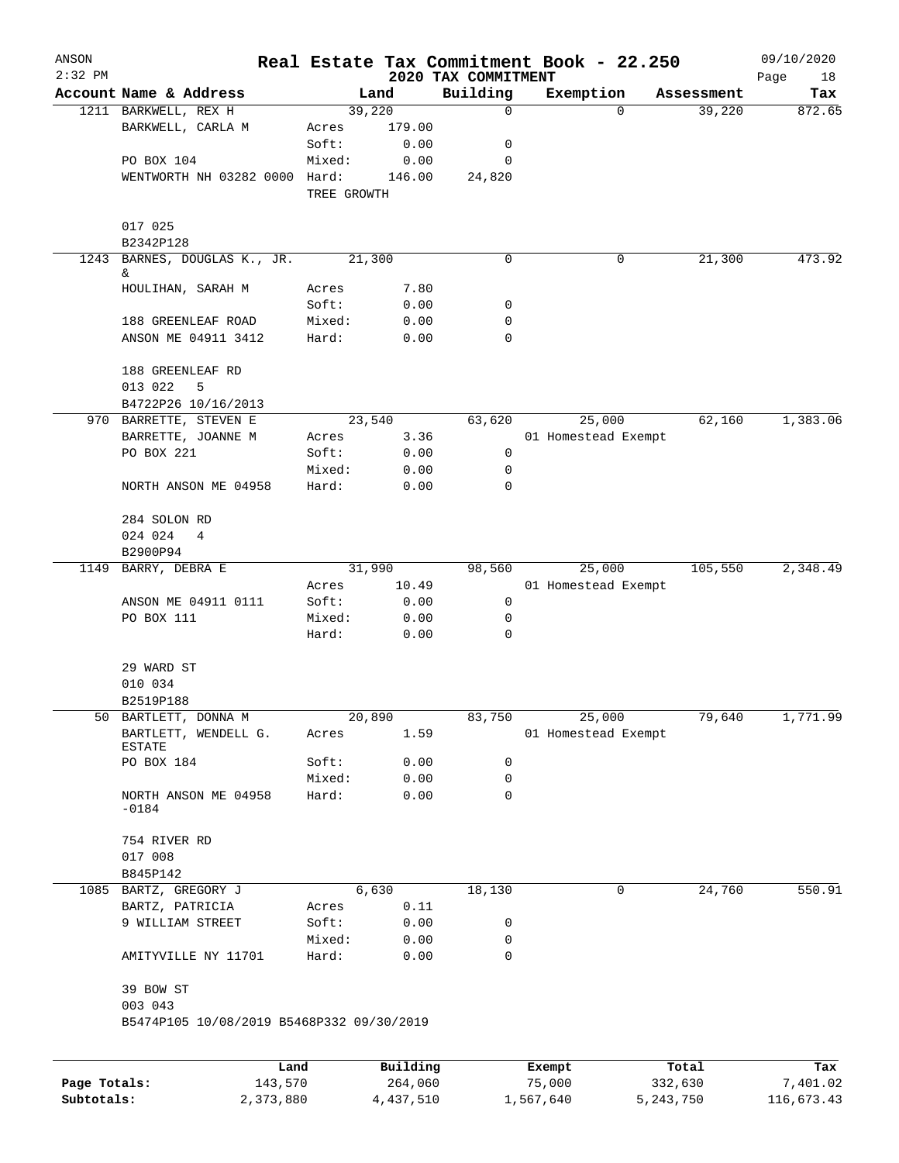| ANSON                      |                                           |             |                      |                                 | Real Estate Tax Commitment Book - 22.250 |                        | 09/10/2020             |
|----------------------------|-------------------------------------------|-------------|----------------------|---------------------------------|------------------------------------------|------------------------|------------------------|
| $2:32$ PM                  | Account Name & Address                    |             |                      | 2020 TAX COMMITMENT<br>Building |                                          |                        | Page<br>18             |
|                            | 1211 BARKWELL, REX H                      |             | Land<br>39,220       | 0                               | Exemption<br>$\Omega$                    | Assessment<br>39,220   | Tax<br>872.65          |
|                            | BARKWELL, CARLA M                         | Acres       | 179.00               |                                 |                                          |                        |                        |
|                            |                                           | Soft:       | 0.00                 | 0                               |                                          |                        |                        |
|                            | PO BOX 104                                | Mixed:      | 0.00                 | 0                               |                                          |                        |                        |
|                            | WENTWORTH NH 03282 0000 Hard:             |             | 146.00               | 24,820                          |                                          |                        |                        |
|                            |                                           | TREE GROWTH |                      |                                 |                                          |                        |                        |
|                            | 017 025                                   |             |                      |                                 |                                          |                        |                        |
|                            | B2342P128                                 |             |                      |                                 |                                          |                        |                        |
| 1243                       | BARNES, DOUGLAS K., JR.<br>&              |             | 21,300               | 0                               | 0                                        | 21,300                 | 473.92                 |
|                            | HOULIHAN, SARAH M                         | Acres       | 7.80                 |                                 |                                          |                        |                        |
|                            |                                           | Soft:       | 0.00                 | 0                               |                                          |                        |                        |
|                            | 188 GREENLEAF ROAD                        | Mixed:      | 0.00                 | 0                               |                                          |                        |                        |
|                            | ANSON ME 04911 3412                       | Hard:       | 0.00                 | 0                               |                                          |                        |                        |
|                            | 188 GREENLEAF RD                          |             |                      |                                 |                                          |                        |                        |
|                            | 013 022<br>5                              |             |                      |                                 |                                          |                        |                        |
|                            | B4722P26 10/16/2013                       |             |                      |                                 |                                          |                        |                        |
|                            | 970 BARRETTE, STEVEN E                    |             | 23,540               | 63,620                          | 25,000                                   | 62,160                 | 1,383.06               |
|                            | BARRETTE, JOANNE M                        | Acres       | 3.36                 |                                 | 01 Homestead Exempt                      |                        |                        |
|                            | PO BOX 221                                | Soft:       | 0.00                 | 0                               |                                          |                        |                        |
|                            |                                           | Mixed:      | 0.00                 | 0                               |                                          |                        |                        |
|                            | NORTH ANSON ME 04958                      | Hard:       | 0.00                 | 0                               |                                          |                        |                        |
|                            | 284 SOLON RD                              |             |                      |                                 |                                          |                        |                        |
|                            | 024 024<br>4                              |             |                      |                                 |                                          |                        |                        |
|                            | B2900P94                                  |             |                      |                                 |                                          |                        |                        |
| 1149                       | BARRY, DEBRA E                            |             | 31,990               | 98,560                          | 25,000                                   | 105,550                | 2,348.49               |
|                            |                                           | Acres       | 10.49                |                                 | 01 Homestead Exempt                      |                        |                        |
|                            | ANSON ME 04911 0111                       | Soft:       | 0.00                 | 0                               |                                          |                        |                        |
|                            | PO BOX 111                                | Mixed:      | 0.00                 | 0                               |                                          |                        |                        |
|                            |                                           | Hard:       | 0.00                 | 0                               |                                          |                        |                        |
|                            | 29 WARD ST                                |             |                      |                                 |                                          |                        |                        |
|                            | 010 034                                   |             |                      |                                 |                                          |                        |                        |
|                            | B2519P188                                 |             |                      |                                 |                                          |                        |                        |
| 50                         | BARTLETT, DONNA M                         |             | 20,890               | 83,750                          | 25,000                                   | 79,640                 | 1,771.99               |
|                            | BARTLETT, WENDELL G.<br>ESTATE            | Acres       | 1.59                 |                                 | 01 Homestead Exempt                      |                        |                        |
|                            | PO BOX 184                                | Soft:       | 0.00                 | 0                               |                                          |                        |                        |
|                            |                                           | Mixed:      | 0.00                 | 0                               |                                          |                        |                        |
|                            | NORTH ANSON ME 04958<br>$-0184$           | Hard:       | 0.00                 | 0                               |                                          |                        |                        |
|                            | 754 RIVER RD                              |             |                      |                                 |                                          |                        |                        |
|                            | 017 008                                   |             |                      |                                 |                                          |                        |                        |
|                            | B845P142                                  |             |                      |                                 |                                          |                        |                        |
|                            | 1085 BARTZ, GREGORY J                     |             | 6,630                | 18,130                          | 0                                        | 24,760                 | 550.91                 |
|                            | BARTZ, PATRICIA                           | Acres       | 0.11                 |                                 |                                          |                        |                        |
|                            | 9 WILLIAM STREET                          | Soft:       | 0.00                 | 0                               |                                          |                        |                        |
|                            |                                           | Mixed:      | 0.00                 | 0                               |                                          |                        |                        |
|                            | AMITYVILLE NY 11701                       | Hard:       | 0.00                 | 0                               |                                          |                        |                        |
|                            | 39 BOW ST                                 |             |                      |                                 |                                          |                        |                        |
|                            | 003 043                                   |             |                      |                                 |                                          |                        |                        |
|                            | B5474P105 10/08/2019 B5468P332 09/30/2019 |             |                      |                                 |                                          |                        |                        |
|                            |                                           |             |                      |                                 |                                          |                        |                        |
|                            | Land                                      |             | Building             |                                 | Exempt                                   | Total                  | Tax                    |
| Page Totals:<br>Subtotals: | 143,570<br>2,373,880                      |             | 264,060<br>4,437,510 |                                 | 75,000<br>1,567,640                      | 332,630<br>5, 243, 750 | 7,401.02<br>116,673.43 |
|                            |                                           |             |                      |                                 |                                          |                        |                        |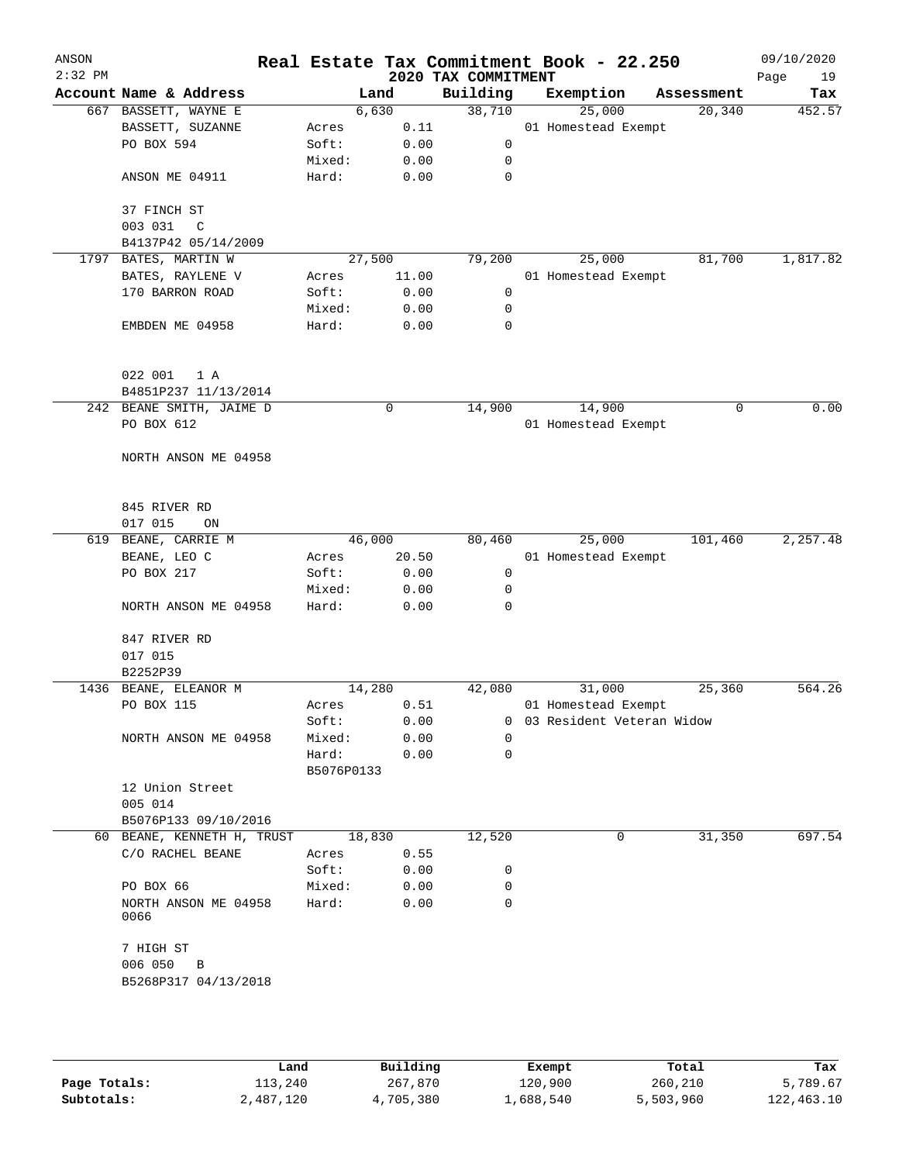| ANSON<br>$2:32$ PM |                                      |                     |        | 2020 TAX COMMITMENT | Real Estate Tax Commitment Book - 22.250 |            | 09/10/2020<br>Page<br>19 |
|--------------------|--------------------------------------|---------------------|--------|---------------------|------------------------------------------|------------|--------------------------|
|                    | Account Name & Address               |                     | Land   | Building            | Exemption                                | Assessment | Tax                      |
|                    | 667 BASSETT, WAYNE E                 |                     | 6,630  | 38,710              | 25,000                                   | 20,340     | 452.57                   |
|                    | BASSETT, SUZANNE                     | Acres               | 0.11   |                     | 01 Homestead Exempt                      |            |                          |
|                    | PO BOX 594                           | Soft:               | 0.00   | 0                   |                                          |            |                          |
|                    |                                      | Mixed:              | 0.00   | 0                   |                                          |            |                          |
|                    | ANSON ME 04911                       | Hard:               | 0.00   | 0                   |                                          |            |                          |
|                    | 37 FINCH ST                          |                     |        |                     |                                          |            |                          |
|                    | 003 031<br>$\mathsf{C}$              |                     |        |                     |                                          |            |                          |
|                    | B4137P42 05/14/2009                  |                     |        |                     |                                          |            |                          |
|                    | 1797 BATES, MARTIN W                 |                     | 27,500 | 79,200              | 25,000                                   | 81,700     | 1,817.82                 |
|                    | BATES, RAYLENE V                     | Acres               | 11.00  |                     | 01 Homestead Exempt                      |            |                          |
|                    | 170 BARRON ROAD                      | Soft:               | 0.00   | 0                   |                                          |            |                          |
|                    |                                      | Mixed:              | 0.00   | 0                   |                                          |            |                          |
|                    | EMBDEN ME 04958                      | Hard:               | 0.00   | 0                   |                                          |            |                          |
|                    | 022 001<br>1 A                       |                     |        |                     |                                          |            |                          |
|                    | B4851P237 11/13/2014                 |                     |        |                     |                                          |            |                          |
|                    | 242 BEANE SMITH, JAIME D             |                     | 0      | 14,900              | 14,900                                   | 0          | 0.00                     |
|                    | PO BOX 612                           |                     |        |                     | 01 Homestead Exempt                      |            |                          |
|                    |                                      |                     |        |                     |                                          |            |                          |
|                    | NORTH ANSON ME 04958                 |                     |        |                     |                                          |            |                          |
|                    |                                      |                     |        |                     |                                          |            |                          |
|                    | 845 RIVER RD                         |                     |        |                     |                                          |            |                          |
|                    | 017 015<br>ON                        |                     |        |                     |                                          |            |                          |
| 619                | BEANE, CARRIE M                      |                     | 46,000 | 80,460              | 25,000                                   | 101,460    | 2,257.48                 |
|                    | BEANE, LEO C                         | Acres               | 20.50  |                     | 01 Homestead Exempt                      |            |                          |
|                    | PO BOX 217                           | Soft:               | 0.00   | 0                   |                                          |            |                          |
|                    |                                      | Mixed:              | 0.00   | 0                   |                                          |            |                          |
|                    | NORTH ANSON ME 04958                 | Hard:               | 0.00   | 0                   |                                          |            |                          |
|                    | 847 RIVER RD                         |                     |        |                     |                                          |            |                          |
|                    | 017 015                              |                     |        |                     |                                          |            |                          |
|                    | B2252P39                             |                     |        |                     |                                          |            |                          |
| 1436               | BEANE, ELEANOR M                     |                     | 14,280 | 42,080              | 31,000                                   | 25,360     | 564.26                   |
|                    | PO BOX 115                           | Acres               | 0.51   |                     | 01 Homestead Exempt                      |            |                          |
|                    |                                      | Soft:               | 0.00   |                     | 0 03 Resident Veteran Widow              |            |                          |
|                    | NORTH ANSON ME 04958                 | Mixed:              | 0.00   | 0                   |                                          |            |                          |
|                    |                                      | Hard:<br>B5076P0133 | 0.00   | 0                   |                                          |            |                          |
|                    | 12 Union Street                      |                     |        |                     |                                          |            |                          |
|                    | 005 014                              |                     |        |                     |                                          |            |                          |
|                    | B5076P133 09/10/2016                 |                     |        |                     |                                          |            |                          |
|                    | 60 BEANE, KENNETH H, TRUST           |                     | 18,830 | 12,520              | 0                                        | 31,350     | 697.54                   |
|                    | C/O RACHEL BEANE                     | Acres               | 0.55   |                     |                                          |            |                          |
|                    |                                      | Soft:               | 0.00   | 0                   |                                          |            |                          |
|                    | PO BOX 66                            | Mixed:              | 0.00   | 0                   |                                          |            |                          |
|                    | NORTH ANSON ME 04958<br>0066         | Hard:               | 0.00   | $\Omega$            |                                          |            |                          |
|                    | 7 HIGH ST                            |                     |        |                     |                                          |            |                          |
|                    | 006 050<br>B<br>B5268P317 04/13/2018 |                     |        |                     |                                          |            |                          |
|                    |                                      |                     |        |                     |                                          |            |                          |
|                    |                                      |                     |        |                     |                                          |            |                          |

|              | Land      | Building  | Exempt    | Total     | Tax        |
|--------------|-----------|-----------|-----------|-----------|------------|
| Page Totals: | 113,240   | 267,870   | 120,900   | 260,210   | 5,789.67   |
| Subtotals:   | 2,487,120 | 4,705,380 | 1,688,540 | 5,503,960 | 122,463.10 |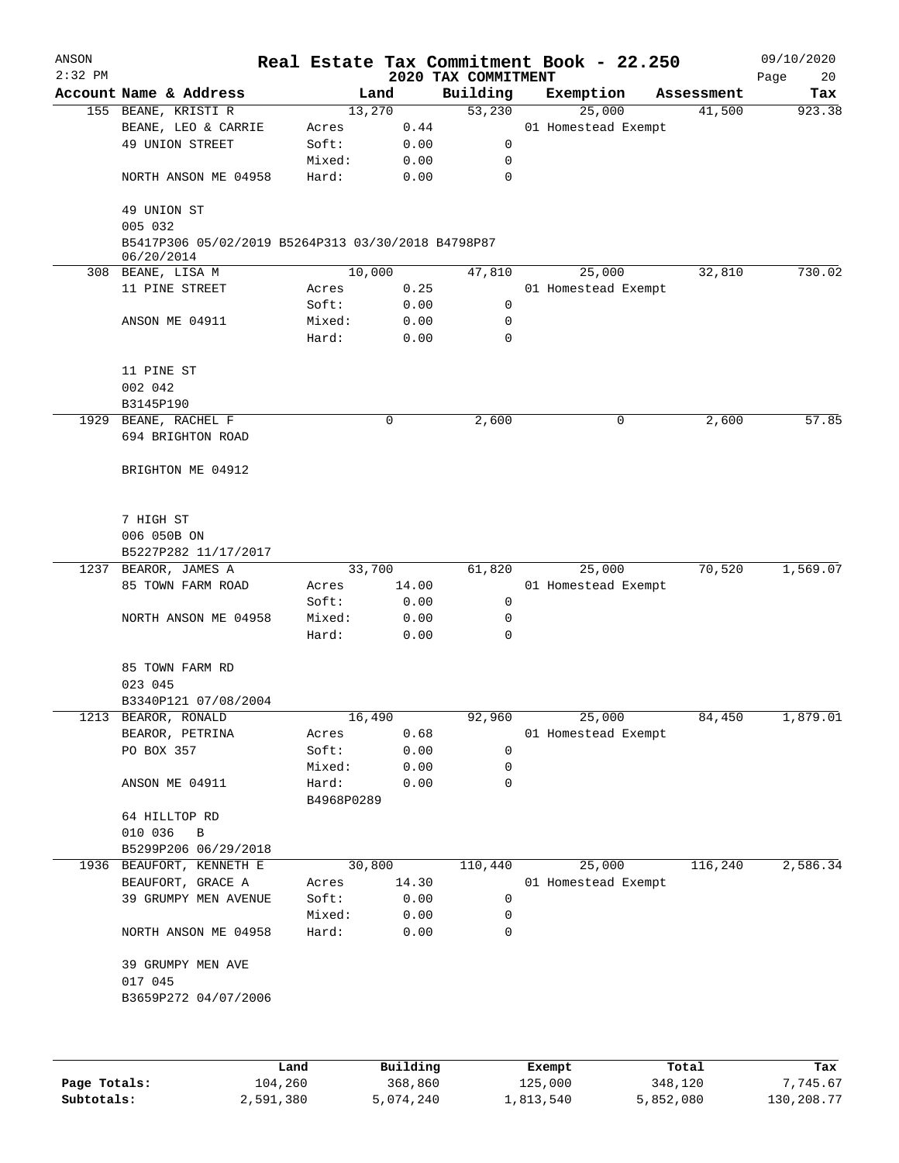| ANSON     |                                                                  |                     |              |                     | Real Estate Tax Commitment Book - 22.250 |            | 09/10/2020 |
|-----------|------------------------------------------------------------------|---------------------|--------------|---------------------|------------------------------------------|------------|------------|
| $2:32$ PM |                                                                  |                     |              | 2020 TAX COMMITMENT |                                          |            | Page<br>20 |
|           | Account Name & Address                                           | Land                |              | Building            | Exemption                                | Assessment | Tax        |
|           | 155 BEANE, KRISTI R                                              | 13,270              |              | 53,230              | 25,000                                   | 41,500     | 923.38     |
|           | BEANE, LEO & CARRIE                                              | Acres               | 0.44         |                     | 01 Homestead Exempt                      |            |            |
|           | 49 UNION STREET                                                  | Soft:               | 0.00         | 0                   |                                          |            |            |
|           |                                                                  | Mixed:              | 0.00         | 0                   |                                          |            |            |
|           | NORTH ANSON ME 04958                                             | Hard:               | 0.00         | $\mathbf 0$         |                                          |            |            |
|           | 49 UNION ST<br>005 032                                           |                     |              |                     |                                          |            |            |
|           | B5417P306 05/02/2019 B5264P313 03/30/2018 B4798P87<br>06/20/2014 |                     |              |                     |                                          |            |            |
|           | 308 BEANE, LISA M                                                | 10,000              |              | 47,810              | 25,000                                   | 32,810     | 730.02     |
|           | 11 PINE STREET                                                   | Acres               | 0.25         |                     | 01 Homestead Exempt                      |            |            |
|           |                                                                  | Soft:               | 0.00         | 0                   |                                          |            |            |
|           | ANSON ME 04911                                                   | Mixed:              | 0.00         | 0                   |                                          |            |            |
|           |                                                                  | Hard:               | 0.00         | 0                   |                                          |            |            |
|           | 11 PINE ST                                                       |                     |              |                     |                                          |            |            |
|           | 002 042                                                          |                     |              |                     |                                          |            |            |
|           | B3145P190                                                        |                     |              |                     |                                          |            |            |
| 1929      | BEANE, RACHEL F                                                  |                     | 0            | 2,600               | 0                                        | 2,600      | 57.85      |
|           | 694 BRIGHTON ROAD                                                |                     |              |                     |                                          |            |            |
|           | BRIGHTON ME 04912                                                |                     |              |                     |                                          |            |            |
|           |                                                                  |                     |              |                     |                                          |            |            |
|           | 7 HIGH ST                                                        |                     |              |                     |                                          |            |            |
|           | 006 050B ON                                                      |                     |              |                     |                                          |            |            |
|           | B5227P282 11/17/2017                                             |                     |              |                     |                                          |            |            |
| 1237      | BEAROR, JAMES A                                                  | 33,700              |              | 61,820              | 25,000                                   | 70,520     | 1,569.07   |
|           | 85 TOWN FARM ROAD                                                | Acres               | 14.00        |                     | 01 Homestead Exempt                      |            |            |
|           |                                                                  | Soft:               | 0.00         | 0                   |                                          |            |            |
|           | NORTH ANSON ME 04958                                             | Mixed:              | 0.00         | 0                   |                                          |            |            |
|           |                                                                  | Hard:               | 0.00         | $\mathbf 0$         |                                          |            |            |
|           | 85 TOWN FARM RD                                                  |                     |              |                     |                                          |            |            |
|           | 023 045                                                          |                     |              |                     |                                          |            |            |
|           | B3340P121 07/08/2004                                             |                     |              |                     |                                          |            |            |
|           | 1213 BEAROR, RONALD                                              | 16,490              |              | 92,960              | 25,000                                   | 84,450     | 1,879.01   |
|           | BEAROR, PETRINA                                                  | Acres               | 0.68         |                     | 01 Homestead Exempt                      |            |            |
|           | PO BOX 357                                                       | Soft:               | 0.00         | 0                   |                                          |            |            |
|           |                                                                  | Mixed:              | 0.00         | 0                   |                                          |            |            |
|           | ANSON ME 04911                                                   | Hard:<br>B4968P0289 | 0.00         | 0                   |                                          |            |            |
|           | 64 HILLTOP RD                                                    |                     |              |                     |                                          |            |            |
|           | 010 036<br>$\overline{B}$                                        |                     |              |                     |                                          |            |            |
|           | B5299P206 06/29/2018                                             |                     |              |                     |                                          |            |            |
|           | 1936 BEAUFORT, KENNETH E                                         | 30,800              |              | 110,440             | 25,000                                   | 116,240    | 2,586.34   |
|           |                                                                  |                     | 14.30        |                     |                                          |            |            |
|           | BEAUFORT, GRACE A                                                | Acres               |              |                     | 01 Homestead Exempt                      |            |            |
|           | 39 GRUMPY MEN AVENUE                                             | Soft:               | 0.00         | 0                   |                                          |            |            |
|           | NORTH ANSON ME 04958                                             | Mixed:<br>Hard:     | 0.00<br>0.00 | 0<br>0              |                                          |            |            |
|           | 39 GRUMPY MEN AVE                                                |                     |              |                     |                                          |            |            |
|           | 017 045                                                          |                     |              |                     |                                          |            |            |
|           | B3659P272 04/07/2006                                             |                     |              |                     |                                          |            |            |
|           |                                                                  |                     |              |                     |                                          |            |            |
|           |                                                                  |                     |              |                     |                                          |            |            |

|              | Land      | Building  | Exempt    | Total     | Tax        |
|--------------|-----------|-----------|-----------|-----------|------------|
| Page Totals: | 104,260   | 368,860   | 125,000   | 348,120   | 7.745.67   |
| Subtotals:   | 2,591,380 | 5,074,240 | 1,813,540 | 5,852,080 | 130,208.77 |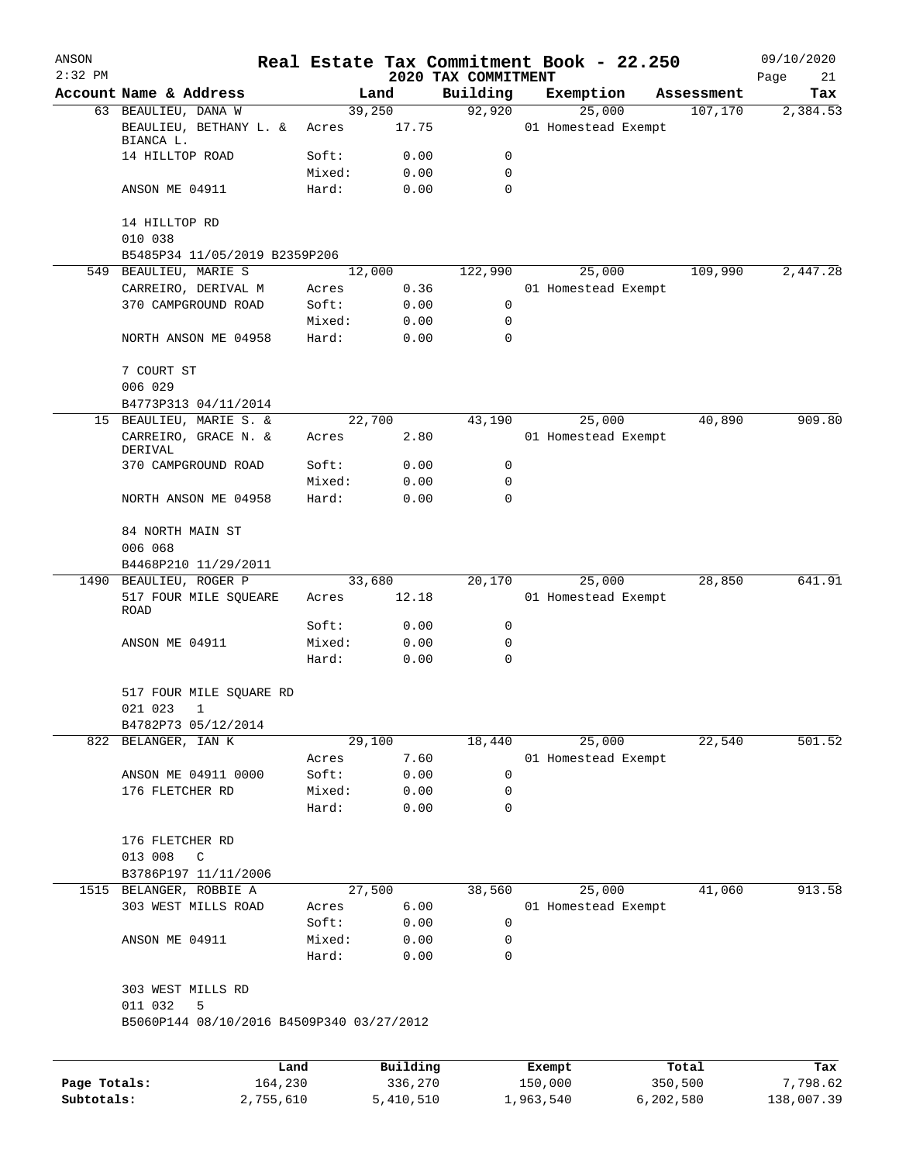| ANSON<br>$2:32$ PM |                                                                                |                 |              |                                 |           | Real Estate Tax Commitment Book - 22.250 |            | 09/10/2020        |
|--------------------|--------------------------------------------------------------------------------|-----------------|--------------|---------------------------------|-----------|------------------------------------------|------------|-------------------|
|                    | Account Name & Address                                                         |                 | Land         | 2020 TAX COMMITMENT<br>Building |           | Exemption                                | Assessment | Page<br>21<br>Tax |
|                    | 63 BEAULIEU, DANA W                                                            |                 | 39,250       | 92,920                          |           | 25,000                                   | 107,170    | 2,384.53          |
|                    | BEAULIEU, BETHANY L. &<br>BIANCA L.                                            | Acres           | 17.75        |                                 |           | 01 Homestead Exempt                      |            |                   |
|                    | 14 HILLTOP ROAD                                                                | Soft:           | 0.00         | 0                               |           |                                          |            |                   |
|                    |                                                                                | Mixed:          | 0.00         | 0                               |           |                                          |            |                   |
|                    | ANSON ME 04911                                                                 | Hard:           | 0.00         | 0                               |           |                                          |            |                   |
|                    | 14 HILLTOP RD                                                                  |                 |              |                                 |           |                                          |            |                   |
|                    | 010 038<br>B5485P34 11/05/2019 B2359P206                                       |                 |              |                                 |           |                                          |            |                   |
|                    | 549 BEAULIEU, MARIE S                                                          |                 | 12,000       | 122,990                         |           | 25,000                                   | 109,990    | 2,447.28          |
|                    | CARREIRO, DERIVAL M                                                            | Acres           | 0.36         |                                 |           | 01 Homestead Exempt                      |            |                   |
|                    | 370 CAMPGROUND ROAD                                                            | Soft:           | 0.00         | 0                               |           |                                          |            |                   |
|                    |                                                                                | Mixed:          | 0.00         | 0                               |           |                                          |            |                   |
|                    | NORTH ANSON ME 04958                                                           | Hard:           | 0.00         | 0                               |           |                                          |            |                   |
|                    | 7 COURT ST                                                                     |                 |              |                                 |           |                                          |            |                   |
|                    | 006 029                                                                        |                 |              |                                 |           |                                          |            |                   |
|                    | B4773P313 04/11/2014<br>15 BEAULIEU, MARIE S. &                                |                 | 22,700       | 43,190                          |           | 25,000                                   | 40,890     | 909.80            |
|                    | CARREIRO, GRACE N. &<br>DERIVAL                                                | Acres           | 2.80         |                                 |           | 01 Homestead Exempt                      |            |                   |
|                    | 370 CAMPGROUND ROAD                                                            | Soft:           | 0.00         | 0                               |           |                                          |            |                   |
|                    |                                                                                | Mixed:          | 0.00         | 0                               |           |                                          |            |                   |
|                    | NORTH ANSON ME 04958                                                           | Hard:           | 0.00         | $\Omega$                        |           |                                          |            |                   |
|                    | 84 NORTH MAIN ST                                                               |                 |              |                                 |           |                                          |            |                   |
|                    | 006 068                                                                        |                 |              |                                 |           |                                          |            |                   |
|                    | B4468P210 11/29/2011                                                           |                 |              |                                 |           |                                          |            |                   |
|                    | 1490 BEAULIEU, ROGER P                                                         |                 | 33,680       | 20,170                          |           | 25,000                                   | 28,850     | 641.91            |
|                    | 517 FOUR MILE SQUEARE<br>ROAD                                                  | Acres           | 12.18        |                                 |           | 01 Homestead Exempt                      |            |                   |
|                    |                                                                                | Soft:           | 0.00         | 0                               |           |                                          |            |                   |
|                    | ANSON ME 04911                                                                 | Mixed:<br>Hard: | 0.00<br>0.00 | 0<br>0                          |           |                                          |            |                   |
|                    | 517 FOUR MILE SQUARE RD<br>021 023<br>$\mathbf{1}$                             |                 |              |                                 |           |                                          |            |                   |
|                    | B4782P73 05/12/2014                                                            |                 |              |                                 |           |                                          |            |                   |
|                    | 822 BELANGER, IAN K                                                            |                 | 29,100       | 18,440                          |           | 25,000                                   | 22,540     | 501.52            |
|                    |                                                                                | Acres           | 7.60         |                                 |           | 01 Homestead Exempt                      |            |                   |
|                    | ANSON ME 04911 0000                                                            | Soft:           | 0.00         | 0                               |           |                                          |            |                   |
|                    | 176 FLETCHER RD                                                                | Mixed:          | 0.00         | 0                               |           |                                          |            |                   |
|                    |                                                                                | Hard:           | 0.00         | 0                               |           |                                          |            |                   |
|                    | 176 FLETCHER RD<br>013 008<br>C                                                |                 |              |                                 |           |                                          |            |                   |
|                    | B3786P197 11/11/2006                                                           |                 |              |                                 |           |                                          |            |                   |
|                    | 1515 BELANGER, ROBBIE A                                                        |                 | 27,500       | 38,560                          |           | 25,000                                   | 41,060     | 913.58            |
|                    | 303 WEST MILLS ROAD                                                            | Acres           | 6.00         |                                 |           | 01 Homestead Exempt                      |            |                   |
|                    |                                                                                | Soft:           | 0.00         | 0                               |           |                                          |            |                   |
|                    | ANSON ME 04911                                                                 | Mixed:<br>Hard: | 0.00<br>0.00 | 0<br>0                          |           |                                          |            |                   |
|                    | 303 WEST MILLS RD<br>011 032<br>5<br>B5060P144 08/10/2016 B4509P340 03/27/2012 |                 |              |                                 |           |                                          |            |                   |
|                    |                                                                                |                 |              |                                 |           |                                          |            |                   |
|                    | Land                                                                           |                 | Building     |                                 | Exempt    |                                          | Total      | Tax               |
| Page Totals:       | 164,230                                                                        |                 | 336,270      |                                 | 150,000   |                                          | 350,500    | 7,798.62          |
| Subtotals:         | 2,755,610                                                                      |                 | 5,410,510    |                                 | 1,963,540 |                                          | 6,202,580  | 138,007.39        |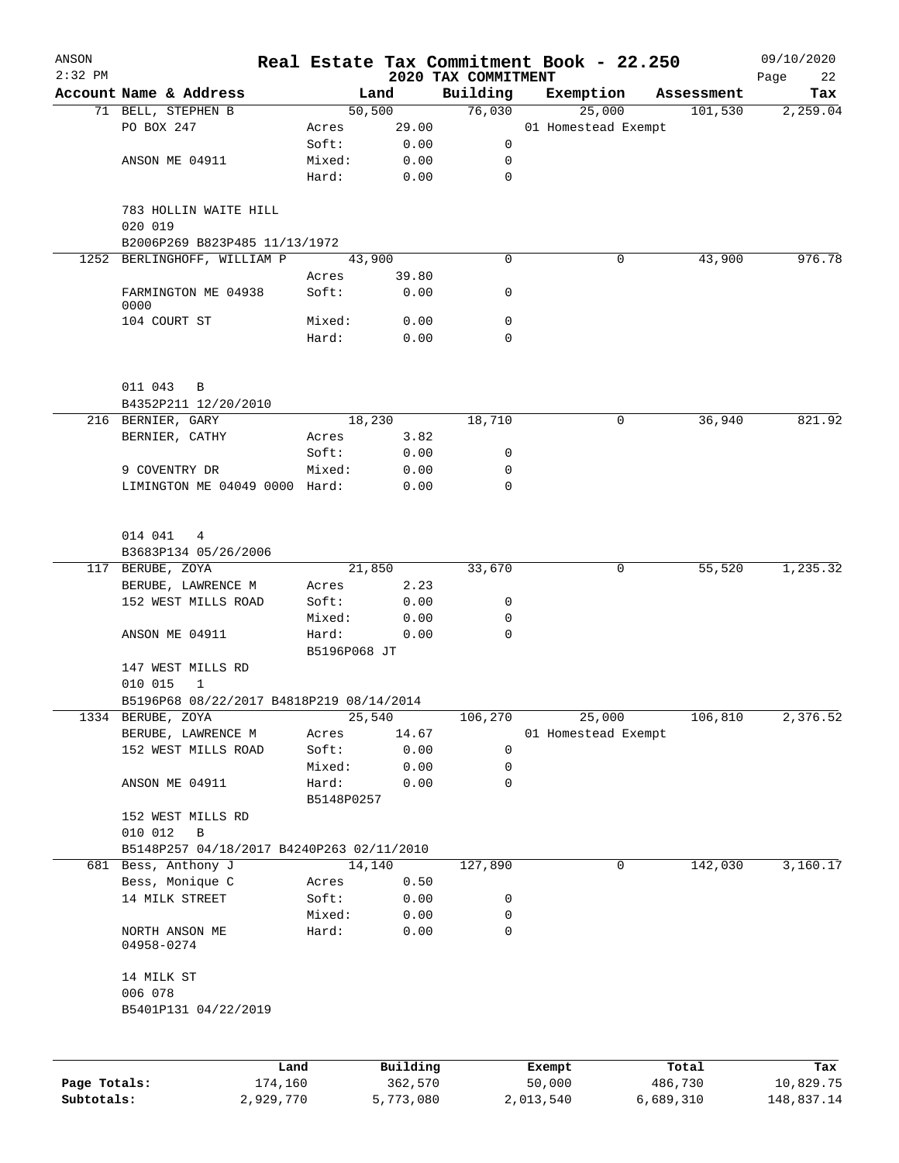| ANSON<br>$2:32$ PM |                                           |                     |                     | 2020 TAX COMMITMENT | Real Estate Tax Commitment Book - 22.250 |            | 09/10/2020<br>22<br>Page |
|--------------------|-------------------------------------------|---------------------|---------------------|---------------------|------------------------------------------|------------|--------------------------|
|                    | Account Name & Address                    |                     | Land                | Building            | Exemption                                | Assessment | Tax                      |
|                    | 71 BELL, STEPHEN B                        |                     | 50,500              | 76,030              | 25,000                                   | 101,530    | 2,259.04                 |
|                    | PO BOX 247                                | Acres               | 29.00               |                     | 01 Homestead Exempt                      |            |                          |
|                    |                                           | Soft:               | 0.00                | 0                   |                                          |            |                          |
|                    | ANSON ME 04911                            | Mixed:              | 0.00                | 0                   |                                          |            |                          |
|                    |                                           | Hard:               | 0.00                | 0                   |                                          |            |                          |
|                    | 783 HOLLIN WAITE HILL<br>020 019          |                     |                     |                     |                                          |            |                          |
|                    | B2006P269 B823P485 11/13/1972             |                     |                     |                     |                                          |            |                          |
|                    | 1252 BERLINGHOFF, WILLIAM P               |                     | 43,900              | $\mathbf 0$         | 0                                        | 43,900     | 976.78                   |
|                    |                                           | Acres               | 39.80               |                     |                                          |            |                          |
|                    | FARMINGTON ME 04938<br>0000               | Soft:               | 0.00                | 0                   |                                          |            |                          |
|                    | 104 COURT ST                              | Mixed:              | 0.00                | 0                   |                                          |            |                          |
|                    |                                           | Hard:               | 0.00                | 0                   |                                          |            |                          |
|                    | 011 043<br>B                              |                     |                     |                     |                                          |            |                          |
|                    | B4352P211 12/20/2010                      |                     |                     |                     |                                          |            |                          |
|                    | 216 BERNIER, GARY                         |                     | 18,230              | 18,710              | 0                                        | 36,940     | 821.92                   |
|                    | BERNIER, CATHY                            | Acres               | 3.82                |                     |                                          |            |                          |
|                    |                                           | Soft:               | 0.00                | 0                   |                                          |            |                          |
|                    | 9 COVENTRY DR                             | Mixed:              | 0.00                | 0                   |                                          |            |                          |
|                    | LIMINGTON ME 04049 0000 Hard:             |                     | 0.00                | 0                   |                                          |            |                          |
|                    |                                           |                     |                     |                     |                                          |            |                          |
|                    | 014 041 4                                 |                     |                     |                     |                                          |            |                          |
|                    | B3683P134 05/26/2006                      |                     |                     |                     |                                          |            |                          |
|                    | 117 BERUBE, ZOYA                          |                     | 21,850              | 33,670              | 0                                        | 55,520     | 1,235.32                 |
|                    | BERUBE, LAWRENCE M                        | Acres               | 2.23                |                     |                                          |            |                          |
|                    | 152 WEST MILLS ROAD                       | Soft:               | 0.00                | 0                   |                                          |            |                          |
|                    |                                           | Mixed:              | 0.00                | 0                   |                                          |            |                          |
|                    | ANSON ME 04911                            | Hard:               | 0.00                | $\mathbf 0$         |                                          |            |                          |
|                    |                                           | B5196P068 JT        |                     |                     |                                          |            |                          |
|                    | 147 WEST MILLS RD                         |                     |                     |                     |                                          |            |                          |
|                    | 010 015<br>$\mathbf 1$                    |                     |                     |                     |                                          |            |                          |
|                    | B5196P68 08/22/2017 B4818P219 08/14/2014  |                     |                     |                     |                                          |            |                          |
|                    | 1334 BERUBE, ZOYA                         |                     | 25,540              | 106,270             | 25,000                                   | 106,810    | 2,376.52                 |
|                    | BERUBE, LAWRENCE M                        | Acres               | 14.67               |                     | 01 Homestead Exempt                      |            |                          |
|                    | 152 WEST MILLS ROAD                       | Soft:               | 0.00                | 0                   |                                          |            |                          |
|                    |                                           | Mixed:              | 0.00                | 0                   |                                          |            |                          |
|                    | ANSON ME 04911                            | Hard:<br>B5148P0257 | 0.00                | 0                   |                                          |            |                          |
|                    | 152 WEST MILLS RD                         |                     |                     |                     |                                          |            |                          |
|                    | 010 012<br>B                              |                     |                     |                     |                                          |            |                          |
|                    | B5148P257 04/18/2017 B4240P263 02/11/2010 |                     |                     |                     |                                          |            |                          |
|                    | 681 Bess, Anthony J                       |                     | 14,140              | 127,890             | $\mathbf 0$                              | 142,030    | 3,160.17                 |
|                    | Bess, Monique C                           | Acres               | 0.50                |                     |                                          |            |                          |
|                    | 14 MILK STREET                            | Soft:               | 0.00                | 0                   |                                          |            |                          |
|                    |                                           | Mixed:              | 0.00                | 0                   |                                          |            |                          |
|                    | NORTH ANSON ME<br>04958-0274              | Hard:               | 0.00                | 0                   |                                          |            |                          |
|                    | 14 MILK ST                                |                     |                     |                     |                                          |            |                          |
|                    | 006 078                                   |                     |                     |                     |                                          |            |                          |
|                    | B5401P131 04/22/2019                      |                     |                     |                     |                                          |            |                          |
|                    |                                           |                     |                     |                     |                                          |            |                          |
|                    |                                           | Land                | Building<br>362,570 |                     | Exempt<br>50,000                         | Total      | Tax<br>10,829.75         |
| Page Totals:       | 174,160                                   |                     |                     |                     |                                          | 486,730    |                          |

**Subtotals:** 2,929,770 5,773,080 2,013,540 6,689,310 148,837.14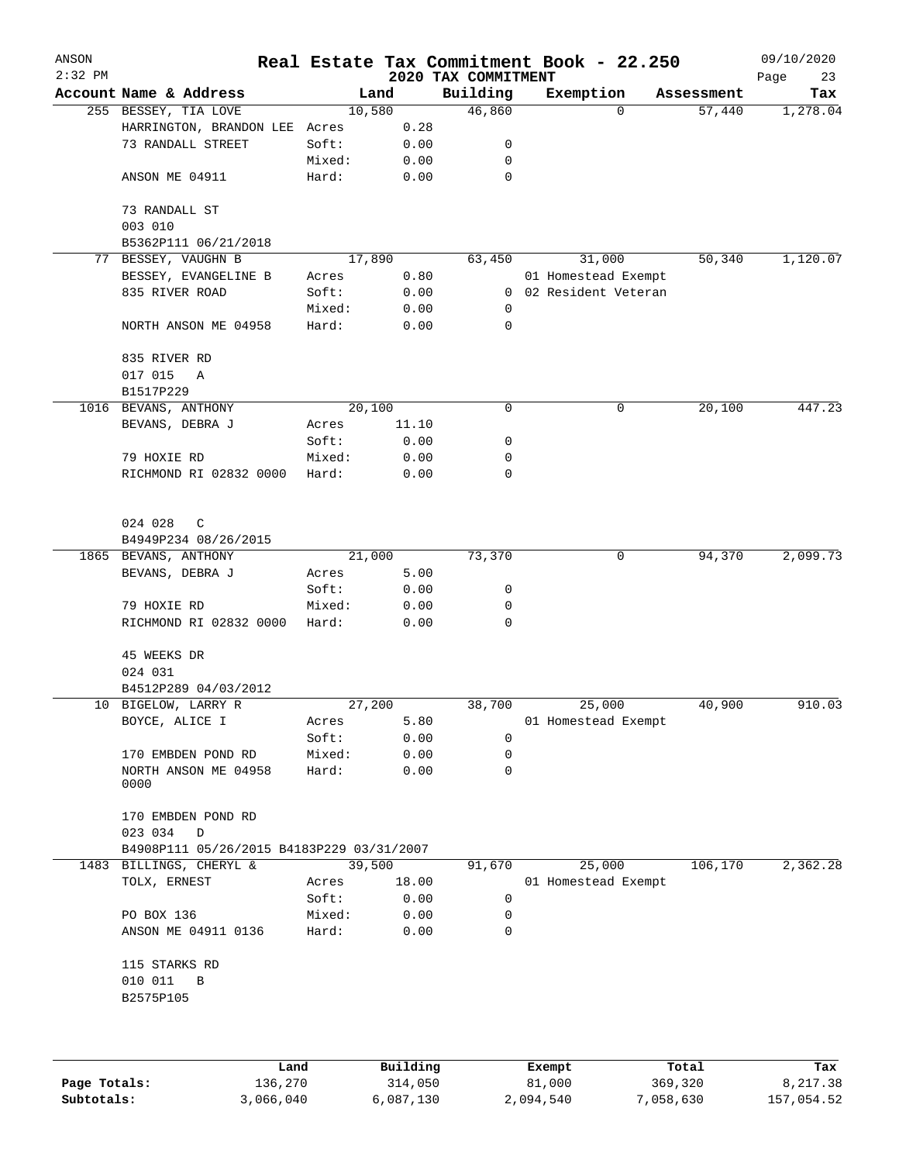| ANSON<br>$2:32$ PM |                                              |        |       | 2020 TAX COMMITMENT | Real Estate Tax Commitment Book - 22.250 |            | 09/10/2020<br>Page<br>23 |
|--------------------|----------------------------------------------|--------|-------|---------------------|------------------------------------------|------------|--------------------------|
|                    | Account Name & Address                       | Land   |       | Building            | Exemption                                | Assessment | Tax                      |
|                    | 255 BESSEY, TIA LOVE                         | 10,580 |       | 46,860              | 0                                        | 57,440     | 1,278.04                 |
|                    | HARRINGTON, BRANDON LEE                      | Acres  | 0.28  |                     |                                          |            |                          |
|                    | 73 RANDALL STREET                            | Soft:  | 0.00  | 0                   |                                          |            |                          |
|                    |                                              | Mixed: | 0.00  | 0                   |                                          |            |                          |
|                    | ANSON ME 04911                               | Hard:  | 0.00  | $\mathbf 0$         |                                          |            |                          |
|                    | 73 RANDALL ST                                |        |       |                     |                                          |            |                          |
|                    | 003 010<br>B5362P111 06/21/2018              |        |       |                     |                                          |            |                          |
|                    | 77 BESSEY, VAUGHN B                          | 17,890 |       | 63,450              | 31,000                                   | 50,340     | 1,120.07                 |
|                    | BESSEY, EVANGELINE B                         | Acres  | 0.80  |                     | 01 Homestead Exempt                      |            |                          |
|                    | 835 RIVER ROAD                               | Soft:  | 0.00  | $\overline{0}$      | 02 Resident Veteran                      |            |                          |
|                    |                                              | Mixed: | 0.00  | 0                   |                                          |            |                          |
|                    | NORTH ANSON ME 04958                         | Hard:  | 0.00  | $\mathbf 0$         |                                          |            |                          |
|                    |                                              |        |       |                     |                                          |            |                          |
|                    | 835 RIVER RD                                 |        |       |                     |                                          |            |                          |
|                    | 017 015<br>Α                                 |        |       |                     |                                          |            |                          |
|                    | B1517P229                                    |        |       |                     |                                          |            |                          |
|                    | 1016 BEVANS, ANTHONY                         | 20,100 |       | 0                   | 0                                        | 20,100     | 447.23                   |
|                    | BEVANS, DEBRA J                              | Acres  | 11.10 |                     |                                          |            |                          |
|                    |                                              | Soft:  | 0.00  | 0                   |                                          |            |                          |
|                    | 79 HOXIE RD                                  | Mixed: | 0.00  | 0                   |                                          |            |                          |
|                    | RICHMOND RI 02832 0000                       | Hard:  | 0.00  | 0                   |                                          |            |                          |
|                    | 024 028<br>C                                 |        |       |                     |                                          |            |                          |
|                    | B4949P234 08/26/2015                         |        |       |                     |                                          |            |                          |
|                    | 1865 BEVANS, ANTHONY                         | 21,000 |       | 73,370              | 0                                        | 94,370     | 2,099.73                 |
|                    | BEVANS, DEBRA J                              | Acres  | 5.00  |                     |                                          |            |                          |
|                    |                                              | Soft:  | 0.00  | 0                   |                                          |            |                          |
|                    | 79 HOXIE RD                                  | Mixed: | 0.00  | 0                   |                                          |            |                          |
|                    | RICHMOND RI 02832 0000                       | Hard:  | 0.00  | 0                   |                                          |            |                          |
|                    | 45 WEEKS DR                                  |        |       |                     |                                          |            |                          |
|                    | 024 031                                      |        |       |                     |                                          |            |                          |
|                    | B4512P289 04/03/2012                         |        |       |                     |                                          |            |                          |
|                    | 10 BIGELOW, LARRY R                          | 27,200 |       | 38,700              | 25,000                                   | 40,900     | 910.03                   |
|                    | BOYCE, ALICE I                               | Acres  | 5.80  |                     | 01 Homestead Exempt                      |            |                          |
|                    |                                              | Soft:  | 0.00  | 0                   |                                          |            |                          |
|                    | 170 EMBDEN POND RD                           | Mixed: | 0.00  | 0                   |                                          |            |                          |
|                    | NORTH ANSON ME 04958                         | Hard:  | 0.00  | 0                   |                                          |            |                          |
|                    | 0000                                         |        |       |                     |                                          |            |                          |
|                    | 170 EMBDEN POND RD<br>023 034<br>$\mathbb D$ |        |       |                     |                                          |            |                          |
|                    | B4908P111 05/26/2015 B4183P229 03/31/2007    |        |       |                     |                                          |            |                          |
|                    | 1483 BILLINGS, CHERYL &                      | 39,500 |       | 91,670              | 25,000                                   | 106,170    | 2,362.28                 |
|                    | TOLX, ERNEST                                 | Acres  | 18.00 |                     | 01 Homestead Exempt                      |            |                          |
|                    |                                              | Soft:  | 0.00  | 0                   |                                          |            |                          |
|                    | PO BOX 136                                   | Mixed: | 0.00  | 0                   |                                          |            |                          |
|                    | ANSON ME 04911 0136                          | Hard:  | 0.00  | 0                   |                                          |            |                          |
|                    | 115 STARKS RD                                |        |       |                     |                                          |            |                          |
|                    | 010 011<br>$\, {\bf B}$                      |        |       |                     |                                          |            |                          |
|                    | B2575P105                                    |        |       |                     |                                          |            |                          |
|                    |                                              |        |       |                     |                                          |            |                          |
|                    |                                              |        |       |                     |                                          |            |                          |
|                    |                                              |        |       |                     |                                          |            |                          |

|              | Land      | Building  | Exempt    | Total     | Tax        |
|--------------|-----------|-----------|-----------|-----------|------------|
| Page Totals: | 136,270   | 314,050   | 81,000    | 369,320   | 8,217.38   |
| Subtotals:   | 3,066,040 | 6,087,130 | 2,094,540 | 7,058,630 | 157,054.52 |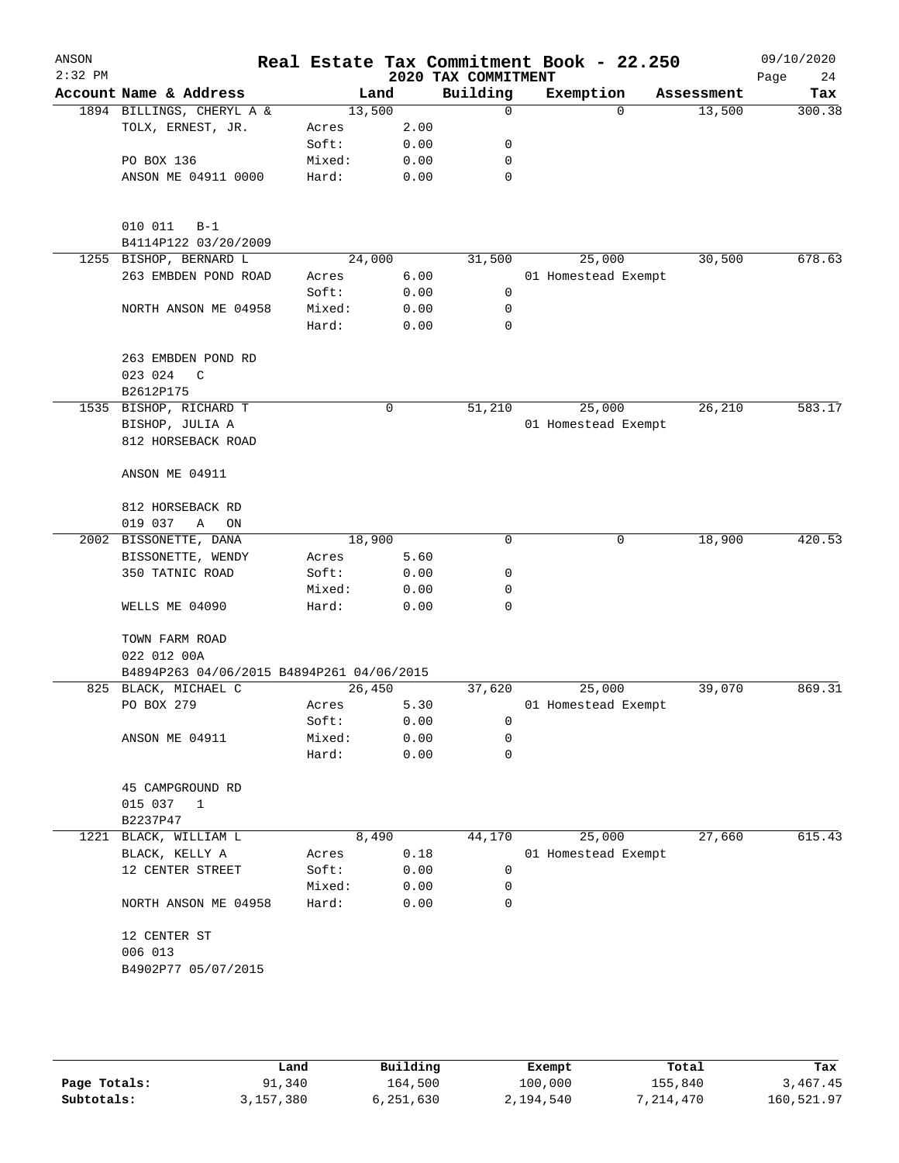| ANSON<br>$2:32$ PM |                                           |        |       | 2020 TAX COMMITMENT | Real Estate Tax Commitment Book - 22.250 |            | 09/10/2020<br>24<br>Page |
|--------------------|-------------------------------------------|--------|-------|---------------------|------------------------------------------|------------|--------------------------|
|                    | Account Name & Address                    |        | Land  | Building            | Exemption                                | Assessment | Tax                      |
|                    | 1894 BILLINGS, CHERYL A &                 | 13,500 |       | 0                   | $\Omega$                                 | 13,500     | 300.38                   |
|                    | TOLX, ERNEST, JR.                         | Acres  | 2.00  |                     |                                          |            |                          |
|                    |                                           | Soft:  | 0.00  | 0                   |                                          |            |                          |
|                    | PO BOX 136                                | Mixed: | 0.00  | 0                   |                                          |            |                          |
|                    | ANSON ME 04911 0000                       | Hard:  | 0.00  | 0                   |                                          |            |                          |
|                    |                                           |        |       |                     |                                          |            |                          |
|                    | 010 011<br>$B-1$                          |        |       |                     |                                          |            |                          |
|                    | B4114P122 03/20/2009                      |        |       |                     |                                          |            |                          |
|                    | 1255 BISHOP, BERNARD L                    | 24,000 |       | 31,500              | 25,000                                   | 30,500     | 678.63                   |
|                    | 263 EMBDEN POND ROAD                      | Acres  | 6.00  |                     | 01 Homestead Exempt                      |            |                          |
|                    |                                           | Soft:  | 0.00  | 0                   |                                          |            |                          |
|                    | NORTH ANSON ME 04958                      | Mixed: | 0.00  | 0                   |                                          |            |                          |
|                    |                                           | Hard:  | 0.00  | 0                   |                                          |            |                          |
|                    | 263 EMBDEN POND RD                        |        |       |                     |                                          |            |                          |
|                    | 023 024<br>C                              |        |       |                     |                                          |            |                          |
|                    | B2612P175                                 |        |       |                     |                                          |            |                          |
|                    | 1535 BISHOP, RICHARD T                    |        | 0     | 51,210              | 25,000                                   | 26,210     | 583.17                   |
|                    | BISHOP, JULIA A                           |        |       |                     | 01 Homestead Exempt                      |            |                          |
|                    | 812 HORSEBACK ROAD                        |        |       |                     |                                          |            |                          |
|                    | ANSON ME 04911                            |        |       |                     |                                          |            |                          |
|                    | 812 HORSEBACK RD                          |        |       |                     |                                          |            |                          |
|                    | 019 037<br>Α<br>ON                        |        |       |                     |                                          |            |                          |
|                    | 2002 BISSONETTE, DANA                     | 18,900 |       | 0                   | 0                                        | 18,900     | 420.53                   |
|                    | BISSONETTE, WENDY                         | Acres  | 5.60  |                     |                                          |            |                          |
|                    | 350 TATNIC ROAD                           | Soft:  | 0.00  | 0                   |                                          |            |                          |
|                    |                                           | Mixed: | 0.00  | 0                   |                                          |            |                          |
|                    | WELLS ME 04090                            | Hard:  | 0.00  | 0                   |                                          |            |                          |
|                    | TOWN FARM ROAD                            |        |       |                     |                                          |            |                          |
|                    | 022 012 00A                               |        |       |                     |                                          |            |                          |
|                    | B4894P263 04/06/2015 B4894P261 04/06/2015 |        |       |                     |                                          |            |                          |
|                    | 825 BLACK, MICHAEL C                      | 26,450 |       | 37,620              | 25,000                                   | 39,070     | 869.31                   |
|                    | PO BOX 279                                | Acres  | 5.30  |                     | 01 Homestead Exempt                      |            |                          |
|                    |                                           | Soft:  | 0.00  | 0                   |                                          |            |                          |
|                    | ANSON ME 04911                            | Mixed: | 0.00  | 0                   |                                          |            |                          |
|                    |                                           | Hard:  | 0.00  | $\mathbf 0$         |                                          |            |                          |
|                    | 45 CAMPGROUND RD                          |        |       |                     |                                          |            |                          |
|                    | 015 037<br>1                              |        |       |                     |                                          |            |                          |
|                    | B2237P47                                  |        |       |                     |                                          |            |                          |
|                    | 1221 BLACK, WILLIAM L                     |        | 8,490 | 44,170              | 25,000                                   | 27,660     | 615.43                   |
|                    | BLACK, KELLY A                            | Acres  | 0.18  |                     | 01 Homestead Exempt                      |            |                          |
|                    | 12 CENTER STREET                          | Soft:  | 0.00  | 0                   |                                          |            |                          |
|                    |                                           | Mixed: | 0.00  | 0                   |                                          |            |                          |
|                    | NORTH ANSON ME 04958                      | Hard:  | 0.00  | 0                   |                                          |            |                          |
|                    | 12 CENTER ST                              |        |       |                     |                                          |            |                          |
|                    | 006 013<br>B4902P77 05/07/2015            |        |       |                     |                                          |            |                          |
|                    |                                           |        |       |                     |                                          |            |                          |
|                    |                                           |        |       |                     |                                          |            |                          |
|                    |                                           |        |       |                     |                                          |            |                          |

|              | Land      | Building  | Exempt    | Total     | Tax        |
|--------------|-----------|-----------|-----------|-----------|------------|
| Page Totals: | 91,340    | 164,500   | 100,000   | 155,840   | 3,467.45   |
| Subtotals:   | 3,157,380 | 5,251,630 | 2,194,540 | 7,214,470 | 160,521.97 |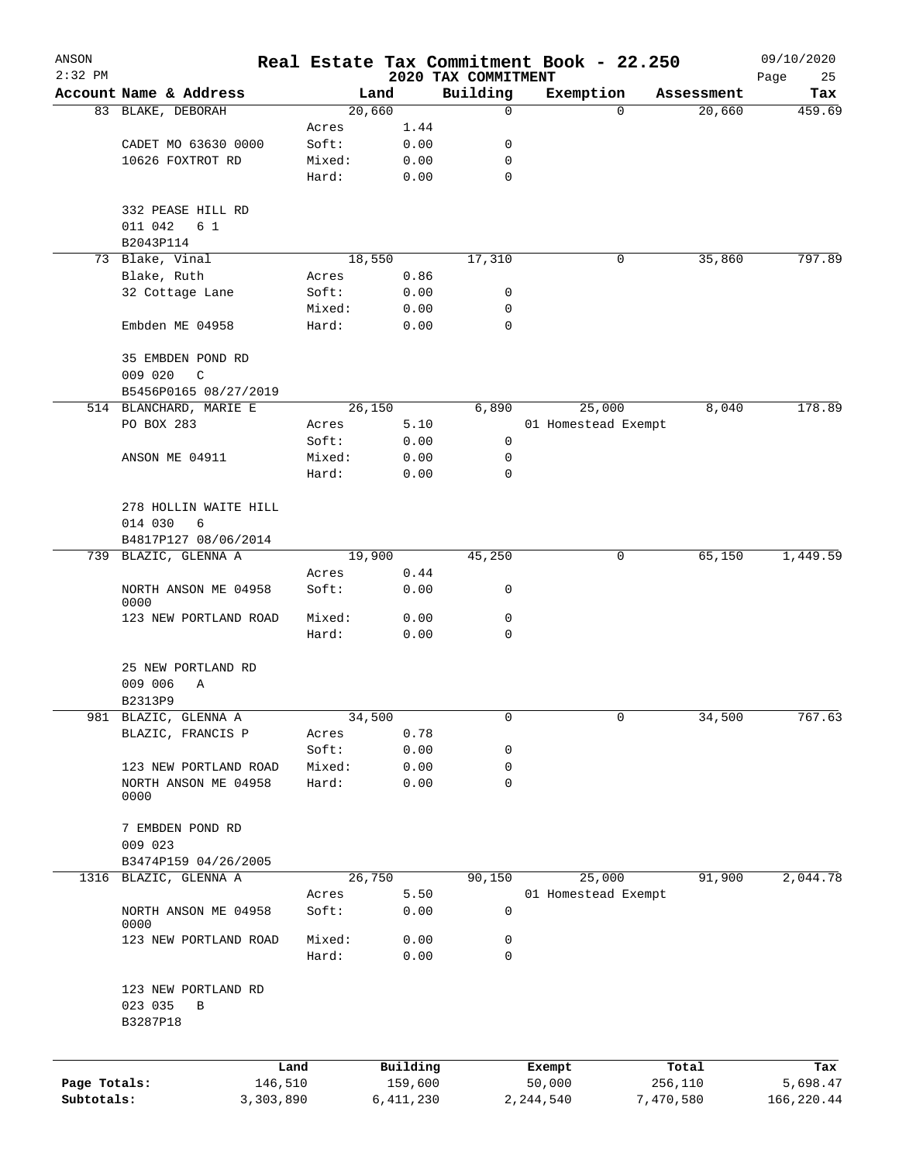| ANSON<br>$2:32$ PM |                                   |                |                |                                 | Real Estate Tax Commitment Book - 22.250 |           |            | 09/10/2020        |
|--------------------|-----------------------------------|----------------|----------------|---------------------------------|------------------------------------------|-----------|------------|-------------------|
|                    | Account Name & Address            |                | Land           | 2020 TAX COMMITMENT<br>Building | Exemption                                |           | Assessment | Page<br>25<br>Tax |
|                    | 83 BLAKE, DEBORAH                 |                | 20,660         | 0                               |                                          | 0         | 20,660     | 459.69            |
|                    |                                   | Acres          | 1.44           |                                 |                                          |           |            |                   |
|                    | CADET MO 63630 0000               | Soft:          | 0.00           | 0                               |                                          |           |            |                   |
|                    | 10626 FOXTROT RD                  | Mixed:         | 0.00           | 0                               |                                          |           |            |                   |
|                    |                                   | Hard:          | 0.00           | $\mathbf 0$                     |                                          |           |            |                   |
|                    | 332 PEASE HILL RD                 |                |                |                                 |                                          |           |            |                   |
|                    | 011 042<br>6 1                    |                |                |                                 |                                          |           |            |                   |
|                    | B2043P114                         |                |                |                                 |                                          |           |            |                   |
|                    | 73 Blake, Vinal<br>Blake, Ruth    |                | 18,550<br>0.86 | 17,310                          |                                          | 0         | 35,860     | 797.89            |
|                    | 32 Cottage Lane                   | Acres<br>Soft: | 0.00           | 0                               |                                          |           |            |                   |
|                    |                                   | Mixed:         | 0.00           | 0                               |                                          |           |            |                   |
|                    | Embden ME 04958                   | Hard:          | 0.00           | 0                               |                                          |           |            |                   |
|                    |                                   |                |                |                                 |                                          |           |            |                   |
|                    | 35 EMBDEN POND RD<br>009 020<br>C |                |                |                                 |                                          |           |            |                   |
|                    | B5456P0165 08/27/2019             |                |                |                                 |                                          |           |            |                   |
|                    | 514 BLANCHARD, MARIE E            |                | 26,150         | 6,890                           | 25,000                                   |           | 8,040      | 178.89            |
|                    | PO BOX 283                        | Acres          | 5.10           |                                 | 01 Homestead Exempt                      |           |            |                   |
|                    |                                   | Soft:          | 0.00           | 0                               |                                          |           |            |                   |
|                    | ANSON ME 04911                    | Mixed:         | 0.00           | 0                               |                                          |           |            |                   |
|                    |                                   | Hard:          | 0.00           | 0                               |                                          |           |            |                   |
|                    | 278 HOLLIN WAITE HILL             |                |                |                                 |                                          |           |            |                   |
|                    | 014 030<br>6                      |                |                |                                 |                                          |           |            |                   |
|                    | B4817P127 08/06/2014              |                |                |                                 |                                          |           |            |                   |
|                    | 739 BLAZIC, GLENNA A              |                | 19,900         | 45,250                          |                                          | 0         | 65,150     | 1,449.59          |
|                    |                                   | Acres          | 0.44           |                                 |                                          |           |            |                   |
|                    | NORTH ANSON ME 04958<br>0000      | Soft:          | 0.00           | 0                               |                                          |           |            |                   |
|                    | 123 NEW PORTLAND ROAD             | Mixed:         | 0.00           | 0                               |                                          |           |            |                   |
|                    |                                   | Hard:          | 0.00           | 0                               |                                          |           |            |                   |
|                    | 25 NEW PORTLAND RD                |                |                |                                 |                                          |           |            |                   |
|                    | 009 006<br>Α                      |                |                |                                 |                                          |           |            |                   |
|                    | B2313P9                           |                |                |                                 |                                          |           |            |                   |
|                    | 981 BLAZIC, GLENNA A              |                | 34,500         | 0                               |                                          | 0         | 34,500     | 767.63            |
|                    | BLAZIC, FRANCIS P                 | Acres          | 0.78           |                                 |                                          |           |            |                   |
|                    |                                   | Soft:          | 0.00           | 0                               |                                          |           |            |                   |
|                    | 123 NEW PORTLAND ROAD             | Mixed:         | 0.00           | 0                               |                                          |           |            |                   |
|                    | NORTH ANSON ME 04958<br>0000      | Hard:          | 0.00           | 0                               |                                          |           |            |                   |
|                    | 7 EMBDEN POND RD                  |                |                |                                 |                                          |           |            |                   |
|                    | 009 023                           |                |                |                                 |                                          |           |            |                   |
|                    | B3474P159 04/26/2005              |                |                |                                 |                                          |           |            |                   |
| 1316               | BLAZIC, GLENNA A                  |                | 26,750         | 90,150                          | 25,000                                   |           | 91,900     | 2,044.78          |
|                    |                                   | Acres          | 5.50           |                                 | 01 Homestead Exempt                      |           |            |                   |
|                    | NORTH ANSON ME 04958<br>0000      | Soft:          | 0.00           | 0                               |                                          |           |            |                   |
|                    | 123 NEW PORTLAND ROAD             | Mixed:         | 0.00           | 0                               |                                          |           |            |                   |
|                    |                                   | Hard:          | 0.00           | 0                               |                                          |           |            |                   |
|                    | 123 NEW PORTLAND RD               |                |                |                                 |                                          |           |            |                   |
|                    | 023 035<br>В<br>B3287P18          |                |                |                                 |                                          |           |            |                   |
|                    |                                   | Land           | Building       |                                 | Exempt                                   |           | Total      | Tax               |
| Page Totals:       | 146,510                           |                | 159,600        |                                 | 50,000                                   |           | 256,110    | 5,698.47          |
| Subtotals:         | 3,303,890                         |                | 6,411,230      |                                 | 2,244,540                                | 7,470,580 |            | 166,220.44        |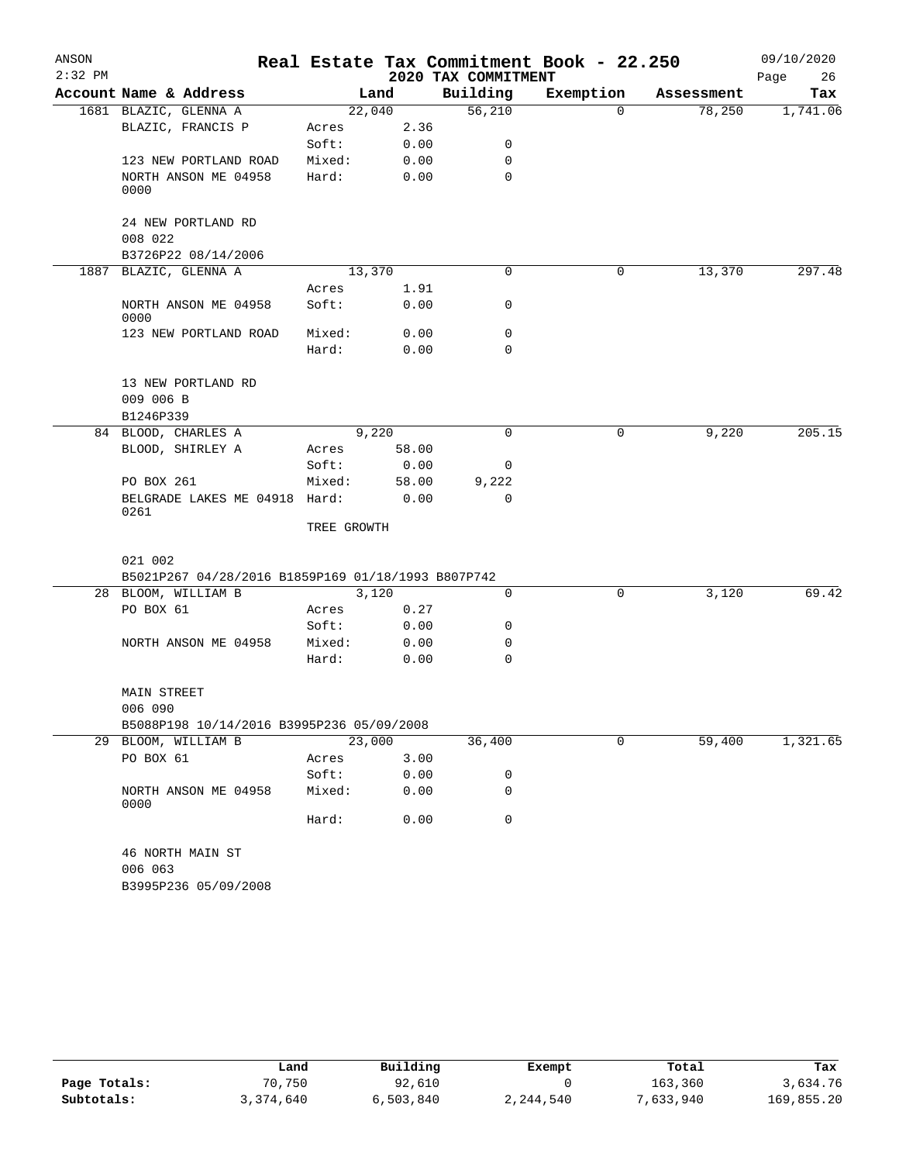| ANSON     |                                                    |             |        |                     | Real Estate Tax Commitment Book - 22.250 |            | 09/10/2020 |
|-----------|----------------------------------------------------|-------------|--------|---------------------|------------------------------------------|------------|------------|
| $2:32$ PM |                                                    |             |        | 2020 TAX COMMITMENT |                                          |            | Page<br>26 |
|           | Account Name & Address                             |             | Land   | Building            | Exemption                                | Assessment | Tax        |
|           | 1681 BLAZIC, GLENNA A                              |             | 22,040 | 56,210              | $\Omega$                                 | 78,250     | 1,741.06   |
|           | BLAZIC, FRANCIS P                                  | Acres       | 2.36   |                     |                                          |            |            |
|           |                                                    | Soft:       | 0.00   | 0                   |                                          |            |            |
|           | 123 NEW PORTLAND ROAD                              | Mixed:      | 0.00   | 0                   |                                          |            |            |
|           | NORTH ANSON ME 04958<br>0000                       | Hard:       | 0.00   | $\Omega$            |                                          |            |            |
|           | 24 NEW PORTLAND RD<br>008 022                      |             |        |                     |                                          |            |            |
|           | B3726P22 08/14/2006                                |             |        |                     |                                          |            |            |
|           | 1887 BLAZIC, GLENNA A                              |             | 13,370 | $\Omega$            | 0                                        | 13,370     | 297.48     |
|           |                                                    | Acres       | 1.91   |                     |                                          |            |            |
|           | NORTH ANSON ME 04958<br>0000                       | Soft:       | 0.00   | 0                   |                                          |            |            |
|           | 123 NEW PORTLAND ROAD                              | Mixed:      | 0.00   | 0                   |                                          |            |            |
|           |                                                    | Hard:       | 0.00   | $\Omega$            |                                          |            |            |
|           | 13 NEW PORTLAND RD                                 |             |        |                     |                                          |            |            |
|           | 009 006 B                                          |             |        |                     |                                          |            |            |
|           | B1246P339                                          |             |        |                     |                                          |            |            |
|           | 84 BLOOD, CHARLES A                                |             | 9,220  | 0                   | 0                                        | 9,220      | 205.15     |
|           | BLOOD, SHIRLEY A                                   | Acres       | 58.00  |                     |                                          |            |            |
|           |                                                    | Soft:       | 0.00   | 0                   |                                          |            |            |
|           | PO BOX 261                                         | Mixed:      | 58.00  | 9,222               |                                          |            |            |
|           | BELGRADE LAKES ME 04918 Hard:<br>0261              |             | 0.00   | $\mathbf 0$         |                                          |            |            |
|           |                                                    | TREE GROWTH |        |                     |                                          |            |            |
|           | 021 002                                            |             |        |                     |                                          |            |            |
|           | B5021P267 04/28/2016 B1859P169 01/18/1993 B807P742 |             |        |                     |                                          |            |            |
|           | 28 BLOOM, WILLIAM B                                |             | 3,120  | 0                   | 0                                        | 3,120      | 69.42      |
|           | PO BOX 61                                          | Acres       | 0.27   |                     |                                          |            |            |
|           |                                                    | Soft:       | 0.00   | 0                   |                                          |            |            |
|           | NORTH ANSON ME 04958                               | Mixed:      | 0.00   | 0                   |                                          |            |            |
|           |                                                    | Hard:       | 0.00   | 0                   |                                          |            |            |
|           | <b>MAIN STREET</b>                                 |             |        |                     |                                          |            |            |
|           | 006 090                                            |             |        |                     |                                          |            |            |
|           | B5088P198 10/14/2016 B3995P236 05/09/2008          |             |        |                     |                                          |            |            |
|           | 29 BLOOM, WILLIAM B                                |             | 23,000 | 36,400              | 0                                        | 59,400     | 1,321.65   |
|           | PO BOX 61                                          | Acres       | 3.00   |                     |                                          |            |            |
|           |                                                    | Soft:       | 0.00   | 0                   |                                          |            |            |
|           | NORTH ANSON ME 04958<br>0000                       | Mixed:      | 0.00   | 0                   |                                          |            |            |
|           |                                                    | Hard:       | 0.00   | 0                   |                                          |            |            |
|           | 46 NORTH MAIN ST                                   |             |        |                     |                                          |            |            |
|           | 006 063                                            |             |        |                     |                                          |            |            |
|           | B3995P236 05/09/2008                               |             |        |                     |                                          |            |            |

|              | Land      | Building  | Exempt    | Total     | Tax        |
|--------------|-----------|-----------|-----------|-----------|------------|
| Page Totals: | 70,750    | 92,610    |           | 163,360   | 3,634.76   |
| Subtotals:   | 3,374,640 | 6,503,840 | 2,244,540 | 7,633,940 | 169,855.20 |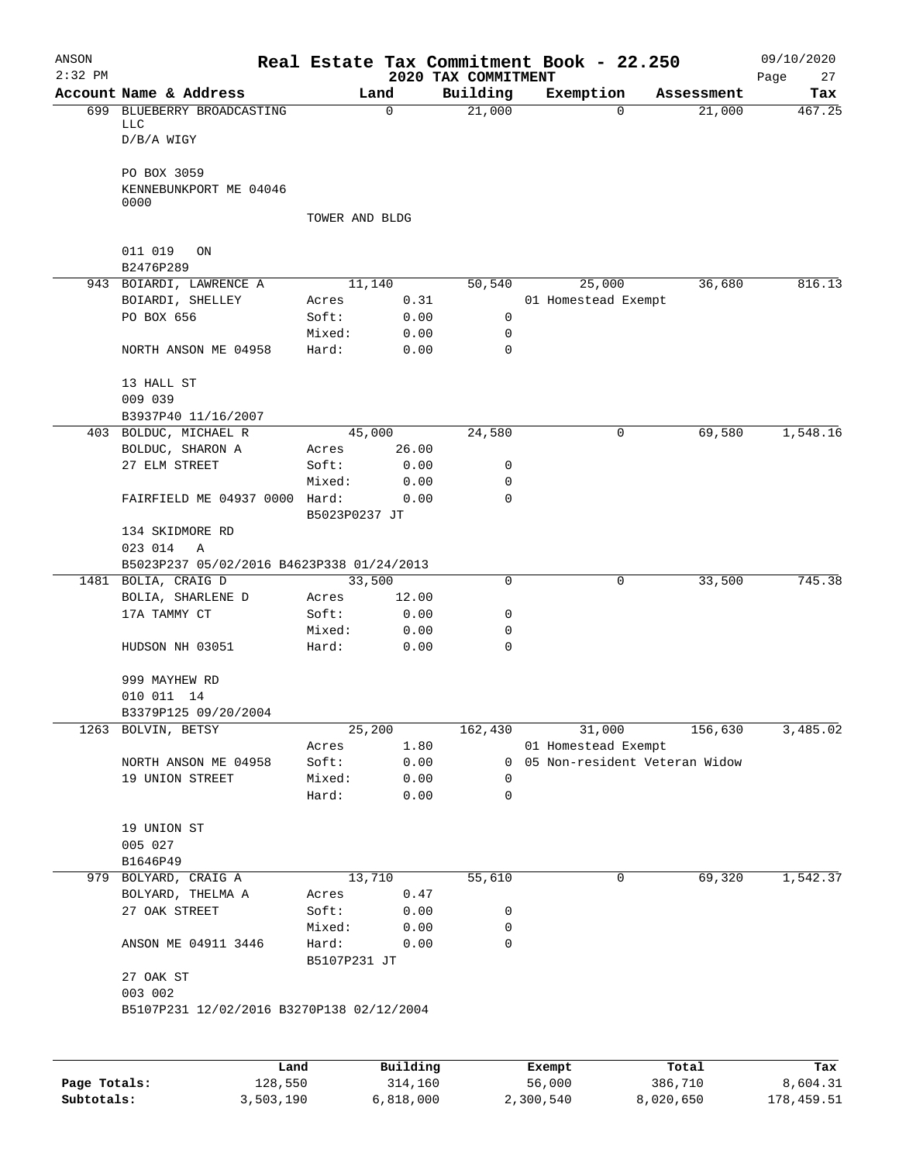| ANSON<br>$2:32$ PM |                                                   |                       |              | 2020 TAX COMMITMENT | Real Estate Tax Commitment Book - 22.250 |            | 09/10/2020<br>Page<br>27 |
|--------------------|---------------------------------------------------|-----------------------|--------------|---------------------|------------------------------------------|------------|--------------------------|
|                    | Account Name & Address                            |                       | Land         | Building            | Exemption                                | Assessment | Tax                      |
|                    | 699 BLUEBERRY BROADCASTING<br>LLC<br>$D/B/A$ WIGY |                       | $\mathbf 0$  | 21,000              | 0                                        | 21,000     | 467.25                   |
|                    | PO BOX 3059<br>KENNEBUNKPORT ME 04046             |                       |              |                     |                                          |            |                          |
|                    | 0000                                              | TOWER AND BLDG        |              |                     |                                          |            |                          |
|                    | 011 019<br>ON                                     |                       |              |                     |                                          |            |                          |
|                    | B2476P289                                         |                       |              |                     |                                          |            |                          |
|                    | 943 BOIARDI, LAWRENCE A<br>BOIARDI, SHELLEY       | 11,140                | 0.31         | 50,540              | 25,000                                   | 36,680     | 816.13                   |
|                    | PO BOX 656                                        | Acres<br>Soft:        | 0.00         | 0                   | 01 Homestead Exempt                      |            |                          |
|                    |                                                   | Mixed:                | 0.00         | 0                   |                                          |            |                          |
|                    | NORTH ANSON ME 04958                              | Hard:                 | 0.00         | $\mathbf 0$         |                                          |            |                          |
|                    | 13 HALL ST                                        |                       |              |                     |                                          |            |                          |
|                    | 009 039                                           |                       |              |                     |                                          |            |                          |
|                    | B3937P40 11/16/2007                               |                       |              |                     |                                          |            |                          |
|                    | 403 BOLDUC, MICHAEL R                             | 45,000                |              | 24,580              | 0                                        | 69,580     | 1,548.16                 |
|                    | BOLDUC, SHARON A                                  | Acres                 | 26.00        |                     |                                          |            |                          |
|                    | 27 ELM STREET                                     | Soft:                 | 0.00         | 0                   |                                          |            |                          |
|                    | FAIRFIELD ME 04937 0000 Hard:                     | Mixed:                | 0.00<br>0.00 | 0<br>$\mathbf 0$    |                                          |            |                          |
|                    |                                                   | B5023P0237 JT         |              |                     |                                          |            |                          |
|                    | 134 SKIDMORE RD<br>023 014<br>Α                   |                       |              |                     |                                          |            |                          |
|                    | B5023P237 05/02/2016 B4623P338 01/24/2013         |                       |              |                     |                                          |            |                          |
|                    | 1481 BOLIA, CRAIG D                               | 33,500                |              | $\mathbf 0$         | 0                                        | 33,500     | 745.38                   |
|                    | BOLIA, SHARLENE D                                 | Acres                 | 12.00        |                     |                                          |            |                          |
|                    | 17A TAMMY CT                                      | Soft:                 | 0.00         | 0                   |                                          |            |                          |
|                    |                                                   | Mixed:                | 0.00         | 0                   |                                          |            |                          |
|                    | HUDSON NH 03051                                   | Hard:                 | 0.00         | $\mathbf 0$         |                                          |            |                          |
|                    | 999 MAYHEW RD                                     |                       |              |                     |                                          |            |                          |
|                    | 010 011 14                                        |                       |              |                     |                                          |            |                          |
|                    | B3379P125 09/20/2004                              |                       |              |                     |                                          |            |                          |
|                    | 1263 BOLVIN, BETSY                                | 25,200                |              | 162,430             | 31,000                                   | 156,630    | 3,485.02                 |
|                    |                                                   | Acres                 | 1.80         |                     | 01 Homestead Exempt                      |            |                          |
|                    | NORTH ANSON ME 04958                              | Soft:                 | 0.00         |                     | 0 05 Non-resident Veteran Widow          |            |                          |
|                    | 19 UNION STREET                                   | Mixed:                | 0.00         | 0                   |                                          |            |                          |
|                    |                                                   | Hard:                 | 0.00         | 0                   |                                          |            |                          |
|                    | 19 UNION ST                                       |                       |              |                     |                                          |            |                          |
|                    | 005 027                                           |                       |              |                     |                                          |            |                          |
|                    | B1646P49                                          |                       |              |                     |                                          |            |                          |
|                    | 979 BOLYARD, CRAIG A                              | 13,710                |              | 55,610              | 0                                        | 69,320     | 1,542.37                 |
|                    | BOLYARD, THELMA A                                 | Acres                 | 0.47         |                     |                                          |            |                          |
|                    | 27 OAK STREET                                     | Soft:                 | 0.00         | 0                   |                                          |            |                          |
|                    |                                                   | Mixed:                | 0.00         | 0                   |                                          |            |                          |
|                    | ANSON ME 04911 3446                               | Hard:<br>B5107P231 JT | 0.00         | 0                   |                                          |            |                          |
|                    | 27 OAK ST<br>003 002                              |                       |              |                     |                                          |            |                          |
|                    | B5107P231 12/02/2016 B3270P138 02/12/2004         |                       |              |                     |                                          |            |                          |
|                    |                                                   |                       |              |                     |                                          |            |                          |
|                    | Land                                              |                       | Building     |                     |                                          | Total      |                          |
| Page Totals:       | 128,550                                           |                       | 314,160      |                     | Exempt<br>56,000                         | 386,710    | Tax<br>8,604.31          |

**Subtotals:** 3,503,190 6,818,000 2,300,540 8,020,650 178,459.51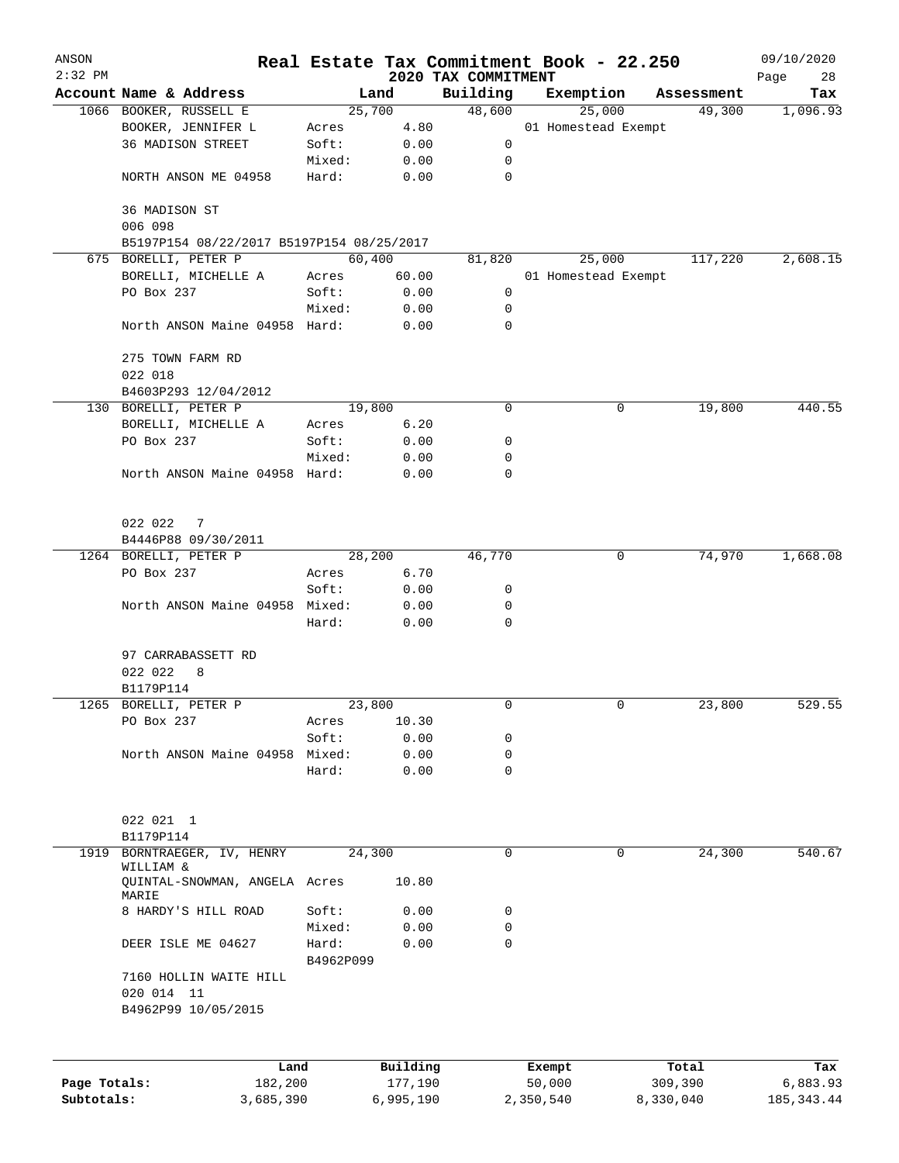| ANSON        |                                                                   |           |                | Real Estate Tax Commitment Book - 22.250 |                     |        |                      | 09/10/2020      |
|--------------|-------------------------------------------------------------------|-----------|----------------|------------------------------------------|---------------------|--------|----------------------|-----------------|
| $2:32$ PM    | Account Name & Address                                            |           |                | 2020 TAX COMMITMENT                      |                     |        |                      | Page<br>28      |
|              | 1066 BOOKER, RUSSELL E                                            |           | Land<br>25,700 | Building<br>48,600                       | Exemption           | 25,000 | Assessment<br>49,300 | Tax<br>1,096.93 |
|              | BOOKER, JENNIFER L                                                | Acres     | 4.80           |                                          | 01 Homestead Exempt |        |                      |                 |
|              | 36 MADISON STREET                                                 | Soft:     | 0.00           | 0                                        |                     |        |                      |                 |
|              |                                                                   | Mixed:    | 0.00           | 0                                        |                     |        |                      |                 |
|              | NORTH ANSON ME 04958                                              | Hard:     | 0.00           | $\mathbf 0$                              |                     |        |                      |                 |
|              | 36 MADISON ST                                                     |           |                |                                          |                     |        |                      |                 |
|              | 006 098                                                           |           |                |                                          |                     |        |                      |                 |
|              | B5197P154 08/22/2017 B5197P154 08/25/2017<br>675 BORELLI, PETER P |           | 60,400         | 81,820                                   |                     | 25,000 | 117,220              | 2,608.15        |
|              | BORELLI, MICHELLE A                                               | Acres     | 60.00          |                                          | 01 Homestead Exempt |        |                      |                 |
|              | PO Box 237                                                        | Soft:     | 0.00           | 0                                        |                     |        |                      |                 |
|              |                                                                   | Mixed:    | 0.00           | 0                                        |                     |        |                      |                 |
|              | North ANSON Maine 04958 Hard:                                     |           | 0.00           | 0                                        |                     |        |                      |                 |
|              | 275 TOWN FARM RD                                                  |           |                |                                          |                     |        |                      |                 |
|              | 022 018                                                           |           |                |                                          |                     |        |                      |                 |
|              | B4603P293 12/04/2012                                              |           |                |                                          |                     |        |                      |                 |
|              | 130 BORELLI, PETER P                                              |           | 19,800         | 0                                        |                     | 0      | 19,800               | 440.55          |
|              | BORELLI, MICHELLE A                                               | Acres     | 6.20           |                                          |                     |        |                      |                 |
|              | PO Box 237                                                        | Soft:     | 0.00           | 0                                        |                     |        |                      |                 |
|              |                                                                   | Mixed:    | 0.00           | 0                                        |                     |        |                      |                 |
|              | North ANSON Maine 04958 Hard:                                     |           | 0.00           | $\mathbf 0$                              |                     |        |                      |                 |
|              | 022 022<br>$\overline{7}$                                         |           |                |                                          |                     |        |                      |                 |
|              | B4446P88 09/30/2011                                               |           |                |                                          |                     |        |                      |                 |
|              | 1264 BORELLI, PETER P                                             |           | 28,200         | 46,770                                   |                     | 0      | 74,970               | 1,668.08        |
|              | PO Box 237                                                        | Acres     | 6.70           |                                          |                     |        |                      |                 |
|              |                                                                   | Soft:     | 0.00           | 0                                        |                     |        |                      |                 |
|              | North ANSON Maine 04958 Mixed:                                    |           | 0.00           | 0                                        |                     |        |                      |                 |
|              |                                                                   | Hard:     | 0.00           | 0                                        |                     |        |                      |                 |
|              | 97 CARRABASSETT RD                                                |           |                |                                          |                     |        |                      |                 |
|              | 022 022<br>8                                                      |           |                |                                          |                     |        |                      |                 |
|              | B1179P114                                                         |           |                |                                          |                     |        |                      |                 |
|              | 1265 BORELLI, PETER P                                             |           | 23,800         | 0                                        |                     | 0      | 23,800               | 529.55          |
|              | PO Box 237                                                        | Acres     | 10.30          |                                          |                     |        |                      |                 |
|              |                                                                   | Soft:     | 0.00           | 0                                        |                     |        |                      |                 |
|              | North ANSON Maine 04958                                           | Mixed:    | 0.00           | $\mathbf 0$                              |                     |        |                      |                 |
|              |                                                                   | Hard:     | 0.00           | 0                                        |                     |        |                      |                 |
|              | 022 021 1                                                         |           |                |                                          |                     |        |                      |                 |
|              | B1179P114                                                         |           |                |                                          |                     |        |                      |                 |
| 1919         | BORNTRAEGER, IV, HENRY                                            |           | 24,300         | $\mathbf 0$                              |                     | 0      | 24,300               | 540.67          |
|              | WILLIAM &<br>QUINTAL-SNOWMAN, ANGELA Acres                        |           | 10.80          |                                          |                     |        |                      |                 |
|              | MARIE<br>8 HARDY'S HILL ROAD                                      | Soft:     |                | 0                                        |                     |        |                      |                 |
|              |                                                                   | Mixed:    | 0.00<br>0.00   | $\mathbf 0$                              |                     |        |                      |                 |
|              | DEER ISLE ME 04627                                                | Hard:     |                | $\mathbf 0$                              |                     |        |                      |                 |
|              |                                                                   | B4962P099 | 0.00           |                                          |                     |        |                      |                 |
|              | 7160 HOLLIN WAITE HILL<br>020 014 11                              |           |                |                                          |                     |        |                      |                 |
|              | B4962P99 10/05/2015                                               |           |                |                                          |                     |        |                      |                 |
|              |                                                                   |           |                |                                          |                     |        |                      |                 |
|              | Land                                                              |           | Building       |                                          | Exempt              |        | Total                | Tax             |
| Page Totals: | 182,200                                                           |           | 177,190        |                                          | 50,000              |        | 309,390              | 6,883.93        |
| Subtotals:   | 3,685,390                                                         |           | 6,995,190      |                                          | 2,350,540           |        | 8,330,040            | 185, 343.44     |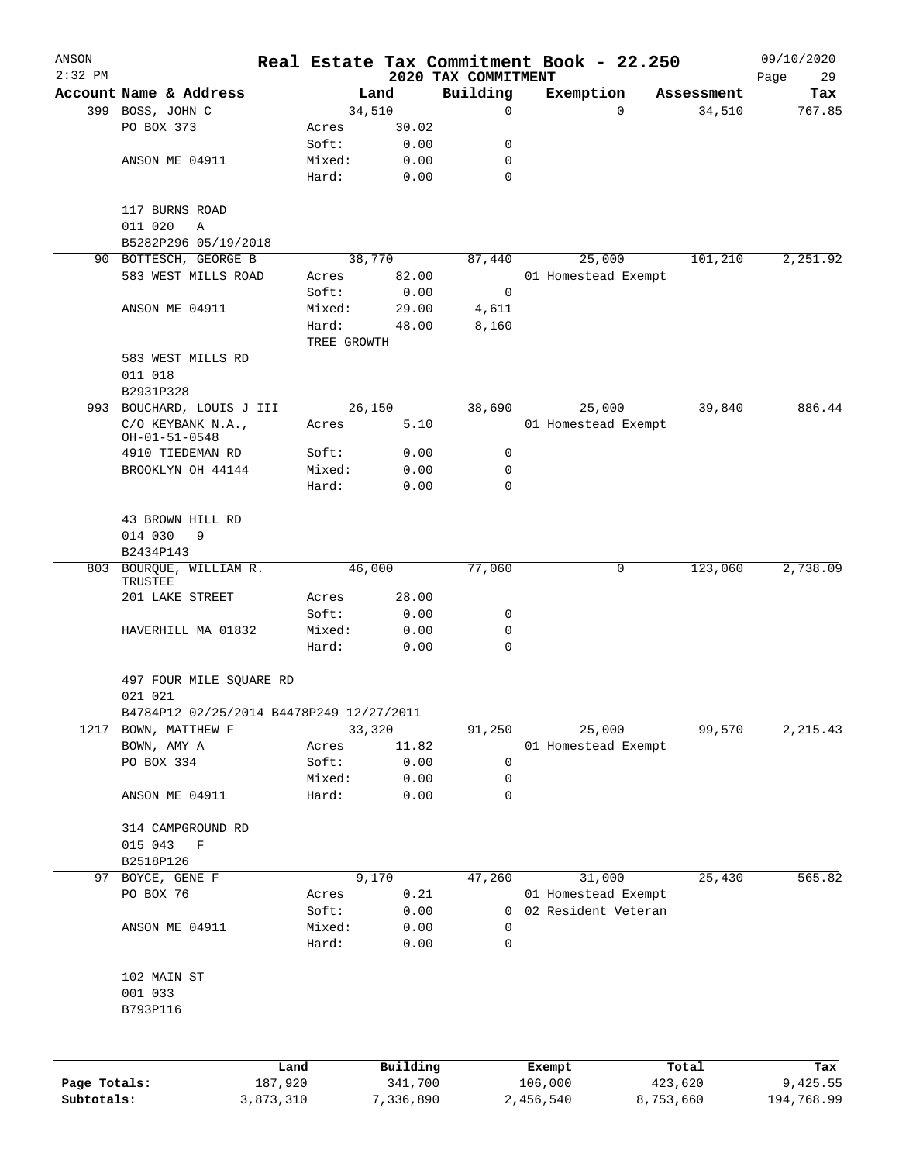| ANSON<br>$2:32$ PM |                                          |           |             |           |                                 | Real Estate Tax Commitment Book - 22.250 |            | 09/10/2020          |
|--------------------|------------------------------------------|-----------|-------------|-----------|---------------------------------|------------------------------------------|------------|---------------------|
|                    | Account Name & Address                   |           |             | Land      | 2020 TAX COMMITMENT<br>Building | Exemption                                | Assessment | Page<br>29<br>Tax   |
|                    | 399 BOSS, JOHN C                         |           |             | 34,510    | 0                               |                                          | $\Omega$   | 767.85<br>34,510    |
|                    | PO BOX 373                               |           | Acres       | 30.02     |                                 |                                          |            |                     |
|                    |                                          |           | Soft:       | 0.00      | 0                               |                                          |            |                     |
|                    | ANSON ME 04911                           |           | Mixed:      | 0.00      | 0                               |                                          |            |                     |
|                    |                                          |           | Hard:       | 0.00      | 0                               |                                          |            |                     |
|                    | 117 BURNS ROAD                           |           |             |           |                                 |                                          |            |                     |
|                    | 011 020<br>Α                             |           |             |           |                                 |                                          |            |                     |
|                    | B5282P296 05/19/2018                     |           |             |           |                                 |                                          |            |                     |
|                    | 90 BOTTESCH, GEORGE B                    |           |             | 38,770    | 87,440                          | 25,000                                   |            | 101,210<br>2,251.92 |
|                    | 583 WEST MILLS ROAD                      |           | Acres       | 82.00     |                                 | 01 Homestead Exempt                      |            |                     |
|                    |                                          |           | Soft:       | 0.00      | $\mathbf 0$                     |                                          |            |                     |
|                    | ANSON ME 04911                           |           | Mixed:      | 29.00     | 4,611                           |                                          |            |                     |
|                    |                                          |           | Hard:       | 48.00     | 8,160                           |                                          |            |                     |
|                    |                                          |           | TREE GROWTH |           |                                 |                                          |            |                     |
|                    | 583 WEST MILLS RD                        |           |             |           |                                 |                                          |            |                     |
|                    | 011 018                                  |           |             |           |                                 |                                          |            |                     |
|                    | B2931P328                                |           |             |           |                                 |                                          |            |                     |
|                    | 993 BOUCHARD, LOUIS J III                |           |             | 26,150    | 38,690                          | 25,000                                   |            | 39,840<br>886.44    |
|                    | C/O KEYBANK N.A.,<br>OH-01-51-0548       |           | Acres       | 5.10      |                                 | 01 Homestead Exempt                      |            |                     |
|                    | 4910 TIEDEMAN RD                         |           | Soft:       | 0.00      | 0                               |                                          |            |                     |
|                    | BROOKLYN OH 44144                        |           | Mixed:      | 0.00      | 0                               |                                          |            |                     |
|                    |                                          |           | Hard:       | 0.00      | $\Omega$                        |                                          |            |                     |
|                    |                                          |           |             |           |                                 |                                          |            |                     |
|                    | 43 BROWN HILL RD                         |           |             |           |                                 |                                          |            |                     |
|                    | 014 030<br>9                             |           |             |           |                                 |                                          |            |                     |
|                    | B2434P143                                |           |             |           |                                 |                                          |            |                     |
| 803                | BOURQUE, WILLIAM R.                      |           |             | 46,000    | 77,060                          |                                          | 0          | 2,738.09<br>123,060 |
|                    | TRUSTEE                                  |           |             |           |                                 |                                          |            |                     |
|                    | 201 LAKE STREET                          |           | Acres       | 28.00     |                                 |                                          |            |                     |
|                    |                                          |           | Soft:       | 0.00      | 0                               |                                          |            |                     |
|                    | HAVERHILL MA 01832                       |           | Mixed:      | 0.00      | 0                               |                                          |            |                     |
|                    |                                          |           | Hard:       | 0.00      | 0                               |                                          |            |                     |
|                    | 497 FOUR MILE SQUARE RD                  |           |             |           |                                 |                                          |            |                     |
|                    | 021 021                                  |           |             |           |                                 |                                          |            |                     |
|                    | B4784P12 02/25/2014 B4478P249 12/27/2011 |           |             |           |                                 |                                          |            |                     |
| 1217               | BOWN, MATTHEW F                          |           |             | 33,320    | 91,250                          | 25,000                                   |            | 99,570<br>2, 215.43 |
|                    | BOWN, AMY A                              |           | Acres       | 11.82     |                                 | 01 Homestead Exempt                      |            |                     |
|                    | PO BOX 334                               |           | Soft:       | 0.00      | $\mathbf 0$                     |                                          |            |                     |
|                    |                                          |           | Mixed:      | 0.00      | 0                               |                                          |            |                     |
|                    | ANSON ME 04911                           |           | Hard:       | 0.00      | 0                               |                                          |            |                     |
|                    | 314 CAMPGROUND RD                        |           |             |           |                                 |                                          |            |                     |
|                    | 015 043<br>$\mathbf F$                   |           |             |           |                                 |                                          |            |                     |
|                    | B2518P126                                |           |             |           |                                 |                                          |            |                     |
| 97                 | BOYCE, GENE F                            |           |             | 9,170     | 47,260                          | 31,000                                   |            | 565.82<br>25,430    |
|                    | PO BOX 76                                |           | Acres       | 0.21      |                                 | 01 Homestead Exempt                      |            |                     |
|                    |                                          |           | Soft:       | 0.00      | 0                               | 02 Resident Veteran                      |            |                     |
|                    | ANSON ME 04911                           |           | Mixed:      | 0.00      | 0                               |                                          |            |                     |
|                    |                                          |           | Hard:       | 0.00      | $\mathbf 0$                     |                                          |            |                     |
|                    | 102 MAIN ST                              |           |             |           |                                 |                                          |            |                     |
|                    | 001 033                                  |           |             |           |                                 |                                          |            |                     |
|                    | B793P116                                 |           |             |           |                                 |                                          |            |                     |
|                    |                                          |           |             |           |                                 |                                          |            |                     |
|                    |                                          | Land      |             | Building  |                                 | Exempt                                   | Total      | Tax                 |
| Page Totals:       |                                          | 187,920   |             | 341,700   |                                 | 106,000                                  | 423,620    | 9,425.55            |
| Subtotals:         |                                          | 3,873,310 |             | 7,336,890 |                                 | 2,456,540                                | 8,753,660  | 194,768.99          |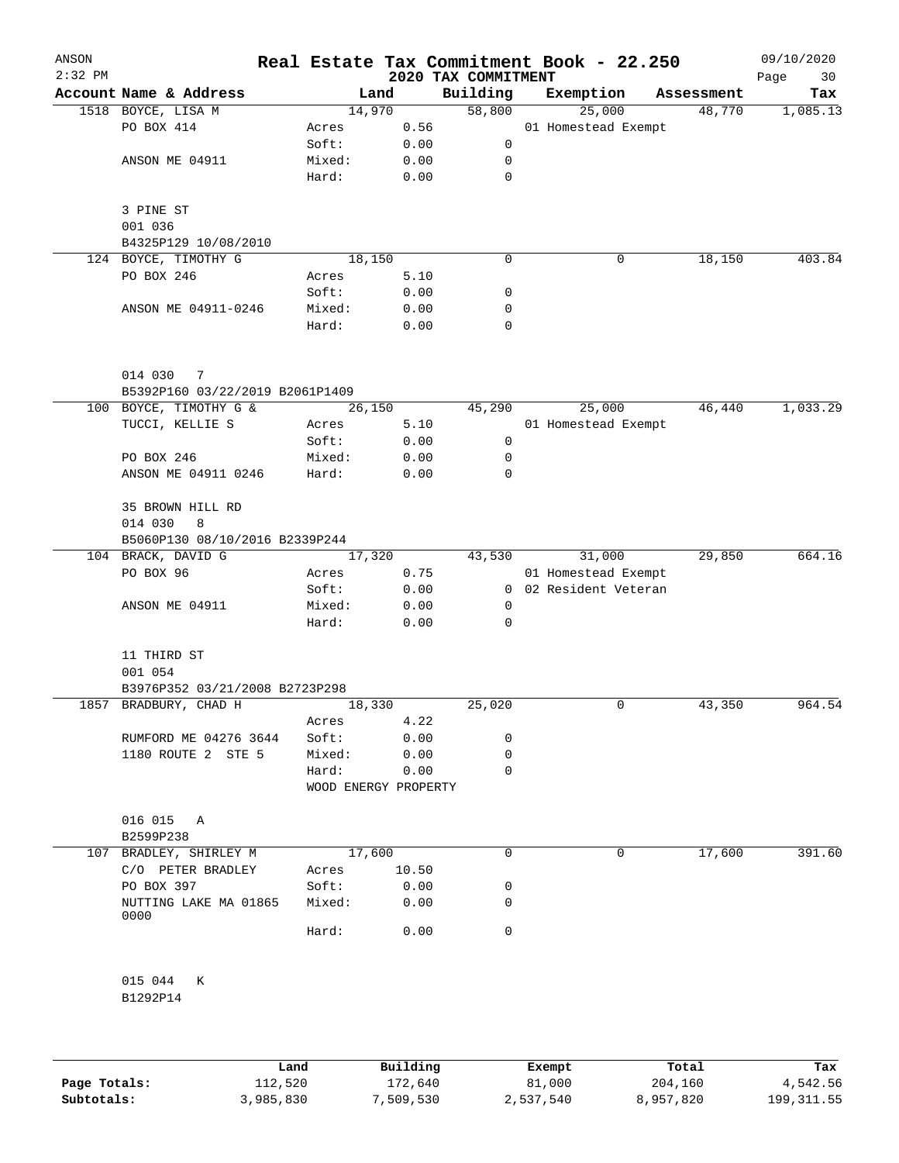| ANSON<br>$2:32$ PM |                                                         |                      |        | 2020 TAX COMMITMENT | Real Estate Tax Commitment Book - 22.250 |            | 09/10/2020<br>Page<br>30 |
|--------------------|---------------------------------------------------------|----------------------|--------|---------------------|------------------------------------------|------------|--------------------------|
|                    | Account Name & Address                                  |                      | Land   | Building            | Exemption                                | Assessment | Tax                      |
|                    | 1518 BOYCE, LISA M                                      | 14,970               |        | 58,800              | 25,000                                   | 48,770     | 1,085.13                 |
|                    | PO BOX 414                                              | Acres                | 0.56   |                     | 01 Homestead Exempt                      |            |                          |
|                    |                                                         | Soft:                | 0.00   | 0                   |                                          |            |                          |
|                    | ANSON ME 04911                                          | Mixed:               | 0.00   | 0                   |                                          |            |                          |
|                    |                                                         | Hard:                | 0.00   | $\mathbf 0$         |                                          |            |                          |
|                    | 3 PINE ST                                               |                      |        |                     |                                          |            |                          |
|                    | 001 036                                                 |                      |        |                     |                                          |            |                          |
|                    | B4325P129 10/08/2010                                    |                      |        |                     |                                          |            |                          |
|                    | 124 BOYCE, TIMOTHY G                                    | 18,150               |        | 0                   | 0                                        | 18,150     | 403.84                   |
|                    | PO BOX 246                                              | Acres                | 5.10   |                     |                                          |            |                          |
|                    |                                                         | Soft:                | 0.00   | 0                   |                                          |            |                          |
|                    | ANSON ME 04911-0246                                     | Mixed:               | 0.00   | 0                   |                                          |            |                          |
|                    |                                                         | Hard:                | 0.00   | 0                   |                                          |            |                          |
|                    | 014 030<br>7                                            |                      |        |                     |                                          |            |                          |
|                    | B5392P160 03/22/2019 B2061P1409                         |                      |        |                     |                                          |            |                          |
|                    | 100 BOYCE, TIMOTHY G &                                  | 26,150               |        | 45,290              | 25,000                                   | 46,440     | 1,033.29                 |
|                    | TUCCI, KELLIE S                                         | Acres                | 5.10   |                     | 01 Homestead Exempt                      |            |                          |
|                    |                                                         | Soft:                | 0.00   | 0                   |                                          |            |                          |
|                    | PO BOX 246                                              | Mixed:               | 0.00   | 0                   |                                          |            |                          |
|                    | ANSON ME 04911 0246                                     | Hard:                | 0.00   | 0                   |                                          |            |                          |
|                    | 35 BROWN HILL RD                                        |                      |        |                     |                                          |            |                          |
|                    | 014 030<br>8                                            |                      |        |                     |                                          |            |                          |
|                    | B5060P130 08/10/2016 B2339P244<br>104 BRACK, DAVID G    |                      | 17,320 | 43,530              | 31,000                                   | 29,850     | 664.16                   |
|                    | PO BOX 96                                               |                      | 0.75   |                     | 01 Homestead Exempt                      |            |                          |
|                    |                                                         | Acres<br>Soft:       |        |                     | 0 02 Resident Veteran                    |            |                          |
|                    |                                                         |                      | 0.00   | 0                   |                                          |            |                          |
|                    | ANSON ME 04911                                          | Mixed:               | 0.00   |                     |                                          |            |                          |
|                    |                                                         | Hard:                | 0.00   | 0                   |                                          |            |                          |
|                    | 11 THIRD ST                                             |                      |        |                     |                                          |            |                          |
|                    | 001 054                                                 |                      |        |                     |                                          |            |                          |
|                    | B3976P352 03/21/2008 B2723P298<br>1857 BRADBURY, CHAD H |                      |        |                     | 0                                        |            | 964.54                   |
|                    |                                                         | 18,330               |        | 25,020              |                                          | 43,350     |                          |
|                    |                                                         | Acres                | 4.22   | 0                   |                                          |            |                          |
|                    | RUMFORD ME 04276 3644                                   | Soft:                | 0.00   | 0                   |                                          |            |                          |
|                    | 1180 ROUTE 2 STE 5                                      | Mixed:               | 0.00   |                     |                                          |            |                          |
|                    |                                                         | Hard:                | 0.00   | 0                   |                                          |            |                          |
|                    |                                                         | WOOD ENERGY PROPERTY |        |                     |                                          |            |                          |
|                    | 016 015<br>A                                            |                      |        |                     |                                          |            |                          |
|                    | B2599P238                                               |                      |        |                     |                                          |            |                          |
| 107                | BRADLEY, SHIRLEY M                                      | 17,600               |        | 0                   | 0                                        | 17,600     | 391.60                   |
|                    | C/O PETER BRADLEY                                       | Acres                | 10.50  |                     |                                          |            |                          |
|                    | PO BOX 397                                              | Soft:                | 0.00   | 0                   |                                          |            |                          |
|                    | NUTTING LAKE MA 01865<br>0000                           | Mixed:               | 0.00   | 0                   |                                          |            |                          |
|                    |                                                         | Hard:                | 0.00   | 0                   |                                          |            |                          |
|                    | 015 044<br>К                                            |                      |        |                     |                                          |            |                          |
|                    | B1292P14                                                |                      |        |                     |                                          |            |                          |
|                    |                                                         |                      |        |                     |                                          |            |                          |
|                    |                                                         |                      |        |                     |                                          |            |                          |

|              | Land      | Building  | Exempt    | Total     | Tax         |
|--------------|-----------|-----------|-----------|-----------|-------------|
| Page Totals: | 112,520   | 172,640   | 81,000    | 204,160   | 4,542.56    |
| Subtotals:   | 3,985,830 | 7,509,530 | 2,537,540 | 8,957,820 | 199, 311.55 |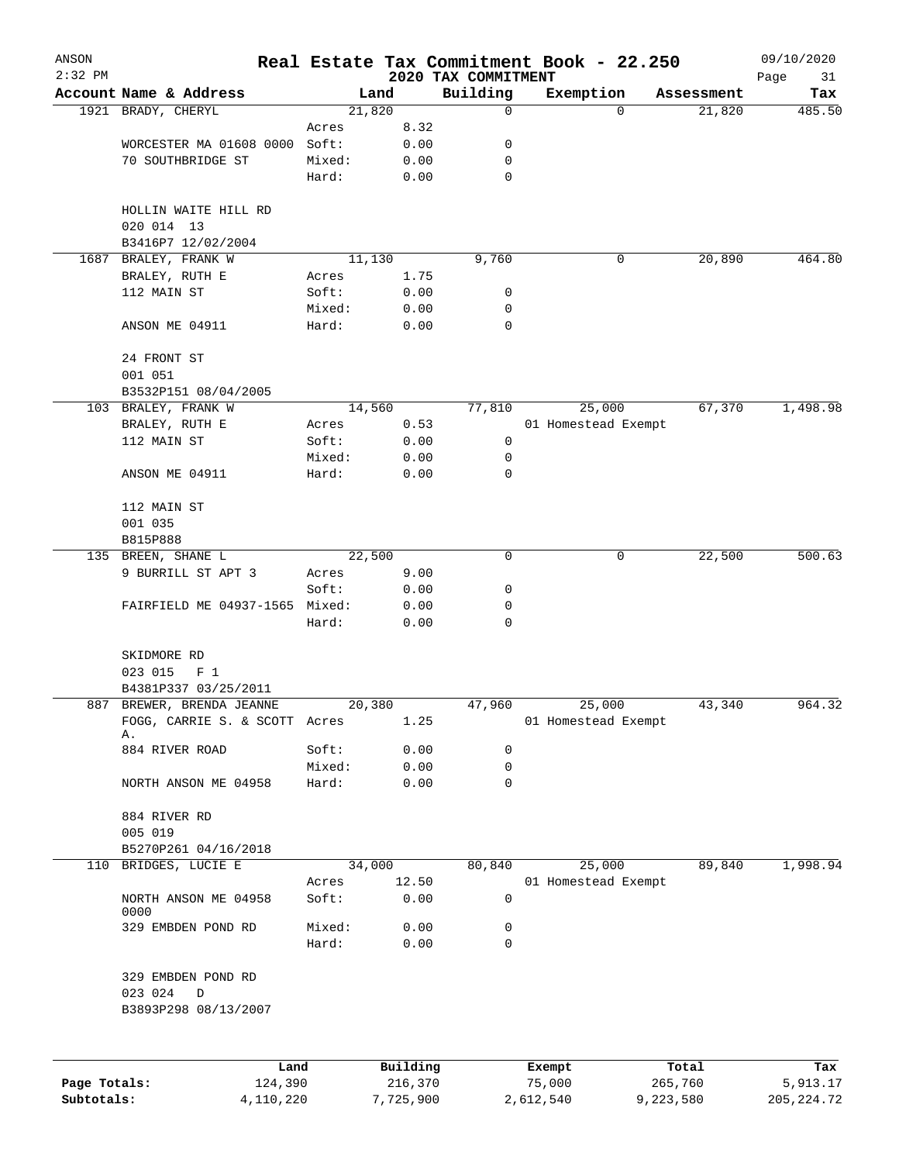| 2020 TAX COMMITMENT<br>Building<br>Account Name & Address<br>Land<br>Exemption<br>Assessment<br>21,820<br>1921 BRADY, CHERYL<br>0<br>21,820<br>$\Omega$<br>8.32<br>Acres<br>WORCESTER MA 01608 0000<br>Soft:<br>0.00<br>0<br>70 SOUTHBRIDGE ST<br>Mixed:<br>0.00<br>0<br>0<br>Hard:<br>0.00<br>HOLLIN WAITE HILL RD<br>020 014 13<br>B3416P7 12/02/2004<br>1687 BRALEY, FRANK W<br>11, 130<br>9,760<br>20,890<br>0<br>BRALEY, RUTH E<br>1.75<br>Acres<br>112 MAIN ST<br>Soft:<br>0.00<br>0<br>Mixed:<br>0.00<br>0<br>0<br>ANSON ME 04911<br>Hard:<br>0.00<br>24 FRONT ST<br>001 051<br>B3532P151 08/04/2005<br>14,560<br>77,810<br>25,000<br>67,370<br>103 BRALEY, FRANK W<br>BRALEY, RUTH E<br>0.53<br>01 Homestead Exempt<br>Acres<br>0<br>112 MAIN ST<br>Soft:<br>0.00<br>Mixed:<br>0<br>0.00<br>Hard:<br>0.00<br>0<br>ANSON ME 04911<br>112 MAIN ST<br>001 035<br>B815P888<br>22,500<br>22,500<br>135 BREEN, SHANE L<br>0<br>0<br>9 BURRILL ST APT 3<br>Acres<br>9.00<br>Soft:<br>0<br>0.00<br>FAIRFIELD ME 04937-1565 Mixed:<br>0.00<br>0<br>Hard:<br>0.00<br>0<br>SKIDMORE RD<br>023 015<br>F <sub>1</sub><br>B4381P337 03/25/2011<br>887 BREWER, BRENDA JEANNE<br>20,380<br>47,960<br>25,000<br>43,340<br>FOGG, CARRIE S. & SCOTT Acres<br>1.25<br>01 Homestead Exempt<br>Α.<br>884 RIVER ROAD<br>Soft:<br>0.00<br>0<br>Mixed:<br>0.00<br>0<br>NORTH ANSON ME 04958<br>Hard:<br>0.00<br>0<br>884 RIVER RD<br>005 019<br>B5270P261 04/16/2018<br>BRIDGES, LUCIE E<br>80,840<br>25,000<br>89,840<br>110<br>34,000<br>1,998.94<br>12.50<br>Acres<br>01 Homestead Exempt<br>0<br>NORTH ANSON ME 04958<br>Soft:<br>0.00<br>0000<br>Mixed:<br>329 EMBDEN POND RD<br>0.00<br>0<br>Hard:<br>0.00<br>0<br>329 EMBDEN POND RD<br>023 024<br>D<br>B3893P298 08/13/2007<br>Building<br>Total<br>Land<br>Exempt<br>Page Totals: | ANSON<br>$2:32$ PM |         |         | Real Estate Tax Commitment Book - 22.250 |         | 09/10/2020        |
|---------------------------------------------------------------------------------------------------------------------------------------------------------------------------------------------------------------------------------------------------------------------------------------------------------------------------------------------------------------------------------------------------------------------------------------------------------------------------------------------------------------------------------------------------------------------------------------------------------------------------------------------------------------------------------------------------------------------------------------------------------------------------------------------------------------------------------------------------------------------------------------------------------------------------------------------------------------------------------------------------------------------------------------------------------------------------------------------------------------------------------------------------------------------------------------------------------------------------------------------------------------------------------------------------------------------------------------------------------------------------------------------------------------------------------------------------------------------------------------------------------------------------------------------------------------------------------------------------------------------------------------------------------------------------------------------------------------------------------------------------------------------------------------------------------------------------|--------------------|---------|---------|------------------------------------------|---------|-------------------|
|                                                                                                                                                                                                                                                                                                                                                                                                                                                                                                                                                                                                                                                                                                                                                                                                                                                                                                                                                                                                                                                                                                                                                                                                                                                                                                                                                                                                                                                                                                                                                                                                                                                                                                                                                                                                                           |                    |         |         |                                          |         | Page<br>31<br>Tax |
|                                                                                                                                                                                                                                                                                                                                                                                                                                                                                                                                                                                                                                                                                                                                                                                                                                                                                                                                                                                                                                                                                                                                                                                                                                                                                                                                                                                                                                                                                                                                                                                                                                                                                                                                                                                                                           |                    |         |         |                                          |         | 485.50            |
|                                                                                                                                                                                                                                                                                                                                                                                                                                                                                                                                                                                                                                                                                                                                                                                                                                                                                                                                                                                                                                                                                                                                                                                                                                                                                                                                                                                                                                                                                                                                                                                                                                                                                                                                                                                                                           |                    |         |         |                                          |         |                   |
|                                                                                                                                                                                                                                                                                                                                                                                                                                                                                                                                                                                                                                                                                                                                                                                                                                                                                                                                                                                                                                                                                                                                                                                                                                                                                                                                                                                                                                                                                                                                                                                                                                                                                                                                                                                                                           |                    |         |         |                                          |         |                   |
|                                                                                                                                                                                                                                                                                                                                                                                                                                                                                                                                                                                                                                                                                                                                                                                                                                                                                                                                                                                                                                                                                                                                                                                                                                                                                                                                                                                                                                                                                                                                                                                                                                                                                                                                                                                                                           |                    |         |         |                                          |         |                   |
|                                                                                                                                                                                                                                                                                                                                                                                                                                                                                                                                                                                                                                                                                                                                                                                                                                                                                                                                                                                                                                                                                                                                                                                                                                                                                                                                                                                                                                                                                                                                                                                                                                                                                                                                                                                                                           |                    |         |         |                                          |         |                   |
|                                                                                                                                                                                                                                                                                                                                                                                                                                                                                                                                                                                                                                                                                                                                                                                                                                                                                                                                                                                                                                                                                                                                                                                                                                                                                                                                                                                                                                                                                                                                                                                                                                                                                                                                                                                                                           |                    |         |         |                                          |         |                   |
|                                                                                                                                                                                                                                                                                                                                                                                                                                                                                                                                                                                                                                                                                                                                                                                                                                                                                                                                                                                                                                                                                                                                                                                                                                                                                                                                                                                                                                                                                                                                                                                                                                                                                                                                                                                                                           |                    |         |         |                                          |         |                   |
|                                                                                                                                                                                                                                                                                                                                                                                                                                                                                                                                                                                                                                                                                                                                                                                                                                                                                                                                                                                                                                                                                                                                                                                                                                                                                                                                                                                                                                                                                                                                                                                                                                                                                                                                                                                                                           |                    |         |         |                                          |         | 464.80            |
|                                                                                                                                                                                                                                                                                                                                                                                                                                                                                                                                                                                                                                                                                                                                                                                                                                                                                                                                                                                                                                                                                                                                                                                                                                                                                                                                                                                                                                                                                                                                                                                                                                                                                                                                                                                                                           |                    |         |         |                                          |         |                   |
|                                                                                                                                                                                                                                                                                                                                                                                                                                                                                                                                                                                                                                                                                                                                                                                                                                                                                                                                                                                                                                                                                                                                                                                                                                                                                                                                                                                                                                                                                                                                                                                                                                                                                                                                                                                                                           |                    |         |         |                                          |         |                   |
|                                                                                                                                                                                                                                                                                                                                                                                                                                                                                                                                                                                                                                                                                                                                                                                                                                                                                                                                                                                                                                                                                                                                                                                                                                                                                                                                                                                                                                                                                                                                                                                                                                                                                                                                                                                                                           |                    |         |         |                                          |         |                   |
|                                                                                                                                                                                                                                                                                                                                                                                                                                                                                                                                                                                                                                                                                                                                                                                                                                                                                                                                                                                                                                                                                                                                                                                                                                                                                                                                                                                                                                                                                                                                                                                                                                                                                                                                                                                                                           |                    |         |         |                                          |         |                   |
|                                                                                                                                                                                                                                                                                                                                                                                                                                                                                                                                                                                                                                                                                                                                                                                                                                                                                                                                                                                                                                                                                                                                                                                                                                                                                                                                                                                                                                                                                                                                                                                                                                                                                                                                                                                                                           |                    |         |         |                                          |         |                   |
|                                                                                                                                                                                                                                                                                                                                                                                                                                                                                                                                                                                                                                                                                                                                                                                                                                                                                                                                                                                                                                                                                                                                                                                                                                                                                                                                                                                                                                                                                                                                                                                                                                                                                                                                                                                                                           |                    |         |         |                                          |         |                   |
|                                                                                                                                                                                                                                                                                                                                                                                                                                                                                                                                                                                                                                                                                                                                                                                                                                                                                                                                                                                                                                                                                                                                                                                                                                                                                                                                                                                                                                                                                                                                                                                                                                                                                                                                                                                                                           |                    |         |         |                                          |         | 1,498.98          |
|                                                                                                                                                                                                                                                                                                                                                                                                                                                                                                                                                                                                                                                                                                                                                                                                                                                                                                                                                                                                                                                                                                                                                                                                                                                                                                                                                                                                                                                                                                                                                                                                                                                                                                                                                                                                                           |                    |         |         |                                          |         |                   |
|                                                                                                                                                                                                                                                                                                                                                                                                                                                                                                                                                                                                                                                                                                                                                                                                                                                                                                                                                                                                                                                                                                                                                                                                                                                                                                                                                                                                                                                                                                                                                                                                                                                                                                                                                                                                                           |                    |         |         |                                          |         |                   |
|                                                                                                                                                                                                                                                                                                                                                                                                                                                                                                                                                                                                                                                                                                                                                                                                                                                                                                                                                                                                                                                                                                                                                                                                                                                                                                                                                                                                                                                                                                                                                                                                                                                                                                                                                                                                                           |                    |         |         |                                          |         |                   |
|                                                                                                                                                                                                                                                                                                                                                                                                                                                                                                                                                                                                                                                                                                                                                                                                                                                                                                                                                                                                                                                                                                                                                                                                                                                                                                                                                                                                                                                                                                                                                                                                                                                                                                                                                                                                                           |                    |         |         |                                          |         |                   |
|                                                                                                                                                                                                                                                                                                                                                                                                                                                                                                                                                                                                                                                                                                                                                                                                                                                                                                                                                                                                                                                                                                                                                                                                                                                                                                                                                                                                                                                                                                                                                                                                                                                                                                                                                                                                                           |                    |         |         |                                          |         |                   |
|                                                                                                                                                                                                                                                                                                                                                                                                                                                                                                                                                                                                                                                                                                                                                                                                                                                                                                                                                                                                                                                                                                                                                                                                                                                                                                                                                                                                                                                                                                                                                                                                                                                                                                                                                                                                                           |                    |         |         |                                          |         |                   |
|                                                                                                                                                                                                                                                                                                                                                                                                                                                                                                                                                                                                                                                                                                                                                                                                                                                                                                                                                                                                                                                                                                                                                                                                                                                                                                                                                                                                                                                                                                                                                                                                                                                                                                                                                                                                                           |                    |         |         |                                          |         |                   |
|                                                                                                                                                                                                                                                                                                                                                                                                                                                                                                                                                                                                                                                                                                                                                                                                                                                                                                                                                                                                                                                                                                                                                                                                                                                                                                                                                                                                                                                                                                                                                                                                                                                                                                                                                                                                                           |                    |         |         |                                          |         | 500.63            |
|                                                                                                                                                                                                                                                                                                                                                                                                                                                                                                                                                                                                                                                                                                                                                                                                                                                                                                                                                                                                                                                                                                                                                                                                                                                                                                                                                                                                                                                                                                                                                                                                                                                                                                                                                                                                                           |                    |         |         |                                          |         |                   |
|                                                                                                                                                                                                                                                                                                                                                                                                                                                                                                                                                                                                                                                                                                                                                                                                                                                                                                                                                                                                                                                                                                                                                                                                                                                                                                                                                                                                                                                                                                                                                                                                                                                                                                                                                                                                                           |                    |         |         |                                          |         |                   |
|                                                                                                                                                                                                                                                                                                                                                                                                                                                                                                                                                                                                                                                                                                                                                                                                                                                                                                                                                                                                                                                                                                                                                                                                                                                                                                                                                                                                                                                                                                                                                                                                                                                                                                                                                                                                                           |                    |         |         |                                          |         |                   |
|                                                                                                                                                                                                                                                                                                                                                                                                                                                                                                                                                                                                                                                                                                                                                                                                                                                                                                                                                                                                                                                                                                                                                                                                                                                                                                                                                                                                                                                                                                                                                                                                                                                                                                                                                                                                                           |                    |         |         |                                          |         |                   |
|                                                                                                                                                                                                                                                                                                                                                                                                                                                                                                                                                                                                                                                                                                                                                                                                                                                                                                                                                                                                                                                                                                                                                                                                                                                                                                                                                                                                                                                                                                                                                                                                                                                                                                                                                                                                                           |                    |         |         |                                          |         |                   |
|                                                                                                                                                                                                                                                                                                                                                                                                                                                                                                                                                                                                                                                                                                                                                                                                                                                                                                                                                                                                                                                                                                                                                                                                                                                                                                                                                                                                                                                                                                                                                                                                                                                                                                                                                                                                                           |                    |         |         |                                          |         | 964.32            |
|                                                                                                                                                                                                                                                                                                                                                                                                                                                                                                                                                                                                                                                                                                                                                                                                                                                                                                                                                                                                                                                                                                                                                                                                                                                                                                                                                                                                                                                                                                                                                                                                                                                                                                                                                                                                                           |                    |         |         |                                          |         |                   |
|                                                                                                                                                                                                                                                                                                                                                                                                                                                                                                                                                                                                                                                                                                                                                                                                                                                                                                                                                                                                                                                                                                                                                                                                                                                                                                                                                                                                                                                                                                                                                                                                                                                                                                                                                                                                                           |                    |         |         |                                          |         |                   |
|                                                                                                                                                                                                                                                                                                                                                                                                                                                                                                                                                                                                                                                                                                                                                                                                                                                                                                                                                                                                                                                                                                                                                                                                                                                                                                                                                                                                                                                                                                                                                                                                                                                                                                                                                                                                                           |                    |         |         |                                          |         |                   |
|                                                                                                                                                                                                                                                                                                                                                                                                                                                                                                                                                                                                                                                                                                                                                                                                                                                                                                                                                                                                                                                                                                                                                                                                                                                                                                                                                                                                                                                                                                                                                                                                                                                                                                                                                                                                                           |                    |         |         |                                          |         |                   |
|                                                                                                                                                                                                                                                                                                                                                                                                                                                                                                                                                                                                                                                                                                                                                                                                                                                                                                                                                                                                                                                                                                                                                                                                                                                                                                                                                                                                                                                                                                                                                                                                                                                                                                                                                                                                                           |                    |         |         |                                          |         |                   |
|                                                                                                                                                                                                                                                                                                                                                                                                                                                                                                                                                                                                                                                                                                                                                                                                                                                                                                                                                                                                                                                                                                                                                                                                                                                                                                                                                                                                                                                                                                                                                                                                                                                                                                                                                                                                                           |                    |         |         |                                          |         |                   |
|                                                                                                                                                                                                                                                                                                                                                                                                                                                                                                                                                                                                                                                                                                                                                                                                                                                                                                                                                                                                                                                                                                                                                                                                                                                                                                                                                                                                                                                                                                                                                                                                                                                                                                                                                                                                                           |                    |         |         |                                          |         |                   |
|                                                                                                                                                                                                                                                                                                                                                                                                                                                                                                                                                                                                                                                                                                                                                                                                                                                                                                                                                                                                                                                                                                                                                                                                                                                                                                                                                                                                                                                                                                                                                                                                                                                                                                                                                                                                                           |                    |         |         |                                          |         |                   |
|                                                                                                                                                                                                                                                                                                                                                                                                                                                                                                                                                                                                                                                                                                                                                                                                                                                                                                                                                                                                                                                                                                                                                                                                                                                                                                                                                                                                                                                                                                                                                                                                                                                                                                                                                                                                                           |                    |         |         |                                          |         |                   |
|                                                                                                                                                                                                                                                                                                                                                                                                                                                                                                                                                                                                                                                                                                                                                                                                                                                                                                                                                                                                                                                                                                                                                                                                                                                                                                                                                                                                                                                                                                                                                                                                                                                                                                                                                                                                                           |                    |         |         |                                          |         |                   |
|                                                                                                                                                                                                                                                                                                                                                                                                                                                                                                                                                                                                                                                                                                                                                                                                                                                                                                                                                                                                                                                                                                                                                                                                                                                                                                                                                                                                                                                                                                                                                                                                                                                                                                                                                                                                                           |                    |         |         |                                          |         |                   |
|                                                                                                                                                                                                                                                                                                                                                                                                                                                                                                                                                                                                                                                                                                                                                                                                                                                                                                                                                                                                                                                                                                                                                                                                                                                                                                                                                                                                                                                                                                                                                                                                                                                                                                                                                                                                                           |                    |         |         |                                          |         |                   |
|                                                                                                                                                                                                                                                                                                                                                                                                                                                                                                                                                                                                                                                                                                                                                                                                                                                                                                                                                                                                                                                                                                                                                                                                                                                                                                                                                                                                                                                                                                                                                                                                                                                                                                                                                                                                                           |                    |         |         |                                          |         |                   |
|                                                                                                                                                                                                                                                                                                                                                                                                                                                                                                                                                                                                                                                                                                                                                                                                                                                                                                                                                                                                                                                                                                                                                                                                                                                                                                                                                                                                                                                                                                                                                                                                                                                                                                                                                                                                                           |                    |         |         |                                          |         |                   |
|                                                                                                                                                                                                                                                                                                                                                                                                                                                                                                                                                                                                                                                                                                                                                                                                                                                                                                                                                                                                                                                                                                                                                                                                                                                                                                                                                                                                                                                                                                                                                                                                                                                                                                                                                                                                                           |                    |         |         |                                          |         |                   |
|                                                                                                                                                                                                                                                                                                                                                                                                                                                                                                                                                                                                                                                                                                                                                                                                                                                                                                                                                                                                                                                                                                                                                                                                                                                                                                                                                                                                                                                                                                                                                                                                                                                                                                                                                                                                                           |                    |         |         |                                          |         |                   |
|                                                                                                                                                                                                                                                                                                                                                                                                                                                                                                                                                                                                                                                                                                                                                                                                                                                                                                                                                                                                                                                                                                                                                                                                                                                                                                                                                                                                                                                                                                                                                                                                                                                                                                                                                                                                                           |                    | 124,390 | 216,370 | 75,000                                   | 265,760 | Tax<br>5,913.17   |

**Subtotals:** 4,110,220 7,725,900 2,612,540 9,223,580 205,224.72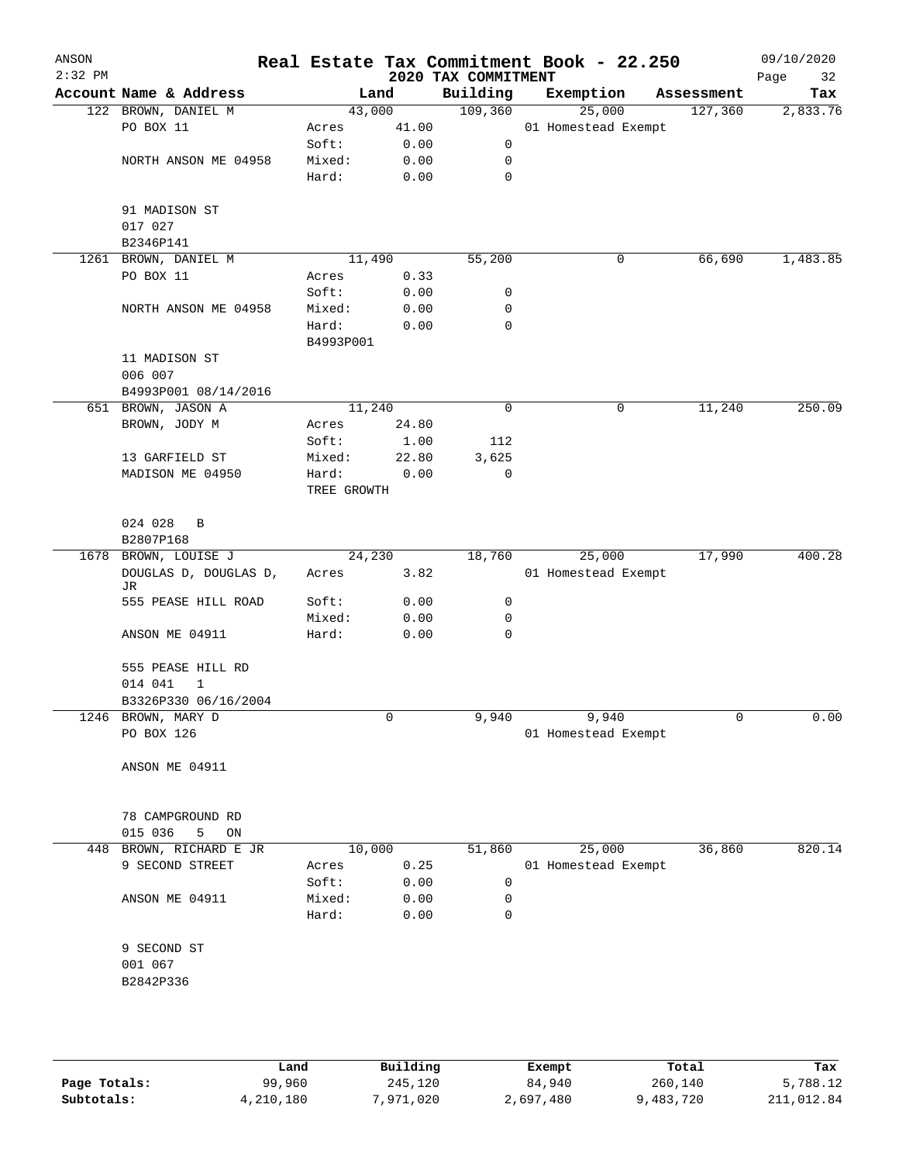| ANSON<br>$2:32$ PM |                             |             |       | 2020 TAX COMMITMENT | Real Estate Tax Commitment Book - 22.250 |             | 09/10/2020<br>Page<br>32 |
|--------------------|-----------------------------|-------------|-------|---------------------|------------------------------------------|-------------|--------------------------|
|                    | Account Name & Address      |             | Land  | Building            | Exemption                                | Assessment  | Tax                      |
|                    | 122 BROWN, DANIEL M         | 43,000      |       | 109,360             | 25,000                                   | 127,360     | 2,833.76                 |
|                    | PO BOX 11                   | Acres       | 41.00 |                     | 01 Homestead Exempt                      |             |                          |
|                    |                             | Soft:       | 0.00  | 0                   |                                          |             |                          |
|                    | NORTH ANSON ME 04958        | Mixed:      | 0.00  | 0                   |                                          |             |                          |
|                    |                             | Hard:       | 0.00  | 0                   |                                          |             |                          |
|                    | 91 MADISON ST               |             |       |                     |                                          |             |                          |
|                    | 017 027                     |             |       |                     |                                          |             |                          |
|                    | B2346P141                   |             |       |                     |                                          |             |                          |
|                    | 1261 BROWN, DANIEL M        | 11,490      |       | 55,200              |                                          | 0<br>66,690 | 1,483.85                 |
|                    | PO BOX 11                   | Acres       | 0.33  |                     |                                          |             |                          |
|                    |                             | Soft:       | 0.00  | 0                   |                                          |             |                          |
|                    | NORTH ANSON ME 04958        | Mixed:      | 0.00  | 0                   |                                          |             |                          |
|                    |                             | Hard:       | 0.00  | 0                   |                                          |             |                          |
|                    |                             | B4993P001   |       |                     |                                          |             |                          |
|                    | 11 MADISON ST               |             |       |                     |                                          |             |                          |
|                    | 006 007                     |             |       |                     |                                          |             |                          |
|                    | B4993P001 08/14/2016        |             |       |                     |                                          |             |                          |
|                    | 651 BROWN, JASON A          | 11,240      |       | 0                   |                                          | 11,240<br>0 | 250.09                   |
|                    | BROWN, JODY M               | Acres       | 24.80 |                     |                                          |             |                          |
|                    |                             | Soft:       | 1.00  | 112                 |                                          |             |                          |
|                    | 13 GARFIELD ST              | Mixed:      | 22.80 | 3,625               |                                          |             |                          |
|                    | MADISON ME 04950            | Hard:       | 0.00  | 0                   |                                          |             |                          |
|                    |                             | TREE GROWTH |       |                     |                                          |             |                          |
|                    | 024 028<br>B                |             |       |                     |                                          |             |                          |
|                    | B2807P168                   |             |       |                     |                                          |             |                          |
|                    | 1678 BROWN, LOUISE J        | 24,230      |       | 18,760              | 25,000                                   | 17,990      | 400.28                   |
|                    | DOUGLAS D, DOUGLAS D,<br>JR | Acres       | 3.82  |                     | 01 Homestead Exempt                      |             |                          |
|                    | 555 PEASE HILL ROAD         | Soft:       | 0.00  | 0                   |                                          |             |                          |
|                    |                             | Mixed:      | 0.00  | 0                   |                                          |             |                          |
|                    | ANSON ME 04911              | Hard:       | 0.00  | 0                   |                                          |             |                          |
|                    | 555 PEASE HILL RD           |             |       |                     |                                          |             |                          |
|                    | 014 041<br>$\mathbf{1}$     |             |       |                     |                                          |             |                          |
|                    | B3326P330 06/16/2004        |             |       |                     |                                          |             |                          |
|                    | 1246 BROWN, MARY D          |             | 0     | 9,940               | 9,940                                    |             | 0<br>0.00                |
|                    | PO BOX 126                  |             |       |                     | 01 Homestead Exempt                      |             |                          |
|                    | ANSON ME 04911              |             |       |                     |                                          |             |                          |
|                    |                             |             |       |                     |                                          |             |                          |
|                    | 78 CAMPGROUND RD            |             |       |                     |                                          |             |                          |
|                    | 015 036<br>5<br>ON          |             |       |                     |                                          |             |                          |
| 448                | BROWN, RICHARD E JR         | 10,000      |       | 51,860              | 25,000                                   | 36,860      | 820.14                   |
|                    | 9 SECOND STREET             | Acres       | 0.25  |                     | 01 Homestead Exempt                      |             |                          |
|                    |                             | Soft:       | 0.00  | 0                   |                                          |             |                          |
|                    | ANSON ME 04911              | Mixed:      | 0.00  | 0                   |                                          |             |                          |
|                    |                             | Hard:       | 0.00  | 0                   |                                          |             |                          |
|                    | 9 SECOND ST                 |             |       |                     |                                          |             |                          |
|                    | 001 067                     |             |       |                     |                                          |             |                          |
|                    | B2842P336                   |             |       |                     |                                          |             |                          |
|                    |                             |             |       |                     |                                          |             |                          |
|                    |                             |             |       |                     |                                          |             |                          |
|                    |                             |             |       |                     |                                          |             |                          |
|                    |                             |             |       |                     |                                          |             |                          |

|              | Land      | Building  | Exempt    | Total     | Tax        |
|--------------|-----------|-----------|-----------|-----------|------------|
| Page Totals: | 99,960    | 245,120   | 84,940    | 260,140   | 5,788.12   |
| Subtotals:   | 4,210,180 | 7,971,020 | 2,697,480 | 9,483,720 | 211,012.84 |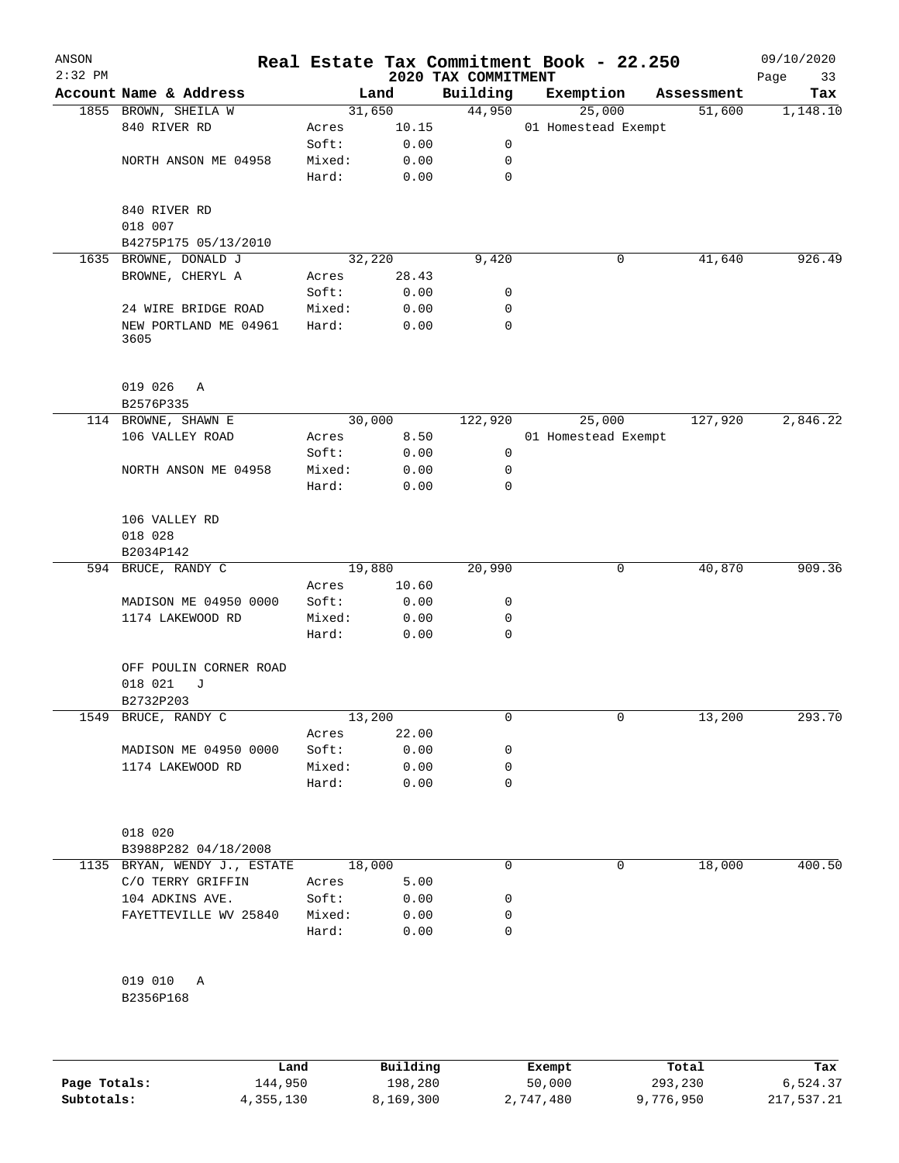| ANSON<br>$2:32$ PM |                                                     |                 |       | Real Estate Tax Commitment Book - 22.250<br>2020 TAX COMMITMENT |                     |        |            | 09/10/2020<br>Page<br>33 |
|--------------------|-----------------------------------------------------|-----------------|-------|-----------------------------------------------------------------|---------------------|--------|------------|--------------------------|
|                    | Account Name & Address                              |                 | Land  | Building                                                        | Exemption           |        | Assessment | Tax                      |
|                    | 1855 BROWN, SHEILA W                                | 31,650          |       | 44,950                                                          |                     | 25,000 | 51,600     | 1,148.10                 |
|                    | 840 RIVER RD                                        | Acres           | 10.15 |                                                                 | 01 Homestead Exempt |        |            |                          |
|                    |                                                     | Soft:           | 0.00  | 0                                                               |                     |        |            |                          |
|                    | NORTH ANSON ME 04958                                | Mixed:          | 0.00  | 0                                                               |                     |        |            |                          |
|                    |                                                     | Hard:           | 0.00  | 0                                                               |                     |        |            |                          |
|                    | 840 RIVER RD                                        |                 |       |                                                                 |                     |        |            |                          |
|                    | 018 007                                             |                 |       |                                                                 |                     |        |            |                          |
| 1635               | B4275P175 05/13/2010<br>BROWNE, DONALD J            | 32,220          |       | 9,420                                                           |                     | 0      | 41,640     | 926.49                   |
|                    | BROWNE, CHERYL A                                    | Acres           | 28.43 |                                                                 |                     |        |            |                          |
|                    |                                                     | Soft:           | 0.00  | 0                                                               |                     |        |            |                          |
|                    | 24 WIRE BRIDGE ROAD                                 | Mixed:          | 0.00  | 0                                                               |                     |        |            |                          |
|                    | NEW PORTLAND ME 04961<br>3605                       | Hard:           | 0.00  | 0                                                               |                     |        |            |                          |
|                    | 019 026<br>Α<br>B2576P335                           |                 |       |                                                                 |                     |        |            |                          |
|                    | 114 BROWNE, SHAWN E                                 | 30,000          |       | 122,920                                                         |                     | 25,000 | 127,920    | 2,846.22                 |
|                    | 106 VALLEY ROAD                                     | Acres           | 8.50  |                                                                 | 01 Homestead Exempt |        |            |                          |
|                    |                                                     | Soft:           | 0.00  | 0                                                               |                     |        |            |                          |
|                    | NORTH ANSON ME 04958                                | Mixed:          | 0.00  | 0                                                               |                     |        |            |                          |
|                    |                                                     | Hard:           | 0.00  | 0                                                               |                     |        |            |                          |
|                    | 106 VALLEY RD<br>018 028                            |                 |       |                                                                 |                     |        |            |                          |
|                    | B2034P142                                           |                 |       |                                                                 |                     |        |            |                          |
|                    | 594 BRUCE, RANDY C                                  | 19,880<br>Acres | 10.60 | 20,990                                                          |                     | 0      | 40,870     | 909.36                   |
|                    | MADISON ME 04950 0000                               | Soft:           | 0.00  | 0                                                               |                     |        |            |                          |
|                    | 1174 LAKEWOOD RD                                    | Mixed:          | 0.00  | 0                                                               |                     |        |            |                          |
|                    |                                                     | Hard:           | 0.00  | 0                                                               |                     |        |            |                          |
|                    | OFF POULIN CORNER ROAD<br>018 021<br>J<br>B2732P203 |                 |       |                                                                 |                     |        |            |                          |
|                    | 1549 BRUCE, RANDY C                                 | 13,200          |       | 0                                                               |                     | 0      | 13,200     | 293.70                   |
|                    |                                                     | Acres           | 22.00 |                                                                 |                     |        |            |                          |
|                    | MADISON ME 04950 0000                               | Soft:           | 0.00  | 0                                                               |                     |        |            |                          |
|                    | 1174 LAKEWOOD RD                                    | Mixed:          | 0.00  | 0                                                               |                     |        |            |                          |
|                    |                                                     | Hard:           | 0.00  | 0                                                               |                     |        |            |                          |
|                    | 018 020                                             |                 |       |                                                                 |                     |        |            |                          |
|                    | B3988P282 04/18/2008                                |                 |       |                                                                 |                     |        |            |                          |
|                    | 1135 BRYAN, WENDY J., ESTATE                        | 18,000          |       | 0                                                               |                     | 0      | 18,000     | 400.50                   |
|                    | C/O TERRY GRIFFIN                                   | Acres           | 5.00  |                                                                 |                     |        |            |                          |
|                    | 104 ADKINS AVE.                                     | Soft:           | 0.00  | 0                                                               |                     |        |            |                          |
|                    | FAYETTEVILLE WV 25840                               | Mixed:          | 0.00  | 0                                                               |                     |        |            |                          |
|                    |                                                     | Hard:           | 0.00  | 0                                                               |                     |        |            |                          |
|                    | 019 010 A<br>B2356P168                              |                 |       |                                                                 |                     |        |            |                          |
|                    |                                                     |                 |       |                                                                 |                     |        |            |                          |

|              | Land      | Building  | Exempt    | Total     | Tax        |
|--------------|-----------|-----------|-----------|-----------|------------|
| Page Totals: | 144,950   | 198,280   | 50,000    | 293,230   | 6,524.37   |
| Subtotals:   | 4,355,130 | 8,169,300 | 2,747,480 | 9,776,950 | 217,537.21 |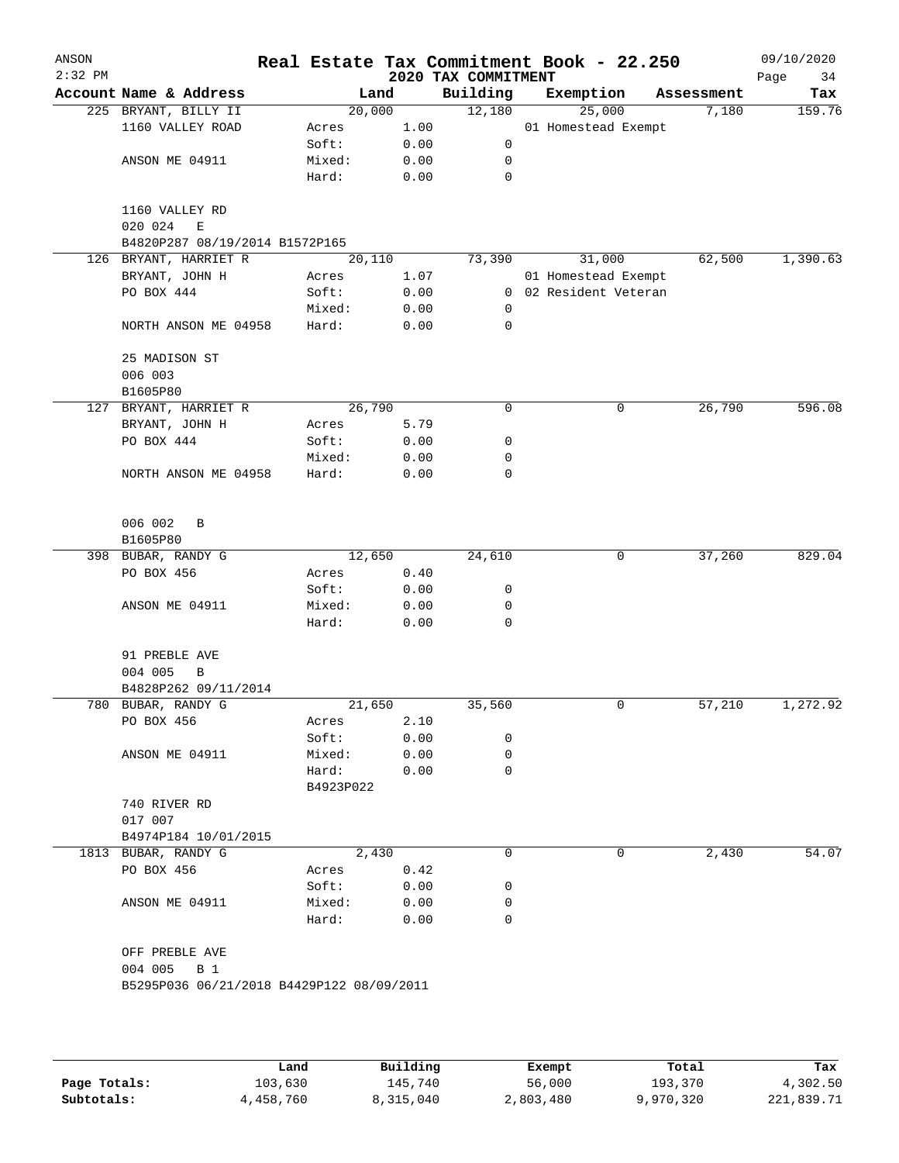| Account Name & Address<br>225 BRYANT, BILLY II<br>1160 VALLEY ROAD<br>ANSON ME 04911<br>1160 VALLEY RD<br>020 024<br>Ε<br>B4820P287 08/19/2014 B1572P165<br>126 BRYANT, HARRIET R<br>BRYANT, JOHN H<br>PO BOX 444<br>NORTH ANSON ME 04958<br>25 MADISON ST<br>006 003<br>B1605P80<br>127 BRYANT, HARRIET R<br>BRYANT, JOHN H | 20,000<br>Acres<br>Soft:<br>Mixed:<br>Hard:<br>20,110<br>Acres<br>Soft:<br>Mixed:<br>Hard:                                                                                         | Land<br>1.00<br>0.00<br>0.00<br>0.00<br>1.07<br>0.00<br>0.00<br>0.00 | Building<br>12,180<br>0<br>0<br>$\mathbf 0$<br>73,390<br>0<br>0                                                                             |                                           | Exemption<br>25,000<br>01 Homestead Exempt<br>31,000<br>01 Homestead Exempt<br>0 02 Resident Veteran | Assessment<br>7,180<br>62,500 | Tax<br>159.76<br>1,390.63 |
|------------------------------------------------------------------------------------------------------------------------------------------------------------------------------------------------------------------------------------------------------------------------------------------------------------------------------|------------------------------------------------------------------------------------------------------------------------------------------------------------------------------------|----------------------------------------------------------------------|---------------------------------------------------------------------------------------------------------------------------------------------|-------------------------------------------|------------------------------------------------------------------------------------------------------|-------------------------------|---------------------------|
|                                                                                                                                                                                                                                                                                                                              |                                                                                                                                                                                    |                                                                      |                                                                                                                                             |                                           |                                                                                                      |                               |                           |
|                                                                                                                                                                                                                                                                                                                              |                                                                                                                                                                                    |                                                                      |                                                                                                                                             |                                           |                                                                                                      |                               |                           |
|                                                                                                                                                                                                                                                                                                                              |                                                                                                                                                                                    |                                                                      |                                                                                                                                             |                                           |                                                                                                      |                               |                           |
|                                                                                                                                                                                                                                                                                                                              |                                                                                                                                                                                    |                                                                      |                                                                                                                                             |                                           |                                                                                                      |                               |                           |
|                                                                                                                                                                                                                                                                                                                              |                                                                                                                                                                                    |                                                                      |                                                                                                                                             |                                           |                                                                                                      |                               |                           |
|                                                                                                                                                                                                                                                                                                                              |                                                                                                                                                                                    |                                                                      |                                                                                                                                             |                                           |                                                                                                      |                               |                           |
|                                                                                                                                                                                                                                                                                                                              |                                                                                                                                                                                    |                                                                      |                                                                                                                                             |                                           |                                                                                                      |                               |                           |
|                                                                                                                                                                                                                                                                                                                              |                                                                                                                                                                                    |                                                                      |                                                                                                                                             |                                           |                                                                                                      |                               |                           |
|                                                                                                                                                                                                                                                                                                                              |                                                                                                                                                                                    |                                                                      |                                                                                                                                             |                                           |                                                                                                      |                               |                           |
|                                                                                                                                                                                                                                                                                                                              |                                                                                                                                                                                    |                                                                      |                                                                                                                                             |                                           |                                                                                                      |                               |                           |
|                                                                                                                                                                                                                                                                                                                              |                                                                                                                                                                                    |                                                                      |                                                                                                                                             |                                           |                                                                                                      |                               |                           |
|                                                                                                                                                                                                                                                                                                                              |                                                                                                                                                                                    |                                                                      |                                                                                                                                             |                                           |                                                                                                      |                               |                           |
|                                                                                                                                                                                                                                                                                                                              |                                                                                                                                                                                    |                                                                      |                                                                                                                                             |                                           |                                                                                                      |                               |                           |
|                                                                                                                                                                                                                                                                                                                              |                                                                                                                                                                                    |                                                                      |                                                                                                                                             |                                           |                                                                                                      |                               |                           |
|                                                                                                                                                                                                                                                                                                                              |                                                                                                                                                                                    |                                                                      |                                                                                                                                             |                                           |                                                                                                      |                               |                           |
|                                                                                                                                                                                                                                                                                                                              |                                                                                                                                                                                    |                                                                      |                                                                                                                                             |                                           |                                                                                                      |                               |                           |
|                                                                                                                                                                                                                                                                                                                              |                                                                                                                                                                                    |                                                                      |                                                                                                                                             |                                           |                                                                                                      |                               |                           |
|                                                                                                                                                                                                                                                                                                                              | 26,790                                                                                                                                                                             |                                                                      | 0                                                                                                                                           |                                           | 0                                                                                                    | 26,790                        | 596.08                    |
|                                                                                                                                                                                                                                                                                                                              | Acres                                                                                                                                                                              | 5.79                                                                 |                                                                                                                                             |                                           |                                                                                                      |                               |                           |
| PO BOX 444                                                                                                                                                                                                                                                                                                                   | Soft:                                                                                                                                                                              | 0.00                                                                 | 0                                                                                                                                           |                                           |                                                                                                      |                               |                           |
|                                                                                                                                                                                                                                                                                                                              | Mixed:                                                                                                                                                                             | 0.00                                                                 | 0                                                                                                                                           |                                           |                                                                                                      |                               |                           |
| NORTH ANSON ME 04958                                                                                                                                                                                                                                                                                                         | Hard:                                                                                                                                                                              | 0.00                                                                 | 0                                                                                                                                           |                                           |                                                                                                      |                               |                           |
|                                                                                                                                                                                                                                                                                                                              |                                                                                                                                                                                    |                                                                      |                                                                                                                                             |                                           |                                                                                                      |                               |                           |
| B1605P80                                                                                                                                                                                                                                                                                                                     |                                                                                                                                                                                    |                                                                      |                                                                                                                                             |                                           |                                                                                                      |                               |                           |
|                                                                                                                                                                                                                                                                                                                              |                                                                                                                                                                                    |                                                                      |                                                                                                                                             |                                           | 0                                                                                                    |                               | 829.04                    |
|                                                                                                                                                                                                                                                                                                                              |                                                                                                                                                                                    |                                                                      |                                                                                                                                             |                                           |                                                                                                      |                               |                           |
|                                                                                                                                                                                                                                                                                                                              | Soft:                                                                                                                                                                              |                                                                      |                                                                                                                                             |                                           |                                                                                                      |                               |                           |
|                                                                                                                                                                                                                                                                                                                              |                                                                                                                                                                                    |                                                                      |                                                                                                                                             |                                           |                                                                                                      |                               |                           |
|                                                                                                                                                                                                                                                                                                                              | Hard:                                                                                                                                                                              | 0.00                                                                 | 0                                                                                                                                           |                                           |                                                                                                      |                               |                           |
| 91 PREBLE AVE                                                                                                                                                                                                                                                                                                                |                                                                                                                                                                                    |                                                                      |                                                                                                                                             |                                           |                                                                                                      |                               |                           |
|                                                                                                                                                                                                                                                                                                                              |                                                                                                                                                                                    |                                                                      |                                                                                                                                             |                                           |                                                                                                      |                               |                           |
|                                                                                                                                                                                                                                                                                                                              |                                                                                                                                                                                    |                                                                      |                                                                                                                                             |                                           |                                                                                                      |                               |                           |
|                                                                                                                                                                                                                                                                                                                              |                                                                                                                                                                                    |                                                                      |                                                                                                                                             |                                           |                                                                                                      |                               | 1,272.92                  |
|                                                                                                                                                                                                                                                                                                                              |                                                                                                                                                                                    |                                                                      |                                                                                                                                             |                                           |                                                                                                      |                               |                           |
|                                                                                                                                                                                                                                                                                                                              |                                                                                                                                                                                    |                                                                      |                                                                                                                                             |                                           |                                                                                                      |                               |                           |
|                                                                                                                                                                                                                                                                                                                              |                                                                                                                                                                                    |                                                                      |                                                                                                                                             |                                           |                                                                                                      |                               |                           |
|                                                                                                                                                                                                                                                                                                                              |                                                                                                                                                                                    |                                                                      |                                                                                                                                             |                                           |                                                                                                      |                               |                           |
| 740 RIVER RD                                                                                                                                                                                                                                                                                                                 |                                                                                                                                                                                    |                                                                      |                                                                                                                                             |                                           |                                                                                                      |                               |                           |
| 017 007                                                                                                                                                                                                                                                                                                                      |                                                                                                                                                                                    |                                                                      |                                                                                                                                             |                                           |                                                                                                      |                               |                           |
| B4974P184 10/01/2015                                                                                                                                                                                                                                                                                                         |                                                                                                                                                                                    |                                                                      |                                                                                                                                             |                                           |                                                                                                      |                               |                           |
| 1813 BUBAR, RANDY G                                                                                                                                                                                                                                                                                                          |                                                                                                                                                                                    |                                                                      | 0                                                                                                                                           |                                           | 0                                                                                                    | 2,430                         | 54.07                     |
| PO BOX 456                                                                                                                                                                                                                                                                                                                   | Acres                                                                                                                                                                              | 0.42                                                                 |                                                                                                                                             |                                           |                                                                                                      |                               |                           |
|                                                                                                                                                                                                                                                                                                                              | Soft:                                                                                                                                                                              | 0.00                                                                 | 0                                                                                                                                           |                                           |                                                                                                      |                               |                           |
| ANSON ME 04911                                                                                                                                                                                                                                                                                                               | Mixed:                                                                                                                                                                             | 0.00                                                                 | 0                                                                                                                                           |                                           |                                                                                                      |                               |                           |
|                                                                                                                                                                                                                                                                                                                              | Hard:                                                                                                                                                                              | 0.00                                                                 | 0                                                                                                                                           |                                           |                                                                                                      |                               |                           |
| OFF PREBLE AVE                                                                                                                                                                                                                                                                                                               |                                                                                                                                                                                    |                                                                      |                                                                                                                                             |                                           |                                                                                                      |                               |                           |
|                                                                                                                                                                                                                                                                                                                              |                                                                                                                                                                                    |                                                                      |                                                                                                                                             |                                           |                                                                                                      |                               |                           |
|                                                                                                                                                                                                                                                                                                                              |                                                                                                                                                                                    |                                                                      |                                                                                                                                             |                                           |                                                                                                      |                               |                           |
|                                                                                                                                                                                                                                                                                                                              | 006 002<br>B<br>398 BUBAR, RANDY G<br>PO BOX 456<br>ANSON ME 04911<br>004 005<br>В<br>B4828P262 09/11/2014<br>780 BUBAR, RANDY G<br>PO BOX 456<br>ANSON ME 04911<br>004 005<br>B 1 | Acres<br>Mixed:<br>Acres<br>Soft:<br>Mixed:<br>Hard:                 | 12,650<br>0.40<br>0.00<br>0.00<br>21,650<br>2.10<br>0.00<br>0.00<br>0.00<br>B4923P022<br>2,430<br>B5295P036 06/21/2018 B4429P122 08/09/2011 | 24,610<br>0<br>0<br>35,560<br>0<br>0<br>0 |                                                                                                      | 0                             | 37,260<br>57,210          |

|              | Land      | Building  | Exempt    | Total     | Tax        |
|--------------|-----------|-----------|-----------|-----------|------------|
| Page Totals: | 103,630   | 145,740   | 56,000    | 193,370   | 4,302.50   |
| Subtotals:   | 4,458,760 | 8,315,040 | 2,803,480 | 9,970,320 | 221,839.71 |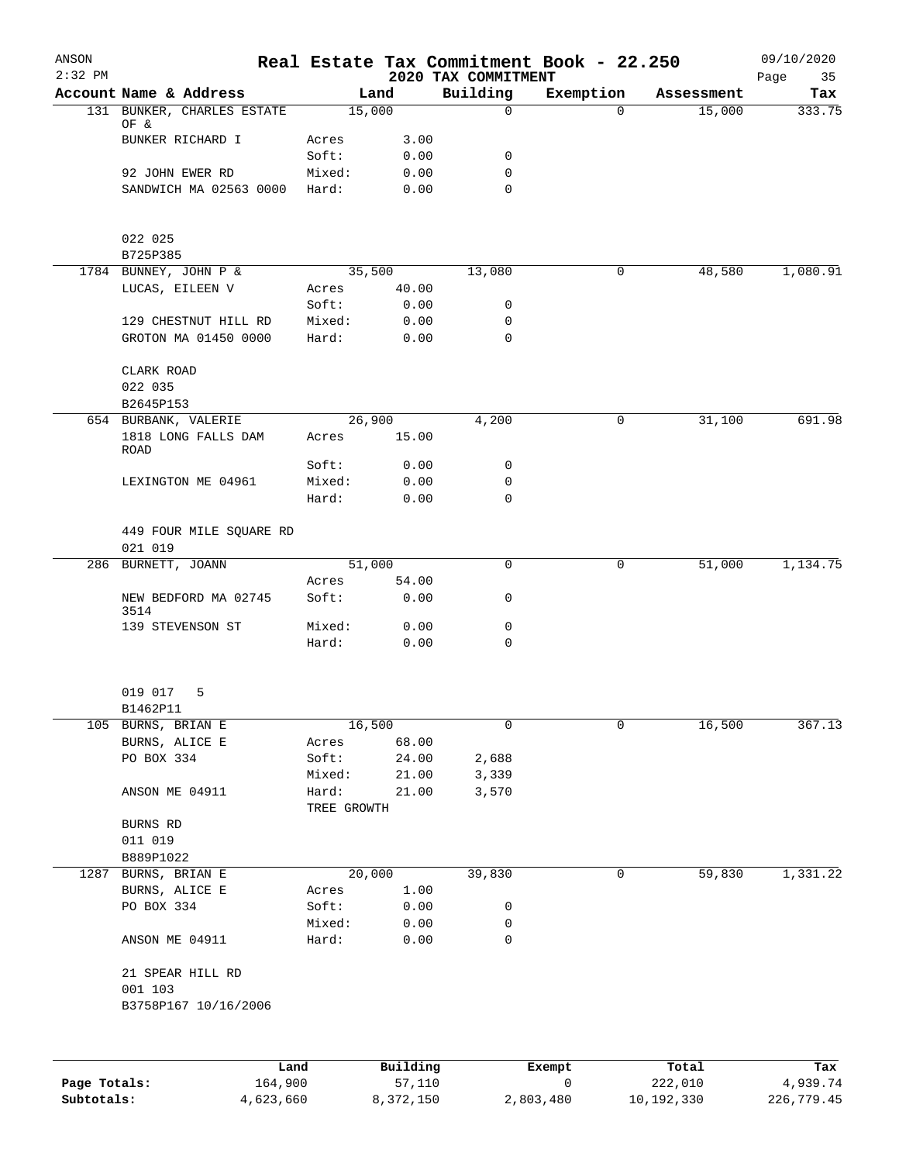| ANSON     |                                    |             |          |                                 | Real Estate Tax Commitment Book - 22.250 |            | 09/10/2020        |
|-----------|------------------------------------|-------------|----------|---------------------------------|------------------------------------------|------------|-------------------|
| $2:32$ PM | Account Name & Address             |             | Land     | 2020 TAX COMMITMENT<br>Building | Exemption                                | Assessment | Page<br>35<br>Tax |
|           | 131 BUNKER, CHARLES ESTATE         |             | 15,000   | $\mathbf 0$                     | $\Omega$                                 | 15,000     | 333.75            |
|           | OF &                               |             |          |                                 |                                          |            |                   |
|           | BUNKER RICHARD I                   | Acres       | 3.00     |                                 |                                          |            |                   |
|           |                                    | Soft:       | 0.00     | 0                               |                                          |            |                   |
|           | 92 JOHN EWER RD                    | Mixed:      | 0.00     | 0                               |                                          |            |                   |
|           | SANDWICH MA 02563 0000             | Hard:       | 0.00     | 0                               |                                          |            |                   |
|           | 022 025                            |             |          |                                 |                                          |            |                   |
|           | B725P385                           |             |          |                                 |                                          |            |                   |
|           | 1784 BUNNEY, JOHN P &              |             | 35,500   | 13,080                          | 0                                        | 48,580     | 1,080.91          |
|           | LUCAS, EILEEN V                    | Acres       | 40.00    |                                 |                                          |            |                   |
|           |                                    | Soft:       | 0.00     | 0                               |                                          |            |                   |
|           | 129 CHESTNUT HILL RD               | Mixed:      | 0.00     | 0                               |                                          |            |                   |
|           | GROTON MA 01450 0000               | Hard:       | 0.00     | $\mathbf 0$                     |                                          |            |                   |
|           | CLARK ROAD                         |             |          |                                 |                                          |            |                   |
|           | 022 035                            |             |          |                                 |                                          |            |                   |
|           | B2645P153<br>654 BURBANK, VALERIE  |             | 26,900   | 4,200                           | 0                                        | 31,100     | 691.98            |
|           | 1818 LONG FALLS DAM                | Acres       | 15.00    |                                 |                                          |            |                   |
|           | ROAD                               | Soft:       | 0.00     | 0                               |                                          |            |                   |
|           | LEXINGTON ME 04961                 | Mixed:      | 0.00     | 0                               |                                          |            |                   |
|           |                                    | Hard:       | 0.00     | $\Omega$                        |                                          |            |                   |
|           | 449 FOUR MILE SQUARE RD<br>021 019 |             |          |                                 |                                          |            |                   |
|           | 286 BURNETT, JOANN                 |             | 51,000   | 0                               | 0                                        | 51,000     | 1,134.75          |
|           |                                    | Acres       | 54.00    |                                 |                                          |            |                   |
|           | NEW BEDFORD MA 02745<br>3514       | Soft:       | 0.00     | 0                               |                                          |            |                   |
|           | 139 STEVENSON ST                   | Mixed:      | 0.00     | 0                               |                                          |            |                   |
|           |                                    | Hard:       | 0.00     | $\mathbf 0$                     |                                          |            |                   |
|           | 019 017<br>5                       |             |          |                                 |                                          |            |                   |
|           | B1462P11                           |             |          |                                 |                                          |            |                   |
|           | 105 BURNS, BRIAN E                 |             | 16,500   | 0                               | 0                                        | 16,500     | 367.13            |
|           | BURNS, ALICE E                     | Acres       | 68.00    |                                 |                                          |            |                   |
|           | PO BOX 334                         | Soft:       | 24.00    | 2,688                           |                                          |            |                   |
|           |                                    | Mixed:      | 21.00    | 3,339                           |                                          |            |                   |
|           | ANSON ME 04911                     | Hard:       | 21.00    | 3,570                           |                                          |            |                   |
|           |                                    | TREE GROWTH |          |                                 |                                          |            |                   |
|           | BURNS RD<br>011 019                |             |          |                                 |                                          |            |                   |
|           | B889P1022                          |             |          |                                 |                                          |            |                   |
|           | 1287 BURNS, BRIAN E                |             | 20,000   | 39,830                          | 0                                        | 59,830     | 1,331.22          |
|           | BURNS, ALICE E                     | Acres       | 1.00     |                                 |                                          |            |                   |
|           | PO BOX 334                         | Soft:       | 0.00     | 0                               |                                          |            |                   |
|           |                                    | Mixed:      | 0.00     | 0                               |                                          |            |                   |
|           | ANSON ME 04911                     | Hard:       | 0.00     | 0                               |                                          |            |                   |
|           | 21 SPEAR HILL RD                   |             |          |                                 |                                          |            |                   |
|           | 001 103<br>B3758P167 10/16/2006    |             |          |                                 |                                          |            |                   |
|           |                                    |             |          |                                 |                                          |            |                   |
|           |                                    |             |          |                                 |                                          |            |                   |
|           | Land                               |             | Building |                                 | Exempt                                   | Total      | Tax               |

**Page Totals:** 164,900 57,110 0 222,010 4,939.74 **Subtotals:** 4,623,660 8,372,150 2,803,480 10,192,330 226,779.45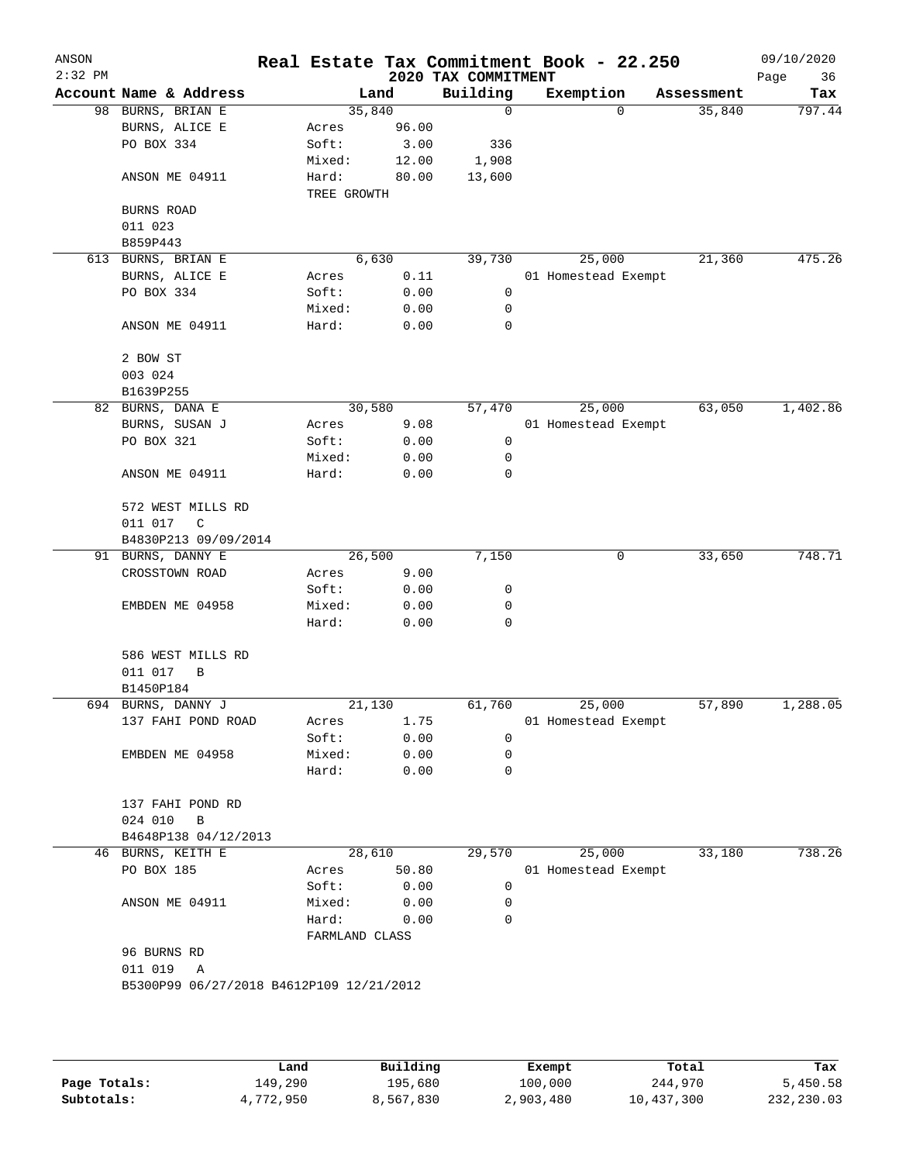|                                                          | Real Estate Tax Commitment Book - 22.250                       |                                                                          |                                                                                                  |                                                                                                                                                                                                                                      |                     |                                                   | 09/10/2020<br>Page<br>36                                                                                         |
|----------------------------------------------------------|----------------------------------------------------------------|--------------------------------------------------------------------------|--------------------------------------------------------------------------------------------------|--------------------------------------------------------------------------------------------------------------------------------------------------------------------------------------------------------------------------------------|---------------------|---------------------------------------------------|------------------------------------------------------------------------------------------------------------------|
| Account Name & Address                                   |                                                                |                                                                          | Building                                                                                         |                                                                                                                                                                                                                                      |                     |                                                   | Tax                                                                                                              |
| 98 BURNS, BRIAN E                                        |                                                                |                                                                          | 0                                                                                                |                                                                                                                                                                                                                                      | $\Omega$            | 35,840                                            | 797.44                                                                                                           |
| BURNS, ALICE E                                           | Acres                                                          |                                                                          |                                                                                                  |                                                                                                                                                                                                                                      |                     |                                                   |                                                                                                                  |
|                                                          | Soft:                                                          |                                                                          |                                                                                                  |                                                                                                                                                                                                                                      |                     |                                                   |                                                                                                                  |
|                                                          | Mixed:                                                         |                                                                          |                                                                                                  |                                                                                                                                                                                                                                      |                     |                                                   |                                                                                                                  |
| ANSON ME 04911                                           | Hard:                                                          |                                                                          | 13,600                                                                                           |                                                                                                                                                                                                                                      |                     |                                                   |                                                                                                                  |
| BURNS ROAD                                               |                                                                |                                                                          |                                                                                                  |                                                                                                                                                                                                                                      |                     |                                                   |                                                                                                                  |
| 011 023                                                  |                                                                |                                                                          |                                                                                                  |                                                                                                                                                                                                                                      |                     |                                                   |                                                                                                                  |
| B859P443                                                 |                                                                |                                                                          |                                                                                                  |                                                                                                                                                                                                                                      |                     |                                                   |                                                                                                                  |
| 613 BURNS, BRIAN E                                       |                                                                |                                                                          | 39,730                                                                                           |                                                                                                                                                                                                                                      |                     | 21,360                                            | 475.26                                                                                                           |
| BURNS, ALICE E                                           | Acres                                                          |                                                                          |                                                                                                  |                                                                                                                                                                                                                                      |                     |                                                   |                                                                                                                  |
| PO BOX 334                                               | Soft:                                                          |                                                                          | 0                                                                                                |                                                                                                                                                                                                                                      |                     |                                                   |                                                                                                                  |
|                                                          | Mixed:                                                         |                                                                          | 0                                                                                                |                                                                                                                                                                                                                                      |                     |                                                   |                                                                                                                  |
| ANSON ME 04911                                           | Hard:                                                          |                                                                          | 0                                                                                                |                                                                                                                                                                                                                                      |                     |                                                   |                                                                                                                  |
| 2 BOW ST                                                 |                                                                |                                                                          |                                                                                                  |                                                                                                                                                                                                                                      |                     |                                                   |                                                                                                                  |
| 003 024                                                  |                                                                |                                                                          |                                                                                                  |                                                                                                                                                                                                                                      |                     |                                                   |                                                                                                                  |
| B1639P255                                                |                                                                |                                                                          |                                                                                                  |                                                                                                                                                                                                                                      |                     |                                                   |                                                                                                                  |
|                                                          |                                                                |                                                                          |                                                                                                  |                                                                                                                                                                                                                                      |                     |                                                   | 1,402.86                                                                                                         |
|                                                          |                                                                |                                                                          |                                                                                                  |                                                                                                                                                                                                                                      |                     |                                                   |                                                                                                                  |
|                                                          |                                                                |                                                                          |                                                                                                  |                                                                                                                                                                                                                                      |                     |                                                   |                                                                                                                  |
|                                                          |                                                                |                                                                          |                                                                                                  |                                                                                                                                                                                                                                      |                     |                                                   |                                                                                                                  |
| ANSON ME 04911                                           | Hard:                                                          |                                                                          | 0                                                                                                |                                                                                                                                                                                                                                      |                     |                                                   |                                                                                                                  |
| 572 WEST MILLS RD                                        |                                                                |                                                                          |                                                                                                  |                                                                                                                                                                                                                                      |                     |                                                   |                                                                                                                  |
| 011 017<br>C                                             |                                                                |                                                                          |                                                                                                  |                                                                                                                                                                                                                                      |                     |                                                   |                                                                                                                  |
|                                                          |                                                                |                                                                          |                                                                                                  |                                                                                                                                                                                                                                      |                     |                                                   |                                                                                                                  |
| 91 BURNS, DANNY E                                        |                                                                |                                                                          | 7,150                                                                                            |                                                                                                                                                                                                                                      | 0                   | 33,650                                            | 748.71                                                                                                           |
| CROSSTOWN ROAD                                           | Acres                                                          |                                                                          |                                                                                                  |                                                                                                                                                                                                                                      |                     |                                                   |                                                                                                                  |
|                                                          | Soft:                                                          |                                                                          | 0                                                                                                |                                                                                                                                                                                                                                      |                     |                                                   |                                                                                                                  |
| EMBDEN ME 04958                                          | Mixed:                                                         |                                                                          | 0                                                                                                |                                                                                                                                                                                                                                      |                     |                                                   |                                                                                                                  |
|                                                          | Hard:                                                          |                                                                          | 0                                                                                                |                                                                                                                                                                                                                                      |                     |                                                   |                                                                                                                  |
| 586 WEST MILLS RD                                        |                                                                |                                                                          |                                                                                                  |                                                                                                                                                                                                                                      |                     |                                                   |                                                                                                                  |
| 011 017<br>B                                             |                                                                |                                                                          |                                                                                                  |                                                                                                                                                                                                                                      |                     |                                                   |                                                                                                                  |
| B1450P184                                                |                                                                |                                                                          |                                                                                                  |                                                                                                                                                                                                                                      |                     |                                                   |                                                                                                                  |
| 694 BURNS, DANNY J                                       |                                                                |                                                                          | 61,760                                                                                           |                                                                                                                                                                                                                                      |                     | 57,890                                            | 1,288.05                                                                                                         |
| 137 FAHI POND ROAD                                       | Acres                                                          |                                                                          |                                                                                                  |                                                                                                                                                                                                                                      |                     |                                                   |                                                                                                                  |
|                                                          | Soft:                                                          |                                                                          | 0                                                                                                |                                                                                                                                                                                                                                      |                     |                                                   |                                                                                                                  |
| EMBDEN ME 04958                                          | Mixed:                                                         |                                                                          | 0                                                                                                |                                                                                                                                                                                                                                      |                     |                                                   |                                                                                                                  |
|                                                          | Hard:                                                          |                                                                          | 0                                                                                                |                                                                                                                                                                                                                                      |                     |                                                   |                                                                                                                  |
| 137 FAHI POND RD                                         |                                                                |                                                                          |                                                                                                  |                                                                                                                                                                                                                                      |                     |                                                   |                                                                                                                  |
| 024 010<br>B                                             |                                                                |                                                                          |                                                                                                  |                                                                                                                                                                                                                                      |                     |                                                   |                                                                                                                  |
|                                                          |                                                                |                                                                          |                                                                                                  |                                                                                                                                                                                                                                      |                     |                                                   |                                                                                                                  |
| BURNS, KEITH E<br>46                                     |                                                                |                                                                          | 29,570                                                                                           |                                                                                                                                                                                                                                      |                     | 33,180                                            | 738.26                                                                                                           |
| PO BOX 185                                               | Acres                                                          |                                                                          |                                                                                                  |                                                                                                                                                                                                                                      |                     |                                                   |                                                                                                                  |
|                                                          | Soft:                                                          |                                                                          | 0                                                                                                |                                                                                                                                                                                                                                      |                     |                                                   |                                                                                                                  |
| ANSON ME 04911                                           | Mixed:                                                         |                                                                          | 0                                                                                                |                                                                                                                                                                                                                                      |                     |                                                   |                                                                                                                  |
|                                                          | Hard:                                                          |                                                                          | 0                                                                                                |                                                                                                                                                                                                                                      |                     |                                                   |                                                                                                                  |
| 96 BURNS RD                                              |                                                                |                                                                          |                                                                                                  |                                                                                                                                                                                                                                      |                     |                                                   |                                                                                                                  |
|                                                          |                                                                |                                                                          |                                                                                                  |                                                                                                                                                                                                                                      |                     |                                                   |                                                                                                                  |
|                                                          |                                                                |                                                                          |                                                                                                  |                                                                                                                                                                                                                                      |                     |                                                   |                                                                                                                  |
| 011 019<br>Α<br>B5300P99 06/27/2018 B4612P109 12/21/2012 |                                                                |                                                                          |                                                                                                  |                                                                                                                                                                                                                                      |                     |                                                   |                                                                                                                  |
|                                                          | PO BOX 334<br>82 BURNS, DANA E<br>BURNS, SUSAN J<br>PO BOX 321 | Acres<br>Soft:<br>Mixed:<br>B4830P213 09/09/2014<br>B4648P138 04/12/2013 | Land<br>35,840<br>TREE GROWTH<br>6,630<br>30,580<br>26,500<br>21,130<br>28,610<br>FARMLAND CLASS | 96.00<br>336<br>3.00<br>12.00<br>1,908<br>80.00<br>0.11<br>0.00<br>0.00<br>0.00<br>57,470<br>9.08<br>0.00<br>0<br>0<br>0.00<br>0.00<br>9.00<br>0.00<br>0.00<br>0.00<br>1.75<br>0.00<br>0.00<br>0.00<br>50.80<br>0.00<br>0.00<br>0.00 | 2020 TAX COMMITMENT | Exemption<br>25,000<br>25,000<br>25,000<br>25,000 | Assessment<br>01 Homestead Exempt<br>63,050<br>01 Homestead Exempt<br>01 Homestead Exempt<br>01 Homestead Exempt |

|              | Land      | Building  | Exempt    | Total      | Tax        |
|--------------|-----------|-----------|-----------|------------|------------|
| Page Totals: | 149,290   | 195,680   | 100,000   | 244,970    | 5,450.58   |
| Subtotals:   | 4,772,950 | 8,567,830 | 2,903,480 | 10,437,300 | 232,230.03 |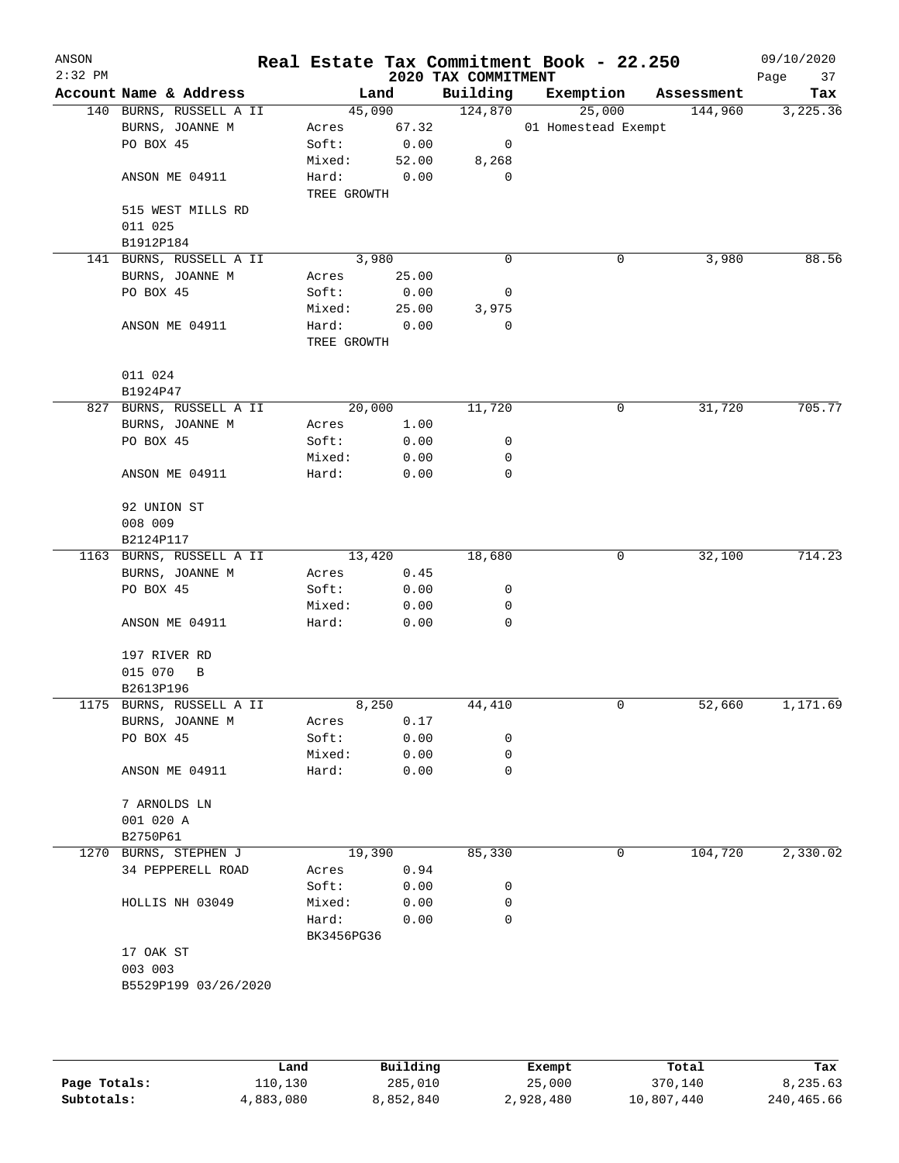| ANSON<br>$2:32$ PM |                                      |                      |               |                                 | Real Estate Tax Commitment Book - 22.250 |            | 09/10/2020        |
|--------------------|--------------------------------------|----------------------|---------------|---------------------------------|------------------------------------------|------------|-------------------|
|                    | Account Name & Address               | Land                 |               | 2020 TAX COMMITMENT<br>Building | Exemption                                | Assessment | Page<br>37<br>Tax |
|                    | 140 BURNS, RUSSELL A II              | 45,090               |               | 124,870                         | 25,000                                   | 144,960    | 3,225.36          |
|                    | BURNS, JOANNE M                      | Acres                | 67.32         |                                 | 01 Homestead Exempt                      |            |                   |
|                    | PO BOX 45                            | Soft:                | 0.00          | 0                               |                                          |            |                   |
|                    |                                      | Mixed:               | 52.00         | 8,268                           |                                          |            |                   |
|                    | ANSON ME 04911                       | Hard:<br>TREE GROWTH | 0.00          | 0                               |                                          |            |                   |
|                    | 515 WEST MILLS RD                    |                      |               |                                 |                                          |            |                   |
|                    | 011 025                              |                      |               |                                 |                                          |            |                   |
|                    | B1912P184<br>141 BURNS, RUSSELL A II | 3,980                |               | 0                               | 0                                        | 3,980      | 88.56             |
|                    | BURNS, JOANNE M                      | Acres                | 25.00         |                                 |                                          |            |                   |
|                    | PO BOX 45                            | Soft:                | 0.00          | 0                               |                                          |            |                   |
|                    |                                      | Mixed:               |               | 3,975                           |                                          |            |                   |
|                    |                                      | Hard:                | 25.00<br>0.00 | 0                               |                                          |            |                   |
|                    | ANSON ME 04911                       | TREE GROWTH          |               |                                 |                                          |            |                   |
|                    | 011 024                              |                      |               |                                 |                                          |            |                   |
|                    | B1924P47                             |                      |               |                                 |                                          |            |                   |
|                    | 827 BURNS, RUSSELL A II              | 20,000               |               | 11,720                          | 0                                        | 31,720     | 705.77            |
|                    | BURNS, JOANNE M                      | Acres                | 1.00          |                                 |                                          |            |                   |
|                    | PO BOX 45                            | Soft:                | 0.00          | 0                               |                                          |            |                   |
|                    |                                      | Mixed:               | 0.00          | 0                               |                                          |            |                   |
|                    | ANSON ME 04911                       | Hard:                | 0.00          | 0                               |                                          |            |                   |
|                    | 92 UNION ST                          |                      |               |                                 |                                          |            |                   |
|                    | 008 009                              |                      |               |                                 |                                          |            |                   |
|                    | B2124P117                            |                      |               |                                 |                                          |            | 714.23            |
|                    | 1163 BURNS, RUSSELL A II             | 13,420               |               | 18,680                          | 0                                        | 32,100     |                   |
|                    | BURNS, JOANNE M                      | Acres                | 0.45          |                                 |                                          |            |                   |
|                    | PO BOX 45                            | Soft:                | 0.00          | 0                               |                                          |            |                   |
|                    |                                      | Mixed:               | 0.00          | 0                               |                                          |            |                   |
|                    | ANSON ME 04911                       | Hard:                | 0.00          | 0                               |                                          |            |                   |
|                    | 197 RIVER RD                         |                      |               |                                 |                                          |            |                   |
|                    | 015 070<br>B                         |                      |               |                                 |                                          |            |                   |
|                    | B2613P196                            |                      |               |                                 |                                          |            |                   |
|                    | 1175 BURNS, RUSSELL A II             | 8,250                |               | 44,410                          | 0                                        | 52,660     | 1,171.69          |
|                    | BURNS, JOANNE M                      | Acres                | 0.17          |                                 |                                          |            |                   |
|                    | PO BOX 45                            | Soft:                | 0.00          | 0                               |                                          |            |                   |
|                    |                                      | Mixed:               | 0.00          | 0                               |                                          |            |                   |
|                    | ANSON ME 04911                       | Hard:                | 0.00          | 0                               |                                          |            |                   |
|                    | 7 ARNOLDS LN                         |                      |               |                                 |                                          |            |                   |
|                    | 001 020 A                            |                      |               |                                 |                                          |            |                   |
|                    | B2750P61                             |                      |               |                                 |                                          |            |                   |
|                    | 1270 BURNS, STEPHEN J                | 19,390               |               | 85,330                          | 0                                        | 104,720    | 2,330.02          |
|                    | 34 PEPPERELL ROAD                    | Acres                | 0.94          |                                 |                                          |            |                   |
|                    |                                      | Soft:                | 0.00          | 0                               |                                          |            |                   |
|                    | HOLLIS NH 03049                      | Mixed:               | 0.00          | 0                               |                                          |            |                   |
|                    |                                      | Hard:<br>BK3456PG36  | 0.00          | $\mathbf 0$                     |                                          |            |                   |
|                    | 17 OAK ST                            |                      |               |                                 |                                          |            |                   |
|                    | 003 003                              |                      |               |                                 |                                          |            |                   |
|                    | B5529P199 03/26/2020                 |                      |               |                                 |                                          |            |                   |
|                    |                                      |                      |               |                                 |                                          |            |                   |
|                    |                                      |                      |               |                                 |                                          |            |                   |
|                    |                                      |                      |               |                                 |                                          |            |                   |

|              | Land      | Building  | Exempt    | Total      | Tax        |
|--------------|-----------|-----------|-----------|------------|------------|
| Page Totals: | 110,130   | 285,010   | 25,000    | 370,140    | 8,235.63   |
| Subtotals:   | 4,883,080 | 8,852,840 | 2,928,480 | 10,807,440 | 240,465.66 |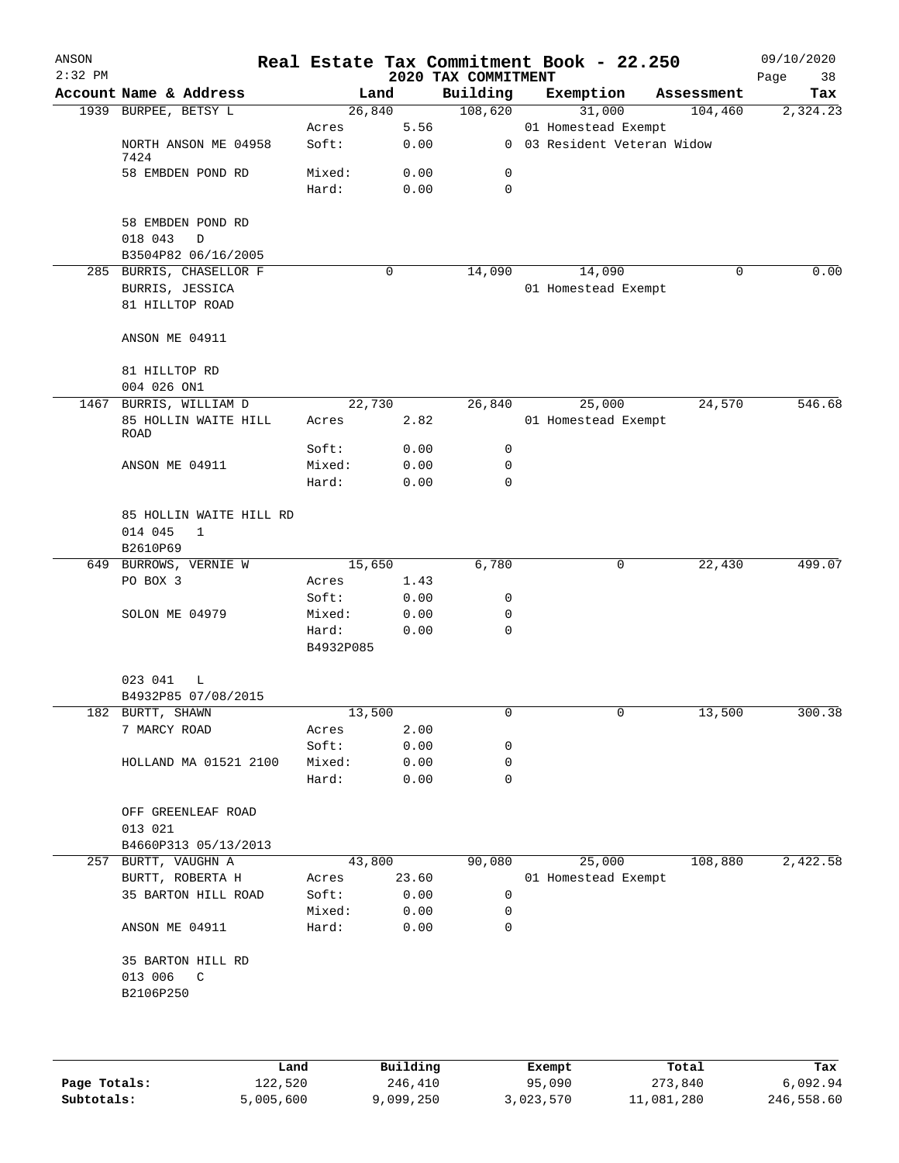| ANSON<br>$2:32$ PM |                           |                 |              | 2020 TAX COMMITMENT | Real Estate Tax Commitment Book - 22.250 |            | 09/10/2020<br>Page<br>38 |
|--------------------|---------------------------|-----------------|--------------|---------------------|------------------------------------------|------------|--------------------------|
|                    | Account Name & Address    |                 | Land         | Building            | Exemption                                | Assessment | Tax                      |
|                    | 1939 BURPEE, BETSY L      |                 | 26,840       | 108,620             | 31,000                                   | 104,460    | 2,324.23                 |
|                    |                           | Acres           | 5.56         |                     | 01 Homestead Exempt                      |            |                          |
|                    | NORTH ANSON ME 04958      | Soft:           | 0.00         |                     | 0 03 Resident Veteran Widow              |            |                          |
|                    | 7424<br>58 EMBDEN POND RD | Mixed:          | 0.00         | 0                   |                                          |            |                          |
|                    |                           | Hard:           | 0.00         | $\mathbf 0$         |                                          |            |                          |
|                    |                           |                 |              |                     |                                          |            |                          |
|                    | 58 EMBDEN POND RD         |                 |              |                     |                                          |            |                          |
|                    | 018 043<br>D              |                 |              |                     |                                          |            |                          |
|                    | B3504P82 06/16/2005       |                 |              |                     |                                          |            |                          |
|                    | 285 BURRIS, CHASELLOR F   |                 | 0            | 14,090              | 14,090                                   | $\Omega$   | 0.00                     |
|                    | BURRIS, JESSICA           |                 |              |                     | 01 Homestead Exempt                      |            |                          |
|                    | 81 HILLTOP ROAD           |                 |              |                     |                                          |            |                          |
|                    | ANSON ME 04911            |                 |              |                     |                                          |            |                          |
|                    |                           |                 |              |                     |                                          |            |                          |
|                    | 81 HILLTOP RD             |                 |              |                     |                                          |            |                          |
|                    | 004 026 ON1               |                 |              |                     |                                          |            |                          |
|                    | 1467 BURRIS, WILLIAM D    |                 | 22,730       | 26,840              | 25,000                                   | 24,570     | 546.68                   |
|                    | 85 HOLLIN WAITE HILL      | Acres           | 2.82         |                     | 01 Homestead Exempt                      |            |                          |
|                    | <b>ROAD</b>               | Soft:           | 0.00         | 0                   |                                          |            |                          |
|                    | ANSON ME 04911            | Mixed:          | 0.00         | 0                   |                                          |            |                          |
|                    |                           | Hard:           | 0.00         | $\Omega$            |                                          |            |                          |
|                    |                           |                 |              |                     |                                          |            |                          |
|                    | 85 HOLLIN WAITE HILL RD   |                 |              |                     |                                          |            |                          |
|                    | 014 045<br>$\mathbf{1}$   |                 |              |                     |                                          |            |                          |
|                    | B2610P69                  |                 |              |                     |                                          |            |                          |
|                    | 649 BURROWS, VERNIE W     |                 | 15,650       | 6,780               | 0                                        | 22,430     | 499.07                   |
|                    | PO BOX 3                  | Acres           | 1.43         |                     |                                          |            |                          |
|                    | SOLON ME 04979            | Soft:<br>Mixed: | 0.00<br>0.00 | 0<br>0              |                                          |            |                          |
|                    |                           | Hard:           | 0.00         | $\mathbf 0$         |                                          |            |                          |
|                    |                           | B4932P085       |              |                     |                                          |            |                          |
|                    |                           |                 |              |                     |                                          |            |                          |
|                    | 023 041<br>L              |                 |              |                     |                                          |            |                          |
|                    | B4932P85 07/08/2015       |                 |              |                     |                                          |            |                          |
|                    | 182 BURTT, SHAWN          |                 | 13,500       | 0                   |                                          | 13,500     | 300.38                   |
|                    | 7 MARCY ROAD              | Acres           | 2.00         |                     |                                          |            |                          |
|                    |                           | Soft:<br>Mixed: | 0.00<br>0.00 | 0<br>0              |                                          |            |                          |
|                    | HOLLAND MA 01521 2100     | Hard:           | 0.00         | 0                   |                                          |            |                          |
|                    |                           |                 |              |                     |                                          |            |                          |
|                    | OFF GREENLEAF ROAD        |                 |              |                     |                                          |            |                          |
|                    | 013 021                   |                 |              |                     |                                          |            |                          |
|                    | B4660P313 05/13/2013      |                 |              |                     |                                          |            |                          |
|                    | 257 BURTT, VAUGHN A       |                 | 43,800       | 90,080              | 25,000                                   | 108,880    | 2,422.58                 |
|                    | BURTT, ROBERTA H          | Acres           | 23.60        |                     | 01 Homestead Exempt                      |            |                          |
|                    | 35 BARTON HILL ROAD       | Soft:           | 0.00         | 0                   |                                          |            |                          |
|                    | ANSON ME 04911            | Mixed:<br>Hard: | 0.00<br>0.00 | 0<br>$\mathbf 0$    |                                          |            |                          |
|                    |                           |                 |              |                     |                                          |            |                          |
|                    | 35 BARTON HILL RD         |                 |              |                     |                                          |            |                          |
|                    | 013 006<br>$\mathbb{C}$   |                 |              |                     |                                          |            |                          |
|                    | B2106P250                 |                 |              |                     |                                          |            |                          |
|                    |                           |                 |              |                     |                                          |            |                          |
|                    |                           |                 |              |                     |                                          |            |                          |
|                    |                           |                 |              |                     |                                          |            |                          |
|                    |                           |                 |              |                     |                                          |            |                          |

|              | Land      | Building  | Exempt    | Total      | Tax        |
|--------------|-----------|-----------|-----------|------------|------------|
| Page Totals: | 122,520   | 246,410   | 95,090    | 273,840    | 6,092.94   |
| Subtotals:   | 5,005,600 | 9,099,250 | 3,023,570 | 11,081,280 | 246,558.60 |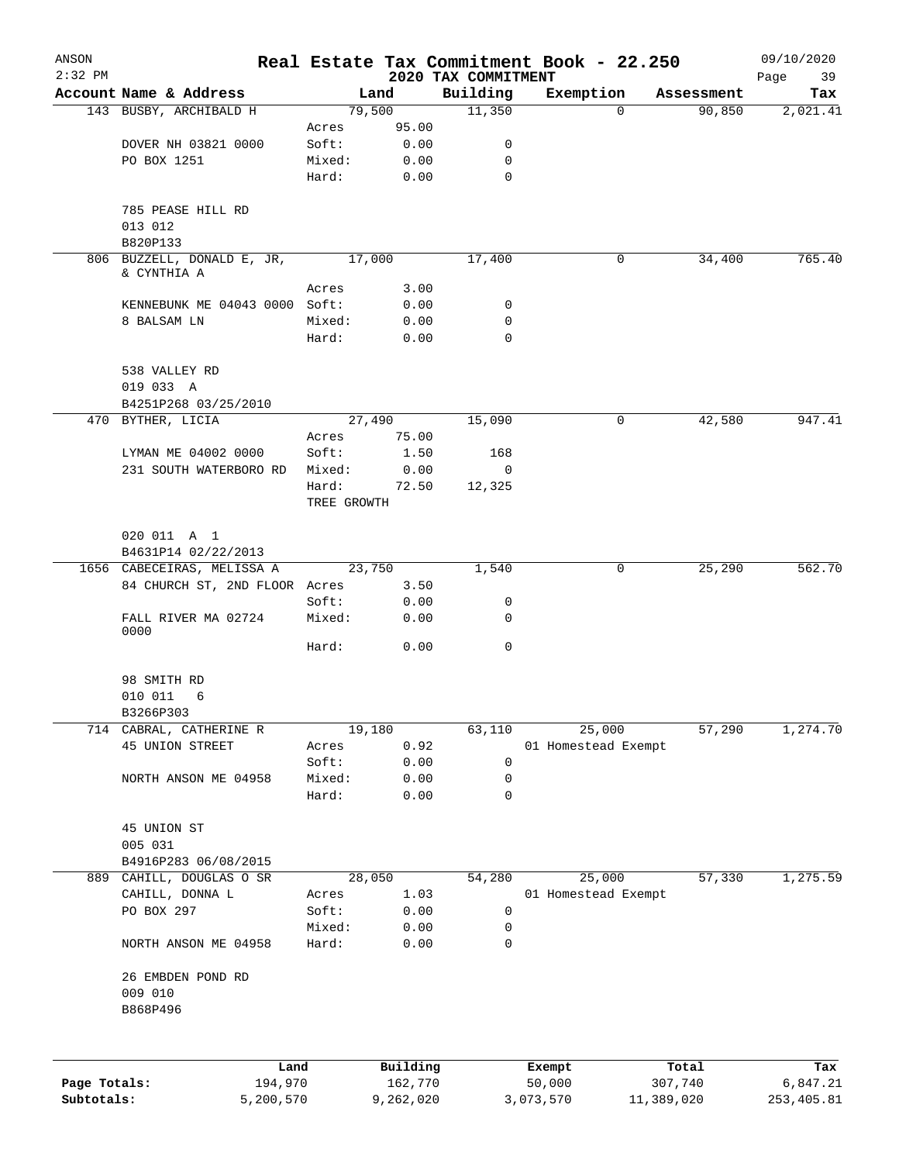| ANSON<br>$2:32$ PM |                               |        |                               | 2020 TAX COMMITMENT | Real Estate Tax Commitment Book - 22.250 |            | 09/10/2020<br>Page<br>39 |
|--------------------|-------------------------------|--------|-------------------------------|---------------------|------------------------------------------|------------|--------------------------|
|                    | Account Name & Address        |        | Land                          | Building            | Exemption                                | Assessment | Tax                      |
|                    | 143 BUSBY, ARCHIBALD H        |        | 79,500                        | 11,350              | $\mathbf{0}$                             | 90,850     | 2,021.41                 |
|                    |                               | Acres  | 95.00                         |                     |                                          |            |                          |
|                    | DOVER NH 03821 0000           | Soft:  | 0.00                          | 0                   |                                          |            |                          |
|                    | PO BOX 1251                   | Mixed: | 0.00                          | $\mathbf 0$         |                                          |            |                          |
|                    |                               | Hard:  | 0.00                          | $\mathbf 0$         |                                          |            |                          |
|                    | 785 PEASE HILL RD             |        |                               |                     |                                          |            |                          |
|                    | 013 012                       |        |                               |                     |                                          |            |                          |
|                    | B820P133                      |        |                               |                     |                                          |            |                          |
|                    | 806 BUZZELL, DONALD E, JR,    |        | 17,000                        | 17,400              | 0                                        | 34,400     | 765.40                   |
|                    | & CYNTHIA A                   |        |                               |                     |                                          |            |                          |
|                    |                               | Acres  | 3.00                          |                     |                                          |            |                          |
|                    | KENNEBUNK ME 04043 0000 Soft: |        | 0.00                          | 0                   |                                          |            |                          |
|                    | 8 BALSAM LN                   | Mixed: | 0.00                          | 0                   |                                          |            |                          |
|                    |                               | Hard:  | 0.00                          | 0                   |                                          |            |                          |
|                    | 538 VALLEY RD<br>019 033 A    |        |                               |                     |                                          |            |                          |
|                    |                               |        |                               |                     |                                          |            |                          |
|                    | B4251P268 03/25/2010          |        | 27,490                        | 15,090              | 0                                        | 42,580     | 947.41                   |
|                    | 470 BYTHER, LICIA             |        |                               |                     |                                          |            |                          |
|                    |                               | Acres  | 75.00                         |                     |                                          |            |                          |
|                    | LYMAN ME 04002 0000           | Soft:  | 1.50                          | 168<br>$\mathbf 0$  |                                          |            |                          |
|                    | 231 SOUTH WATERBORO RD        | Mixed: | 0.00                          | 12,325              |                                          |            |                          |
|                    |                               |        | Hard:<br>72.50<br>TREE GROWTH |                     |                                          |            |                          |
|                    |                               |        |                               |                     |                                          |            |                          |
|                    | 020 011 A 1                   |        |                               |                     |                                          |            |                          |
|                    | B4631P14 02/22/2013           |        |                               |                     |                                          |            |                          |
|                    | 1656 CABECEIRAS, MELISSA A    |        | 23,750                        | 1,540               | 0                                        | 25,290     | 562.70                   |
|                    | 84 CHURCH ST, 2ND FLOOR Acres |        | 3.50                          |                     |                                          |            |                          |
|                    |                               | Soft:  | 0.00                          | 0                   |                                          |            |                          |
|                    | FALL RIVER MA 02724<br>0000   | Mixed: | 0.00                          | 0                   |                                          |            |                          |
|                    |                               | Hard:  | 0.00                          | $\mathbf 0$         |                                          |            |                          |
|                    | 98 SMITH RD                   |        |                               |                     |                                          |            |                          |
|                    | 010 011<br>6                  |        |                               |                     |                                          |            |                          |
|                    | B3266P303                     |        |                               |                     |                                          |            |                          |
| 714                | CABRAL, CATHERINE R           |        | 19,180                        | 63,110              | 25,000                                   | 57,290     | 1,274.70                 |
|                    | 45 UNION STREET               | Acres  | 0.92                          |                     | 01 Homestead Exempt                      |            |                          |
|                    |                               | Soft:  | 0.00                          | 0                   |                                          |            |                          |
|                    | NORTH ANSON ME 04958          | Mixed: | 0.00                          | 0                   |                                          |            |                          |
|                    |                               | Hard:  | 0.00                          | 0                   |                                          |            |                          |
|                    | 45 UNION ST                   |        |                               |                     |                                          |            |                          |
|                    | 005 031                       |        |                               |                     |                                          |            |                          |
|                    | B4916P283 06/08/2015          |        |                               |                     |                                          |            |                          |
| 889                | CAHILL, DOUGLAS O SR          |        | 28,050                        | 54,280              | 25,000                                   | 57,330     | 1,275.59                 |
|                    | CAHILL, DONNA L               | Acres  | 1.03                          |                     | 01 Homestead Exempt                      |            |                          |
|                    | PO BOX 297                    | Soft:  | 0.00                          | 0                   |                                          |            |                          |
|                    |                               | Mixed: | 0.00                          | 0                   |                                          |            |                          |
|                    | NORTH ANSON ME 04958          | Hard:  | 0.00                          | 0                   |                                          |            |                          |
|                    | 26 EMBDEN POND RD             |        |                               |                     |                                          |            |                          |
|                    | 009 010                       |        |                               |                     |                                          |            |                          |
|                    | B868P496                      |        |                               |                     |                                          |            |                          |
|                    |                               |        |                               |                     |                                          |            |                          |
|                    | Land                          |        | Building                      |                     | Exempt                                   | Total      | Tax                      |
| Page Totals:       | 194,970                       |        | 162,770                       |                     | 50,000                                   | 307,740    | 6,847.21                 |
| Subtotals:         | 5,200,570                     |        | 9,262,020                     |                     | 3,073,570                                | 11,389,020 | 253, 405.81              |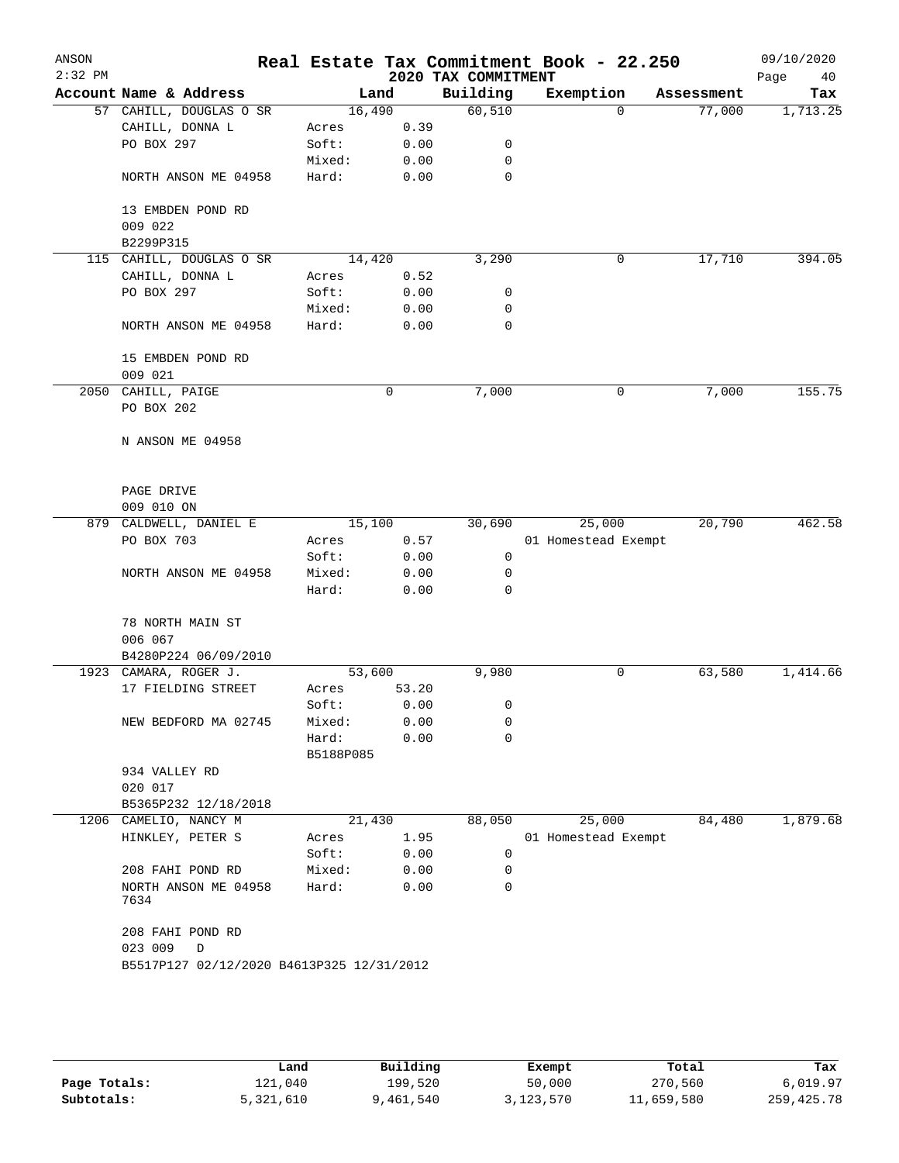| ANSON     |                                            |                    |       |                     | Real Estate Tax Commitment Book - 22.250 |            | 09/10/2020 |
|-----------|--------------------------------------------|--------------------|-------|---------------------|------------------------------------------|------------|------------|
| $2:32$ PM |                                            |                    |       | 2020 TAX COMMITMENT |                                          |            | Page<br>40 |
|           | Account Name & Address                     | Land               |       | Building            | Exemption                                | Assessment | Tax        |
|           | 57 CAHILL, DOUGLAS O SR<br>CAHILL, DONNA L | 16,490             | 0.39  | 60,510              | $\Omega$                                 | 77,000     | 1,713.25   |
|           | PO BOX 297                                 | Acres<br>Soft:     | 0.00  | 0                   |                                          |            |            |
|           |                                            | Mixed:             | 0.00  | 0                   |                                          |            |            |
|           | NORTH ANSON ME 04958                       | Hard:              | 0.00  | $\mathbf 0$         |                                          |            |            |
|           | 13 EMBDEN POND RD                          |                    |       |                     |                                          |            |            |
|           | 009 022                                    |                    |       |                     |                                          |            |            |
|           | B2299P315                                  |                    |       |                     |                                          |            |            |
|           | 115 CAHILL, DOUGLAS O SR                   | 14,420             |       | 3,290               | 0                                        | 17,710     | 394.05     |
|           | CAHILL, DONNA L                            | Acres              | 0.52  |                     |                                          |            |            |
|           | PO BOX 297                                 | Soft:              | 0.00  | 0                   |                                          |            |            |
|           |                                            | Mixed:             | 0.00  | 0                   |                                          |            |            |
|           | NORTH ANSON ME 04958                       | Hard:              | 0.00  | 0                   |                                          |            |            |
|           | 15 EMBDEN POND RD<br>009 021               |                    |       |                     |                                          |            |            |
|           | 2050 CAHILL, PAIGE                         |                    | 0     | 7,000               | 0                                        | 7,000      | 155.75     |
|           | PO BOX 202                                 |                    |       |                     |                                          |            |            |
|           |                                            |                    |       |                     |                                          |            |            |
|           | N ANSON ME 04958                           |                    |       |                     |                                          |            |            |
|           |                                            |                    |       |                     |                                          |            |            |
|           | PAGE DRIVE                                 |                    |       |                     |                                          |            |            |
|           | 009 010 ON                                 | 15,100             |       |                     |                                          | 20,790     | 462.58     |
|           | 879 CALDWELL, DANIEL E<br>PO BOX 703       | Acres              | 0.57  | 30,690              | 25,000<br>01 Homestead Exempt            |            |            |
|           |                                            | Soft:              | 0.00  | $\mathbf 0$         |                                          |            |            |
|           | NORTH ANSON ME 04958                       | Mixed:             | 0.00  | 0                   |                                          |            |            |
|           |                                            | Hard:              | 0.00  | 0                   |                                          |            |            |
|           | 78 NORTH MAIN ST                           |                    |       |                     |                                          |            |            |
|           | 006 067                                    |                    |       |                     |                                          |            |            |
|           | B4280P224 06/09/2010                       |                    |       |                     |                                          |            |            |
|           | 1923 CAMARA, ROGER J.                      | 53,600             |       | 9,980               | 0                                        | 63,580     | 1,414.66   |
|           | 17 FIELDING STREET                         | Acres              | 53.20 |                     |                                          |            |            |
|           |                                            | Soft:              | 0.00  | 0                   |                                          |            |            |
|           | NEW BEDFORD MA 02745                       | Mixed:             | 0.00  | 0                   |                                          |            |            |
|           |                                            | Hard:<br>B5188P085 | 0.00  | 0                   |                                          |            |            |
|           | 934 VALLEY RD                              |                    |       |                     |                                          |            |            |
|           | 020 017                                    |                    |       |                     |                                          |            |            |
|           | B5365P232 12/18/2018                       |                    |       |                     |                                          |            |            |
|           | 1206 CAMELIO, NANCY M                      | 21,430             |       | 88,050              | 25,000                                   | 84,480     | 1,879.68   |
|           | HINKLEY, PETER S                           | Acres              | 1.95  |                     | 01 Homestead Exempt                      |            |            |
|           |                                            | Soft:              | 0.00  | 0                   |                                          |            |            |
|           | 208 FAHI POND RD                           | Mixed:             | 0.00  | 0                   |                                          |            |            |
|           | NORTH ANSON ME 04958<br>7634               | Hard:              | 0.00  | 0                   |                                          |            |            |
|           | 208 FAHI POND RD                           |                    |       |                     |                                          |            |            |
|           | 023 009<br>D                               |                    |       |                     |                                          |            |            |
|           | B5517P127 02/12/2020 B4613P325 12/31/2012  |                    |       |                     |                                          |            |            |
|           |                                            |                    |       |                     |                                          |            |            |
|           |                                            |                    |       |                     |                                          |            |            |
|           |                                            |                    |       |                     |                                          |            |            |

|              | Land      | Building | Exempt    | Total      | Tax          |
|--------------|-----------|----------|-----------|------------|--------------|
| Page Totals: | ⊥21,040   | 199,520  | 50,000    | 270,560    | 6,019.97     |
| Subtotals:   | 5,321,610 | ,461,540 | 3,123,570 | 11,659,580 | 259, 425. 78 |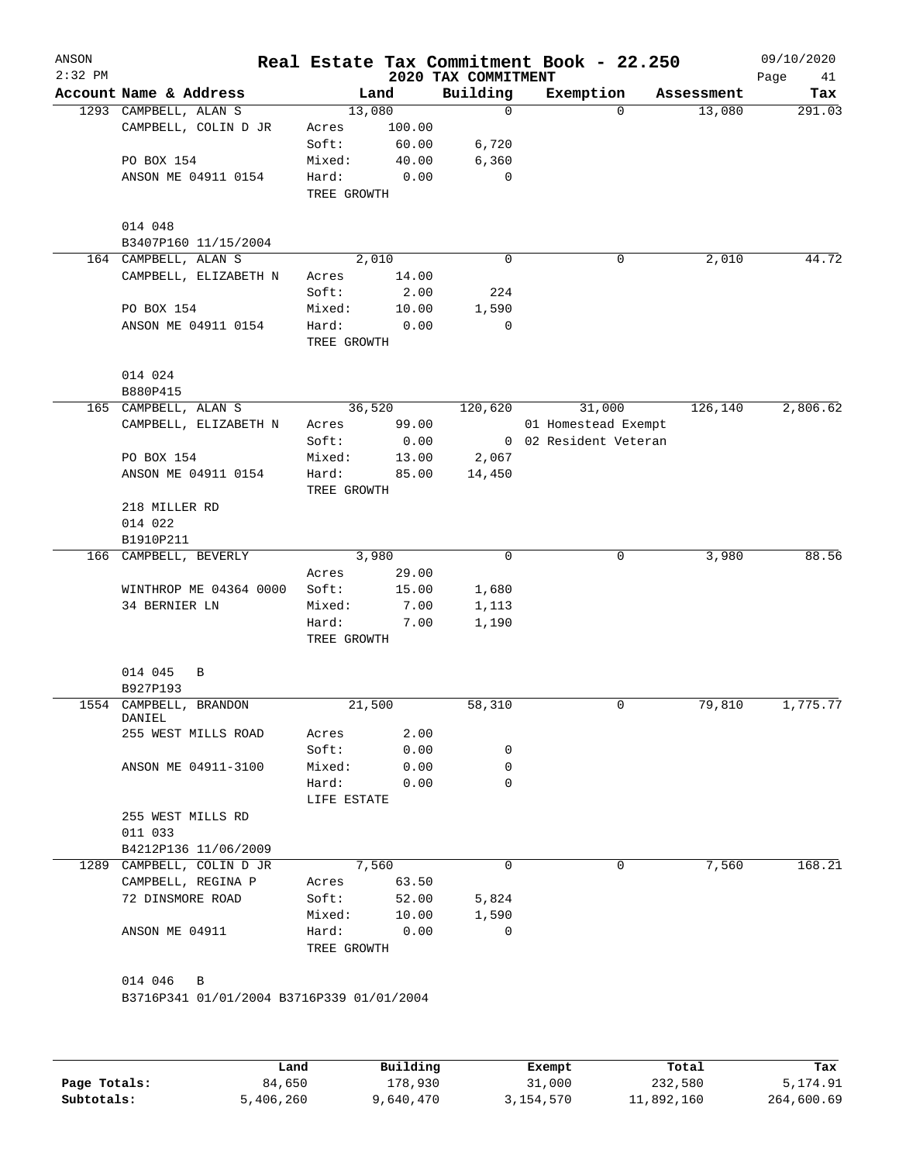| ANSON<br>$2:32$ PM |                                           |                      |        | 2020 TAX COMMITMENT | Real Estate Tax Commitment Book - 22.250 |            | 09/10/2020<br>Page<br>41 |
|--------------------|-------------------------------------------|----------------------|--------|---------------------|------------------------------------------|------------|--------------------------|
|                    | Account Name & Address                    |                      | Land   | Building            | Exemption                                | Assessment | Tax                      |
|                    | 1293 CAMPBELL, ALAN S                     | 13,080               |        | 0                   | $\Omega$                                 | 13,080     | 291.03                   |
|                    | CAMPBELL, COLIN D JR                      | Acres                | 100.00 |                     |                                          |            |                          |
|                    |                                           | Soft:                | 60.00  | 6,720               |                                          |            |                          |
|                    | PO BOX 154                                | Mixed:               | 40.00  | 6,360               |                                          |            |                          |
|                    | ANSON ME 04911 0154                       | Hard:                | 0.00   | 0                   |                                          |            |                          |
|                    |                                           | TREE GROWTH          |        |                     |                                          |            |                          |
|                    | 014 048                                   |                      |        |                     |                                          |            |                          |
|                    | B3407P160 11/15/2004                      |                      |        |                     |                                          |            |                          |
|                    | 164 CAMPBELL, ALAN S                      |                      | 2,010  | 0                   | 0                                        | 2,010      | 44.72                    |
|                    | CAMPBELL, ELIZABETH N                     | Acres                | 14.00  |                     |                                          |            |                          |
|                    |                                           | Soft:                | 2.00   | 224                 |                                          |            |                          |
|                    | PO BOX 154                                | Mixed:               | 10.00  | 1,590               |                                          |            |                          |
|                    | ANSON ME 04911 0154                       | Hard:                | 0.00   | 0                   |                                          |            |                          |
|                    |                                           | TREE GROWTH          |        |                     |                                          |            |                          |
|                    | 014 024                                   |                      |        |                     |                                          |            |                          |
|                    | B880P415                                  |                      |        |                     |                                          |            |                          |
|                    | 165 CAMPBELL, ALAN S                      |                      | 36,520 | 120,620             | 31,000                                   | 126,140    | 2,806.62                 |
|                    | CAMPBELL, ELIZABETH N                     | Acres                | 99.00  |                     | 01 Homestead Exempt                      |            |                          |
|                    |                                           | Soft:                | 0.00   |                     | 0 02 Resident Veteran                    |            |                          |
|                    | PO BOX 154                                | Mixed:               | 13.00  | 2,067               |                                          |            |                          |
|                    | ANSON ME 04911 0154                       | Hard:<br>TREE GROWTH | 85.00  | 14,450              |                                          |            |                          |
|                    | 218 MILLER RD                             |                      |        |                     |                                          |            |                          |
|                    | 014 022                                   |                      |        |                     |                                          |            |                          |
|                    | B1910P211                                 |                      |        |                     |                                          |            |                          |
|                    | 166 CAMPBELL, BEVERLY                     |                      | 3,980  | $\mathbf 0$         | 0                                        | 3,980      | 88.56                    |
|                    |                                           | Acres                | 29.00  |                     |                                          |            |                          |
|                    | WINTHROP ME 04364 0000                    | Soft:                | 15.00  | 1,680               |                                          |            |                          |
|                    | 34 BERNIER LN                             | Mixed:               | 7.00   | 1,113               |                                          |            |                          |
|                    |                                           |                      |        |                     |                                          |            |                          |
|                    |                                           | Hard:<br>TREE GROWTH | 7.00   | 1,190               |                                          |            |                          |
|                    | 014 045<br>B                              |                      |        |                     |                                          |            |                          |
|                    | B927P193                                  |                      |        |                     |                                          |            |                          |
|                    | 1554 CAMPBELL, BRANDON                    | 21,500               |        | 58,310              | 0                                        | 79,810     | 1,775.77                 |
|                    | DANIEL                                    |                      |        |                     |                                          |            |                          |
|                    | 255 WEST MILLS ROAD                       | Acres                | 2.00   |                     |                                          |            |                          |
|                    |                                           | Soft:                | 0.00   | 0                   |                                          |            |                          |
|                    | ANSON ME 04911-3100                       | Mixed:               | 0.00   | 0                   |                                          |            |                          |
|                    |                                           | Hard:                | 0.00   | $\Omega$            |                                          |            |                          |
|                    |                                           | LIFE ESTATE          |        |                     |                                          |            |                          |
|                    | 255 WEST MILLS RD                         |                      |        |                     |                                          |            |                          |
|                    | 011 033                                   |                      |        |                     |                                          |            |                          |
|                    | B4212P136 11/06/2009                      |                      |        |                     |                                          |            |                          |
|                    | 1289 CAMPBELL, COLIN D JR                 |                      | 7,560  | 0                   | 0                                        | 7,560      | 168.21                   |
|                    | CAMPBELL, REGINA P                        | Acres                | 63.50  |                     |                                          |            |                          |
|                    | 72 DINSMORE ROAD                          | Soft:                | 52.00  | 5,824               |                                          |            |                          |
|                    |                                           | Mixed:               | 10.00  | 1,590               |                                          |            |                          |
|                    | ANSON ME 04911                            | Hard:                | 0.00   | 0                   |                                          |            |                          |
|                    |                                           | TREE GROWTH          |        |                     |                                          |            |                          |
|                    |                                           |                      |        |                     |                                          |            |                          |
|                    | 014 046<br>B                              |                      |        |                     |                                          |            |                          |
|                    | B3716P341 01/01/2004 B3716P339 01/01/2004 |                      |        |                     |                                          |            |                          |
|                    |                                           |                      |        |                     |                                          |            |                          |
|                    |                                           |                      |        |                     |                                          |            |                          |
|                    |                                           |                      |        |                     |                                          |            |                          |
|                    |                                           |                      |        |                     |                                          |            |                          |

|              | Land      | Building  | Exempt    | Total      | Tax        |
|--------------|-----------|-----------|-----------|------------|------------|
| Page Totals: | 84,650    | 178,930   | 31,000    | 232,580    | 5,174.91   |
| Subtotals:   | 5,406,260 | 9,640,470 | 3,154,570 | 11,892,160 | 264,600.69 |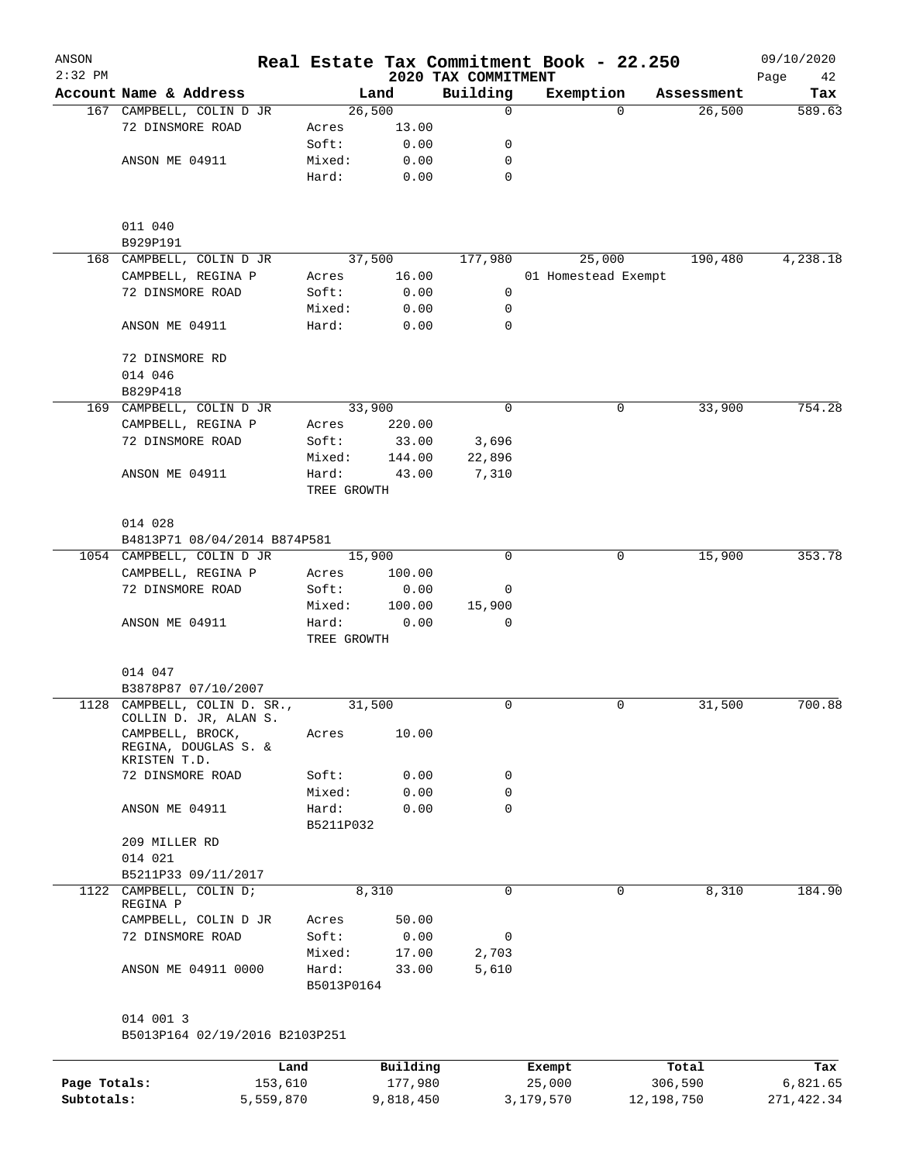| ANSON<br>$2:32$ PM |                                                                   |                      |                 |                                 | Real Estate Tax Commitment Book - 22.250 |          |            | 09/10/2020        |  |
|--------------------|-------------------------------------------------------------------|----------------------|-----------------|---------------------------------|------------------------------------------|----------|------------|-------------------|--|
|                    | Account Name & Address                                            |                      | Land            | 2020 TAX COMMITMENT<br>Building | Exemption                                |          | Assessment | Page<br>42<br>Tax |  |
|                    | 167 CAMPBELL, COLIN D JR                                          |                      | 26,500          | 0                               |                                          | $\Omega$ | 26,500     | 589.63            |  |
|                    | 72 DINSMORE ROAD                                                  | Acres                | 13.00           |                                 |                                          |          |            |                   |  |
|                    |                                                                   | Soft:                | 0.00            | 0                               |                                          |          |            |                   |  |
|                    | ANSON ME 04911                                                    | Mixed:               | 0.00            | 0                               |                                          |          |            |                   |  |
|                    |                                                                   | Hard:                | 0.00            | 0                               |                                          |          |            |                   |  |
|                    | 011 040                                                           |                      |                 |                                 |                                          |          |            |                   |  |
|                    | B929P191                                                          |                      |                 |                                 |                                          |          |            |                   |  |
|                    | 168 CAMPBELL, COLIN D JR<br>CAMPBELL, REGINA P                    |                      | 37,500<br>16.00 | 177,980                         | 25,000                                   |          | 190,480    | 4,238.18          |  |
|                    | 72 DINSMORE ROAD                                                  | Acres<br>Soft:       | 0.00            | 0                               | 01 Homestead Exempt                      |          |            |                   |  |
|                    |                                                                   | Mixed:               | 0.00            | 0                               |                                          |          |            |                   |  |
|                    | ANSON ME 04911                                                    | Hard:                | 0.00            | $\Omega$                        |                                          |          |            |                   |  |
|                    | 72 DINSMORE RD                                                    |                      |                 |                                 |                                          |          |            |                   |  |
|                    | 014 046                                                           |                      |                 |                                 |                                          |          |            |                   |  |
|                    | B829P418<br>169 CAMPBELL, COLIN D JR                              |                      | 33,900          | 0                               |                                          | 0        | 33,900     | 754.28            |  |
|                    | CAMPBELL, REGINA P                                                | Acres                | 220.00          |                                 |                                          |          |            |                   |  |
|                    | 72 DINSMORE ROAD                                                  | Soft:                | 33.00           | 3,696                           |                                          |          |            |                   |  |
|                    |                                                                   | Mixed:               | 144.00          | 22,896                          |                                          |          |            |                   |  |
|                    | ANSON ME 04911                                                    | Hard:                | 43.00           | 7,310                           |                                          |          |            |                   |  |
|                    |                                                                   |                      | TREE GROWTH     |                                 |                                          |          |            |                   |  |
|                    | 014 028                                                           |                      |                 |                                 |                                          |          |            |                   |  |
|                    | B4813P71 08/04/2014 B874P581                                      |                      |                 |                                 |                                          |          |            |                   |  |
|                    | 1054 CAMPBELL, COLIN D JR                                         |                      | 15,900          | $\Omega$                        |                                          | 0        | 15,900     | 353.78            |  |
|                    | CAMPBELL, REGINA P                                                | Acres                | 100.00          |                                 |                                          |          |            |                   |  |
|                    | 72 DINSMORE ROAD                                                  | Soft:                | 0.00            | 0                               |                                          |          |            |                   |  |
|                    |                                                                   | Mixed:               | 100.00          | 15,900<br>0                     |                                          |          |            |                   |  |
|                    | ANSON ME 04911                                                    | Hard:<br>TREE GROWTH | 0.00            |                                 |                                          |          |            |                   |  |
|                    | 014 047                                                           |                      |                 |                                 |                                          |          |            |                   |  |
|                    | B3878P87 07/10/2007                                               |                      |                 |                                 |                                          |          |            |                   |  |
|                    | 1128 CAMPBELL, COLIN D. SR.,                                      |                      | 31,500          | 0                               |                                          | 0        | 31,500     | 700.88            |  |
|                    | COLLIN D. JR, ALAN S.<br>CAMPBELL, BROCK,<br>REGINA, DOUGLAS S. & | Acres                | 10.00           |                                 |                                          |          |            |                   |  |
|                    | KRISTEN T.D.                                                      |                      |                 |                                 |                                          |          |            |                   |  |
|                    | 72 DINSMORE ROAD                                                  | Soft:                | 0.00            | 0                               |                                          |          |            |                   |  |
|                    |                                                                   | Mixed:               | 0.00            | 0                               |                                          |          |            |                   |  |
|                    | ANSON ME 04911                                                    | Hard:                | 0.00            | $\mathbf 0$                     |                                          |          |            |                   |  |
|                    | 209 MILLER RD                                                     | B5211P032            |                 |                                 |                                          |          |            |                   |  |
|                    | 014 021                                                           |                      |                 |                                 |                                          |          |            |                   |  |
|                    | B5211P33 09/11/2017                                               |                      |                 |                                 |                                          |          |            |                   |  |
|                    | 1122 CAMPBELL, COLIN D;<br>REGINA P                               |                      | 8,310           | 0                               |                                          | 0        | 8,310      | 184.90            |  |
|                    | CAMPBELL, COLIN D JR                                              | Acres                | 50.00           |                                 |                                          |          |            |                   |  |
|                    | 72 DINSMORE ROAD                                                  | Soft:                | 0.00            | 0                               |                                          |          |            |                   |  |
|                    |                                                                   | Mixed:               | 17.00           | 2,703                           |                                          |          |            |                   |  |
|                    | ANSON ME 04911 0000                                               | Hard:<br>B5013P0164  | 33.00           | 5,610                           |                                          |          |            |                   |  |
|                    | 014 001 3                                                         |                      |                 |                                 |                                          |          |            |                   |  |
|                    | B5013P164 02/19/2016 B2103P251                                    |                      |                 |                                 |                                          |          |            |                   |  |
|                    |                                                                   | Land                 | Building        |                                 | Exempt                                   |          | Total      | Tax               |  |
| Page Totals:       | 153,610                                                           |                      | 177,980         |                                 | 25,000                                   |          | 306,590    | 6,821.65          |  |
| Subtotals:         | 5,559,870                                                         |                      | 9,818,450       |                                 | 3,179,570                                |          | 12,198,750 | 271, 422.34       |  |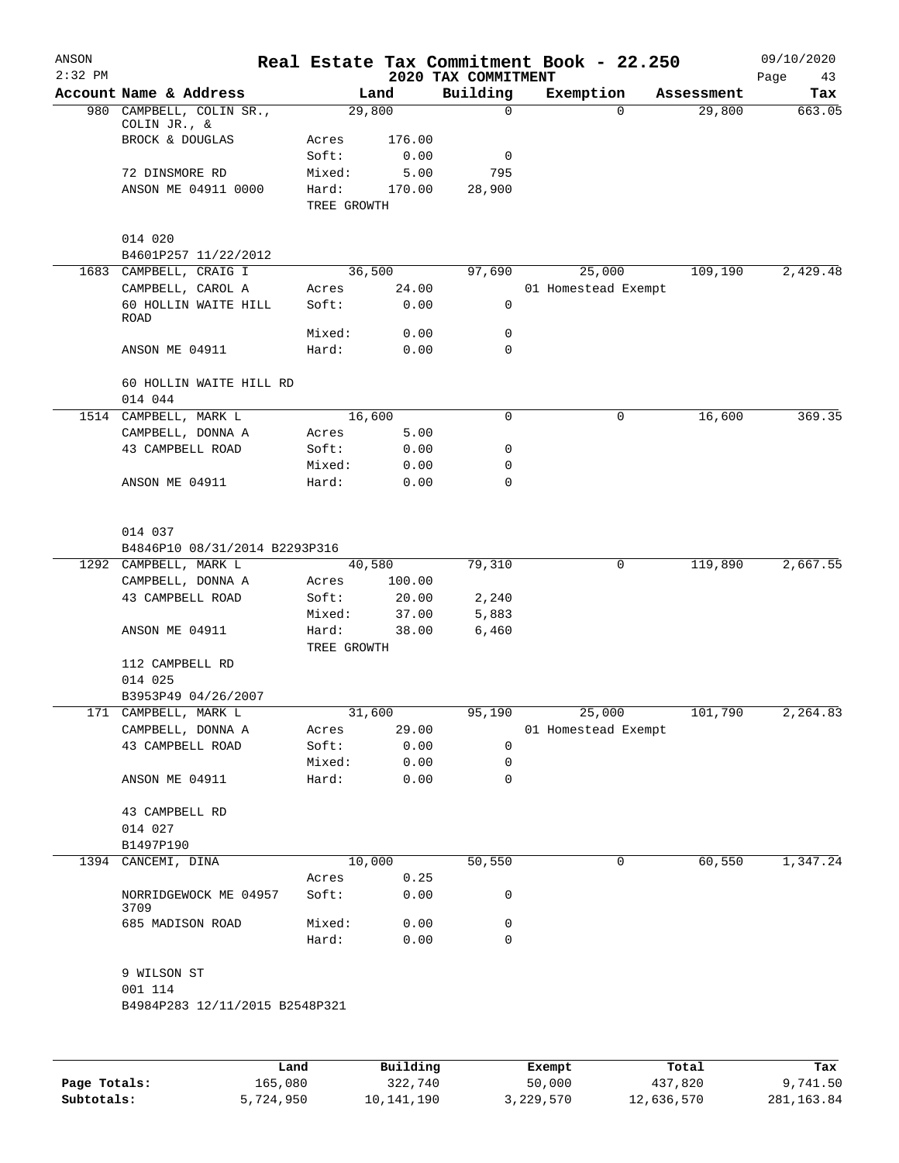| ANSON<br>$2:32$ PM |                                 |                      |          | 2020 TAX COMMITMENT | Real Estate Tax Commitment Book - 22.250 |             |            | 09/10/2020<br>Page<br>43 |
|--------------------|---------------------------------|----------------------|----------|---------------------|------------------------------------------|-------------|------------|--------------------------|
|                    | Account Name & Address          |                      | Land     | Building            | Exemption                                |             | Assessment | Tax                      |
|                    | 980 CAMPBELL, COLIN SR.,        | 29,800               |          | 0                   |                                          | $\Omega$    | 29,800     | 663.05                   |
|                    | COLIN JR., &<br>BROCK & DOUGLAS | Acres                | 176.00   |                     |                                          |             |            |                          |
|                    |                                 | Soft:                | 0.00     | 0                   |                                          |             |            |                          |
|                    | 72 DINSMORE RD                  | Mixed:               | 5.00     | 795                 |                                          |             |            |                          |
|                    | ANSON ME 04911 0000             | Hard:                | 170.00   | 28,900              |                                          |             |            |                          |
|                    |                                 | TREE GROWTH          |          |                     |                                          |             |            |                          |
|                    | 014 020                         |                      |          |                     |                                          |             |            |                          |
|                    | B4601P257 11/22/2012            |                      |          |                     |                                          |             |            |                          |
|                    | 1683 CAMPBELL, CRAIG I          | 36,500               |          | 97,690              | 25,000                                   |             | 109,190    | 2,429.48                 |
|                    | CAMPBELL, CAROL A               | Acres                | 24.00    |                     | 01 Homestead Exempt                      |             |            |                          |
|                    | 60 HOLLIN WAITE HILL<br>ROAD    | Soft:                | 0.00     | $\mathbf 0$         |                                          |             |            |                          |
|                    |                                 | Mixed:               | 0.00     | 0                   |                                          |             |            |                          |
|                    | ANSON ME 04911                  | Hard:                | 0.00     | 0                   |                                          |             |            |                          |
|                    | 60 HOLLIN WAITE HILL RD         |                      |          |                     |                                          |             |            |                          |
|                    | 014 044                         |                      |          |                     |                                          |             |            |                          |
|                    | 1514 CAMPBELL, MARK L           | 16,600               |          | 0                   |                                          | 0           | 16,600     | 369.35                   |
|                    | CAMPBELL, DONNA A               | Acres                | 5.00     |                     |                                          |             |            |                          |
|                    | 43 CAMPBELL ROAD                | Soft:                | 0.00     | 0                   |                                          |             |            |                          |
|                    |                                 | Mixed:               | 0.00     | 0                   |                                          |             |            |                          |
|                    | ANSON ME 04911                  | Hard:                | 0.00     | 0                   |                                          |             |            |                          |
|                    | 014 037                         |                      |          |                     |                                          |             |            |                          |
|                    | B4846P10 08/31/2014 B2293P316   |                      |          |                     |                                          |             |            |                          |
|                    | 1292 CAMPBELL, MARK L           | 40,580               |          | 79,310              |                                          | $\mathbf 0$ | 119,890    | 2,667.55                 |
|                    | CAMPBELL, DONNA A               | Acres                | 100.00   |                     |                                          |             |            |                          |
|                    | 43 CAMPBELL ROAD                | Soft:                | 20.00    | 2,240               |                                          |             |            |                          |
|                    |                                 | Mixed:               | 37.00    | 5,883               |                                          |             |            |                          |
|                    | ANSON ME 04911                  | Hard:<br>TREE GROWTH | 38.00    | 6,460               |                                          |             |            |                          |
|                    | 112 CAMPBELL RD                 |                      |          |                     |                                          |             |            |                          |
|                    | 014 025                         |                      |          |                     |                                          |             |            |                          |
|                    | B3953P49 04/26/2007             |                      |          |                     |                                          |             |            |                          |
|                    | 171 CAMPBELL, MARK L            | 31,600               |          | 95,190              | 25,000                                   |             | 101,790    | 2, 264.83                |
|                    | CAMPBELL, DONNA A               | Acres                | 29.00    |                     | 01 Homestead Exempt                      |             |            |                          |
|                    | 43 CAMPBELL ROAD                | Soft:                | 0.00     | 0                   |                                          |             |            |                          |
|                    |                                 | Mixed:               | 0.00     | 0                   |                                          |             |            |                          |
|                    | ANSON ME 04911                  | Hard:                | 0.00     | 0                   |                                          |             |            |                          |
|                    | 43 CAMPBELL RD                  |                      |          |                     |                                          |             |            |                          |
|                    | 014 027                         |                      |          |                     |                                          |             |            |                          |
|                    | B1497P190                       |                      |          |                     |                                          |             |            |                          |
|                    | 1394 CANCEMI, DINA              | 10,000               |          | 50,550              |                                          | 0           | 60,550     | 1,347.24                 |
|                    |                                 | Acres                | 0.25     |                     |                                          |             |            |                          |
|                    | NORRIDGEWOCK ME 04957<br>3709   | Soft:                | 0.00     | 0                   |                                          |             |            |                          |
|                    | 685 MADISON ROAD                | Mixed:               | 0.00     | 0                   |                                          |             |            |                          |
|                    |                                 | Hard:                | 0.00     | $\mathbf 0$         |                                          |             |            |                          |
|                    | 9 WILSON ST<br>001 114          |                      |          |                     |                                          |             |            |                          |
|                    | B4984P283 12/11/2015 B2548P321  |                      |          |                     |                                          |             |            |                          |
|                    |                                 |                      |          |                     |                                          |             |            |                          |
|                    |                                 | Land                 | Building |                     | Exempt                                   |             | Total      | Tax                      |

|              | Land      | Building   | Exempt    | Total      | тах        |
|--------------|-----------|------------|-----------|------------|------------|
| Page Totals: | 165,080   | 322,740    | 50,000    | 437,820    | 9,741.50   |
| Subtotals:   | 5,724,950 | 10,141,190 | 3,229,570 | 12,636,570 | 281,163.84 |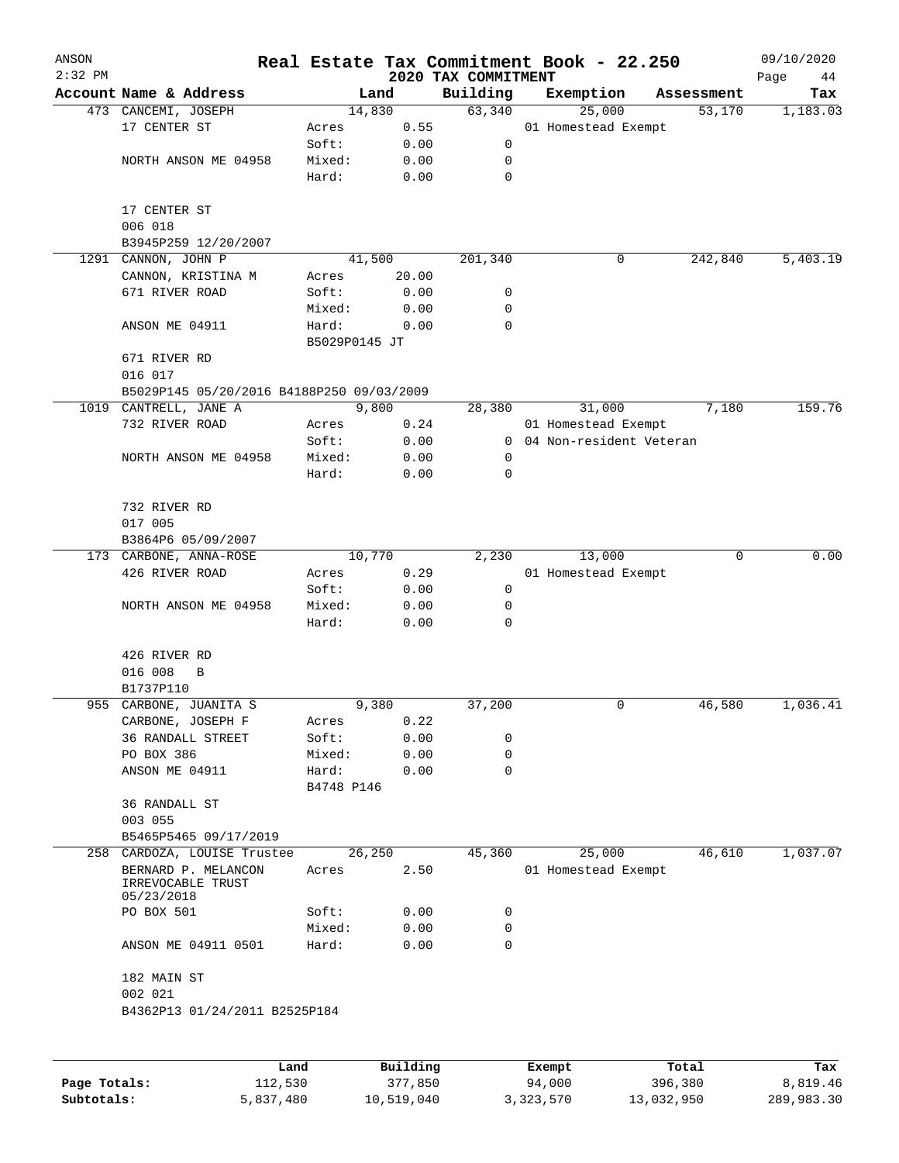| ANSON     |                                           |               |          |                                 | Real Estate Tax Commitment Book - 22.250 |                      | 09/10/2020      |
|-----------|-------------------------------------------|---------------|----------|---------------------------------|------------------------------------------|----------------------|-----------------|
| $2:32$ PM | Account Name & Address                    |               | Land     | 2020 TAX COMMITMENT<br>Building |                                          |                      | Page<br>44      |
|           | 473 CANCEMI, JOSEPH                       |               | 14,830   | 63,340                          | Exemption<br>25,000                      | Assessment<br>53,170 | Tax<br>1,183.03 |
|           | 17 CENTER ST                              | Acres         | 0.55     |                                 | 01 Homestead Exempt                      |                      |                 |
|           |                                           | Soft:         | 0.00     | 0                               |                                          |                      |                 |
|           | NORTH ANSON ME 04958                      | Mixed:        |          | 0                               |                                          |                      |                 |
|           |                                           |               | 0.00     | $\mathbf 0$                     |                                          |                      |                 |
|           |                                           | Hard:         | 0.00     |                                 |                                          |                      |                 |
|           | 17 CENTER ST                              |               |          |                                 |                                          |                      |                 |
|           | 006 018                                   |               |          |                                 |                                          |                      |                 |
|           | B3945P259 12/20/2007                      |               |          |                                 |                                          |                      |                 |
|           | 1291 CANNON, JOHN P                       |               | 41,500   | 201,340                         | 0                                        | 242,840              | 5,403.19        |
|           | CANNON, KRISTINA M                        | Acres         | 20.00    |                                 |                                          |                      |                 |
|           | 671 RIVER ROAD                            | Soft:         | 0.00     | 0                               |                                          |                      |                 |
|           |                                           | Mixed:        | 0.00     | 0                               |                                          |                      |                 |
|           | ANSON ME 04911                            | Hard:         | 0.00     | $\Omega$                        |                                          |                      |                 |
|           |                                           | B5029P0145 JT |          |                                 |                                          |                      |                 |
|           | 671 RIVER RD                              |               |          |                                 |                                          |                      |                 |
|           | 016 017                                   |               |          |                                 |                                          |                      |                 |
|           |                                           |               |          |                                 |                                          |                      |                 |
|           | B5029P145 05/20/2016 B4188P250 09/03/2009 |               |          |                                 |                                          |                      |                 |
|           | 1019 CANTRELL, JANE A                     |               | 9,800    | 28,380                          | 31,000                                   | 7,180                | 159.76          |
|           | 732 RIVER ROAD                            | Acres         | 0.24     |                                 | 01 Homestead Exempt                      |                      |                 |
|           |                                           | Soft:         | 0.00     | $\mathbf{0}$                    | 04 Non-resident Veteran                  |                      |                 |
|           | NORTH ANSON ME 04958                      | Mixed:        | 0.00     | 0                               |                                          |                      |                 |
|           |                                           | Hard:         | 0.00     | 0                               |                                          |                      |                 |
|           |                                           |               |          |                                 |                                          |                      |                 |
|           | 732 RIVER RD                              |               |          |                                 |                                          |                      |                 |
|           | 017 005                                   |               |          |                                 |                                          |                      |                 |
|           | B3864P6 05/09/2007                        |               |          |                                 |                                          |                      |                 |
|           | 173 CARBONE, ANNA-ROSE                    |               | 10,770   | 2,230                           | 13,000                                   | $\Omega$             | 0.00            |
|           | 426 RIVER ROAD                            | Acres         | 0.29     |                                 | 01 Homestead Exempt                      |                      |                 |
|           |                                           | Soft:         | 0.00     | 0                               |                                          |                      |                 |
|           | NORTH ANSON ME 04958                      | Mixed:        | 0.00     | 0                               |                                          |                      |                 |
|           |                                           | Hard:         | 0.00     | 0                               |                                          |                      |                 |
|           |                                           |               |          |                                 |                                          |                      |                 |
|           | 426 RIVER RD                              |               |          |                                 |                                          |                      |                 |
|           | 016 008<br>B                              |               |          |                                 |                                          |                      |                 |
|           | B1737P110                                 |               |          |                                 |                                          |                      |                 |
|           | 955 CARBONE, JUANITA S                    |               | 9,380    | 37,200                          | 0                                        | 46,580               | 1,036.41        |
|           | CARBONE, JOSEPH F                         | Acres         | 0.22     |                                 |                                          |                      |                 |
|           | <b>36 RANDALL STREET</b>                  | Soft:         | 0.00     | 0                               |                                          |                      |                 |
|           | PO BOX 386                                | Mixed:        | 0.00     | 0                               |                                          |                      |                 |
|           | ANSON ME 04911                            | Hard:         | 0.00     | 0                               |                                          |                      |                 |
|           |                                           | B4748 P146    |          |                                 |                                          |                      |                 |
|           | 36 RANDALL ST                             |               |          |                                 |                                          |                      |                 |
|           | 003 055                                   |               |          |                                 |                                          |                      |                 |
|           | B5465P5465 09/17/2019                     |               |          |                                 |                                          |                      |                 |
| 258       | CARDOZA, LOUISE Trustee                   |               | 26,250   | 45,360                          | 25,000                                   | 46,610               | 1,037.07        |
|           | BERNARD P. MELANCON                       | Acres         | 2.50     |                                 | 01 Homestead Exempt                      |                      |                 |
|           | IRREVOCABLE TRUST                         |               |          |                                 |                                          |                      |                 |
|           | 05/23/2018                                |               |          |                                 |                                          |                      |                 |
|           | PO BOX 501                                | Soft:         | 0.00     | 0                               |                                          |                      |                 |
|           |                                           | Mixed:        | 0.00     | 0                               |                                          |                      |                 |
|           | ANSON ME 04911 0501                       | Hard:         | 0.00     | 0                               |                                          |                      |                 |
|           |                                           |               |          |                                 |                                          |                      |                 |
|           | 182 MAIN ST                               |               |          |                                 |                                          |                      |                 |
|           | 002 021                                   |               |          |                                 |                                          |                      |                 |
|           | B4362P13 01/24/2011 B2525P184             |               |          |                                 |                                          |                      |                 |
|           |                                           |               |          |                                 |                                          |                      |                 |
|           |                                           |               |          |                                 |                                          |                      |                 |
|           | Land                                      |               | Building |                                 | Exempt                                   | Total                | Tax             |

|              | Land      | Building   | Exempt    | Total      | Tax        |
|--------------|-----------|------------|-----------|------------|------------|
| Page Totals: | 112,530   | 377,850    | 94,000    | 396,380    | 8,819.46   |
| Subtotals:   | 5,837,480 | 10,519,040 | 3,323,570 | 13,032,950 | 289,983.30 |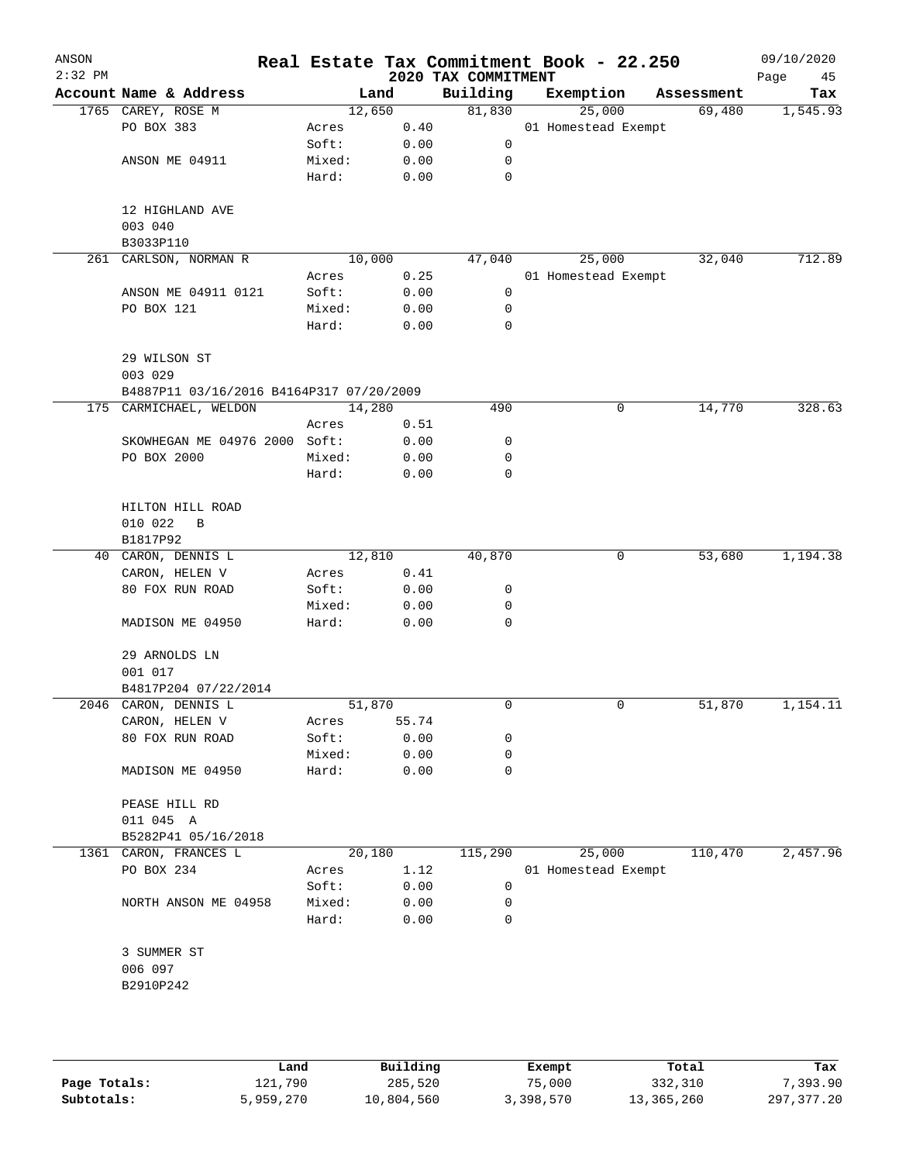| ANSON<br>$2:32$ PM |                                          |        |        | 2020 TAX COMMITMENT | Real Estate Tax Commitment Book - 22.250 |            | 09/10/2020<br>Page<br>45 |
|--------------------|------------------------------------------|--------|--------|---------------------|------------------------------------------|------------|--------------------------|
|                    | Account Name & Address                   |        | Land   | Building            | Exemption                                | Assessment | Tax                      |
|                    | 1765 CAREY, ROSE M                       |        | 12,650 | 81,830              | 25,000                                   | 69,480     | 1,545.93                 |
|                    | PO BOX 383                               | Acres  | 0.40   |                     | 01 Homestead Exempt                      |            |                          |
|                    |                                          | Soft:  | 0.00   | 0                   |                                          |            |                          |
|                    | ANSON ME 04911                           | Mixed: | 0.00   | 0                   |                                          |            |                          |
|                    |                                          | Hard:  | 0.00   | $\mathbf 0$         |                                          |            |                          |
|                    | 12 HIGHLAND AVE                          |        |        |                     |                                          |            |                          |
|                    | 003 040                                  |        |        |                     |                                          |            |                          |
|                    | B3033P110<br>261 CARLSON, NORMAN R       |        | 10,000 | 47,040              | 25,000                                   | 32,040     | 712.89                   |
|                    |                                          | Acres  | 0.25   |                     | 01 Homestead Exempt                      |            |                          |
|                    | ANSON ME 04911 0121                      | Soft:  | 0.00   | 0                   |                                          |            |                          |
|                    | PO BOX 121                               | Mixed: | 0.00   | 0                   |                                          |            |                          |
|                    |                                          | Hard:  | 0.00   | 0                   |                                          |            |                          |
|                    | 29 WILSON ST                             |        |        |                     |                                          |            |                          |
|                    | 003 029                                  |        |        |                     |                                          |            |                          |
|                    | B4887P11 03/16/2016 B4164P317 07/20/2009 |        |        |                     |                                          |            |                          |
|                    | 175 CARMICHAEL, WELDON                   |        | 14,280 | 490                 | 0                                        | 14,770     | 328.63                   |
|                    |                                          | Acres  | 0.51   |                     |                                          |            |                          |
|                    | SKOWHEGAN ME 04976 2000 Soft:            |        | 0.00   | 0                   |                                          |            |                          |
|                    | PO BOX 2000                              | Mixed: | 0.00   | 0                   |                                          |            |                          |
|                    |                                          | Hard:  | 0.00   | 0                   |                                          |            |                          |
|                    | HILTON HILL ROAD                         |        |        |                     |                                          |            |                          |
|                    | 010 022<br>B                             |        |        |                     |                                          |            |                          |
|                    | B1817P92                                 |        |        |                     |                                          |            |                          |
|                    | 40 CARON, DENNIS L                       |        | 12,810 | 40,870              | 0                                        | 53,680     | 1,194.38                 |
|                    | CARON, HELEN V                           | Acres  | 0.41   |                     |                                          |            |                          |
|                    | 80 FOX RUN ROAD                          | Soft:  | 0.00   | 0                   |                                          |            |                          |
|                    |                                          | Mixed: | 0.00   | 0                   |                                          |            |                          |
|                    | MADISON ME 04950                         | Hard:  | 0.00   | 0                   |                                          |            |                          |
|                    | 29 ARNOLDS LN                            |        |        |                     |                                          |            |                          |
|                    | 001 017                                  |        |        |                     |                                          |            |                          |
|                    | B4817P204 07/22/2014                     |        |        |                     |                                          |            |                          |
|                    | 2046 CARON, DENNIS L                     |        | 51,870 | 0                   | 0                                        | 51,870     | 1,154.11                 |
|                    | CARON, HELEN V                           | Acres  | 55.74  |                     |                                          |            |                          |
|                    | 80 FOX RUN ROAD                          | Soft:  | 0.00   | 0                   |                                          |            |                          |
|                    |                                          | Mixed: | 0.00   | 0                   |                                          |            |                          |
|                    | MADISON ME 04950                         | Hard:  | 0.00   | 0                   |                                          |            |                          |
|                    | PEASE HILL RD                            |        |        |                     |                                          |            |                          |
|                    | 011 045 A                                |        |        |                     |                                          |            |                          |
|                    | B5282P41 05/16/2018                      |        |        |                     |                                          |            |                          |
|                    | 1361 CARON, FRANCES L                    |        | 20,180 | 115,290             | 25,000                                   | 110,470    | 2,457.96                 |
|                    | PO BOX 234                               | Acres  | 1.12   |                     | 01 Homestead Exempt                      |            |                          |
|                    |                                          | Soft:  | 0.00   | 0                   |                                          |            |                          |
|                    | NORTH ANSON ME 04958                     | Mixed: | 0.00   | 0                   |                                          |            |                          |
|                    |                                          | Hard:  | 0.00   | 0                   |                                          |            |                          |
|                    | 3 SUMMER ST                              |        |        |                     |                                          |            |                          |
|                    | 006 097                                  |        |        |                     |                                          |            |                          |
|                    | B2910P242                                |        |        |                     |                                          |            |                          |
|                    |                                          |        |        |                     |                                          |            |                          |
|                    |                                          |        |        |                     |                                          |            |                          |

|              | Land      | Building   | Exempt    | Total      | Tax        |
|--------------|-----------|------------|-----------|------------|------------|
| Page Totals: | 121,790   | 285,520    | 75,000    | 332,310    | 7,393.90   |
| Subtotals:   | 5,959,270 | 10,804,560 | 3,398,570 | 13,365,260 | 297,377.20 |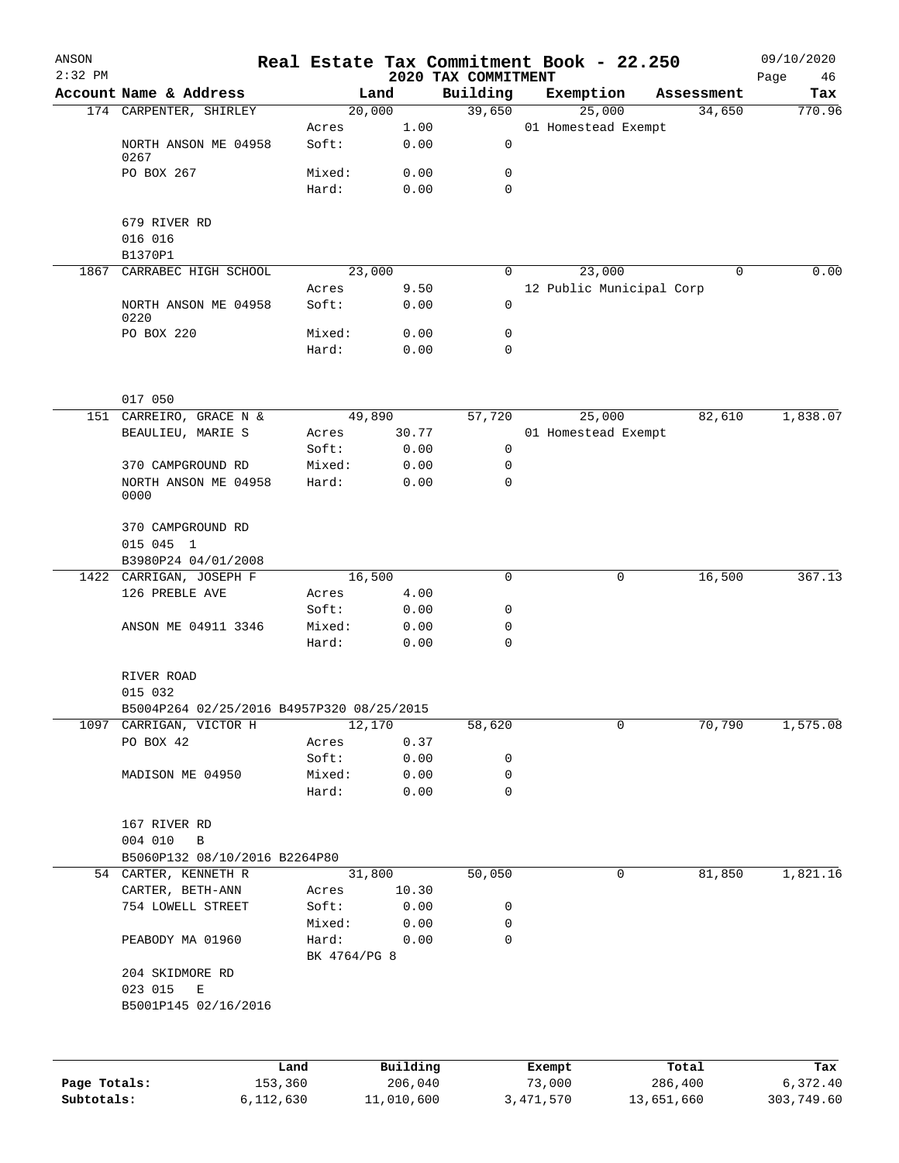| ANSON<br>$2:32$ PM |                                                |                       |                |                                 | Real Estate Tax Commitment Book - 22.250 |   |            | 09/10/2020        |
|--------------------|------------------------------------------------|-----------------------|----------------|---------------------------------|------------------------------------------|---|------------|-------------------|
|                    | Account Name & Address                         |                       | Land           | 2020 TAX COMMITMENT<br>Building | Exemption                                |   | Assessment | Page<br>46<br>Tax |
|                    | 174 CARPENTER, SHIRLEY                         | 20,000                |                | 39,650                          | 25,000                                   |   | 34,650     | 770.96            |
|                    |                                                | Acres                 | 1.00           |                                 | 01 Homestead Exempt                      |   |            |                   |
|                    | NORTH ANSON ME 04958<br>0267                   | Soft:                 | 0.00           | 0                               |                                          |   |            |                   |
|                    | PO BOX 267                                     | Mixed:                | 0.00           | 0                               |                                          |   |            |                   |
|                    |                                                | Hard:                 | 0.00           | 0                               |                                          |   |            |                   |
|                    | 679 RIVER RD                                   |                       |                |                                 |                                          |   |            |                   |
|                    | 016 016                                        |                       |                |                                 |                                          |   |            |                   |
| 1867               | B1370P1<br>CARRABEC HIGH SCHOOL                |                       | 23,000         | 0                               | 23,000                                   |   | $\Omega$   | 0.00              |
|                    |                                                | Acres                 | 9.50           |                                 | 12 Public Municipal Corp                 |   |            |                   |
|                    | NORTH ANSON ME 04958<br>0220                   | Soft:                 | 0.00           | 0                               |                                          |   |            |                   |
|                    | PO BOX 220                                     | Mixed:                | 0.00           | 0                               |                                          |   |            |                   |
|                    |                                                | Hard:                 | 0.00           | $\mathbf 0$                     |                                          |   |            |                   |
|                    | 017 050                                        |                       |                |                                 |                                          |   |            |                   |
|                    | 151 CARREIRO, GRACE N &                        |                       | 49,890         | 57,720                          | 25,000                                   |   | 82,610     | 1,838.07          |
|                    | BEAULIEU, MARIE S                              | Acres                 | 30.77          |                                 | 01 Homestead Exempt                      |   |            |                   |
|                    |                                                | Soft:                 | 0.00           | 0                               |                                          |   |            |                   |
|                    | 370 CAMPGROUND RD                              | Mixed:                | 0.00           | 0                               |                                          |   |            |                   |
|                    | NORTH ANSON ME 04958<br>0000                   | Hard:                 | 0.00           | $\mathbf 0$                     |                                          |   |            |                   |
|                    | 370 CAMPGROUND RD                              |                       |                |                                 |                                          |   |            |                   |
|                    | 015 045 1                                      |                       |                |                                 |                                          |   |            |                   |
|                    | B3980P24 04/01/2008<br>1422 CARRIGAN, JOSEPH F | 16,500                |                | $\mathbf 0$                     |                                          | 0 | 16,500     | 367.13            |
|                    | 126 PREBLE AVE                                 | Acres                 | 4.00           |                                 |                                          |   |            |                   |
|                    |                                                | Soft:                 | 0.00           | 0                               |                                          |   |            |                   |
|                    | ANSON ME 04911 3346                            | Mixed:                | 0.00           | 0                               |                                          |   |            |                   |
|                    |                                                | Hard:                 | 0.00           | $\mathbf 0$                     |                                          |   |            |                   |
|                    | RIVER ROAD                                     |                       |                |                                 |                                          |   |            |                   |
|                    | 015 032                                        |                       |                |                                 |                                          |   |            |                   |
|                    | B5004P264 02/25/2016 B4957P320 08/25/2015      |                       |                |                                 |                                          |   |            |                   |
| 1097               | CARRIGAN, VICTOR H<br>PO BOX 42                | Acres                 | 12,170<br>0.37 | 58,620                          |                                          | 0 | 70,790     | 1,575.08          |
|                    |                                                | Soft:                 | 0.00           | 0                               |                                          |   |            |                   |
|                    | MADISON ME 04950                               | Mixed:                | 0.00           | 0                               |                                          |   |            |                   |
|                    |                                                | Hard:                 | 0.00           | 0                               |                                          |   |            |                   |
|                    | 167 RIVER RD                                   |                       |                |                                 |                                          |   |            |                   |
|                    | 004 010<br>B                                   |                       |                |                                 |                                          |   |            |                   |
|                    | B5060P132 08/10/2016 B2264P80                  |                       |                |                                 |                                          |   |            |                   |
|                    | 54 CARTER, KENNETH R                           |                       | 31,800         | 50,050                          |                                          | 0 | 81,850     | 1,821.16          |
|                    | CARTER, BETH-ANN                               | Acres                 | 10.30          |                                 |                                          |   |            |                   |
|                    | 754 LOWELL STREET                              | Soft:<br>Mixed:       | 0.00<br>0.00   | 0<br>0                          |                                          |   |            |                   |
|                    | PEABODY MA 01960                               | Hard:<br>BK 4764/PG 8 | 0.00           | 0                               |                                          |   |            |                   |
|                    | 204 SKIDMORE RD                                |                       |                |                                 |                                          |   |            |                   |
|                    | 023 015<br>E<br>B5001P145 02/16/2016           |                       |                |                                 |                                          |   |            |                   |
|                    |                                                |                       |                |                                 |                                          |   |            |                   |
|                    | Land                                           |                       | Building       |                                 | Exempt                                   |   | Total      | Tax               |
| Page Totals:       | 153,360                                        |                       | 206,040        |                                 | 73,000                                   |   | 286,400    | 6,372.40          |

**Subtotals:** 6,112,630 11,010,600 3,471,570 13,651,660 303,749.60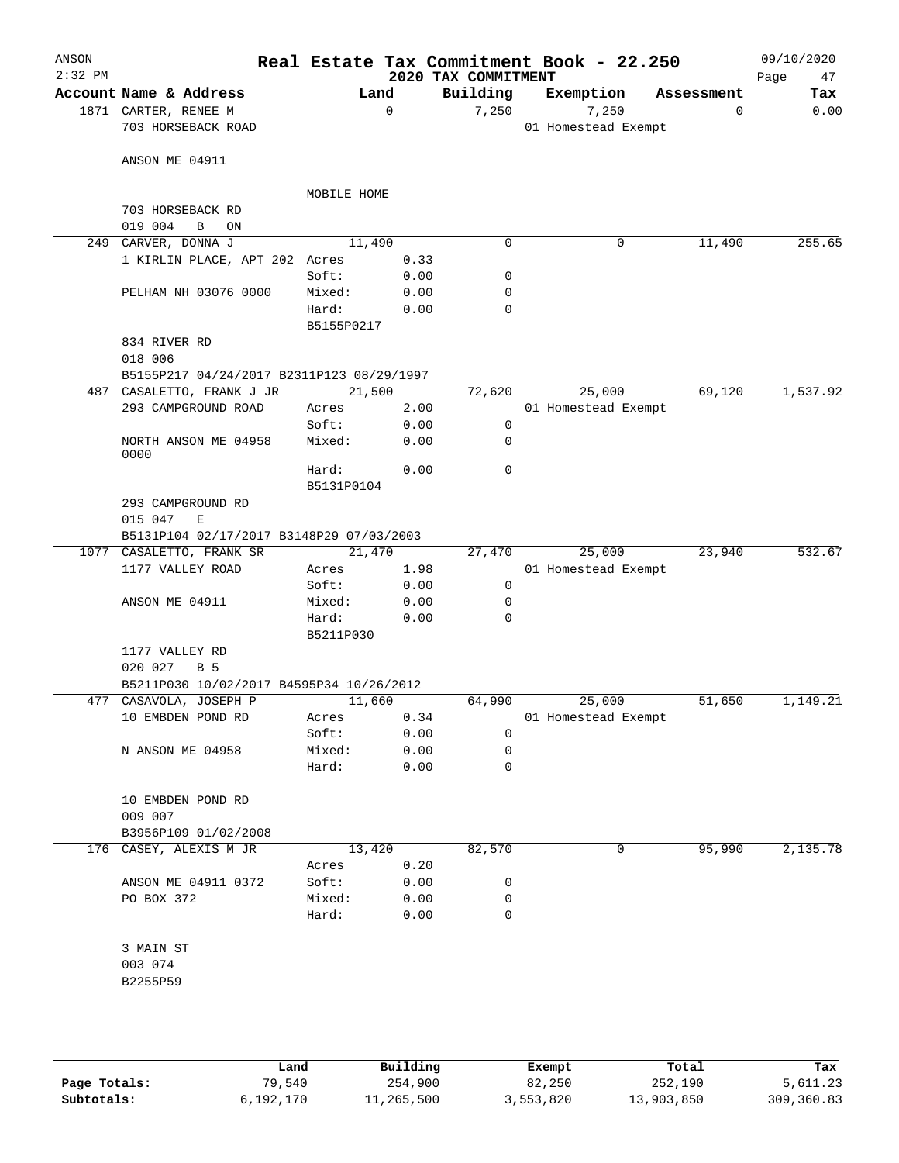| ANSON<br>$2:32$ PM |                                           |             |             | 2020 TAX COMMITMENT | Real Estate Tax Commitment Book - 22.250 |             | 09/10/2020<br>Page<br>47 |
|--------------------|-------------------------------------------|-------------|-------------|---------------------|------------------------------------------|-------------|--------------------------|
|                    | Account Name & Address                    |             | Land        | Building            | Exemption                                | Assessment  | Tax                      |
|                    | 1871 CARTER, RENEE M                      |             | $\mathbf 0$ | 7,250               | 7,250                                    | $\mathbf 0$ | 0.00                     |
|                    | 703 HORSEBACK ROAD                        |             |             |                     | 01 Homestead Exempt                      |             |                          |
|                    |                                           |             |             |                     |                                          |             |                          |
|                    | ANSON ME 04911                            |             |             |                     |                                          |             |                          |
|                    |                                           | MOBILE HOME |             |                     |                                          |             |                          |
|                    | 703 HORSEBACK RD                          |             |             |                     |                                          |             |                          |
|                    | 019 004<br>B<br>ON                        |             |             |                     |                                          |             |                          |
| 249                | CARVER, DONNA J                           | 11,490      |             | $\mathbf 0$         | 0                                        | 11,490      | 255.65                   |
|                    | 1 KIRLIN PLACE, APT 202 Acres             |             | 0.33        |                     |                                          |             |                          |
|                    |                                           | Soft:       | 0.00        | 0                   |                                          |             |                          |
|                    | PELHAM NH 03076 0000                      | Mixed:      | 0.00        | 0                   |                                          |             |                          |
|                    |                                           | Hard:       | 0.00        | 0                   |                                          |             |                          |
|                    |                                           | B5155P0217  |             |                     |                                          |             |                          |
|                    | 834 RIVER RD                              |             |             |                     |                                          |             |                          |
|                    | 018 006                                   |             |             |                     |                                          |             |                          |
|                    | B5155P217 04/24/2017 B2311P123 08/29/1997 |             |             |                     |                                          |             |                          |
|                    | 487 CASALETTO, FRANK J JR                 | 21,500      |             | 72,620              | 25,000                                   | 69,120      | 1,537.92                 |
|                    | 293 CAMPGROUND ROAD                       | Acres       | 2.00        |                     | 01 Homestead Exempt                      |             |                          |
|                    |                                           | Soft:       | 0.00        | 0                   |                                          |             |                          |
|                    | NORTH ANSON ME 04958                      | Mixed:      | 0.00        | 0                   |                                          |             |                          |
|                    | 0000                                      | Hard:       | 0.00        | $\mathbf 0$         |                                          |             |                          |
|                    |                                           | B5131P0104  |             |                     |                                          |             |                          |
|                    | 293 CAMPGROUND RD                         |             |             |                     |                                          |             |                          |
|                    | 015 047<br>Е                              |             |             |                     |                                          |             |                          |
|                    | B5131P104 02/17/2017 B3148P29 07/03/2003  |             |             |                     |                                          |             |                          |
|                    | 1077 CASALETTO, FRANK SR                  | 21,470      |             | 27,470              | 25,000                                   | 23,940      | 532.67                   |
|                    | 1177 VALLEY ROAD                          | Acres       | 1.98        |                     | 01 Homestead Exempt                      |             |                          |
|                    |                                           | Soft:       | 0.00        | $\mathbf 0$         |                                          |             |                          |
|                    | ANSON ME 04911                            | Mixed:      | 0.00        | 0                   |                                          |             |                          |
|                    |                                           | Hard:       | 0.00        | 0                   |                                          |             |                          |
|                    |                                           | B5211P030   |             |                     |                                          |             |                          |
|                    | 1177 VALLEY RD                            |             |             |                     |                                          |             |                          |
|                    | 020 027<br>B 5                            |             |             |                     |                                          |             |                          |
|                    | B5211P030 10/02/2017 B4595P34 10/26/2012  |             |             |                     |                                          |             |                          |
|                    | 477 CASAVOLA, JOSEPH P                    | 11,660      |             | 64,990              | 25,000                                   | 51,650      | 1,149.21                 |
|                    | 10 EMBDEN POND RD                         | Acres       | 0.34        |                     | 01 Homestead Exempt                      |             |                          |
|                    |                                           | Soft:       | 0.00        | 0                   |                                          |             |                          |
|                    | N ANSON ME 04958                          | Mixed:      | 0.00        | 0                   |                                          |             |                          |
|                    |                                           | Hard:       | 0.00        | $\mathbf 0$         |                                          |             |                          |
|                    | 10 EMBDEN POND RD                         |             |             |                     |                                          |             |                          |
|                    | 009 007                                   |             |             |                     |                                          |             |                          |
|                    | B3956P109 01/02/2008                      |             |             |                     |                                          |             |                          |
|                    | 176 CASEY, ALEXIS M JR                    | 13,420      |             | 82,570              | 0                                        | 95,990      | 2,135.78                 |
|                    |                                           | Acres       | 0.20        |                     |                                          |             |                          |
|                    | ANSON ME 04911 0372                       | Soft:       | 0.00        | 0                   |                                          |             |                          |
|                    | PO BOX 372                                | Mixed:      | 0.00        | 0                   |                                          |             |                          |
|                    |                                           | Hard:       | 0.00        | $\mathbf 0$         |                                          |             |                          |
|                    |                                           |             |             |                     |                                          |             |                          |
|                    | 3 MAIN ST                                 |             |             |                     |                                          |             |                          |
|                    | 003 074                                   |             |             |                     |                                          |             |                          |
|                    | B2255P59                                  |             |             |                     |                                          |             |                          |
|                    |                                           |             |             |                     |                                          |             |                          |
|                    |                                           |             |             |                     |                                          |             |                          |
|                    |                                           |             |             |                     |                                          |             |                          |

|              | Land      | Building   | Exempt    | Total      | Tax        |
|--------------|-----------|------------|-----------|------------|------------|
| Page Totals: | 79,540    | 254,900    | 82,250    | 252,190    | 5,611.23   |
| Subtotals:   | 6,192,170 | 11,265,500 | 3,553,820 | 13,903,850 | 309,360.83 |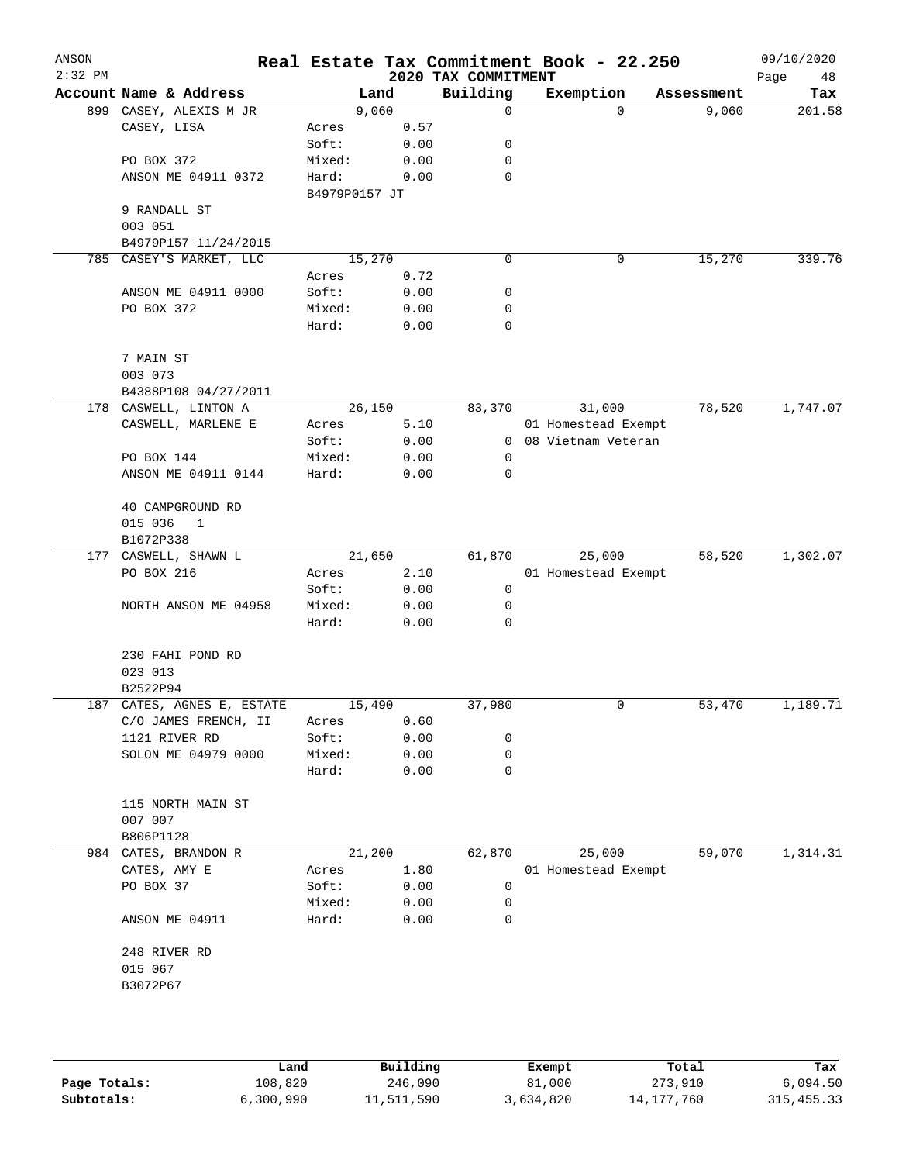| ANSON<br>$2:32$ PM |                            |               |       | 2020 TAX COMMITMENT | Real Estate Tax Commitment Book - 22.250 |            | 09/10/2020<br>Page<br>48 |
|--------------------|----------------------------|---------------|-------|---------------------|------------------------------------------|------------|--------------------------|
|                    | Account Name & Address     |               | Land  | Building            | Exemption                                | Assessment | Tax                      |
|                    | 899 CASEY, ALEXIS M JR     |               | 9,060 | 0                   | $\Omega$                                 | 9,060      | 201.58                   |
|                    | CASEY, LISA                | Acres         | 0.57  |                     |                                          |            |                          |
|                    |                            | Soft:         | 0.00  | 0                   |                                          |            |                          |
|                    | PO BOX 372                 | Mixed:        | 0.00  | $\mathbf 0$         |                                          |            |                          |
|                    | ANSON ME 04911 0372        | Hard:         | 0.00  | 0                   |                                          |            |                          |
|                    |                            | B4979P0157 JT |       |                     |                                          |            |                          |
|                    | 9 RANDALL ST               |               |       |                     |                                          |            |                          |
|                    | 003 051                    |               |       |                     |                                          |            |                          |
|                    | B4979P157 11/24/2015       |               |       |                     |                                          |            |                          |
| 785                | CASEY'S MARKET, LLC        | 15,270        |       | 0                   | 0                                        | 15,270     | 339.76                   |
|                    |                            | Acres         | 0.72  |                     |                                          |            |                          |
|                    | ANSON ME 04911 0000        | Soft:         | 0.00  | 0                   |                                          |            |                          |
|                    | PO BOX 372                 | Mixed:        | 0.00  | 0                   |                                          |            |                          |
|                    |                            | Hard:         | 0.00  | 0                   |                                          |            |                          |
|                    | 7 MAIN ST                  |               |       |                     |                                          |            |                          |
|                    | 003 073                    |               |       |                     |                                          |            |                          |
|                    | B4388P108 04/27/2011       |               |       |                     |                                          |            |                          |
|                    | 178 CASWELL, LINTON A      | 26,150        |       | 83,370              | 31,000                                   | 78,520     | 1,747.07                 |
|                    | CASWELL, MARLENE E         | Acres         | 5.10  |                     | 01 Homestead Exempt                      |            |                          |
|                    |                            | Soft:         | 0.00  | 0                   | 08 Vietnam Veteran                       |            |                          |
|                    | PO BOX 144                 | Mixed:        | 0.00  | 0                   |                                          |            |                          |
|                    | ANSON ME 04911 0144        | Hard:         | 0.00  | 0                   |                                          |            |                          |
|                    | 40 CAMPGROUND RD           |               |       |                     |                                          |            |                          |
|                    | 015 036<br>$\mathbf{1}$    |               |       |                     |                                          |            |                          |
|                    | B1072P338                  |               |       |                     |                                          |            |                          |
|                    | 177 CASWELL, SHAWN L       | 21,650        |       | 61,870              | 25,000                                   | 58,520     | 1,302.07                 |
|                    | PO BOX 216                 | Acres         | 2.10  |                     | 01 Homestead Exempt                      |            |                          |
|                    |                            | Soft:         | 0.00  | 0                   |                                          |            |                          |
|                    | NORTH ANSON ME 04958       | Mixed:        | 0.00  | 0                   |                                          |            |                          |
|                    |                            | Hard:         | 0.00  | 0                   |                                          |            |                          |
|                    | 230 FAHI POND RD           |               |       |                     |                                          |            |                          |
|                    | 023 013                    |               |       |                     |                                          |            |                          |
|                    | B2522P94                   |               |       |                     |                                          |            |                          |
|                    | 187 CATES, AGNES E, ESTATE | 15,490        |       | 37,980              | 0                                        | 53,470     | 1,189.71                 |
|                    | C/O JAMES FRENCH, II       | Acres         | 0.60  |                     |                                          |            |                          |
|                    | 1121 RIVER RD              | Soft:         | 0.00  | 0                   |                                          |            |                          |
|                    | SOLON ME 04979 0000        | Mixed:        | 0.00  | 0                   |                                          |            |                          |
|                    |                            | Hard:         | 0.00  | 0                   |                                          |            |                          |
|                    | 115 NORTH MAIN ST          |               |       |                     |                                          |            |                          |
|                    | 007 007                    |               |       |                     |                                          |            |                          |
|                    | B806P1128                  |               |       |                     |                                          |            |                          |
| 984                | CATES, BRANDON R           | 21,200        |       | 62,870              | 25,000                                   | 59,070     | 1,314.31                 |
|                    | CATES, AMY E               | Acres         | 1.80  |                     | 01 Homestead Exempt                      |            |                          |
|                    | PO BOX 37                  | Soft:         | 0.00  | 0                   |                                          |            |                          |
|                    |                            | Mixed:        | 0.00  | 0                   |                                          |            |                          |
|                    | ANSON ME 04911             | Hard:         | 0.00  | 0                   |                                          |            |                          |
|                    | 248 RIVER RD               |               |       |                     |                                          |            |                          |
|                    | 015 067                    |               |       |                     |                                          |            |                          |
|                    | B3072P67                   |               |       |                     |                                          |            |                          |
|                    |                            |               |       |                     |                                          |            |                          |
|                    |                            |               |       |                     |                                          |            |                          |
|                    |                            |               |       |                     |                                          |            |                          |

|              | Land      | Building   | Exempt    | Total      | Tax          |
|--------------|-----------|------------|-----------|------------|--------------|
| Page Totals: | 108,820   | 246,090    | 81,000    | 273,910    | 6,094.50     |
| Subtotals:   | 6,300,990 | 11,511,590 | 3,634,820 | 14,177,760 | 315, 455. 33 |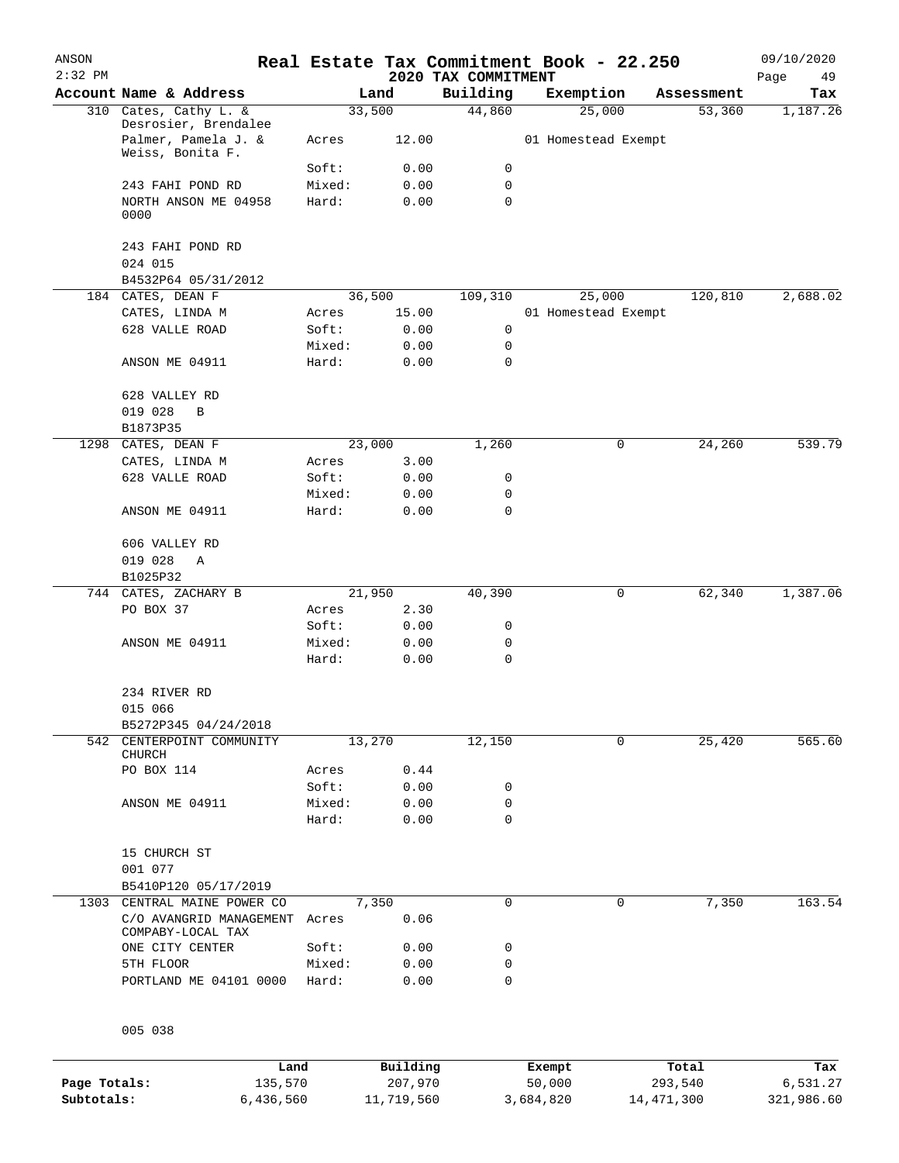| ANSON<br>$2:32$ PM |                                                    |                 |              | 2020 TAX COMMITMENT | Real Estate Tax Commitment Book - 22.250 |   |            | 09/10/2020<br>Page<br>49 |
|--------------------|----------------------------------------------------|-----------------|--------------|---------------------|------------------------------------------|---|------------|--------------------------|
|                    | Account Name & Address                             |                 | Land         | Building            | Exemption                                |   | Assessment | Tax                      |
|                    | 310 Cates, Cathy L. &<br>Desrosier, Brendalee      | 33,500          |              | 44,860              | 25,000                                   |   | 53,360     | 1,187.26                 |
|                    | Palmer, Pamela J. &<br>Weiss, Bonita F.            | Acres           | 12.00        |                     | 01 Homestead Exempt                      |   |            |                          |
|                    |                                                    | Soft:           | 0.00         | 0                   |                                          |   |            |                          |
|                    | 243 FAHI POND RD                                   | Mixed:          | 0.00         | 0                   |                                          |   |            |                          |
|                    | NORTH ANSON ME 04958<br>0000                       | Hard:           | 0.00         | $\mathbf 0$         |                                          |   |            |                          |
|                    | 243 FAHI POND RD                                   |                 |              |                     |                                          |   |            |                          |
|                    | 024 015<br>B4532P64 05/31/2012                     |                 |              |                     |                                          |   |            |                          |
|                    | 184 CATES, DEAN F                                  | 36,500          |              | 109,310             | 25,000                                   |   | 120,810    | 2,688.02                 |
|                    | CATES, LINDA M                                     | Acres           | 15.00        |                     | 01 Homestead Exempt                      |   |            |                          |
|                    | 628 VALLE ROAD                                     | Soft:           | 0.00         | 0                   |                                          |   |            |                          |
|                    |                                                    | Mixed:          | 0.00         | 0                   |                                          |   |            |                          |
|                    | ANSON ME 04911                                     | Hard:           | 0.00         | 0                   |                                          |   |            |                          |
|                    | 628 VALLEY RD                                      |                 |              |                     |                                          |   |            |                          |
|                    | 019 028<br>$\, {\bf B}$                            |                 |              |                     |                                          |   |            |                          |
|                    | B1873P35                                           |                 |              |                     |                                          |   |            |                          |
| 1298               | CATES, DEAN F                                      | 23,000          |              | 1,260               |                                          | 0 | 24,260     | 539.79                   |
|                    | CATES, LINDA M                                     | Acres           | 3.00         |                     |                                          |   |            |                          |
|                    | 628 VALLE ROAD                                     | Soft:           | 0.00         | 0                   |                                          |   |            |                          |
|                    | ANSON ME 04911                                     | Mixed:<br>Hard: | 0.00<br>0.00 | 0<br>0              |                                          |   |            |                          |
|                    | 606 VALLEY RD<br>019 028<br>Α                      |                 |              |                     |                                          |   |            |                          |
|                    | B1025P32                                           |                 |              |                     |                                          |   |            |                          |
|                    | 744 CATES, ZACHARY B                               | 21,950          |              | 40,390              |                                          | 0 | 62,340     | 1,387.06                 |
|                    | PO BOX 37                                          | Acres           | 2.30         |                     |                                          |   |            |                          |
|                    |                                                    | Soft:           | 0.00         | 0                   |                                          |   |            |                          |
|                    | ANSON ME 04911                                     | Mixed:          | 0.00         | 0                   |                                          |   |            |                          |
|                    |                                                    | Hard:           | 0.00         | $\mathbf 0$         |                                          |   |            |                          |
|                    | 234 RIVER RD<br>015 066                            |                 |              |                     |                                          |   |            |                          |
|                    | B5272P345 04/24/2018                               |                 |              |                     |                                          |   |            |                          |
|                    | 542 CENTERPOINT COMMUNITY                          | 13,270          |              | 12,150              |                                          | 0 | 25,420     | 565.60                   |
|                    | CHURCH                                             |                 |              |                     |                                          |   |            |                          |
|                    | PO BOX 114                                         | Acres           | 0.44         |                     |                                          |   |            |                          |
|                    |                                                    | Soft:           | 0.00         | 0                   |                                          |   |            |                          |
|                    | ANSON ME 04911                                     | Mixed:<br>Hard: | 0.00<br>0.00 | 0<br>0              |                                          |   |            |                          |
|                    | 15 CHURCH ST                                       |                 |              |                     |                                          |   |            |                          |
|                    | 001 077                                            |                 |              |                     |                                          |   |            |                          |
|                    | B5410P120 05/17/2019                               |                 |              |                     |                                          |   |            |                          |
|                    | 1303 CENTRAL MAINE POWER CO                        | 7,350           |              | 0                   |                                          | 0 | 7,350      | 163.54                   |
|                    | C/O AVANGRID MANAGEMENT Acres<br>COMPABY-LOCAL TAX |                 | 0.06         |                     |                                          |   |            |                          |
|                    | ONE CITY CENTER                                    | Soft:           | 0.00         | 0                   |                                          |   |            |                          |
|                    | 5TH FLOOR                                          | Mixed:          | 0.00         | 0                   |                                          |   |            |                          |
|                    | PORTLAND ME 04101 0000                             | Hard:           | 0.00         | 0                   |                                          |   |            |                          |
|                    |                                                    |                 |              |                     |                                          |   |            |                          |

005 038

|              | Land      | Building   | Exempt    | Total        | Tax        |
|--------------|-----------|------------|-----------|--------------|------------|
| Page Totals: | 135,570   | 207,970    | 50,000    | 293,540      | 6,531.27   |
| Subtotals:   | 6,436,560 | 11,719,560 | 3,684,820 | 14, 471, 300 | 321,986.60 |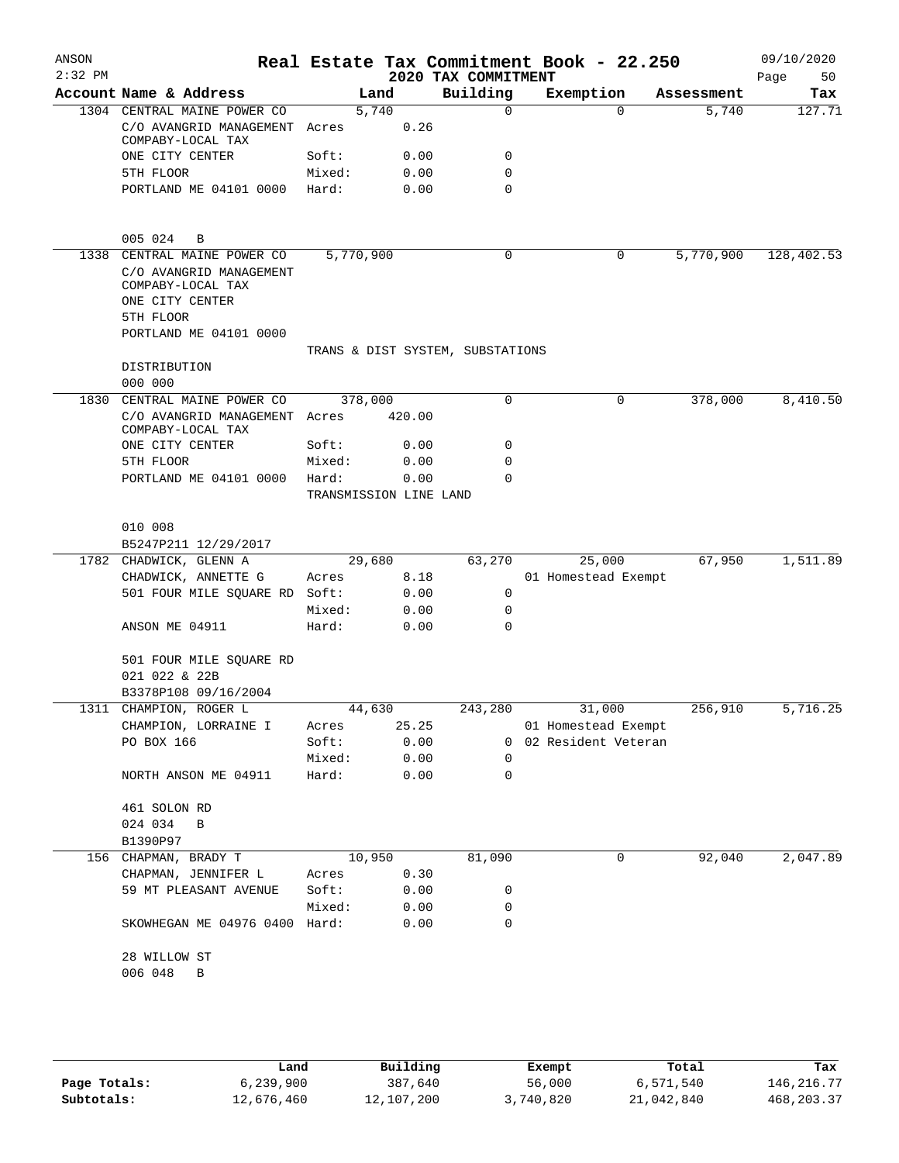| ANSON<br>$2:32$ PM |                                                                 |                                  |           |        | 2020 TAX COMMITMENT     | Real Estate Tax Commitment Book - 22.250 |            | 09/10/2020<br>Page<br>50 |
|--------------------|-----------------------------------------------------------------|----------------------------------|-----------|--------|-------------------------|------------------------------------------|------------|--------------------------|
|                    | Account Name & Address                                          |                                  | Land      |        | Building                | Exemption                                | Assessment | Tax                      |
|                    | 1304 CENTRAL MAINE POWER CO                                     |                                  | 5,740     |        | $\Omega$                | $\Omega$                                 | 5,740      | 127.71                   |
|                    | C/O AVANGRID MANAGEMENT                                         | Acres                            |           | 0.26   |                         |                                          |            |                          |
|                    | COMPABY-LOCAL TAX                                               |                                  |           |        |                         |                                          |            |                          |
|                    | ONE CITY CENTER                                                 | Soft:                            |           | 0.00   | $\mathbf 0$             |                                          |            |                          |
|                    | 5TH FLOOR                                                       | Mixed:                           |           | 0.00   | $\mathbf 0$<br>$\Omega$ |                                          |            |                          |
|                    | PORTLAND ME 04101 0000                                          | Hard:                            |           | 0.00   |                         |                                          |            |                          |
|                    | 005 024<br>B                                                    |                                  |           |        |                         |                                          |            |                          |
| 1338               | CENTRAL MAINE POWER CO                                          |                                  | 5,770,900 |        | $\mathbf 0$             | 0                                        | 5,770,900  | 128,402.53               |
|                    | C/O AVANGRID MANAGEMENT<br>COMPABY-LOCAL TAX<br>ONE CITY CENTER |                                  |           |        |                         |                                          |            |                          |
|                    | 5TH FLOOR                                                       |                                  |           |        |                         |                                          |            |                          |
|                    | PORTLAND ME 04101 0000                                          |                                  |           |        |                         |                                          |            |                          |
|                    |                                                                 | TRANS & DIST SYSTEM, SUBSTATIONS |           |        |                         |                                          |            |                          |
|                    | DISTRIBUTION                                                    |                                  |           |        |                         |                                          |            |                          |
|                    | 000 000                                                         |                                  |           |        |                         |                                          |            |                          |
| 1830               | CENTRAL MAINE POWER CO                                          |                                  | 378,000   |        | $\mathbf 0$             | 0                                        | 378,000    | 8,410.50                 |
|                    | C/O AVANGRID MANAGEMENT Acres<br>COMPABY-LOCAL TAX              |                                  |           | 420.00 |                         |                                          |            |                          |
|                    | ONE CITY CENTER                                                 | Soft:                            |           | 0.00   | 0                       |                                          |            |                          |
|                    | 5TH FLOOR                                                       | Mixed:                           |           | 0.00   | $\Omega$                |                                          |            |                          |
|                    | PORTLAND ME 04101 0000                                          | Hard:                            |           | 0.00   | $\Omega$                |                                          |            |                          |
|                    |                                                                 | TRANSMISSION LINE LAND           |           |        |                         |                                          |            |                          |
|                    |                                                                 |                                  |           |        |                         |                                          |            |                          |
|                    | 010 008                                                         |                                  |           |        |                         |                                          |            |                          |
|                    | B5247P211 12/29/2017<br>1782 CHADWICK, GLENN A                  |                                  | 29,680    |        | 63,270                  | 25,000                                   | 67,950     | 1,511.89                 |
|                    | CHADWICK, ANNETTE G                                             | Acres                            |           | 8.18   |                         | 01 Homestead Exempt                      |            |                          |
|                    | 501 FOUR MILE SQUARE RD                                         | Soft:                            |           | 0.00   | $\mathbf 0$             |                                          |            |                          |
|                    |                                                                 | Mixed:                           |           | 0.00   | $\mathbf 0$             |                                          |            |                          |
|                    | ANSON ME 04911                                                  | Hard:                            |           | 0.00   | $\Omega$                |                                          |            |                          |
|                    |                                                                 |                                  |           |        |                         |                                          |            |                          |
|                    | 501 FOUR MILE SQUARE RD                                         |                                  |           |        |                         |                                          |            |                          |
|                    | 021 022 & 22B                                                   |                                  |           |        |                         |                                          |            |                          |
|                    | B3378P108 09/16/2004                                            |                                  |           |        |                         |                                          |            |                          |
|                    | 1311 CHAMPION, ROGER L                                          |                                  | 44,630    |        | 243,280                 | 31,000                                   | 256,910    | 5,716.25                 |
|                    | CHAMPION, LORRAINE I                                            | Acres                            |           | 25.25  |                         | 01 Homestead Exempt                      |            |                          |
|                    | PO BOX 166                                                      | Soft: 0.00                       |           |        |                         | 0 02 Resident Veteran                    |            |                          |
|                    |                                                                 | Mixed: 0.00                      |           |        | 0                       |                                          |            |                          |
|                    | NORTH ANSON ME 04911                                            | Hard: 0.00                       |           |        | 0                       |                                          |            |                          |
|                    | 461 SOLON RD                                                    |                                  |           |        |                         |                                          |            |                          |
|                    | 024 034 B                                                       |                                  |           |        |                         |                                          |            |                          |
|                    | B1390P97                                                        |                                  |           |        |                         |                                          |            |                          |
|                    | 156 CHAPMAN, BRADY T                                            |                                  | 10,950    |        | 81,090                  | 0                                        | 92,040     | 2,047.89                 |
|                    | CHAPMAN, JENNIFER L                                             | Acres 0.30                       |           |        |                         |                                          |            |                          |
|                    | 59 MT PLEASANT AVENUE                                           | Soft:                            |           | 0.00   | 0                       |                                          |            |                          |
|                    |                                                                 | Mixed:                           |           | 0.00   | 0                       |                                          |            |                          |
|                    | SKOWHEGAN ME 04976 0400 Hard:                                   |                                  |           | 0.00   | 0                       |                                          |            |                          |
|                    | 28 WILLOW ST                                                    |                                  |           |        |                         |                                          |            |                          |
|                    | 006 048 B                                                       |                                  |           |        |                         |                                          |            |                          |
|                    |                                                                 |                                  |           |        |                         |                                          |            |                          |
|                    |                                                                 |                                  |           |        |                         |                                          |            |                          |
|                    |                                                                 |                                  |           |        |                         |                                          |            |                          |

|              | Land       | Building   | Exempt    | Total      | Tax          |  |
|--------------|------------|------------|-----------|------------|--------------|--|
| Page Totals: | 6,239,900  | 387,640    | 56,000    | 6,571,540  | 146, 216. 77 |  |
| Subtotals:   | 12,676,460 | 12,107,200 | 3,740,820 | 21,042,840 | 468, 203. 37 |  |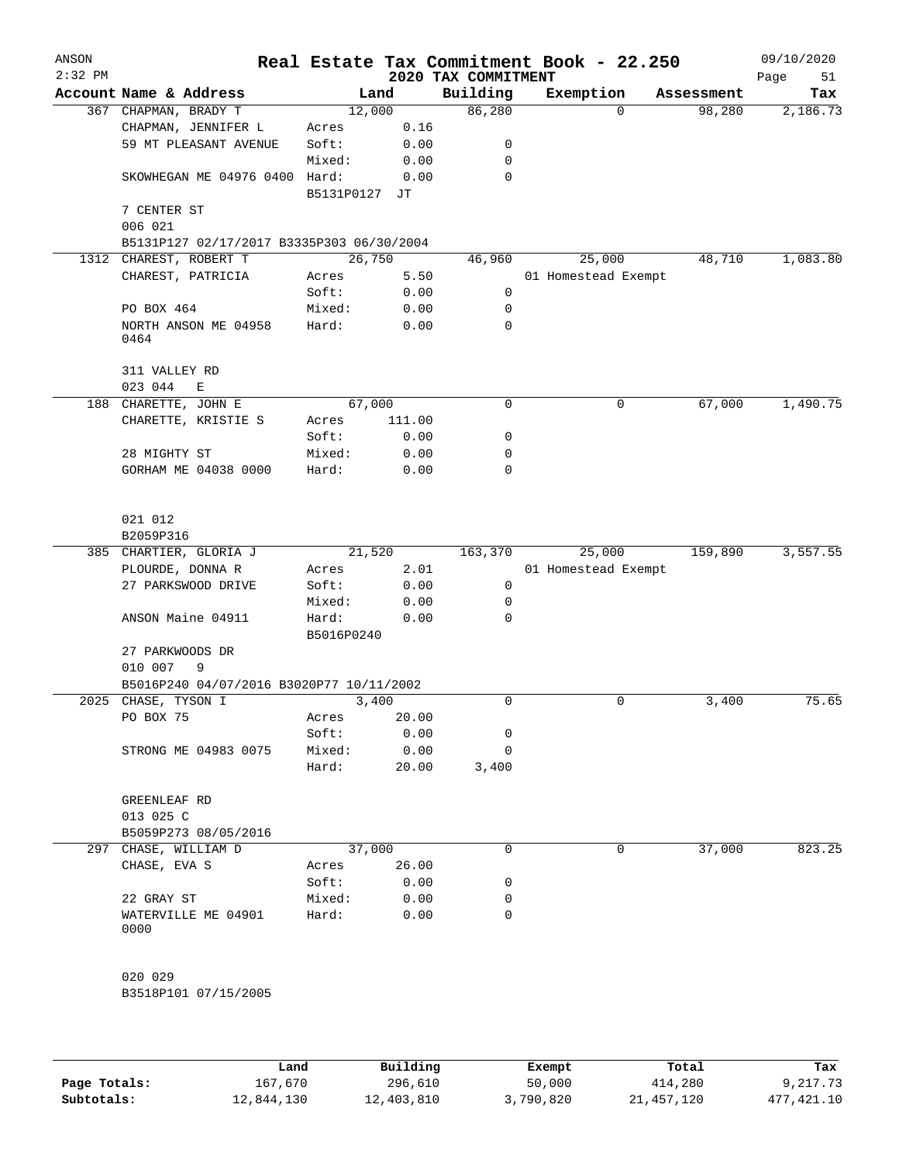| ANSON<br>$2:32$ PM |                                           |            |        | Real Estate Tax Commitment Book - 22.250<br>2020 TAX COMMITMENT |                     |            | 09/10/2020<br>Page<br>51 |
|--------------------|-------------------------------------------|------------|--------|-----------------------------------------------------------------|---------------------|------------|--------------------------|
|                    | Account Name & Address                    |            | Land   | Building                                                        | Exemption           | Assessment | Tax                      |
|                    | 367 CHAPMAN, BRADY T                      |            | 12,000 | 86,280                                                          | $\Omega$            | 98,280     | 2,186.73                 |
|                    | CHAPMAN, JENNIFER L                       | Acres      | 0.16   |                                                                 |                     |            |                          |
|                    | 59 MT PLEASANT AVENUE                     | Soft:      | 0.00   | 0                                                               |                     |            |                          |
|                    |                                           | Mixed:     | 0.00   | 0                                                               |                     |            |                          |
|                    | SKOWHEGAN ME 04976 0400 Hard:             |            | 0.00   | $\mathbf 0$                                                     |                     |            |                          |
|                    |                                           | B5131P0127 | JТ     |                                                                 |                     |            |                          |
|                    | 7 CENTER ST                               |            |        |                                                                 |                     |            |                          |
|                    | 006 021                                   |            |        |                                                                 |                     |            |                          |
|                    | B5131P127 02/17/2017 B3335P303 06/30/2004 |            |        |                                                                 |                     |            |                          |
| 1312               | CHAREST, ROBERT T                         |            | 26,750 | 46,960                                                          | 25,000              | 48,710     | 1,083.80                 |
|                    | CHAREST, PATRICIA                         | Acres      | 5.50   |                                                                 | 01 Homestead Exempt |            |                          |
|                    |                                           | Soft:      | 0.00   | 0                                                               |                     |            |                          |
|                    | PO BOX 464                                | Mixed:     | 0.00   | 0                                                               |                     |            |                          |
|                    | NORTH ANSON ME 04958                      | Hard:      | 0.00   | 0                                                               |                     |            |                          |
|                    | 0464                                      |            |        |                                                                 |                     |            |                          |
|                    | 311 VALLEY RD                             |            |        |                                                                 |                     |            |                          |
|                    | 023 044<br>E                              |            |        |                                                                 |                     |            |                          |
| 188                | CHARETTE, JOHN E                          |            | 67,000 | 0                                                               | 0                   | 67,000     | 1,490.75                 |
|                    | CHARETTE, KRISTIE S                       | Acres      | 111.00 |                                                                 |                     |            |                          |
|                    |                                           | Soft:      | 0.00   | 0                                                               |                     |            |                          |
|                    | 28 MIGHTY ST                              | Mixed:     | 0.00   | 0                                                               |                     |            |                          |
|                    | GORHAM ME 04038 0000                      | Hard:      | 0.00   | $\Omega$                                                        |                     |            |                          |
|                    |                                           |            |        |                                                                 |                     |            |                          |
|                    | 021 012                                   |            |        |                                                                 |                     |            |                          |
|                    | B2059P316                                 |            |        |                                                                 |                     |            |                          |
|                    | 385 CHARTIER, GLORIA J                    |            | 21,520 | 163,370                                                         | 25,000              | 159,890    | 3,557.55                 |
|                    | PLOURDE, DONNA R                          | Acres      | 2.01   |                                                                 | 01 Homestead Exempt |            |                          |
|                    | 27 PARKSWOOD DRIVE                        | Soft:      | 0.00   | $\mathbf 0$                                                     |                     |            |                          |
|                    |                                           | Mixed:     | 0.00   | 0                                                               |                     |            |                          |
|                    | ANSON Maine 04911                         | Hard:      | 0.00   | 0                                                               |                     |            |                          |
|                    |                                           | B5016P0240 |        |                                                                 |                     |            |                          |
|                    | 27 PARKWOODS DR                           |            |        |                                                                 |                     |            |                          |
|                    | 9<br>010 007                              |            |        |                                                                 |                     |            |                          |
|                    | B5016P240 04/07/2016 B3020P77 10/11/2002  |            |        |                                                                 |                     |            |                          |
|                    | 2025 CHASE, TYSON I                       |            | 3,400  | 0                                                               | 0                   | 3,400      | 75.65                    |
|                    | PO BOX 75                                 | Acres      | 20.00  |                                                                 |                     |            |                          |
|                    |                                           | Soft:      | 0.00   | 0                                                               |                     |            |                          |
|                    | STRONG ME 04983 0075                      | Mixed:     | 0.00   | 0                                                               |                     |            |                          |
|                    |                                           | Hard:      | 20.00  | 3,400                                                           |                     |            |                          |
|                    | GREENLEAF RD                              |            |        |                                                                 |                     |            |                          |
|                    | 013 025 C                                 |            |        |                                                                 |                     |            |                          |
|                    | B5059P273 08/05/2016                      |            |        |                                                                 |                     |            |                          |
| 297                | CHASE, WILLIAM D                          |            | 37,000 | 0                                                               | 0                   | 37,000     | 823.25                   |
|                    | CHASE, EVA S                              |            | 26.00  |                                                                 |                     |            |                          |
|                    |                                           | Acres      |        |                                                                 |                     |            |                          |
|                    |                                           | Soft:      | 0.00   | 0                                                               |                     |            |                          |
|                    | 22 GRAY ST                                | Mixed:     | 0.00   | 0                                                               |                     |            |                          |
|                    | WATERVILLE ME 04901<br>0000               | Hard:      | 0.00   | 0                                                               |                     |            |                          |
|                    |                                           |            |        |                                                                 |                     |            |                          |
|                    | 020 029                                   |            |        |                                                                 |                     |            |                          |
|                    | B3518P101 07/15/2005                      |            |        |                                                                 |                     |            |                          |
|                    |                                           |            |        |                                                                 |                     |            |                          |
|                    |                                           |            |        |                                                                 |                     |            |                          |
|                    |                                           |            |        |                                                                 |                     |            |                          |

|              | Land       | Building   | Exempt    | Total        | Tax        |
|--------------|------------|------------|-----------|--------------|------------|
| Page Totals: | 167,670    | 296,610    | 50,000    | 414,280      | 9,217.73   |
| Subtotals:   | 12,844,130 | 12,403,810 | 3,790,820 | 21, 457, 120 | 477,421.10 |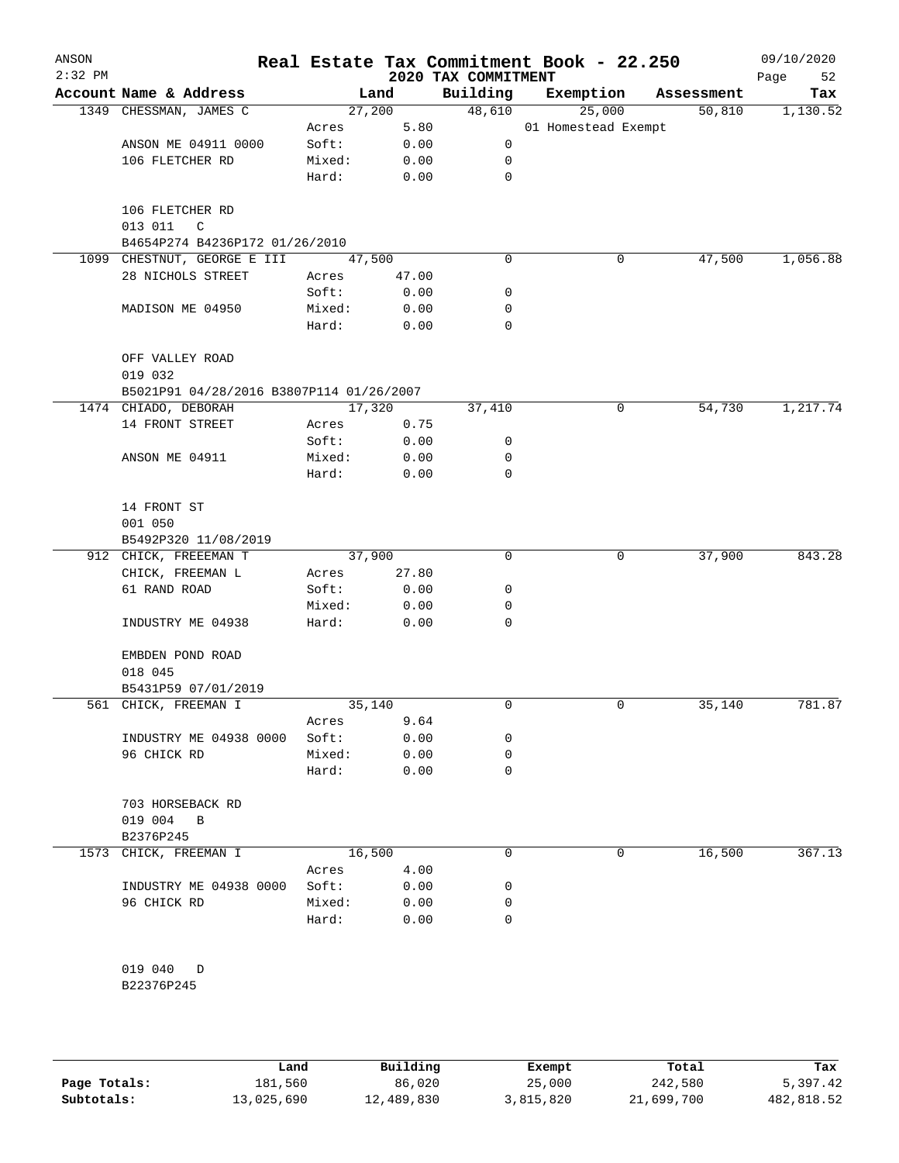| ANSON<br>$2:32$ PM |                                                     |                 |              | 2020 TAX COMMITMENT | Real Estate Tax Commitment Book - 22.250 |            | 09/10/2020<br>Page<br>52 |
|--------------------|-----------------------------------------------------|-----------------|--------------|---------------------|------------------------------------------|------------|--------------------------|
|                    | Account Name & Address                              |                 | Land         | Building            | Exemption                                | Assessment | Tax                      |
|                    | 1349 CHESSMAN, JAMES C                              |                 | 27,200       | 48,610              | 25,000                                   | 50,810     | 1,130.52                 |
|                    |                                                     | Acres           | 5.80         |                     | 01 Homestead Exempt                      |            |                          |
|                    | ANSON ME 04911 0000                                 | Soft:           | 0.00         | 0                   |                                          |            |                          |
|                    | 106 FLETCHER RD                                     | Mixed:          | 0.00         | 0                   |                                          |            |                          |
|                    |                                                     | Hard:           | 0.00         | $\mathbf 0$         |                                          |            |                          |
|                    | 106 FLETCHER RD<br>013 011<br>$\mathsf{C}$          |                 |              |                     |                                          |            |                          |
|                    | B4654P274 B4236P172 01/26/2010                      |                 |              |                     |                                          |            |                          |
|                    | 1099 CHESTNUT, GEORGE E III                         |                 | 47,500       | 0                   | 0                                        | 47,500     | 1,056.88                 |
|                    | 28 NICHOLS STREET                                   | Acres           | 47.00        |                     |                                          |            |                          |
|                    |                                                     | Soft:           | 0.00         | 0                   |                                          |            |                          |
|                    | MADISON ME 04950                                    | Mixed:<br>Hard: | 0.00<br>0.00 | 0<br>0              |                                          |            |                          |
|                    |                                                     |                 |              |                     |                                          |            |                          |
|                    | OFF VALLEY ROAD                                     |                 |              |                     |                                          |            |                          |
|                    | 019 032<br>B5021P91 04/28/2016 B3807P114 01/26/2007 |                 |              |                     |                                          |            |                          |
|                    | 1474 CHIADO, DEBORAH                                |                 | 17,320       | 37,410              | 0                                        | 54,730     | 1,217.74                 |
|                    | 14 FRONT STREET                                     | Acres           | 0.75         |                     |                                          |            |                          |
|                    |                                                     | Soft:           | 0.00         | 0                   |                                          |            |                          |
|                    | ANSON ME 04911                                      | Mixed:          | 0.00         | 0                   |                                          |            |                          |
|                    |                                                     | Hard:           | 0.00         | 0                   |                                          |            |                          |
|                    |                                                     |                 |              |                     |                                          |            |                          |
|                    | 14 FRONT ST                                         |                 |              |                     |                                          |            |                          |
|                    | 001 050                                             |                 |              |                     |                                          |            |                          |
|                    | B5492P320 11/08/2019                                |                 |              |                     |                                          |            |                          |
|                    | 912 CHICK, FREEEMAN T                               |                 | 37,900       | $\mathbf 0$         | 0                                        | 37,900     | 843.28                   |
|                    | CHICK, FREEMAN L                                    | Acres           | 27.80        |                     |                                          |            |                          |
|                    | 61 RAND ROAD                                        | Soft:           | 0.00         | 0                   |                                          |            |                          |
|                    |                                                     | Mixed:          | 0.00         | 0                   |                                          |            |                          |
|                    | INDUSTRY ME 04938                                   | Hard:           | 0.00         | 0                   |                                          |            |                          |
|                    | EMBDEN POND ROAD<br>018 045                         |                 |              |                     |                                          |            |                          |
|                    | B5431P59 07/01/2019                                 |                 |              |                     |                                          |            |                          |
|                    | 561 CHICK, FREEMAN I                                |                 | 35,140       | 0                   | 0                                        | 35,140     | 781.87                   |
|                    |                                                     | Acres           | 9.64         |                     |                                          |            |                          |
|                    | INDUSTRY ME 04938 0000                              | Soft:           | 0.00         | 0                   |                                          |            |                          |
|                    | 96 CHICK RD                                         | Mixed:          | 0.00         | 0                   |                                          |            |                          |
|                    |                                                     | Hard:           | 0.00         | 0                   |                                          |            |                          |
|                    | 703 HORSEBACK RD                                    |                 |              |                     |                                          |            |                          |
|                    | 019 004<br>B                                        |                 |              |                     |                                          |            |                          |
|                    | B2376P245                                           |                 |              |                     |                                          |            |                          |
|                    | 1573 CHICK, FREEMAN I                               |                 | 16,500       | 0                   | 0                                        | 16,500     | 367.13                   |
|                    |                                                     | Acres           | 4.00         |                     |                                          |            |                          |
|                    | INDUSTRY ME 04938 0000                              | Soft:           | 0.00         | 0                   |                                          |            |                          |
|                    | 96 CHICK RD                                         | Mixed:          | 0.00         | 0                   |                                          |            |                          |
|                    |                                                     | Hard:           | 0.00         | 0                   |                                          |            |                          |
|                    |                                                     |                 |              |                     |                                          |            |                          |
|                    |                                                     |                 |              |                     |                                          |            |                          |
|                    | 019 040<br>D                                        |                 |              |                     |                                          |            |                          |
|                    | B22376P245                                          |                 |              |                     |                                          |            |                          |

**Page Totals:** 181,560 86,020 25,000 242,580 5,397.42<br>**Subtotals:** 13,025,690 12,489,830 3,815,820 21,699,700 482,818.52 **Subtotals:** 13,025,690 12,489,830 3,815,820 21,699,700 482,818.52 **Land Building Exempt Total Tax**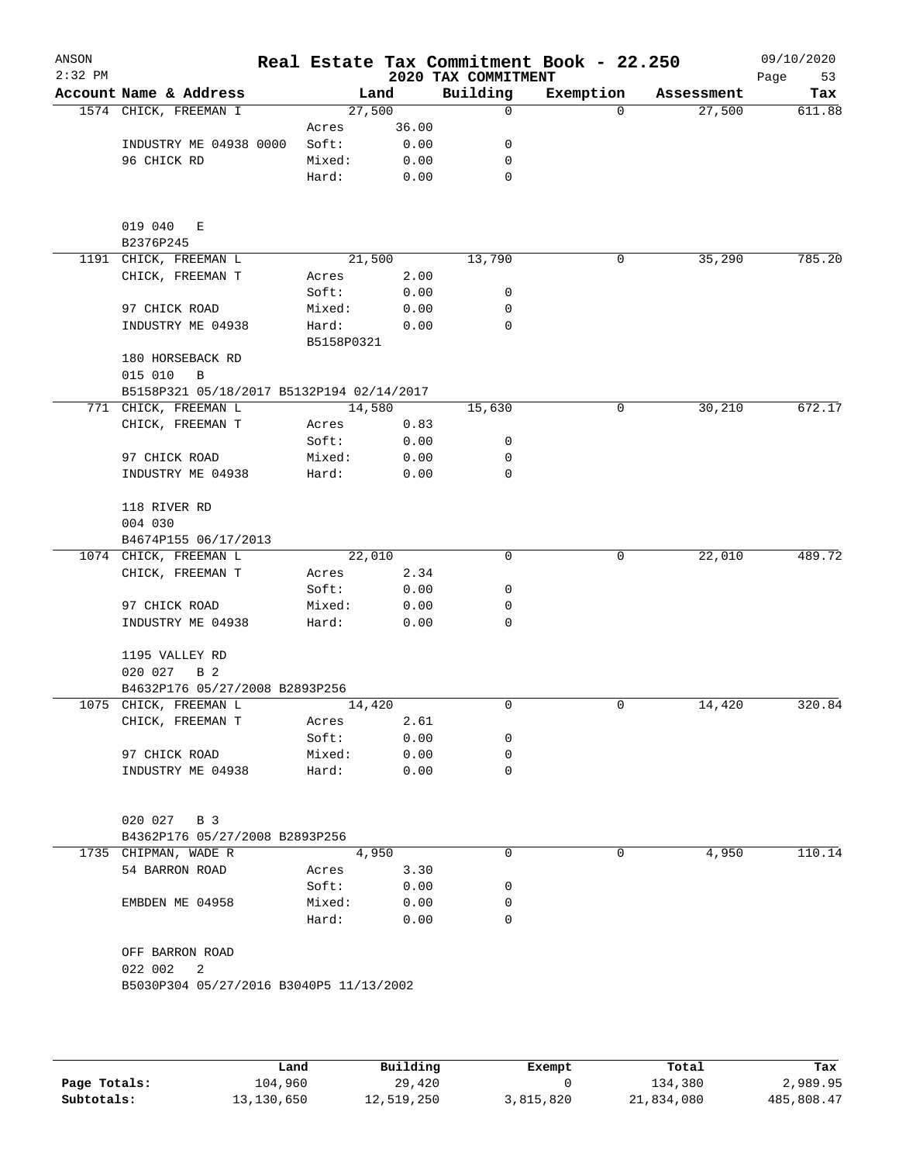| ANSON<br>$2:32$ PM |                                                         |                     |              | 2020 TAX COMMITMENT | Real Estate Tax Commitment Book - 22.250 |            | 09/10/2020<br>Page<br>53 |
|--------------------|---------------------------------------------------------|---------------------|--------------|---------------------|------------------------------------------|------------|--------------------------|
|                    | Account Name & Address                                  | Land                |              | Building            | Exemption                                | Assessment | Tax                      |
|                    | 1574 CHICK, FREEMAN I                                   | 27,500              |              | 0                   | $\Omega$                                 | 27,500     | 611.88                   |
|                    |                                                         | Acres               | 36.00        |                     |                                          |            |                          |
|                    | INDUSTRY ME 04938 0000                                  | Soft:               | 0.00         | 0                   |                                          |            |                          |
|                    | 96 CHICK RD                                             | Mixed:              | 0.00         | 0                   |                                          |            |                          |
|                    |                                                         | Hard:               | 0.00         | 0                   |                                          |            |                          |
|                    | 019 040<br>Е<br>B2376P245                               |                     |              |                     |                                          |            |                          |
|                    | 1191 CHICK, FREEMAN L                                   | 21,500              |              | 13,790              | 0                                        | 35,290     | 785.20                   |
|                    | CHICK, FREEMAN T                                        | Acres               | 2.00         |                     |                                          |            |                          |
|                    |                                                         | Soft:               | 0.00         | 0                   |                                          |            |                          |
|                    | 97 CHICK ROAD                                           | Mixed:              | 0.00         | 0                   |                                          |            |                          |
|                    | INDUSTRY ME 04938                                       | Hard:<br>B5158P0321 | 0.00         | 0                   |                                          |            |                          |
|                    | 180 HORSEBACK RD                                        |                     |              |                     |                                          |            |                          |
|                    | 015 010<br>B                                            |                     |              |                     |                                          |            |                          |
|                    | B5158P321 05/18/2017 B5132P194 02/14/2017               |                     |              |                     |                                          |            |                          |
|                    | 771 CHICK, FREEMAN L                                    | 14,580              |              | 15,630              | 0                                        | 30,210     | 672.17                   |
|                    | CHICK, FREEMAN T                                        | Acres               | 0.83         |                     |                                          |            |                          |
|                    |                                                         | Soft:               | 0.00         | 0                   |                                          |            |                          |
|                    | 97 CHICK ROAD                                           | Mixed:              | 0.00         | 0                   |                                          |            |                          |
|                    | INDUSTRY ME 04938                                       | Hard:               | 0.00         | 0                   |                                          |            |                          |
|                    | 118 RIVER RD<br>004 030                                 |                     |              |                     |                                          |            |                          |
|                    | B4674P155 06/17/2013                                    |                     |              |                     |                                          |            |                          |
|                    | 1074 CHICK, FREEMAN L                                   | 22,010              |              | 0                   | 0                                        | 22,010     | 489.72                   |
|                    | CHICK, FREEMAN T                                        | Acres               | 2.34         |                     |                                          |            |                          |
|                    |                                                         | Soft:               | 0.00         | 0                   |                                          |            |                          |
|                    | 97 CHICK ROAD                                           | Mixed:              | 0.00         | 0                   |                                          |            |                          |
|                    | INDUSTRY ME 04938                                       | Hard:               | 0.00         | 0                   |                                          |            |                          |
|                    | 1195 VALLEY RD                                          |                     |              |                     |                                          |            |                          |
|                    | 020 027<br>B 2                                          |                     |              |                     |                                          |            |                          |
|                    | B4632P176 05/27/2008 B2893P256                          |                     |              |                     |                                          |            |                          |
|                    | 1075 CHICK, FREEMAN L                                   | 14,420              |              | 0                   | 0                                        | 14,420     | 320.84                   |
|                    | CHICK, FREEMAN T                                        | Acres               | 2.61         |                     |                                          |            |                          |
|                    | 97 CHICK ROAD                                           | Soft:<br>Mixed:     | 0.00<br>0.00 | 0<br>0              |                                          |            |                          |
|                    | INDUSTRY ME 04938                                       | Hard:               | 0.00         | 0                   |                                          |            |                          |
|                    |                                                         |                     |              |                     |                                          |            |                          |
|                    | 020 027 B 3                                             |                     |              |                     |                                          |            |                          |
|                    | B4362P176 05/27/2008 B2893P256                          |                     |              |                     |                                          |            |                          |
|                    | 1735 CHIPMAN, WADE R                                    | 4,950               |              | 0                   | 0                                        | 4,950      | 110.14                   |
|                    | 54 BARRON ROAD                                          | Acres               | 3.30         |                     |                                          |            |                          |
|                    |                                                         | Soft:               | 0.00         | 0                   |                                          |            |                          |
|                    | EMBDEN ME 04958                                         | Mixed:              | 0.00         | 0                   |                                          |            |                          |
|                    |                                                         | Hard:               | 0.00         | 0                   |                                          |            |                          |
|                    | OFF BARRON ROAD                                         |                     |              |                     |                                          |            |                          |
|                    | 022 002<br>2<br>B5030P304 05/27/2016 B3040P5 11/13/2002 |                     |              |                     |                                          |            |                          |
|                    |                                                         |                     |              |                     |                                          |            |                          |
|                    |                                                         |                     |              |                     |                                          |            |                          |

|              | Land       | Building   | Exempt    | Total      | Tax        |
|--------------|------------|------------|-----------|------------|------------|
| Page Totals: | 104,960    | 29,420     |           | 134,380    | 2,989.95   |
| Subtotals:   | 13,130,650 | 12,519,250 | 3,815,820 | 21,834,080 | 485,808.47 |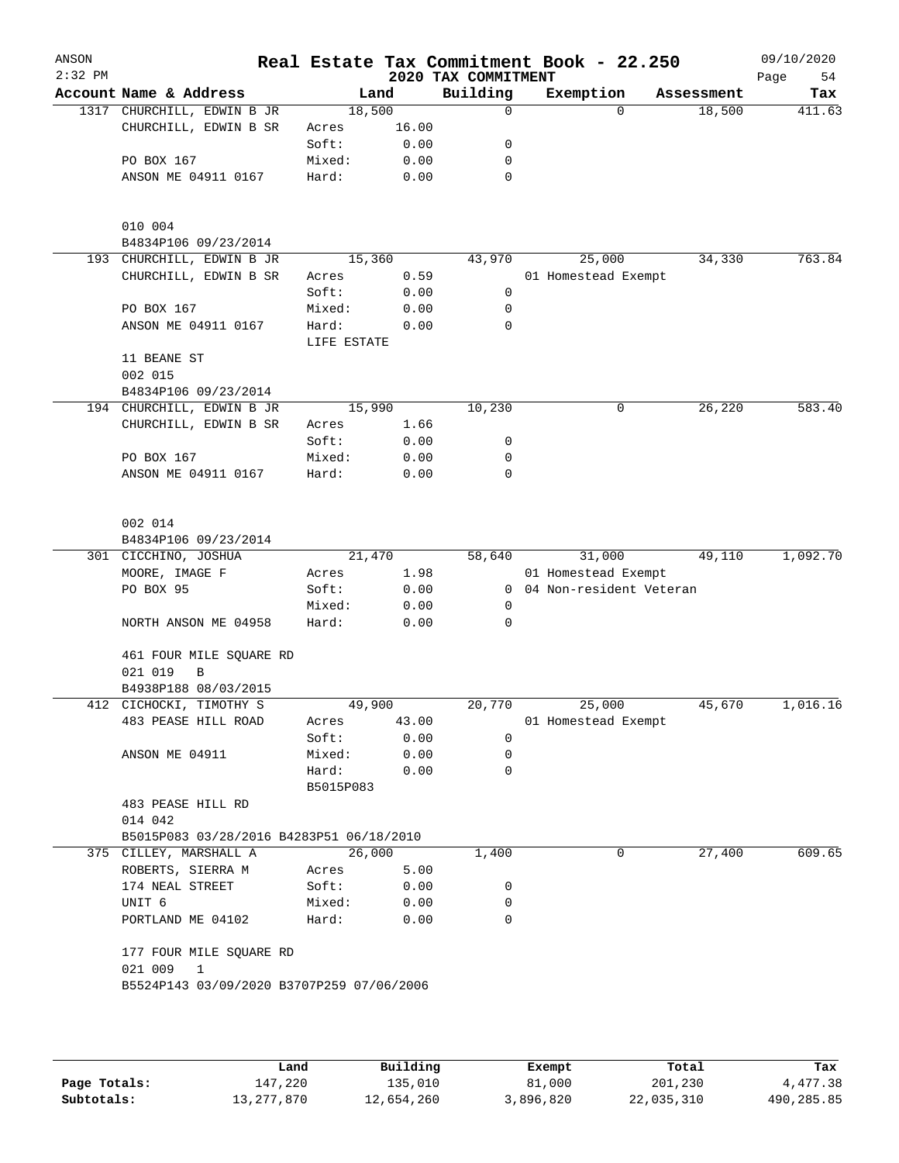|                                          |                      |        | 2020 TAX COMMITMENT | Real Estate Tax Commitment Book - 22.250  |            | 09/10/2020<br>Page<br>54 |
|------------------------------------------|----------------------|--------|---------------------|-------------------------------------------|------------|--------------------------|
| Account Name & Address                   |                      | Land   | Building            | Exemption                                 | Assessment | Tax                      |
| 1317 CHURCHILL, EDWIN B JR               |                      | 18,500 | 0                   | $\Omega$                                  | 18,500     | 411.63                   |
| CHURCHILL, EDWIN B SR                    | Acres                | 16.00  |                     |                                           |            |                          |
|                                          | Soft:                | 0.00   | 0                   |                                           |            |                          |
| PO BOX 167                               | Mixed:               | 0.00   | 0                   |                                           |            |                          |
| ANSON ME 04911 0167                      | Hard:                | 0.00   | 0                   |                                           |            |                          |
|                                          |                      |        |                     |                                           |            |                          |
| 010 004                                  |                      |        |                     |                                           |            |                          |
| B4834P106 09/23/2014                     |                      |        |                     |                                           |            |                          |
| 193 CHURCHILL, EDWIN B JR                |                      | 15,360 | 43,970              | 25,000                                    | 34,330     | 763.84                   |
| CHURCHILL, EDWIN B SR                    | Acres                | 0.59   |                     | 01 Homestead Exempt                       |            |                          |
|                                          | Soft:                | 0.00   | 0                   |                                           |            |                          |
| PO BOX 167                               | Mixed:               | 0.00   | 0                   |                                           |            |                          |
| ANSON ME 04911 0167                      | Hard:<br>LIFE ESTATE | 0.00   | 0                   |                                           |            |                          |
| 11 BEANE ST<br>002 015                   |                      |        |                     |                                           |            |                          |
| B4834P106 09/23/2014                     |                      |        |                     |                                           |            |                          |
| 194 CHURCHILL, EDWIN B JR                |                      | 15,990 | 10,230              | 0                                         | 26,220     | 583.40                   |
| CHURCHILL, EDWIN B SR                    | Acres                | 1.66   |                     |                                           |            |                          |
|                                          | Soft:                | 0.00   | 0                   |                                           |            |                          |
| PO BOX 167                               | Mixed:               | 0.00   | 0                   |                                           |            |                          |
| ANSON ME 04911 0167                      | Hard:                | 0.00   | 0                   |                                           |            |                          |
|                                          |                      |        |                     |                                           |            |                          |
| 002 014                                  |                      |        |                     |                                           |            |                          |
| B4834P106 09/23/2014                     |                      |        |                     |                                           |            |                          |
| 301 CICCHINO, JOSHUA                     |                      | 21,470 | 58,640              | 31,000                                    | 49,110     | 1,092.70                 |
| MOORE, IMAGE F                           | Acres                | 1.98   |                     | 01 Homestead Exempt                       |            |                          |
| PO BOX 95                                | Soft:                | 0.00   | $\mathbf{0}$        | 04 Non-resident Veteran                   |            |                          |
|                                          | Mixed:               | 0.00   | 0                   |                                           |            |                          |
| NORTH ANSON ME 04958                     | Hard:                | 0.00   | 0                   |                                           |            |                          |
| 461 FOUR MILE SQUARE RD<br>021 019<br>В  |                      |        |                     |                                           |            |                          |
| B4938P188 08/03/2015                     |                      |        |                     |                                           |            |                          |
| 412 CICHOCKI, TIMOTHY S                  |                      | 49,900 | 20,770              | 25,000                                    | 45,670     | 1,016.16                 |
| 483 PEASE HILL ROAD                      | Acres                | 43.00  |                     | 01 Homestead Exempt                       |            |                          |
|                                          | Soft:                | 0.00   | 0                   |                                           |            |                          |
| ANSON ME 04911                           | Mixed:               | 0.00   | 0                   |                                           |            |                          |
|                                          | Hard:                | 0.00   | 0                   |                                           |            |                          |
|                                          | B5015P083            |        |                     |                                           |            |                          |
|                                          |                      |        |                     |                                           |            |                          |
| 483 PEASE HILL RD                        |                      |        |                     |                                           |            |                          |
| 014 042                                  |                      |        |                     |                                           |            |                          |
| B5015P083 03/28/2016 B4283P51 06/18/2010 |                      |        |                     |                                           |            |                          |
| 375 CILLEY, MARSHALL A                   |                      | 26,000 | 1,400               | 0                                         | 27,400     | 609.65                   |
| ROBERTS, SIERRA M                        | Acres                | 5.00   |                     |                                           |            |                          |
| 174 NEAL STREET                          | Soft:                | 0.00   | 0                   |                                           |            |                          |
| UNIT <sub>6</sub>                        | Mixed:               | 0.00   | 0                   |                                           |            |                          |
| PORTLAND ME 04102                        | Hard:                | 0.00   | 0                   |                                           |            |                          |
| 177 FOUR MILE SQUARE RD                  |                      |        |                     |                                           |            |                          |
| 021 009<br>$\overline{1}$                |                      |        |                     |                                           |            |                          |
|                                          |                      |        |                     |                                           |            |                          |
|                                          |                      |        |                     |                                           |            |                          |
|                                          |                      |        |                     | B5524P143 03/09/2020 B3707P259 07/06/2006 |            |                          |

|              | Land       | Building   | Exempt    | Total      | Tax        |
|--------------|------------|------------|-----------|------------|------------|
| Page Totals: | 147,220    | 135,010    | 81,000    | 201,230    | 4,477.38   |
| Subtotals:   | 13,277,870 | 12,654,260 | 3,896,820 | 22,035,310 | 490,285.85 |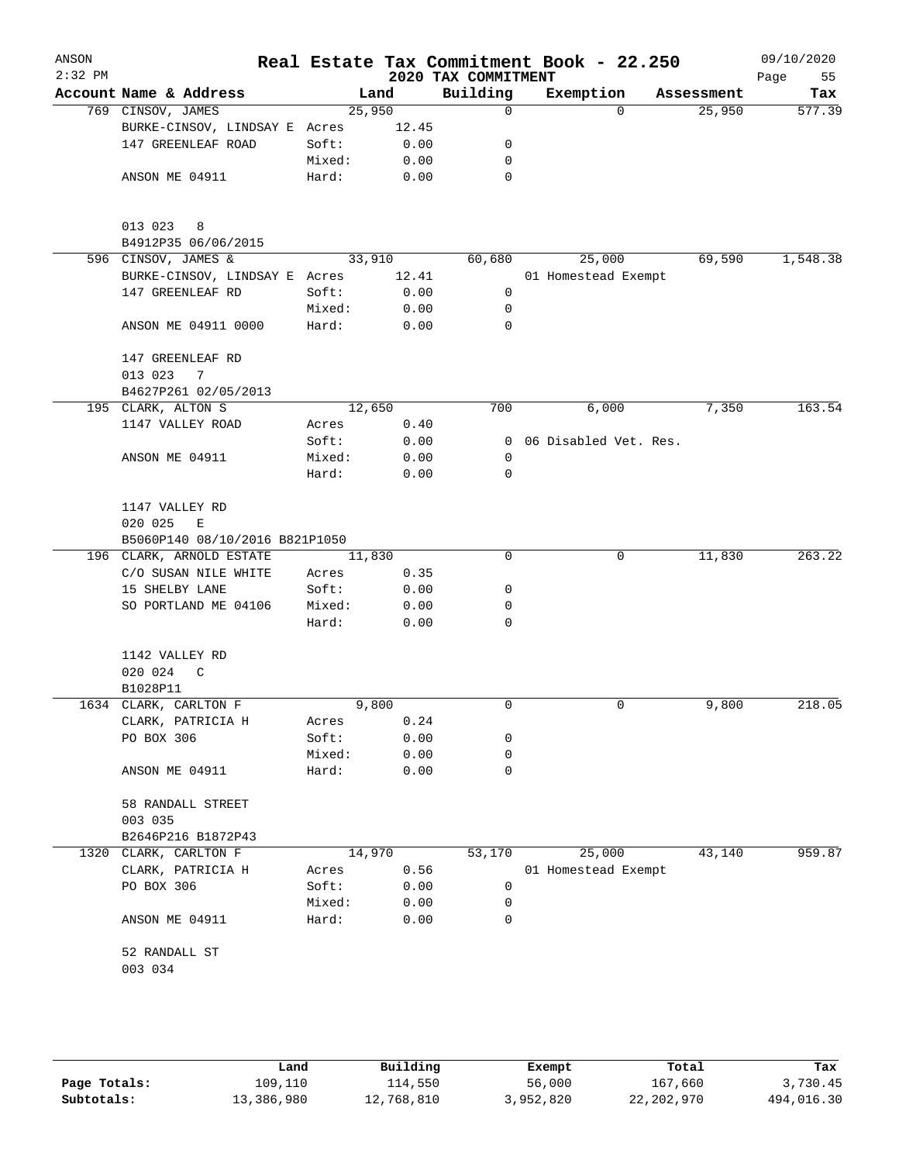| ANSON<br>$2:32$ PM |                                        |                |        | 2020 TAX COMMITMENT | Real Estate Tax Commitment Book - 22.250 |            | 09/10/2020<br>Page<br>55 |
|--------------------|----------------------------------------|----------------|--------|---------------------|------------------------------------------|------------|--------------------------|
|                    | Account Name & Address                 |                | Land   | Building            | Exemption                                | Assessment | Tax                      |
|                    | 769 CINSOV, JAMES                      |                | 25,950 | 0                   | $\Omega$                                 | 25,950     | 577.39                   |
|                    | BURKE-CINSOV, LINDSAY E Acres          |                | 12.45  |                     |                                          |            |                          |
|                    | 147 GREENLEAF ROAD                     | Soft:          | 0.00   | 0                   |                                          |            |                          |
|                    |                                        | Mixed:         | 0.00   | 0                   |                                          |            |                          |
|                    | ANSON ME 04911                         | Hard:          | 0.00   | 0                   |                                          |            |                          |
|                    | 013 023<br>8                           |                |        |                     |                                          |            |                          |
|                    | B4912P35 06/06/2015                    |                |        |                     |                                          |            |                          |
|                    | 596 CINSOV, JAMES &                    |                | 33,910 | 60,680              | 25,000                                   | 69,590     | 1,548.38                 |
|                    | BURKE-CINSOV, LINDSAY E Acres          |                | 12.41  |                     | 01 Homestead Exempt                      |            |                          |
|                    | 147 GREENLEAF RD                       | Soft:          | 0.00   | 0                   |                                          |            |                          |
|                    |                                        | Mixed:         | 0.00   | 0                   |                                          |            |                          |
|                    | ANSON ME 04911 0000                    | Hard:          | 0.00   | $\Omega$            |                                          |            |                          |
|                    | 147 GREENLEAF RD                       |                |        |                     |                                          |            |                          |
|                    | 013 023<br>7                           |                |        |                     |                                          |            |                          |
|                    | B4627P261 02/05/2013                   |                | 12,650 | 700                 |                                          |            | 163.54                   |
|                    | 195 CLARK, ALTON S<br>1147 VALLEY ROAD |                | 0.40   |                     | 6,000                                    | 7,350      |                          |
|                    |                                        | Acres<br>Soft: | 0.00   | $\Omega$            | 06 Disabled Vet. Res.                    |            |                          |
|                    | ANSON ME 04911                         | Mixed:         | 0.00   | 0                   |                                          |            |                          |
|                    |                                        | Hard:          | 0.00   | 0                   |                                          |            |                          |
|                    |                                        |                |        |                     |                                          |            |                          |
|                    | 1147 VALLEY RD                         |                |        |                     |                                          |            |                          |
|                    | 020 025<br>Е                           |                |        |                     |                                          |            |                          |
|                    | B5060P140 08/10/2016 B821P1050         |                |        |                     |                                          |            |                          |
|                    | 196 CLARK, ARNOLD ESTATE               |                | 11,830 | 0                   | 0                                        | 11,830     | 263.22                   |
|                    | C/O SUSAN NILE WHITE                   | Acres          | 0.35   |                     |                                          |            |                          |
|                    | 15 SHELBY LANE                         | Soft:          | 0.00   | 0                   |                                          |            |                          |
|                    | SO PORTLAND ME 04106                   | Mixed:         | 0.00   | 0                   |                                          |            |                          |
|                    |                                        | Hard:          | 0.00   | 0                   |                                          |            |                          |
|                    | 1142 VALLEY RD                         |                |        |                     |                                          |            |                          |
|                    | 020 024<br>C                           |                |        |                     |                                          |            |                          |
|                    | B1028P11                               |                |        |                     |                                          |            |                          |
|                    | 1634 CLARK, CARLTON F                  |                | 9,800  | 0                   | 0                                        | 9,800      | 218.05                   |
|                    | CLARK, PATRICIA H                      | Acres          | 0.24   |                     |                                          |            |                          |
|                    | PO BOX 306                             | Soft:          | 0.00   | 0                   |                                          |            |                          |
|                    |                                        | Mixed:         | 0.00   | 0                   |                                          |            |                          |
|                    | ANSON ME 04911                         | Hard:          | 0.00   | 0                   |                                          |            |                          |
|                    | 58 RANDALL STREET                      |                |        |                     |                                          |            |                          |
|                    | 003 035<br>B2646P216 B1872P43          |                |        |                     |                                          |            |                          |
| 1320               | CLARK, CARLTON F                       |                | 14,970 | 53,170              | 25,000                                   | 43,140     | 959.87                   |
|                    | CLARK, PATRICIA H                      | Acres          | 0.56   |                     | 01 Homestead Exempt                      |            |                          |
|                    | PO BOX 306                             | Soft:          | 0.00   | 0                   |                                          |            |                          |
|                    |                                        | Mixed:         | 0.00   | 0                   |                                          |            |                          |
|                    | ANSON ME 04911                         | Hard:          | 0.00   | 0                   |                                          |            |                          |
|                    | 52 RANDALL ST                          |                |        |                     |                                          |            |                          |
|                    | 003 034                                |                |        |                     |                                          |            |                          |
|                    |                                        |                |        |                     |                                          |            |                          |

|              | Land       | Building   | Exempt    | Total      | Tax        |
|--------------|------------|------------|-----------|------------|------------|
| Page Totals: | 109,110    | 114,550    | 56,000    | 167,660    | 3,730.45   |
| Subtotals:   | 13,386,980 | 12,768,810 | 3,952,820 | 22,202,970 | 494,016.30 |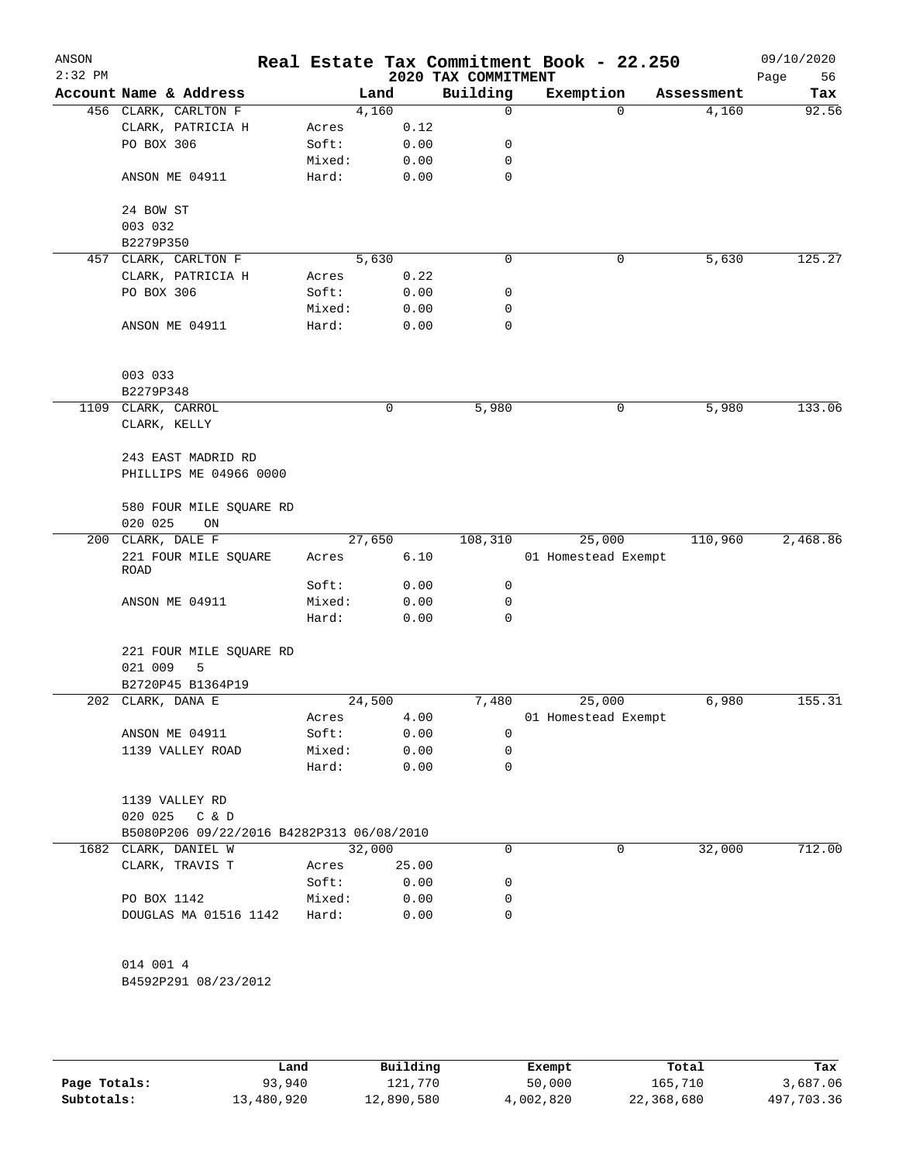| ANSON<br>$2:32$ PM |                                           |                 |        |              | 2020 TAX COMMITMENT | Real Estate Tax Commitment Book - 22.250 |             |            | 09/10/2020<br>Page<br>56 |
|--------------------|-------------------------------------------|-----------------|--------|--------------|---------------------|------------------------------------------|-------------|------------|--------------------------|
|                    | Account Name & Address                    |                 | Land   |              | Building            | Exemption                                |             | Assessment | Tax                      |
|                    | 456 CLARK, CARLTON F                      |                 | 4,160  |              | 0                   |                                          | $\mathbf 0$ | 4,160      | 92.56                    |
|                    | CLARK, PATRICIA H                         | Acres           |        | 0.12         |                     |                                          |             |            |                          |
|                    | PO BOX 306                                | Soft:           |        | 0.00         | 0                   |                                          |             |            |                          |
|                    |                                           | Mixed:          |        | 0.00         | 0                   |                                          |             |            |                          |
|                    | ANSON ME 04911                            | Hard:           |        | 0.00         | 0                   |                                          |             |            |                          |
|                    | 24 BOW ST                                 |                 |        |              |                     |                                          |             |            |                          |
|                    | 003 032                                   |                 |        |              |                     |                                          |             |            |                          |
|                    | B2279P350                                 |                 |        |              |                     |                                          |             |            |                          |
|                    | 457 CLARK, CARLTON F                      |                 | 5,630  |              | 0                   |                                          | 0           | 5,630      | 125.27                   |
|                    | CLARK, PATRICIA H                         | Acres           |        | 0.22         |                     |                                          |             |            |                          |
|                    | PO BOX 306                                | Soft:           |        | 0.00         | 0                   |                                          |             |            |                          |
|                    | ANSON ME 04911                            | Mixed:<br>Hard: |        | 0.00<br>0.00 | 0<br>0              |                                          |             |            |                          |
|                    |                                           |                 |        |              |                     |                                          |             |            |                          |
|                    | 003 033                                   |                 |        |              |                     |                                          |             |            |                          |
|                    | B2279P348                                 |                 |        |              |                     |                                          |             |            |                          |
|                    | 1109 CLARK, CARROL                        |                 | 0      |              | 5,980               |                                          | 0           | 5,980      | 133.06                   |
|                    | CLARK, KELLY                              |                 |        |              |                     |                                          |             |            |                          |
|                    | 243 EAST MADRID RD                        |                 |        |              |                     |                                          |             |            |                          |
|                    | PHILLIPS ME 04966 0000                    |                 |        |              |                     |                                          |             |            |                          |
|                    | 580 FOUR MILE SQUARE RD                   |                 |        |              |                     |                                          |             |            |                          |
|                    | 020 025<br>ON                             |                 |        |              |                     |                                          |             |            |                          |
|                    | 200 CLARK, DALE F                         |                 | 27,650 |              | 108,310             | 25,000                                   |             | 110,960    | 2,468.86                 |
|                    | 221 FOUR MILE SQUARE<br><b>ROAD</b>       | Acres           |        | 6.10         |                     | 01 Homestead Exempt                      |             |            |                          |
|                    |                                           | Soft:           |        | 0.00         | 0                   |                                          |             |            |                          |
|                    | ANSON ME 04911                            | Mixed:<br>Hard: |        | 0.00<br>0.00 | 0<br>0              |                                          |             |            |                          |
|                    |                                           |                 |        |              |                     |                                          |             |            |                          |
|                    | 221 FOUR MILE SQUARE RD<br>021 009<br>5   |                 |        |              |                     |                                          |             |            |                          |
|                    | B2720P45 B1364P19                         |                 |        |              |                     |                                          |             |            |                          |
|                    | 202 CLARK, DANA E                         |                 | 24,500 |              | 7,480               | 25,000                                   |             | 6,980      | 155.31                   |
|                    |                                           | Acres           |        | 4.00         |                     | 01 Homestead Exempt                      |             |            |                          |
|                    | ANSON ME 04911                            | Soft:           |        | 0.00         | 0                   |                                          |             |            |                          |
|                    | 1139 VALLEY ROAD                          | Mixed:          |        | 0.00         | 0                   |                                          |             |            |                          |
|                    |                                           | Hard:           |        | 0.00         | 0                   |                                          |             |            |                          |
|                    | 1139 VALLEY RD                            |                 |        |              |                     |                                          |             |            |                          |
|                    | 020 025<br>C & D                          |                 |        |              |                     |                                          |             |            |                          |
|                    | B5080P206 09/22/2016 B4282P313 06/08/2010 |                 |        |              |                     |                                          |             |            |                          |
|                    | 1682 CLARK, DANIEL W                      |                 | 32,000 |              | 0                   |                                          | 0           | 32,000     | 712.00                   |
|                    | CLARK, TRAVIS T                           | Acres           |        | 25.00        |                     |                                          |             |            |                          |
|                    |                                           | Soft:           |        | 0.00         | 0                   |                                          |             |            |                          |
|                    | PO BOX 1142                               | Mixed:          |        | 0.00         | 0                   |                                          |             |            |                          |
|                    | DOUGLAS MA 01516 1142                     | Hard:           |        | 0.00         | 0                   |                                          |             |            |                          |
|                    | 014 001 4                                 |                 |        |              |                     |                                          |             |            |                          |
|                    | B4592P291 08/23/2012                      |                 |        |              |                     |                                          |             |            |                          |
|                    |                                           |                 |        |              |                     |                                          |             |            |                          |
|                    |                                           |                 |        |              |                     |                                          |             |            |                          |

|              | Land       | Building   | Exempt    | Total      | Tax        |
|--------------|------------|------------|-----------|------------|------------|
| Page Totals: | 93,940     | 121,770    | 50,000    | 165,710    | 3,687.06   |
| Subtotals:   | 13,480,920 | 12,890,580 | 4,002,820 | 22,368,680 | 497,703.36 |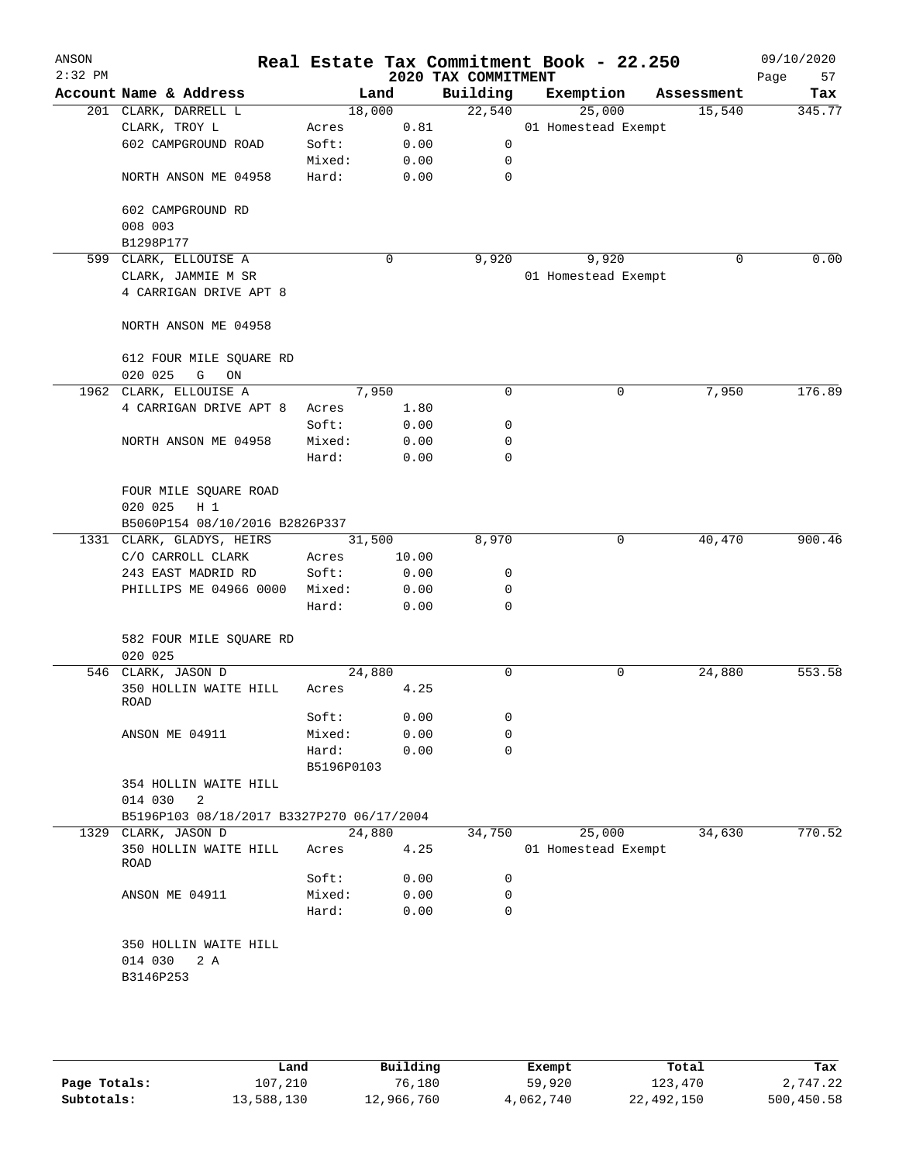| ANSON<br>$2:32$ PM |                                                      |            |        | 2020 TAX COMMITMENT | Real Estate Tax Commitment Book - 22.250 |            | 09/10/2020<br>57<br>Page |
|--------------------|------------------------------------------------------|------------|--------|---------------------|------------------------------------------|------------|--------------------------|
|                    | Account Name & Address                               |            | Land   | Building            | Exemption                                | Assessment | Tax                      |
|                    | 201 CLARK, DARRELL L                                 |            | 18,000 | 22,540              | 25,000                                   | 15,540     | 345.77                   |
|                    | CLARK, TROY L                                        | Acres      | 0.81   |                     | 01 Homestead Exempt                      |            |                          |
|                    | 602 CAMPGROUND ROAD                                  | Soft:      | 0.00   | 0                   |                                          |            |                          |
|                    |                                                      | Mixed:     | 0.00   | 0                   |                                          |            |                          |
|                    | NORTH ANSON ME 04958                                 | Hard:      | 0.00   | 0                   |                                          |            |                          |
|                    | 602 CAMPGROUND RD                                    |            |        |                     |                                          |            |                          |
|                    | 008 003                                              |            |        |                     |                                          |            |                          |
|                    | B1298P177                                            |            |        |                     |                                          |            |                          |
|                    | 599 CLARK, ELLOUISE A                                |            | 0      | 9,920               | 9,920                                    | 0          | 0.00                     |
|                    | CLARK, JAMMIE M SR                                   |            |        |                     | 01 Homestead Exempt                      |            |                          |
|                    | 4 CARRIGAN DRIVE APT 8                               |            |        |                     |                                          |            |                          |
|                    | NORTH ANSON ME 04958                                 |            |        |                     |                                          |            |                          |
|                    | 612 FOUR MILE SQUARE RD                              |            |        |                     |                                          |            |                          |
|                    | 020 025<br>G<br>ON                                   |            |        |                     |                                          |            |                          |
|                    | 1962 CLARK, ELLOUISE A                               |            | 7,950  | 0                   | 0                                        | 7,950      | 176.89                   |
|                    | 4 CARRIGAN DRIVE APT 8                               | Acres      | 1.80   |                     |                                          |            |                          |
|                    |                                                      | Soft:      | 0.00   | 0                   |                                          |            |                          |
|                    | NORTH ANSON ME 04958                                 | Mixed:     | 0.00   | 0                   |                                          |            |                          |
|                    |                                                      | Hard:      | 0.00   | $\mathbf 0$         |                                          |            |                          |
|                    | FOUR MILE SQUARE ROAD                                |            |        |                     |                                          |            |                          |
|                    | 020 025<br>$H_1$                                     |            |        |                     |                                          |            |                          |
|                    | B5060P154 08/10/2016 B2826P337                       |            |        |                     |                                          |            |                          |
|                    | 1331 CLARK, GLADYS, HEIRS                            |            | 31,500 | 8,970               | 0                                        | 40,470     | 900.46                   |
|                    | C/O CARROLL CLARK                                    | Acres      | 10.00  |                     |                                          |            |                          |
|                    | 243 EAST MADRID RD                                   | Soft:      | 0.00   | 0                   |                                          |            |                          |
|                    | PHILLIPS ME 04966 0000                               | Mixed:     | 0.00   | 0                   |                                          |            |                          |
|                    |                                                      | Hard:      | 0.00   | $\Omega$            |                                          |            |                          |
|                    | 582 FOUR MILE SQUARE RD<br>020 025                   |            |        |                     |                                          |            |                          |
|                    | 546 CLARK, JASON D                                   |            | 24,880 | 0                   | 0                                        | 24,880     | 553.58                   |
|                    | 350 HOLLIN WAITE HILL<br>ROAD                        | Acres      | 4.25   |                     |                                          |            |                          |
|                    |                                                      | Soft:      | 0.00   | 0                   |                                          |            |                          |
|                    | ANSON ME 04911                                       | Mixed:     | 0.00   | 0                   |                                          |            |                          |
|                    |                                                      | Hard:      | 0.00   | 0                   |                                          |            |                          |
|                    |                                                      | B5196P0103 |        |                     |                                          |            |                          |
|                    | 354 HOLLIN WAITE HILL                                |            |        |                     |                                          |            |                          |
|                    | 014 030<br>2                                         |            |        |                     |                                          |            |                          |
|                    | B5196P103 08/18/2017 B3327P270 06/17/2004            |            |        |                     |                                          |            |                          |
|                    | 1329 CLARK, JASON D                                  |            | 24,880 | 34,750              | 25,000                                   | 34,630     | 770.52                   |
|                    | 350 HOLLIN WAITE HILL<br>ROAD                        | Acres      | 4.25   |                     | 01 Homestead Exempt                      |            |                          |
|                    |                                                      | Soft:      | 0.00   | 0                   |                                          |            |                          |
|                    | ANSON ME 04911                                       | Mixed:     | 0.00   | 0                   |                                          |            |                          |
|                    |                                                      | Hard:      | 0.00   | 0                   |                                          |            |                          |
|                    | 350 HOLLIN WAITE HILL<br>014 030<br>2 A<br>B3146P253 |            |        |                     |                                          |            |                          |
|                    |                                                      |            |        |                     |                                          |            |                          |

|              | Land       | Building   | Exempt    | Total      | Tax        |
|--------------|------------|------------|-----------|------------|------------|
| Page Totals: | 107,210    | 76,180     | 59,920    | 123,470    | 2,747.22   |
| Subtotals:   | 13,588,130 | 12,966,760 | 4,062,740 | 22,492,150 | 500,450.58 |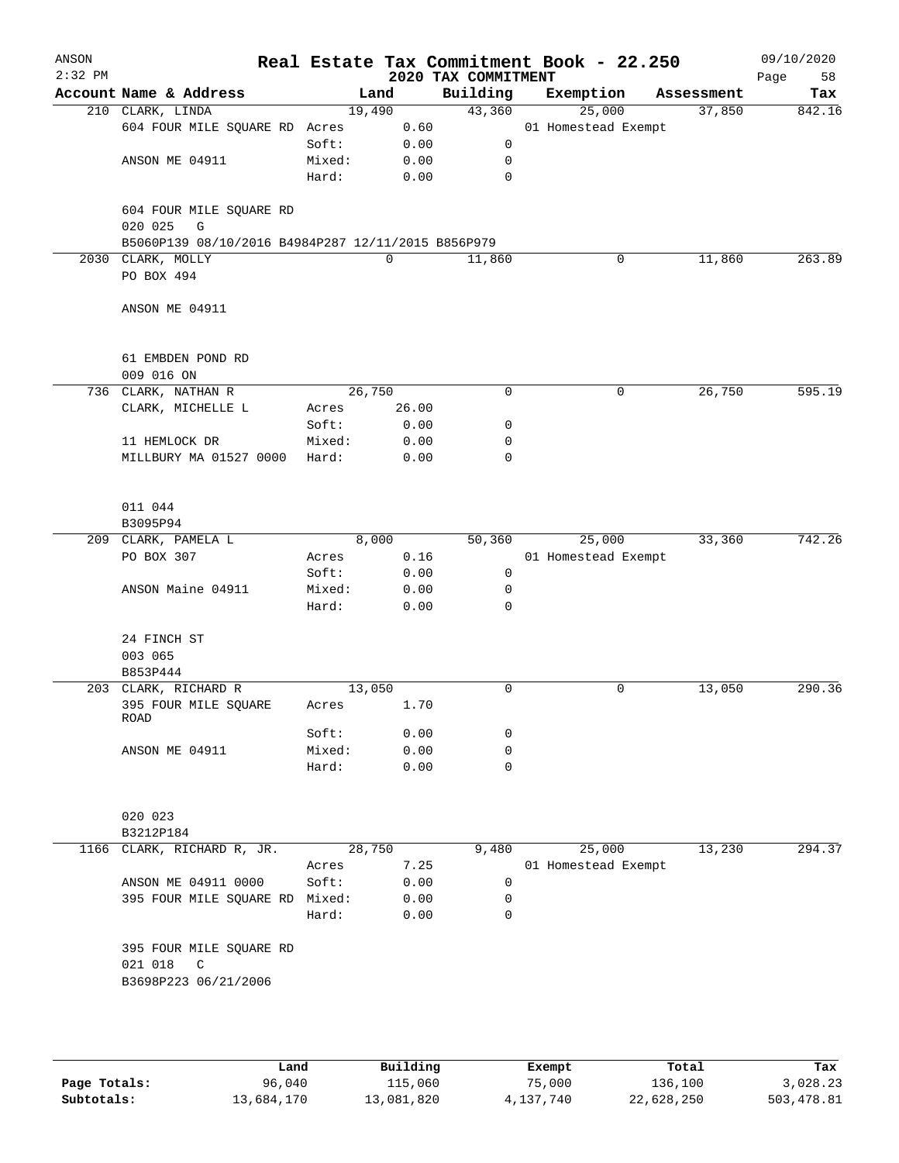| ANSON<br>$2:32$ PM |                                                    |                 |              | 2020 TAX COMMITMENT | Real Estate Tax Commitment Book - 22.250 |            | 09/10/2020<br>58<br>Page |
|--------------------|----------------------------------------------------|-----------------|--------------|---------------------|------------------------------------------|------------|--------------------------|
|                    | Account Name & Address                             |                 | Land         | Building            | Exemption                                | Assessment | Tax                      |
|                    | 210 CLARK, LINDA                                   | 19,490          |              | 43,360              | 25,000                                   | 37,850     | 842.16                   |
|                    | 604 FOUR MILE SQUARE RD Acres                      |                 | 0.60         |                     | 01 Homestead Exempt                      |            |                          |
|                    |                                                    | Soft:           | 0.00         | 0                   |                                          |            |                          |
|                    | ANSON ME 04911                                     | Mixed:          | 0.00         | 0                   |                                          |            |                          |
|                    |                                                    | Hard:           | 0.00         | 0                   |                                          |            |                          |
|                    |                                                    |                 |              |                     |                                          |            |                          |
|                    | 604 FOUR MILE SQUARE RD<br>020 025<br>G            |                 |              |                     |                                          |            |                          |
|                    | B5060P139 08/10/2016 B4984P287 12/11/2015 B856P979 |                 |              |                     |                                          |            |                          |
|                    | 2030 CLARK, MOLLY                                  |                 | 0            | 11,860              | 0                                        | 11,860     | 263.89                   |
|                    | PO BOX 494                                         |                 |              |                     |                                          |            |                          |
|                    |                                                    |                 |              |                     |                                          |            |                          |
|                    | ANSON ME 04911                                     |                 |              |                     |                                          |            |                          |
|                    |                                                    |                 |              |                     |                                          |            |                          |
|                    | 61 EMBDEN POND RD                                  |                 |              |                     |                                          |            |                          |
|                    | 009 016 ON                                         |                 |              |                     |                                          |            |                          |
|                    | 736 CLARK, NATHAN R                                | 26,750          |              | $\mathbf 0$         | 0                                        | 26,750     | 595.19                   |
|                    | CLARK, MICHELLE L                                  | Acres           | 26.00        |                     |                                          |            |                          |
|                    |                                                    | Soft:           | 0.00         | 0                   |                                          |            |                          |
|                    | 11 HEMLOCK DR<br>MILLBURY MA 01527 0000            | Mixed:<br>Hard: | 0.00<br>0.00 | 0<br>$\mathbf 0$    |                                          |            |                          |
|                    |                                                    |                 |              |                     |                                          |            |                          |
|                    | 011 044                                            |                 |              |                     |                                          |            |                          |
|                    | B3095P94                                           |                 |              |                     |                                          |            |                          |
|                    | 209 CLARK, PAMELA L                                |                 | 8,000        | 50,360              | 25,000                                   | 33,360     | 742.26                   |
|                    | PO BOX 307                                         | Acres           | 0.16         |                     | 01 Homestead Exempt                      |            |                          |
|                    |                                                    | Soft:           | 0.00         | 0                   |                                          |            |                          |
|                    | ANSON Maine 04911                                  | Mixed:          | 0.00         | 0                   |                                          |            |                          |
|                    |                                                    | Hard:           | 0.00         | $\mathbf 0$         |                                          |            |                          |
|                    | 24 FINCH ST                                        |                 |              |                     |                                          |            |                          |
|                    | 003 065                                            |                 |              |                     |                                          |            |                          |
|                    | B853P444                                           |                 |              |                     |                                          |            |                          |
|                    | 203 CLARK, RICHARD R                               | 13,050          |              | 0                   | 0                                        | 13,050     | 290.36                   |
|                    | 395 FOUR MILE SQUARE<br><b>ROAD</b>                | Acres           | 1.70         |                     |                                          |            |                          |
|                    |                                                    | Soft:           | 0.00         | 0                   |                                          |            |                          |
|                    | ANSON ME 04911                                     | Mixed:          | 0.00         | 0                   |                                          |            |                          |
|                    |                                                    | Hard:           | 0.00         | 0                   |                                          |            |                          |
|                    |                                                    |                 |              |                     |                                          |            |                          |
|                    | 020 023                                            |                 |              |                     |                                          |            |                          |
|                    | B3212P184                                          |                 |              |                     |                                          |            |                          |
|                    | 1166 CLARK, RICHARD R, JR.                         | 28,750          |              | 9,480               | 25,000                                   | 13,230     | 294.37                   |
|                    |                                                    | Acres           | 7.25         |                     | 01 Homestead Exempt                      |            |                          |
|                    | ANSON ME 04911 0000                                | Soft:           | 0.00         | 0                   |                                          |            |                          |
|                    | 395 FOUR MILE SQUARE RD                            | Mixed:          | 0.00         | 0                   |                                          |            |                          |
|                    |                                                    | Hard:           | 0.00         | 0                   |                                          |            |                          |
|                    | 395 FOUR MILE SQUARE RD                            |                 |              |                     |                                          |            |                          |
|                    | 021 018<br>C                                       |                 |              |                     |                                          |            |                          |
|                    | B3698P223 06/21/2006                               |                 |              |                     |                                          |            |                          |
|                    |                                                    |                 |              |                     |                                          |            |                          |
|                    |                                                    |                 |              |                     |                                          |            |                          |
|                    |                                                    |                 |              |                     |                                          |            |                          |

|              | Land       | Building   | Exempt    | Total      | Tax        |
|--------------|------------|------------|-----------|------------|------------|
| Page Totals: | 96,040     | 115,060    | 75,000    | 136,100    | 3,028.23   |
| Subtotals:   | 13,684,170 | 13,081,820 | 4,137,740 | 22,628,250 | 503,478.81 |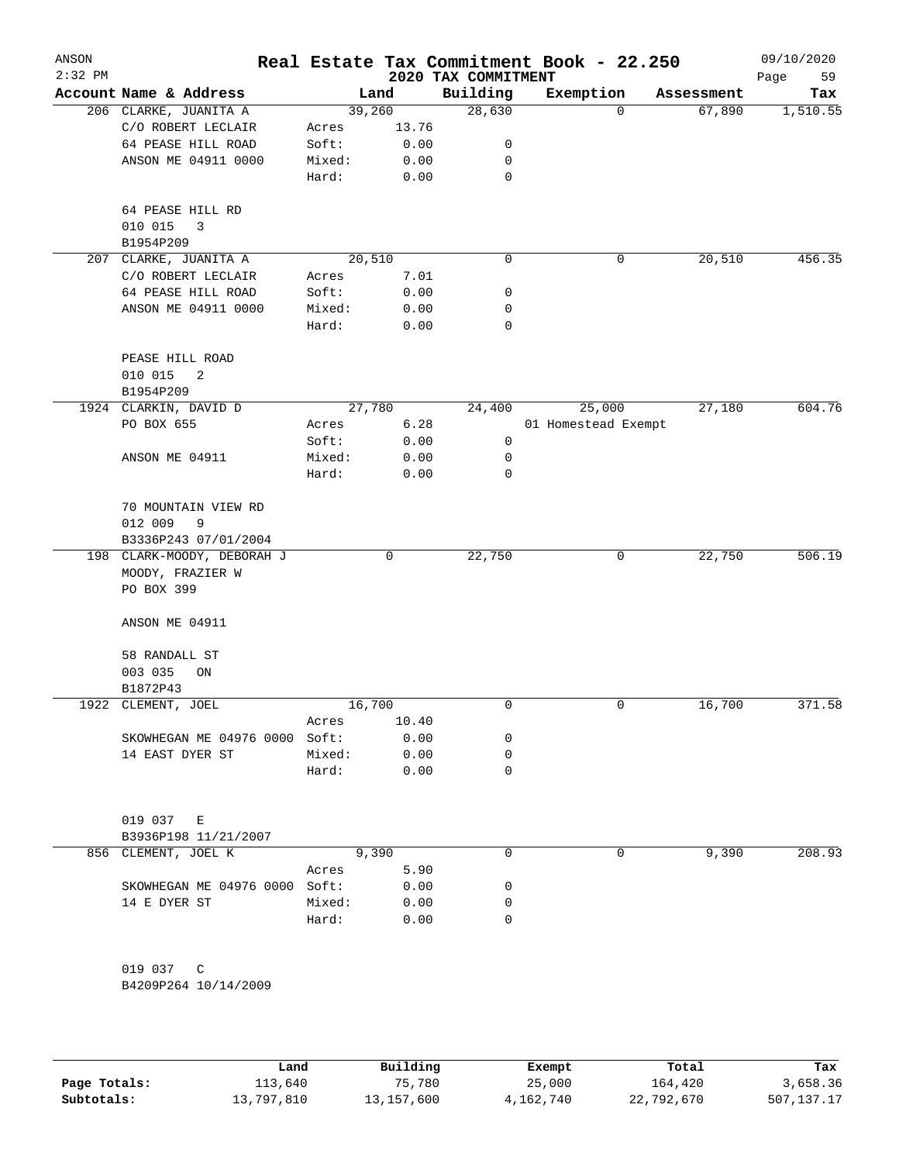| ANSON<br>$2:32$ PM |                               |                 |              | 2020 TAX COMMITMENT | Real Estate Tax Commitment Book - 22.250 |            | 09/10/2020<br>Page<br>59 |
|--------------------|-------------------------------|-----------------|--------------|---------------------|------------------------------------------|------------|--------------------------|
|                    | Account Name & Address        |                 | Land         | Building            | Exemption                                | Assessment | Tax                      |
|                    | 206 CLARKE, JUANITA A         | 39,260          |              | 28,630              | 0                                        | 67,890     | 1,510.55                 |
|                    | C/O ROBERT LECLAIR            | Acres           | 13.76        |                     |                                          |            |                          |
|                    | 64 PEASE HILL ROAD            | Soft:           | 0.00         | 0                   |                                          |            |                          |
|                    | ANSON ME 04911 0000           | Mixed:          | 0.00         | 0                   |                                          |            |                          |
|                    |                               | Hard:           | 0.00         | 0                   |                                          |            |                          |
|                    | 64 PEASE HILL RD              |                 |              |                     |                                          |            |                          |
|                    | 010 015<br>3                  |                 |              |                     |                                          |            |                          |
|                    | B1954P209                     |                 |              |                     |                                          |            |                          |
|                    | 207 CLARKE, JUANITA A         | 20,510          |              | $\mathbf 0$         | 0                                        | 20,510     | 456.35                   |
|                    | C/O ROBERT LECLAIR            | Acres           | 7.01         |                     |                                          |            |                          |
|                    | 64 PEASE HILL ROAD            | Soft:           | 0.00         | 0                   |                                          |            |                          |
|                    | ANSON ME 04911 0000           | Mixed:          | 0.00         | 0                   |                                          |            |                          |
|                    |                               | Hard:           | 0.00         | 0                   |                                          |            |                          |
|                    | PEASE HILL ROAD               |                 |              |                     |                                          |            |                          |
|                    | 010 015<br>2                  |                 |              |                     |                                          |            |                          |
|                    | B1954P209                     |                 |              |                     |                                          |            |                          |
|                    | 1924 CLARKIN, DAVID D         | 27,780          |              | 24,400              | 25,000                                   | 27,180     | 604.76                   |
|                    | PO BOX 655                    | Acres           | 6.28         |                     | 01 Homestead Exempt                      |            |                          |
|                    |                               | Soft:           | 0.00         | 0                   |                                          |            |                          |
|                    | ANSON ME 04911                | Mixed:          | 0.00         | 0                   |                                          |            |                          |
|                    |                               | Hard:           | 0.00         | 0                   |                                          |            |                          |
|                    | 70 MOUNTAIN VIEW RD           |                 |              |                     |                                          |            |                          |
|                    | 012 009<br>9                  |                 |              |                     |                                          |            |                          |
|                    | B3336P243 07/01/2004          |                 |              |                     |                                          |            |                          |
|                    | 198 CLARK-MOODY, DEBORAH J    |                 | 0            | 22,750              | 0                                        | 22,750     | 506.19                   |
|                    | MOODY, FRAZIER W              |                 |              |                     |                                          |            |                          |
|                    | PO BOX 399                    |                 |              |                     |                                          |            |                          |
|                    | ANSON ME 04911                |                 |              |                     |                                          |            |                          |
|                    |                               |                 |              |                     |                                          |            |                          |
|                    | 58 RANDALL ST                 |                 |              |                     |                                          |            |                          |
|                    | 003 035<br>ON                 |                 |              |                     |                                          |            |                          |
|                    | B1872P43                      |                 |              |                     |                                          |            |                          |
|                    | 1922 CLEMENT, JOEL            | 16,700          |              | 0                   | 0                                        | 16,700     | 371.58                   |
|                    |                               | Acres<br>Soft:  | 10.40        |                     |                                          |            |                          |
|                    | SKOWHEGAN ME 04976 0000       |                 | 0.00         | 0                   |                                          |            |                          |
|                    | 14 EAST DYER ST               | Mixed:<br>Hard: | 0.00<br>0.00 | 0<br>0              |                                          |            |                          |
|                    |                               |                 |              |                     |                                          |            |                          |
|                    | 019 037<br>E                  |                 |              |                     |                                          |            |                          |
|                    | B3936P198 11/21/2007          |                 |              |                     |                                          |            |                          |
|                    | 856 CLEMENT, JOEL K           |                 | 9,390        | 0                   | 0                                        | 9,390      | 208.93                   |
|                    |                               | Acres           | 5.90         |                     |                                          |            |                          |
|                    | SKOWHEGAN ME 04976 0000 Soft: |                 | 0.00         | 0                   |                                          |            |                          |
|                    | 14 E DYER ST                  | Mixed:          | 0.00         | 0                   |                                          |            |                          |
|                    |                               | Hard:           | 0.00         | $\Omega$            |                                          |            |                          |
|                    |                               |                 |              |                     |                                          |            |                          |
|                    | 019 037 C                     |                 |              |                     |                                          |            |                          |
|                    | B4209P264 10/14/2009          |                 |              |                     |                                          |            |                          |
|                    |                               |                 |              |                     |                                          |            |                          |
|                    |                               |                 |              |                     |                                          |            |                          |

|              | Land       | Building   | Exempt    | Total      | Tax        |
|--------------|------------|------------|-----------|------------|------------|
| Page Totals: | 113,640    | 75,780     | 25,000    | 164,420    | 3,658.36   |
| Subtotals:   | 13,797,810 | 13,157,600 | 4,162,740 | 22,792,670 | 507,137.17 |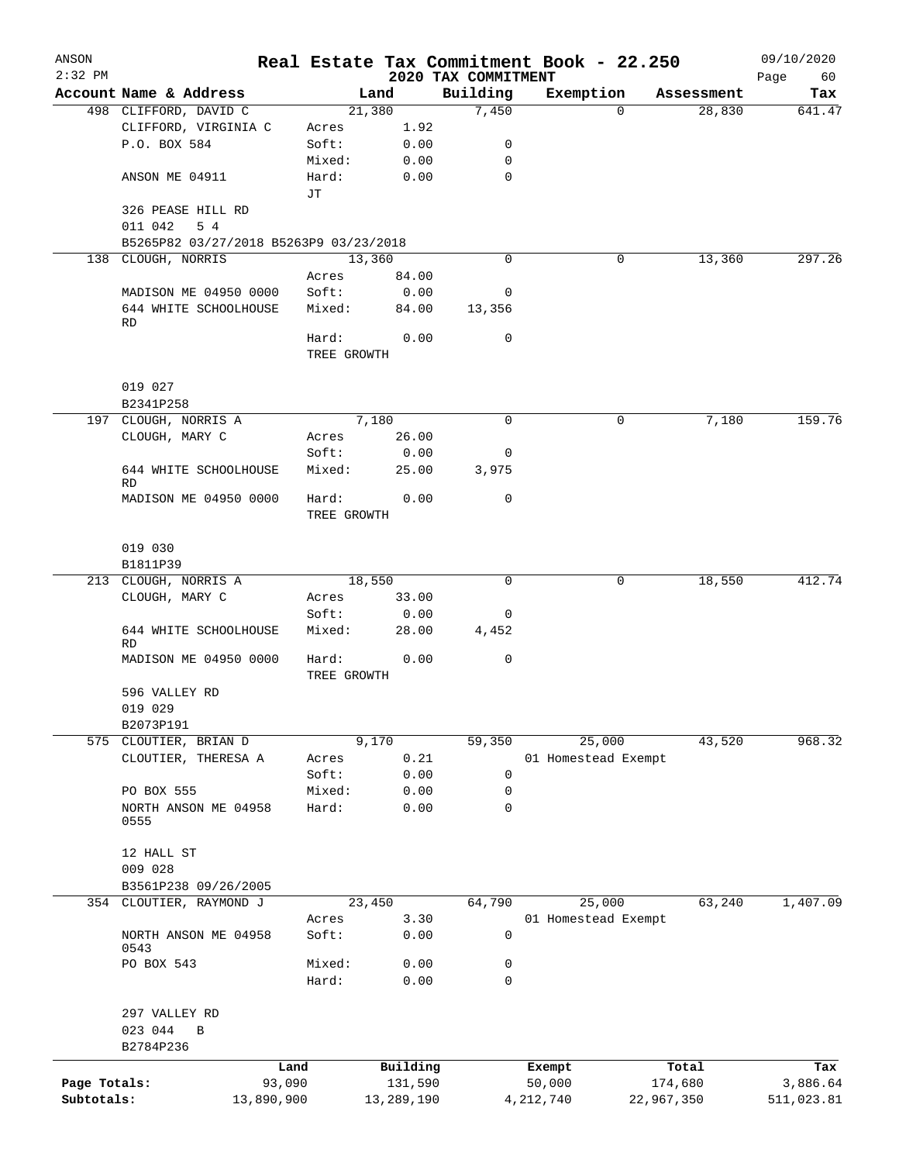| ANSON        |                                                 |            |             |                |                     | Real Estate Tax Commitment Book - 22.250 |                      | 09/10/2020    |
|--------------|-------------------------------------------------|------------|-------------|----------------|---------------------|------------------------------------------|----------------------|---------------|
| $2:32$ PM    |                                                 |            |             |                | 2020 TAX COMMITMENT |                                          |                      | Page<br>60    |
|              | Account Name & Address                          |            |             | Land<br>21,380 | Building<br>7,450   | Exemption<br>$\Omega$                    | Assessment<br>28,830 | Tax<br>641.47 |
|              | 498 CLIFFORD, DAVID C<br>CLIFFORD, VIRGINIA C   |            | Acres       | 1.92           |                     |                                          |                      |               |
|              | P.O. BOX 584                                    |            | Soft:       | 0.00           | 0                   |                                          |                      |               |
|              |                                                 |            | Mixed:      | 0.00           | 0                   |                                          |                      |               |
|              | ANSON ME 04911                                  |            | Hard:       | 0.00           | $\mathbf 0$         |                                          |                      |               |
|              |                                                 |            | JТ          |                |                     |                                          |                      |               |
|              | 326 PEASE HILL RD                               |            |             |                |                     |                                          |                      |               |
|              | 011 042<br>5 4                                  |            |             |                |                     |                                          |                      |               |
|              | B5265P82 03/27/2018 B5263P9 03/23/2018          |            |             |                |                     |                                          |                      |               |
|              | 138 CLOUGH, NORRIS                              |            |             | 13,360         | $\mathbf 0$         | $\mathbf{0}$                             | 13,360               | 297.26        |
|              |                                                 |            | Acres       | 84.00          |                     |                                          |                      |               |
|              | MADISON ME 04950 0000                           |            | Soft:       | 0.00           | 0                   |                                          |                      |               |
|              | 644 WHITE SCHOOLHOUSE                           |            | Mixed:      | 84.00          | 13,356              |                                          |                      |               |
|              | RD                                              |            |             |                |                     |                                          |                      |               |
|              |                                                 |            | Hard:       | 0.00           | $\mathbf 0$         |                                          |                      |               |
|              |                                                 |            | TREE GROWTH |                |                     |                                          |                      |               |
|              |                                                 |            |             |                |                     |                                          |                      |               |
|              | 019 027                                         |            |             |                |                     |                                          |                      |               |
|              | B2341P258                                       |            |             |                |                     |                                          |                      |               |
|              | 197 CLOUGH, NORRIS A                            |            |             | 7,180          | $\mathbf 0$         | 0                                        | 7,180                | 159.76        |
|              | CLOUGH, MARY C                                  |            | Acres       | 26.00          |                     |                                          |                      |               |
|              |                                                 |            | Soft:       | 0.00           | 0                   |                                          |                      |               |
|              | 644 WHITE SCHOOLHOUSE<br><b>RD</b>              |            | Mixed:      | 25.00          | 3,975               |                                          |                      |               |
|              | MADISON ME 04950 0000                           |            | Hard:       | 0.00           | $\mathbf 0$         |                                          |                      |               |
|              |                                                 |            | TREE GROWTH |                |                     |                                          |                      |               |
|              |                                                 |            |             |                |                     |                                          |                      |               |
|              | 019 030                                         |            |             |                |                     |                                          |                      |               |
|              | B1811P39                                        |            |             |                |                     |                                          |                      |               |
|              | 213 CLOUGH, NORRIS A                            |            |             | 18,550         | $\mathbf 0$         | 0                                        | 18,550               | 412.74        |
|              | CLOUGH, MARY C                                  |            | Acres       | 33.00          |                     |                                          |                      |               |
|              |                                                 |            | Soft:       | 0.00           | 0                   |                                          |                      |               |
|              | 644 WHITE SCHOOLHOUSE                           |            | Mixed:      | 28.00          | 4,452               |                                          |                      |               |
|              | <b>RD</b>                                       |            |             |                |                     |                                          |                      |               |
|              | MADISON ME 04950 0000                           |            | Hard:       | 0.00           | $\mathbf 0$         |                                          |                      |               |
|              |                                                 |            | TREE GROWTH |                |                     |                                          |                      |               |
|              | 596 VALLEY RD                                   |            |             |                |                     |                                          |                      |               |
|              | 019 029                                         |            |             |                |                     |                                          |                      |               |
|              | B2073P191                                       |            |             |                |                     |                                          |                      |               |
|              | 575 CLOUTIER, BRIAN D                           |            |             | 9,170          | 59,350              | 25,000                                   | 43,520               | 968.32        |
|              | CLOUTIER, THERESA A                             |            | Acres       | 0.21           |                     | 01 Homestead Exempt                      |                      |               |
|              |                                                 |            | Soft:       | 0.00           | 0                   |                                          |                      |               |
|              | PO BOX 555                                      |            | Mixed:      | 0.00           | 0                   |                                          |                      |               |
|              | NORTH ANSON ME 04958                            |            | Hard:       | 0.00           | $\mathbf 0$         |                                          |                      |               |
|              | 0555                                            |            |             |                |                     |                                          |                      |               |
|              |                                                 |            |             |                |                     |                                          |                      |               |
|              | 12 HALL ST                                      |            |             |                |                     |                                          |                      |               |
|              | 009 028                                         |            |             |                |                     |                                          |                      |               |
|              | B3561P238 09/26/2005<br>354 CLOUTIER, RAYMOND J |            |             | 23,450         | 64,790              | 25,000                                   | 63,240               | 1,407.09      |
|              |                                                 |            | Acres       | 3.30           |                     | 01 Homestead Exempt                      |                      |               |
|              | NORTH ANSON ME 04958                            |            | Soft:       | 0.00           | $\mathbf 0$         |                                          |                      |               |
|              | 0543                                            |            |             |                |                     |                                          |                      |               |
|              | PO BOX 543                                      |            | Mixed:      | 0.00           | 0                   |                                          |                      |               |
|              |                                                 |            | Hard:       | 0.00           | $\mathbf 0$         |                                          |                      |               |
|              |                                                 |            |             |                |                     |                                          |                      |               |
|              | 297 VALLEY RD                                   |            |             |                |                     |                                          |                      |               |
|              | 023 044<br>$\, {\bf B}$                         |            |             |                |                     |                                          |                      |               |
|              | B2784P236                                       |            |             |                |                     |                                          |                      |               |
|              |                                                 | Land       |             | Building       |                     | Exempt                                   | Total                | Tax           |
| Page Totals: |                                                 | 93,090     |             | 131,590        |                     | 50,000                                   | 174,680              | 3,886.64      |
| Subtotals:   |                                                 | 13,890,900 |             | 13,289,190     |                     | 4, 212, 740                              | 22,967,350           | 511,023.81    |
|              |                                                 |            |             |                |                     |                                          |                      |               |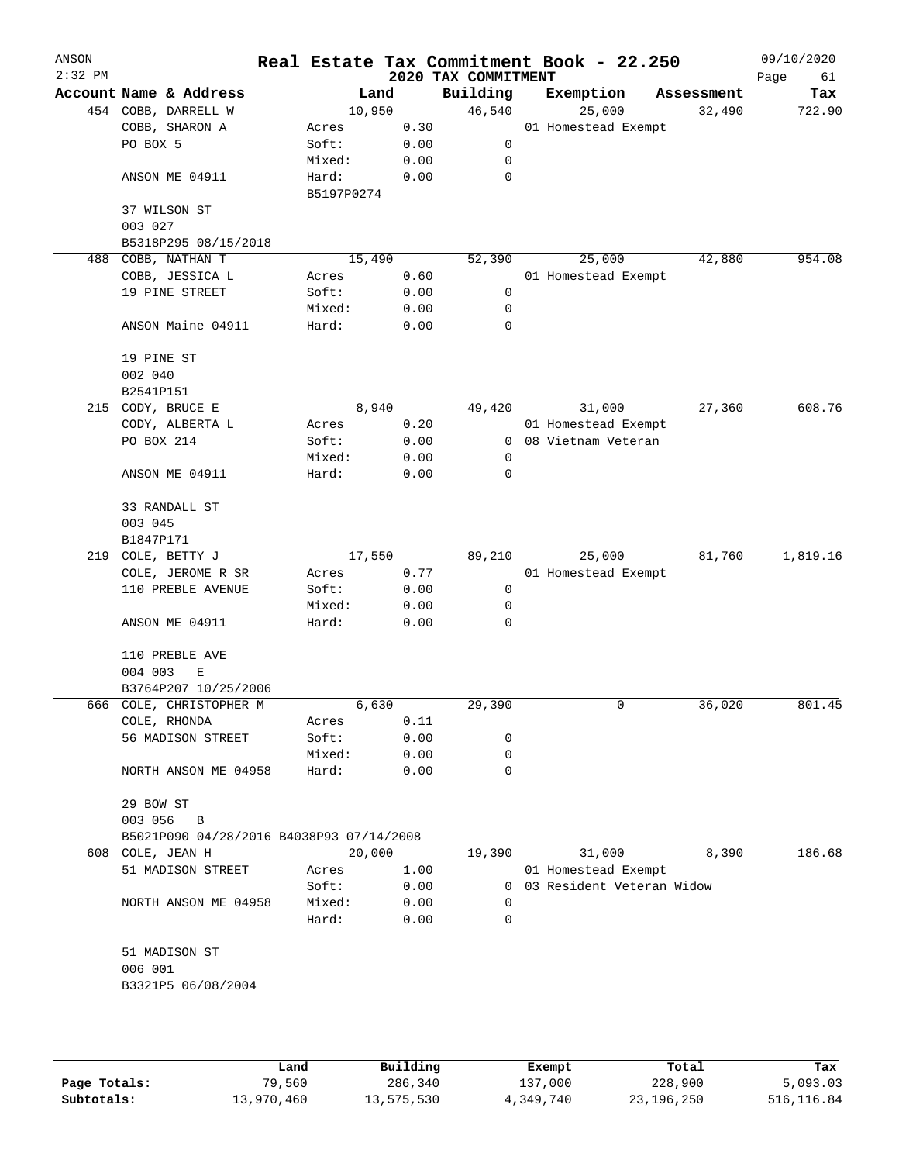| ANSON<br>$2:32$ PM |                                          |                     |      | 2020 TAX COMMITMENT | Real Estate Tax Commitment Book - 22.250 |            | 09/10/2020<br>Page<br>61 |
|--------------------|------------------------------------------|---------------------|------|---------------------|------------------------------------------|------------|--------------------------|
|                    | Account Name & Address                   | Land                |      | Building            | Exemption                                | Assessment | Tax                      |
|                    | 454 COBB, DARRELL W                      | 10,950              |      | 46,540              | 25,000                                   | 32,490     | 722.90                   |
|                    | COBB, SHARON A                           | Acres               | 0.30 |                     | 01 Homestead Exempt                      |            |                          |
|                    | PO BOX 5                                 | Soft:               | 0.00 | 0                   |                                          |            |                          |
|                    |                                          | Mixed:              | 0.00 | 0                   |                                          |            |                          |
|                    | ANSON ME 04911                           | Hard:<br>B5197P0274 | 0.00 | 0                   |                                          |            |                          |
|                    | 37 WILSON ST<br>003 027                  |                     |      |                     |                                          |            |                          |
|                    | B5318P295 08/15/2018                     |                     |      |                     |                                          |            |                          |
| 488                | COBB, NATHAN T                           | 15,490              |      | 52,390              | 25,000                                   | 42,880     | 954.08                   |
|                    | COBB, JESSICA L                          | Acres               | 0.60 |                     | 01 Homestead Exempt                      |            |                          |
|                    | 19 PINE STREET                           | Soft:               | 0.00 | 0                   |                                          |            |                          |
|                    |                                          | Mixed:              | 0.00 | 0                   |                                          |            |                          |
|                    | ANSON Maine 04911                        | Hard:               | 0.00 | 0                   |                                          |            |                          |
|                    | 19 PINE ST                               |                     |      |                     |                                          |            |                          |
|                    | 002 040                                  |                     |      |                     |                                          |            |                          |
|                    | B2541P151                                |                     |      |                     |                                          |            |                          |
|                    | 215 CODY, BRUCE E                        | 8,940               |      | 49,420              | 31,000                                   | 27,360     | 608.76                   |
|                    | CODY, ALBERTA L                          | Acres               | 0.20 |                     | 01 Homestead Exempt                      |            |                          |
|                    | PO BOX 214                               | Soft:               | 0.00 | 0                   | 08 Vietnam Veteran                       |            |                          |
|                    |                                          | Mixed:              | 0.00 | 0                   |                                          |            |                          |
|                    | ANSON ME 04911                           | Hard:               | 0.00 | 0                   |                                          |            |                          |
|                    | 33 RANDALL ST                            |                     |      |                     |                                          |            |                          |
|                    | 003 045                                  |                     |      |                     |                                          |            |                          |
|                    | B1847P171                                |                     |      |                     |                                          |            |                          |
|                    | 219 COLE, BETTY J                        | 17,550              |      | 89,210              | 25,000                                   | 81,760     | 1,819.16                 |
|                    | COLE, JEROME R SR                        | Acres               | 0.77 |                     | 01 Homestead Exempt                      |            |                          |
|                    | 110 PREBLE AVENUE                        | Soft:               | 0.00 | 0                   |                                          |            |                          |
|                    |                                          | Mixed:              | 0.00 | 0                   |                                          |            |                          |
|                    | ANSON ME 04911                           | Hard:               | 0.00 | 0                   |                                          |            |                          |
|                    | 110 PREBLE AVE                           |                     |      |                     |                                          |            |                          |
|                    | 004 003<br>Ε                             |                     |      |                     |                                          |            |                          |
|                    | B3764P207 10/25/2006                     |                     |      |                     |                                          |            |                          |
|                    | 666 COLE, CHRISTOPHER M                  | 6,630               |      | 29,390              | 0                                        | 36,020     | 801.45                   |
|                    | COLE, RHONDA                             | Acres               | 0.11 |                     |                                          |            |                          |
|                    | 56 MADISON STREET                        | Soft:               | 0.00 | 0                   |                                          |            |                          |
|                    |                                          | Mixed:              | 0.00 | 0                   |                                          |            |                          |
|                    | NORTH ANSON ME 04958                     | Hard:               | 0.00 | 0                   |                                          |            |                          |
|                    | 29 BOW ST                                |                     |      |                     |                                          |            |                          |
|                    | 003 056<br>B                             |                     |      |                     |                                          |            |                          |
|                    | B5021P090 04/28/2016 B4038P93 07/14/2008 |                     |      |                     |                                          |            |                          |
| 608                | COLE, JEAN H                             | 20,000              |      | 19,390              | 31,000                                   | 8,390      | 186.68                   |
|                    | 51 MADISON STREET                        | Acres               | 1.00 |                     | 01 Homestead Exempt                      |            |                          |
|                    |                                          | Soft:               | 0.00 | 0                   | 03 Resident Veteran Widow                |            |                          |
|                    | NORTH ANSON ME 04958                     | Mixed:              | 0.00 | 0                   |                                          |            |                          |
|                    |                                          | Hard:               | 0.00 | 0                   |                                          |            |                          |
|                    | 51 MADISON ST                            |                     |      |                     |                                          |            |                          |
|                    | 006 001                                  |                     |      |                     |                                          |            |                          |
|                    | B3321P5 06/08/2004                       |                     |      |                     |                                          |            |                          |
|                    |                                          |                     |      |                     |                                          |            |                          |
|                    |                                          |                     |      |                     |                                          |            |                          |

|              | Land       | Building   | Exempt    | Total      | Tax         |
|--------------|------------|------------|-----------|------------|-------------|
| Page Totals: | 79,560     | 286,340    | 137,000   | 228,900    | 5,093.03    |
| Subtotals:   | 13,970,460 | 13,575,530 | 4,349,740 | 23,196,250 | 516, 116.84 |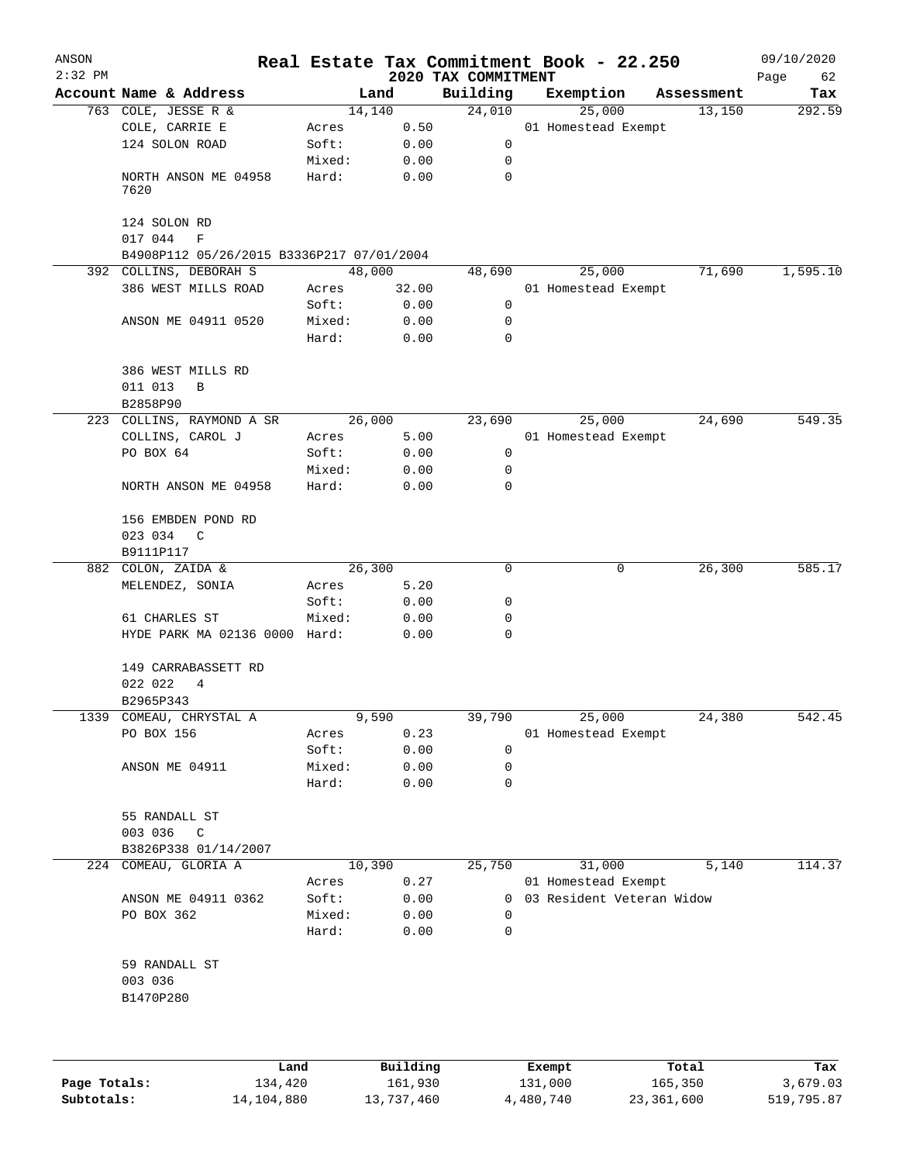| ANSON<br>$2:32$ PM |                                                                     |                 |              | Real Estate Tax Commitment Book - 22.250 |        |                     |                           | 09/10/2020        |
|--------------------|---------------------------------------------------------------------|-----------------|--------------|------------------------------------------|--------|---------------------|---------------------------|-------------------|
|                    | Account Name & Address                                              | Land            |              | 2020 TAX COMMITMENT<br>Building          |        | Exemption           | Assessment                | Page<br>62<br>Tax |
|                    | 763 COLE, JESSE R &                                                 | 14,140          |              | 24,010                                   |        | 25,000              | 13,150                    | 292.59            |
|                    | COLE, CARRIE E                                                      | Acres           | 0.50         |                                          |        | 01 Homestead Exempt |                           |                   |
|                    | 124 SOLON ROAD                                                      | Soft:           | 0.00         | 0                                        |        |                     |                           |                   |
|                    |                                                                     | Mixed:          | 0.00         | 0                                        |        |                     |                           |                   |
|                    | NORTH ANSON ME 04958<br>7620                                        | Hard:           | 0.00         | 0                                        |        |                     |                           |                   |
|                    | 124 SOLON RD                                                        |                 |              |                                          |        |                     |                           |                   |
|                    | 017 044<br>$\mathbf F$                                              |                 |              |                                          |        |                     |                           |                   |
|                    | B4908P112 05/26/2015 B3336P217 07/01/2004<br>392 COLLINS, DEBORAH S | 48,000          |              | 48,690                                   |        | 25,000              | 71,690                    | 1,595.10          |
|                    | 386 WEST MILLS ROAD                                                 | Acres           | 32.00        |                                          |        | 01 Homestead Exempt |                           |                   |
|                    |                                                                     | Soft:           | 0.00         | $\mathbf 0$                              |        |                     |                           |                   |
|                    | ANSON ME 04911 0520                                                 | Mixed:          | 0.00         | $\mathbf 0$                              |        |                     |                           |                   |
|                    |                                                                     | Hard:           | 0.00         | $\mathbf 0$                              |        |                     |                           |                   |
|                    | 386 WEST MILLS RD<br>011 013<br>B                                   |                 |              |                                          |        |                     |                           |                   |
|                    | B2858P90                                                            |                 |              |                                          |        |                     |                           |                   |
|                    | 223 COLLINS, RAYMOND A SR                                           | 26,000          |              | 23,690                                   |        | 25,000              | 24,690                    | 549.35            |
|                    | COLLINS, CAROL J                                                    | Acres           | 5.00         |                                          |        | 01 Homestead Exempt |                           |                   |
|                    | PO BOX 64                                                           | Soft:           | 0.00         | 0                                        |        |                     |                           |                   |
|                    |                                                                     | Mixed:          | 0.00         | 0                                        |        |                     |                           |                   |
|                    | NORTH ANSON ME 04958                                                | Hard:           | 0.00         | 0                                        |        |                     |                           |                   |
|                    | 156 EMBDEN POND RD                                                  |                 |              |                                          |        |                     |                           |                   |
|                    | 023 034 C                                                           |                 |              |                                          |        |                     |                           |                   |
|                    | B9111P117                                                           |                 |              |                                          |        |                     |                           |                   |
|                    | 882 COLON, ZAIDA &                                                  | 26,300          |              | 0                                        |        | 0                   | 26,300                    | 585.17            |
|                    | MELENDEZ, SONIA                                                     | Acres           | 5.20         |                                          |        |                     |                           |                   |
|                    |                                                                     | Soft:           | 0.00         | 0                                        |        |                     |                           |                   |
|                    | 61 CHARLES ST                                                       | Mixed:          | 0.00         | 0<br>0                                   |        |                     |                           |                   |
|                    | HYDE PARK MA 02136 0000 Hard:                                       |                 | 0.00         |                                          |        |                     |                           |                   |
|                    | 149 CARRABASSETT RD                                                 |                 |              |                                          |        |                     |                           |                   |
|                    | 022 022<br>4                                                        |                 |              |                                          |        |                     |                           |                   |
|                    | B2965P343                                                           |                 |              |                                          |        |                     |                           |                   |
|                    | 1339 COMEAU, CHRYSTAL A                                             | 9,590           |              | 39,790                                   |        | 25,000              | 24,380                    | 542.45            |
|                    | PO BOX 156                                                          | Acres           | 0.23         |                                          |        | 01 Homestead Exempt |                           |                   |
|                    | ANSON ME 04911                                                      | Soft:<br>Mixed: | 0.00<br>0.00 | 0<br>0                                   |        |                     |                           |                   |
|                    |                                                                     | Hard:           | 0.00         | $\mathbf 0$                              |        |                     |                           |                   |
|                    |                                                                     |                 |              |                                          |        |                     |                           |                   |
|                    | 55 RANDALL ST                                                       |                 |              |                                          |        |                     |                           |                   |
|                    | 003 036<br>$\mathbb{C}$                                             |                 |              |                                          |        |                     |                           |                   |
|                    | B3826P338 01/14/2007                                                |                 |              |                                          |        |                     |                           |                   |
|                    | 224 COMEAU, GLORIA A                                                | 10,390          |              | 25,750                                   |        | 31,000              | 5,140                     | 114.37            |
|                    |                                                                     | Acres           | 0.27         |                                          |        | 01 Homestead Exempt |                           |                   |
|                    | ANSON ME 04911 0362                                                 | Soft:           | 0.00         | $\overline{0}$                           |        |                     | 03 Resident Veteran Widow |                   |
|                    | PO BOX 362                                                          | Mixed:          | 0.00         | 0                                        |        |                     |                           |                   |
|                    |                                                                     | Hard:           | 0.00         | 0                                        |        |                     |                           |                   |
|                    | 59 RANDALL ST                                                       |                 |              |                                          |        |                     |                           |                   |
|                    | 003 036                                                             |                 |              |                                          |        |                     |                           |                   |
|                    | B1470P280                                                           |                 |              |                                          |        |                     |                           |                   |
|                    |                                                                     |                 |              |                                          |        |                     |                           |                   |
|                    | Land                                                                |                 | Building     |                                          | Exempt |                     | Total                     | Tax               |

**Page Totals:** 134,420 161,930 131,000 165,350 3,679.03 **Subtotals:** 14,104,880 13,737,460 4,480,740 23,361,600 519,795.87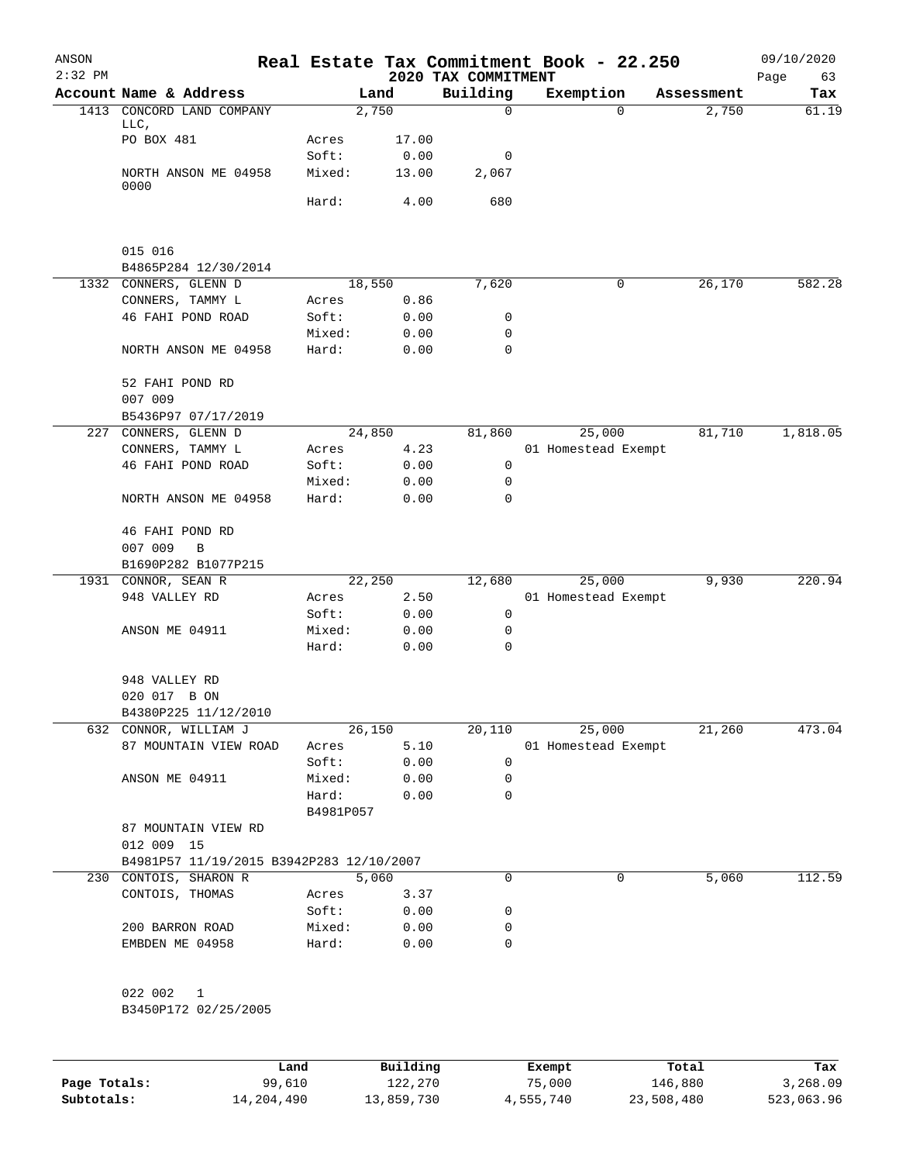| ANSON<br>$2:32$ PM |                                          |           |        | 2020 TAX COMMITMENT | Real Estate Tax Commitment Book - 22.250 |            | 09/10/2020<br>Page<br>63 |
|--------------------|------------------------------------------|-----------|--------|---------------------|------------------------------------------|------------|--------------------------|
|                    | Account Name & Address                   |           | Land   | Building            | Exemption                                | Assessment | Tax                      |
| 1413               | CONCORD LAND COMPANY                     |           | 2,750  | 0                   | $\Omega$                                 | 2,750      | 61.19                    |
|                    | LLC,<br>PO BOX 481                       | Acres     | 17.00  |                     |                                          |            |                          |
|                    |                                          | Soft:     | 0.00   | 0                   |                                          |            |                          |
|                    | NORTH ANSON ME 04958<br>0000             | Mixed:    | 13.00  | 2,067               |                                          |            |                          |
|                    |                                          | Hard:     | 4.00   | 680                 |                                          |            |                          |
|                    | 015 016                                  |           |        |                     |                                          |            |                          |
|                    | B4865P284 12/30/2014                     |           |        |                     |                                          |            |                          |
|                    | 1332 CONNERS, GLENN D                    |           | 18,550 | 7,620               | 0                                        | 26,170     | 582.28                   |
|                    | CONNERS, TAMMY L                         | Acres     | 0.86   |                     |                                          |            |                          |
|                    | 46 FAHI POND ROAD                        | Soft:     | 0.00   | 0                   |                                          |            |                          |
|                    |                                          | Mixed:    |        | 0                   |                                          |            |                          |
|                    | NORTH ANSON ME 04958                     | Hard:     | 0.00   | 0                   |                                          |            |                          |
|                    |                                          |           | 0.00   |                     |                                          |            |                          |
|                    | 52 FAHI POND RD                          |           |        |                     |                                          |            |                          |
|                    | 007 009                                  |           |        |                     |                                          |            |                          |
|                    | B5436P97 07/17/2019                      |           |        |                     |                                          |            |                          |
|                    | 227 CONNERS, GLENN D                     |           | 24,850 | 81,860              | 25,000                                   | 81,710     | 1,818.05                 |
|                    | CONNERS, TAMMY L                         | Acres     | 4.23   |                     | 01 Homestead Exempt                      |            |                          |
|                    | 46 FAHI POND ROAD                        | Soft:     | 0.00   | 0                   |                                          |            |                          |
|                    |                                          | Mixed:    | 0.00   | 0                   |                                          |            |                          |
|                    | NORTH ANSON ME 04958                     | Hard:     | 0.00   | 0                   |                                          |            |                          |
|                    | 46 FAHI POND RD                          |           |        |                     |                                          |            |                          |
|                    | 007 009<br>$\, {\bf B}$                  |           |        |                     |                                          |            |                          |
|                    | B1690P282 B1077P215                      |           |        |                     |                                          |            |                          |
|                    | 1931 CONNOR, SEAN R                      |           | 22,250 | 12,680              | 25,000                                   | 9,930      | 220.94                   |
|                    | 948 VALLEY RD                            | Acres     | 2.50   |                     | 01 Homestead Exempt                      |            |                          |
|                    |                                          | Soft:     | 0.00   | 0                   |                                          |            |                          |
|                    | ANSON ME 04911                           | Mixed:    | 0.00   | 0                   |                                          |            |                          |
|                    |                                          | Hard:     | 0.00   | 0                   |                                          |            |                          |
|                    | 948 VALLEY RD                            |           |        |                     |                                          |            |                          |
|                    | 020 017 B ON                             |           |        |                     |                                          |            |                          |
|                    | B4380P225 11/12/2010                     |           |        |                     |                                          |            |                          |
|                    | 632 CONNOR, WILLIAM J                    |           | 26,150 | 20,110              | 25,000                                   | 21,260     | 473.04                   |
|                    | 87 MOUNTAIN VIEW ROAD                    | Acres     | 5.10   |                     | 01 Homestead Exempt                      |            |                          |
|                    |                                          | Soft:     | 0.00   | $\mathbf 0$         |                                          |            |                          |
|                    | ANSON ME 04911                           | Mixed:    | 0.00   | 0                   |                                          |            |                          |
|                    |                                          | Hard:     | 0.00   | 0                   |                                          |            |                          |
|                    |                                          | B4981P057 |        |                     |                                          |            |                          |
|                    | 87 MOUNTAIN VIEW RD                      |           |        |                     |                                          |            |                          |
|                    | 012 009 15                               |           |        |                     |                                          |            |                          |
|                    | B4981P57 11/19/2015 B3942P283 12/10/2007 |           |        |                     |                                          |            |                          |
|                    | 230 CONTOIS, SHARON R                    |           | 5,060  | 0                   | 0                                        | 5,060      | 112.59                   |
|                    | CONTOIS, THOMAS                          | Acres     | 3.37   |                     |                                          |            |                          |
|                    |                                          | Soft:     | 0.00   | 0                   |                                          |            |                          |
|                    | 200 BARRON ROAD                          | Mixed:    | 0.00   | 0                   |                                          |            |                          |
|                    | EMBDEN ME 04958                          | Hard:     | 0.00   | 0                   |                                          |            |                          |
|                    | 022 002 1                                |           |        |                     |                                          |            |                          |
|                    | B3450P172 02/25/2005                     |           |        |                     |                                          |            |                          |
|                    |                                          |           |        |                     |                                          |            |                          |
|                    |                                          |           |        |                     |                                          |            |                          |

|              | Land       | Building   | Exempt    | Total      | Tax        |
|--------------|------------|------------|-----------|------------|------------|
| Page Totals: | 99,610     | 122,270    | 75,000    | 146,880    | 3,268.09   |
| Subtotals:   | 14,204,490 | 13,859,730 | 4,555,740 | 23,508,480 | 523,063.96 |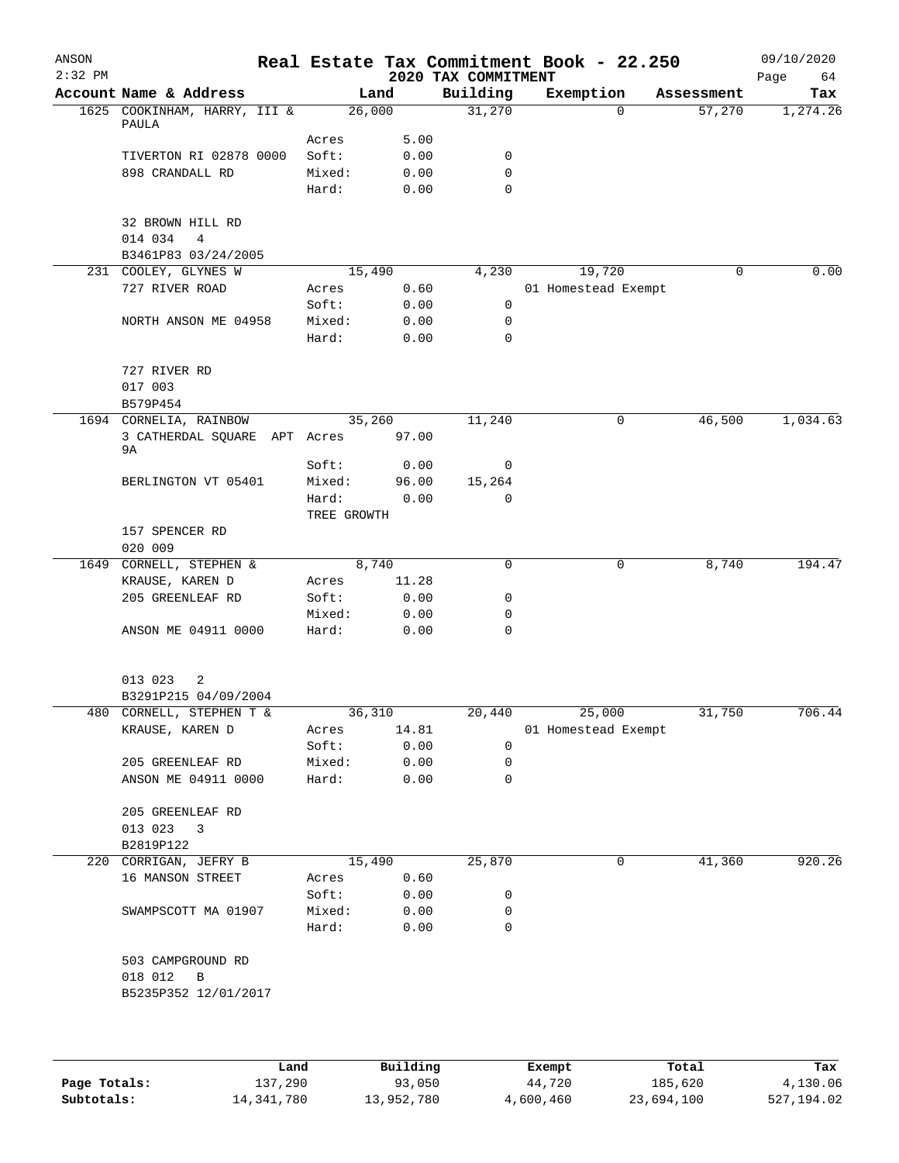| ANSON<br>$2:32$ PM |                                               |             |        | 2020 TAX COMMITMENT | Real Estate Tax Commitment Book - 22.250 |            | 09/10/2020<br>Page<br>64 |
|--------------------|-----------------------------------------------|-------------|--------|---------------------|------------------------------------------|------------|--------------------------|
|                    | Account Name & Address                        |             | Land   | Building            | Exemption                                | Assessment | Tax                      |
|                    | 1625 COOKINHAM, HARRY, III &<br>PAULA         |             | 26,000 | 31,270              | $\Omega$                                 | 57,270     | 1,274.26                 |
|                    |                                               | Acres       | 5.00   |                     |                                          |            |                          |
|                    | TIVERTON RI 02878 0000                        | Soft:       | 0.00   | 0                   |                                          |            |                          |
|                    | 898 CRANDALL RD                               | Mixed:      | 0.00   | 0                   |                                          |            |                          |
|                    |                                               | Hard:       | 0.00   | $\mathbf 0$         |                                          |            |                          |
|                    | 32 BROWN HILL RD<br>014 034<br>$\overline{4}$ |             |        |                     |                                          |            |                          |
|                    | B3461P83 03/24/2005                           |             |        |                     |                                          |            |                          |
|                    | 231 COOLEY, GLYNES W                          |             | 15,490 | 4,230               | 19,720                                   | 0          | 0.00                     |
|                    | 727 RIVER ROAD                                | Acres       | 0.60   |                     | 01 Homestead Exempt                      |            |                          |
|                    |                                               | Soft:       |        | 0                   |                                          |            |                          |
|                    |                                               |             | 0.00   |                     |                                          |            |                          |
|                    | NORTH ANSON ME 04958                          | Mixed:      | 0.00   | 0                   |                                          |            |                          |
|                    |                                               | Hard:       | 0.00   | $\mathbf 0$         |                                          |            |                          |
|                    | 727 RIVER RD                                  |             |        |                     |                                          |            |                          |
|                    | 017 003                                       |             |        |                     |                                          |            |                          |
|                    | B579P454                                      |             |        |                     |                                          |            |                          |
|                    | 1694 CORNELIA, RAINBOW                        |             | 35,260 | 11,240              | 0                                        | 46,500     | 1,034.63                 |
|                    | 3 CATHERDAL SQUARE APT Acres 97.00<br>9A      |             |        |                     |                                          |            |                          |
|                    |                                               | Soft:       | 0.00   | 0                   |                                          |            |                          |
|                    | BERLINGTON VT 05401                           | Mixed:      | 96.00  | 15,264              |                                          |            |                          |
|                    |                                               | Hard:       | 0.00   | $\mathbf 0$         |                                          |            |                          |
|                    |                                               | TREE GROWTH |        |                     |                                          |            |                          |
|                    | 157 SPENCER RD                                |             |        |                     |                                          |            |                          |
|                    | 020 009                                       |             |        |                     |                                          |            |                          |
|                    | 1649 CORNELL, STEPHEN &                       |             | 8,740  | 0                   | 0                                        | 8,740      | 194.47                   |
|                    | KRAUSE, KAREN D                               |             | 11.28  |                     |                                          |            |                          |
|                    |                                               | Acres       |        |                     |                                          |            |                          |
|                    | 205 GREENLEAF RD                              | Soft:       | 0.00   | 0                   |                                          |            |                          |
|                    |                                               | Mixed:      | 0.00   | 0                   |                                          |            |                          |
|                    | ANSON ME 04911 0000                           | Hard:       | 0.00   | 0                   |                                          |            |                          |
|                    | 013 023<br>2                                  |             |        |                     |                                          |            |                          |
|                    | B3291P215 04/09/2004                          |             |        |                     |                                          |            |                          |
|                    | 480 CORNELL, STEPHEN T &                      |             | 36,310 | 20,440              | 25,000                                   | 31,750     | 706.44                   |
|                    | KRAUSE, KAREN D                               | Acres       | 14.81  |                     | 01 Homestead Exempt                      |            |                          |
|                    |                                               | Soft:       | 0.00   | 0                   |                                          |            |                          |
|                    | 205 GREENLEAF RD                              | Mixed:      | 0.00   | 0                   |                                          |            |                          |
|                    | ANSON ME 04911 0000                           | Hard:       | 0.00   | 0                   |                                          |            |                          |
|                    |                                               |             |        |                     |                                          |            |                          |
|                    | 205 GREENLEAF RD                              |             |        |                     |                                          |            |                          |
|                    | 013 023 3                                     |             |        |                     |                                          |            |                          |
|                    | B2819P122                                     |             |        |                     |                                          |            |                          |
|                    | 220 CORRIGAN, JEFRY B                         |             | 15,490 | 25,870              | 0                                        | 41,360     | 920.26                   |
|                    | 16 MANSON STREET                              | Acres       | 0.60   |                     |                                          |            |                          |
|                    |                                               | Soft:       | 0.00   | 0                   |                                          |            |                          |
|                    | SWAMPSCOTT MA 01907                           | Mixed:      | 0.00   | 0                   |                                          |            |                          |
|                    |                                               | Hard:       | 0.00   | 0                   |                                          |            |                          |
|                    | 503 CAMPGROUND RD                             |             |        |                     |                                          |            |                          |
|                    | 018 012<br>$\overline{B}$                     |             |        |                     |                                          |            |                          |
|                    | B5235P352 12/01/2017                          |             |        |                     |                                          |            |                          |
|                    |                                               |             |        |                     |                                          |            |                          |
|                    |                                               |             |        |                     |                                          |            |                          |
|                    |                                               |             |        |                     |                                          |            |                          |

|              | Land       | Building   | Exempt    | Total      | Tax        |
|--------------|------------|------------|-----------|------------|------------|
| Page Totals: | 137,290    | 93,050     | 44,720    | 185,620    | 4,130.06   |
| Subtotals:   | 14,341,780 | 13,952,780 | 4,600,460 | 23,694,100 | 527,194.02 |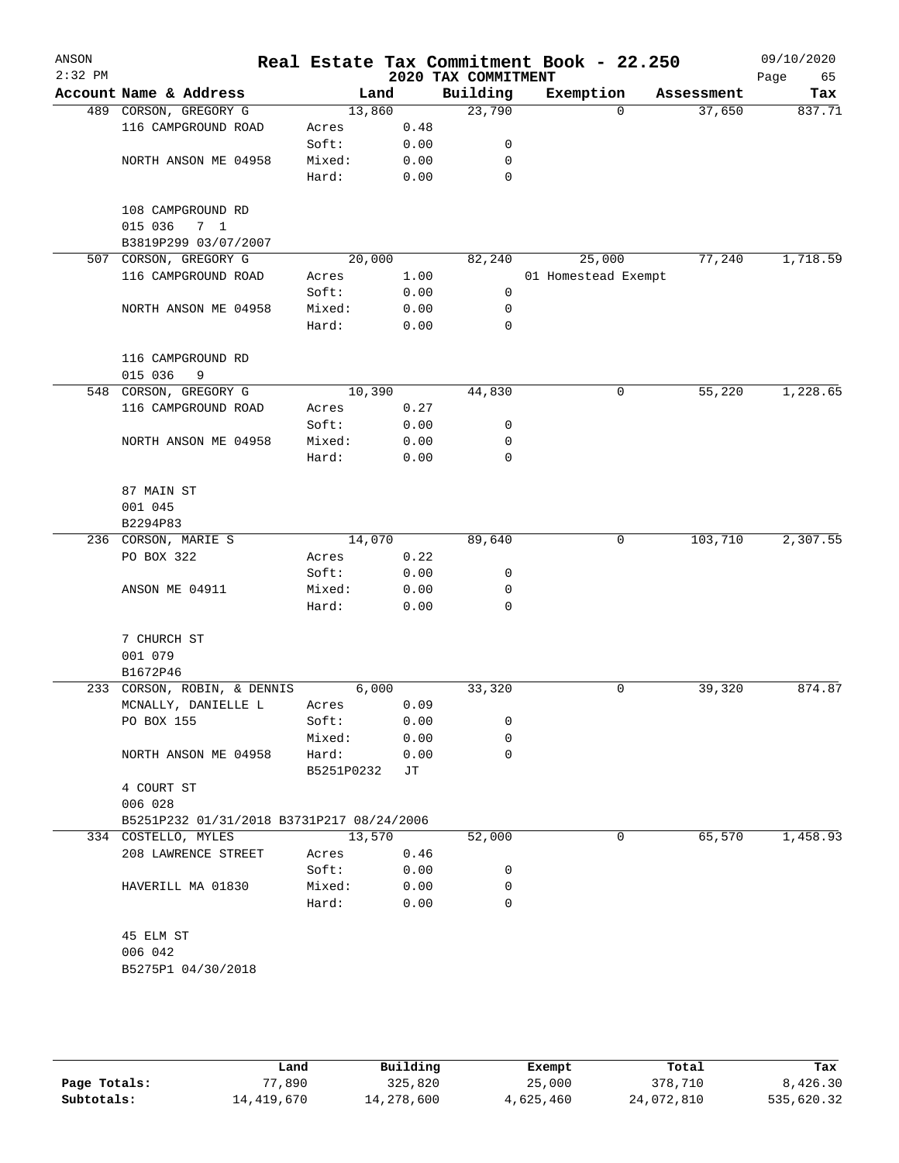| ANSON<br>$2:32$ PM |                                           |            |      | 2020 TAX COMMITMENT | Real Estate Tax Commitment Book - 22.250 |            | 09/10/2020<br>Page<br>65 |
|--------------------|-------------------------------------------|------------|------|---------------------|------------------------------------------|------------|--------------------------|
|                    | Account Name & Address                    | Land       |      | Building            | Exemption                                | Assessment | Tax                      |
|                    | 489 CORSON, GREGORY G                     | 13,860     |      | 23,790              | $\Omega$                                 | 37,650     | 837.71                   |
|                    | 116 CAMPGROUND ROAD                       | Acres      | 0.48 |                     |                                          |            |                          |
|                    |                                           | Soft:      | 0.00 | 0                   |                                          |            |                          |
|                    | NORTH ANSON ME 04958                      | Mixed:     | 0.00 | 0                   |                                          |            |                          |
|                    |                                           | Hard:      | 0.00 | 0                   |                                          |            |                          |
|                    |                                           |            |      |                     |                                          |            |                          |
|                    | 108 CAMPGROUND RD                         |            |      |                     |                                          |            |                          |
|                    | 015 036<br>7 <sub>1</sub>                 |            |      |                     |                                          |            |                          |
|                    | B3819P299 03/07/2007                      |            |      |                     |                                          |            |                          |
| 507                | CORSON, GREGORY G                         | 20,000     |      | 82,240              | 25,000                                   | 77,240     | 1,718.59                 |
|                    | 116 CAMPGROUND ROAD                       | Acres      | 1.00 |                     | 01 Homestead Exempt                      |            |                          |
|                    |                                           | Soft:      | 0.00 | 0                   |                                          |            |                          |
|                    | NORTH ANSON ME 04958                      | Mixed:     | 0.00 | 0                   |                                          |            |                          |
|                    |                                           | Hard:      | 0.00 | 0                   |                                          |            |                          |
|                    | 116 CAMPGROUND RD                         |            |      |                     |                                          |            |                          |
|                    | 015 036<br>9                              |            |      |                     |                                          |            |                          |
| 548                | CORSON, GREGORY G                         | 10,390     |      | 44,830              | 0                                        | 55,220     | 1,228.65                 |
|                    | 116 CAMPGROUND ROAD                       | Acres      | 0.27 |                     |                                          |            |                          |
|                    |                                           | Soft:      | 0.00 | 0                   |                                          |            |                          |
|                    | NORTH ANSON ME 04958                      | Mixed:     | 0.00 | 0                   |                                          |            |                          |
|                    |                                           | Hard:      | 0.00 | 0                   |                                          |            |                          |
|                    |                                           |            |      |                     |                                          |            |                          |
|                    | 87 MAIN ST                                |            |      |                     |                                          |            |                          |
|                    | 001 045                                   |            |      |                     |                                          |            |                          |
|                    | B2294P83                                  |            |      |                     |                                          |            |                          |
|                    | 236 CORSON, MARIE S                       | 14,070     |      | 89,640              | 0                                        | 103,710    | 2,307.55                 |
|                    | PO BOX 322                                | Acres      | 0.22 |                     |                                          |            |                          |
|                    |                                           | Soft:      | 0.00 | 0                   |                                          |            |                          |
|                    | ANSON ME 04911                            | Mixed:     | 0.00 | 0                   |                                          |            |                          |
|                    |                                           | Hard:      | 0.00 | 0                   |                                          |            |                          |
|                    |                                           |            |      |                     |                                          |            |                          |
|                    | 7 CHURCH ST                               |            |      |                     |                                          |            |                          |
|                    | 001 079                                   |            |      |                     |                                          |            |                          |
|                    | B1672P46                                  |            |      |                     |                                          |            |                          |
|                    | 233 CORSON, ROBIN, & DENNIS               | 6,000      |      | 33,320              | 0                                        | 39,320     | 874.87                   |
|                    | MCNALLY, DANIELLE L                       | Acres      | 0.09 |                     |                                          |            |                          |
|                    | PO BOX 155                                | Soft:      | 0.00 | 0                   |                                          |            |                          |
|                    |                                           | Mixed:     | 0.00 | 0                   |                                          |            |                          |
|                    | NORTH ANSON ME 04958                      | Hard:      | 0.00 | 0                   |                                          |            |                          |
|                    | 4 COURT ST                                | B5251P0232 | JТ   |                     |                                          |            |                          |
|                    | 006 028                                   |            |      |                     |                                          |            |                          |
|                    | B5251P232 01/31/2018 B3731P217 08/24/2006 |            |      |                     |                                          |            |                          |
|                    | 334 COSTELLO, MYLES                       | 13,570     |      | 52,000              | 0                                        | 65,570     | 1,458.93                 |
|                    | 208 LAWRENCE STREET                       | Acres      | 0.46 |                     |                                          |            |                          |
|                    |                                           | Soft:      | 0.00 | 0                   |                                          |            |                          |
|                    | HAVERILL MA 01830                         | Mixed:     | 0.00 | 0                   |                                          |            |                          |
|                    |                                           | Hard:      | 0.00 | $\Omega$            |                                          |            |                          |
|                    |                                           |            |      |                     |                                          |            |                          |
|                    | 45 ELM ST                                 |            |      |                     |                                          |            |                          |
|                    | 006 042                                   |            |      |                     |                                          |            |                          |
|                    | B5275P1 04/30/2018                        |            |      |                     |                                          |            |                          |
|                    |                                           |            |      |                     |                                          |            |                          |
|                    |                                           |            |      |                     |                                          |            |                          |

|              | Land       | Building   | Exempt    | Total      | Tax        |
|--------------|------------|------------|-----------|------------|------------|
| Page Totals: | 77,890     | 325,820    | 25,000    | 378,710    | 8,426.30   |
| Subtotals:   | 14,419,670 | 14,278,600 | 4,625,460 | 24,072,810 | 535,620.32 |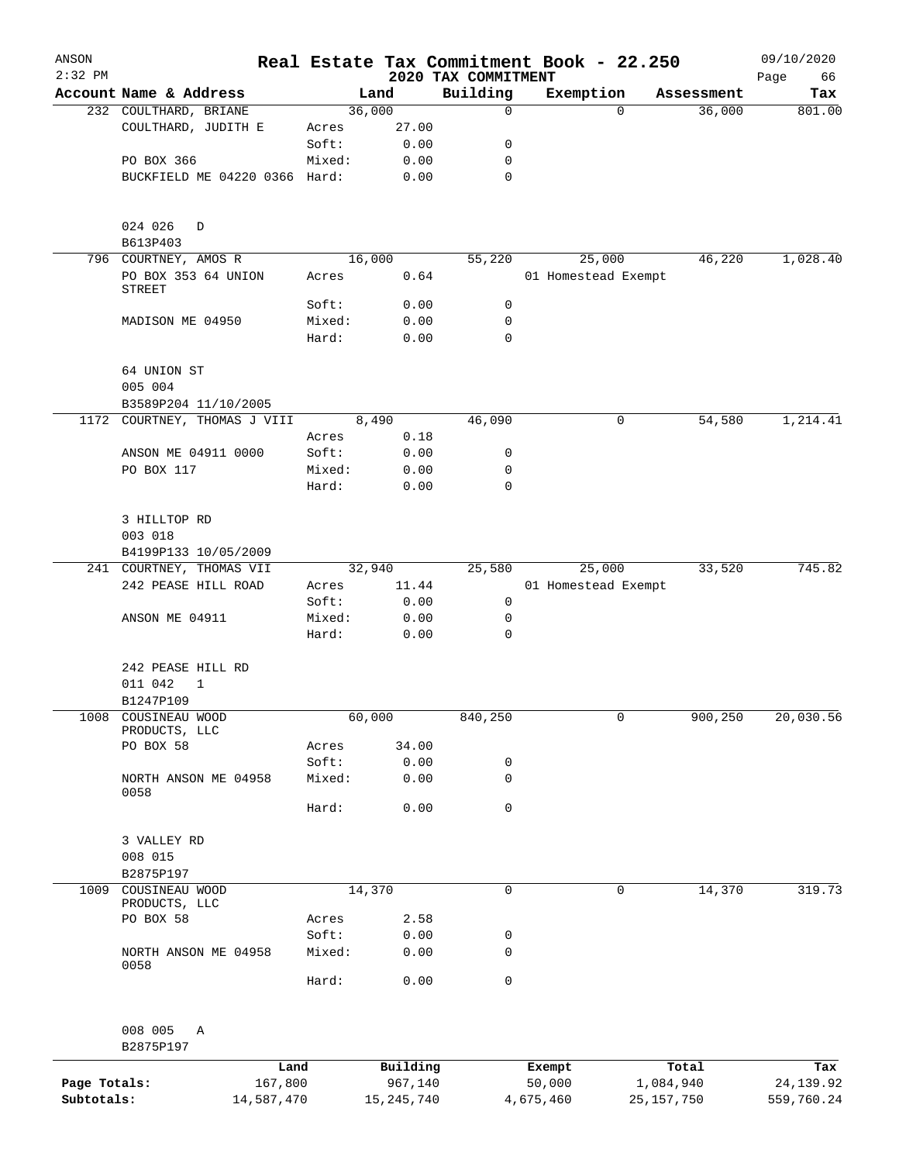| ANSON<br>$2:32$ PM         |                                      |                       |                 |                         |                                 | Real Estate Tax Commitment Book - 22.250 |          |                         | 09/10/2020               |
|----------------------------|--------------------------------------|-----------------------|-----------------|-------------------------|---------------------------------|------------------------------------------|----------|-------------------------|--------------------------|
|                            | Account Name & Address               |                       |                 | Land                    | 2020 TAX COMMITMENT<br>Building | Exemption                                |          | Assessment              | Page<br>66<br>Tax        |
|                            | 232 COULTHARD, BRIANE                |                       |                 | 36,000                  | 0                               |                                          | $\Omega$ | 36,000                  | 801.00                   |
|                            | COULTHARD, JUDITH E                  |                       | Acres           | 27.00                   |                                 |                                          |          |                         |                          |
|                            |                                      |                       | Soft:           | 0.00                    | 0                               |                                          |          |                         |                          |
|                            | PO BOX 366                           |                       | Mixed:          | 0.00                    | 0                               |                                          |          |                         |                          |
|                            | BUCKFIELD ME 04220 0366 Hard:        |                       |                 | 0.00                    | 0                               |                                          |          |                         |                          |
|                            | 024 026<br>D                         |                       |                 |                         |                                 |                                          |          |                         |                          |
|                            | B613P403<br>796 COURTNEY, AMOS R     |                       |                 | 16,000                  | 55,220                          | 25,000                                   |          | 46,220                  | 1,028.40                 |
|                            | PO BOX 353 64 UNION<br><b>STREET</b> |                       | Acres           | 0.64                    |                                 | 01 Homestead Exempt                      |          |                         |                          |
|                            |                                      |                       | Soft:           | 0.00                    | 0                               |                                          |          |                         |                          |
|                            | MADISON ME 04950                     |                       | Mixed:          | 0.00                    | 0                               |                                          |          |                         |                          |
|                            |                                      |                       | Hard:           | 0.00                    | $\mathbf 0$                     |                                          |          |                         |                          |
|                            | 64 UNION ST<br>005 004               |                       |                 |                         |                                 |                                          |          |                         |                          |
|                            | B3589P204 11/10/2005                 |                       |                 |                         |                                 |                                          |          |                         |                          |
| 1172                       | COURTNEY, THOMAS J VIII              |                       |                 | 8,490                   | 46,090                          |                                          | 0        | 54,580                  | 1,214.41                 |
|                            |                                      |                       | Acres           | 0.18                    |                                 |                                          |          |                         |                          |
|                            | ANSON ME 04911 0000                  |                       | Soft:           | 0.00                    | 0                               |                                          |          |                         |                          |
|                            | PO BOX 117                           |                       | Mixed:          | 0.00                    | 0                               |                                          |          |                         |                          |
|                            |                                      |                       | Hard:           | 0.00                    | 0                               |                                          |          |                         |                          |
|                            | 3 HILLTOP RD<br>003 018              |                       |                 |                         |                                 |                                          |          |                         |                          |
|                            | B4199P133 10/05/2009                 |                       |                 |                         |                                 |                                          |          |                         |                          |
|                            | 241 COURTNEY, THOMAS VII             |                       |                 | 32,940                  | 25,580                          | 25,000                                   |          | 33,520                  | 745.82                   |
|                            | 242 PEASE HILL ROAD                  |                       | Acres           | 11.44                   |                                 | 01 Homestead Exempt                      |          |                         |                          |
|                            |                                      |                       | Soft:           | 0.00                    | 0                               |                                          |          |                         |                          |
|                            | ANSON ME 04911                       |                       | Mixed:<br>Hard: | 0.00                    | 0<br>$\mathbf 0$                |                                          |          |                         |                          |
|                            |                                      |                       |                 | 0.00                    |                                 |                                          |          |                         |                          |
|                            | 242 PEASE HILL RD                    |                       |                 |                         |                                 |                                          |          |                         |                          |
|                            | 011 042<br>1                         |                       |                 |                         |                                 |                                          |          |                         |                          |
|                            | B1247P109                            |                       |                 |                         |                                 |                                          |          |                         |                          |
| 1008                       | COUSINEAU WOOD<br>PRODUCTS, LLC      |                       |                 | 60,000                  | 840,250                         |                                          | 0        | 900,250                 | 20,030.56                |
|                            | PO BOX 58                            |                       | Acres           | 34.00                   |                                 |                                          |          |                         |                          |
|                            |                                      |                       | Soft:           | 0.00                    | 0                               |                                          |          |                         |                          |
|                            | NORTH ANSON ME 04958<br>0058         |                       | Mixed:          | 0.00                    | 0                               |                                          |          |                         |                          |
|                            |                                      |                       | Hard:           | 0.00                    | 0                               |                                          |          |                         |                          |
|                            | 3 VALLEY RD                          |                       |                 |                         |                                 |                                          |          |                         |                          |
|                            | 008 015                              |                       |                 |                         |                                 |                                          |          |                         |                          |
|                            | B2875P197                            |                       |                 |                         |                                 |                                          |          |                         |                          |
| 1009                       | COUSINEAU WOOD<br>PRODUCTS, LLC      |                       |                 | 14,370                  | 0                               |                                          | 0        | 14,370                  | 319.73                   |
|                            | PO BOX 58                            |                       | Acres           | 2.58                    |                                 |                                          |          |                         |                          |
|                            |                                      |                       | Soft:           | 0.00                    | 0                               |                                          |          |                         |                          |
|                            | NORTH ANSON ME 04958<br>0058         |                       | Mixed:          | 0.00                    | $\mathbf 0$                     |                                          |          |                         |                          |
|                            |                                      |                       | Hard:           | 0.00                    | 0                               |                                          |          |                         |                          |
|                            | 008 005<br>Α                         |                       |                 |                         |                                 |                                          |          |                         |                          |
|                            | B2875P197                            |                       |                 |                         |                                 |                                          |          |                         |                          |
|                            |                                      | Land                  |                 | Building                |                                 | Exempt                                   |          | Total                   | Tax                      |
| Page Totals:<br>Subtotals: |                                      | 167,800<br>14,587,470 |                 | 967,140<br>15, 245, 740 |                                 | 50,000<br>4,675,460                      |          | 1,084,940<br>25,157,750 | 24, 139.92<br>559,760.24 |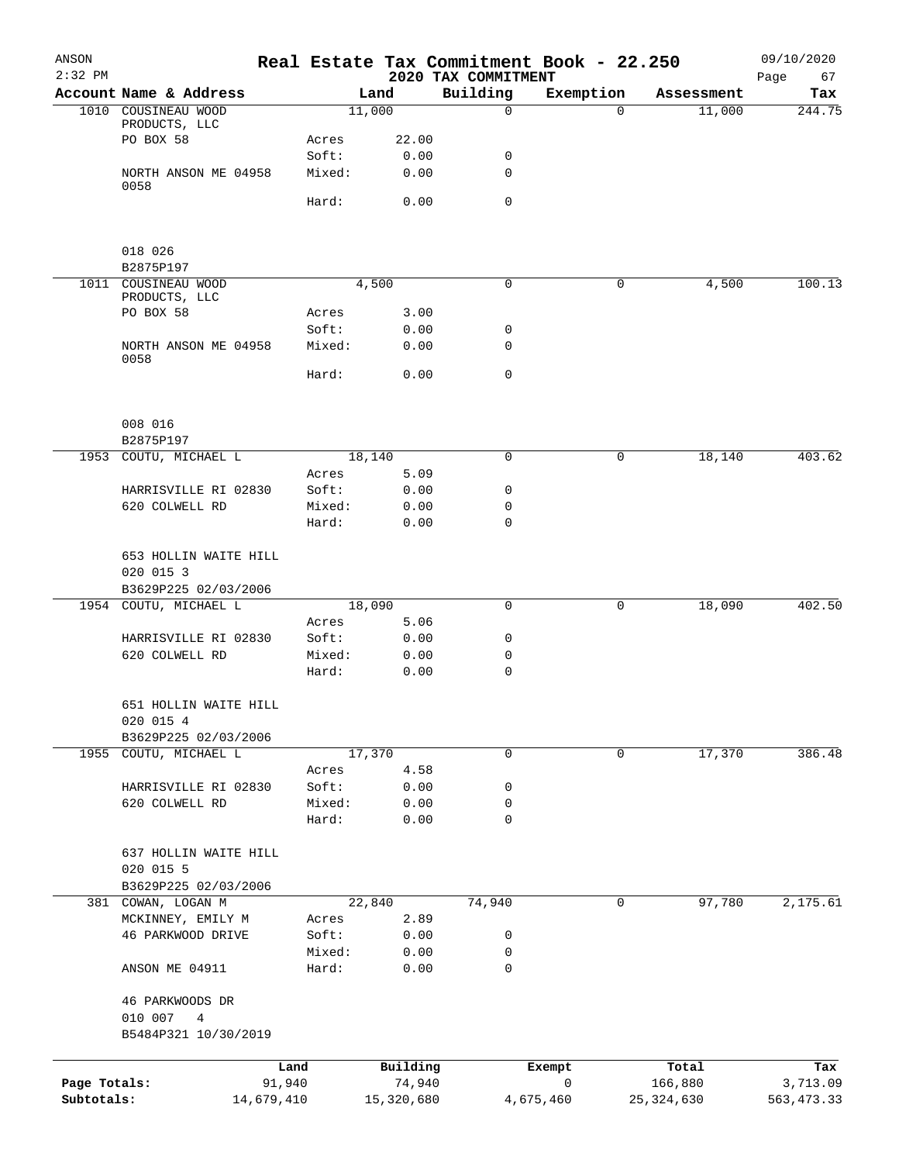| ANSON<br>$2:32$ PM         |                                                         |                 |                      | 2020 TAX COMMITMENT | Real Estate Tax Commitment Book - 22.250 |                         | 09/10/2020<br>67<br>Page |
|----------------------------|---------------------------------------------------------|-----------------|----------------------|---------------------|------------------------------------------|-------------------------|--------------------------|
|                            | Account Name & Address                                  |                 | Land                 | Building            | Exemption                                | Assessment              | Tax                      |
|                            | 1010 COUSINEAU WOOD                                     |                 | 11,000               | $\mathbf 0$         | $\Omega$                                 | 11,000                  | 244.75                   |
|                            | PRODUCTS, LLC                                           |                 |                      |                     |                                          |                         |                          |
|                            | PO BOX 58                                               | Acres<br>Soft:  | 22.00<br>0.00        | 0                   |                                          |                         |                          |
|                            | NORTH ANSON ME 04958                                    | Mixed:          | 0.00                 | $\mathbf 0$         |                                          |                         |                          |
|                            | 0058                                                    |                 |                      |                     |                                          |                         |                          |
|                            |                                                         | Hard:           | 0.00                 | $\mathbf 0$         |                                          |                         |                          |
|                            | 018 026<br>B2875P197                                    |                 |                      |                     |                                          |                         |                          |
|                            | 1011 COUSINEAU WOOD                                     |                 | 4,500                | 0                   | 0                                        | 4,500                   | 100.13                   |
|                            | PRODUCTS, LLC                                           |                 |                      |                     |                                          |                         |                          |
|                            | PO BOX 58                                               | Acres           | 3.00                 |                     |                                          |                         |                          |
|                            |                                                         | Soft:           | 0.00                 | 0                   |                                          |                         |                          |
|                            | NORTH ANSON ME 04958<br>0058                            | Mixed:          | 0.00                 | 0                   |                                          |                         |                          |
|                            |                                                         | Hard:           | 0.00                 | $\mathbf 0$         |                                          |                         |                          |
|                            | 008 016                                                 |                 |                      |                     |                                          |                         |                          |
|                            | B2875P197                                               |                 |                      |                     |                                          |                         |                          |
|                            | 1953 COUTU, MICHAEL L                                   |                 | 18,140               | $\mathbf 0$         | 0                                        | 18,140                  | 403.62                   |
|                            |                                                         | Acres           | 5.09                 |                     |                                          |                         |                          |
|                            | HARRISVILLE RI 02830                                    | Soft:           | 0.00                 | 0                   |                                          |                         |                          |
|                            | 620 COLWELL RD                                          | Mixed:<br>Hard: | 0.00<br>0.00         | 0<br>$\mathbf 0$    |                                          |                         |                          |
|                            | 653 HOLLIN WAITE HILL<br>020 015 3                      |                 |                      |                     |                                          |                         |                          |
|                            | B3629P225 02/03/2006<br>1954 COUTU, MICHAEL L           |                 | 18,090               | 0                   | 0                                        | 18,090                  | 402.50                   |
|                            |                                                         | Acres           | 5.06                 |                     |                                          |                         |                          |
|                            | HARRISVILLE RI 02830                                    | Soft:           | 0.00                 | 0                   |                                          |                         |                          |
|                            | 620 COLWELL RD                                          | Mixed:          | 0.00                 | 0                   |                                          |                         |                          |
|                            |                                                         | Hard:           | 0.00                 | 0                   |                                          |                         |                          |
|                            | 651 HOLLIN WAITE HILL<br>020 015 4                      |                 |                      |                     |                                          |                         |                          |
|                            | B3629P225 02/03/2006                                    |                 |                      |                     | $\mathbf 0$                              |                         | 386.48                   |
|                            | 1955 COUTU, MICHAEL L                                   | Acres           | 17,370<br>4.58       | 0                   |                                          | 17,370                  |                          |
|                            | HARRISVILLE RI 02830                                    | Soft:           | 0.00                 | 0                   |                                          |                         |                          |
|                            | 620 COLWELL RD                                          | Mixed:          | 0.00                 | 0                   |                                          |                         |                          |
|                            |                                                         | Hard:           | 0.00                 | 0                   |                                          |                         |                          |
|                            | 637 HOLLIN WAITE HILL<br>020 015 5                      |                 |                      |                     |                                          |                         |                          |
|                            | B3629P225 02/03/2006                                    |                 |                      |                     |                                          |                         |                          |
|                            | 381 COWAN, LOGAN M                                      |                 | 22,840               | 74,940              | 0                                        | 97,780                  | 2,175.61                 |
|                            | MCKINNEY, EMILY M                                       | Acres           | 2.89                 |                     |                                          |                         |                          |
|                            | 46 PARKWOOD DRIVE                                       | Soft:           | 0.00                 | 0                   |                                          |                         |                          |
|                            | ANSON ME 04911                                          | Mixed:<br>Hard: | 0.00<br>0.00         | 0<br>$\mathbf 0$    |                                          |                         |                          |
|                            | 46 PARKWOODS DR<br>010 007<br>4<br>B5484P321 10/30/2019 |                 |                      |                     |                                          |                         |                          |
|                            |                                                         |                 |                      |                     |                                          |                         |                          |
|                            |                                                         | Land            | Building             |                     | Exempt                                   | Total                   | Tax                      |
| Page Totals:<br>Subtotals: | 91,940<br>14,679,410                                    |                 | 74,940<br>15,320,680 |                     | 0<br>4,675,460                           | 166,880<br>25, 324, 630 | 3,713.09<br>563, 473.33  |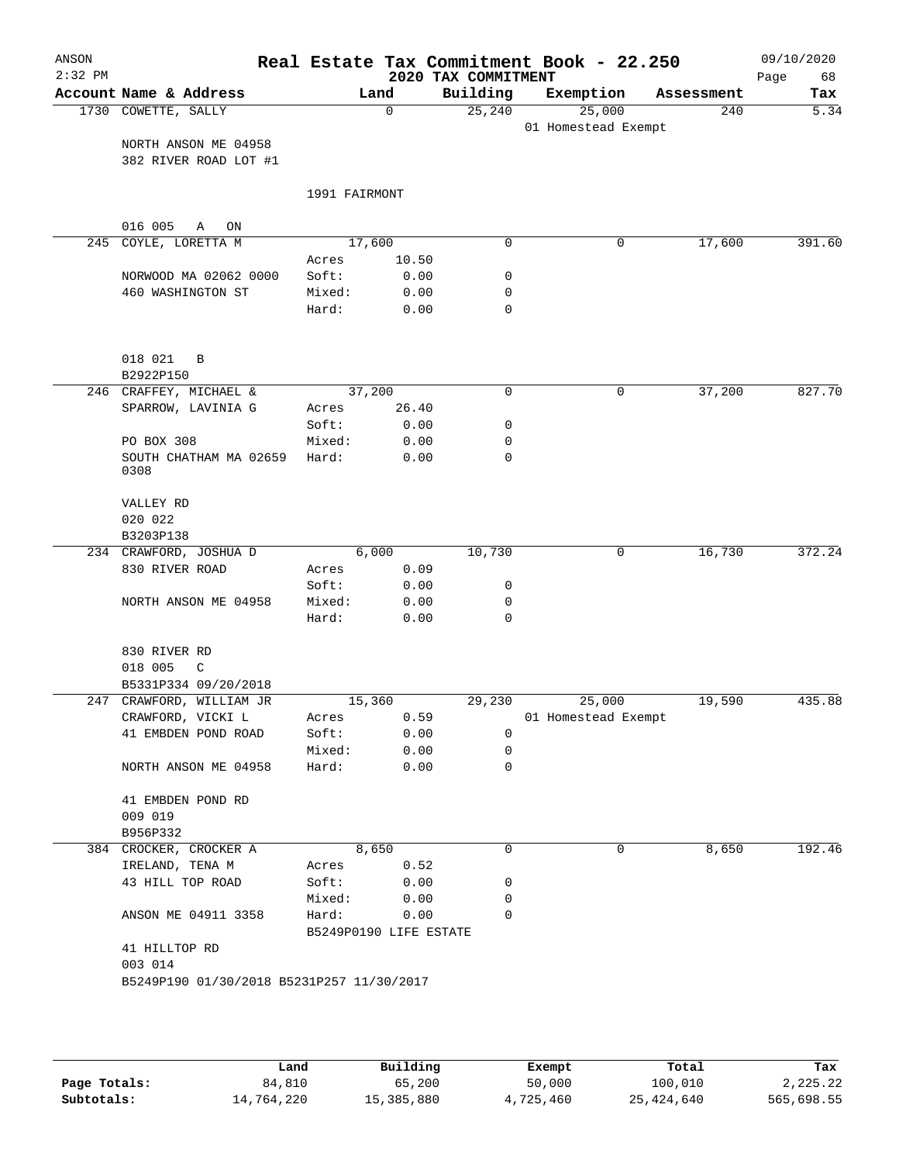| $2:32$ PM<br>1730 COWETTE, SALLY<br>016 005<br>245<br>018 021<br>0308<br>020 022<br>B3203P138<br>234 CRAWFORD, JOSHUA D<br>018 005 | Account Name & Address<br>NORTH ANSON ME 04958<br>382 RIVER ROAD LOT #1<br>Α<br>ON<br>COYLE, LORETTA M<br>NORWOOD MA 02062 0000<br>460 WASHINGTON ST<br>B<br>B2922P150<br>246 CRAFFEY, MICHAEL &<br>SPARROW, LAVINIA G | 1991 FAIRMONT<br>Acres<br>Soft:<br>Mixed:<br>Hard: | Land<br>0<br>17,600<br>10.50<br>0.00<br>0.00<br>0.00 | 2020 TAX COMMITMENT<br>Building<br>25, 240<br>$\mathbf 0$<br>0<br>0<br>$\mathbf 0$ | Exemption<br>25,000<br>01 Homestead Exempt<br>0 | Assessment<br>240<br>17,600 | 68<br>Page<br>Tax<br>5.34 |
|------------------------------------------------------------------------------------------------------------------------------------|------------------------------------------------------------------------------------------------------------------------------------------------------------------------------------------------------------------------|----------------------------------------------------|------------------------------------------------------|------------------------------------------------------------------------------------|-------------------------------------------------|-----------------------------|---------------------------|
|                                                                                                                                    |                                                                                                                                                                                                                        |                                                    |                                                      |                                                                                    |                                                 |                             |                           |
|                                                                                                                                    |                                                                                                                                                                                                                        |                                                    |                                                      |                                                                                    |                                                 |                             | 391.60                    |
|                                                                                                                                    |                                                                                                                                                                                                                        |                                                    |                                                      |                                                                                    |                                                 |                             |                           |
|                                                                                                                                    |                                                                                                                                                                                                                        |                                                    |                                                      |                                                                                    |                                                 |                             |                           |
|                                                                                                                                    |                                                                                                                                                                                                                        |                                                    |                                                      |                                                                                    |                                                 |                             |                           |
|                                                                                                                                    |                                                                                                                                                                                                                        |                                                    |                                                      |                                                                                    |                                                 |                             |                           |
|                                                                                                                                    |                                                                                                                                                                                                                        |                                                    |                                                      |                                                                                    |                                                 |                             |                           |
|                                                                                                                                    |                                                                                                                                                                                                                        |                                                    |                                                      |                                                                                    |                                                 |                             |                           |
|                                                                                                                                    |                                                                                                                                                                                                                        |                                                    |                                                      |                                                                                    |                                                 |                             |                           |
|                                                                                                                                    |                                                                                                                                                                                                                        |                                                    |                                                      |                                                                                    |                                                 |                             |                           |
|                                                                                                                                    |                                                                                                                                                                                                                        |                                                    |                                                      |                                                                                    |                                                 |                             |                           |
|                                                                                                                                    |                                                                                                                                                                                                                        |                                                    |                                                      |                                                                                    |                                                 |                             |                           |
|                                                                                                                                    |                                                                                                                                                                                                                        |                                                    |                                                      |                                                                                    |                                                 |                             |                           |
|                                                                                                                                    |                                                                                                                                                                                                                        |                                                    | 37,200                                               | 0                                                                                  | 0                                               | 37,200                      | 827.70                    |
|                                                                                                                                    |                                                                                                                                                                                                                        | Acres                                              | 26.40                                                |                                                                                    |                                                 |                             |                           |
|                                                                                                                                    |                                                                                                                                                                                                                        | Soft:                                              | 0.00                                                 | 0                                                                                  |                                                 |                             |                           |
|                                                                                                                                    | PO BOX 308                                                                                                                                                                                                             | Mixed:                                             | 0.00                                                 | 0                                                                                  |                                                 |                             |                           |
|                                                                                                                                    | SOUTH CHATHAM MA 02659                                                                                                                                                                                                 | Hard:                                              | 0.00                                                 | 0                                                                                  |                                                 |                             |                           |
|                                                                                                                                    | VALLEY RD                                                                                                                                                                                                              |                                                    |                                                      |                                                                                    |                                                 |                             |                           |
|                                                                                                                                    |                                                                                                                                                                                                                        |                                                    |                                                      |                                                                                    |                                                 |                             |                           |
|                                                                                                                                    |                                                                                                                                                                                                                        |                                                    | 6,000                                                | 10,730                                                                             | 0                                               | 16,730                      | 372.24                    |
|                                                                                                                                    | 830 RIVER ROAD                                                                                                                                                                                                         | Acres                                              | 0.09                                                 |                                                                                    |                                                 |                             |                           |
|                                                                                                                                    |                                                                                                                                                                                                                        | Soft:                                              | 0.00                                                 | 0                                                                                  |                                                 |                             |                           |
|                                                                                                                                    | NORTH ANSON ME 04958                                                                                                                                                                                                   | Mixed:                                             | 0.00                                                 | 0                                                                                  |                                                 |                             |                           |
|                                                                                                                                    |                                                                                                                                                                                                                        | Hard:                                              | 0.00                                                 | $\mathbf 0$                                                                        |                                                 |                             |                           |
|                                                                                                                                    | 830 RIVER RD                                                                                                                                                                                                           |                                                    |                                                      |                                                                                    |                                                 |                             |                           |
|                                                                                                                                    | C                                                                                                                                                                                                                      |                                                    |                                                      |                                                                                    |                                                 |                             |                           |
|                                                                                                                                    | B5331P334 09/20/2018                                                                                                                                                                                                   |                                                    |                                                      |                                                                                    |                                                 |                             |                           |
|                                                                                                                                    | 247 CRAWFORD, WILLIAM JR                                                                                                                                                                                               |                                                    | 15,360                                               | 29,230                                                                             | 25,000                                          | 19,590                      | 435.88                    |
|                                                                                                                                    | CRAWFORD, VICKI L<br>41 EMBDEN POND ROAD                                                                                                                                                                               | Acres<br>Soft:                                     | 0.59<br>0.00                                         | 0                                                                                  | 01 Homestead Exempt                             |                             |                           |
|                                                                                                                                    |                                                                                                                                                                                                                        | Mixed:                                             | 0.00                                                 | 0                                                                                  |                                                 |                             |                           |
|                                                                                                                                    | NORTH ANSON ME 04958                                                                                                                                                                                                   | Hard:                                              | 0.00                                                 | $\mathbf 0$                                                                        |                                                 |                             |                           |
| 009 019                                                                                                                            | 41 EMBDEN POND RD                                                                                                                                                                                                      |                                                    |                                                      |                                                                                    |                                                 |                             |                           |
| B956P332                                                                                                                           |                                                                                                                                                                                                                        |                                                    |                                                      |                                                                                    |                                                 |                             |                           |
|                                                                                                                                    | 384 CROCKER, CROCKER A                                                                                                                                                                                                 |                                                    | 8,650                                                | 0                                                                                  | 0                                               | 8,650                       | 192.46                    |
|                                                                                                                                    | IRELAND, TENA M                                                                                                                                                                                                        | Acres                                              | 0.52                                                 |                                                                                    |                                                 |                             |                           |
|                                                                                                                                    | 43 HILL TOP ROAD                                                                                                                                                                                                       | Soft:                                              | 0.00                                                 | 0                                                                                  |                                                 |                             |                           |
|                                                                                                                                    |                                                                                                                                                                                                                        | Mixed:                                             | 0.00                                                 | 0                                                                                  |                                                 |                             |                           |
|                                                                                                                                    | ANSON ME 04911 3358                                                                                                                                                                                                    | Hard:                                              | 0.00                                                 | $\mathbf 0$                                                                        |                                                 |                             |                           |
|                                                                                                                                    |                                                                                                                                                                                                                        |                                                    | B5249P0190 LIFE ESTATE                               |                                                                                    |                                                 |                             |                           |
|                                                                                                                                    | 41 HILLTOP RD                                                                                                                                                                                                          |                                                    |                                                      |                                                                                    |                                                 |                             |                           |
| 003 014                                                                                                                            |                                                                                                                                                                                                                        |                                                    |                                                      |                                                                                    |                                                 |                             |                           |
|                                                                                                                                    |                                                                                                                                                                                                                        | B5249P190 01/30/2018 B5231P257 11/30/2017          |                                                      |                                                                                    |                                                 |                             |                           |

|              | Land       | Building   | Exempt    | Total        | Tax        |
|--------------|------------|------------|-----------|--------------|------------|
| Page Totals: | 84,810     | 65,200     | 50,000    | 100,010      | 2,225.22   |
| Subtotals:   | 14,764,220 | 15,385,880 | 4,725,460 | 25, 424, 640 | 565,698.55 |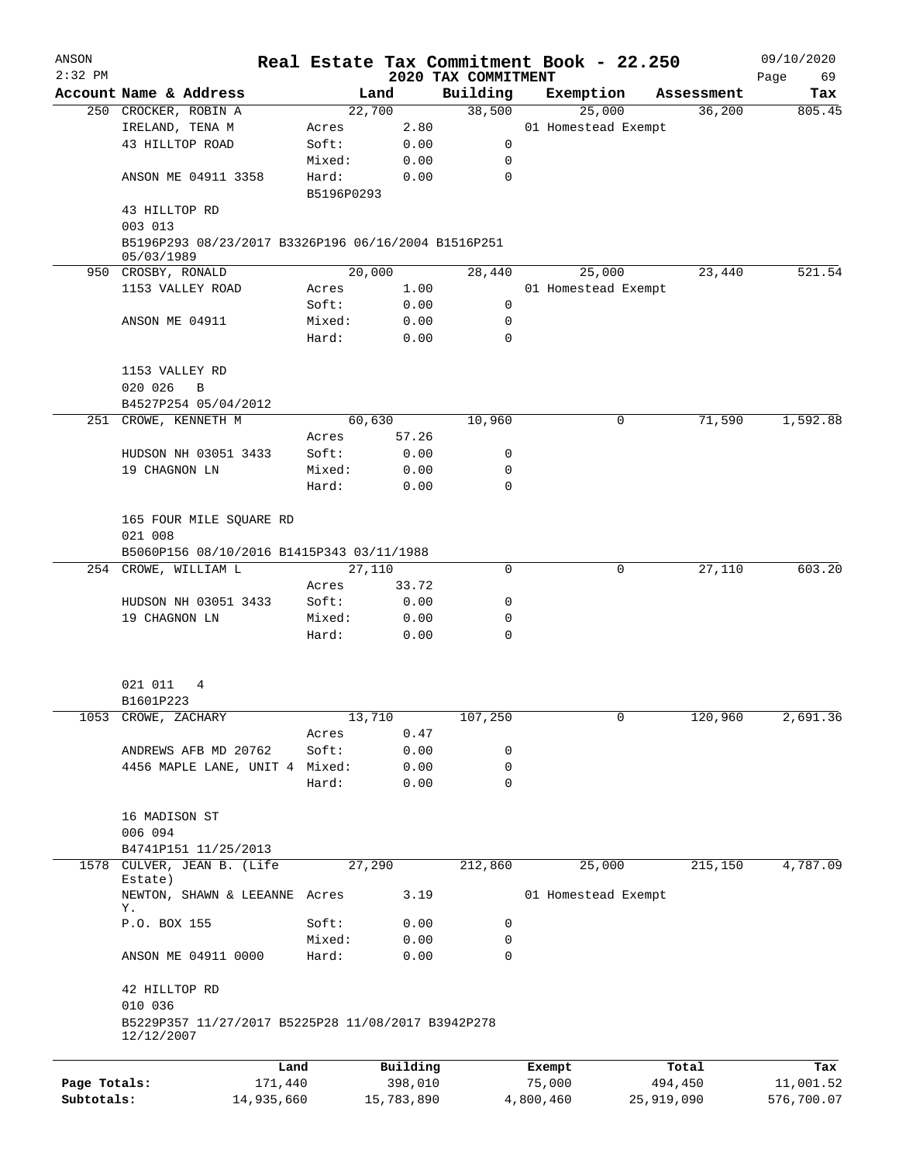| ANSON        |                                                                  |                     |            |                                 | Real Estate Tax Commitment Book - 22.250 |            | 09/10/2020        |
|--------------|------------------------------------------------------------------|---------------------|------------|---------------------------------|------------------------------------------|------------|-------------------|
| $2:32$ PM    | Account Name & Address                                           |                     | Land       | 2020 TAX COMMITMENT<br>Building | Exemption                                | Assessment | Page<br>69<br>Tax |
|              | 250 CROCKER, ROBIN A                                             |                     | 22,700     | 38,500                          | 25,000                                   | 36,200     | 805.45            |
|              | IRELAND, TENA M                                                  | Acres               | 2.80       |                                 | 01 Homestead Exempt                      |            |                   |
|              | 43 HILLTOP ROAD                                                  | Soft:               | 0.00       | 0                               |                                          |            |                   |
|              |                                                                  |                     |            |                                 |                                          |            |                   |
|              |                                                                  | Mixed:              | 0.00       | 0                               |                                          |            |                   |
|              | ANSON ME 04911 3358                                              | Hard:<br>B5196P0293 | 0.00       | 0                               |                                          |            |                   |
|              | 43 HILLTOP RD<br>003 013                                         |                     |            |                                 |                                          |            |                   |
|              | B5196P293 08/23/2017 B3326P196 06/16/2004 B1516P251              |                     |            |                                 |                                          |            |                   |
|              | 05/03/1989<br>950 CROSBY, RONALD                                 |                     | 20,000     | 28,440                          | 25,000                                   | 23,440     | 521.54            |
|              | 1153 VALLEY ROAD                                                 | Acres               | 1.00       |                                 | 01 Homestead Exempt                      |            |                   |
|              |                                                                  | Soft:               | 0.00       | 0                               |                                          |            |                   |
|              | ANSON ME 04911                                                   | Mixed:              | 0.00       | 0                               |                                          |            |                   |
|              |                                                                  | Hard:               | 0.00       | 0                               |                                          |            |                   |
|              | 1153 VALLEY RD                                                   |                     |            |                                 |                                          |            |                   |
|              | 020 026<br>B                                                     |                     |            |                                 |                                          |            |                   |
|              | B4527P254 05/04/2012                                             |                     |            |                                 |                                          |            |                   |
|              | 251 CROWE, KENNETH M                                             |                     | 60,630     | 10,960                          | 0                                        | 71,590     | 1,592.88          |
|              |                                                                  | Acres               | 57.26      |                                 |                                          |            |                   |
|              | HUDSON NH 03051 3433                                             | Soft:               | 0.00       | 0                               |                                          |            |                   |
|              | 19 CHAGNON LN                                                    | Mixed:              | 0.00       | 0                               |                                          |            |                   |
|              |                                                                  | Hard:               | 0.00       | 0                               |                                          |            |                   |
|              | 165 FOUR MILE SQUARE RD<br>021 008                               |                     |            |                                 |                                          |            |                   |
|              | B5060P156 08/10/2016 B1415P343 03/11/1988                        |                     |            |                                 |                                          |            |                   |
|              | 254 CROWE, WILLIAM L                                             |                     | 27,110     | 0                               | 0                                        | 27,110     | 603.20            |
|              |                                                                  | Acres               | 33.72      |                                 |                                          |            |                   |
|              | HUDSON NH 03051 3433                                             | Soft:               | 0.00       | 0                               |                                          |            |                   |
|              | 19 CHAGNON LN                                                    | Mixed:              | 0.00       | 0                               |                                          |            |                   |
|              |                                                                  | Hard:               | 0.00       | 0                               |                                          |            |                   |
|              | 021 011<br>4                                                     |                     |            |                                 |                                          |            |                   |
|              | B1601P223                                                        |                     |            |                                 |                                          |            |                   |
|              | 1053 CROWE, ZACHARY                                              |                     | 13,710     | 107,250                         | 0                                        | 120,960    | 2,691.36          |
|              |                                                                  | Acres               | 0.47       |                                 |                                          |            |                   |
|              | ANDREWS AFB MD 20762                                             | Soft:               | 0.00       | 0                               |                                          |            |                   |
|              | 4456 MAPLE LANE, UNIT 4 Mixed:                                   |                     | 0.00       | 0                               |                                          |            |                   |
|              |                                                                  | Hard:               | 0.00       | 0                               |                                          |            |                   |
|              | 16 MADISON ST                                                    |                     |            |                                 |                                          |            |                   |
|              | 006 094                                                          |                     |            |                                 |                                          |            |                   |
|              | B4741P151 11/25/2013                                             |                     |            |                                 |                                          |            |                   |
| 1578         | CULVER, JEAN B. (Life<br>Estate)                                 |                     | 27,290     | 212,860                         | 25,000                                   | 215,150    | 4,787.09          |
|              | NEWTON, SHAWN & LEEANNE<br>Υ.                                    | Acres               | 3.19       |                                 | 01 Homestead Exempt                      |            |                   |
|              | P.O. BOX 155                                                     | Soft:               | 0.00       | 0                               |                                          |            |                   |
|              |                                                                  | Mixed:              | 0.00       | 0                               |                                          |            |                   |
|              | ANSON ME 04911 0000                                              | Hard:               | 0.00       | 0                               |                                          |            |                   |
|              | 42 HILLTOP RD<br>010 036                                         |                     |            |                                 |                                          |            |                   |
|              | B5229P357 11/27/2017 B5225P28 11/08/2017 B3942P278<br>12/12/2007 |                     |            |                                 |                                          |            |                   |
|              |                                                                  | Land                | Building   |                                 | Exempt                                   | Total      | Tax               |
| Page Totals: | 171,440                                                          |                     | 398,010    |                                 | 75,000                                   | 494,450    | 11,001.52         |
| Subtotals:   | 14,935,660                                                       |                     | 15,783,890 |                                 | 4,800,460                                | 25,919,090 | 576,700.07        |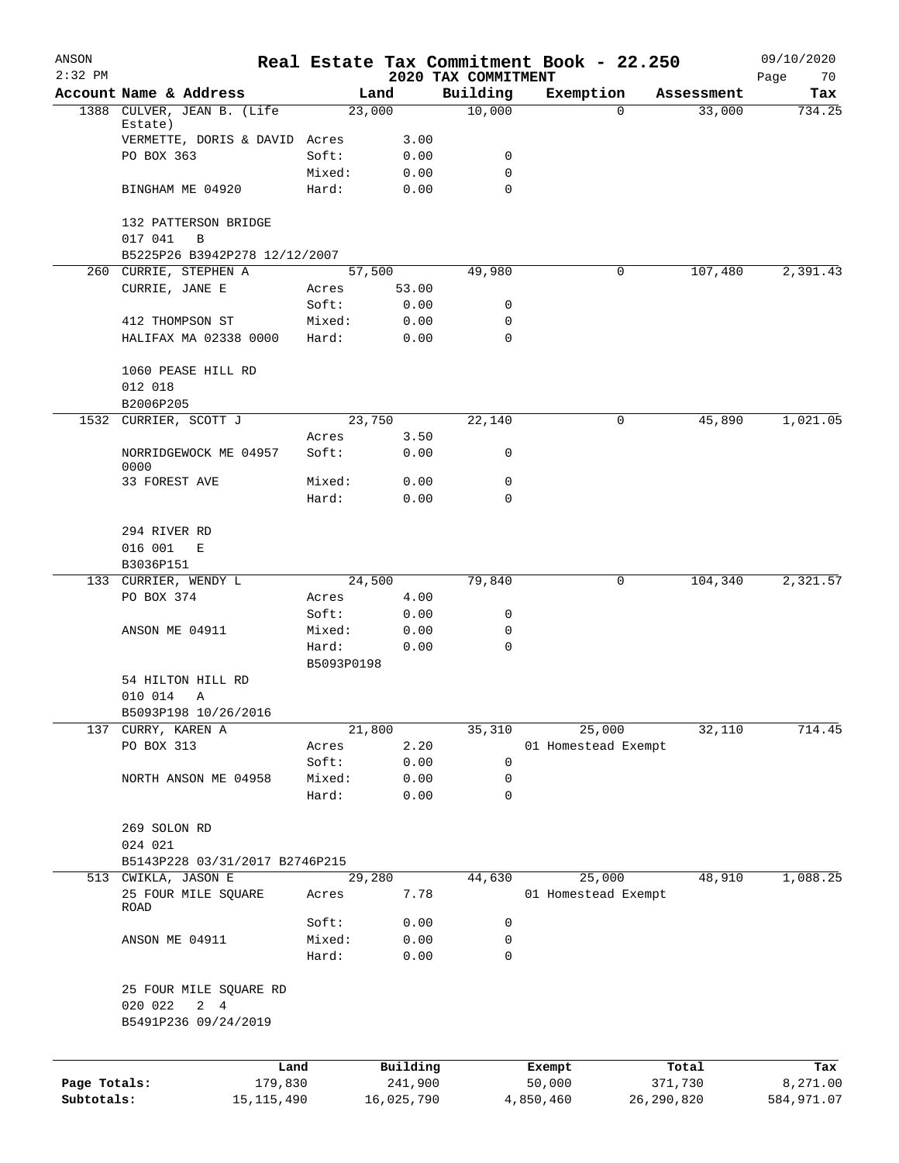| ANSON<br>$2:32$ PM |                                                       |                 |              | 2020 TAX COMMITMENT | Real Estate Tax Commitment Book - 22.250 |              | 09/10/2020<br>Page<br>70 |
|--------------------|-------------------------------------------------------|-----------------|--------------|---------------------|------------------------------------------|--------------|--------------------------|
|                    | Account Name & Address                                |                 | Land         | Building            | Exemption                                | Assessment   | Tax                      |
|                    | 1388 CULVER, JEAN B. (Life                            |                 | 23,000       | 10,000              | $\mathbf{0}$                             | 33,000       | 734.25                   |
|                    | Estate)                                               |                 |              |                     |                                          |              |                          |
|                    | VERMETTE, DORIS & DAVID Acres                         |                 | 3.00         |                     |                                          |              |                          |
|                    | PO BOX 363                                            | Soft:           | 0.00         | 0                   |                                          |              |                          |
|                    |                                                       | Mixed:          | 0.00         | 0<br>$\Omega$       |                                          |              |                          |
|                    | BINGHAM ME 04920                                      | Hard:           | 0.00         |                     |                                          |              |                          |
|                    | 132 PATTERSON BRIDGE                                  |                 |              |                     |                                          |              |                          |
|                    | 017 041<br>B                                          |                 |              |                     |                                          |              |                          |
|                    | B5225P26 B3942P278 12/12/2007                         |                 |              |                     |                                          |              |                          |
|                    | 260 CURRIE, STEPHEN A                                 |                 | 57,500       | 49,980              | 0                                        | 107,480      | 2,391.43                 |
|                    | CURRIE, JANE E                                        | Acres           | 53.00        |                     |                                          |              |                          |
|                    |                                                       | Soft:           | 0.00         | 0                   |                                          |              |                          |
|                    | 412 THOMPSON ST                                       | Mixed:          | 0.00         | 0                   |                                          |              |                          |
|                    | HALIFAX MA 02338 0000                                 | Hard:           | 0.00         | 0                   |                                          |              |                          |
|                    |                                                       |                 |              |                     |                                          |              |                          |
|                    | 1060 PEASE HILL RD                                    |                 |              |                     |                                          |              |                          |
|                    | 012 018                                               |                 |              |                     |                                          |              |                          |
|                    | B2006P205                                             |                 |              |                     |                                          |              |                          |
|                    | 1532 CURRIER, SCOTT J                                 |                 | 23,750       | 22,140              | 0                                        | 45,890       | 1,021.05                 |
|                    | NORRIDGEWOCK ME 04957                                 | Acres<br>Soft:  | 3.50<br>0.00 | 0                   |                                          |              |                          |
|                    | 0000                                                  |                 |              |                     |                                          |              |                          |
|                    | 33 FOREST AVE                                         | Mixed:          | 0.00         | $\mathbf 0$         |                                          |              |                          |
|                    |                                                       | Hard:           | 0.00         | 0                   |                                          |              |                          |
|                    |                                                       |                 |              |                     |                                          |              |                          |
|                    | 294 RIVER RD                                          |                 |              |                     |                                          |              |                          |
|                    | 016 001<br>Е                                          |                 |              |                     |                                          |              |                          |
|                    | B3036P151                                             |                 |              |                     |                                          |              |                          |
|                    | 133 CURRIER, WENDY L                                  |                 | 24,500       | 79,840              | 0                                        | 104,340      | 2,321.57                 |
|                    | PO BOX 374                                            | Acres           | 4.00         |                     |                                          |              |                          |
|                    | ANSON ME 04911                                        | Soft:           | 0.00         | 0<br>0              |                                          |              |                          |
|                    |                                                       | Mixed:<br>Hard: | 0.00<br>0.00 | 0                   |                                          |              |                          |
|                    |                                                       | B5093P0198      |              |                     |                                          |              |                          |
|                    | 54 HILTON HILL RD                                     |                 |              |                     |                                          |              |                          |
|                    | 010 014<br>Α                                          |                 |              |                     |                                          |              |                          |
|                    | B5093P198 10/26/2016                                  |                 |              |                     |                                          |              |                          |
| 137                | CURRY, KAREN A                                        |                 | 21,800       | 35,310              | 25,000                                   | 32,110       | 714.45                   |
|                    | PO BOX 313                                            | Acres           | 2.20         |                     | 01 Homestead Exempt                      |              |                          |
|                    |                                                       | Soft:           | 0.00         | 0                   |                                          |              |                          |
|                    | NORTH ANSON ME 04958                                  | Mixed:          | 0.00         | 0                   |                                          |              |                          |
|                    |                                                       | Hard:           | 0.00         | $\mathbf 0$         |                                          |              |                          |
|                    |                                                       |                 |              |                     |                                          |              |                          |
|                    | 269 SOLON RD                                          |                 |              |                     |                                          |              |                          |
|                    | 024 021                                               |                 |              |                     |                                          |              |                          |
|                    | B5143P228 03/31/2017 B2746P215<br>513 CWIKLA, JASON E |                 | 29,280       | 44,630              | 25,000                                   | 48,910       | 1,088.25                 |
|                    | 25 FOUR MILE SQUARE                                   | Acres           | 7.78         |                     | 01 Homestead Exempt                      |              |                          |
|                    | ROAD                                                  |                 |              |                     |                                          |              |                          |
|                    |                                                       | Soft:           | 0.00         | 0                   |                                          |              |                          |
|                    | ANSON ME 04911                                        | Mixed:          | 0.00         | 0                   |                                          |              |                          |
|                    |                                                       | Hard:           | 0.00         | $\mathbf 0$         |                                          |              |                          |
|                    |                                                       |                 |              |                     |                                          |              |                          |
|                    | 25 FOUR MILE SQUARE RD                                |                 |              |                     |                                          |              |                          |
|                    | 020 022<br>2 4                                        |                 |              |                     |                                          |              |                          |
|                    | B5491P236 09/24/2019                                  |                 |              |                     |                                          |              |                          |
|                    |                                                       |                 |              |                     |                                          |              |                          |
|                    |                                                       | Land            | Building     |                     | Exempt                                   | Total        | Tax                      |
| Page Totals:       | 179,830                                               |                 | 241,900      |                     | 50,000                                   | 371,730      | 8,271.00                 |
| Subtotals:         | 15, 115, 490                                          |                 | 16,025,790   |                     | 4,850,460                                | 26, 290, 820 | 584,971.07               |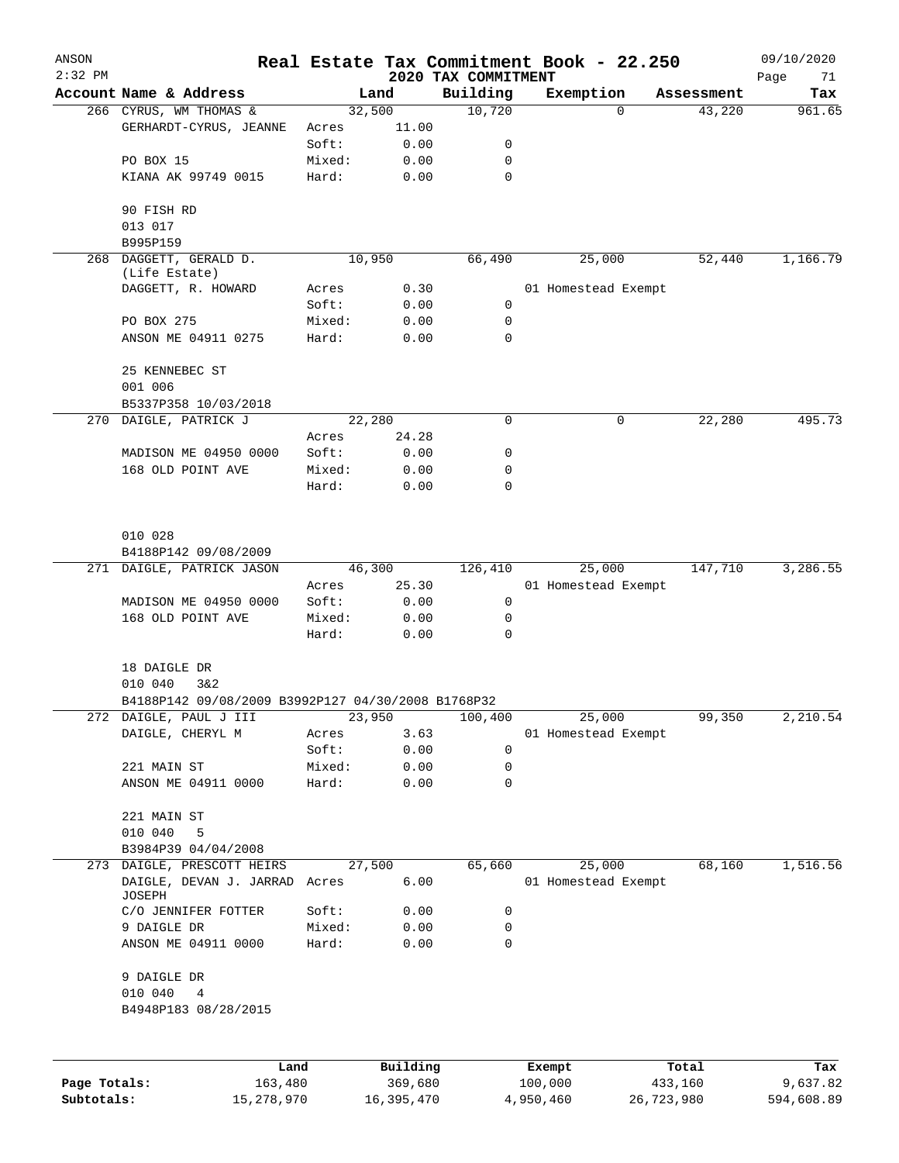| ANSON<br>$2:32$ PM |                                                         |        |          | 2020 TAX COMMITMENT | Real Estate Tax Commitment Book - 22.250 |          |            | 09/10/2020<br>Page<br>71 |
|--------------------|---------------------------------------------------------|--------|----------|---------------------|------------------------------------------|----------|------------|--------------------------|
|                    | Account Name & Address                                  |        | Land     | Building            | Exemption                                |          | Assessment | Tax                      |
|                    | 266 CYRUS, WM THOMAS &                                  | 32,500 |          | 10,720              |                                          | $\Omega$ | 43,220     | 961.65                   |
|                    | GERHARDT-CYRUS, JEANNE                                  | Acres  | 11.00    |                     |                                          |          |            |                          |
|                    |                                                         | Soft:  | 0.00     | 0                   |                                          |          |            |                          |
|                    | PO BOX 15                                               | Mixed: | 0.00     | 0                   |                                          |          |            |                          |
|                    | KIANA AK 99749 0015                                     | Hard:  | 0.00     | $\mathbf 0$         |                                          |          |            |                          |
|                    | 90 FISH RD                                              |        |          |                     |                                          |          |            |                          |
|                    | 013 017                                                 |        |          |                     |                                          |          |            |                          |
|                    | B995P159                                                |        |          |                     |                                          |          |            |                          |
| 268                | DAGGETT, GERALD D.<br>(Life Estate)                     | 10,950 |          | 66,490              | 25,000                                   |          | 52,440     | 1,166.79                 |
|                    | DAGGETT, R. HOWARD                                      | Acres  | 0.30     |                     | 01 Homestead Exempt                      |          |            |                          |
|                    |                                                         | Soft:  | 0.00     | $\mathbf 0$         |                                          |          |            |                          |
|                    | PO BOX 275                                              | Mixed: | 0.00     | 0                   |                                          |          |            |                          |
|                    | ANSON ME 04911 0275                                     | Hard:  | 0.00     | 0                   |                                          |          |            |                          |
|                    | 25 KENNEBEC ST                                          |        |          |                     |                                          |          |            |                          |
|                    | 001 006                                                 |        |          |                     |                                          |          |            |                          |
|                    | B5337P358 10/03/2018                                    |        |          |                     |                                          |          |            |                          |
|                    | 270 DAIGLE, PATRICK J                                   | 22,280 |          | 0                   |                                          | 0        | 22, 280    | 495.73                   |
|                    |                                                         | Acres  | 24.28    |                     |                                          |          |            |                          |
|                    | MADISON ME 04950 0000                                   | Soft:  | 0.00     | 0                   |                                          |          |            |                          |
|                    | 168 OLD POINT AVE                                       | Mixed: | 0.00     | 0                   |                                          |          |            |                          |
|                    |                                                         | Hard:  | 0.00     | 0                   |                                          |          |            |                          |
|                    | 010 028                                                 |        |          |                     |                                          |          |            |                          |
|                    | B4188P142 09/08/2009                                    |        |          |                     |                                          |          |            |                          |
|                    | 271 DAIGLE, PATRICK JASON                               | 46,300 |          | 126,410             | 25,000                                   |          | 147,710    | 3,286.55                 |
|                    |                                                         | Acres  | 25.30    |                     | 01 Homestead Exempt                      |          |            |                          |
|                    | MADISON ME 04950 0000                                   | Soft:  | 0.00     | 0                   |                                          |          |            |                          |
|                    | 168 OLD POINT AVE                                       | Mixed: | 0.00     | 0                   |                                          |          |            |                          |
|                    |                                                         | Hard:  | 0.00     | 0                   |                                          |          |            |                          |
|                    | 18 DAIGLE DR                                            |        |          |                     |                                          |          |            |                          |
|                    | 010 040<br>3&2                                          |        |          |                     |                                          |          |            |                          |
|                    | B4188P142 09/08/2009 B3992P127 04/30/2008 B1768P32      |        |          |                     |                                          |          |            |                          |
|                    | 272 DAIGLE, PAUL J III                                  | 23,950 |          | 100,400             | 25,000                                   |          | 99,350     | 2,210.54                 |
|                    | DAIGLE, CHERYL M                                        | Acres  | 3.63     |                     | 01 Homestead Exempt                      |          |            |                          |
|                    |                                                         | Soft:  | 0.00     | 0                   |                                          |          |            |                          |
|                    | 221 MAIN ST                                             | Mixed: | 0.00     | 0                   |                                          |          |            |                          |
|                    | ANSON ME 04911 0000                                     | Hard:  | 0.00     | 0                   |                                          |          |            |                          |
|                    | 221 MAIN ST                                             |        |          |                     |                                          |          |            |                          |
|                    | 010 040<br>5                                            |        |          |                     |                                          |          |            |                          |
|                    | B3984P39 04/04/2008                                     |        |          |                     |                                          |          |            |                          |
| 273                | DAIGLE, PRESCOTT HEIRS<br>DAIGLE, DEVAN J. JARRAD Acres | 27,500 | 6.00     | 65,660              | 25,000<br>01 Homestead Exempt            |          | 68,160     | 1,516.56                 |
|                    | JOSEPH                                                  |        |          |                     |                                          |          |            |                          |
|                    | C/O JENNIFER FOTTER                                     | Soft:  | 0.00     | 0                   |                                          |          |            |                          |
|                    | 9 DAIGLE DR                                             | Mixed: | 0.00     | 0                   |                                          |          |            |                          |
|                    | ANSON ME 04911 0000                                     | Hard:  | 0.00     | 0                   |                                          |          |            |                          |
|                    | 9 DAIGLE DR                                             |        |          |                     |                                          |          |            |                          |
|                    | 010 040<br>4                                            |        |          |                     |                                          |          |            |                          |
|                    | B4948P183 08/28/2015                                    |        |          |                     |                                          |          |            |                          |
|                    |                                                         |        |          |                     |                                          |          |            |                          |
|                    | Land                                                    |        | Building |                     | Exempt                                   |          | Total      | Tax                      |
| Page Totals:       | 163,480                                                 |        | 369,680  |                     | 100,000                                  |          | 433,160    | 9,637.82                 |

**Subtotals:** 15,278,970 16,395,470 4,950,460 26,723,980 594,608.89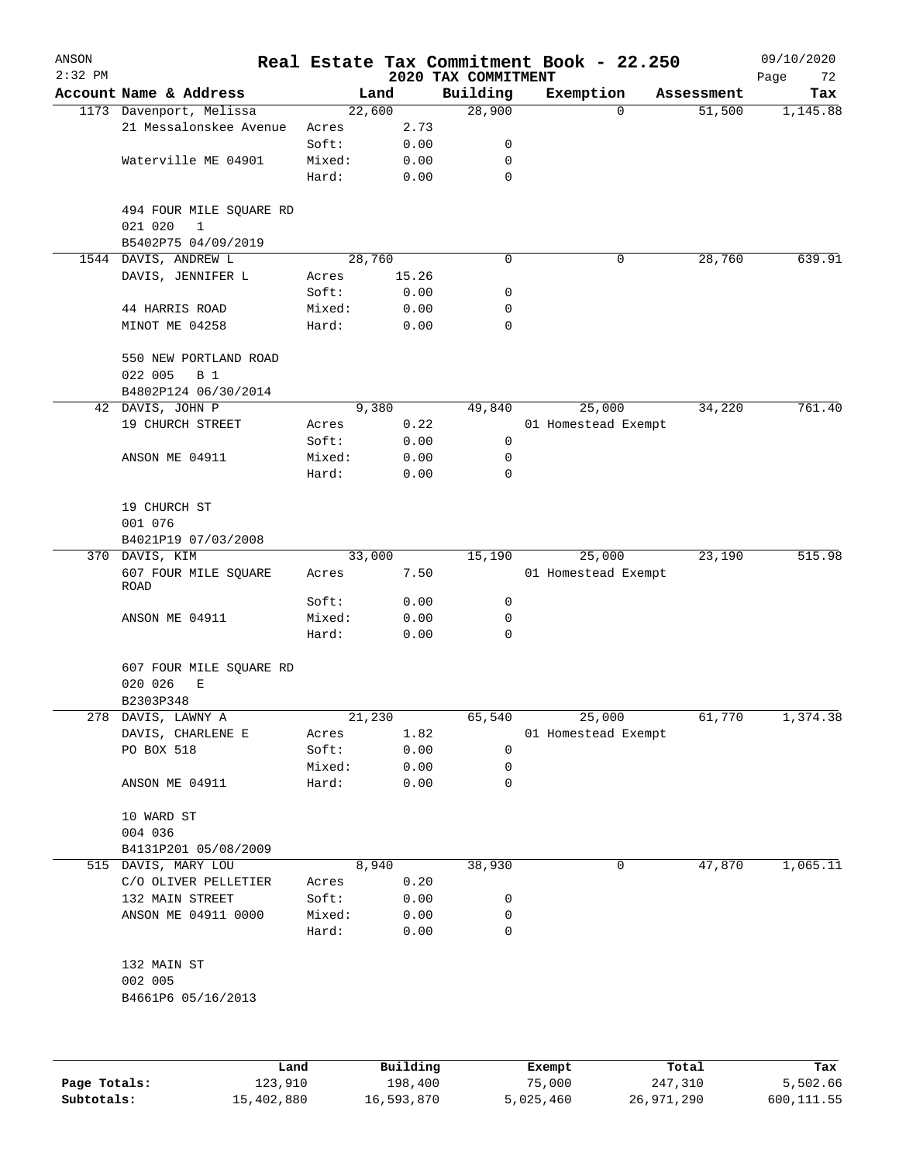| ANSON<br>$2:32$ PM |                              |        |          | 2020 TAX COMMITMENT | Real Estate Tax Commitment Book - 22.250 |            | 09/10/2020<br>Page<br>72 |
|--------------------|------------------------------|--------|----------|---------------------|------------------------------------------|------------|--------------------------|
|                    | Account Name & Address       |        | Land     | Building            | Exemption                                | Assessment | Tax                      |
|                    | 1173 Davenport, Melissa      |        | 22,600   | 28,900              | $\mathbf 0$                              | 51,500     | 1,145.88                 |
|                    | 21 Messalonskee Avenue       | Acres  | 2.73     |                     |                                          |            |                          |
|                    |                              | Soft:  | 0.00     | 0                   |                                          |            |                          |
|                    | Waterville ME 04901          | Mixed: | 0.00     | 0                   |                                          |            |                          |
|                    |                              | Hard:  | 0.00     | $\mathbf 0$         |                                          |            |                          |
|                    | 494 FOUR MILE SQUARE RD      |        |          |                     |                                          |            |                          |
|                    | 021 020<br>$\mathbf{1}$      |        |          |                     |                                          |            |                          |
|                    | B5402P75 04/09/2019          |        |          |                     |                                          |            |                          |
| 1544               | DAVIS, ANDREW L              |        | 28,760   | 0                   | 0                                        | 28,760     | 639.91                   |
|                    | DAVIS, JENNIFER L            | Acres  | 15.26    |                     |                                          |            |                          |
|                    |                              | Soft:  | 0.00     | 0                   |                                          |            |                          |
|                    | 44 HARRIS ROAD               | Mixed: | 0.00     | 0                   |                                          |            |                          |
|                    | MINOT ME 04258               | Hard:  | 0.00     | 0                   |                                          |            |                          |
|                    | 550 NEW PORTLAND ROAD        |        |          |                     |                                          |            |                          |
|                    | 022 005<br><b>B</b> 1        |        |          |                     |                                          |            |                          |
|                    | B4802P124 06/30/2014         |        |          |                     |                                          |            |                          |
|                    | 42 DAVIS, JOHN P             |        | 9,380    | 49,840              | 25,000                                   | 34,220     | 761.40                   |
|                    | 19 CHURCH STREET             | Acres  | 0.22     |                     | 01 Homestead Exempt                      |            |                          |
|                    |                              | Soft:  | 0.00     | 0                   |                                          |            |                          |
|                    | ANSON ME 04911               | Mixed: | 0.00     | 0                   |                                          |            |                          |
|                    |                              | Hard:  | 0.00     | 0                   |                                          |            |                          |
|                    | 19 CHURCH ST                 |        |          |                     |                                          |            |                          |
|                    | 001 076                      |        |          |                     |                                          |            |                          |
|                    | B4021P19 07/03/2008          |        |          |                     |                                          |            |                          |
|                    | 370 DAVIS, KIM               |        | 33,000   | 15,190              | 25,000                                   | 23,190     | 515.98                   |
|                    | 607 FOUR MILE SQUARE<br>ROAD | Acres  | 7.50     |                     | 01 Homestead Exempt                      |            |                          |
|                    |                              | Soft:  | 0.00     | 0                   |                                          |            |                          |
|                    | ANSON ME 04911               | Mixed: | 0.00     | 0                   |                                          |            |                          |
|                    |                              | Hard:  | 0.00     | 0                   |                                          |            |                          |
|                    | 607 FOUR MILE SQUARE RD      |        |          |                     |                                          |            |                          |
|                    | 020 026<br>Е<br>B2303P348    |        |          |                     |                                          |            |                          |
|                    | 278 DAVIS, LAWNY A           |        | 21,230   | 65,540              | 25,000                                   | 61,770     | 1,374.38                 |
|                    | DAVIS, CHARLENE E            | Acres  | 1.82     |                     | 01 Homestead Exempt                      |            |                          |
|                    | PO BOX 518                   | Soft:  | 0.00     | 0                   |                                          |            |                          |
|                    |                              | Mixed: | 0.00     | 0                   |                                          |            |                          |
|                    | ANSON ME 04911               | Hard:  | 0.00     | 0                   |                                          |            |                          |
|                    | 10 WARD ST                   |        |          |                     |                                          |            |                          |
|                    | 004 036                      |        |          |                     |                                          |            |                          |
|                    | B4131P201 05/08/2009         |        |          |                     |                                          |            |                          |
|                    | 515 DAVIS, MARY LOU          |        | 8,940    | 38,930              | 0                                        | 47,870     | 1,065.11                 |
|                    | C/O OLIVER PELLETIER         | Acres  | 0.20     |                     |                                          |            |                          |
|                    | 132 MAIN STREET              | Soft:  | 0.00     | 0                   |                                          |            |                          |
|                    | ANSON ME 04911 0000          | Mixed: | 0.00     | 0                   |                                          |            |                          |
|                    |                              | Hard:  | 0.00     | 0                   |                                          |            |                          |
|                    | 132 MAIN ST                  |        |          |                     |                                          |            |                          |
|                    | 002 005                      |        |          |                     |                                          |            |                          |
|                    | B4661P6 05/16/2013           |        |          |                     |                                          |            |                          |
|                    |                              |        |          |                     |                                          |            |                          |
|                    | Land                         |        | Building |                     | Exempt                                   | Total      | Tax                      |

|              | -----      | --------   | -------   | -----      | .          |
|--------------|------------|------------|-----------|------------|------------|
| Page Totals: | 123,910    | 198,400    | 75,000    | 247,310    | 5,502.66   |
| Subtotals:   | 15,402,880 | 16,593,870 | 5,025,460 | 26,971,290 | 600,111.55 |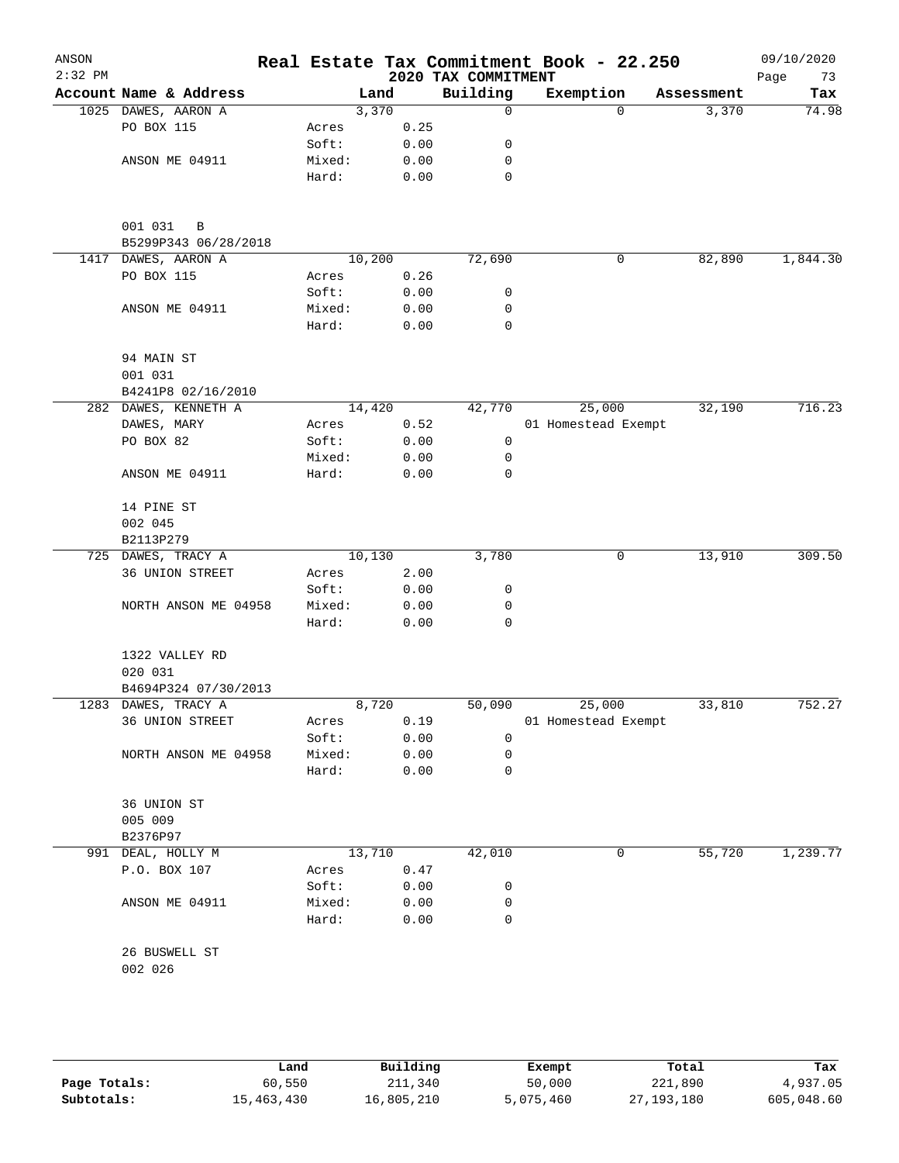| ANSON<br>$2:32$ PM |                                      |        |        |      | 2020 TAX COMMITMENT | Real Estate Tax Commitment Book - 22.250 |          |            | 09/10/2020<br>Page<br>73 |
|--------------------|--------------------------------------|--------|--------|------|---------------------|------------------------------------------|----------|------------|--------------------------|
|                    | Account Name & Address               |        | Land   |      | Building            | Exemption                                |          | Assessment | Tax                      |
|                    | 1025 DAWES, AARON A                  |        | 3,370  |      | 0                   |                                          | $\Omega$ | 3,370      | 74.98                    |
|                    | PO BOX 115                           | Acres  |        | 0.25 |                     |                                          |          |            |                          |
|                    |                                      | Soft:  |        | 0.00 | 0                   |                                          |          |            |                          |
|                    | ANSON ME 04911                       | Mixed: |        | 0.00 | 0                   |                                          |          |            |                          |
|                    |                                      | Hard:  |        | 0.00 | 0                   |                                          |          |            |                          |
|                    | 001 031<br>B<br>B5299P343 06/28/2018 |        |        |      |                     |                                          |          |            |                          |
| 1417               | DAWES, AARON A                       |        | 10,200 |      | 72,690              |                                          | 0        | 82,890     | 1,844.30                 |
|                    | PO BOX 115                           | Acres  |        | 0.26 |                     |                                          |          |            |                          |
|                    |                                      | Soft:  |        | 0.00 | 0                   |                                          |          |            |                          |
|                    | ANSON ME 04911                       | Mixed: |        | 0.00 | 0                   |                                          |          |            |                          |
|                    |                                      | Hard:  |        | 0.00 | $\mathbf 0$         |                                          |          |            |                          |
|                    | 94 MAIN ST                           |        |        |      |                     |                                          |          |            |                          |
|                    | 001 031                              |        |        |      |                     |                                          |          |            |                          |
|                    | B4241P8 02/16/2010                   |        |        |      |                     |                                          |          |            |                          |
|                    | 282 DAWES, KENNETH A                 |        | 14,420 |      | 42,770              | 25,000                                   |          | 32,190     | 716.23                   |
|                    | DAWES, MARY                          | Acres  |        | 0.52 |                     | 01 Homestead Exempt                      |          |            |                          |
|                    | PO BOX 82                            | Soft:  |        | 0.00 | 0                   |                                          |          |            |                          |
|                    |                                      | Mixed: |        | 0.00 | $\mathbf 0$         |                                          |          |            |                          |
|                    | ANSON ME 04911                       | Hard:  |        | 0.00 | 0                   |                                          |          |            |                          |
|                    | 14 PINE ST                           |        |        |      |                     |                                          |          |            |                          |
|                    | 002 045                              |        |        |      |                     |                                          |          |            |                          |
|                    | B2113P279                            |        |        |      |                     |                                          |          |            |                          |
|                    | 725 DAWES, TRACY A                   |        | 10,130 |      | 3,780               |                                          | 0        | 13,910     | 309.50                   |
|                    | 36 UNION STREET                      | Acres  |        | 2.00 |                     |                                          |          |            |                          |
|                    |                                      | Soft:  |        | 0.00 | 0                   |                                          |          |            |                          |
|                    | NORTH ANSON ME 04958                 | Mixed: |        | 0.00 | 0                   |                                          |          |            |                          |
|                    |                                      | Hard:  |        | 0.00 | 0                   |                                          |          |            |                          |
|                    | 1322 VALLEY RD                       |        |        |      |                     |                                          |          |            |                          |
|                    | 020 031                              |        |        |      |                     |                                          |          |            |                          |
|                    | B4694P324 07/30/2013                 |        |        |      |                     |                                          |          |            |                          |
|                    | 1283 DAWES, TRACY A                  |        | 8,720  |      | 50,090              | 25,000                                   |          | 33,810     | 752.27                   |
|                    | 36 UNION STREET                      | Acres  |        | 0.19 |                     | 01 Homestead Exempt                      |          |            |                          |
|                    |                                      | Soft:  |        | 0.00 | 0                   |                                          |          |            |                          |
|                    | NORTH ANSON ME 04958                 | Mixed: |        | 0.00 | 0                   |                                          |          |            |                          |
|                    |                                      | Hard:  |        | 0.00 | 0                   |                                          |          |            |                          |
|                    | 36 UNION ST                          |        |        |      |                     |                                          |          |            |                          |
|                    | 005 009                              |        |        |      |                     |                                          |          |            |                          |
|                    | B2376P97                             |        |        |      |                     |                                          |          |            |                          |
|                    | 991 DEAL, HOLLY M                    |        | 13,710 |      | 42,010              |                                          | 0        | 55,720     | 1,239.77                 |
|                    | P.O. BOX 107                         | Acres  |        | 0.47 |                     |                                          |          |            |                          |
|                    |                                      | Soft:  |        | 0.00 | 0                   |                                          |          |            |                          |
|                    | ANSON ME 04911                       | Mixed: |        | 0.00 | 0                   |                                          |          |            |                          |
|                    |                                      | Hard:  |        | 0.00 | 0                   |                                          |          |            |                          |
|                    | 26 BUSWELL ST                        |        |        |      |                     |                                          |          |            |                          |
|                    | 002 026                              |        |        |      |                     |                                          |          |            |                          |
|                    |                                      |        |        |      |                     |                                          |          |            |                          |
|                    |                                      |        |        |      |                     |                                          |          |            |                          |

|              | Land       | Building   | Exempt    | Total      | Tax        |
|--------------|------------|------------|-----------|------------|------------|
| Page Totals: | 60,550     | 211,340    | 50,000    | 221,890    | 4,937.05   |
| Subtotals:   | 15,463,430 | 16,805,210 | 5,075,460 | 27,193,180 | 605,048.60 |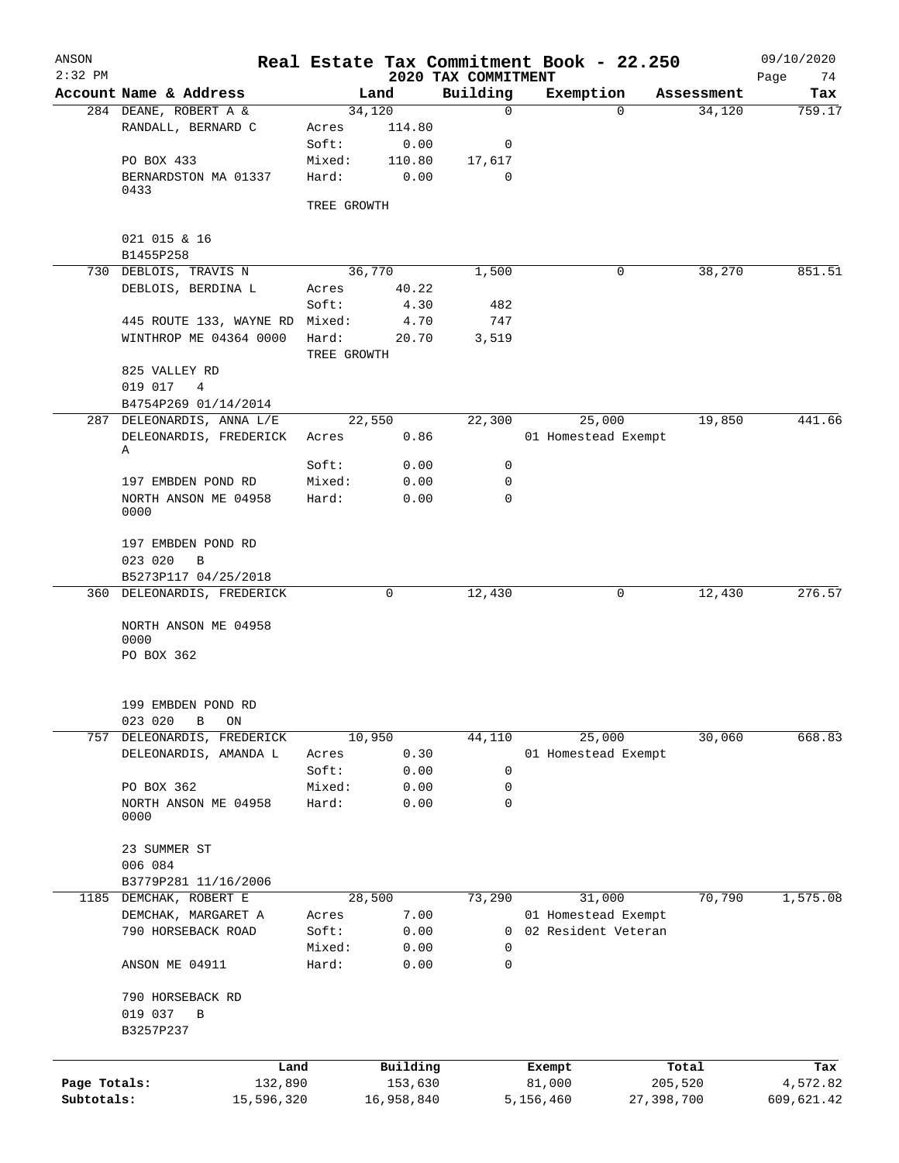| ANSON<br>$2:32$ PM |                                |             |            |                                 | Real Estate Tax Commitment Book - 22.250 |            | 09/10/2020        |
|--------------------|--------------------------------|-------------|------------|---------------------------------|------------------------------------------|------------|-------------------|
|                    | Account Name & Address         |             | Land       | 2020 TAX COMMITMENT<br>Building | Exemption                                | Assessment | Page<br>74<br>Tax |
|                    | 284 DEANE, ROBERT A &          |             | 34,120     | $\mathbf 0$                     | 0                                        | 34,120     | 759.17            |
|                    | RANDALL, BERNARD C             | Acres       | 114.80     |                                 |                                          |            |                   |
|                    |                                | Soft:       | 0.00       | 0                               |                                          |            |                   |
|                    |                                |             |            |                                 |                                          |            |                   |
|                    | PO BOX 433                     | Mixed:      | 110.80     | 17,617                          |                                          |            |                   |
|                    | BERNARDSTON MA 01337<br>0433   | Hard:       | 0.00       | 0                               |                                          |            |                   |
|                    |                                | TREE GROWTH |            |                                 |                                          |            |                   |
|                    | 021 015 & 16                   |             |            |                                 |                                          |            |                   |
|                    | B1455P258                      |             |            |                                 |                                          |            |                   |
|                    | 730 DEBLOIS, TRAVIS N          |             | 36,770     | 1,500                           | 0                                        | 38,270     | 851.51            |
|                    | DEBLOIS, BERDINA L             | Acres       | 40.22      |                                 |                                          |            |                   |
|                    |                                | Soft:       | 4.30       | 482                             |                                          |            |                   |
|                    | 445 ROUTE 133, WAYNE RD Mixed: |             | 4.70       | 747                             |                                          |            |                   |
|                    | WINTHROP ME 04364 0000         | Hard:       | 20.70      | 3,519                           |                                          |            |                   |
|                    |                                | TREE GROWTH |            |                                 |                                          |            |                   |
|                    | 825 VALLEY RD                  |             |            |                                 |                                          |            |                   |
|                    | 019 017<br>$\overline{4}$      |             |            |                                 |                                          |            |                   |
|                    | B4754P269 01/14/2014           |             |            |                                 |                                          |            |                   |
|                    | 287 DELEONARDIS, ANNA L/E      |             | 22,550     | 22,300                          | 25,000                                   | 19,850     | 441.66            |
|                    | DELEONARDIS, FREDERICK         | Acres       | 0.86       |                                 | 01 Homestead Exempt                      |            |                   |
|                    | Α                              |             |            |                                 |                                          |            |                   |
|                    |                                | Soft:       | 0.00       | 0                               |                                          |            |                   |
|                    | 197 EMBDEN POND RD             | Mixed:      | 0.00       | 0                               |                                          |            |                   |
|                    | NORTH ANSON ME 04958           | Hard:       | 0.00       | 0                               |                                          |            |                   |
|                    | 0000                           |             |            |                                 |                                          |            |                   |
|                    | 197 EMBDEN POND RD             |             |            |                                 |                                          |            |                   |
|                    | 023 020<br>B                   |             |            |                                 |                                          |            |                   |
|                    | B5273P117 04/25/2018           |             |            |                                 |                                          |            |                   |
|                    | 360 DELEONARDIS, FREDERICK     |             | 0          | 12,430                          | 0                                        | 12,430     | 276.57            |
|                    | NORTH ANSON ME 04958           |             |            |                                 |                                          |            |                   |
|                    | 0000                           |             |            |                                 |                                          |            |                   |
|                    | PO BOX 362                     |             |            |                                 |                                          |            |                   |
|                    |                                |             |            |                                 |                                          |            |                   |
|                    |                                |             |            |                                 |                                          |            |                   |
|                    | 199 EMBDEN POND RD             |             |            |                                 |                                          |            |                   |
|                    | 023 020<br>$\, {\bf B}$<br>ON  |             |            |                                 |                                          |            |                   |
| 757                | DELEONARDIS, FREDERICK         |             | 10,950     | 44,110                          | 25,000                                   | 30,060     | 668.83            |
|                    | DELEONARDIS, AMANDA L          | Acres       | 0.30       |                                 | 01 Homestead Exempt                      |            |                   |
|                    |                                | Soft:       | 0.00       | 0                               |                                          |            |                   |
|                    | PO BOX 362                     | Mixed:      | 0.00       | 0                               |                                          |            |                   |
|                    | NORTH ANSON ME 04958           | Hard:       | 0.00       | 0                               |                                          |            |                   |
|                    | 0000                           |             |            |                                 |                                          |            |                   |
|                    |                                |             |            |                                 |                                          |            |                   |
|                    | 23 SUMMER ST                   |             |            |                                 |                                          |            |                   |
|                    | 006 084                        |             |            |                                 |                                          |            |                   |
|                    | B3779P281 11/16/2006           |             |            |                                 |                                          |            |                   |
|                    | 1185 DEMCHAK, ROBERT E         |             | 28,500     | 73,290                          | 31,000                                   | 70,790     | 1,575.08          |
|                    | DEMCHAK, MARGARET A            | Acres       | 7.00       |                                 | 01 Homestead Exempt                      |            |                   |
|                    | 790 HORSEBACK ROAD             | Soft:       | 0.00       | 0                               | 02 Resident Veteran                      |            |                   |
|                    |                                | Mixed:      | 0.00       | 0                               |                                          |            |                   |
|                    | ANSON ME 04911                 | Hard:       | 0.00       | 0                               |                                          |            |                   |
|                    | 790 HORSEBACK RD               |             |            |                                 |                                          |            |                   |
|                    | 019 037<br>В                   |             |            |                                 |                                          |            |                   |
|                    | B3257P237                      |             |            |                                 |                                          |            |                   |
|                    |                                |             |            |                                 |                                          |            |                   |
|                    | Land                           |             | Building   |                                 |                                          | Total      | Tax               |
| Page Totals:       | 132,890                        |             | 153,630    |                                 | Exempt<br>81,000                         | 205,520    | 4,572.82          |
| Subtotals:         |                                |             |            |                                 |                                          |            |                   |
|                    | 15,596,320                     |             | 16,958,840 |                                 | 5,156,460                                | 27,398,700 | 609,621.42        |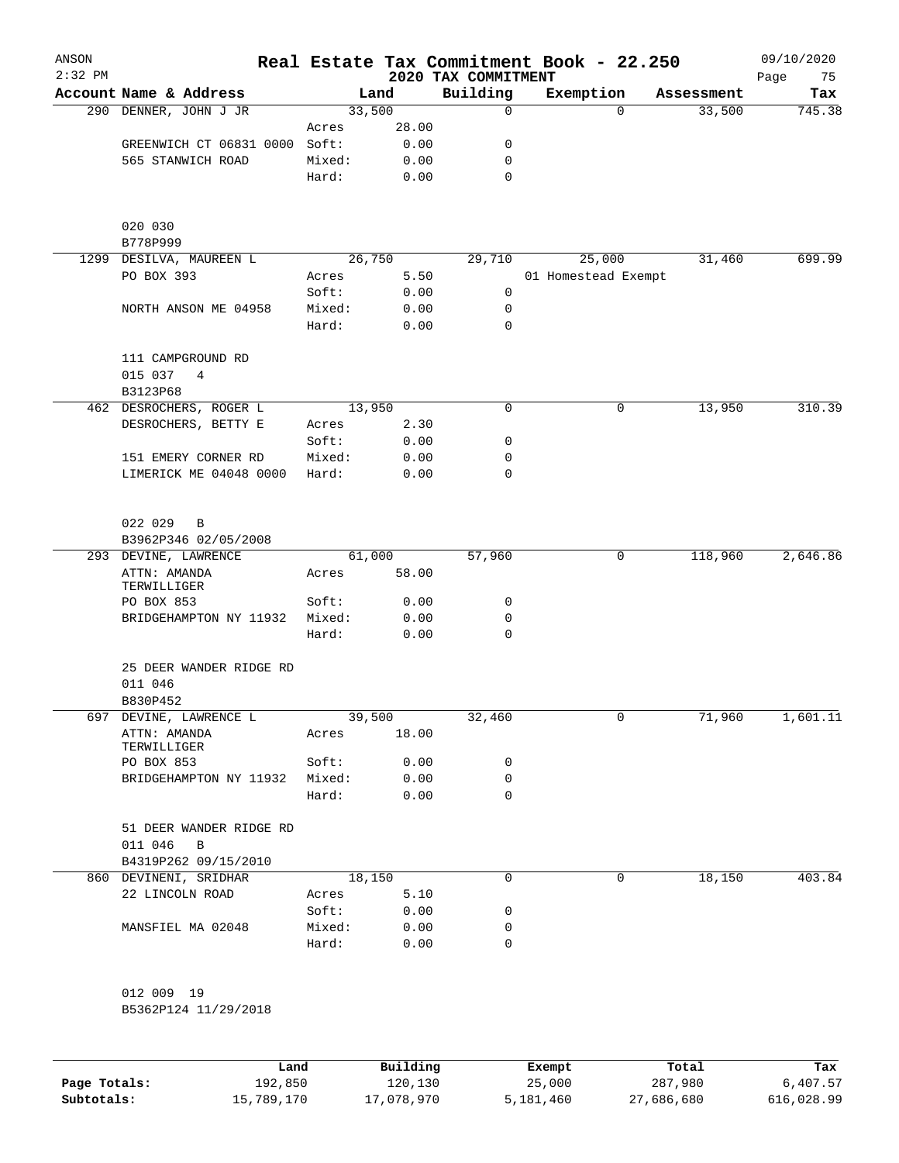| ANSON<br>$2:32$ PM |                                         |                 |              | 2020 TAX COMMITMENT | Real Estate Tax Commitment Book - 22.250 |            | 09/10/2020<br>Page<br>75 |
|--------------------|-----------------------------------------|-----------------|--------------|---------------------|------------------------------------------|------------|--------------------------|
|                    | Account Name & Address                  |                 | Land         | Building            | Exemption                                | Assessment | Tax                      |
|                    | 290 DENNER, JOHN J JR                   | 33,500          |              | 0                   | $\Omega$                                 | 33,500     | 745.38                   |
|                    |                                         | Acres           | 28.00        |                     |                                          |            |                          |
|                    | GREENWICH CT 06831 0000                 | Soft:           | 0.00         | 0                   |                                          |            |                          |
|                    | 565 STANWICH ROAD                       | Mixed:          | 0.00         | 0                   |                                          |            |                          |
|                    |                                         | Hard:           | 0.00         | $\mathbf 0$         |                                          |            |                          |
|                    | 020 030                                 |                 |              |                     |                                          |            |                          |
|                    | B778P999                                | 26,750          |              | 31,460              | 699.99                                   |            |                          |
|                    | 1299 DESILVA, MAUREEN L<br>PO BOX 393   | Acres           | 5.50         | 29,710              | 25,000<br>01 Homestead Exempt            |            |                          |
|                    |                                         | Soft:           | 0.00         | 0                   |                                          |            |                          |
|                    | NORTH ANSON ME 04958                    | Mixed:          | 0.00         | 0                   |                                          |            |                          |
|                    |                                         | Hard:           | 0.00         | 0                   |                                          |            |                          |
|                    | 111 CAMPGROUND RD                       |                 |              |                     |                                          |            |                          |
|                    | 015 037<br>4<br>B3123P68                |                 |              |                     |                                          |            |                          |
|                    | 462 DESROCHERS, ROGER L                 | 13,950          |              | 0                   | 0                                        | 13,950     | 310.39                   |
|                    | DESROCHERS, BETTY E                     | Acres           | 2.30         |                     |                                          |            |                          |
|                    |                                         | Soft:           | 0.00         | 0                   |                                          |            |                          |
|                    | 151 EMERY CORNER RD                     | Mixed:          | 0.00         | 0                   |                                          |            |                          |
|                    | LIMERICK ME 04048 0000                  | Hard:           | 0.00         | $\mathbf 0$         |                                          |            |                          |
|                    | 022 029<br>B                            |                 |              |                     |                                          |            |                          |
|                    | B3962P346 02/05/2008                    |                 |              |                     |                                          |            |                          |
|                    | 293 DEVINE, LAWRENCE                    | 61,000          |              | 57,960              | 0                                        | 118,960    | 2,646.86                 |
|                    | ATTN: AMANDA<br>TERWILLIGER             | Acres           | 58.00        |                     |                                          |            |                          |
|                    | PO BOX 853                              | Soft:           | 0.00         | 0                   |                                          |            |                          |
|                    | BRIDGEHAMPTON NY 11932                  | Mixed:<br>Hard: | 0.00<br>0.00 | 0<br>0              |                                          |            |                          |
|                    | 25 DEER WANDER RIDGE RD                 |                 |              |                     |                                          |            |                          |
|                    | 011 046<br>B830P452                     |                 |              |                     |                                          |            |                          |
|                    | 697 DEVINE, LAWRENCE L                  | 39,500          |              | 32,460              | 0                                        | 71,960     | 1,601.11                 |
|                    | ATTN: AMANDA<br>TERWILLIGER             | Acres           | 18.00        |                     |                                          |            |                          |
|                    | PO BOX 853                              | Soft:           | 0.00         | 0                   |                                          |            |                          |
|                    | BRIDGEHAMPTON NY 11932                  | Mixed:<br>Hard: | 0.00<br>0.00 | 0<br>0              |                                          |            |                          |
|                    | 51 DEER WANDER RIDGE RD<br>011 046<br>B |                 |              |                     |                                          |            |                          |
|                    | B4319P262 09/15/2010                    |                 |              |                     |                                          |            |                          |
|                    | 860 DEVINENI, SRIDHAR                   | 18,150          |              | 0                   | 0                                        | 18,150     | 403.84                   |
|                    | 22 LINCOLN ROAD                         | Acres           | 5.10         |                     |                                          |            |                          |
|                    |                                         | Soft:           | 0.00         | 0                   |                                          |            |                          |
|                    | MANSFIEL MA 02048                       | Mixed:          | 0.00         | 0                   |                                          |            |                          |
|                    |                                         | Hard:           | 0.00         | 0                   |                                          |            |                          |
|                    | 012 009 19                              |                 |              |                     |                                          |            |                          |
|                    | B5362P124 11/29/2018                    |                 |              |                     |                                          |            |                          |
|                    |                                         |                 |              |                     |                                          |            |                          |

|              | Land       | Building   | Exempt    | Total      | Tax        |
|--------------|------------|------------|-----------|------------|------------|
| Page Totals: | 192,850    | 120,130    | 25,000    | 287,980    | 6,407.57   |
| Subtotals:   | 15,789,170 | 17,078,970 | 5,181,460 | 27,686,680 | 616,028.99 |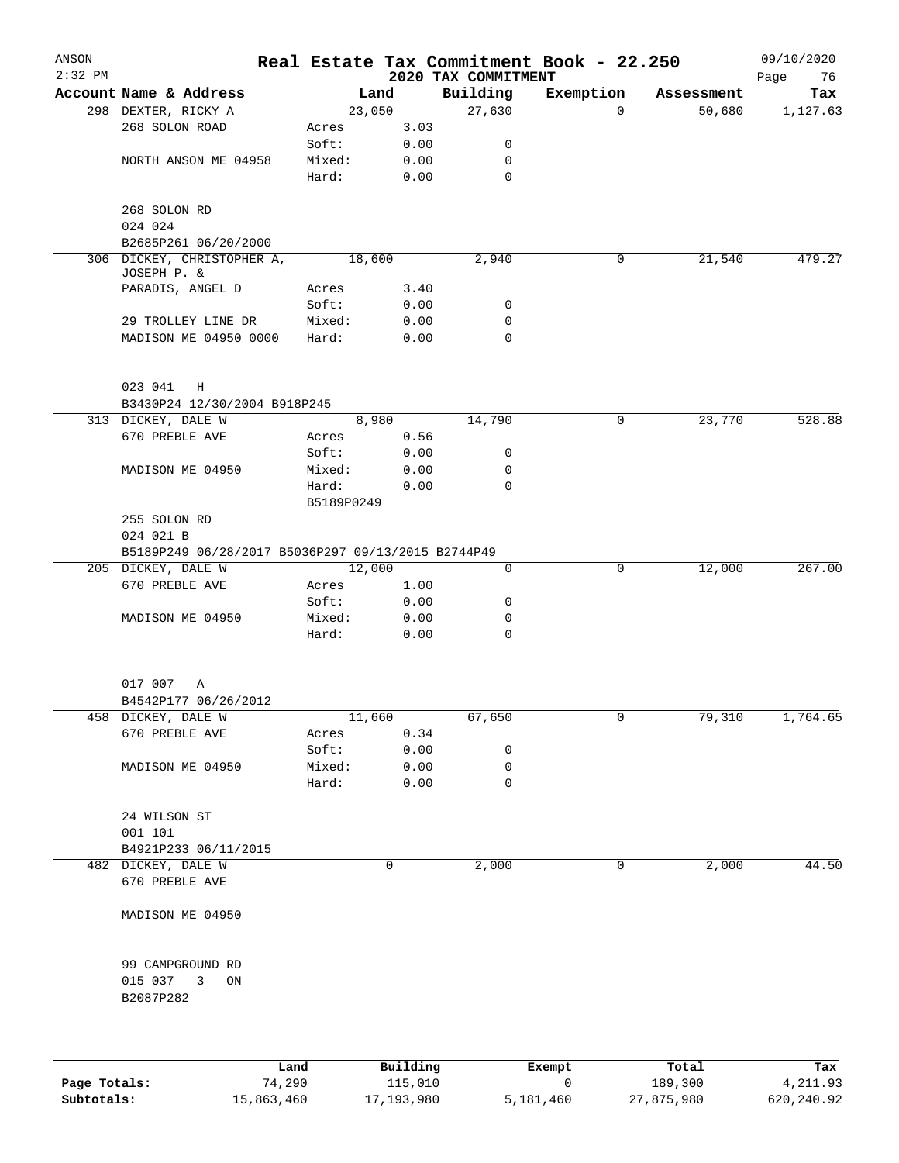| ANSON<br>$2:32$ PM |                                                                  |            |        | 2020 TAX COMMITMENT | Real Estate Tax Commitment Book - 22.250 |            | 09/10/2020<br>76<br>Page |
|--------------------|------------------------------------------------------------------|------------|--------|---------------------|------------------------------------------|------------|--------------------------|
|                    | Account Name & Address                                           |            | Land   | Building            | Exemption                                | Assessment | Tax                      |
|                    | 298 DEXTER, RICKY A                                              |            | 23,050 | 27,630              | 0                                        | 50,680     | 1,127.63                 |
|                    | 268 SOLON ROAD                                                   | Acres      | 3.03   |                     |                                          |            |                          |
|                    |                                                                  | Soft:      | 0.00   | 0                   |                                          |            |                          |
|                    | NORTH ANSON ME 04958                                             | Mixed:     | 0.00   | 0                   |                                          |            |                          |
|                    |                                                                  | Hard:      | 0.00   | $\mathbf 0$         |                                          |            |                          |
|                    | 268 SOLON RD<br>024 024                                          |            |        |                     |                                          |            |                          |
|                    | B2685P261 06/20/2000                                             |            |        |                     |                                          |            |                          |
|                    | 306 DICKEY, CHRISTOPHER A,<br>JOSEPH P. &                        |            | 18,600 | 2,940               | 0                                        | 21,540     | 479.27                   |
|                    | PARADIS, ANGEL D                                                 | Acres      | 3.40   |                     |                                          |            |                          |
|                    |                                                                  | Soft:      | 0.00   | 0                   |                                          |            |                          |
|                    | 29 TROLLEY LINE DR                                               | Mixed:     | 0.00   | 0                   |                                          |            |                          |
|                    | MADISON ME 04950 0000                                            | Hard:      | 0.00   | 0                   |                                          |            |                          |
|                    | 023 041<br>$_{\rm H}$                                            |            |        |                     |                                          |            |                          |
|                    | B3430P24 12/30/2004 B918P245                                     |            |        |                     |                                          |            |                          |
|                    | 313 DICKEY, DALE W                                               |            | 8,980  | 14,790              | 0                                        | 23,770     | 528.88                   |
|                    | 670 PREBLE AVE                                                   | Acres      | 0.56   |                     |                                          |            |                          |
|                    |                                                                  | Soft:      | 0.00   | 0                   |                                          |            |                          |
|                    | MADISON ME 04950                                                 | Mixed:     | 0.00   | 0                   |                                          |            |                          |
|                    |                                                                  | Hard:      | 0.00   | 0                   |                                          |            |                          |
|                    |                                                                  | B5189P0249 |        |                     |                                          |            |                          |
|                    | 255 SOLON RD                                                     |            |        |                     |                                          |            |                          |
|                    | 024 021 B                                                        |            |        |                     |                                          |            |                          |
|                    | B5189P249 06/28/2017 B5036P297 09/13/2015 B2744P49               |            |        |                     |                                          |            |                          |
|                    | 205 DICKEY, DALE W                                               |            | 12,000 | 0                   | 0                                        | 12,000     | 267.00                   |
|                    | 670 PREBLE AVE                                                   | Acres      | 1.00   |                     |                                          |            |                          |
|                    |                                                                  | Soft:      | 0.00   | 0                   |                                          |            |                          |
|                    | MADISON ME 04950                                                 | Mixed:     | 0.00   | 0                   |                                          |            |                          |
|                    |                                                                  | Hard:      | 0.00   | $\mathsf{O}$        |                                          |            |                          |
|                    |                                                                  |            |        |                     |                                          |            |                          |
|                    | 017 007<br>Α                                                     |            |        |                     |                                          |            |                          |
|                    | B4542P177 06/26/2012                                             |            |        |                     |                                          |            |                          |
|                    | 458 DICKEY, DALE W                                               |            | 11,660 | 67,650              | 0                                        | 79,310     | 1,764.65                 |
|                    | 670 PREBLE AVE                                                   | Acres      | 0.34   |                     |                                          |            |                          |
|                    |                                                                  | Soft:      | 0.00   | 0                   |                                          |            |                          |
|                    | MADISON ME 04950                                                 | Mixed:     | 0.00   | 0                   |                                          |            |                          |
|                    |                                                                  | Hard:      | 0.00   | 0                   |                                          |            |                          |
|                    | 24 WILSON ST                                                     |            |        |                     |                                          |            |                          |
|                    | 001 101                                                          |            |        |                     |                                          |            |                          |
|                    | B4921P233 06/11/2015                                             |            |        |                     |                                          |            |                          |
|                    | 482 DICKEY, DALE W                                               |            | 0      | 2,000               | 0                                        | 2,000      | 44.50                    |
|                    | 670 PREBLE AVE                                                   |            |        |                     |                                          |            |                          |
|                    | MADISON ME 04950                                                 |            |        |                     |                                          |            |                          |
|                    | 99 CAMPGROUND RD<br>015 037<br>$\overline{3}$<br>ON<br>B2087P282 |            |        |                     |                                          |            |                          |
|                    |                                                                  |            |        |                     |                                          |            |                          |

|              | Land       | Building   | Exempt    | Total      | Tax        |
|--------------|------------|------------|-----------|------------|------------|
| Page Totals: | 74,290     | 115,010    |           | 189,300    | 4,211.93   |
| Subtotals:   | 15,863,460 | 17,193,980 | 5,181,460 | 27,875,980 | 620,240.92 |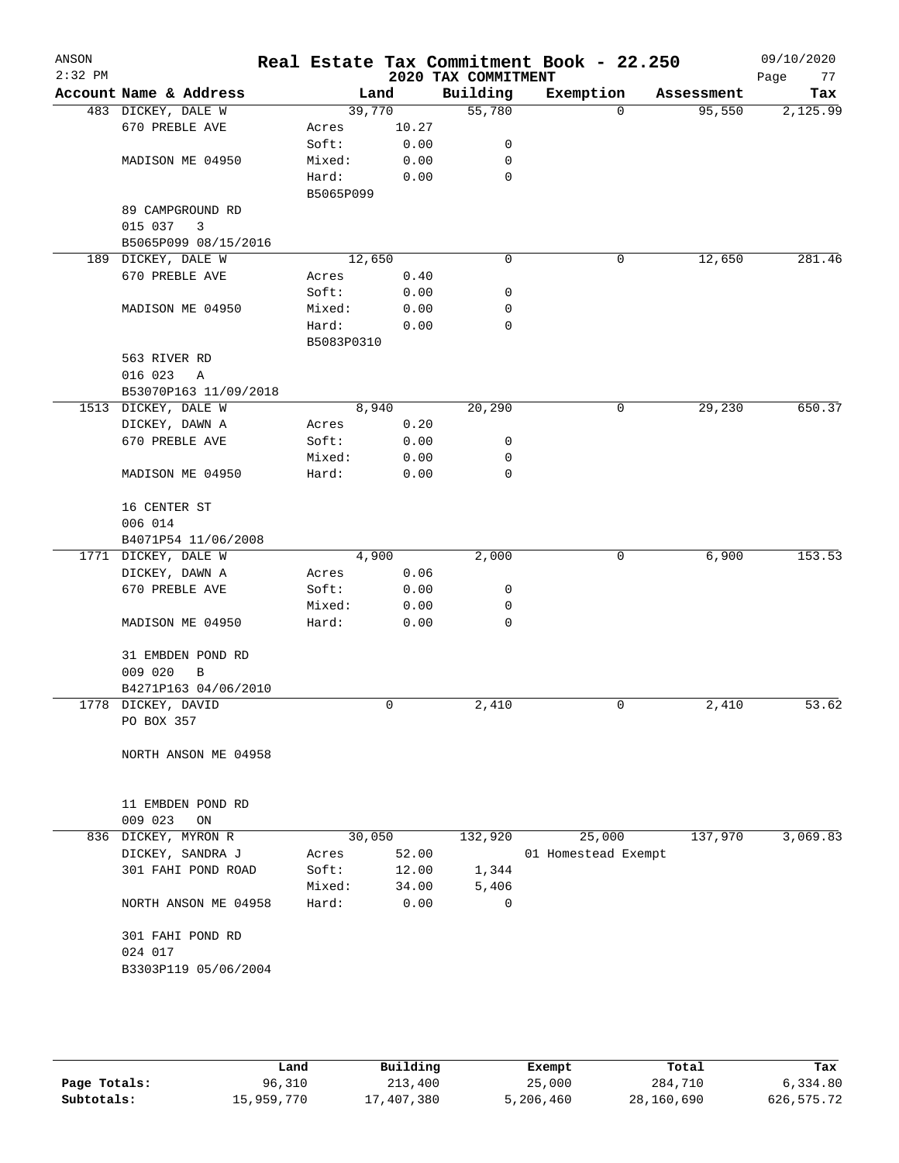| ANSON<br>$2:32$ PM |                                    |                     |              | 2020 TAX COMMITMENT | Real Estate Tax Commitment Book - 22.250 |            | 09/10/2020<br>Page<br>77 |
|--------------------|------------------------------------|---------------------|--------------|---------------------|------------------------------------------|------------|--------------------------|
|                    | Account Name & Address             | Land                |              | Building            | Exemption                                | Assessment | Tax                      |
|                    | 483 DICKEY, DALE W                 | 39,770              |              | 55,780              | 0                                        | 95,550     | 2,125.99                 |
|                    | 670 PREBLE AVE                     | Acres               | 10.27        |                     |                                          |            |                          |
|                    |                                    | Soft:               | 0.00         | 0                   |                                          |            |                          |
|                    | MADISON ME 04950                   | Mixed:              | 0.00         | 0                   |                                          |            |                          |
|                    |                                    | Hard:<br>B5065P099  | 0.00         | 0                   |                                          |            |                          |
|                    | 89 CAMPGROUND RD                   |                     |              |                     |                                          |            |                          |
|                    | 015 037<br>3                       |                     |              |                     |                                          |            |                          |
|                    | B5065P099 08/15/2016               |                     |              |                     |                                          |            |                          |
|                    | 189 DICKEY, DALE W                 | 12,650              |              | 0                   | 0                                        | 12,650     | 281.46                   |
|                    | 670 PREBLE AVE                     | Acres               | 0.40         |                     |                                          |            |                          |
|                    |                                    | Soft:               | 0.00         | 0                   |                                          |            |                          |
|                    | MADISON ME 04950                   | Mixed:              | 0.00         | 0                   |                                          |            |                          |
|                    |                                    | Hard:<br>B5083P0310 | 0.00         | 0                   |                                          |            |                          |
|                    | 563 RIVER RD                       |                     |              |                     |                                          |            |                          |
|                    | 016 023<br>Α                       |                     |              |                     |                                          |            |                          |
|                    | B53070P163 11/09/2018              |                     |              |                     |                                          |            |                          |
|                    | 1513 DICKEY, DALE W                | 8,940               |              | 20, 290             | 0                                        | 29,230     | 650.37                   |
|                    | DICKEY, DAWN A                     | Acres               | 0.20         |                     |                                          |            |                          |
|                    | 670 PREBLE AVE                     | Soft:               | 0.00         | 0                   |                                          |            |                          |
|                    |                                    | Mixed:              | 0.00         | 0                   |                                          |            |                          |
|                    | MADISON ME 04950                   | Hard:               | 0.00         | 0                   |                                          |            |                          |
|                    | 16 CENTER ST                       |                     |              |                     |                                          |            |                          |
|                    | 006 014                            |                     |              |                     |                                          |            |                          |
|                    | B4071P54 11/06/2008                |                     |              |                     |                                          |            |                          |
|                    | 1771 DICKEY, DALE W                | 4,900               |              | 2,000               | 0                                        | 6,900      | 153.53                   |
|                    | DICKEY, DAWN A<br>670 PREBLE AVE   | Acres<br>Soft:      | 0.06<br>0.00 | 0                   |                                          |            |                          |
|                    |                                    | Mixed:              | 0.00         | 0                   |                                          |            |                          |
|                    | MADISON ME 04950                   | Hard:               | 0.00         | 0                   |                                          |            |                          |
|                    | 31 EMBDEN POND RD                  |                     |              |                     |                                          |            |                          |
|                    | 009 020<br>В                       |                     |              |                     |                                          |            |                          |
|                    | B4271P163 04/06/2010               |                     |              |                     |                                          |            |                          |
|                    | 1778 DICKEY, DAVID                 |                     | 0            | 2,410               | 0                                        | 2,410      | 53.62                    |
|                    | PO BOX 357                         |                     |              |                     |                                          |            |                          |
|                    | NORTH ANSON ME 04958               |                     |              |                     |                                          |            |                          |
|                    | 11 EMBDEN POND RD<br>009 023<br>ON |                     |              |                     |                                          |            |                          |
|                    | 836 DICKEY, MYRON R                | 30,050              |              | 132,920             | 25,000                                   | 137,970    | 3,069.83                 |
|                    | DICKEY, SANDRA J                   | Acres               | 52.00        |                     | 01 Homestead Exempt                      |            |                          |
|                    | 301 FAHI POND ROAD                 | Soft:               | 12.00        | 1,344               |                                          |            |                          |
|                    |                                    | Mixed:              | 34.00        | 5,406               |                                          |            |                          |
|                    | NORTH ANSON ME 04958               | Hard:               | 0.00         | 0                   |                                          |            |                          |
|                    | 301 FAHI POND RD<br>024 017        |                     |              |                     |                                          |            |                          |
|                    | B3303P119 05/06/2004               |                     |              |                     |                                          |            |                          |
|                    |                                    |                     |              |                     |                                          |            |                          |

|              | Land       | Building   | Exempt    | Total      | Tax         |
|--------------|------------|------------|-----------|------------|-------------|
| Page Totals: | 96,310     | 213,400    | 25,000    | 284,710    | 6,334.80    |
| Subtotals:   | 15,959,770 | 17,407,380 | 5,206,460 | 28,160,690 | 626, 575.72 |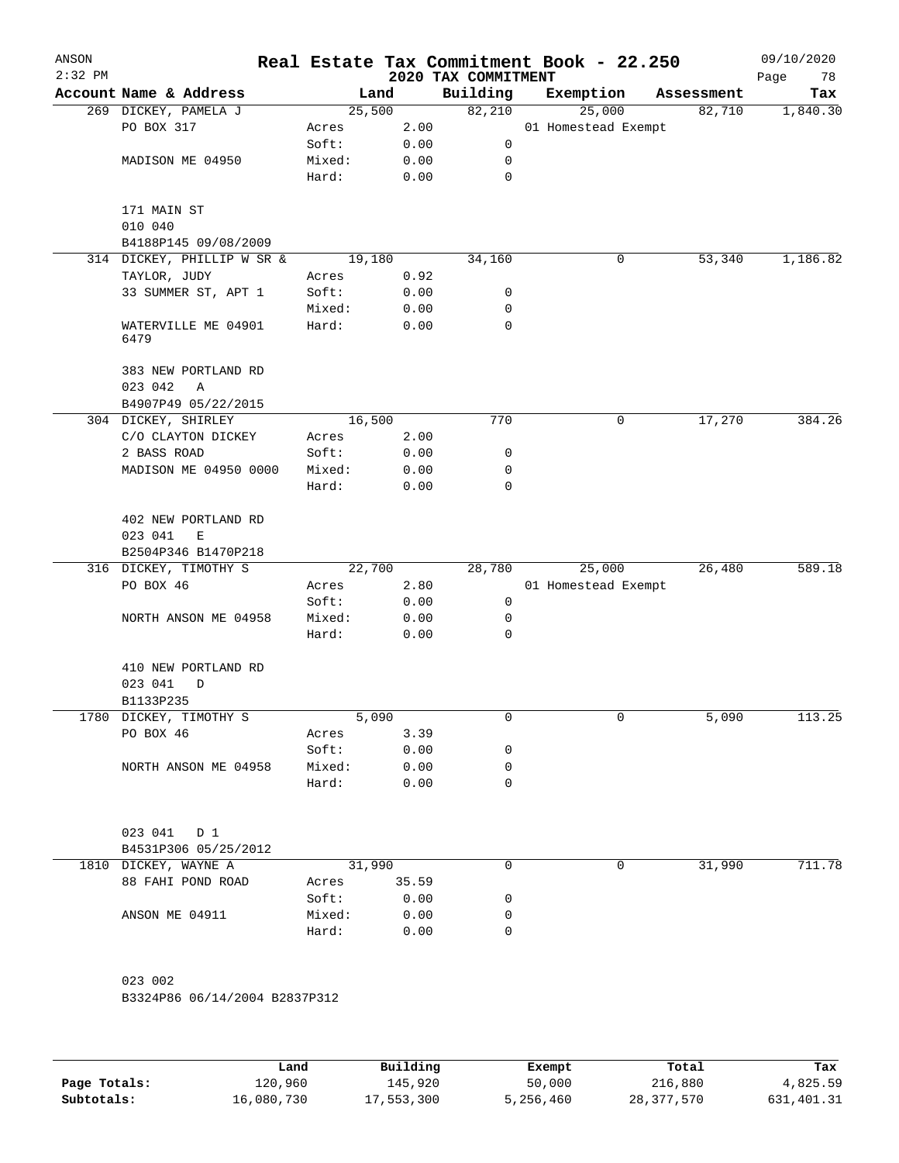| ANSON<br>$2:32$ PM |                                     |        |       | 2020 TAX COMMITMENT | Real Estate Tax Commitment Book - 22.250 |            | 09/10/2020<br>Page<br>78 |
|--------------------|-------------------------------------|--------|-------|---------------------|------------------------------------------|------------|--------------------------|
|                    | Account Name & Address              | Land   |       | Building            | Exemption                                | Assessment | Tax                      |
|                    | 269 DICKEY, PAMELA J                | 25,500 |       | 82,210              | 25,000                                   | 82,710     | 1,840.30                 |
|                    | PO BOX 317                          | Acres  | 2.00  |                     | 01 Homestead Exempt                      |            |                          |
|                    |                                     | Soft:  | 0.00  | 0                   |                                          |            |                          |
|                    | MADISON ME 04950                    | Mixed: | 0.00  | 0                   |                                          |            |                          |
|                    |                                     | Hard:  | 0.00  | 0                   |                                          |            |                          |
|                    | 171 MAIN ST                         |        |       |                     |                                          |            |                          |
|                    | 010 040                             |        |       |                     |                                          |            |                          |
|                    | B4188P145 09/08/2009                |        |       |                     |                                          |            |                          |
|                    | 314 DICKEY, PHILLIP W SR &          | 19,180 |       | 34,160              | 0                                        | 53,340     | 1,186.82                 |
|                    | TAYLOR, JUDY                        | Acres  | 0.92  |                     |                                          |            |                          |
|                    | 33 SUMMER ST, APT 1                 | Soft:  | 0.00  | 0                   |                                          |            |                          |
|                    |                                     | Mixed: | 0.00  | 0                   |                                          |            |                          |
|                    | WATERVILLE ME 04901<br>6479         | Hard:  | 0.00  | 0                   |                                          |            |                          |
|                    | 383 NEW PORTLAND RD<br>023 042<br>Α |        |       |                     |                                          |            |                          |
|                    | B4907P49 05/22/2015                 |        |       |                     |                                          |            |                          |
|                    | 304 DICKEY, SHIRLEY                 | 16,500 |       | 770                 | 0                                        | 17,270     | 384.26                   |
|                    | C/O CLAYTON DICKEY                  | Acres  | 2.00  |                     |                                          |            |                          |
|                    | 2 BASS ROAD                         | Soft:  | 0.00  | 0                   |                                          |            |                          |
|                    | MADISON ME 04950 0000               | Mixed: | 0.00  | 0                   |                                          |            |                          |
|                    |                                     | Hard:  | 0.00  | 0                   |                                          |            |                          |
|                    | 402 NEW PORTLAND RD<br>023 041<br>E |        |       |                     |                                          |            |                          |
|                    | B2504P346 B1470P218                 |        |       |                     |                                          |            |                          |
|                    | 316 DICKEY, TIMOTHY S               | 22,700 |       | 28,780              | 25,000                                   | 26,480     | 589.18                   |
|                    | PO BOX 46                           | Acres  | 2.80  |                     | 01 Homestead Exempt                      |            |                          |
|                    |                                     | Soft:  | 0.00  | 0                   |                                          |            |                          |
|                    | NORTH ANSON ME 04958                | Mixed: | 0.00  | 0                   |                                          |            |                          |
|                    |                                     | Hard:  | 0.00  | 0                   |                                          |            |                          |
|                    | 410 NEW PORTLAND RD<br>023 041<br>D |        |       |                     |                                          |            |                          |
|                    | B1133P235                           |        |       |                     |                                          |            |                          |
|                    | 1780 DICKEY, TIMOTHY S              | 5,090  |       | 0                   | 0                                        | 5,090      | 113.25                   |
|                    | PO BOX 46                           | Acres  | 3.39  |                     |                                          |            |                          |
|                    |                                     | Soft:  | 0.00  | 0                   |                                          |            |                          |
|                    | NORTH ANSON ME 04958                | Mixed: | 0.00  | 0                   |                                          |            |                          |
|                    |                                     | Hard:  | 0.00  | 0                   |                                          |            |                          |
|                    | 023 041 D 1                         |        |       |                     |                                          |            |                          |
|                    | B4531P306 05/25/2012                |        |       |                     |                                          |            |                          |
|                    | 1810 DICKEY, WAYNE A                | 31,990 |       | 0                   | 0                                        | 31,990     | 711.78                   |
|                    | 88 FAHI POND ROAD                   | Acres  | 35.59 |                     |                                          |            |                          |
|                    |                                     | Soft:  | 0.00  | 0                   |                                          |            |                          |
|                    | ANSON ME 04911                      | Mixed: | 0.00  | 0                   |                                          |            |                          |
|                    |                                     | Hard:  | 0.00  | 0                   |                                          |            |                          |
|                    | 023 002                             |        |       |                     |                                          |            |                          |
|                    | B3324P86 06/14/2004 B2837P312       |        |       |                     |                                          |            |                          |
|                    |                                     |        |       |                     |                                          |            |                          |

|              | Land       | Building   | Exempt    | Total      | Tax        |
|--------------|------------|------------|-----------|------------|------------|
| Page Totals: | 120,960    | 145,920    | 50,000    | 216,880    | 4,825.59   |
| Subtotals:   | 16,080,730 | 17,553,300 | 5,256,460 | 28,377,570 | 631,401.31 |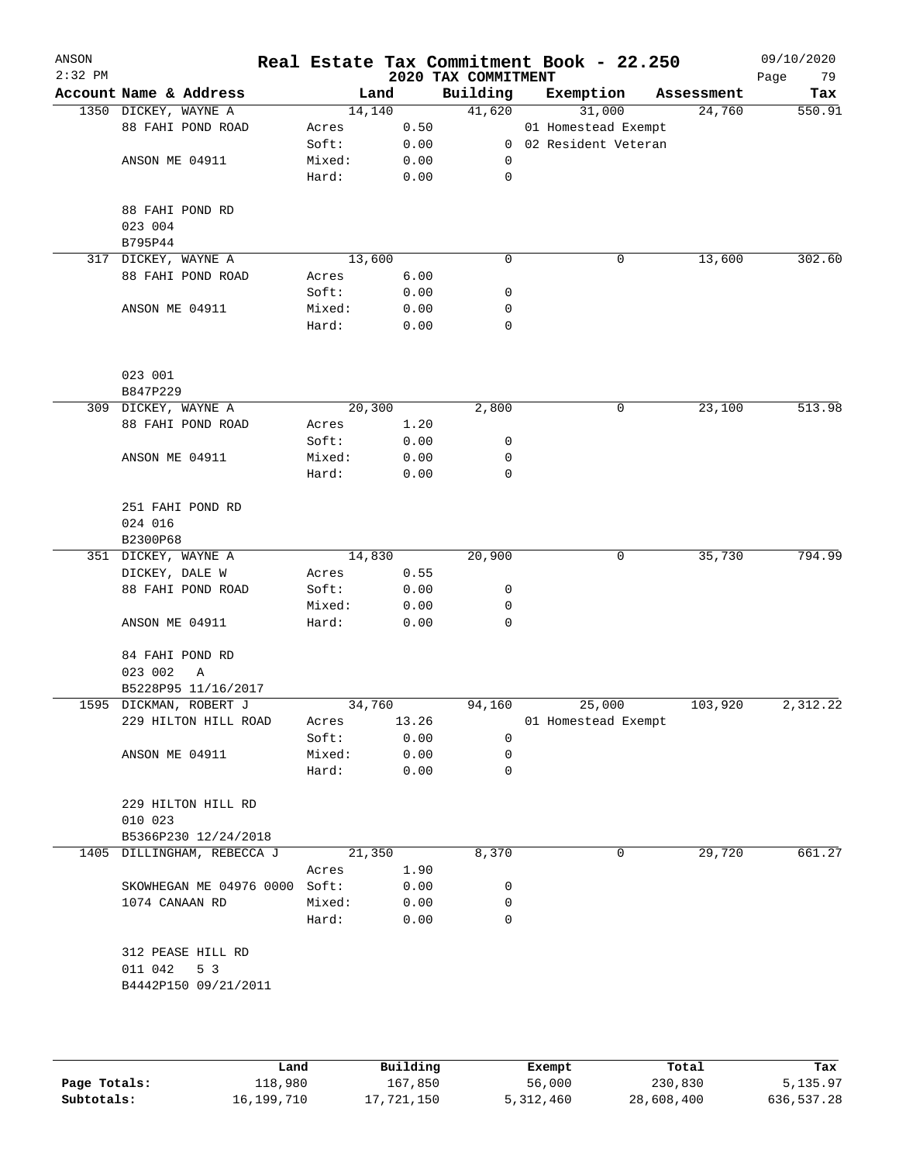| ANSON<br>$2:32$ PM |                               |                 |              | 2020 TAX COMMITMENT | Real Estate Tax Commitment Book - 22.250 |            | 09/10/2020<br>Page<br>79 |
|--------------------|-------------------------------|-----------------|--------------|---------------------|------------------------------------------|------------|--------------------------|
|                    | Account Name & Address        | Land            |              | Building            | Exemption                                | Assessment | Tax                      |
|                    | 1350 DICKEY, WAYNE A          | 14,140          |              | 41,620              | 31,000                                   | 24,760     | 550.91                   |
|                    | 88 FAHI POND ROAD             | Acres           | 0.50         |                     | 01 Homestead Exempt                      |            |                          |
|                    |                               | Soft:           | 0.00         |                     | 0 02 Resident Veteran                    |            |                          |
|                    | ANSON ME 04911                | Mixed:          | 0.00         | 0                   |                                          |            |                          |
|                    |                               | Hard:           | 0.00         | $\mathsf{O}$        |                                          |            |                          |
|                    | 88 FAHI POND RD               |                 |              |                     |                                          |            |                          |
|                    | 023 004                       |                 |              |                     |                                          |            |                          |
|                    | B795P44                       |                 |              |                     |                                          |            |                          |
|                    | 317 DICKEY, WAYNE A           | 13,600          |              | 0                   | 0                                        | 13,600     | 302.60                   |
|                    | 88 FAHI POND ROAD             | Acres           | 6.00         |                     |                                          |            |                          |
|                    |                               | Soft:           | 0.00         | 0                   |                                          |            |                          |
|                    | ANSON ME 04911                | Mixed:          | 0.00         | 0                   |                                          |            |                          |
|                    |                               | Hard:           | 0.00         | 0                   |                                          |            |                          |
|                    | 023 001                       |                 |              |                     |                                          |            |                          |
|                    | B847P229                      |                 |              |                     |                                          |            |                          |
|                    | 309 DICKEY, WAYNE A           | 20,300          |              | 2,800               | 0                                        | 23,100     | 513.98                   |
|                    | 88 FAHI POND ROAD             | Acres           | 1.20         |                     |                                          |            |                          |
|                    |                               | Soft:           | 0.00         | 0                   |                                          |            |                          |
|                    | ANSON ME 04911                | Mixed:          | 0.00         | 0                   |                                          |            |                          |
|                    |                               | Hard:           | 0.00         | $\mathbf 0$         |                                          |            |                          |
|                    | 251 FAHI POND RD              |                 |              |                     |                                          |            |                          |
|                    | 024 016                       |                 |              |                     |                                          |            |                          |
|                    | B2300P68                      |                 |              |                     |                                          |            |                          |
|                    | 351 DICKEY, WAYNE A           | 14,830          |              | 20,900              | 0                                        | 35,730     | 794.99                   |
|                    | DICKEY, DALE W                | Acres           |              |                     |                                          |            |                          |
|                    | 88 FAHI POND ROAD             | Soft:           | 0.55<br>0.00 | 0                   |                                          |            |                          |
|                    |                               |                 |              | 0                   |                                          |            |                          |
|                    | ANSON ME 04911                | Mixed:<br>Hard: | 0.00<br>0.00 | $\mathbf 0$         |                                          |            |                          |
|                    |                               |                 |              |                     |                                          |            |                          |
|                    | 84 FAHI POND RD               |                 |              |                     |                                          |            |                          |
|                    | 023 002<br>Α                  |                 |              |                     |                                          |            |                          |
|                    | B5228P95 11/16/2017           |                 |              |                     |                                          |            |                          |
|                    | 1595 DICKMAN, ROBERT J        | 34,760          |              | 94,160              | 25,000                                   | 103,920    | 2,312.22                 |
|                    | 229 HILTON HILL ROAD          | Acres           | 13.26        |                     | 01 Homestead Exempt                      |            |                          |
|                    |                               | Soft:           | 0.00         | 0                   |                                          |            |                          |
|                    | ANSON ME 04911                | Mixed:          | 0.00         | 0                   |                                          |            |                          |
|                    |                               | Hard:           | 0.00         | 0                   |                                          |            |                          |
|                    | 229 HILTON HILL RD            |                 |              |                     |                                          |            |                          |
|                    | 010 023                       |                 |              |                     |                                          |            |                          |
|                    | B5366P230 12/24/2018          |                 |              |                     |                                          |            |                          |
|                    | 1405 DILLINGHAM, REBECCA J    | 21,350          |              | 8,370               | 0                                        | 29,720     | 661.27                   |
|                    |                               | Acres           | 1.90         |                     |                                          |            |                          |
|                    | SKOWHEGAN ME 04976 0000 Soft: |                 | 0.00         | 0                   |                                          |            |                          |
|                    | 1074 CANAAN RD                | Mixed:          | 0.00         | 0                   |                                          |            |                          |
|                    |                               | Hard:           | 0.00         | $\mathbf 0$         |                                          |            |                          |
|                    | 312 PEASE HILL RD             |                 |              |                     |                                          |            |                          |
|                    | 011 042<br>5 3                |                 |              |                     |                                          |            |                          |
|                    | B4442P150 09/21/2011          |                 |              |                     |                                          |            |                          |
|                    |                               |                 |              |                     |                                          |            |                          |
|                    |                               |                 |              |                     |                                          |            |                          |
|                    |                               |                 |              |                     |                                          |            |                          |

|              | Land       | Building   | Exempt    | Total      | Tax        |
|--------------|------------|------------|-----------|------------|------------|
| Page Totals: | 118,980    | 167,850    | 56,000    | 230,830    | 5,135.97   |
| Subtotals:   | 16,199,710 | 17,721,150 | 5,312,460 | 28,608,400 | 636,537.28 |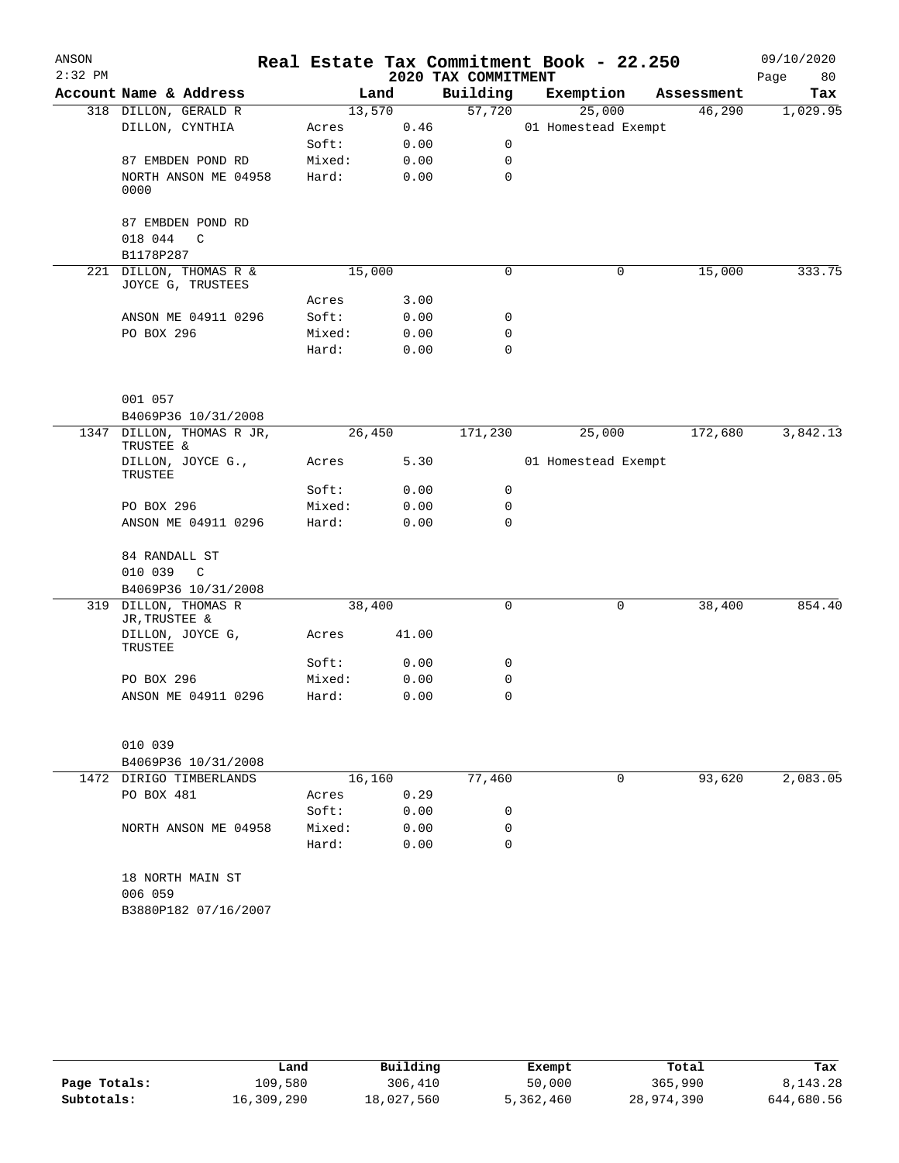| ANSON<br>$2:32$ PM |                                                     |                 |        | 2020 TAX COMMITMENT | Real Estate Tax Commitment Book - 22.250 |            | 09/10/2020<br>Page<br>80 |
|--------------------|-----------------------------------------------------|-----------------|--------|---------------------|------------------------------------------|------------|--------------------------|
|                    | Account Name & Address                              |                 | Land   | Building            | Exemption                                | Assessment | Tax                      |
|                    | 318 DILLON, GERALD R                                | 13,570          |        | 57,720              | 25,000                                   | 46,290     | 1,029.95                 |
|                    | DILLON, CYNTHIA                                     | Acres           | 0.46   |                     | 01 Homestead Exempt                      |            |                          |
|                    |                                                     | Soft:           | 0.00   | $\mathsf{O}$        |                                          |            |                          |
|                    | 87 EMBDEN POND RD                                   | Mixed:          | 0.00   | 0                   |                                          |            |                          |
|                    | NORTH ANSON ME 04958                                | Hard:           | 0.00   | 0                   |                                          |            |                          |
|                    | 0000                                                |                 |        |                     |                                          |            |                          |
|                    | 87 EMBDEN POND RD                                   |                 |        |                     |                                          |            |                          |
|                    | 018 044<br>C                                        |                 |        |                     |                                          |            |                          |
|                    | B1178P287                                           |                 |        |                     |                                          |            |                          |
|                    | 221 DILLON, THOMAS R &                              | 15,000          |        | 0                   | 0                                        | 15,000     | 333.75                   |
|                    | JOYCE G, TRUSTEES                                   |                 |        |                     |                                          |            |                          |
|                    |                                                     | Acres           | 3.00   |                     |                                          |            |                          |
|                    | ANSON ME 04911 0296                                 | Soft:           | 0.00   | 0                   |                                          |            |                          |
|                    | PO BOX 296                                          | Mixed:<br>Hard: | 0.00   | 0                   |                                          |            |                          |
|                    |                                                     |                 | 0.00   | $\mathbf 0$         |                                          |            |                          |
|                    | 001 057                                             |                 |        |                     |                                          |            |                          |
|                    | B4069P36 10/31/2008                                 |                 |        |                     |                                          |            |                          |
|                    | 1347 DILLON, THOMAS R JR,<br>TRUSTEE &              | 26,450          |        | 171,230             | 25,000                                   | 172,680    | 3,842.13                 |
|                    | DILLON, JOYCE G.,<br>TRUSTEE                        | Acres           | 5.30   |                     | 01 Homestead Exempt                      |            |                          |
|                    |                                                     | Soft:           | 0.00   | 0                   |                                          |            |                          |
|                    | PO BOX 296                                          | Mixed:          | 0.00   | 0                   |                                          |            |                          |
|                    | ANSON ME 04911 0296                                 | Hard:           | 0.00   | 0                   |                                          |            |                          |
|                    | 84 RANDALL ST                                       |                 |        |                     |                                          |            |                          |
|                    | 010 039<br>$\mathbb{C}$                             |                 |        |                     |                                          |            |                          |
|                    | B4069P36 10/31/2008                                 |                 |        |                     |                                          |            |                          |
|                    | 319 DILLON, THOMAS R<br>JR, TRUSTEE &               | 38,400          |        | 0                   | 0                                        | 38,400     | 854.40                   |
|                    | DILLON, JOYCE G,<br>TRUSTEE                         | Acres           | 41.00  |                     |                                          |            |                          |
|                    |                                                     | Soft:           | 0.00   | 0                   |                                          |            |                          |
|                    | PO BOX 296                                          | Mixed:          | 0.00   | 0                   |                                          |            |                          |
|                    | ANSON ME 04911 0296                                 | Hard:           | 0.00   | 0                   |                                          |            |                          |
|                    | 010 039                                             |                 |        |                     |                                          |            |                          |
|                    | B4069P36 10/31/2008                                 |                 |        |                     |                                          |            |                          |
|                    | 1472 DIRIGO TIMBERLANDS                             |                 | 16,160 | 77,460              | 0                                        | 93,620     | 2,083.05                 |
|                    | PO BOX 481                                          | Acres           | 0.29   |                     |                                          |            |                          |
|                    |                                                     | Soft:           | 0.00   | 0                   |                                          |            |                          |
|                    | NORTH ANSON ME 04958                                | Mixed:          | 0.00   | 0                   |                                          |            |                          |
|                    |                                                     | Hard:           | 0.00   | $\Omega$            |                                          |            |                          |
|                    | 18 NORTH MAIN ST<br>006 059<br>B3880P182 07/16/2007 |                 |        |                     |                                          |            |                          |
|                    |                                                     |                 |        |                     |                                          |            |                          |

|              | Land       | Building   | Exempt    | Total      | Tax        |
|--------------|------------|------------|-----------|------------|------------|
| Page Totals: | 109,580    | 306,410    | 50,000    | 365,990    | 8, 143, 28 |
| Subtotals:   | 16,309,290 | 18,027,560 | 5,362,460 | 28,974,390 | 644,680.56 |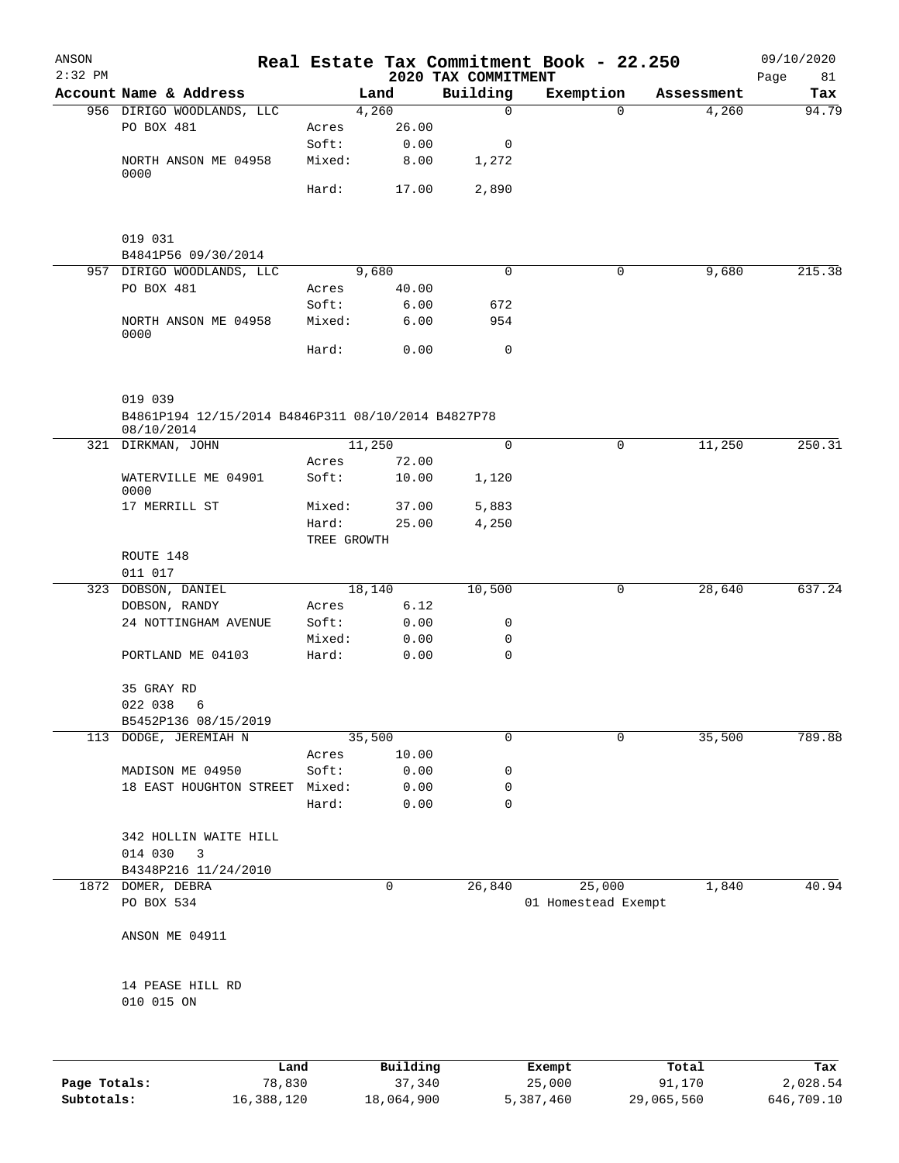| ANSON<br>$2:32$ PM |                                                               |             |        | 2020 TAX COMMITMENT | Real Estate Tax Commitment Book - 22.250 |            | 09/10/2020<br>Page<br>81 |
|--------------------|---------------------------------------------------------------|-------------|--------|---------------------|------------------------------------------|------------|--------------------------|
|                    | Account Name & Address                                        |             | Land   | Building            | Exemption                                | Assessment | Tax                      |
|                    | 956 DIRIGO WOODLANDS, LLC                                     |             | 4,260  | 0                   | $\Omega$                                 | 4,260      | 94.79                    |
|                    | PO BOX 481                                                    | Acres       | 26.00  |                     |                                          |            |                          |
|                    |                                                               | Soft:       | 0.00   | 0                   |                                          |            |                          |
|                    | NORTH ANSON ME 04958<br>0000                                  | Mixed:      | 8.00   | 1,272               |                                          |            |                          |
|                    |                                                               | Hard:       | 17.00  | 2,890               |                                          |            |                          |
|                    | 019 031                                                       |             |        |                     |                                          |            |                          |
|                    | B4841P56 09/30/2014                                           |             |        |                     |                                          |            |                          |
|                    | 957 DIRIGO WOODLANDS, LLC                                     |             | 9,680  | $\mathbf 0$         | $\mathsf{O}$                             | 9,680      | 215.38                   |
|                    | PO BOX 481                                                    | Acres       | 40.00  |                     |                                          |            |                          |
|                    |                                                               | Soft:       | 6.00   | 672                 |                                          |            |                          |
|                    | NORTH ANSON ME 04958<br>0000                                  | Mixed:      | 6.00   | 954                 |                                          |            |                          |
|                    |                                                               | Hard:       | 0.00   | 0                   |                                          |            |                          |
|                    | 019 039<br>B4861P194 12/15/2014 B4846P311 08/10/2014 B4827P78 |             |        |                     |                                          |            |                          |
|                    | 08/10/2014<br>321 DIRKMAN, JOHN                               |             | 11,250 | $\mathbf 0$         | 0                                        | 11,250     | 250.31                   |
|                    |                                                               | Acres       | 72.00  |                     |                                          |            |                          |
|                    | WATERVILLE ME 04901<br>0000                                   | Soft:       | 10.00  | 1,120               |                                          |            |                          |
|                    | 17 MERRILL ST                                                 | Mixed:      | 37.00  | 5,883               |                                          |            |                          |
|                    |                                                               | Hard:       | 25.00  | 4,250               |                                          |            |                          |
|                    |                                                               | TREE GROWTH |        |                     |                                          |            |                          |
|                    | ROUTE 148                                                     |             |        |                     |                                          |            |                          |
|                    | 011 017                                                       |             |        |                     |                                          |            |                          |
|                    | 323 DOBSON, DANIEL                                            |             | 18,140 | 10,500              | 0                                        | 28,640     | 637.24                   |
|                    | DOBSON, RANDY                                                 | Acres       | 6.12   |                     |                                          |            |                          |
|                    | 24 NOTTINGHAM AVENUE                                          | Soft:       | 0.00   | 0                   |                                          |            |                          |
|                    |                                                               | Mixed:      | 0.00   | 0                   |                                          |            |                          |
|                    | PORTLAND ME 04103                                             | Hard:       | 0.00   | $\mathbf 0$         |                                          |            |                          |
|                    | 35 GRAY RD                                                    |             |        |                     |                                          |            |                          |
|                    | 022 038<br>6                                                  |             |        |                     |                                          |            |                          |
|                    | B5452P136 08/15/2019                                          |             |        |                     |                                          |            |                          |
|                    | 113 DODGE, JEREMIAH N                                         |             | 35,500 | $\mathbf 0$         | 0                                        | 35,500     | 789.88                   |
|                    |                                                               | Acres       | 10.00  |                     |                                          |            |                          |
|                    | MADISON ME 04950                                              | Soft:       | 0.00   | 0                   |                                          |            |                          |
|                    | 18 EAST HOUGHTON STREET                                       | Mixed:      | 0.00   | 0                   |                                          |            |                          |
|                    |                                                               | Hard:       | 0.00   | $\mathbf 0$         |                                          |            |                          |
|                    | 342 HOLLIN WAITE HILL                                         |             |        |                     |                                          |            |                          |
|                    | 014 030<br>3                                                  |             |        |                     |                                          |            |                          |
|                    | B4348P216 11/24/2010                                          |             |        |                     |                                          |            |                          |
|                    | 1872 DOMER, DEBRA                                             |             | 0      | 26,840              | 25,000                                   | 1,840      | 40.94                    |
|                    | PO BOX 534                                                    |             |        |                     | 01 Homestead Exempt                      |            |                          |
|                    | ANSON ME 04911                                                |             |        |                     |                                          |            |                          |
|                    | 14 PEASE HILL RD                                              |             |        |                     |                                          |            |                          |
|                    | 010 015 ON                                                    |             |        |                     |                                          |            |                          |
|                    |                                                               |             |        |                     |                                          |            |                          |

|              | Land       | Building   | Exempt    | Total      | Tax        |
|--------------|------------|------------|-----------|------------|------------|
| Page Totals: | 78,830     | 37,340     | 25,000    | 91,170     | 2,028.54   |
| Subtotals:   | 16,388,120 | 18,064,900 | 5,387,460 | 29,065,560 | 646,709.10 |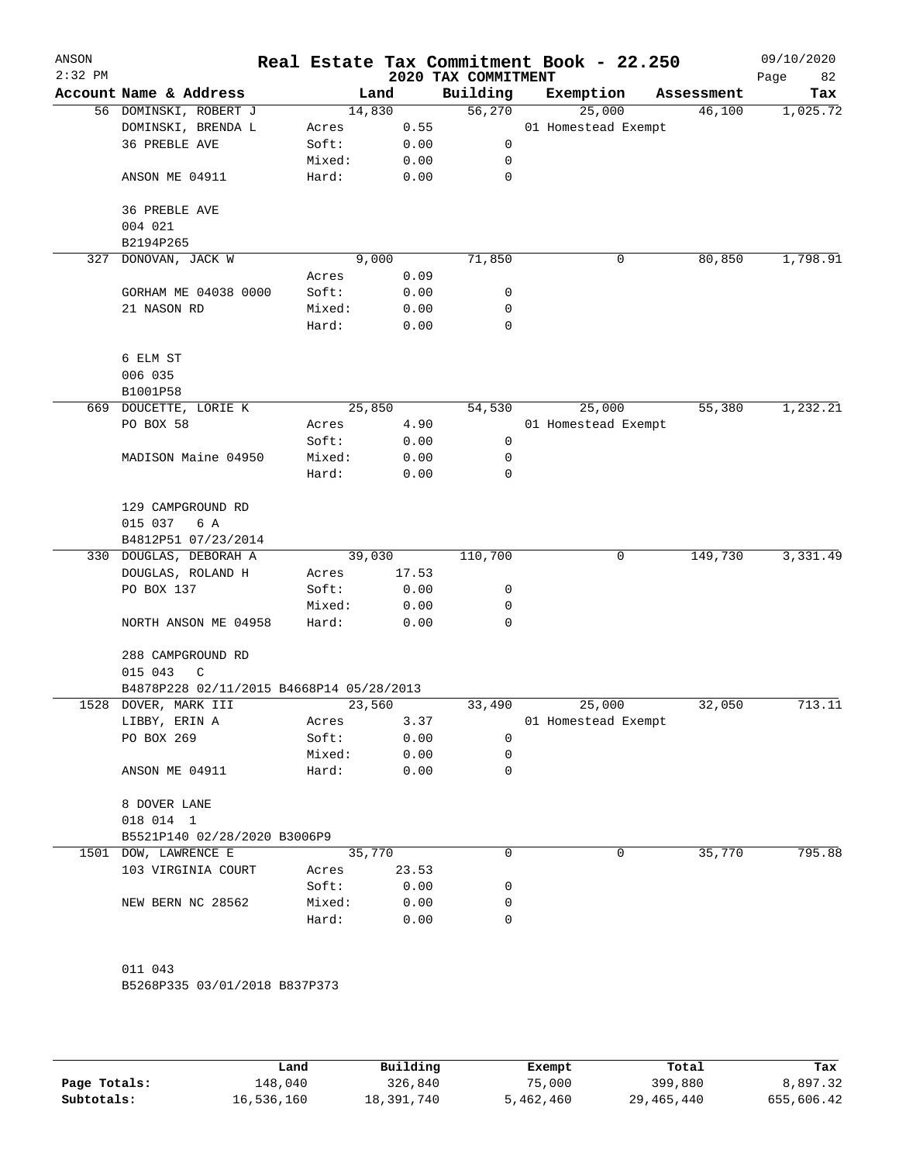| ANSON<br>$2:32$ PM |                                          |        |        |       | 2020 TAX COMMITMENT | Real Estate Tax Commitment Book - 22.250 |            | 09/10/2020<br>Page<br>82 |
|--------------------|------------------------------------------|--------|--------|-------|---------------------|------------------------------------------|------------|--------------------------|
|                    | Account Name & Address                   |        | Land   |       | Building            | Exemption                                | Assessment | Tax                      |
|                    | 56 DOMINSKI, ROBERT J                    |        | 14,830 |       | 56,270              | 25,000                                   | 46,100     | 1,025.72                 |
|                    | DOMINSKI, BRENDA L                       | Acres  |        | 0.55  |                     | 01 Homestead Exempt                      |            |                          |
|                    | <b>36 PREBLE AVE</b>                     | Soft:  |        | 0.00  | 0                   |                                          |            |                          |
|                    |                                          | Mixed: |        | 0.00  | 0                   |                                          |            |                          |
|                    | ANSON ME 04911                           | Hard:  |        | 0.00  | 0                   |                                          |            |                          |
|                    | 36 PREBLE AVE                            |        |        |       |                     |                                          |            |                          |
|                    | 004 021<br>B2194P265                     |        |        |       |                     |                                          |            |                          |
| 327                | DONOVAN, JACK W                          |        | 9,000  |       | 71,850              | 0                                        | 80,850     | 1,798.91                 |
|                    |                                          | Acres  |        | 0.09  |                     |                                          |            |                          |
|                    | GORHAM ME 04038 0000                     | Soft:  |        | 0.00  | 0                   |                                          |            |                          |
|                    | 21 NASON RD                              | Mixed: |        | 0.00  | 0                   |                                          |            |                          |
|                    |                                          | Hard:  |        | 0.00  | 0                   |                                          |            |                          |
|                    |                                          |        |        |       |                     |                                          |            |                          |
|                    | 6 ELM ST                                 |        |        |       |                     |                                          |            |                          |
|                    | 006 035                                  |        |        |       |                     |                                          |            |                          |
|                    | B1001P58                                 |        |        |       |                     |                                          |            |                          |
|                    | 669 DOUCETTE, LORIE K                    |        | 25,850 |       | 54,530              | 25,000                                   | 55,380     | 1,232.21                 |
|                    | PO BOX 58                                | Acres  |        | 4.90  |                     | 01 Homestead Exempt                      |            |                          |
|                    |                                          | Soft:  |        | 0.00  | 0                   |                                          |            |                          |
|                    | MADISON Maine 04950                      | Mixed: |        | 0.00  | 0                   |                                          |            |                          |
|                    |                                          | Hard:  |        | 0.00  | 0                   |                                          |            |                          |
|                    | 129 CAMPGROUND RD                        |        |        |       |                     |                                          |            |                          |
|                    | 015 037<br>6 A                           |        |        |       |                     |                                          |            |                          |
|                    | B4812P51 07/23/2014                      |        |        |       |                     |                                          |            |                          |
|                    | 330 DOUGLAS, DEBORAH A                   |        | 39,030 |       | 110,700             | 0                                        | 149,730    | 3,331.49                 |
|                    | DOUGLAS, ROLAND H                        | Acres  |        | 17.53 |                     |                                          |            |                          |
|                    | PO BOX 137                               | Soft:  |        | 0.00  | 0                   |                                          |            |                          |
|                    |                                          | Mixed: |        | 0.00  | 0                   |                                          |            |                          |
|                    | NORTH ANSON ME 04958                     | Hard:  |        | 0.00  | 0                   |                                          |            |                          |
|                    | 288 CAMPGROUND RD                        |        |        |       |                     |                                          |            |                          |
|                    | 015 043<br>C                             |        |        |       |                     |                                          |            |                          |
|                    | B4878P228 02/11/2015 B4668P14 05/28/2013 |        |        |       |                     |                                          |            |                          |
|                    | 1528 DOVER, MARK III                     |        | 23,560 |       | 33,490              | 25,000                                   | 32,050     | 713.11                   |
|                    | LIBBY, ERIN A                            | Acres  |        | 3.37  |                     | 01 Homestead Exempt                      |            |                          |
|                    | PO BOX 269                               | Soft:  |        | 0.00  | 0                   |                                          |            |                          |
|                    |                                          | Mixed: |        | 0.00  | 0                   |                                          |            |                          |
|                    | ANSON ME 04911                           | Hard:  |        | 0.00  | 0                   |                                          |            |                          |
|                    | 8 DOVER LANE                             |        |        |       |                     |                                          |            |                          |
|                    | 018 014 1                                |        |        |       |                     |                                          |            |                          |
|                    | B5521P140 02/28/2020 B3006P9             |        |        |       |                     |                                          |            |                          |
|                    | 1501 DOW, LAWRENCE E                     |        | 35,770 |       | 0                   | 0                                        | 35,770     | 795.88                   |
|                    | 103 VIRGINIA COURT                       | Acres  |        | 23.53 |                     |                                          |            |                          |
|                    |                                          | Soft:  |        | 0.00  | 0                   |                                          |            |                          |
|                    | NEW BERN NC 28562                        | Mixed: |        | 0.00  | 0                   |                                          |            |                          |
|                    |                                          | Hard:  |        | 0.00  | 0                   |                                          |            |                          |
|                    |                                          |        |        |       |                     |                                          |            |                          |
|                    | 011 043                                  |        |        |       |                     |                                          |            |                          |
|                    | B5268P335 03/01/2018 B837P373            |        |        |       |                     |                                          |            |                          |
|                    |                                          |        |        |       |                     |                                          |            |                          |
|                    |                                          |        |        |       |                     |                                          |            |                          |

|              | Land       | Building   | Exempt    | Total      | Tax        |
|--------------|------------|------------|-----------|------------|------------|
| Page Totals: | 148,040    | 326,840    | 75,000    | 399,880    | 8,897.32   |
| Subtotals:   | 16,536,160 | 18,391,740 | 5,462,460 | 29,465,440 | 655,606.42 |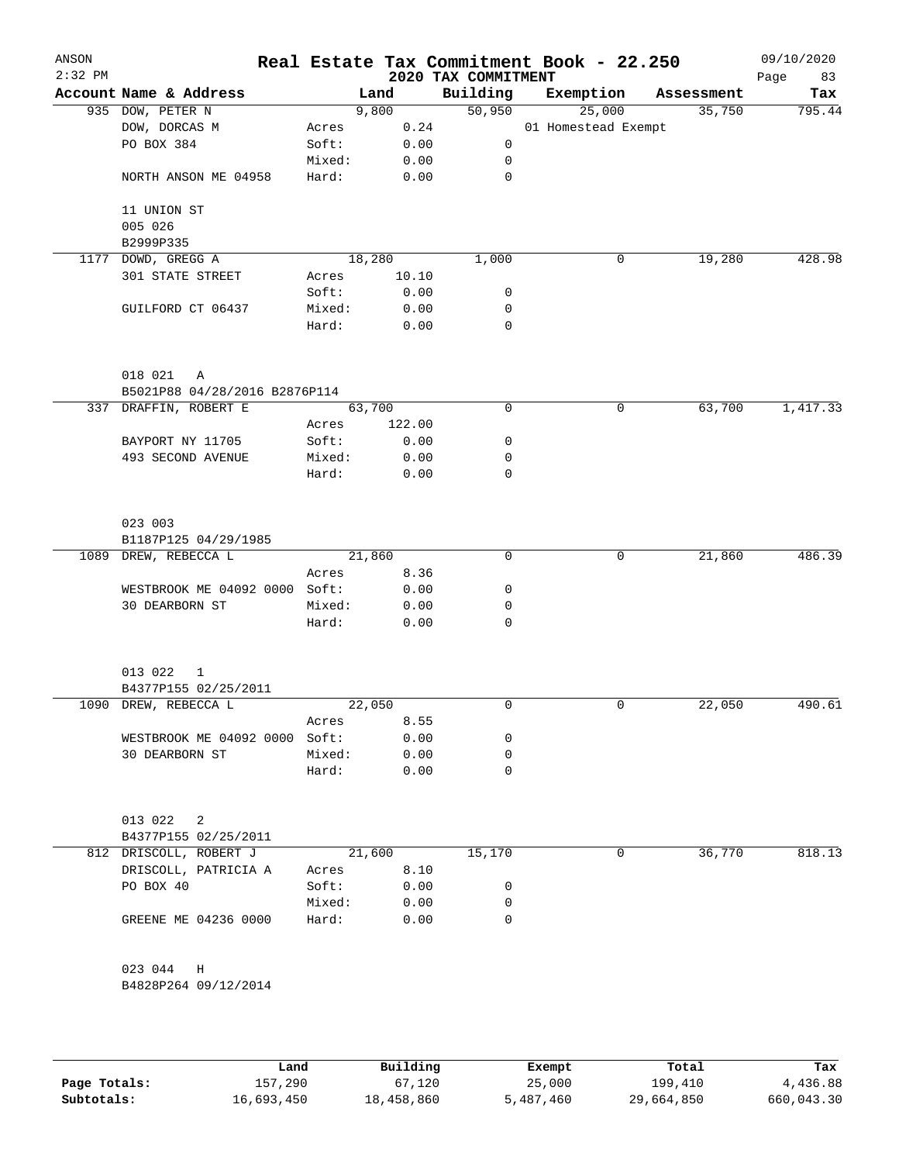| ANSON<br>$2:32$ PM |                               |        |        |        | Real Estate Tax Commitment Book - 22.250<br>2020 TAX COMMITMENT |                     |             |            | 09/10/2020<br>Page<br>83 |
|--------------------|-------------------------------|--------|--------|--------|-----------------------------------------------------------------|---------------------|-------------|------------|--------------------------|
|                    | Account Name & Address        |        | Land   |        | Building                                                        |                     | Exemption   | Assessment | Tax                      |
|                    | 935 DOW, PETER N              |        | 9,800  |        | 50,950                                                          |                     | 25,000      | 35,750     | 795.44                   |
|                    | DOW, DORCAS M                 | Acres  |        | 0.24   |                                                                 | 01 Homestead Exempt |             |            |                          |
|                    | PO BOX 384                    | Soft:  |        | 0.00   | $\mathsf{O}$                                                    |                     |             |            |                          |
|                    |                               | Mixed: |        | 0.00   | $\mathbf 0$                                                     |                     |             |            |                          |
|                    | NORTH ANSON ME 04958          | Hard:  |        | 0.00   | 0                                                               |                     |             |            |                          |
|                    | 11 UNION ST                   |        |        |        |                                                                 |                     |             |            |                          |
|                    | 005 026<br>B2999P335          |        |        |        |                                                                 |                     |             |            |                          |
|                    | 1177 DOWD, GREGG A            |        | 18,280 |        | 1,000                                                           |                     | 0           | 19,280     | 428.98                   |
|                    | 301 STATE STREET              | Acres  |        | 10.10  |                                                                 |                     |             |            |                          |
|                    |                               | Soft:  |        | 0.00   | 0                                                               |                     |             |            |                          |
|                    | GUILFORD CT 06437             | Mixed: |        | 0.00   | 0                                                               |                     |             |            |                          |
|                    |                               | Hard:  |        | 0.00   | $\mathbf 0$                                                     |                     |             |            |                          |
|                    |                               |        |        |        |                                                                 |                     |             |            |                          |
|                    | 018 021<br>Α                  |        |        |        |                                                                 |                     |             |            |                          |
|                    | B5021P88 04/28/2016 B2876P114 |        |        |        |                                                                 |                     |             |            |                          |
|                    | 337 DRAFFIN, ROBERT E         |        | 63,700 |        | $\mathbf 0$                                                     |                     | 0           | 63,700     | 1,417.33                 |
|                    |                               | Acres  |        | 122.00 |                                                                 |                     |             |            |                          |
|                    | BAYPORT NY 11705              | Soft:  |        | 0.00   | 0                                                               |                     |             |            |                          |
|                    | 493 SECOND AVENUE             | Mixed: |        | 0.00   | 0                                                               |                     |             |            |                          |
|                    |                               | Hard:  |        | 0.00   | $\mathbf 0$                                                     |                     |             |            |                          |
|                    | 023 003                       |        |        |        |                                                                 |                     |             |            |                          |
|                    | B1187P125 04/29/1985          |        |        |        |                                                                 |                     |             |            |                          |
| 1089               | DREW, REBECCA L               |        | 21,860 |        | $\mathbf 0$                                                     |                     | 0           | 21,860     | 486.39                   |
|                    |                               | Acres  |        | 8.36   |                                                                 |                     |             |            |                          |
|                    | WESTBROOK ME 04092 0000 Soft: |        |        | 0.00   | 0                                                               |                     |             |            |                          |
|                    | 30 DEARBORN ST                | Mixed: |        | 0.00   | 0                                                               |                     |             |            |                          |
|                    |                               | Hard:  |        | 0.00   | $\mathbf 0$                                                     |                     |             |            |                          |
|                    | 013 022<br>$\mathbf 1$        |        |        |        |                                                                 |                     |             |            |                          |
|                    | B4377P155 02/25/2011          |        |        |        |                                                                 |                     |             |            |                          |
|                    | 1090 DREW, REBECCA L          |        | 22,050 |        | 0                                                               |                     | $\mathbf 0$ | 22,050     | 490.61                   |
|                    |                               | Acres  |        | 8.55   |                                                                 |                     |             |            |                          |
|                    | WESTBROOK ME 04092 0000 Soft: |        |        | 0.00   | 0                                                               |                     |             |            |                          |
|                    | 30 DEARBORN ST                | Mixed: |        | 0.00   | 0                                                               |                     |             |            |                          |
|                    |                               | Hard:  |        | 0.00   | $\mathbf 0$                                                     |                     |             |            |                          |
|                    |                               |        |        |        |                                                                 |                     |             |            |                          |
|                    | 013 022<br>2                  |        |        |        |                                                                 |                     |             |            |                          |
|                    | B4377P155 02/25/2011          |        |        |        |                                                                 |                     |             |            |                          |
|                    | 812 DRISCOLL, ROBERT J        |        | 21,600 |        | 15,170                                                          |                     | 0           | 36,770     | 818.13                   |
|                    | DRISCOLL, PATRICIA A          | Acres  |        | 8.10   |                                                                 |                     |             |            |                          |
|                    | PO BOX 40                     | Soft:  |        | 0.00   | 0                                                               |                     |             |            |                          |
|                    |                               | Mixed: |        | 0.00   | 0                                                               |                     |             |            |                          |
|                    | GREENE ME 04236 0000          | Hard:  |        | 0.00   | 0                                                               |                     |             |            |                          |
|                    | 023 044 H                     |        |        |        |                                                                 |                     |             |            |                          |
|                    | B4828P264 09/12/2014          |        |        |        |                                                                 |                     |             |            |                          |
|                    |                               |        |        |        |                                                                 |                     |             |            |                          |
|                    |                               |        |        |        |                                                                 |                     |             |            |                          |

|              | Land       | Building   | Exempt    | Total      | Tax        |
|--------------|------------|------------|-----------|------------|------------|
| Page Totals: | 157,290    | 67,120     | 25,000    | 199,410    | 4,436.88   |
| Subtotals:   | 16,693,450 | 18,458,860 | 5,487,460 | 29,664,850 | 660,043.30 |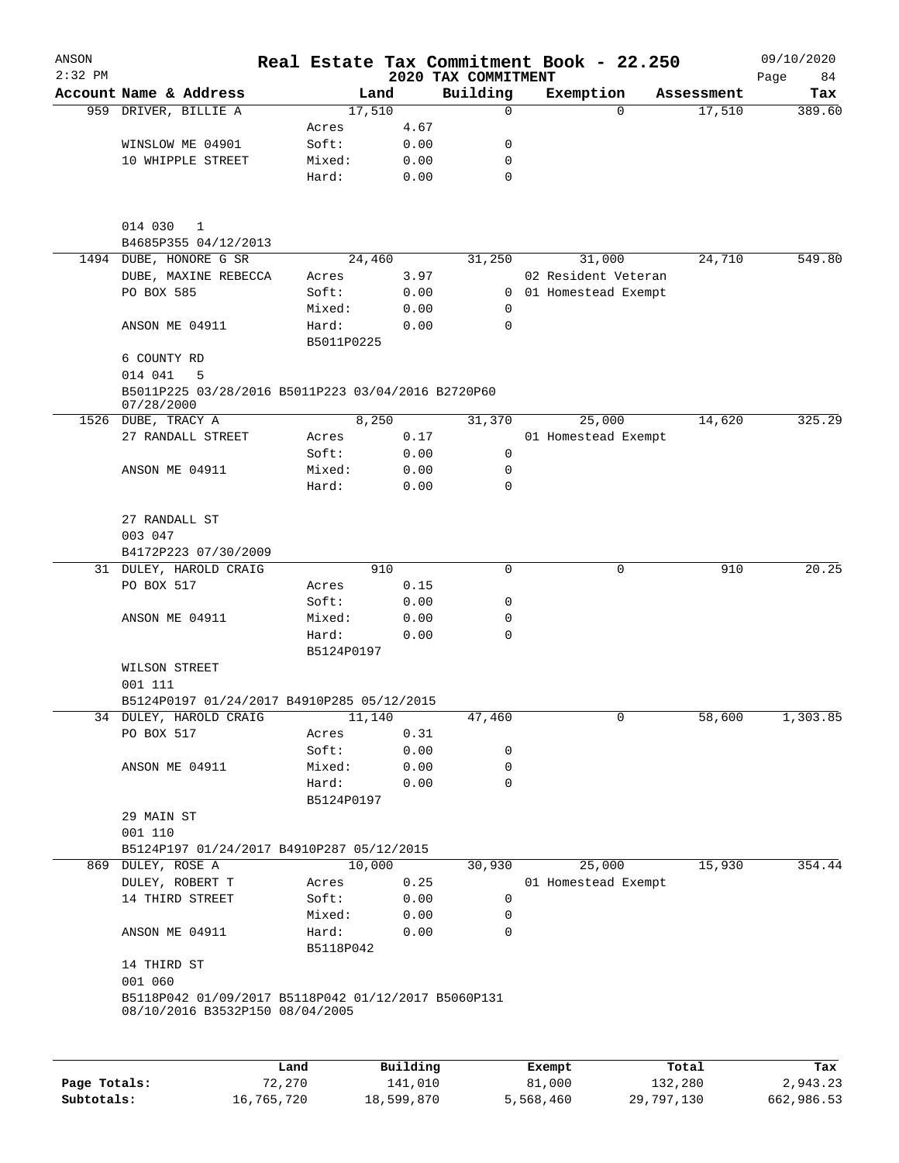| ANSON<br>$2:32$ PM |                                                                    |                     |              | Real Estate Tax Commitment Book - 22.250 |                     |          |            | 09/10/2020        |
|--------------------|--------------------------------------------------------------------|---------------------|--------------|------------------------------------------|---------------------|----------|------------|-------------------|
|                    | Account Name & Address                                             |                     | Land         | 2020 TAX COMMITMENT<br>Building          | Exemption           |          | Assessment | Page<br>84<br>Tax |
|                    | 959 DRIVER, BILLIE A                                               | 17,510              |              | 0                                        |                     | $\Omega$ | 17,510     | 389.60            |
|                    |                                                                    | Acres               | 4.67         |                                          |                     |          |            |                   |
|                    | WINSLOW ME 04901                                                   | Soft:               | 0.00         | 0                                        |                     |          |            |                   |
|                    | 10 WHIPPLE STREET                                                  | Mixed:              | 0.00         | 0                                        |                     |          |            |                   |
|                    |                                                                    | Hard:               | 0.00         | $\mathbf 0$                              |                     |          |            |                   |
|                    | 014 030<br>$\mathbf{1}$                                            |                     |              |                                          |                     |          |            |                   |
|                    | B4685P355 04/12/2013                                               |                     |              |                                          |                     |          |            |                   |
|                    | 1494 DUBE, HONORE G SR                                             | 24,460              |              | 31,250                                   |                     | 31,000   | 24,710     | 549.80            |
|                    | DUBE, MAXINE REBECCA                                               | Acres               | 3.97         |                                          | 02 Resident Veteran |          |            |                   |
|                    | PO BOX 585                                                         | Soft:               | 0.00         | 0                                        | 01 Homestead Exempt |          |            |                   |
|                    |                                                                    | Mixed:              | 0.00         | 0                                        |                     |          |            |                   |
|                    | ANSON ME 04911                                                     | Hard:<br>B5011P0225 | 0.00         | $\Omega$                                 |                     |          |            |                   |
|                    | 6 COUNTY RD                                                        |                     |              |                                          |                     |          |            |                   |
|                    | 014 041<br>5<br>B5011P225 03/28/2016 B5011P223 03/04/2016 B2720P60 |                     |              |                                          |                     |          |            |                   |
|                    | 07/28/2000                                                         |                     |              |                                          |                     |          |            | 325.29            |
| 1526               | DUBE, TRACY A                                                      |                     | 8,250        | 31,370                                   |                     | 25,000   | 14,620     |                   |
|                    | 27 RANDALL STREET                                                  | Acres<br>Soft:      | 0.17         | 0                                        | 01 Homestead Exempt |          |            |                   |
|                    | ANSON ME 04911                                                     | Mixed:              | 0.00<br>0.00 | 0                                        |                     |          |            |                   |
|                    |                                                                    | Hard:               | 0.00         | $\mathbf 0$                              |                     |          |            |                   |
|                    | 27 RANDALL ST                                                      |                     |              |                                          |                     |          |            |                   |
|                    | 003 047                                                            |                     |              |                                          |                     |          |            |                   |
|                    | B4172P223 07/30/2009                                               |                     |              |                                          |                     |          |            | 20.25             |
|                    | 31 DULEY, HAROLD CRAIG<br>PO BOX 517                               |                     | 910<br>0.15  | 0                                        |                     | 0        | 910        |                   |
|                    |                                                                    | Acres<br>Soft:      | 0.00         | 0                                        |                     |          |            |                   |
|                    | ANSON ME 04911                                                     | Mixed:              | 0.00         | 0                                        |                     |          |            |                   |
|                    |                                                                    | Hard:               | 0.00         | $\mathbf 0$                              |                     |          |            |                   |
|                    |                                                                    | B5124P0197          |              |                                          |                     |          |            |                   |
|                    | WILSON STREET<br>001 111                                           |                     |              |                                          |                     |          |            |                   |
|                    | B5124P0197 01/24/2017 B4910P285 05/12/2015                         |                     |              |                                          |                     |          |            |                   |
|                    | 34 DULEY, HAROLD CRAIG                                             | 11,140              |              | 47,460                                   |                     | 0        | 58,600     | 1,303.85          |
|                    | PO BOX 517                                                         | Acres               | 0.31         |                                          |                     |          |            |                   |
|                    |                                                                    | Soft:               | 0.00         | 0                                        |                     |          |            |                   |
|                    | ANSON ME 04911                                                     | Mixed:              | 0.00         | 0                                        |                     |          |            |                   |
|                    |                                                                    | Hard:               | 0.00         | $\mathbf 0$                              |                     |          |            |                   |
|                    |                                                                    | B5124P0197          |              |                                          |                     |          |            |                   |
|                    | 29 MAIN ST<br>001 110                                              |                     |              |                                          |                     |          |            |                   |
|                    | B5124P197 01/24/2017 B4910P287 05/12/2015                          |                     |              |                                          |                     |          |            |                   |
|                    | 869 DULEY, ROSE A                                                  | 10,000              |              | 30,930                                   |                     | 25,000   | 15,930     | 354.44            |
|                    | DULEY, ROBERT T                                                    | Acres               | 0.25         |                                          | 01 Homestead Exempt |          |            |                   |
|                    | 14 THIRD STREET                                                    | Soft:               | 0.00         | 0                                        |                     |          |            |                   |
|                    |                                                                    | Mixed:              | 0.00         | $\mathbf 0$                              |                     |          |            |                   |
|                    | ANSON ME 04911                                                     | Hard:<br>B5118P042  | 0.00         | $\mathbf 0$                              |                     |          |            |                   |
|                    | 14 THIRD ST                                                        |                     |              |                                          |                     |          |            |                   |
|                    | 001 060<br>B5118P042 01/09/2017 B5118P042 01/12/2017 B5060P131     |                     |              |                                          |                     |          |            |                   |
|                    | 08/10/2016 B3532P150 08/04/2005                                    |                     |              |                                          |                     |          |            |                   |
|                    |                                                                    | Land                | Building     |                                          | Exempt              |          | Total      | Tax               |
|                    |                                                                    |                     |              |                                          |                     |          |            |                   |

| Page Totals: | 72,270     | 141,010    | 81,000    | 132,280    | 2,943.23   |
|--------------|------------|------------|-----------|------------|------------|
| Subtotals:   | 16,765,720 | 18,599,870 | 5,568,460 | 29,797,130 | 662,986.53 |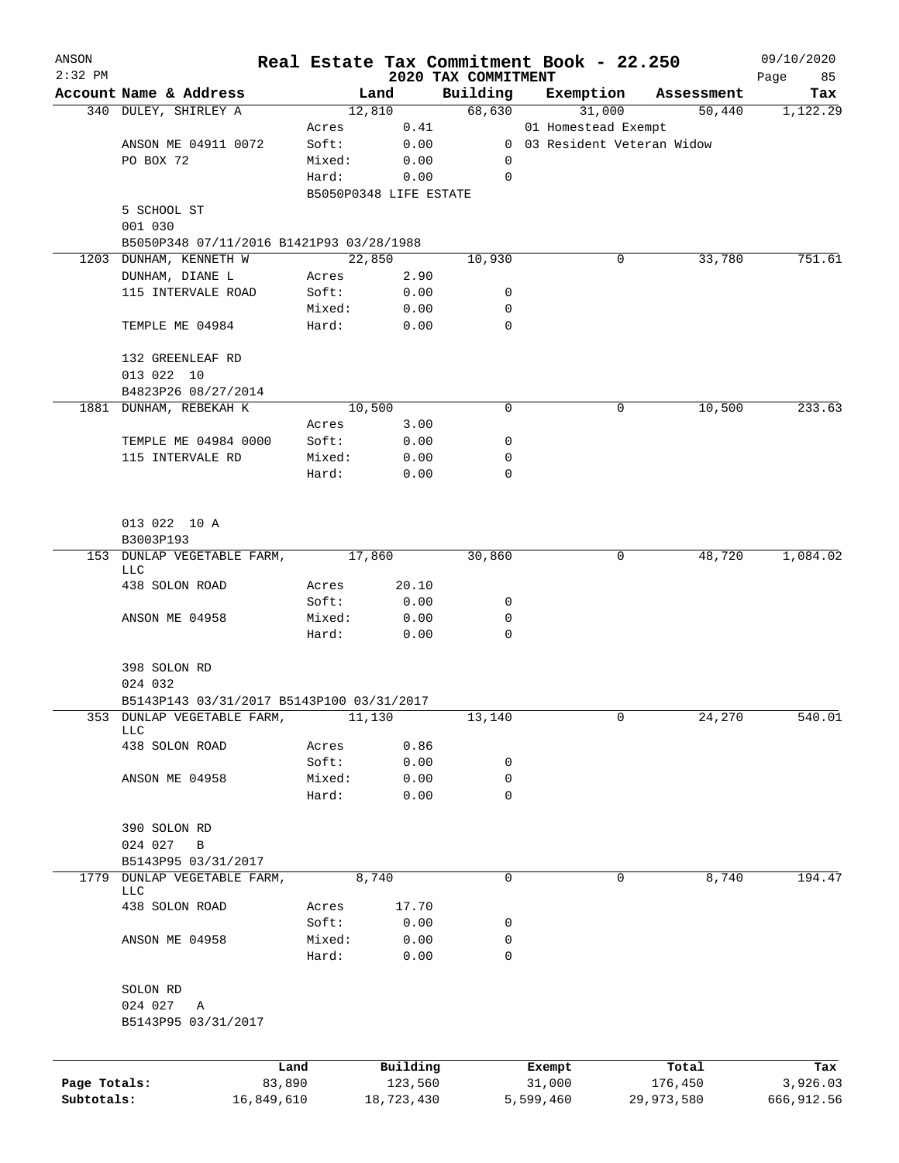| ANSON<br>$2:32$ PM |                                           |                 |                        |                                 | Real Estate Tax Commitment Book - 22.250 |            | 09/10/2020         |
|--------------------|-------------------------------------------|-----------------|------------------------|---------------------------------|------------------------------------------|------------|--------------------|
|                    | Account Name & Address                    |                 | Land                   | 2020 TAX COMMITMENT<br>Building | Exemption                                | Assessment | Page<br>85<br>Tax  |
|                    | 340 DULEY, SHIRLEY A                      |                 | 12,810                 | 68,630                          | 31,000                                   |            | 1,122.29<br>50,440 |
|                    |                                           | Acres           | 0.41                   |                                 | 01 Homestead Exempt                      |            |                    |
|                    | ANSON ME 04911 0072                       | Soft:           | 0.00                   |                                 | 0 03 Resident Veteran Widow              |            |                    |
|                    | PO BOX 72                                 | Mixed:          | 0.00                   | 0                               |                                          |            |                    |
|                    |                                           | Hard:           | 0.00                   | $\mathbf 0$                     |                                          |            |                    |
|                    |                                           |                 | B5050P0348 LIFE ESTATE |                                 |                                          |            |                    |
|                    | 5 SCHOOL ST                               |                 |                        |                                 |                                          |            |                    |
|                    | 001 030                                   |                 |                        |                                 |                                          |            |                    |
|                    | B5050P348 07/11/2016 B1421P93 03/28/1988  |                 |                        |                                 |                                          |            |                    |
|                    | 1203 DUNHAM, KENNETH W                    |                 | 22,850                 | 10,930                          |                                          | 0          | 33,780<br>751.61   |
|                    | DUNHAM, DIANE L                           | Acres           | 2.90                   |                                 |                                          |            |                    |
|                    | 115 INTERVALE ROAD                        | Soft:           | 0.00                   | 0                               |                                          |            |                    |
|                    |                                           | Mixed:          | 0.00                   | 0                               |                                          |            |                    |
|                    | TEMPLE ME 04984                           | Hard:           | 0.00                   | $\mathbf 0$                     |                                          |            |                    |
|                    | 132 GREENLEAF RD                          |                 |                        |                                 |                                          |            |                    |
|                    | 013 022 10                                |                 |                        |                                 |                                          |            |                    |
|                    | B4823P26 08/27/2014                       |                 |                        |                                 |                                          |            |                    |
|                    | 1881 DUNHAM, REBEKAH K                    |                 | 10,500                 | 0                               |                                          | 0          | 10,500<br>233.63   |
|                    |                                           | Acres           | 3.00                   |                                 |                                          |            |                    |
|                    | TEMPLE ME 04984 0000                      | Soft:           | 0.00                   | 0                               |                                          |            |                    |
|                    | 115 INTERVALE RD                          | Mixed:          | 0.00                   | 0                               |                                          |            |                    |
|                    |                                           | Hard:           | 0.00                   | 0                               |                                          |            |                    |
|                    | 013 022 10 A                              |                 |                        |                                 |                                          |            |                    |
|                    | B3003P193                                 |                 |                        |                                 |                                          |            |                    |
|                    | 153 DUNLAP VEGETABLE FARM,                |                 | 17,860                 | 30,860                          |                                          | 0          | 48,720<br>1,084.02 |
|                    | LLC                                       |                 |                        |                                 |                                          |            |                    |
|                    | 438 SOLON ROAD                            | Acres           | 20.10                  |                                 |                                          |            |                    |
|                    |                                           | Soft:           | 0.00                   | 0                               |                                          |            |                    |
|                    | ANSON ME 04958                            | Mixed:<br>Hard: | 0.00<br>0.00           | 0<br>$\mathbf 0$                |                                          |            |                    |
|                    |                                           |                 |                        |                                 |                                          |            |                    |
|                    | 398 SOLON RD                              |                 |                        |                                 |                                          |            |                    |
|                    | 024 032                                   |                 |                        |                                 |                                          |            |                    |
|                    | B5143P143 03/31/2017 B5143P100 03/31/2017 |                 |                        |                                 |                                          |            |                    |
| 353                | DUNLAP VEGETABLE FARM,<br>LLC             |                 | 11,130                 | 13,140                          |                                          | 0          | 24,270<br>540.01   |
|                    | 438 SOLON ROAD                            | Acres           | 0.86                   |                                 |                                          |            |                    |
|                    |                                           | Soft:           | 0.00                   | 0                               |                                          |            |                    |
|                    | ANSON ME 04958                            | Mixed:          | 0.00                   | 0                               |                                          |            |                    |
|                    |                                           | Hard:           | 0.00                   | $\mathbf 0$                     |                                          |            |                    |
|                    | 390 SOLON RD                              |                 |                        |                                 |                                          |            |                    |
|                    | 024 027<br>В                              |                 |                        |                                 |                                          |            |                    |
|                    | B5143P95 03/31/2017                       |                 |                        |                                 |                                          |            |                    |
| 1779               | DUNLAP VEGETABLE FARM,                    |                 | 8,740                  | 0                               |                                          | 0          | 8,740<br>194.47    |
|                    | LLC<br>438 SOLON ROAD                     | Acres           | 17.70                  |                                 |                                          |            |                    |
|                    |                                           | Soft:           | 0.00                   | 0                               |                                          |            |                    |
|                    | ANSON ME 04958                            | Mixed:          | 0.00                   | 0                               |                                          |            |                    |
|                    |                                           | Hard:           | 0.00                   | 0                               |                                          |            |                    |
|                    | SOLON RD                                  |                 |                        |                                 |                                          |            |                    |
|                    | 024 027<br>Α                              |                 |                        |                                 |                                          |            |                    |
|                    | B5143P95 03/31/2017                       |                 |                        |                                 |                                          |            |                    |
|                    |                                           | Land            | Building               |                                 | Exempt                                   | Total      | Tax                |
| Page Totals:       | 83,890                                    |                 | 123,560                |                                 | 31,000                                   | 176,450    | 3,926.03           |

**Subtotals:** 16,849,610 18,723,430 5,599,460 29,973,580 666,912.56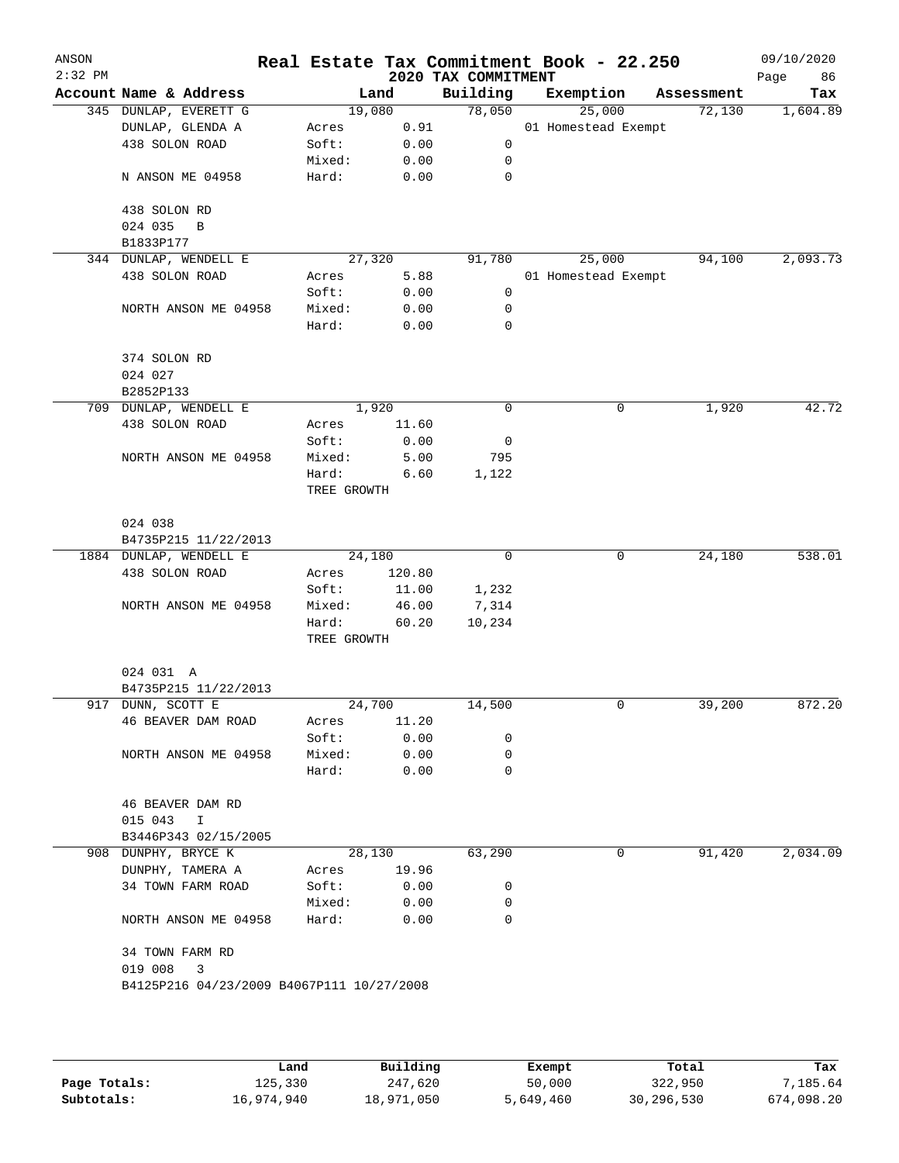| Account Name & Address<br>345 DUNLAP, EVERETT G<br>DUNLAP, GLENDA A<br>438 SOLON ROAD<br>N ANSON ME 04958<br>438 SOLON RD<br>024 035<br>B<br>B1833P177<br>344 DUNLAP, WENDELL E<br>438 SOLON ROAD<br>NORTH ANSON ME 04958<br>374 SOLON RD<br>024 027<br>B2852P133<br>709 DUNLAP, WENDELL E<br>438 SOLON ROAD | Acres<br>Soft:<br>Mixed:<br>Hard:<br>Acres<br>Soft:<br>Mixed:<br>Hard:                                                                                                                             | Land<br>19,080<br>0.91<br>0.00<br>0.00<br>0.00<br>27,320<br>5.88<br>0.00<br>0.00<br>0.00 | Building<br>78,050<br>0<br>0<br>0<br>91,780<br>0<br>0<br>0                                            |                                                                                                                                                                      | Exemption<br>25,000<br>01 Homestead Exempt<br>25,000<br>01 Homestead Exempt | Assessment<br>72,130<br>94,100 | Tax<br>1,604.89<br>2,093.73 |
|--------------------------------------------------------------------------------------------------------------------------------------------------------------------------------------------------------------------------------------------------------------------------------------------------------------|----------------------------------------------------------------------------------------------------------------------------------------------------------------------------------------------------|------------------------------------------------------------------------------------------|-------------------------------------------------------------------------------------------------------|----------------------------------------------------------------------------------------------------------------------------------------------------------------------|-----------------------------------------------------------------------------|--------------------------------|-----------------------------|
|                                                                                                                                                                                                                                                                                                              |                                                                                                                                                                                                    |                                                                                          |                                                                                                       |                                                                                                                                                                      |                                                                             |                                |                             |
|                                                                                                                                                                                                                                                                                                              |                                                                                                                                                                                                    |                                                                                          |                                                                                                       |                                                                                                                                                                      |                                                                             |                                |                             |
|                                                                                                                                                                                                                                                                                                              |                                                                                                                                                                                                    |                                                                                          |                                                                                                       |                                                                                                                                                                      |                                                                             |                                |                             |
|                                                                                                                                                                                                                                                                                                              |                                                                                                                                                                                                    |                                                                                          |                                                                                                       |                                                                                                                                                                      |                                                                             |                                |                             |
|                                                                                                                                                                                                                                                                                                              |                                                                                                                                                                                                    |                                                                                          |                                                                                                       |                                                                                                                                                                      |                                                                             |                                |                             |
|                                                                                                                                                                                                                                                                                                              |                                                                                                                                                                                                    |                                                                                          |                                                                                                       |                                                                                                                                                                      |                                                                             |                                |                             |
|                                                                                                                                                                                                                                                                                                              |                                                                                                                                                                                                    |                                                                                          |                                                                                                       |                                                                                                                                                                      |                                                                             |                                |                             |
|                                                                                                                                                                                                                                                                                                              |                                                                                                                                                                                                    |                                                                                          |                                                                                                       |                                                                                                                                                                      |                                                                             |                                |                             |
|                                                                                                                                                                                                                                                                                                              |                                                                                                                                                                                                    |                                                                                          |                                                                                                       |                                                                                                                                                                      |                                                                             |                                |                             |
|                                                                                                                                                                                                                                                                                                              |                                                                                                                                                                                                    |                                                                                          |                                                                                                       |                                                                                                                                                                      |                                                                             |                                |                             |
|                                                                                                                                                                                                                                                                                                              |                                                                                                                                                                                                    |                                                                                          |                                                                                                       |                                                                                                                                                                      |                                                                             |                                |                             |
|                                                                                                                                                                                                                                                                                                              |                                                                                                                                                                                                    |                                                                                          |                                                                                                       |                                                                                                                                                                      |                                                                             |                                |                             |
|                                                                                                                                                                                                                                                                                                              |                                                                                                                                                                                                    |                                                                                          |                                                                                                       |                                                                                                                                                                      |                                                                             |                                |                             |
|                                                                                                                                                                                                                                                                                                              |                                                                                                                                                                                                    |                                                                                          |                                                                                                       |                                                                                                                                                                      |                                                                             |                                |                             |
|                                                                                                                                                                                                                                                                                                              |                                                                                                                                                                                                    |                                                                                          |                                                                                                       |                                                                                                                                                                      |                                                                             |                                |                             |
|                                                                                                                                                                                                                                                                                                              |                                                                                                                                                                                                    |                                                                                          |                                                                                                       |                                                                                                                                                                      |                                                                             |                                |                             |
|                                                                                                                                                                                                                                                                                                              |                                                                                                                                                                                                    |                                                                                          |                                                                                                       |                                                                                                                                                                      |                                                                             |                                |                             |
|                                                                                                                                                                                                                                                                                                              |                                                                                                                                                                                                    | 1,920                                                                                    | 0                                                                                                     |                                                                                                                                                                      | 0                                                                           | 1,920                          | 42.72                       |
|                                                                                                                                                                                                                                                                                                              | Acres                                                                                                                                                                                              | 11.60                                                                                    |                                                                                                       |                                                                                                                                                                      |                                                                             |                                |                             |
|                                                                                                                                                                                                                                                                                                              | Soft:                                                                                                                                                                                              | 0.00                                                                                     | 0                                                                                                     |                                                                                                                                                                      |                                                                             |                                |                             |
| NORTH ANSON ME 04958                                                                                                                                                                                                                                                                                         | Mixed:                                                                                                                                                                                             | 5.00                                                                                     | 795                                                                                                   |                                                                                                                                                                      |                                                                             |                                |                             |
|                                                                                                                                                                                                                                                                                                              |                                                                                                                                                                                                    |                                                                                          |                                                                                                       |                                                                                                                                                                      |                                                                             |                                |                             |
|                                                                                                                                                                                                                                                                                                              |                                                                                                                                                                                                    |                                                                                          |                                                                                                       |                                                                                                                                                                      |                                                                             |                                |                             |
|                                                                                                                                                                                                                                                                                                              |                                                                                                                                                                                                    |                                                                                          |                                                                                                       |                                                                                                                                                                      |                                                                             |                                |                             |
|                                                                                                                                                                                                                                                                                                              |                                                                                                                                                                                                    |                                                                                          |                                                                                                       |                                                                                                                                                                      |                                                                             |                                |                             |
|                                                                                                                                                                                                                                                                                                              |                                                                                                                                                                                                    |                                                                                          |                                                                                                       |                                                                                                                                                                      |                                                                             |                                | 538.01                      |
|                                                                                                                                                                                                                                                                                                              |                                                                                                                                                                                                    |                                                                                          |                                                                                                       |                                                                                                                                                                      |                                                                             |                                |                             |
|                                                                                                                                                                                                                                                                                                              |                                                                                                                                                                                                    |                                                                                          |                                                                                                       |                                                                                                                                                                      |                                                                             |                                |                             |
|                                                                                                                                                                                                                                                                                                              |                                                                                                                                                                                                    |                                                                                          |                                                                                                       |                                                                                                                                                                      |                                                                             |                                |                             |
|                                                                                                                                                                                                                                                                                                              |                                                                                                                                                                                                    |                                                                                          |                                                                                                       |                                                                                                                                                                      |                                                                             |                                |                             |
|                                                                                                                                                                                                                                                                                                              |                                                                                                                                                                                                    |                                                                                          |                                                                                                       |                                                                                                                                                                      |                                                                             |                                |                             |
|                                                                                                                                                                                                                                                                                                              |                                                                                                                                                                                                    |                                                                                          |                                                                                                       |                                                                                                                                                                      |                                                                             |                                |                             |
|                                                                                                                                                                                                                                                                                                              |                                                                                                                                                                                                    |                                                                                          |                                                                                                       |                                                                                                                                                                      |                                                                             |                                |                             |
|                                                                                                                                                                                                                                                                                                              |                                                                                                                                                                                                    |                                                                                          |                                                                                                       |                                                                                                                                                                      |                                                                             |                                |                             |
|                                                                                                                                                                                                                                                                                                              |                                                                                                                                                                                                    |                                                                                          |                                                                                                       |                                                                                                                                                                      |                                                                             |                                | 872.20                      |
|                                                                                                                                                                                                                                                                                                              |                                                                                                                                                                                                    |                                                                                          |                                                                                                       |                                                                                                                                                                      |                                                                             |                                |                             |
|                                                                                                                                                                                                                                                                                                              |                                                                                                                                                                                                    |                                                                                          |                                                                                                       |                                                                                                                                                                      |                                                                             |                                |                             |
| NORTH ANSON ME 04958                                                                                                                                                                                                                                                                                         | Mixed:                                                                                                                                                                                             |                                                                                          | 0                                                                                                     |                                                                                                                                                                      |                                                                             |                                |                             |
|                                                                                                                                                                                                                                                                                                              | Hard:                                                                                                                                                                                              |                                                                                          | 0                                                                                                     |                                                                                                                                                                      |                                                                             |                                |                             |
| 46 BEAVER DAM RD                                                                                                                                                                                                                                                                                             |                                                                                                                                                                                                    |                                                                                          |                                                                                                       |                                                                                                                                                                      |                                                                             |                                |                             |
| 015 043                                                                                                                                                                                                                                                                                                      |                                                                                                                                                                                                    |                                                                                          |                                                                                                       |                                                                                                                                                                      |                                                                             |                                |                             |
| B3446P343 02/15/2005                                                                                                                                                                                                                                                                                         |                                                                                                                                                                                                    |                                                                                          |                                                                                                       |                                                                                                                                                                      |                                                                             |                                |                             |
| 908 DUNPHY, BRYCE K                                                                                                                                                                                                                                                                                          |                                                                                                                                                                                                    |                                                                                          | 63,290                                                                                                |                                                                                                                                                                      | 0                                                                           | 91,420                         | 2,034.09                    |
| DUNPHY, TAMERA A                                                                                                                                                                                                                                                                                             | Acres                                                                                                                                                                                              |                                                                                          |                                                                                                       |                                                                                                                                                                      |                                                                             |                                |                             |
| 34 TOWN FARM ROAD                                                                                                                                                                                                                                                                                            | Soft:                                                                                                                                                                                              |                                                                                          | 0                                                                                                     |                                                                                                                                                                      |                                                                             |                                |                             |
|                                                                                                                                                                                                                                                                                                              | Mixed:                                                                                                                                                                                             |                                                                                          | 0                                                                                                     |                                                                                                                                                                      |                                                                             |                                |                             |
| NORTH ANSON ME 04958                                                                                                                                                                                                                                                                                         | Hard:                                                                                                                                                                                              |                                                                                          | 0                                                                                                     |                                                                                                                                                                      |                                                                             |                                |                             |
| 34 TOWN FARM RD                                                                                                                                                                                                                                                                                              |                                                                                                                                                                                                    |                                                                                          |                                                                                                       |                                                                                                                                                                      |                                                                             |                                |                             |
| 019 008<br>3                                                                                                                                                                                                                                                                                                 |                                                                                                                                                                                                    |                                                                                          |                                                                                                       |                                                                                                                                                                      |                                                                             |                                |                             |
|                                                                                                                                                                                                                                                                                                              |                                                                                                                                                                                                    |                                                                                          |                                                                                                       |                                                                                                                                                                      |                                                                             |                                |                             |
|                                                                                                                                                                                                                                                                                                              |                                                                                                                                                                                                    |                                                                                          |                                                                                                       |                                                                                                                                                                      |                                                                             |                                |                             |
|                                                                                                                                                                                                                                                                                                              | 024 038<br>B4735P215 11/22/2013<br>1884 DUNLAP, WENDELL E<br>438 SOLON ROAD<br>NORTH ANSON ME 04958<br>024 031 A<br>B4735P215 11/22/2013<br>917 DUNN, SCOTT E<br>46 BEAVER DAM ROAD<br>$\mathbf I$ | Hard:<br>Acres<br>Soft:<br>Mixed:<br>Hard:<br>Acres<br>Soft:                             | TREE GROWTH<br>24,180<br>TREE GROWTH<br>24,700<br>28,130<br>B4125P216 04/23/2009 B4067P111 10/27/2008 | 6.60<br>1,122<br>0<br>120.80<br>11.00<br>1,232<br>7,314<br>46.00<br>60.20<br>10,234<br>14,500<br>11.20<br>0.00<br>0<br>0.00<br>0.00<br>19.96<br>0.00<br>0.00<br>0.00 |                                                                             | 0<br>0                         | 24,180<br>39,200            |

|              | Land       | Building   | Exempt    | Total      | Tax        |
|--------------|------------|------------|-----------|------------|------------|
|              |            |            |           |            |            |
| Page Totals: | 125,330    | 247,620    | 50,000    | 322,950    | 7,185.64   |
| Subtotals:   | 16,974,940 | 18,971,050 | 5,649,460 | 30,296,530 | 674,098.20 |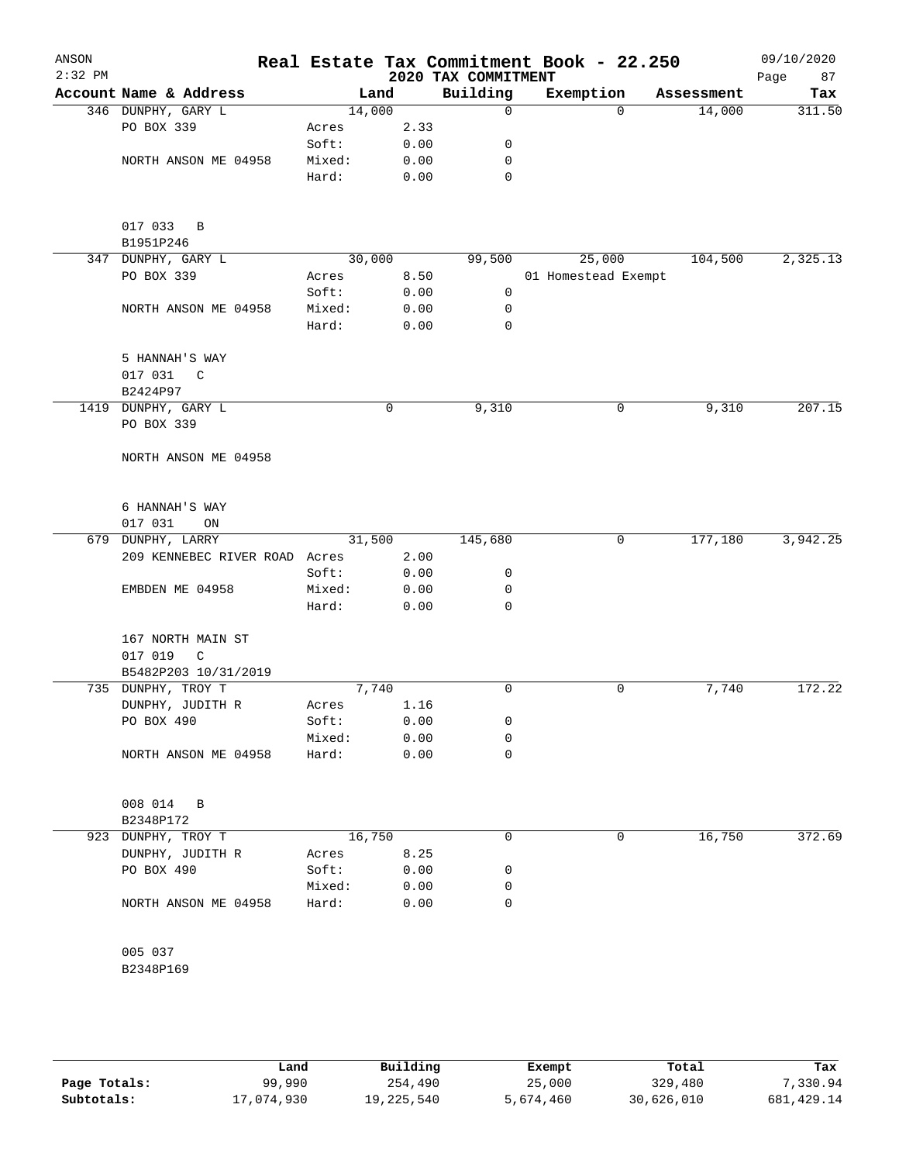| ANSON<br>$2:32$ PM |                               |        |             | 2020 TAX COMMITMENT | Real Estate Tax Commitment Book - 22.250 |            | 09/10/2020<br>Page<br>87 |
|--------------------|-------------------------------|--------|-------------|---------------------|------------------------------------------|------------|--------------------------|
|                    | Account Name & Address        | Land   |             | Building            | Exemption                                | Assessment | Tax                      |
|                    | 346 DUNPHY, GARY L            | 14,000 |             | $\Omega$            | $\Omega$                                 | 14,000     | 311.50                   |
|                    | PO BOX 339                    | Acres  | 2.33        |                     |                                          |            |                          |
|                    |                               | Soft:  | 0.00        | 0                   |                                          |            |                          |
|                    | NORTH ANSON ME 04958          | Mixed: | 0.00        | 0                   |                                          |            |                          |
|                    |                               | Hard:  | 0.00        | 0                   |                                          |            |                          |
|                    |                               |        |             |                     |                                          |            |                          |
|                    |                               |        |             |                     |                                          |            |                          |
|                    | 017 033 B                     |        |             |                     |                                          |            |                          |
|                    | B1951P246                     |        |             |                     |                                          |            |                          |
|                    | 347 DUNPHY, GARY L            | 30,000 |             | 99,500              | 25,000                                   | 104,500    | 2,325.13                 |
|                    | PO BOX 339                    | Acres  | 8.50        |                     | 01 Homestead Exempt                      |            |                          |
|                    |                               | Soft:  | 0.00        | 0                   |                                          |            |                          |
|                    | NORTH ANSON ME 04958          | Mixed: | 0.00        | 0                   |                                          |            |                          |
|                    |                               | Hard:  | 0.00        | 0                   |                                          |            |                          |
|                    |                               |        |             |                     |                                          |            |                          |
|                    | 5 HANNAH'S WAY                |        |             |                     |                                          |            |                          |
|                    | 017 031<br>$\overline{C}$     |        |             |                     |                                          |            |                          |
|                    | B2424P97                      |        |             |                     |                                          |            |                          |
|                    | 1419 DUNPHY, GARY L           |        | $\mathbf 0$ | 9,310               | 0                                        | 9,310      | 207.15                   |
|                    | PO BOX 339                    |        |             |                     |                                          |            |                          |
|                    |                               |        |             |                     |                                          |            |                          |
|                    | NORTH ANSON ME 04958          |        |             |                     |                                          |            |                          |
|                    |                               |        |             |                     |                                          |            |                          |
|                    | 6 HANNAH'S WAY                |        |             |                     |                                          |            |                          |
|                    | 017 031<br>ON                 |        |             |                     |                                          |            |                          |
|                    | 679 DUNPHY, LARRY             | 31,500 |             | 145,680             | 0                                        | 177,180    | 3,942.25                 |
|                    | 209 KENNEBEC RIVER ROAD Acres |        | 2.00        |                     |                                          |            |                          |
|                    |                               | Soft:  | 0.00        | 0                   |                                          |            |                          |
|                    | EMBDEN ME 04958               | Mixed: | 0.00        | 0                   |                                          |            |                          |
|                    |                               | Hard:  | 0.00        | $\mathbf 0$         |                                          |            |                          |
|                    |                               |        |             |                     |                                          |            |                          |
|                    | 167 NORTH MAIN ST             |        |             |                     |                                          |            |                          |
|                    | 017 019<br>C                  |        |             |                     |                                          |            |                          |
|                    | B5482P203 10/31/2019          |        |             |                     |                                          |            |                          |
|                    | 735 DUNPHY, TROY T            | 7,740  |             | 0                   | 0                                        | 7,740      | 172.22                   |
|                    | DUNPHY, JUDITH R              | Acres  | 1.16        |                     |                                          |            |                          |
|                    | PO BOX 490                    | Soft:  | 0.00        | 0                   |                                          |            |                          |
|                    |                               | Mixed: | 0.00        | 0                   |                                          |            |                          |
|                    | NORTH ANSON ME 04958          | Hard:  | 0.00        | 0                   |                                          |            |                          |
|                    |                               |        |             |                     |                                          |            |                          |
|                    |                               |        |             |                     |                                          |            |                          |
|                    | 008 014 B                     |        |             |                     |                                          |            |                          |
|                    | B2348P172                     |        |             |                     |                                          |            |                          |
|                    | 923 DUNPHY, TROY T            | 16,750 |             | 0                   | 0                                        | 16,750     | 372.69                   |
|                    | DUNPHY, JUDITH R              | Acres  | 8.25        |                     |                                          |            |                          |
|                    | PO BOX 490                    | Soft:  | 0.00        | 0                   |                                          |            |                          |
|                    |                               | Mixed: | 0.00        | 0                   |                                          |            |                          |
|                    | NORTH ANSON ME 04958          | Hard:  | 0.00        | 0                   |                                          |            |                          |
|                    |                               |        |             |                     |                                          |            |                          |
|                    |                               |        |             |                     |                                          |            |                          |
|                    | 005 037                       |        |             |                     |                                          |            |                          |
|                    | B2348P169                     |        |             |                     |                                          |            |                          |
|                    |                               |        |             |                     |                                          |            |                          |
|                    |                               |        |             |                     |                                          |            |                          |

|              | Land       | Building   | Exempt    | Total      | Tax         |
|--------------|------------|------------|-----------|------------|-------------|
| Page Totals: | 99,990     | 254,490    | 25,000    | 329,480    | 7,330.94    |
| Subtotals:   | 17,074,930 | 19,225,540 | 5,674,460 | 30,626,010 | 681, 429.14 |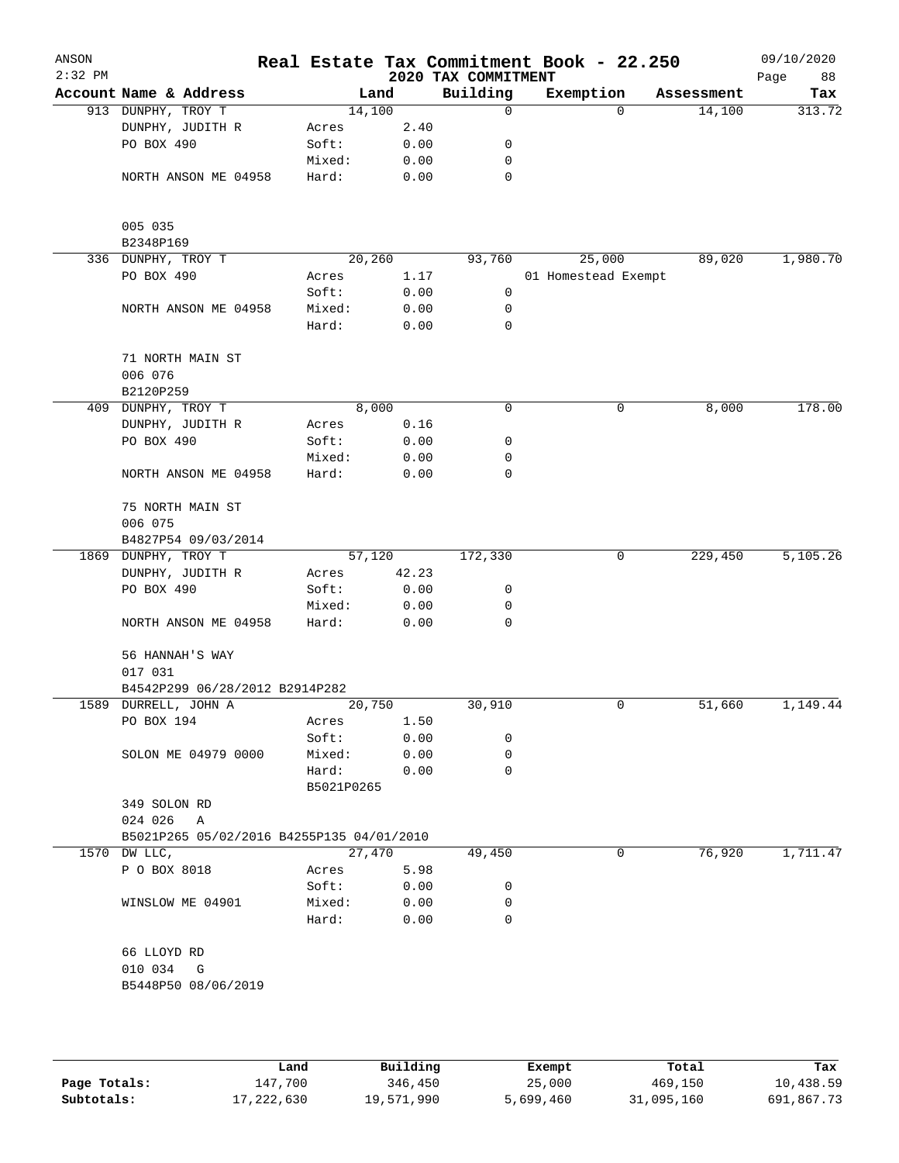| ANSON<br>$2:32$ PM |                                           |            |        |       | 2020 TAX COMMITMENT | Real Estate Tax Commitment Book - 22.250 |            | 09/10/2020<br>88<br>Page |
|--------------------|-------------------------------------------|------------|--------|-------|---------------------|------------------------------------------|------------|--------------------------|
|                    | Account Name & Address                    |            | Land   |       | Building            | Exemption                                | Assessment | Tax                      |
|                    | 913 DUNPHY, TROY T                        |            | 14,100 |       | $\mathbf 0$         | $\Omega$                                 | 14,100     | 313.72                   |
|                    | DUNPHY, JUDITH R                          | Acres      |        | 2.40  |                     |                                          |            |                          |
|                    | PO BOX 490                                | Soft:      |        | 0.00  | 0                   |                                          |            |                          |
|                    |                                           | Mixed:     |        | 0.00  | 0                   |                                          |            |                          |
|                    | NORTH ANSON ME 04958                      | Hard:      |        | 0.00  | 0                   |                                          |            |                          |
|                    | 005 035                                   |            |        |       |                     |                                          |            |                          |
|                    | B2348P169                                 |            |        |       |                     |                                          |            |                          |
|                    | 336 DUNPHY, TROY T                        |            | 20,260 |       | 93,760              | 25,000                                   | 89,020     | 1,980.70                 |
|                    | PO BOX 490                                | Acres      |        | 1.17  |                     | 01 Homestead Exempt                      |            |                          |
|                    |                                           | Soft:      |        | 0.00  | 0                   |                                          |            |                          |
|                    | NORTH ANSON ME 04958                      | Mixed:     |        | 0.00  | 0                   |                                          |            |                          |
|                    |                                           | Hard:      |        | 0.00  | 0                   |                                          |            |                          |
|                    | 71 NORTH MAIN ST                          |            |        |       |                     |                                          |            |                          |
|                    | 006 076                                   |            |        |       |                     |                                          |            |                          |
|                    | B2120P259                                 |            |        |       |                     |                                          |            |                          |
|                    | 409 DUNPHY, TROY T                        |            | 8,000  |       | 0                   | 0                                        | 8,000      | 178.00                   |
|                    | DUNPHY, JUDITH R                          | Acres      |        | 0.16  |                     |                                          |            |                          |
|                    | PO BOX 490                                | Soft:      |        | 0.00  | 0                   |                                          |            |                          |
|                    |                                           | Mixed:     |        | 0.00  | 0                   |                                          |            |                          |
|                    | NORTH ANSON ME 04958                      | Hard:      |        | 0.00  | 0                   |                                          |            |                          |
|                    | 75 NORTH MAIN ST                          |            |        |       |                     |                                          |            |                          |
|                    | 006 075                                   |            |        |       |                     |                                          |            |                          |
|                    | B4827P54 09/03/2014                       |            |        |       |                     |                                          |            |                          |
|                    | 1869 DUNPHY, TROY T                       |            | 57,120 |       | 172,330             | 0                                        | 229,450    | 5,105.26                 |
|                    | DUNPHY, JUDITH R                          | Acres      |        | 42.23 |                     |                                          |            |                          |
|                    | PO BOX 490                                | Soft:      |        | 0.00  | 0                   |                                          |            |                          |
|                    |                                           | Mixed:     |        | 0.00  | 0                   |                                          |            |                          |
|                    | NORTH ANSON ME 04958                      | Hard:      |        | 0.00  | 0                   |                                          |            |                          |
|                    | 56 HANNAH'S WAY                           |            |        |       |                     |                                          |            |                          |
|                    | 017 031                                   |            |        |       |                     |                                          |            |                          |
|                    | B4542P299 06/28/2012 B2914P282            |            |        |       |                     |                                          |            |                          |
|                    | 1589 DURRELL, JOHN A                      |            | 20,750 |       | 30,910              | 0                                        | 51,660     | 1,149.44                 |
|                    | PO BOX 194                                | Acres      |        | 1.50  |                     |                                          |            |                          |
|                    |                                           | Soft:      |        | 0.00  | 0                   |                                          |            |                          |
|                    | SOLON ME 04979 0000                       | Mixed:     |        | 0.00  | 0                   |                                          |            |                          |
|                    |                                           | Hard:      |        | 0.00  | 0                   |                                          |            |                          |
|                    | 349 SOLON RD                              | B5021P0265 |        |       |                     |                                          |            |                          |
|                    | 024 026<br>A                              |            |        |       |                     |                                          |            |                          |
|                    | B5021P265 05/02/2016 B4255P135 04/01/2010 |            |        |       |                     |                                          |            |                          |
|                    | 1570 DW LLC,                              |            | 27,470 |       | 49,450              | 0                                        | 76,920     | 1,711.47                 |
|                    | P O BOX 8018                              | Acres      |        | 5.98  |                     |                                          |            |                          |
|                    |                                           | Soft:      |        | 0.00  | 0                   |                                          |            |                          |
|                    | WINSLOW ME 04901                          | Mixed:     |        | 0.00  | 0                   |                                          |            |                          |
|                    |                                           | Hard:      |        | 0.00  | 0                   |                                          |            |                          |
|                    | 66 LLOYD RD                               |            |        |       |                     |                                          |            |                          |
|                    | 010 034<br>G                              |            |        |       |                     |                                          |            |                          |
|                    | B5448P50 08/06/2019                       |            |        |       |                     |                                          |            |                          |
|                    |                                           |            |        |       |                     |                                          |            |                          |
|                    |                                           |            |        |       |                     |                                          |            |                          |
|                    |                                           |            |        |       |                     |                                          |            |                          |

|              | Land       | Building   | Exempt    | Total      | Tax        |
|--------------|------------|------------|-----------|------------|------------|
| Page Totals: | 147.700    | 346,450    | 25,000    | 469,150    | 10,438.59  |
| Subtotals:   | 17,222,630 | 19,571,990 | 5,699,460 | 31,095,160 | 691,867.73 |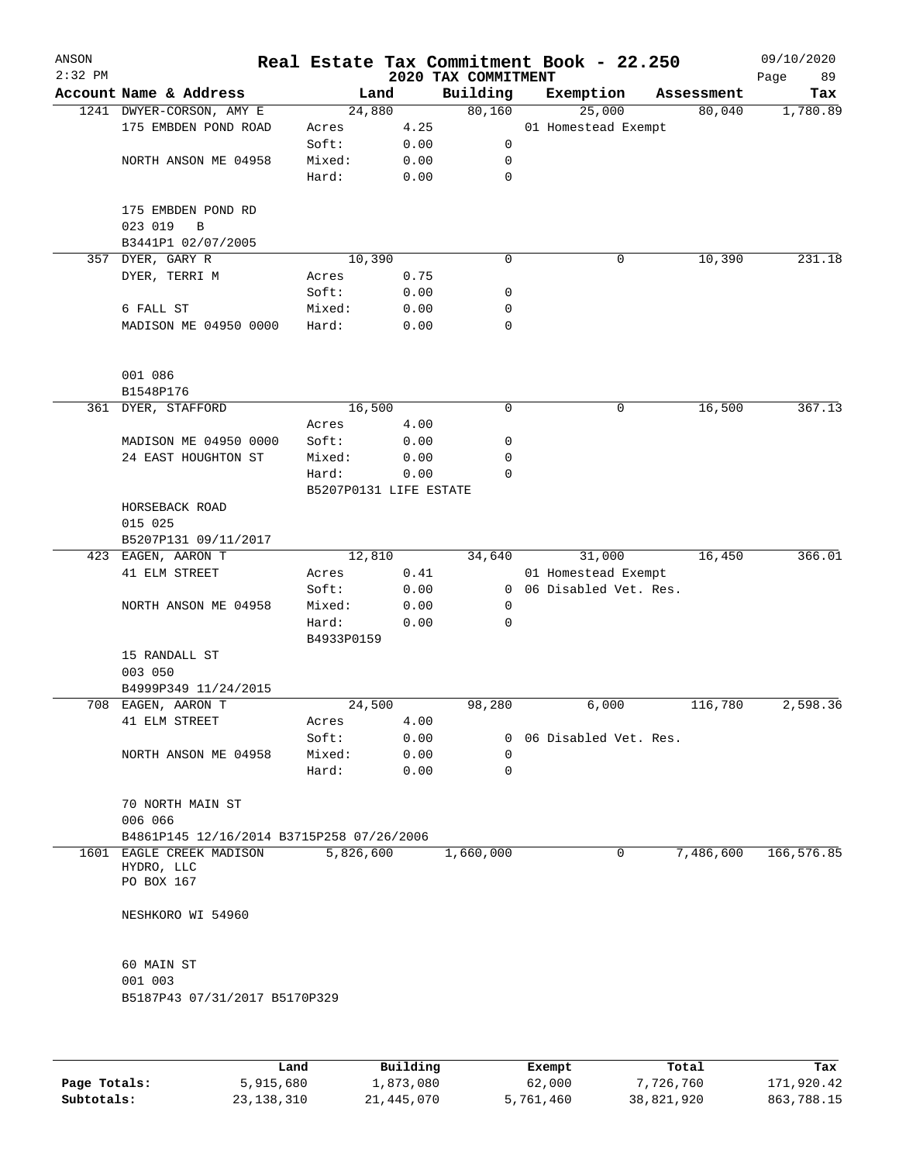| ANSON<br>$2:32$ PM |                                           |                        |      | Real Estate Tax Commitment Book - 22.250<br>2020 TAX COMMITMENT |                         |            | 09/10/2020<br>Page<br>89 |
|--------------------|-------------------------------------------|------------------------|------|-----------------------------------------------------------------|-------------------------|------------|--------------------------|
|                    | Account Name & Address                    | Land                   |      | Building                                                        | Exemption               | Assessment | Tax                      |
|                    | 1241 DWYER-CORSON, AMY E                  | 24,880                 |      | 80,160                                                          | 25,000                  | 80,040     | 1,780.89                 |
|                    | 175 EMBDEN POND ROAD                      | Acres                  | 4.25 |                                                                 | 01 Homestead Exempt     |            |                          |
|                    |                                           | Soft:                  | 0.00 | 0                                                               |                         |            |                          |
|                    | NORTH ANSON ME 04958                      | Mixed:                 | 0.00 | 0                                                               |                         |            |                          |
|                    |                                           | Hard:                  | 0.00 | 0                                                               |                         |            |                          |
|                    | 175 EMBDEN POND RD<br>023 019<br>B        |                        |      |                                                                 |                         |            |                          |
|                    | B3441P1 02/07/2005                        |                        |      |                                                                 |                         |            |                          |
|                    | 357 DYER, GARY R                          | 10,390                 |      | 0                                                               | 0                       | 10,390     | 231.18                   |
|                    | DYER, TERRI M                             | Acres                  | 0.75 |                                                                 |                         |            |                          |
|                    |                                           | Soft:                  | 0.00 | 0                                                               |                         |            |                          |
|                    | 6 FALL ST                                 | Mixed:                 | 0.00 | 0                                                               |                         |            |                          |
|                    | MADISON ME 04950 0000                     | Hard:                  | 0.00 | 0                                                               |                         |            |                          |
|                    | 001 086<br>B1548P176                      |                        |      |                                                                 |                         |            |                          |
|                    | 361 DYER, STAFFORD                        | 16,500                 |      | 0                                                               | 0                       | 16,500     | 367.13                   |
|                    |                                           | Acres                  | 4.00 |                                                                 |                         |            |                          |
|                    | MADISON ME 04950 0000                     | Soft:                  | 0.00 | 0                                                               |                         |            |                          |
|                    | 24 EAST HOUGHTON ST                       | Mixed:                 | 0.00 | 0                                                               |                         |            |                          |
|                    |                                           | Hard:                  | 0.00 | 0                                                               |                         |            |                          |
|                    |                                           | B5207P0131 LIFE ESTATE |      |                                                                 |                         |            |                          |
|                    | HORSEBACK ROAD                            |                        |      |                                                                 |                         |            |                          |
|                    | 015 025                                   |                        |      |                                                                 |                         |            |                          |
|                    | B5207P131 09/11/2017                      |                        |      |                                                                 |                         |            |                          |
|                    | 423 EAGEN, AARON T                        | 12,810                 |      | 34,640                                                          | 31,000                  | 16,450     | 366.01                   |
|                    | 41 ELM STREET                             | Acres                  | 0.41 |                                                                 | 01 Homestead Exempt     |            |                          |
|                    |                                           | Soft:                  | 0.00 | 0                                                               | 06 Disabled Vet. Res.   |            |                          |
|                    | NORTH ANSON ME 04958                      | Mixed:                 | 0.00 | 0                                                               |                         |            |                          |
|                    |                                           | Hard:                  | 0.00 | 0                                                               |                         |            |                          |
|                    |                                           | B4933P0159             |      |                                                                 |                         |            |                          |
|                    | 15 RANDALL ST                             |                        |      |                                                                 |                         |            |                          |
|                    | 003 050                                   |                        |      |                                                                 |                         |            |                          |
|                    | B4999P349 11/24/2015                      |                        |      |                                                                 |                         |            |                          |
|                    | 708 EAGEN, AARON T                        | 24,500                 |      | 98,280                                                          | 6,000                   | 116,780    | 2,598.36                 |
|                    | 41 ELM STREET                             | Acres                  | 4.00 |                                                                 |                         |            |                          |
|                    |                                           | Soft:                  | 0.00 |                                                                 | 0 06 Disabled Vet. Res. |            |                          |
|                    | NORTH ANSON ME 04958                      | Mixed:                 | 0.00 | 0                                                               |                         |            |                          |
|                    |                                           | Hard:                  | 0.00 | 0                                                               |                         |            |                          |
|                    | 70 NORTH MAIN ST<br>006 066               |                        |      |                                                                 |                         |            |                          |
|                    | B4861P145 12/16/2014 B3715P258 07/26/2006 |                        |      |                                                                 |                         |            |                          |
|                    | 1601 EAGLE CREEK MADISON                  | 5,826,600              |      | 1,660,000                                                       | 0                       | 7,486,600  | 166, 576.85              |
|                    | HYDRO, LLC                                |                        |      |                                                                 |                         |            |                          |
|                    | PO BOX 167                                |                        |      |                                                                 |                         |            |                          |
|                    | NESHKORO WI 54960                         |                        |      |                                                                 |                         |            |                          |
|                    | 60 MAIN ST                                |                        |      |                                                                 |                         |            |                          |
|                    | 001 003                                   |                        |      |                                                                 |                         |            |                          |
|                    | B5187P43 07/31/2017 B5170P329             |                        |      |                                                                 |                         |            |                          |
|                    |                                           |                        |      |                                                                 |                         |            |                          |
|                    |                                           |                        |      |                                                                 |                         |            |                          |
|                    |                                           |                        |      |                                                                 |                         |            |                          |

|              | Land         | Building   | Exempt    | Total      | Tax        |
|--------------|--------------|------------|-----------|------------|------------|
| Page Totals: | 5,915,680    | 1,873,080  | 62,000    | 7,726,760  | 171,920.42 |
| Subtotals:   | 23, 138, 310 | 21,445,070 | 5,761,460 | 38,821,920 | 863,788.15 |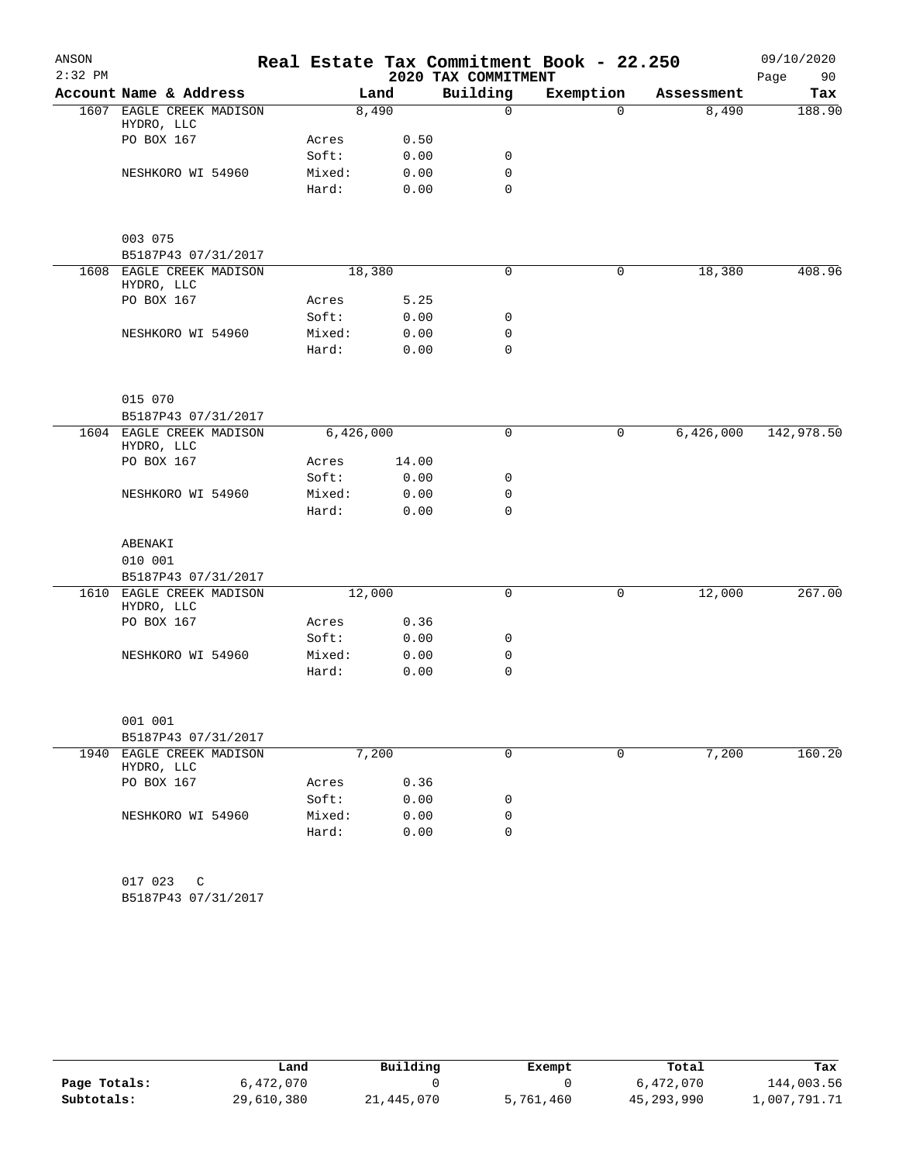| ANSON     |                                        |        |           |       | Real Estate Tax Commitment Book - 22.250 |           |            | 09/10/2020 |
|-----------|----------------------------------------|--------|-----------|-------|------------------------------------------|-----------|------------|------------|
| $2:32$ PM |                                        |        |           |       | 2020 TAX COMMITMENT                      |           |            | Page<br>90 |
|           | Account Name & Address                 |        | Land      |       | Building                                 | Exemption | Assessment | Tax        |
|           | 1607 EAGLE CREEK MADISON<br>HYDRO, LLC |        | 8,490     |       | $\mathbf 0$                              | $\Omega$  | 8,490      | 188.90     |
|           | PO BOX 167                             | Acres  |           | 0.50  |                                          |           |            |            |
|           |                                        | Soft:  |           | 0.00  | 0                                        |           |            |            |
|           | NESHKORO WI 54960                      | Mixed: |           | 0.00  | 0                                        |           |            |            |
|           |                                        | Hard:  |           | 0.00  | 0                                        |           |            |            |
|           | 003 075                                |        |           |       |                                          |           |            |            |
|           | B5187P43 07/31/2017                    |        |           |       |                                          |           |            |            |
|           | 1608 EAGLE CREEK MADISON               |        | 18,380    |       | 0                                        | 0         | 18,380     | 408.96     |
|           | HYDRO, LLC                             |        |           |       |                                          |           |            |            |
|           | PO BOX 167                             | Acres  |           | 5.25  |                                          |           |            |            |
|           |                                        | Soft:  |           | 0.00  | 0                                        |           |            |            |
|           | NESHKORO WI 54960                      | Mixed: |           | 0.00  | 0                                        |           |            |            |
|           |                                        | Hard:  |           | 0.00  | 0                                        |           |            |            |
|           | 015 070                                |        |           |       |                                          |           |            |            |
|           | B5187P43 07/31/2017                    |        |           |       |                                          |           |            |            |
|           | 1604 EAGLE CREEK MADISON<br>HYDRO, LLC |        | 6,426,000 |       | 0                                        | 0         | 6,426,000  | 142,978.50 |
|           | PO BOX 167                             | Acres  |           | 14.00 |                                          |           |            |            |
|           |                                        | Soft:  |           | 0.00  | 0                                        |           |            |            |
|           | NESHKORO WI 54960                      | Mixed: |           | 0.00  | 0                                        |           |            |            |
|           |                                        | Hard:  |           | 0.00  | $\mathbf 0$                              |           |            |            |
|           | ABENAKI                                |        |           |       |                                          |           |            |            |
|           | 010 001                                |        |           |       |                                          |           |            |            |
|           | B5187P43 07/31/2017                    |        |           |       |                                          |           |            |            |
|           | 1610 EAGLE CREEK MADISON<br>HYDRO, LLC |        | 12,000    |       | 0                                        | 0         | 12,000     | 267.00     |
|           | PO BOX 167                             | Acres  |           | 0.36  |                                          |           |            |            |
|           |                                        | Soft:  |           | 0.00  | 0                                        |           |            |            |
|           | NESHKORO WI 54960                      | Mixed: |           | 0.00  | 0                                        |           |            |            |
|           |                                        | Hard:  |           | 0.00  | 0                                        |           |            |            |
|           | 001 001                                |        |           |       |                                          |           |            |            |
|           | B5187P43 07/31/2017                    |        |           |       |                                          |           |            |            |
|           | 1940 EAGLE CREEK MADISON               |        | 7,200     |       | $\mathbf 0$                              | 0         | 7,200      | 160.20     |
|           | HYDRO, LLC                             |        |           |       |                                          |           |            |            |
|           | PO BOX 167                             | Acres  |           | 0.36  |                                          |           |            |            |
|           |                                        | Soft:  |           | 0.00  | 0                                        |           |            |            |
|           | NESHKORO WI 54960                      | Mixed: |           | 0.00  | 0                                        |           |            |            |
|           |                                        | Hard:  |           | 0.00  | $\mathbf 0$                              |           |            |            |
|           | 017 023<br>C                           |        |           |       |                                          |           |            |            |
|           | B5187P43 07/31/2017                    |        |           |       |                                          |           |            |            |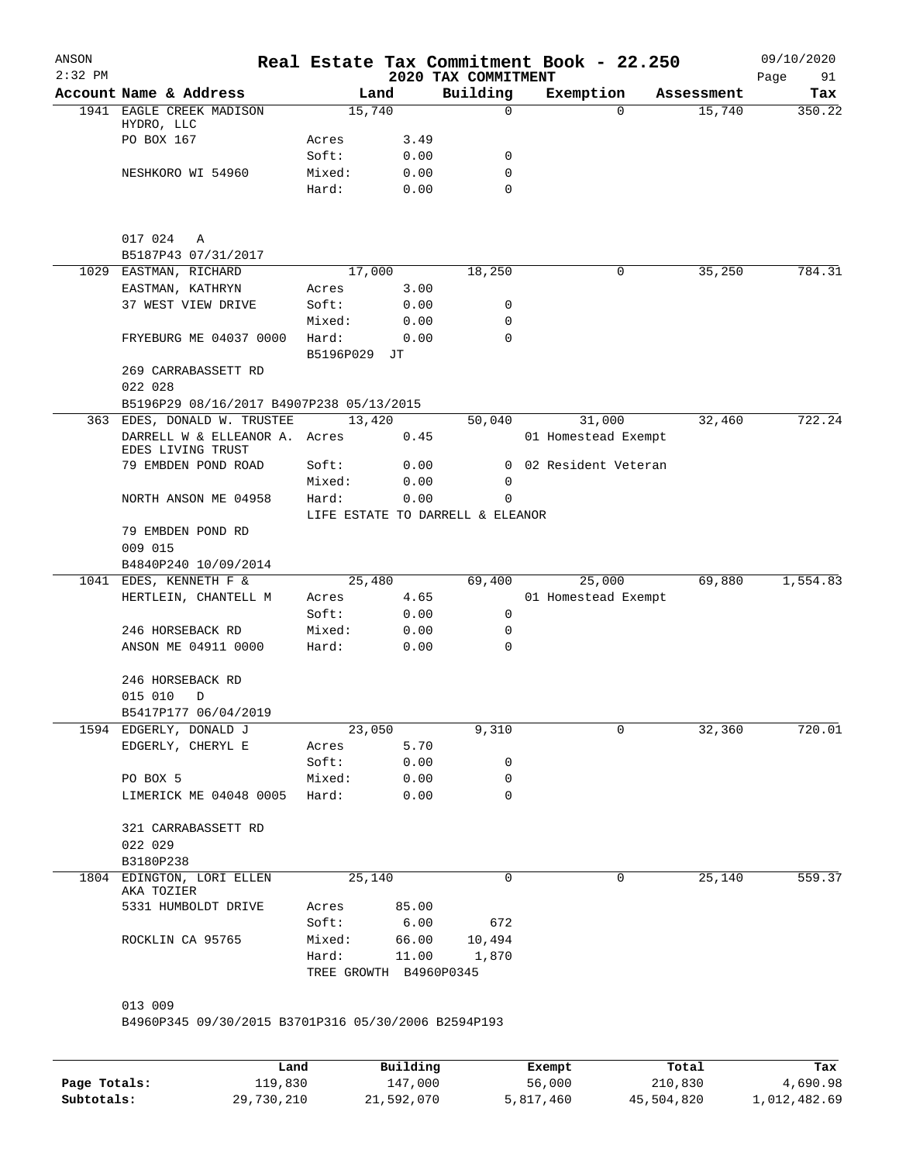|     | Account Name & Address<br>1941 EAGLE CREEK MADISON<br>HYDRO, LLC<br>PO BOX 167<br>NESHKORO WI 54960<br>017 024<br>Α<br>B5187P43 07/31/2017<br>1029 EASTMAN, RICHARD | Land<br>15,740<br>Acres<br>Soft:<br>Mixed:<br>Hard: | 3.49<br>0.00<br>0.00<br>0.00 | 2020 TAX COMMITMENT<br>Building<br>0<br>0<br>0 | Exemption<br>$\Omega$ | Assessment<br>15,740 | Tax<br>350.22 |
|-----|---------------------------------------------------------------------------------------------------------------------------------------------------------------------|-----------------------------------------------------|------------------------------|------------------------------------------------|-----------------------|----------------------|---------------|
|     |                                                                                                                                                                     |                                                     |                              |                                                |                       |                      |               |
|     |                                                                                                                                                                     |                                                     |                              |                                                |                       |                      |               |
|     |                                                                                                                                                                     |                                                     |                              |                                                |                       |                      |               |
|     |                                                                                                                                                                     |                                                     |                              |                                                |                       |                      |               |
|     |                                                                                                                                                                     |                                                     |                              |                                                |                       |                      |               |
|     |                                                                                                                                                                     |                                                     |                              | $\Omega$                                       |                       |                      |               |
|     |                                                                                                                                                                     |                                                     |                              |                                                |                       |                      |               |
|     |                                                                                                                                                                     |                                                     |                              |                                                |                       |                      |               |
|     |                                                                                                                                                                     | 17,000                                              |                              | 18,250                                         | 0                     | 35,250               | 784.31        |
|     | EASTMAN, KATHRYN                                                                                                                                                    | Acres                                               | 3.00                         |                                                |                       |                      |               |
|     | 37 WEST VIEW DRIVE                                                                                                                                                  | Soft:                                               | 0.00                         | 0                                              |                       |                      |               |
|     |                                                                                                                                                                     | Mixed:                                              | 0.00                         | 0                                              |                       |                      |               |
|     | FRYEBURG ME 04037 0000                                                                                                                                              | Hard:<br>B5196P029 JT                               | 0.00                         | $\mathbf 0$                                    |                       |                      |               |
|     | 269 CARRABASSETT RD                                                                                                                                                 |                                                     |                              |                                                |                       |                      |               |
|     | 022 028                                                                                                                                                             |                                                     |                              |                                                |                       |                      |               |
|     | B5196P29 08/16/2017 B4907P238 05/13/2015                                                                                                                            |                                                     |                              |                                                |                       |                      |               |
| 363 | EDES, DONALD W. TRUSTEE                                                                                                                                             | 13,420                                              |                              | 50,040                                         | 31,000                | 32,460               | 722.24        |
|     | DARRELL W & ELLEANOR A. Acres<br>EDES LIVING TRUST                                                                                                                  |                                                     | 0.45                         |                                                | 01 Homestead Exempt   |                      |               |
|     | 79 EMBDEN POND ROAD                                                                                                                                                 | Soft:                                               | 0.00                         | $\overline{0}$                                 | 02 Resident Veteran   |                      |               |
|     |                                                                                                                                                                     | Mixed:                                              | 0.00                         | $\mathbf 0$                                    |                       |                      |               |
|     | NORTH ANSON ME 04958                                                                                                                                                | Hard:<br>LIFE ESTATE TO DARRELL & ELEANOR           | 0.00                         | 0                                              |                       |                      |               |
|     | 79 EMBDEN POND RD                                                                                                                                                   |                                                     |                              |                                                |                       |                      |               |
|     | 009 015                                                                                                                                                             |                                                     |                              |                                                |                       |                      |               |
|     | B4840P240 10/09/2014                                                                                                                                                |                                                     |                              |                                                |                       |                      |               |
|     | 1041 EDES, KENNETH F &                                                                                                                                              | 25,480                                              |                              | 69,400                                         | 25,000                | 69,880               | 1,554.83      |
|     | HERTLEIN, CHANTELL M                                                                                                                                                | Acres                                               | 4.65                         |                                                | 01 Homestead Exempt   |                      |               |
|     |                                                                                                                                                                     | Soft:                                               | 0.00                         | 0                                              |                       |                      |               |
|     | 246 HORSEBACK RD                                                                                                                                                    | Mixed:                                              | 0.00                         | 0                                              |                       |                      |               |
|     | ANSON ME 04911 0000                                                                                                                                                 | Hard:                                               | 0.00                         | 0                                              |                       |                      |               |
|     | 246 HORSEBACK RD<br>015 010<br>D                                                                                                                                    |                                                     |                              |                                                |                       |                      |               |
|     | B5417P177 06/04/2019                                                                                                                                                |                                                     |                              |                                                |                       |                      |               |
|     | 1594 EDGERLY, DONALD J                                                                                                                                              | 23,050                                              |                              | 9,310                                          | 0                     | 32,360               | 720.01        |
|     | EDGERLY, CHERYL E                                                                                                                                                   | Acres                                               | 5.70                         |                                                |                       |                      |               |
|     |                                                                                                                                                                     | Soft:                                               | 0.00                         | 0                                              |                       |                      |               |
|     | PO BOX 5                                                                                                                                                            | Mixed:                                              | 0.00                         | 0                                              |                       |                      |               |
|     | LIMERICK ME 04048 0005 Hard:                                                                                                                                        |                                                     | 0.00                         | $\Omega$                                       |                       |                      |               |
|     | 321 CARRABASSETT RD                                                                                                                                                 |                                                     |                              |                                                |                       |                      |               |
|     | 022 029                                                                                                                                                             |                                                     |                              |                                                |                       |                      |               |
|     | B3180P238                                                                                                                                                           |                                                     |                              |                                                |                       |                      |               |
|     | 1804 EDINGTON, LORI ELLEN<br>AKA TOZIER                                                                                                                             | 25,140                                              |                              | 0                                              | 0                     | 25,140               | 559.37        |
|     | 5331 HUMBOLDT DRIVE                                                                                                                                                 | Acres                                               | 85.00                        |                                                |                       |                      |               |
|     |                                                                                                                                                                     | Soft:                                               | 6.00                         | 672                                            |                       |                      |               |
|     | ROCKLIN CA 95765                                                                                                                                                    | Mixed:                                              |                              | 66.00 10,494                                   |                       |                      |               |
|     |                                                                                                                                                                     | Hard:<br>TREE GROWTH B4960P0345                     |                              | 11.00 1,870                                    |                       |                      |               |
|     | 013 009                                                                                                                                                             |                                                     |                              |                                                |                       |                      |               |
|     | B4960P345 09/30/2015 B3701P316 05/30/2006 B2594P193                                                                                                                 |                                                     |                              |                                                |                       |                      |               |
|     |                                                                                                                                                                     |                                                     |                              |                                                |                       |                      |               |

|              | Land       | Building   | Exempt    | Total      | Tax          |
|--------------|------------|------------|-----------|------------|--------------|
| Page Totals: | 119,830    | 147,000    | 56,000    | 210,830    | 4,690.98     |
| Subtotals:   | 29,730,210 | 21,592,070 | 5,817,460 | 45,504,820 | 1,012,482.69 |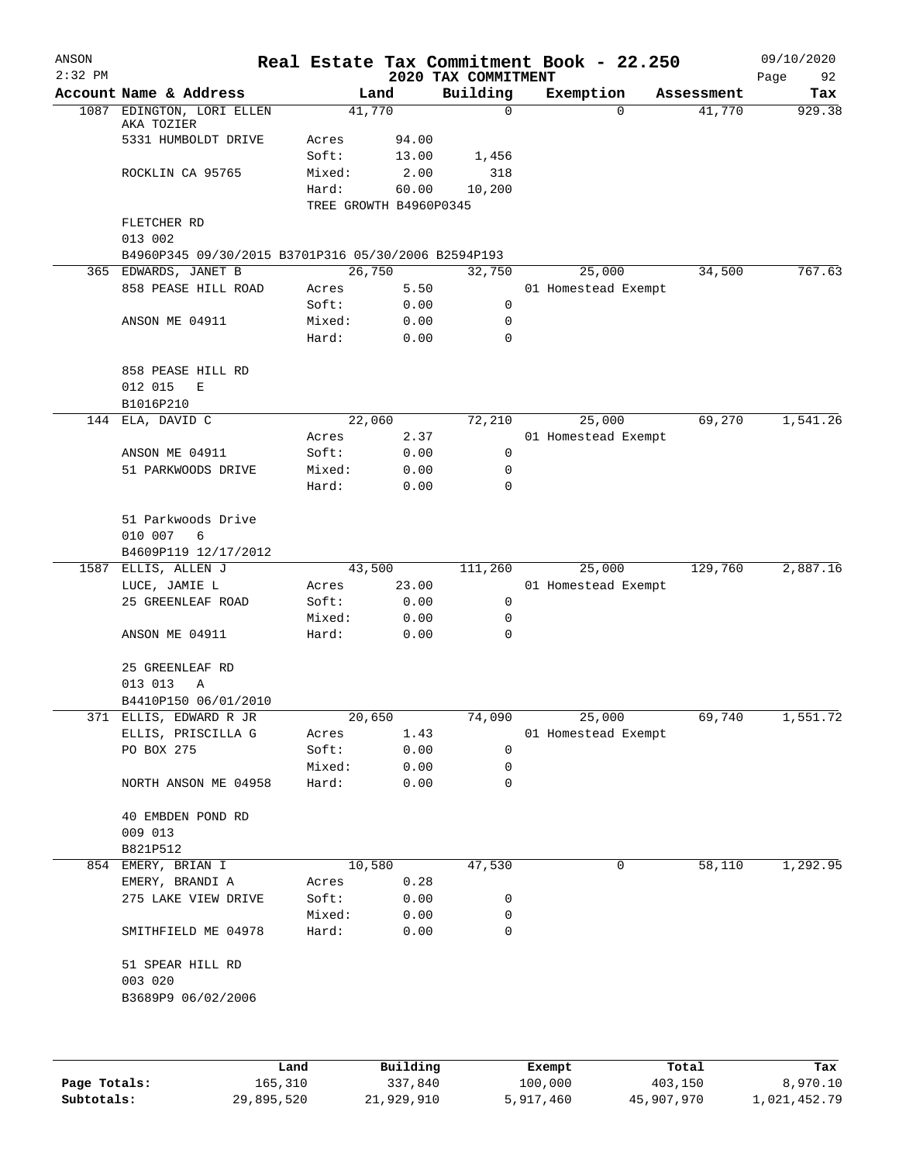| ANSON<br>$2:32$ PM |                                                     |                |                                 |                                 | Real Estate Tax Commitment Book - 22.250 |            | 09/10/2020        |
|--------------------|-----------------------------------------------------|----------------|---------------------------------|---------------------------------|------------------------------------------|------------|-------------------|
|                    | Account Name & Address                              |                | Land                            | 2020 TAX COMMITMENT<br>Building | Exemption                                | Assessment | Page<br>92<br>Tax |
| 1087               | EDINGTON, LORI ELLEN                                |                | 41,770                          | 0                               | $\mathbf 0$                              | 41,770     | 929.38            |
|                    | AKA TOZIER                                          |                |                                 |                                 |                                          |            |                   |
|                    | 5331 HUMBOLDT DRIVE                                 | Acres          | 94.00                           |                                 |                                          |            |                   |
|                    |                                                     | Soft:          | 13.00                           | 1,456                           |                                          |            |                   |
|                    | ROCKLIN CA 95765                                    | Mixed:         | 2.00                            | 318                             |                                          |            |                   |
|                    |                                                     | Hard:          | 60.00<br>TREE GROWTH B4960P0345 | 10,200                          |                                          |            |                   |
|                    | FLETCHER RD                                         |                |                                 |                                 |                                          |            |                   |
|                    | 013 002                                             |                |                                 |                                 |                                          |            |                   |
|                    | B4960P345 09/30/2015 B3701P316 05/30/2006 B2594P193 |                |                                 |                                 |                                          |            |                   |
|                    | 365 EDWARDS, JANET B                                |                | 26,750                          | 32,750                          | 25,000                                   | 34,500     | 767.63            |
|                    | 858 PEASE HILL ROAD                                 | Acres          | 5.50                            |                                 | 01 Homestead Exempt                      |            |                   |
|                    |                                                     | Soft:          | 0.00                            | 0                               |                                          |            |                   |
|                    | ANSON ME 04911                                      | Mixed:         | 0.00                            | 0                               |                                          |            |                   |
|                    |                                                     | Hard:          | 0.00                            | $\mathbf 0$                     |                                          |            |                   |
|                    | 858 PEASE HILL RD                                   |                |                                 |                                 |                                          |            |                   |
|                    | 012 015<br>E                                        |                |                                 |                                 |                                          |            |                   |
|                    | B1016P210                                           |                |                                 |                                 |                                          |            |                   |
| 144                | ELA, DAVID C                                        |                | 22,060                          | 72,210                          | 25,000                                   | 69,270     | 1,541.26          |
|                    |                                                     | Acres          | 2.37                            |                                 | 01 Homestead Exempt                      |            |                   |
|                    | ANSON ME 04911                                      | Soft:          | 0.00                            | 0                               |                                          |            |                   |
|                    | 51 PARKWOODS DRIVE                                  | Mixed:         | 0.00                            | 0                               |                                          |            |                   |
|                    |                                                     | Hard:          | 0.00                            | $\mathbf 0$                     |                                          |            |                   |
|                    | 51 Parkwoods Drive                                  |                |                                 |                                 |                                          |            |                   |
|                    | 010 007<br>6                                        |                |                                 |                                 |                                          |            |                   |
|                    | B4609P119 12/17/2012                                |                |                                 |                                 |                                          |            |                   |
| 1587               | ELLIS, ALLEN J                                      |                | 43,500                          | 111,260                         | 25,000                                   | 129,760    | 2,887.16          |
|                    | LUCE, JAMIE L                                       | Acres          | 23.00                           |                                 | 01 Homestead Exempt                      |            |                   |
|                    | 25 GREENLEAF ROAD                                   | Soft:          | 0.00                            | 0                               |                                          |            |                   |
|                    |                                                     | Mixed:         | 0.00                            | 0                               |                                          |            |                   |
|                    | ANSON ME 04911                                      | Hard:          | 0.00                            | 0                               |                                          |            |                   |
|                    | 25 GREENLEAF RD                                     |                |                                 |                                 |                                          |            |                   |
|                    | 013 013<br>Α                                        |                |                                 |                                 |                                          |            |                   |
|                    | B4410P150 06/01/2010                                |                |                                 |                                 |                                          |            |                   |
|                    | 371 ELLIS, EDWARD R JR                              |                | 20,650                          | 74,090                          | 25,000                                   | 69,740     | 1,551.72          |
|                    | ELLIS, PRISCILLA G                                  | Acres          | 1.43                            |                                 | 01 Homestead Exempt                      |            |                   |
|                    | PO BOX 275                                          | Soft:          | 0.00                            | 0                               |                                          |            |                   |
|                    |                                                     | Mixed:         | 0.00                            | 0                               |                                          |            |                   |
|                    | NORTH ANSON ME 04958                                | Hard:          | 0.00                            | 0                               |                                          |            |                   |
|                    | 40 EMBDEN POND RD                                   |                |                                 |                                 |                                          |            |                   |
|                    | 009 013                                             |                |                                 |                                 |                                          |            |                   |
|                    | B821P512                                            |                |                                 |                                 |                                          |            |                   |
|                    | 854 EMERY, BRIAN I                                  |                | 10,580                          | 47,530                          | 0                                        | 58,110     | 1,292.95          |
|                    | EMERY, BRANDI A<br>275 LAKE VIEW DRIVE              | Acres<br>Soft: | 0.28                            |                                 |                                          |            |                   |
|                    |                                                     | Mixed:         | 0.00<br>0.00                    | 0<br>0                          |                                          |            |                   |
|                    | SMITHFIELD ME 04978                                 | Hard:          | 0.00                            | 0                               |                                          |            |                   |
|                    | 51 SPEAR HILL RD                                    |                |                                 |                                 |                                          |            |                   |
|                    | 003 020                                             |                |                                 |                                 |                                          |            |                   |
|                    | B3689P9 06/02/2006                                  |                |                                 |                                 |                                          |            |                   |
|                    |                                                     |                |                                 |                                 |                                          |            |                   |
|                    |                                                     |                |                                 |                                 |                                          |            |                   |
|                    | Land                                                |                | Building                        |                                 | Exempt                                   | Total      | Tax               |
| Page Totals:       | 165,310                                             |                | 337,840                         |                                 | 100,000                                  | 403,150    | 8,970.10          |

**Subtotals:** 29,895,520 21,929,910 5,917,460 45,907,970 1,021,452.79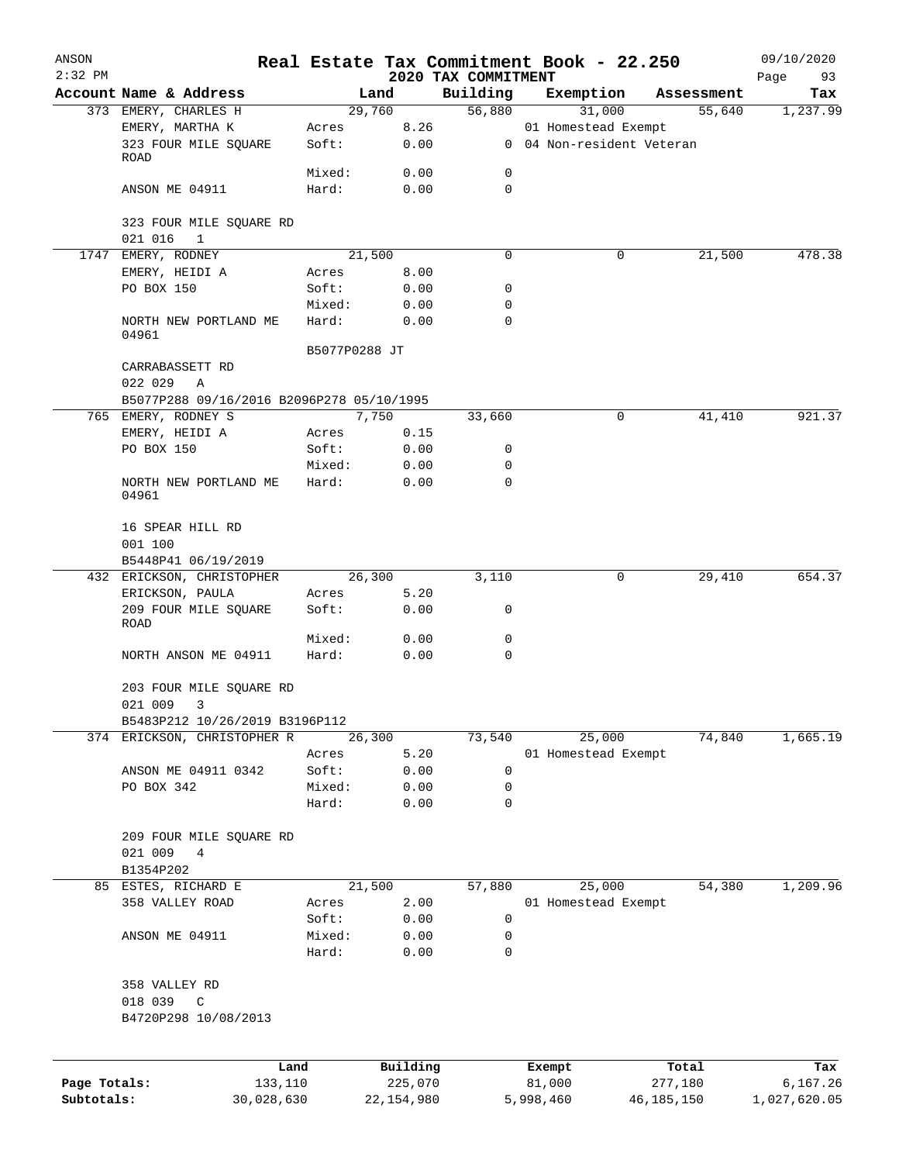| ANSON        |                                                    |                 |              |                                 | Real Estate Tax Commitment Book - 22.250 |                      | 09/10/2020      |
|--------------|----------------------------------------------------|-----------------|--------------|---------------------------------|------------------------------------------|----------------------|-----------------|
| $2:32$ PM    | Account Name & Address                             |                 | Land         | 2020 TAX COMMITMENT<br>Building |                                          |                      | Page<br>93      |
|              | 373 EMERY, CHARLES H                               |                 | 29,760       | 56,880                          | Exemption<br>31,000                      | Assessment<br>55,640 | Tax<br>1,237.99 |
|              | EMERY, MARTHA K                                    | Acres           | 8.26         |                                 | 01 Homestead Exempt                      |                      |                 |
|              | 323 FOUR MILE SQUARE<br>ROAD                       | Soft:           | 0.00         |                                 | 0 04 Non-resident Veteran                |                      |                 |
|              |                                                    | Mixed:          | 0.00         | 0                               |                                          |                      |                 |
|              | ANSON ME 04911                                     | Hard:           | 0.00         | 0                               |                                          |                      |                 |
|              | 323 FOUR MILE SQUARE RD<br>021 016<br>$\mathbf{1}$ |                 |              |                                 |                                          |                      |                 |
|              | 1747 EMERY, RODNEY                                 |                 | 21,500       | 0                               | $\mathbf 0$                              | 21,500               | 478.38          |
|              | EMERY, HEIDI A                                     | Acres           | 8.00         |                                 |                                          |                      |                 |
|              | PO BOX 150                                         | Soft:           | 0.00         | 0                               |                                          |                      |                 |
|              |                                                    | Mixed:          | 0.00         | 0                               |                                          |                      |                 |
|              | NORTH NEW PORTLAND ME<br>04961                     | Hard:           | 0.00         | 0                               |                                          |                      |                 |
|              |                                                    | B5077P0288 JT   |              |                                 |                                          |                      |                 |
|              | CARRABASSETT RD<br>022 029<br>A                    |                 |              |                                 |                                          |                      |                 |
|              | B5077P288 09/16/2016 B2096P278 05/10/1995          |                 |              |                                 |                                          |                      |                 |
|              | 765 EMERY, RODNEY S                                |                 | 7,750        | 33,660                          | 0                                        | 41,410               | 921.37          |
|              | EMERY, HEIDI A                                     | Acres           | 0.15         |                                 |                                          |                      |                 |
|              | PO BOX 150                                         | Soft:           | 0.00         | 0                               |                                          |                      |                 |
|              |                                                    | Mixed:          | 0.00         | 0                               |                                          |                      |                 |
|              | NORTH NEW PORTLAND ME<br>04961                     | Hard:           | 0.00         | $\mathbf 0$                     |                                          |                      |                 |
|              | 16 SPEAR HILL RD                                   |                 |              |                                 |                                          |                      |                 |
|              | 001 100                                            |                 |              |                                 |                                          |                      |                 |
|              | B5448P41 06/19/2019                                |                 |              |                                 |                                          |                      |                 |
|              | 432 ERICKSON, CHRISTOPHER                          |                 | 26,300       | 3,110                           | 0                                        | 29,410               | 654.37          |
|              | ERICKSON, PAULA                                    | Acres           | 5.20         |                                 |                                          |                      |                 |
|              | 209 FOUR MILE SQUARE<br>ROAD                       | Soft:           | 0.00         | 0                               |                                          |                      |                 |
|              |                                                    | Mixed:          | 0.00         | 0                               |                                          |                      |                 |
|              | NORTH ANSON ME 04911                               | Hard:           | 0.00         | $\mathbf 0$                     |                                          |                      |                 |
|              | 203 FOUR MILE SQUARE RD<br>021 009<br>3            |                 |              |                                 |                                          |                      |                 |
|              | B5483P212 10/26/2019 B3196P112                     |                 |              |                                 |                                          |                      |                 |
|              | 374 ERICKSON, CHRISTOPHER R                        |                 | 26,300       | 73,540                          | 25,000                                   | 74,840               | 1,665.19        |
|              |                                                    | Acres           | 5.20         |                                 | 01 Homestead Exempt                      |                      |                 |
|              | ANSON ME 04911 0342                                | Soft:           | 0.00         | 0                               |                                          |                      |                 |
|              | PO BOX 342                                         | Mixed:          | 0.00         | 0                               |                                          |                      |                 |
|              |                                                    | Hard:           | 0.00         | 0                               |                                          |                      |                 |
|              | 209 FOUR MILE SQUARE RD                            |                 |              |                                 |                                          |                      |                 |
|              | 021 009<br>4                                       |                 |              |                                 |                                          |                      |                 |
|              | B1354P202                                          |                 |              |                                 |                                          |                      |                 |
|              | 85 ESTES, RICHARD E                                |                 | 21,500       | 57,880                          | 25,000                                   | 54,380               | 1,209.96        |
|              | 358 VALLEY ROAD                                    | Acres           | 2.00         |                                 | 01 Homestead Exempt                      |                      |                 |
|              |                                                    | Soft:           | 0.00         | 0                               |                                          |                      |                 |
|              | ANSON ME 04911                                     | Mixed:<br>Hard: | 0.00<br>0.00 | 0<br>0                          |                                          |                      |                 |
|              | 358 VALLEY RD                                      |                 |              |                                 |                                          |                      |                 |
|              | 018 039<br>C                                       |                 |              |                                 |                                          |                      |                 |
|              | B4720P298 10/08/2013                               |                 |              |                                 |                                          |                      |                 |
|              | Land                                               |                 | Building     |                                 | Exempt                                   | Total                | Tax             |
| Page Totals: | 133,110                                            |                 | 225,070      |                                 | 81,000                                   | 277,180              | 6,167.26        |
| Subtotals:   | 30,028,630                                         |                 | 22, 154, 980 |                                 | 5,998,460                                | 46, 185, 150         | 1,027,620.05    |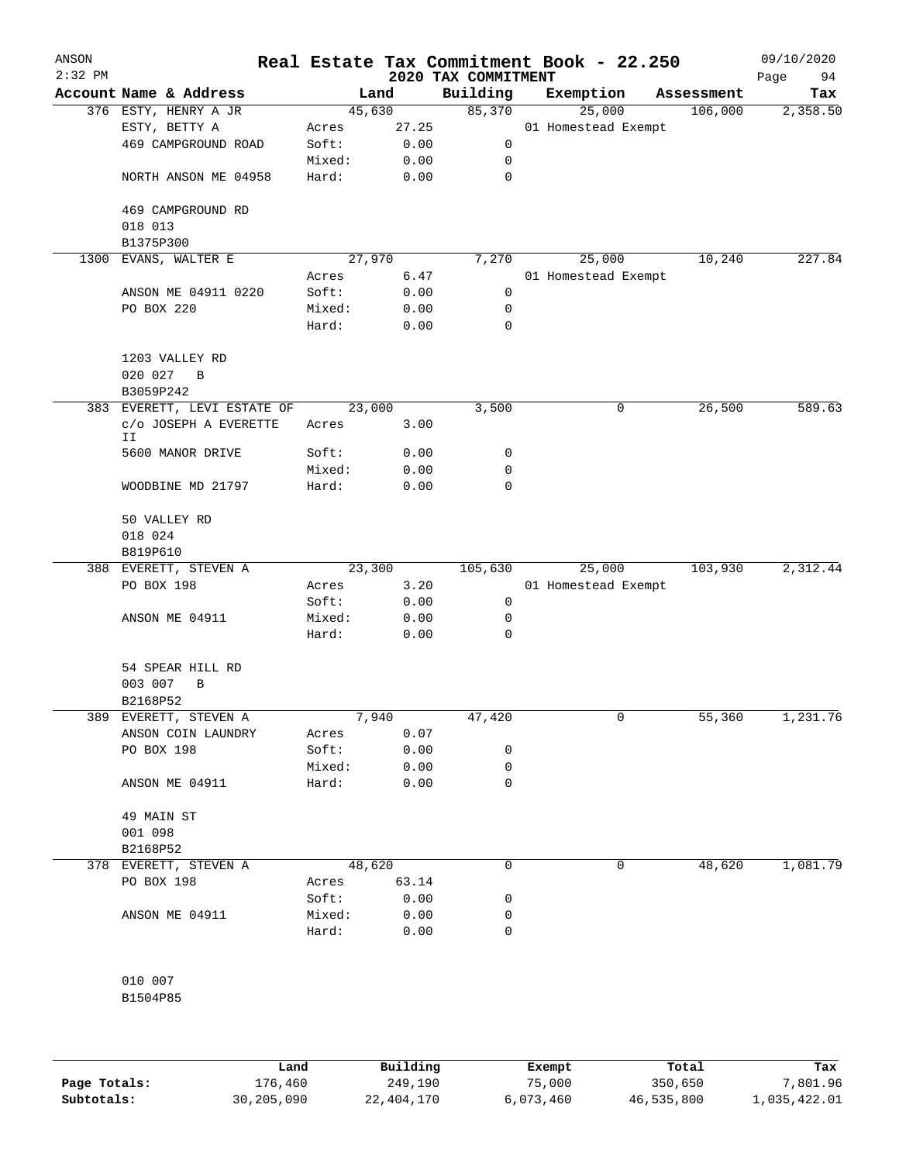| ANSON<br>$2:32$ PM |                              |        |        | Real Estate Tax Commitment Book - 22.250<br>2020 TAX COMMITMENT |                     |            | 09/10/2020<br>94<br>Page |
|--------------------|------------------------------|--------|--------|-----------------------------------------------------------------|---------------------|------------|--------------------------|
|                    | Account Name & Address       |        | Land   | Building                                                        | Exemption           | Assessment | Tax                      |
|                    | 376 ESTY, HENRY A JR         | 45,630 |        | 85,370                                                          | 25,000              | 106,000    | 2,358.50                 |
|                    | ESTY, BETTY A                | Acres  | 27.25  |                                                                 | 01 Homestead Exempt |            |                          |
|                    | 469 CAMPGROUND ROAD          | Soft:  | 0.00   | 0                                                               |                     |            |                          |
|                    |                              | Mixed: | 0.00   | 0                                                               |                     |            |                          |
|                    | NORTH ANSON ME 04958         | Hard:  | 0.00   | 0                                                               |                     |            |                          |
|                    | 469 CAMPGROUND RD            |        |        |                                                                 |                     |            |                          |
|                    | 018 013                      |        |        |                                                                 |                     |            |                          |
| 1300               | B1375P300<br>EVANS, WALTER E |        | 27,970 | 7,270                                                           | 25,000              | 10,240     | 227.84                   |
|                    |                              | Acres  | 6.47   |                                                                 | 01 Homestead Exempt |            |                          |
|                    | ANSON ME 04911 0220          | Soft:  | 0.00   | 0                                                               |                     |            |                          |
|                    | PO BOX 220                   | Mixed: | 0.00   | 0                                                               |                     |            |                          |
|                    |                              | Hard:  | 0.00   | 0                                                               |                     |            |                          |
|                    | 1203 VALLEY RD               |        |        |                                                                 |                     |            |                          |
|                    | 020 027<br>B                 |        |        |                                                                 |                     |            |                          |
|                    | B3059P242                    |        |        |                                                                 |                     |            |                          |
|                    | 383 EVERETT, LEVI ESTATE OF  |        | 23,000 | 3,500                                                           | 0                   | 26,500     | 589.63                   |
|                    | C/O JOSEPH A EVERETTE        | Acres  | 3.00   |                                                                 |                     |            |                          |
|                    | ΙI                           |        |        |                                                                 |                     |            |                          |
|                    | 5600 MANOR DRIVE             | Soft:  | 0.00   | 0                                                               |                     |            |                          |
|                    |                              | Mixed: | 0.00   | 0                                                               |                     |            |                          |
|                    | WOODBINE MD 21797            | Hard:  | 0.00   | 0                                                               |                     |            |                          |
|                    | 50 VALLEY RD                 |        |        |                                                                 |                     |            |                          |
|                    | 018 024                      |        |        |                                                                 |                     |            |                          |
|                    | B819P610                     |        |        |                                                                 |                     |            |                          |
|                    | 388 EVERETT, STEVEN A        |        | 23,300 | 105,630                                                         | 25,000              | 103,930    | 2,312.44                 |
|                    | PO BOX 198                   | Acres  | 3.20   |                                                                 | 01 Homestead Exempt |            |                          |
|                    |                              | Soft:  | 0.00   | 0                                                               |                     |            |                          |
|                    | ANSON ME 04911               | Mixed: | 0.00   | 0                                                               |                     |            |                          |
|                    |                              | Hard:  | 0.00   | 0                                                               |                     |            |                          |
|                    | 54 SPEAR HILL RD             |        |        |                                                                 |                     |            |                          |
|                    | 003 007<br>B                 |        |        |                                                                 |                     |            |                          |
|                    | B2168P52                     |        |        |                                                                 |                     |            |                          |
|                    | 389 EVERETT, STEVEN A        |        | 7,940  | 47,420                                                          | 0                   | 55,360     | 1,231.76                 |
|                    | ANSON COIN LAUNDRY           | Acres  | 0.07   |                                                                 |                     |            |                          |
|                    | PO BOX 198                   | Soft:  | 0.00   | 0                                                               |                     |            |                          |
|                    |                              | Mixed: | 0.00   | 0                                                               |                     |            |                          |
|                    | ANSON ME 04911               | Hard:  | 0.00   | 0                                                               |                     |            |                          |
|                    | 49 MAIN ST                   |        |        |                                                                 |                     |            |                          |
|                    | 001 098                      |        |        |                                                                 |                     |            |                          |
|                    | B2168P52                     |        |        |                                                                 |                     |            |                          |
|                    | 378 EVERETT, STEVEN A        |        | 48,620 | 0                                                               | 0                   | 48,620     | 1,081.79                 |
|                    | PO BOX 198                   | Acres  | 63.14  |                                                                 |                     |            |                          |
|                    |                              | Soft:  | 0.00   | 0                                                               |                     |            |                          |
|                    | ANSON ME 04911               | Mixed: | 0.00   | 0                                                               |                     |            |                          |
|                    |                              | Hard:  | 0.00   | 0                                                               |                     |            |                          |
|                    |                              |        |        |                                                                 |                     |            |                          |
|                    | 010 007                      |        |        |                                                                 |                     |            |                          |
|                    | B1504P85                     |        |        |                                                                 |                     |            |                          |
|                    |                              |        |        |                                                                 |                     |            |                          |
|                    |                              |        |        |                                                                 |                     |            |                          |

|              | Land       | Building   | Exempt    | Total      | Tax          |
|--------------|------------|------------|-----------|------------|--------------|
| Page Totals: | 176,460    | 249,190    | 75,000    | 350,650    | 7,801.96     |
| Subtotals:   | 30,205,090 | 22,404,170 | 6,073,460 | 46,535,800 | 1,035,422.01 |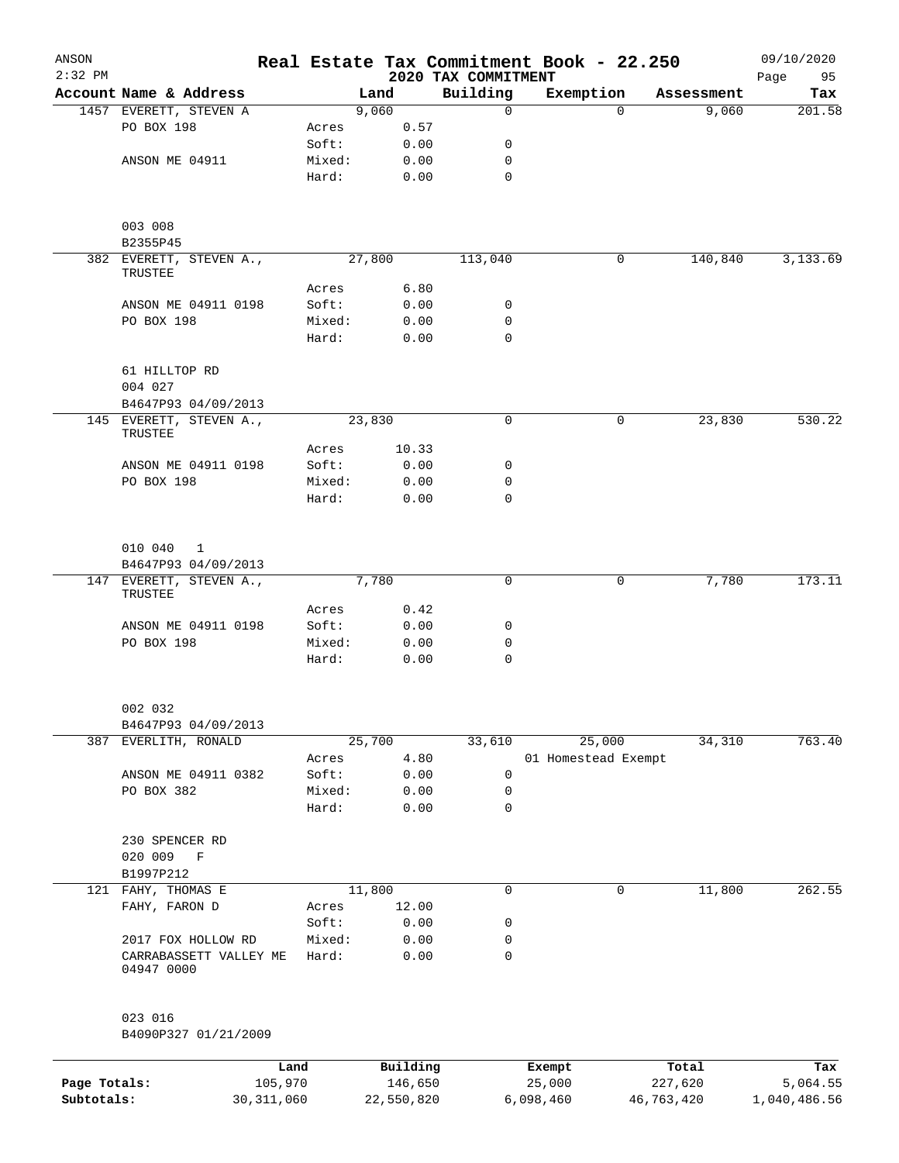| ANSON<br>$2:32$ PM |                                          |                 |        |                     | 2020 TAX COMMITMENT        | Real Estate Tax Commitment Book - 22.250 |          |                  | 09/10/2020<br>95 |
|--------------------|------------------------------------------|-----------------|--------|---------------------|----------------------------|------------------------------------------|----------|------------------|------------------|
|                    | Account Name & Address                   |                 | Land   |                     | Building                   | Exemption                                |          | Assessment       | Page<br>Tax      |
|                    | 1457 EVERETT, STEVEN A                   |                 | 9,060  |                     | $\mathbf 0$                |                                          | $\Omega$ | 9,060            | 201.58           |
|                    | PO BOX 198                               | Acres           |        | 0.57                |                            |                                          |          |                  |                  |
|                    |                                          | Soft:           |        | 0.00                | 0                          |                                          |          |                  |                  |
|                    | ANSON ME 04911                           | Mixed:          |        | 0.00                | 0                          |                                          |          |                  |                  |
|                    |                                          | Hard:           |        | 0.00                | 0                          |                                          |          |                  |                  |
|                    | 003 008<br>B2355P45                      |                 |        |                     |                            |                                          |          |                  |                  |
|                    | 382 EVERETT, STEVEN A.,<br>TRUSTEE       |                 | 27,800 |                     | 113,040                    |                                          | 0        | 140,840          | 3,133.69         |
|                    |                                          | Acres           |        | 6.80                |                            |                                          |          |                  |                  |
|                    | ANSON ME 04911 0198                      | Soft:           |        | 0.00                | 0                          |                                          |          |                  |                  |
|                    | PO BOX 198                               | Mixed:<br>Hard: |        | 0.00<br>0.00        | $\mathbf 0$<br>$\mathbf 0$ |                                          |          |                  |                  |
|                    | 61 HILLTOP RD<br>004 027                 |                 |        |                     |                            |                                          |          |                  |                  |
|                    | B4647P93 04/09/2013                      |                 |        |                     |                            |                                          |          |                  |                  |
|                    | 145 EVERETT, STEVEN A.,<br>TRUSTEE       |                 | 23,830 |                     | 0                          |                                          | 0        | 23,830           | 530.22           |
|                    |                                          | Acres           |        | 10.33               |                            |                                          |          |                  |                  |
|                    | ANSON ME 04911 0198                      | Soft:           |        | 0.00                | 0                          |                                          |          |                  |                  |
|                    | PO BOX 198                               | Mixed:          |        | 0.00                | $\mathbf 0$                |                                          |          |                  |                  |
|                    |                                          | Hard:           |        | 0.00                | $\Omega$                   |                                          |          |                  |                  |
|                    | 010 040<br>1                             |                 |        |                     |                            |                                          |          |                  |                  |
|                    | B4647P93 04/09/2013                      |                 |        |                     |                            |                                          |          |                  |                  |
|                    | 147 EVERETT, STEVEN A.,                  |                 | 7,780  |                     | $\mathsf{O}$               |                                          | 0        | 7,780            | 173.11           |
|                    | TRUSTEE                                  | Acres           |        | 0.42                |                            |                                          |          |                  |                  |
|                    | ANSON ME 04911 0198                      | Soft:           |        | 0.00                | 0                          |                                          |          |                  |                  |
|                    | PO BOX 198                               | Mixed:          |        | 0.00                | 0                          |                                          |          |                  |                  |
|                    |                                          | Hard:           |        | 0.00                | $\mathsf{O}$               |                                          |          |                  |                  |
|                    | 002 032<br>B4647P93 04/09/2013           |                 |        |                     |                            |                                          |          |                  |                  |
| 387                | EVERLITH, RONALD                         |                 | 25,700 |                     | 33,610                     | 25,000                                   |          | 34,310           | 763.40           |
|                    |                                          | Acres           |        | 4.80                |                            | 01 Homestead Exempt                      |          |                  |                  |
|                    | ANSON ME 04911 0382                      | Soft:           |        | 0.00                | 0                          |                                          |          |                  |                  |
|                    | PO BOX 382                               | Mixed:          |        | 0.00                | 0                          |                                          |          |                  |                  |
|                    |                                          | Hard:           |        | 0.00                | 0                          |                                          |          |                  |                  |
|                    | 230 SPENCER RD<br>020 009<br>$\mathbf F$ |                 |        |                     |                            |                                          |          |                  |                  |
|                    | B1997P212                                |                 |        |                     |                            |                                          |          |                  |                  |
|                    | 121 FAHY, THOMAS E                       |                 | 11,800 |                     | 0                          |                                          | 0        | 11,800           | 262.55           |
|                    | FAHY, FARON D                            | Acres           |        | 12.00               |                            |                                          |          |                  |                  |
|                    |                                          | Soft:           |        | 0.00                | 0                          |                                          |          |                  |                  |
|                    | 2017 FOX HOLLOW RD                       | Mixed:          |        | 0.00                | 0                          |                                          |          |                  |                  |
|                    | CARRABASSETT VALLEY ME<br>04947 0000     | Hard:           |        | 0.00                | 0                          |                                          |          |                  |                  |
|                    | 023 016                                  |                 |        |                     |                            |                                          |          |                  |                  |
|                    | B4090P327 01/21/2009                     |                 |        |                     |                            |                                          |          |                  |                  |
| Page Totals:       | 105,970                                  | Land            |        | Building<br>146,650 |                            | Exempt<br>25,000                         |          | Total<br>227,620 | Tax<br>5,064.55  |

**Subtotals:** 30,311,060 22,550,820 6,098,460 46,763,420 1,040,486.56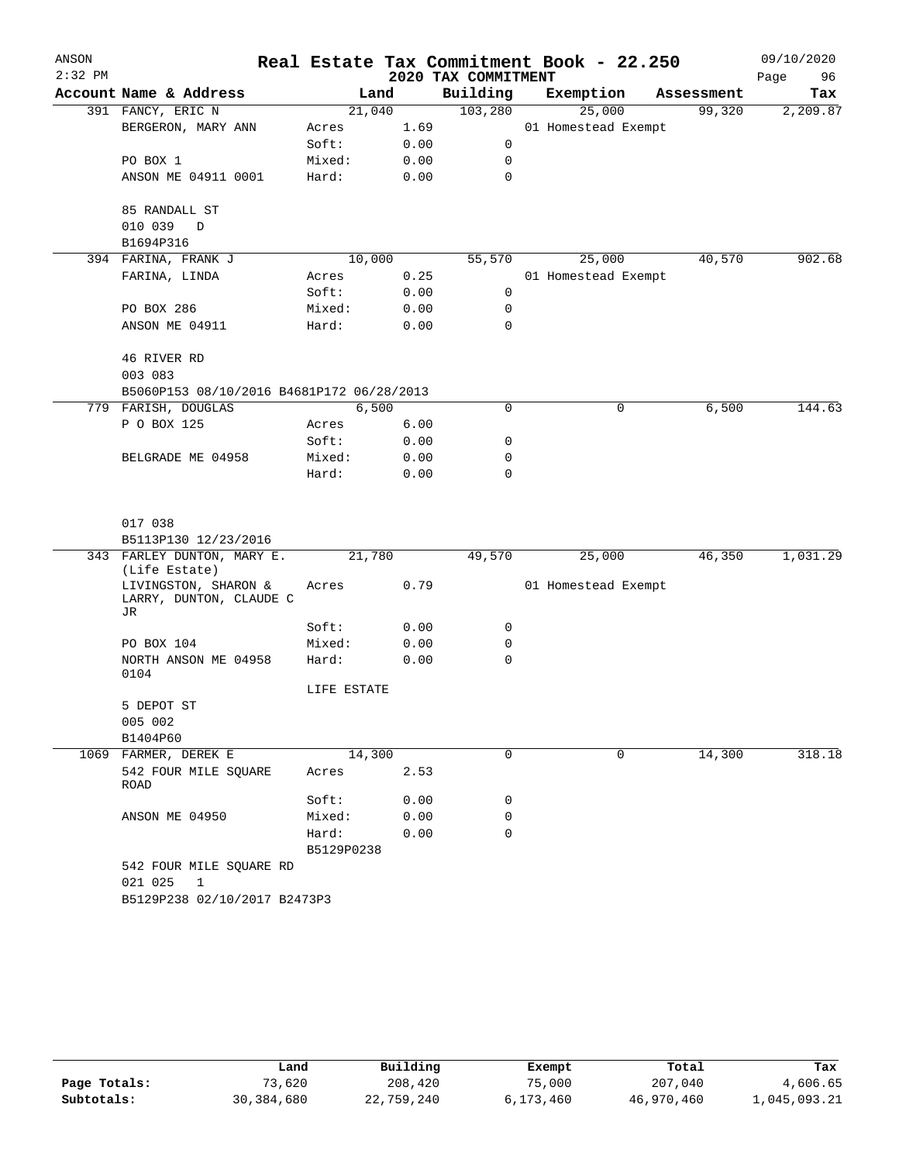| ANSON     |                                                         |             |      |                     | Real Estate Tax Commitment Book - 22.250 |            | 09/10/2020 |
|-----------|---------------------------------------------------------|-------------|------|---------------------|------------------------------------------|------------|------------|
| $2:32$ PM |                                                         |             |      | 2020 TAX COMMITMENT |                                          |            | Page<br>96 |
|           | Account Name & Address                                  |             | Land | Building            | Exemption                                | Assessment | Tax        |
|           | 391 FANCY, ERIC N                                       | 21,040      |      | 103,280             | 25,000                                   | 99,320     | 2,209.87   |
|           | BERGERON, MARY ANN                                      | Acres       | 1.69 |                     | 01 Homestead Exempt                      |            |            |
|           |                                                         | Soft:       | 0.00 | $\mathbf 0$         |                                          |            |            |
|           | PO BOX 1                                                | Mixed:      | 0.00 | 0                   |                                          |            |            |
|           | ANSON ME 04911 0001                                     | Hard:       | 0.00 | 0                   |                                          |            |            |
|           | 85 RANDALL ST                                           |             |      |                     |                                          |            |            |
|           | 010 039 D                                               |             |      |                     |                                          |            |            |
|           | B1694P316                                               |             |      |                     |                                          |            |            |
|           | 394 FARINA, FRANK J                                     | 10,000      |      | 55,570              | 25,000                                   | 40,570     | 902.68     |
|           | FARINA, LINDA                                           | Acres       | 0.25 |                     | 01 Homestead Exempt                      |            |            |
|           |                                                         | Soft:       | 0.00 | 0                   |                                          |            |            |
|           | PO BOX 286                                              | Mixed:      | 0.00 | 0                   |                                          |            |            |
|           | ANSON ME 04911                                          | Hard:       | 0.00 | 0                   |                                          |            |            |
|           | 46 RIVER RD                                             |             |      |                     |                                          |            |            |
|           | 003 083                                                 |             |      |                     |                                          |            |            |
|           | B5060P153 08/10/2016 B4681P172 06/28/2013               |             |      |                     |                                          |            |            |
|           | 779 FARISH, DOUGLAS                                     | 6,500       |      | 0                   | 0                                        | 6,500      | 144.63     |
|           | P O BOX 125                                             | Acres       | 6.00 |                     |                                          |            |            |
|           |                                                         | Soft:       | 0.00 | 0                   |                                          |            |            |
|           | BELGRADE ME 04958                                       | Mixed:      | 0.00 | 0                   |                                          |            |            |
|           |                                                         | Hard:       | 0.00 | 0                   |                                          |            |            |
|           | 017 038                                                 |             |      |                     |                                          |            |            |
|           | B5113P130 12/23/2016                                    |             |      |                     |                                          |            |            |
|           | 343 FARLEY DUNTON, MARY E.                              | 21,780      |      | 49,570              | 25,000                                   | 46,350     | 1,031.29   |
|           | (Life Estate)                                           |             |      |                     |                                          |            |            |
|           | LIVINGSTON, SHARON &<br>LARRY, DUNTON, CLAUDE C<br>JR   | Acres       | 0.79 |                     | 01 Homestead Exempt                      |            |            |
|           |                                                         | Soft:       | 0.00 | 0                   |                                          |            |            |
|           | PO BOX 104                                              | Mixed:      | 0.00 | 0                   |                                          |            |            |
|           | NORTH ANSON ME 04958<br>0104                            | Hard:       | 0.00 | 0                   |                                          |            |            |
|           |                                                         | LIFE ESTATE |      |                     |                                          |            |            |
|           | 5 DEPOT ST                                              |             |      |                     |                                          |            |            |
|           | 005 002                                                 |             |      |                     |                                          |            |            |
|           | B1404P60                                                |             |      |                     |                                          |            |            |
|           | 1069 FARMER, DEREK E                                    | 14,300      |      | 0                   | 0                                        | 14,300     | 318.18     |
|           | 542 FOUR MILE SQUARE<br>ROAD                            | Acres       | 2.53 |                     |                                          |            |            |
|           |                                                         | Soft:       | 0.00 | 0                   |                                          |            |            |
|           | ANSON ME 04950                                          | Mixed:      | 0.00 | 0                   |                                          |            |            |
|           |                                                         | Hard:       | 0.00 | $\Omega$            |                                          |            |            |
|           |                                                         | B5129P0238  |      |                     |                                          |            |            |
|           | 542 FOUR MILE SQUARE RD                                 |             |      |                     |                                          |            |            |
|           | 021 025<br>$\mathbf{1}$<br>B5129P238 02/10/2017 B2473P3 |             |      |                     |                                          |            |            |
|           |                                                         |             |      |                     |                                          |            |            |

|              | Land       | Building   | Exempt    | Total      | Tax          |
|--------------|------------|------------|-----------|------------|--------------|
| Page Totals: | 73,620     | 208,420    | 75,000    | 207,040    | 4,606.65     |
| Subtotals:   | 30,384,680 | 22,759,240 | 6,173,460 | 46,970,460 | 1,045,093.21 |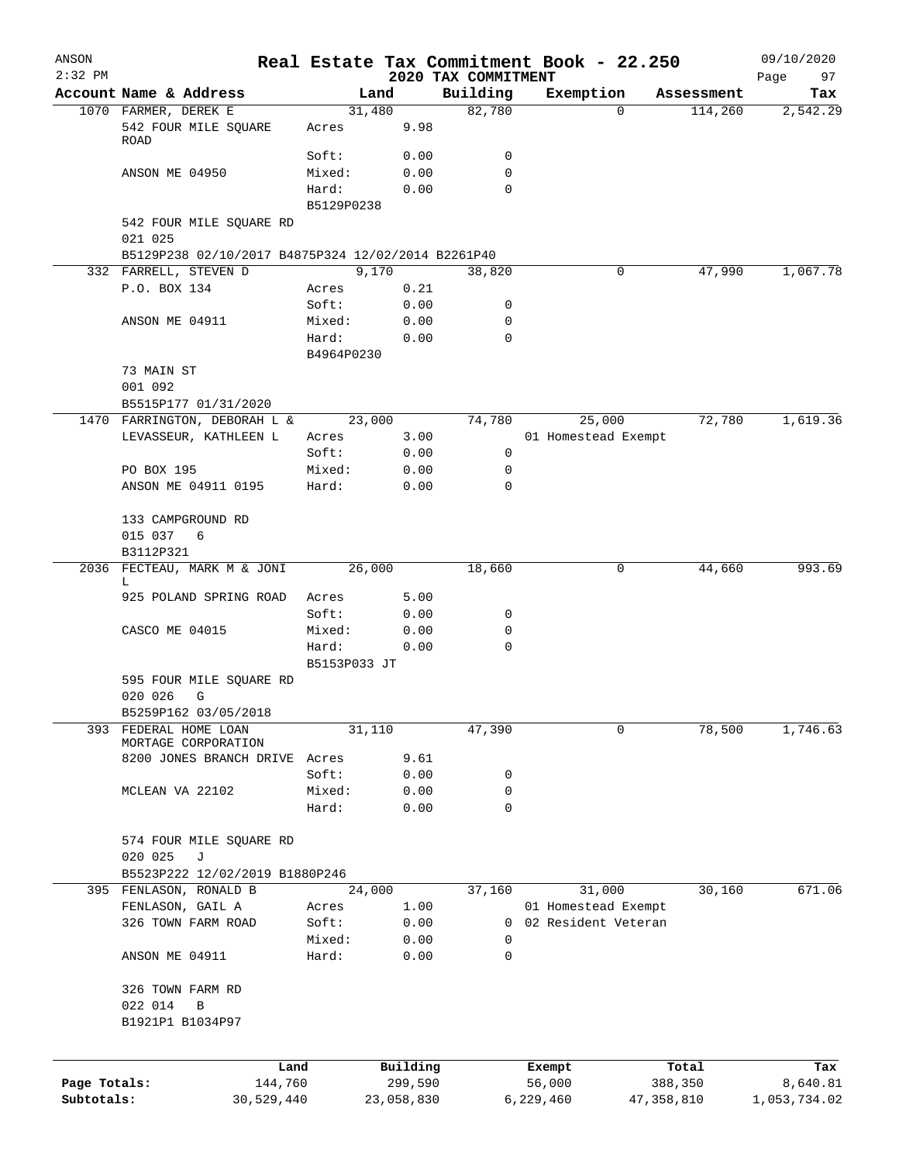| ANSON        |                                                    |                |              |                                 | Real Estate Tax Commitment Book - 22.250 |                     | 09/10/2020        |
|--------------|----------------------------------------------------|----------------|--------------|---------------------------------|------------------------------------------|---------------------|-------------------|
| $2:32$ PM    | Account Name & Address                             |                | Land         | 2020 TAX COMMITMENT<br>Building | Exemption                                | Assessment          | 97<br>Page<br>Tax |
|              | 1070 FARMER, DEREK E                               |                | 31,480       | 82,780                          |                                          | $\Omega$<br>114,260 | 2,542.29          |
|              | 542 FOUR MILE SQUARE<br><b>ROAD</b>                | Acres          | 9.98         |                                 |                                          |                     |                   |
|              |                                                    | Soft:          | 0.00         | 0                               |                                          |                     |                   |
|              | ANSON ME 04950                                     | Mixed:         | 0.00         | 0                               |                                          |                     |                   |
|              |                                                    | Hard:          | 0.00         | 0                               |                                          |                     |                   |
|              |                                                    | B5129P0238     |              |                                 |                                          |                     |                   |
|              | 542 FOUR MILE SQUARE RD<br>021 025                 |                |              |                                 |                                          |                     |                   |
|              | B5129P238 02/10/2017 B4875P324 12/02/2014 B2261P40 |                |              |                                 |                                          |                     |                   |
|              | 332 FARRELL, STEVEN D                              |                | 9,170        | 38,820                          |                                          | 47,990<br>0         | 1,067.78          |
|              | P.O. BOX 134                                       | Acres          | 0.21         |                                 |                                          |                     |                   |
|              |                                                    | Soft:          | 0.00         | 0                               |                                          |                     |                   |
|              | ANSON ME 04911                                     | Mixed:         | 0.00         | 0                               |                                          |                     |                   |
|              |                                                    | Hard:          | 0.00         | 0                               |                                          |                     |                   |
|              |                                                    | B4964P0230     |              |                                 |                                          |                     |                   |
|              | 73 MAIN ST                                         |                |              |                                 |                                          |                     |                   |
|              | 001 092                                            |                |              |                                 |                                          |                     |                   |
|              | B5515P177 01/31/2020                               |                |              |                                 |                                          |                     |                   |
|              | 1470 FARRINGTON, DEBORAH L &                       |                | 23,000       | 74,780                          | 25,000                                   | 72,780              | 1,619.36          |
|              | LEVASSEUR, KATHLEEN L                              | Acres<br>Soft: | 3.00<br>0.00 | 0                               | 01 Homestead Exempt                      |                     |                   |
|              | PO BOX 195                                         | Mixed:         | 0.00         | 0                               |                                          |                     |                   |
|              | ANSON ME 04911 0195                                | Hard:          | 0.00         | 0                               |                                          |                     |                   |
|              |                                                    |                |              |                                 |                                          |                     |                   |
|              | 133 CAMPGROUND RD                                  |                |              |                                 |                                          |                     |                   |
|              | 015 037<br>6                                       |                |              |                                 |                                          |                     |                   |
|              | B3112P321                                          |                |              |                                 |                                          |                     |                   |
| 2036         | FECTEAU, MARK M & JONI<br>L                        |                | 26,000       | 18,660                          |                                          | 0<br>44,660         | 993.69            |
|              | 925 POLAND SPRING ROAD                             | Acres          | 5.00         |                                 |                                          |                     |                   |
|              |                                                    | Soft:          | 0.00         | 0                               |                                          |                     |                   |
|              | CASCO ME 04015                                     | Mixed:         | 0.00         | 0                               |                                          |                     |                   |
|              |                                                    | Hard:          | 0.00         | 0                               |                                          |                     |                   |
|              |                                                    | B5153P033 JT   |              |                                 |                                          |                     |                   |
|              | 595 FOUR MILE SQUARE RD                            |                |              |                                 |                                          |                     |                   |
|              | 020 026<br>G                                       |                |              |                                 |                                          |                     |                   |
| 393          | B5259P162 03/05/2018<br>FEDERAL HOME LOAN          |                |              |                                 |                                          | 0                   | 1,746.63          |
|              | MORTAGE CORPORATION                                | 31,110         |              | 47,390                          |                                          | 78,500              |                   |
|              | 8200 JONES BRANCH DRIVE                            | Acres          | 9.61         |                                 |                                          |                     |                   |
|              |                                                    | Soft:          | 0.00         | 0                               |                                          |                     |                   |
|              | MCLEAN VA 22102                                    | Mixed:         | 0.00         | 0                               |                                          |                     |                   |
|              |                                                    | Hard:          | 0.00         | $\mathbf 0$                     |                                          |                     |                   |
|              | 574 FOUR MILE SQUARE RD                            |                |              |                                 |                                          |                     |                   |
|              | 020 025<br>J                                       |                |              |                                 |                                          |                     |                   |
|              | B5523P222 12/02/2019 B1880P246                     |                |              |                                 |                                          |                     |                   |
|              | 395 FENLASON, RONALD B                             | 24,000         |              | 37,160                          | 31,000                                   | 30,160              | 671.06            |
|              | FENLASON, GAIL A                                   | Acres          | 1.00         |                                 | 01 Homestead Exempt                      |                     |                   |
|              | 326 TOWN FARM ROAD                                 | Soft:          | 0.00         | 0                               | 02 Resident Veteran                      |                     |                   |
|              |                                                    | Mixed:         | 0.00         | $\mathbf 0$                     |                                          |                     |                   |
|              | ANSON ME 04911                                     | Hard:          | 0.00         | 0                               |                                          |                     |                   |
|              | 326 TOWN FARM RD                                   |                |              |                                 |                                          |                     |                   |
|              | 022 014<br>В                                       |                |              |                                 |                                          |                     |                   |
|              | B1921P1 B1034P97                                   |                |              |                                 |                                          |                     |                   |
|              |                                                    |                |              |                                 |                                          |                     |                   |
|              | Land                                               |                | Building     |                                 | Exempt                                   | Total               | Tax               |
| Page Totals: | 144,760                                            |                | 299,590      |                                 | 56,000                                   | 388,350             | 8,640.81          |
| Subtotals:   | 30,529,440                                         |                | 23,058,830   |                                 | 6,229,460                                | 47, 358, 810        | 1,053,734.02      |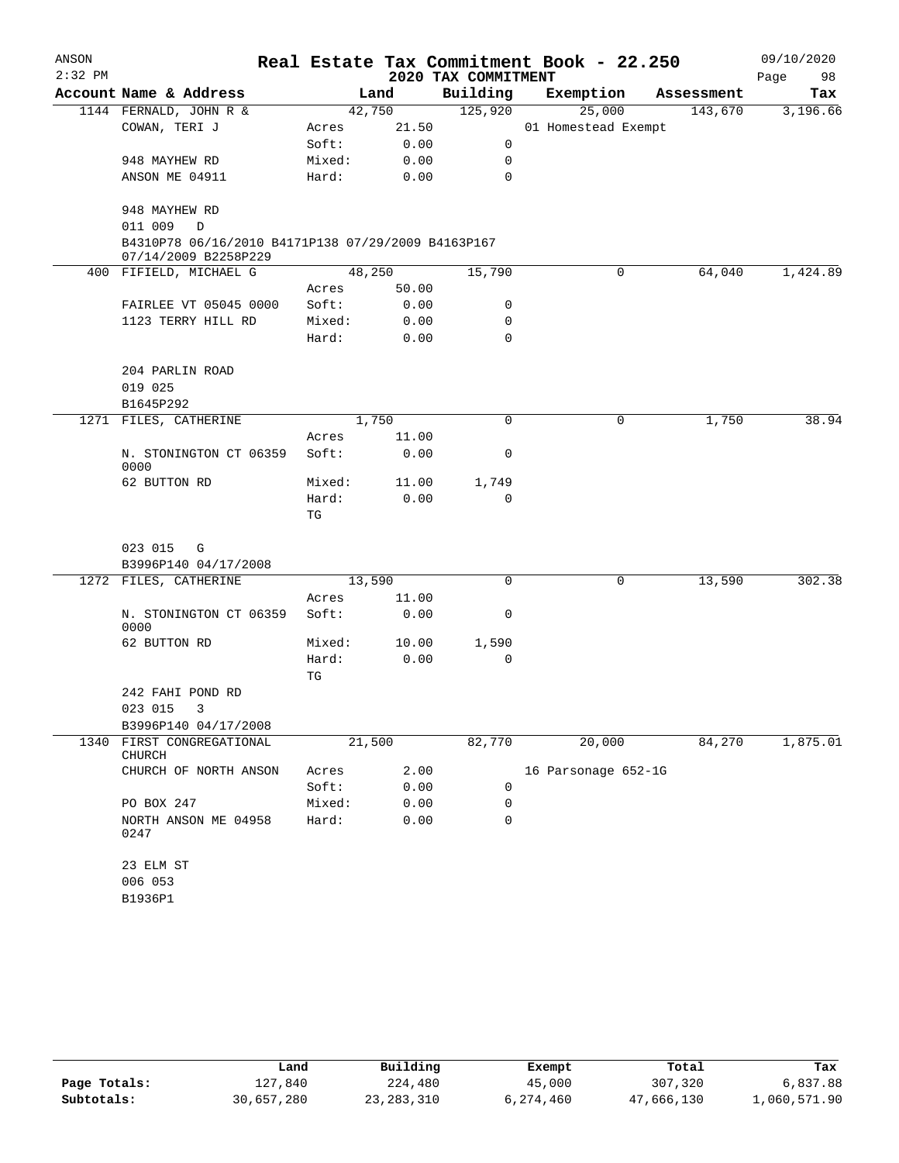| ANSON     |                                                                            |        |        |                     | Real Estate Tax Commitment Book - 22.250 |            | 09/10/2020 |
|-----------|----------------------------------------------------------------------------|--------|--------|---------------------|------------------------------------------|------------|------------|
| $2:32$ PM |                                                                            |        |        | 2020 TAX COMMITMENT |                                          |            | Page<br>98 |
|           | Account Name & Address                                                     |        | Land   | Building            | Exemption                                | Assessment | Tax        |
|           | 1144 FERNALD, JOHN R &                                                     |        | 42,750 | 125,920             | 25,000                                   | 143,670    | 3,196.66   |
|           | COWAN, TERI J                                                              | Acres  | 21.50  |                     | 01 Homestead Exempt                      |            |            |
|           |                                                                            | Soft:  | 0.00   | 0                   |                                          |            |            |
|           | 948 MAYHEW RD                                                              | Mixed: | 0.00   | 0                   |                                          |            |            |
|           | ANSON ME 04911                                                             | Hard:  | 0.00   | 0                   |                                          |            |            |
|           | 948 MAYHEW RD<br>011 009<br>$\mathbb D$                                    |        |        |                     |                                          |            |            |
|           | B4310P78 06/16/2010 B4171P138 07/29/2009 B4163P167<br>07/14/2009 B2258P229 |        |        |                     |                                          |            |            |
|           | 400 FIFIELD, MICHAEL G                                                     | 48,250 |        | 15,790              | 0                                        | 64,040     | 1,424.89   |
|           |                                                                            | Acres  | 50.00  |                     |                                          |            |            |
|           | FAIRLEE VT 05045 0000                                                      | Soft:  | 0.00   | 0                   |                                          |            |            |
|           | 1123 TERRY HILL RD                                                         | Mixed: | 0.00   | $\mathbf 0$         |                                          |            |            |
|           |                                                                            | Hard:  | 0.00   | 0                   |                                          |            |            |
|           | 204 PARLIN ROAD                                                            |        |        |                     |                                          |            |            |
|           | 019 025                                                                    |        |        |                     |                                          |            |            |
|           | B1645P292                                                                  |        |        |                     |                                          |            |            |
|           | 1271 FILES, CATHERINE                                                      |        | 1,750  | 0                   | 0                                        | 1,750      | 38.94      |
|           |                                                                            | Acres  | 11.00  |                     |                                          |            |            |
|           | N. STONINGTON CT 06359<br>0000                                             | Soft:  | 0.00   | 0                   |                                          |            |            |
|           | 62 BUTTON RD                                                               | Mixed: | 11.00  | 1,749               |                                          |            |            |
|           |                                                                            | Hard:  | 0.00   | 0                   |                                          |            |            |
|           |                                                                            | TG     |        |                     |                                          |            |            |
|           | 023 015<br>G                                                               |        |        |                     |                                          |            |            |
|           | B3996P140 04/17/2008                                                       |        |        |                     |                                          |            |            |
|           | 1272 FILES, CATHERINE                                                      | 13,590 |        | 0                   | 0                                        | 13,590     | 302.38     |
|           |                                                                            | Acres  | 11.00  |                     |                                          |            |            |
|           | N. STONINGTON CT 06359<br>0000                                             | Soft:  | 0.00   | 0                   |                                          |            |            |
|           | 62 BUTTON RD                                                               | Mixed: | 10.00  | 1,590               |                                          |            |            |
|           |                                                                            | Hard:  | 0.00   | 0                   |                                          |            |            |
|           |                                                                            | TG     |        |                     |                                          |            |            |
|           | 242 FAHI POND RD<br>023 015 3                                              |        |        |                     |                                          |            |            |
|           | B3996P140 04/17/2008                                                       |        |        |                     |                                          |            |            |
| 1340      | FIRST CONGREGATIONAL                                                       | 21,500 |        | 82,770              | 20,000                                   | 84,270     | 1,875.01   |
|           | CHURCH                                                                     |        |        |                     |                                          |            |            |
|           | CHURCH OF NORTH ANSON                                                      | Acres  | 2.00   |                     | 16 Parsonage 652-1G                      |            |            |
|           |                                                                            | Soft:  | 0.00   | 0                   |                                          |            |            |
|           | PO BOX 247                                                                 | Mixed: | 0.00   | 0                   |                                          |            |            |
|           | NORTH ANSON ME 04958<br>0247                                               | Hard:  | 0.00   | 0                   |                                          |            |            |
|           | 23 ELM ST                                                                  |        |        |                     |                                          |            |            |
|           | 006 053                                                                    |        |        |                     |                                          |            |            |
|           | B1936P1                                                                    |        |        |                     |                                          |            |            |

|              | Land       | Building     | Exempt    | Total      | Tax          |  |
|--------------|------------|--------------|-----------|------------|--------------|--|
| Page Totals: | 127.840    | 224,480      | 45,000    | 307,320    | 6,837.88     |  |
| Subtotals:   | 30,657,280 | 23, 283, 310 | 6,274,460 | 47,666,130 | l,060,571.90 |  |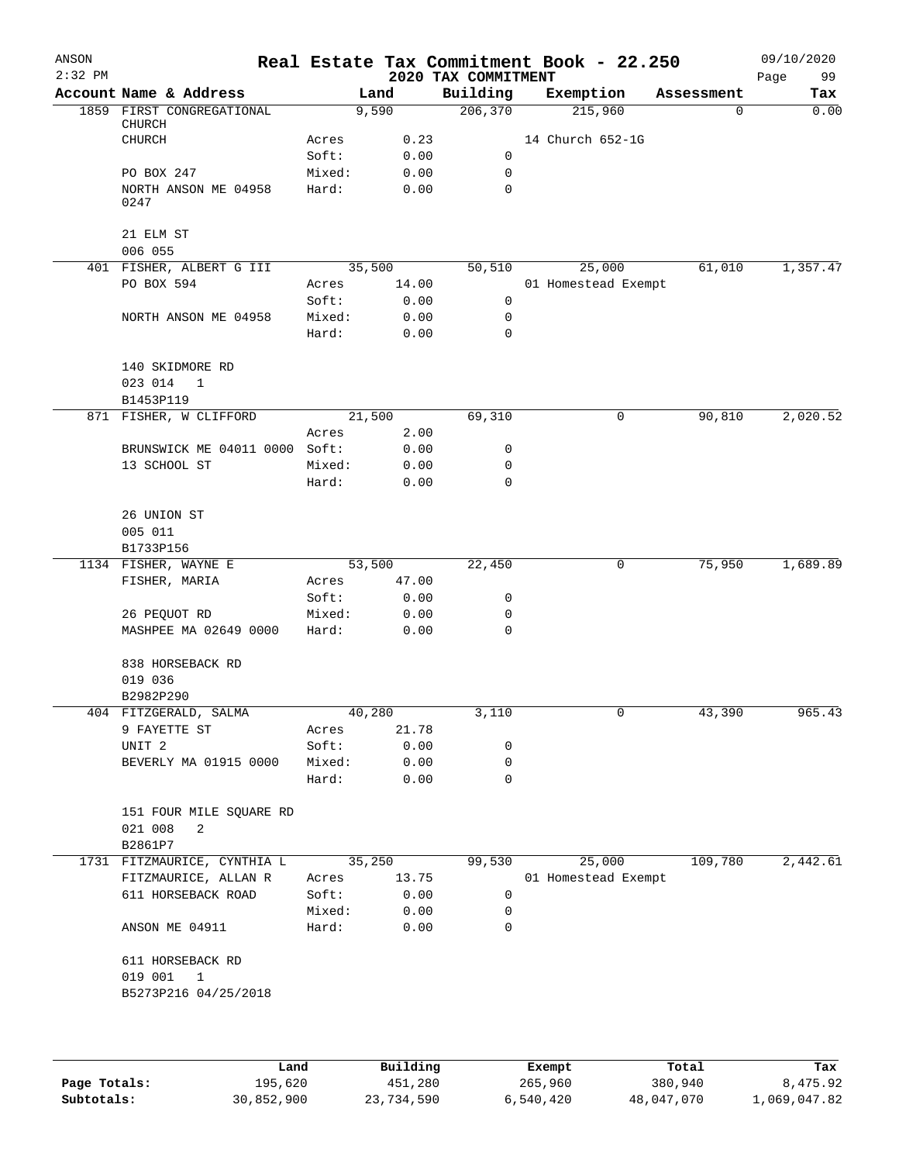| ANSON<br>$2:32$ PM |                                               |                |                 | 2020 TAX COMMITMENT | Real Estate Tax Commitment Book - 22.250 |            | 09/10/2020<br>99<br>Page |
|--------------------|-----------------------------------------------|----------------|-----------------|---------------------|------------------------------------------|------------|--------------------------|
|                    | Account Name & Address                        |                | Land            | Building            | Exemption                                | Assessment | Tax                      |
|                    | 1859 FIRST CONGREGATIONAL<br>CHURCH           |                | 9,590           | 206,370             | 215,960                                  | 0          | 0.00                     |
|                    | <b>CHURCH</b>                                 | Acres          | 0.23            |                     | 14 Church 652-1G                         |            |                          |
|                    |                                               | Soft:          | 0.00            | 0                   |                                          |            |                          |
|                    | PO BOX 247                                    | Mixed:         | 0.00            | 0                   |                                          |            |                          |
|                    | NORTH ANSON ME 04958<br>0247                  | Hard:          | 0.00            | 0                   |                                          |            |                          |
|                    | 21 ELM ST                                     |                |                 |                     |                                          |            |                          |
|                    | 006 055                                       |                |                 |                     |                                          |            |                          |
|                    | 401 FISHER, ALBERT G III<br>PO BOX 594        | Acres          | 35,500<br>14.00 | 50,510              | 25,000<br>01 Homestead Exempt            | 61,010     | 1,357.47                 |
|                    |                                               | Soft:          | 0.00            | 0                   |                                          |            |                          |
|                    | NORTH ANSON ME 04958                          | Mixed:         | 0.00            | 0                   |                                          |            |                          |
|                    |                                               | Hard:          | 0.00            | $\mathbf 0$         |                                          |            |                          |
|                    | 140 SKIDMORE RD                               |                |                 |                     |                                          |            |                          |
|                    | 023 014<br>1                                  |                |                 |                     |                                          |            |                          |
|                    | B1453P119                                     |                |                 |                     |                                          |            |                          |
|                    | 871 FISHER, W CLIFFORD                        |                | 21,500          | 69,310              | 0                                        | 90,810     | 2,020.52                 |
|                    |                                               | Acres          | 2.00            |                     |                                          |            |                          |
|                    | BRUNSWICK ME 04011 0000 Soft:<br>13 SCHOOL ST | Mixed:         | 0.00            | 0<br>0              |                                          |            |                          |
|                    |                                               | Hard:          | 0.00<br>0.00    | 0                   |                                          |            |                          |
|                    | 26 UNION ST                                   |                |                 |                     |                                          |            |                          |
|                    | 005 011                                       |                |                 |                     |                                          |            |                          |
|                    | B1733P156                                     |                |                 |                     |                                          |            |                          |
|                    | 1134 FISHER, WAYNE E<br>FISHER, MARIA         | Acres          | 53,500<br>47.00 | 22,450              | 0                                        | 75,950     | 1,689.89                 |
|                    |                                               | Soft:          | 0.00            | 0                   |                                          |            |                          |
|                    | 26 PEQUOT RD                                  | Mixed:         | 0.00            | 0                   |                                          |            |                          |
|                    | MASHPEE MA 02649 0000                         | Hard:          | 0.00            | $\mathbf 0$         |                                          |            |                          |
|                    | 838 HORSEBACK RD                              |                |                 |                     |                                          |            |                          |
|                    | 019 036                                       |                |                 |                     |                                          |            |                          |
|                    | B2982P290                                     |                |                 |                     |                                          |            |                          |
|                    | 404 FITZGERALD, SALMA<br>9 FAYETTE ST         | 40,280         | 21.78           | 3,110               |                                          | 43,390     | 965.43                   |
|                    | UNIT <sub>2</sub>                             | Acres<br>Soft: | 0.00            | 0                   |                                          |            |                          |
|                    | BEVERLY MA 01915 0000                         | Mixed:         | 0.00            | $\mathsf{O}$        |                                          |            |                          |
|                    |                                               | Hard:          | 0.00            | $\mathbf 0$         |                                          |            |                          |
|                    | 151 FOUR MILE SQUARE RD                       |                |                 |                     |                                          |            |                          |
|                    | 021 008<br>2<br>B2861P7                       |                |                 |                     |                                          |            |                          |
|                    | 1731 FITZMAURICE, CYNTHIA L                   |                | 35,250          | 99,530              | 25,000                                   | 109,780    | 2,442.61                 |
|                    | FITZMAURICE, ALLAN R                          | Acres          | 13.75           |                     | 01 Homestead Exempt                      |            |                          |
|                    | 611 HORSEBACK ROAD                            | Soft:          | 0.00            | 0                   |                                          |            |                          |
|                    |                                               | Mixed:         | 0.00            | 0                   |                                          |            |                          |
|                    | ANSON ME 04911                                | Hard:          | 0.00            | 0                   |                                          |            |                          |
|                    | 611 HORSEBACK RD                              |                |                 |                     |                                          |            |                          |
|                    | 019 001 1<br>B5273P216 04/25/2018             |                |                 |                     |                                          |            |                          |
|                    |                                               |                |                 |                     |                                          |            |                          |

|              | Land       | Building   | Exempt    | Total      | Tax          |
|--------------|------------|------------|-----------|------------|--------------|
| Page Totals: | 195,620    | 451,280    | 265,960   | 380,940    | 8,475.92     |
| Subtotals:   | 30,852,900 | 23,734,590 | 6,540,420 | 48,047,070 | 1,069,047.82 |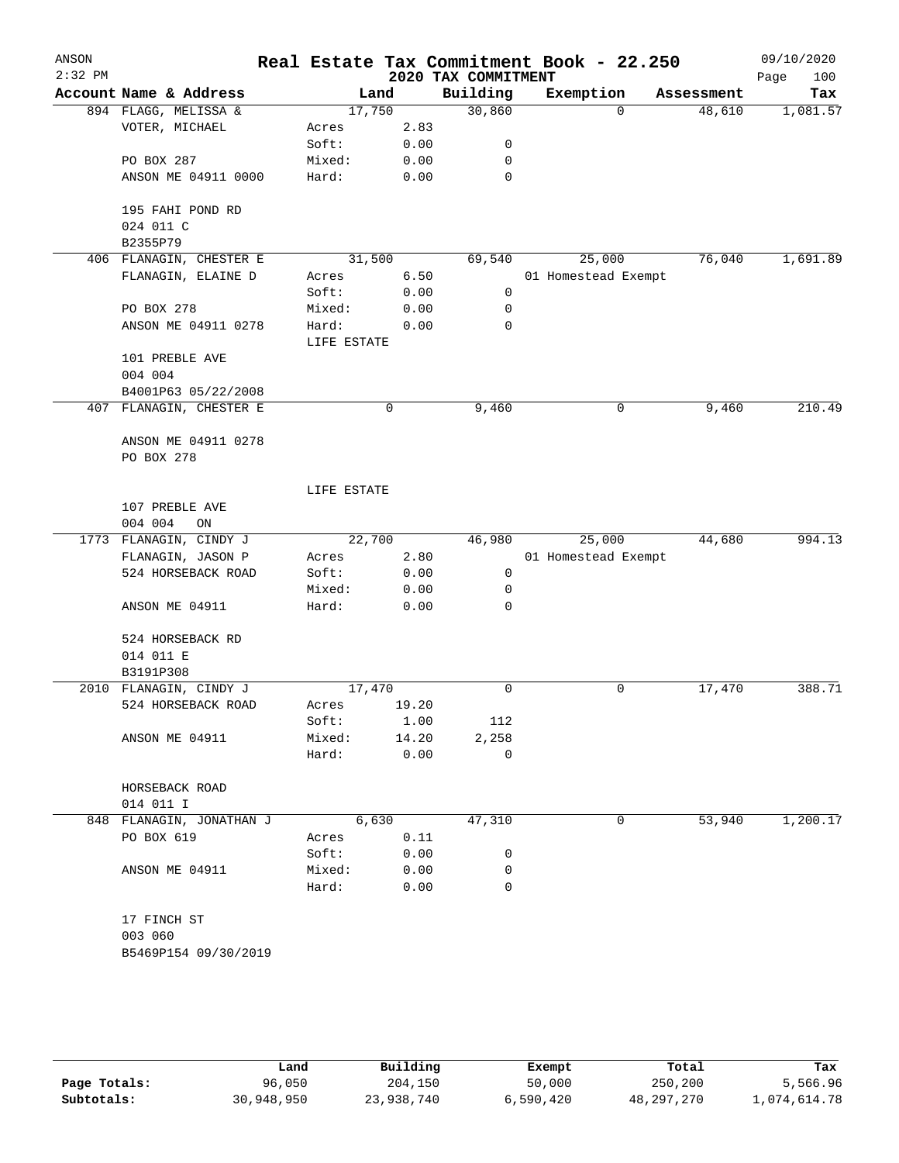| ANSON     |                          |             |       |                     | Real Estate Tax Commitment Book - 22.250 |          |            | 09/10/2020  |
|-----------|--------------------------|-------------|-------|---------------------|------------------------------------------|----------|------------|-------------|
| $2:32$ PM |                          |             |       | 2020 TAX COMMITMENT |                                          |          |            | 100<br>Page |
|           | Account Name & Address   | Land        |       | Building            | Exemption                                |          | Assessment | Tax         |
|           | 894 FLAGG, MELISSA &     | 17,750      |       | 30,860              |                                          | $\Omega$ | 48,610     | 1,081.57    |
|           | VOTER, MICHAEL           | Acres       | 2.83  |                     |                                          |          |            |             |
|           |                          | Soft:       | 0.00  | 0                   |                                          |          |            |             |
|           | PO BOX 287               | Mixed:      | 0.00  | 0                   |                                          |          |            |             |
|           | ANSON ME 04911 0000      | Hard:       | 0.00  | $\mathbf 0$         |                                          |          |            |             |
|           | 195 FAHI POND RD         |             |       |                     |                                          |          |            |             |
|           | 024 011 C                |             |       |                     |                                          |          |            |             |
|           | B2355P79                 |             |       |                     |                                          |          |            |             |
|           | 406 FLANAGIN, CHESTER E  | 31,500      |       | 69,540              | 25,000                                   |          | 76,040     | 1,691.89    |
|           | FLANAGIN, ELAINE D       | Acres       | 6.50  |                     | 01 Homestead Exempt                      |          |            |             |
|           |                          | Soft:       | 0.00  | 0                   |                                          |          |            |             |
|           | PO BOX 278               | Mixed:      | 0.00  | 0                   |                                          |          |            |             |
|           | ANSON ME 04911 0278      | Hard:       | 0.00  | 0                   |                                          |          |            |             |
|           |                          | LIFE ESTATE |       |                     |                                          |          |            |             |
|           | 101 PREBLE AVE           |             |       |                     |                                          |          |            |             |
|           | 004 004                  |             |       |                     |                                          |          |            |             |
|           | B4001P63 05/22/2008      |             |       |                     |                                          |          |            |             |
|           | 407 FLANAGIN, CHESTER E  |             | 0     | 9,460               |                                          | 0        | 9,460      | 210.49      |
|           |                          |             |       |                     |                                          |          |            |             |
|           | ANSON ME 04911 0278      |             |       |                     |                                          |          |            |             |
|           | PO BOX 278               |             |       |                     |                                          |          |            |             |
|           |                          |             |       |                     |                                          |          |            |             |
|           |                          | LIFE ESTATE |       |                     |                                          |          |            |             |
|           | 107 PREBLE AVE           |             |       |                     |                                          |          |            |             |
|           | 004 004<br>ON            |             |       |                     |                                          |          |            |             |
|           | 1773 FLANAGIN, CINDY J   | 22,700      |       | 46,980              | 25,000                                   |          | 44,680     | 994.13      |
|           | FLANAGIN, JASON P        | Acres       | 2.80  |                     | 01 Homestead Exempt                      |          |            |             |
|           | 524 HORSEBACK ROAD       | Soft:       | 0.00  | 0                   |                                          |          |            |             |
|           |                          | Mixed:      | 0.00  | 0                   |                                          |          |            |             |
|           | ANSON ME 04911           | Hard:       | 0.00  | 0                   |                                          |          |            |             |
|           |                          |             |       |                     |                                          |          |            |             |
|           | 524 HORSEBACK RD         |             |       |                     |                                          |          |            |             |
|           | 014 011 E                |             |       |                     |                                          |          |            |             |
|           | B3191P308                |             |       |                     |                                          |          |            |             |
|           | 2010 FLANAGIN, CINDY J   | 17,470      |       | 0                   |                                          | 0        | 17,470     | 388.71      |
|           | 524 HORSEBACK ROAD       | Acres       | 19.20 |                     |                                          |          |            |             |
|           |                          | Soft:       | 1.00  | 112                 |                                          |          |            |             |
|           | ANSON ME 04911           | Mixed:      | 14.20 | 2,258               |                                          |          |            |             |
|           |                          | Hard:       | 0.00  | 0                   |                                          |          |            |             |
|           | HORSEBACK ROAD           |             |       |                     |                                          |          |            |             |
|           | 014 011 I                |             |       |                     |                                          |          |            |             |
|           | 848 FLANAGIN, JONATHAN J | 6,630       |       | 47,310              |                                          | 0        | 53,940     | 1,200.17    |
|           | PO BOX 619               | Acres       | 0.11  |                     |                                          |          |            |             |
|           |                          | Soft:       | 0.00  | 0                   |                                          |          |            |             |
|           | ANSON ME 04911           | Mixed:      | 0.00  | 0                   |                                          |          |            |             |
|           |                          | Hard:       | 0.00  | 0                   |                                          |          |            |             |
|           |                          |             |       |                     |                                          |          |            |             |
|           | 17 FINCH ST              |             |       |                     |                                          |          |            |             |
|           | 003 060                  |             |       |                     |                                          |          |            |             |
|           | B5469P154 09/30/2019     |             |       |                     |                                          |          |            |             |
|           |                          |             |       |                     |                                          |          |            |             |
|           |                          |             |       |                     |                                          |          |            |             |
|           |                          |             |       |                     |                                          |          |            |             |
|           |                          |             |       |                     |                                          |          |            |             |

|              | Land       | Building   | Exempt    | Total      | Tax          |
|--------------|------------|------------|-----------|------------|--------------|
| Page Totals: | 96,050     | 204,150    | 50,000    | 250,200    | 5,566.96     |
| Subtotals:   | 30,948,950 | 23,938,740 | 6,590,420 | 48,297,270 | l,074,614.78 |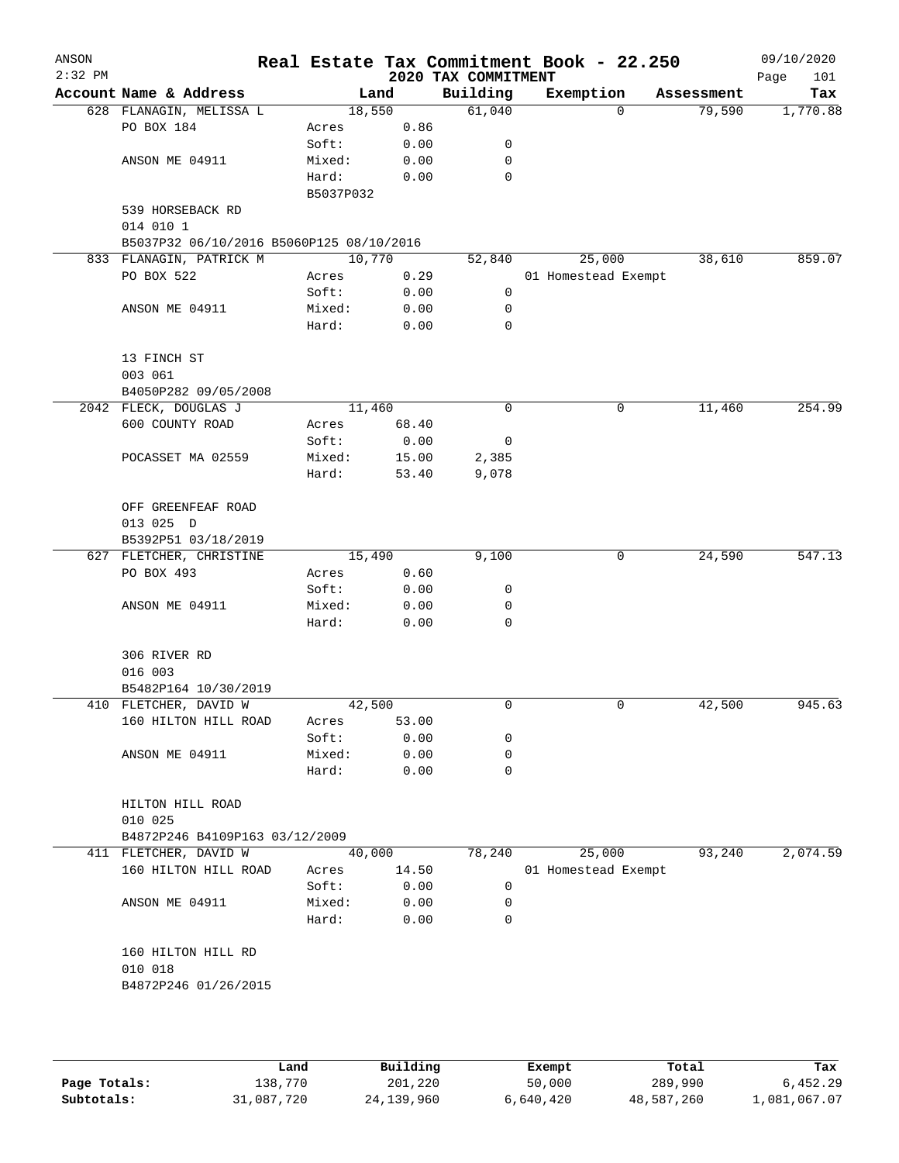| ANSON<br>$2:32$ PM |                                          |           |        | 2020 TAX COMMITMENT | Real Estate Tax Commitment Book - 22.250 |            | 09/10/2020<br>Page<br>101 |
|--------------------|------------------------------------------|-----------|--------|---------------------|------------------------------------------|------------|---------------------------|
|                    | Account Name & Address                   |           | Land   | Building            | Exemption                                | Assessment | Tax                       |
|                    | 628 FLANAGIN, MELISSA L                  |           | 18,550 | 61,040              | 0                                        | 79,590     | 1,770.88                  |
|                    | PO BOX 184                               | Acres     | 0.86   |                     |                                          |            |                           |
|                    |                                          | Soft:     | 0.00   | 0                   |                                          |            |                           |
|                    | ANSON ME 04911                           | Mixed:    | 0.00   | 0                   |                                          |            |                           |
|                    |                                          | Hard:     | 0.00   | 0                   |                                          |            |                           |
|                    |                                          | B5037P032 |        |                     |                                          |            |                           |
|                    | 539 HORSEBACK RD                         |           |        |                     |                                          |            |                           |
|                    | 014 010 1                                |           |        |                     |                                          |            |                           |
|                    | B5037P32 06/10/2016 B5060P125 08/10/2016 |           |        |                     |                                          |            |                           |
|                    | 833 FLANAGIN, PATRICK M                  |           | 10,770 | 52,840              | 25,000                                   | 38,610     | 859.07                    |
|                    | PO BOX 522                               | Acres     | 0.29   |                     | 01 Homestead Exempt                      |            |                           |
|                    |                                          | Soft:     | 0.00   | 0                   |                                          |            |                           |
|                    | ANSON ME 04911                           | Mixed:    | 0.00   | 0                   |                                          |            |                           |
|                    |                                          | Hard:     | 0.00   | $\mathbf 0$         |                                          |            |                           |
|                    |                                          |           |        |                     |                                          |            |                           |
|                    | 13 FINCH ST                              |           |        |                     |                                          |            |                           |
|                    | 003 061                                  |           |        |                     |                                          |            |                           |
|                    | B4050P282 09/05/2008                     |           |        |                     |                                          |            |                           |
|                    | 2042 FLECK, DOUGLAS J                    |           | 11,460 | 0                   | 0                                        | 11,460     | 254.99                    |
|                    | 600 COUNTY ROAD                          | Acres     | 68.40  |                     |                                          |            |                           |
|                    |                                          | Soft:     | 0.00   | 0                   |                                          |            |                           |
|                    | POCASSET MA 02559                        | Mixed:    | 15.00  | 2,385               |                                          |            |                           |
|                    |                                          | Hard:     | 53.40  | 9,078               |                                          |            |                           |
|                    |                                          |           |        |                     |                                          |            |                           |
|                    | OFF GREENFEAF ROAD                       |           |        |                     |                                          |            |                           |
|                    | 013 025 D                                |           |        |                     |                                          |            |                           |
|                    | B5392P51 03/18/2019                      |           |        |                     |                                          |            |                           |
|                    | 627 FLETCHER, CHRISTINE                  |           | 15,490 | 9,100               | 0                                        | 24,590     | 547.13                    |
|                    | PO BOX 493                               | Acres     | 0.60   |                     |                                          |            |                           |
|                    |                                          | Soft:     | 0.00   | 0                   |                                          |            |                           |
|                    | ANSON ME 04911                           | Mixed:    | 0.00   | 0                   |                                          |            |                           |
|                    |                                          | Hard:     | 0.00   | $\mathbf 0$         |                                          |            |                           |
|                    |                                          |           |        |                     |                                          |            |                           |
|                    | 306 RIVER RD                             |           |        |                     |                                          |            |                           |
|                    | 016 003                                  |           |        |                     |                                          |            |                           |
|                    | B5482P164 10/30/2019                     |           |        |                     |                                          |            |                           |
|                    | 410 FLETCHER, DAVID W                    |           | 42,500 | $\mathbf 0$         | 0                                        | 42,500     | 945.63                    |
|                    | 160 HILTON HILL ROAD                     | Acres     | 53.00  |                     |                                          |            |                           |
|                    |                                          | Soft:     | 0.00   | 0                   |                                          |            |                           |
|                    | ANSON ME 04911                           | Mixed:    | 0.00   | 0                   |                                          |            |                           |
|                    |                                          | Hard:     | 0.00   | $\mathbf 0$         |                                          |            |                           |
|                    |                                          |           |        |                     |                                          |            |                           |
|                    | HILTON HILL ROAD                         |           |        |                     |                                          |            |                           |
|                    | 010 025                                  |           |        |                     |                                          |            |                           |
|                    | B4872P246 B4109P163 03/12/2009           |           |        |                     |                                          |            |                           |
|                    | 411 FLETCHER, DAVID W                    |           | 40,000 | 78,240              | 25,000                                   | 93,240     | 2,074.59                  |
|                    | 160 HILTON HILL ROAD                     | Acres     | 14.50  |                     | 01 Homestead Exempt                      |            |                           |
|                    |                                          | Soft:     | 0.00   | 0                   |                                          |            |                           |
|                    | ANSON ME 04911                           | Mixed:    | 0.00   | 0                   |                                          |            |                           |
|                    |                                          | Hard:     | 0.00   | 0                   |                                          |            |                           |
|                    |                                          |           |        |                     |                                          |            |                           |
|                    | 160 HILTON HILL RD                       |           |        |                     |                                          |            |                           |
|                    | 010 018                                  |           |        |                     |                                          |            |                           |
|                    | B4872P246 01/26/2015                     |           |        |                     |                                          |            |                           |
|                    |                                          |           |        |                     |                                          |            |                           |
|                    |                                          |           |        |                     |                                          |            |                           |
|                    |                                          |           |        |                     |                                          |            |                           |
|                    |                                          |           |        |                     |                                          |            |                           |

|              | Land       | Building     | Exempt    | Total      | Tax          |
|--------------|------------|--------------|-----------|------------|--------------|
| Page Totals: | 138,770    | 201,220      | 50,000    | 289,990    | 6,452.29     |
| Subtotals:   | 31,087,720 | 24, 139, 960 | 6,640,420 | 48,587,260 | 1,081,067.07 |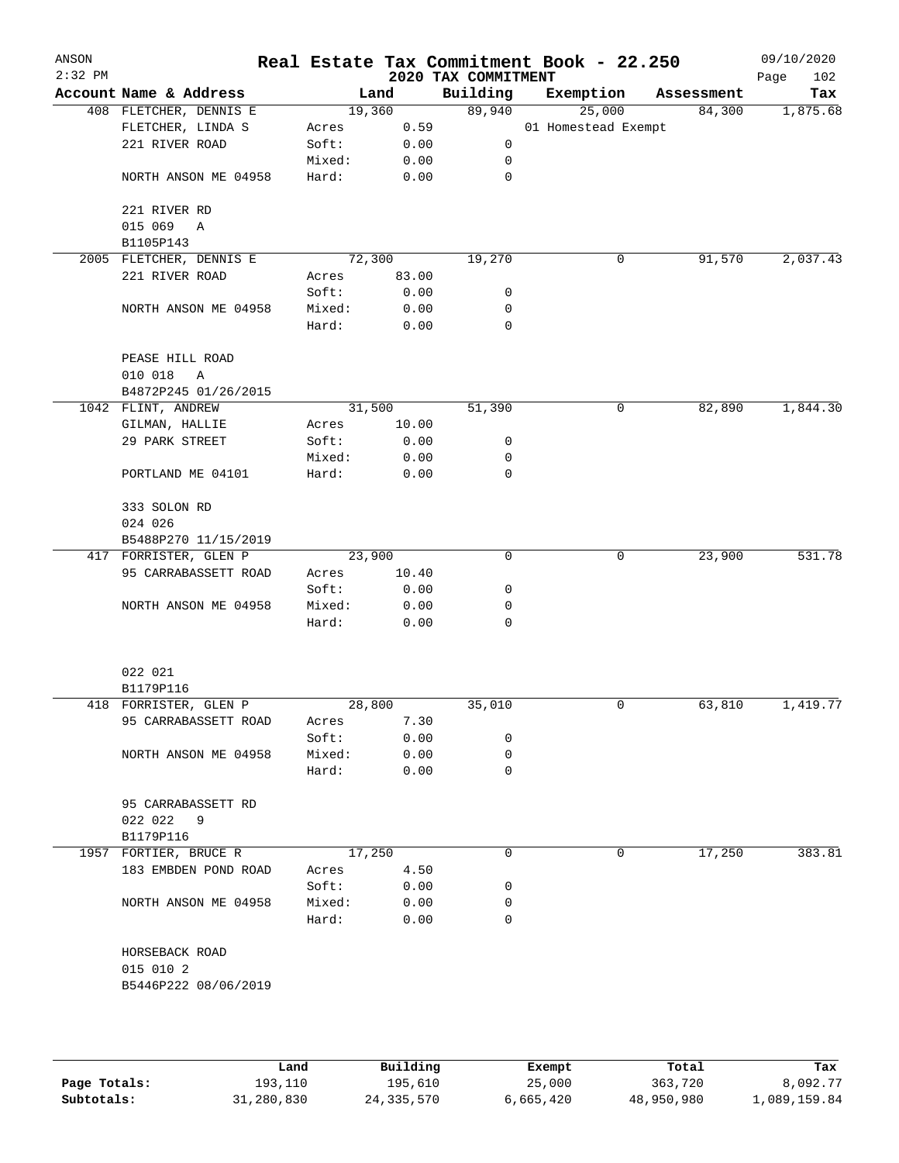| ANSON<br>$2:32$ PM |                         |        |         | 2020 TAX COMMITMENT | Real Estate Tax Commitment Book - 22.250 |            | 09/10/2020<br>102<br>Page |
|--------------------|-------------------------|--------|---------|---------------------|------------------------------------------|------------|---------------------------|
|                    | Account Name & Address  |        | Land    | Building            | Exemption                                | Assessment | Tax                       |
|                    | 408 FLETCHER, DENNIS E  |        | 19,360  | 89,940              | 25,000                                   | 84,300     | 1,875.68                  |
|                    | FLETCHER, LINDA S       | Acres  | 0.59    |                     | 01 Homestead Exempt                      |            |                           |
|                    | 221 RIVER ROAD          | Soft:  | 0.00    | 0                   |                                          |            |                           |
|                    |                         | Mixed: | 0.00    | 0                   |                                          |            |                           |
|                    | NORTH ANSON ME 04958    | Hard:  | 0.00    | 0                   |                                          |            |                           |
|                    | 221 RIVER RD            |        |         |                     |                                          |            |                           |
|                    | 015 069<br>A            |        |         |                     |                                          |            |                           |
|                    | B1105P143               |        |         |                     |                                          |            |                           |
|                    | 2005 FLETCHER, DENNIS E |        | 72, 300 | 19,270              | 0                                        | 91,570     | 2,037.43                  |
|                    | 221 RIVER ROAD          | Acres  | 83.00   |                     |                                          |            |                           |
|                    |                         | Soft:  | 0.00    | 0                   |                                          |            |                           |
|                    | NORTH ANSON ME 04958    | Mixed: | 0.00    | 0                   |                                          |            |                           |
|                    |                         | Hard:  | 0.00    | 0                   |                                          |            |                           |
|                    | PEASE HILL ROAD         |        |         |                     |                                          |            |                           |
|                    | 010 018<br>Α            |        |         |                     |                                          |            |                           |
|                    | B4872P245 01/26/2015    |        |         |                     |                                          |            |                           |
|                    | 1042 FLINT, ANDREW      |        | 31,500  | 51,390              | 0                                        | 82,890     | 1,844.30                  |
|                    | GILMAN, HALLIE          | Acres  | 10.00   |                     |                                          |            |                           |
|                    | 29 PARK STREET          | Soft:  | 0.00    | 0                   |                                          |            |                           |
|                    |                         | Mixed: | 0.00    | 0                   |                                          |            |                           |
|                    | PORTLAND ME 04101       | Hard:  | 0.00    | 0                   |                                          |            |                           |
|                    | 333 SOLON RD            |        |         |                     |                                          |            |                           |
|                    | 024 026                 |        |         |                     |                                          |            |                           |
|                    | B5488P270 11/15/2019    |        |         |                     |                                          |            |                           |
|                    | 417 FORRISTER, GLEN P   |        | 23,900  | 0                   | 0                                        | 23,900     | 531.78                    |
|                    | 95 CARRABASSETT ROAD    | Acres  | 10.40   |                     |                                          |            |                           |
|                    |                         | Soft:  | 0.00    | 0                   |                                          |            |                           |
|                    | NORTH ANSON ME 04958    | Mixed: | 0.00    | 0                   |                                          |            |                           |
|                    |                         | Hard:  | 0.00    | 0                   |                                          |            |                           |
|                    |                         |        |         |                     |                                          |            |                           |
|                    | 022 021                 |        |         |                     |                                          |            |                           |
|                    | B1179P116               |        |         |                     |                                          |            |                           |
|                    | 418 FORRISTER, GLEN P   |        | 28,800  | 35,010              | 0                                        | 63,810     | 1,419.77                  |
|                    | 95 CARRABASSETT ROAD    | Acres  | 7.30    |                     |                                          |            |                           |
|                    |                         | Soft:  | 0.00    | 0                   |                                          |            |                           |
|                    | NORTH ANSON ME 04958    | Mixed: | 0.00    | 0                   |                                          |            |                           |
|                    |                         | Hard:  | 0.00    | 0                   |                                          |            |                           |
|                    | 95 CARRABASSETT RD      |        |         |                     |                                          |            |                           |
|                    | 022 022<br>- 9          |        |         |                     |                                          |            |                           |
|                    | B1179P116               |        |         |                     |                                          |            |                           |
|                    | 1957 FORTIER, BRUCE R   |        | 17,250  | 0                   | 0                                        | 17,250     | 383.81                    |
|                    | 183 EMBDEN POND ROAD    | Acres  | 4.50    |                     |                                          |            |                           |
|                    |                         | Soft:  | 0.00    | 0                   |                                          |            |                           |
|                    | NORTH ANSON ME 04958    | Mixed: | 0.00    | 0                   |                                          |            |                           |
|                    |                         | Hard:  | 0.00    | 0                   |                                          |            |                           |
|                    | HORSEBACK ROAD          |        |         |                     |                                          |            |                           |
|                    | 015 010 2               |        |         |                     |                                          |            |                           |
|                    | B5446P222 08/06/2019    |        |         |                     |                                          |            |                           |
|                    |                         |        |         |                     |                                          |            |                           |
|                    |                         |        |         |                     |                                          |            |                           |
|                    |                         |        |         |                     |                                          |            |                           |

|              | Land       | Building   | Exempt    | Total      | Tax          |
|--------------|------------|------------|-----------|------------|--------------|
| Page Totals: | 193,110    | 195.610    | 25,000    | 363,720    | 8,092.77     |
| Subtotals:   | 31,280,830 | 24,335,570 | 6,665,420 | 48,950,980 | l,089,159.84 |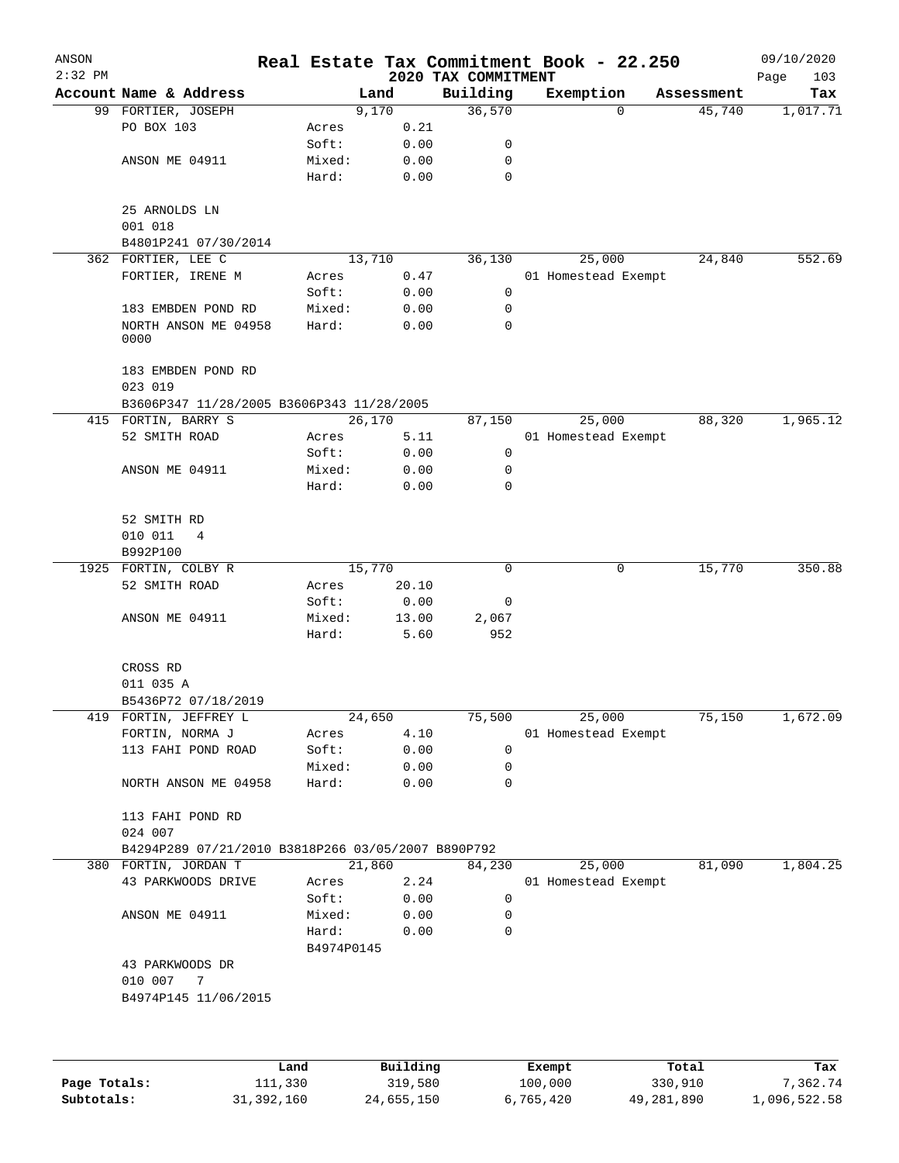| ANSON<br>$2:32$ PM |                                                    |                     |          |                                 | Real Estate Tax Commitment Book - 22.250 |   |            | 09/10/2020         |
|--------------------|----------------------------------------------------|---------------------|----------|---------------------------------|------------------------------------------|---|------------|--------------------|
|                    | Account Name & Address                             |                     | Land     | 2020 TAX COMMITMENT<br>Building | Exemption                                |   | Assessment | 103<br>Page<br>Tax |
|                    | 99 FORTIER, JOSEPH                                 |                     | 9,170    | 36,570                          |                                          | 0 | 45,740     | 1,017.71           |
|                    | PO BOX 103                                         | Acres               | 0.21     |                                 |                                          |   |            |                    |
|                    |                                                    | Soft:               | 0.00     | 0                               |                                          |   |            |                    |
|                    | ANSON ME 04911                                     | Mixed:              | 0.00     | 0                               |                                          |   |            |                    |
|                    |                                                    | Hard:               | 0.00     | 0                               |                                          |   |            |                    |
|                    | 25 ARNOLDS LN<br>001 018                           |                     |          |                                 |                                          |   |            |                    |
|                    | B4801P241 07/30/2014                               |                     |          |                                 |                                          |   |            |                    |
|                    | 362 FORTIER, LEE C                                 |                     | 13,710   | 36,130                          | 25,000                                   |   | 24,840     | 552.69             |
|                    | FORTIER, IRENE M                                   | Acres               | 0.47     |                                 | 01 Homestead Exempt                      |   |            |                    |
|                    |                                                    | Soft:               | 0.00     | 0                               |                                          |   |            |                    |
|                    | 183 EMBDEN POND RD                                 | Mixed:              | 0.00     | 0                               |                                          |   |            |                    |
|                    | NORTH ANSON ME 04958<br>0000                       | Hard:               | 0.00     | 0                               |                                          |   |            |                    |
|                    | 183 EMBDEN POND RD<br>023 019                      |                     |          |                                 |                                          |   |            |                    |
|                    | B3606P347 11/28/2005 B3606P343 11/28/2005          |                     |          |                                 |                                          |   |            |                    |
|                    | 415 FORTIN, BARRY S                                |                     | 26,170   | 87,150                          | 25,000                                   |   | 88,320     | 1,965.12           |
|                    | 52 SMITH ROAD                                      | Acres               | 5.11     |                                 | 01 Homestead Exempt                      |   |            |                    |
|                    |                                                    | Soft:               | 0.00     | 0                               |                                          |   |            |                    |
|                    | ANSON ME 04911                                     | Mixed:              | 0.00     | 0                               |                                          |   |            |                    |
|                    |                                                    | Hard:               | 0.00     | 0                               |                                          |   |            |                    |
|                    | 52 SMITH RD                                        |                     |          |                                 |                                          |   |            |                    |
|                    | 010 011<br>4                                       |                     |          |                                 |                                          |   |            |                    |
|                    | B992P100                                           |                     |          |                                 |                                          |   |            |                    |
|                    | 1925 FORTIN, COLBY R                               |                     | 15,770   | 0                               |                                          | 0 | 15,770     | 350.88             |
|                    | 52 SMITH ROAD                                      | Acres               | 20.10    |                                 |                                          |   |            |                    |
|                    |                                                    | Soft:               | 0.00     | 0                               |                                          |   |            |                    |
|                    | ANSON ME 04911                                     | Mixed:              | 13.00    | 2,067                           |                                          |   |            |                    |
|                    |                                                    | Hard:               | 5.60     | 952                             |                                          |   |            |                    |
|                    | CROSS RD                                           |                     |          |                                 |                                          |   |            |                    |
|                    | 011 035 A                                          |                     |          |                                 |                                          |   |            |                    |
|                    | B5436P72 07/18/2019                                |                     |          |                                 |                                          |   |            |                    |
| 419                | FORTIN, JEFFREY L                                  |                     | 24,650   | 75,500                          | 25,000                                   |   | 75,150     | 1,672.09           |
|                    | FORTIN, NORMA J                                    | Acres               | 4.10     |                                 | 01 Homestead Exempt                      |   |            |                    |
|                    | 113 FAHI POND ROAD                                 | Soft:               | 0.00     | 0                               |                                          |   |            |                    |
|                    |                                                    | Mixed:              | 0.00     | 0                               |                                          |   |            |                    |
|                    | NORTH ANSON ME 04958                               | Hard:               | 0.00     | 0                               |                                          |   |            |                    |
|                    | 113 FAHI POND RD<br>024 007                        |                     |          |                                 |                                          |   |            |                    |
|                    | B4294P289 07/21/2010 B3818P266 03/05/2007 B890P792 |                     |          |                                 |                                          |   |            |                    |
|                    | 380 FORTIN, JORDAN T                               |                     | 21,860   | 84,230                          | 25,000                                   |   | 81,090     | 1,804.25           |
|                    | 43 PARKWOODS DRIVE                                 | Acres               | 2.24     |                                 | 01 Homestead Exempt                      |   |            |                    |
|                    |                                                    | Soft:               | 0.00     | 0                               |                                          |   |            |                    |
|                    | ANSON ME 04911                                     | Mixed:              | 0.00     | 0                               |                                          |   |            |                    |
|                    |                                                    | Hard:<br>B4974P0145 | 0.00     | 0                               |                                          |   |            |                    |
|                    | 43 PARKWOODS DR                                    |                     |          |                                 |                                          |   |            |                    |
|                    | 010 007<br>7                                       |                     |          |                                 |                                          |   |            |                    |
|                    | B4974P145 11/06/2015                               |                     |          |                                 |                                          |   |            |                    |
|                    |                                                    |                     |          |                                 |                                          |   |            |                    |
|                    |                                                    | Land                | Building |                                 | Exempt                                   |   | Total      | Tax                |

|              | Land         | Building   | Exempt    | Total      | Tax          |
|--------------|--------------|------------|-----------|------------|--------------|
| Page Totals: | 111,330      | 319,580    | 100,000   | 330,910    | 7.362.74     |
| Subtotals:   | 31, 392, 160 | 24,655,150 | 6,765,420 | 49,281,890 | 1,096,522.58 |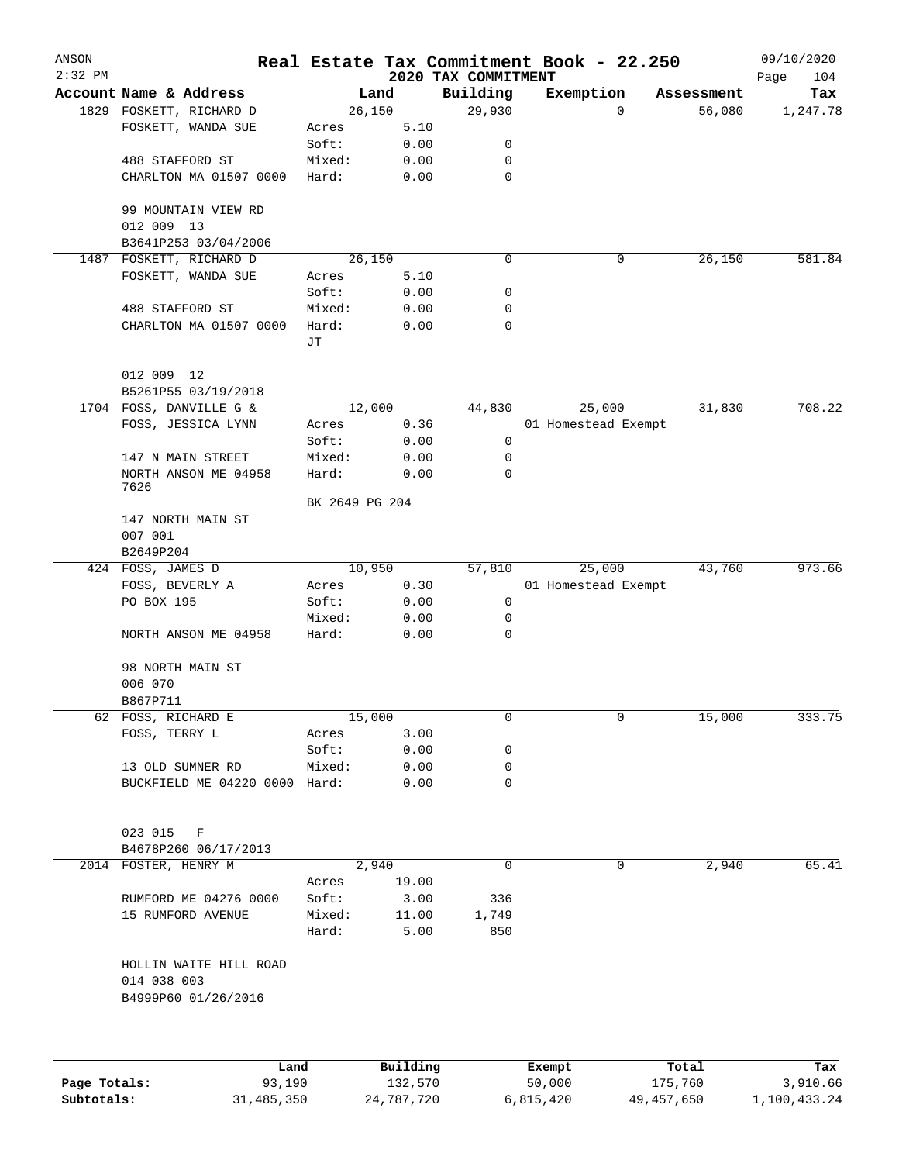| ANSON        |                                   |                |          |                                 | Real Estate Tax Commitment Book - 22.250 |            | 09/10/2020         |
|--------------|-----------------------------------|----------------|----------|---------------------------------|------------------------------------------|------------|--------------------|
| $2:32$ PM    | Account Name & Address            | Land           |          | 2020 TAX COMMITMENT<br>Building | Exemption                                | Assessment | 104<br>Page<br>Tax |
|              | 1829 FOSKETT, RICHARD D           | 26,150         |          | 29,930                          | 0                                        | 56,080     | 1,247.78           |
|              | FOSKETT, WANDA SUE                | Acres          | 5.10     |                                 |                                          |            |                    |
|              |                                   | Soft:          | 0.00     | 0                               |                                          |            |                    |
|              | 488 STAFFORD ST                   | Mixed:         | 0.00     | 0                               |                                          |            |                    |
|              | CHARLTON MA 01507 0000            | Hard:          | 0.00     | $\mathbf 0$                     |                                          |            |                    |
|              |                                   |                |          |                                 |                                          |            |                    |
|              | 99 MOUNTAIN VIEW RD               |                |          |                                 |                                          |            |                    |
|              | 012 009 13                        |                |          |                                 |                                          |            |                    |
|              | B3641P253 03/04/2006              |                |          |                                 |                                          |            |                    |
| 1487         | FOSKETT, RICHARD D                | 26,150         |          | 0                               | 0                                        | 26,150     | 581.84             |
|              | FOSKETT, WANDA SUE                | Acres          | 5.10     |                                 |                                          |            |                    |
|              |                                   | Soft:          | 0.00     | 0                               |                                          |            |                    |
|              | 488 STAFFORD ST                   | Mixed:         | 0.00     | 0                               |                                          |            |                    |
|              | CHARLTON MA 01507 0000            | Hard:          | 0.00     | 0                               |                                          |            |                    |
|              |                                   | JТ             |          |                                 |                                          |            |                    |
|              |                                   |                |          |                                 |                                          |            |                    |
|              | 012 009 12<br>B5261P55 03/19/2018 |                |          |                                 |                                          |            |                    |
|              | 1704 FOSS, DANVILLE G &           | 12,000         |          | 44,830                          | 25,000                                   | 31,830     | 708.22             |
|              | FOSS, JESSICA LYNN                | Acres          | 0.36     |                                 | 01 Homestead Exempt                      |            |                    |
|              |                                   | Soft:          | 0.00     | 0                               |                                          |            |                    |
|              | 147 N MAIN STREET                 | Mixed:         | 0.00     | 0                               |                                          |            |                    |
|              | NORTH ANSON ME 04958              | Hard:          | 0.00     | 0                               |                                          |            |                    |
|              | 7626                              |                |          |                                 |                                          |            |                    |
|              |                                   | BK 2649 PG 204 |          |                                 |                                          |            |                    |
|              | 147 NORTH MAIN ST                 |                |          |                                 |                                          |            |                    |
|              | 007 001                           |                |          |                                 |                                          |            |                    |
|              | B2649P204                         |                |          |                                 |                                          |            |                    |
|              | 424 FOSS, JAMES D                 | 10,950         |          | 57,810                          | 25,000                                   | 43,760     | 973.66             |
|              | FOSS, BEVERLY A                   | Acres          | 0.30     |                                 | 01 Homestead Exempt                      |            |                    |
|              | PO BOX 195                        | Soft:          | 0.00     | 0                               |                                          |            |                    |
|              |                                   | Mixed:         | 0.00     | 0                               |                                          |            |                    |
|              | NORTH ANSON ME 04958              | Hard:          | 0.00     | $\mathbf 0$                     |                                          |            |                    |
|              | 98 NORTH MAIN ST                  |                |          |                                 |                                          |            |                    |
|              | 006 070                           |                |          |                                 |                                          |            |                    |
|              | B867P711                          |                |          |                                 |                                          |            |                    |
|              | 62 FOSS, RICHARD E                | 15,000         |          | 0                               | 0                                        | 15,000     | 333.75             |
|              | FOSS, TERRY L                     | Acres          | 3.00     |                                 |                                          |            |                    |
|              |                                   | Soft:          | 0.00     | 0                               |                                          |            |                    |
|              | 13 OLD SUMNER RD                  | Mixed:         | 0.00     | 0                               |                                          |            |                    |
|              | BUCKFIELD ME 04220 0000 Hard:     |                | 0.00     | $\mathbf 0$                     |                                          |            |                    |
|              |                                   |                |          |                                 |                                          |            |                    |
|              |                                   |                |          |                                 |                                          |            |                    |
|              | 023 015<br>F                      |                |          |                                 |                                          |            |                    |
|              | B4678P260 06/17/2013              |                |          |                                 |                                          |            |                    |
|              | 2014 FOSTER, HENRY M              | 2,940          |          | 0                               | 0                                        | 2,940      | 65.41              |
|              |                                   | Acres          | 19.00    |                                 |                                          |            |                    |
|              | RUMFORD ME 04276 0000             | Soft:          | 3.00     | 336                             |                                          |            |                    |
|              | 15 RUMFORD AVENUE                 | Mixed:         | 11.00    | 1,749                           |                                          |            |                    |
|              |                                   | Hard:          | 5.00     | 850                             |                                          |            |                    |
|              | HOLLIN WAITE HILL ROAD            |                |          |                                 |                                          |            |                    |
|              | 014 038 003                       |                |          |                                 |                                          |            |                    |
|              | B4999P60 01/26/2016               |                |          |                                 |                                          |            |                    |
|              |                                   |                |          |                                 |                                          |            |                    |
|              |                                   |                |          |                                 |                                          |            |                    |
|              |                                   |                |          |                                 |                                          |            |                    |
|              | Land                              |                | Building |                                 | Exempt                                   | Total      | Tax                |
| Page Totals: | 93,190                            |                | 132,570  |                                 | 50,000                                   | 175,760    | 3,910.66           |

**Subtotals:** 31,485,350 24,787,720 6,815,420 49,457,650 1,100,433.24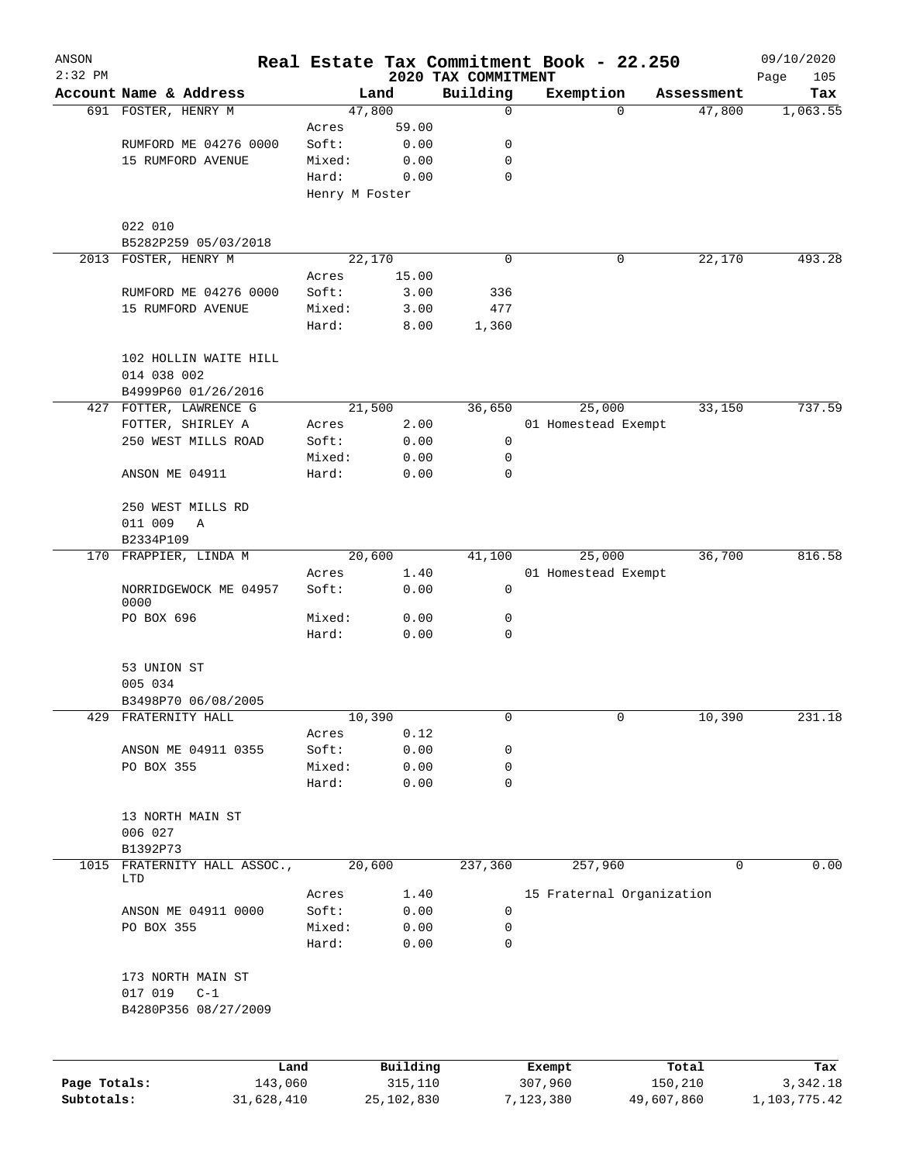| ANSON<br>$2:32$ PM |                                              |                |          |                                 | Real Estate Tax Commitment Book - 22.250 |              |            | 09/10/2020         |
|--------------------|----------------------------------------------|----------------|----------|---------------------------------|------------------------------------------|--------------|------------|--------------------|
|                    | Account Name & Address                       |                | Land     | 2020 TAX COMMITMENT<br>Building | Exemption                                |              | Assessment | Page<br>105<br>Tax |
|                    | 691 FOSTER, HENRY M                          |                | 47,800   | 0                               |                                          | $\Omega$     | 47,800     | 1,063.55           |
|                    |                                              | Acres          | 59.00    |                                 |                                          |              |            |                    |
|                    | RUMFORD ME 04276 0000                        | Soft:          | 0.00     | 0                               |                                          |              |            |                    |
|                    | 15 RUMFORD AVENUE                            | Mixed:         | 0.00     | 0                               |                                          |              |            |                    |
|                    |                                              | Hard:          | 0.00     | 0                               |                                          |              |            |                    |
|                    |                                              | Henry M Foster |          |                                 |                                          |              |            |                    |
|                    |                                              |                |          |                                 |                                          |              |            |                    |
|                    | 022 010                                      |                |          |                                 |                                          |              |            |                    |
|                    | B5282P259 05/03/2018<br>2013 FOSTER, HENRY M |                | 22,170   | 0                               |                                          | 0            | 22,170     | 493.28             |
|                    |                                              | Acres          | 15.00    |                                 |                                          |              |            |                    |
|                    | RUMFORD ME 04276 0000                        | Soft:          | 3.00     | 336                             |                                          |              |            |                    |
|                    | 15 RUMFORD AVENUE                            | Mixed:         | 3.00     | 477                             |                                          |              |            |                    |
|                    |                                              | Hard:          | 8.00     | 1,360                           |                                          |              |            |                    |
|                    | 102 HOLLIN WAITE HILL                        |                |          |                                 |                                          |              |            |                    |
|                    | 014 038 002                                  |                |          |                                 |                                          |              |            |                    |
|                    | B4999P60 01/26/2016                          |                |          |                                 |                                          |              |            |                    |
|                    | 427 FOTTER, LAWRENCE G                       |                | 21,500   | 36,650                          | 25,000                                   |              | 33,150     | 737.59             |
|                    | FOTTER, SHIRLEY A                            | Acres          | 2.00     |                                 | 01 Homestead Exempt                      |              |            |                    |
|                    | 250 WEST MILLS ROAD                          | Soft:          | 0.00     | 0                               |                                          |              |            |                    |
|                    |                                              | Mixed:         | 0.00     | 0                               |                                          |              |            |                    |
|                    | ANSON ME 04911                               | Hard:          | 0.00     | $\mathbf 0$                     |                                          |              |            |                    |
|                    | 250 WEST MILLS RD                            |                |          |                                 |                                          |              |            |                    |
|                    | 011 009<br>Α                                 |                |          |                                 |                                          |              |            |                    |
|                    | B2334P109                                    |                |          |                                 |                                          |              |            |                    |
|                    | 170 FRAPPIER, LINDA M                        |                | 20,600   | 41,100                          | 25,000                                   |              | 36,700     | 816.58             |
|                    |                                              | Acres          | 1.40     |                                 | 01 Homestead Exempt                      |              |            |                    |
|                    | NORRIDGEWOCK ME 04957<br>0000                | Soft:          | 0.00     | 0                               |                                          |              |            |                    |
|                    | PO BOX 696                                   | Mixed:         | 0.00     | 0                               |                                          |              |            |                    |
|                    |                                              | Hard:          | 0.00     | $\mathbf 0$                     |                                          |              |            |                    |
|                    | 53 UNION ST                                  |                |          |                                 |                                          |              |            |                    |
|                    | 005 034                                      |                |          |                                 |                                          |              |            |                    |
|                    | B3498P70 06/08/2005                          |                |          |                                 |                                          |              |            |                    |
| 429                | FRATERNITY HALL                              |                | 10,390   | 0                               |                                          | $\mathbf{0}$ | 10,390     | 231.18             |
|                    |                                              | Acres          | 0.12     |                                 |                                          |              |            |                    |
|                    | ANSON ME 04911 0355                          | Soft:          | 0.00     | 0                               |                                          |              |            |                    |
|                    | PO BOX 355                                   | Mixed:         | 0.00     | 0                               |                                          |              |            |                    |
|                    |                                              | Hard:          | 0.00     | 0                               |                                          |              |            |                    |
|                    | 13 NORTH MAIN ST                             |                |          |                                 |                                          |              |            |                    |
|                    | 006 027                                      |                |          |                                 |                                          |              |            |                    |
|                    | B1392P73                                     |                |          |                                 |                                          |              | 0          |                    |
|                    | 1015 FRATERNITY HALL ASSOC.,<br>LTD          |                | 20,600   | 237,360                         | 257,960                                  |              |            | 0.00               |
|                    |                                              | Acres          | 1.40     |                                 | 15 Fraternal Organization                |              |            |                    |
|                    | ANSON ME 04911 0000                          | Soft:          | 0.00     | 0                               |                                          |              |            |                    |
|                    | PO BOX 355                                   | Mixed:         | 0.00     | 0                               |                                          |              |            |                    |
|                    |                                              | Hard:          | 0.00     | 0                               |                                          |              |            |                    |
|                    | 173 NORTH MAIN ST                            |                |          |                                 |                                          |              |            |                    |
|                    | 017 019<br>$C-1$                             |                |          |                                 |                                          |              |            |                    |
|                    | B4280P356 08/27/2009                         |                |          |                                 |                                          |              |            |                    |
|                    |                                              |                |          |                                 |                                          |              |            |                    |
|                    | Land                                         |                | Building |                                 | Exempt                                   | Total        |            | Tax                |
| Page Totals:       | 143,060                                      |                | 315,110  |                                 | 307,960                                  | 150,210      |            | 3,342.18           |

**Subtotals:** 31,628,410 25,102,830 7,123,380 49,607,860 1,103,775.42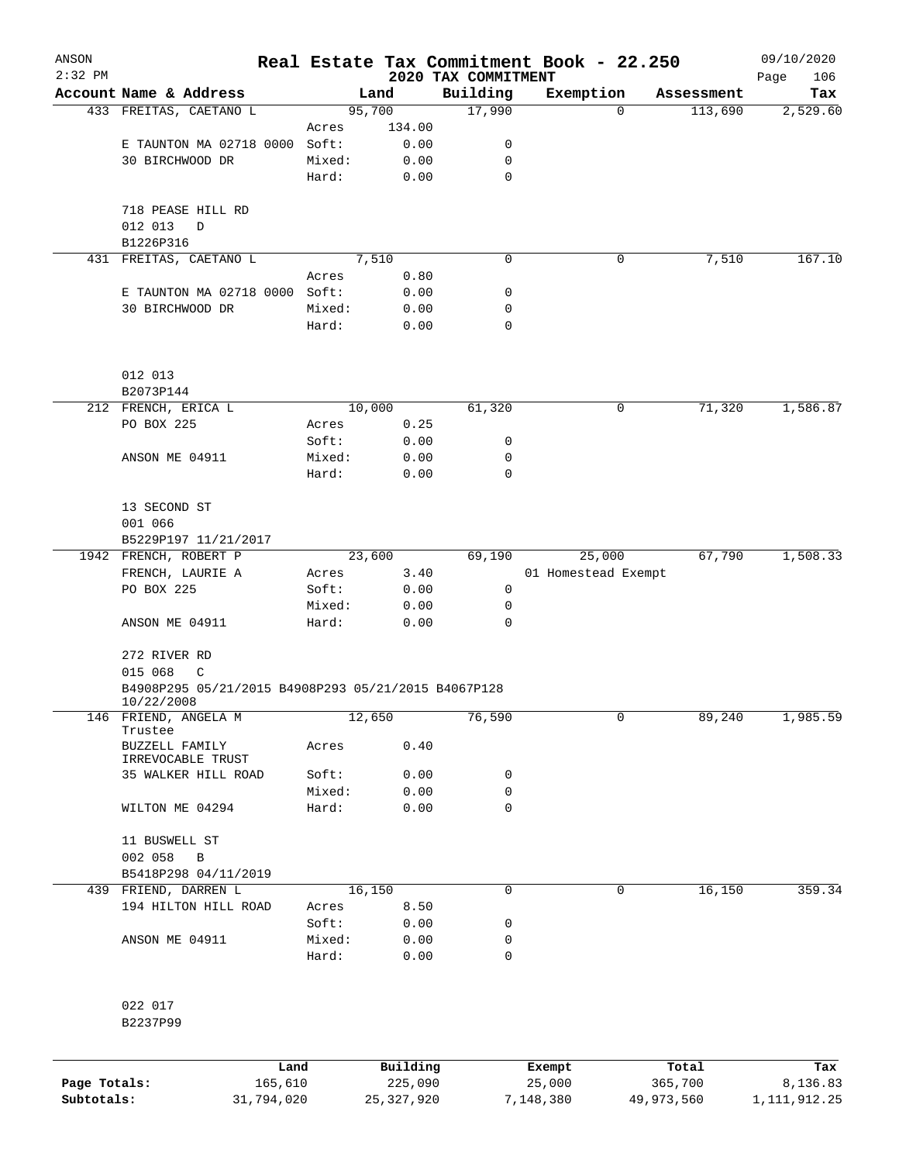| ANSON<br>$2:32$ PM |                                                                   |                 |        |              | 2020 TAX COMMITMENT | Real Estate Tax Commitment Book - 22.250 |            |            | 09/10/2020         |
|--------------------|-------------------------------------------------------------------|-----------------|--------|--------------|---------------------|------------------------------------------|------------|------------|--------------------|
|                    | Account Name & Address                                            |                 | Land   |              | Building            | Exemption                                |            | Assessment | Page<br>106<br>Tax |
|                    | 433 FREITAS, CAETANO L                                            |                 | 95,700 |              | 17,990              |                                          | $\Omega$   | 113,690    | 2,529.60           |
|                    |                                                                   | Acres           |        | 134.00       |                     |                                          |            |            |                    |
|                    | E TAUNTON MA 02718 0000                                           | Soft:           |        | 0.00         | 0                   |                                          |            |            |                    |
|                    | 30 BIRCHWOOD DR                                                   | Mixed:          |        | 0.00         | 0                   |                                          |            |            |                    |
|                    |                                                                   | Hard:           |        | 0.00         | $\mathbf 0$         |                                          |            |            |                    |
|                    | 718 PEASE HILL RD                                                 |                 |        |              |                     |                                          |            |            |                    |
|                    | 012 013<br>D                                                      |                 |        |              |                     |                                          |            |            |                    |
|                    | B1226P316                                                         |                 |        |              |                     |                                          |            |            |                    |
|                    | 431 FREITAS, CAETANO L                                            |                 | 7,510  |              | 0                   |                                          | 0          | 7,510      | 167.10             |
|                    |                                                                   | Acres           |        | 0.80         |                     |                                          |            |            |                    |
|                    | E TAUNTON MA 02718 0000 Soft:                                     |                 |        | 0.00         | 0                   |                                          |            |            |                    |
|                    | 30 BIRCHWOOD DR                                                   | Mixed:<br>Hard: |        | 0.00<br>0.00 | 0<br>0              |                                          |            |            |                    |
|                    | 012 013                                                           |                 |        |              |                     |                                          |            |            |                    |
|                    | B2073P144                                                         |                 |        |              |                     |                                          |            |            |                    |
|                    | 212 FRENCH, ERICA L                                               |                 | 10,000 |              | 61,320              |                                          | 0          | 71,320     | 1,586.87           |
|                    | PO BOX 225                                                        | Acres           |        | 0.25         |                     |                                          |            |            |                    |
|                    |                                                                   | Soft:           |        | 0.00         | 0                   |                                          |            |            |                    |
|                    | ANSON ME 04911                                                    | Mixed:          |        | 0.00         | 0                   |                                          |            |            |                    |
|                    |                                                                   | Hard:           |        | 0.00         | $\Omega$            |                                          |            |            |                    |
|                    |                                                                   |                 |        |              |                     |                                          |            |            |                    |
|                    | 13 SECOND ST                                                      |                 |        |              |                     |                                          |            |            |                    |
|                    | 001 066                                                           |                 |        |              |                     |                                          |            |            |                    |
|                    | B5229P197 11/21/2017                                              |                 |        |              |                     |                                          |            |            |                    |
|                    | 1942 FRENCH, ROBERT P                                             |                 | 23,600 |              | 69,190              | 25,000                                   |            | 67,790     | 1,508.33           |
|                    | FRENCH, LAURIE A                                                  | Acres           |        | 3.40         |                     | 01 Homestead Exempt                      |            |            |                    |
|                    | PO BOX 225                                                        | Soft:           |        | 0.00         | 0                   |                                          |            |            |                    |
|                    | ANSON ME 04911                                                    | Mixed:<br>Hard: |        | 0.00<br>0.00 | 0<br>0              |                                          |            |            |                    |
|                    |                                                                   |                 |        |              |                     |                                          |            |            |                    |
|                    | 272 RIVER RD                                                      |                 |        |              |                     |                                          |            |            |                    |
|                    | 015 068<br>C                                                      |                 |        |              |                     |                                          |            |            |                    |
|                    | B4908P295 05/21/2015 B4908P293 05/21/2015 B4067P128<br>10/22/2008 |                 |        |              |                     |                                          |            |            |                    |
|                    | 146 FRIEND, ANGELA M<br>Trustee                                   |                 | 12,650 |              | 76,590              |                                          | 0          | 89,240     | 1,985.59           |
|                    | BUZZELL FAMILY                                                    | Acres           |        | 0.40         |                     |                                          |            |            |                    |
|                    | IRREVOCABLE TRUST                                                 |                 |        |              |                     |                                          |            |            |                    |
|                    | 35 WALKER HILL ROAD                                               | Soft:           |        | 0.00         | 0                   |                                          |            |            |                    |
|                    |                                                                   | Mixed:          |        | 0.00         | 0                   |                                          |            |            |                    |
|                    | WILTON ME 04294                                                   | Hard:           |        | 0.00         | $\mathsf{O}$        |                                          |            |            |                    |
|                    | 11 BUSWELL ST                                                     |                 |        |              |                     |                                          |            |            |                    |
|                    | 002 058<br>B                                                      |                 |        |              |                     |                                          |            |            |                    |
|                    | B5418P298 04/11/2019                                              |                 |        |              |                     |                                          |            |            |                    |
|                    | 439 FRIEND, DARREN L                                              |                 | 16,150 |              | 0                   |                                          | 0          | 16,150     | 359.34             |
|                    | 194 HILTON HILL ROAD                                              | Acres           |        | 8.50         |                     |                                          |            |            |                    |
|                    |                                                                   | Soft:           |        | 0.00         | 0                   |                                          |            |            |                    |
|                    | ANSON ME 04911                                                    | Mixed:          |        | 0.00         | 0                   |                                          |            |            |                    |
|                    |                                                                   | Hard:           |        | 0.00         | 0                   |                                          |            |            |                    |
|                    | 022 017                                                           |                 |        |              |                     |                                          |            |            |                    |
|                    | B2237P99                                                          |                 |        |              |                     |                                          |            |            |                    |
|                    |                                                                   | Land            |        | Building     |                     | Exempt                                   |            | Total      | Tax                |
| Page Totals:       |                                                                   | 165,610         |        | 225,090      |                     | 25,000                                   |            | 365,700    | 8,136.83           |
| Subtotals:         | 31,794,020                                                        |                 |        | 25, 327, 920 |                     | 7,148,380                                | 49,973,560 |            | 1, 111, 912. 25    |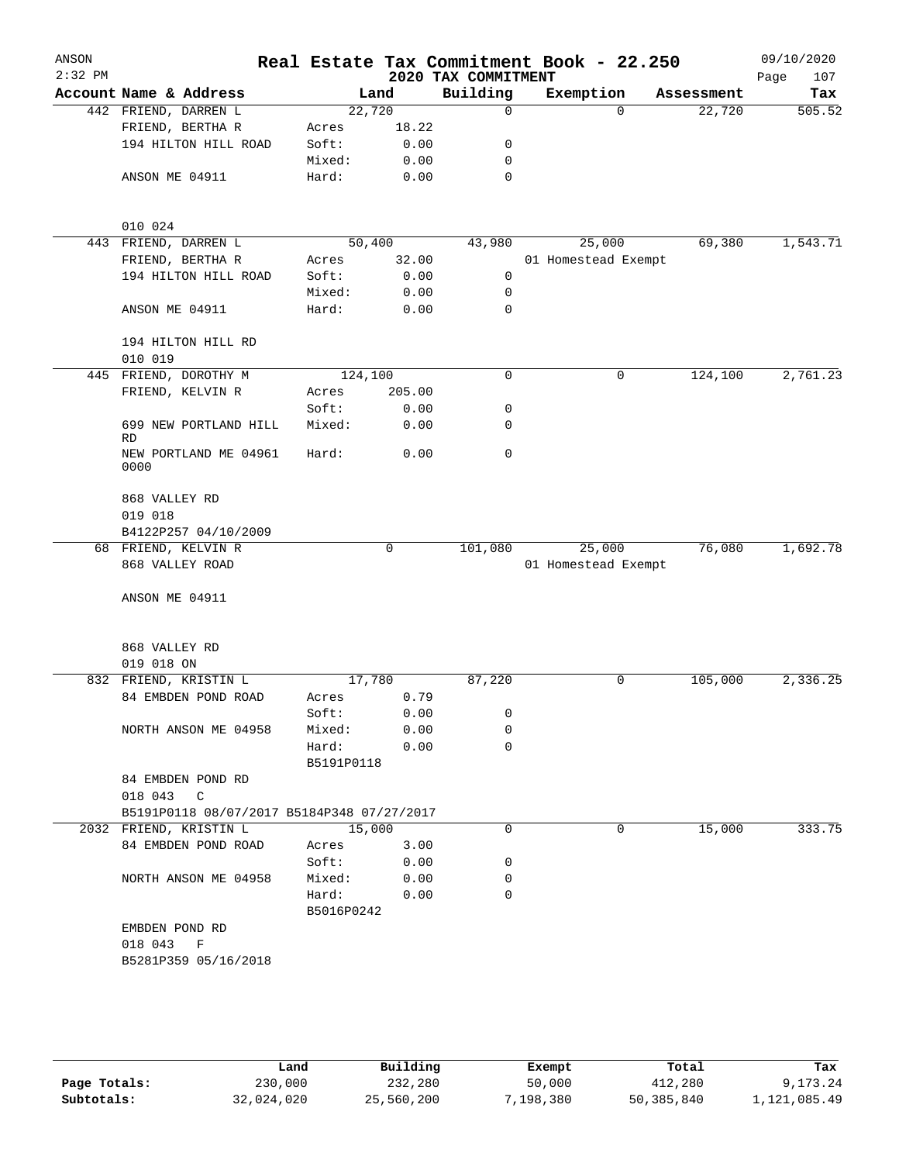| ANSON<br>$2:32$ PM |                          |                                            |                     |        | 2020 TAX COMMITMENT | Real Estate Tax Commitment Book - 22.250 |          |            | 09/10/2020<br>Page<br>107 |
|--------------------|--------------------------|--------------------------------------------|---------------------|--------|---------------------|------------------------------------------|----------|------------|---------------------------|
|                    |                          | Account Name & Address                     |                     | Land   | Building            | Exemption                                |          | Assessment | Tax                       |
|                    |                          | 442 FRIEND, DARREN L                       | 22,720              |        | $\mathbf 0$         |                                          | $\Omega$ | 22,720     | 505.52                    |
|                    |                          | FRIEND, BERTHA R                           | Acres               | 18.22  |                     |                                          |          |            |                           |
|                    |                          | 194 HILTON HILL ROAD                       | Soft:               | 0.00   | 0                   |                                          |          |            |                           |
|                    |                          |                                            | Mixed:              | 0.00   | 0                   |                                          |          |            |                           |
|                    | ANSON ME 04911           |                                            | Hard:               | 0.00   | 0                   |                                          |          |            |                           |
|                    | 010 024                  |                                            |                     |        |                     |                                          |          |            |                           |
|                    |                          | 443 FRIEND, DARREN L                       | 50,400              |        | 43,980              | 25,000                                   |          | 69,380     | 1,543.71                  |
|                    |                          | FRIEND, BERTHA R                           | Acres               | 32.00  |                     | 01 Homestead Exempt                      |          |            |                           |
|                    |                          | 194 HILTON HILL ROAD                       | Soft:               | 0.00   | 0                   |                                          |          |            |                           |
|                    |                          |                                            | Mixed:              | 0.00   | 0                   |                                          |          |            |                           |
|                    | ANSON ME 04911           |                                            | Hard:               | 0.00   | 0                   |                                          |          |            |                           |
|                    | 010 019                  | 194 HILTON HILL RD                         |                     |        |                     |                                          |          |            |                           |
|                    |                          | 445 FRIEND, DOROTHY M                      | 124,100             |        | 0                   |                                          | 0        | 124,100    | 2,761.23                  |
|                    |                          | FRIEND, KELVIN R                           | Acres               | 205.00 |                     |                                          |          |            |                           |
|                    |                          |                                            | Soft:               | 0.00   | 0                   |                                          |          |            |                           |
|                    | RD                       | 699 NEW PORTLAND HILL                      | Mixed:              | 0.00   | 0                   |                                          |          |            |                           |
|                    | 0000                     | NEW PORTLAND ME 04961                      | Hard:               | 0.00   | $\mathbf 0$         |                                          |          |            |                           |
|                    | 868 VALLEY RD<br>019 018 |                                            |                     |        |                     |                                          |          |            |                           |
|                    |                          | B4122P257 04/10/2009                       |                     |        |                     |                                          |          |            |                           |
|                    |                          | 68 FRIEND, KELVIN R                        |                     | 0      | 101,080             | 25,000                                   |          | 76,080     | 1,692.78                  |
|                    |                          | 868 VALLEY ROAD                            |                     |        |                     | 01 Homestead Exempt                      |          |            |                           |
|                    | ANSON ME 04911           |                                            |                     |        |                     |                                          |          |            |                           |
|                    | 868 VALLEY RD            |                                            |                     |        |                     |                                          |          |            |                           |
|                    | 019 018 ON               |                                            |                     |        |                     |                                          |          |            |                           |
|                    |                          | 832 FRIEND, KRISTIN L                      | 17,780              |        | 87,220              |                                          | 0        | 105,000    | 2,336.25                  |
|                    |                          | 84 EMBDEN POND ROAD                        | Acres               | 0.79   |                     |                                          |          |            |                           |
|                    |                          |                                            | Soft:               | 0.00   | 0                   |                                          |          |            |                           |
|                    |                          | NORTH ANSON ME 04958                       | Mixed:              | 0.00   | 0                   |                                          |          |            |                           |
|                    |                          |                                            | Hard:<br>B5191P0118 | 0.00   | $\mathbf 0$         |                                          |          |            |                           |
|                    |                          | 84 EMBDEN POND RD                          |                     |        |                     |                                          |          |            |                           |
|                    | 018 043 C                |                                            |                     |        |                     |                                          |          |            |                           |
|                    |                          | B5191P0118 08/07/2017 B5184P348 07/27/2017 |                     |        |                     |                                          |          |            |                           |
|                    |                          | 2032 FRIEND, KRISTIN L                     | 15,000              |        | 0                   |                                          | 0        | 15,000     | 333.75                    |
|                    |                          | 84 EMBDEN POND ROAD                        | Acres               | 3.00   |                     |                                          |          |            |                           |
|                    |                          |                                            | Soft:               | 0.00   | 0                   |                                          |          |            |                           |
|                    |                          | NORTH ANSON ME 04958                       | Mixed:              | 0.00   | 0                   |                                          |          |            |                           |
|                    |                          |                                            | Hard:               | 0.00   | 0                   |                                          |          |            |                           |
|                    |                          |                                            | B5016P0242          |        |                     |                                          |          |            |                           |
|                    | EMBDEN POND RD           |                                            |                     |        |                     |                                          |          |            |                           |
|                    | 018 043 F                |                                            |                     |        |                     |                                          |          |            |                           |
|                    |                          | B5281P359 05/16/2018                       |                     |        |                     |                                          |          |            |                           |
|                    |                          |                                            |                     |        |                     |                                          |          |            |                           |
|                    |                          |                                            |                     |        |                     |                                          |          |            |                           |

**Page Totals:** 230,000 232,280 50,000 412,280 9,173.24<br>**232,024,020** 25,560,200 7,198,380 50,385,840 1,121,085.49 **Subtotals:** 32,024,020 25,560,200 7,198,380 50,385,840 1,121,085.49 **Land Building Exempt Total Tax**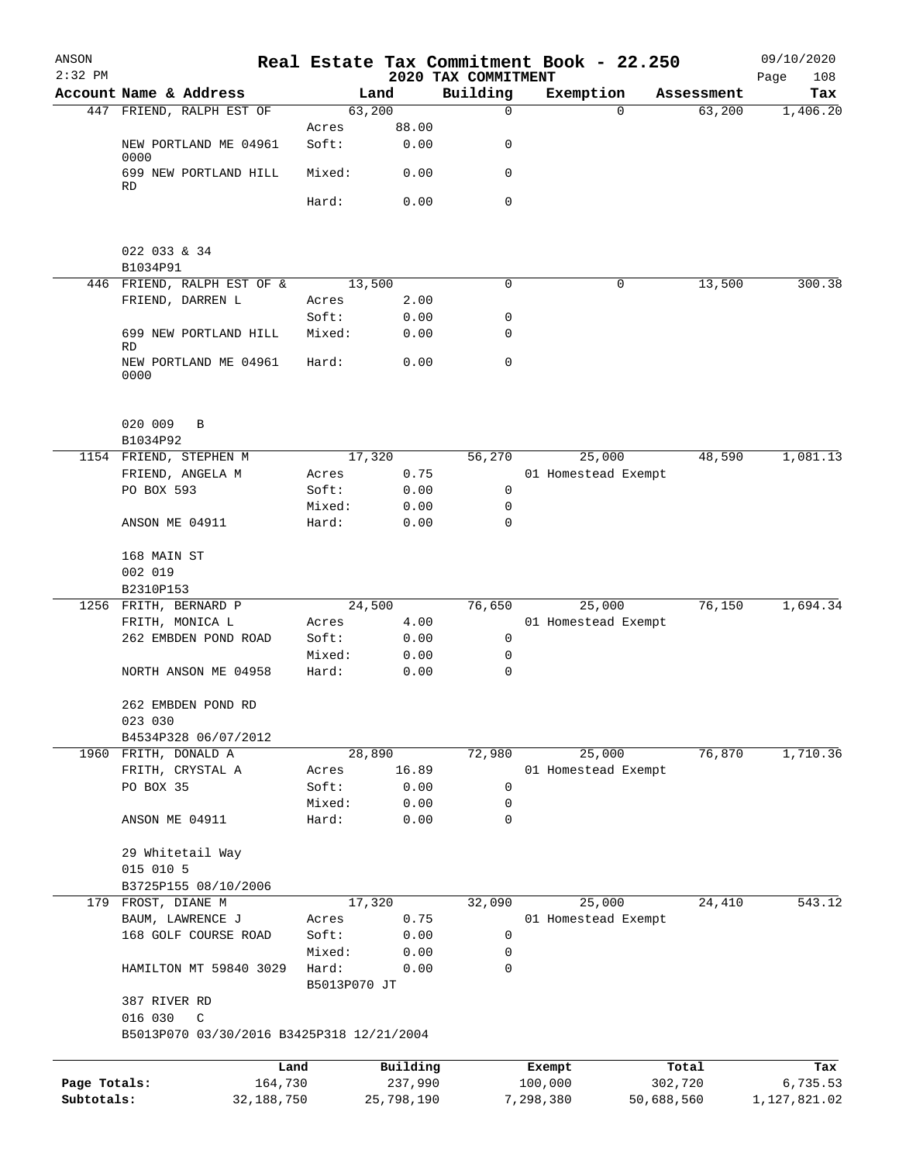| ANSON<br>$2:32$ PM |                                                           |                       |                | 2020 TAX COMMITMENT | Real Estate Tax Commitment Book - 22.250 |            | 09/10/2020<br>Page<br>108 |
|--------------------|-----------------------------------------------------------|-----------------------|----------------|---------------------|------------------------------------------|------------|---------------------------|
|                    | Account Name & Address                                    |                       | Land           | Building            | Exemption                                | Assessment | Tax                       |
|                    | 447 FRIEND, RALPH EST OF                                  |                       | 63,200         | $\mathbf 0$         | $\Omega$                                 | 63,200     | 1,406.20                  |
|                    |                                                           | Acres                 | 88.00          |                     |                                          |            |                           |
|                    | NEW PORTLAND ME 04961<br>0000                             | Soft:                 | 0.00           | 0                   |                                          |            |                           |
|                    | 699 NEW PORTLAND HILL<br>RD                               | Mixed:                | 0.00           | 0                   |                                          |            |                           |
|                    |                                                           | Hard:                 | 0.00           | $\mathsf{O}$        |                                          |            |                           |
|                    | 022 033 & 34                                              |                       |                |                     |                                          |            |                           |
|                    | B1034P91<br>446 FRIEND, RALPH EST OF &                    |                       | 13,500         | 0                   | 0                                        | 13,500     | 300.38                    |
|                    | FRIEND, DARREN L                                          | Acres                 | 2.00           |                     |                                          |            |                           |
|                    |                                                           | Soft:                 | 0.00           | 0                   |                                          |            |                           |
|                    | 699 NEW PORTLAND HILL<br>RD                               | Mixed:                | 0.00           | 0                   |                                          |            |                           |
|                    | NEW PORTLAND ME 04961<br>0000                             | Hard:                 | 0.00           | $\mathbf 0$         |                                          |            |                           |
|                    | 020 009<br>B                                              |                       |                |                     |                                          |            |                           |
|                    | B1034P92                                                  |                       |                |                     | 25,000                                   |            | 1,081.13                  |
|                    | 1154 FRIEND, STEPHEN M<br>FRIEND, ANGELA M                | Acres                 | 17,320<br>0.75 | 56,270              | 01 Homestead Exempt                      | 48,590     |                           |
|                    | PO BOX 593                                                | Soft:                 | 0.00           | 0                   |                                          |            |                           |
|                    |                                                           | Mixed:                | 0.00           | 0                   |                                          |            |                           |
|                    | ANSON ME 04911                                            | Hard:                 | 0.00           | 0                   |                                          |            |                           |
|                    | 168 MAIN ST                                               |                       |                |                     |                                          |            |                           |
|                    | 002 019                                                   |                       |                |                     |                                          |            |                           |
|                    | B2310P153                                                 |                       |                | 76,650              |                                          | 76,150     | 1,694.34                  |
|                    | 1256 FRITH, BERNARD P<br>FRITH, MONICA L                  | Acres                 | 24,500<br>4.00 |                     | 25,000<br>01 Homestead Exempt            |            |                           |
|                    | 262 EMBDEN POND ROAD                                      | Soft:                 | 0.00           | 0                   |                                          |            |                           |
|                    |                                                           | Mixed:                | 0.00           | 0                   |                                          |            |                           |
|                    | NORTH ANSON ME 04958                                      | Hard:                 | 0.00           | 0                   |                                          |            |                           |
|                    | 262 EMBDEN POND RD                                        |                       |                |                     |                                          |            |                           |
|                    | 023 030                                                   |                       |                |                     |                                          |            |                           |
|                    | B4534P328 06/07/2012<br>1960 FRITH, DONALD A              |                       | 28,890         | 72,980              | 25,000                                   | 76,870     | 1,710.36                  |
|                    | FRITH, CRYSTAL A                                          | Acres                 | 16.89          |                     | 01 Homestead Exempt                      |            |                           |
|                    | PO BOX 35                                                 | Soft:                 | 0.00           | 0                   |                                          |            |                           |
|                    |                                                           | Mixed:                | 0.00           | 0                   |                                          |            |                           |
|                    | ANSON ME 04911                                            | Hard:                 | 0.00           | 0                   |                                          |            |                           |
|                    | 29 Whitetail Way                                          |                       |                |                     |                                          |            |                           |
|                    | 015 010 5<br>B3725P155 08/10/2006                         |                       |                |                     |                                          |            |                           |
|                    | 179 FROST, DIANE M                                        |                       | 17,320         | 32,090              | 25,000                                   | 24,410     | 543.12                    |
|                    | BAUM, LAWRENCE J                                          | Acres                 | 0.75           |                     | 01 Homestead Exempt                      |            |                           |
|                    | 168 GOLF COURSE ROAD                                      | Soft:                 | 0.00           | 0                   |                                          |            |                           |
|                    |                                                           | Mixed:                | 0.00           | 0                   |                                          |            |                           |
|                    | HAMILTON MT 59840 3029                                    | Hard:<br>B5013P070 JT | 0.00           | 0                   |                                          |            |                           |
|                    | 387 RIVER RD                                              |                       |                |                     |                                          |            |                           |
|                    | 016 030<br>C<br>B5013P070 03/30/2016 B3425P318 12/21/2004 |                       |                |                     |                                          |            |                           |
|                    |                                                           | Land                  | Building       |                     | Exempt                                   | Total      | Tax                       |
| Page Totals:       | 164,730                                                   |                       | 237,990        |                     | 100,000                                  | 302,720    | 6,735.53                  |
| Subtotals:         | 32,188,750                                                |                       | 25,798,190     |                     | 7,298,380                                | 50,688,560 | 1,127,821.02              |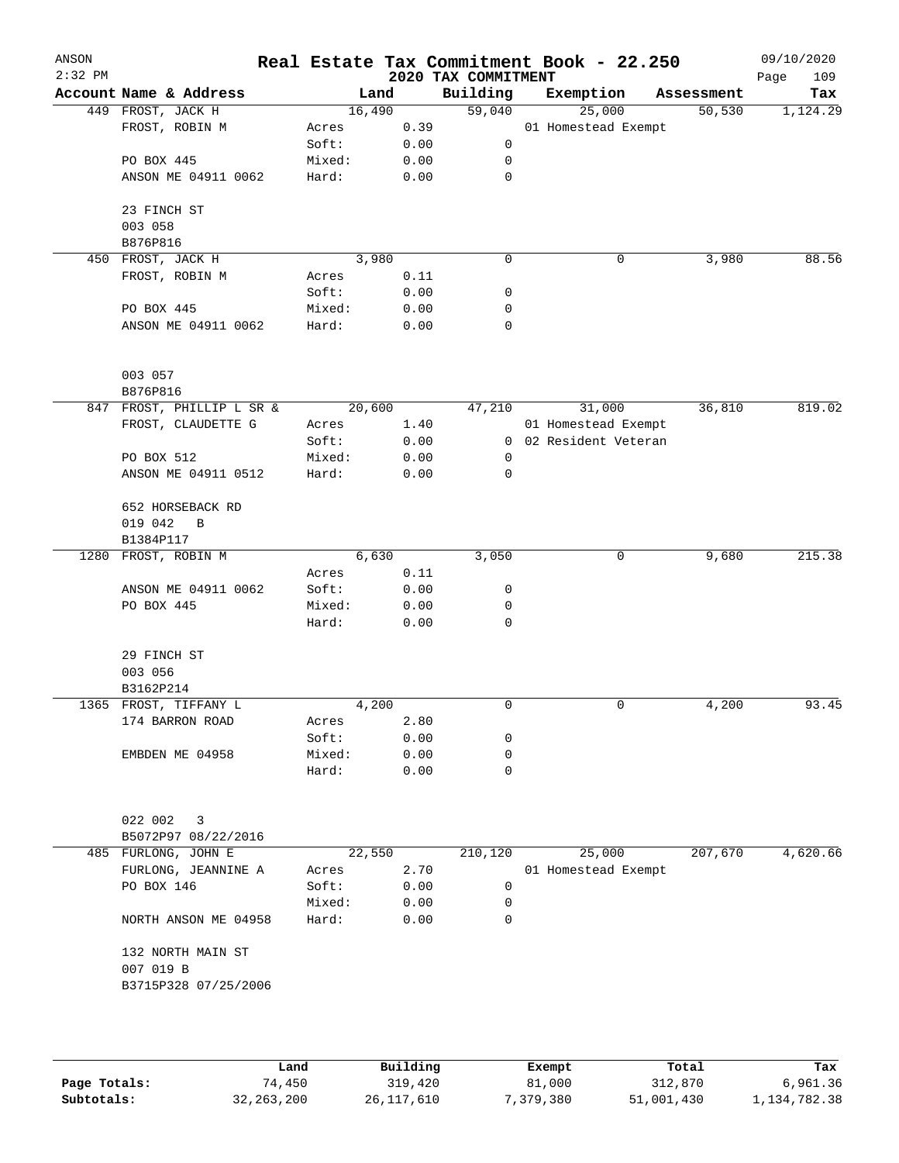| ANSON<br>$2:32$ PM |                           | Real Estate Tax Commitment Book - 22.250 |      | 2020 TAX COMMITMENT |                       |            | 09/10/2020<br>109<br>Page |
|--------------------|---------------------------|------------------------------------------|------|---------------------|-----------------------|------------|---------------------------|
|                    | Account Name & Address    | Land                                     |      | Building            | Exemption             | Assessment | Tax                       |
|                    | 449 FROST, JACK H         | 16,490                                   |      | 59,040              | 25,000                | 50,530     | 1,124.29                  |
|                    | FROST, ROBIN M            | Acres                                    | 0.39 |                     | 01 Homestead Exempt   |            |                           |
|                    |                           | Soft:                                    | 0.00 | 0                   |                       |            |                           |
|                    | PO BOX 445                | Mixed:                                   | 0.00 | 0                   |                       |            |                           |
|                    | ANSON ME 04911 0062       | Hard:                                    | 0.00 | 0                   |                       |            |                           |
|                    | 23 FINCH ST               |                                          |      |                     |                       |            |                           |
|                    | 003 058                   |                                          |      |                     |                       |            |                           |
|                    | B876P816                  |                                          |      |                     |                       |            |                           |
|                    | 450 FROST, JACK H         | 3,980                                    |      | $\mathbf 0$         | 0                     | 3,980      | 88.56                     |
|                    | FROST, ROBIN M            | Acres                                    | 0.11 |                     |                       |            |                           |
|                    |                           | Soft:                                    | 0.00 | 0                   |                       |            |                           |
|                    | PO BOX 445                | Mixed:                                   | 0.00 | 0                   |                       |            |                           |
|                    | ANSON ME 04911 0062       | Hard:                                    | 0.00 | $\mathbf 0$         |                       |            |                           |
|                    | 003 057                   |                                          |      |                     |                       |            |                           |
|                    | B876P816                  |                                          |      |                     |                       |            |                           |
|                    | 847 FROST, PHILLIP L SR & | 20,600                                   |      | 47,210              | 31,000                | 36,810     | 819.02                    |
|                    | FROST, CLAUDETTE G        | Acres                                    | 1.40 |                     | 01 Homestead Exempt   |            |                           |
|                    |                           | Soft:                                    | 0.00 |                     | 0 02 Resident Veteran |            |                           |
|                    | PO BOX 512                | Mixed:                                   | 0.00 | 0                   |                       |            |                           |
|                    | ANSON ME 04911 0512       | Hard:                                    | 0.00 | 0                   |                       |            |                           |
|                    | 652 HORSEBACK RD          |                                          |      |                     |                       |            |                           |
|                    | 019 042<br>B<br>B1384P117 |                                          |      |                     |                       |            |                           |
| 1280               | FROST, ROBIN M            | 6,630                                    |      | 3,050               | 0                     | 9,680      | 215.38                    |
|                    |                           | Acres                                    | 0.11 |                     |                       |            |                           |
|                    | ANSON ME 04911 0062       | Soft:                                    | 0.00 | 0                   |                       |            |                           |
|                    | PO BOX 445                | Mixed:                                   | 0.00 | 0                   |                       |            |                           |
|                    |                           | Hard:                                    | 0.00 | 0                   |                       |            |                           |
|                    | 29 FINCH ST               |                                          |      |                     |                       |            |                           |
|                    | 003 056                   |                                          |      |                     |                       |            |                           |
|                    | B3162P214                 |                                          |      |                     |                       |            |                           |
|                    | 1365 FROST, TIFFANY L     | 4,200                                    |      | 0                   | 0                     | 4,200      | 93.45                     |
|                    | 174 BARRON ROAD           | Acres                                    | 2.80 |                     |                       |            |                           |
|                    |                           | Soft:                                    | 0.00 | 0                   |                       |            |                           |
|                    | EMBDEN ME 04958           | Mixed:                                   | 0.00 | 0                   |                       |            |                           |
|                    |                           | Hard:                                    | 0.00 | 0                   |                       |            |                           |
|                    | 022 002<br>3              |                                          |      |                     |                       |            |                           |
|                    | B5072P97 08/22/2016       |                                          |      |                     |                       |            |                           |
|                    | 485 FURLONG, JOHN E       | 22,550                                   |      | 210,120             | 25,000                | 207,670    | 4,620.66                  |
|                    | FURLONG, JEANNINE A       | Acres                                    | 2.70 |                     | 01 Homestead Exempt   |            |                           |
|                    | PO BOX 146                | Soft:                                    | 0.00 | 0                   |                       |            |                           |
|                    |                           | Mixed:                                   | 0.00 | 0                   |                       |            |                           |
|                    | NORTH ANSON ME 04958      | Hard:                                    | 0.00 | 0                   |                       |            |                           |
|                    | 132 NORTH MAIN ST         |                                          |      |                     |                       |            |                           |
|                    | 007 019 B                 |                                          |      |                     |                       |            |                           |
|                    | B3715P328 07/25/2006      |                                          |      |                     |                       |            |                           |
|                    |                           |                                          |      |                     |                       |            |                           |
|                    |                           |                                          |      |                     |                       |            |                           |
|                    |                           |                                          |      |                     |                       |            |                           |

|              | Land       | Building     | Exempt    | Total      | Tax          |
|--------------|------------|--------------|-----------|------------|--------------|
| Page Totals: | 74,450     | 319,420      | 81,000    | 312,870    | 6,961.36     |
| Subtotals:   | 32,263,200 | 26, 117, 610 | 7,379,380 | 51,001,430 | 1,134,782.38 |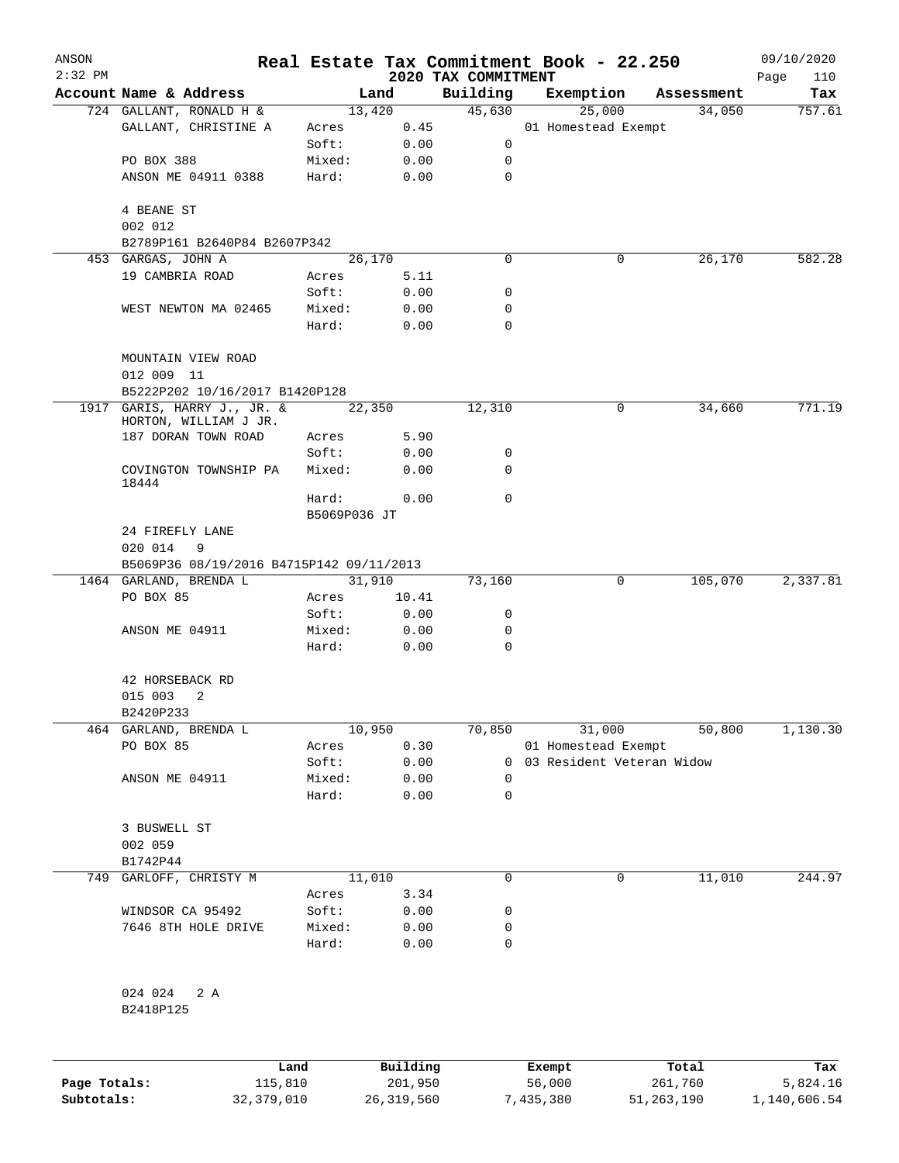| ANSON<br>$2:32$ PM |                                                      |                 |              |                                 | Real Estate Tax Commitment Book - 22.250 |              | 09/10/2020         |
|--------------------|------------------------------------------------------|-----------------|--------------|---------------------------------|------------------------------------------|--------------|--------------------|
|                    | Account Name & Address                               |                 | Land         | 2020 TAX COMMITMENT<br>Building | Exemption                                | Assessment   | Page<br>110<br>Tax |
|                    | 724 GALLANT, RONALD H &                              |                 | 13,420       | 45,630                          | 25,000                                   | 34,050       | 757.61             |
|                    | GALLANT, CHRISTINE A                                 | Acres           | 0.45         |                                 | 01 Homestead Exempt                      |              |                    |
|                    |                                                      | Soft:           | 0.00         | 0                               |                                          |              |                    |
|                    | PO BOX 388                                           | Mixed:          | 0.00         | 0                               |                                          |              |                    |
|                    | ANSON ME 04911 0388                                  | Hard:           | 0.00         | $\mathbf 0$                     |                                          |              |                    |
|                    | 4 BEANE ST                                           |                 |              |                                 |                                          |              |                    |
|                    | 002 012                                              |                 |              |                                 |                                          |              |                    |
|                    | B2789P161 B2640P84 B2607P342                         |                 |              |                                 |                                          |              |                    |
|                    | 453 GARGAS, JOHN A                                   |                 | 26,170       | $\Omega$                        | 0                                        | 26,170       | 582.28             |
|                    | 19 CAMBRIA ROAD                                      | Acres           | 5.11         |                                 |                                          |              |                    |
|                    |                                                      | Soft:           | 0.00         | 0                               |                                          |              |                    |
|                    | WEST NEWTON MA 02465                                 | Mixed:<br>Hard: | 0.00<br>0.00 | 0<br>$\Omega$                   |                                          |              |                    |
|                    | MOUNTAIN VIEW ROAD<br>012 009 11                     |                 |              |                                 |                                          |              |                    |
|                    | B5222P202 10/16/2017 B1420P128                       |                 |              |                                 |                                          |              |                    |
|                    | 1917 GARIS, HARRY J., JR. &<br>HORTON, WILLIAM J JR. | 22,350          |              | 12,310                          | 0                                        | 34,660       | 771.19             |
|                    | 187 DORAN TOWN ROAD                                  | Acres           | 5.90         |                                 |                                          |              |                    |
|                    |                                                      | Soft:           | 0.00         | 0                               |                                          |              |                    |
|                    | COVINGTON TOWNSHIP PA<br>18444                       | Mixed:          | 0.00         | $\Omega$                        |                                          |              |                    |
|                    |                                                      | Hard:           | 0.00         | $\mathbf 0$                     |                                          |              |                    |
|                    |                                                      | B5069P036 JT    |              |                                 |                                          |              |                    |
|                    | 24 FIREFLY LANE                                      |                 |              |                                 |                                          |              |                    |
|                    | 020 014<br>9                                         |                 |              |                                 |                                          |              |                    |
|                    | B5069P36 08/19/2016 B4715P142 09/11/2013             |                 |              |                                 |                                          |              |                    |
|                    | 1464 GARLAND, BRENDA L                               |                 | 31,910       | 73,160                          | 0                                        | 105,070      | 2,337.81           |
|                    | PO BOX 85                                            | Acres           | 10.41        |                                 |                                          |              |                    |
|                    | ANSON ME 04911                                       | Soft:<br>Mixed: | 0.00<br>0.00 | 0<br>0                          |                                          |              |                    |
|                    |                                                      | Hard:           | 0.00         | 0                               |                                          |              |                    |
|                    | 42 HORSEBACK RD                                      |                 |              |                                 |                                          |              |                    |
|                    | 015 003<br>2                                         |                 |              |                                 |                                          |              |                    |
|                    | B2420P233                                            |                 |              |                                 |                                          |              |                    |
| 464                | GARLAND, BRENDA L                                    |                 | 10,950       | 70,850                          | 31,000                                   | 50,800       | 1,130.30           |
|                    | PO BOX 85                                            | Acres           | 0.30         |                                 | 01 Homestead Exempt                      |              |                    |
|                    |                                                      | Soft:           | 0.00         | 0                               | 03 Resident Veteran Widow                |              |                    |
|                    | ANSON ME 04911                                       | Mixed:          | 0.00         | 0                               |                                          |              |                    |
|                    |                                                      | Hard:           | 0.00         | $\mathbf 0$                     |                                          |              |                    |
|                    | 3 BUSWELL ST                                         |                 |              |                                 |                                          |              |                    |
|                    | 002 059                                              |                 |              |                                 |                                          |              |                    |
|                    | B1742P44                                             |                 |              |                                 |                                          |              |                    |
| 749                | GARLOFF, CHRISTY M                                   |                 | 11,010       | $\mathbf 0$                     | 0                                        | 11,010       | 244.97             |
|                    |                                                      | Acres           | 3.34         |                                 |                                          |              |                    |
|                    | WINDSOR CA 95492                                     | Soft:           | 0.00         | 0                               |                                          |              |                    |
|                    | 7646 8TH HOLE DRIVE                                  | Mixed:          | 0.00         | 0                               |                                          |              |                    |
|                    |                                                      | Hard:           | 0.00         | 0                               |                                          |              |                    |
|                    | 024 024<br>2 A                                       |                 |              |                                 |                                          |              |                    |
|                    | B2418P125                                            |                 |              |                                 |                                          |              |                    |
|                    |                                                      | Land            | Building     |                                 | Exempt                                   | Total        | Tax                |
| Page Totals:       | 115,810                                              |                 | 201,950      |                                 | 56,000                                   | 261,760      | 5,824.16           |
| Subtotals:         | 32, 379, 010                                         |                 | 26, 319, 560 |                                 | 7,435,380                                | 51, 263, 190 | 1,140,606.54       |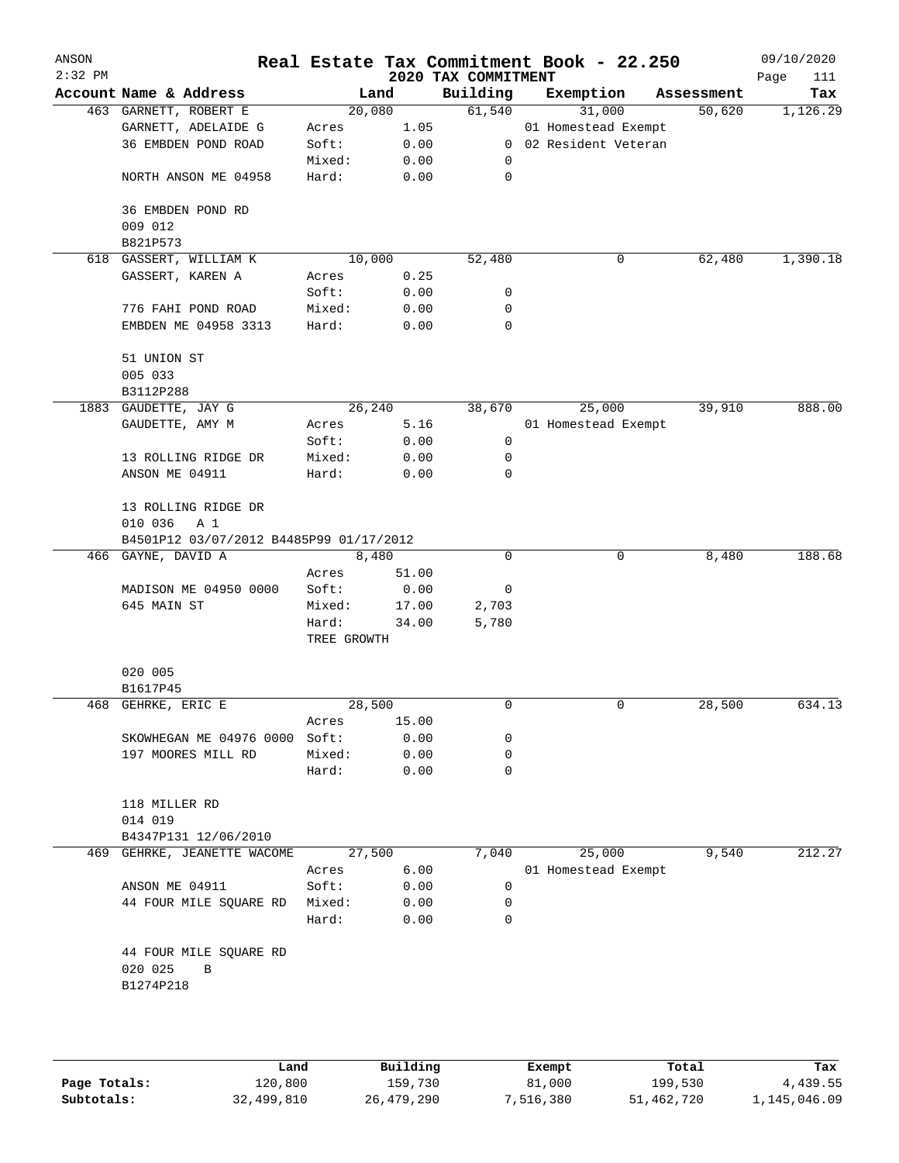| ANSON<br>$2:32$ PM |                                         |             |       | 2020 TAX COMMITMENT | Real Estate Tax Commitment Book - 22.250 |            | 09/10/2020<br>Page<br>111 |
|--------------------|-----------------------------------------|-------------|-------|---------------------|------------------------------------------|------------|---------------------------|
|                    | Account Name & Address                  | Land        |       | Building            | Exemption                                | Assessment | Tax                       |
|                    | 463 GARNETT, ROBERT E                   | 20,080      |       | 61,540              | 31,000                                   | 50,620     | 1,126.29                  |
|                    | GARNETT, ADELAIDE G                     | Acres       | 1.05  |                     | 01 Homestead Exempt                      |            |                           |
|                    | 36 EMBDEN POND ROAD                     | Soft:       | 0.00  |                     | 0 02 Resident Veteran                    |            |                           |
|                    |                                         | Mixed:      | 0.00  | 0                   |                                          |            |                           |
|                    | NORTH ANSON ME 04958                    | Hard:       | 0.00  | $\mathbf 0$         |                                          |            |                           |
|                    | 36 EMBDEN POND RD                       |             |       |                     |                                          |            |                           |
|                    | 009 012<br>B821P573                     |             |       |                     |                                          |            |                           |
|                    | 618 GASSERT, WILLIAM K                  | 10,000      |       | 52,480              | 0                                        | 62,480     | 1,390.18                  |
|                    | GASSERT, KAREN A                        | Acres       | 0.25  |                     |                                          |            |                           |
|                    |                                         | Soft:       | 0.00  |                     |                                          |            |                           |
|                    |                                         |             |       | 0                   |                                          |            |                           |
|                    | 776 FAHI POND ROAD                      | Mixed:      | 0.00  | 0                   |                                          |            |                           |
|                    | EMBDEN ME 04958 3313                    | Hard:       | 0.00  | 0                   |                                          |            |                           |
|                    | 51 UNION ST                             |             |       |                     |                                          |            |                           |
|                    | 005 033                                 |             |       |                     |                                          |            |                           |
|                    | B3112P288                               |             |       |                     |                                          |            |                           |
|                    | 1883 GAUDETTE, JAY G                    | 26,240      |       | 38,670              | 25,000                                   | 39,910     | 888.00                    |
|                    | GAUDETTE, AMY M                         | Acres       | 5.16  |                     | 01 Homestead Exempt                      |            |                           |
|                    |                                         | Soft:       | 0.00  | 0                   |                                          |            |                           |
|                    | 13 ROLLING RIDGE DR                     | Mixed:      | 0.00  | 0                   |                                          |            |                           |
|                    | ANSON ME 04911                          | Hard:       | 0.00  | 0                   |                                          |            |                           |
|                    | 13 ROLLING RIDGE DR                     |             |       |                     |                                          |            |                           |
|                    | 010 036<br>A 1                          |             |       |                     |                                          |            |                           |
|                    | B4501P12 03/07/2012 B4485P99 01/17/2012 |             |       |                     |                                          |            |                           |
|                    | 466 GAYNE, DAVID A                      | 8,480       |       | 0                   | 0                                        | 8,480      | 188.68                    |
|                    |                                         | Acres       | 51.00 |                     |                                          |            |                           |
|                    | MADISON ME 04950 0000                   | Soft:       | 0.00  | 0                   |                                          |            |                           |
|                    | 645 MAIN ST                             | Mixed:      | 17.00 | 2,703               |                                          |            |                           |
|                    |                                         | Hard:       | 34.00 | 5,780               |                                          |            |                           |
|                    |                                         | TREE GROWTH |       |                     |                                          |            |                           |
|                    | 020 005                                 |             |       |                     |                                          |            |                           |
|                    | B1617P45                                |             |       |                     |                                          |            |                           |
|                    | 468 GEHRKE, ERIC E                      | 28,500      |       | 0                   | 0                                        | 28,500     | 634.13                    |
|                    |                                         | Acres       | 15.00 |                     |                                          |            |                           |
|                    | SKOWHEGAN ME 04976 0000                 | Soft:       | 0.00  | 0                   |                                          |            |                           |
|                    | 197 MOORES MILL RD                      | Mixed:      | 0.00  | 0                   |                                          |            |                           |
|                    |                                         | Hard:       | 0.00  | 0                   |                                          |            |                           |
|                    | 118 MILLER RD                           |             |       |                     |                                          |            |                           |
|                    | 014 019                                 |             |       |                     |                                          |            |                           |
|                    | B4347P131 12/06/2010                    |             |       |                     |                                          |            |                           |
| 469                | GEHRKE, JEANETTE WACOME                 | 27,500      |       | 7,040               | 25,000                                   | 9,540      | 212.27                    |
|                    |                                         | Acres       | 6.00  |                     | 01 Homestead Exempt                      |            |                           |
|                    | ANSON ME 04911                          | Soft:       | 0.00  | 0                   |                                          |            |                           |
|                    | 44 FOUR MILE SQUARE RD                  | Mixed:      | 0.00  | 0                   |                                          |            |                           |
|                    |                                         | Hard:       | 0.00  | $\Omega$            |                                          |            |                           |
|                    | 44 FOUR MILE SQUARE RD                  |             |       |                     |                                          |            |                           |
|                    | 020 025<br>B                            |             |       |                     |                                          |            |                           |
|                    | B1274P218                               |             |       |                     |                                          |            |                           |
|                    |                                         |             |       |                     |                                          |            |                           |
|                    |                                         |             |       |                     |                                          |            |                           |
|                    |                                         |             |       |                     |                                          |            |                           |
|                    |                                         |             |       |                     |                                          |            |                           |

|              | Land       | Building   | Exempt    | Total      | Tax          |
|--------------|------------|------------|-----------|------------|--------------|
| Page Totals: | 120,800    | 159,730    | 81,000    | 199,530    | 4,439.55     |
| Subtotals:   | 32,499,810 | 26,479,290 | 7,516,380 | 51,462,720 | 1,145,046.09 |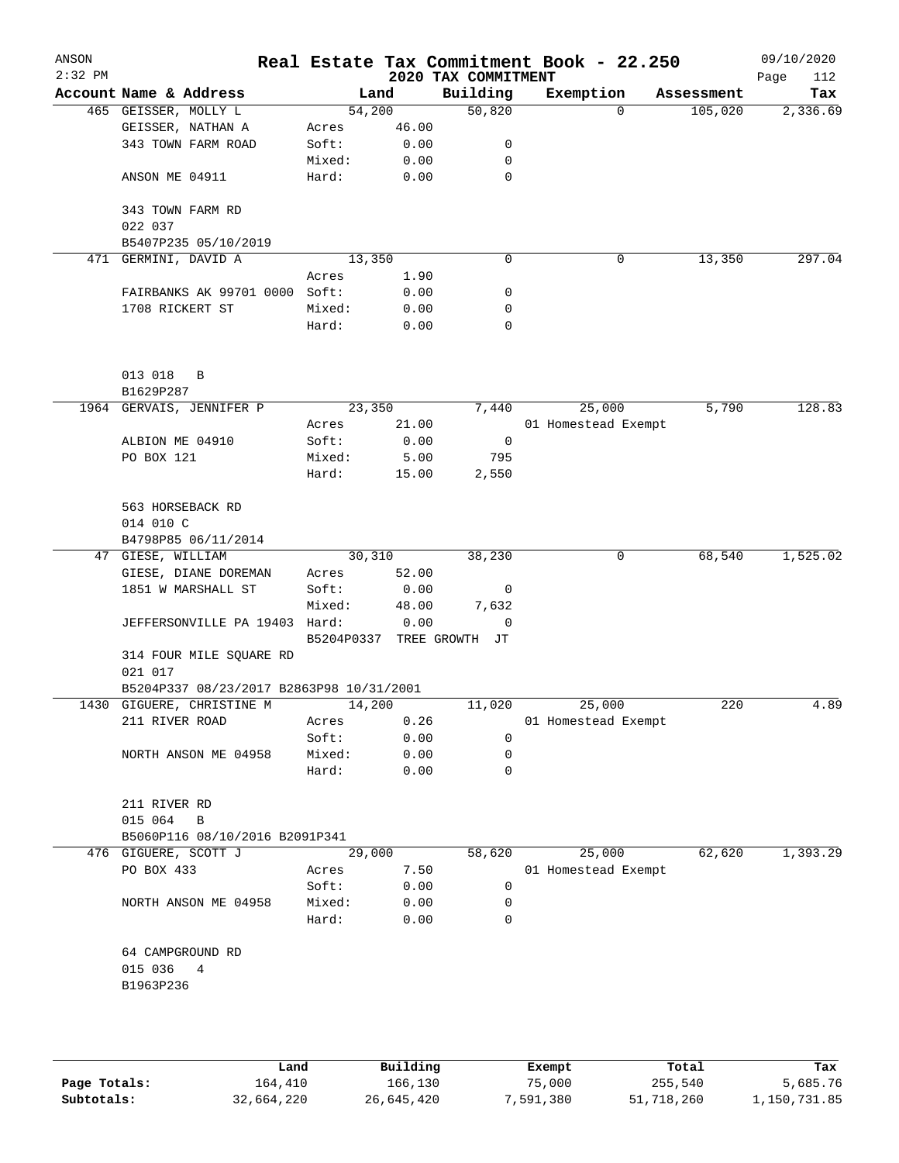| ANSON     |                                           |                |               |                           | Real Estate Tax Commitment Book - 22.250 |                                   | 09/10/2020  |
|-----------|-------------------------------------------|----------------|---------------|---------------------------|------------------------------------------|-----------------------------------|-------------|
| $2:32$ PM |                                           |                |               | 2020 TAX COMMITMENT       |                                          |                                   | Page<br>112 |
|           | Account Name & Address                    |                | Land          | Building                  | Exemption                                | Assessment<br>105,020<br>$\Omega$ | Tax         |
|           | 465 GEISSER, MOLLY L<br>GEISSER, NATHAN A | 54,200         | 46.00         | 50,820                    |                                          |                                   | 2,336.69    |
|           | 343 TOWN FARM ROAD                        | Acres<br>Soft: | 0.00          | 0                         |                                          |                                   |             |
|           |                                           | Mixed:         | 0.00          | $\mathbf 0$               |                                          |                                   |             |
|           | ANSON ME 04911                            | Hard:          | 0.00          | $\mathbf 0$               |                                          |                                   |             |
|           |                                           |                |               |                           |                                          |                                   |             |
|           | 343 TOWN FARM RD                          |                |               |                           |                                          |                                   |             |
|           | 022 037                                   |                |               |                           |                                          |                                   |             |
|           | B5407P235 05/10/2019                      |                |               |                           |                                          |                                   |             |
|           | 471 GERMINI, DAVID A                      | 13,350         |               | $\mathbf 0$               |                                          | 13,350<br>0                       | 297.04      |
|           |                                           | Acres          | 1.90          |                           |                                          |                                   |             |
|           | FAIRBANKS AK 99701 0000 Soft:             |                | 0.00          | 0                         |                                          |                                   |             |
|           | 1708 RICKERT ST                           | Mixed:         | 0.00          | 0                         |                                          |                                   |             |
|           |                                           | Hard:          | 0.00          | $\mathbf 0$               |                                          |                                   |             |
|           |                                           |                |               |                           |                                          |                                   |             |
|           |                                           |                |               |                           |                                          |                                   |             |
|           | 013 018<br>B                              |                |               |                           |                                          |                                   |             |
|           | B1629P287                                 |                |               |                           |                                          |                                   |             |
|           | 1964 GERVAIS, JENNIFER P                  | 23,350         |               | 7,440                     | 25,000                                   | 5,790                             | 128.83      |
|           |                                           | Acres          | 21.00         |                           | 01 Homestead Exempt                      |                                   |             |
|           | ALBION ME 04910                           | Soft:          | 0.00          | $\overline{0}$            |                                          |                                   |             |
|           | PO BOX 121                                | Mixed:         | 5.00          | 795                       |                                          |                                   |             |
|           |                                           | Hard:          | 15.00         | 2,550                     |                                          |                                   |             |
|           |                                           |                |               |                           |                                          |                                   |             |
|           | 563 HORSEBACK RD                          |                |               |                           |                                          |                                   |             |
|           | 014 010 C                                 |                |               |                           |                                          |                                   |             |
|           | B4798P85 06/11/2014                       |                |               |                           |                                          |                                   |             |
|           | 47 GIESE, WILLIAM                         | 30,310         |               | 38,230                    |                                          | 68,540<br>0                       | 1,525.02    |
|           | GIESE, DIANE DOREMAN                      | Acres          | 52.00         |                           |                                          |                                   |             |
|           | 1851 W MARSHALL ST                        | Soft:          | 0.00<br>48.00 | $\overline{0}$<br>7,632   |                                          |                                   |             |
|           | JEFFERSONVILLE PA 19403 Hard:             | Mixed:         | 0.00          | $\overline{0}$            |                                          |                                   |             |
|           |                                           |                |               | B5204P0337 TREE GROWTH JT |                                          |                                   |             |
|           | 314 FOUR MILE SQUARE RD                   |                |               |                           |                                          |                                   |             |
|           | 021 017                                   |                |               |                           |                                          |                                   |             |
|           | B5204P337 08/23/2017 B2863P98 10/31/2001  |                |               |                           |                                          |                                   |             |
|           | 1430 GIGUERE, CHRISTINE M                 | 14,200         |               | 11,020                    | 25,000                                   | 220                               | 4.89        |
|           | 211 RIVER ROAD                            | Acres          | 0.26          |                           | 01 Homestead Exempt                      |                                   |             |
|           |                                           | Soft:          | 0.00          | $\mathbf 0$               |                                          |                                   |             |
|           | NORTH ANSON ME 04958                      | Mixed:         | 0.00          | $\mathbf 0$               |                                          |                                   |             |
|           |                                           | Hard:          | 0.00          | $\mathbf 0$               |                                          |                                   |             |
|           |                                           |                |               |                           |                                          |                                   |             |
|           | 211 RIVER RD                              |                |               |                           |                                          |                                   |             |
|           | 015 064<br>B                              |                |               |                           |                                          |                                   |             |
|           | B5060P116 08/10/2016 B2091P341            |                |               |                           |                                          |                                   |             |
|           | 476 GIGUERE, SCOTT J                      | 29,000         |               | 58,620                    | 25,000                                   | 62,620                            | 1,393.29    |
|           | PO BOX 433                                | Acres          | 7.50          |                           | 01 Homestead Exempt                      |                                   |             |
|           |                                           | Soft:          | 0.00          | 0                         |                                          |                                   |             |
|           | NORTH ANSON ME 04958                      | Mixed:         | 0.00          | 0                         |                                          |                                   |             |
|           |                                           | Hard:          | 0.00          | 0                         |                                          |                                   |             |
|           |                                           |                |               |                           |                                          |                                   |             |
|           | 64 CAMPGROUND RD                          |                |               |                           |                                          |                                   |             |
|           | 015 036<br>4                              |                |               |                           |                                          |                                   |             |
|           | B1963P236                                 |                |               |                           |                                          |                                   |             |
|           |                                           |                |               |                           |                                          |                                   |             |
|           |                                           |                |               |                           |                                          |                                   |             |
|           |                                           |                |               |                           |                                          |                                   |             |
|           |                                           |                |               |                           |                                          |                                   |             |

|              | Land       | Building   | Exempt    | Total      | Tax          |
|--------------|------------|------------|-----------|------------|--------------|
| Page Totals: | 164,410    | 166,130    | 75,000    | 255,540    | 5,685.76     |
| Subtotals:   | 32,664,220 | 26,645,420 | 7,591,380 | 51,718,260 | 1,150,731.85 |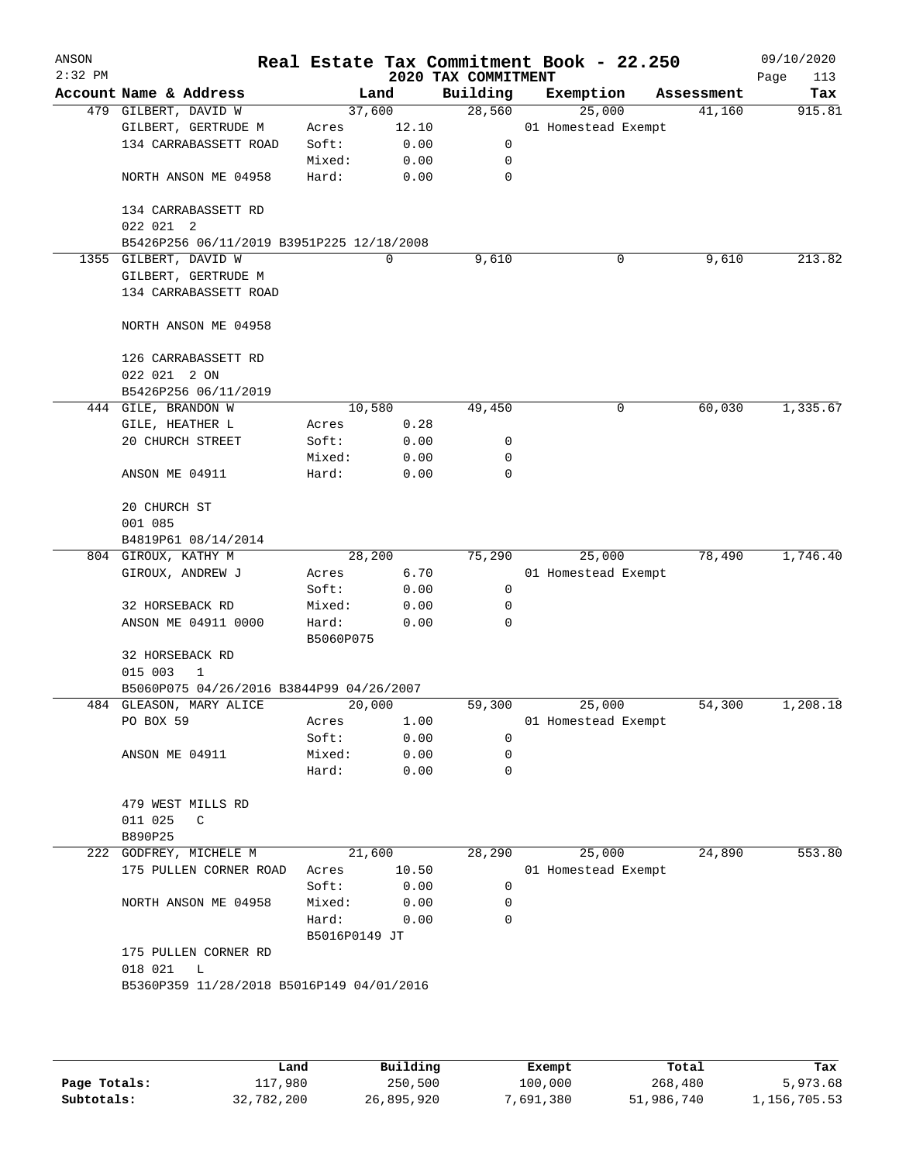| ANSON<br>$2:32$ PM |                                           |               |        | Real Estate Tax Commitment Book - 22.250<br>2020 TAX COMMITMENT |                     |        |            | 09/10/2020<br>Page<br>113 |
|--------------------|-------------------------------------------|---------------|--------|-----------------------------------------------------------------|---------------------|--------|------------|---------------------------|
|                    | Account Name & Address                    |               | Land   | Building                                                        | Exemption           |        | Assessment | Tax                       |
|                    | 479 GILBERT, DAVID W                      |               | 37,600 | 28,560                                                          |                     | 25,000 | 41,160     | 915.81                    |
|                    | GILBERT, GERTRUDE M                       | Acres         | 12.10  |                                                                 | 01 Homestead Exempt |        |            |                           |
|                    | 134 CARRABASSETT ROAD                     | Soft:         | 0.00   | 0                                                               |                     |        |            |                           |
|                    |                                           | Mixed:        | 0.00   | 0                                                               |                     |        |            |                           |
|                    | NORTH ANSON ME 04958                      | Hard:         | 0.00   | 0                                                               |                     |        |            |                           |
|                    | 134 CARRABASSETT RD                       |               |        |                                                                 |                     |        |            |                           |
|                    | 022 021 2                                 |               |        |                                                                 |                     |        |            |                           |
|                    | B5426P256 06/11/2019 B3951P225 12/18/2008 |               |        |                                                                 |                     |        |            |                           |
|                    | 1355 GILBERT, DAVID W                     |               | 0      | 9,610                                                           |                     | 0      | 9,610      | 213.82                    |
|                    | GILBERT, GERTRUDE M                       |               |        |                                                                 |                     |        |            |                           |
|                    | 134 CARRABASSETT ROAD                     |               |        |                                                                 |                     |        |            |                           |
|                    | NORTH ANSON ME 04958                      |               |        |                                                                 |                     |        |            |                           |
|                    | 126 CARRABASSETT RD                       |               |        |                                                                 |                     |        |            |                           |
|                    | 022 021 2 ON                              |               |        |                                                                 |                     |        |            |                           |
|                    | B5426P256 06/11/2019                      |               |        |                                                                 |                     |        |            |                           |
|                    | 444 GILE, BRANDON W                       |               | 10,580 | 49,450                                                          |                     | 0      | 60,030     | 1,335.67                  |
|                    | GILE, HEATHER L                           | Acres         | 0.28   |                                                                 |                     |        |            |                           |
|                    | 20 CHURCH STREET                          | Soft:         | 0.00   | 0                                                               |                     |        |            |                           |
|                    |                                           | Mixed:        | 0.00   | 0                                                               |                     |        |            |                           |
|                    | ANSON ME 04911                            | Hard:         | 0.00   | 0                                                               |                     |        |            |                           |
|                    | 20 CHURCH ST                              |               |        |                                                                 |                     |        |            |                           |
|                    | 001 085                                   |               |        |                                                                 |                     |        |            |                           |
|                    | B4819P61 08/14/2014                       |               |        |                                                                 |                     |        |            |                           |
|                    | 804 GIROUX, KATHY M                       |               | 28,200 | 75,290                                                          |                     | 25,000 | 78,490     | 1,746.40                  |
|                    | GIROUX, ANDREW J                          | Acres         | 6.70   |                                                                 | 01 Homestead Exempt |        |            |                           |
|                    |                                           | Soft:         | 0.00   | 0                                                               |                     |        |            |                           |
|                    | 32 HORSEBACK RD                           | Mixed:        | 0.00   | 0                                                               |                     |        |            |                           |
|                    | ANSON ME 04911 0000                       | Hard:         | 0.00   | 0                                                               |                     |        |            |                           |
|                    |                                           | B5060P075     |        |                                                                 |                     |        |            |                           |
|                    | 32 HORSEBACK RD                           |               |        |                                                                 |                     |        |            |                           |
|                    | 015 003<br>1                              |               |        |                                                                 |                     |        |            |                           |
|                    | B5060P075 04/26/2016 B3844P99 04/26/2007  |               |        |                                                                 |                     |        |            |                           |
|                    | 484 GLEASON, MARY ALICE                   | 20,000        |        | 59,300                                                          |                     | 25,000 | 54,300     | 1,208.18                  |
|                    | PO BOX 59                                 | Acres         | 1.00   |                                                                 | 01 Homestead Exempt |        |            |                           |
|                    |                                           | Soft:         | 0.00   | 0                                                               |                     |        |            |                           |
|                    | ANSON ME 04911                            | Mixed:        | 0.00   | 0                                                               |                     |        |            |                           |
|                    |                                           | Hard:         | 0.00   | 0                                                               |                     |        |            |                           |
|                    | 479 WEST MILLS RD                         |               |        |                                                                 |                     |        |            |                           |
|                    | 011 025<br>C                              |               |        |                                                                 |                     |        |            |                           |
|                    | B890P25                                   |               |        |                                                                 |                     |        |            |                           |
|                    | 222 GODFREY, MICHELE M                    |               | 21,600 | 28,290                                                          |                     | 25,000 | 24,890     | 553.80                    |
|                    | 175 PULLEN CORNER ROAD                    | Acres         | 10.50  |                                                                 | 01 Homestead Exempt |        |            |                           |
|                    |                                           | Soft:         | 0.00   | 0                                                               |                     |        |            |                           |
|                    | NORTH ANSON ME 04958                      | Mixed:        | 0.00   | 0                                                               |                     |        |            |                           |
|                    |                                           | Hard:         | 0.00   | $\Omega$                                                        |                     |        |            |                           |
|                    |                                           | B5016P0149 JT |        |                                                                 |                     |        |            |                           |
|                    | 175 PULLEN CORNER RD                      |               |        |                                                                 |                     |        |            |                           |
|                    | 018 021<br>L                              |               |        |                                                                 |                     |        |            |                           |
|                    |                                           |               |        |                                                                 |                     |        |            |                           |

|              | Land       | Building   | Exempt    | Total      | Tax          |
|--------------|------------|------------|-----------|------------|--------------|
| Page Totals: | 117,980    | 250,500    | 100,000   | 268,480    | 5,973.68     |
| Subtotals:   | 32,782,200 | 26,895,920 | 7,691,380 | 51,986,740 | L,156,705.53 |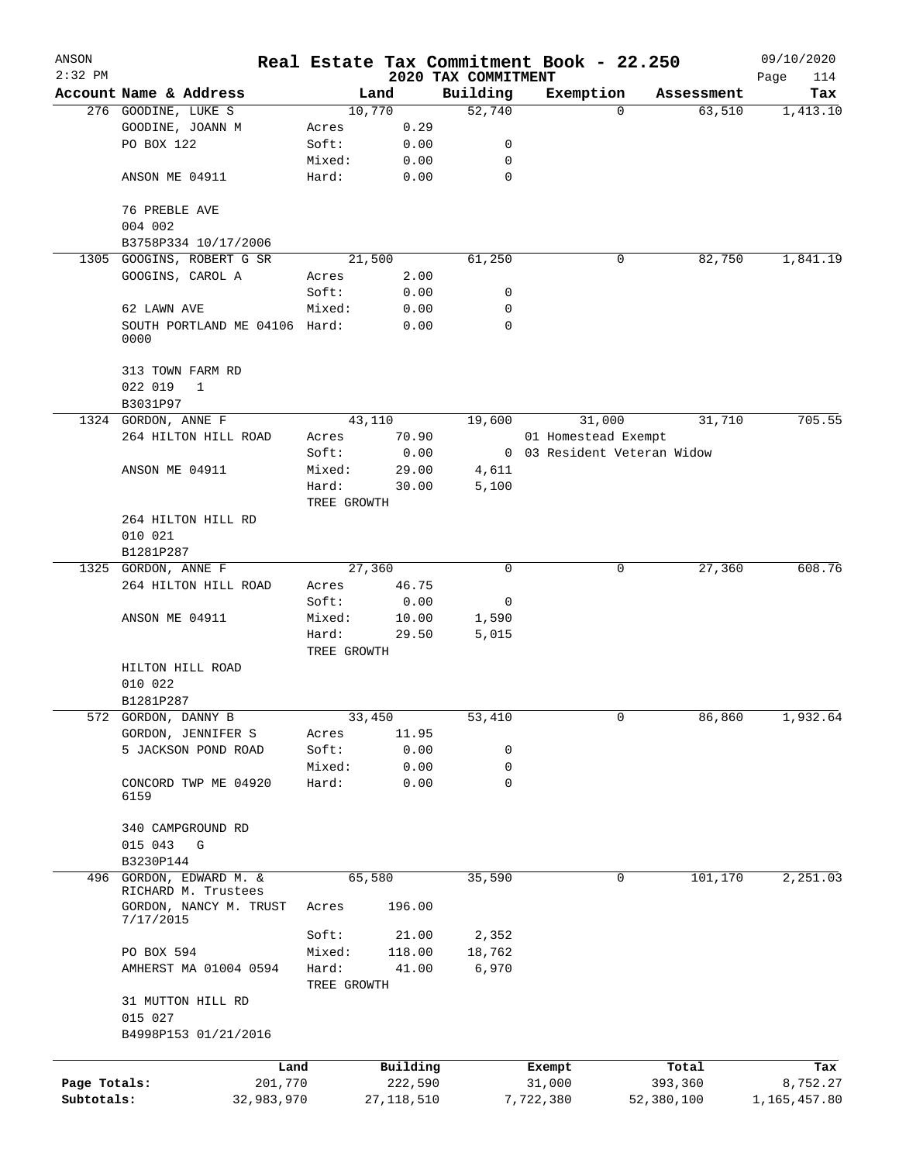| ANSON        |                                         |                |                |                     | Real Estate Tax Commitment Book - 22.250 |                                  | 09/10/2020   |
|--------------|-----------------------------------------|----------------|----------------|---------------------|------------------------------------------|----------------------------------|--------------|
| $2:32$ PM    |                                         |                |                | 2020 TAX COMMITMENT |                                          |                                  | Page<br>114  |
|              | Account Name & Address                  |                | Land           | Building            | Exemption                                | Assessment<br>63,510<br>$\Omega$ | Tax          |
|              | 276 GOODINE, LUKE S<br>GOODINE, JOANN M |                | 10,770<br>0.29 | 52,740              |                                          |                                  | 1,413.10     |
|              | PO BOX 122                              | Acres<br>Soft: | 0.00           | 0                   |                                          |                                  |              |
|              |                                         | Mixed:         | 0.00           | 0                   |                                          |                                  |              |
|              | ANSON ME 04911                          | Hard:          | 0.00           | $\mathbf 0$         |                                          |                                  |              |
|              |                                         |                |                |                     |                                          |                                  |              |
|              | 76 PREBLE AVE                           |                |                |                     |                                          |                                  |              |
|              | 004 002                                 |                |                |                     |                                          |                                  |              |
|              | B3758P334 10/17/2006                    |                |                |                     |                                          |                                  |              |
| 1305         | GOOGINS, ROBERT G SR                    |                | 21,500         | 61,250              |                                          | 0<br>82,750                      | 1,841.19     |
|              | GOOGINS, CAROL A                        | Acres          | 2.00           |                     |                                          |                                  |              |
|              |                                         | Soft:          | 0.00           | 0                   |                                          |                                  |              |
|              | 62 LAWN AVE                             | Mixed:         | 0.00           | 0                   |                                          |                                  |              |
|              | SOUTH PORTLAND ME 04106 Hard:           |                | 0.00           | $\Omega$            |                                          |                                  |              |
|              | 0000                                    |                |                |                     |                                          |                                  |              |
|              | 313 TOWN FARM RD                        |                |                |                     |                                          |                                  |              |
|              | 022 019<br>$\mathbf{1}$                 |                |                |                     |                                          |                                  |              |
|              | B3031P97                                |                |                |                     |                                          |                                  |              |
|              | 1324 GORDON, ANNE F                     |                | 43,110         | 19,600              | 31,000                                   | 31,710                           | 705.55       |
|              | 264 HILTON HILL ROAD                    | Acres          | 70.90          |                     | 01 Homestead Exempt                      |                                  |              |
|              |                                         | Soft:          | 0.00           |                     | 0 03 Resident Veteran Widow              |                                  |              |
|              | ANSON ME 04911                          | Mixed:         | 29.00          | 4,611               |                                          |                                  |              |
|              |                                         | Hard:          | 30.00          | 5,100               |                                          |                                  |              |
|              |                                         | TREE GROWTH    |                |                     |                                          |                                  |              |
|              | 264 HILTON HILL RD                      |                |                |                     |                                          |                                  |              |
|              | 010 021                                 |                |                |                     |                                          |                                  |              |
|              | B1281P287                               |                |                |                     |                                          |                                  |              |
|              | 1325 GORDON, ANNE F                     |                | 27,360         | 0                   |                                          | 27,360<br>0                      | 608.76       |
|              | 264 HILTON HILL ROAD                    | Acres          | 46.75          |                     |                                          |                                  |              |
|              |                                         | Soft:          | 0.00           | 0                   |                                          |                                  |              |
|              | ANSON ME 04911                          | Mixed:         | 10.00          | 1,590               |                                          |                                  |              |
|              |                                         | Hard:          | 29.50          | 5,015               |                                          |                                  |              |
|              |                                         | TREE GROWTH    |                |                     |                                          |                                  |              |
|              | HILTON HILL ROAD                        |                |                |                     |                                          |                                  |              |
|              | 010 022                                 |                |                |                     |                                          |                                  |              |
|              | B1281P287                               |                |                |                     |                                          |                                  |              |
|              | 572 GORDON, DANNY B                     |                | 33,450         | 53,410              |                                          | 0<br>86,860                      | 1,932.64     |
|              | GORDON, JENNIFER S                      | Acres          | 11.95          |                     |                                          |                                  |              |
|              | 5 JACKSON POND ROAD                     | Soft:          | 0.00           | 0                   |                                          |                                  |              |
|              |                                         | Mixed:         | 0.00           | 0                   |                                          |                                  |              |
|              | CONCORD TWP ME 04920<br>6159            | Hard:          | 0.00           | 0                   |                                          |                                  |              |
|              |                                         |                |                |                     |                                          |                                  |              |
|              | 340 CAMPGROUND RD                       |                |                |                     |                                          |                                  |              |
|              | 015 043<br>G                            |                |                |                     |                                          |                                  |              |
|              | B3230P144                               |                |                |                     |                                          |                                  |              |
| 496          | GORDON, EDWARD M. &                     |                | 65,580         | 35,590              |                                          | 0<br>101,170                     | 2,251.03     |
|              | RICHARD M. Trustees                     | Acres          | 196.00         |                     |                                          |                                  |              |
|              | GORDON, NANCY M. TRUST<br>7/17/2015     |                |                |                     |                                          |                                  |              |
|              |                                         | Soft:          | 21.00          | 2,352               |                                          |                                  |              |
|              | PO BOX 594                              | Mixed:         | 118.00         | 18,762              |                                          |                                  |              |
|              | AMHERST MA 01004 0594                   | Hard:          | 41.00          | 6,970               |                                          |                                  |              |
|              |                                         | TREE GROWTH    |                |                     |                                          |                                  |              |
|              | 31 MUTTON HILL RD                       |                |                |                     |                                          |                                  |              |
|              | 015 027                                 |                |                |                     |                                          |                                  |              |
|              | B4998P153 01/21/2016                    |                |                |                     |                                          |                                  |              |
|              |                                         | Land           | Building       |                     | Exempt                                   | Total                            | Tax          |
| Page Totals: |                                         | 201,770        | 222,590        |                     | 31,000                                   | 393,360                          | 8,752.27     |
| Subtotals:   | 32,983,970                              |                | 27,118,510     |                     | 7,722,380                                | 52,380,100                       | 1,165,457.80 |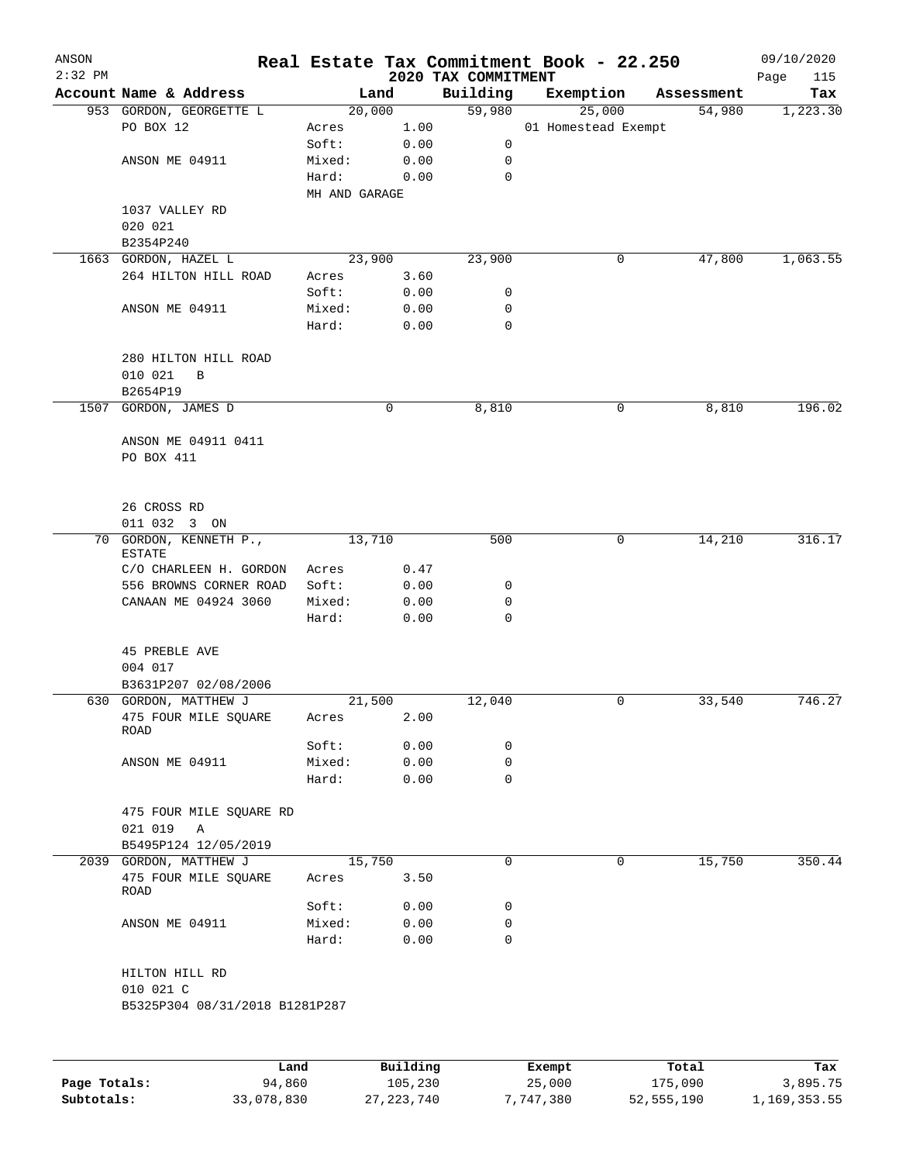| ANSON<br>$2:32$ PM |                                |               |          | 2020 TAX COMMITMENT | Real Estate Tax Commitment Book - 22.250 |            | 09/10/2020<br>Page |
|--------------------|--------------------------------|---------------|----------|---------------------|------------------------------------------|------------|--------------------|
|                    | Account Name & Address         |               | Land     | Building            | Exemption                                | Assessment | 115<br>Tax         |
|                    | 953 GORDON, GEORGETTE L        |               | 20,000   | 59,980              | 25,000                                   | 54,980     | 1,223.30           |
|                    | PO BOX 12                      | Acres         | 1.00     |                     | 01 Homestead Exempt                      |            |                    |
|                    |                                | Soft:         | 0.00     | 0                   |                                          |            |                    |
|                    | ANSON ME 04911                 | Mixed:        | 0.00     | 0                   |                                          |            |                    |
|                    |                                | Hard:         | 0.00     | $\mathbf 0$         |                                          |            |                    |
|                    |                                | MH AND GARAGE |          |                     |                                          |            |                    |
|                    | 1037 VALLEY RD                 |               |          |                     |                                          |            |                    |
|                    | 020 021                        |               |          |                     |                                          |            |                    |
|                    | B2354P240                      |               |          |                     |                                          |            |                    |
|                    | 1663 GORDON, HAZEL L           |               | 23,900   | 23,900              | 0                                        | 47,800     | 1,063.55           |
|                    | 264 HILTON HILL ROAD           | Acres         | 3.60     |                     |                                          |            |                    |
|                    |                                | Soft:         | 0.00     | 0                   |                                          |            |                    |
|                    | ANSON ME 04911                 | Mixed:        | 0.00     | 0                   |                                          |            |                    |
|                    |                                | Hard:         | 0.00     | $\mathbf 0$         |                                          |            |                    |
|                    |                                |               |          |                     |                                          |            |                    |
|                    | 280 HILTON HILL ROAD           |               |          |                     |                                          |            |                    |
|                    | 010 021<br>$\, {\bf B}$        |               |          |                     |                                          |            |                    |
|                    | B2654P19                       |               |          |                     |                                          |            |                    |
| 1507               | GORDON, JAMES D                |               | 0        | 8,810               | 0                                        | 8,810      | 196.02             |
|                    |                                |               |          |                     |                                          |            |                    |
|                    | ANSON ME 04911 0411            |               |          |                     |                                          |            |                    |
|                    | PO BOX 411                     |               |          |                     |                                          |            |                    |
|                    |                                |               |          |                     |                                          |            |                    |
|                    |                                |               |          |                     |                                          |            |                    |
|                    | 26 CROSS RD                    |               |          |                     |                                          |            |                    |
|                    | 011 032 3 ON                   |               |          |                     |                                          |            |                    |
|                    | 70 GORDON, KENNETH P.,         |               | 13,710   | 500                 | 0                                        | 14,210     | 316.17             |
|                    | <b>ESTATE</b>                  |               |          |                     |                                          |            |                    |
|                    | C/O CHARLEEN H. GORDON         | Acres         | 0.47     |                     |                                          |            |                    |
|                    | 556 BROWNS CORNER ROAD         | Soft:         | 0.00     | 0                   |                                          |            |                    |
|                    | CANAAN ME 04924 3060           | Mixed:        | 0.00     | 0                   |                                          |            |                    |
|                    |                                | Hard:         | 0.00     | $\mathbf 0$         |                                          |            |                    |
|                    |                                |               |          |                     |                                          |            |                    |
|                    | <b>45 PREBLE AVE</b>           |               |          |                     |                                          |            |                    |
|                    | 004 017                        |               |          |                     |                                          |            |                    |
|                    | B3631P207 02/08/2006           |               |          |                     |                                          |            |                    |
|                    | 630 GORDON, MATTHEW J          |               | 21,500   | 12,040              | 0                                        | 33,540     | 746.27             |
|                    | 475 FOUR MILE SQUARE           | Acres         | 2.00     |                     |                                          |            |                    |
|                    | ROAD                           |               |          |                     |                                          |            |                    |
|                    |                                | Soft:         | 0.00     | 0                   |                                          |            |                    |
|                    | ANSON ME 04911                 | Mixed:        | 0.00     | 0                   |                                          |            |                    |
|                    |                                | Hard:         | 0.00     | 0                   |                                          |            |                    |
|                    |                                |               |          |                     |                                          |            |                    |
|                    | 475 FOUR MILE SQUARE RD        |               |          |                     |                                          |            |                    |
|                    | 021 019 A                      |               |          |                     |                                          |            |                    |
|                    | B5495P124 12/05/2019           |               |          |                     |                                          |            |                    |
|                    | 2039 GORDON, MATTHEW J         |               | 15,750   | $\mathbf 0$         | 0                                        | 15,750     | 350.44             |
|                    | 475 FOUR MILE SQUARE           | Acres         | 3.50     |                     |                                          |            |                    |
|                    | ROAD                           | Soft:         | 0.00     | 0                   |                                          |            |                    |
|                    | ANSON ME 04911                 | Mixed:        | 0.00     | 0                   |                                          |            |                    |
|                    |                                | Hard:         | 0.00     | 0                   |                                          |            |                    |
|                    |                                |               |          |                     |                                          |            |                    |
|                    | HILTON HILL RD                 |               |          |                     |                                          |            |                    |
|                    | 010 021 C                      |               |          |                     |                                          |            |                    |
|                    | B5325P304 08/31/2018 B1281P287 |               |          |                     |                                          |            |                    |
|                    |                                |               |          |                     |                                          |            |                    |
|                    |                                |               |          |                     |                                          |            |                    |
|                    |                                |               |          |                     |                                          |            |                    |
|                    |                                | Land          | Building |                     | Exempt                                   | Total      | Tax                |

|              | Land       | Building   | Exempt    | Total      | Tax          |
|--------------|------------|------------|-----------|------------|--------------|
| Page Totals: | 94,860     | 105,230    | 25,000    | 175,090    | 3,895.75     |
| Subtotals:   | 33,078,830 | 27,223,740 | 7,747,380 | 52,555,190 | 1,169,353.55 |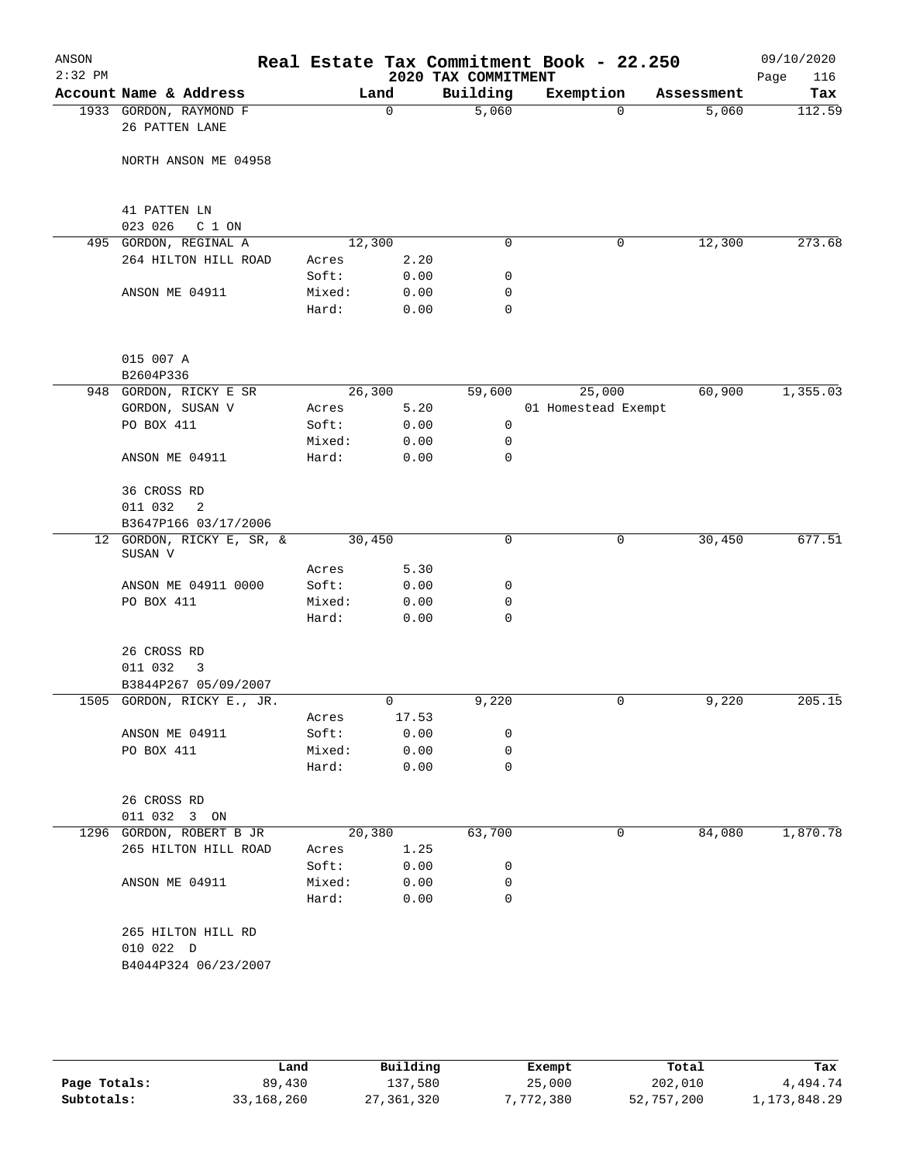| ANSON<br>$2:32$ PM |                                          |                 |              | 2020 TAX COMMITMENT | Real Estate Tax Commitment Book - 22.250 |            | 09/10/2020<br>116<br>Page |
|--------------------|------------------------------------------|-----------------|--------------|---------------------|------------------------------------------|------------|---------------------------|
|                    | Account Name & Address                   |                 | Land         | Building            | Exemption                                | Assessment | Tax                       |
|                    | 1933 GORDON, RAYMOND F<br>26 PATTEN LANE |                 | $\mathbf 0$  | 5,060               | $\Omega$                                 | 5,060      | 112.59                    |
|                    | NORTH ANSON ME 04958                     |                 |              |                     |                                          |            |                           |
|                    | 41 PATTEN LN<br>023 026<br>C 1 ON        |                 |              |                     |                                          |            |                           |
|                    | 495 GORDON, REGINAL A                    |                 | 12,300       | $\mathbf 0$         | 0                                        | 12,300     | 273.68                    |
|                    | 264 HILTON HILL ROAD                     | Acres           | 2.20         |                     |                                          |            |                           |
|                    |                                          | Soft:           | 0.00         | 0                   |                                          |            |                           |
|                    | ANSON ME 04911                           | Mixed:          | 0.00         | 0                   |                                          |            |                           |
|                    |                                          | Hard:           | 0.00         | $\mathbf 0$         |                                          |            |                           |
|                    | 015 007 A                                |                 |              |                     |                                          |            |                           |
|                    | B2604P336                                |                 |              |                     |                                          |            |                           |
|                    | 948 GORDON, RICKY E SR                   |                 | 26,300       | 59,600              | 25,000                                   | 60,900     | 1,355.03                  |
|                    | GORDON, SUSAN V                          | Acres           | 5.20         |                     | 01 Homestead Exempt                      |            |                           |
|                    | PO BOX 411                               | Soft:           | 0.00         | 0                   |                                          |            |                           |
|                    |                                          | Mixed:          | 0.00         | 0                   |                                          |            |                           |
|                    | ANSON ME 04911                           | Hard:           | 0.00         | $\mathbf 0$         |                                          |            |                           |
|                    | 36 CROSS RD                              |                 |              |                     |                                          |            |                           |
|                    | 011 032<br>2<br>B3647P166 03/17/2006     |                 |              |                     |                                          |            |                           |
|                    | 12 GORDON, RICKY E, SR, &<br>SUSAN V     |                 | 30,450       | $\mathbf 0$         | 0                                        | 30,450     | 677.51                    |
|                    |                                          | Acres           | 5.30         |                     |                                          |            |                           |
|                    | ANSON ME 04911 0000                      | Soft:           | 0.00         | 0                   |                                          |            |                           |
|                    | PO BOX 411                               | Mixed:<br>Hard: | 0.00<br>0.00 | 0<br>$\mathbf 0$    |                                          |            |                           |
|                    | 26 CROSS RD<br>011 032<br>3              |                 |              |                     |                                          |            |                           |
|                    | B3844P267 05/09/2007                     |                 |              |                     |                                          |            |                           |
|                    | 1505 GORDON, RICKY E., JR.               |                 | 0            | 9,220               | 0                                        | 9,220      | 205.15                    |
|                    |                                          | Acres           | 17.53        |                     |                                          |            |                           |
|                    | ANSON ME 04911                           | Soft:           | 0.00         | 0                   |                                          |            |                           |
|                    | PO BOX 411                               | Mixed:          | 0.00         | 0                   |                                          |            |                           |
|                    |                                          | Hard:           | 0.00         | $\mathbf 0$         |                                          |            |                           |
|                    | 26 CROSS RD                              |                 |              |                     |                                          |            |                           |
|                    | 011 032 3 ON                             |                 |              |                     |                                          |            |                           |
|                    | 1296 GORDON, ROBERT B JR                 |                 | 20,380       | 63,700              | 0                                        | 84,080     | 1,870.78                  |
|                    | 265 HILTON HILL ROAD                     | Acres           | 1.25         |                     |                                          |            |                           |
|                    |                                          | Soft:           | 0.00         | 0                   |                                          |            |                           |
|                    | ANSON ME 04911                           | Mixed:          | 0.00         | 0                   |                                          |            |                           |
|                    |                                          | Hard:           | 0.00         | 0                   |                                          |            |                           |
|                    | 265 HILTON HILL RD                       |                 |              |                     |                                          |            |                           |
|                    | 010 022 D<br>B4044P324 06/23/2007        |                 |              |                     |                                          |            |                           |
|                    |                                          |                 |              |                     |                                          |            |                           |

|              | Land         | Building     | Exempt  | Total      | Tax             |
|--------------|--------------|--------------|---------|------------|-----------------|
| Page Totals: | 89,430       | 137,580      | 25,000  | 202,010    | 4,494.74        |
| Subtotals:   | 33, 168, 260 | 27, 361, 320 | 772,380 | 52,757,200 | 1, 173, 848. 29 |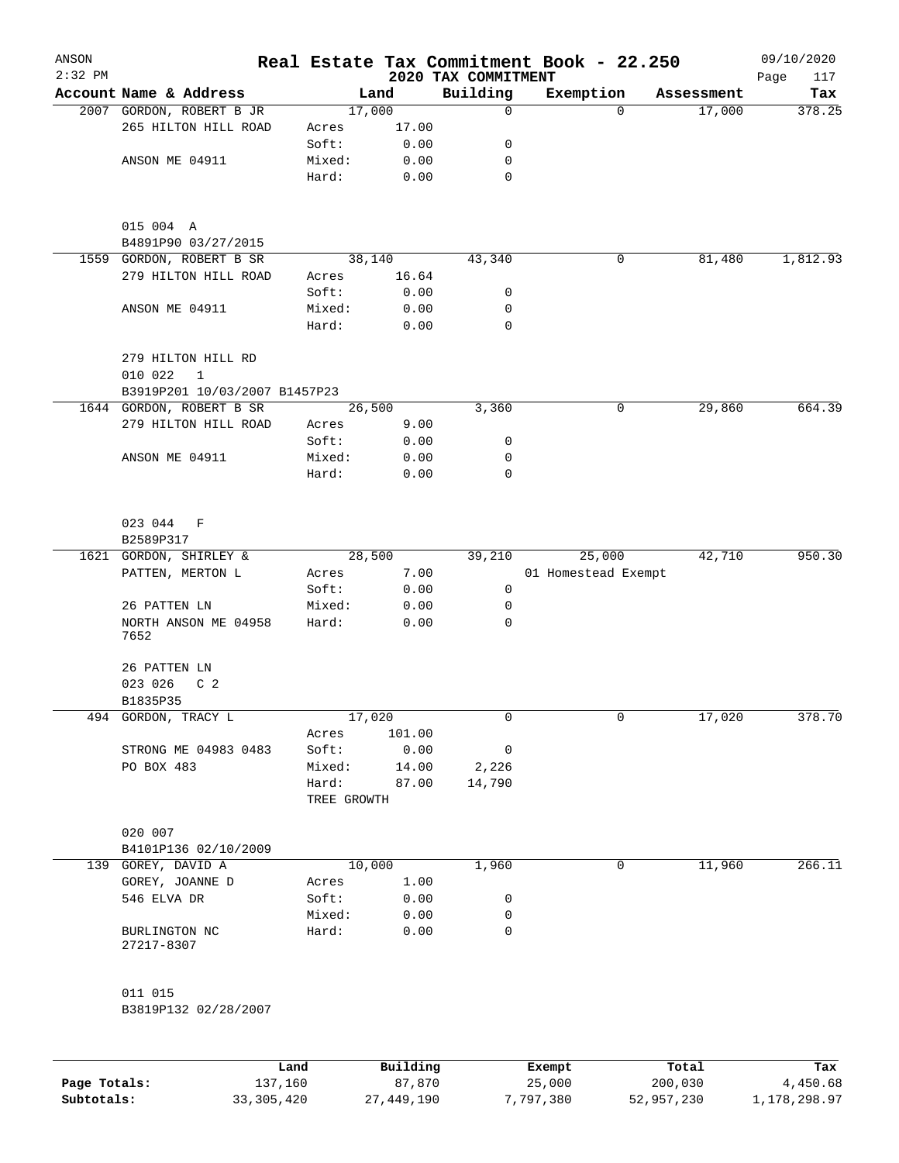| ANSON<br>$2:32$ PM |                                               |             |          | 2020 TAX COMMITMENT | Real Estate Tax Commitment Book - 22.250 |            | 09/10/2020<br>117 |
|--------------------|-----------------------------------------------|-------------|----------|---------------------|------------------------------------------|------------|-------------------|
|                    | Account Name & Address                        |             | Land     | Building            | Exemption                                | Assessment | Page<br>Tax       |
|                    | 2007 GORDON, ROBERT B JR                      |             | 17,000   | 0                   | $\Omega$                                 | 17,000     | 378.25            |
|                    | 265 HILTON HILL ROAD                          | Acres       | 17.00    |                     |                                          |            |                   |
|                    |                                               | Soft:       | 0.00     | 0                   |                                          |            |                   |
|                    | ANSON ME 04911                                |             |          | 0                   |                                          |            |                   |
|                    |                                               | Mixed:      | 0.00     | $\mathbf 0$         |                                          |            |                   |
|                    |                                               | Hard:       | 0.00     |                     |                                          |            |                   |
|                    | 015 004 A<br>B4891P90 03/27/2015              |             |          |                     |                                          |            |                   |
|                    | 1559 GORDON, ROBERT B SR                      |             | 38,140   | 43,340              | 0                                        | 81,480     | 1,812.93          |
|                    | 279 HILTON HILL ROAD                          | Acres       | 16.64    |                     |                                          |            |                   |
|                    |                                               | Soft:       | 0.00     | 0                   |                                          |            |                   |
|                    | ANSON ME 04911                                | Mixed:      | 0.00     | 0                   |                                          |            |                   |
|                    |                                               | Hard:       | 0.00     | $\mathbf 0$         |                                          |            |                   |
|                    | 279 HILTON HILL RD<br>010 022<br>$\mathbf{1}$ |             |          |                     |                                          |            |                   |
|                    | B3919P201 10/03/2007 B1457P23                 |             |          |                     |                                          |            |                   |
|                    | 1644 GORDON, ROBERT B SR                      |             | 26,500   | 3,360               | 0                                        | 29,860     | 664.39            |
|                    | 279 HILTON HILL ROAD                          | Acres       | 9.00     |                     |                                          |            |                   |
|                    |                                               | Soft:       | 0.00     | 0                   |                                          |            |                   |
|                    | ANSON ME 04911                                | Mixed:      | 0.00     | 0                   |                                          |            |                   |
|                    |                                               | Hard:       | 0.00     | 0                   |                                          |            |                   |
|                    | 023 044<br>F                                  |             |          |                     |                                          |            |                   |
|                    | B2589P317                                     |             |          |                     |                                          |            |                   |
|                    | 1621 GORDON, SHIRLEY &                        |             | 28,500   | 39,210              | 25,000                                   | 42,710     | 950.30            |
|                    | PATTEN, MERTON L                              | Acres       | 7.00     |                     | 01 Homestead Exempt                      |            |                   |
|                    |                                               | Soft:       | 0.00     | $\mathbf 0$         |                                          |            |                   |
|                    | 26 PATTEN LN                                  | Mixed:      | 0.00     | 0                   |                                          |            |                   |
|                    | NORTH ANSON ME 04958                          | Hard:       | 0.00     | 0                   |                                          |            |                   |
|                    | 7652                                          |             |          |                     |                                          |            |                   |
|                    | 26 PATTEN LN                                  |             |          |                     |                                          |            |                   |
|                    | 023 026<br>C <sub>2</sub>                     |             |          |                     |                                          |            |                   |
|                    | B1835P35                                      |             |          |                     |                                          |            |                   |
|                    | 494 GORDON, TRACY L                           |             | 17,020   | 0                   | 0                                        | 17,020     | 378.70            |
|                    |                                               | Acres       | 101.00   |                     |                                          |            |                   |
|                    | STRONG ME 04983 0483                          | Soft:       | 0.00     | 0                   |                                          |            |                   |
|                    | PO BOX 483                                    | Mixed:      | 14.00    | 2,226               |                                          |            |                   |
|                    |                                               | Hard:       | 87.00    | 14,790              |                                          |            |                   |
|                    |                                               | TREE GROWTH |          |                     |                                          |            |                   |
|                    | 020 007                                       |             |          |                     |                                          |            |                   |
|                    | B4101P136 02/10/2009                          |             |          |                     |                                          |            |                   |
|                    | 139 GOREY, DAVID A                            |             | 10,000   | 1,960               | 0                                        | 11,960     | 266.11            |
|                    | GOREY, JOANNE D                               | Acres       | 1.00     |                     |                                          |            |                   |
|                    | 546 ELVA DR                                   | Soft:       | 0.00     | 0                   |                                          |            |                   |
|                    |                                               | Mixed:      | 0.00     | 0                   |                                          |            |                   |
|                    | BURLINGTON NC<br>27217-8307                   | Hard:       | 0.00     | 0                   |                                          |            |                   |
|                    | 011 015                                       |             |          |                     |                                          |            |                   |
|                    | B3819P132 02/28/2007                          |             |          |                     |                                          |            |                   |
|                    |                                               |             |          |                     |                                          |            |                   |
|                    |                                               | Land        | Building |                     | Exempt                                   | Total      | Tax               |

|              | Land         | Building   | Exempt    | Total      | тах          |
|--------------|--------------|------------|-----------|------------|--------------|
| Page Totals: | 137,160      | 87,870     | 25,000    | 200,030    | 4,450.68     |
| Subtotals:   | 33, 305, 420 | 27,449,190 | 7,797,380 | 52,957,230 | 1,178,298.97 |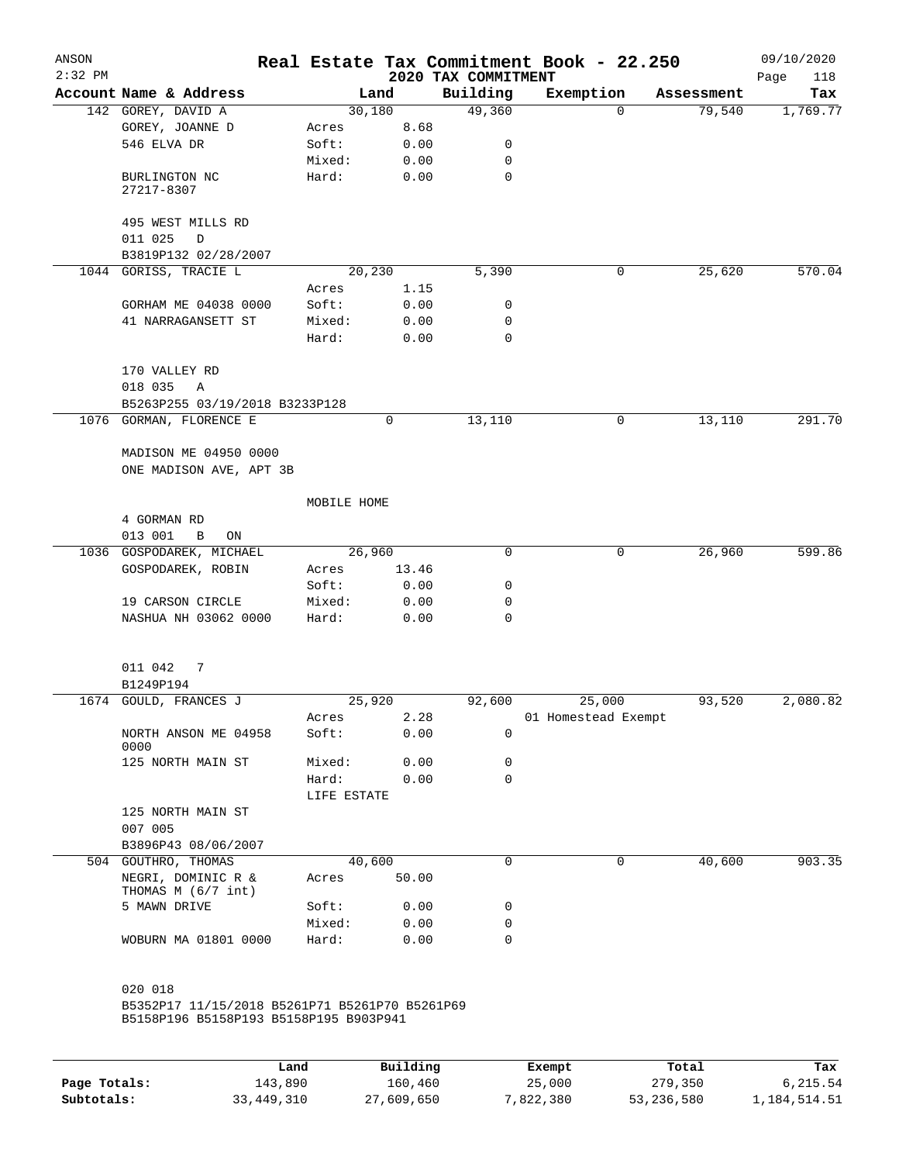| ANSON<br>$2:32$ PM |                                                  |             |        | 2020 TAX COMMITMENT | Real Estate Tax Commitment Book - 22.250 |            | 09/10/2020<br>118<br>Page |
|--------------------|--------------------------------------------------|-------------|--------|---------------------|------------------------------------------|------------|---------------------------|
|                    | Account Name & Address                           |             | Land   | Building            | Exemption                                | Assessment | Tax                       |
|                    | 142 GOREY, DAVID A                               |             | 30,180 | 49,360              | $\mathbf 0$                              | 79,540     | 1,769.77                  |
|                    | GOREY, JOANNE D                                  | Acres       | 8.68   |                     |                                          |            |                           |
|                    | 546 ELVA DR                                      | Soft:       | 0.00   | 0                   |                                          |            |                           |
|                    |                                                  | Mixed:      | 0.00   | $\mathbf 0$         |                                          |            |                           |
|                    | BURLINGTON NC<br>27217-8307                      | Hard:       | 0.00   | 0                   |                                          |            |                           |
|                    | 495 WEST MILLS RD<br>011 025<br>D                |             |        |                     |                                          |            |                           |
|                    | B3819P132 02/28/2007                             |             |        |                     |                                          |            |                           |
|                    | 1044 GORISS, TRACIE L                            |             | 20,230 | 5,390               | 0                                        | 25,620     | 570.04                    |
|                    |                                                  | Acres       | 1.15   |                     |                                          |            |                           |
|                    | GORHAM ME 04038 0000                             | Soft:       | 0.00   | 0                   |                                          |            |                           |
|                    | 41 NARRAGANSETT ST                               | Mixed:      | 0.00   | 0                   |                                          |            |                           |
|                    |                                                  | Hard:       | 0.00   | 0                   |                                          |            |                           |
|                    | 170 VALLEY RD                                    |             |        |                     |                                          |            |                           |
|                    | 018 035<br>Α                                     |             |        |                     |                                          |            |                           |
|                    | B5263P255 03/19/2018 B3233P128                   |             |        |                     |                                          |            |                           |
|                    | 1076 GORMAN, FLORENCE E                          |             | 0      | 13,110              | 0                                        | 13,110     | 291.70                    |
|                    |                                                  |             |        |                     |                                          |            |                           |
|                    | MADISON ME 04950 0000<br>ONE MADISON AVE, APT 3B |             |        |                     |                                          |            |                           |
|                    |                                                  | MOBILE HOME |        |                     |                                          |            |                           |
|                    | 4 GORMAN RD                                      |             |        |                     |                                          |            |                           |
|                    | 013 001<br>B<br>ON                               |             |        |                     |                                          |            |                           |
| 1036               | GOSPODAREK, MICHAEL                              |             | 26,960 | 0                   | $\mathbf 0$                              | 26,960     | 599.86                    |
|                    | GOSPODAREK, ROBIN                                | Acres       | 13.46  |                     |                                          |            |                           |
|                    |                                                  | Soft:       | 0.00   | 0                   |                                          |            |                           |
|                    | 19 CARSON CIRCLE                                 | Mixed:      | 0.00   | 0                   |                                          |            |                           |
|                    | NASHUA NH 03062 0000                             | Hard:       | 0.00   | 0                   |                                          |            |                           |
|                    | 011 042<br>7                                     |             |        |                     |                                          |            |                           |
|                    | B1249P194                                        |             |        |                     |                                          |            |                           |
|                    | 1674 GOULD, FRANCES J                            |             | 25,920 | 92,600              | 25,000                                   | 93,520     | 2,080.82                  |
|                    |                                                  | Acres       | 2.28   |                     | 01 Homestead Exempt                      |            |                           |
|                    | NORTH ANSON ME 04958<br>0000                     | Soft:       | 0.00   | 0                   |                                          |            |                           |
|                    | 125 NORTH MAIN ST                                | Mixed:      | 0.00   | 0                   |                                          |            |                           |
|                    |                                                  | Hard:       | 0.00   | $\Omega$            |                                          |            |                           |
|                    |                                                  | LIFE ESTATE |        |                     |                                          |            |                           |
|                    | 125 NORTH MAIN ST<br>007 005                     |             |        |                     |                                          |            |                           |
|                    | B3896P43 08/06/2007                              |             |        |                     |                                          |            |                           |
|                    | 504 GOUTHRO, THOMAS                              |             | 40,600 | 0                   | 0                                        | 40,600     | 903.35                    |
|                    | NEGRI, DOMINIC R &<br>THOMAS M (6/7 int)         | Acres       | 50.00  |                     |                                          |            |                           |
|                    | 5 MAWN DRIVE                                     | Soft:       | 0.00   | 0                   |                                          |            |                           |
|                    |                                                  | Mixed:      | 0.00   | 0                   |                                          |            |                           |
|                    | WOBURN MA 01801 0000                             | Hard:       | 0.00   | 0                   |                                          |            |                           |
|                    | 020 018                                          |             |        |                     |                                          |            |                           |
|                    | B5352P17 11/15/2018 B5261P71 B5261P70 B5261P69   |             |        |                     |                                          |            |                           |
|                    | B5158P196 B5158P193 B5158P195 B903P941           |             |        |                     |                                          |            |                           |
|                    |                                                  |             |        |                     |                                          |            |                           |

|              | Land       | Building   | Exempt    | Total      | Tax          |
|--------------|------------|------------|-----------|------------|--------------|
| Page Totals: | 143,890    | 160,460    | 25,000    | 279,350    | 6,215.54     |
| Subtotals:   | 33,449,310 | 27,609,650 | 7,822,380 | 53,236,580 | 1,184,514.51 |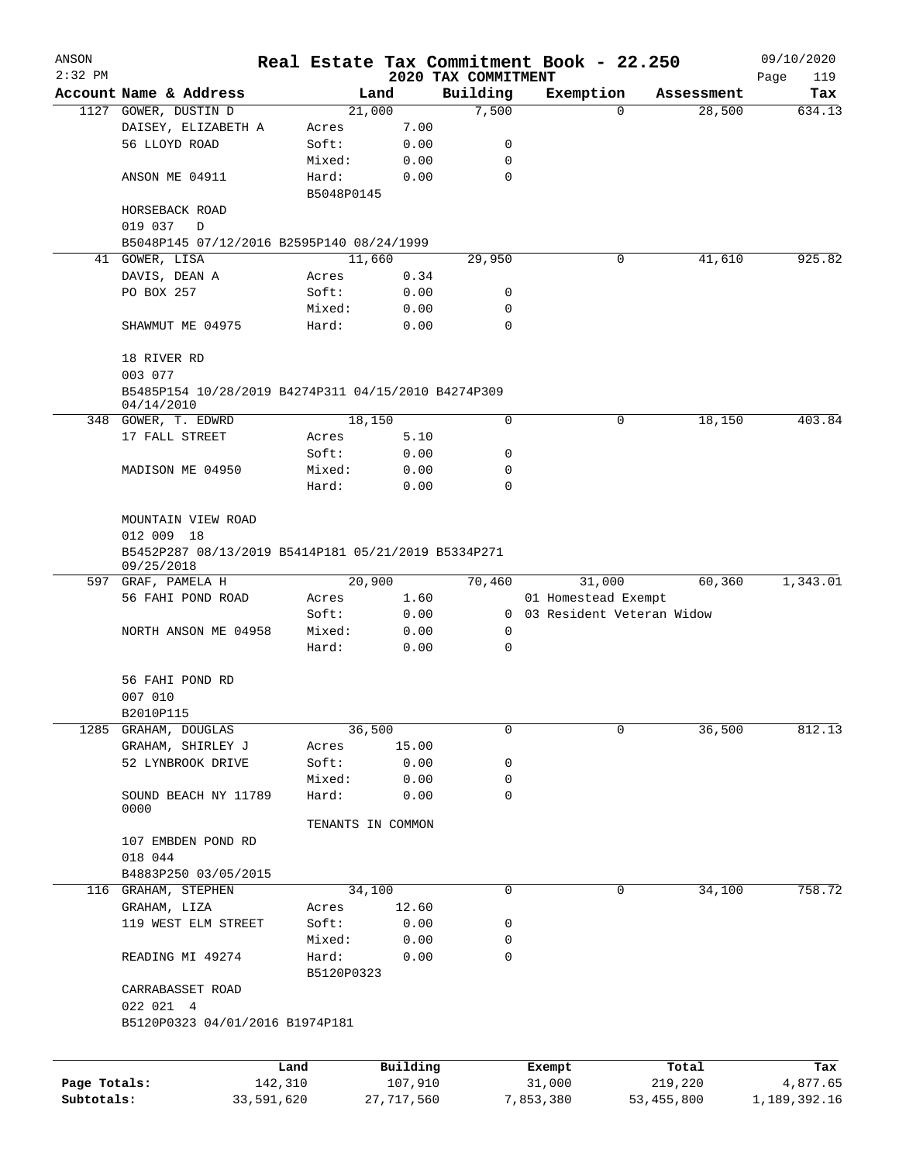| ANSON        |                                                                   |                       |            |                     | Real Estate Tax Commitment Book - 22.250 |                             |                  | 09/10/2020      |
|--------------|-------------------------------------------------------------------|-----------------------|------------|---------------------|------------------------------------------|-----------------------------|------------------|-----------------|
| $2:32$ PM    |                                                                   |                       |            |                     | 2020 TAX COMMITMENT                      |                             |                  | Page<br>119     |
|              | Account Name & Address                                            |                       |            | Land                | Building                                 | Exemption                   | Assessment       | Tax             |
|              | 1127 GOWER, DUSTIN D                                              |                       |            | 21,000              | 7,500                                    | $\mathbf 0$                 | 28,500           | 634.13          |
|              | DAISEY, ELIZABETH A                                               |                       | Acres      | 7.00                |                                          |                             |                  |                 |
|              | 56 LLOYD ROAD                                                     |                       | Soft:      | 0.00                | 0                                        |                             |                  |                 |
|              |                                                                   |                       | Mixed:     | 0.00                | 0                                        |                             |                  |                 |
|              | ANSON ME 04911                                                    |                       | Hard:      | 0.00                | $\mathbf 0$                              |                             |                  |                 |
|              |                                                                   |                       | B5048P0145 |                     |                                          |                             |                  |                 |
|              | HORSEBACK ROAD                                                    |                       |            |                     |                                          |                             |                  |                 |
|              | 019 037<br>D                                                      |                       |            |                     |                                          |                             |                  |                 |
|              | B5048P145 07/12/2016 B2595P140 08/24/1999                         |                       |            |                     |                                          |                             |                  |                 |
|              | 41 GOWER, LISA                                                    |                       |            | 11,660              | 29,950                                   | 0                           | 41,610           | 925.82          |
|              | DAVIS, DEAN A                                                     |                       | Acres      | 0.34                |                                          |                             |                  |                 |
|              | PO BOX 257                                                        |                       | Soft:      | 0.00                | 0                                        |                             |                  |                 |
|              |                                                                   |                       | Mixed:     | 0.00                | 0                                        |                             |                  |                 |
|              | SHAWMUT ME 04975                                                  |                       | Hard:      | 0.00                | $\mathbf 0$                              |                             |                  |                 |
|              | 18 RIVER RD<br>003 077                                            |                       |            |                     |                                          |                             |                  |                 |
|              | B5485P154 10/28/2019 B4274P311 04/15/2010 B4274P309               |                       |            |                     |                                          |                             |                  |                 |
|              | 04/14/2010<br>348 GOWER, T. EDWRD                                 |                       |            | 18,150              | $\mathbf 0$                              | 0                           | 18,150           | 403.84          |
|              | 17 FALL STREET                                                    |                       | Acres      | 5.10                |                                          |                             |                  |                 |
|              |                                                                   |                       | Soft:      | 0.00                | 0                                        |                             |                  |                 |
|              | MADISON ME 04950                                                  |                       | Mixed:     | 0.00                | 0                                        |                             |                  |                 |
|              |                                                                   |                       | Hard:      | 0.00                | $\Omega$                                 |                             |                  |                 |
|              |                                                                   |                       |            |                     |                                          |                             |                  |                 |
|              | MOUNTAIN VIEW ROAD                                                |                       |            |                     |                                          |                             |                  |                 |
|              | 012 009 18                                                        |                       |            |                     |                                          |                             |                  |                 |
|              | B5452P287 08/13/2019 B5414P181 05/21/2019 B5334P271<br>09/25/2018 |                       |            |                     |                                          |                             |                  |                 |
|              | 597 GRAF, PAMELA H                                                |                       |            | 20,900              | 70,460                                   | 31,000                      | 60,360           | 1,343.01        |
|              | 56 FAHI POND ROAD                                                 |                       | Acres      | 1.60                |                                          | 01 Homestead Exempt         |                  |                 |
|              |                                                                   |                       | Soft:      | 0.00                |                                          | 0 03 Resident Veteran Widow |                  |                 |
|              | NORTH ANSON ME 04958                                              |                       | Mixed:     | 0.00                | 0                                        |                             |                  |                 |
|              |                                                                   |                       | Hard:      | 0.00                | 0                                        |                             |                  |                 |
|              | 56 FAHI POND RD                                                   |                       |            |                     |                                          |                             |                  |                 |
|              | 007 010                                                           |                       |            |                     |                                          |                             |                  |                 |
|              | B2010P115                                                         |                       |            |                     |                                          |                             |                  |                 |
| 1285         | GRAHAM, DOUGLAS                                                   |                       |            | 36,500              | 0                                        | 0                           | 36,500           | 812.13          |
|              | GRAHAM, SHIRLEY J                                                 |                       | Acres      | 15.00               |                                          |                             |                  |                 |
|              | 52 LYNBROOK DRIVE                                                 |                       | Soft:      | 0.00                | 0                                        |                             |                  |                 |
|              |                                                                   |                       | Mixed:     | 0.00                | 0                                        |                             |                  |                 |
|              | SOUND BEACH NY 11789                                              |                       | Hard:      | 0.00                | 0                                        |                             |                  |                 |
|              | 0000                                                              |                       |            |                     |                                          |                             |                  |                 |
|              |                                                                   |                       |            | TENANTS IN COMMON   |                                          |                             |                  |                 |
|              | 107 EMBDEN POND RD                                                |                       |            |                     |                                          |                             |                  |                 |
|              | 018 044                                                           |                       |            |                     |                                          |                             |                  |                 |
|              | B4883P250 03/05/2015                                              |                       |            |                     |                                          |                             |                  |                 |
|              | 116 GRAHAM, STEPHEN                                               |                       |            | 34,100              | 0                                        | 0                           | 34,100           | 758.72          |
|              | GRAHAM, LIZA                                                      |                       | Acres      | 12.60               |                                          |                             |                  |                 |
|              | 119 WEST ELM STREET                                               |                       | Soft:      | 0.00                | 0                                        |                             |                  |                 |
|              |                                                                   |                       | Mixed:     | 0.00                | 0                                        |                             |                  |                 |
|              | READING MI 49274                                                  |                       | Hard:      | 0.00                | 0                                        |                             |                  |                 |
|              |                                                                   |                       | B5120P0323 |                     |                                          |                             |                  |                 |
|              | CARRABASSET ROAD                                                  |                       |            |                     |                                          |                             |                  |                 |
|              | 022 021 4                                                         |                       |            |                     |                                          |                             |                  |                 |
|              | B5120P0323 04/01/2016 B1974P181                                   |                       |            |                     |                                          |                             |                  |                 |
|              |                                                                   |                       |            |                     |                                          |                             |                  |                 |
| Page Totals: |                                                                   | Land                  |            | Building<br>107,910 |                                          | Exempt<br>31,000            | Total<br>219,220 | Tax<br>4,877.65 |
| Subtotals:   |                                                                   | 142,310<br>33,591,620 |            | 27,717,560          |                                          | 7,853,380                   | 53, 455, 800     | 1,189,392.16    |
|              |                                                                   |                       |            |                     |                                          |                             |                  |                 |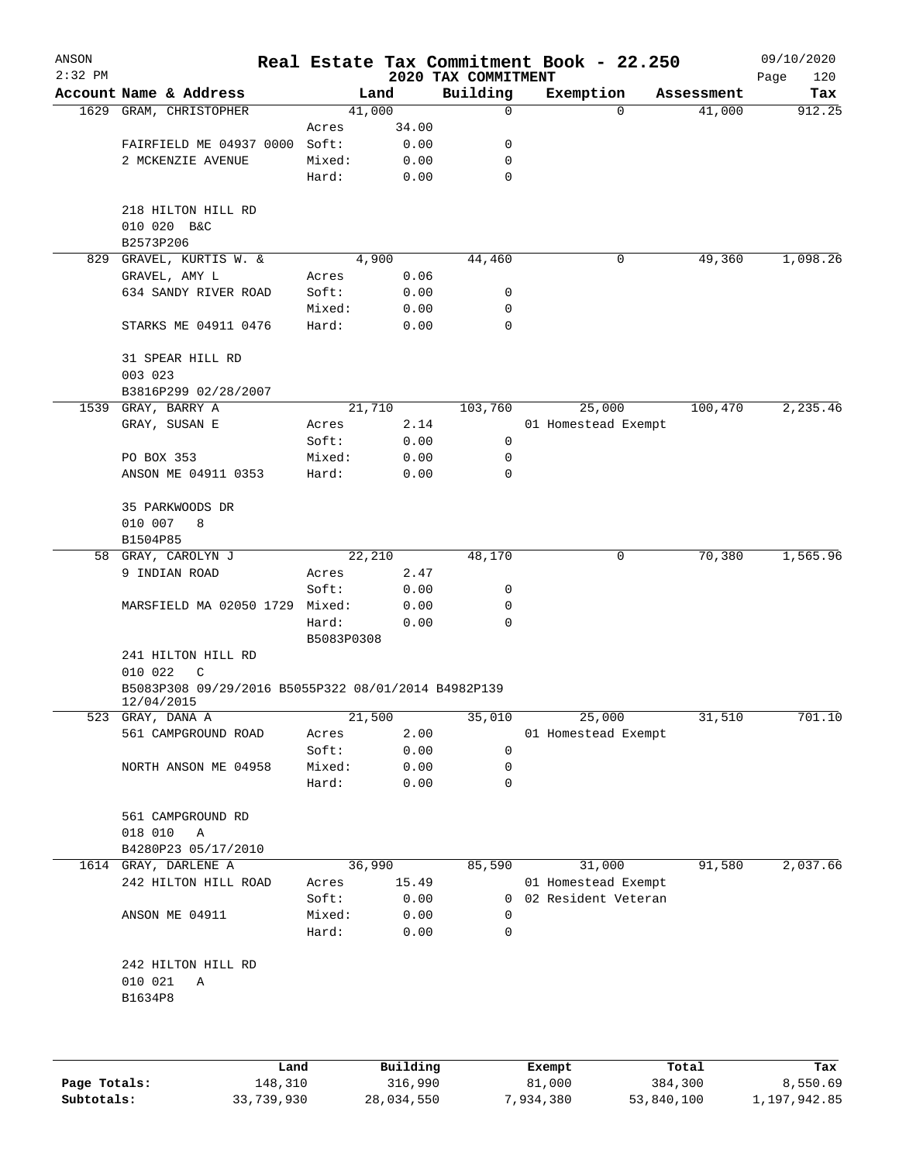| ANSON<br>$2:32$ PM |                                                                   |            |          | 2020 TAX COMMITMENT | Real Estate Tax Commitment Book - 22.250 |             | 09/10/2020<br>Page<br>120 |
|--------------------|-------------------------------------------------------------------|------------|----------|---------------------|------------------------------------------|-------------|---------------------------|
|                    | Account Name & Address                                            |            | Land     | Building            | Exemption                                | Assessment  | Tax                       |
| 1629               | GRAM, CHRISTOPHER                                                 |            | 41,000   | 0                   |                                          | 41,000<br>0 | 912.25                    |
|                    |                                                                   | Acres      | 34.00    |                     |                                          |             |                           |
|                    | FAIRFIELD ME 04937 0000                                           | Soft:      | 0.00     | 0                   |                                          |             |                           |
|                    | 2 MCKENZIE AVENUE                                                 | Mixed:     | 0.00     | 0                   |                                          |             |                           |
|                    |                                                                   | Hard:      | 0.00     | $\mathbf 0$         |                                          |             |                           |
|                    | 218 HILTON HILL RD                                                |            |          |                     |                                          |             |                           |
|                    | 010 020 B&C                                                       |            |          |                     |                                          |             |                           |
|                    | B2573P206                                                         |            |          |                     |                                          |             |                           |
| 829                | GRAVEL, KURTIS W. &                                               |            | 4,900    | 44,460              |                                          | 49,360<br>0 | 1,098.26                  |
|                    | GRAVEL, AMY L                                                     | Acres      | 0.06     |                     |                                          |             |                           |
|                    | 634 SANDY RIVER ROAD                                              | Soft:      | 0.00     | 0                   |                                          |             |                           |
|                    |                                                                   | Mixed:     | 0.00     | 0                   |                                          |             |                           |
|                    | STARKS ME 04911 0476                                              | Hard:      | 0.00     | 0                   |                                          |             |                           |
|                    | 31 SPEAR HILL RD                                                  |            |          |                     |                                          |             |                           |
|                    | 003 023                                                           |            |          |                     |                                          |             |                           |
|                    | B3816P299 02/28/2007                                              |            |          |                     |                                          |             |                           |
|                    | 1539 GRAY, BARRY A                                                |            | 21,710   | 103,760             | 25,000                                   | 100,470     | 2, 235.46                 |
|                    | GRAY, SUSAN E                                                     | Acres      | 2.14     |                     | 01 Homestead Exempt                      |             |                           |
|                    |                                                                   | Soft:      | 0.00     | 0                   |                                          |             |                           |
|                    | PO BOX 353                                                        | Mixed:     | 0.00     | 0                   |                                          |             |                           |
|                    | ANSON ME 04911 0353                                               | Hard:      | 0.00     | 0                   |                                          |             |                           |
|                    | 35 PARKWOODS DR                                                   |            |          |                     |                                          |             |                           |
|                    | 010 007<br>8                                                      |            |          |                     |                                          |             |                           |
|                    | B1504P85                                                          |            |          |                     |                                          |             |                           |
| 58                 | GRAY, CAROLYN J                                                   |            | 22,210   | 48,170              |                                          | 70,380<br>0 | 1,565.96                  |
|                    | 9 INDIAN ROAD                                                     | Acres      | 2.47     |                     |                                          |             |                           |
|                    |                                                                   | Soft:      | 0.00     | 0                   |                                          |             |                           |
|                    | MARSFIELD MA 02050 1729                                           | Mixed:     | 0.00     | 0                   |                                          |             |                           |
|                    |                                                                   | Hard:      | 0.00     | 0                   |                                          |             |                           |
|                    |                                                                   | B5083P0308 |          |                     |                                          |             |                           |
|                    | 241 HILTON HILL RD                                                |            |          |                     |                                          |             |                           |
|                    | 010 022<br>C                                                      |            |          |                     |                                          |             |                           |
|                    | B5083P308 09/29/2016 B5055P322 08/01/2014 B4982P139<br>12/04/2015 |            |          |                     |                                          |             |                           |
|                    | 523 GRAY, DANA A                                                  |            | 21,500   | 35,010              | 25,000                                   | 31,510      | 701.10                    |
|                    | 561 CAMPGROUND ROAD                                               | Acres      | 2.00     |                     | 01 Homestead Exempt                      |             |                           |
|                    |                                                                   | Soft:      | 0.00     | 0                   |                                          |             |                           |
|                    | NORTH ANSON ME 04958                                              | Mixed:     | 0.00     | 0                   |                                          |             |                           |
|                    |                                                                   | Hard:      | 0.00     | 0                   |                                          |             |                           |
|                    | 561 CAMPGROUND RD                                                 |            |          |                     |                                          |             |                           |
|                    | 018 010<br>Α                                                      |            |          |                     |                                          |             |                           |
|                    | B4280P23 05/17/2010                                               |            |          |                     |                                          |             |                           |
| 1614               | GRAY, DARLENE A                                                   |            | 36,990   | 85,590              | 31,000                                   | 91,580      | 2,037.66                  |
|                    | 242 HILTON HILL ROAD                                              | Acres      | 15.49    |                     | 01 Homestead Exempt                      |             |                           |
|                    |                                                                   | Soft:      | 0.00     | 0                   | 02 Resident Veteran                      |             |                           |
|                    | ANSON ME 04911                                                    | Mixed:     | 0.00     | 0                   |                                          |             |                           |
|                    |                                                                   | Hard:      | 0.00     | 0                   |                                          |             |                           |
|                    | 242 HILTON HILL RD                                                |            |          |                     |                                          |             |                           |
|                    | 010 021<br>Α                                                      |            |          |                     |                                          |             |                           |
|                    | B1634P8                                                           |            |          |                     |                                          |             |                           |
|                    |                                                                   |            |          |                     |                                          |             |                           |
|                    |                                                                   |            |          |                     |                                          |             |                           |
|                    | Land                                                              |            | Building |                     | Exempt                                   | Total       | Tax                       |

**Page Totals:** 148,310 316,990 81,000 384,300 8,550.69 **Subtotals:** 33,739,930 28,034,550 7,934,380 53,840,100 1,197,942.85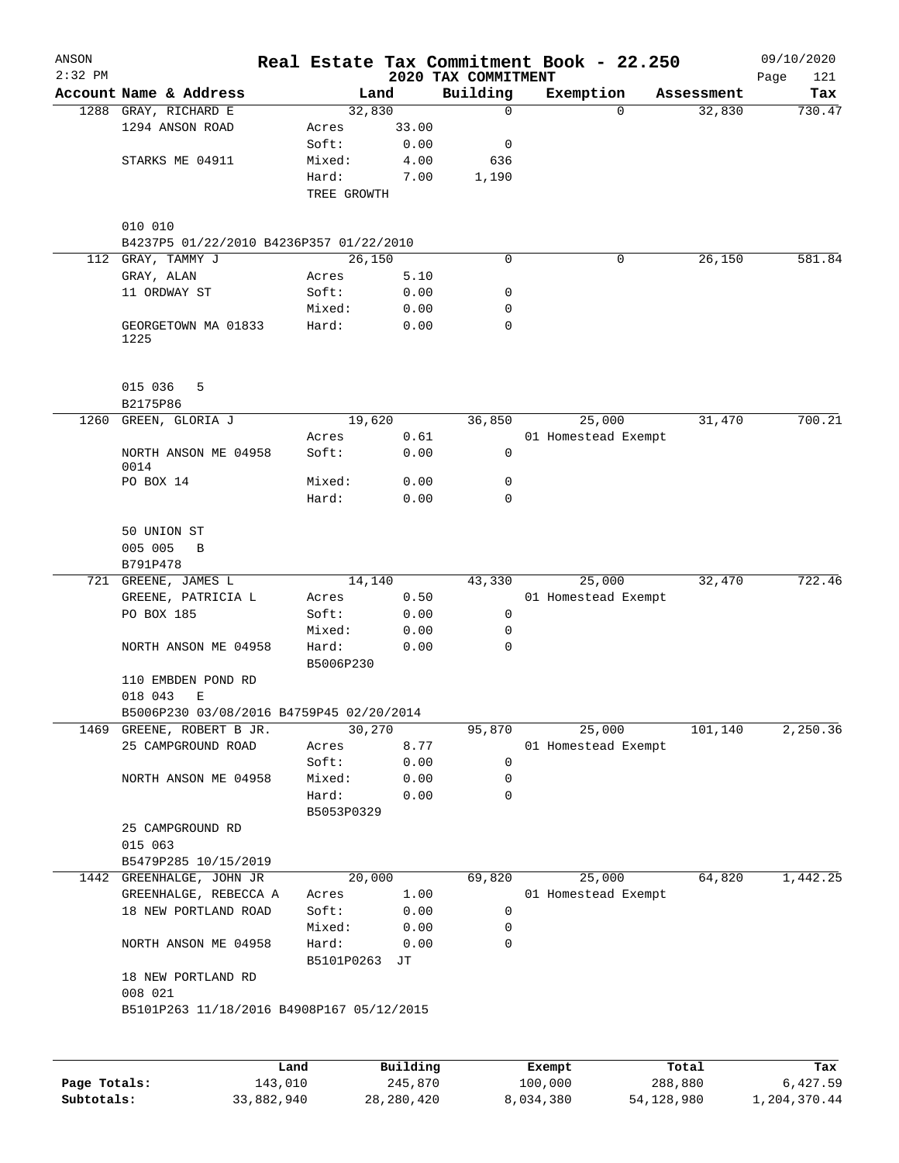| ANSON<br>$2:32$ PM |                                                    |                     |                     | 2020 TAX COMMITMENT | Real Estate Tax Commitment Book - 22.250 |                  | 09/10/2020<br>Page<br>121 |
|--------------------|----------------------------------------------------|---------------------|---------------------|---------------------|------------------------------------------|------------------|---------------------------|
|                    | Account Name & Address                             |                     | Land                | Building            | Exemption                                | Assessment       | Tax                       |
|                    | 1288 GRAY, RICHARD E                               | 32,830              |                     | $\mathbf 0$         | $\Omega$                                 | 32,830           | 730.47                    |
|                    | 1294 ANSON ROAD                                    | Acres               | 33.00               |                     |                                          |                  |                           |
|                    |                                                    | Soft:               | 0.00                | 0                   |                                          |                  |                           |
|                    | STARKS ME 04911                                    | Mixed:              | 4.00                | 636                 |                                          |                  |                           |
|                    |                                                    | Hard:               | 7.00                | 1,190               |                                          |                  |                           |
|                    |                                                    | TREE GROWTH         |                     |                     |                                          |                  |                           |
|                    |                                                    |                     |                     |                     |                                          |                  |                           |
|                    | 010 010<br>B4237P5 01/22/2010 B4236P357 01/22/2010 |                     |                     |                     |                                          |                  |                           |
| 112                | GRAY, TAMMY J                                      | 26,150              |                     | 0                   | 0                                        | 26,150           | 581.84                    |
|                    | GRAY, ALAN                                         | Acres               | 5.10                |                     |                                          |                  |                           |
|                    | 11 ORDWAY ST                                       | Soft:               | 0.00                | 0                   |                                          |                  |                           |
|                    |                                                    | Mixed:              | 0.00                | 0                   |                                          |                  |                           |
|                    | GEORGETOWN MA 01833                                | Hard:               | 0.00                | 0                   |                                          |                  |                           |
|                    | 1225                                               |                     |                     |                     |                                          |                  |                           |
|                    | 015 036<br>5                                       |                     |                     |                     |                                          |                  |                           |
|                    | B2175P86                                           |                     |                     |                     |                                          |                  |                           |
| 1260               | GREEN, GLORIA J                                    | 19,620              |                     | 36,850              | 25,000                                   | 31,470           | 700.21                    |
|                    |                                                    | Acres               | 0.61                |                     | 01 Homestead Exempt                      |                  |                           |
|                    | NORTH ANSON ME 04958                               | Soft:               | 0.00                | 0                   |                                          |                  |                           |
|                    | 0014                                               |                     |                     |                     |                                          |                  |                           |
|                    | PO BOX 14                                          | Mixed:              | 0.00                | 0                   |                                          |                  |                           |
|                    |                                                    | Hard:               | 0.00                | $\mathbf 0$         |                                          |                  |                           |
|                    | 50 UNION ST                                        |                     |                     |                     |                                          |                  |                           |
|                    | 005 005<br>B                                       |                     |                     |                     |                                          |                  |                           |
|                    | B791P478                                           |                     |                     |                     |                                          |                  |                           |
|                    | 721 GREENE, JAMES L                                | 14,140              |                     | 43,330              | 25,000                                   | 32,470           | 722.46                    |
|                    | GREENE, PATRICIA L                                 | Acres               | 0.50                |                     | 01 Homestead Exempt                      |                  |                           |
|                    | PO BOX 185                                         | Soft:               | 0.00                | $\mathbf 0$         |                                          |                  |                           |
|                    |                                                    | Mixed:              | 0.00                | 0                   |                                          |                  |                           |
|                    | NORTH ANSON ME 04958                               | Hard:<br>B5006P230  | 0.00                | 0                   |                                          |                  |                           |
|                    | 110 EMBDEN POND RD                                 |                     |                     |                     |                                          |                  |                           |
|                    | 018 043<br>Ε                                       |                     |                     |                     |                                          |                  |                           |
|                    | B5006P230 03/08/2016 B4759P45 02/20/2014           |                     |                     |                     |                                          |                  |                           |
| 1469               | GREENE, ROBERT B JR.                               | 30,270              |                     | 95,870              | 25,000                                   | 101,140          | 2,250.36                  |
|                    | 25 CAMPGROUND ROAD                                 | Acres               | 8.77                |                     | 01 Homestead Exempt                      |                  |                           |
|                    |                                                    | Soft:               | 0.00                | $\mathbf 0$         |                                          |                  |                           |
|                    | NORTH ANSON ME 04958                               | Mixed:              | 0.00                | 0                   |                                          |                  |                           |
|                    |                                                    | Hard:               | 0.00                | 0                   |                                          |                  |                           |
|                    | 25 CAMPGROUND RD                                   | B5053P0329          |                     |                     |                                          |                  |                           |
|                    | 015 063                                            |                     |                     |                     |                                          |                  |                           |
|                    | B5479P285 10/15/2019                               |                     |                     |                     |                                          |                  |                           |
|                    | 1442 GREENHALGE, JOHN JR                           | 20,000              |                     | 69,820              | 25,000                                   | 64,820           | 1,442.25                  |
|                    | GREENHALGE, REBECCA A                              | Acres               | 1.00                |                     | 01 Homestead Exempt                      |                  |                           |
|                    | 18 NEW PORTLAND ROAD                               | Soft:               | 0.00                | 0                   |                                          |                  |                           |
|                    |                                                    | Mixed:              | 0.00                | 0                   |                                          |                  |                           |
|                    | NORTH ANSON ME 04958                               | Hard:<br>B5101P0263 | 0.00<br>JТ          | 0                   |                                          |                  |                           |
|                    | 18 NEW PORTLAND RD<br>008 021                      |                     |                     |                     |                                          |                  |                           |
|                    | B5101P263 11/18/2016 B4908P167 05/12/2015          |                     |                     |                     |                                          |                  |                           |
|                    |                                                    |                     |                     |                     |                                          |                  |                           |
|                    |                                                    |                     |                     |                     |                                          |                  |                           |
| Page Totals:       | Land<br>143,010                                    |                     | Building<br>245,870 |                     | Exempt<br>100,000                        | Total<br>288,880 | Tax<br>6,427.59           |
|                    |                                                    |                     |                     |                     |                                          |                  |                           |

**Subtotals:** 33,882,940 28,280,420 8,034,380 54,128,980 1,204,370.44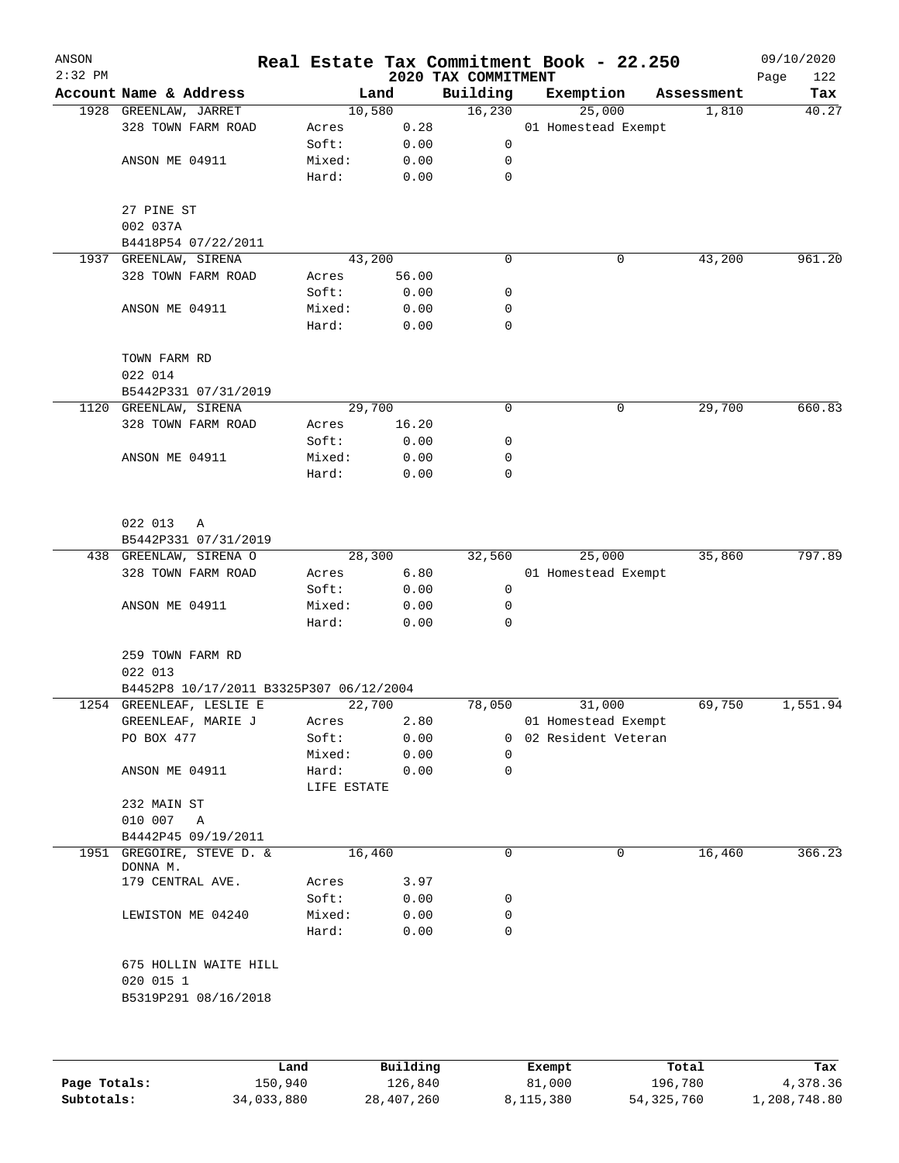| ANSON<br>$2:32$ PM |                                         |                 |              | 2020 TAX COMMITMENT | Real Estate Tax Commitment Book - 22.250 |            | 09/10/2020<br>Page<br>122 |
|--------------------|-----------------------------------------|-----------------|--------------|---------------------|------------------------------------------|------------|---------------------------|
|                    | Account Name & Address                  |                 | Land         | Building            | Exemption                                | Assessment | Tax                       |
|                    | 1928 GREENLAW, JARRET                   |                 | 10,580       | 16,230              | 25,000                                   | 1,810      | 40.27                     |
|                    | 328 TOWN FARM ROAD                      | Acres           | 0.28         |                     | 01 Homestead Exempt                      |            |                           |
|                    |                                         | Soft:           | 0.00         | 0                   |                                          |            |                           |
|                    | ANSON ME 04911                          | Mixed:          | 0.00         | 0                   |                                          |            |                           |
|                    |                                         | Hard:           | 0.00         | $\mathbf 0$         |                                          |            |                           |
|                    | 27 PINE ST                              |                 |              |                     |                                          |            |                           |
|                    | 002 037A                                |                 |              |                     |                                          |            |                           |
|                    | B4418P54 07/22/2011                     |                 |              |                     |                                          |            |                           |
|                    | 1937 GREENLAW, SIRENA                   |                 | 43,200       | 0                   | 0                                        | 43,200     | 961.20                    |
|                    | 328 TOWN FARM ROAD                      | Acres           | 56.00        |                     |                                          |            |                           |
|                    |                                         | Soft:           | 0.00         | 0                   |                                          |            |                           |
|                    | ANSON ME 04911                          | Mixed:          | 0.00         | 0                   |                                          |            |                           |
|                    |                                         | Hard:           | 0.00         | 0                   |                                          |            |                           |
|                    | TOWN FARM RD<br>022 014                 |                 |              |                     |                                          |            |                           |
|                    | B5442P331 07/31/2019                    |                 |              |                     |                                          |            |                           |
|                    | 1120 GREENLAW, SIRENA                   |                 | 29,700       | 0                   | 0                                        | 29,700     | 660.83                    |
|                    | 328 TOWN FARM ROAD                      | Acres           | 16.20        |                     |                                          |            |                           |
|                    |                                         | Soft:           | 0.00         | 0                   |                                          |            |                           |
|                    | ANSON ME 04911                          | Mixed:          | 0.00         | 0                   |                                          |            |                           |
|                    |                                         | Hard:           | 0.00         | 0                   |                                          |            |                           |
|                    |                                         |                 |              |                     |                                          |            |                           |
|                    | 022 013<br>Α                            |                 |              |                     |                                          |            |                           |
|                    | B5442P331 07/31/2019                    |                 |              |                     |                                          |            |                           |
|                    | 438 GREENLAW, SIRENA O                  |                 | 28,300       | 32,560              | 25,000                                   | 35,860     | 797.89                    |
|                    | 328 TOWN FARM ROAD                      | Acres           | 6.80         |                     | 01 Homestead Exempt                      |            |                           |
|                    |                                         | Soft:           | 0.00         | 0                   |                                          |            |                           |
|                    | ANSON ME 04911                          | Mixed:<br>Hard: | 0.00<br>0.00 | 0<br>0              |                                          |            |                           |
|                    | 259 TOWN FARM RD                        |                 |              |                     |                                          |            |                           |
|                    | 022 013                                 |                 |              |                     |                                          |            |                           |
|                    | B4452P8 10/17/2011 B3325P307 06/12/2004 |                 |              |                     |                                          |            |                           |
|                    | 1254 GREENLEAF, LESLIE E                |                 | 22,700       | 78,050              | 31,000                                   | 69,750     | 1,551.94                  |
|                    | GREENLEAF, MARIE J                      | Acres           | 2.80         |                     | 01 Homestead Exempt                      |            |                           |
|                    | PO BOX 477                              | Soft:           | 0.00         | 0                   | 02 Resident Veteran                      |            |                           |
|                    |                                         | Mixed:          | 0.00         | 0                   |                                          |            |                           |
|                    | ANSON ME 04911                          | Hard:           | 0.00         | 0                   |                                          |            |                           |
|                    |                                         | LIFE ESTATE     |              |                     |                                          |            |                           |
|                    | 232 MAIN ST                             |                 |              |                     |                                          |            |                           |
|                    | 010 007<br>A                            |                 |              |                     |                                          |            |                           |
|                    | B4442P45 09/19/2011                     |                 |              |                     |                                          |            |                           |
|                    | 1951 GREGOIRE, STEVE D. &<br>DONNA M.   |                 | 16,460       | 0                   | 0                                        | 16,460     | 366.23                    |
|                    | 179 CENTRAL AVE.                        | Acres           | 3.97         |                     |                                          |            |                           |
|                    |                                         | Soft:           | 0.00         | 0                   |                                          |            |                           |
|                    | LEWISTON ME 04240                       | Mixed:          | 0.00         | 0                   |                                          |            |                           |
|                    |                                         | Hard:           | 0.00         | $\mathbf 0$         |                                          |            |                           |
|                    | 675 HOLLIN WAITE HILL                   |                 |              |                     |                                          |            |                           |
|                    | 020 015 1                               |                 |              |                     |                                          |            |                           |
|                    | B5319P291 08/16/2018                    |                 |              |                     |                                          |            |                           |
|                    |                                         |                 |              |                     |                                          |            |                           |
|                    |                                         | Land,           | Building     |                     | Exempt                                   | Total      | Tax                       |

|              | Land       | Building   | Exempt    | Total        | Tax          |
|--------------|------------|------------|-----------|--------------|--------------|
| Page Totals: | 150,940    | 126,840    | 81,000    | 196,780      | 4,378.36     |
| Subtotals:   | 34,033,880 | 28,407,260 | 8,115,380 | 54, 325, 760 | 1,208,748.80 |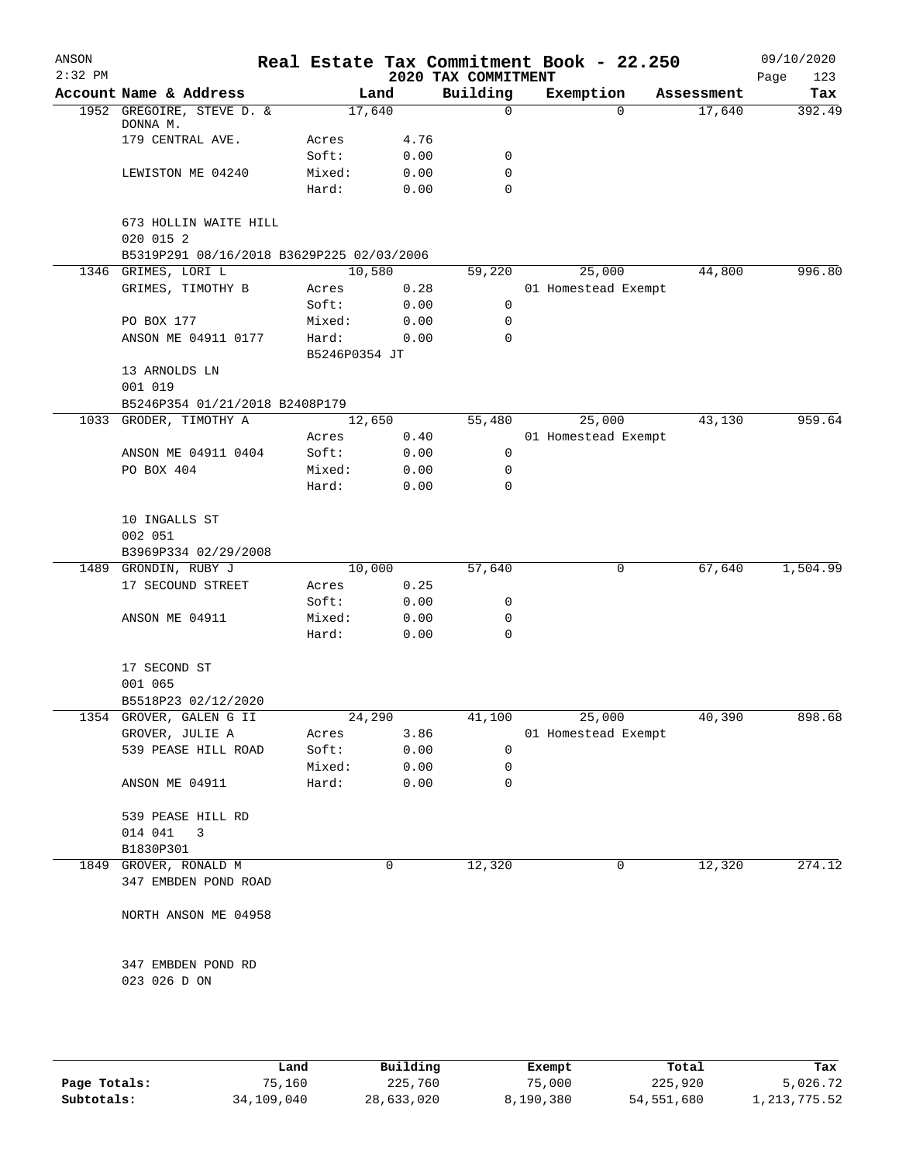| ANSON<br>$2:32$ PM |                                                                                 |               |        | 2020 TAX COMMITMENT | Real Estate Tax Commitment Book - 22.250 |            | 09/10/2020<br>Page<br>123 |
|--------------------|---------------------------------------------------------------------------------|---------------|--------|---------------------|------------------------------------------|------------|---------------------------|
|                    | Account Name & Address                                                          |               | Land   | Building            | Exemption                                | Assessment | Tax                       |
|                    | 1952 GREGOIRE, STEVE D. &<br>DONNA M.                                           |               | 17,640 | 0                   | 0                                        | 17,640     | 392.49                    |
|                    | 179 CENTRAL AVE.                                                                | Acres         | 4.76   |                     |                                          |            |                           |
|                    |                                                                                 | Soft:         | 0.00   | 0                   |                                          |            |                           |
|                    | LEWISTON ME 04240                                                               | Mixed:        | 0.00   | 0                   |                                          |            |                           |
|                    |                                                                                 | Hard:         | 0.00   | $\Omega$            |                                          |            |                           |
|                    | 673 HOLLIN WAITE HILL<br>020 015 2<br>B5319P291 08/16/2018 B3629P225 02/03/2006 |               |        |                     |                                          |            |                           |
|                    | 1346 GRIMES, LORI L                                                             |               | 10,580 | 59,220              | 25,000                                   | 44,800     | 996.80                    |
|                    | GRIMES, TIMOTHY B                                                               | Acres         | 0.28   |                     | 01 Homestead Exempt                      |            |                           |
|                    |                                                                                 | Soft:         | 0.00   | 0                   |                                          |            |                           |
|                    | PO BOX 177                                                                      | Mixed:        | 0.00   | 0                   |                                          |            |                           |
|                    | ANSON ME 04911 0177                                                             | Hard:         | 0.00   | 0                   |                                          |            |                           |
|                    |                                                                                 | B5246P0354 JT |        |                     |                                          |            |                           |
|                    | 13 ARNOLDS LN<br>001 019                                                        |               |        |                     |                                          |            |                           |
|                    | B5246P354 01/21/2018 B2408P179                                                  |               |        |                     |                                          |            |                           |
|                    | 1033 GRODER, TIMOTHY A                                                          |               | 12,650 | 55,480              | 25,000                                   | 43,130     | 959.64                    |
|                    |                                                                                 | Acres         | 0.40   |                     | 01 Homestead Exempt                      |            |                           |
|                    | ANSON ME 04911 0404                                                             | Soft:         | 0.00   | 0                   |                                          |            |                           |
|                    | PO BOX 404                                                                      | Mixed:        | 0.00   | 0                   |                                          |            |                           |
|                    |                                                                                 | Hard:         | 0.00   | 0                   |                                          |            |                           |
|                    | 10 INGALLS ST<br>002 051<br>B3969P334 02/29/2008                                |               |        |                     |                                          |            |                           |
| 1489               | GRONDIN, RUBY J                                                                 |               | 10,000 | 57,640              | 0                                        | 67,640     | 1,504.99                  |
|                    | 17 SECOUND STREET                                                               | Acres         | 0.25   |                     |                                          |            |                           |
|                    |                                                                                 | Soft:         | 0.00   | 0                   |                                          |            |                           |
|                    | ANSON ME 04911                                                                  | Mixed:        | 0.00   | 0                   |                                          |            |                           |
|                    |                                                                                 | Hard:         | 0.00   | 0                   |                                          |            |                           |
|                    | 17 SECOND ST<br>001 065                                                         |               |        |                     |                                          |            |                           |
|                    | B5518P23 02/12/2020                                                             |               |        |                     |                                          |            |                           |
|                    | 1354 GROVER, GALEN G II                                                         |               | 24,290 | 41,100              | 25,000                                   | 40,390     | 898.68                    |
|                    | GROVER, JULIE A                                                                 | Acres         | 3.86   |                     | 01 Homestead Exempt                      |            |                           |
|                    | 539 PEASE HILL ROAD                                                             | Soft:         | 0.00   | 0                   |                                          |            |                           |
|                    |                                                                                 | Mixed:        | 0.00   | 0                   |                                          |            |                           |
|                    | ANSON ME 04911                                                                  | Hard:         | 0.00   | 0                   |                                          |            |                           |
|                    | 539 PEASE HILL RD                                                               |               |        |                     |                                          |            |                           |
|                    | 014 041<br>3                                                                    |               |        |                     |                                          |            |                           |
|                    | B1830P301                                                                       |               |        |                     |                                          |            |                           |
|                    | 1849 GROVER, RONALD M                                                           |               | 0      | 12,320              | 0                                        | 12,320     | 274.12                    |
|                    | 347 EMBDEN POND ROAD                                                            |               |        |                     |                                          |            |                           |
|                    | NORTH ANSON ME 04958                                                            |               |        |                     |                                          |            |                           |
|                    | 347 EMBDEN POND RD                                                              |               |        |                     |                                          |            |                           |
|                    | 023 026 D ON                                                                    |               |        |                     |                                          |            |                           |

|              | Land       | Building   | Exempt    | Total      | Tax          |
|--------------|------------|------------|-----------|------------|--------------|
| Page Totals: | 75,160     | 225,760    | 75,000    | 225,920    | 5,026.72     |
| Subtotals:   | 34,109,040 | 28,633,020 | 8,190,380 | 54,551,680 | 1,213,775.52 |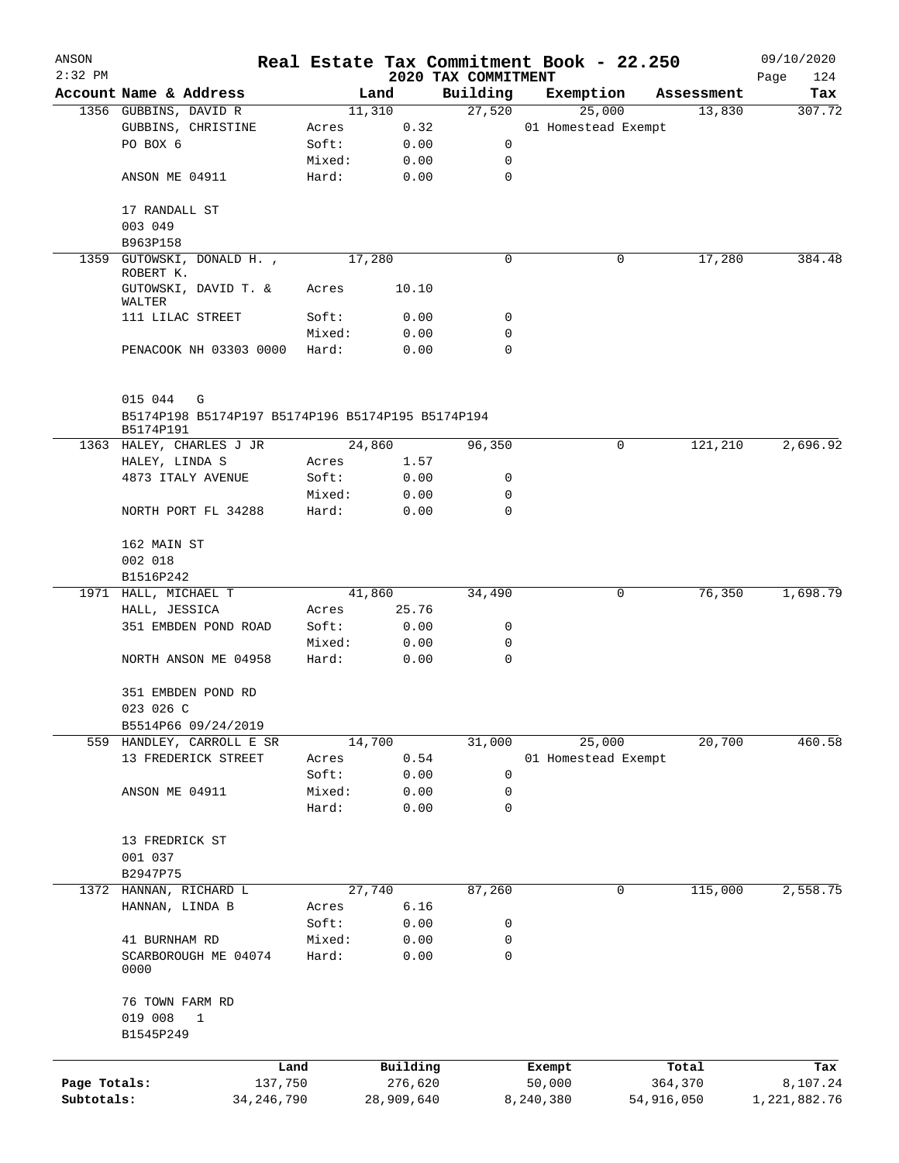| ANSON        |                                                                |                 |              |                     | Real Estate Tax Commitment Book - 22.250 |              | 09/10/2020   |
|--------------|----------------------------------------------------------------|-----------------|--------------|---------------------|------------------------------------------|--------------|--------------|
| $2:32$ PM    |                                                                |                 |              | 2020 TAX COMMITMENT |                                          |              | Page<br>124  |
|              | Account Name & Address                                         |                 | Land         | Building            | Exemption                                | Assessment   | Tax          |
|              | 1356 GUBBINS, DAVID R                                          |                 | 11,310       | 27,520              | 25,000                                   | 13,830       | 307.72       |
|              | GUBBINS, CHRISTINE<br>PO BOX 6                                 | Acres<br>Soft:  | 0.32         | 0                   | 01 Homestead Exempt                      |              |              |
|              |                                                                |                 | 0.00         | 0                   |                                          |              |              |
|              |                                                                | Mixed:          | 0.00         | $\mathbf 0$         |                                          |              |              |
|              | ANSON ME 04911                                                 | Hard:           | 0.00         |                     |                                          |              |              |
|              | 17 RANDALL ST                                                  |                 |              |                     |                                          |              |              |
|              | 003 049                                                        |                 |              |                     |                                          |              |              |
|              | B963P158                                                       |                 |              |                     |                                          |              |              |
| 1359         | GUTOWSKI, DONALD H.,                                           |                 | 17,280       | 0                   |                                          | 17,280<br>0  | 384.48       |
|              | ROBERT K.<br>GUTOWSKI, DAVID T. &                              | Acres           | 10.10        |                     |                                          |              |              |
|              | WALTER                                                         |                 |              | 0                   |                                          |              |              |
|              | 111 LILAC STREET                                               | Soft:           | 0.00         | 0                   |                                          |              |              |
|              | PENACOOK NH 03303 0000                                         | Mixed:<br>Hard: | 0.00<br>0.00 | 0                   |                                          |              |              |
|              |                                                                |                 |              |                     |                                          |              |              |
|              | 015 044<br>G                                                   |                 |              |                     |                                          |              |              |
|              | B5174P198 B5174P197 B5174P196 B5174P195 B5174P194<br>B5174P191 |                 |              |                     |                                          |              |              |
|              | 1363 HALEY, CHARLES J JR                                       |                 | 24,860       | 96,350              |                                          | 0<br>121,210 | 2,696.92     |
|              | HALEY, LINDA S                                                 | Acres           | 1.57         |                     |                                          |              |              |
|              | 4873 ITALY AVENUE                                              | Soft:           | 0.00         | 0                   |                                          |              |              |
|              |                                                                | Mixed:          | 0.00         | 0                   |                                          |              |              |
|              | NORTH PORT FL 34288                                            | Hard:           | 0.00         | 0                   |                                          |              |              |
|              |                                                                |                 |              |                     |                                          |              |              |
|              | 162 MAIN ST                                                    |                 |              |                     |                                          |              |              |
|              | 002 018                                                        |                 |              |                     |                                          |              |              |
|              | B1516P242                                                      |                 |              |                     |                                          |              |              |
|              | 1971 HALL, MICHAEL T                                           |                 | 41,860       | 34,490              |                                          | 76,350<br>0  | 1,698.79     |
|              | HALL, JESSICA                                                  | Acres           | 25.76        |                     |                                          |              |              |
|              | 351 EMBDEN POND ROAD                                           | Soft:           | 0.00         | 0                   |                                          |              |              |
|              |                                                                | Mixed:          | 0.00         | 0                   |                                          |              |              |
|              | NORTH ANSON ME 04958                                           | Hard:           | 0.00         | $\mathbf 0$         |                                          |              |              |
|              | 351 EMBDEN POND RD                                             |                 |              |                     |                                          |              |              |
|              | 023 026 C                                                      |                 |              |                     |                                          |              |              |
|              | B5514P66 09/24/2019                                            |                 |              |                     |                                          |              |              |
|              |                                                                |                 | 14,700       | 31,000              |                                          | 20,700       | 460.58       |
|              | 559 HANDLEY, CARROLL E SR<br>13 FREDERICK STREET               | Acres           | 0.54         |                     | 25,000<br>01 Homestead Exempt            |              |              |
|              |                                                                | Soft:           |              |                     |                                          |              |              |
|              |                                                                |                 | 0.00         | 0                   |                                          |              |              |
|              | ANSON ME 04911                                                 | Mixed:<br>Hard: | 0.00<br>0.00 | 0<br>$\mathbf 0$    |                                          |              |              |
|              |                                                                |                 |              |                     |                                          |              |              |
|              | 13 FREDRICK ST                                                 |                 |              |                     |                                          |              |              |
|              | 001 037                                                        |                 |              |                     |                                          |              |              |
|              | B2947P75                                                       |                 |              |                     |                                          |              |              |
|              | 1372 HANNAN, RICHARD L                                         |                 | 27,740       | 87,260              |                                          | 0<br>115,000 | 2,558.75     |
|              | HANNAN, LINDA B                                                | Acres           | 6.16         |                     |                                          |              |              |
|              |                                                                | Soft:           | 0.00         | 0                   |                                          |              |              |
|              | 41 BURNHAM RD                                                  | Mixed:          | 0.00         | 0                   |                                          |              |              |
|              | SCARBOROUGH ME 04074                                           | Hard:           | 0.00         | 0                   |                                          |              |              |
|              | 0000                                                           |                 |              |                     |                                          |              |              |
|              | 76 TOWN FARM RD                                                |                 |              |                     |                                          |              |              |
|              | 019 008<br>$\mathbf{1}$                                        |                 |              |                     |                                          |              |              |
|              | B1545P249                                                      |                 |              |                     |                                          |              |              |
|              |                                                                |                 |              |                     |                                          |              |              |
|              |                                                                | Land            | Building     |                     | Exempt                                   | Total        | Tax          |
| Page Totals: |                                                                | 137,750         | 276,620      |                     | 50,000                                   | 364,370      | 8,107.24     |
| Subtotals:   | 34, 246, 790                                                   |                 | 28,909,640   |                     | 8,240,380                                | 54,916,050   | 1,221,882.76 |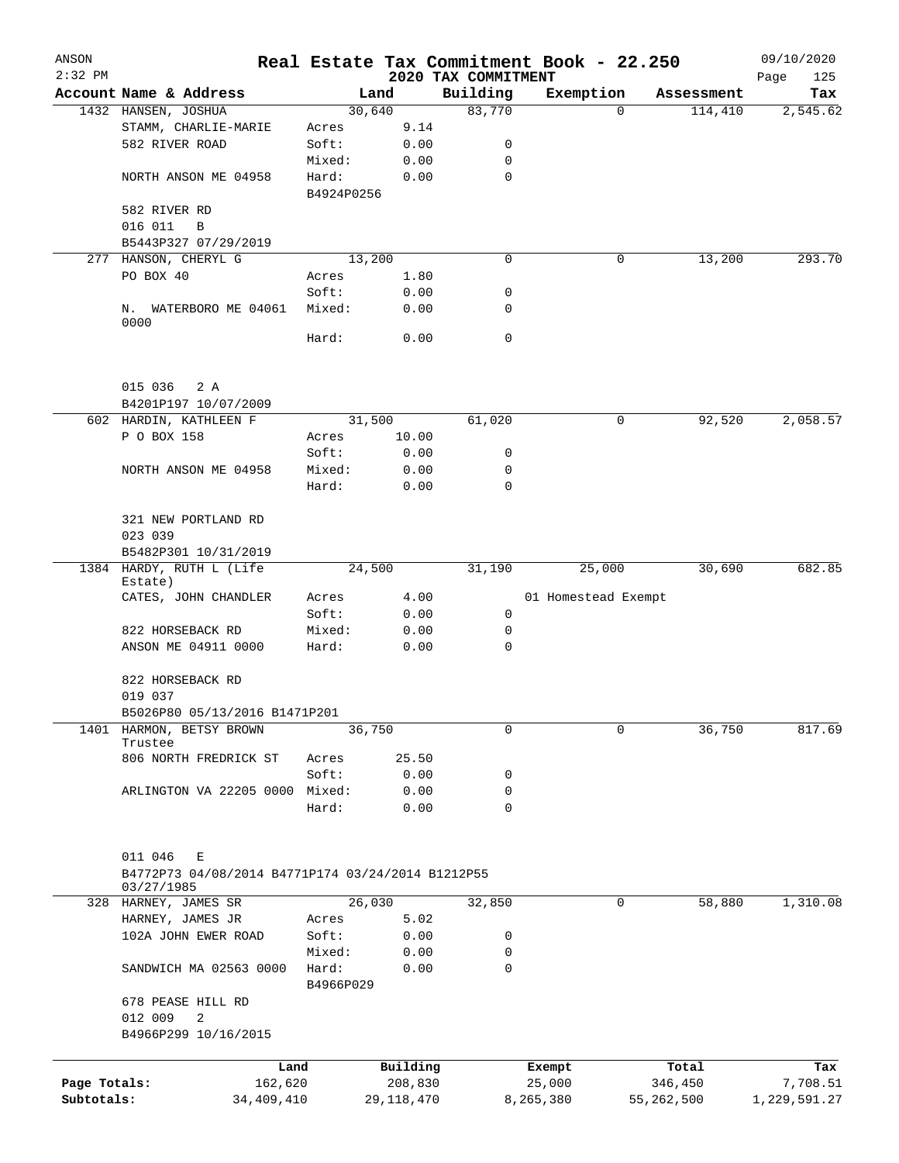| ANSON        |                                                                                 |                    |                |                     | Real Estate Tax Commitment Book - 22.250 |                       | 09/10/2020      |
|--------------|---------------------------------------------------------------------------------|--------------------|----------------|---------------------|------------------------------------------|-----------------------|-----------------|
| $2:32$ PM    |                                                                                 |                    |                | 2020 TAX COMMITMENT |                                          |                       | Page<br>125     |
|              | Account Name & Address                                                          |                    | Land<br>30,640 | Building<br>83,770  | Exemption<br>$\Omega$                    | Assessment<br>114,410 | Tax<br>2,545.62 |
|              | 1432 HANSEN, JOSHUA<br>STAMM, CHARLIE-MARIE                                     | Acres              | 9.14           |                     |                                          |                       |                 |
|              | 582 RIVER ROAD                                                                  | Soft:              | 0.00           | 0                   |                                          |                       |                 |
|              |                                                                                 | Mixed:             | 0.00           | 0                   |                                          |                       |                 |
|              | NORTH ANSON ME 04958                                                            | Hard:              | 0.00           | $\mathbf 0$         |                                          |                       |                 |
|              |                                                                                 | B4924P0256         |                |                     |                                          |                       |                 |
|              | 582 RIVER RD                                                                    |                    |                |                     |                                          |                       |                 |
|              | 016 011<br>B                                                                    |                    |                |                     |                                          |                       |                 |
|              | B5443P327 07/29/2019                                                            |                    |                |                     |                                          |                       |                 |
|              | 277 HANSON, CHERYL G                                                            |                    | 13,200         | 0                   | 0                                        | 13,200                | 293.70          |
|              | PO BOX 40                                                                       | Acres              | 1.80           |                     |                                          |                       |                 |
|              |                                                                                 | Soft:              | 0.00           | 0                   |                                          |                       |                 |
|              | N. WATERBORO ME 04061                                                           | Mixed:             | 0.00           | 0                   |                                          |                       |                 |
|              | 0000                                                                            |                    |                |                     |                                          |                       |                 |
|              |                                                                                 | Hard:              | 0.00           | 0                   |                                          |                       |                 |
|              | 015 036<br>2 A                                                                  |                    |                |                     |                                          |                       |                 |
|              | B4201P197 10/07/2009                                                            |                    |                |                     |                                          |                       |                 |
|              | 602 HARDIN, KATHLEEN F                                                          |                    | 31,500         | 61,020              | 0                                        | 92,520                | 2,058.57        |
|              | P O BOX 158                                                                     | Acres              | 10.00          |                     |                                          |                       |                 |
|              |                                                                                 | Soft:              | 0.00           | 0                   |                                          |                       |                 |
|              | NORTH ANSON ME 04958                                                            | Mixed:             | 0.00           | 0                   |                                          |                       |                 |
|              |                                                                                 | Hard:              | 0.00           | 0                   |                                          |                       |                 |
|              |                                                                                 |                    |                |                     |                                          |                       |                 |
|              | 321 NEW PORTLAND RD<br>023 039                                                  |                    |                |                     |                                          |                       |                 |
|              | B5482P301 10/31/2019                                                            |                    |                |                     |                                          |                       |                 |
|              | 1384 HARDY, RUTH L (Life                                                        |                    | 24,500         | 31,190              | 25,000                                   | 30,690                | 682.85          |
|              | Estate)                                                                         |                    |                |                     |                                          |                       |                 |
|              | CATES, JOHN CHANDLER                                                            | Acres              | 4.00           |                     | 01 Homestead Exempt                      |                       |                 |
|              |                                                                                 | Soft:              | 0.00           | 0                   |                                          |                       |                 |
|              | 822 HORSEBACK RD                                                                | Mixed:             | 0.00           | 0                   |                                          |                       |                 |
|              | ANSON ME 04911 0000                                                             | Hard:              | 0.00           | 0                   |                                          |                       |                 |
|              | 822 HORSEBACK RD                                                                |                    |                |                     |                                          |                       |                 |
|              | 019 037                                                                         |                    |                |                     |                                          |                       |                 |
|              | B5026P80 05/13/2016 B1471P201                                                   |                    |                |                     |                                          |                       |                 |
| 1401         | HARMON, BETSY BROWN<br>Trustee                                                  |                    | 36,750         | 0                   | $\mathbf 0$                              | 36,750                | 817.69          |
|              | 806 NORTH FREDRICK ST                                                           | Acres              | 25.50          |                     |                                          |                       |                 |
|              |                                                                                 | Soft:              | 0.00           | 0                   |                                          |                       |                 |
|              | ARLINGTON VA 22205 0000                                                         | Mixed:             | 0.00           | 0                   |                                          |                       |                 |
|              |                                                                                 | Hard:              | 0.00           | 0                   |                                          |                       |                 |
|              | 011 046<br>Ε<br>B4772P73 04/08/2014 B4771P174 03/24/2014 B1212P55<br>03/27/1985 |                    |                |                     |                                          |                       |                 |
|              | 328 HARNEY, JAMES SR                                                            |                    | 26,030         | 32,850              | 0                                        | 58,880                | 1,310.08        |
|              | HARNEY, JAMES JR                                                                | Acres              | 5.02           |                     |                                          |                       |                 |
|              | 102A JOHN EWER ROAD                                                             | Soft:              | 0.00           | 0                   |                                          |                       |                 |
|              |                                                                                 | Mixed:             | 0.00           | 0                   |                                          |                       |                 |
|              | SANDWICH MA 02563 0000                                                          | Hard:<br>B4966P029 | 0.00           | 0                   |                                          |                       |                 |
|              | 678 PEASE HILL RD                                                               |                    |                |                     |                                          |                       |                 |
|              | 012 009<br>2                                                                    |                    |                |                     |                                          |                       |                 |
|              | B4966P299 10/16/2015                                                            |                    |                |                     |                                          |                       |                 |
|              |                                                                                 | Land               | Building       |                     | Exempt                                   | Total                 | Tax             |
| Page Totals: | 162,620                                                                         |                    | 208,830        |                     | 25,000                                   | 346,450               | 7,708.51        |
| Subtotals:   | 34,409,410                                                                      |                    | 29, 118, 470   |                     | 8,265,380                                | 55,262,500            | 1,229,591.27    |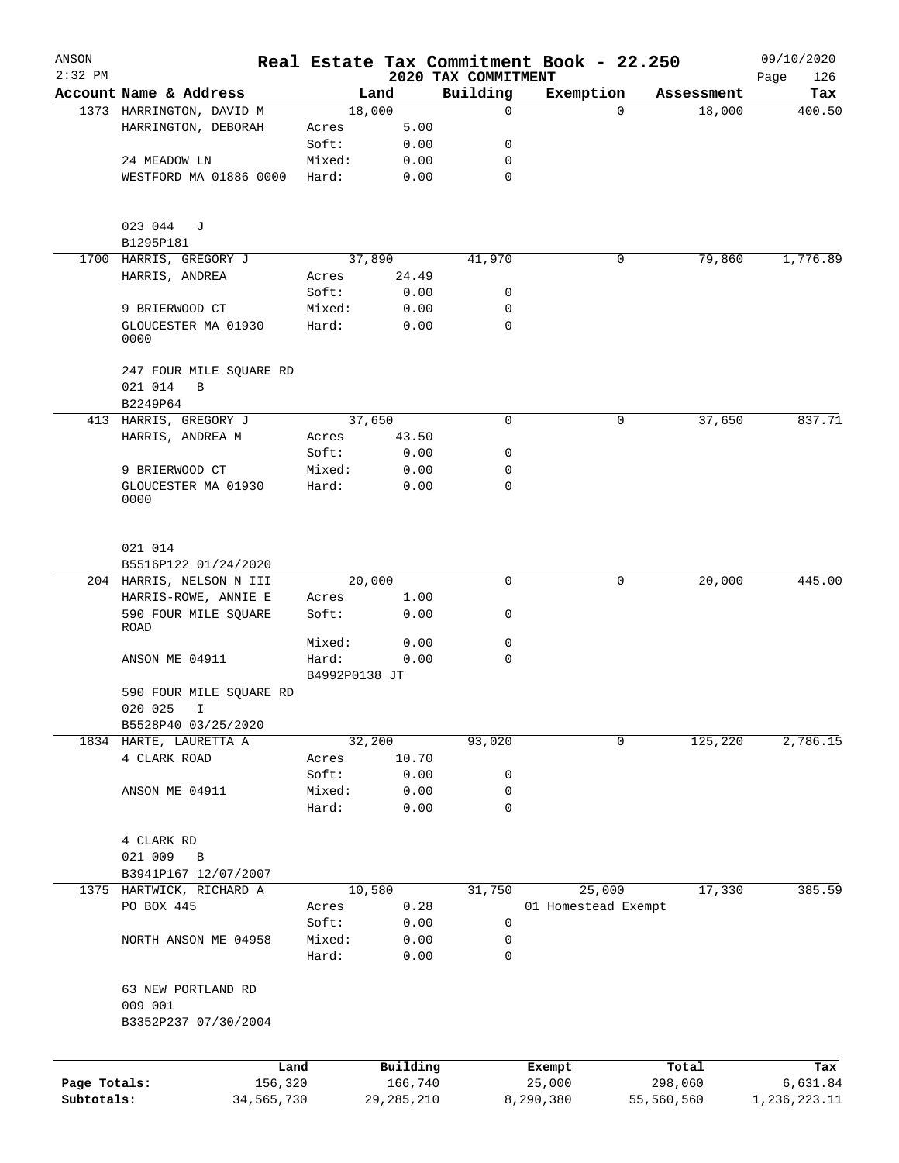| ANSON<br>$2:32$ PM |                                                    |               |              | 2020 TAX COMMITMENT | Real Estate Tax Commitment Book - 22.250 |            | 09/10/2020<br>Page<br>126 |
|--------------------|----------------------------------------------------|---------------|--------------|---------------------|------------------------------------------|------------|---------------------------|
|                    | Account Name & Address                             |               | Land         | Building            | Exemption                                | Assessment | Tax                       |
|                    | 1373 HARRINGTON, DAVID M                           |               | 18,000       | 0                   | $\Omega$                                 | 18,000     | 400.50                    |
|                    | HARRINGTON, DEBORAH                                | Acres         | 5.00         |                     |                                          |            |                           |
|                    |                                                    | Soft:         | 0.00         | 0                   |                                          |            |                           |
|                    | 24 MEADOW LN                                       | Mixed:        | 0.00         | 0                   |                                          |            |                           |
|                    | WESTFORD MA 01886 0000                             | Hard:         | 0.00         | $\mathbf 0$         |                                          |            |                           |
|                    | 023 044<br>J                                       |               |              |                     |                                          |            |                           |
|                    | B1295P181                                          |               |              |                     |                                          |            |                           |
| 1700               | HARRIS, GREGORY J                                  |               | 37,890       | 41,970              | 0                                        | 79,860     | 1,776.89                  |
|                    | HARRIS, ANDREA                                     | Acres         | 24.49        |                     |                                          |            |                           |
|                    |                                                    | Soft:         | 0.00         | 0                   |                                          |            |                           |
|                    | 9 BRIERWOOD CT                                     | Mixed:        | 0.00         | 0                   |                                          |            |                           |
|                    | GLOUCESTER MA 01930                                | Hard:         | 0.00         | $\mathbf 0$         |                                          |            |                           |
|                    | 0000                                               |               |              |                     |                                          |            |                           |
|                    | 247 FOUR MILE SQUARE RD                            |               |              |                     |                                          |            |                           |
|                    | 021 014<br>B                                       |               |              |                     |                                          |            |                           |
|                    | B2249P64                                           |               |              |                     |                                          |            |                           |
|                    | 413 HARRIS, GREGORY J                              |               | 37,650       | $\mathbf 0$         | 0                                        | 37,650     | 837.71                    |
|                    | HARRIS, ANDREA M                                   | Acres         | 43.50        |                     |                                          |            |                           |
|                    |                                                    | Soft:         | 0.00         | 0                   |                                          |            |                           |
|                    | 9 BRIERWOOD CT                                     | Mixed:        | 0.00         | 0                   |                                          |            |                           |
|                    | GLOUCESTER MA 01930<br>0000                        | Hard:         | 0.00         | 0                   |                                          |            |                           |
|                    |                                                    |               |              |                     |                                          |            |                           |
|                    | 021 014                                            |               |              |                     |                                          |            |                           |
|                    | B5516P122 01/24/2020                               |               |              |                     |                                          |            |                           |
|                    | 204 HARRIS, NELSON N III                           |               | 20,000       | 0                   | 0                                        | 20,000     | 445.00                    |
|                    | HARRIS-ROWE, ANNIE E                               | Acres         | 1.00         |                     |                                          |            |                           |
|                    | 590 FOUR MILE SQUARE<br>ROAD                       | Soft:         | 0.00         | 0                   |                                          |            |                           |
|                    |                                                    | Mixed:        | 0.00         | 0                   |                                          |            |                           |
|                    | ANSON ME 04911                                     | Hard:         | 0.00         | 0                   |                                          |            |                           |
|                    |                                                    | B4992P0138 JT |              |                     |                                          |            |                           |
|                    | 590 FOUR MILE SQUARE RD<br>020 025<br>$\mathbf{I}$ |               |              |                     |                                          |            |                           |
|                    | B5528P40 03/25/2020                                |               |              |                     |                                          |            |                           |
|                    | 1834 HARTE, LAURETTA A                             |               | 32,200       | 93,020              | 0                                        | 125,220    | 2,786.15                  |
|                    | 4 CLARK ROAD                                       | Acres         | 10.70        |                     |                                          |            |                           |
|                    |                                                    | Soft:         | 0.00         | 0                   |                                          |            |                           |
|                    | ANSON ME 04911                                     | Mixed:        | 0.00         | 0                   |                                          |            |                           |
|                    |                                                    | Hard:         | 0.00         | 0                   |                                          |            |                           |
|                    | 4 CLARK RD                                         |               |              |                     |                                          |            |                           |
|                    | 021 009<br>В                                       |               |              |                     |                                          |            |                           |
|                    | B3941P167 12/07/2007                               |               |              |                     |                                          |            |                           |
|                    | 1375 HARTWICK, RICHARD A                           |               | 10,580       | 31,750              | 25,000                                   | 17,330     | 385.59                    |
|                    | PO BOX 445                                         | Acres         | 0.28         |                     | 01 Homestead Exempt                      |            |                           |
|                    |                                                    | Soft:         | 0.00         | 0                   |                                          |            |                           |
|                    | NORTH ANSON ME 04958                               | Mixed:        | 0.00         | 0                   |                                          |            |                           |
|                    |                                                    | Hard:         | 0.00         | 0                   |                                          |            |                           |
|                    | 63 NEW PORTLAND RD                                 |               |              |                     |                                          |            |                           |
|                    | 009 001<br>B3352P237 07/30/2004                    |               |              |                     |                                          |            |                           |
|                    |                                                    |               |              |                     |                                          |            |                           |
|                    | Land                                               |               | Building     |                     | Exempt                                   | Total      | Tax                       |
| Page Totals:       | 156,320                                            |               | 166,740      |                     | 25,000                                   | 298,060    | 6,631.84                  |
| Subtotals:         | 34,565,730                                         |               | 29, 285, 210 |                     | 8,290,380                                | 55,560,560 | 1,236,223.11              |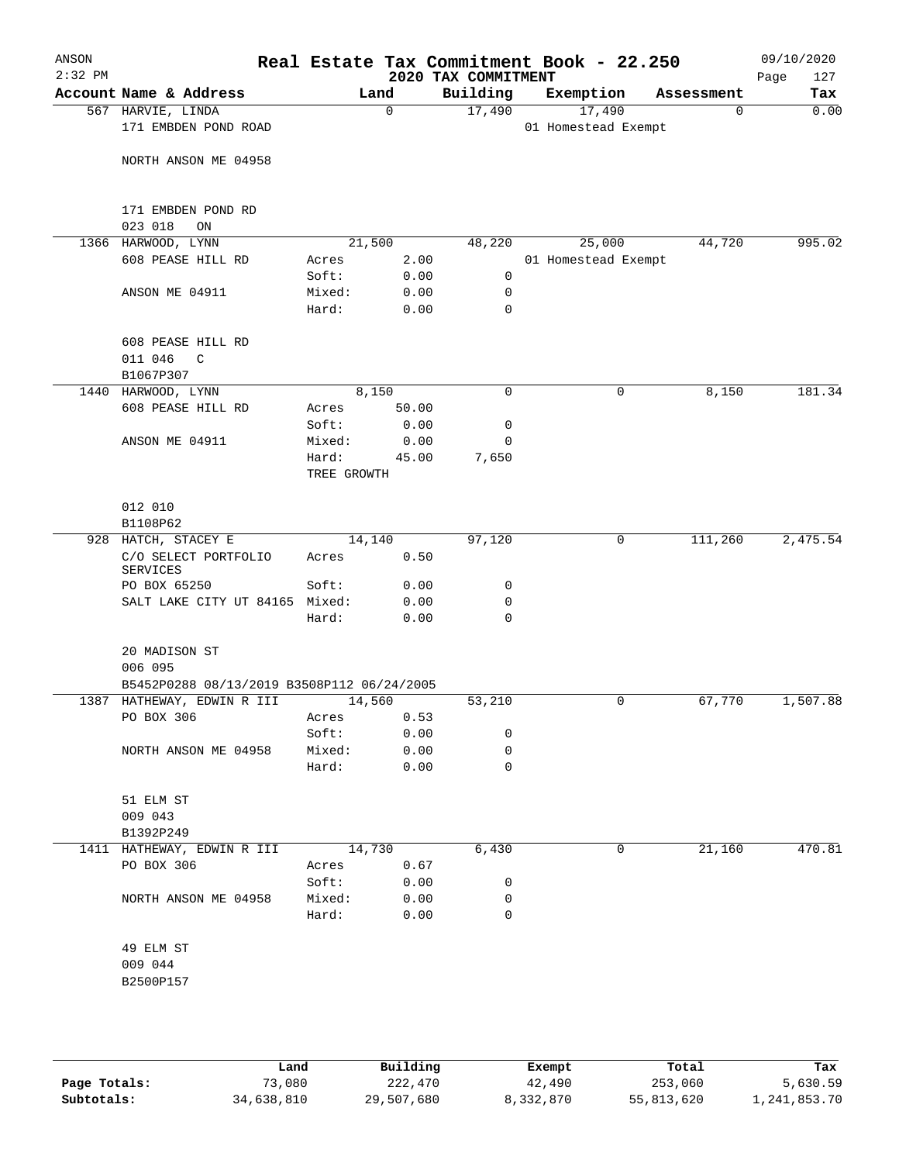| Account Name & Address<br>567 HARVIE, LINDA<br>171 EMBDEN POND ROAD<br>NORTH ANSON ME 04958<br>171 EMBDEN POND RD<br>023 018<br>ON<br>1366 HARWOOD, LYNN<br>608 PEASE HILL RD<br>ANSON ME 04911 | Acres                      | Land<br>0<br>21,500                                        | 2020 TAX COMMITMENT<br>Building<br>17,490 |                                                                                                                                                             | Exemption<br>17,490<br>01 Homestead Exempt | Assessment<br>0 | Tax      |
|-------------------------------------------------------------------------------------------------------------------------------------------------------------------------------------------------|----------------------------|------------------------------------------------------------|-------------------------------------------|-------------------------------------------------------------------------------------------------------------------------------------------------------------|--------------------------------------------|-----------------|----------|
|                                                                                                                                                                                                 |                            |                                                            |                                           |                                                                                                                                                             |                                            |                 | 0.00     |
|                                                                                                                                                                                                 |                            |                                                            |                                           |                                                                                                                                                             |                                            |                 |          |
|                                                                                                                                                                                                 |                            |                                                            |                                           |                                                                                                                                                             |                                            |                 |          |
|                                                                                                                                                                                                 |                            |                                                            |                                           |                                                                                                                                                             |                                            |                 |          |
|                                                                                                                                                                                                 |                            |                                                            | 48,220                                    |                                                                                                                                                             | 25,000                                     | 44,720          | 995.02   |
|                                                                                                                                                                                                 | Soft:                      | 2.00<br>0.00                                               | 0                                         |                                                                                                                                                             | 01 Homestead Exempt                        |                 |          |
|                                                                                                                                                                                                 | Mixed:<br>Hard:            | 0.00<br>0.00                                               | 0<br>$\mathbf 0$                          |                                                                                                                                                             |                                            |                 |          |
| 608 PEASE HILL RD<br>011 046<br>C                                                                                                                                                               |                            |                                                            |                                           |                                                                                                                                                             |                                            |                 |          |
| B1067P307                                                                                                                                                                                       |                            |                                                            |                                           |                                                                                                                                                             |                                            |                 |          |
| 1440 HARWOOD, LYNN                                                                                                                                                                              |                            | 8,150                                                      | 0                                         |                                                                                                                                                             | 0                                          | 8,150           | 181.34   |
| 608 PEASE HILL RD                                                                                                                                                                               | Acres                      | 50.00                                                      |                                           |                                                                                                                                                             |                                            |                 |          |
|                                                                                                                                                                                                 | Soft:                      | 0.00                                                       | 0                                         |                                                                                                                                                             |                                            |                 |          |
| ANSON ME 04911                                                                                                                                                                                  | Mixed:<br>Hard:            | 0.00<br>45.00                                              | 0<br>7,650                                |                                                                                                                                                             |                                            |                 |          |
|                                                                                                                                                                                                 | TREE GROWTH                |                                                            |                                           |                                                                                                                                                             |                                            |                 |          |
| 012 010<br>B1108P62                                                                                                                                                                             |                            |                                                            |                                           |                                                                                                                                                             |                                            |                 |          |
| 928 HATCH, STACEY E                                                                                                                                                                             |                            | 14,140                                                     | 97,120                                    |                                                                                                                                                             | 0                                          | 111,260         | 2,475.54 |
| C/O SELECT PORTFOLIO<br><b>SERVICES</b>                                                                                                                                                         | Acres                      |                                                            |                                           |                                                                                                                                                             |                                            |                 |          |
| PO BOX 65250                                                                                                                                                                                    |                            |                                                            |                                           |                                                                                                                                                             |                                            |                 |          |
|                                                                                                                                                                                                 | Hard:                      |                                                            | $\mathbf 0$                               |                                                                                                                                                             |                                            |                 |          |
| 20 MADISON ST                                                                                                                                                                                   |                            |                                                            |                                           |                                                                                                                                                             |                                            |                 |          |
| 006 095                                                                                                                                                                                         |                            |                                                            |                                           |                                                                                                                                                             |                                            |                 |          |
|                                                                                                                                                                                                 |                            |                                                            |                                           |                                                                                                                                                             | 0                                          |                 | 1,507.88 |
| PO BOX 306                                                                                                                                                                                      |                            | 0.53                                                       |                                           |                                                                                                                                                             |                                            |                 |          |
|                                                                                                                                                                                                 | Soft:                      |                                                            | 0                                         |                                                                                                                                                             |                                            |                 |          |
| NORTH ANSON ME 04958                                                                                                                                                                            | Mixed:                     |                                                            | 0                                         |                                                                                                                                                             |                                            |                 |          |
|                                                                                                                                                                                                 | Hard:                      |                                                            | 0                                         |                                                                                                                                                             |                                            |                 |          |
| 51 ELM ST<br>009 043                                                                                                                                                                            |                            |                                                            |                                           |                                                                                                                                                             |                                            |                 |          |
| B1392P249                                                                                                                                                                                       |                            |                                                            |                                           |                                                                                                                                                             |                                            |                 |          |
| 1411 HATHEWAY, EDWIN R III                                                                                                                                                                      |                            |                                                            | 6,430                                     |                                                                                                                                                             | 0                                          | 21,160          | 470.81   |
| PO BOX 306                                                                                                                                                                                      | Acres                      |                                                            |                                           |                                                                                                                                                             |                                            |                 |          |
|                                                                                                                                                                                                 | Soft:                      |                                                            | 0                                         |                                                                                                                                                             |                                            |                 |          |
| NORTH ANSON ME 04958                                                                                                                                                                            | Hard:                      |                                                            | $\mathbf 0$                               |                                                                                                                                                             |                                            |                 |          |
| 49 ELM ST<br>009 044                                                                                                                                                                            |                            |                                                            |                                           |                                                                                                                                                             |                                            |                 |          |
|                                                                                                                                                                                                 | 1387 HATHEWAY, EDWIN R III | Soft:<br>SALT LAKE CITY UT 84165 Mixed:<br>Acres<br>Mixed: | 14,560<br>14,730                          | 0.50<br>0.00<br>0<br>0.00<br>0<br>0.00<br>B5452P0288 08/13/2019 B3508P112 06/24/2005<br>53,210<br>0.00<br>0.00<br>0.00<br>0.67<br>0.00<br>0.00<br>0<br>0.00 |                                            |                 | 67,770   |

|              | Land       | Building   | Exempt    | Total      | Tax          |
|--------------|------------|------------|-----------|------------|--------------|
| Page Totals: | 73,080     | 222,470    | 42,490    | 253,060    | 5,630.59     |
| Subtotals:   | 34,638,810 | 29,507,680 | 8,332,870 | 55,813,620 | l,241,853.70 |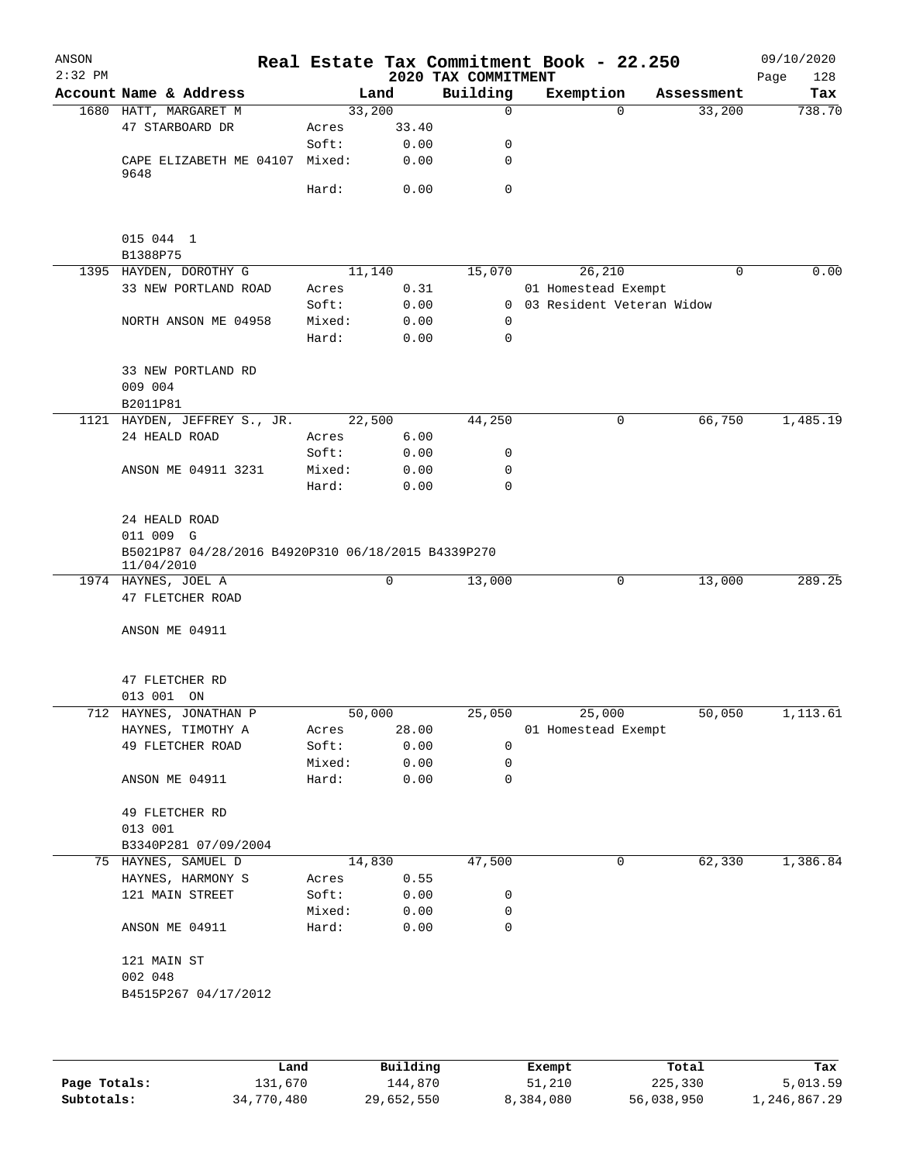| ANSON<br>$2:32$ PM |                                                                  |        |       | 2020 TAX COMMITMENT | Real Estate Tax Commitment Book - 22.250 |            | 09/10/2020<br>Page<br>128 |
|--------------------|------------------------------------------------------------------|--------|-------|---------------------|------------------------------------------|------------|---------------------------|
|                    | Account Name & Address                                           |        | Land  | Building            | Exemption                                | Assessment | Tax                       |
|                    | 1680 HATT, MARGARET M                                            | 33,200 |       | $\Omega$            | $\Omega$                                 | 33,200     | 738.70                    |
|                    | 47 STARBOARD DR                                                  | Acres  | 33.40 |                     |                                          |            |                           |
|                    |                                                                  | Soft:  | 0.00  | 0                   |                                          |            |                           |
|                    | CAPE ELIZABETH ME 04107 Mixed:                                   |        | 0.00  | 0                   |                                          |            |                           |
|                    | 9648                                                             |        |       |                     |                                          |            |                           |
|                    |                                                                  | Hard:  | 0.00  | $\mathbf 0$         |                                          |            |                           |
|                    |                                                                  |        |       |                     |                                          |            |                           |
|                    | 015 044 1                                                        |        |       |                     |                                          |            |                           |
|                    | B1388P75                                                         |        |       |                     |                                          |            |                           |
|                    | 1395 HAYDEN, DOROTHY G                                           | 11,140 |       | 15,070              | 26,210                                   | 0          | 0.00                      |
|                    | 33 NEW PORTLAND ROAD                                             | Acres  | 0.31  |                     | 01 Homestead Exempt                      |            |                           |
|                    |                                                                  | Soft:  | 0.00  |                     | 0 03 Resident Veteran Widow              |            |                           |
|                    | NORTH ANSON ME 04958                                             | Mixed: | 0.00  | $\mathbf 0$         |                                          |            |                           |
|                    |                                                                  | Hard:  | 0.00  | 0                   |                                          |            |                           |
|                    | 33 NEW PORTLAND RD                                               |        |       |                     |                                          |            |                           |
|                    | 009 004                                                          |        |       |                     |                                          |            |                           |
|                    | B2011P81                                                         |        |       |                     |                                          |            |                           |
|                    | 1121 HAYDEN, JEFFREY S., JR.                                     | 22,500 |       | 44,250              | 0                                        | 66,750     | 1,485.19                  |
|                    | 24 HEALD ROAD                                                    | Acres  | 6.00  |                     |                                          |            |                           |
|                    |                                                                  | Soft:  | 0.00  | 0                   |                                          |            |                           |
|                    | ANSON ME 04911 3231                                              | Mixed: | 0.00  | 0                   |                                          |            |                           |
|                    |                                                                  | Hard:  | 0.00  | 0                   |                                          |            |                           |
|                    |                                                                  |        |       |                     |                                          |            |                           |
|                    | 24 HEALD ROAD                                                    |        |       |                     |                                          |            |                           |
|                    | 011 009 G                                                        |        |       |                     |                                          |            |                           |
|                    | B5021P87 04/28/2016 B4920P310 06/18/2015 B4339P270<br>11/04/2010 |        |       |                     |                                          |            |                           |
|                    | 1974 HAYNES, JOEL A                                              |        | 0     | 13,000              | 0                                        | 13,000     | 289.25                    |
|                    | 47 FLETCHER ROAD                                                 |        |       |                     |                                          |            |                           |
|                    |                                                                  |        |       |                     |                                          |            |                           |
|                    | ANSON ME 04911                                                   |        |       |                     |                                          |            |                           |
|                    |                                                                  |        |       |                     |                                          |            |                           |
|                    | 47 FLETCHER RD                                                   |        |       |                     |                                          |            |                           |
|                    | 013 001 ON                                                       |        |       |                     |                                          |            |                           |
|                    | 712 HAYNES, JONATHAN P                                           | 50,000 |       | 25,050              | 25,000                                   | 50,050     | 1,113.61                  |
|                    | HAYNES, TIMOTHY A                                                | Acres  | 28.00 |                     | 01 Homestead Exempt                      |            |                           |
|                    | 49 FLETCHER ROAD                                                 | Soft:  | 0.00  | 0                   |                                          |            |                           |
|                    |                                                                  | Mixed: | 0.00  | 0                   |                                          |            |                           |
|                    | ANSON ME 04911                                                   | Hard:  | 0.00  | 0                   |                                          |            |                           |
|                    | 49 FLETCHER RD                                                   |        |       |                     |                                          |            |                           |
|                    | 013 001                                                          |        |       |                     |                                          |            |                           |
|                    | B3340P281 07/09/2004                                             |        |       |                     |                                          |            |                           |
|                    | 75 HAYNES, SAMUEL D                                              | 14,830 |       | 47,500              | 0                                        | 62,330     | 1,386.84                  |
|                    | HAYNES, HARMONY S                                                | Acres  | 0.55  |                     |                                          |            |                           |
|                    | 121 MAIN STREET                                                  | Soft:  | 0.00  | 0                   |                                          |            |                           |
|                    |                                                                  | Mixed: | 0.00  | 0                   |                                          |            |                           |
|                    | ANSON ME 04911                                                   | Hard:  | 0.00  | 0                   |                                          |            |                           |
|                    |                                                                  |        |       |                     |                                          |            |                           |
|                    | 121 MAIN ST                                                      |        |       |                     |                                          |            |                           |
|                    | 002 048                                                          |        |       |                     |                                          |            |                           |
|                    | B4515P267 04/17/2012                                             |        |       |                     |                                          |            |                           |
|                    |                                                                  |        |       |                     |                                          |            |                           |
|                    |                                                                  |        |       |                     |                                          |            |                           |
|                    |                                                                  |        |       |                     |                                          |            |                           |

|              | Land       | Building   | Exempt    | Total      | Tax          |
|--------------|------------|------------|-----------|------------|--------------|
| Page Totals: | 131,670    | 144.870    | 51,210    | 225,330    | 5,013.59     |
| Subtotals:   | 34,770,480 | 29,652,550 | 8,384,080 | 56,038,950 | 1,246,867.29 |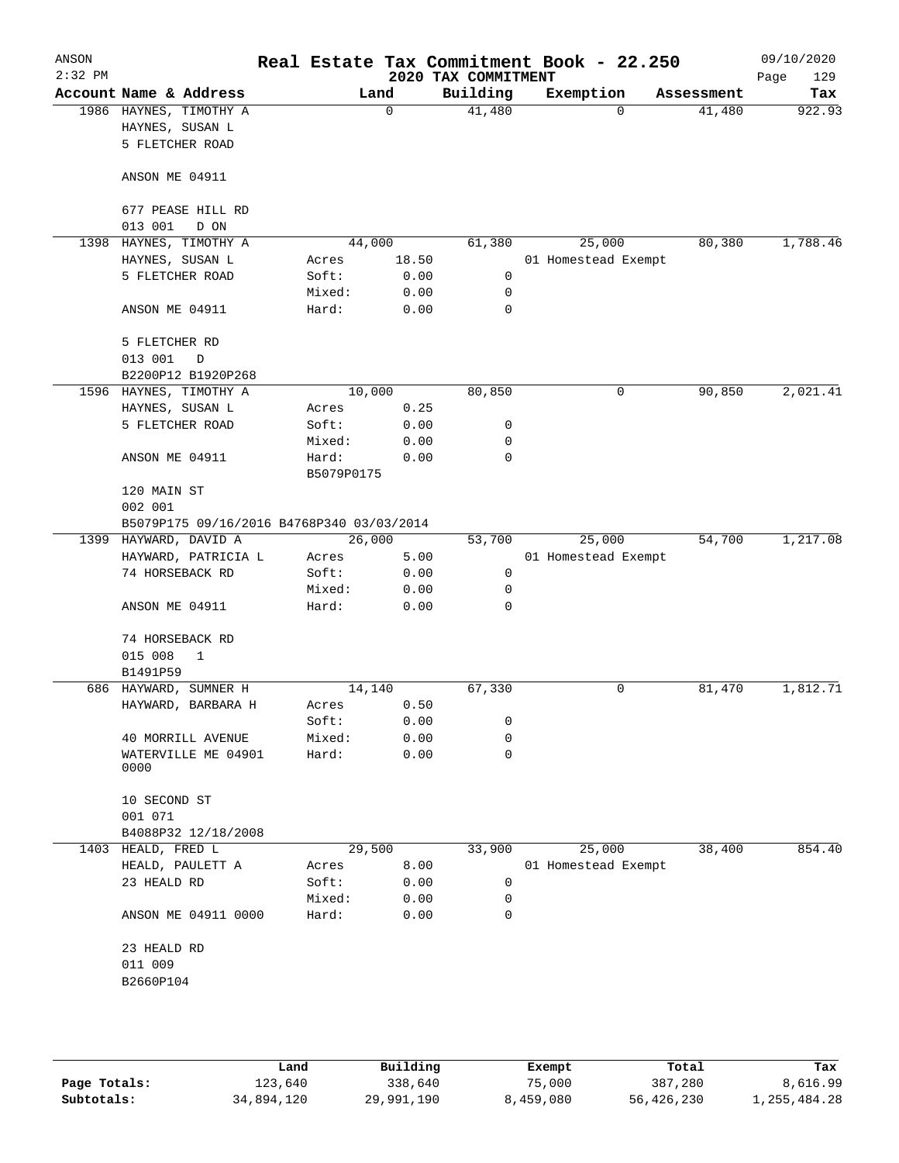| ANSON<br>$2:32$ PM |                                                              |                     |             | 2020 TAX COMMITMENT | Real Estate Tax Commitment Book - 22.250 |            | 09/10/2020<br>129<br>Page |
|--------------------|--------------------------------------------------------------|---------------------|-------------|---------------------|------------------------------------------|------------|---------------------------|
|                    | Account Name & Address                                       |                     | Land        | Building            | Exemption                                | Assessment | Tax                       |
|                    | 1986 HAYNES, TIMOTHY A<br>HAYNES, SUSAN L<br>5 FLETCHER ROAD |                     | $\mathbf 0$ | 41,480              | $\Omega$                                 | 41,480     | 922.93                    |
|                    | ANSON ME 04911                                               |                     |             |                     |                                          |            |                           |
|                    | 677 PEASE HILL RD<br>013 001<br>D ON                         |                     |             |                     |                                          |            |                           |
| 1398               | HAYNES, TIMOTHY A                                            |                     | 44,000      | 61,380              | 25,000                                   | 80,380     | 1,788.46                  |
|                    | HAYNES, SUSAN L                                              | Acres               | 18.50       |                     | 01 Homestead Exempt                      |            |                           |
|                    | 5 FLETCHER ROAD                                              | Soft:               | 0.00        | $\mathbf 0$         |                                          |            |                           |
|                    |                                                              | Mixed:              | 0.00        | $\mathbf 0$         |                                          |            |                           |
|                    | ANSON ME 04911                                               | Hard:               | 0.00        | $\Omega$            |                                          |            |                           |
|                    | 5 FLETCHER RD                                                |                     |             |                     |                                          |            |                           |
|                    | 013 001<br>D                                                 |                     |             |                     |                                          |            |                           |
|                    | B2200P12 B1920P268                                           |                     |             |                     |                                          |            |                           |
|                    | 1596 HAYNES, TIMOTHY A                                       |                     | 10,000      | 80,850              | 0                                        | 90,850     | 2,021.41                  |
|                    | HAYNES, SUSAN L                                              | Acres               | 0.25        |                     |                                          |            |                           |
|                    | 5 FLETCHER ROAD                                              | Soft:               | 0.00        | 0                   |                                          |            |                           |
|                    |                                                              | Mixed:              | 0.00        | 0                   |                                          |            |                           |
|                    | ANSON ME 04911                                               | Hard:<br>B5079P0175 | 0.00        | $\mathbf 0$         |                                          |            |                           |
|                    | 120 MAIN ST                                                  |                     |             |                     |                                          |            |                           |
|                    | 002 001                                                      |                     |             |                     |                                          |            |                           |
|                    | B5079P175 09/16/2016 B4768P340 03/03/2014                    |                     |             |                     |                                          |            |                           |
| 1399               | HAYWARD, DAVID A                                             |                     | 26,000      | 53,700              | 25,000                                   | 54,700     | 1,217.08                  |
|                    | HAYWARD, PATRICIA L                                          | Acres               | 5.00        |                     | 01 Homestead Exempt                      |            |                           |
|                    | 74 HORSEBACK RD                                              | Soft:               | 0.00        | 0                   |                                          |            |                           |
|                    |                                                              | Mixed:              | 0.00        | 0                   |                                          |            |                           |
|                    | ANSON ME 04911                                               | Hard:               | 0.00        | $\Omega$            |                                          |            |                           |
|                    | 74 HORSEBACK RD                                              |                     |             |                     |                                          |            |                           |
|                    | 015 008<br>1                                                 |                     |             |                     |                                          |            |                           |
|                    | B1491P59                                                     |                     |             |                     |                                          |            |                           |
|                    | 686 HAYWARD, SUMNER H                                        |                     | 14,140      | 67,330              | 0                                        | 81,470     | 1,812.71                  |
|                    | HAYWARD, BARBARA H                                           | Acres               | 0.50        |                     |                                          |            |                           |
|                    |                                                              | Soft:               | 0.00        | 0                   |                                          |            |                           |
|                    | 40 MORRILL AVENUE                                            | Mixed:              | 0.00        | 0                   |                                          |            |                           |
|                    | WATERVILLE ME 04901<br>0000                                  | Hard:               | 0.00        | 0                   |                                          |            |                           |
|                    | 10 SECOND ST<br>001 071                                      |                     |             |                     |                                          |            |                           |
|                    | B4088P32 12/18/2008                                          |                     |             |                     |                                          |            |                           |
| 1403               | HEALD, FRED L                                                |                     | 29,500      | 33,900              | 25,000                                   | 38,400     | 854.40                    |
|                    | HEALD, PAULETT A                                             | Acres               | 8.00        |                     | 01 Homestead Exempt                      |            |                           |
|                    | 23 HEALD RD                                                  | Soft:               | 0.00        | 0                   |                                          |            |                           |
|                    |                                                              | Mixed:              | 0.00        | 0                   |                                          |            |                           |
|                    | ANSON ME 04911 0000                                          | Hard:               | 0.00        | 0                   |                                          |            |                           |
|                    | 23 HEALD RD                                                  |                     |             |                     |                                          |            |                           |
|                    | 011 009                                                      |                     |             |                     |                                          |            |                           |
|                    | B2660P104                                                    |                     |             |                     |                                          |            |                           |
|                    |                                                              |                     |             |                     |                                          |            |                           |
|                    |                                                              |                     |             |                     |                                          |            |                           |
|                    |                                                              |                     |             |                     |                                          |            |                           |

|              | Land       | Building   | Exempt    | Total      | Tax          |
|--------------|------------|------------|-----------|------------|--------------|
| Page Totals: | 123,640    | 338,640    | 75,000    | 387,280    | 8,616.99     |
| Subtotals:   | 34,894,120 | 29,991,190 | 8,459,080 | 56,426,230 | l,255,484.28 |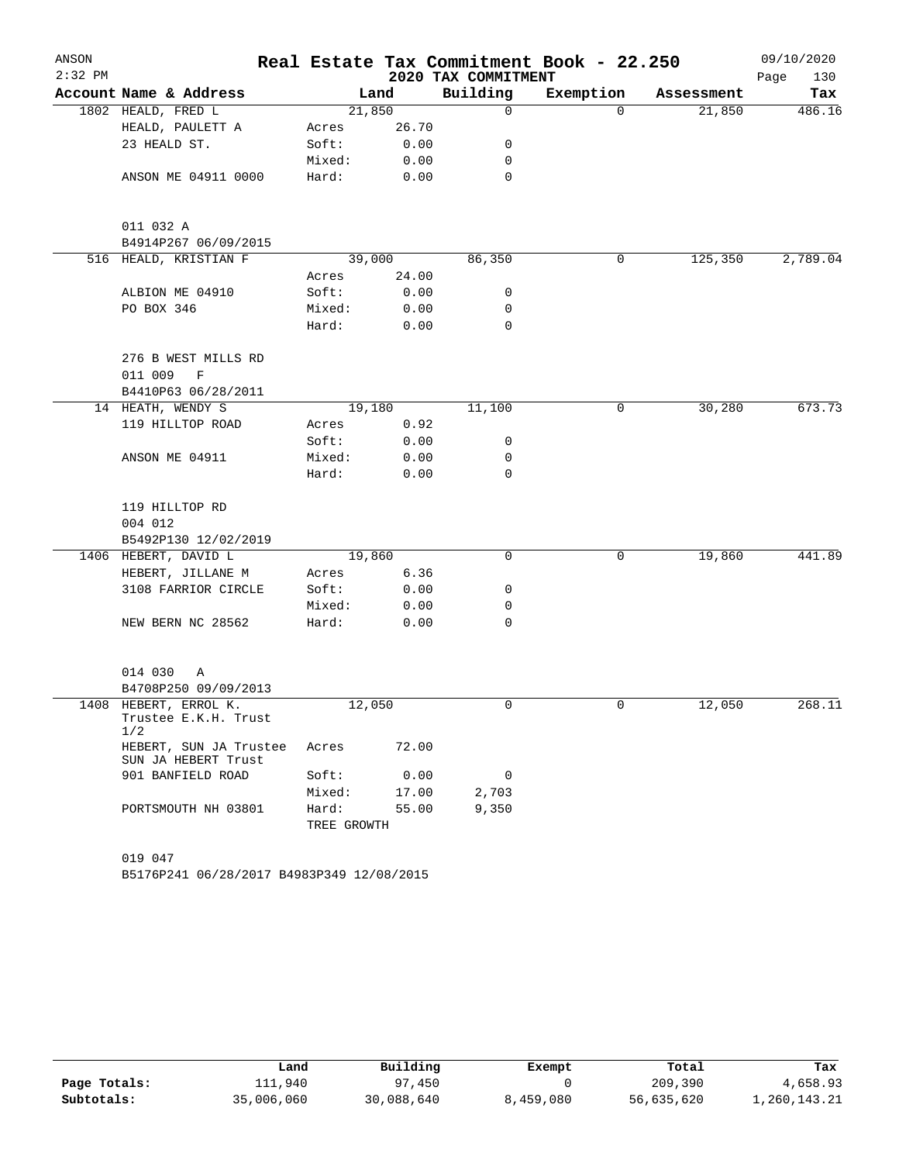| ANSON     |                                                      |             |        |                     | Real Estate Tax Commitment Book - 22.250 |            | 09/10/2020  |
|-----------|------------------------------------------------------|-------------|--------|---------------------|------------------------------------------|------------|-------------|
| $2:32$ PM |                                                      |             |        | 2020 TAX COMMITMENT |                                          |            | 130<br>Page |
|           | Account Name & Address                               |             | Land   | Building            | Exemption                                | Assessment | Tax         |
|           | 1802 HEALD, FRED L                                   |             | 21,850 | 0                   | 0                                        | 21,850     | 486.16      |
|           | HEALD, PAULETT A                                     | Acres       | 26.70  |                     |                                          |            |             |
|           | 23 HEALD ST.                                         | Soft:       | 0.00   | 0                   |                                          |            |             |
|           |                                                      | Mixed:      | 0.00   | 0                   |                                          |            |             |
|           | ANSON ME 04911 0000                                  | Hard:       | 0.00   | 0                   |                                          |            |             |
|           | 011 032 A                                            |             |        |                     |                                          |            |             |
|           | B4914P267 06/09/2015                                 |             |        |                     |                                          |            |             |
|           | 516 HEALD, KRISTIAN F                                |             | 39,000 | 86,350              | 0                                        | 125,350    | 2,789.04    |
|           |                                                      | Acres       | 24.00  |                     |                                          |            |             |
|           | ALBION ME 04910                                      | Soft:       | 0.00   | 0                   |                                          |            |             |
|           | PO BOX 346                                           | Mixed:      | 0.00   | 0                   |                                          |            |             |
|           |                                                      | Hard:       | 0.00   | 0                   |                                          |            |             |
|           | 276 B WEST MILLS RD                                  |             |        |                     |                                          |            |             |
|           | 011 009<br>$\mathbf F$                               |             |        |                     |                                          |            |             |
|           | B4410P63 06/28/2011                                  |             |        |                     |                                          |            |             |
|           | 14 HEATH, WENDY S                                    |             | 19,180 | 11,100              | 0                                        | 30,280     | 673.73      |
|           | 119 HILLTOP ROAD                                     | Acres       | 0.92   |                     |                                          |            |             |
|           |                                                      | Soft:       | 0.00   | 0                   |                                          |            |             |
|           | ANSON ME 04911                                       | Mixed:      | 0.00   | 0                   |                                          |            |             |
|           |                                                      | Hard:       | 0.00   | 0                   |                                          |            |             |
|           | 119 HILLTOP RD                                       |             |        |                     |                                          |            |             |
|           | 004 012                                              |             |        |                     |                                          |            |             |
|           | B5492P130 12/02/2019                                 |             |        |                     |                                          |            |             |
|           | 1406 HEBERT, DAVID L                                 |             | 19,860 | 0                   | 0                                        | 19,860     | 441.89      |
|           | HEBERT, JILLANE M                                    | Acres       | 6.36   |                     |                                          |            |             |
|           | 3108 FARRIOR CIRCLE                                  | Soft:       | 0.00   | 0                   |                                          |            |             |
|           |                                                      | Mixed:      | 0.00   | 0                   |                                          |            |             |
|           | NEW BERN NC 28562                                    | Hard:       | 0.00   | 0                   |                                          |            |             |
|           |                                                      |             |        |                     |                                          |            |             |
|           | 014 030<br>Α                                         |             |        |                     |                                          |            |             |
|           | B4708P250 09/09/2013                                 |             |        |                     |                                          |            |             |
|           | 1408 HEBERT, ERROL K.<br>Trustee E.K.H. Trust<br>1/2 |             | 12,050 | 0                   | $\mathbf 0$                              | 12,050     | 268.11      |
|           | HEBERT, SUN JA Trustee<br>SUN JA HEBERT Trust        | Acres       | 72.00  |                     |                                          |            |             |
|           | 901 BANFIELD ROAD                                    | Soft:       | 0.00   | 0                   |                                          |            |             |
|           |                                                      | Mixed:      | 17.00  | 2,703               |                                          |            |             |
|           | PORTSMOUTH NH 03801                                  | Hard:       | 55.00  | 9,350               |                                          |            |             |
|           |                                                      | TREE GROWTH |        |                     |                                          |            |             |
|           |                                                      |             |        |                     |                                          |            |             |
|           | 019 047                                              |             |        |                     |                                          |            |             |
|           | B5176P241 06/28/2017 B4983P349 12/08/2015            |             |        |                     |                                          |            |             |

|              | Land       | Building   | Exempt    | Total      | Tax          |
|--------------|------------|------------|-----------|------------|--------------|
| Page Totals: | 111,940    | 97,450     |           | 209,390    | 4,658.93     |
| Subtotals:   | 35,006,060 | 30,088,640 | 8,459,080 | 56,635,620 | 1,260,143.21 |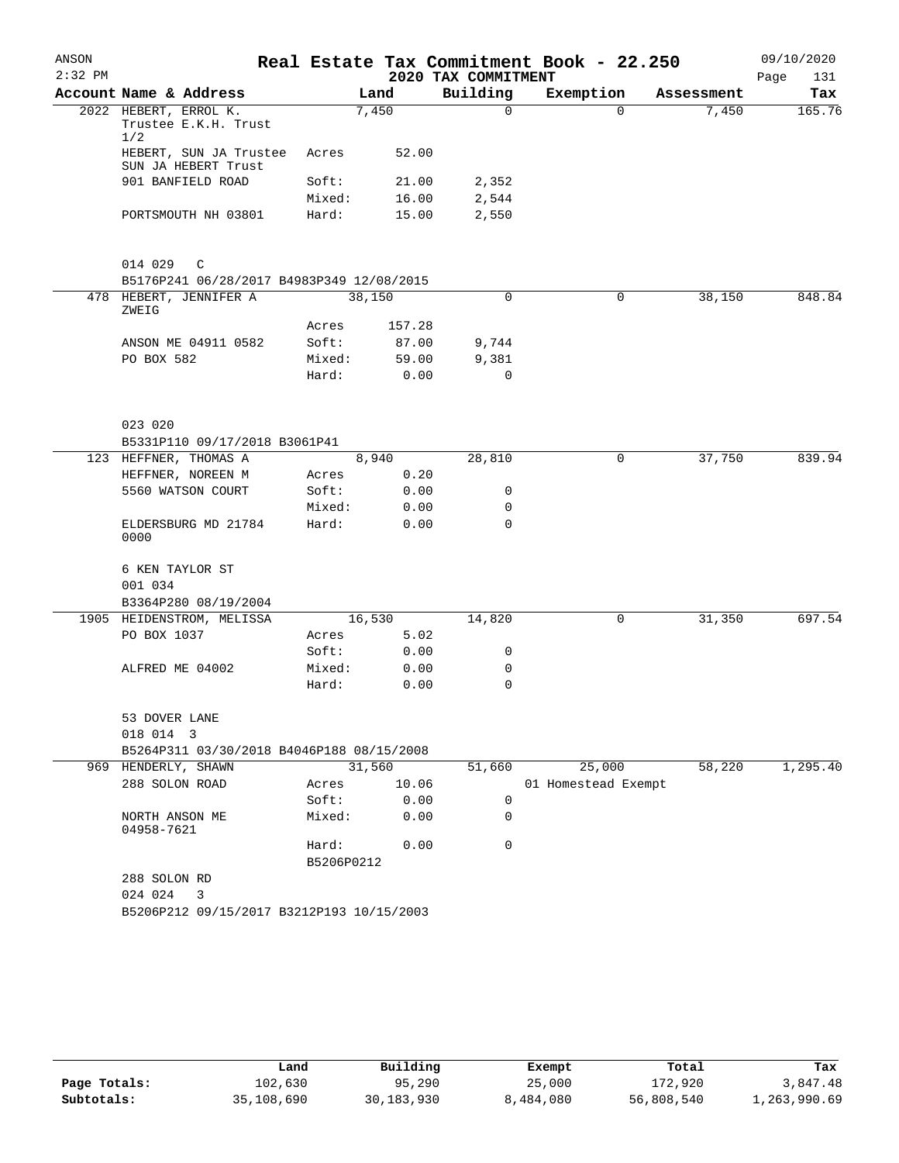| ANSON<br>$2:32$ PM |                                                      |                     |        | 2020 TAX COMMITMENT | Real Estate Tax Commitment Book - 22.250 |            | 09/10/2020<br>Page<br>131 |
|--------------------|------------------------------------------------------|---------------------|--------|---------------------|------------------------------------------|------------|---------------------------|
|                    | Account Name & Address                               |                     | Land   | Building            | Exemption                                | Assessment | Tax                       |
|                    | 2022 HEBERT, ERROL K.<br>Trustee E.K.H. Trust<br>1/2 |                     | 7,450  | $\Omega$            | $\Omega$                                 | 7,450      | 165.76                    |
|                    | HEBERT, SUN JA Trustee<br>SUN JA HEBERT Trust        | Acres               | 52.00  |                     |                                          |            |                           |
|                    | 901 BANFIELD ROAD                                    | Soft:               | 21.00  | 2,352               |                                          |            |                           |
|                    |                                                      | Mixed:              | 16.00  | 2,544               |                                          |            |                           |
|                    | PORTSMOUTH NH 03801                                  | Hard:               | 15.00  | 2,550               |                                          |            |                           |
|                    | 014 029<br>C                                         |                     |        |                     |                                          |            |                           |
|                    | B5176P241 06/28/2017 B4983P349 12/08/2015            |                     |        |                     |                                          |            |                           |
|                    | 478 HEBERT, JENNIFER A<br>ZWEIG                      |                     | 38,150 | 0                   | 0                                        | 38,150     | 848.84                    |
|                    |                                                      | Acres               | 157.28 |                     |                                          |            |                           |
|                    | ANSON ME 04911 0582                                  | Soft:               | 87.00  | 9,744               |                                          |            |                           |
|                    | PO BOX 582                                           | Mixed:              | 59.00  | 9,381               |                                          |            |                           |
|                    |                                                      | Hard:               | 0.00   | $\Omega$            |                                          |            |                           |
|                    | 023 020                                              |                     |        |                     |                                          |            |                           |
|                    | B5331P110 09/17/2018 B3061P41                        |                     |        |                     |                                          |            |                           |
|                    | 123 HEFFNER, THOMAS A                                |                     | 8,940  | 28,810              | 0                                        | 37,750     | 839.94                    |
|                    | HEFFNER, NOREEN M                                    | Acres               | 0.20   |                     |                                          |            |                           |
|                    | 5560 WATSON COURT                                    | Soft:               | 0.00   | 0                   |                                          |            |                           |
|                    |                                                      | Mixed:              | 0.00   | 0                   |                                          |            |                           |
|                    | ELDERSBURG MD 21784<br>0000                          | Hard:               | 0.00   | 0                   |                                          |            |                           |
|                    | 6 KEN TAYLOR ST                                      |                     |        |                     |                                          |            |                           |
|                    | 001 034                                              |                     |        |                     |                                          |            |                           |
|                    | B3364P280 08/19/2004                                 |                     |        |                     |                                          |            |                           |
|                    | 1905 HEIDENSTROM, MELISSA                            |                     | 16,530 | 14,820              | 0                                        | 31,350     | 697.54                    |
|                    | PO BOX 1037                                          | Acres               | 5.02   |                     |                                          |            |                           |
|                    |                                                      | Soft:               | 0.00   | 0                   |                                          |            |                           |
|                    | ALFRED ME 04002                                      | Mixed:              | 0.00   | 0                   |                                          |            |                           |
|                    |                                                      | Hard:               | 0.00   | 0                   |                                          |            |                           |
|                    | 53 DOVER LANE<br>018 014 3                           |                     |        |                     |                                          |            |                           |
|                    | B5264P311 03/30/2018 B4046P188 08/15/2008            |                     |        |                     |                                          |            |                           |
|                    | 969 HENDERLY, SHAWN                                  |                     | 31,560 | 51,660              | 25,000                                   | 58,220     | 1,295.40                  |
|                    | 288 SOLON ROAD                                       | Acres               | 10.06  |                     | 01 Homestead Exempt                      |            |                           |
|                    |                                                      | Soft:               | 0.00   | 0                   |                                          |            |                           |
|                    | NORTH ANSON ME<br>04958-7621                         | Mixed:              | 0.00   | 0                   |                                          |            |                           |
|                    |                                                      | Hard:<br>B5206P0212 | 0.00   | $\Omega$            |                                          |            |                           |
|                    | 288 SOLON RD                                         |                     |        |                     |                                          |            |                           |
|                    | 024 024<br>$\overline{\mathbf{3}}$                   |                     |        |                     |                                          |            |                           |
|                    | B5206P212 09/15/2017 B3212P193 10/15/2003            |                     |        |                     |                                          |            |                           |
|                    |                                                      |                     |        |                     |                                          |            |                           |

|              | Land       | Building   | Exempt    | Total      | Tax          |
|--------------|------------|------------|-----------|------------|--------------|
| Page Totals: | 102,630    | 95,290     | 25,000    | 172,920    | 3,847.48     |
| Subtotals:   | 35,108,690 | 30,183,930 | 8,484,080 | 56,808,540 | 1,263,990.69 |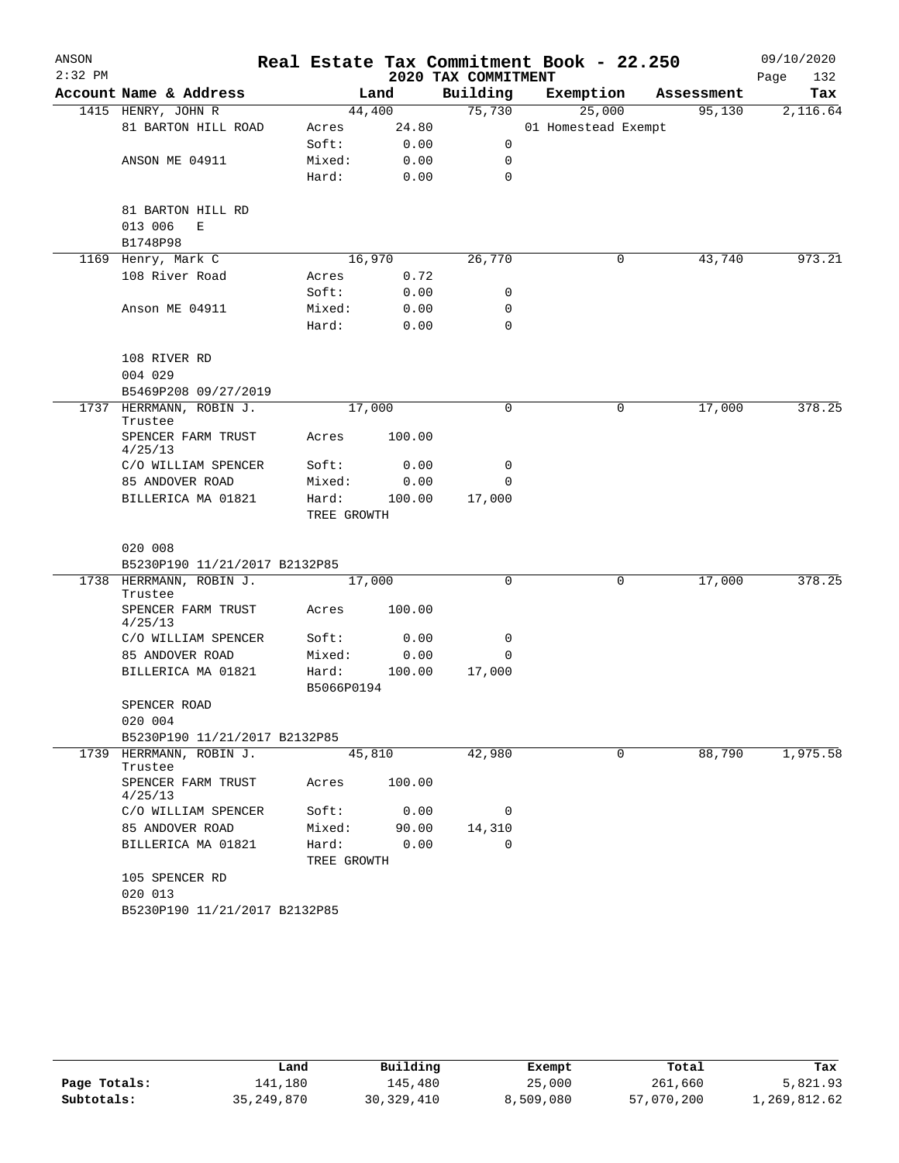| ANSON     |                                            |                      |        |                     | Real Estate Tax Commitment Book - 22.250 |   |            | 09/10/2020  |
|-----------|--------------------------------------------|----------------------|--------|---------------------|------------------------------------------|---|------------|-------------|
| $2:32$ PM |                                            |                      |        | 2020 TAX COMMITMENT |                                          |   |            | Page<br>132 |
|           | Account Name & Address                     |                      | Land   | Building            | Exemption                                |   | Assessment | Tax         |
|           | 1415 HENRY, JOHN R                         | 44,400               |        | 75,730              | 25,000                                   |   | 95,130     | 2,116.64    |
|           | 81 BARTON HILL ROAD                        | Acres                | 24.80  |                     | 01 Homestead Exempt                      |   |            |             |
|           |                                            | Soft:                | 0.00   | 0                   |                                          |   |            |             |
|           | ANSON ME 04911                             | Mixed:               | 0.00   | 0                   |                                          |   |            |             |
|           |                                            | Hard:                | 0.00   | 0                   |                                          |   |            |             |
|           | 81 BARTON HILL RD                          |                      |        |                     |                                          |   |            |             |
|           | 013 006<br>Е                               |                      |        |                     |                                          |   |            |             |
|           | B1748P98                                   |                      |        |                     |                                          |   |            |             |
| 1169      | Henry, Mark C                              | 16,970               |        | 26,770              |                                          | 0 | 43,740     | 973.21      |
|           | 108 River Road                             | Acres                | 0.72   |                     |                                          |   |            |             |
|           |                                            | Soft:                | 0.00   | 0                   |                                          |   |            |             |
|           | Anson ME 04911                             | Mixed:               | 0.00   | 0                   |                                          |   |            |             |
|           |                                            | Hard:                | 0.00   | $\mathbf 0$         |                                          |   |            |             |
|           |                                            |                      |        |                     |                                          |   |            |             |
|           | 108 RIVER RD                               |                      |        |                     |                                          |   |            |             |
|           | 004 029                                    |                      |        |                     |                                          |   |            |             |
| 1737      | B5469P208 09/27/2019<br>HERRMANN, ROBIN J. | 17,000               |        | 0                   |                                          | 0 | 17,000     | 378.25      |
|           | Trustee                                    |                      |        |                     |                                          |   |            |             |
|           | SPENCER FARM TRUST<br>4/25/13              | Acres                | 100.00 |                     |                                          |   |            |             |
|           | C/O WILLIAM SPENCER                        | Soft:                | 0.00   | 0                   |                                          |   |            |             |
|           | 85 ANDOVER ROAD                            | Mixed:               | 0.00   | 0                   |                                          |   |            |             |
|           | BILLERICA MA 01821                         | Hard:<br>TREE GROWTH | 100.00 | 17,000              |                                          |   |            |             |
|           |                                            |                      |        |                     |                                          |   |            |             |
|           | 020 008                                    |                      |        |                     |                                          |   |            |             |
|           | B5230P190 11/21/2017 B2132P85              |                      |        |                     |                                          |   |            |             |
|           | 1738 HERRMANN, ROBIN J.<br>Trustee         | 17,000               |        | 0                   |                                          | 0 | 17,000     | 378.25      |
|           | SPENCER FARM TRUST<br>4/25/13              | Acres                | 100.00 |                     |                                          |   |            |             |
|           | C/O WILLIAM SPENCER                        | Soft:                | 0.00   | 0                   |                                          |   |            |             |
|           | 85 ANDOVER ROAD                            | Mixed:               | 0.00   | 0                   |                                          |   |            |             |
|           | BILLERICA MA 01821                         | Hard:                | 100.00 | 17,000              |                                          |   |            |             |
|           |                                            | B5066P0194           |        |                     |                                          |   |            |             |
|           | SPENCER ROAD                               |                      |        |                     |                                          |   |            |             |
|           | 020 004                                    |                      |        |                     |                                          |   |            |             |
|           | B5230P190 11/21/2017 B2132P85              |                      |        |                     |                                          |   |            |             |
| 1739      | HERRMANN, ROBIN J.                         | 45,810               |        | 42,980              |                                          | 0 | 88,790     | 1,975.58    |
|           | Trustee<br>SPENCER FARM TRUST<br>4/25/13   | Acres                | 100.00 |                     |                                          |   |            |             |
|           | C/O WILLIAM SPENCER                        | Soft:                | 0.00   | 0                   |                                          |   |            |             |
|           | 85 ANDOVER ROAD                            | Mixed:               | 90.00  | 14,310              |                                          |   |            |             |
|           | BILLERICA MA 01821                         | Hard:                | 0.00   | 0                   |                                          |   |            |             |
|           |                                            | TREE GROWTH          |        |                     |                                          |   |            |             |
|           | 105 SPENCER RD                             |                      |        |                     |                                          |   |            |             |
|           | 020 013                                    |                      |        |                     |                                          |   |            |             |
|           | B5230P190 11/21/2017 B2132P85              |                      |        |                     |                                          |   |            |             |

|              | Land       | Building     | Exempt    | Total      | Tax          |
|--------------|------------|--------------|-----------|------------|--------------|
| Page Totals: | 141,180    | 145,480      | 25,000    | 261,660    | 5,821.93     |
| Subtotals:   | 35,249,870 | 30, 329, 410 | 8,509,080 | 57,070,200 | 1,269,812.62 |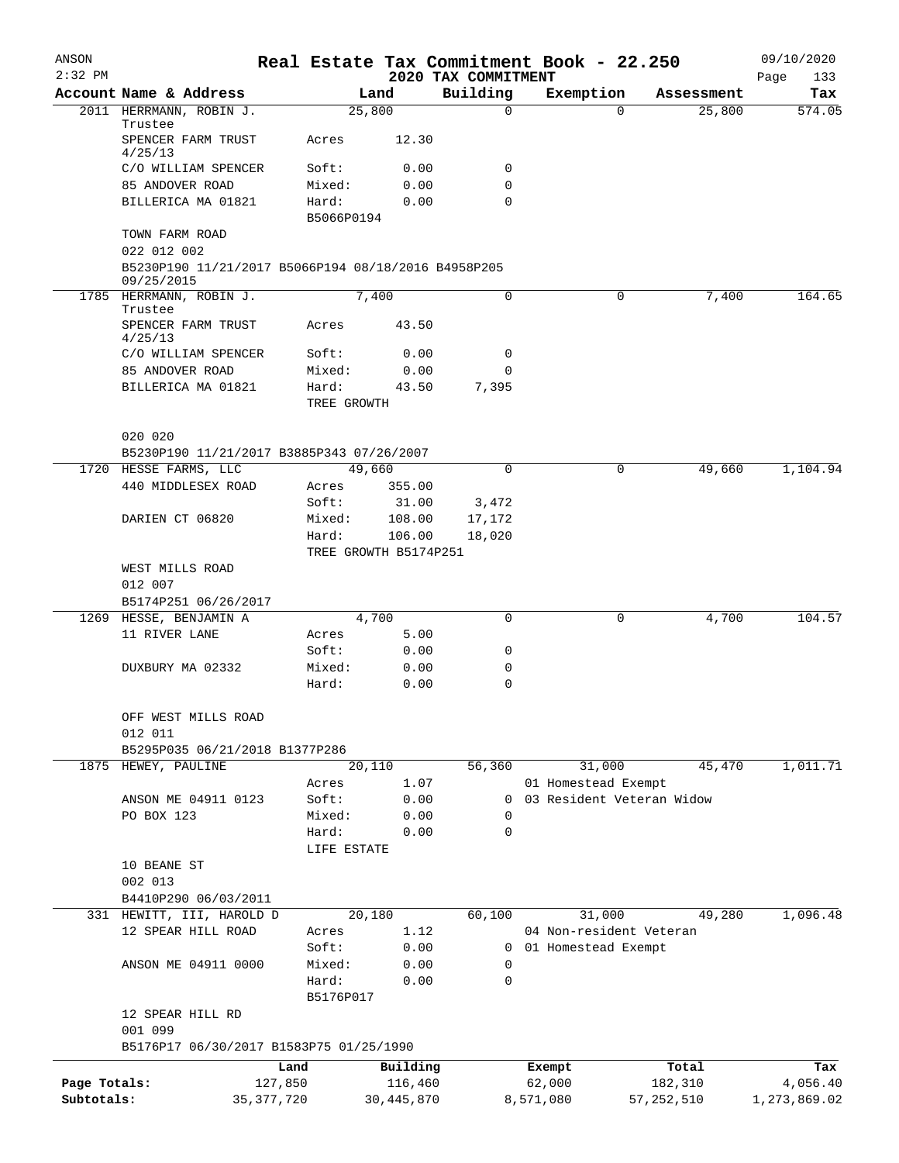| ANSON<br>$2:32$ PM |                                                                   | Real Estate Tax Commitment Book - 22.250 |                       | 2020 TAX COMMITMENT |                                                  |          |              | 09/10/2020<br>133 |
|--------------------|-------------------------------------------------------------------|------------------------------------------|-----------------------|---------------------|--------------------------------------------------|----------|--------------|-------------------|
|                    | Account Name & Address                                            |                                          | Land                  | Building            | Exemption                                        |          | Assessment   | Page<br>Tax       |
|                    | 2011 HERRMANN, ROBIN J.                                           |                                          | 25,800                | $\mathbf 0$         |                                                  | $\Omega$ | 25,800       | 574.05            |
|                    | Trustee<br>SPENCER FARM TRUST                                     | Acres                                    | 12.30                 |                     |                                                  |          |              |                   |
|                    | 4/25/13<br>C/O WILLIAM SPENCER                                    | Soft:                                    | 0.00                  | 0                   |                                                  |          |              |                   |
|                    | 85 ANDOVER ROAD                                                   | Mixed:                                   | 0.00                  | 0                   |                                                  |          |              |                   |
|                    | BILLERICA MA 01821                                                | Hard:                                    | 0.00                  | 0                   |                                                  |          |              |                   |
|                    |                                                                   | B5066P0194                               |                       |                     |                                                  |          |              |                   |
|                    | TOWN FARM ROAD<br>022 012 002                                     |                                          |                       |                     |                                                  |          |              |                   |
|                    | B5230P190 11/21/2017 B5066P194 08/18/2016 B4958P205<br>09/25/2015 |                                          |                       |                     |                                                  |          |              |                   |
|                    | 1785 HERRMANN, ROBIN J.<br>Trustee                                |                                          | 7,400                 | $\mathbf 0$         |                                                  | 0        | 7,400        | 164.65            |
|                    | SPENCER FARM TRUST<br>4/25/13                                     | Acres                                    | 43.50                 |                     |                                                  |          |              |                   |
|                    | C/O WILLIAM SPENCER                                               | Soft:                                    | 0.00                  | $\mathbf 0$         |                                                  |          |              |                   |
|                    | 85 ANDOVER ROAD                                                   | Mixed:                                   | 0.00                  | 0                   |                                                  |          |              |                   |
|                    | BILLERICA MA 01821                                                | Hard:                                    | 43.50                 | 7,395               |                                                  |          |              |                   |
|                    |                                                                   | TREE GROWTH                              |                       |                     |                                                  |          |              |                   |
|                    | 020 020                                                           |                                          |                       |                     |                                                  |          |              |                   |
|                    | B5230P190 11/21/2017 B3885P343 07/26/2007                         |                                          |                       |                     |                                                  |          |              |                   |
|                    | 1720 HESSE FARMS, LLC<br>440 MIDDLESEX ROAD                       |                                          | 49,660                | $\Omega$            |                                                  | 0        | 49,660       | 1,104.94          |
|                    |                                                                   | Acres<br>Soft:                           | 355.00<br>31.00       | 3,472               |                                                  |          |              |                   |
|                    | DARIEN CT 06820                                                   | Mixed:                                   | 108.00                | 17,172              |                                                  |          |              |                   |
|                    |                                                                   | Hard:                                    | 106.00                | 18,020              |                                                  |          |              |                   |
|                    |                                                                   |                                          | TREE GROWTH B5174P251 |                     |                                                  |          |              |                   |
|                    | WEST MILLS ROAD                                                   |                                          |                       |                     |                                                  |          |              |                   |
|                    | 012 007                                                           |                                          |                       |                     |                                                  |          |              |                   |
|                    | B5174P251 06/26/2017                                              |                                          |                       |                     |                                                  |          |              |                   |
|                    | 1269 HESSE, BENJAMIN A                                            |                                          | 4,700                 | $\mathbf 0$         |                                                  | 0        | 4,700        | 104.57            |
|                    | 11 RIVER LANE                                                     | Acres                                    | 5.00                  |                     |                                                  |          |              |                   |
|                    |                                                                   | Soft:                                    | 0.00                  | 0                   |                                                  |          |              |                   |
|                    | DUXBURY MA 02332                                                  | Mixed:                                   | 0.00                  | 0                   |                                                  |          |              |                   |
|                    |                                                                   | Hard:                                    | 0.00                  | 0                   |                                                  |          |              |                   |
|                    | OFF WEST MILLS ROAD<br>012 011                                    |                                          |                       |                     |                                                  |          |              |                   |
|                    | B5295P035 06/21/2018 B1377P286                                    |                                          |                       |                     |                                                  |          |              |                   |
|                    | 1875 HEWEY, PAULINE                                               |                                          | 20,110                | 56,360              |                                                  | 31,000   | 45,470       | 1,011.71          |
|                    |                                                                   | Acres                                    | 1.07                  |                     | 01 Homestead Exempt                              |          |              |                   |
|                    | ANSON ME 04911 0123                                               | Soft:                                    | 0.00                  | $\mathbf{0}$        | 03 Resident Veteran Widow                        |          |              |                   |
|                    | PO BOX 123                                                        | Mixed:                                   | 0.00                  | $\mathbf 0$         |                                                  |          |              |                   |
|                    |                                                                   | Hard:                                    | 0.00                  | 0                   |                                                  |          |              |                   |
|                    |                                                                   | LIFE ESTATE                              |                       |                     |                                                  |          |              |                   |
|                    | 10 BEANE ST                                                       |                                          |                       |                     |                                                  |          |              |                   |
|                    | 002 013                                                           |                                          |                       |                     |                                                  |          |              |                   |
|                    | B4410P290 06/03/2011                                              |                                          |                       |                     |                                                  |          |              |                   |
|                    | 331 HEWITT, III, HAROLD D                                         |                                          | 20,180                | 60,100              |                                                  | 31,000   | 49,280       | 1,096.48          |
|                    | 12 SPEAR HILL ROAD                                                | Acres<br>Soft:                           | 1.12<br>0.00          |                     | 04 Non-resident Veteran<br>0 01 Homestead Exempt |          |              |                   |
|                    | ANSON ME 04911 0000                                               | Mixed:                                   | 0.00                  | 0                   |                                                  |          |              |                   |
|                    |                                                                   | Hard:                                    | 0.00                  | 0                   |                                                  |          |              |                   |
|                    |                                                                   | B5176P017                                |                       |                     |                                                  |          |              |                   |
|                    | 12 SPEAR HILL RD                                                  |                                          |                       |                     |                                                  |          |              |                   |
|                    | 001 099<br>B5176P17 06/30/2017 B1583P75 01/25/1990                |                                          |                       |                     |                                                  |          |              |                   |
|                    |                                                                   | Land                                     | Building              |                     | Exempt                                           |          | Total        | Tax               |
| Page Totals:       |                                                                   | 127,850                                  | 116,460               |                     | 62,000                                           |          | 182,310      | 4,056.40          |
| Subtotals:         |                                                                   | 35, 377, 720                             | 30, 445, 870          |                     | 8,571,080                                        |          | 57, 252, 510 | 1,273,869.02      |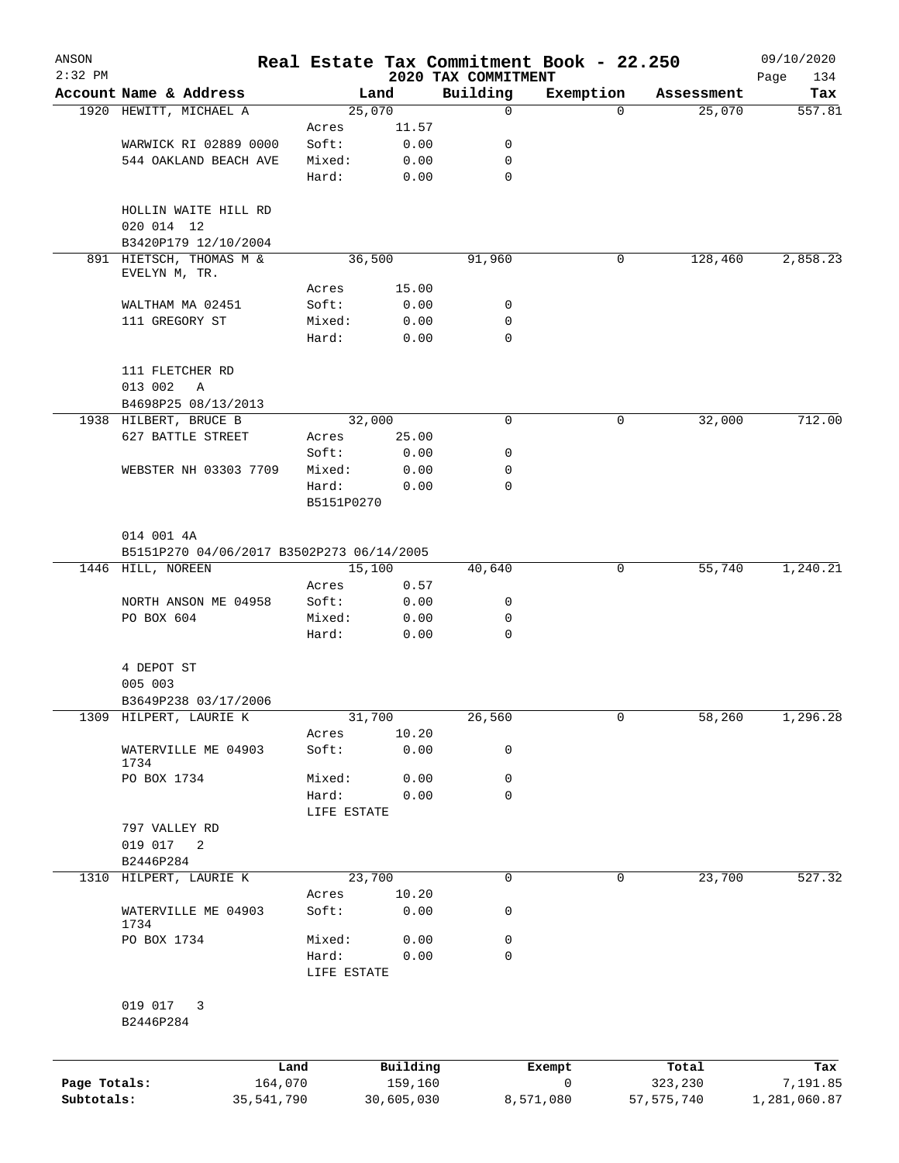| ANSON<br>$2:32$ PM |                                           |            |                      |              |                                 | Real Estate Tax Commitment Book - 22.250 |              | 09/10/2020          |
|--------------------|-------------------------------------------|------------|----------------------|--------------|---------------------------------|------------------------------------------|--------------|---------------------|
|                    | Account Name & Address                    |            |                      | Land         | 2020 TAX COMMITMENT<br>Building | Exemption                                | Assessment   | Page<br>134<br>Tax  |
|                    | 1920 HEWITT, MICHAEL A                    |            |                      | 25,070       | 0                               | 0                                        |              | 25,070<br>557.81    |
|                    |                                           |            | Acres                | 11.57        |                                 |                                          |              |                     |
|                    | WARWICK RI 02889 0000                     |            | Soft:                | 0.00         | 0                               |                                          |              |                     |
|                    | 544 OAKLAND BEACH AVE                     |            | Mixed:               | 0.00         | 0                               |                                          |              |                     |
|                    |                                           |            | Hard:                | 0.00         | $\mathbf 0$                     |                                          |              |                     |
|                    | HOLLIN WAITE HILL RD<br>020 014 12        |            |                      |              |                                 |                                          |              |                     |
|                    | B3420P179 12/10/2004                      |            |                      |              |                                 |                                          |              |                     |
|                    | 891 HIETSCH, THOMAS M &                   |            |                      | 36,500       | 91,960                          | 0                                        |              | 128,460<br>2,858.23 |
|                    | EVELYN M, TR.                             |            | Acres                | 15.00        |                                 |                                          |              |                     |
|                    | WALTHAM MA 02451                          |            | Soft:                | 0.00         | 0                               |                                          |              |                     |
|                    | 111 GREGORY ST                            |            | Mixed:               | 0.00         | 0                               |                                          |              |                     |
|                    |                                           |            | Hard:                | 0.00         | $\mathbf 0$                     |                                          |              |                     |
|                    | 111 FLETCHER RD<br>013 002<br>Α           |            |                      |              |                                 |                                          |              |                     |
|                    | B4698P25 08/13/2013                       |            |                      |              |                                 |                                          |              |                     |
|                    | 1938 HILBERT, BRUCE B                     |            |                      | 32,000       | $\mathbf 0$                     | 0                                        |              | 32,000<br>712.00    |
|                    | 627 BATTLE STREET                         |            | Acres                | 25.00        |                                 |                                          |              |                     |
|                    |                                           |            | Soft:                | 0.00         | 0                               |                                          |              |                     |
|                    | WEBSTER NH 03303 7709                     |            | Mixed:               | 0.00         | 0                               |                                          |              |                     |
|                    |                                           |            | Hard:                | 0.00         | $\mathbf 0$                     |                                          |              |                     |
|                    |                                           |            | B5151P0270           |              |                                 |                                          |              |                     |
|                    | 014 001 4A                                |            |                      |              |                                 |                                          |              |                     |
|                    | B5151P270 04/06/2017 B3502P273 06/14/2005 |            |                      |              |                                 |                                          |              |                     |
|                    | 1446 HILL, NOREEN                         |            |                      | 15,100       | 40,640                          | 0                                        |              | 1,240.21<br>55,740  |
|                    |                                           |            | Acres                | 0.57         |                                 |                                          |              |                     |
|                    | NORTH ANSON ME 04958                      |            | Soft:                | 0.00         | 0                               |                                          |              |                     |
|                    | PO BOX 604                                |            | Mixed:<br>Hard:      | 0.00<br>0.00 | 0<br>$\mathbf 0$                |                                          |              |                     |
|                    | 4 DEPOT ST                                |            |                      |              |                                 |                                          |              |                     |
|                    | 005 003                                   |            |                      |              |                                 |                                          |              |                     |
|                    | B3649P238 03/17/2006                      |            |                      |              |                                 |                                          |              |                     |
|                    | 1309 HILPERT, LAURIE K                    |            |                      | 31,700       | 26,560                          | $\overline{0}$                           |              | 58,260<br>1,296.28  |
|                    |                                           |            | Acres                | 10.20        |                                 |                                          |              |                     |
|                    | WATERVILLE ME 04903<br>1734               |            | Soft:                | 0.00         | 0                               |                                          |              |                     |
|                    | PO BOX 1734                               |            | Mixed:               | 0.00         | 0                               |                                          |              |                     |
|                    |                                           |            | Hard:                | 0.00         | $\mathbf 0$                     |                                          |              |                     |
|                    |                                           |            | LIFE ESTATE          |              |                                 |                                          |              |                     |
|                    | 797 VALLEY RD                             |            |                      |              |                                 |                                          |              |                     |
|                    | 019 017 2                                 |            |                      |              |                                 |                                          |              |                     |
|                    | B2446P284                                 |            |                      |              |                                 |                                          |              |                     |
|                    | 1310 HILPERT, LAURIE K                    |            |                      | 23,700       | 0                               | 0                                        |              | 23,700<br>527.32    |
|                    |                                           |            | Acres                | 10.20        |                                 |                                          |              |                     |
|                    | WATERVILLE ME 04903<br>1734               |            | Soft:                | 0.00         | 0                               |                                          |              |                     |
|                    | PO BOX 1734                               |            | Mixed:               | 0.00         | 0                               |                                          |              |                     |
|                    |                                           |            | Hard:<br>LIFE ESTATE | 0.00         | 0                               |                                          |              |                     |
|                    | 019 017 3<br>B2446P284                    |            |                      |              |                                 |                                          |              |                     |
|                    |                                           | Land       |                      | Building     |                                 | Exempt                                   | Total        | Tax                 |
| Page Totals:       |                                           | 164,070    |                      | 159,160      |                                 | $\mathbf 0$                              | 323,230      | 7,191.85            |
| Subtotals:         |                                           | 35,541,790 |                      | 30,605,030   |                                 | 8,571,080                                | 57, 575, 740 | 1,281,060.87        |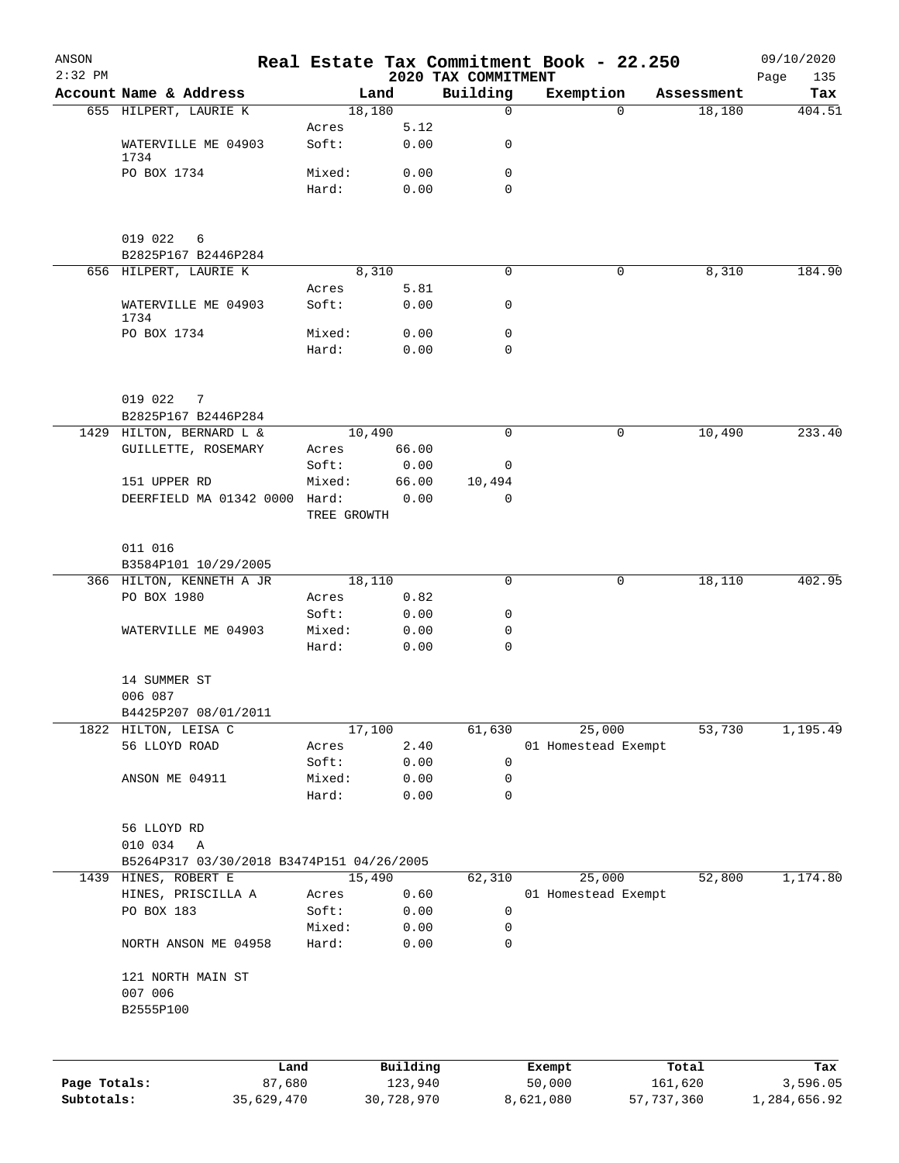| ANSON<br>$2:32$ PM |                                               |                 |                     | 2020 TAX COMMITMENT | Real Estate Tax Commitment Book - 22.250 |          |            | 09/10/2020<br>Page<br>135 |
|--------------------|-----------------------------------------------|-----------------|---------------------|---------------------|------------------------------------------|----------|------------|---------------------------|
|                    | Account Name & Address                        |                 | Land                | Building            | Exemption                                |          | Assessment | Tax                       |
|                    | 655 HILPERT, LAURIE K                         |                 | 18,180              | $\mathsf{O}$        |                                          | $\Omega$ | 18,180     | 404.51                    |
|                    | WATERVILLE ME 04903                           | Acres<br>Soft:  | 5.12<br>0.00        | 0                   |                                          |          |            |                           |
|                    | 1734<br>PO BOX 1734                           | Mixed:          | 0.00                | $\mathbf 0$         |                                          |          |            |                           |
|                    |                                               | Hard:           | 0.00                | $\Omega$            |                                          |          |            |                           |
|                    | 019 022<br>6<br>B2825P167 B2446P284           |                 |                     |                     |                                          |          |            |                           |
|                    | 656 HILPERT, LAURIE K                         |                 | 8,310               | $\Omega$            |                                          | 0        | 8,310      | 184.90                    |
|                    |                                               | Acres           | 5.81                |                     |                                          |          |            |                           |
|                    | WATERVILLE ME 04903<br>1734                   | Soft:           | 0.00                | 0                   |                                          |          |            |                           |
|                    | PO BOX 1734                                   | Mixed:          | 0.00                | $\mathbf 0$         |                                          |          |            |                           |
|                    |                                               | Hard:           | 0.00                | $\Omega$            |                                          |          |            |                           |
|                    | 019 022<br>7                                  |                 |                     |                     |                                          |          |            |                           |
|                    | B2825P167 B2446P284                           |                 |                     |                     |                                          |          |            |                           |
|                    | 1429 HILTON, BERNARD L &                      |                 | 10,490              | $\Omega$            |                                          | 0        | 10,490     | 233.40                    |
|                    | GUILLETTE, ROSEMARY                           | Acres           | 66.00               |                     |                                          |          |            |                           |
|                    |                                               | Soft:           | 0.00                | 0                   |                                          |          |            |                           |
|                    | 151 UPPER RD<br>DEERFIELD MA 01342 0000 Hard: | Mixed:          | 66.00               | 10,494<br>$\Omega$  |                                          |          |            |                           |
|                    |                                               | TREE GROWTH     | 0.00                |                     |                                          |          |            |                           |
|                    | 011 016                                       |                 |                     |                     |                                          |          |            |                           |
|                    | B3584P101 10/29/2005                          |                 |                     |                     |                                          |          |            |                           |
|                    | 366 HILTON, KENNETH A JR<br>PO BOX 1980       | 18,110<br>Acres | 0.82                | 0                   |                                          | 0        | 18,110     | 402.95                    |
|                    |                                               | Soft:           | 0.00                | 0                   |                                          |          |            |                           |
|                    | WATERVILLE ME 04903                           | Mixed:          | 0.00                | 0                   |                                          |          |            |                           |
|                    |                                               | Hard:           | 0.00                | $\mathbf 0$         |                                          |          |            |                           |
|                    | 14 SUMMER ST<br>006 087                       |                 |                     |                     |                                          |          |            |                           |
|                    | B4425P207 08/01/2011                          |                 |                     |                     |                                          |          |            |                           |
|                    | 1822 HILTON, LEISA C                          |                 | 17,100              | 61,630              | 25,000                                   |          | 53,730     | 1,195.49                  |
|                    | 56 LLOYD ROAD                                 | Acres           | 2.40                |                     | 01 Homestead Exempt                      |          |            |                           |
|                    |                                               | Soft:           | 0.00                | 0                   |                                          |          |            |                           |
|                    | ANSON ME 04911                                | Mixed:          | 0.00                | 0                   |                                          |          |            |                           |
|                    |                                               | Hard:           | 0.00                | 0                   |                                          |          |            |                           |
|                    | 56 LLOYD RD                                   |                 |                     |                     |                                          |          |            |                           |
|                    | 010 034<br>Α                                  |                 |                     |                     |                                          |          |            |                           |
|                    | B5264P317 03/30/2018 B3474P151 04/26/2005     |                 |                     |                     |                                          |          |            |                           |
|                    | 1439 HINES, ROBERT E                          |                 | 15,490              | 62,310              | 25,000                                   |          | 52,800     | 1,174.80                  |
|                    | HINES, PRISCILLA A                            | Acres           | 0.60                |                     | 01 Homestead Exempt                      |          |            |                           |
|                    | PO BOX 183                                    | Soft:           | 0.00                | 0                   |                                          |          |            |                           |
|                    | NORTH ANSON ME 04958                          | Mixed:<br>Hard: | 0.00<br>0.00        | 0<br>0              |                                          |          |            |                           |
|                    | 121 NORTH MAIN ST                             |                 |                     |                     |                                          |          |            |                           |
|                    | 007 006<br>B2555P100                          |                 |                     |                     |                                          |          |            |                           |
|                    |                                               |                 |                     |                     |                                          |          |            |                           |
| Page Totals:       | Land<br>87,680                                |                 | Building<br>123,940 |                     | Exempt<br>50,000                         | 161,620  | Total      | Tax<br>3,596.05           |

**Subtotals:** 35,629,470 30,728,970 8,621,080 57,737,360 1,284,656.92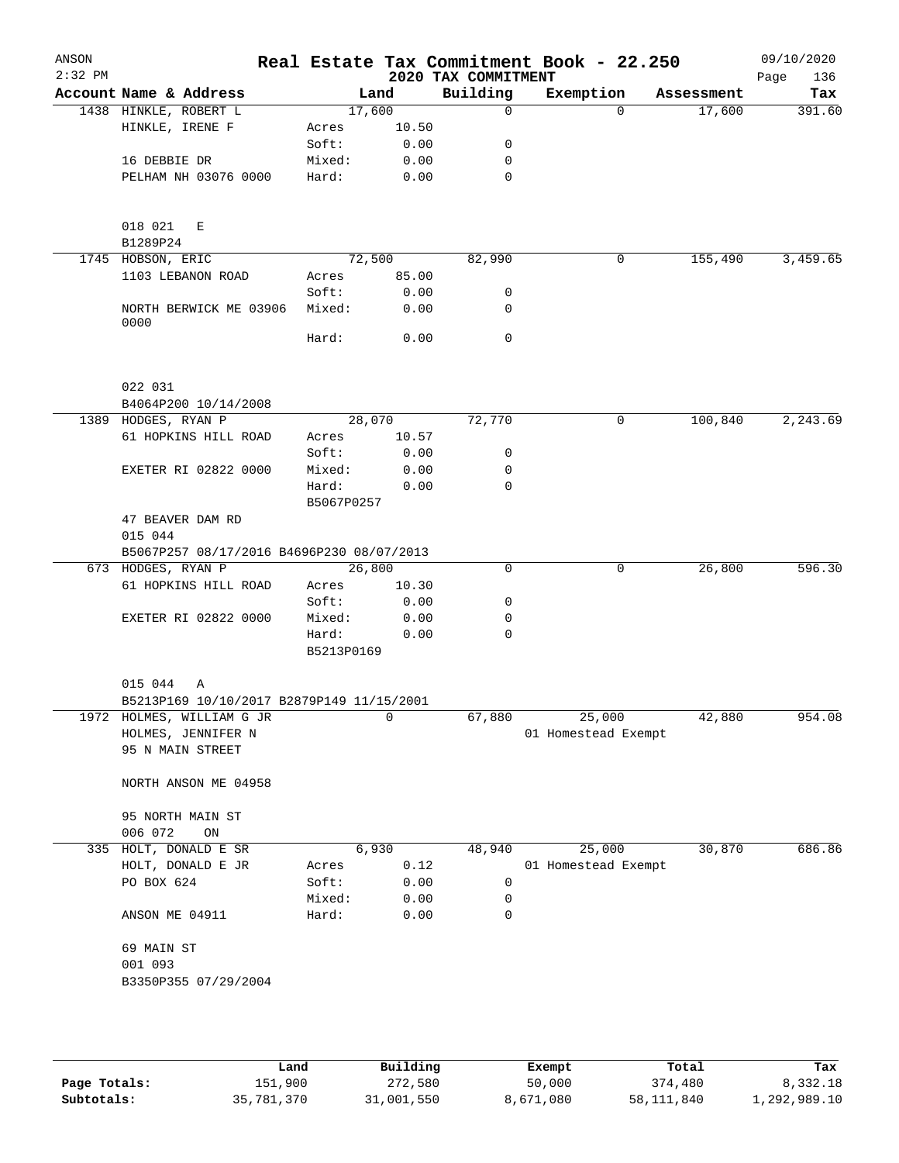| ANSON<br>$2:32$ PM |                                             |                 |       | 2020 TAX COMMITMENT | Real Estate Tax Commitment Book - 22.250 |            | 09/10/2020<br>136<br>Page |
|--------------------|---------------------------------------------|-----------------|-------|---------------------|------------------------------------------|------------|---------------------------|
|                    | Account Name & Address                      | Land            |       | Building            | Exemption                                | Assessment | Tax                       |
|                    | 1438 HINKLE, ROBERT L                       | 17,600          |       | $\mathbf 0$         | $\Omega$                                 | 17,600     | 391.60                    |
|                    | HINKLE, IRENE F                             | Acres           | 10.50 |                     |                                          |            |                           |
|                    |                                             | Soft:           | 0.00  | 0                   |                                          |            |                           |
|                    | 16 DEBBIE DR                                | Mixed:          | 0.00  | 0                   |                                          |            |                           |
|                    | PELHAM NH 03076 0000                        | Hard:           | 0.00  | 0                   |                                          |            |                           |
|                    |                                             |                 |       |                     |                                          |            |                           |
|                    |                                             |                 |       |                     |                                          |            |                           |
|                    | 018 021<br>E                                |                 |       |                     |                                          |            |                           |
|                    | B1289P24<br>1745 HOBSON, ERIC               | 72,500          |       | 82,990              | 0                                        | 155,490    | 3,459.65                  |
|                    | 1103 LEBANON ROAD                           | Acres           | 85.00 |                     |                                          |            |                           |
|                    |                                             | Soft:           | 0.00  | 0                   |                                          |            |                           |
|                    | NORTH BERWICK ME 03906                      | Mixed:          | 0.00  | 0                   |                                          |            |                           |
|                    | 0000                                        |                 |       |                     |                                          |            |                           |
|                    |                                             | Hard:           | 0.00  | $\mathbf 0$         |                                          |            |                           |
|                    |                                             |                 |       |                     |                                          |            |                           |
|                    |                                             |                 |       |                     |                                          |            |                           |
|                    | 022 031                                     |                 |       |                     |                                          |            |                           |
|                    | B4064P200 10/14/2008                        |                 |       |                     | 0                                        | 100,840    | 2,243.69                  |
|                    | 1389 HODGES, RYAN P<br>61 HOPKINS HILL ROAD | 28,070<br>Acres | 10.57 | 72,770              |                                          |            |                           |
|                    |                                             | Soft:           | 0.00  | 0                   |                                          |            |                           |
|                    | EXETER RI 02822 0000                        | Mixed:          | 0.00  | 0                   |                                          |            |                           |
|                    |                                             | Hard:           | 0.00  | 0                   |                                          |            |                           |
|                    |                                             | B5067P0257      |       |                     |                                          |            |                           |
|                    | 47 BEAVER DAM RD                            |                 |       |                     |                                          |            |                           |
|                    | 015 044                                     |                 |       |                     |                                          |            |                           |
|                    | B5067P257 08/17/2016 B4696P230 08/07/2013   |                 |       |                     |                                          |            |                           |
|                    | 673 HODGES, RYAN P                          | 26,800          |       | 0                   | $\mathbf 0$                              | 26,800     | 596.30                    |
|                    | 61 HOPKINS HILL ROAD                        | Acres           | 10.30 |                     |                                          |            |                           |
|                    |                                             | Soft:           | 0.00  | 0                   |                                          |            |                           |
|                    | <b>EXETER RI 02822 0000</b>                 | Mixed:          | 0.00  | 0                   |                                          |            |                           |
|                    |                                             | Hard:           | 0.00  | $\mathbf 0$         |                                          |            |                           |
|                    |                                             | B5213P0169      |       |                     |                                          |            |                           |
|                    |                                             |                 |       |                     |                                          |            |                           |
|                    | 015 044<br>Α                                |                 |       |                     |                                          |            |                           |
|                    | B5213P169 10/10/2017 B2879P149 11/15/2001   |                 |       |                     |                                          |            |                           |
|                    | 1972 HOLMES, WILLIAM G JR                   |                 | 0     | 67,880              | 25,000                                   | 42,880     | 954.08                    |
|                    | HOLMES, JENNIFER N                          |                 |       |                     | 01 Homestead Exempt                      |            |                           |
|                    | 95 N MAIN STREET                            |                 |       |                     |                                          |            |                           |
|                    | NORTH ANSON ME 04958                        |                 |       |                     |                                          |            |                           |
|                    |                                             |                 |       |                     |                                          |            |                           |
|                    | 95 NORTH MAIN ST                            |                 |       |                     |                                          |            |                           |
|                    | 006 072<br>ON                               |                 |       |                     |                                          |            |                           |
| 335                | HOLT, DONALD E SR                           | 6,930           |       | 48,940              | 25,000                                   | 30,870     | 686.86                    |
|                    | HOLT, DONALD E JR                           | Acres           | 0.12  |                     | 01 Homestead Exempt                      |            |                           |
|                    | PO BOX 624                                  | Soft:           | 0.00  | 0                   |                                          |            |                           |
|                    |                                             | Mixed:          | 0.00  | 0                   |                                          |            |                           |
|                    | ANSON ME 04911                              | Hard:           | 0.00  | 0                   |                                          |            |                           |
|                    |                                             |                 |       |                     |                                          |            |                           |
|                    | 69 MAIN ST                                  |                 |       |                     |                                          |            |                           |
|                    | 001 093                                     |                 |       |                     |                                          |            |                           |
|                    | B3350P355 07/29/2004                        |                 |       |                     |                                          |            |                           |
|                    |                                             |                 |       |                     |                                          |            |                           |
|                    |                                             |                 |       |                     |                                          |            |                           |
|                    |                                             |                 |       |                     |                                          |            |                           |

|              | Land       | Building   | Exempt    | Total      | Tax          |
|--------------|------------|------------|-----------|------------|--------------|
| Page Totals: | 151,900    | 272,580    | 50,000    | 374,480    | 8,332.18     |
| Subtotals:   | 35,781,370 | 31,001,550 | 8,671,080 | 58,111,840 | 1,292,989.10 |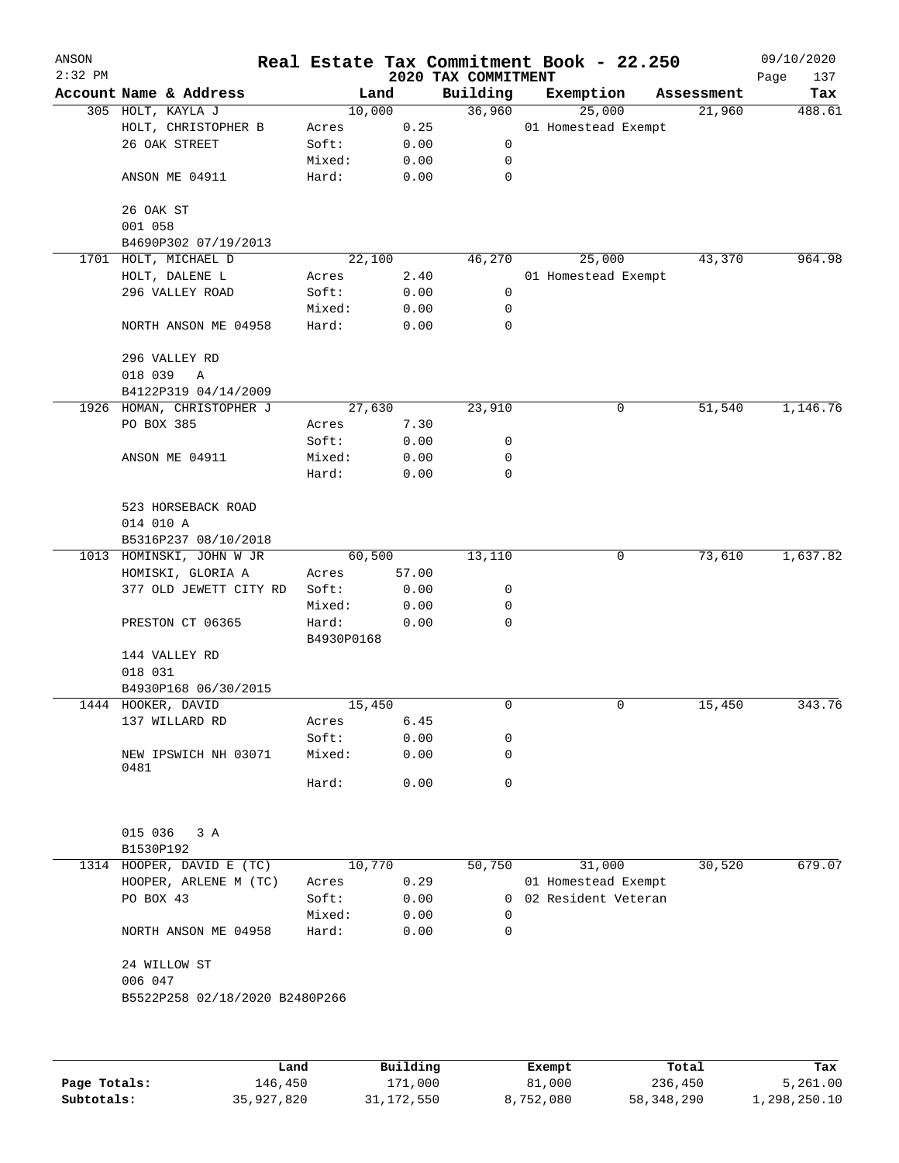| ANSON<br>$2:32$ PM |                                |            |                     |                                 | Real Estate Tax Commitment Book - 22.250 |                  | 09/10/2020         |
|--------------------|--------------------------------|------------|---------------------|---------------------------------|------------------------------------------|------------------|--------------------|
|                    | Account Name & Address         |            | Land                | 2020 TAX COMMITMENT<br>Building | Exemption                                | Assessment       | Page<br>137<br>Tax |
|                    | 305 HOLT, KAYLA J              |            | 10,000              | 36,960                          | 25,000                                   | 21,960           | 488.61             |
|                    | HOLT, CHRISTOPHER B            | Acres      | 0.25                |                                 | 01 Homestead Exempt                      |                  |                    |
|                    | 26 OAK STREET                  | Soft:      | 0.00                | 0                               |                                          |                  |                    |
|                    |                                | Mixed:     | 0.00                | 0                               |                                          |                  |                    |
|                    | ANSON ME 04911                 | Hard:      | 0.00                | $\mathbf 0$                     |                                          |                  |                    |
|                    |                                |            |                     |                                 |                                          |                  |                    |
|                    | 26 OAK ST                      |            |                     |                                 |                                          |                  |                    |
|                    | 001 058                        |            |                     |                                 |                                          |                  |                    |
|                    | B4690P302 07/19/2013           |            |                     |                                 |                                          |                  |                    |
|                    | 1701 HOLT, MICHAEL D           |            | 22,100              | 46,270                          | 25,000                                   | 43,370           | 964.98             |
|                    | HOLT, DALENE L                 | Acres      | 2.40                |                                 | 01 Homestead Exempt                      |                  |                    |
|                    | 296 VALLEY ROAD                | Soft:      | 0.00                | 0                               |                                          |                  |                    |
|                    |                                | Mixed:     | 0.00                | 0                               |                                          |                  |                    |
|                    | NORTH ANSON ME 04958           | Hard:      | 0.00                | 0                               |                                          |                  |                    |
|                    |                                |            |                     |                                 |                                          |                  |                    |
|                    | 296 VALLEY RD                  |            |                     |                                 |                                          |                  |                    |
|                    |                                |            |                     |                                 |                                          |                  |                    |
|                    | 018 039<br>Α                   |            |                     |                                 |                                          |                  |                    |
|                    | B4122P319 04/14/2009           |            |                     |                                 |                                          |                  | 1,146.76           |
|                    | 1926 HOMAN, CHRISTOPHER J      |            | 27,630              | 23,910                          | 0                                        | 51,540           |                    |
|                    | PO BOX 385                     | Acres      | 7.30                |                                 |                                          |                  |                    |
|                    |                                | Soft:      | 0.00                | 0                               |                                          |                  |                    |
|                    | ANSON ME 04911                 | Mixed:     | 0.00                | 0                               |                                          |                  |                    |
|                    |                                | Hard:      | 0.00                | 0                               |                                          |                  |                    |
|                    |                                |            |                     |                                 |                                          |                  |                    |
|                    | 523 HORSEBACK ROAD             |            |                     |                                 |                                          |                  |                    |
|                    | 014 010 A                      |            |                     |                                 |                                          |                  |                    |
|                    | B5316P237 08/10/2018           |            |                     |                                 |                                          |                  |                    |
|                    | 1013 HOMINSKI, JOHN W JR       |            | 60,500              | 13,110                          | 0                                        | 73,610           | 1,637.82           |
|                    | HOMISKI, GLORIA A              | Acres      | 57.00               |                                 |                                          |                  |                    |
|                    | 377 OLD JEWETT CITY RD         | Soft:      | 0.00                | 0                               |                                          |                  |                    |
|                    |                                | Mixed:     | 0.00                | 0                               |                                          |                  |                    |
|                    | PRESTON CT 06365               | Hard:      | 0.00                | 0                               |                                          |                  |                    |
|                    |                                | B4930P0168 |                     |                                 |                                          |                  |                    |
|                    | 144 VALLEY RD                  |            |                     |                                 |                                          |                  |                    |
|                    | 018 031                        |            |                     |                                 |                                          |                  |                    |
|                    | B4930P168 06/30/2015           |            |                     |                                 |                                          |                  |                    |
|                    | 1444 HOOKER, DAVID             |            | 15,450              | 0                               | 0                                        | 15,450           | 343.76             |
|                    | 137 WILLARD RD                 | Acres      | 6.45                |                                 |                                          |                  |                    |
|                    |                                | Soft:      | 0.00                | 0                               |                                          |                  |                    |
|                    | NEW IPSWICH NH 03071           | Mixed:     | 0.00                | $\mathbf 0$                     |                                          |                  |                    |
|                    | 0481                           |            |                     |                                 |                                          |                  |                    |
|                    |                                | Hard:      | 0.00                | 0                               |                                          |                  |                    |
|                    |                                |            |                     |                                 |                                          |                  |                    |
|                    |                                |            |                     |                                 |                                          |                  |                    |
|                    | 015 036<br>3A                  |            |                     |                                 |                                          |                  |                    |
|                    | B1530P192                      |            |                     |                                 |                                          |                  |                    |
|                    | 1314 HOOPER, DAVID E (TC)      |            | 10,770              | 50,750                          | 31,000                                   | 30,520           | 679.07             |
|                    | HOOPER, ARLENE M (TC)          | Acres      | 0.29                |                                 | 01 Homestead Exempt                      |                  |                    |
|                    | PO BOX 43                      | Soft:      | 0.00                | 0                               | 02 Resident Veteran                      |                  |                    |
|                    |                                | Mixed:     | 0.00                | $\Omega$                        |                                          |                  |                    |
|                    | NORTH ANSON ME 04958           | Hard:      | 0.00                | 0                               |                                          |                  |                    |
|                    | 24 WILLOW ST                   |            |                     |                                 |                                          |                  |                    |
|                    | 006 047                        |            |                     |                                 |                                          |                  |                    |
|                    | B5522P258 02/18/2020 B2480P266 |            |                     |                                 |                                          |                  |                    |
|                    |                                |            |                     |                                 |                                          |                  |                    |
|                    |                                |            |                     |                                 |                                          |                  |                    |
| Page Totals:       | 146,450                        | Land       | Building<br>171,000 |                                 | Exempt<br>81,000                         | Total<br>236,450 | Tax<br>5,261.00    |
|                    |                                |            |                     |                                 |                                          |                  |                    |

**Subtotals:** 35,927,820 31,172,550 8,752,080 58,348,290 1,298,250.10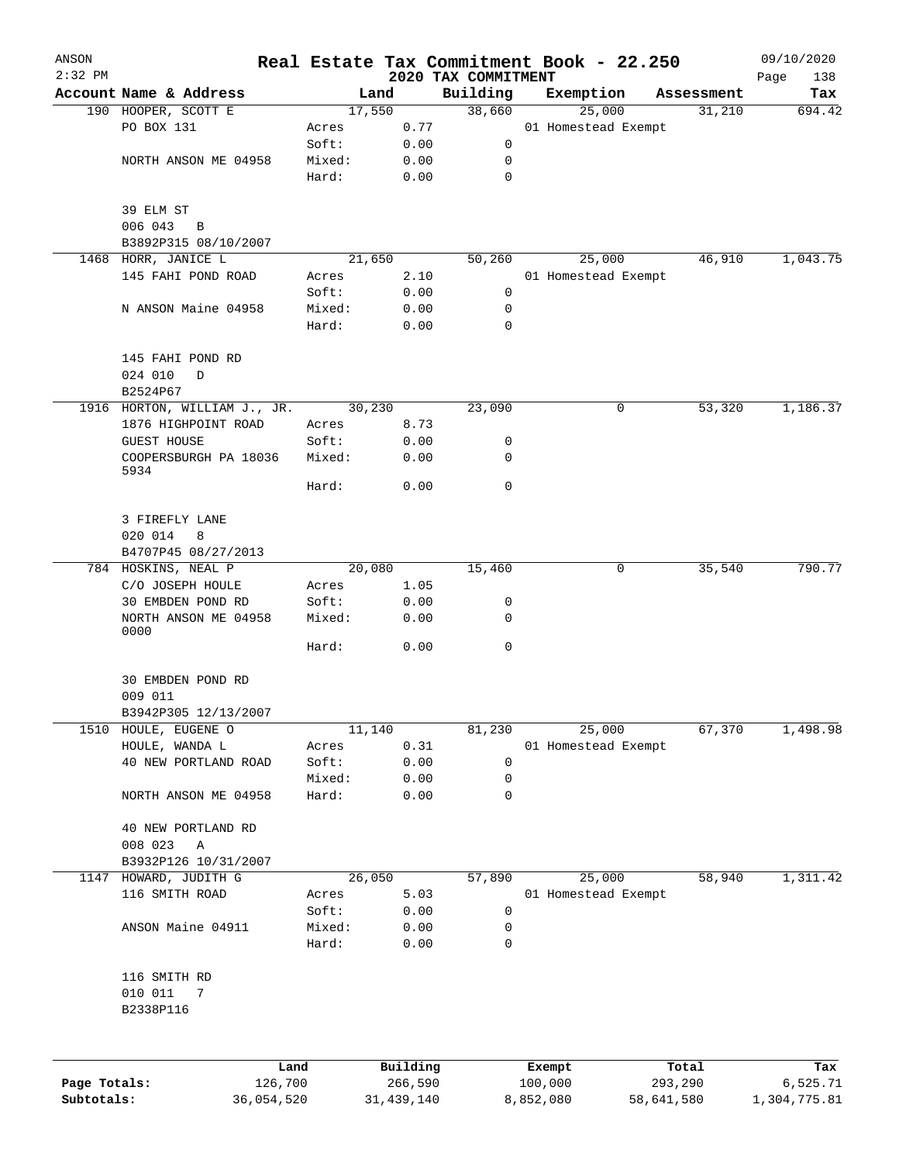| ANSON        |                                 |            |                 |                |              | Real Estate Tax Commitment Book - 22.250 |           |                     |            |                      | 09/10/2020    |
|--------------|---------------------------------|------------|-----------------|----------------|--------------|------------------------------------------|-----------|---------------------|------------|----------------------|---------------|
| $2:32$ PM    | Account Name & Address          |            |                 |                |              | 2020 TAX COMMITMENT                      |           |                     |            |                      | Page<br>138   |
|              | 190 HOOPER, SCOTT E             |            |                 | Land<br>17,550 |              | Building<br>38,660                       |           | Exemption<br>25,000 |            | Assessment<br>31,210 | Tax<br>694.42 |
|              | PO BOX 131                      |            | Acres           |                | 0.77         |                                          |           | 01 Homestead Exempt |            |                      |               |
|              |                                 |            | Soft:           |                | 0.00         | 0                                        |           |                     |            |                      |               |
|              | NORTH ANSON ME 04958            |            | Mixed:          |                | 0.00         | 0                                        |           |                     |            |                      |               |
|              |                                 |            | Hard:           |                | 0.00         | $\mathbf 0$                              |           |                     |            |                      |               |
|              | 39 ELM ST                       |            |                 |                |              |                                          |           |                     |            |                      |               |
|              | 006 043<br>B                    |            |                 |                |              |                                          |           |                     |            |                      |               |
|              | B3892P315 08/10/2007            |            |                 |                |              |                                          |           |                     |            |                      |               |
|              | 1468 HORR, JANICE L             |            |                 | 21,650         |              | 50,260                                   |           | 25,000              |            | 46,910               | 1,043.75      |
|              | 145 FAHI POND ROAD              |            | Acres           |                | 2.10         |                                          |           | 01 Homestead Exempt |            |                      |               |
|              |                                 |            | Soft:           |                | 0.00         | 0                                        |           |                     |            |                      |               |
|              | N ANSON Maine 04958             |            | Mixed:<br>Hard: |                | 0.00<br>0.00 | 0<br>0                                   |           |                     |            |                      |               |
|              | 145 FAHI POND RD                |            |                 |                |              |                                          |           |                     |            |                      |               |
|              | 024 010<br>D                    |            |                 |                |              |                                          |           |                     |            |                      |               |
|              | B2524P67                        |            |                 |                |              |                                          |           |                     |            |                      |               |
|              | 1916 HORTON, WILLIAM J., JR.    |            |                 | 30,230         |              | 23,090                                   |           |                     | 0          | 53,320               | 1,186.37      |
|              | 1876 HIGHPOINT ROAD             |            | Acres           |                | 8.73         |                                          |           |                     |            |                      |               |
|              | <b>GUEST HOUSE</b>              |            | Soft:           |                | 0.00         | 0                                        |           |                     |            |                      |               |
|              | COOPERSBURGH PA 18036<br>5934   |            | Mixed:          |                | 0.00         | 0                                        |           |                     |            |                      |               |
|              |                                 |            | Hard:           |                | 0.00         | 0                                        |           |                     |            |                      |               |
|              | 3 FIREFLY LANE                  |            |                 |                |              |                                          |           |                     |            |                      |               |
|              | 020 014<br>8                    |            |                 |                |              |                                          |           |                     |            |                      |               |
|              | B4707P45 08/27/2013             |            |                 |                |              |                                          |           |                     |            |                      |               |
|              | 784 HOSKINS, NEAL P             |            |                 | 20,080         |              | 15,460                                   |           |                     | 0          | 35,540               | 790.77        |
|              | C/O JOSEPH HOULE                |            | Acres           |                | 1.05         |                                          |           |                     |            |                      |               |
|              | 30 EMBDEN POND RD               |            | Soft:           |                | 0.00         | 0                                        |           |                     |            |                      |               |
|              | NORTH ANSON ME 04958<br>0000    |            | Mixed:          |                | 0.00         | 0                                        |           |                     |            |                      |               |
|              |                                 |            | Hard:           |                | 0.00         | 0                                        |           |                     |            |                      |               |
|              | 30 EMBDEN POND RD               |            |                 |                |              |                                          |           |                     |            |                      |               |
|              | 009 011<br>B3942P305 12/13/2007 |            |                 |                |              |                                          |           |                     |            |                      |               |
| 1510         | HOULE, EUGENE O                 |            |                 | 11,140         |              | 81,230                                   |           | 25,000              |            | 67,370               | 1,498.98      |
|              | HOULE, WANDA L                  |            | Acres           |                | 0.31         |                                          |           | 01 Homestead Exempt |            |                      |               |
|              | 40 NEW PORTLAND ROAD            |            | Soft:           |                | 0.00         | 0                                        |           |                     |            |                      |               |
|              |                                 |            | Mixed:          |                | 0.00         | 0                                        |           |                     |            |                      |               |
|              | NORTH ANSON ME 04958            |            | Hard:           |                | 0.00         | 0                                        |           |                     |            |                      |               |
|              | 40 NEW PORTLAND RD              |            |                 |                |              |                                          |           |                     |            |                      |               |
|              | 008 023<br>Α                    |            |                 |                |              |                                          |           |                     |            |                      |               |
|              | B3932P126 10/31/2007            |            |                 |                |              |                                          |           |                     |            |                      |               |
| 1147         | HOWARD, JUDITH G                |            |                 | 26,050         |              | 57,890                                   |           | 25,000              |            | 58,940               | 1,311.42      |
|              | 116 SMITH ROAD                  |            | Acres           |                | 5.03         |                                          |           | 01 Homestead Exempt |            |                      |               |
|              |                                 |            | Soft:           |                | 0.00         | 0                                        |           |                     |            |                      |               |
|              | ANSON Maine 04911               |            | Mixed:          |                | 0.00         | 0                                        |           |                     |            |                      |               |
|              |                                 |            | Hard:           |                | 0.00         | 0                                        |           |                     |            |                      |               |
|              | 116 SMITH RD                    |            |                 |                |              |                                          |           |                     |            |                      |               |
|              | 010 011<br>7<br>B2338P116       |            |                 |                |              |                                          |           |                     |            |                      |               |
|              |                                 |            |                 |                |              |                                          |           |                     |            |                      |               |
|              |                                 | Land       |                 | Building       |              |                                          | Exempt    |                     |            | Total                | Tax           |
| Page Totals: |                                 | 126,700    |                 | 266,590        |              |                                          | 100,000   |                     |            | 293,290              | 6,525.71      |
| Subtotals:   |                                 | 36,054,520 |                 | 31, 439, 140   |              |                                          | 8,852,080 |                     | 58,641,580 |                      | 1,304,775.81  |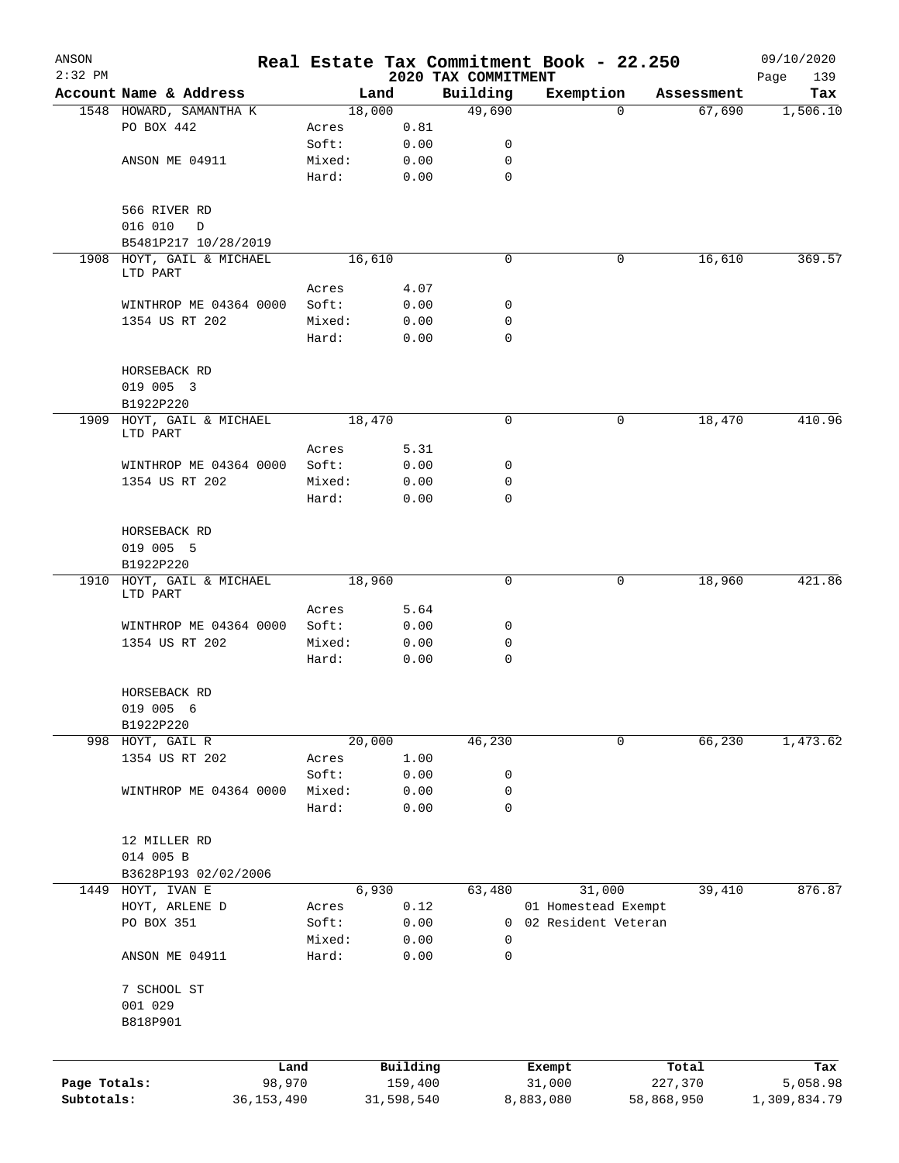| ANSON        |                                        |              |                 |                |              |                     |             | Real Estate Tax Commitment Book - 22.250 |            |                      | 09/10/2020   |
|--------------|----------------------------------------|--------------|-----------------|----------------|--------------|---------------------|-------------|------------------------------------------|------------|----------------------|--------------|
| $2:32$ PM    |                                        |              |                 |                |              | 2020 TAX COMMITMENT |             |                                          |            |                      | Page<br>139  |
|              | Account Name & Address                 |              |                 | Land<br>18,000 |              | Building<br>49,690  |             | Exemption<br>$\Omega$                    |            | Assessment<br>67,690 | Tax          |
|              | 1548 HOWARD, SAMANTHA K<br>PO BOX 442  |              | Acres           |                | 0.81         |                     |             |                                          |            |                      | 1,506.10     |
|              |                                        |              | Soft:           |                | 0.00         |                     | 0           |                                          |            |                      |              |
|              | ANSON ME 04911                         |              | Mixed:          |                | 0.00         |                     | 0           |                                          |            |                      |              |
|              |                                        |              | Hard:           |                | 0.00         |                     | $\mathbf 0$ |                                          |            |                      |              |
|              |                                        |              |                 |                |              |                     |             |                                          |            |                      |              |
|              | 566 RIVER RD                           |              |                 |                |              |                     |             |                                          |            |                      |              |
|              | 016 010<br>D                           |              |                 |                |              |                     |             |                                          |            |                      |              |
|              | B5481P217 10/28/2019                   |              |                 |                |              |                     |             |                                          |            |                      |              |
|              | 1908 HOYT, GAIL & MICHAEL              |              |                 | 16,610         |              |                     | $\mathbf 0$ | 0                                        |            | 16,610               | 369.57       |
|              | LTD PART                               |              |                 |                |              |                     |             |                                          |            |                      |              |
|              |                                        |              | Acres           |                | 4.07         |                     |             |                                          |            |                      |              |
|              | WINTHROP ME 04364 0000                 |              | Soft:           |                | 0.00         |                     | 0<br>0      |                                          |            |                      |              |
|              | 1354 US RT 202                         |              | Mixed:<br>Hard: |                | 0.00<br>0.00 |                     | 0           |                                          |            |                      |              |
|              |                                        |              |                 |                |              |                     |             |                                          |            |                      |              |
|              | HORSEBACK RD                           |              |                 |                |              |                     |             |                                          |            |                      |              |
|              | 019 005 3                              |              |                 |                |              |                     |             |                                          |            |                      |              |
|              | B1922P220                              |              |                 |                |              |                     |             |                                          |            |                      |              |
|              | 1909 HOYT, GAIL & MICHAEL              |              |                 | 18,470         |              |                     | 0           | 0                                        |            | 18,470               | 410.96       |
|              | LTD PART                               |              |                 |                |              |                     |             |                                          |            |                      |              |
|              |                                        |              | Acres           |                | 5.31         |                     |             |                                          |            |                      |              |
|              | WINTHROP ME 04364 0000                 |              | Soft:           |                | 0.00         |                     | 0           |                                          |            |                      |              |
|              | 1354 US RT 202                         |              | Mixed:          |                | 0.00         |                     | 0           |                                          |            |                      |              |
|              |                                        |              | Hard:           |                | 0.00         |                     | $\mathbf 0$ |                                          |            |                      |              |
|              |                                        |              |                 |                |              |                     |             |                                          |            |                      |              |
|              | HORSEBACK RD                           |              |                 |                |              |                     |             |                                          |            |                      |              |
|              | 019 005 5                              |              |                 |                |              |                     |             |                                          |            |                      |              |
|              | B1922P220<br>1910 HOYT, GAIL & MICHAEL |              |                 | 18,960         |              |                     | $\mathbf 0$ | 0                                        |            | 18,960               | 421.86       |
|              | LTD PART                               |              |                 |                |              |                     |             |                                          |            |                      |              |
|              |                                        |              | Acres           |                | 5.64         |                     |             |                                          |            |                      |              |
|              | WINTHROP ME 04364 0000                 |              | Soft:           |                | 0.00         |                     | 0           |                                          |            |                      |              |
|              | 1354 US RT 202                         |              | Mixed:          |                | 0.00         |                     | 0           |                                          |            |                      |              |
|              |                                        |              | Hard:           |                | 0.00         |                     | $\mathbf 0$ |                                          |            |                      |              |
|              |                                        |              |                 |                |              |                     |             |                                          |            |                      |              |
|              | HORSEBACK RD                           |              |                 |                |              |                     |             |                                          |            |                      |              |
|              | 019 005 6                              |              |                 |                |              |                     |             |                                          |            |                      |              |
|              | B1922P220                              |              |                 |                |              |                     |             |                                          |            |                      |              |
|              | 998 HOYT, GAIL R                       |              |                 | 20,000         |              | 46,230              |             | 0                                        |            | 66,230               | 1,473.62     |
|              | 1354 US RT 202                         |              | Acres           |                | 1.00         |                     |             |                                          |            |                      |              |
|              |                                        |              | Soft:           |                | 0.00         |                     | 0           |                                          |            |                      |              |
|              | WINTHROP ME 04364 0000                 |              | Mixed:          |                | 0.00         |                     | 0<br>0      |                                          |            |                      |              |
|              |                                        |              | Hard:           |                | 0.00         |                     |             |                                          |            |                      |              |
|              | 12 MILLER RD                           |              |                 |                |              |                     |             |                                          |            |                      |              |
|              | 014 005 B                              |              |                 |                |              |                     |             |                                          |            |                      |              |
|              | B3628P193 02/02/2006                   |              |                 |                |              |                     |             |                                          |            |                      |              |
|              | 1449 HOYT, IVAN E                      |              |                 | 6,930          |              | 63,480              |             | 31,000                                   |            | 39,410               | 876.87       |
|              | HOYT, ARLENE D                         |              | Acres           |                | 0.12         |                     |             | 01 Homestead Exempt                      |            |                      |              |
|              | PO BOX 351                             |              | Soft:           |                | 0.00         |                     | 0           | 02 Resident Veteran                      |            |                      |              |
|              |                                        |              | Mixed:          |                | 0.00         |                     | 0           |                                          |            |                      |              |
|              | ANSON ME 04911                         |              | Hard:           |                | 0.00         |                     | 0           |                                          |            |                      |              |
|              |                                        |              |                 |                |              |                     |             |                                          |            |                      |              |
|              | 7 SCHOOL ST                            |              |                 |                |              |                     |             |                                          |            |                      |              |
|              | 001 029                                |              |                 |                |              |                     |             |                                          |            |                      |              |
|              | B818P901                               |              |                 |                |              |                     |             |                                          |            |                      |              |
|              |                                        |              |                 |                |              |                     |             |                                          |            |                      |              |
|              |                                        | Land         |                 |                | Building     |                     |             | Exempt                                   |            | Total                | Tax          |
| Page Totals: |                                        | 98,970       |                 |                | 159,400      |                     |             | 31,000                                   |            | 227,370              | 5,058.98     |
| Subtotals:   |                                        | 36, 153, 490 |                 |                | 31,598,540   |                     |             | 8,883,080                                | 58,868,950 |                      | 1,309,834.79 |
|              |                                        |              |                 |                |              |                     |             |                                          |            |                      |              |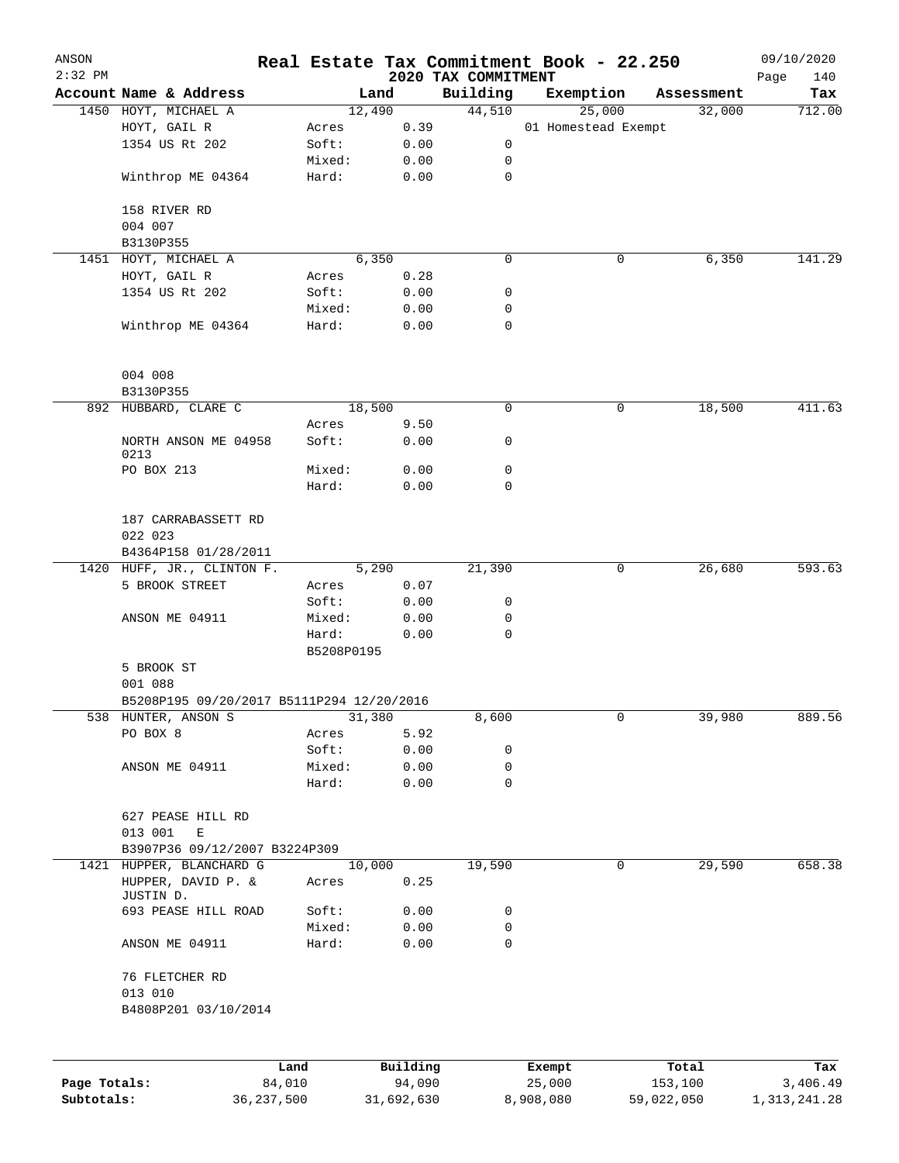| ANSON<br>$2:32$ PM |                                           |                     |          | 2020 TAX COMMITMENT | Real Estate Tax Commitment Book - 22.250 |            | 09/10/2020         |
|--------------------|-------------------------------------------|---------------------|----------|---------------------|------------------------------------------|------------|--------------------|
|                    | Account Name & Address                    |                     | Land     | Building            | Exemption                                | Assessment | Page<br>140<br>Tax |
|                    | 1450 HOYT, MICHAEL A                      |                     | 12,490   | 44,510              | 25,000                                   | 32,000     | 712.00             |
|                    | HOYT, GAIL R                              | Acres               | 0.39     |                     | 01 Homestead Exempt                      |            |                    |
|                    | 1354 US Rt 202                            | Soft:               | 0.00     | 0                   |                                          |            |                    |
|                    |                                           | Mixed:              | 0.00     | 0                   |                                          |            |                    |
|                    | Winthrop ME 04364                         | Hard:               | 0.00     | $\mathsf{O}$        |                                          |            |                    |
|                    | 158 RIVER RD                              |                     |          |                     |                                          |            |                    |
|                    | 004 007                                   |                     |          |                     |                                          |            |                    |
|                    | B3130P355                                 |                     |          |                     |                                          |            |                    |
|                    | 1451 HOYT, MICHAEL A                      |                     | 6,350    | 0                   | 0                                        | 6,350      | 141.29             |
|                    | HOYT, GAIL R                              | Acres               | 0.28     |                     |                                          |            |                    |
|                    | 1354 US Rt 202                            | Soft:               | 0.00     | 0                   |                                          |            |                    |
|                    |                                           | Mixed:              | 0.00     | 0                   |                                          |            |                    |
|                    | Winthrop ME 04364                         | Hard:               | 0.00     | $\mathbf 0$         |                                          |            |                    |
|                    | 004 008                                   |                     |          |                     |                                          |            |                    |
|                    | B3130P355                                 |                     |          |                     |                                          |            |                    |
|                    | 892 HUBBARD, CLARE C                      |                     | 18,500   | 0                   | 0                                        | 18,500     | 411.63             |
|                    |                                           | Acres               | 9.50     |                     |                                          |            |                    |
|                    | NORTH ANSON ME 04958<br>0213              | Soft:               | 0.00     | 0                   |                                          |            |                    |
|                    | PO BOX 213                                | Mixed:              | 0.00     | 0                   |                                          |            |                    |
|                    |                                           | Hard:               | 0.00     | 0                   |                                          |            |                    |
|                    | 187 CARRABASSETT RD                       |                     |          |                     |                                          |            |                    |
|                    | 022 023<br>B4364P158 01/28/2011           |                     |          |                     |                                          |            |                    |
|                    | 1420 HUFF, JR., CLINTON F.                |                     | 5,290    | 21,390              | 0                                        | 26,680     | 593.63             |
|                    | 5 BROOK STREET                            | Acres               | 0.07     |                     |                                          |            |                    |
|                    |                                           | Soft:               | 0.00     | 0                   |                                          |            |                    |
|                    | ANSON ME 04911                            | Mixed:              | 0.00     | 0                   |                                          |            |                    |
|                    |                                           | Hard:<br>B5208P0195 | 0.00     | 0                   |                                          |            |                    |
|                    | 5 BROOK ST                                |                     |          |                     |                                          |            |                    |
|                    | 001 088                                   |                     |          |                     |                                          |            |                    |
|                    | B5208P195 09/20/2017 B5111P294 12/20/2016 |                     |          |                     |                                          |            |                    |
|                    | 538 HUNTER, ANSON S                       |                     | 31,380   | 8,600               | 0                                        | 39,980     | 889.56             |
|                    | PO BOX 8                                  | Acres               | 5.92     |                     |                                          |            |                    |
|                    |                                           | Soft:               | 0.00     | 0                   |                                          |            |                    |
|                    | ANSON ME 04911                            | Mixed:              | 0.00     | 0                   |                                          |            |                    |
|                    |                                           | Hard:               | 0.00     | 0                   |                                          |            |                    |
|                    | 627 PEASE HILL RD<br>013 001<br>E         |                     |          |                     |                                          |            |                    |
|                    | B3907P36 09/12/2007 B3224P309             |                     |          |                     |                                          |            |                    |
|                    | 1421 HUPPER, BLANCHARD G                  |                     | 10,000   | 19,590              | 0                                        | 29,590     | 658.38             |
|                    | HUPPER, DAVID P. &<br>JUSTIN D.           | Acres               | 0.25     |                     |                                          |            |                    |
|                    | 693 PEASE HILL ROAD                       | Soft:               | 0.00     | 0                   |                                          |            |                    |
|                    |                                           | Mixed:              | 0.00     | 0                   |                                          |            |                    |
|                    | ANSON ME 04911                            | Hard:               | 0.00     | $\mathbf 0$         |                                          |            |                    |
|                    | 76 FLETCHER RD<br>013 010                 |                     |          |                     |                                          |            |                    |
|                    | B4808P201 03/10/2014                      |                     |          |                     |                                          |            |                    |
|                    |                                           |                     |          |                     |                                          |            |                    |
|                    |                                           | Land                | Building |                     | Exempt                                   | Total      | Tax                |

|              | Land         | Building   | Exempt    | Total      | тах          |
|--------------|--------------|------------|-----------|------------|--------------|
| Page Totals: | 84,010       | 94,090     | 25,000    | 153,100    | 3,406.49     |
| Subtotals:   | 36, 237, 500 | 31,692,630 | 8,908,080 | 59,022,050 | 1,313,241.28 |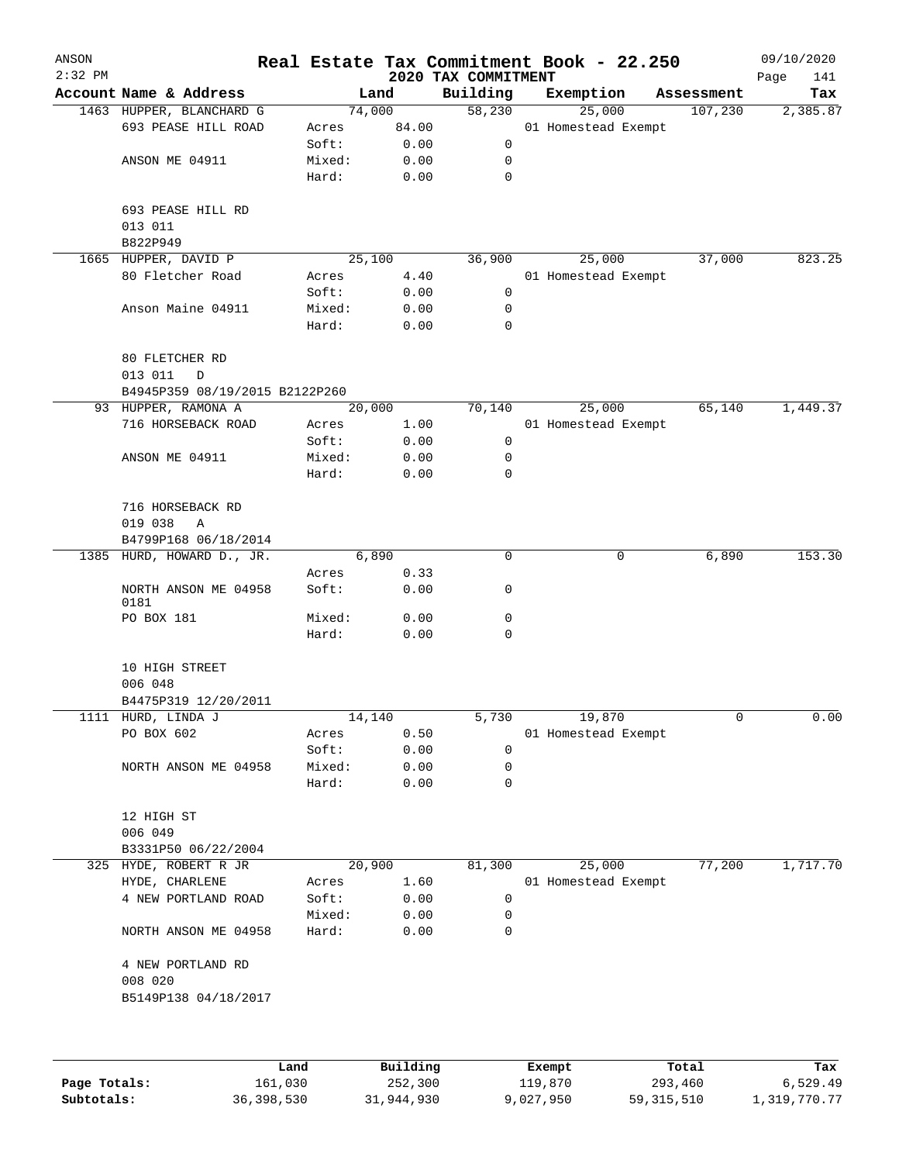| ANSON     |                                  |                 |              |                                 | Real Estate Tax Commitment Book - 22.250 |            | 09/10/2020         |
|-----------|----------------------------------|-----------------|--------------|---------------------------------|------------------------------------------|------------|--------------------|
| $2:32$ PM | Account Name & Address           |                 | Land         | 2020 TAX COMMITMENT<br>Building |                                          | Assessment | Page<br>141<br>Tax |
|           | 1463 HUPPER, BLANCHARD G         |                 | 74,000       | 58,230                          | Exemption<br>25,000                      | 107,230    | 2,385.87           |
|           | 693 PEASE HILL ROAD              | Acres           | 84.00        |                                 | 01 Homestead Exempt                      |            |                    |
|           |                                  | Soft:           | 0.00         | 0                               |                                          |            |                    |
|           | ANSON ME 04911                   | Mixed:          | 0.00         | 0                               |                                          |            |                    |
|           |                                  | Hard:           | 0.00         | 0                               |                                          |            |                    |
|           | 693 PEASE HILL RD                |                 |              |                                 |                                          |            |                    |
|           | 013 011                          |                 |              |                                 |                                          |            |                    |
|           | B822P949                         |                 |              |                                 |                                          |            |                    |
|           | 1665 HUPPER, DAVID P             |                 | 25,100       | 36,900                          | 25,000                                   | 37,000     | 823.25             |
|           | 80 Fletcher Road                 | Acres           | 4.40         |                                 | 01 Homestead Exempt                      |            |                    |
|           |                                  | Soft:<br>Mixed: | 0.00<br>0.00 | 0<br>0                          |                                          |            |                    |
|           | Anson Maine 04911                | Hard:           | 0.00         | 0                               |                                          |            |                    |
|           | 80 FLETCHER RD<br>013 011<br>D   |                 |              |                                 |                                          |            |                    |
|           | B4945P359 08/19/2015 B2122P260   |                 |              |                                 |                                          |            |                    |
|           | 93 HUPPER, RAMONA A              |                 | 20,000       | 70,140                          | 25,000                                   | 65,140     | 1,449.37           |
|           | 716 HORSEBACK ROAD               | Acres           | 1.00         |                                 | 01 Homestead Exempt                      |            |                    |
|           |                                  | Soft:           | 0.00         | $\mathsf{O}$                    |                                          |            |                    |
|           | ANSON ME 04911                   | Mixed:          | 0.00         | 0                               |                                          |            |                    |
|           |                                  | Hard:           | 0.00         | 0                               |                                          |            |                    |
|           | 716 HORSEBACK RD<br>019 038<br>Α |                 |              |                                 |                                          |            |                    |
|           | B4799P168 06/18/2014             |                 |              |                                 |                                          |            |                    |
|           | 1385 HURD, HOWARD D., JR.        |                 | 6,890        | 0                               | 0                                        | 6,890      | 153.30             |
|           |                                  | Acres           | 0.33         |                                 |                                          |            |                    |
|           | NORTH ANSON ME 04958<br>0181     | Soft:           | 0.00         | 0                               |                                          |            |                    |
|           | PO BOX 181                       | Mixed:          | 0.00         | 0                               |                                          |            |                    |
|           |                                  | Hard:           | 0.00         | 0                               |                                          |            |                    |
|           | 10 HIGH STREET<br>006 048        |                 |              |                                 |                                          |            |                    |
|           | B4475P319 12/20/2011             |                 |              |                                 |                                          |            |                    |
|           | 1111 HURD, LINDA J               |                 | 14,140       | 5,730                           | 19,870                                   | 0          | 0.00               |
|           | PO BOX 602                       | Acres           | 0.50         |                                 | 01 Homestead Exempt                      |            |                    |
|           |                                  | Soft:           | 0.00         | 0                               |                                          |            |                    |
|           | NORTH ANSON ME 04958             | Mixed:          | 0.00         | 0                               |                                          |            |                    |
|           |                                  | Hard:           | 0.00         | 0                               |                                          |            |                    |
|           | 12 HIGH ST<br>006 049            |                 |              |                                 |                                          |            |                    |
|           | B3331P50 06/22/2004              |                 |              |                                 |                                          |            |                    |
|           | 325 HYDE, ROBERT R JR            |                 | 20,900       | 81,300                          | 25,000                                   | 77,200     | 1,717.70           |
|           | HYDE, CHARLENE                   | Acres           | 1.60         |                                 | 01 Homestead Exempt                      |            |                    |
|           | 4 NEW PORTLAND ROAD              | Soft:           | 0.00         | 0                               |                                          |            |                    |
|           |                                  | Mixed:          | 0.00         | 0                               |                                          |            |                    |
|           | NORTH ANSON ME 04958             | Hard:           | 0.00         | 0                               |                                          |            |                    |
|           | 4 NEW PORTLAND RD<br>008 020     |                 |              |                                 |                                          |            |                    |
|           | B5149P138 04/18/2017             |                 |              |                                 |                                          |            |                    |
|           |                                  |                 |              |                                 |                                          |            |                    |
|           |                                  |                 |              |                                 |                                          |            |                    |
|           |                                  | Land.           | Building     |                                 | <b>Ryomnt</b>                            | $T0+21$    | Tav                |

|              | Land       | Building   | Exempt    | Total        | Tax          |
|--------------|------------|------------|-----------|--------------|--------------|
| Page Totals: | 161,030    | 252,300    | 119,870   | 293,460      | 6,529.49     |
| Subtotals:   | 36,398,530 | 31,944,930 | 9,027,950 | 59, 315, 510 | 1,319,770.77 |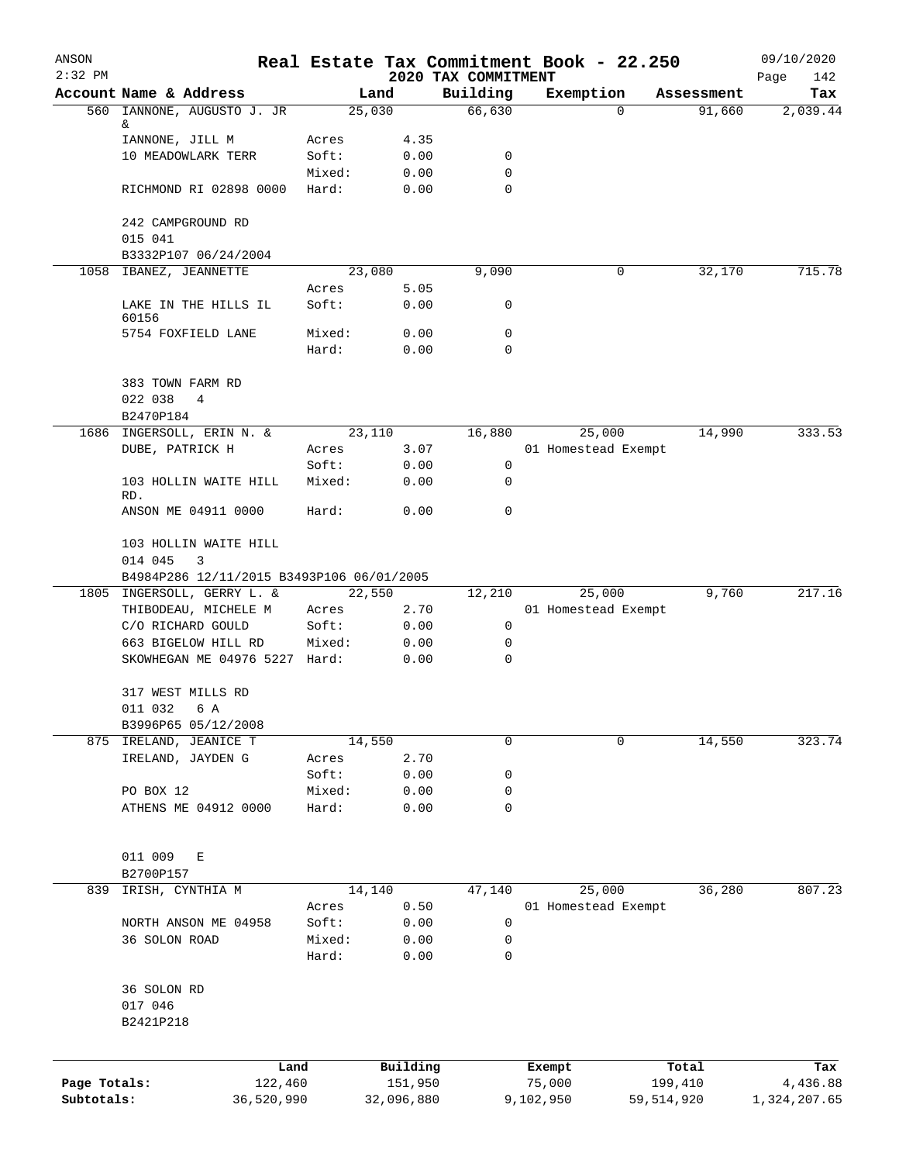| ANSON<br>$2:32$ PM |                                                                                    |                |                |                                 | Real Estate Tax Commitment Book - 22.250 |            | 09/10/2020         |
|--------------------|------------------------------------------------------------------------------------|----------------|----------------|---------------------------------|------------------------------------------|------------|--------------------|
|                    | Account Name & Address                                                             |                | Land           | 2020 TAX COMMITMENT<br>Building | Exemption                                | Assessment | Page<br>142<br>Tax |
|                    | 560 IANNONE, AUGUSTO J. JR                                                         |                | 25,030         | 66,630                          | $\mathbf 0$                              | 91,660     | 2,039.44           |
|                    | &                                                                                  |                |                |                                 |                                          |            |                    |
|                    | IANNONE, JILL M<br>10 MEADOWLARK TERR                                              | Acres<br>Soft: | 4.35<br>0.00   | 0                               |                                          |            |                    |
|                    |                                                                                    | Mixed:         | 0.00           | 0                               |                                          |            |                    |
|                    | RICHMOND RI 02898 0000                                                             | Hard:          | 0.00           | 0                               |                                          |            |                    |
|                    | 242 CAMPGROUND RD                                                                  |                |                |                                 |                                          |            |                    |
|                    | 015 041                                                                            |                |                |                                 |                                          |            |                    |
|                    | B3332P107 06/24/2004                                                               |                |                |                                 |                                          |            |                    |
|                    | 1058 IBANEZ, JEANNETTE                                                             | Acres          | 23,080<br>5.05 | 9,090                           | 0                                        | 32,170     | 715.78             |
|                    | LAKE IN THE HILLS IL<br>60156                                                      | Soft:          | 0.00           | 0                               |                                          |            |                    |
|                    | 5754 FOXFIELD LANE                                                                 | Mixed:         | 0.00           | 0                               |                                          |            |                    |
|                    |                                                                                    | Hard:          | 0.00           | $\mathbf 0$                     |                                          |            |                    |
|                    | 383 TOWN FARM RD<br>022 038<br>4                                                   |                |                |                                 |                                          |            |                    |
|                    | B2470P184                                                                          |                |                |                                 |                                          |            |                    |
|                    | 1686 INGERSOLL, ERIN N. &<br>DUBE, PATRICK H                                       | Acres          | 23,110<br>3.07 | 16,880                          | 25,000<br>01 Homestead Exempt            | 14,990     | 333.53             |
|                    |                                                                                    | Soft:          | 0.00           | 0                               |                                          |            |                    |
|                    | 103 HOLLIN WAITE HILL<br>RD.                                                       | Mixed:         | 0.00           | 0                               |                                          |            |                    |
|                    | ANSON ME 04911 0000                                                                | Hard:          | 0.00           | $\mathbf 0$                     |                                          |            |                    |
|                    | 103 HOLLIN WAITE HILL<br>014 045<br>3<br>B4984P286 12/11/2015 B3493P106 06/01/2005 |                |                |                                 |                                          |            |                    |
|                    | 1805 INGERSOLL, GERRY L. &                                                         |                | 22,550         | 12,210                          | 25,000                                   | 9,760      | 217.16             |
|                    | THIBODEAU, MICHELE M                                                               | Acres          | 2.70           |                                 | 01 Homestead Exempt                      |            |                    |
|                    | C/O RICHARD GOULD                                                                  | Soft:          | 0.00           | 0                               |                                          |            |                    |
|                    | 663 BIGELOW HILL RD<br>SKOWHEGAN ME 04976 5227 Hard:                               | Mixed:         | 0.00<br>0.00   | 0<br>$\mathbf 0$                |                                          |            |                    |
|                    |                                                                                    |                |                |                                 |                                          |            |                    |
|                    | 317 WEST MILLS RD<br>011 032<br>6 A                                                |                |                |                                 |                                          |            |                    |
|                    | B3996P65 05/12/2008                                                                |                |                |                                 |                                          |            |                    |
|                    | 875 IRELAND, JEANICE T                                                             |                | 14,550         | $\mathbf 0$                     | 0                                        | 14,550     | 323.74             |
|                    | IRELAND, JAYDEN G                                                                  | Acres          | 2.70           |                                 |                                          |            |                    |
|                    |                                                                                    | Soft:          | 0.00           | 0                               |                                          |            |                    |
|                    | PO BOX 12                                                                          | Mixed:         | 0.00           | 0                               |                                          |            |                    |
|                    | ATHENS ME 04912 0000                                                               | Hard:          | 0.00           | 0                               |                                          |            |                    |
|                    | 011 009<br>Е<br>B2700P157                                                          |                |                |                                 |                                          |            |                    |
| 839                | IRISH, CYNTHIA M                                                                   |                | 14,140         | 47,140                          | 25,000                                   | 36,280     | 807.23             |
|                    |                                                                                    | Acres          | 0.50           |                                 | 01 Homestead Exempt                      |            |                    |
|                    | NORTH ANSON ME 04958                                                               | Soft:          | 0.00           | 0                               |                                          |            |                    |
|                    | 36 SOLON ROAD                                                                      | Mixed:         | 0.00           | 0                               |                                          |            |                    |
|                    |                                                                                    | Hard:          | 0.00           | 0                               |                                          |            |                    |
|                    | 36 SOLON RD<br>017 046                                                             |                |                |                                 |                                          |            |                    |
|                    | B2421P218                                                                          |                |                |                                 |                                          |            |                    |
|                    |                                                                                    | Land           | Building       |                                 | Exempt                                   | Total      | Tax                |
| Page Totals:       | 122,460                                                                            |                | 151,950        |                                 | 75,000                                   | 199,410    | 4,436.88           |
| Subtotals:         | 36,520,990                                                                         |                | 32,096,880     |                                 | 9,102,950                                | 59,514,920 | 1,324,207.65       |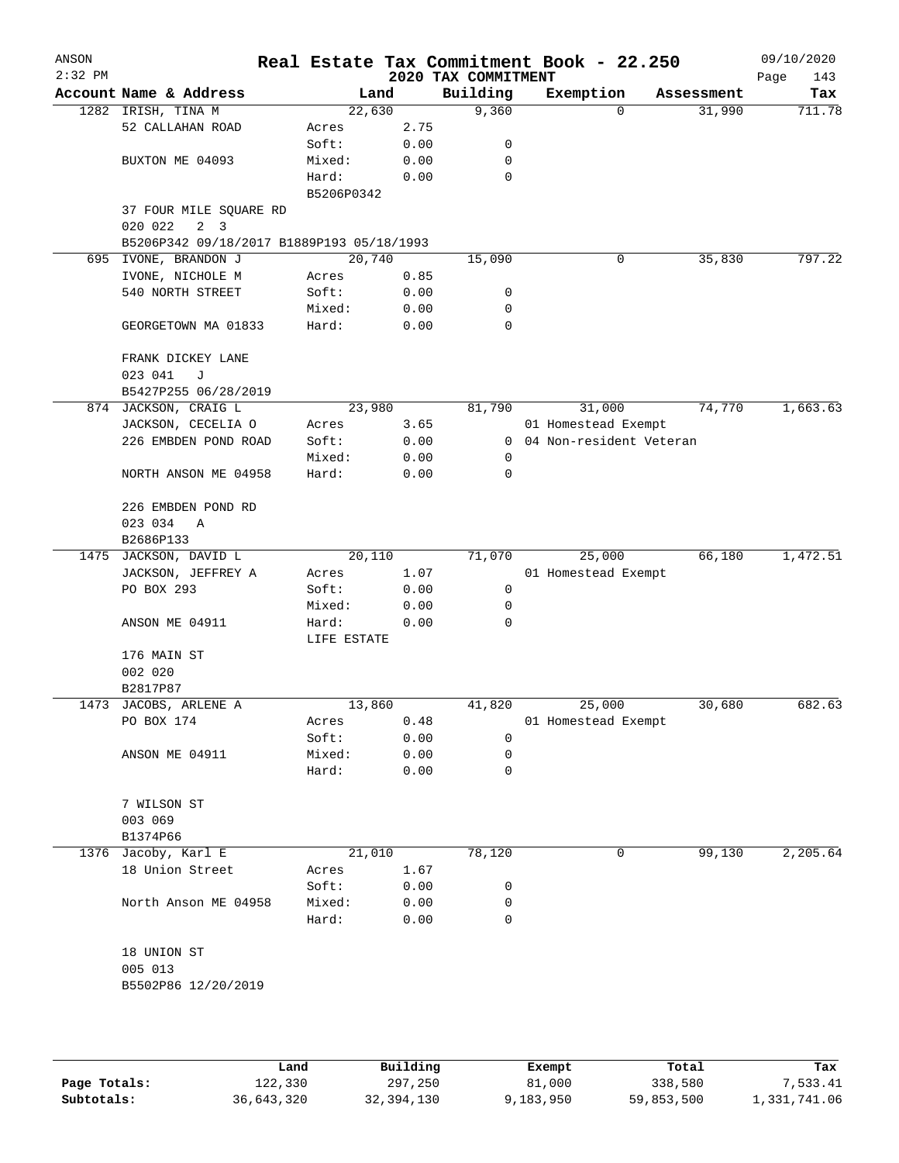| ANSON<br>$2:32$ PM |                                           |             |      | 2020 TAX COMMITMENT | Real Estate Tax Commitment Book - 22.250 |            | 09/10/2020<br>Page<br>143 |
|--------------------|-------------------------------------------|-------------|------|---------------------|------------------------------------------|------------|---------------------------|
|                    | Account Name & Address                    | Land        |      | Building            | Exemption                                | Assessment | Tax                       |
|                    | 1282 IRISH, TINA M                        | 22,630      |      | 9,360               | $\Omega$                                 | 31,990     | 711.78                    |
|                    | 52 CALLAHAN ROAD                          | Acres       | 2.75 |                     |                                          |            |                           |
|                    |                                           | Soft:       | 0.00 | 0                   |                                          |            |                           |
|                    | BUXTON ME 04093                           | Mixed:      | 0.00 | 0                   |                                          |            |                           |
|                    |                                           | Hard:       | 0.00 | $\mathbf 0$         |                                          |            |                           |
|                    |                                           | B5206P0342  |      |                     |                                          |            |                           |
|                    | 37 FOUR MILE SQUARE RD                    |             |      |                     |                                          |            |                           |
|                    | 2 <sup>3</sup><br>020 022                 |             |      |                     |                                          |            |                           |
|                    | B5206P342 09/18/2017 B1889P193 05/18/1993 |             |      |                     |                                          |            |                           |
|                    | 695 IVONE, BRANDON J                      | 20,740      |      | 15,090              | 0                                        | 35,830     | 797.22                    |
|                    | IVONE, NICHOLE M                          | Acres       | 0.85 |                     |                                          |            |                           |
|                    | 540 NORTH STREET                          | Soft:       | 0.00 | 0                   |                                          |            |                           |
|                    |                                           | Mixed:      | 0.00 | 0                   |                                          |            |                           |
|                    | GEORGETOWN MA 01833                       | Hard:       | 0.00 | $\mathbf 0$         |                                          |            |                           |
|                    | FRANK DICKEY LANE                         |             |      |                     |                                          |            |                           |
|                    | 023 041<br>J                              |             |      |                     |                                          |            |                           |
|                    | B5427P255 06/28/2019                      |             |      |                     |                                          |            |                           |
|                    | 874 JACKSON, CRAIG L                      | 23,980      |      | 81,790              | 31,000                                   | 74,770     | 1,663.63                  |
|                    | JACKSON, CECELIA O                        | Acres       | 3.65 |                     | 01 Homestead Exempt                      |            |                           |
|                    | 226 EMBDEN POND ROAD                      | Soft:       | 0.00 | $\mathbf{0}$        | 04 Non-resident Veteran                  |            |                           |
|                    |                                           | Mixed:      | 0.00 | 0                   |                                          |            |                           |
|                    | NORTH ANSON ME 04958                      | Hard:       | 0.00 | 0                   |                                          |            |                           |
|                    | 226 EMBDEN POND RD                        |             |      |                     |                                          |            |                           |
|                    | 023 034<br>Α                              |             |      |                     |                                          |            |                           |
|                    | B2686P133                                 |             |      |                     |                                          |            |                           |
|                    | 1475 JACKSON, DAVID L                     | 20,110      |      | 71,070              | 25,000                                   | 66,180     | 1,472.51                  |
|                    | JACKSON, JEFFREY A                        | Acres       | 1.07 |                     | 01 Homestead Exempt                      |            |                           |
|                    | PO BOX 293                                | Soft:       | 0.00 | 0                   |                                          |            |                           |
|                    |                                           | Mixed:      | 0.00 | 0                   |                                          |            |                           |
|                    | ANSON ME 04911                            | Hard:       | 0.00 | 0                   |                                          |            |                           |
|                    |                                           | LIFE ESTATE |      |                     |                                          |            |                           |
|                    | 176 MAIN ST                               |             |      |                     |                                          |            |                           |
|                    | 002 020                                   |             |      |                     |                                          |            |                           |
|                    | B2817P87                                  |             |      |                     |                                          |            |                           |
|                    | 1473 JACOBS, ARLENE A                     | 13,860      |      | 41,820              | 25,000                                   | 30,680     | 682.63                    |
|                    | PO BOX 174                                | Acres       | 0.48 |                     | 01 Homestead Exempt                      |            |                           |
|                    |                                           | Soft:       | 0.00 | 0                   |                                          |            |                           |
|                    | ANSON ME 04911                            | Mixed:      | 0.00 | 0                   |                                          |            |                           |
|                    |                                           | Hard:       | 0.00 | 0                   |                                          |            |                           |
|                    | 7 WILSON ST                               |             |      |                     |                                          |            |                           |
|                    | 003 069                                   |             |      |                     |                                          |            |                           |
|                    | B1374P66                                  |             |      |                     |                                          |            |                           |
|                    | 1376 Jacoby, Karl E                       | 21,010      |      | 78,120              | 0                                        | 99,130     | 2,205.64                  |
|                    | 18 Union Street                           | Acres       | 1.67 |                     |                                          |            |                           |
|                    |                                           | Soft:       | 0.00 | 0                   |                                          |            |                           |
|                    | North Anson ME 04958                      | Mixed:      | 0.00 | 0                   |                                          |            |                           |
|                    |                                           | Hard:       | 0.00 | 0                   |                                          |            |                           |
|                    | 18 UNION ST                               |             |      |                     |                                          |            |                           |
|                    | 005 013                                   |             |      |                     |                                          |            |                           |
|                    | B5502P86 12/20/2019                       |             |      |                     |                                          |            |                           |
|                    |                                           |             |      |                     |                                          |            |                           |
|                    |                                           |             |      |                     |                                          |            |                           |
|                    |                                           |             |      |                     |                                          |            |                           |
|                    |                                           |             |      |                     |                                          |            |                           |

|              | Land       | Building   | Exempt    | Total      | Tax          |
|--------------|------------|------------|-----------|------------|--------------|
| Page Totals: | 122,330    | 297,250    | 81,000    | 338,580    | 7,533.41     |
| Subtotals:   | 36,643,320 | 32,394,130 | 9,183,950 | 59,853,500 | 1,331,741.06 |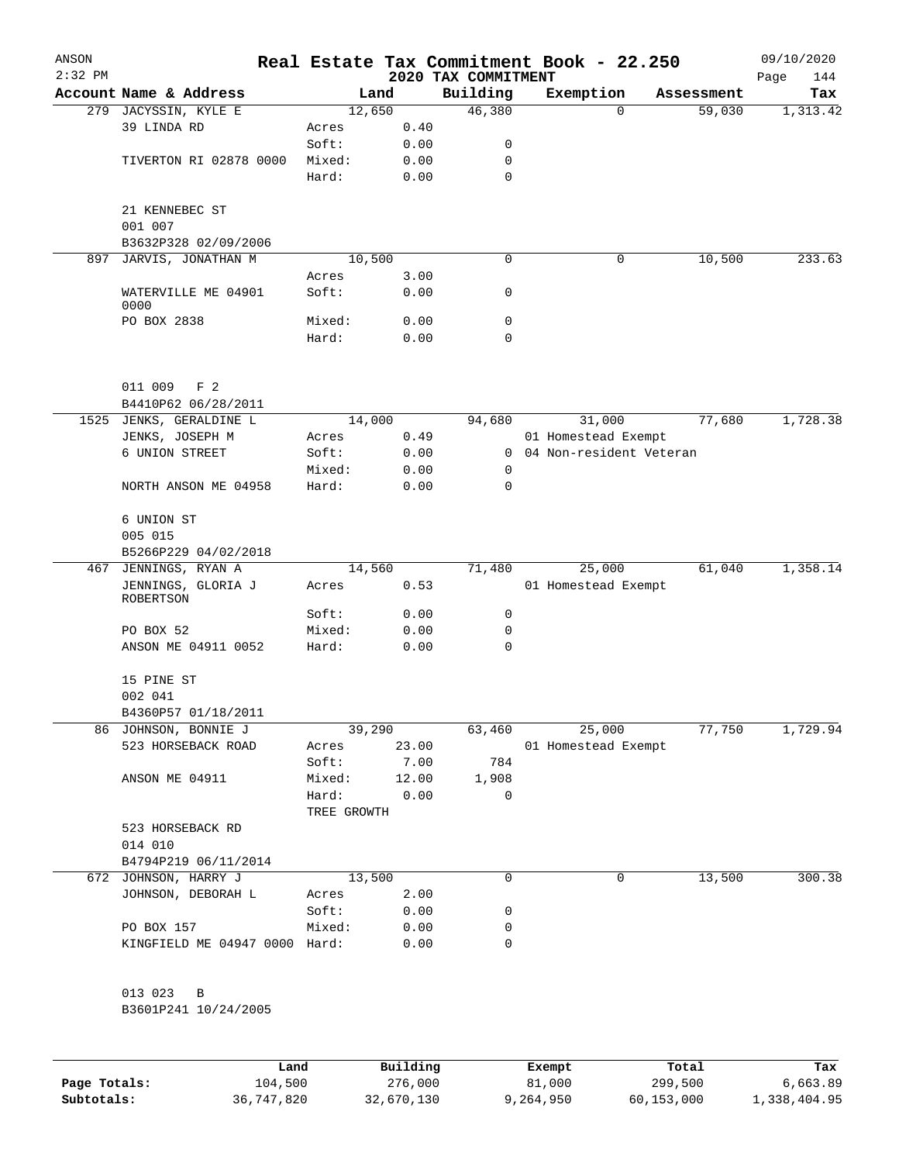| ANSON<br>$2:32$ PM |                                 |             |       | 2020 TAX COMMITMENT | Real Estate Tax Commitment Book - 22.250 |            | 09/10/2020<br>Page<br>144 |
|--------------------|---------------------------------|-------------|-------|---------------------|------------------------------------------|------------|---------------------------|
|                    | Account Name & Address          |             | Land  | Building            | Exemption                                | Assessment | Tax                       |
|                    | 279 JACYSSIN, KYLE E            | 12,650      |       | 46,380              | $\Omega$                                 | 59,030     | 1,313.42                  |
|                    | 39 LINDA RD                     | Acres       | 0.40  |                     |                                          |            |                           |
|                    |                                 | Soft:       | 0.00  | 0                   |                                          |            |                           |
|                    | TIVERTON RI 02878 0000          | Mixed:      | 0.00  | 0                   |                                          |            |                           |
|                    |                                 | Hard:       | 0.00  | 0                   |                                          |            |                           |
|                    | 21 KENNEBEC ST                  |             |       |                     |                                          |            |                           |
|                    | 001 007                         |             |       |                     |                                          |            |                           |
|                    | B3632P328 02/09/2006            |             |       |                     |                                          |            |                           |
| 897                | JARVIS, JONATHAN M              | 10,500      |       | 0                   | 0                                        | 10,500     | 233.63                    |
|                    |                                 | Acres       | 3.00  |                     |                                          |            |                           |
|                    | WATERVILLE ME 04901<br>0000     | Soft:       | 0.00  | 0                   |                                          |            |                           |
|                    | PO BOX 2838                     | Mixed:      | 0.00  | 0                   |                                          |            |                           |
|                    |                                 | Hard:       | 0.00  | 0                   |                                          |            |                           |
|                    |                                 |             |       |                     |                                          |            |                           |
|                    | 011 009<br>F <sub>2</sub>       |             |       |                     |                                          |            |                           |
|                    | B4410P62 06/28/2011             |             |       |                     |                                          |            |                           |
|                    | 1525 JENKS, GERALDINE L         | 14,000      |       | 94,680              | 31,000                                   | 77,680     | 1,728.38                  |
|                    | JENKS, JOSEPH M                 | Acres       | 0.49  |                     | 01 Homestead Exempt                      |            |                           |
|                    | 6 UNION STREET                  | Soft:       | 0.00  | $\Omega$            | 04 Non-resident Veteran                  |            |                           |
|                    |                                 | Mixed:      | 0.00  | 0                   |                                          |            |                           |
|                    | NORTH ANSON ME 04958            | Hard:       | 0.00  | 0                   |                                          |            |                           |
|                    | 6 UNION ST                      |             |       |                     |                                          |            |                           |
|                    | 005 015                         |             |       |                     |                                          |            |                           |
|                    | B5266P229 04/02/2018            |             |       |                     |                                          |            |                           |
| 467                | JENNINGS, RYAN A                | 14,560      |       | 71,480              | 25,000                                   | 61,040     | 1,358.14                  |
|                    | JENNINGS, GLORIA J<br>ROBERTSON | Acres       | 0.53  |                     | 01 Homestead Exempt                      |            |                           |
|                    |                                 | Soft:       | 0.00  | 0                   |                                          |            |                           |
|                    | PO BOX 52                       | Mixed:      | 0.00  | 0                   |                                          |            |                           |
|                    | ANSON ME 04911 0052             | Hard:       | 0.00  | 0                   |                                          |            |                           |
|                    | 15 PINE ST                      |             |       |                     |                                          |            |                           |
|                    | 002 041                         |             |       |                     |                                          |            |                           |
|                    | B4360P57 01/18/2011             |             |       |                     |                                          |            |                           |
|                    | 86 JOHNSON, BONNIE J            | 39,290      |       | 63,460              | 25,000                                   | 77,750     | 1,729.94                  |
|                    | 523 HORSEBACK ROAD              | Acres       | 23.00 |                     | 01 Homestead Exempt                      |            |                           |
|                    |                                 | Soft:       | 7.00  | 784                 |                                          |            |                           |
|                    | ANSON ME 04911                  | Mixed:      | 12.00 | 1,908               |                                          |            |                           |
|                    |                                 | Hard:       | 0.00  | 0                   |                                          |            |                           |
|                    |                                 | TREE GROWTH |       |                     |                                          |            |                           |
|                    | 523 HORSEBACK RD<br>014 010     |             |       |                     |                                          |            |                           |
|                    | B4794P219 06/11/2014            |             |       |                     |                                          |            |                           |
|                    | 672 JOHNSON, HARRY J            | 13,500      |       | 0                   | $\mathbf 0$                              | 13,500     | 300.38                    |
|                    | JOHNSON, DEBORAH L              | Acres       | 2.00  |                     |                                          |            |                           |
|                    |                                 | Soft:       | 0.00  | 0                   |                                          |            |                           |
|                    | PO BOX 157                      | Mixed:      | 0.00  | 0                   |                                          |            |                           |
|                    | KINGFIELD ME 04947 0000 Hard:   |             | 0.00  | 0                   |                                          |            |                           |
|                    | 013 023 B                       |             |       |                     |                                          |            |                           |
|                    | B3601P241 10/24/2005            |             |       |                     |                                          |            |                           |
|                    |                                 |             |       |                     |                                          |            |                           |
|                    |                                 |             |       |                     |                                          |            |                           |

|              | Land       | Building   | Exempt    | Total      | Tax          |
|--------------|------------|------------|-----------|------------|--------------|
| Page Totals: | 104,500    | 276,000    | 81,000    | 299,500    | 6,663.89     |
| Subtotals:   | 36,747,820 | 32,670,130 | 9,264,950 | 60,153,000 | 1,338,404.95 |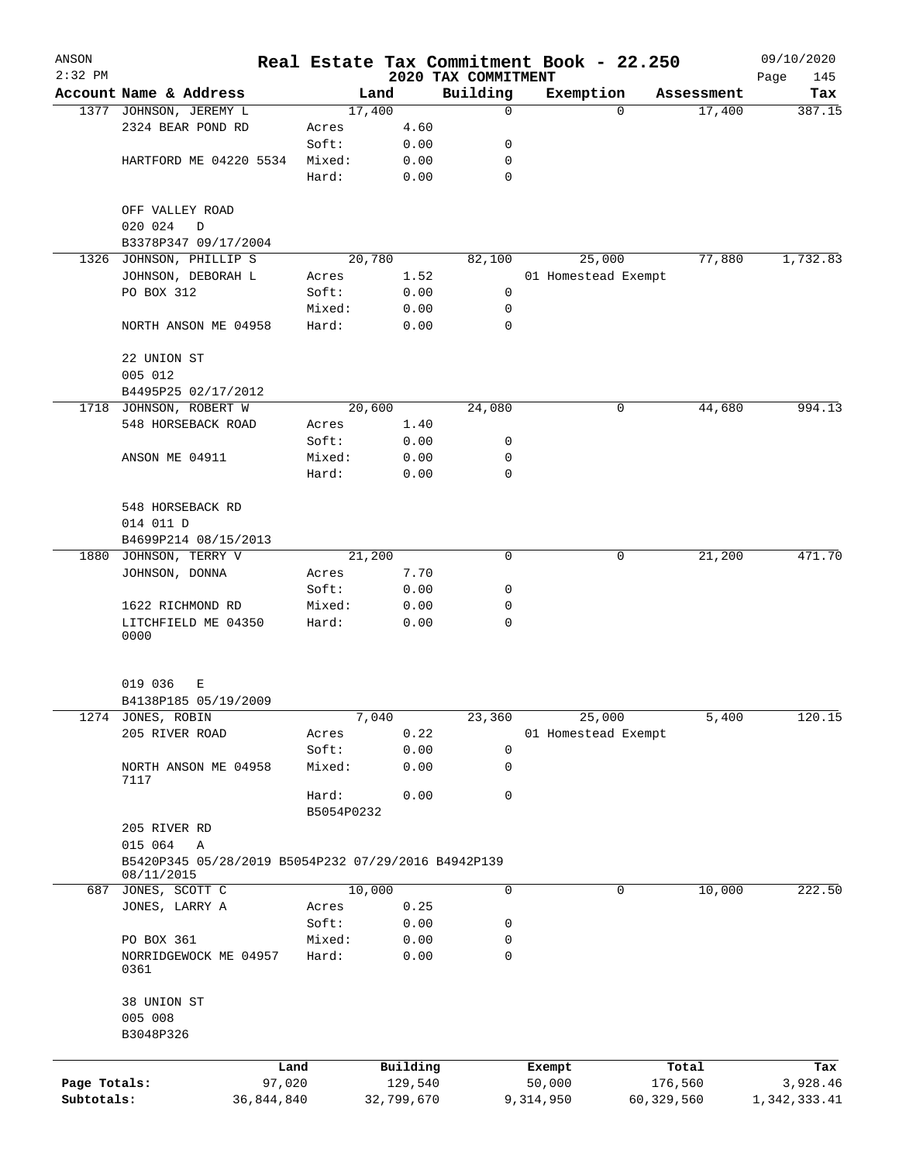| ANSON        |                                                     |            |                 |                |              |                     | Real Estate Tax Commitment Book - 22.250 |             |                      | 09/10/2020    |
|--------------|-----------------------------------------------------|------------|-----------------|----------------|--------------|---------------------|------------------------------------------|-------------|----------------------|---------------|
| $2:32$ PM    |                                                     |            |                 |                |              | 2020 TAX COMMITMENT |                                          |             |                      | Page<br>145   |
|              | Account Name & Address                              |            |                 | Land<br>17,400 |              | Building<br>0       | Exemption                                | $\Omega$    | Assessment<br>17,400 | Tax<br>387.15 |
|              | 1377 JOHNSON, JEREMY L<br>2324 BEAR POND RD         |            | Acres           |                | 4.60         |                     |                                          |             |                      |               |
|              |                                                     |            | Soft:           |                | 0.00         | 0                   |                                          |             |                      |               |
|              | HARTFORD ME 04220 5534                              |            | Mixed:          |                | 0.00         | 0                   |                                          |             |                      |               |
|              |                                                     |            | Hard:           |                | 0.00         | $\mathbf 0$         |                                          |             |                      |               |
|              |                                                     |            |                 |                |              |                     |                                          |             |                      |               |
|              | OFF VALLEY ROAD                                     |            |                 |                |              |                     |                                          |             |                      |               |
|              | 020 024<br>D                                        |            |                 |                |              |                     |                                          |             |                      |               |
|              | B3378P347 09/17/2004                                |            |                 |                |              |                     |                                          |             |                      |               |
|              | 1326 JOHNSON, PHILLIP S                             |            |                 | 20,780         |              | 82,100              | 25,000                                   |             | 77,880               | 1,732.83      |
|              | JOHNSON, DEBORAH L                                  |            | Acres           |                | 1.52         |                     | 01 Homestead Exempt                      |             |                      |               |
|              | PO BOX 312                                          |            | Soft:           |                | 0.00         | 0                   |                                          |             |                      |               |
|              |                                                     |            | Mixed:          |                | 0.00         | 0                   |                                          |             |                      |               |
|              | NORTH ANSON ME 04958                                |            | Hard:           |                | 0.00         | 0                   |                                          |             |                      |               |
|              |                                                     |            |                 |                |              |                     |                                          |             |                      |               |
|              | 22 UNION ST                                         |            |                 |                |              |                     |                                          |             |                      |               |
|              | 005 012                                             |            |                 |                |              |                     |                                          |             |                      |               |
|              | B4495P25 02/17/2012                                 |            |                 |                |              |                     |                                          |             |                      |               |
|              | 1718 JOHNSON, ROBERT W                              |            |                 | 20,600         |              | 24,080              |                                          | 0           | 44,680               | 994.13        |
|              | 548 HORSEBACK ROAD                                  |            | Acres           |                | 1.40         |                     |                                          |             |                      |               |
|              |                                                     |            | Soft:           |                | 0.00         | 0                   |                                          |             |                      |               |
|              | ANSON ME 04911                                      |            | Mixed:          |                | 0.00         | 0                   |                                          |             |                      |               |
|              |                                                     |            | Hard:           |                | 0.00         | 0                   |                                          |             |                      |               |
|              |                                                     |            |                 |                |              |                     |                                          |             |                      |               |
|              | 548 HORSEBACK RD                                    |            |                 |                |              |                     |                                          |             |                      |               |
|              | 014 011 D                                           |            |                 |                |              |                     |                                          |             |                      |               |
|              | B4699P214 08/15/2013                                |            |                 |                |              |                     |                                          |             |                      |               |
| 1880         | JOHNSON, TERRY V                                    |            |                 | 21,200         |              | 0                   |                                          | 0           | 21,200               | 471.70        |
|              | JOHNSON, DONNA                                      |            | Acres           |                | 7.70         |                     |                                          |             |                      |               |
|              |                                                     |            | Soft:           |                | 0.00         | 0                   |                                          |             |                      |               |
|              | 1622 RICHMOND RD                                    |            | Mixed:          |                | 0.00         | 0                   |                                          |             |                      |               |
|              | LITCHFIELD ME 04350                                 |            | Hard:           |                | 0.00         | 0                   |                                          |             |                      |               |
|              | 0000                                                |            |                 |                |              |                     |                                          |             |                      |               |
|              |                                                     |            |                 |                |              |                     |                                          |             |                      |               |
|              | 019 036<br>Е                                        |            |                 |                |              |                     |                                          |             |                      |               |
|              | B4138P185 05/19/2009                                |            |                 |                |              |                     |                                          |             |                      |               |
|              | 1274 JONES, ROBIN                                   |            |                 | 7,040          |              | 23,360              | 25,000                                   |             | 5,400                | 120.15        |
|              | 205 RIVER ROAD                                      |            | Acres           |                | 0.22         |                     | 01 Homestead Exempt                      |             |                      |               |
|              |                                                     |            | Soft:           |                | 0.00         | 0                   |                                          |             |                      |               |
|              | NORTH ANSON ME 04958                                |            | Mixed:          |                | 0.00         | 0                   |                                          |             |                      |               |
|              | 7117                                                |            |                 |                |              |                     |                                          |             |                      |               |
|              |                                                     |            | Hard:           |                | 0.00         | 0                   |                                          |             |                      |               |
|              |                                                     |            | B5054P0232      |                |              |                     |                                          |             |                      |               |
|              | 205 RIVER RD                                        |            |                 |                |              |                     |                                          |             |                      |               |
|              | 015 064<br>Α                                        |            |                 |                |              |                     |                                          |             |                      |               |
|              | B5420P345 05/28/2019 B5054P232 07/29/2016 B4942P139 |            |                 |                |              |                     |                                          |             |                      |               |
|              | 08/11/2015                                          |            |                 | 10,000         |              | 0                   |                                          | $\mathbf 0$ |                      |               |
|              | 687 JONES, SCOTT C                                  |            |                 |                |              |                     |                                          |             | 10,000               | 222.50        |
|              | JONES, LARRY A                                      |            | Acres           |                | 0.25         |                     |                                          |             |                      |               |
|              | PO BOX 361                                          |            | Soft:<br>Mixed: |                | 0.00<br>0.00 | 0<br>0              |                                          |             |                      |               |
|              | NORRIDGEWOCK ME 04957                               |            | Hard:           |                | 0.00         | 0                   |                                          |             |                      |               |
|              | 0361                                                |            |                 |                |              |                     |                                          |             |                      |               |
|              |                                                     |            |                 |                |              |                     |                                          |             |                      |               |
|              | 38 UNION ST                                         |            |                 |                |              |                     |                                          |             |                      |               |
|              | 005 008                                             |            |                 |                |              |                     |                                          |             |                      |               |
|              | B3048P326                                           |            |                 |                |              |                     |                                          |             |                      |               |
|              |                                                     |            |                 |                |              |                     |                                          |             |                      |               |
|              |                                                     | Land       |                 |                | Building     |                     | Exempt                                   |             | Total                | Tax           |
| Page Totals: |                                                     | 97,020     |                 |                | 129,540      |                     | 50,000                                   |             | 176,560              | 3,928.46      |
| Subtotals:   |                                                     | 36,844,840 |                 |                | 32,799,670   |                     | 9,314,950                                |             | 60,329,560           | 1,342,333.41  |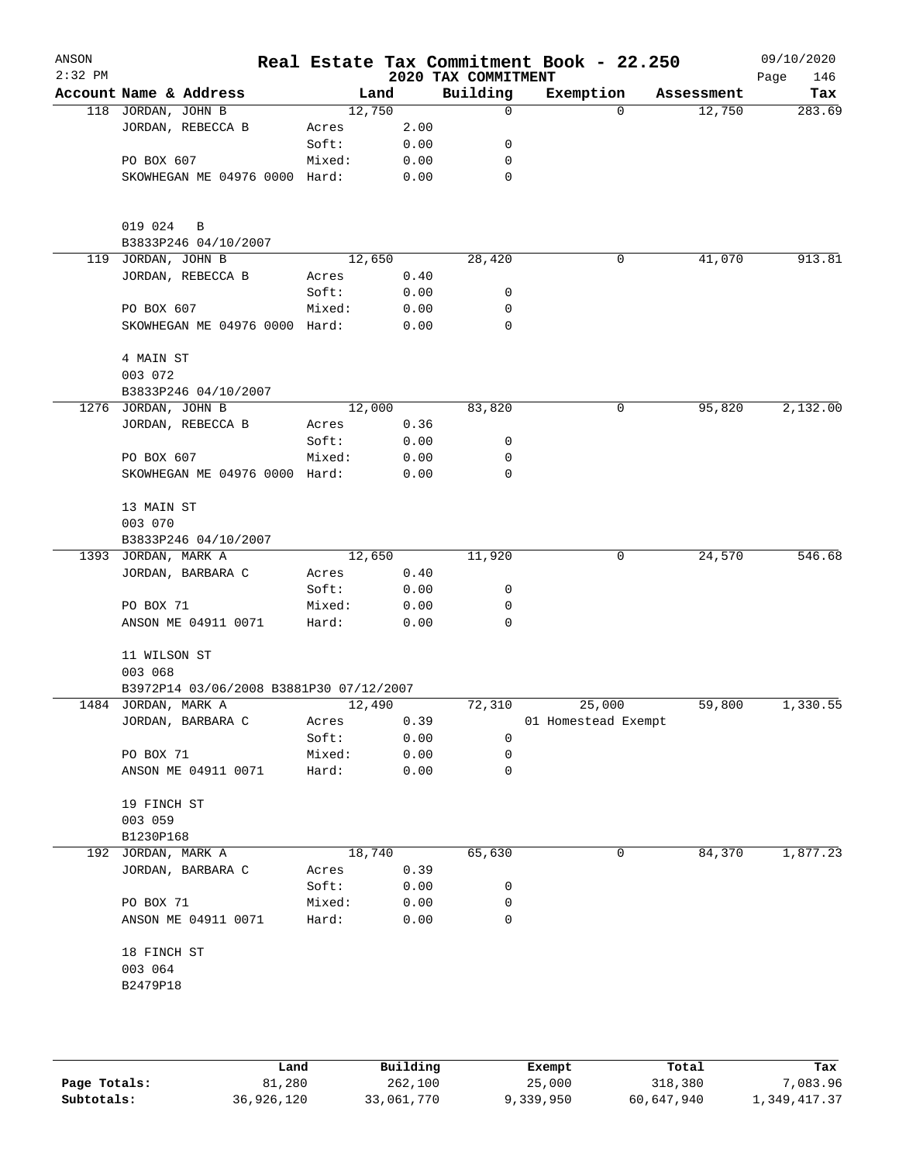| ANSON<br>$2:32$ PM |                                         |        |      | 2020 TAX COMMITMENT | Real Estate Tax Commitment Book - 22.250 |            | 09/10/2020<br>Page<br>146 |
|--------------------|-----------------------------------------|--------|------|---------------------|------------------------------------------|------------|---------------------------|
|                    | Account Name & Address                  | Land   |      | Building            | Exemption                                | Assessment | Tax                       |
|                    | 118 JORDAN, JOHN B                      | 12,750 |      | 0                   | $\mathbf 0$                              | 12,750     | 283.69                    |
|                    | JORDAN, REBECCA B                       | Acres  | 2.00 |                     |                                          |            |                           |
|                    |                                         | Soft:  | 0.00 | 0                   |                                          |            |                           |
|                    | PO BOX 607                              | Mixed: | 0.00 | 0                   |                                          |            |                           |
|                    | SKOWHEGAN ME 04976 0000 Hard:           |        | 0.00 | $\mathbf 0$         |                                          |            |                           |
|                    | 019 024<br>B                            |        |      |                     |                                          |            |                           |
|                    | B3833P246 04/10/2007                    |        |      |                     |                                          |            |                           |
| 119                | JORDAN, JOHN B                          | 12,650 |      | 28,420              | 0                                        | 41,070     | 913.81                    |
|                    | JORDAN, REBECCA B                       | Acres  | 0.40 |                     |                                          |            |                           |
|                    |                                         | Soft:  | 0.00 | 0                   |                                          |            |                           |
|                    | PO BOX 607                              | Mixed: | 0.00 | 0                   |                                          |            |                           |
|                    | SKOWHEGAN ME 04976 0000 Hard:           |        | 0.00 | $\mathbf 0$         |                                          |            |                           |
|                    | 4 MAIN ST<br>003 072                    |        |      |                     |                                          |            |                           |
|                    | B3833P246 04/10/2007                    |        |      |                     |                                          |            |                           |
|                    | 1276 JORDAN, JOHN B                     | 12,000 |      | 83,820              | 0                                        | 95,820     | 2,132.00                  |
|                    | JORDAN, REBECCA B                       | Acres  | 0.36 |                     |                                          |            |                           |
|                    |                                         | Soft:  | 0.00 | 0                   |                                          |            |                           |
|                    | PO BOX 607                              | Mixed: | 0.00 | 0                   |                                          |            |                           |
|                    | SKOWHEGAN ME 04976 0000 Hard:           |        | 0.00 | 0                   |                                          |            |                           |
|                    | 13 MAIN ST                              |        |      |                     |                                          |            |                           |
|                    | 003 070                                 |        |      |                     |                                          |            |                           |
|                    | B3833P246 04/10/2007                    |        |      |                     |                                          |            |                           |
|                    | 1393 JORDAN, MARK A                     | 12,650 |      | 11,920              | 0                                        | 24,570     | 546.68                    |
|                    | JORDAN, BARBARA C                       | Acres  | 0.40 |                     |                                          |            |                           |
|                    |                                         | Soft:  | 0.00 | 0                   |                                          |            |                           |
|                    | PO BOX 71                               | Mixed: | 0.00 | 0                   |                                          |            |                           |
|                    | ANSON ME 04911 0071                     | Hard:  | 0.00 | 0                   |                                          |            |                           |
|                    | 11 WILSON ST<br>003 068                 |        |      |                     |                                          |            |                           |
|                    | B3972P14 03/06/2008 B3881P30 07/12/2007 |        |      |                     |                                          |            |                           |
|                    | 1484 JORDAN, MARK A                     | 12,490 |      | 72,310              | 25,000                                   | 59,800     | 1,330.55                  |
|                    | JORDAN, BARBARA C                       | Acres  | 0.39 |                     | 01 Homestead Exempt                      |            |                           |
|                    |                                         | Soft:  | 0.00 | 0                   |                                          |            |                           |
|                    | PO BOX 71                               | Mixed: | 0.00 | 0                   |                                          |            |                           |
|                    | ANSON ME 04911 0071                     | Hard:  | 0.00 | 0                   |                                          |            |                           |
|                    | 19 FINCH ST                             |        |      |                     |                                          |            |                           |
|                    | 003 059<br>B1230P168                    |        |      |                     |                                          |            |                           |
|                    | 192 JORDAN, MARK A                      | 18,740 |      | 65,630              | 0                                        | 84,370     | 1,877.23                  |
|                    | JORDAN, BARBARA C                       | Acres  | 0.39 |                     |                                          |            |                           |
|                    |                                         | Soft:  | 0.00 | 0                   |                                          |            |                           |
|                    | PO BOX 71                               | Mixed: | 0.00 | 0                   |                                          |            |                           |
|                    | ANSON ME 04911 0071                     | Hard:  | 0.00 | 0                   |                                          |            |                           |
|                    | 18 FINCH ST                             |        |      |                     |                                          |            |                           |
|                    | 003 064<br>B2479P18                     |        |      |                     |                                          |            |                           |
|                    |                                         |        |      |                     |                                          |            |                           |
|                    |                                         |        |      |                     |                                          |            |                           |
|                    |                                         |        |      |                     |                                          |            |                           |

|              | Land       | Building   | Exempt    | Total      | Tax          |
|--------------|------------|------------|-----------|------------|--------------|
| Page Totals: | 81,280     | 262,100    | 25,000    | 318,380    | 7,083.96     |
| Subtotals:   | 36,926,120 | 33,061,770 | 9,339,950 | 60,647,940 | 1,349,417.37 |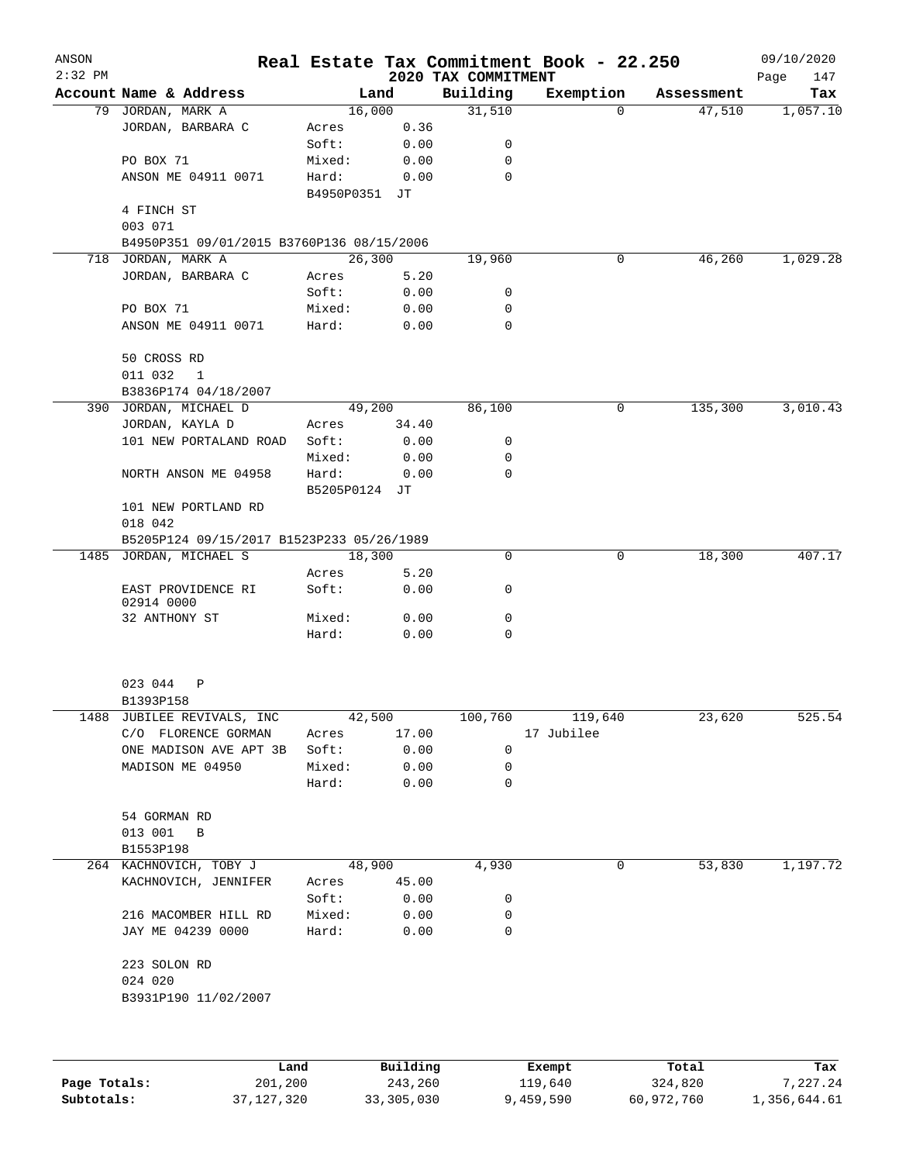| ANSON<br>$2:32$ PM |                                           |                 |              |                                 | Real Estate Tax Commitment Book - 22.250 |            | 09/10/2020         |
|--------------------|-------------------------------------------|-----------------|--------------|---------------------------------|------------------------------------------|------------|--------------------|
|                    | Account Name & Address                    |                 | Land         | 2020 TAX COMMITMENT<br>Building | Exemption                                | Assessment | Page<br>147<br>Tax |
|                    | 79 JORDAN, MARK A                         | 16,000          |              | 31,510                          | $\Omega$                                 | 47,510     | 1,057.10           |
|                    | JORDAN, BARBARA C                         | Acres           | 0.36         |                                 |                                          |            |                    |
|                    |                                           | Soft:           | 0.00         | 0                               |                                          |            |                    |
|                    | PO BOX 71                                 | Mixed:          | 0.00         | 0                               |                                          |            |                    |
|                    | ANSON ME 04911 0071                       | Hard:           | 0.00         | $\mathbf 0$                     |                                          |            |                    |
|                    |                                           | B4950P0351 JT   |              |                                 |                                          |            |                    |
|                    | 4 FINCH ST                                |                 |              |                                 |                                          |            |                    |
|                    | 003 071                                   |                 |              |                                 |                                          |            |                    |
|                    | B4950P351 09/01/2015 B3760P136 08/15/2006 |                 |              |                                 |                                          |            |                    |
|                    | 718 JORDAN, MARK A                        | 26,300          |              | 19,960                          | 0                                        | 46, 260    | 1,029.28           |
|                    | JORDAN, BARBARA C                         | Acres           | 5.20         |                                 |                                          |            |                    |
|                    |                                           | Soft:           | 0.00         | 0                               |                                          |            |                    |
|                    | PO BOX 71                                 | Mixed:          | 0.00         | 0                               |                                          |            |                    |
|                    | ANSON ME 04911 0071                       | Hard:           | 0.00         | 0                               |                                          |            |                    |
|                    | 50 CROSS RD                               |                 |              |                                 |                                          |            |                    |
|                    | 011 032<br>$\overline{1}$                 |                 |              |                                 |                                          |            |                    |
|                    | B3836P174 04/18/2007                      |                 |              |                                 |                                          |            |                    |
|                    | 390 JORDAN, MICHAEL D                     |                 | 49,200       | 86,100                          | 0                                        | 135,300    | 3,010.43           |
|                    | JORDAN, KAYLA D                           | Acres           | 34.40        |                                 |                                          |            |                    |
|                    | 101 NEW PORTALAND ROAD                    | Soft:           | 0.00         | 0                               |                                          |            |                    |
|                    |                                           | Mixed:          | 0.00         | 0                               |                                          |            |                    |
|                    | NORTH ANSON ME 04958                      | Hard:           | 0.00         | 0                               |                                          |            |                    |
|                    |                                           | B5205P0124 JT   |              |                                 |                                          |            |                    |
|                    | 101 NEW PORTLAND RD                       |                 |              |                                 |                                          |            |                    |
|                    | 018 042                                   |                 |              |                                 |                                          |            |                    |
|                    | B5205P124 09/15/2017 B1523P233 05/26/1989 |                 |              |                                 |                                          |            |                    |
|                    | 1485 JORDAN, MICHAEL S                    | 18,300          |              | 0                               | 0                                        | 18,300     | 407.17             |
|                    |                                           | Acres           | 5.20         |                                 |                                          |            |                    |
|                    | EAST PROVIDENCE RI<br>02914 0000          | Soft:           | 0.00         | 0                               |                                          |            |                    |
|                    | 32 ANTHONY ST                             | Mixed:          | 0.00         | 0                               |                                          |            |                    |
|                    |                                           | Hard:           | 0.00         | $\mathbf 0$                     |                                          |            |                    |
|                    |                                           |                 |              |                                 |                                          |            |                    |
|                    | 023 044<br>Ρ<br>B1393P158                 |                 |              |                                 |                                          |            |                    |
| 1488               | JUBILEE REVIVALS, INC                     | 42,500          |              | 100,760                         | 119,640                                  | 23,620     | 525.54             |
|                    | C/O FLORENCE GORMAN                       | Acres           | 17.00        |                                 | 17 Jubilee                               |            |                    |
|                    | ONE MADISON AVE APT 3B                    | Soft:           | 0.00         | 0                               |                                          |            |                    |
|                    | MADISON ME 04950                          | Mixed:          | 0.00         | 0                               |                                          |            |                    |
|                    |                                           | Hard:           | 0.00         | 0                               |                                          |            |                    |
|                    |                                           |                 |              |                                 |                                          |            |                    |
|                    | 54 GORMAN RD                              |                 |              |                                 |                                          |            |                    |
|                    | 013 001<br>B                              |                 |              |                                 |                                          |            |                    |
|                    | B1553P198                                 |                 |              |                                 |                                          |            |                    |
|                    | 264 KACHNOVICH, TOBY J                    |                 | 48,900       | 4,930                           | 0                                        | 53,830     | 1,197.72           |
|                    | KACHNOVICH, JENNIFER                      | Acres           | 45.00        |                                 |                                          |            |                    |
|                    | 216 MACOMBER HILL RD                      | Soft:<br>Mixed: | 0.00<br>0.00 | 0<br>0                          |                                          |            |                    |
|                    | JAY ME 04239 0000                         | Hard:           | 0.00         | 0                               |                                          |            |                    |
|                    | 223 SOLON RD                              |                 |              |                                 |                                          |            |                    |
|                    | 024 020                                   |                 |              |                                 |                                          |            |                    |
|                    | B3931P190 11/02/2007                      |                 |              |                                 |                                          |            |                    |
|                    |                                           |                 |              |                                 |                                          |            |                    |
|                    | Land                                      |                 | Building     |                                 | Exempt                                   | Total      | Tax                |
| Page Totals:       | 201,200                                   |                 | 243,260      |                                 | 119,640                                  | 324,820    | 7,227.24           |

**Subtotals:** 37,127,320 33,305,030 9,459,590 60,972,760 1,356,644.61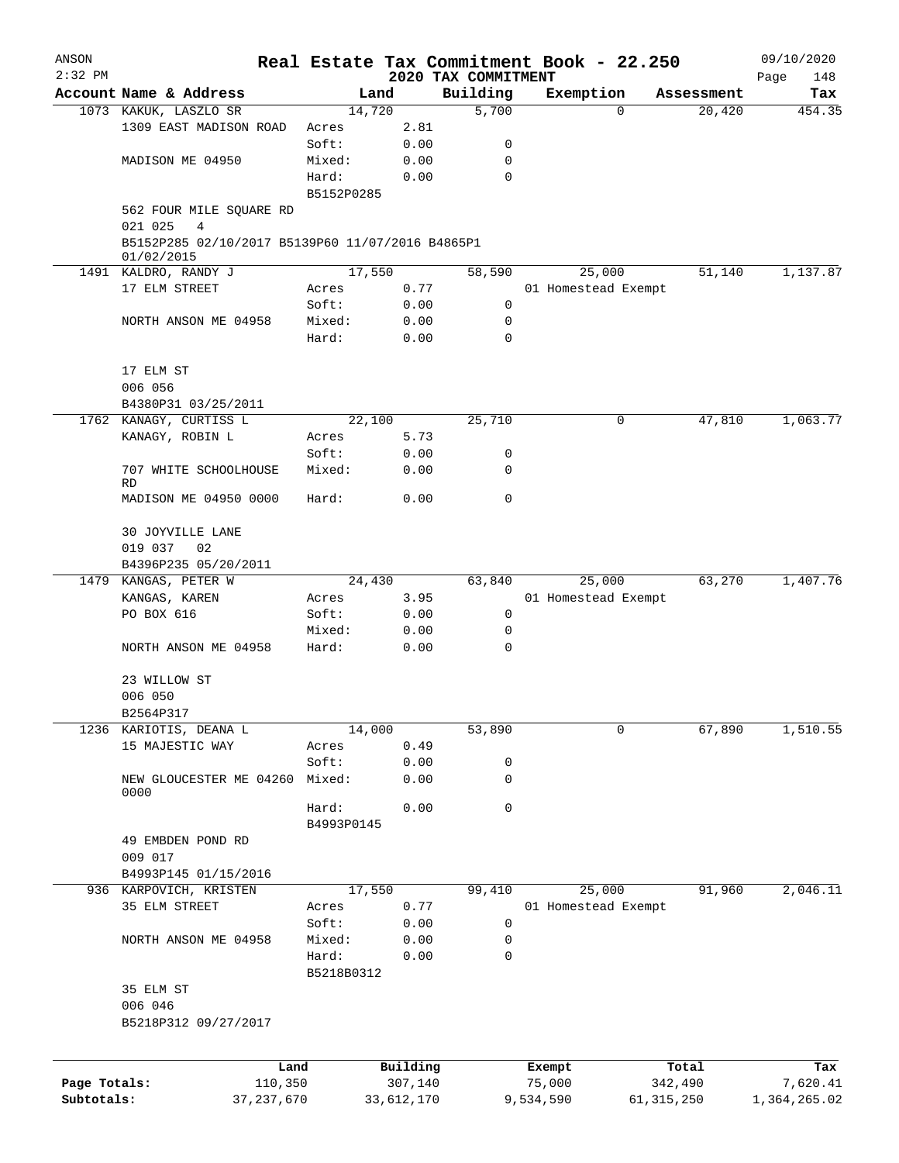| ANSON        |                                                  |            |                     |                                 | Real Estate Tax Commitment Book - 22.250 |            |                  | 09/10/2020         |
|--------------|--------------------------------------------------|------------|---------------------|---------------------------------|------------------------------------------|------------|------------------|--------------------|
| $2:32$ PM    | Account Name & Address                           |            | Land                | 2020 TAX COMMITMENT<br>Building | Exemption                                |            | Assessment       | Page<br>148<br>Tax |
|              | 1073 KAKUK, LASZLO SR                            | 14,720     |                     | 5,700                           |                                          | 0          | 20,420           | 454.35             |
|              | 1309 EAST MADISON ROAD                           | Acres      | 2.81                |                                 |                                          |            |                  |                    |
|              |                                                  | Soft:      | 0.00                | 0                               |                                          |            |                  |                    |
|              | MADISON ME 04950                                 | Mixed:     | 0.00                | 0                               |                                          |            |                  |                    |
|              |                                                  | Hard:      | 0.00                | $\mathbf 0$                     |                                          |            |                  |                    |
|              |                                                  | B5152P0285 |                     |                                 |                                          |            |                  |                    |
|              | 562 FOUR MILE SQUARE RD                          |            |                     |                                 |                                          |            |                  |                    |
|              | 4<br>021 025                                     |            |                     |                                 |                                          |            |                  |                    |
|              | B5152P285 02/10/2017 B5139P60 11/07/2016 B4865P1 |            |                     |                                 |                                          |            |                  |                    |
|              | 01/02/2015                                       |            |                     |                                 |                                          |            |                  |                    |
|              | 1491 KALDRO, RANDY J                             | 17,550     |                     | 58,590                          | 25,000                                   |            | 51,140           | 1,137.87           |
|              | 17 ELM STREET                                    | Acres      | 0.77                |                                 | 01 Homestead Exempt                      |            |                  |                    |
|              |                                                  | Soft:      | 0.00                | 0                               |                                          |            |                  |                    |
|              | NORTH ANSON ME 04958                             | Mixed:     | 0.00                | 0                               |                                          |            |                  |                    |
|              |                                                  | Hard:      | 0.00                | 0                               |                                          |            |                  |                    |
|              | 17 ELM ST                                        |            |                     |                                 |                                          |            |                  |                    |
|              | 006 056                                          |            |                     |                                 |                                          |            |                  |                    |
|              | B4380P31 03/25/2011                              |            |                     |                                 |                                          |            |                  |                    |
| 1762         | KANAGY, CURTISS L                                | 22,100     |                     | 25,710                          |                                          | 0          | 47,810           | 1,063.77           |
|              | KANAGY, ROBIN L                                  | Acres      | 5.73                |                                 |                                          |            |                  |                    |
|              |                                                  | Soft:      | 0.00                | 0                               |                                          |            |                  |                    |
|              | 707 WHITE SCHOOLHOUSE                            | Mixed:     | 0.00                | 0                               |                                          |            |                  |                    |
|              | <b>RD</b>                                        |            |                     |                                 |                                          |            |                  |                    |
|              | MADISON ME 04950 0000                            | Hard:      | 0.00                | $\mathbf 0$                     |                                          |            |                  |                    |
|              | 30 JOYVILLE LANE                                 |            |                     |                                 |                                          |            |                  |                    |
|              | 019 037<br>02                                    |            |                     |                                 |                                          |            |                  |                    |
|              | B4396P235 05/20/2011                             |            |                     |                                 |                                          |            |                  |                    |
|              | 1479 KANGAS, PETER W                             | 24,430     |                     | 63,840                          | 25,000                                   |            | 63,270           | 1,407.76           |
|              | KANGAS, KAREN                                    | Acres      | 3.95                |                                 | 01 Homestead Exempt                      |            |                  |                    |
|              | PO BOX 616                                       | Soft:      | 0.00                | 0                               |                                          |            |                  |                    |
|              |                                                  | Mixed:     | 0.00                | 0                               |                                          |            |                  |                    |
|              | NORTH ANSON ME 04958                             | Hard:      | 0.00                | 0                               |                                          |            |                  |                    |
|              | 23 WILLOW ST                                     |            |                     |                                 |                                          |            |                  |                    |
|              | 006 050                                          |            |                     |                                 |                                          |            |                  |                    |
|              | B2564P317                                        |            |                     |                                 |                                          |            |                  |                    |
| 1236         | KARIOTIS, DEANA L                                | 14,000     |                     | 53,890                          |                                          | 0          | 67,890           | 1,510.55           |
|              | 15 MAJESTIC WAY                                  | Acres      | 0.49                |                                 |                                          |            |                  |                    |
|              |                                                  | Soft:      | 0.00                | 0                               |                                          |            |                  |                    |
|              | NEW GLOUCESTER ME 04260<br>0000                  | Mixed:     | 0.00                | 0                               |                                          |            |                  |                    |
|              |                                                  | Hard:      | 0.00                | 0                               |                                          |            |                  |                    |
|              |                                                  | B4993P0145 |                     |                                 |                                          |            |                  |                    |
|              | 49 EMBDEN POND RD                                |            |                     |                                 |                                          |            |                  |                    |
|              | 009 017                                          |            |                     |                                 |                                          |            |                  |                    |
|              | B4993P145 01/15/2016                             |            |                     |                                 |                                          |            |                  |                    |
|              | 936 KARPOVICH, KRISTEN                           | 17,550     |                     | 99,410                          | 25,000                                   |            | 91,960           | 2,046.11           |
|              | 35 ELM STREET                                    | Acres      | 0.77                |                                 | 01 Homestead Exempt                      |            |                  |                    |
|              |                                                  | Soft:      | 0.00                | 0                               |                                          |            |                  |                    |
|              | NORTH ANSON ME 04958                             | Mixed:     | 0.00                | 0                               |                                          |            |                  |                    |
|              |                                                  | Hard:      | 0.00                | 0                               |                                          |            |                  |                    |
|              |                                                  | B5218B0312 |                     |                                 |                                          |            |                  |                    |
|              | 35 ELM ST                                        |            |                     |                                 |                                          |            |                  |                    |
|              | 006 046                                          |            |                     |                                 |                                          |            |                  |                    |
|              | B5218P312 09/27/2017                             |            |                     |                                 |                                          |            |                  |                    |
|              |                                                  |            |                     |                                 |                                          |            |                  |                    |
| Page Totals: | Land<br>110,350                                  |            | Building<br>307,140 |                                 | Exempt<br>75,000                         |            | Total<br>342,490 | Tax<br>7,620.41    |
| Subtotals:   | 37, 237, 670                                     |            | 33,612,170          |                                 | 9,534,590                                | 61,315,250 |                  | 1,364,265.02       |
|              |                                                  |            |                     |                                 |                                          |            |                  |                    |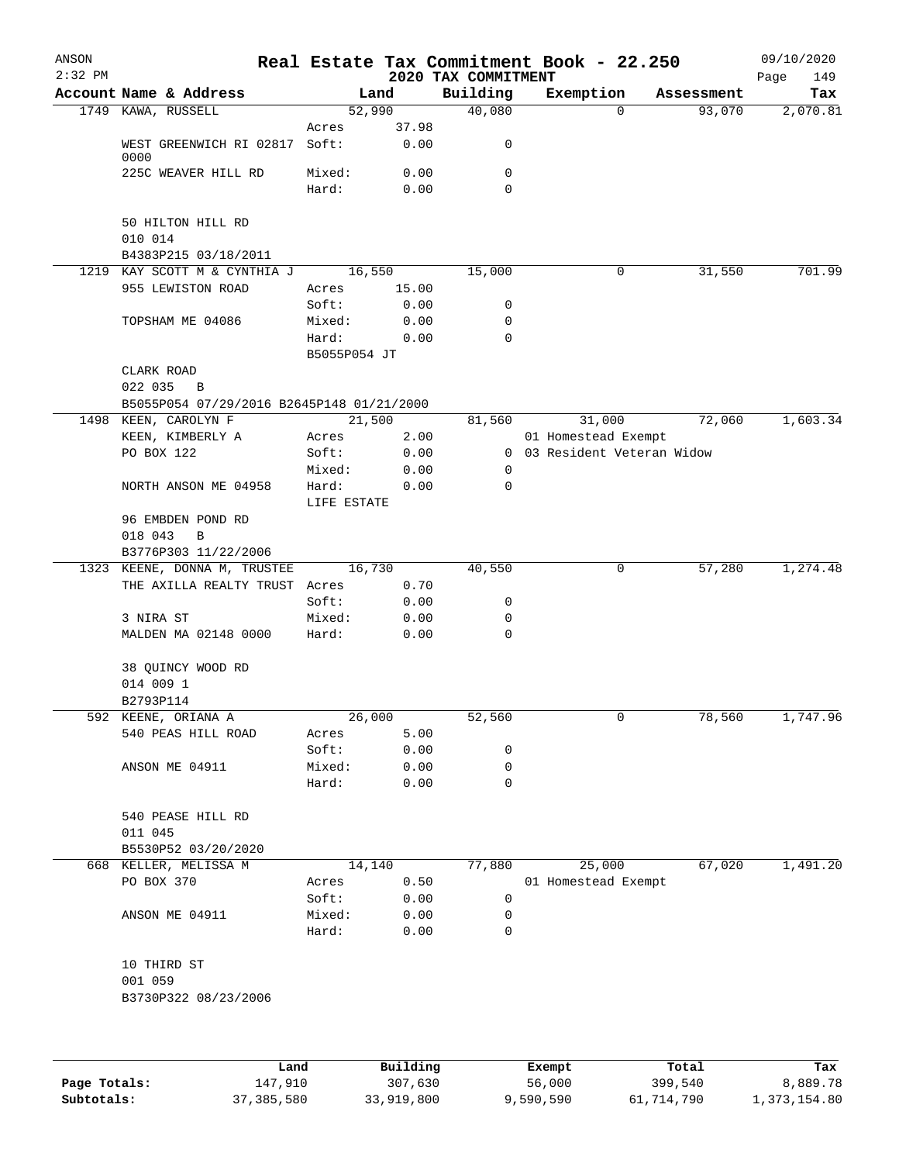| ANSON<br>$2:32$ PM |                                           |                       |              | 2020 TAX COMMITMENT |        | Real Estate Tax Commitment Book - 22.250 |            | 09/10/2020<br>Page<br>149 |
|--------------------|-------------------------------------------|-----------------------|--------------|---------------------|--------|------------------------------------------|------------|---------------------------|
|                    | Account Name & Address                    |                       | Land         | Building            |        | Exemption                                | Assessment | Tax                       |
|                    | 1749 KAWA, RUSSELL                        | 52,990                |              | 40,080              |        | $\Omega$                                 | 93,070     | 2,070.81                  |
|                    |                                           | Acres                 | 37.98        |                     |        |                                          |            |                           |
|                    | WEST GREENWICH RI 02817 Soft:<br>0000     |                       | 0.00         | 0                   |        |                                          |            |                           |
|                    | 225C WEAVER HILL RD                       | Mixed:                | 0.00         | 0                   |        |                                          |            |                           |
|                    |                                           | Hard:                 | 0.00         | $\Omega$            |        |                                          |            |                           |
|                    | 50 HILTON HILL RD                         |                       |              |                     |        |                                          |            |                           |
|                    | 010 014                                   |                       |              |                     |        |                                          |            |                           |
|                    | B4383P215 03/18/2011                      |                       |              |                     |        |                                          |            |                           |
|                    | 1219 KAY SCOTT M & CYNTHIA J              |                       | 16,550       | 15,000              |        | 0                                        | 31,550     | 701.99                    |
|                    | 955 LEWISTON ROAD                         | Acres                 | 15.00        |                     |        |                                          |            |                           |
|                    |                                           | Soft:                 | 0.00         | 0                   |        |                                          |            |                           |
|                    | TOPSHAM ME 04086                          | Mixed:                | 0.00         | 0                   |        |                                          |            |                           |
|                    |                                           | Hard:<br>B5055P054 JT | 0.00         | 0                   |        |                                          |            |                           |
|                    | CLARK ROAD                                |                       |              |                     |        |                                          |            |                           |
|                    | 022 035<br>$\overline{B}$                 |                       |              |                     |        |                                          |            |                           |
|                    | B5055P054 07/29/2016 B2645P148 01/21/2000 |                       |              |                     |        |                                          |            |                           |
|                    | 1498 KEEN, CAROLYN F                      |                       | 21,500       | 81,560              |        | 31,000                                   | 72,060     | 1,603.34                  |
|                    | KEEN, KIMBERLY A                          | Acres                 | 2.00         |                     |        | 01 Homestead Exempt                      |            |                           |
|                    | PO BOX 122                                | Soft:                 | 0.00<br>0.00 | $\overline{0}$<br>0 |        | 03 Resident Veteran Widow                |            |                           |
|                    | NORTH ANSON ME 04958                      | Mixed:<br>Hard:       | 0.00         | 0                   |        |                                          |            |                           |
|                    |                                           | LIFE ESTATE           |              |                     |        |                                          |            |                           |
|                    | 96 EMBDEN POND RD                         |                       |              |                     |        |                                          |            |                           |
|                    | 018 043<br>B                              |                       |              |                     |        |                                          |            |                           |
|                    | B3776P303 11/22/2006                      |                       |              |                     |        |                                          |            |                           |
|                    | 1323 KEENE, DONNA M, TRUSTEE              |                       | 16,730       | 40,550              |        | 0                                        | 57,280     | 1,274.48                  |
|                    | THE AXILLA REALTY TRUST                   | Acres<br>Soft:        | 0.70<br>0.00 | 0                   |        |                                          |            |                           |
|                    | 3 NIRA ST                                 | Mixed:                | 0.00         | 0                   |        |                                          |            |                           |
|                    | MALDEN MA 02148 0000                      | Hard:                 | 0.00         | $\mathbf 0$         |        |                                          |            |                           |
|                    |                                           |                       |              |                     |        |                                          |            |                           |
|                    | 38 QUINCY WOOD RD<br>014 009 1            |                       |              |                     |        |                                          |            |                           |
|                    | B2793P114                                 |                       |              |                     |        |                                          |            |                           |
|                    | 592 KEENE, ORIANA A                       | 26,000                |              | 52,560              |        | 0                                        | 78,560     | 1,747.96                  |
|                    | 540 PEAS HILL ROAD                        | Acres                 | 5.00         |                     |        |                                          |            |                           |
|                    |                                           | Soft:                 | 0.00         | 0                   |        |                                          |            |                           |
|                    | ANSON ME 04911                            | Mixed:                | 0.00         | 0                   |        |                                          |            |                           |
|                    |                                           | Hard:                 | 0.00         | 0                   |        |                                          |            |                           |
|                    | 540 PEASE HILL RD                         |                       |              |                     |        |                                          |            |                           |
|                    | 011 045                                   |                       |              |                     |        |                                          |            |                           |
|                    | B5530P52 03/20/2020                       |                       |              |                     |        |                                          |            |                           |
|                    | 668 KELLER, MELISSA M                     |                       | 14,140       | 77,880              |        | 25,000                                   | 67,020     | 1,491.20                  |
|                    | PO BOX 370                                | Acres                 | 0.50         |                     |        | 01 Homestead Exempt                      |            |                           |
|                    |                                           | Soft:                 | 0.00         | 0                   |        |                                          |            |                           |
|                    | ANSON ME 04911                            | Mixed:<br>Hard:       | 0.00<br>0.00 | 0<br>$\mathbf 0$    |        |                                          |            |                           |
|                    |                                           |                       |              |                     |        |                                          |            |                           |
|                    | 10 THIRD ST                               |                       |              |                     |        |                                          |            |                           |
|                    | 001 059<br>B3730P322 08/23/2006           |                       |              |                     |        |                                          |            |                           |
|                    |                                           |                       |              |                     |        |                                          |            |                           |
|                    |                                           |                       |              |                     |        |                                          |            |                           |
|                    |                                           | Land                  | Building     |                     | Exempt |                                          | Total      | Tax                       |

|              | Land         | Building   | Exempt    | Total      | Tax          |
|--------------|--------------|------------|-----------|------------|--------------|
| Page Totals: | 147.910      | 307,630    | 56,000    | 399,540    | 8,889.78     |
| Subtotals:   | 37, 385, 580 | 33,919,800 | 9,590,590 | 61,714,790 | 1,373,154.80 |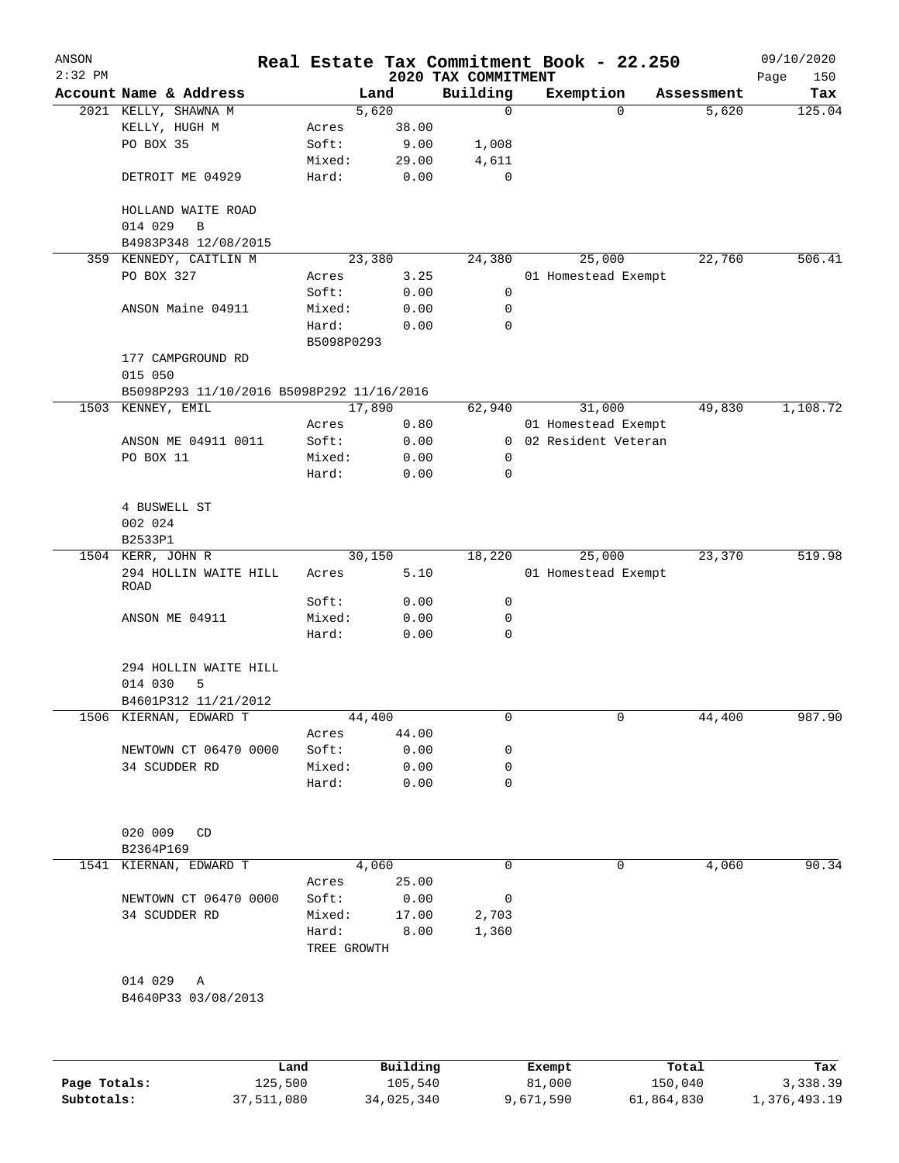| ANSON        |                                           |             |          |                                 | Real Estate Tax Commitment Book - 22.250 |   |                     | 09/10/2020         |
|--------------|-------------------------------------------|-------------|----------|---------------------------------|------------------------------------------|---|---------------------|--------------------|
| $2:32$ PM    | Account Name & Address                    |             | Land     | 2020 TAX COMMITMENT<br>Building |                                          |   |                     | 150<br>Page<br>Tax |
|              | 2021 KELLY, SHAWNA M                      |             | 5,620    | 0                               | Exemption                                | 0 | Assessment<br>5,620 | 125.04             |
|              | KELLY, HUGH M                             | Acres       | 38.00    |                                 |                                          |   |                     |                    |
|              | PO BOX 35                                 | Soft:       | 9.00     | 1,008                           |                                          |   |                     |                    |
|              |                                           | Mixed:      | 29.00    | 4,611                           |                                          |   |                     |                    |
|              | DETROIT ME 04929                          | Hard:       | 0.00     | $\mathbf 0$                     |                                          |   |                     |                    |
|              | HOLLAND WAITE ROAD                        |             |          |                                 |                                          |   |                     |                    |
|              | 014 029<br>B                              |             |          |                                 |                                          |   |                     |                    |
|              | B4983P348 12/08/2015                      |             |          |                                 |                                          |   |                     |                    |
|              | 359 KENNEDY, CAITLIN M                    |             | 23,380   | 24,380                          | 25,000                                   |   | 22,760              | 506.41             |
|              | PO BOX 327                                | Acres       | 3.25     |                                 | 01 Homestead Exempt                      |   |                     |                    |
|              |                                           | Soft:       | 0.00     | 0                               |                                          |   |                     |                    |
|              | ANSON Maine 04911                         | Mixed:      | 0.00     | 0                               |                                          |   |                     |                    |
|              |                                           | Hard:       | 0.00     | 0                               |                                          |   |                     |                    |
|              |                                           | B5098P0293  |          |                                 |                                          |   |                     |                    |
|              | 177 CAMPGROUND RD<br>015 050              |             |          |                                 |                                          |   |                     |                    |
|              | B5098P293 11/10/2016 B5098P292 11/16/2016 |             |          |                                 |                                          |   |                     |                    |
|              | 1503 KENNEY, EMIL                         |             | 17,890   | 62,940                          | 31,000                                   |   | 49,830              | 1,108.72           |
|              |                                           | Acres       | 0.80     |                                 | 01 Homestead Exempt                      |   |                     |                    |
|              | ANSON ME 04911 0011                       | Soft:       | 0.00     | $\overline{0}$                  | 02 Resident Veteran                      |   |                     |                    |
|              | PO BOX 11                                 | Mixed:      | 0.00     | 0                               |                                          |   |                     |                    |
|              |                                           | Hard:       | 0.00     | 0                               |                                          |   |                     |                    |
|              |                                           |             |          |                                 |                                          |   |                     |                    |
|              | 4 BUSWELL ST                              |             |          |                                 |                                          |   |                     |                    |
|              | 002 024                                   |             |          |                                 |                                          |   |                     |                    |
|              | B2533P1                                   |             |          |                                 |                                          |   |                     |                    |
|              | 1504 KERR, JOHN R                         |             | 30,150   | 18,220                          | 25,000                                   |   | 23,370              | 519.98             |
|              | 294 HOLLIN WAITE HILL<br>ROAD             | Acres       | 5.10     |                                 | 01 Homestead Exempt                      |   |                     |                    |
|              |                                           | Soft:       | 0.00     | 0                               |                                          |   |                     |                    |
|              | ANSON ME 04911                            | Mixed:      | 0.00     | 0                               |                                          |   |                     |                    |
|              |                                           | Hard:       | 0.00     | 0                               |                                          |   |                     |                    |
|              | 294 HOLLIN WAITE HILL                     |             |          |                                 |                                          |   |                     |                    |
|              | 014 030<br>5                              |             |          |                                 |                                          |   |                     |                    |
|              | B4601P312 11/21/2012                      |             |          |                                 |                                          |   |                     |                    |
|              | 1506 KIERNAN, EDWARD T                    |             | 44,400   | 0                               |                                          | 0 | 44,400              | 987.90             |
|              |                                           | Acres       | 44.00    |                                 |                                          |   |                     |                    |
|              | NEWTOWN CT 06470 0000                     | Soft:       | 0.00     | 0                               |                                          |   |                     |                    |
|              | 34 SCUDDER RD                             | Mixed:      | 0.00     | 0                               |                                          |   |                     |                    |
|              |                                           | Hard:       | 0.00     | 0                               |                                          |   |                     |                    |
|              |                                           |             |          |                                 |                                          |   |                     |                    |
|              | 020 009<br>CD                             |             |          |                                 |                                          |   |                     |                    |
|              | B2364P169                                 |             |          |                                 |                                          |   |                     |                    |
|              | 1541 KIERNAN, EDWARD T                    |             | 4,060    | 0                               |                                          | 0 | 4,060               | 90.34              |
|              |                                           | Acres       | 25.00    |                                 |                                          |   |                     |                    |
|              | NEWTOWN CT 06470 0000                     | Soft:       | 0.00     | 0                               |                                          |   |                     |                    |
|              | 34 SCUDDER RD                             | Mixed:      | 17.00    | 2,703                           |                                          |   |                     |                    |
|              |                                           | Hard:       | 8.00     | 1,360                           |                                          |   |                     |                    |
|              |                                           | TREE GROWTH |          |                                 |                                          |   |                     |                    |
|              | 014 029<br>Α                              |             |          |                                 |                                          |   |                     |                    |
|              | B4640P33 03/08/2013                       |             |          |                                 |                                          |   |                     |                    |
|              |                                           |             |          |                                 |                                          |   |                     |                    |
|              |                                           | Land        | Building |                                 | Exempt                                   |   | Total               | Tax                |
| Page Totals: | 125,500                                   |             | 105,540  |                                 | 81,000                                   |   | 150,040             | 3,338.39           |

**Subtotals:** 37,511,080 34,025,340 9,671,590 61,864,830 1,376,493.19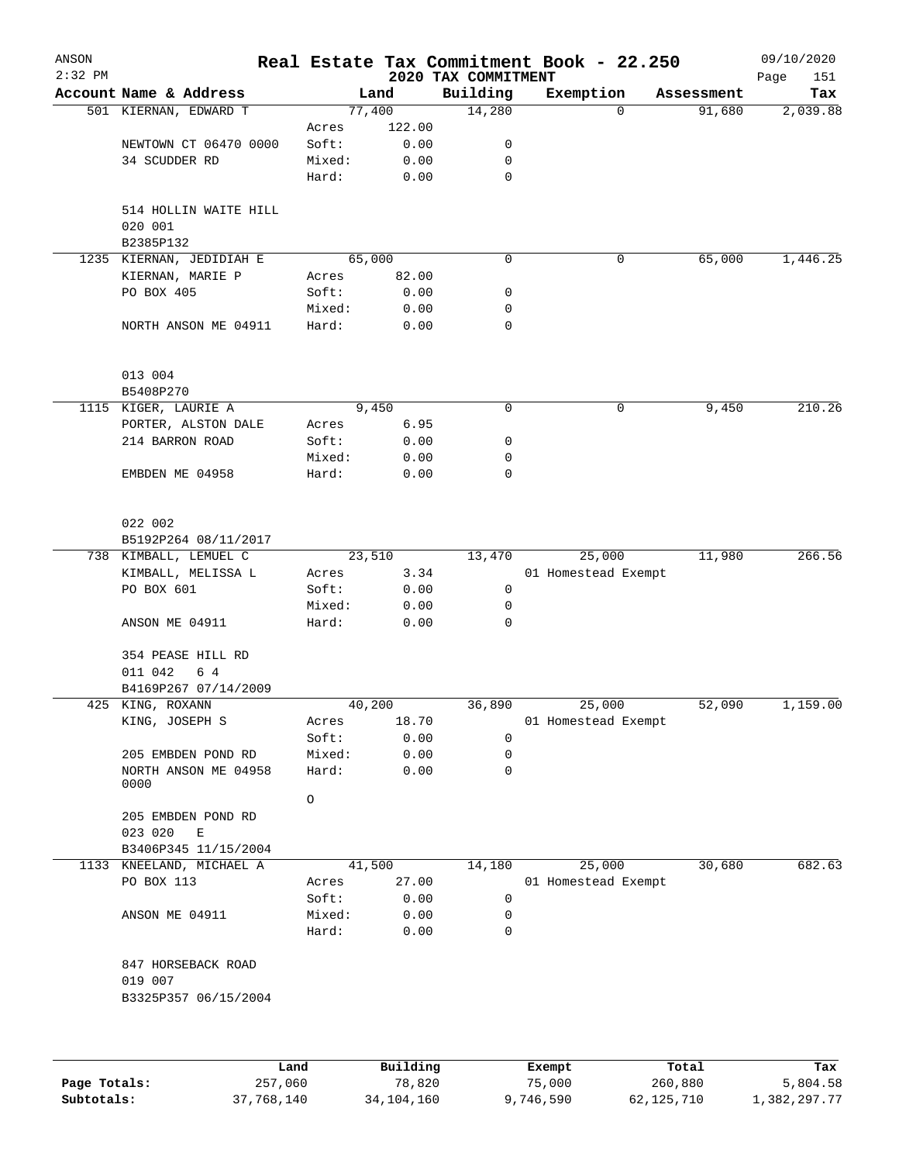| ANSON<br>$2:32$ PM |                                  |                 |              | 2020 TAX COMMITMENT | Real Estate Tax Commitment Book - 22.250 |            | 09/10/2020<br>Page<br>151 |
|--------------------|----------------------------------|-----------------|--------------|---------------------|------------------------------------------|------------|---------------------------|
|                    | Account Name & Address           |                 | Land         | Building            | Exemption                                | Assessment | Tax                       |
|                    | 501 KIERNAN, EDWARD T            |                 | 77,400       | 14,280              | $\Omega$                                 | 91,680     | 2,039.88                  |
|                    |                                  | Acres           | 122.00       |                     |                                          |            |                           |
|                    | NEWTOWN CT 06470 0000            | Soft:           | 0.00         | 0                   |                                          |            |                           |
|                    | 34 SCUDDER RD                    | Mixed:          | 0.00         | 0                   |                                          |            |                           |
|                    |                                  | Hard:           | 0.00         | 0                   |                                          |            |                           |
|                    | 514 HOLLIN WAITE HILL<br>020 001 |                 |              |                     |                                          |            |                           |
|                    | B2385P132                        |                 |              |                     |                                          |            |                           |
|                    | 1235 KIERNAN, JEDIDIAH E         |                 | 65,000       | 0                   | 0                                        | 65,000     | 1,446.25                  |
|                    | KIERNAN, MARIE P                 | Acres           | 82.00        |                     |                                          |            |                           |
|                    | PO BOX 405                       | Soft:           | 0.00         | 0                   |                                          |            |                           |
|                    |                                  | Mixed:          | 0.00         | 0                   |                                          |            |                           |
|                    | NORTH ANSON ME 04911             | Hard:           | 0.00         | 0                   |                                          |            |                           |
|                    | 013 004                          |                 |              |                     |                                          |            |                           |
|                    | B5408P270                        |                 |              |                     |                                          |            |                           |
|                    | 1115 KIGER, LAURIE A             |                 | 9,450        | 0                   | 0                                        | 9,450      | 210.26                    |
|                    | PORTER, ALSTON DALE              | Acres           | 6.95         |                     |                                          |            |                           |
|                    | 214 BARRON ROAD                  | Soft:           | 0.00         | 0                   |                                          |            |                           |
|                    |                                  | Mixed:          | 0.00         | 0                   |                                          |            |                           |
|                    | EMBDEN ME 04958                  | Hard:           | 0.00         | 0                   |                                          |            |                           |
|                    | 022 002                          |                 |              |                     |                                          |            |                           |
|                    | B5192P264 08/11/2017             |                 |              |                     |                                          |            |                           |
|                    | 738 KIMBALL, LEMUEL C            |                 | 23,510       | 13,470              | 25,000                                   | 11,980     | 266.56                    |
|                    | KIMBALL, MELISSA L               | Acres           | 3.34         |                     | 01 Homestead Exempt                      |            |                           |
|                    | PO BOX 601                       | Soft:           | 0.00         | 0                   |                                          |            |                           |
|                    |                                  | Mixed:          | 0.00         | 0                   |                                          |            |                           |
|                    | ANSON ME 04911                   | Hard:           | 0.00         | 0                   |                                          |            |                           |
|                    | 354 PEASE HILL RD<br>6 4         |                 |              |                     |                                          |            |                           |
|                    | 011 042<br>B4169P267 07/14/2009  |                 |              |                     |                                          |            |                           |
|                    | 425 KING, ROXANN                 |                 | 40,200       | 36,890              | 25,000                                   | 52,090     | 1,159.00                  |
|                    | KING, JOSEPH S                   | Acres           | 18.70        |                     | 01 Homestead Exempt                      |            |                           |
|                    |                                  | Soft:           | 0.00         | 0                   |                                          |            |                           |
|                    | 205 EMBDEN POND RD               | Mixed:          | 0.00         | 0                   |                                          |            |                           |
|                    | NORTH ANSON ME 04958             | Hard:           | 0.00         | 0                   |                                          |            |                           |
|                    | 0000                             | $\circ$         |              |                     |                                          |            |                           |
|                    | 205 EMBDEN POND RD               |                 |              |                     |                                          |            |                           |
|                    | 023 020<br>Ε                     |                 |              |                     |                                          |            |                           |
|                    | B3406P345 11/15/2004             |                 |              |                     |                                          |            |                           |
|                    | 1133 KNEELAND, MICHAEL A         |                 | 41,500       | 14,180              | 25,000                                   | 30,680     | 682.63                    |
|                    | PO BOX 113                       | Acres           | 27.00        |                     | 01 Homestead Exempt                      |            |                           |
|                    |                                  | Soft:           | 0.00         | 0                   |                                          |            |                           |
|                    | ANSON ME 04911                   |                 |              | 0                   |                                          |            |                           |
|                    |                                  | Mixed:<br>Hard: | 0.00<br>0.00 | 0                   |                                          |            |                           |
|                    | 847 HORSEBACK ROAD               |                 |              |                     |                                          |            |                           |
|                    | 019 007                          |                 |              |                     |                                          |            |                           |
|                    | B3325P357 06/15/2004             |                 |              |                     |                                          |            |                           |
|                    |                                  |                 |              |                     |                                          |            |                           |
|                    |                                  | Land            | Building     |                     | Exempt                                   | Total      | Tax                       |

|              | Land       | Building     | Exempt    | Total      | Tax          |
|--------------|------------|--------------|-----------|------------|--------------|
| Page Totals: | 257,060    | 78,820       | 75,000    | 260,880    | 5,804.58     |
| Subtotals:   | 37,768,140 | 34, 104, 160 | 9,746,590 | 62,125,710 | 1,382,297.77 |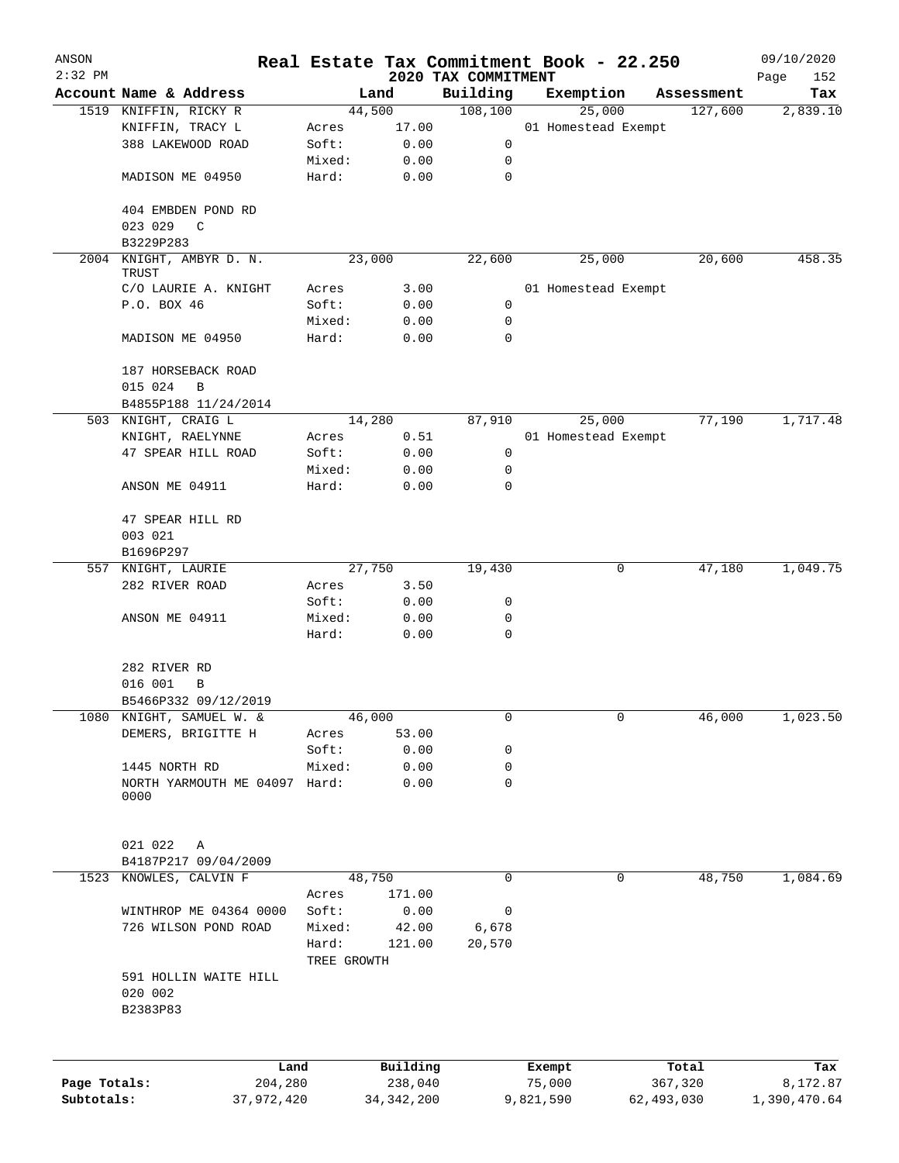| ANSON        |                                       |             |                |                      | Real Estate Tax Commitment Book - 22.250 |                       | 09/10/2020      |
|--------------|---------------------------------------|-------------|----------------|----------------------|------------------------------------------|-----------------------|-----------------|
| $2:32$ PM    | Account Name & Address                |             |                | 2020 TAX COMMITMENT  |                                          |                       | Page<br>152     |
|              | 1519 KNIFFIN, RICKY R                 |             | Land<br>44,500 | Building<br>108, 100 | Exemption<br>25,000                      | Assessment<br>127,600 | Tax<br>2,839.10 |
|              |                                       |             |                |                      |                                          |                       |                 |
|              | KNIFFIN, TRACY L                      | Acres       | 17.00          |                      | 01 Homestead Exempt                      |                       |                 |
|              | 388 LAKEWOOD ROAD                     | Soft:       | 0.00           | 0                    |                                          |                       |                 |
|              |                                       | Mixed:      | 0.00           | 0                    |                                          |                       |                 |
|              | MADISON ME 04950                      | Hard:       | 0.00           | 0                    |                                          |                       |                 |
|              | 404 EMBDEN POND RD                    |             |                |                      |                                          |                       |                 |
|              | 023 029<br>$\mathsf{C}$               |             |                |                      |                                          |                       |                 |
|              | B3229P283                             |             |                |                      |                                          |                       |                 |
| 2004         | KNIGHT, AMBYR D. N.<br>TRUST          |             | 23,000         | 22,600               | 25,000                                   | 20,600                | 458.35          |
|              | C/O LAURIE A. KNIGHT                  | Acres       | 3.00           |                      | 01 Homestead Exempt                      |                       |                 |
|              | P.O. BOX 46                           | Soft:       | 0.00           | $\mathbf 0$          |                                          |                       |                 |
|              |                                       | Mixed:      | 0.00           | 0                    |                                          |                       |                 |
|              | MADISON ME 04950                      | Hard:       | 0.00           | 0                    |                                          |                       |                 |
|              | 187 HORSEBACK ROAD                    |             |                |                      |                                          |                       |                 |
|              | 015 024<br>B                          |             |                |                      |                                          |                       |                 |
|              | B4855P188 11/24/2014                  |             |                |                      |                                          |                       |                 |
| 503          | KNIGHT, CRAIG L                       |             | 14,280         | 87,910               | 25,000                                   | 77,190                | 1,717.48        |
|              | KNIGHT, RAELYNNE                      | Acres       | 0.51           |                      | 01 Homestead Exempt                      |                       |                 |
|              | 47 SPEAR HILL ROAD                    | Soft:       | 0.00           | 0                    |                                          |                       |                 |
|              |                                       | Mixed:      | 0.00           | 0                    |                                          |                       |                 |
|              | ANSON ME 04911                        | Hard:       | 0.00           | 0                    |                                          |                       |                 |
|              | 47 SPEAR HILL RD                      |             |                |                      |                                          |                       |                 |
|              | 003 021                               |             |                |                      |                                          |                       |                 |
|              | B1696P297                             |             |                |                      |                                          |                       |                 |
|              | 557 KNIGHT, LAURIE                    |             | 27,750         | 19,430               | 0                                        | 47,180                | 1,049.75        |
|              | 282 RIVER ROAD                        | Acres       | 3.50           |                      |                                          |                       |                 |
|              |                                       | Soft:       | 0.00           | 0                    |                                          |                       |                 |
|              | ANSON ME 04911                        | Mixed:      | 0.00           | 0                    |                                          |                       |                 |
|              |                                       | Hard:       | 0.00           | $\mathbf 0$          |                                          |                       |                 |
|              | 282 RIVER RD                          |             |                |                      |                                          |                       |                 |
|              | 016 001<br>B                          |             |                |                      |                                          |                       |                 |
|              | B5466P332 09/12/2019                  |             |                |                      |                                          |                       |                 |
|              | 1080 KNIGHT, SAMUEL W. &              |             | 46,000         | 0                    | 0                                        | 46,000                | 1,023.50        |
|              | DEMERS, BRIGITTE H                    | Acres       | 53.00          |                      |                                          |                       |                 |
|              |                                       | Soft:       | 0.00           | 0                    |                                          |                       |                 |
|              | 1445 NORTH RD                         | Mixed:      | 0.00           | 0                    |                                          |                       |                 |
|              | NORTH YARMOUTH ME 04097 Hard:<br>0000 |             | 0.00           | $\mathbf 0$          |                                          |                       |                 |
|              | 021 022<br>Α                          |             |                |                      |                                          |                       |                 |
|              | B4187P217 09/04/2009                  |             |                |                      |                                          |                       |                 |
| 1523         | KNOWLES, CALVIN F                     |             | 48,750         | 0                    | 0                                        | 48,750                | 1,084.69        |
|              |                                       | Acres       | 171.00         |                      |                                          |                       |                 |
|              | WINTHROP ME 04364 0000                | Soft:       | 0.00           | 0                    |                                          |                       |                 |
|              |                                       |             |                |                      |                                          |                       |                 |
|              | 726 WILSON POND ROAD                  | Mixed:      | 42.00          | 6,678                |                                          |                       |                 |
|              |                                       | Hard:       | 121.00         | 20,570               |                                          |                       |                 |
|              | 591 HOLLIN WAITE HILL                 | TREE GROWTH |                |                      |                                          |                       |                 |
|              | 020 002<br>B2383P83                   |             |                |                      |                                          |                       |                 |
|              |                                       |             |                |                      |                                          |                       |                 |
|              | Land                                  |             | Building       |                      | Exempt                                   | Total                 | Tax             |
| Page Totals: | 204,280                               |             | 238,040        |                      | 75,000                                   | 367,320               | 8,172.87        |
| Subtotals:   | 37,972,420                            |             | 34, 342, 200   |                      | 9,821,590                                | 62,493,030            | 1,390,470.64    |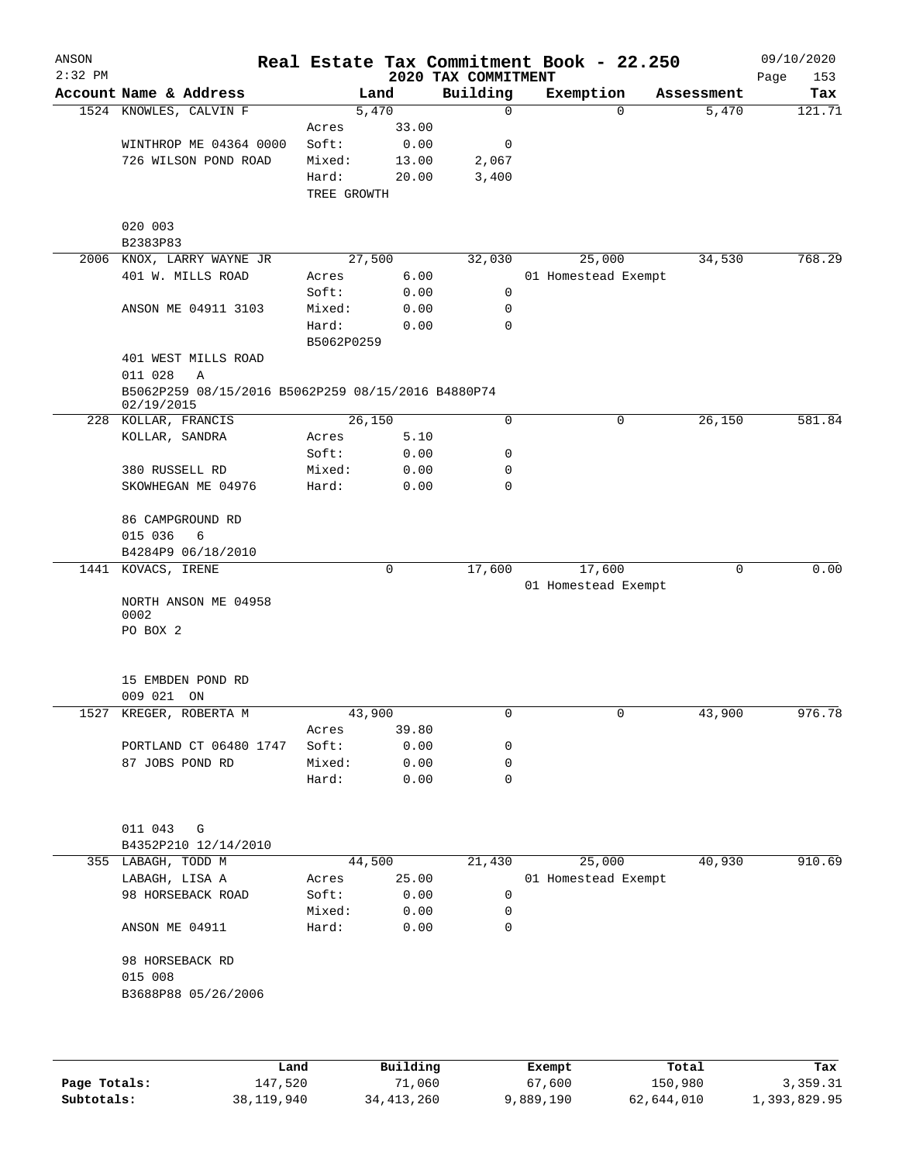| ANSON<br>$2:32$ PM |                                                                  |                     |          |                                 | Real Estate Tax Commitment Book - 22.250 |            | 09/10/2020         |
|--------------------|------------------------------------------------------------------|---------------------|----------|---------------------------------|------------------------------------------|------------|--------------------|
|                    | Account Name & Address                                           |                     | Land     | 2020 TAX COMMITMENT<br>Building | Exemption                                | Assessment | Page<br>153<br>Tax |
|                    | 1524 KNOWLES, CALVIN F                                           |                     | 5,470    | $\mathbf 0$                     | 0                                        | 5,470      | 121.71             |
|                    |                                                                  | Acres               | 33.00    |                                 |                                          |            |                    |
|                    | WINTHROP ME 04364 0000                                           | Soft:               | 0.00     | 0                               |                                          |            |                    |
|                    | 726 WILSON POND ROAD                                             | Mixed:              | 13.00    | 2,067                           |                                          |            |                    |
|                    |                                                                  | Hard:               | 20.00    | 3,400                           |                                          |            |                    |
|                    |                                                                  | TREE GROWTH         |          |                                 |                                          |            |                    |
|                    | 020 003                                                          |                     |          |                                 |                                          |            |                    |
|                    | B2383P83                                                         |                     |          |                                 |                                          |            |                    |
| 2006               | KNOX, LARRY WAYNE JR                                             |                     | 27,500   | 32,030                          | 25,000                                   | 34,530     | 768.29             |
|                    | 401 W. MILLS ROAD                                                | Acres               | 6.00     |                                 | 01 Homestead Exempt                      |            |                    |
|                    |                                                                  | Soft:               | 0.00     | 0                               |                                          |            |                    |
|                    | ANSON ME 04911 3103                                              | Mixed:              | 0.00     | 0                               |                                          |            |                    |
|                    |                                                                  | Hard:<br>B5062P0259 | 0.00     | 0                               |                                          |            |                    |
|                    | 401 WEST MILLS ROAD<br>011 028<br>A                              |                     |          |                                 |                                          |            |                    |
|                    | B5062P259 08/15/2016 B5062P259 08/15/2016 B4880P74<br>02/19/2015 |                     |          |                                 |                                          |            |                    |
| 228                | KOLLAR, FRANCIS                                                  |                     | 26,150   | $\mathbf 0$                     | 0                                        | 26,150     | 581.84             |
|                    | KOLLAR, SANDRA                                                   | Acres               | 5.10     |                                 |                                          |            |                    |
|                    |                                                                  | Soft:               | 0.00     | 0                               |                                          |            |                    |
|                    | 380 RUSSELL RD                                                   | Mixed:              | 0.00     | 0                               |                                          |            |                    |
|                    | SKOWHEGAN ME 04976                                               | Hard:               | 0.00     | 0                               |                                          |            |                    |
|                    | 86 CAMPGROUND RD                                                 |                     |          |                                 |                                          |            |                    |
|                    | 015 036<br>6                                                     |                     |          |                                 |                                          |            |                    |
|                    | B4284P9 06/18/2010                                               |                     |          |                                 |                                          |            |                    |
| 1441               | KOVACS, IRENE                                                    |                     | 0        | 17,600                          | 17,600                                   | 0          | 0.00               |
|                    |                                                                  |                     |          |                                 | 01 Homestead Exempt                      |            |                    |
|                    | NORTH ANSON ME 04958                                             |                     |          |                                 |                                          |            |                    |
|                    | 0002                                                             |                     |          |                                 |                                          |            |                    |
|                    | PO BOX 2                                                         |                     |          |                                 |                                          |            |                    |
|                    | 15 EMBDEN POND RD                                                |                     |          |                                 |                                          |            |                    |
|                    | 009 021 ON                                                       |                     |          |                                 |                                          |            |                    |
|                    | 1527 KREGER, ROBERTA M                                           |                     | 43,900   | 0                               | 0                                        | 43,900     | 976.78             |
|                    |                                                                  | Acres               | 39.80    |                                 |                                          |            |                    |
|                    | PORTLAND CT 06480 1747                                           | Soft:               | 0.00     | 0                               |                                          |            |                    |
|                    | 87 JOBS POND RD                                                  | Mixed:              | 0.00     | 0                               |                                          |            |                    |
|                    |                                                                  | Hard:               | 0.00     | 0                               |                                          |            |                    |
|                    |                                                                  |                     |          |                                 |                                          |            |                    |
|                    | 011 043 G                                                        |                     |          |                                 |                                          |            |                    |
|                    | B4352P210 12/14/2010                                             |                     |          |                                 |                                          |            |                    |
|                    | 355 LABAGH, TODD M                                               |                     | 44,500   | 21,430                          | 25,000                                   | 40,930     | 910.69             |
|                    | LABAGH, LISA A                                                   | Acres               | 25.00    |                                 | 01 Homestead Exempt                      |            |                    |
|                    | 98 HORSEBACK ROAD                                                | Soft:               | 0.00     | 0                               |                                          |            |                    |
|                    |                                                                  | Mixed:              | 0.00     | 0                               |                                          |            |                    |
|                    | ANSON ME 04911                                                   | Hard:               | 0.00     | 0                               |                                          |            |                    |
|                    | 98 HORSEBACK RD                                                  |                     |          |                                 |                                          |            |                    |
|                    | 015 008                                                          |                     |          |                                 |                                          |            |                    |
|                    | B3688P88 05/26/2006                                              |                     |          |                                 |                                          |            |                    |
|                    |                                                                  |                     |          |                                 |                                          |            |                    |
|                    |                                                                  |                     |          |                                 |                                          |            |                    |
|                    |                                                                  | Land                | Building |                                 | Exempt                                   | Total      | Tax                |

|              | Land       | Building   | Exempt    | Total      | Tax          |
|--------------|------------|------------|-----------|------------|--------------|
| Page Totals: | 147,520    | 71,060     | 67,600    | 150,980    | 3,359.31     |
| Subtotals:   | 38,119,940 | 34,413,260 | 9,889,190 | 62,644,010 | 1,393,829.95 |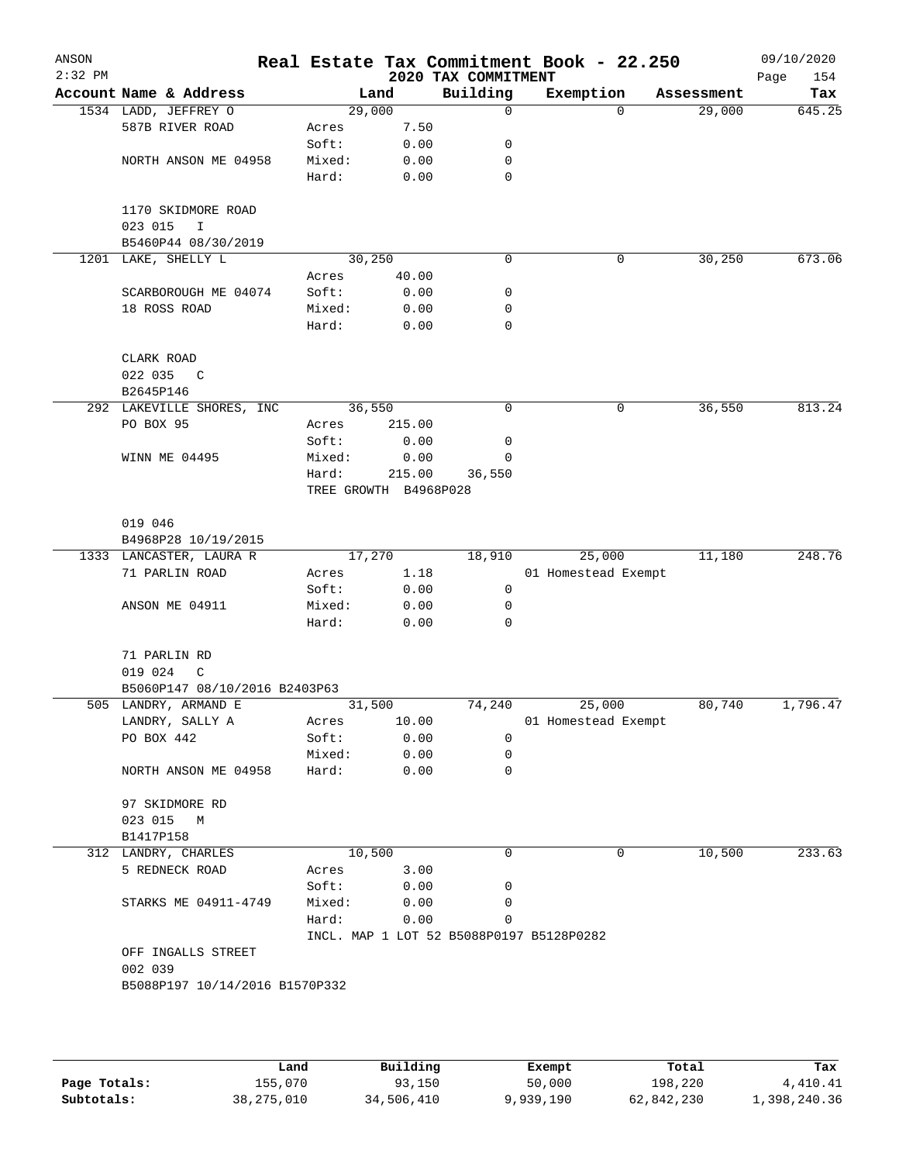| ANSON<br>$2:32$ PM |                                     |                       |        | 2020 TAX COMMITMENT                      | Real Estate Tax Commitment Book - 22.250 |            | 09/10/2020<br>154<br>Page |
|--------------------|-------------------------------------|-----------------------|--------|------------------------------------------|------------------------------------------|------------|---------------------------|
|                    | Account Name & Address              |                       | Land   | Building                                 | Exemption                                | Assessment | Tax                       |
|                    | 1534 LADD, JEFFREY O                | 29,000                |        | 0                                        | 0                                        | 29,000     | 645.25                    |
|                    | 587B RIVER ROAD                     | Acres                 | 7.50   |                                          |                                          |            |                           |
|                    |                                     | Soft:                 | 0.00   | 0                                        |                                          |            |                           |
|                    | NORTH ANSON ME 04958                | Mixed:                | 0.00   | 0                                        |                                          |            |                           |
|                    |                                     | Hard:                 | 0.00   | 0                                        |                                          |            |                           |
|                    | 1170 SKIDMORE ROAD                  |                       |        |                                          |                                          |            |                           |
|                    | 023 015<br>I<br>B5460P44 08/30/2019 |                       |        |                                          |                                          |            |                           |
|                    | 1201 LAKE, SHELLY L                 | 30, 250               |        | $\Omega$                                 | 0                                        | 30,250     | 673.06                    |
|                    |                                     | Acres                 | 40.00  |                                          |                                          |            |                           |
|                    | SCARBOROUGH ME 04074                | Soft:                 | 0.00   | 0                                        |                                          |            |                           |
|                    | 18 ROSS ROAD                        | Mixed:                | 0.00   | 0                                        |                                          |            |                           |
|                    |                                     | Hard:                 | 0.00   | 0                                        |                                          |            |                           |
|                    | CLARK ROAD                          |                       |        |                                          |                                          |            |                           |
|                    | 022 035<br>C                        |                       |        |                                          |                                          |            |                           |
|                    | B2645P146                           |                       |        |                                          |                                          |            |                           |
|                    | 292 LAKEVILLE SHORES, INC           | 36,550                |        | 0                                        | 0                                        | 36,550     | 813.24                    |
|                    | PO BOX 95                           | Acres                 | 215.00 |                                          |                                          |            |                           |
|                    |                                     | Soft:                 | 0.00   | 0                                        |                                          |            |                           |
|                    | WINN ME 04495                       | Mixed:                | 0.00   | 0                                        |                                          |            |                           |
|                    |                                     | Hard:                 | 215.00 | 36,550                                   |                                          |            |                           |
|                    |                                     | TREE GROWTH B4968P028 |        |                                          |                                          |            |                           |
|                    | 019 046                             |                       |        |                                          |                                          |            |                           |
|                    | B4968P28 10/19/2015                 |                       |        |                                          |                                          |            |                           |
|                    | 1333 LANCASTER, LAURA R             | 17,270                |        | 18,910                                   | 25,000                                   | 11,180     | 248.76                    |
|                    | 71 PARLIN ROAD                      | Acres                 | 1.18   |                                          | 01 Homestead Exempt                      |            |                           |
|                    |                                     | Soft:                 | 0.00   | $\mathbf 0$                              |                                          |            |                           |
|                    | ANSON ME 04911                      | Mixed:                | 0.00   | 0                                        |                                          |            |                           |
|                    |                                     | Hard:                 | 0.00   | 0                                        |                                          |            |                           |
|                    | 71 PARLIN RD                        |                       |        |                                          |                                          |            |                           |
|                    | 019 024<br>C                        |                       |        |                                          |                                          |            |                           |
|                    | B5060P147 08/10/2016 B2403P63       |                       |        |                                          |                                          |            |                           |
|                    | 505 LANDRY, ARMAND E                | 31,500                |        | 74,240                                   | 25,000                                   | 80,740     | 1,796.47                  |
|                    | LANDRY, SALLY A                     | Acres                 | 10.00  |                                          | 01 Homestead Exempt                      |            |                           |
|                    | PO BOX 442                          | Soft:                 | 0.00   | 0                                        |                                          |            |                           |
|                    |                                     | Mixed:                | 0.00   | 0                                        |                                          |            |                           |
|                    | NORTH ANSON ME 04958                | Hard:                 | 0.00   | 0                                        |                                          |            |                           |
|                    | 97 SKIDMORE RD                      |                       |        |                                          |                                          |            |                           |
|                    | 023 015 M                           |                       |        |                                          |                                          |            |                           |
|                    | B1417P158                           |                       |        |                                          |                                          |            |                           |
|                    | 312 LANDRY, CHARLES                 | 10,500                |        | 0                                        | 0                                        | 10,500     | 233.63                    |
|                    | 5 REDNECK ROAD                      | Acres                 | 3.00   |                                          |                                          |            |                           |
|                    |                                     | Soft:                 | 0.00   | 0                                        |                                          |            |                           |
|                    | STARKS ME 04911-4749                | Mixed:                | 0.00   | 0                                        |                                          |            |                           |
|                    |                                     | Hard:                 | 0.00   | 0                                        |                                          |            |                           |
|                    |                                     |                       |        | INCL. MAP 1 LOT 52 B5088P0197 B5128P0282 |                                          |            |                           |
|                    | OFF INGALLS STREET                  |                       |        |                                          |                                          |            |                           |
|                    | 002 039                             |                       |        |                                          |                                          |            |                           |
|                    |                                     |                       |        |                                          |                                          |            |                           |
|                    | B5088P197 10/14/2016 B1570P332      |                       |        |                                          |                                          |            |                           |
|                    |                                     |                       |        |                                          |                                          |            |                           |
|                    |                                     |                       |        |                                          |                                          |            |                           |
|                    |                                     |                       |        |                                          |                                          |            |                           |

|              | Land         | Building   | Exempt    | Total      | Tax          |
|--------------|--------------|------------|-----------|------------|--------------|
| Page Totals: | 155,070      | 93,150     | 50,000    | 198,220    | 4,410.41     |
| Subtotals:   | 38, 275, 010 | 34,506,410 | 9,939,190 | 62,842,230 | 1,398,240.36 |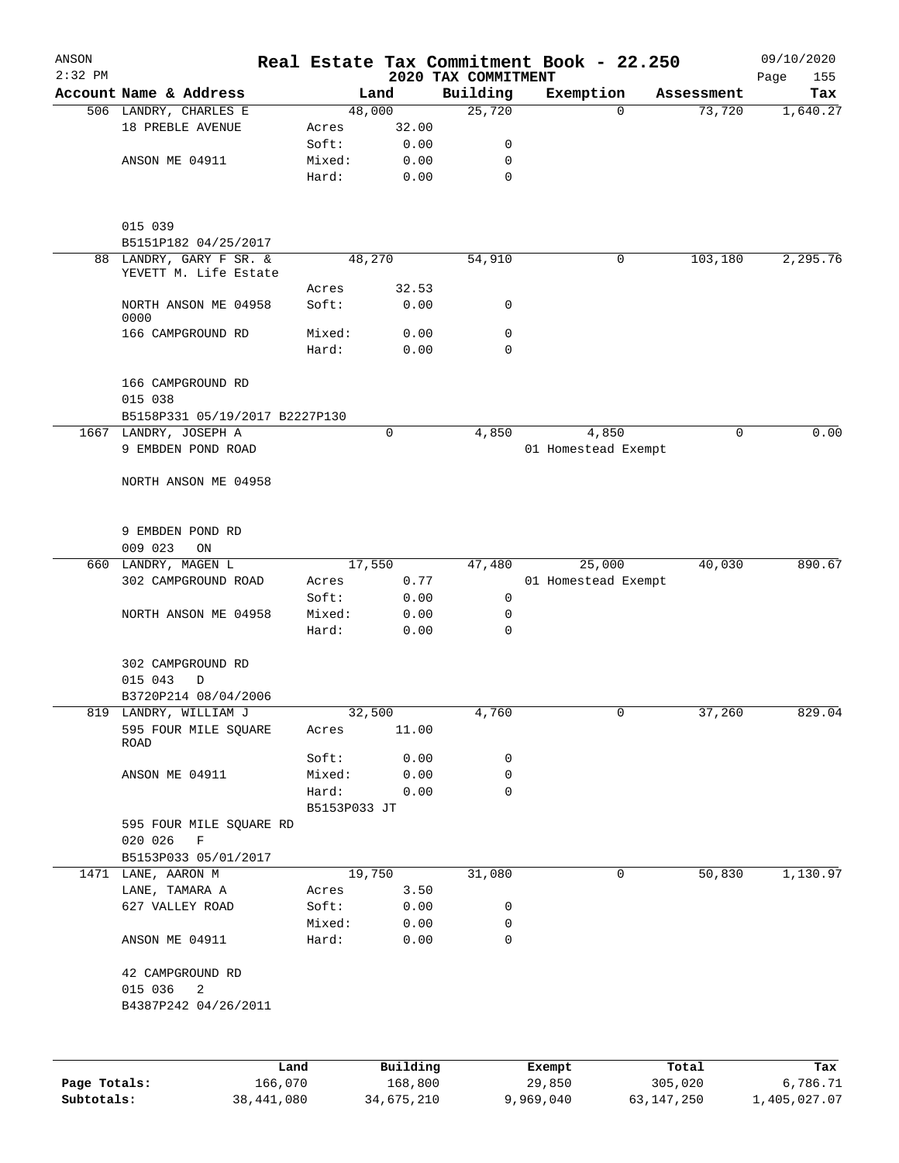| ANSON<br>$2:32$ PM |                                                   |              |                     | 2020 TAX COMMITMENT | Real Estate Tax Commitment Book - 22.250 |                  | 09/10/2020<br>155<br>Page |
|--------------------|---------------------------------------------------|--------------|---------------------|---------------------|------------------------------------------|------------------|---------------------------|
|                    | Account Name & Address                            |              | Land                | Building            | Exemption                                | Assessment       | Tax                       |
|                    | 506 LANDRY, CHARLES E                             |              | 48,000              | 25,720              | $\Omega$                                 | 73,720           | 1,640.27                  |
|                    | 18 PREBLE AVENUE                                  | Acres        | 32.00               |                     |                                          |                  |                           |
|                    |                                                   | Soft:        | 0.00                | 0                   |                                          |                  |                           |
|                    | ANSON ME 04911                                    | Mixed:       | 0.00                | 0                   |                                          |                  |                           |
|                    |                                                   | Hard:        | 0.00                | $\mathbf 0$         |                                          |                  |                           |
|                    | 015 039                                           |              |                     |                     |                                          |                  |                           |
|                    | B5151P182 04/25/2017                              |              |                     |                     |                                          |                  |                           |
|                    | 88 LANDRY, GARY F SR. &                           |              | 48,270              | 54,910              | 0                                        | 103,180          | 2,295.76                  |
|                    | YEVETT M. Life Estate                             |              |                     |                     |                                          |                  |                           |
|                    |                                                   | Acres        | 32.53               |                     |                                          |                  |                           |
|                    | NORTH ANSON ME 04958<br>0000                      | Soft:        | 0.00                | 0                   |                                          |                  |                           |
|                    | 166 CAMPGROUND RD                                 | Mixed:       | 0.00                | 0                   |                                          |                  |                           |
|                    |                                                   | Hard:        | 0.00                | $\Omega$            |                                          |                  |                           |
|                    | 166 CAMPGROUND RD<br>015 038                      |              |                     |                     |                                          |                  |                           |
|                    | B5158P331 05/19/2017 B2227P130                    |              |                     |                     |                                          | $\mathbf 0$      | 0.00                      |
|                    | 1667 LANDRY, JOSEPH A                             |              | 0                   | 4,850               | 4,850                                    |                  |                           |
|                    | 9 EMBDEN POND ROAD                                |              |                     |                     | 01 Homestead Exempt                      |                  |                           |
|                    | NORTH ANSON ME 04958                              |              |                     |                     |                                          |                  |                           |
|                    | 9 EMBDEN POND RD                                  |              |                     |                     |                                          |                  |                           |
|                    | 009 023<br>ON                                     |              |                     |                     |                                          |                  |                           |
|                    | 660 LANDRY, MAGEN L                               |              | 17,550              | 47,480              | 25,000                                   | 40,030           | 890.67                    |
|                    | 302 CAMPGROUND ROAD                               | Acres        | 0.77                |                     | 01 Homestead Exempt                      |                  |                           |
|                    |                                                   | Soft:        |                     | 0                   |                                          |                  |                           |
|                    | NORTH ANSON ME 04958                              | Mixed:       | 0.00<br>0.00        | $\mathbf 0$         |                                          |                  |                           |
|                    |                                                   | Hard:        | 0.00                | $\mathbf 0$         |                                          |                  |                           |
|                    | 302 CAMPGROUND RD                                 |              |                     |                     |                                          |                  |                           |
|                    | 015 043<br>D                                      |              |                     |                     |                                          |                  |                           |
|                    | B3720P214 08/04/2006                              |              |                     |                     |                                          |                  |                           |
|                    | 819 LANDRY, WILLIAM J                             |              | 32,500              | 4,760               |                                          | 37,260           | 829.04                    |
|                    | 595 FOUR MILE SQUARE<br>ROAD                      | Acres        | 11.00               |                     |                                          |                  |                           |
|                    |                                                   | Soft:        | 0.00                | 0                   |                                          |                  |                           |
|                    | ANSON ME 04911                                    | Mixed:       | 0.00                | 0                   |                                          |                  |                           |
|                    |                                                   | Hard:        | 0.00                | 0                   |                                          |                  |                           |
|                    |                                                   | B5153P033 JT |                     |                     |                                          |                  |                           |
|                    | 595 FOUR MILE SQUARE RD<br>020 026<br>$\mathbf F$ |              |                     |                     |                                          |                  |                           |
|                    | B5153P033 05/01/2017                              |              |                     |                     |                                          |                  |                           |
|                    | 1471 LANE, AARON M                                |              | 19,750              | 31,080              | 0                                        | 50,830           | 1,130.97                  |
|                    | LANE, TAMARA A                                    | Acres        | 3.50                |                     |                                          |                  |                           |
|                    | 627 VALLEY ROAD                                   | Soft:        | 0.00                | 0                   |                                          |                  |                           |
|                    |                                                   | Mixed:       | 0.00                | 0                   |                                          |                  |                           |
|                    | ANSON ME 04911                                    | Hard:        | 0.00                | $\mathbf 0$         |                                          |                  |                           |
|                    | 42 CAMPGROUND RD                                  |              |                     |                     |                                          |                  |                           |
|                    | 015 036<br>2                                      |              |                     |                     |                                          |                  |                           |
|                    | B4387P242 04/26/2011                              |              |                     |                     |                                          |                  |                           |
|                    |                                                   |              |                     |                     |                                          |                  |                           |
| Page Totals:       | Land<br>166,070                                   |              | Building<br>168,800 |                     | Exempt<br>29,850                         | Total<br>305,020 | Tax<br>6,786.71           |
|                    |                                                   |              |                     |                     |                                          |                  |                           |

**Subtotals:** 38,441,080 34,675,210 9,969,040 63,147,250 1,405,027.07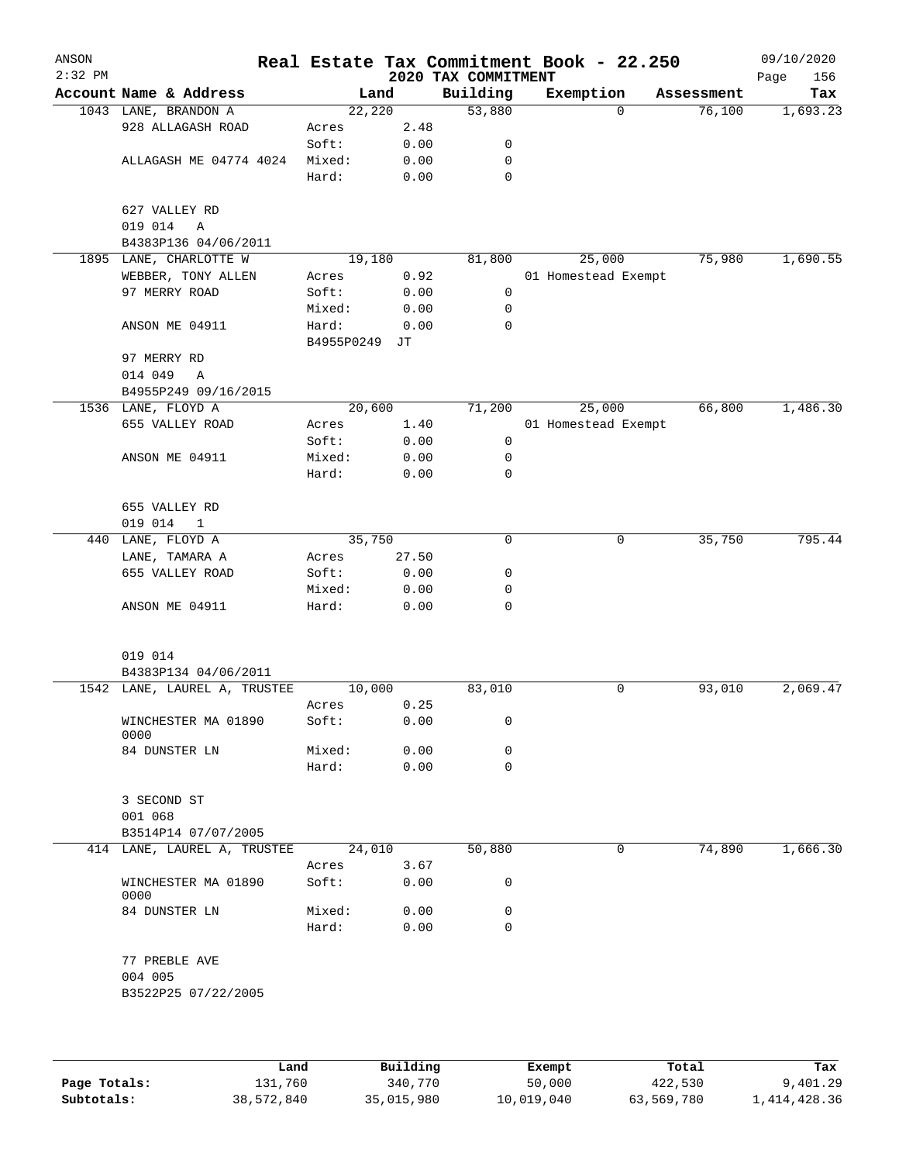| ANSON<br>$2:32$ PM |                                              |                 |               | 2020 TAX COMMITMENT | Real Estate Tax Commitment Book - 22.250 |            | 09/10/2020<br>Page<br>156 |
|--------------------|----------------------------------------------|-----------------|---------------|---------------------|------------------------------------------|------------|---------------------------|
|                    | Account Name & Address                       |                 | Land          | Building            | Exemption                                | Assessment | Tax                       |
|                    | 1043 LANE, BRANDON A                         | 22,220          |               | 53,880              | $\Omega$                                 | 76,100     | 1,693.23                  |
|                    | 928 ALLAGASH ROAD                            | Acres           | 2.48          |                     |                                          |            |                           |
|                    |                                              | Soft:           | 0.00          | 0                   |                                          |            |                           |
|                    | ALLAGASH ME 04774 4024                       | Mixed:          | 0.00          | $\mathbf 0$         |                                          |            |                           |
|                    |                                              | Hard:           | 0.00          | $\mathbf 0$         |                                          |            |                           |
|                    | 627 VALLEY RD                                |                 |               |                     |                                          |            |                           |
|                    | 019 014<br>A                                 |                 |               |                     |                                          |            |                           |
|                    | B4383P136 04/06/2011                         |                 |               |                     |                                          |            |                           |
|                    | 1895 LANE, CHARLOTTE W<br>WEBBER, TONY ALLEN | 19,180          | 0.92          | 81,800              | 25,000<br>01 Homestead Exempt            | 75,980     | 1,690.55                  |
|                    | 97 MERRY ROAD                                | Acres<br>Soft:  | 0.00          | $\mathbf 0$         |                                          |            |                           |
|                    |                                              | Mixed:          | 0.00          | 0                   |                                          |            |                           |
|                    | ANSON ME 04911                               | Hard:           | 0.00          | $\mathbf 0$         |                                          |            |                           |
|                    |                                              | B4955P0249 JT   |               |                     |                                          |            |                           |
|                    | 97 MERRY RD                                  |                 |               |                     |                                          |            |                           |
|                    | 014 049<br>$\mathbb{A}$                      |                 |               |                     |                                          |            |                           |
|                    | B4955P249 09/16/2015                         |                 |               |                     |                                          |            |                           |
|                    | 1536 LANE, FLOYD A                           | 20,600          |               | 71,200              | 25,000                                   | 66,800     | 1,486.30                  |
|                    | 655 VALLEY ROAD                              | Acres           | 1.40          |                     | 01 Homestead Exempt                      |            |                           |
|                    |                                              | Soft:           | 0.00          | 0                   |                                          |            |                           |
|                    | ANSON ME 04911                               | Mixed:          | 0.00          | 0                   |                                          |            |                           |
|                    |                                              | Hard:           | 0.00          | 0                   |                                          |            |                           |
|                    |                                              |                 |               |                     |                                          |            |                           |
|                    | 655 VALLEY RD                                |                 |               |                     |                                          |            |                           |
|                    | 019 014<br>$\overline{1}$                    |                 |               | 0                   |                                          |            | 795.44                    |
|                    | 440 LANE, FLOYD A                            | 35,750          |               |                     | 0                                        | 35,750     |                           |
|                    | LANE, TAMARA A<br>655 VALLEY ROAD            | Acres<br>Soft:  | 27.50<br>0.00 | 0                   |                                          |            |                           |
|                    |                                              | Mixed:          | 0.00          | 0                   |                                          |            |                           |
|                    | ANSON ME 04911                               | Hard:           | 0.00          | $\mathbf 0$         |                                          |            |                           |
|                    |                                              |                 |               |                     |                                          |            |                           |
|                    |                                              |                 |               |                     |                                          |            |                           |
|                    | 019 014                                      |                 |               |                     |                                          |            |                           |
|                    | B4383P134 04/06/2011                         |                 |               |                     | $\mathbf 0$                              |            | 2,069.47                  |
|                    | 1542 LANE, LAUREL A, TRUSTEE                 | 10,000<br>Acres | 0.25          | 83,010              |                                          | 93,010     |                           |
|                    | WINCHESTER MA 01890                          | Soft:           | 0.00          | 0                   |                                          |            |                           |
|                    | 0000                                         |                 |               |                     |                                          |            |                           |
|                    | 84 DUNSTER LN                                | Mixed:          | 0.00          | 0                   |                                          |            |                           |
|                    |                                              | Hard:           | 0.00          | 0                   |                                          |            |                           |
|                    |                                              |                 |               |                     |                                          |            |                           |
|                    | 3 SECOND ST                                  |                 |               |                     |                                          |            |                           |
|                    | 001 068                                      |                 |               |                     |                                          |            |                           |
|                    | B3514P14 07/07/2005                          |                 |               |                     |                                          |            |                           |
|                    | 414 LANE, LAUREL A, TRUSTEE                  | 24,010          |               | 50,880              | 0                                        | 74,890     | 1,666.30                  |
|                    |                                              | Acres           | 3.67          |                     |                                          |            |                           |
|                    | WINCHESTER MA 01890<br>0000                  | Soft:           | 0.00          | 0                   |                                          |            |                           |
|                    | 84 DUNSTER LN                                | Mixed:          | 0.00          | 0                   |                                          |            |                           |
|                    |                                              | Hard:           | 0.00          | 0                   |                                          |            |                           |
|                    |                                              |                 |               |                     |                                          |            |                           |
|                    | 77 PREBLE AVE                                |                 |               |                     |                                          |            |                           |
|                    | 004 005                                      |                 |               |                     |                                          |            |                           |
|                    | B3522P25 07/22/2005                          |                 |               |                     |                                          |            |                           |
|                    |                                              |                 |               |                     |                                          |            |                           |
|                    |                                              |                 |               |                     |                                          |            |                           |
|                    |                                              |                 |               |                     |                                          |            |                           |

|              | Land       | Building   | Exempt     | Total      | Tax          |
|--------------|------------|------------|------------|------------|--------------|
| Page Totals: | 131,760    | 340,770    | 50,000     | 422,530    | 9,401.29     |
| Subtotals:   | 38,572,840 | 35,015,980 | 10,019,040 | 63,569,780 | 1,414,428.36 |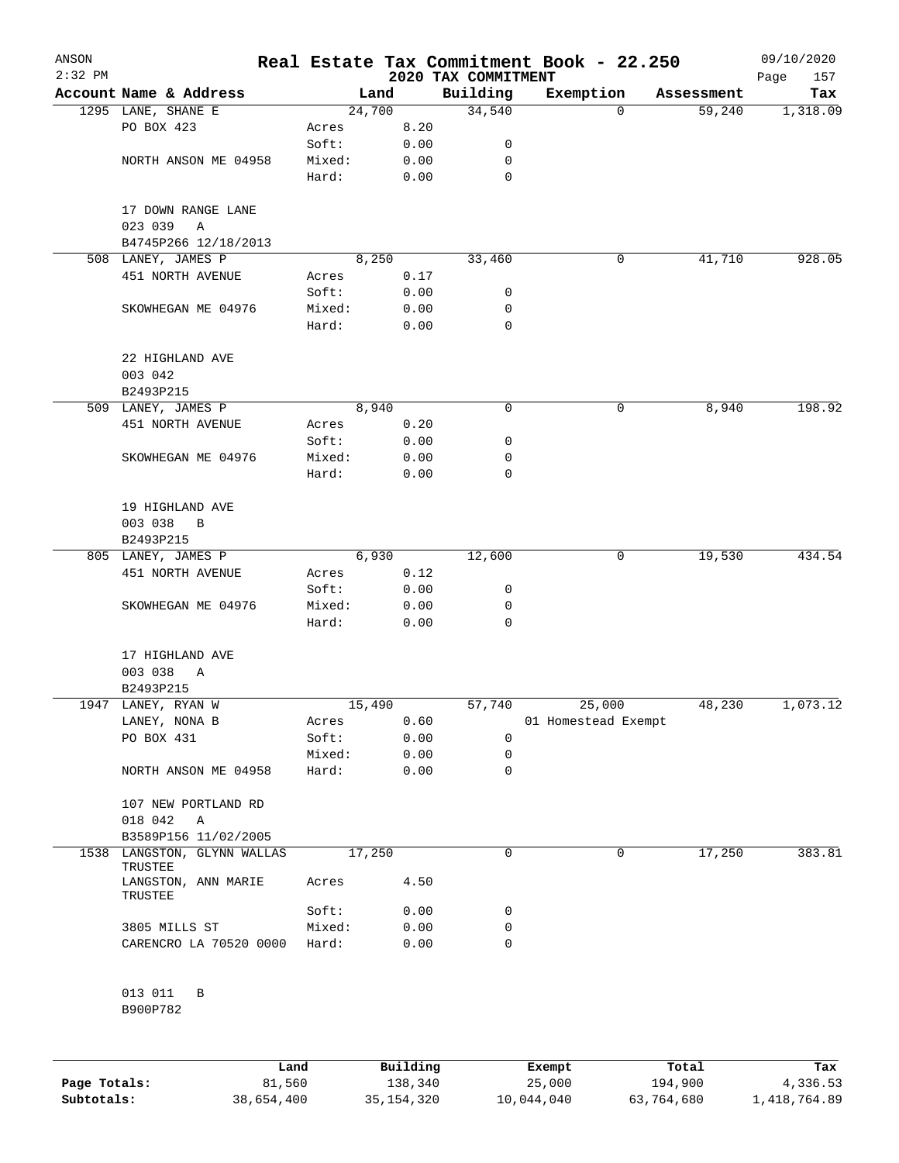| ANSON<br>$2:32$ PM |                                        |        |        | 2020 TAX COMMITMENT | Real Estate Tax Commitment Book - 22.250 |            | 09/10/2020<br>157<br>Page |
|--------------------|----------------------------------------|--------|--------|---------------------|------------------------------------------|------------|---------------------------|
|                    | Account Name & Address                 |        | Land   | Building            | Exemption                                | Assessment | Tax                       |
|                    | 1295 LANE, SHANE E                     |        | 24,700 | 34,540              | 0                                        | 59,240     | 1,318.09                  |
|                    | PO BOX 423                             | Acres  | 8.20   |                     |                                          |            |                           |
|                    |                                        | Soft:  | 0.00   | 0                   |                                          |            |                           |
|                    | NORTH ANSON ME 04958                   | Mixed: | 0.00   | 0                   |                                          |            |                           |
|                    |                                        | Hard:  | 0.00   | 0                   |                                          |            |                           |
|                    | 17 DOWN RANGE LANE<br>023 039<br>Α     |        |        |                     |                                          |            |                           |
|                    | B4745P266 12/18/2013                   |        |        |                     |                                          |            |                           |
|                    | 508 LANEY, JAMES P                     |        | 8,250  | 33,460              | 0                                        | 41,710     | 928.05                    |
|                    | 451 NORTH AVENUE                       | Acres  | 0.17   |                     |                                          |            |                           |
|                    |                                        | Soft:  | 0.00   | 0                   |                                          |            |                           |
|                    | SKOWHEGAN ME 04976                     | Mixed: | 0.00   | 0                   |                                          |            |                           |
|                    |                                        | Hard:  | 0.00   | 0                   |                                          |            |                           |
|                    | 22 HIGHLAND AVE<br>003 042             |        |        |                     |                                          |            |                           |
|                    | B2493P215                              |        |        |                     |                                          |            |                           |
|                    | 509 LANEY, JAMES P                     |        | 8,940  | 0                   | 0                                        | 8,940      | 198.92                    |
|                    | 451 NORTH AVENUE                       | Acres  | 0.20   |                     |                                          |            |                           |
|                    |                                        | Soft:  | 0.00   | 0                   |                                          |            |                           |
|                    | SKOWHEGAN ME 04976                     | Mixed: | 0.00   | 0                   |                                          |            |                           |
|                    |                                        | Hard:  | 0.00   | 0                   |                                          |            |                           |
|                    | 19 HIGHLAND AVE<br>003 038<br>B        |        |        |                     |                                          |            |                           |
|                    | B2493P215                              |        |        |                     |                                          |            |                           |
|                    | 805 LANEY, JAMES P                     |        | 6,930  | 12,600              | 0                                        | 19,530     | 434.54                    |
|                    | 451 NORTH AVENUE                       | Acres  | 0.12   |                     |                                          |            |                           |
|                    |                                        | Soft:  | 0.00   | 0                   |                                          |            |                           |
|                    | SKOWHEGAN ME 04976                     | Mixed: | 0.00   | 0                   |                                          |            |                           |
|                    |                                        | Hard:  | 0.00   | 0                   |                                          |            |                           |
|                    | 17 HIGHLAND AVE                        |        |        |                     |                                          |            |                           |
|                    | 003 038<br>Α                           |        |        |                     |                                          |            |                           |
|                    | B2493P215                              |        |        |                     |                                          |            |                           |
|                    | 1947 LANEY, RYAN W                     |        | 15,490 | 57,740              | 25,000                                   | 48,230     | 1,073.12                  |
|                    | LANEY, NONA B                          | Acres  | 0.60   |                     | 01 Homestead Exempt                      |            |                           |
|                    | PO BOX 431                             | Soft:  | 0.00   | 0                   |                                          |            |                           |
|                    |                                        | Mixed: | 0.00   | 0                   |                                          |            |                           |
|                    | NORTH ANSON ME 04958                   | Hard:  | 0.00   | 0                   |                                          |            |                           |
|                    | 107 NEW PORTLAND RD<br>018 042<br>A    |        |        |                     |                                          |            |                           |
|                    | B3589P156 11/02/2005                   |        |        |                     |                                          |            |                           |
|                    | 1538 LANGSTON, GLYNN WALLAS<br>TRUSTEE |        | 17,250 | 0                   | 0                                        | 17,250     | 383.81                    |
|                    | LANGSTON, ANN MARIE<br>TRUSTEE         | Acres  | 4.50   |                     |                                          |            |                           |
|                    |                                        | Soft:  | 0.00   | 0                   |                                          |            |                           |
|                    | 3805 MILLS ST                          | Mixed: | 0.00   | 0                   |                                          |            |                           |
|                    | CARENCRO LA 70520 0000                 | Hard:  | 0.00   | 0                   |                                          |            |                           |
|                    | 013 011<br>В                           |        |        |                     |                                          |            |                           |
|                    | B900P782                               |        |        |                     |                                          |            |                           |
|                    |                                        |        |        |                     |                                          |            |                           |

|              | Land       | Building     | Exempt     | Total      | Tax          |
|--------------|------------|--------------|------------|------------|--------------|
| Page Totals: | 81,560     | 138,340      | 25,000     | 194,900    | 4,336.53     |
| Subtotals:   | 38,654,400 | 35, 154, 320 | 10,044,040 | 63,764,680 | 1,418,764.89 |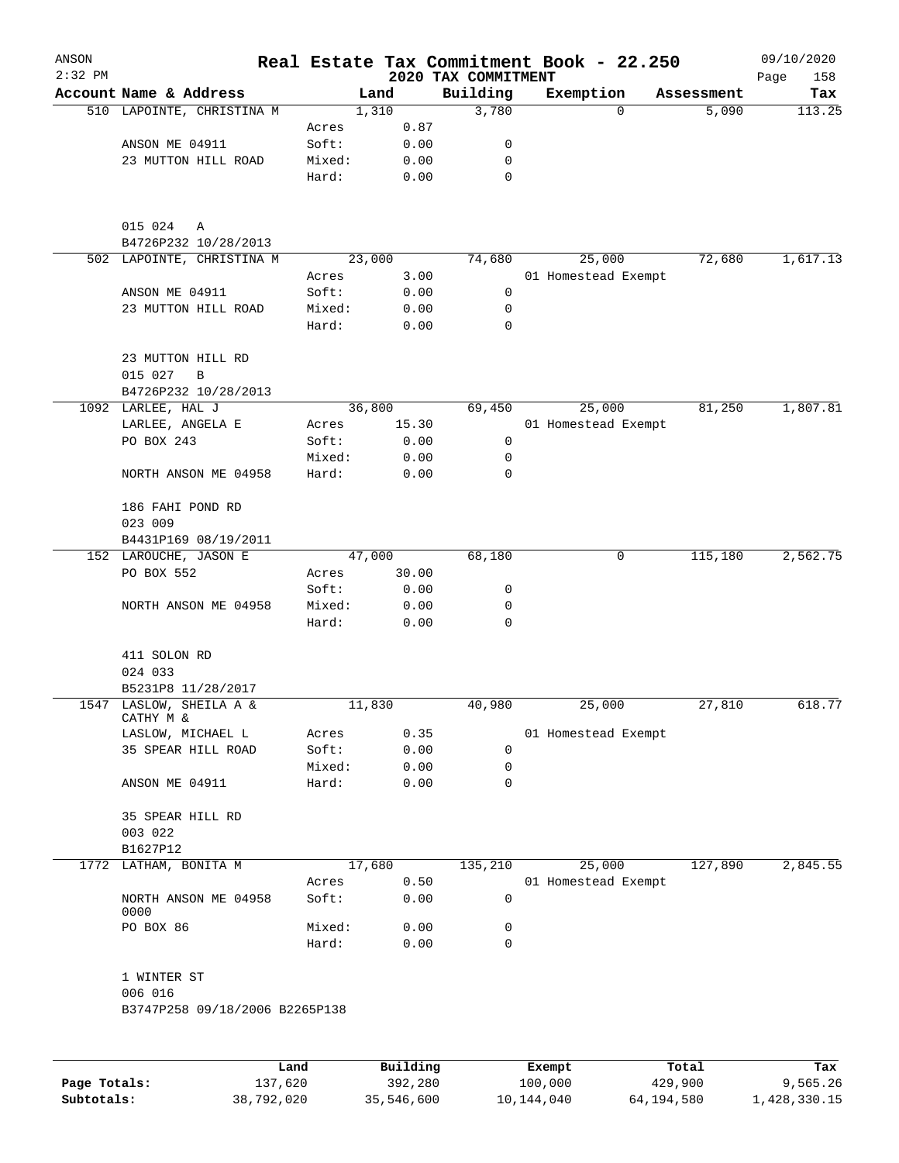| ANSON<br>$2:32$ PM |                                      |                 |              | 2020 TAX COMMITMENT | Real Estate Tax Commitment Book - 22.250 |            | 09/10/2020<br>Page<br>158 |
|--------------------|--------------------------------------|-----------------|--------------|---------------------|------------------------------------------|------------|---------------------------|
|                    | Account Name & Address               |                 | Land         | Building            | Exemption                                | Assessment | Tax                       |
|                    | 510 LAPOINTE, CHRISTINA M            |                 | 1,310        | 3,780               | 0                                        | 5,090      | 113.25                    |
|                    |                                      | Acres           | 0.87         |                     |                                          |            |                           |
|                    | ANSON ME 04911                       | Soft:           | 0.00         | 0                   |                                          |            |                           |
|                    | 23 MUTTON HILL ROAD                  | Mixed:          | 0.00         | 0                   |                                          |            |                           |
|                    |                                      | Hard:           | 0.00         | $\mathbf 0$         |                                          |            |                           |
|                    | 015 024<br>Α<br>B4726P232 10/28/2013 |                 |              |                     |                                          |            |                           |
|                    | 502 LAPOINTE, CHRISTINA M            |                 | 23,000       | 74,680              | 25,000                                   | 72,680     | 1,617.13                  |
|                    |                                      | Acres           | 3.00         |                     | 01 Homestead Exempt                      |            |                           |
|                    | ANSON ME 04911                       | Soft:           | 0.00         | 0                   |                                          |            |                           |
|                    | 23 MUTTON HILL ROAD                  | Mixed:          | 0.00         | 0                   |                                          |            |                           |
|                    |                                      | Hard:           | 0.00         | 0                   |                                          |            |                           |
|                    | 23 MUTTON HILL RD<br>015 027<br>B    |                 |              |                     |                                          |            |                           |
|                    | B4726P232 10/28/2013                 |                 |              |                     |                                          |            |                           |
|                    | 1092 LARLEE, HAL J                   |                 | 36,800       | 69,450              | 25,000                                   | 81,250     | 1,807.81                  |
|                    | LARLEE, ANGELA E                     | Acres           | 15.30        |                     | 01 Homestead Exempt                      |            |                           |
|                    | PO BOX 243                           | Soft:           | 0.00         | 0                   |                                          |            |                           |
|                    |                                      | Mixed:          | 0.00         | 0                   |                                          |            |                           |
|                    | NORTH ANSON ME 04958                 | Hard:           | 0.00         | 0                   |                                          |            |                           |
|                    | 186 FAHI POND RD                     |                 |              |                     |                                          |            |                           |
|                    | 023 009                              |                 |              |                     |                                          |            |                           |
|                    | B4431P169 08/19/2011                 |                 |              |                     |                                          |            |                           |
|                    | 152 LAROUCHE, JASON E                |                 | 47,000       | 68,180              | 0                                        | 115,180    | 2,562.75                  |
|                    | PO BOX 552                           | Acres           | 30.00        |                     |                                          |            |                           |
|                    |                                      | Soft:           | 0.00         | 0                   |                                          |            |                           |
|                    | NORTH ANSON ME 04958                 | Mixed:<br>Hard: | 0.00<br>0.00 | 0<br>0              |                                          |            |                           |
|                    | 411 SOLON RD                         |                 |              |                     |                                          |            |                           |
|                    | 024 033                              |                 |              |                     |                                          |            |                           |
|                    | B5231P8 11/28/2017                   |                 |              |                     |                                          |            |                           |
|                    | 1547 LASLOW, SHEILA A &<br>CATHY M & |                 | 11,830       | 40,980              | 25,000                                   | 27,810     | 618.77                    |
|                    | LASLOW, MICHAEL L                    | Acres           | 0.35         |                     | 01 Homestead Exempt                      |            |                           |
|                    | 35 SPEAR HILL ROAD                   | Soft:           | 0.00         | 0                   |                                          |            |                           |
|                    |                                      | Mixed:          | 0.00         | 0<br>0              |                                          |            |                           |
|                    | ANSON ME 04911                       | Hard:           | 0.00         |                     |                                          |            |                           |
|                    | 35 SPEAR HILL RD                     |                 |              |                     |                                          |            |                           |
|                    | 003 022                              |                 |              |                     |                                          |            |                           |
|                    | B1627P12                             |                 |              |                     |                                          |            |                           |
|                    | 1772 LATHAM, BONITA M                |                 | 17,680       | 135,210             | 25,000                                   | 127,890    | 2,845.55                  |
|                    |                                      | Acres           | 0.50         |                     | 01 Homestead Exempt                      |            |                           |
|                    | NORTH ANSON ME 04958<br>0000         | Soft:           | 0.00         | 0                   |                                          |            |                           |
|                    | PO BOX 86                            | Mixed:          | 0.00         | 0                   |                                          |            |                           |
|                    |                                      | Hard:           | 0.00         | $\mathbf 0$         |                                          |            |                           |
|                    | 1 WINTER ST<br>006 016               |                 |              |                     |                                          |            |                           |
|                    | B3747P258 09/18/2006 B2265P138       |                 |              |                     |                                          |            |                           |
|                    |                                      |                 |              |                     |                                          |            |                           |
|                    |                                      | Land            | Building     |                     | Exempt                                   | Total      | Tax                       |

|              | Land.      | Building   | Exempt     | тосат      | Tax.         |
|--------------|------------|------------|------------|------------|--------------|
| Page Totals: | 137,620    | 392,280    | 100,000    | 429,900    | 9,565.26     |
| Subtotals:   | 38,792,020 | 35,546,600 | 10,144,040 | 64,194,580 | 1,428,330.15 |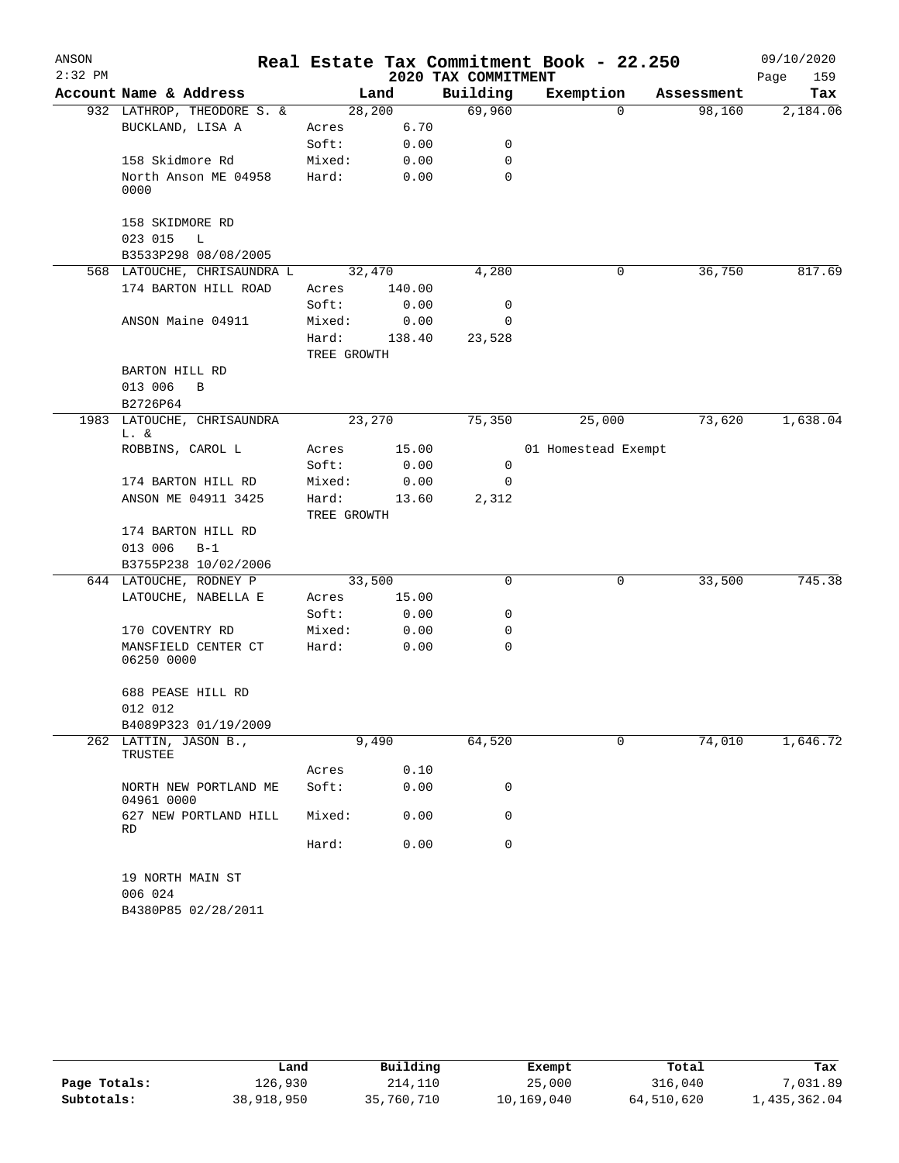| ANSON     |                                                    |             |        |                     | Real Estate Tax Commitment Book - 22.250 |            | 09/10/2020  |
|-----------|----------------------------------------------------|-------------|--------|---------------------|------------------------------------------|------------|-------------|
| $2:32$ PM |                                                    |             |        | 2020 TAX COMMITMENT |                                          |            | Page<br>159 |
|           | Account Name & Address                             |             | Land   | Building            | Exemption                                | Assessment | Tax         |
|           | 932 LATHROP, THEODORE S. &                         |             | 28,200 | 69,960              | $\Omega$                                 | 98,160     | 2,184.06    |
|           | BUCKLAND, LISA A                                   | Acres       | 6.70   |                     |                                          |            |             |
|           |                                                    | Soft:       | 0.00   | 0                   |                                          |            |             |
|           | 158 Skidmore Rd                                    | Mixed:      | 0.00   | 0                   |                                          |            |             |
|           | North Anson ME 04958<br>0000                       | Hard:       | 0.00   | 0                   |                                          |            |             |
|           | 158 SKIDMORE RD                                    |             |        |                     |                                          |            |             |
|           | 023 015<br>L                                       |             |        |                     |                                          |            |             |
|           | B3533P298 08/08/2005                               |             |        |                     |                                          |            |             |
|           | 568 LATOUCHE, CHRISAUNDRA L                        |             | 32,470 | 4,280               | 0                                        | 36,750     | 817.69      |
|           | 174 BARTON HILL ROAD                               | Acres       | 140.00 |                     |                                          |            |             |
|           |                                                    | Soft:       | 0.00   | 0                   |                                          |            |             |
|           | ANSON Maine 04911                                  | Mixed:      | 0.00   | 0                   |                                          |            |             |
|           |                                                    | Hard:       | 138.40 | 23,528              |                                          |            |             |
|           |                                                    | TREE GROWTH |        |                     |                                          |            |             |
|           | BARTON HILL RD                                     |             |        |                     |                                          |            |             |
|           | 013 006<br>B                                       |             |        |                     |                                          |            |             |
|           | B2726P64                                           |             |        |                     |                                          |            |             |
|           | 1983 LATOUCHE, CHRISAUNDRA<br>L. &                 |             | 23,270 | 75,350              | 25,000                                   | 73,620     | 1,638.04    |
|           | ROBBINS, CAROL L                                   | Acres       | 15.00  |                     | 01 Homestead Exempt                      |            |             |
|           |                                                    | Soft:       | 0.00   | 0                   |                                          |            |             |
|           | 174 BARTON HILL RD                                 | Mixed:      | 0.00   | $\mathbf 0$         |                                          |            |             |
|           | ANSON ME 04911 3425                                | Hard:       | 13.60  | 2,312               |                                          |            |             |
|           |                                                    | TREE GROWTH |        |                     |                                          |            |             |
|           | 174 BARTON HILL RD                                 |             |        |                     |                                          |            |             |
|           | 013 006<br>$B-1$                                   |             |        |                     |                                          |            |             |
|           | B3755P238 10/02/2006                               |             |        |                     |                                          |            |             |
|           | 644 LATOUCHE, RODNEY P                             |             | 33,500 | 0                   | 0                                        | 33,500     | 745.38      |
|           | LATOUCHE, NABELLA E                                | Acres       | 15.00  |                     |                                          |            |             |
|           |                                                    | Soft:       | 0.00   | 0                   |                                          |            |             |
|           | 170 COVENTRY RD                                    | Mixed:      | 0.00   | 0                   |                                          |            |             |
|           | MANSFIELD CENTER CT<br>06250 0000                  | Hard:       | 0.00   | 0                   |                                          |            |             |
|           | 688 PEASE HILL RD                                  |             |        |                     |                                          |            |             |
|           | 012 012                                            |             |        |                     |                                          |            |             |
|           | B4089P323 01/19/2009                               |             |        |                     |                                          |            |             |
|           | 262 LATTIN, JASON B.,<br>TRUSTEE                   |             | 9,490  | 64,520              | $\Omega$                                 | 74,010     | 1,646.72    |
|           |                                                    | Acres       | 0.10   |                     |                                          |            |             |
|           | NORTH NEW PORTLAND ME                              | Soft:       | 0.00   | 0                   |                                          |            |             |
|           | 04961 0000<br>627 NEW PORTLAND HILL                | Mixed:      | 0.00   | 0                   |                                          |            |             |
|           | <b>RD</b>                                          |             |        |                     |                                          |            |             |
|           |                                                    | Hard:       | 0.00   | 0                   |                                          |            |             |
|           | 19 NORTH MAIN ST<br>006 024<br>B4380P85 02/28/2011 |             |        |                     |                                          |            |             |

|              | Land       | Building   | Exempt     | Total      | Tax          |
|--------------|------------|------------|------------|------------|--------------|
| Page Totals: | 126,930    | 214,110    | 25,000     | 316,040    | ,031.89      |
| Subtotals:   | 38,918,950 | 35,760,710 | 10,169,040 | 64,510,620 | 1,435,362.04 |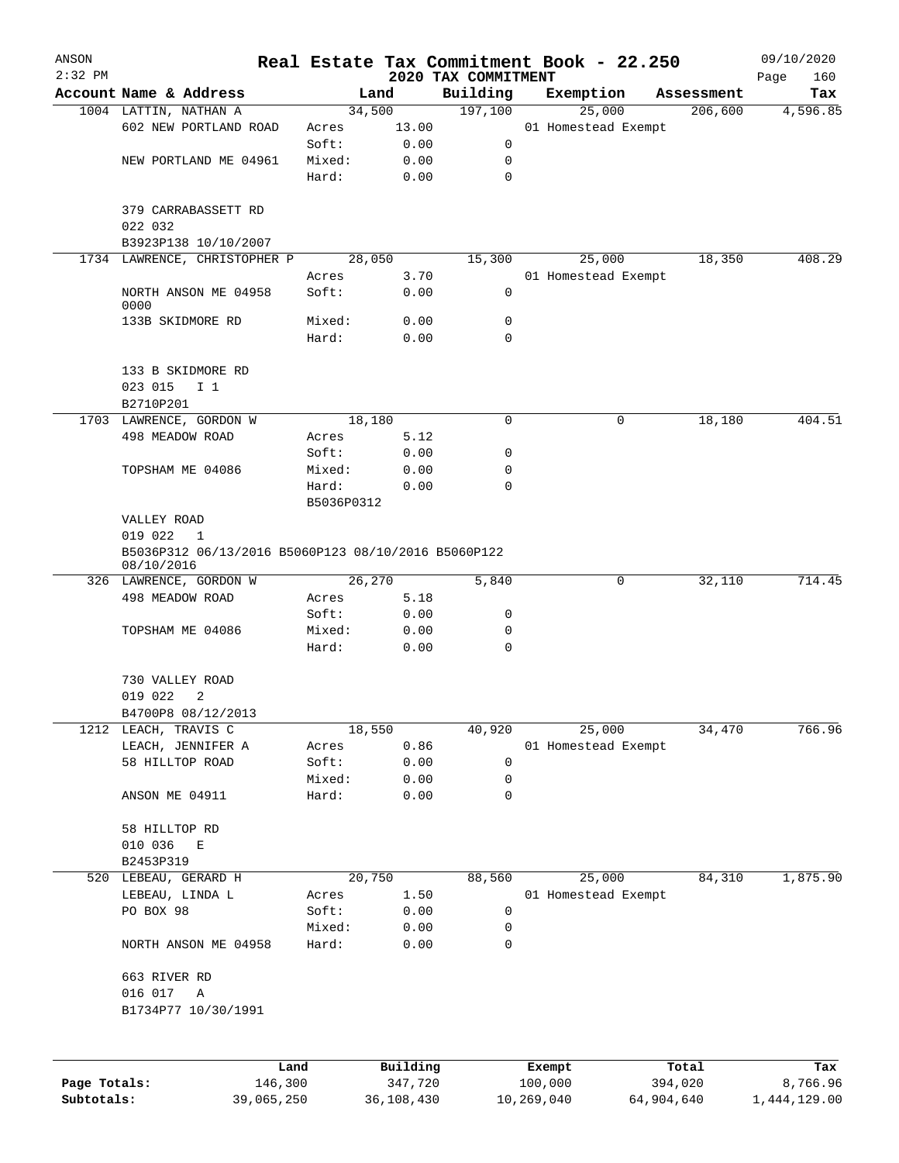| ANSON        |                                                     |                 |          |                     | Real Estate Tax Commitment Book - 22.250 |                       | 09/10/2020      |
|--------------|-----------------------------------------------------|-----------------|----------|---------------------|------------------------------------------|-----------------------|-----------------|
| $2:32$ PM    | Account Name & Address                              |                 |          | 2020 TAX COMMITMENT |                                          |                       | Page<br>160     |
|              | 1004 LATTIN, NATHAN A                               | Land<br>34,500  |          | Building<br>197,100 | Exemption<br>25,000                      | Assessment<br>206,600 | Tax<br>4,596.85 |
|              | 602 NEW PORTLAND ROAD                               | Acres           | 13.00    |                     | 01 Homestead Exempt                      |                       |                 |
|              |                                                     | Soft:           | 0.00     | 0                   |                                          |                       |                 |
|              | NEW PORTLAND ME 04961                               | Mixed:          | 0.00     | 0                   |                                          |                       |                 |
|              |                                                     | Hard:           | 0.00     | 0                   |                                          |                       |                 |
|              |                                                     |                 |          |                     |                                          |                       |                 |
|              | 379 CARRABASSETT RD                                 |                 |          |                     |                                          |                       |                 |
|              | 022 032                                             |                 |          |                     |                                          |                       |                 |
|              | B3923P138 10/10/2007                                |                 |          |                     |                                          |                       |                 |
|              | 1734 LAWRENCE, CHRISTOPHER P                        | 28,050          |          | 15,300              | 25,000                                   | 18,350                | 408.29          |
|              |                                                     | Acres           | 3.70     |                     | 01 Homestead Exempt                      |                       |                 |
|              | NORTH ANSON ME 04958                                | Soft:           | 0.00     | 0                   |                                          |                       |                 |
|              | 0000                                                |                 |          |                     |                                          |                       |                 |
|              | 133B SKIDMORE RD                                    | Mixed:          | 0.00     | 0                   |                                          |                       |                 |
|              |                                                     | Hard:           | 0.00     | $\mathbf 0$         |                                          |                       |                 |
|              | 133 B SKIDMORE RD                                   |                 |          |                     |                                          |                       |                 |
|              | 023 015<br>I <sub>1</sub>                           |                 |          |                     |                                          |                       |                 |
|              | B2710P201                                           |                 |          |                     |                                          |                       |                 |
|              | 1703 LAWRENCE, GORDON W                             | 18,180          |          | 0                   | 0                                        | 18,180                | 404.51          |
|              | 498 MEADOW ROAD                                     | Acres           | 5.12     |                     |                                          |                       |                 |
|              |                                                     | Soft:           | 0.00     | 0                   |                                          |                       |                 |
|              | TOPSHAM ME 04086                                    | Mixed:          | 0.00     | 0                   |                                          |                       |                 |
|              |                                                     | Hard:           | 0.00     | 0                   |                                          |                       |                 |
|              |                                                     | B5036P0312      |          |                     |                                          |                       |                 |
|              | VALLEY ROAD                                         |                 |          |                     |                                          |                       |                 |
|              | 019 022<br>1                                        |                 |          |                     |                                          |                       |                 |
|              | B5036P312 06/13/2016 B5060P123 08/10/2016 B5060P122 |                 |          |                     |                                          |                       |                 |
|              | 08/10/2016                                          |                 |          |                     |                                          |                       |                 |
|              | 326 LAWRENCE, GORDON W                              | 26,270          |          | 5,840               | 0                                        | 32,110                | 714.45          |
|              | 498 MEADOW ROAD                                     | Acres           | 5.18     |                     |                                          |                       |                 |
|              |                                                     | Soft:           | 0.00     | 0                   |                                          |                       |                 |
|              | TOPSHAM ME 04086                                    | Mixed:          | 0.00     | 0                   |                                          |                       |                 |
|              |                                                     | Hard:           | 0.00     | 0                   |                                          |                       |                 |
|              |                                                     |                 |          |                     |                                          |                       |                 |
|              | 730 VALLEY ROAD                                     |                 |          |                     |                                          |                       |                 |
|              | 019 022<br>2                                        |                 |          |                     |                                          |                       |                 |
|              | B4700P8 08/12/2013                                  |                 |          |                     |                                          |                       |                 |
|              | 1212 LEACH, TRAVIS C                                | 18,550          |          | 40,920              | 25,000                                   | 34,470                | 766.96          |
|              | LEACH, JENNIFER A                                   | Acres           | 0.86     |                     | 01 Homestead Exempt                      |                       |                 |
|              | 58 HILLTOP ROAD                                     | Soft:           | 0.00     | 0                   |                                          |                       |                 |
|              |                                                     | Mixed:<br>Hard: | 0.00     | 0<br>0              |                                          |                       |                 |
|              | ANSON ME 04911                                      |                 | 0.00     |                     |                                          |                       |                 |
|              | 58 HILLTOP RD                                       |                 |          |                     |                                          |                       |                 |
|              | 010 036<br>E                                        |                 |          |                     |                                          |                       |                 |
|              | B2453P319                                           |                 |          |                     |                                          |                       |                 |
|              | 520 LEBEAU, GERARD H                                | 20,750          |          | 88,560              | 25,000                                   | 84,310                | 1,875.90        |
|              | LEBEAU, LINDA L                                     | Acres           | 1.50     |                     | 01 Homestead Exempt                      |                       |                 |
|              | PO BOX 98                                           | Soft:           | 0.00     | 0                   |                                          |                       |                 |
|              |                                                     | Mixed:          | 0.00     | 0                   |                                          |                       |                 |
|              | NORTH ANSON ME 04958                                | Hard:           | 0.00     | 0                   |                                          |                       |                 |
|              |                                                     |                 |          |                     |                                          |                       |                 |
|              | 663 RIVER RD                                        |                 |          |                     |                                          |                       |                 |
|              | 016 017<br>Α                                        |                 |          |                     |                                          |                       |                 |
|              | B1734P77 10/30/1991                                 |                 |          |                     |                                          |                       |                 |
|              |                                                     |                 |          |                     |                                          |                       |                 |
|              |                                                     |                 |          |                     |                                          |                       |                 |
|              |                                                     |                 | Building |                     | Exempt                                   | Total                 |                 |
| Page Totals: | Land<br>146,300                                     |                 | 347,720  |                     | 100,000                                  | 394,020               | Tax<br>8,766.96 |
|              |                                                     |                 |          |                     |                                          |                       |                 |

**Subtotals:** 39,065,250 36,108,430 10,269,040 64,904,640 1,444,129.00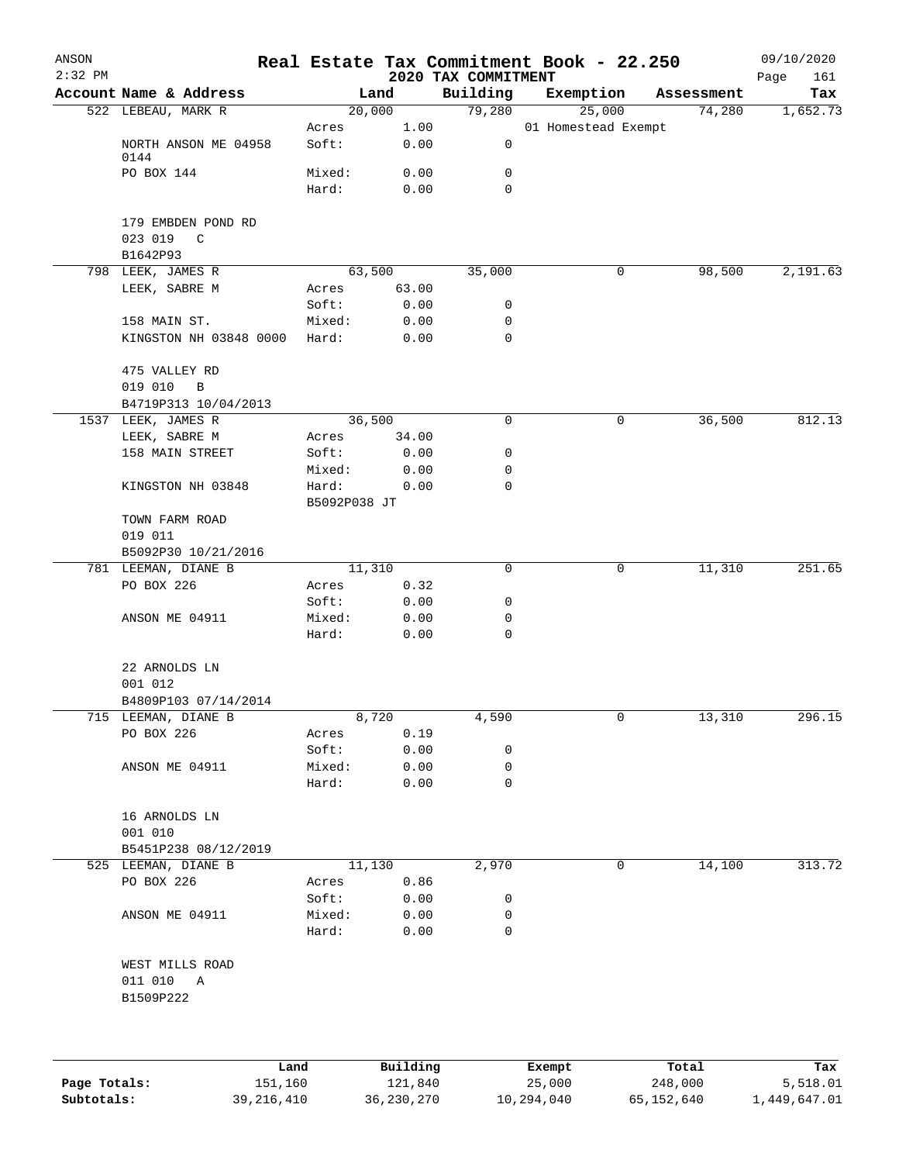| ANSON<br>$2:32$ PM |                                      |                       |               |                                 | Real Estate Tax Commitment Book - 22.250 |            | 09/10/2020         |
|--------------------|--------------------------------------|-----------------------|---------------|---------------------------------|------------------------------------------|------------|--------------------|
|                    | Account Name & Address               |                       | Land          | 2020 TAX COMMITMENT<br>Building | Exemption                                | Assessment | Page<br>161<br>Tax |
|                    | 522 LEBEAU, MARK R                   |                       | 20,000        | 79,280                          | 25,000                                   | 74,280     | 1,652.73           |
|                    |                                      | Acres                 | 1.00          |                                 | 01 Homestead Exempt                      |            |                    |
|                    | NORTH ANSON ME 04958<br>0144         | Soft:                 | 0.00          | 0                               |                                          |            |                    |
|                    | PO BOX 144                           | Mixed:                | 0.00          | 0                               |                                          |            |                    |
|                    |                                      | Hard:                 | 0.00          | $\mathbf 0$                     |                                          |            |                    |
|                    | 179 EMBDEN POND RD                   |                       |               |                                 |                                          |            |                    |
|                    | 023 019<br>$\mathbb{C}$<br>B1642P93  |                       |               |                                 |                                          |            |                    |
|                    | 798 LEEK, JAMES R                    |                       | 63,500        | 35,000                          | 0                                        | 98,500     | 2,191.63           |
|                    | LEEK, SABRE M                        | Acres                 | 63.00         |                                 |                                          |            |                    |
|                    |                                      | Soft:                 | 0.00          | 0                               |                                          |            |                    |
|                    | 158 MAIN ST.                         | Mixed:                | 0.00          | 0                               |                                          |            |                    |
|                    | KINGSTON NH 03848 0000               | Hard:                 | 0.00          | $\mathbf 0$                     |                                          |            |                    |
|                    | 475 VALLEY RD                        |                       |               |                                 |                                          |            |                    |
|                    | 019 010<br>B<br>B4719P313 10/04/2013 |                       |               |                                 |                                          |            |                    |
| 1537               | LEEK, JAMES R                        |                       | 36,500        | 0                               | 0                                        | 36,500     | 812.13             |
|                    | LEEK, SABRE M                        | Acres                 | 34.00         |                                 |                                          |            |                    |
|                    | 158 MAIN STREET                      | Soft:                 | 0.00          | 0                               |                                          |            |                    |
|                    |                                      | Mixed:                | 0.00          | 0                               |                                          |            |                    |
|                    | KINGSTON NH 03848                    | Hard:<br>B5092P038 JT | 0.00          | 0                               |                                          |            |                    |
|                    | TOWN FARM ROAD                       |                       |               |                                 |                                          |            |                    |
|                    | 019 011                              |                       |               |                                 |                                          |            |                    |
|                    | B5092P30 10/21/2016                  |                       |               |                                 |                                          |            |                    |
|                    | 781 LEEMAN, DIANE B                  |                       | 11,310        | 0                               | 0                                        | 11,310     | 251.65             |
|                    | PO BOX 226                           | Acres                 | 0.32          |                                 |                                          |            |                    |
|                    |                                      | Soft:                 | 0.00          | 0                               |                                          |            |                    |
|                    | ANSON ME 04911                       | Mixed:                | 0.00          | 0                               |                                          |            |                    |
|                    |                                      | Hard:                 | 0.00          | $\mathbf 0$                     |                                          |            |                    |
|                    | 22 ARNOLDS LN                        |                       |               |                                 |                                          |            |                    |
|                    | 001 012                              |                       |               |                                 |                                          |            |                    |
|                    | B4809P103 07/14/2014                 |                       |               |                                 |                                          |            |                    |
|                    | 715 LEEMAN, DIANE B<br>PO BOX 226    | Acres                 | 8,720<br>0.19 | 4,590                           | 0                                        | 13,310     | 296.15             |
|                    |                                      | Soft:                 | 0.00          | 0                               |                                          |            |                    |
|                    | ANSON ME 04911                       | Mixed:                | 0.00          | $\mathbf 0$                     |                                          |            |                    |
|                    |                                      | Hard:                 | 0.00          | $\mathbf 0$                     |                                          |            |                    |
|                    |                                      |                       |               |                                 |                                          |            |                    |
|                    | 16 ARNOLDS LN                        |                       |               |                                 |                                          |            |                    |
|                    | 001 010                              |                       |               |                                 |                                          |            |                    |
|                    | B5451P238 08/12/2019                 |                       |               |                                 |                                          |            |                    |
|                    | 525 LEEMAN, DIANE B                  |                       | 11,130        | 2,970                           | 0                                        | 14,100     | 313.72             |
|                    | PO BOX 226                           | Acres                 | 0.86          |                                 |                                          |            |                    |
|                    |                                      | Soft:                 | 0.00          | 0<br>0                          |                                          |            |                    |
|                    | ANSON ME 04911                       | Mixed:<br>Hard:       | 0.00<br>0.00  | 0                               |                                          |            |                    |
|                    | WEST MILLS ROAD                      |                       |               |                                 |                                          |            |                    |
|                    | 011 010 A                            |                       |               |                                 |                                          |            |                    |
|                    | B1509P222                            |                       |               |                                 |                                          |            |                    |
|                    |                                      |                       |               |                                 |                                          |            |                    |
|                    | Land                                 |                       | Building      |                                 | Exempt                                   | Total      | Tax                |
| Page Totals:       | 151,160                              |                       | 121,840       |                                 | 25,000                                   | 248,000    | 5,518.01           |

**Subtotals:** 39,216,410 36,230,270 10,294,040 65,152,640 1,449,647.01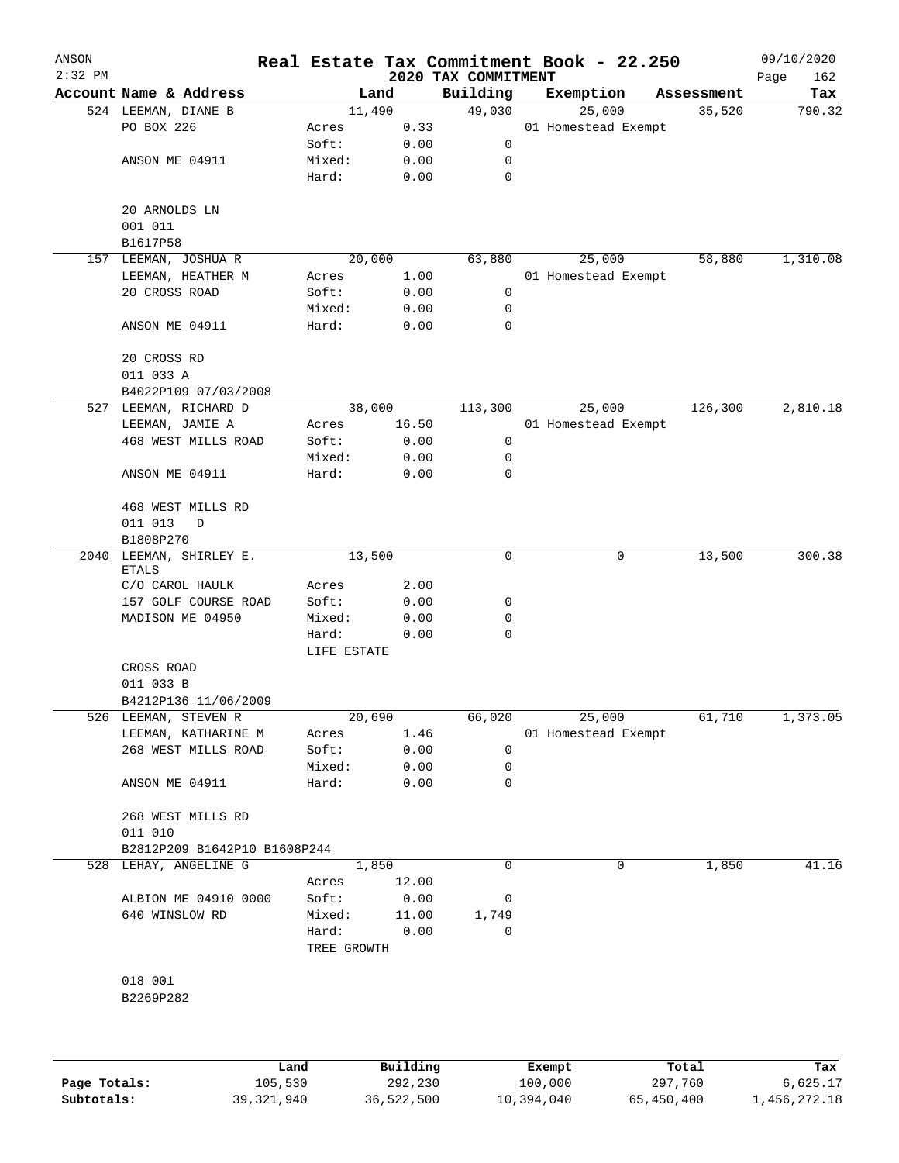| ANSON        |                                               |             |                 |                                 | Real Estate Tax Commitment Book - 22.250 |                      | 09/10/2020    |
|--------------|-----------------------------------------------|-------------|-----------------|---------------------------------|------------------------------------------|----------------------|---------------|
| $2:32$ PM    | Account Name & Address                        |             | Land            | 2020 TAX COMMITMENT<br>Building |                                          |                      | Page<br>162   |
|              |                                               |             |                 | 49,030                          | Exemption                                | Assessment<br>35,520 | Tax<br>790.32 |
|              | 524 LEEMAN, DIANE B<br>PO BOX 226             | Acres       | 11,490<br>0.33  |                                 | 25,000<br>01 Homestead Exempt            |                      |               |
|              |                                               | Soft:       | 0.00            | 0                               |                                          |                      |               |
|              | ANSON ME 04911                                |             |                 | 0                               |                                          |                      |               |
|              |                                               | Mixed:      | 0.00            | 0                               |                                          |                      |               |
|              |                                               | Hard:       | 0.00            |                                 |                                          |                      |               |
|              | 20 ARNOLDS LN                                 |             |                 |                                 |                                          |                      |               |
|              | 001 011                                       |             |                 |                                 |                                          |                      |               |
|              | B1617P58                                      |             |                 |                                 |                                          |                      |               |
| 157          | LEEMAN, JOSHUA R                              |             | 20,000          | 63,880                          | 25,000                                   | 58,880               | 1,310.08      |
|              | LEEMAN, HEATHER M                             | Acres       | 1.00            |                                 | 01 Homestead Exempt                      |                      |               |
|              | 20 CROSS ROAD                                 | Soft:       | 0.00            | 0                               |                                          |                      |               |
|              |                                               | Mixed:      | 0.00            | 0                               |                                          |                      |               |
|              | ANSON ME 04911                                | Hard:       | 0.00            | 0                               |                                          |                      |               |
|              |                                               |             |                 |                                 |                                          |                      |               |
|              | 20 CROSS RD                                   |             |                 |                                 |                                          |                      |               |
|              | 011 033 A                                     |             |                 |                                 |                                          |                      |               |
|              |                                               |             |                 |                                 |                                          |                      |               |
|              | B4022P109 07/03/2008<br>527 LEEMAN, RICHARD D |             |                 |                                 |                                          |                      | 2,810.18      |
|              |                                               |             | 38,000<br>16.50 | 113,300                         | 25,000                                   | 126,300              |               |
|              | LEEMAN, JAMIE A                               | Acres       |                 |                                 | 01 Homestead Exempt                      |                      |               |
|              | 468 WEST MILLS ROAD                           | Soft:       | 0.00            | 0                               |                                          |                      |               |
|              |                                               | Mixed:      | 0.00            | 0                               |                                          |                      |               |
|              | ANSON ME 04911                                | Hard:       | 0.00            | 0                               |                                          |                      |               |
|              |                                               |             |                 |                                 |                                          |                      |               |
|              | 468 WEST MILLS RD                             |             |                 |                                 |                                          |                      |               |
|              | 011 013<br>D                                  |             |                 |                                 |                                          |                      |               |
|              | B1808P270                                     |             |                 |                                 |                                          |                      |               |
| 2040         | LEEMAN, SHIRLEY E.                            |             | 13,500          | 0                               | 0                                        | 13,500               | 300.38        |
|              | <b>ETALS</b>                                  |             |                 |                                 |                                          |                      |               |
|              | C/O CAROL HAULK                               | Acres       | 2.00            |                                 |                                          |                      |               |
|              | 157 GOLF COURSE ROAD                          | Soft:       | 0.00            | 0                               |                                          |                      |               |
|              | MADISON ME 04950                              | Mixed:      | 0.00            | 0                               |                                          |                      |               |
|              |                                               | Hard:       | 0.00            | 0                               |                                          |                      |               |
|              |                                               | LIFE ESTATE |                 |                                 |                                          |                      |               |
|              | CROSS ROAD                                    |             |                 |                                 |                                          |                      |               |
|              | 011 033 B                                     |             |                 |                                 |                                          |                      |               |
|              | B4212P136 11/06/2009                          |             |                 |                                 |                                          |                      |               |
|              | 526 LEEMAN, STEVEN R                          |             | 20,690          | 66,020                          | 25,000                                   | 61,710               | 1,373.05      |
|              | LEEMAN, KATHARINE M                           | Acres       | 1.46            |                                 | 01 Homestead Exempt                      |                      |               |
|              | 268 WEST MILLS ROAD                           | Soft:       | 0.00            | 0                               |                                          |                      |               |
|              |                                               | Mixed:      | 0.00            | 0                               |                                          |                      |               |
|              | ANSON ME 04911                                | Hard:       | 0.00            | 0                               |                                          |                      |               |
|              |                                               |             |                 |                                 |                                          |                      |               |
|              | 268 WEST MILLS RD                             |             |                 |                                 |                                          |                      |               |
|              | 011 010                                       |             |                 |                                 |                                          |                      |               |
|              | B2812P209 B1642P10 B1608P244                  |             |                 |                                 |                                          |                      |               |
|              | 528 LEHAY, ANGELINE G                         |             | 1,850           | 0                               | 0                                        | 1,850                | 41.16         |
|              |                                               | Acres       | 12.00           |                                 |                                          |                      |               |
|              | ALBION ME 04910 0000                          | Soft:       | 0.00            | 0                               |                                          |                      |               |
|              | 640 WINSLOW RD                                | Mixed:      | 11.00           | 1,749                           |                                          |                      |               |
|              |                                               | Hard:       | 0.00            | 0                               |                                          |                      |               |
|              |                                               | TREE GROWTH |                 |                                 |                                          |                      |               |
|              |                                               |             |                 |                                 |                                          |                      |               |
|              | 018 001                                       |             |                 |                                 |                                          |                      |               |
|              | B2269P282                                     |             |                 |                                 |                                          |                      |               |
|              |                                               |             |                 |                                 |                                          |                      |               |
|              |                                               |             |                 |                                 |                                          |                      |               |
|              |                                               |             |                 |                                 |                                          |                      |               |
|              |                                               | Land        | Building        |                                 | Exempt                                   | Total                | Tax           |
| Page Totals: | 105,530                                       |             | 292,230         |                                 | 100,000                                  | 297,760              | 6,625.17      |

**Subtotals:** 39,321,940 36,522,500 10,394,040 65,450,400 1,456,272.18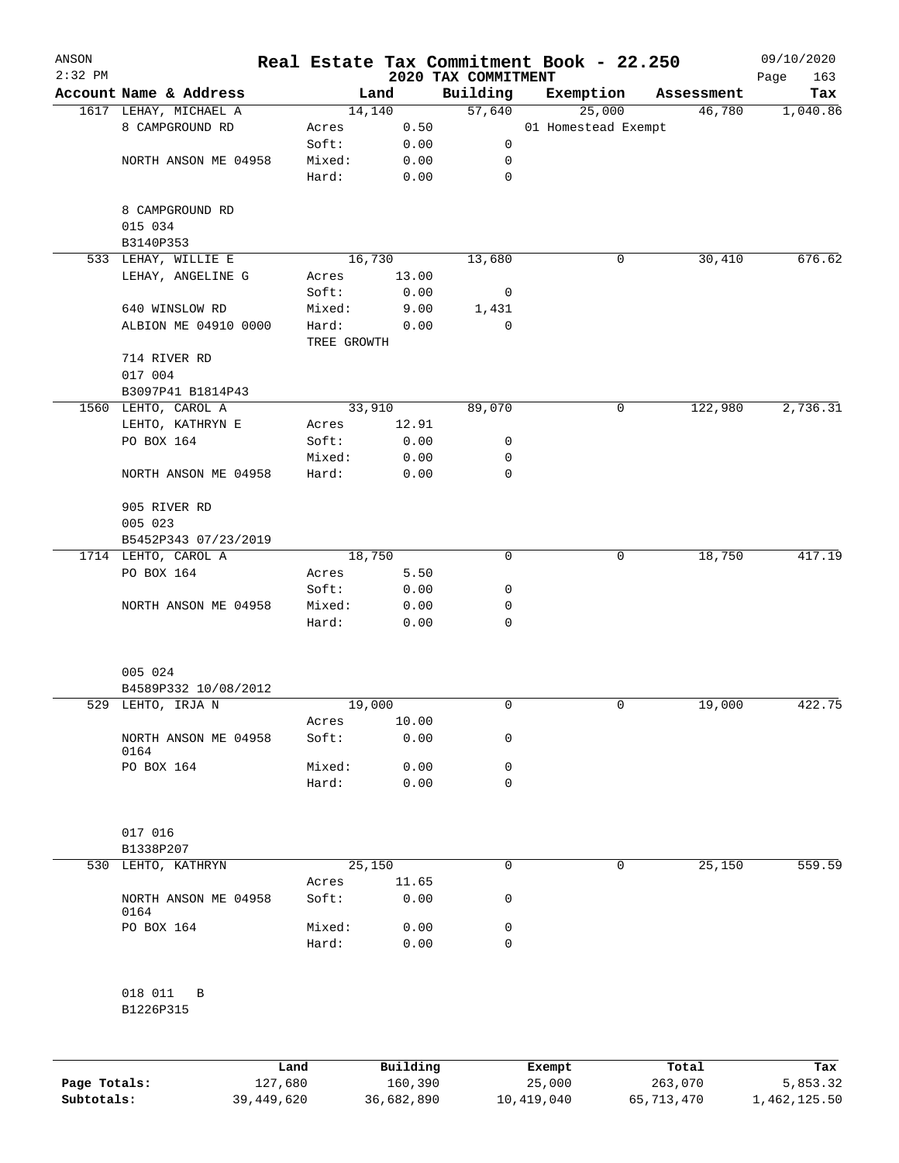| ANSON<br>$2:32$ PM |                              |             |          | 2020 TAX COMMITMENT | Real Estate Tax Commitment Book - 22.250 |            | 09/10/2020<br>163<br>Page |
|--------------------|------------------------------|-------------|----------|---------------------|------------------------------------------|------------|---------------------------|
|                    | Account Name & Address       |             | Land     | Building            | Exemption                                | Assessment | Tax                       |
|                    | 1617 LEHAY, MICHAEL A        |             | 14,140   | 57,640              | 25,000                                   | 46,780     | 1,040.86                  |
|                    | 8 CAMPGROUND RD              | Acres       | 0.50     |                     | 01 Homestead Exempt                      |            |                           |
|                    |                              | Soft:       | 0.00     | 0                   |                                          |            |                           |
|                    | NORTH ANSON ME 04958         | Mixed:      | 0.00     | 0                   |                                          |            |                           |
|                    |                              | Hard:       | 0.00     | 0                   |                                          |            |                           |
|                    | 8 CAMPGROUND RD              |             |          |                     |                                          |            |                           |
|                    | 015 034                      |             |          |                     |                                          |            |                           |
|                    | B3140P353                    |             |          |                     |                                          |            |                           |
|                    | 533 LEHAY, WILLIE E          |             | 16,730   | 13,680              | 0                                        | 30,410     | 676.62                    |
|                    | LEHAY, ANGELINE G            | Acres       | 13.00    |                     |                                          |            |                           |
|                    |                              | Soft:       | 0.00     | $\overline{0}$      |                                          |            |                           |
|                    | 640 WINSLOW RD               | Mixed:      | 9.00     | 1,431               |                                          |            |                           |
|                    | ALBION ME 04910 0000         | Hard:       | 0.00     | $\mathbf 0$         |                                          |            |                           |
|                    |                              | TREE GROWTH |          |                     |                                          |            |                           |
|                    | 714 RIVER RD                 |             |          |                     |                                          |            |                           |
|                    | 017 004                      |             |          |                     |                                          |            |                           |
|                    | B3097P41 B1814P43            |             |          |                     |                                          |            |                           |
|                    | 1560 LEHTO, CAROL A          |             | 33,910   | 89,070              | 0                                        | 122,980    | 2,736.31                  |
|                    | LEHTO, KATHRYN E             | Acres       | 12.91    |                     |                                          |            |                           |
|                    | PO BOX 164                   | Soft:       | 0.00     | 0                   |                                          |            |                           |
|                    |                              | Mixed:      | 0.00     | 0                   |                                          |            |                           |
|                    | NORTH ANSON ME 04958         | Hard:       | 0.00     | 0                   |                                          |            |                           |
|                    |                              |             |          |                     |                                          |            |                           |
|                    | 905 RIVER RD                 |             |          |                     |                                          |            |                           |
|                    | 005 023                      |             |          |                     |                                          |            |                           |
|                    | B5452P343 07/23/2019         |             |          |                     |                                          |            |                           |
|                    | 1714 LEHTO, CAROL A          |             | 18,750   | 0                   | 0                                        | 18,750     | 417.19                    |
|                    | PO BOX 164                   | Acres       | 5.50     |                     |                                          |            |                           |
|                    |                              | Soft:       | 0.00     | 0                   |                                          |            |                           |
|                    | NORTH ANSON ME 04958         | Mixed:      | 0.00     | 0                   |                                          |            |                           |
|                    |                              | Hard:       | 0.00     | 0                   |                                          |            |                           |
|                    |                              |             |          |                     |                                          |            |                           |
|                    | 005 024                      |             |          |                     |                                          |            |                           |
|                    | B4589P332 10/08/2012         |             |          |                     |                                          |            |                           |
|                    | 529 LEHTO, IRJA N            |             | 19,000   | 0                   | 0                                        | 19,000     | 422.75                    |
|                    |                              | Acres       | 10.00    |                     |                                          |            |                           |
|                    | NORTH ANSON ME 04958<br>0164 | Soft:       | 0.00     | 0                   |                                          |            |                           |
|                    | PO BOX 164                   | Mixed:      | 0.00     | 0                   |                                          |            |                           |
|                    |                              | Hard:       | 0.00     | 0                   |                                          |            |                           |
|                    | 017 016                      |             |          |                     |                                          |            |                           |
|                    | B1338P207                    |             |          |                     |                                          |            |                           |
| 530                | LEHTO, KATHRYN               |             | 25,150   | 0                   | 0                                        | 25,150     | 559.59                    |
|                    |                              | Acres       | 11.65    |                     |                                          |            |                           |
|                    | NORTH ANSON ME 04958         | Soft:       | 0.00     | 0                   |                                          |            |                           |
|                    | 0164                         |             |          |                     |                                          |            |                           |
|                    | PO BOX 164                   | Mixed:      | 0.00     | 0                   |                                          |            |                           |
|                    |                              | Hard:       | 0.00     | 0                   |                                          |            |                           |
|                    | 018 011<br>B                 |             |          |                     |                                          |            |                           |
|                    | B1226P315                    |             |          |                     |                                          |            |                           |
|                    |                              |             |          |                     |                                          |            |                           |
|                    |                              | Land        | Building |                     | Exempt                                   | Total      | Tax                       |

|              | Land.      | Building   | Exempt     | тосат      | rax.         |
|--------------|------------|------------|------------|------------|--------------|
| Page Totals: | 127,680    | 160,390    | 25,000     | 263,070    | 5,853.32     |
| Subtotals:   | 39,449,620 | 36,682,890 | 10,419,040 | 65,713,470 | 1,462,125.50 |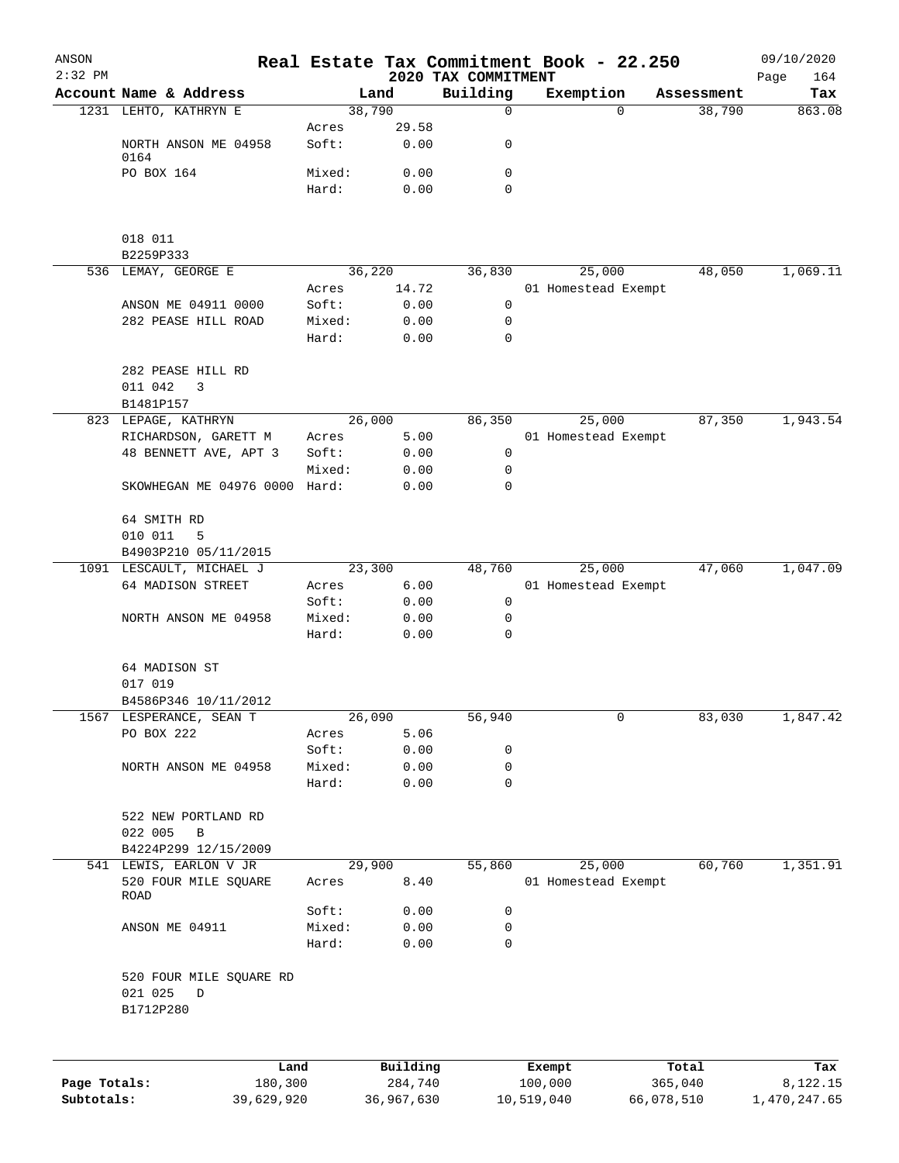| ANSON<br>$2:32$ PM |                                                           |                 |               | 2020 TAX COMMITMENT | Real Estate Tax Commitment Book - 22.250 |            | 09/10/2020<br>164<br>Page |
|--------------------|-----------------------------------------------------------|-----------------|---------------|---------------------|------------------------------------------|------------|---------------------------|
|                    | Account Name & Address                                    |                 | Land          | Building            | Exemption                                | Assessment | Tax                       |
|                    | 1231 LEHTO, KATHRYN E                                     | 38,790          |               | $\mathbf 0$         | $\Omega$                                 | 38,790     | 863.08                    |
|                    | NORTH ANSON ME 04958                                      | Acres<br>Soft:  | 29.58<br>0.00 | 0                   |                                          |            |                           |
|                    | 0164                                                      |                 |               |                     |                                          |            |                           |
|                    | PO BOX 164                                                | Mixed:          | 0.00          | 0                   |                                          |            |                           |
|                    |                                                           | Hard:           | 0.00          | $\mathbf 0$         |                                          |            |                           |
|                    | 018 011                                                   |                 |               |                     |                                          |            |                           |
|                    | B2259P333                                                 |                 |               |                     |                                          |            |                           |
|                    | 536 LEMAY, GEORGE E                                       | 36,220          |               | 36,830              | 25,000                                   | 48,050     | 1,069.11                  |
|                    |                                                           | Acres           | 14.72         | $\mathbf 0$         | 01 Homestead Exempt                      |            |                           |
|                    | ANSON ME 04911 0000<br>282 PEASE HILL ROAD                | Soft:<br>Mixed: | 0.00<br>0.00  | 0                   |                                          |            |                           |
|                    |                                                           | Hard:           | 0.00          | $\mathbf 0$         |                                          |            |                           |
|                    | 282 PEASE HILL RD<br>011 042<br>3                         |                 |               |                     |                                          |            |                           |
|                    | B1481P157                                                 |                 |               |                     |                                          |            |                           |
|                    | 823 LEPAGE, KATHRYN                                       | 26,000          |               | 86,350              | 25,000                                   | 87,350     | 1,943.54                  |
|                    | RICHARDSON, GARETT M<br>48 BENNETT AVE, APT 3             | Acres<br>Soft:  | 5.00<br>0.00  | 0                   | 01 Homestead Exempt                      |            |                           |
|                    |                                                           | Mixed:          | 0.00          | 0                   |                                          |            |                           |
|                    | SKOWHEGAN ME 04976 0000 Hard:                             |                 | 0.00          | 0                   |                                          |            |                           |
|                    | 64 SMITH RD<br>010 011<br>5                               |                 |               |                     |                                          |            |                           |
|                    | B4903P210 05/11/2015                                      |                 |               |                     |                                          |            |                           |
|                    | 1091 LESCAULT, MICHAEL J                                  | 23,300          |               | 48,760              | 25,000                                   | 47,060     | 1,047.09                  |
|                    | 64 MADISON STREET                                         | Acres           | 6.00          |                     | 01 Homestead Exempt                      |            |                           |
|                    |                                                           | Soft:           | 0.00          | $\mathbf 0$         |                                          |            |                           |
|                    | NORTH ANSON ME 04958                                      | Mixed:<br>Hard: | 0.00<br>0.00  | 0<br>0              |                                          |            |                           |
|                    | 64 MADISON ST                                             |                 |               |                     |                                          |            |                           |
|                    | 017 019                                                   |                 |               |                     |                                          |            |                           |
|                    | B4586P346 10/11/2012                                      |                 |               |                     |                                          |            |                           |
|                    | 1567 LESPERANCE, SEAN T                                   | 26,090          |               | 56,940              | 0                                        | 83,030     | 1,847.42                  |
|                    | PO BOX 222                                                | Acres           | 5.06          |                     |                                          |            |                           |
|                    |                                                           | Soft:           | 0.00          | 0                   |                                          |            |                           |
|                    | NORTH ANSON ME 04958                                      | Mixed:          | 0.00          | 0                   |                                          |            |                           |
|                    |                                                           | Hard:           | 0.00          | 0                   |                                          |            |                           |
|                    | 522 NEW PORTLAND RD<br>022 005<br>B                       |                 |               |                     |                                          |            |                           |
|                    | B4224P299 12/15/2009                                      |                 |               |                     |                                          |            |                           |
|                    | 541 LEWIS, EARLON V JR                                    | 29,900          |               | 55,860              | 25,000                                   | 60,760     | 1,351.91                  |
|                    | 520 FOUR MILE SQUARE<br>ROAD                              | Acres           | 8.40          |                     | 01 Homestead Exempt                      |            |                           |
|                    |                                                           | Soft:           | 0.00          | 0                   |                                          |            |                           |
|                    | ANSON ME 04911                                            | Mixed:          | 0.00          | 0                   |                                          |            |                           |
|                    |                                                           | Hard:           | 0.00          | 0                   |                                          |            |                           |
|                    | 520 FOUR MILE SQUARE RD<br>021 025<br>$\Box$<br>B1712P280 |                 |               |                     |                                          |            |                           |
|                    |                                                           |                 |               |                     |                                          |            |                           |
|                    | Land                                                      |                 | Building      |                     | Exempt                                   | Total      | Tax                       |
| Page Totals:       | 180,300                                                   |                 | 284,740       |                     | 100,000                                  | 365,040    | 8,122.15                  |

**Subtotals:** 39,629,920 36,967,630 10,519,040 66,078,510 1,470,247.65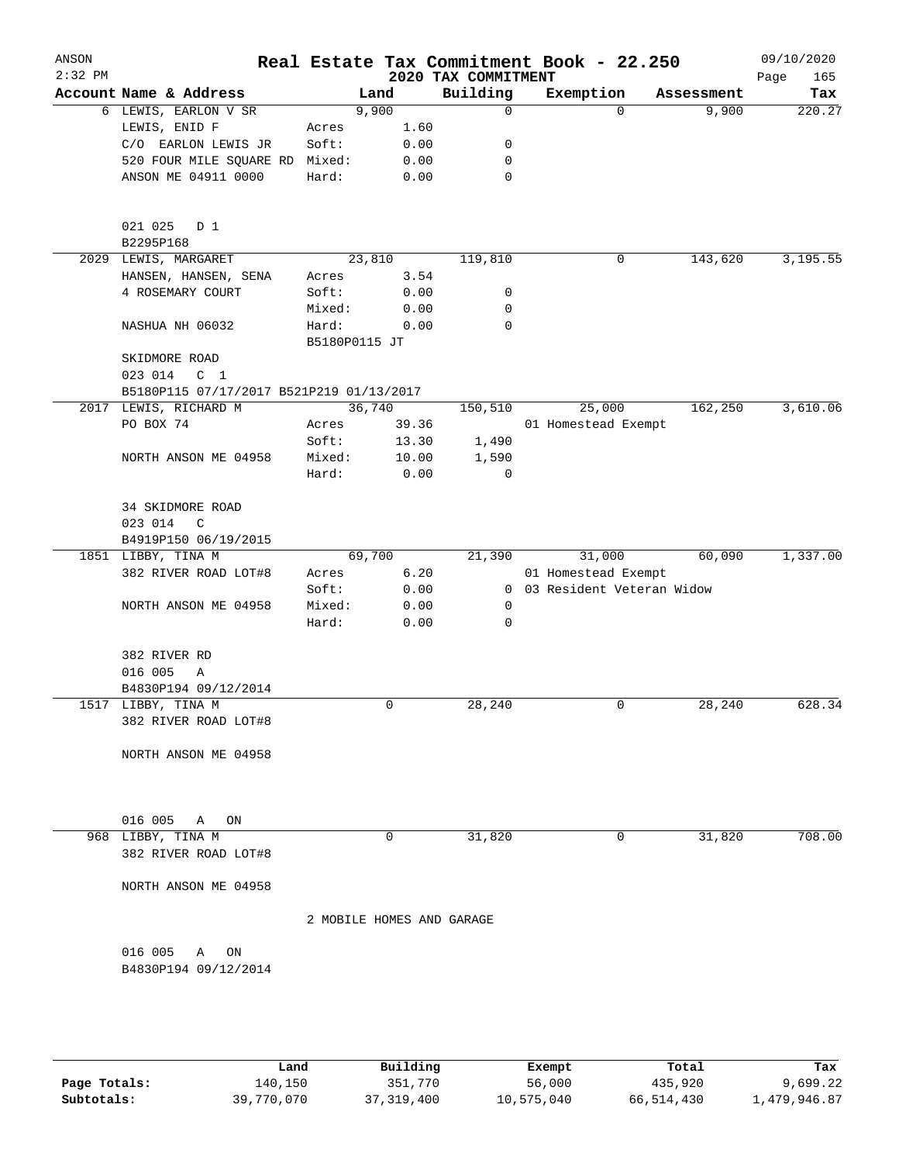| ANSON<br>$2:32$ PM |                                            |        |               |      | 2020 TAX COMMITMENT       | Real Estate Tax Commitment Book - 22.250 |          |            | 09/10/2020<br>Page<br>165 |
|--------------------|--------------------------------------------|--------|---------------|------|---------------------------|------------------------------------------|----------|------------|---------------------------|
|                    | Account Name & Address                     |        | Land          |      | Building                  | Exemption                                |          | Assessment | Tax                       |
|                    | 6 LEWIS, EARLON V SR                       |        | 9,900         |      | 0                         |                                          | $\Omega$ | 9,900      | 220.27                    |
|                    | LEWIS, ENID F                              | Acres  |               | 1.60 |                           |                                          |          |            |                           |
|                    | C/O EARLON LEWIS JR                        | Soft:  |               | 0.00 | 0                         |                                          |          |            |                           |
|                    | 520 FOUR MILE SQUARE RD                    | Mixed: |               | 0.00 | 0                         |                                          |          |            |                           |
|                    | ANSON ME 04911 0000                        | Hard:  |               | 0.00 | 0                         |                                          |          |            |                           |
|                    | 021 025<br>D 1<br>B2295P168                |        |               |      |                           |                                          |          |            |                           |
|                    | 2029 LEWIS, MARGARET                       |        | 23,810        |      | 119,810                   |                                          | 0        | 143,620    | 3,195.55                  |
|                    | HANSEN, HANSEN, SENA                       | Acres  |               | 3.54 |                           |                                          |          |            |                           |
|                    | 4 ROSEMARY COURT                           | Soft:  |               | 0.00 | 0                         |                                          |          |            |                           |
|                    |                                            | Mixed: |               | 0.00 | 0                         |                                          |          |            |                           |
|                    | NASHUA NH 06032                            | Hard:  | B5180P0115 JT | 0.00 | 0                         |                                          |          |            |                           |
|                    | SKIDMORE ROAD                              |        |               |      |                           |                                          |          |            |                           |
|                    | 023 014<br>C <sub>1</sub>                  |        |               |      |                           |                                          |          |            |                           |
|                    | B5180P115 07/17/2017 B521P219 01/13/2017   |        |               |      |                           |                                          |          |            |                           |
|                    | 2017 LEWIS, RICHARD M                      |        | 36,740        |      | 150,510                   | 25,000                                   |          | 162,250    | 3,610.06                  |
|                    | PO BOX 74                                  | Acres  | 39.36         |      |                           | 01 Homestead Exempt                      |          |            |                           |
|                    |                                            | Soft:  | 13.30         |      | 1,490                     |                                          |          |            |                           |
|                    | NORTH ANSON ME 04958                       | Mixed: | 10.00         |      | 1,590                     |                                          |          |            |                           |
|                    |                                            | Hard:  |               | 0.00 | 0                         |                                          |          |            |                           |
|                    | 34 SKIDMORE ROAD                           |        |               |      |                           |                                          |          |            |                           |
|                    | 023 014<br>C                               |        |               |      |                           |                                          |          |            |                           |
|                    | B4919P150 06/19/2015<br>1851 LIBBY, TINA M |        | 69,700        |      | 21,390                    | 31,000                                   |          | 60,090     | 1,337.00                  |
|                    | 382 RIVER ROAD LOT#8                       | Acres  |               | 6.20 |                           | 01 Homestead Exempt                      |          |            |                           |
|                    |                                            | Soft:  |               | 0.00 |                           | 0 03 Resident Veteran Widow              |          |            |                           |
|                    | NORTH ANSON ME 04958                       | Mixed: |               | 0.00 | $\mathbf 0$               |                                          |          |            |                           |
|                    |                                            | Hard:  |               | 0.00 | 0                         |                                          |          |            |                           |
|                    | 382 RIVER RD                               |        |               |      |                           |                                          |          |            |                           |
|                    | 016 005<br>Α                               |        |               |      |                           |                                          |          |            |                           |
|                    | B4830P194 09/12/2014                       |        |               |      |                           |                                          |          |            |                           |
|                    | 1517 LIBBY, TINA M                         |        | 0             |      | 28,240                    |                                          | 0        | 28,240     | 628.34                    |
|                    | 382 RIVER ROAD LOT#8                       |        |               |      |                           |                                          |          |            |                           |
|                    | NORTH ANSON ME 04958                       |        |               |      |                           |                                          |          |            |                           |
|                    |                                            |        |               |      |                           |                                          |          |            |                           |
|                    | 016 005<br>Α<br>ON                         |        |               |      |                           |                                          |          |            |                           |
|                    | 968 LIBBY, TINA M                          |        | 0             |      | 31,820                    |                                          | 0        | 31,820     | 708.00                    |
|                    | 382 RIVER ROAD LOT#8                       |        |               |      |                           |                                          |          |            |                           |
|                    | NORTH ANSON ME 04958                       |        |               |      |                           |                                          |          |            |                           |
|                    |                                            |        |               |      | 2 MOBILE HOMES AND GARAGE |                                          |          |            |                           |
|                    | 016 005<br>A<br>ON                         |        |               |      |                           |                                          |          |            |                           |
|                    | B4830P194 09/12/2014                       |        |               |      |                           |                                          |          |            |                           |
|                    |                                            |        |               |      |                           |                                          |          |            |                           |
|                    |                                            |        |               |      |                           |                                          |          |            |                           |

|              | Land       | Building     | Exempt     | Total      | Tax          |
|--------------|------------|--------------|------------|------------|--------------|
| Page Totals: | 140,150    | 351,770      | 56,000     | 435,920    | 9,699.22     |
| Subtotals:   | 39,770,070 | 37, 319, 400 | 10,575,040 | 66,514,430 | l,479,946.87 |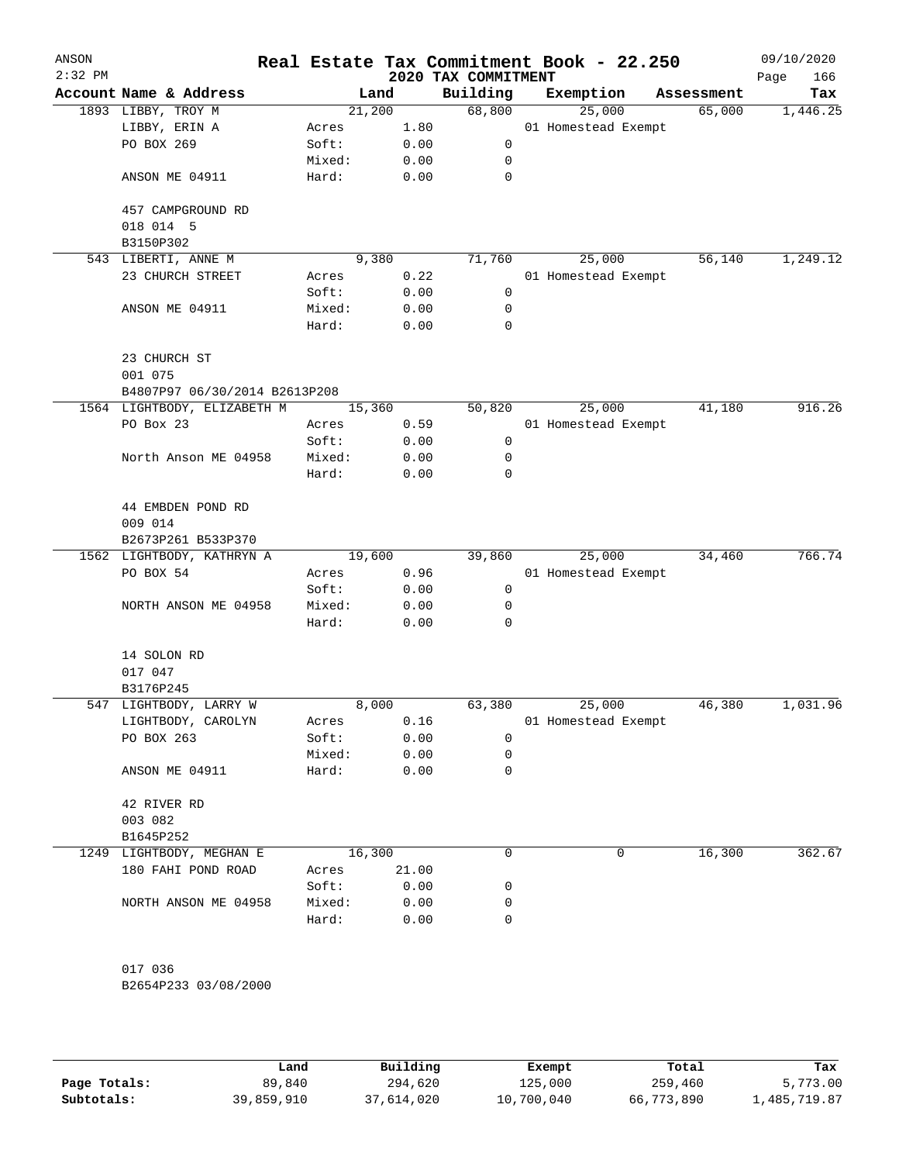| ANSON<br>$2:32$ PM |                               |        |        | Real Estate Tax Commitment Book - 22.250<br>2020 TAX COMMITMENT |                     |            | 09/10/2020<br>166<br>Page |
|--------------------|-------------------------------|--------|--------|-----------------------------------------------------------------|---------------------|------------|---------------------------|
|                    | Account Name & Address        |        | Land   | Building                                                        | Exemption           | Assessment | Tax                       |
|                    | 1893 LIBBY, TROY M            |        | 21,200 | 68,800                                                          | 25,000              | 65,000     | 1,446.25                  |
|                    | LIBBY, ERIN A                 | Acres  | 1.80   |                                                                 | 01 Homestead Exempt |            |                           |
|                    | PO BOX 269                    | Soft:  | 0.00   | 0                                                               |                     |            |                           |
|                    |                               | Mixed: | 0.00   | 0                                                               |                     |            |                           |
|                    | ANSON ME 04911                | Hard:  | 0.00   | 0                                                               |                     |            |                           |
|                    | 457 CAMPGROUND RD             |        |        |                                                                 |                     |            |                           |
|                    | 018 014 5<br>B3150P302        |        |        |                                                                 |                     |            |                           |
|                    | 543 LIBERTI, ANNE M           |        | 9,380  | 71,760                                                          | 25,000              | 56,140     | 1,249.12                  |
|                    | 23 CHURCH STREET              | Acres  | 0.22   |                                                                 | 01 Homestead Exempt |            |                           |
|                    |                               | Soft:  | 0.00   | 0                                                               |                     |            |                           |
|                    | ANSON ME 04911                | Mixed: | 0.00   | 0                                                               |                     |            |                           |
|                    |                               | Hard:  | 0.00   | 0                                                               |                     |            |                           |
|                    | 23 CHURCH ST                  |        |        |                                                                 |                     |            |                           |
|                    | 001 075                       |        |        |                                                                 |                     |            |                           |
|                    | B4807P97 06/30/2014 B2613P208 |        |        |                                                                 |                     |            |                           |
|                    | 1564 LIGHTBODY, ELIZABETH M   |        | 15,360 | 50,820                                                          | 25,000              | 41,180     | 916.26                    |
|                    | PO Box 23                     | Acres  | 0.59   |                                                                 | 01 Homestead Exempt |            |                           |
|                    |                               | Soft:  | 0.00   | 0                                                               |                     |            |                           |
|                    | North Anson ME 04958          | Mixed: | 0.00   | 0                                                               |                     |            |                           |
|                    |                               | Hard:  | 0.00   | 0                                                               |                     |            |                           |
|                    | 44 EMBDEN POND RD             |        |        |                                                                 |                     |            |                           |
|                    | 009 014                       |        |        |                                                                 |                     |            |                           |
|                    | B2673P261 B533P370            |        |        |                                                                 |                     |            |                           |
|                    | 1562 LIGHTBODY, KATHRYN A     |        | 19,600 | 39,860                                                          | 25,000              | 34,460     | 766.74                    |
|                    | PO BOX 54                     | Acres  | 0.96   |                                                                 | 01 Homestead Exempt |            |                           |
|                    |                               | Soft:  | 0.00   | 0                                                               |                     |            |                           |
|                    | NORTH ANSON ME 04958          | Mixed: | 0.00   | 0                                                               |                     |            |                           |
|                    |                               | Hard:  | 0.00   | 0                                                               |                     |            |                           |
|                    | 14 SOLON RD                   |        |        |                                                                 |                     |            |                           |
|                    | 017 047                       |        |        |                                                                 |                     |            |                           |
|                    | B3176P245                     |        |        |                                                                 |                     |            |                           |
|                    | 547 LIGHTBODY, LARRY W        |        | 8,000  | 63,380                                                          | 25,000              | 46,380     | 1,031.96                  |
|                    | LIGHTBODY, CAROLYN            | Acres  | 0.16   |                                                                 | 01 Homestead Exempt |            |                           |
|                    | PO BOX 263                    | Soft:  | 0.00   | 0                                                               |                     |            |                           |
|                    |                               | Mixed: | 0.00   | 0                                                               |                     |            |                           |
|                    | ANSON ME 04911                | Hard:  | 0.00   | 0                                                               |                     |            |                           |
|                    | 42 RIVER RD                   |        |        |                                                                 |                     |            |                           |
|                    | 003 082                       |        |        |                                                                 |                     |            |                           |
|                    | B1645P252                     |        |        |                                                                 |                     |            |                           |
|                    | 1249 LIGHTBODY, MEGHAN E      |        | 16,300 | 0                                                               | 0                   | 16,300     | 362.67                    |
|                    | 180 FAHI POND ROAD            | Acres  | 21.00  |                                                                 |                     |            |                           |
|                    |                               | Soft:  | 0.00   | 0                                                               |                     |            |                           |
|                    | NORTH ANSON ME 04958          | Mixed: | 0.00   | 0                                                               |                     |            |                           |
|                    |                               | Hard:  | 0.00   | 0                                                               |                     |            |                           |
|                    | 017 036                       |        |        |                                                                 |                     |            |                           |
|                    | B2654P233 03/08/2000          |        |        |                                                                 |                     |            |                           |
|                    |                               |        |        |                                                                 |                     |            |                           |
|                    |                               |        |        |                                                                 |                     |            |                           |

|              | Land       | Building   | Exempt     | Total      | Tax          |
|--------------|------------|------------|------------|------------|--------------|
| Page Totals: | 89,840     | 294,620    | 125,000    | 259,460    | 5,773.00     |
| Subtotals:   | 39,859,910 | 37,614,020 | 10,700,040 | 66,773,890 | l,485,719.87 |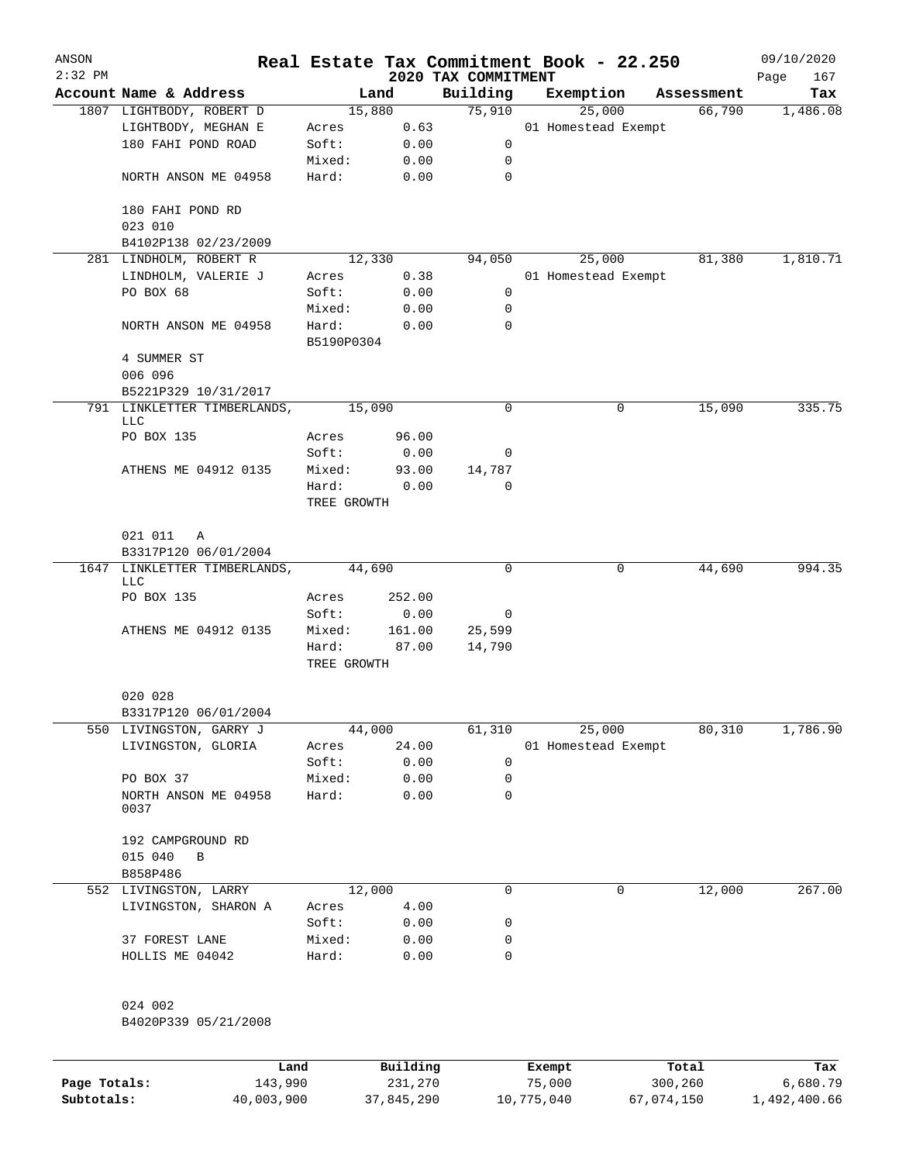| ANSON     |                                       |             |          |                     | Real Estate Tax Commitment Book - 22.250 |   |            | 09/10/2020  |
|-----------|---------------------------------------|-------------|----------|---------------------|------------------------------------------|---|------------|-------------|
| $2:32$ PM |                                       |             |          | 2020 TAX COMMITMENT |                                          |   |            | 167<br>Page |
|           | Account Name & Address                |             | Land     | Building            | Exemption                                |   | Assessment | Tax         |
|           | 1807 LIGHTBODY, ROBERT D              |             | 15,880   | 75,910              | 25,000                                   |   | 66,790     | 1,486.08    |
|           | LIGHTBODY, MEGHAN E                   | Acres       | 0.63     |                     | 01 Homestead Exempt                      |   |            |             |
|           | 180 FAHI POND ROAD                    | Soft:       | 0.00     | 0                   |                                          |   |            |             |
|           |                                       | Mixed:      | 0.00     | 0                   |                                          |   |            |             |
|           | NORTH ANSON ME 04958                  | Hard:       | 0.00     | 0                   |                                          |   |            |             |
|           | 180 FAHI POND RD                      |             |          |                     |                                          |   |            |             |
|           | 023 010                               |             |          |                     |                                          |   |            |             |
|           | B4102P138 02/23/2009                  |             |          |                     |                                          |   |            |             |
|           | 281 LINDHOLM, ROBERT R                |             | 12,330   | 94,050              | 25,000                                   |   | 81,380     | 1,810.71    |
|           | LINDHOLM, VALERIE J                   | Acres       | 0.38     |                     | 01 Homestead Exempt                      |   |            |             |
|           | PO BOX 68                             | Soft:       | 0.00     | 0                   |                                          |   |            |             |
|           |                                       | Mixed:      | 0.00     | 0                   |                                          |   |            |             |
|           | NORTH ANSON ME 04958                  | Hard:       | 0.00     | $\Omega$            |                                          |   |            |             |
|           |                                       | B5190P0304  |          |                     |                                          |   |            |             |
|           | 4 SUMMER ST                           |             |          |                     |                                          |   |            |             |
|           | 006 096                               |             |          |                     |                                          |   |            |             |
|           | B5221P329 10/31/2017                  |             |          |                     |                                          |   |            |             |
|           | 791 LINKLETTER TIMBERLANDS,           |             | 15,090   | 0                   |                                          | 0 | 15,090     | 335.75      |
|           | LLC                                   |             |          |                     |                                          |   |            |             |
|           | PO BOX 135                            | Acres       | 96.00    |                     |                                          |   |            |             |
|           |                                       | Soft:       | 0.00     | 0                   |                                          |   |            |             |
|           | ATHENS ME 04912 0135                  | Mixed:      | 93.00    | 14,787              |                                          |   |            |             |
|           |                                       | Hard:       | 0.00     | $\Omega$            |                                          |   |            |             |
|           |                                       | TREE GROWTH |          |                     |                                          |   |            |             |
|           | 021 011<br>Α                          |             |          |                     |                                          |   |            |             |
|           | B3317P120 06/01/2004                  |             |          | 0                   |                                          | 0 |            | 994.35      |
| 1647      | LINKLETTER TIMBERLANDS,<br><b>LLC</b> |             | 44,690   |                     |                                          |   | 44,690     |             |
|           | PO BOX 135                            | Acres       | 252.00   |                     |                                          |   |            |             |
|           |                                       | Soft:       | 0.00     | 0                   |                                          |   |            |             |
|           | ATHENS ME 04912 0135                  | Mixed:      | 161.00   | 25,599              |                                          |   |            |             |
|           |                                       | Hard:       | 87.00    | 14,790              |                                          |   |            |             |
|           |                                       | TREE GROWTH |          |                     |                                          |   |            |             |
|           | 020 028                               |             |          |                     |                                          |   |            |             |
|           | B3317P120 06/01/2004                  |             |          |                     |                                          |   |            |             |
|           | 550 LIVINGSTON, GARRY J               |             | 44,000   | 61,310              | 25,000                                   |   | 80,310     | 1,786.90    |
|           | LIVINGSTON, GLORIA                    | Acres       | 24.00    |                     | 01 Homestead Exempt                      |   |            |             |
|           |                                       | Soft:       | 0.00     | 0                   |                                          |   |            |             |
|           | PO BOX 37                             | Mixed:      | 0.00     | 0                   |                                          |   |            |             |
|           | NORTH ANSON ME 04958                  | Hard:       | 0.00     | 0                   |                                          |   |            |             |
|           | 0037                                  |             |          |                     |                                          |   |            |             |
|           | 192 CAMPGROUND RD                     |             |          |                     |                                          |   |            |             |
|           | 015 040<br>В                          |             |          |                     |                                          |   |            |             |
|           | B858P486                              |             |          |                     |                                          |   |            |             |
|           | 552 LIVINGSTON, LARRY                 |             | 12,000   | 0                   |                                          | 0 | 12,000     | 267.00      |
|           | LIVINGSTON, SHARON A                  | Acres       | 4.00     |                     |                                          |   |            |             |
|           |                                       | Soft:       | 0.00     | 0                   |                                          |   |            |             |
|           | 37 FOREST LANE                        | Mixed:      | 0.00     | 0                   |                                          |   |            |             |
|           | HOLLIS ME 04042                       | Hard:       | 0.00     | 0                   |                                          |   |            |             |
|           |                                       |             |          |                     |                                          |   |            |             |
|           | 024 002                               |             |          |                     |                                          |   |            |             |
|           | B4020P339 05/21/2008                  |             |          |                     |                                          |   |            |             |
|           |                                       |             |          |                     |                                          |   |            |             |
|           |                                       | Land        | Building |                     | Exempt                                   |   | Total      | Tax         |
|           |                                       |             |          |                     |                                          |   |            |             |

**Page Totals:** 143,990 231,270 75,000 300,260 6,680.79 **Subtotals:** 40,003,900 37,845,290 10,775,040 67,074,150 1,492,400.66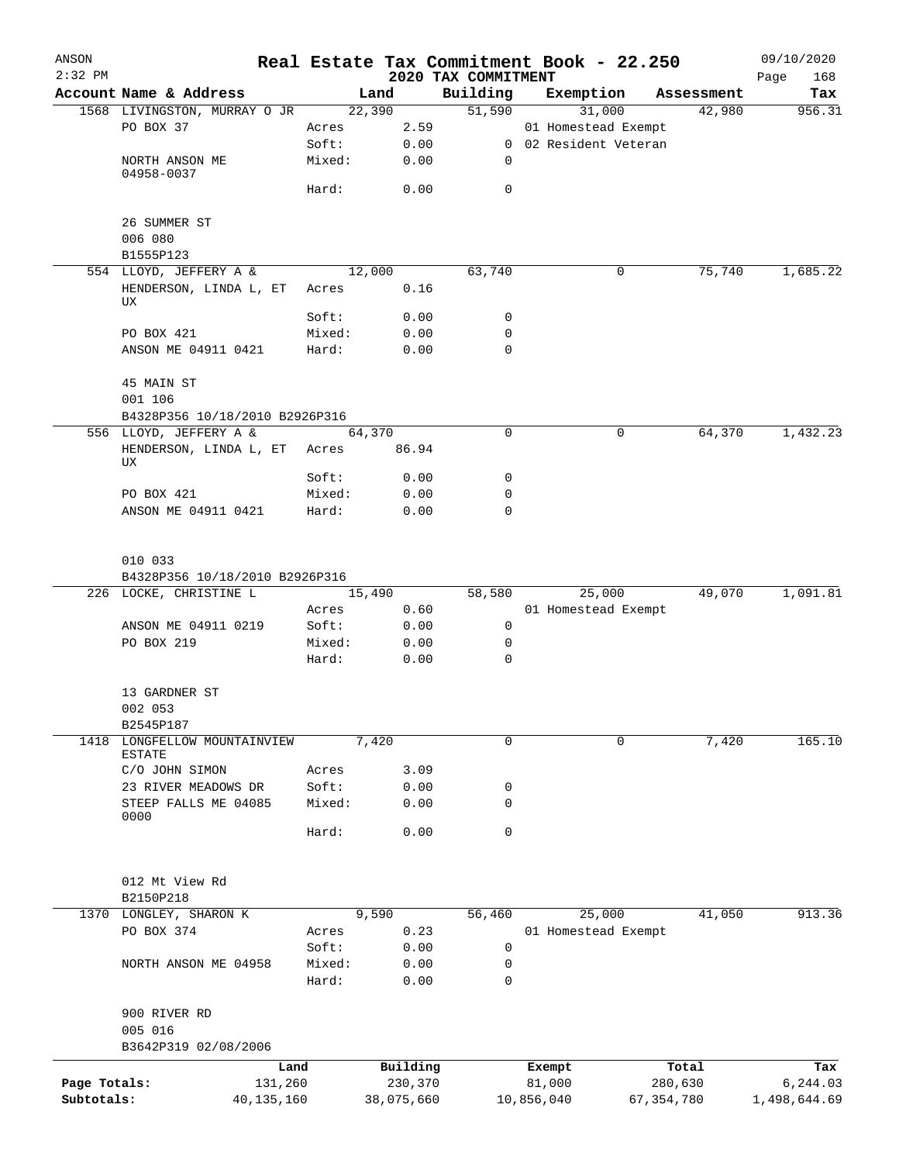| ANSON<br>$2:32$ PM |                                          |        |            |                                 | Real Estate Tax Commitment Book - 22.250 |              | 09/10/2020         |
|--------------------|------------------------------------------|--------|------------|---------------------------------|------------------------------------------|--------------|--------------------|
|                    | Account Name & Address                   |        | Land       | 2020 TAX COMMITMENT<br>Building | Exemption                                | Assessment   | Page<br>168<br>Tax |
|                    | 1568 LIVINGSTON, MURRAY O JR             |        | 22,390     | 51,590                          | 31,000                                   | 42,980       | 956.31             |
|                    | PO BOX 37                                | Acres  | 2.59       |                                 | 01 Homestead Exempt                      |              |                    |
|                    |                                          | Soft:  | 0.00       |                                 | 0 02 Resident Veteran                    |              |                    |
|                    | NORTH ANSON ME                           | Mixed: | 0.00       | 0                               |                                          |              |                    |
|                    | 04958-0037                               | Hard:  | 0.00       | 0                               |                                          |              |                    |
|                    | 26 SUMMER ST                             |        |            |                                 |                                          |              |                    |
|                    | 006 080                                  |        |            |                                 |                                          |              |                    |
|                    | B1555P123<br>554 LLOYD, JEFFERY A &      |        | 12,000     | 63,740                          | 0                                        | 75,740       | 1,685.22           |
|                    | HENDERSON, LINDA L, ET                   | Acres  | 0.16       |                                 |                                          |              |                    |
|                    | UX                                       | Soft:  | 0.00       | 0                               |                                          |              |                    |
|                    | PO BOX 421                               | Mixed: | 0.00       | 0                               |                                          |              |                    |
|                    | ANSON ME 04911 0421                      | Hard:  | 0.00       | $\mathbf 0$                     |                                          |              |                    |
|                    | 45 MAIN ST                               |        |            |                                 |                                          |              |                    |
|                    | 001 106                                  |        |            |                                 |                                          |              |                    |
|                    | B4328P356 10/18/2010 B2926P316           |        |            |                                 |                                          |              |                    |
|                    | 556 LLOYD, JEFFERY A &                   |        | 64,370     | $\mathbf 0$                     | 0                                        | 64,370       | 1,432.23           |
|                    | HENDERSON, LINDA L, ET<br>UX             | Acres  | 86.94      |                                 |                                          |              |                    |
|                    |                                          | Soft:  | 0.00       | 0                               |                                          |              |                    |
|                    | PO BOX 421                               | Mixed: | 0.00       | 0                               |                                          |              |                    |
|                    | ANSON ME 04911 0421                      | Hard:  | 0.00       | 0                               |                                          |              |                    |
|                    | 010 033                                  |        |            |                                 |                                          |              |                    |
|                    | B4328P356 10/18/2010 B2926P316           |        |            |                                 |                                          |              |                    |
|                    | 226 LOCKE, CHRISTINE L                   |        | 15,490     | 58,580                          | 25,000                                   | 49,070       | 1,091.81           |
|                    |                                          | Acres  | 0.60       |                                 | 01 Homestead Exempt                      |              |                    |
|                    | ANSON ME 04911 0219                      | Soft:  | 0.00       | 0                               |                                          |              |                    |
|                    | PO BOX 219                               | Mixed: | 0.00       | 0                               |                                          |              |                    |
|                    |                                          | Hard:  | 0.00       | $\mathbf 0$                     |                                          |              |                    |
|                    | 13 GARDNER ST<br>002 053                 |        |            |                                 |                                          |              |                    |
|                    | B2545P187                                |        |            |                                 |                                          |              |                    |
| 1418               | LONGFELLOW MOUNTAINVIEW<br><b>ESTATE</b> |        | 7,420      | 0                               | 0                                        | 7,420        | 165.10             |
|                    | C/O JOHN SIMON                           | Acres  | 3.09       |                                 |                                          |              |                    |
|                    | 23 RIVER MEADOWS DR                      | Soft:  | 0.00       | 0                               |                                          |              |                    |
|                    | STEEP FALLS ME 04085<br>0000             | Mixed: | 0.00       | 0                               |                                          |              |                    |
|                    |                                          | Hard:  | 0.00       | $\mathbf 0$                     |                                          |              |                    |
|                    | 012 Mt View Rd                           |        |            |                                 |                                          |              |                    |
|                    | B2150P218                                |        |            |                                 |                                          |              |                    |
|                    | 1370 LONGLEY, SHARON K                   |        | 9,590      | 56,460                          | 25,000                                   | 41,050       | 913.36             |
|                    | PO BOX 374                               | Acres  | 0.23       |                                 | 01 Homestead Exempt                      |              |                    |
|                    |                                          | Soft:  | 0.00       | 0                               |                                          |              |                    |
|                    | NORTH ANSON ME 04958                     | Mixed: | 0.00       | 0                               |                                          |              |                    |
|                    |                                          | Hard:  | 0.00       | $\mathbf 0$                     |                                          |              |                    |
|                    | 900 RIVER RD                             |        |            |                                 |                                          |              |                    |
|                    | 005 016<br>B3642P319 02/08/2006          |        |            |                                 |                                          |              |                    |
|                    |                                          | Land   | Building   |                                 | Exempt                                   | Total        | Tax                |
| Page Totals:       | 131,260                                  |        | 230,370    |                                 | 81,000                                   | 280,630      | 6,244.03           |
| Subtotals:         | 40, 135, 160                             |        | 38,075,660 |                                 | 10,856,040                               | 67, 354, 780 | 1,498,644.69       |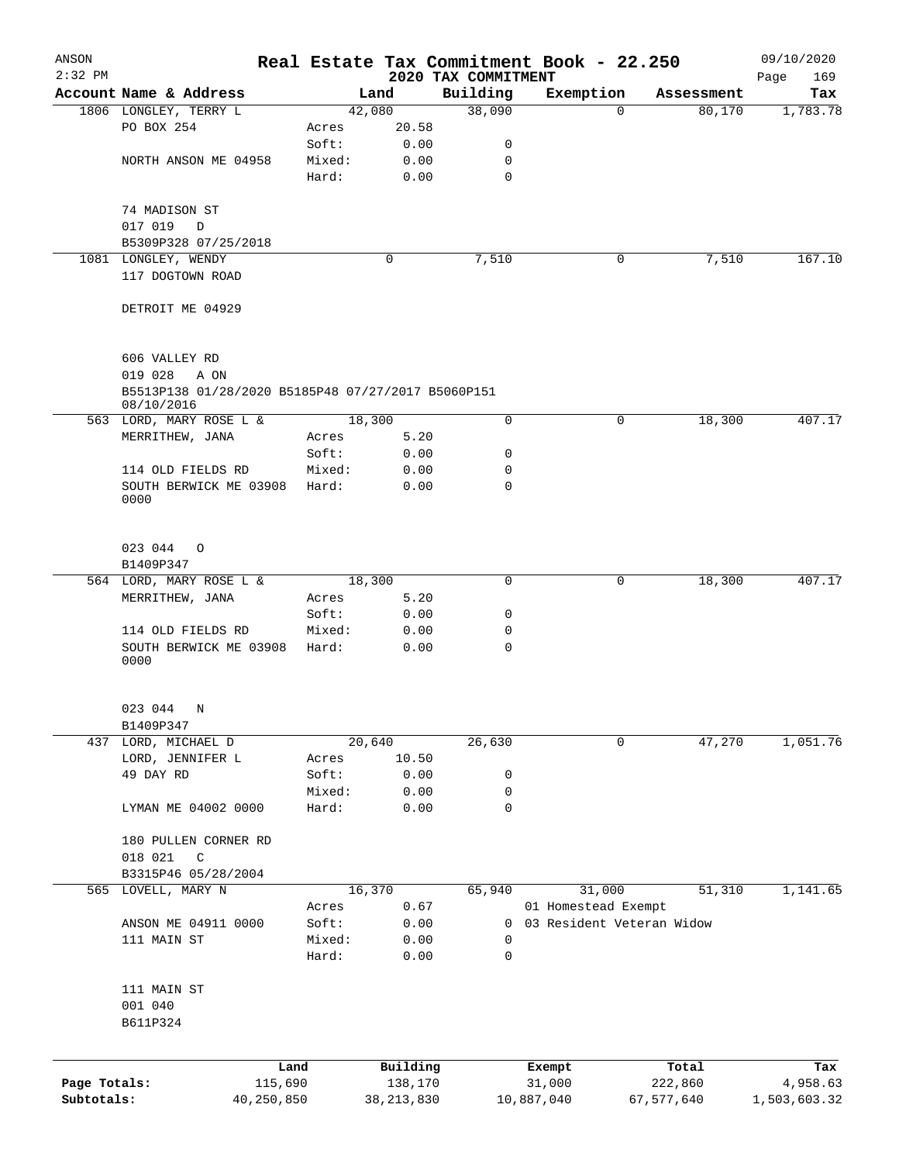| ANSON<br>$2:32$ PM |                                                                                        |            |        |              |                                 |             | Real Estate Tax Commitment Book - 22.250 |            | 09/10/2020         |
|--------------------|----------------------------------------------------------------------------------------|------------|--------|--------------|---------------------------------|-------------|------------------------------------------|------------|--------------------|
|                    | Account Name & Address                                                                 |            |        | Land         | 2020 TAX COMMITMENT<br>Building |             | Exemption                                | Assessment | 169<br>Page<br>Tax |
|                    | 1806 LONGLEY, TERRY L                                                                  |            |        | 42,080       | 38,090                          |             | $\Omega$                                 | 80,170     | 1,783.78           |
|                    | PO BOX 254                                                                             |            | Acres  | 20.58        |                                 |             |                                          |            |                    |
|                    |                                                                                        |            | Soft:  | 0.00         |                                 | 0           |                                          |            |                    |
|                    | NORTH ANSON ME 04958                                                                   |            | Mixed: | 0.00         |                                 | 0           |                                          |            |                    |
|                    |                                                                                        |            | Hard:  | 0.00         |                                 | 0           |                                          |            |                    |
|                    | 74 MADISON ST                                                                          |            |        |              |                                 |             |                                          |            |                    |
|                    | 017 019<br>$\Box$                                                                      |            |        |              |                                 |             |                                          |            |                    |
|                    | B5309P328 07/25/2018                                                                   |            |        |              |                                 |             |                                          |            |                    |
|                    | 1081 LONGLEY, WENDY                                                                    |            |        | $\mathbf 0$  | 7,510                           |             | 0                                        | 7,510      | 167.10             |
|                    | 117 DOGTOWN ROAD                                                                       |            |        |              |                                 |             |                                          |            |                    |
|                    | DETROIT ME 04929                                                                       |            |        |              |                                 |             |                                          |            |                    |
|                    | 606 VALLEY RD<br>019 028<br>A ON<br>B5513P138 01/28/2020 B5185P48 07/27/2017 B5060P151 |            |        |              |                                 |             |                                          |            |                    |
|                    | 08/10/2016                                                                             |            |        |              |                                 |             |                                          |            |                    |
|                    | 563 LORD, MARY ROSE L &                                                                |            |        | 18,300       |                                 | $\mathbf 0$ | 0                                        | 18,300     | 407.17             |
|                    | MERRITHEW, JANA                                                                        |            | Acres  | 5.20         |                                 |             |                                          |            |                    |
|                    |                                                                                        |            | Soft:  | 0.00         |                                 | 0           |                                          |            |                    |
|                    | 114 OLD FIELDS RD                                                                      |            | Mixed: | 0.00         |                                 | 0           |                                          |            |                    |
|                    | SOUTH BERWICK ME 03908<br>0000                                                         |            | Hard:  | 0.00         |                                 | 0           |                                          |            |                    |
|                    | 023 044<br>$\circ$                                                                     |            |        |              |                                 |             |                                          |            |                    |
|                    | B1409P347                                                                              |            |        |              |                                 |             |                                          |            |                    |
|                    | 564 LORD, MARY ROSE L &                                                                |            |        | 18,300       |                                 | 0           | 0                                        | 18,300     | 407.17             |
|                    | MERRITHEW, JANA                                                                        |            | Acres  | 5.20         |                                 |             |                                          |            |                    |
|                    |                                                                                        |            | Soft:  | 0.00         |                                 | 0           |                                          |            |                    |
|                    | 114 OLD FIELDS RD                                                                      |            | Mixed: | 0.00         |                                 | 0           |                                          |            |                    |
|                    | SOUTH BERWICK ME 03908<br>0000                                                         |            | Hard:  | 0.00         |                                 | $\mathbf 0$ |                                          |            |                    |
|                    | 023 044 N                                                                              |            |        |              |                                 |             |                                          |            |                    |
|                    | B1409P347                                                                              |            |        |              |                                 |             |                                          |            |                    |
|                    | 437 LORD, MICHAEL D                                                                    |            |        | 20,640       | 26,630                          |             | 0                                        | 47,270     | 1,051.76           |
|                    | LORD, JENNIFER L                                                                       |            | Acres  | 10.50        |                                 |             |                                          |            |                    |
|                    | 49 DAY RD                                                                              |            | Soft:  | 0.00         |                                 | 0           |                                          |            |                    |
|                    |                                                                                        |            | Mixed: | 0.00         |                                 | 0           |                                          |            |                    |
|                    | LYMAN ME 04002 0000                                                                    |            | Hard:  | 0.00         |                                 | 0           |                                          |            |                    |
|                    | 180 PULLEN CORNER RD                                                                   |            |        |              |                                 |             |                                          |            |                    |
|                    | 018 021<br>C                                                                           |            |        |              |                                 |             |                                          |            |                    |
|                    | B3315P46 05/28/2004                                                                    |            |        |              |                                 |             |                                          |            |                    |
|                    | 565 LOVELL, MARY N                                                                     |            |        | 16,370       | 65,940                          |             | 31,000                                   | 51,310     | 1,141.65           |
|                    |                                                                                        |            | Acres  | 0.67         |                                 |             | 01 Homestead Exempt                      |            |                    |
|                    | ANSON ME 04911 0000                                                                    |            | Soft:  | 0.00         |                                 | 0           | 03 Resident Veteran Widow                |            |                    |
|                    | 111 MAIN ST                                                                            |            | Mixed: | 0.00         |                                 | 0           |                                          |            |                    |
|                    |                                                                                        |            | Hard:  | 0.00         |                                 | 0           |                                          |            |                    |
|                    | 111 MAIN ST<br>001 040                                                                 |            |        |              |                                 |             |                                          |            |                    |
|                    | B611P324                                                                               |            |        |              |                                 |             |                                          |            |                    |
|                    |                                                                                        | Land       |        | Building     |                                 | Exempt      |                                          | Total      | Tax                |
| Page Totals:       |                                                                                        | 115,690    |        | 138,170      |                                 | 31,000      |                                          | 222,860    | 4,958.63           |
| Subtotals:         |                                                                                        | 40,250,850 |        | 38, 213, 830 |                                 | 10,887,040  |                                          | 67,577,640 | 1,503,603.32       |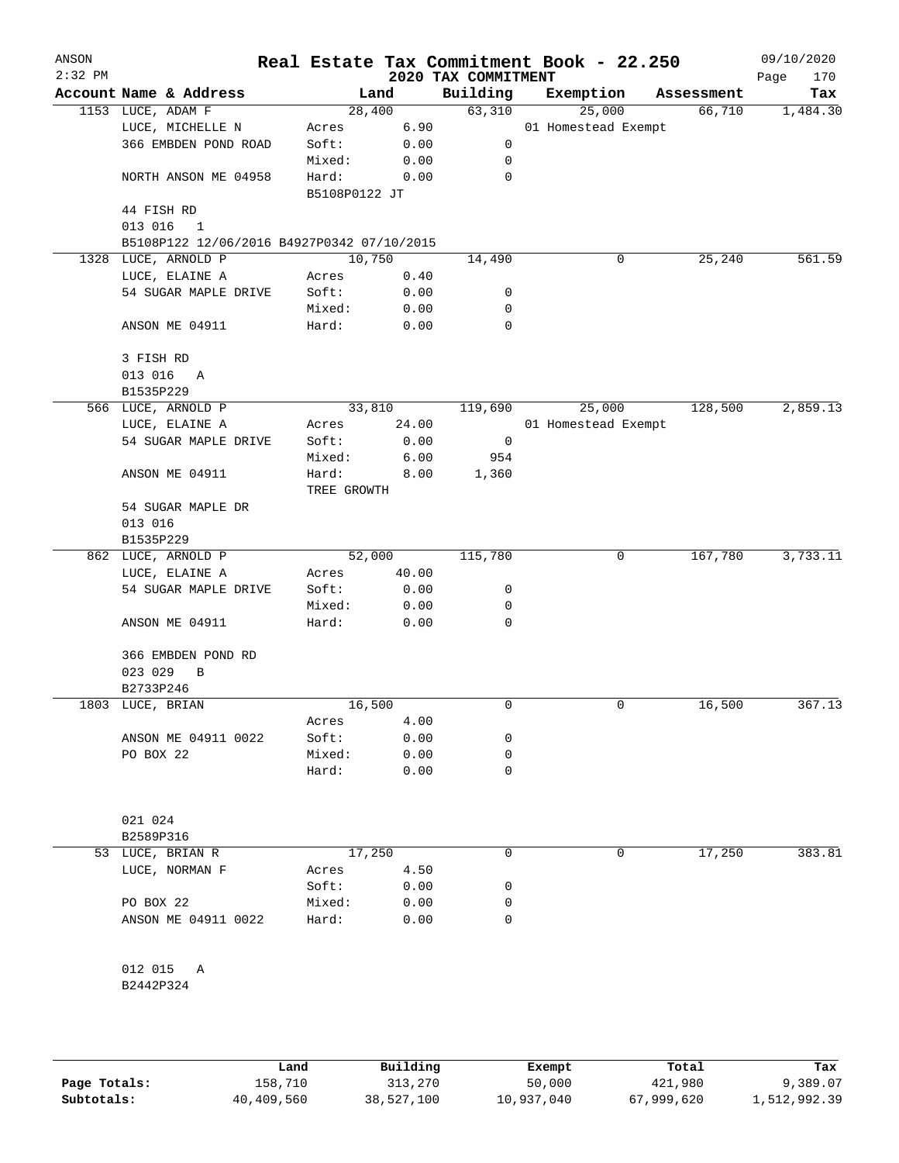| ANSON<br>$2:32$ PM |                                            |                      |        | 2020 TAX COMMITMENT | Real Estate Tax Commitment Book - 22.250 |            | 09/10/2020<br>170<br>Page |
|--------------------|--------------------------------------------|----------------------|--------|---------------------|------------------------------------------|------------|---------------------------|
|                    | Account Name & Address                     |                      | Land   | Building            | Exemption                                | Assessment | Tax                       |
|                    | 1153 LUCE, ADAM F                          | 28,400               |        | 63,310              | 25,000                                   | 66,710     | 1,484.30                  |
|                    | LUCE, MICHELLE N                           | Acres                | 6.90   |                     | 01 Homestead Exempt                      |            |                           |
|                    | 366 EMBDEN POND ROAD                       | Soft:                | 0.00   | 0                   |                                          |            |                           |
|                    |                                            | Mixed:               | 0.00   | 0                   |                                          |            |                           |
|                    | NORTH ANSON ME 04958                       | Hard:                | 0.00   | $\mathbf 0$         |                                          |            |                           |
|                    |                                            | B5108P0122 JT        |        |                     |                                          |            |                           |
|                    | 44 FISH RD                                 |                      |        |                     |                                          |            |                           |
|                    | 013 016<br>1                               |                      |        |                     |                                          |            |                           |
|                    | B5108P122 12/06/2016 B4927P0342 07/10/2015 |                      |        |                     |                                          |            |                           |
| 1328               | LUCE, ARNOLD P                             | 10,750               |        | 14,490              | 0                                        | 25,240     | 561.59                    |
|                    | LUCE, ELAINE A                             | Acres                | 0.40   |                     |                                          |            |                           |
|                    | 54 SUGAR MAPLE DRIVE                       | Soft:                | 0.00   | 0                   |                                          |            |                           |
|                    |                                            | Mixed:               | 0.00   | 0                   |                                          |            |                           |
|                    | ANSON ME 04911                             | Hard:                | 0.00   | 0                   |                                          |            |                           |
|                    | 3 FISH RD                                  |                      |        |                     |                                          |            |                           |
|                    | 013 016<br>Α                               |                      |        |                     |                                          |            |                           |
|                    | B1535P229                                  |                      |        |                     |                                          |            |                           |
|                    | 566 LUCE, ARNOLD P                         |                      | 33,810 | 119,690             | 25,000                                   | 128,500    | 2,859.13                  |
|                    | LUCE, ELAINE A                             | Acres                | 24.00  |                     | 01 Homestead Exempt                      |            |                           |
|                    | 54 SUGAR MAPLE DRIVE                       | Soft:                | 0.00   | 0                   |                                          |            |                           |
|                    |                                            | Mixed:               | 6.00   | 954                 |                                          |            |                           |
|                    | ANSON ME 04911                             | Hard:<br>TREE GROWTH | 8.00   | 1,360               |                                          |            |                           |
|                    | 54 SUGAR MAPLE DR                          |                      |        |                     |                                          |            |                           |
|                    | 013 016                                    |                      |        |                     |                                          |            |                           |
|                    | B1535P229                                  |                      |        |                     |                                          |            |                           |
|                    | 862 LUCE, ARNOLD P                         |                      | 52,000 | 115,780             | 0                                        | 167,780    | 3,733.11                  |
|                    | LUCE, ELAINE A                             | Acres                | 40.00  |                     |                                          |            |                           |
|                    | 54 SUGAR MAPLE DRIVE                       | Soft:                | 0.00   | 0                   |                                          |            |                           |
|                    |                                            | Mixed:               | 0.00   | 0                   |                                          |            |                           |
|                    | ANSON ME 04911                             | Hard:                | 0.00   | 0                   |                                          |            |                           |
|                    | 366 EMBDEN POND RD                         |                      |        |                     |                                          |            |                           |
|                    | 023 029<br>B                               |                      |        |                     |                                          |            |                           |
|                    | B2733P246                                  |                      |        |                     |                                          |            |                           |
|                    | 1803 LUCE, BRIAN                           | 16,500               |        | 0                   | 0                                        | 16,500     | 367.13                    |
|                    |                                            | Acres                | 4.00   |                     |                                          |            |                           |
|                    | ANSON ME 04911 0022                        | Soft:                | 0.00   | 0                   |                                          |            |                           |
|                    | PO BOX 22                                  | Mixed:               | 0.00   | 0                   |                                          |            |                           |
|                    |                                            | Hard:                | 0.00   | 0                   |                                          |            |                           |
|                    | 021 024                                    |                      |        |                     |                                          |            |                           |
|                    | B2589P316                                  |                      |        |                     |                                          |            |                           |
| 53                 | LUCE, BRIAN R                              | 17,250               |        | 0                   | 0                                        | 17,250     | 383.81                    |
|                    | LUCE, NORMAN F                             | Acres                | 4.50   |                     |                                          |            |                           |
|                    |                                            | Soft:                | 0.00   | 0                   |                                          |            |                           |
|                    | PO BOX 22                                  | Mixed:               | 0.00   | 0                   |                                          |            |                           |
|                    | ANSON ME 04911 0022                        |                      | 0.00   | 0                   |                                          |            |                           |
|                    |                                            | Hard:                |        |                     |                                          |            |                           |
|                    | 012 015<br>Α                               |                      |        |                     |                                          |            |                           |
|                    | B2442P324                                  |                      |        |                     |                                          |            |                           |
|                    |                                            |                      |        |                     |                                          |            |                           |
|                    |                                            |                      |        |                     |                                          |            |                           |

|              | Land       | Building   | Exempt     | Total      | Tax          |
|--------------|------------|------------|------------|------------|--------------|
| Page Totals: | 158,710    | 313,270    | 50,000     | 421,980    | 9,389.07     |
| Subtotals:   | 40,409,560 | 38,527,100 | 10,937,040 | 67,999,620 | 1,512,992.39 |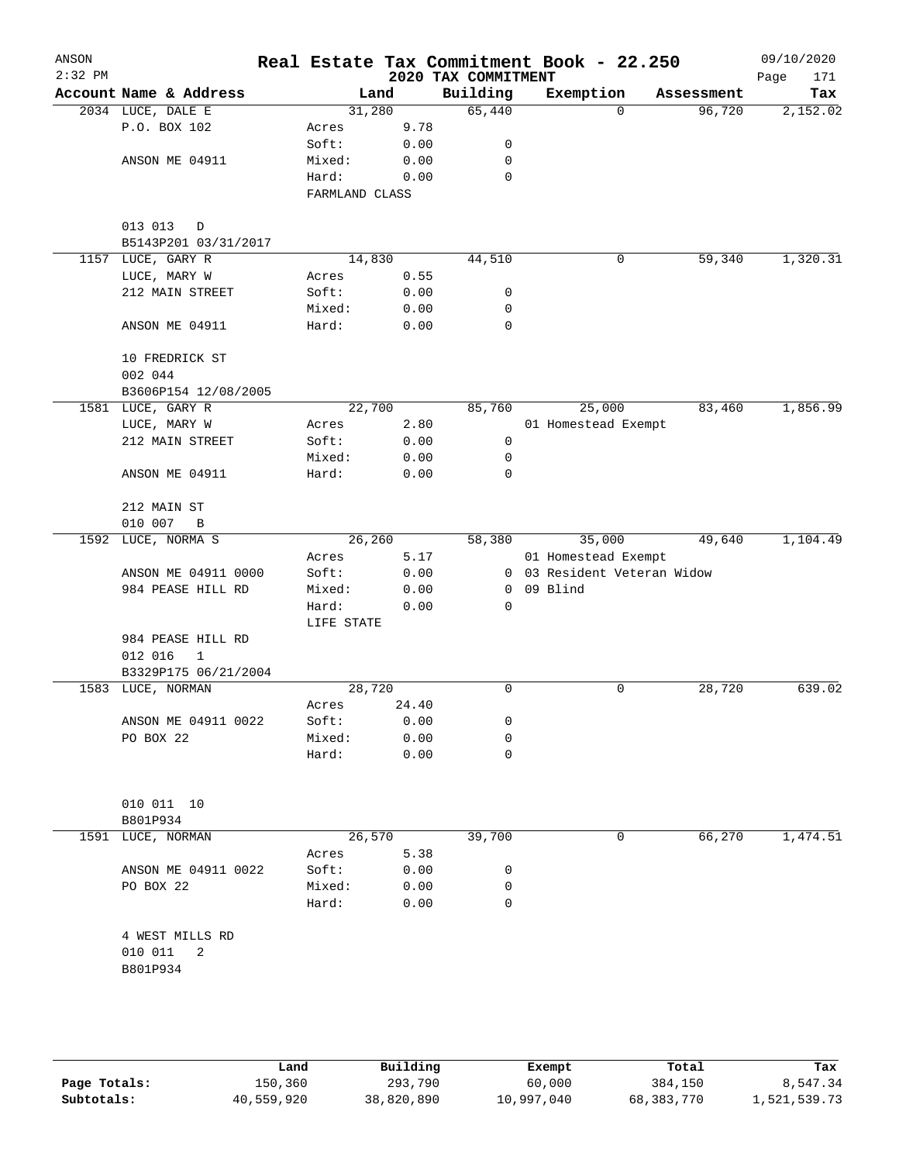| ANSON<br>$2:32$ PM |                         |                |       |                                 | Real Estate Tax Commitment Book - 22.250 |            | 09/10/2020         |
|--------------------|-------------------------|----------------|-------|---------------------------------|------------------------------------------|------------|--------------------|
|                    | Account Name & Address  |                | Land  | 2020 TAX COMMITMENT<br>Building | Exemption                                | Assessment | 171<br>Page<br>Tax |
|                    | 2034 LUCE, DALE E       | 31,280         |       | 65,440                          | $\Omega$                                 | 96,720     | 2,152.02           |
|                    | P.O. BOX 102            | Acres          | 9.78  |                                 |                                          |            |                    |
|                    |                         | Soft:          | 0.00  | 0                               |                                          |            |                    |
|                    | ANSON ME 04911          | Mixed:         | 0.00  | $\mathbf 0$                     |                                          |            |                    |
|                    |                         | Hard:          | 0.00  | $\mathbf 0$                     |                                          |            |                    |
|                    |                         | FARMLAND CLASS |       |                                 |                                          |            |                    |
|                    |                         |                |       |                                 |                                          |            |                    |
|                    | 013 013<br>D            |                |       |                                 |                                          |            |                    |
|                    | B5143P201 03/31/2017    |                |       |                                 |                                          |            |                    |
|                    | 1157 LUCE, GARY R       | 14,830         |       | 44,510                          | 0                                        | 59,340     | 1,320.31           |
|                    | LUCE, MARY W            | Acres          | 0.55  |                                 |                                          |            |                    |
|                    | 212 MAIN STREET         | Soft:          | 0.00  | 0                               |                                          |            |                    |
|                    |                         | Mixed:         | 0.00  | 0                               |                                          |            |                    |
|                    | ANSON ME 04911          | Hard:          | 0.00  | $\mathbf 0$                     |                                          |            |                    |
|                    |                         |                |       |                                 |                                          |            |                    |
|                    | 10 FREDRICK ST          |                |       |                                 |                                          |            |                    |
|                    | 002 044                 |                |       |                                 |                                          |            |                    |
|                    | B3606P154 12/08/2005    |                |       |                                 |                                          |            |                    |
|                    | 1581 LUCE, GARY R       | 22,700         |       | 85,760                          | 25,000                                   | 83,460     | 1,856.99           |
|                    | LUCE, MARY W            | Acres          | 2.80  |                                 | 01 Homestead Exempt                      |            |                    |
|                    | 212 MAIN STREET         | Soft:          | 0.00  | 0                               |                                          |            |                    |
|                    |                         | Mixed:         | 0.00  | 0                               |                                          |            |                    |
|                    |                         |                |       | 0                               |                                          |            |                    |
|                    | ANSON ME 04911          | Hard:          | 0.00  |                                 |                                          |            |                    |
|                    | 212 MAIN ST             |                |       |                                 |                                          |            |                    |
|                    | 010 007<br>$\, {\bf B}$ |                |       |                                 |                                          |            |                    |
| 1592               | LUCE, NORMA S           | 26,260         |       | 58,380                          | 35,000                                   | 49,640     | 1,104.49           |
|                    |                         |                | 5.17  |                                 |                                          |            |                    |
|                    |                         | Acres          |       |                                 | 01 Homestead Exempt                      |            |                    |
|                    | ANSON ME 04911 0000     | Soft:          | 0.00  |                                 | 0 03 Resident Veteran Widow<br>09 Blind  |            |                    |
|                    | 984 PEASE HILL RD       | Mixed:         | 0.00  | 0                               |                                          |            |                    |
|                    |                         | Hard:          | 0.00  | 0                               |                                          |            |                    |
|                    |                         | LIFE STATE     |       |                                 |                                          |            |                    |
|                    | 984 PEASE HILL RD       |                |       |                                 |                                          |            |                    |
|                    | 012 016<br>$\mathbf 1$  |                |       |                                 |                                          |            |                    |
|                    | B3329P175 06/21/2004    |                |       |                                 |                                          |            |                    |
|                    | 1583 LUCE, NORMAN       | 28,720         |       | 0                               | 0                                        | 28,720     | 639.02             |
|                    |                         | Acres          | 24.40 |                                 |                                          |            |                    |
|                    | ANSON ME 04911 0022     | Soft:          | 0.00  | 0                               |                                          |            |                    |
|                    | PO BOX 22               | Mixed:         | 0.00  | 0                               |                                          |            |                    |
|                    |                         | Hard:          | 0.00  | $\mathbf 0$                     |                                          |            |                    |
|                    |                         |                |       |                                 |                                          |            |                    |
|                    | 010 011 10              |                |       |                                 |                                          |            |                    |
|                    | B801P934                |                |       |                                 |                                          |            |                    |
| 1591               | LUCE, NORMAN            | 26,570         |       | 39,700                          | 0                                        | 66,270     | 1,474.51           |
|                    |                         | Acres          | 5.38  |                                 |                                          |            |                    |
|                    | ANSON ME 04911 0022     | Soft:          | 0.00  | 0                               |                                          |            |                    |
|                    | PO BOX 22               | Mixed:         | 0.00  | 0                               |                                          |            |                    |
|                    |                         | Hard:          | 0.00  | $\mathbf 0$                     |                                          |            |                    |
|                    |                         |                |       |                                 |                                          |            |                    |
|                    | 4 WEST MILLS RD         |                |       |                                 |                                          |            |                    |
|                    | 010 011<br>2            |                |       |                                 |                                          |            |                    |
|                    | B801P934                |                |       |                                 |                                          |            |                    |
|                    |                         |                |       |                                 |                                          |            |                    |
|                    |                         |                |       |                                 |                                          |            |                    |
|                    |                         |                |       |                                 |                                          |            |                    |
|                    |                         |                |       |                                 |                                          |            |                    |
|                    |                         |                |       |                                 |                                          |            |                    |

|              | Land       | Building   | Exempt     | Total      | Tax          |
|--------------|------------|------------|------------|------------|--------------|
| Page Totals: | 150,360    | 293,790    | 60,000     | 384,150    | 8,547.34     |
| Subtotals:   | 40,559,920 | 38,820,890 | 10,997,040 | 68,383,770 | 1,521,539.73 |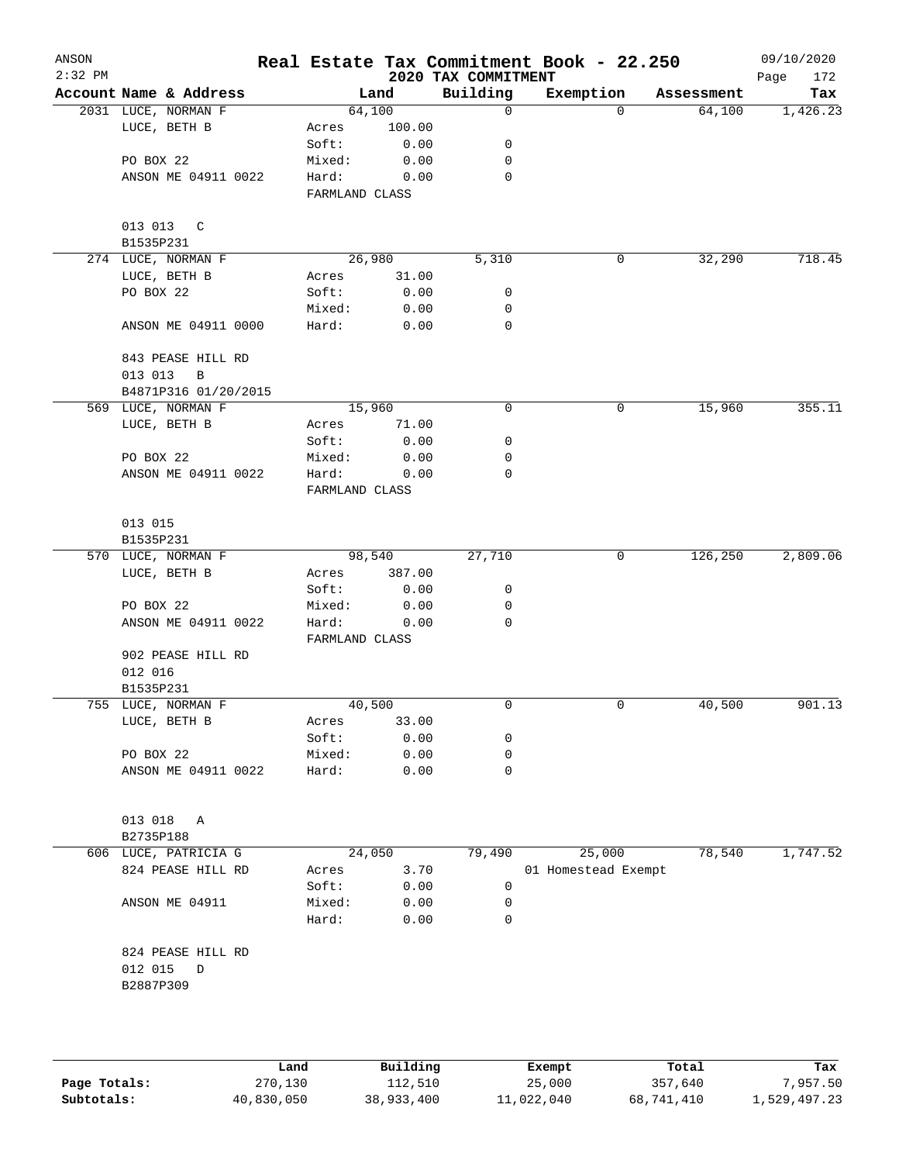| ANSON<br>$2:32$ PM |                         |                         |        | 2020 TAX COMMITMENT | Real Estate Tax Commitment Book - 22.250 |            | 09/10/2020<br>Page<br>172 |
|--------------------|-------------------------|-------------------------|--------|---------------------|------------------------------------------|------------|---------------------------|
|                    | Account Name & Address  |                         | Land   | Building            | Exemption                                | Assessment | Tax                       |
|                    | 2031 LUCE, NORMAN F     |                         | 64,100 | $\mathsf{O}$        | $\Omega$                                 | 64,100     | 1,426.23                  |
|                    | LUCE, BETH B            | Acres                   | 100.00 |                     |                                          |            |                           |
|                    |                         | Soft:                   | 0.00   | 0                   |                                          |            |                           |
|                    | PO BOX 22               | Mixed:                  | 0.00   | 0                   |                                          |            |                           |
|                    | ANSON ME 04911 0022     | Hard:                   | 0.00   | $\mathbf 0$         |                                          |            |                           |
|                    |                         | FARMLAND CLASS          |        |                     |                                          |            |                           |
|                    | 013 013 C               |                         |        |                     |                                          |            |                           |
|                    | B1535P231               |                         |        |                     |                                          |            |                           |
|                    | 274 LUCE, NORMAN F      |                         | 26,980 | 5,310               | 0                                        | 32,290     | 718.45                    |
|                    | LUCE, BETH B            | Acres                   | 31.00  |                     |                                          |            |                           |
|                    | PO BOX 22               | Soft:                   | 0.00   | 0                   |                                          |            |                           |
|                    |                         | Mixed:                  | 0.00   | 0                   |                                          |            |                           |
|                    | ANSON ME 04911 0000     | Hard:                   | 0.00   | $\mathbf 0$         |                                          |            |                           |
|                    | 843 PEASE HILL RD       |                         |        |                     |                                          |            |                           |
|                    | 013 013<br>$\, {\bf B}$ |                         |        |                     |                                          |            |                           |
|                    | B4871P316 01/20/2015    |                         |        |                     |                                          |            |                           |
|                    | 569 LUCE, NORMAN F      |                         | 15,960 | 0                   | 0                                        | 15,960     | 355.11                    |
|                    | LUCE, BETH B            | Acres                   | 71.00  |                     |                                          |            |                           |
|                    |                         | Soft:                   | 0.00   | 0                   |                                          |            |                           |
|                    | PO BOX 22               | Mixed:                  | 0.00   | 0                   |                                          |            |                           |
|                    | ANSON ME 04911 0022     | Hard:<br>FARMLAND CLASS | 0.00   | 0                   |                                          |            |                           |
|                    |                         |                         |        |                     |                                          |            |                           |
|                    | 013 015<br>B1535P231    |                         |        |                     |                                          |            |                           |
|                    | 570 LUCE, NORMAN F      |                         | 98,540 | 27,710              | 0                                        | 126,250    | 2,809.06                  |
|                    |                         |                         |        |                     |                                          |            |                           |
|                    | LUCE, BETH B            | Acres                   | 387.00 |                     |                                          |            |                           |
|                    |                         | Soft:                   | 0.00   | 0                   |                                          |            |                           |
|                    | PO BOX 22               | Mixed:                  | 0.00   | 0                   |                                          |            |                           |
|                    | ANSON ME 04911 0022     | Hard:<br>FARMLAND CLASS | 0.00   | 0                   |                                          |            |                           |
|                    | 902 PEASE HILL RD       |                         |        |                     |                                          |            |                           |
|                    | 012 016                 |                         |        |                     |                                          |            |                           |
|                    | B1535P231               |                         |        |                     |                                          |            |                           |
|                    | 755 LUCE, NORMAN F      |                         | 40,500 | 0                   | 0                                        | 40,500     | 901.13                    |
|                    | LUCE, BETH B            | Acres                   | 33.00  |                     |                                          |            |                           |
|                    |                         | Soft:                   | 0.00   | 0                   |                                          |            |                           |
|                    | PO BOX 22               | Mixed:                  | 0.00   | 0                   |                                          |            |                           |
|                    | ANSON ME 04911 0022     | Hard:                   | 0.00   | $\mathbf 0$         |                                          |            |                           |
|                    |                         |                         |        |                     |                                          |            |                           |
|                    | 013 018<br>Α            |                         |        |                     |                                          |            |                           |
|                    | B2735P188               |                         |        |                     |                                          |            |                           |
|                    | 606 LUCE, PATRICIA G    |                         | 24,050 | 79,490              | 25,000                                   | 78,540     | 1,747.52                  |
|                    | 824 PEASE HILL RD       | Acres                   | 3.70   |                     | 01 Homestead Exempt                      |            |                           |
|                    |                         | Soft:                   | 0.00   | 0                   |                                          |            |                           |
|                    | ANSON ME 04911          | Mixed:                  | 0.00   | 0                   |                                          |            |                           |
|                    |                         | Hard:                   | 0.00   | $\mathbf 0$         |                                          |            |                           |
|                    | 824 PEASE HILL RD       |                         |        |                     |                                          |            |                           |
|                    | 012 015<br>D            |                         |        |                     |                                          |            |                           |
|                    | B2887P309               |                         |        |                     |                                          |            |                           |
|                    |                         |                         |        |                     |                                          |            |                           |
|                    |                         |                         |        |                     |                                          |            |                           |
|                    |                         |                         |        |                     |                                          |            |                           |

|              | Land       | Building   | Exempt     | Total      | Tax          |
|--------------|------------|------------|------------|------------|--------------|
| Page Totals: | 270,130    | 112,510    | 25,000     | 357,640    | 7,957.50     |
| Subtotals:   | 40,830,050 | 38,933,400 | 11,022,040 | 68,741,410 | 1,529,497.23 |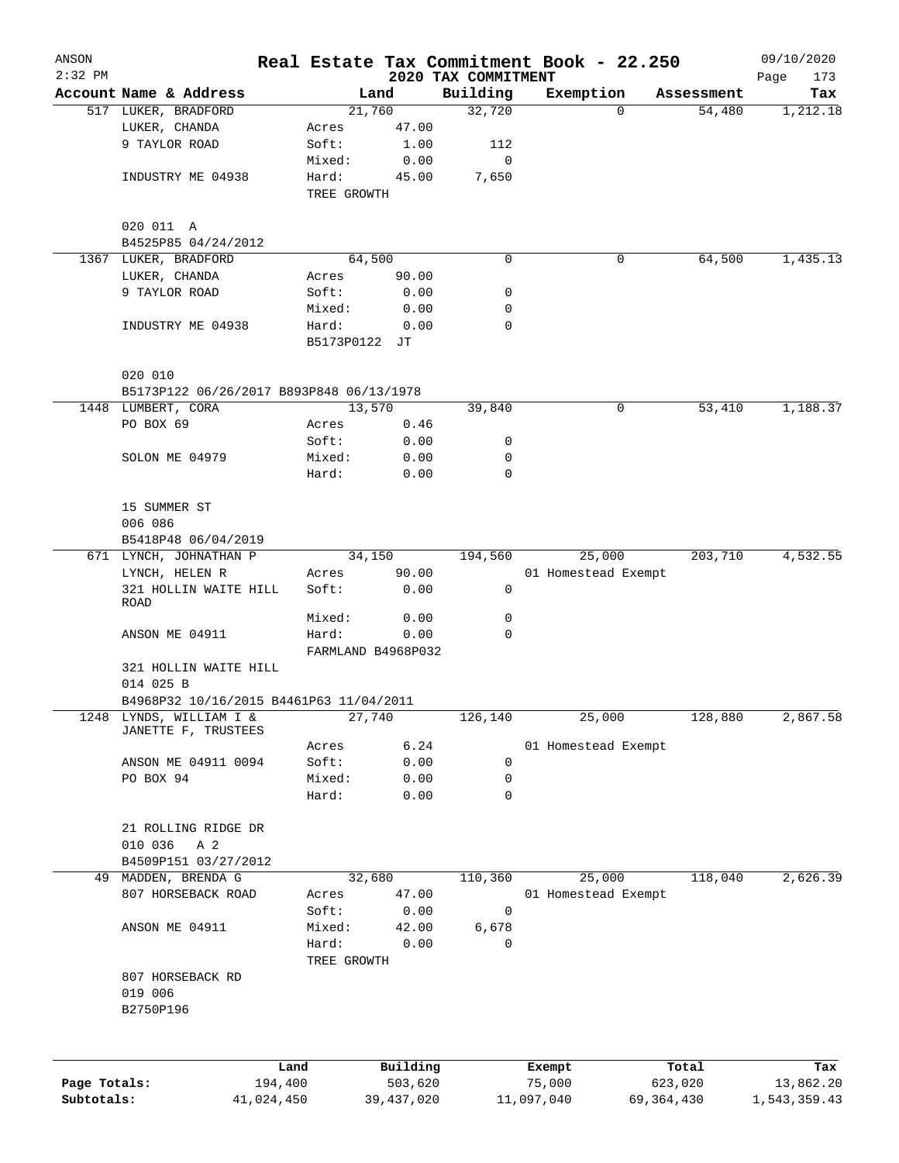| ANSON        |                                           |            |                      |              |                     | Real Estate Tax Commitment Book - 22.250 |              | 09/10/2020   |
|--------------|-------------------------------------------|------------|----------------------|--------------|---------------------|------------------------------------------|--------------|--------------|
| $2:32$ PM    |                                           |            |                      |              | 2020 TAX COMMITMENT |                                          |              | Page<br>173  |
|              | Account Name & Address                    |            |                      | Land         | Building            | Exemption                                | Assessment   | Tax          |
|              | 517 LUKER, BRADFORD                       |            |                      | 21,760       | 32,720              | $\mathbf 0$                              | 54,480       | 1,212.18     |
|              | LUKER, CHANDA                             |            | Acres                | 47.00        |                     |                                          |              |              |
|              | 9 TAYLOR ROAD                             |            | Soft:                | 1.00         | 112                 |                                          |              |              |
|              |                                           |            | Mixed:               | 0.00         | 0                   |                                          |              |              |
|              | INDUSTRY ME 04938                         |            | Hard:<br>TREE GROWTH | 45.00        | 7,650               |                                          |              |              |
|              |                                           |            |                      |              |                     |                                          |              |              |
|              | 020 011 A                                 |            |                      |              |                     |                                          |              |              |
|              | B4525P85 04/24/2012                       |            |                      |              |                     |                                          |              |              |
|              | 1367 LUKER, BRADFORD                      |            |                      | 64,500       | $\Omega$            | 0                                        | 64,500       | 1,435.13     |
|              | LUKER, CHANDA                             |            | Acres                | 90.00        |                     |                                          |              |              |
|              | 9 TAYLOR ROAD                             |            | Soft:                | 0.00         | 0                   |                                          |              |              |
|              |                                           |            | Mixed:               | 0.00         | 0                   |                                          |              |              |
|              | INDUSTRY ME 04938                         |            | Hard:                | 0.00         | 0                   |                                          |              |              |
|              |                                           |            | B5173P0122 JT        |              |                     |                                          |              |              |
|              | 020 010                                   |            |                      |              |                     |                                          |              |              |
|              | B5173P122 06/26/2017 B893P848 06/13/1978  |            |                      |              |                     |                                          |              |              |
|              | 1448 LUMBERT, CORA                        |            |                      | 13,570       | 39,840              | 0                                        | 53,410       | 1,188.37     |
|              | PO BOX 69                                 |            | Acres                | 0.46         |                     |                                          |              |              |
|              |                                           |            | Soft:                | 0.00         | 0                   |                                          |              |              |
|              | SOLON ME 04979                            |            | Mixed:               | 0.00         | 0                   |                                          |              |              |
|              |                                           |            | Hard:                | 0.00         | 0                   |                                          |              |              |
|              | 15 SUMMER ST                              |            |                      |              |                     |                                          |              |              |
|              | 006 086                                   |            |                      |              |                     |                                          |              |              |
|              | B5418P48 06/04/2019                       |            |                      |              |                     |                                          |              |              |
|              | 671 LYNCH, JOHNATHAN P                    |            |                      | 34,150       | 194,560             | 25,000                                   | 203,710      | 4,532.55     |
|              | LYNCH, HELEN R                            |            | Acres                | 90.00        |                     | 01 Homestead Exempt                      |              |              |
|              | 321 HOLLIN WAITE HILL<br>ROAD             |            | Soft:                | 0.00         | 0                   |                                          |              |              |
|              |                                           |            | Mixed:               | 0.00         | 0                   |                                          |              |              |
|              | ANSON ME 04911                            |            | Hard:                | 0.00         | 0                   |                                          |              |              |
|              |                                           |            | FARMLAND B4968P032   |              |                     |                                          |              |              |
|              | 321 HOLLIN WAITE HILL<br>014 025 B        |            |                      |              |                     |                                          |              |              |
|              | B4968P32 10/16/2015 B4461P63 11/04/2011   |            |                      |              |                     |                                          |              |              |
| 1248         | LYNDS, WILLIAM I &<br>JANETTE F, TRUSTEES |            |                      | 27,740       | 126,140             | 25,000                                   | 128,880      | 2,867.58     |
|              |                                           |            | Acres                | 6.24         |                     | 01 Homestead Exempt                      |              |              |
|              | ANSON ME 04911 0094                       |            | Soft:                | 0.00         | 0                   |                                          |              |              |
|              | PO BOX 94                                 |            | Mixed:               | 0.00         | 0                   |                                          |              |              |
|              |                                           |            | Hard:                | 0.00         | 0                   |                                          |              |              |
|              | 21 ROLLING RIDGE DR                       |            |                      |              |                     |                                          |              |              |
|              | 010 036<br>A 2                            |            |                      |              |                     |                                          |              |              |
|              | B4509P151 03/27/2012                      |            |                      |              |                     |                                          |              |              |
| 49           | MADDEN, BRENDA G                          |            |                      | 32,680       | 110,360             | 25,000                                   | 118,040      | 2,626.39     |
|              | 807 HORSEBACK ROAD                        |            | Acres                | 47.00        |                     | 01 Homestead Exempt                      |              |              |
|              |                                           |            | Soft:                | 0.00         | 0                   |                                          |              |              |
|              | ANSON ME 04911                            |            | Mixed:               | 42.00        | 6,678               |                                          |              |              |
|              |                                           |            | Hard:                | 0.00         | 0                   |                                          |              |              |
|              | 807 HORSEBACK RD                          |            | TREE GROWTH          |              |                     |                                          |              |              |
|              | 019 006                                   |            |                      |              |                     |                                          |              |              |
|              | B2750P196                                 |            |                      |              |                     |                                          |              |              |
|              |                                           |            |                      |              |                     |                                          |              |              |
|              |                                           | Land       |                      | Building     |                     | Exempt                                   | Total        | Tax          |
| Page Totals: |                                           | 194,400    |                      | 503,620      |                     | 75,000                                   | 623,020      | 13,862.20    |
| Subtotals:   |                                           | 41,024,450 |                      | 39, 437, 020 |                     | 11,097,040                               | 69, 364, 430 | 1,543,359.43 |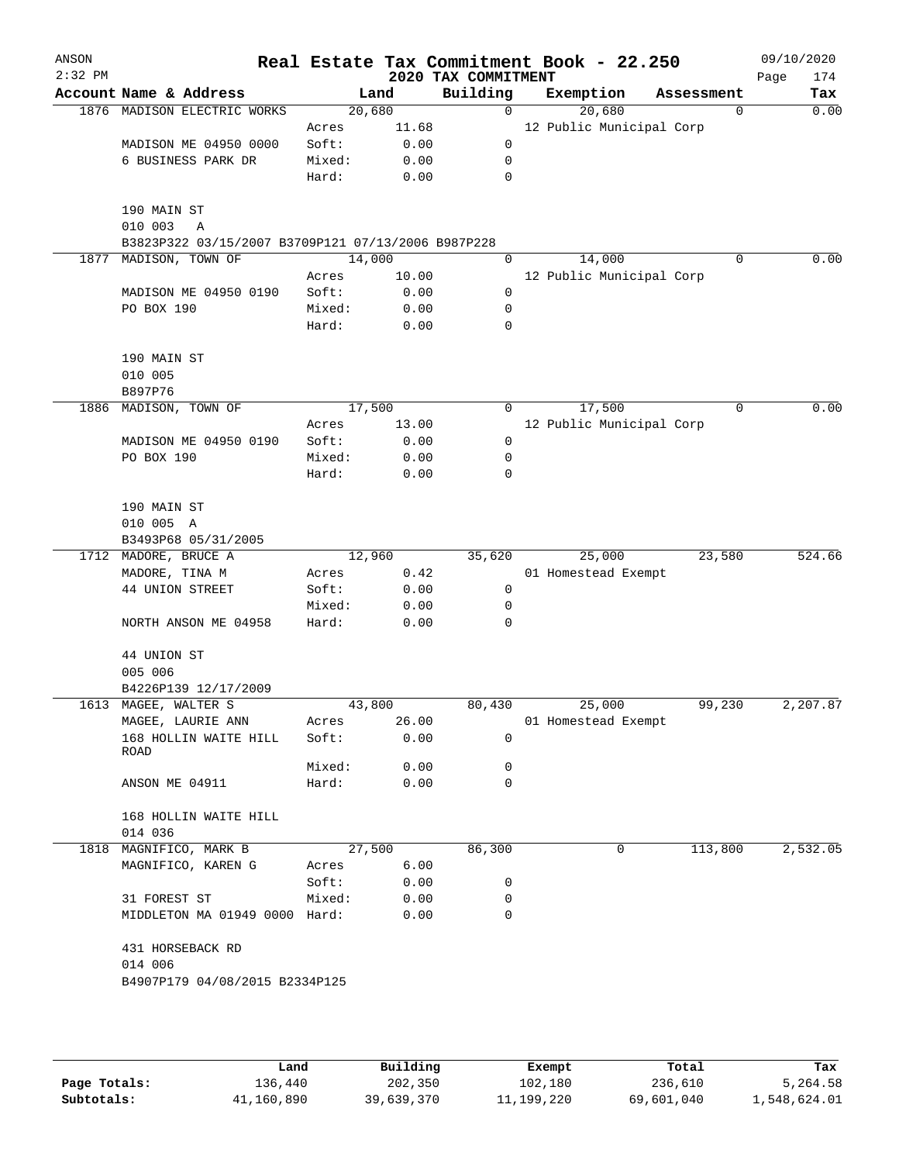| ANSON<br>$2:32$ PM |                                                    |                 |              | 2020 TAX COMMITMENT | Real Estate Tax Commitment Book - 22.250 |             | 09/10/2020<br>174<br>Page |
|--------------------|----------------------------------------------------|-----------------|--------------|---------------------|------------------------------------------|-------------|---------------------------|
|                    | Account Name & Address                             |                 | Land         | Building            | Exemption                                | Assessment  | Tax                       |
|                    | 1876 MADISON ELECTRIC WORKS                        | 20,680          |              | $\mathbf 0$         | 20,680                                   | $\mathbf 0$ | 0.00                      |
|                    |                                                    | Acres           | 11.68        |                     | 12 Public Municipal Corp                 |             |                           |
|                    | MADISON ME 04950 0000                              | Soft:           | 0.00         | 0                   |                                          |             |                           |
|                    | 6 BUSINESS PARK DR                                 | Mixed:          | 0.00         | 0                   |                                          |             |                           |
|                    |                                                    | Hard:           | 0.00         | 0                   |                                          |             |                           |
|                    |                                                    |                 |              |                     |                                          |             |                           |
|                    | 190 MAIN ST<br>010 003<br>Α                        |                 |              |                     |                                          |             |                           |
|                    | B3823P322 03/15/2007 B3709P121 07/13/2006 B987P228 |                 |              |                     |                                          |             |                           |
| 1877               | MADISON, TOWN OF                                   | 14,000          |              | $\Omega$            | 14,000                                   | $\Omega$    | 0.00                      |
|                    |                                                    | Acres           | 10.00        |                     | 12 Public Municipal Corp                 |             |                           |
|                    | MADISON ME 04950 0190                              | Soft:           | 0.00         | 0                   |                                          |             |                           |
|                    | PO BOX 190                                         | Mixed:          | 0.00         | 0                   |                                          |             |                           |
|                    |                                                    | Hard:           | 0.00         | 0                   |                                          |             |                           |
|                    |                                                    |                 |              |                     |                                          |             |                           |
|                    | 190 MAIN ST                                        |                 |              |                     |                                          |             |                           |
|                    | 010 005                                            |                 |              |                     |                                          |             |                           |
| 1886               | B897P76<br>MADISON, TOWN OF                        | 17,500          |              | 0                   | 17,500                                   | 0           | 0.00                      |
|                    |                                                    | Acres           | 13.00        |                     | 12 Public Municipal Corp                 |             |                           |
|                    | MADISON ME 04950 0190                              | Soft:           | 0.00         | 0                   |                                          |             |                           |
|                    | PO BOX 190                                         | Mixed:          | 0.00         | 0                   |                                          |             |                           |
|                    |                                                    | Hard:           | 0.00         | 0                   |                                          |             |                           |
|                    |                                                    |                 |              |                     |                                          |             |                           |
|                    | 190 MAIN ST                                        |                 |              |                     |                                          |             |                           |
|                    | 010 005 A                                          |                 |              |                     |                                          |             |                           |
|                    | B3493P68 05/31/2005                                |                 |              |                     |                                          |             |                           |
|                    | 1712 MADORE, BRUCE A                               | 12,960          |              | 35,620              | 25,000                                   | 23,580      | 524.66                    |
|                    | MADORE, TINA M                                     | Acres           | 0.42         |                     | 01 Homestead Exempt                      |             |                           |
|                    | 44 UNION STREET                                    | Soft:           | 0.00         | 0<br>0              |                                          |             |                           |
|                    | NORTH ANSON ME 04958                               | Mixed:<br>Hard: | 0.00<br>0.00 | 0                   |                                          |             |                           |
|                    |                                                    |                 |              |                     |                                          |             |                           |
|                    | 44 UNION ST                                        |                 |              |                     |                                          |             |                           |
|                    | 005 006                                            |                 |              |                     |                                          |             |                           |
|                    | B4226P139 12/17/2009                               |                 |              |                     |                                          |             |                           |
|                    | 1613 MAGEE, WALTER S                               | 43,800          |              | 80,430              | 25,000                                   | 99,230      | 2,207.87                  |
|                    | MAGEE, LAURIE ANN                                  | Acres           | 26.00        |                     | 01 Homestead Exempt                      |             |                           |
|                    | 168 HOLLIN WAITE HILL                              | Soft:           | 0.00         | 0                   |                                          |             |                           |
|                    | ROAD                                               | Mixed:          | 0.00         | 0                   |                                          |             |                           |
|                    | ANSON ME 04911                                     | Hard:           | 0.00         | 0                   |                                          |             |                           |
|                    |                                                    |                 |              |                     |                                          |             |                           |
|                    | 168 HOLLIN WAITE HILL                              |                 |              |                     |                                          |             |                           |
|                    | 014 036                                            |                 |              |                     |                                          |             |                           |
| 1818               | MAGNIFICO, MARK B                                  | 27,500          |              | 86,300              | $\mathbf 0$                              | 113,800     | 2,532.05                  |
|                    | MAGNIFICO, KAREN G                                 | Acres           | 6.00         |                     |                                          |             |                           |
|                    |                                                    | Soft:           | 0.00         | 0                   |                                          |             |                           |
|                    | 31 FOREST ST                                       | Mixed:          | 0.00         | 0                   |                                          |             |                           |
|                    | MIDDLETON MA 01949 0000 Hard:                      |                 | 0.00         | 0                   |                                          |             |                           |
|                    |                                                    |                 |              |                     |                                          |             |                           |
|                    | 431 HORSEBACK RD<br>014 006                        |                 |              |                     |                                          |             |                           |
|                    | B4907P179 04/08/2015 B2334P125                     |                 |              |                     |                                          |             |                           |
|                    |                                                    |                 |              |                     |                                          |             |                           |
|                    |                                                    |                 |              |                     |                                          |             |                           |
|                    |                                                    |                 |              |                     |                                          |             |                           |
|                    |                                                    |                 |              |                     |                                          |             |                           |

|              | Land       | Building   | Exempt     | Total      | Tax          |
|--------------|------------|------------|------------|------------|--------------|
| Page Totals: | 136,440    | 202,350    | 102,180    | 236,610    | 5,264.58     |
| Subtotals:   | 41,160,890 | 39,639,370 | 11,199,220 | 69,601,040 | 1,548,624.01 |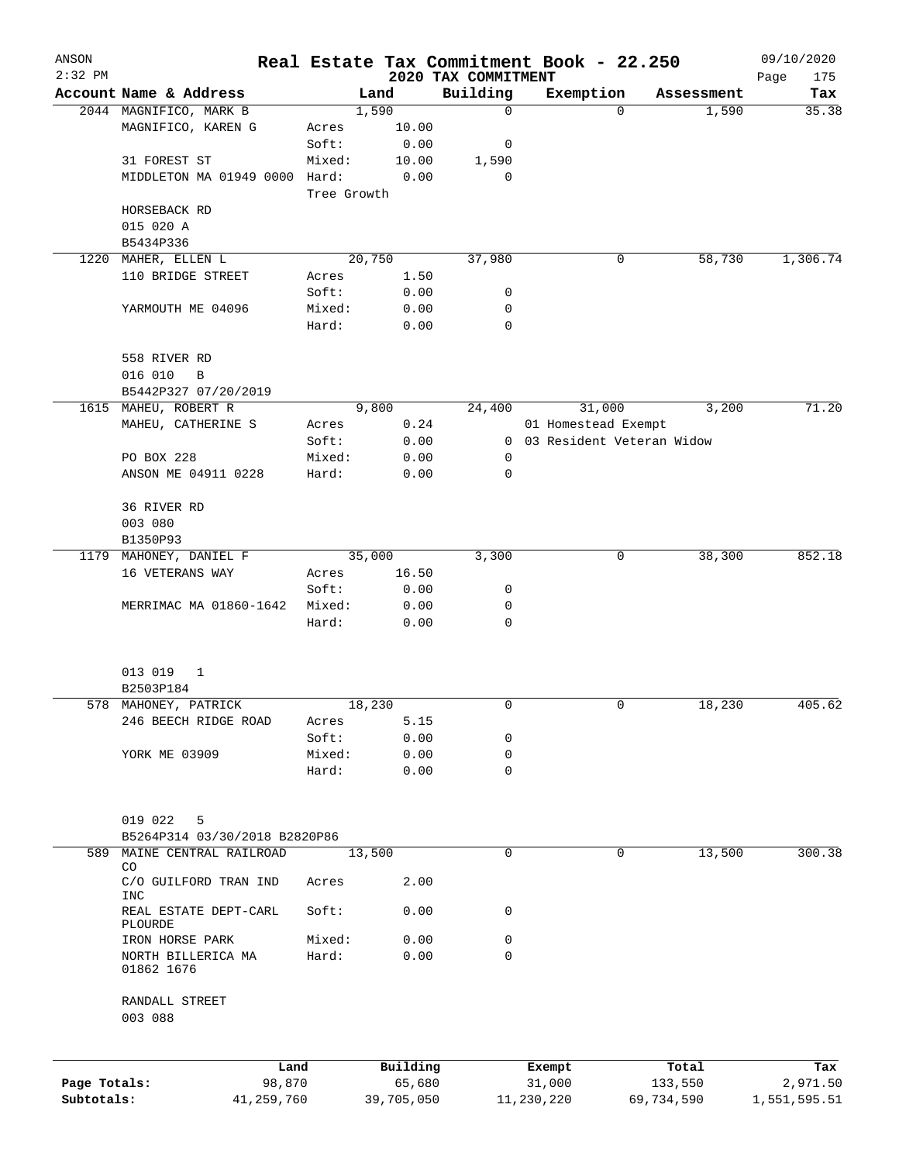| ANSON<br>$2:32$ PM |                                     |                 |              |                                 | Real Estate Tax Commitment Book - 22.250 |            | 09/10/2020         |
|--------------------|-------------------------------------|-----------------|--------------|---------------------------------|------------------------------------------|------------|--------------------|
|                    | Account Name & Address              |                 | Land         | 2020 TAX COMMITMENT<br>Building | Exemption                                | Assessment | Page<br>175<br>Tax |
|                    | 2044 MAGNIFICO, MARK B              |                 | 1,590        | 0                               | $\Omega$                                 | 1,590      | 35.38              |
|                    | MAGNIFICO, KAREN G                  | Acres           | 10.00        |                                 |                                          |            |                    |
|                    |                                     | Soft:           | 0.00         | 0                               |                                          |            |                    |
|                    | 31 FOREST ST                        | Mixed:          | 10.00        | 1,590                           |                                          |            |                    |
|                    | MIDDLETON MA 01949 0000 Hard:       |                 | 0.00         | 0                               |                                          |            |                    |
|                    |                                     | Tree Growth     |              |                                 |                                          |            |                    |
|                    | HORSEBACK RD                        |                 |              |                                 |                                          |            |                    |
|                    | 015 020 A                           |                 |              |                                 |                                          |            |                    |
|                    | B5434P336                           |                 |              |                                 |                                          |            |                    |
| 1220               | MAHER, ELLEN L                      |                 | 20,750       | 37,980                          | 0                                        | 58,730     | 1,306.74           |
|                    | 110 BRIDGE STREET                   | Acres           | 1.50         |                                 |                                          |            |                    |
|                    |                                     | Soft:           | 0.00         | 0                               |                                          |            |                    |
|                    | YARMOUTH ME 04096                   | Mixed:          | 0.00         | 0                               |                                          |            |                    |
|                    |                                     | Hard:           | 0.00         | 0                               |                                          |            |                    |
|                    | 558 RIVER RD                        |                 |              |                                 |                                          |            |                    |
|                    | 016 010<br>B                        |                 |              |                                 |                                          |            |                    |
|                    | B5442P327 07/20/2019                |                 |              |                                 |                                          |            |                    |
|                    | 1615 MAHEU, ROBERT R                |                 | 9,800        | 24,400                          | 31,000                                   | 3,200      | 71.20              |
|                    | MAHEU, CATHERINE S                  | Acres           | 0.24         |                                 | 01 Homestead Exempt                      |            |                    |
|                    |                                     | Soft:           | 0.00         |                                 | 0 03 Resident Veteran Widow              |            |                    |
|                    | PO BOX 228                          | Mixed:          | 0.00         | 0                               |                                          |            |                    |
|                    | ANSON ME 04911 0228                 | Hard:           | 0.00         | 0                               |                                          |            |                    |
|                    |                                     |                 |              |                                 |                                          |            |                    |
|                    | 36 RIVER RD                         |                 |              |                                 |                                          |            |                    |
|                    | 003 080                             |                 |              |                                 |                                          |            |                    |
|                    | B1350P93                            |                 |              |                                 |                                          |            |                    |
|                    | 1179 MAHONEY, DANIEL F              |                 | 35,000       | 3,300                           | 0                                        | 38,300     | 852.18             |
|                    | 16 VETERANS WAY                     | Acres           | 16.50        |                                 |                                          |            |                    |
|                    |                                     | Soft:           | 0.00         | 0                               |                                          |            |                    |
|                    | MERRIMAC MA 01860-1642              | Mixed:<br>Hard: | 0.00<br>0.00 | 0<br>0                          |                                          |            |                    |
|                    |                                     |                 |              |                                 |                                          |            |                    |
|                    | 013 019<br>1                        |                 |              |                                 |                                          |            |                    |
|                    | B2503P184                           |                 |              |                                 |                                          |            |                    |
|                    | 578 MAHONEY, PATRICK                |                 | 18,230       | 0                               | 0                                        | 18,230     | 405.62             |
|                    | 246 BEECH RIDGE ROAD                | Acres           | 5.15         |                                 |                                          |            |                    |
|                    |                                     | Soft:           | 0.00         | 0                               |                                          |            |                    |
|                    | YORK ME 03909                       | Mixed:          | 0.00         | 0                               |                                          |            |                    |
|                    |                                     | Hard:           | 0.00         | $\mathbf 0$                     |                                          |            |                    |
|                    |                                     |                 |              |                                 |                                          |            |                    |
|                    | 019 022<br>5                        |                 |              |                                 |                                          |            |                    |
|                    | B5264P314 03/30/2018 B2820P86       |                 |              |                                 |                                          |            |                    |
| 589                | MAINE CENTRAL RAILROAD              |                 | 13,500       | 0                               | $\mathbf 0$                              | 13,500     | 300.38             |
|                    | CO                                  |                 |              |                                 |                                          |            |                    |
|                    | C/O GUILFORD TRAN IND<br><b>INC</b> | Acres           | 2.00         |                                 |                                          |            |                    |
|                    | REAL ESTATE DEPT-CARL<br>PLOURDE    | Soft:           | 0.00         | 0                               |                                          |            |                    |
|                    | IRON HORSE PARK                     | Mixed:          | 0.00         | 0                               |                                          |            |                    |
|                    | NORTH BILLERICA MA<br>01862 1676    | Hard:           | 0.00         | 0                               |                                          |            |                    |
|                    | RANDALL STREET<br>003 088           |                 |              |                                 |                                          |            |                    |
|                    |                                     |                 | Building     |                                 |                                          | Total      |                    |
| Page Totals:       | Land<br>98,870                      |                 | 65,680       |                                 | Exempt<br>31,000                         | 133,550    | Tax<br>2,971.50    |
| Subtotals:         | 41,259,760                          |                 | 39,705,050   |                                 | 11,230,220                               | 69,734,590 | 1,551,595.51       |
|                    |                                     |                 |              |                                 |                                          |            |                    |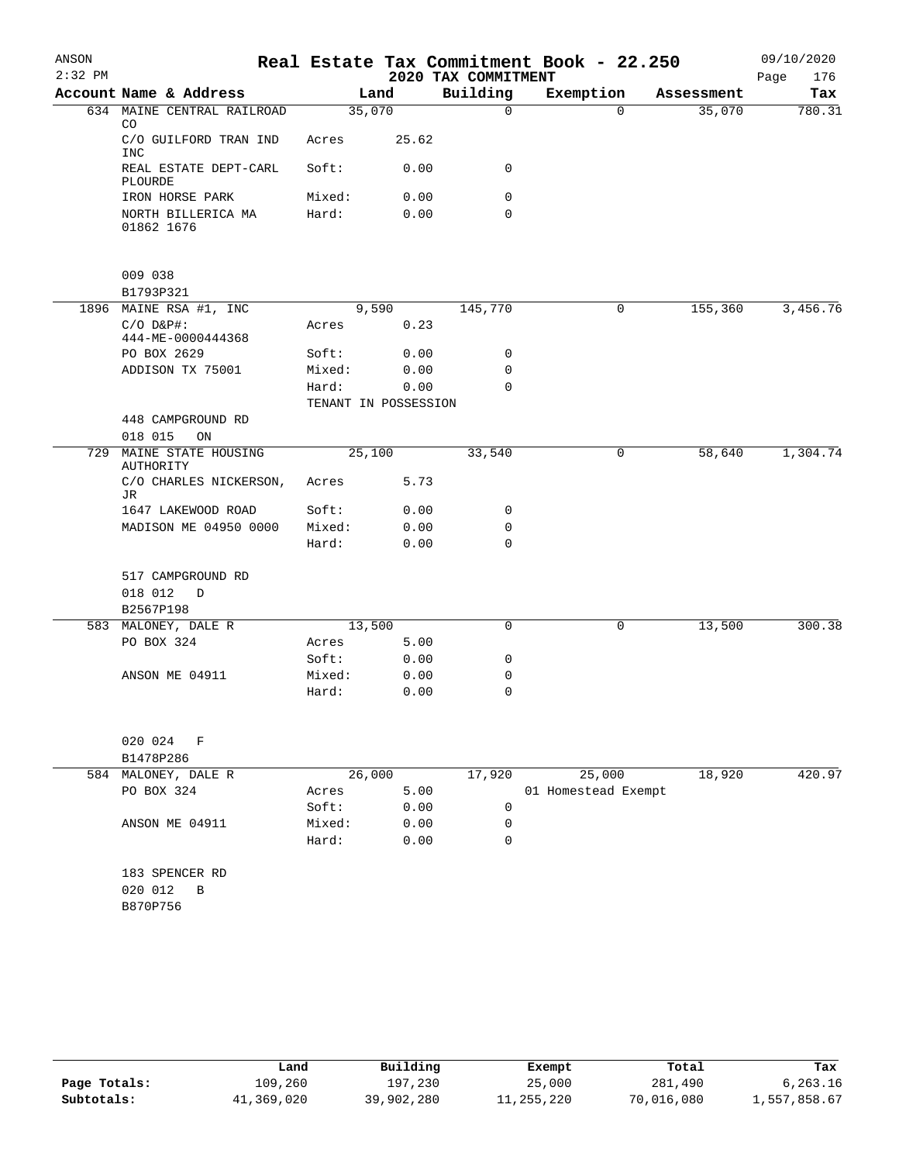| ANSON     |                                             |                 |                      |                     | Real Estate Tax Commitment Book - 22.250 |            | 09/10/2020  |
|-----------|---------------------------------------------|-----------------|----------------------|---------------------|------------------------------------------|------------|-------------|
| $2:32$ PM |                                             |                 |                      | 2020 TAX COMMITMENT |                                          |            | Page<br>176 |
|           | Account Name & Address                      |                 | Land                 | Building            | Exemption                                | Assessment | Tax         |
|           | 634 MAINE CENTRAL RAILROAD<br>CO.           |                 | 35,070               | $\Omega$            | $\Omega$                                 | 35,070     | 780.31      |
|           | C/O GUILFORD TRAN IND<br><b>INC</b>         | Acres           | 25.62                |                     |                                          |            |             |
|           | REAL ESTATE DEPT-CARL<br>PLOURDE            | Soft:           | 0.00                 | $\Omega$            |                                          |            |             |
|           | IRON HORSE PARK                             | Mixed:          | 0.00                 | 0                   |                                          |            |             |
|           | NORTH BILLERICA MA<br>01862 1676            | Hard:           | 0.00                 | 0                   |                                          |            |             |
|           | 009 038<br>B1793P321                        |                 |                      |                     |                                          |            |             |
|           | 1896 MAINE RSA #1, INC                      |                 | 9,590                | 145,770             | 0                                        | 155,360    | 3,456.76    |
|           | $C/O$ $D\&P$ #:<br>444-ME-0000444368        | Acres           | 0.23                 |                     |                                          |            |             |
|           | PO BOX 2629                                 | Soft:           | 0.00                 | 0                   |                                          |            |             |
|           | ADDISON TX 75001                            | Mixed:          | 0.00                 | 0                   |                                          |            |             |
|           |                                             | Hard:           | 0.00                 | $\Omega$            |                                          |            |             |
|           |                                             |                 | TENANT IN POSSESSION |                     |                                          |            |             |
|           | 448 CAMPGROUND RD                           |                 |                      |                     |                                          |            |             |
|           | 018 015<br>ON                               |                 |                      |                     |                                          |            |             |
| 729       | MAINE STATE HOUSING<br><b>AUTHORITY</b>     | Acres           | 25,100<br>5.73       | 33,540              | 0                                        | 58,640     | 1,304.74    |
|           | C/O CHARLES NICKERSON,<br>JR                |                 |                      |                     |                                          |            |             |
|           | 1647 LAKEWOOD ROAD<br>MADISON ME 04950 0000 | Soft:<br>Mixed: | 0.00<br>0.00         | 0<br>0              |                                          |            |             |
|           |                                             | Hard:           | 0.00                 | 0                   |                                          |            |             |
|           | 517 CAMPGROUND RD                           |                 |                      |                     |                                          |            |             |
|           | 018 012<br>D                                |                 |                      |                     |                                          |            |             |
|           | B2567P198                                   |                 |                      |                     |                                          |            |             |
|           | 583 MALONEY, DALE R<br>PO BOX 324           | Acres           | 13,500<br>5.00       | 0                   | 0                                        | 13,500     | 300.38      |
|           |                                             | Soft:           | 0.00                 | 0                   |                                          |            |             |
|           | ANSON ME 04911                              | Mixed:          | 0.00                 | 0                   |                                          |            |             |
|           |                                             | Hard:           | 0.00                 | 0                   |                                          |            |             |
|           | 020 024<br>F<br>B1478P286                   |                 |                      |                     |                                          |            |             |
|           | 584 MALONEY, DALE R                         |                 | 26,000               | 17,920              | 25,000                                   | 18,920     | 420.97      |
|           | PO BOX 324                                  | Acres           | 5.00                 |                     | 01 Homestead Exempt                      |            |             |
|           |                                             | Soft:           | 0.00                 | $\mathbf 0$         |                                          |            |             |
|           | ANSON ME 04911                              | Mixed:          | 0.00                 | 0                   |                                          |            |             |
|           |                                             | Hard:           | 0.00                 | 0                   |                                          |            |             |
|           | 183 SPENCER RD<br>020 012<br>B              |                 |                      |                     |                                          |            |             |
|           | B870P756                                    |                 |                      |                     |                                          |            |             |
|           |                                             |                 |                      |                     |                                          |            |             |

|              | Land       | Building   | Exempt     | Total      | Tax          |
|--------------|------------|------------|------------|------------|--------------|
| Page Totals: | 109,260    | 197,230    | 25,000     | 281,490    | 6,263.16     |
| Subtotals:   | 41,369,020 | 39,902,280 | 11,255,220 | 70,016,080 | 1,557,858.67 |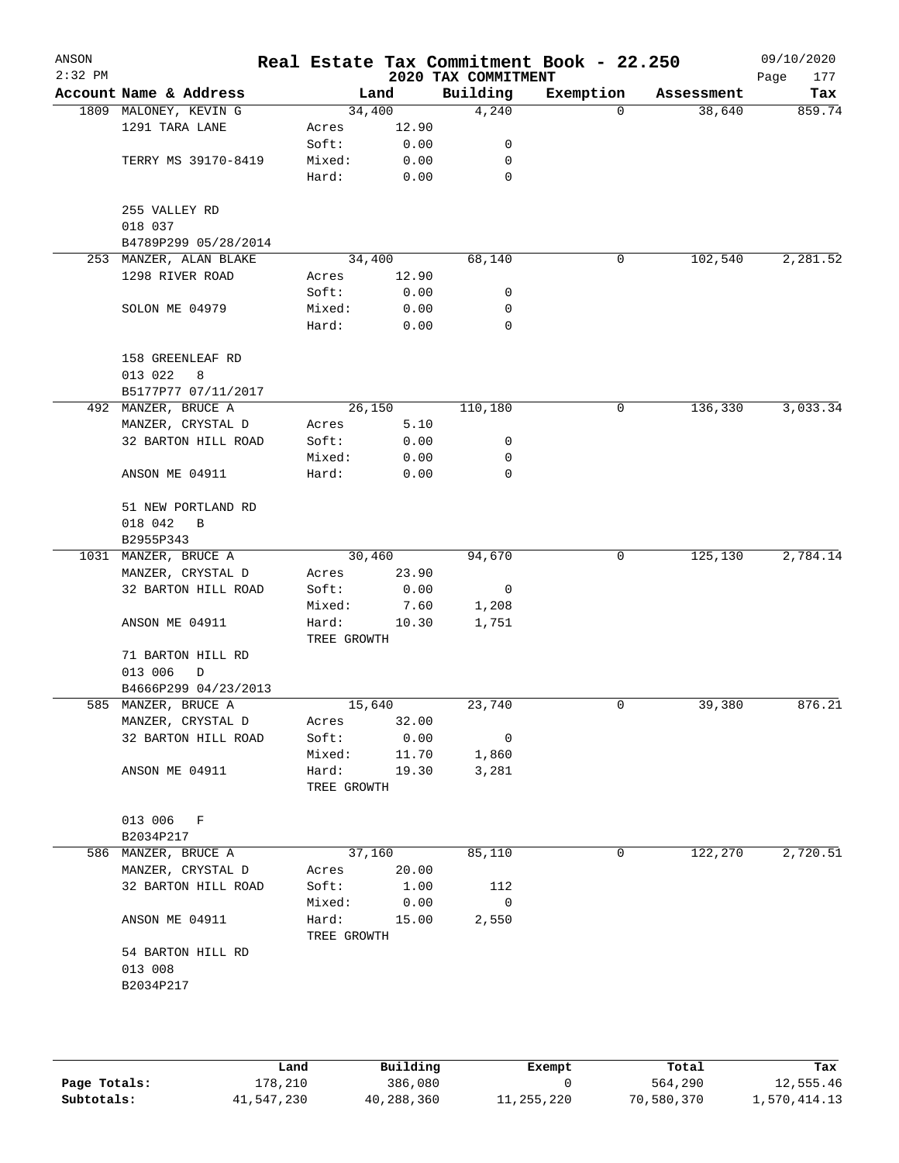| ANSON<br>$2:32$ PM |                                   |                      |       | 2020 TAX COMMITMENT | Real Estate Tax Commitment Book - 22.250 |            | 09/10/2020<br>Page<br>177 |
|--------------------|-----------------------------------|----------------------|-------|---------------------|------------------------------------------|------------|---------------------------|
|                    | Account Name & Address            |                      | Land  | Building            | Exemption                                | Assessment | Tax                       |
|                    | 1809 MALONEY, KEVIN G             | 34,400               |       | 4,240               | 0                                        | 38,640     | 859.74                    |
|                    | 1291 TARA LANE                    | Acres                | 12.90 |                     |                                          |            |                           |
|                    |                                   | Soft:                | 0.00  | 0                   |                                          |            |                           |
|                    | TERRY MS 39170-8419               | Mixed:               | 0.00  | 0                   |                                          |            |                           |
|                    |                                   | Hard:                | 0.00  | $\mathbf 0$         |                                          |            |                           |
|                    | 255 VALLEY RD<br>018 037          |                      |       |                     |                                          |            |                           |
|                    | B4789P299 05/28/2014              |                      |       |                     |                                          |            |                           |
|                    | 253 MANZER, ALAN BLAKE            | 34,400               |       | 68,140              | 0                                        | 102,540    | 2,281.52                  |
|                    | 1298 RIVER ROAD                   | Acres                | 12.90 |                     |                                          |            |                           |
|                    |                                   | Soft:                | 0.00  | 0                   |                                          |            |                           |
|                    | SOLON ME 04979                    | Mixed:               | 0.00  | 0                   |                                          |            |                           |
|                    |                                   | Hard:                | 0.00  | $\mathbf 0$         |                                          |            |                           |
|                    | 158 GREENLEAF RD<br>013 022<br>8  |                      |       |                     |                                          |            |                           |
|                    | B5177P77 07/11/2017               |                      |       |                     |                                          |            |                           |
|                    | 492 MANZER, BRUCE A               | 26,150               |       | 110,180             | 0                                        | 136,330    | 3,033.34                  |
|                    | MANZER, CRYSTAL D                 | Acres                | 5.10  |                     |                                          |            |                           |
|                    | 32 BARTON HILL ROAD               | Soft:                | 0.00  | 0                   |                                          |            |                           |
|                    |                                   | Mixed:               | 0.00  | 0                   |                                          |            |                           |
|                    | ANSON ME 04911                    | Hard:                | 0.00  | $\mathbf 0$         |                                          |            |                           |
|                    | 51 NEW PORTLAND RD                |                      |       |                     |                                          |            |                           |
|                    | 018 042<br>B<br>B2955P343         |                      |       |                     |                                          |            |                           |
|                    | 1031 MANZER, BRUCE A              | 30,460               |       | 94,670              | 0                                        | 125,130    | 2,784.14                  |
|                    | MANZER, CRYSTAL D                 | Acres                | 23.90 |                     |                                          |            |                           |
|                    | 32 BARTON HILL ROAD               | Soft:                | 0.00  | 0                   |                                          |            |                           |
|                    |                                   | Mixed:               | 7.60  | 1,208               |                                          |            |                           |
|                    | ANSON ME 04911                    | Hard:                | 10.30 | 1,751               |                                          |            |                           |
|                    |                                   | TREE GROWTH          |       |                     |                                          |            |                           |
|                    | 71 BARTON HILL RD<br>013 006<br>D |                      |       |                     |                                          |            |                           |
|                    | B4666P299 04/23/2013              |                      |       |                     |                                          |            |                           |
|                    | 585 MANZER, BRUCE A               | 15,640               |       | 23,740              | 0                                        | 39,380     | 876.21                    |
|                    | MANZER, CRYSTAL D                 | Acres                | 32.00 |                     |                                          |            |                           |
|                    | 32 BARTON HILL ROAD               | Soft:                | 0.00  | 0                   |                                          |            |                           |
|                    |                                   | Mixed:               | 11.70 | 1,860               |                                          |            |                           |
|                    | ANSON ME 04911                    | Hard:<br>TREE GROWTH | 19.30 | 3,281               |                                          |            |                           |
|                    |                                   |                      |       |                     |                                          |            |                           |
|                    | 013 006<br>– F<br>B2034P217       |                      |       |                     |                                          |            |                           |
| 586                | MANZER, BRUCE A                   | 37,160               |       | 85,110              | 0                                        | 122,270    | 2,720.51                  |
|                    | MANZER, CRYSTAL D                 | Acres                | 20.00 |                     |                                          |            |                           |
|                    | 32 BARTON HILL ROAD               | Soft:                | 1.00  | 112                 |                                          |            |                           |
|                    |                                   | Mixed:               | 0.00  | 0                   |                                          |            |                           |
|                    | ANSON ME 04911                    | Hard:<br>TREE GROWTH | 15.00 | 2,550               |                                          |            |                           |
|                    | 54 BARTON HILL RD                 |                      |       |                     |                                          |            |                           |
|                    | 013 008                           |                      |       |                     |                                          |            |                           |
|                    | B2034P217                         |                      |       |                     |                                          |            |                           |
|                    |                                   |                      |       |                     |                                          |            |                           |
|                    |                                   |                      |       |                     |                                          |            |                           |
|                    |                                   |                      |       |                     |                                          |            |                           |

|              | Land       | Building   | Exempt     | Total      | Tax          |
|--------------|------------|------------|------------|------------|--------------|
| Page Totals: | 178,210    | 386,080    |            | 564,290    | 12,555.46    |
| Subtotals:   | 41,547,230 | 40,288,360 | 11,255,220 | 70,580,370 | 1,570,414.13 |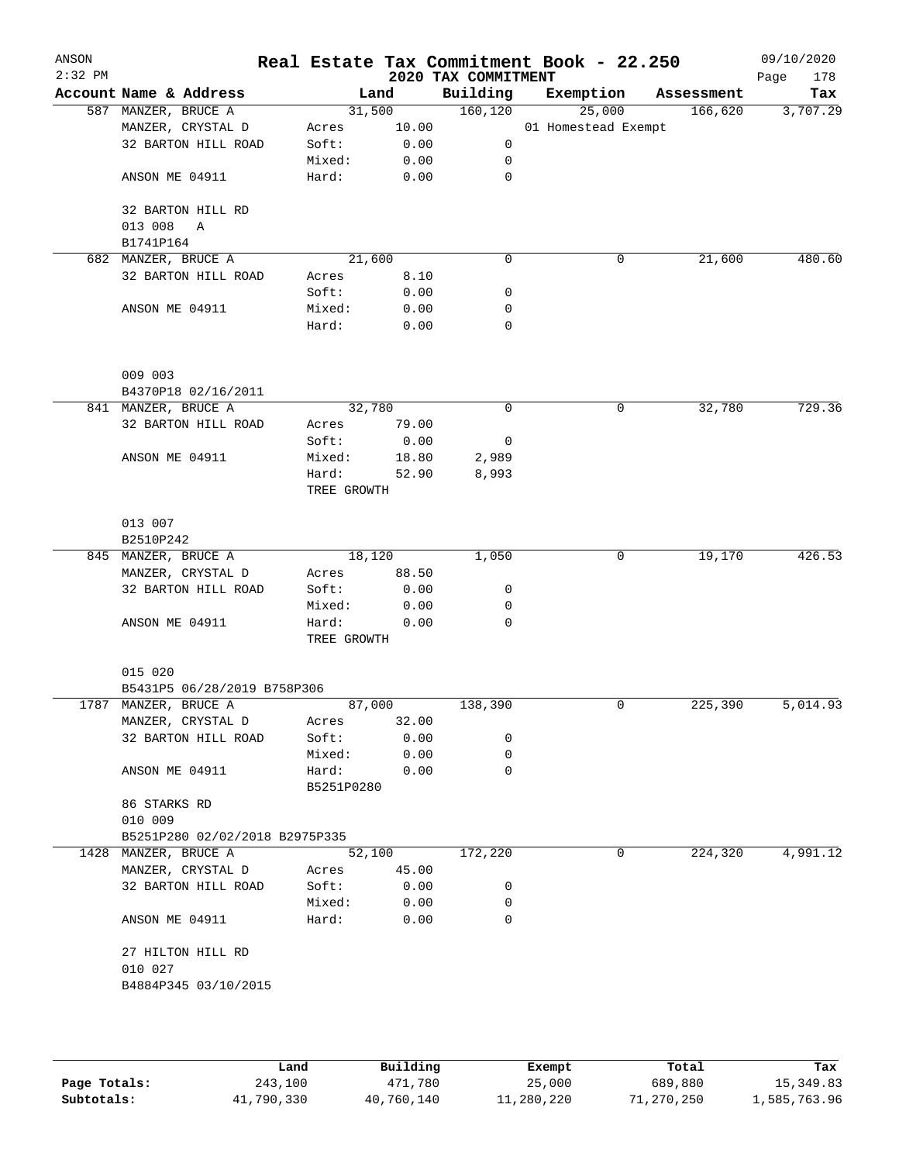| ANSON<br>$2:32$ PM |                                |                      |        | 2020 TAX COMMITMENT | Real Estate Tax Commitment Book - 22.250 |            | 09/10/2020<br>Page<br>178 |
|--------------------|--------------------------------|----------------------|--------|---------------------|------------------------------------------|------------|---------------------------|
|                    | Account Name & Address         |                      | Land   | Building            | Exemption                                | Assessment | Tax                       |
|                    | 587 MANZER, BRUCE A            |                      | 31,500 | 160, 120            | 25,000                                   | 166,620    | 3,707.29                  |
|                    | MANZER, CRYSTAL D              | Acres                | 10.00  |                     | 01 Homestead Exempt                      |            |                           |
|                    | 32 BARTON HILL ROAD            | Soft:                | 0.00   | 0                   |                                          |            |                           |
|                    |                                | Mixed:               | 0.00   | 0                   |                                          |            |                           |
|                    | ANSON ME 04911                 | Hard:                | 0.00   | 0                   |                                          |            |                           |
|                    | 32 BARTON HILL RD              |                      |        |                     |                                          |            |                           |
|                    | 013 008<br>A                   |                      |        |                     |                                          |            |                           |
|                    | B1741P164                      |                      |        |                     |                                          |            |                           |
|                    | 682 MANZER, BRUCE A            | 21,600               |        | $\mathbf 0$         | 0                                        | 21,600     | 480.60                    |
|                    | 32 BARTON HILL ROAD            | Acres                | 8.10   |                     |                                          |            |                           |
|                    |                                | Soft:                | 0.00   | 0                   |                                          |            |                           |
|                    | ANSON ME 04911                 | Mixed:               | 0.00   | 0                   |                                          |            |                           |
|                    |                                | Hard:                | 0.00   | 0                   |                                          |            |                           |
|                    | 009 003                        |                      |        |                     |                                          |            |                           |
|                    | B4370P18 02/16/2011            |                      |        |                     |                                          |            |                           |
|                    | 841 MANZER, BRUCE A            |                      | 32,780 | 0                   | 0                                        | 32,780     | 729.36                    |
|                    | 32 BARTON HILL ROAD            | Acres                | 79.00  |                     |                                          |            |                           |
|                    |                                | Soft:                | 0.00   | 0                   |                                          |            |                           |
|                    | ANSON ME 04911                 | Mixed:               | 18.80  | 2,989               |                                          |            |                           |
|                    |                                | Hard:                | 52.90  | 8,993               |                                          |            |                           |
|                    |                                | TREE GROWTH          |        |                     |                                          |            |                           |
|                    | 013 007                        |                      |        |                     |                                          |            |                           |
|                    | B2510P242                      |                      |        |                     |                                          |            |                           |
|                    | 845 MANZER, BRUCE A            | 18,120               |        | 1,050               | 0                                        | 19,170     | 426.53                    |
|                    | MANZER, CRYSTAL D              | Acres                | 88.50  |                     |                                          |            |                           |
|                    | 32 BARTON HILL ROAD            | Soft:                | 0.00   | 0                   |                                          |            |                           |
|                    |                                | Mixed:               | 0.00   | 0                   |                                          |            |                           |
|                    | ANSON ME 04911                 | Hard:<br>TREE GROWTH | 0.00   | $\mathbf 0$         |                                          |            |                           |
|                    | 015 020                        |                      |        |                     |                                          |            |                           |
|                    | B5431P5 06/28/2019 B758P306    |                      |        |                     |                                          |            |                           |
|                    | 1787 MANZER, BRUCE A           | 87,000               |        | 138,390             | 0                                        | 225,390    | 5,014.93                  |
|                    | MANZER, CRYSTAL D              | Acres                | 32.00  |                     |                                          |            |                           |
|                    | 32 BARTON HILL ROAD            | Soft:                | 0.00   | 0                   |                                          |            |                           |
|                    |                                | Mixed:               | 0.00   | 0                   |                                          |            |                           |
|                    | ANSON ME 04911                 | Hard:<br>B5251P0280  | 0.00   | 0                   |                                          |            |                           |
|                    | 86 STARKS RD<br>010 009        |                      |        |                     |                                          |            |                           |
|                    | B5251P280 02/02/2018 B2975P335 |                      |        |                     |                                          |            |                           |
|                    | 1428 MANZER, BRUCE A           |                      | 52,100 | 172,220             | 0                                        | 224,320    | 4,991.12                  |
|                    | MANZER, CRYSTAL D              | Acres                | 45.00  |                     |                                          |            |                           |
|                    | 32 BARTON HILL ROAD            | Soft:                | 0.00   | 0                   |                                          |            |                           |
|                    |                                | Mixed:               | 0.00   | 0                   |                                          |            |                           |
|                    | ANSON ME 04911                 | Hard:                | 0.00   | 0                   |                                          |            |                           |
|                    | 27 HILTON HILL RD              |                      |        |                     |                                          |            |                           |
|                    | 010 027                        |                      |        |                     |                                          |            |                           |
|                    | B4884P345 03/10/2015           |                      |        |                     |                                          |            |                           |
|                    |                                |                      |        |                     |                                          |            |                           |
|                    |                                |                      |        |                     |                                          |            |                           |

|              | Land       | Building   | Exempt     | Total      | Tax          |
|--------------|------------|------------|------------|------------|--------------|
| Page Totals: | 243,100    | 471,780    | 25,000     | 689,880    | 15,349.83    |
| Subtotals:   | 41,790,330 | 40,760,140 | 11,280,220 | 71,270,250 | 1,585,763.96 |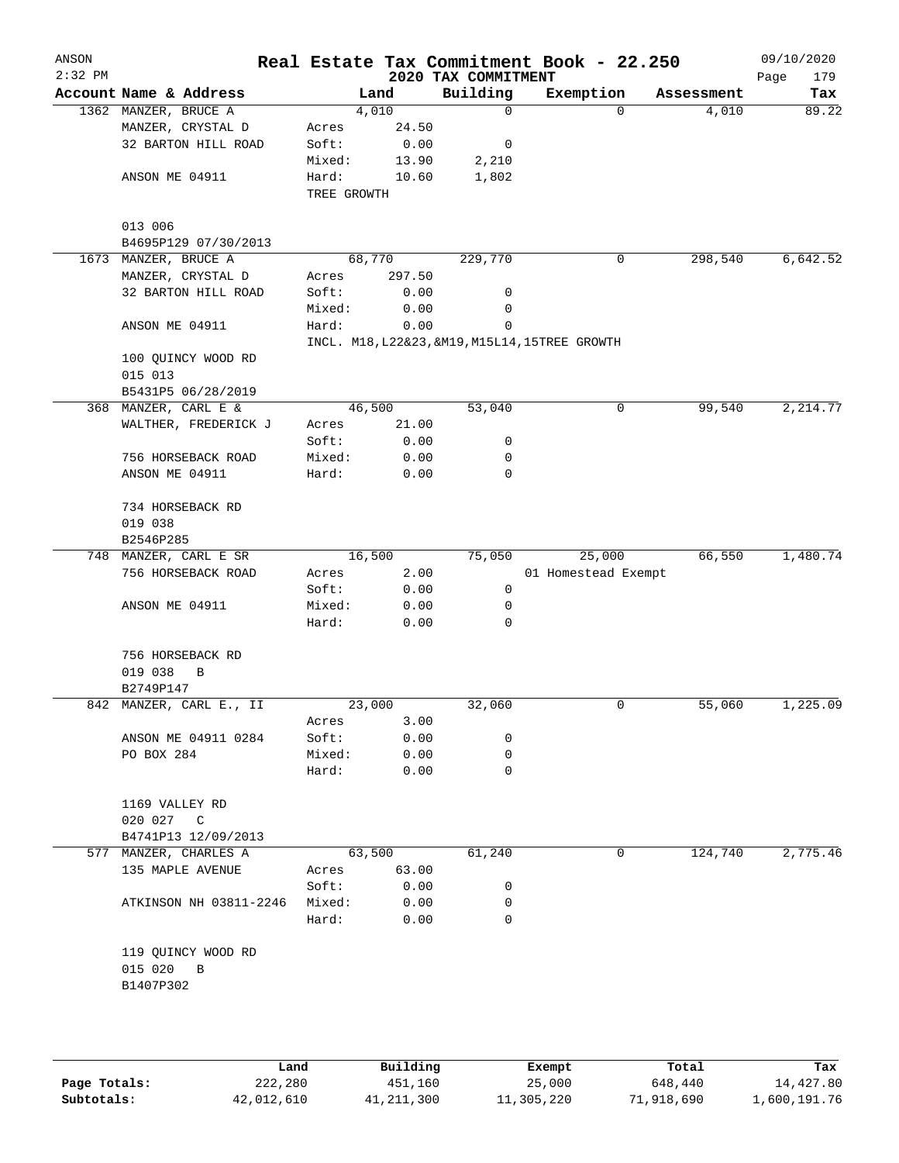| ANSON<br>$2:32$ PM |                         |                |                | 2020 TAX COMMITMENT | Real Estate Tax Commitment Book - 22.250       |            | 09/10/2020<br>Page<br>179 |
|--------------------|-------------------------|----------------|----------------|---------------------|------------------------------------------------|------------|---------------------------|
|                    | Account Name & Address  |                | Land           | Building            | Exemption                                      | Assessment | Tax                       |
|                    | 1362 MANZER, BRUCE A    |                | 4,010          | $\mathbf 0$         | 0                                              | 4,010      | 89.22                     |
|                    | MANZER, CRYSTAL D       | Acres          | 24.50          |                     |                                                |            |                           |
|                    | 32 BARTON HILL ROAD     | Soft:          | 0.00           | 0                   |                                                |            |                           |
|                    |                         | Mixed:         | 13.90          | 2,210               |                                                |            |                           |
|                    | ANSON ME 04911          | Hard:          | 10.60          | 1,802               |                                                |            |                           |
|                    |                         | TREE GROWTH    |                |                     |                                                |            |                           |
|                    | 013 006                 |                |                |                     |                                                |            |                           |
|                    | B4695P129 07/30/2013    |                |                |                     |                                                |            |                           |
|                    | 1673 MANZER, BRUCE A    |                | 68,770         | 229,770             | 0                                              | 298,540    | 6,642.52                  |
|                    | MANZER, CRYSTAL D       | Acres          | 297.50         |                     |                                                |            |                           |
|                    | 32 BARTON HILL ROAD     | Soft:          | 0.00           | 0                   |                                                |            |                           |
|                    |                         | Mixed:         | 0.00           | 0                   |                                                |            |                           |
|                    | ANSON ME 04911          | Hard:          | 0.00           | $\mathbf 0$         |                                                |            |                           |
|                    |                         |                |                |                     | INCL. M18, L22&23, &M19, M15L14, 15TREE GROWTH |            |                           |
|                    | 100 QUINCY WOOD RD      |                |                |                     |                                                |            |                           |
|                    | 015 013                 |                |                |                     |                                                |            |                           |
|                    | B5431P5 06/28/2019      |                |                |                     |                                                |            |                           |
|                    | 368 MANZER, CARL E &    |                | 46,500         | 53,040              | 0                                              | 99,540     | 2, 214.77                 |
|                    | WALTHER, FREDERICK J    | Acres          | 21.00          |                     |                                                |            |                           |
|                    |                         | Soft:          | 0.00           | 0                   |                                                |            |                           |
|                    | 756 HORSEBACK ROAD      | Mixed:         | 0.00           | 0                   |                                                |            |                           |
|                    | ANSON ME 04911          | Hard:          | 0.00           | 0                   |                                                |            |                           |
|                    | 734 HORSEBACK RD        |                |                |                     |                                                |            |                           |
|                    | 019 038                 |                |                |                     |                                                |            |                           |
|                    | B2546P285               |                |                |                     |                                                |            |                           |
|                    | 748 MANZER, CARL E SR   |                | 16,500         | 75,050              | 25,000                                         | 66,550     | 1,480.74                  |
|                    | 756 HORSEBACK ROAD      | Acres          | 2.00           |                     | 01 Homestead Exempt                            |            |                           |
|                    |                         | Soft:          | 0.00           | 0                   |                                                |            |                           |
|                    | ANSON ME 04911          | Mixed:         | 0.00           | 0                   |                                                |            |                           |
|                    |                         | Hard:          | 0.00           | 0                   |                                                |            |                           |
|                    |                         |                |                |                     |                                                |            |                           |
|                    | 756 HORSEBACK RD        |                |                |                     |                                                |            |                           |
|                    | 019 038<br>B            |                |                |                     |                                                |            |                           |
|                    | B2749P147               |                |                |                     |                                                |            |                           |
|                    | 842 MANZER, CARL E., II |                | 23,000<br>3.00 | 32,060              | 0                                              | 55,060     | 1,225.09                  |
|                    | ANSON ME 04911 0284     | Acres<br>Soft: | 0.00           | 0                   |                                                |            |                           |
|                    | PO BOX 284              | Mixed:         | 0.00           | 0                   |                                                |            |                           |
|                    |                         | Hard:          | 0.00           | 0                   |                                                |            |                           |
|                    |                         |                |                |                     |                                                |            |                           |
|                    | 1169 VALLEY RD          |                |                |                     |                                                |            |                           |
|                    | 020 027 C               |                |                |                     |                                                |            |                           |
|                    | B4741P13 12/09/2013     |                |                |                     |                                                |            |                           |
|                    | 577 MANZER, CHARLES A   |                | 63,500         | 61,240              | 0                                              | 124,740    | 2,775.46                  |
|                    | 135 MAPLE AVENUE        | Acres          | 63.00          |                     |                                                |            |                           |
|                    |                         | Soft:          | 0.00           | 0                   |                                                |            |                           |
|                    | ATKINSON NH 03811-2246  | Mixed:         | 0.00           | 0                   |                                                |            |                           |
|                    |                         | Hard:          | 0.00           | 0                   |                                                |            |                           |
|                    |                         |                |                |                     |                                                |            |                           |
|                    | 119 QUINCY WOOD RD      |                |                |                     |                                                |            |                           |
|                    | 015 020<br>B            |                |                |                     |                                                |            |                           |
|                    | B1407P302               |                |                |                     |                                                |            |                           |
|                    |                         |                |                |                     |                                                |            |                           |
|                    |                         |                |                |                     |                                                |            |                           |
|                    |                         |                |                |                     |                                                |            |                           |

|              | Land       | Building   | Exempt     | Total      | Tax          |
|--------------|------------|------------|------------|------------|--------------|
| Page Totals: | 222,280    | 451,160    | 25,000     | 648,440    | 14,427.80    |
| Subtotals:   | 42,012,610 | 41,211,300 | 11,305,220 | 71,918,690 | l,600,191.76 |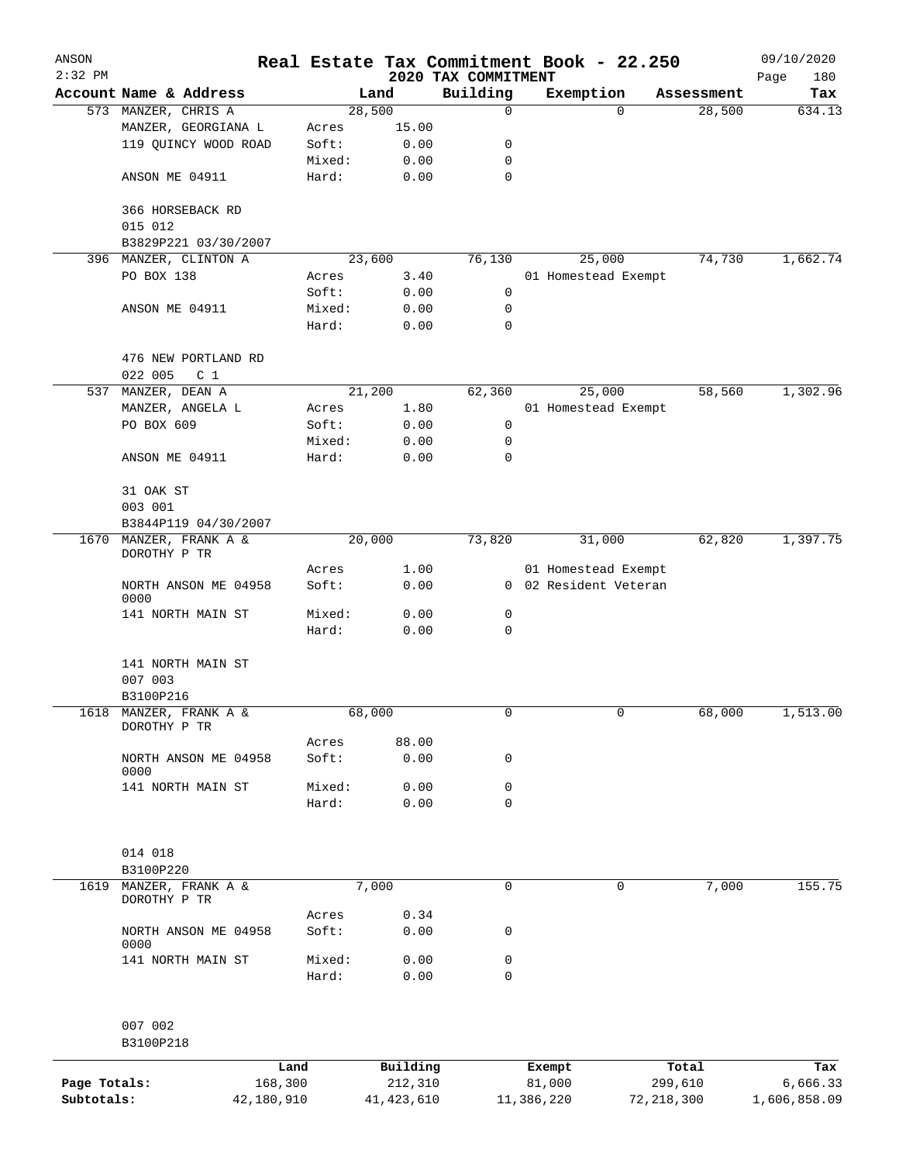| ANSON<br>$2:32$ PM |                                   |                 |        |                     |                                 | Real Estate Tax Commitment Book - 22.250 |                  | 09/10/2020         |
|--------------------|-----------------------------------|-----------------|--------|---------------------|---------------------------------|------------------------------------------|------------------|--------------------|
|                    | Account Name & Address            |                 |        | Land                | 2020 TAX COMMITMENT<br>Building | Exemption                                | Assessment       | Page<br>180<br>Tax |
|                    | 573 MANZER, CHRIS A               |                 |        | 28,500              | 0                               | $\Omega$                                 | 28,500           | 634.13             |
|                    | MANZER, GEORGIANA L               |                 | Acres  | 15.00               |                                 |                                          |                  |                    |
|                    | 119 QUINCY WOOD ROAD              |                 | Soft:  | 0.00                | 0                               |                                          |                  |                    |
|                    |                                   |                 | Mixed: | 0.00                | 0                               |                                          |                  |                    |
|                    | ANSON ME 04911                    |                 | Hard:  | 0.00                | 0                               |                                          |                  |                    |
|                    |                                   |                 |        |                     |                                 |                                          |                  |                    |
|                    | 366 HORSEBACK RD                  |                 |        |                     |                                 |                                          |                  |                    |
|                    | 015 012                           |                 |        |                     |                                 |                                          |                  |                    |
|                    | B3829P221 03/30/2007              |                 |        |                     |                                 |                                          |                  |                    |
| 396                | MANZER, CLINTON A                 |                 |        | 23,600              | 76,130                          | 25,000                                   | 74,730           | 1,662.74           |
|                    | PO BOX 138                        |                 | Acres  | 3.40                |                                 | 01 Homestead Exempt                      |                  |                    |
|                    |                                   |                 | Soft:  | 0.00                | 0                               |                                          |                  |                    |
|                    |                                   |                 | Mixed: | 0.00                | 0                               |                                          |                  |                    |
|                    | ANSON ME 04911                    |                 |        |                     | 0                               |                                          |                  |                    |
|                    |                                   |                 | Hard:  | 0.00                |                                 |                                          |                  |                    |
|                    |                                   |                 |        |                     |                                 |                                          |                  |                    |
|                    | 476 NEW PORTLAND RD               |                 |        |                     |                                 |                                          |                  |                    |
|                    | 022 005<br>C <sub>1</sub>         |                 |        |                     |                                 |                                          |                  |                    |
| 537                | MANZER, DEAN A                    |                 |        | 21, 200             | 62,360                          | 25,000                                   | 58,560           | 1,302.96           |
|                    | MANZER, ANGELA L                  |                 | Acres  | 1.80                |                                 | 01 Homestead Exempt                      |                  |                    |
|                    | PO BOX 609                        |                 | Soft:  | 0.00                | 0                               |                                          |                  |                    |
|                    |                                   |                 | Mixed: | 0.00                | 0                               |                                          |                  |                    |
|                    | ANSON ME 04911                    |                 | Hard:  | 0.00                | 0                               |                                          |                  |                    |
|                    |                                   |                 |        |                     |                                 |                                          |                  |                    |
|                    | 31 OAK ST                         |                 |        |                     |                                 |                                          |                  |                    |
|                    | 003 001                           |                 |        |                     |                                 |                                          |                  |                    |
|                    | B3844P119 04/30/2007              |                 |        |                     |                                 |                                          |                  |                    |
| 1670               | MANZER, FRANK A &<br>DOROTHY P TR |                 |        | 20,000              | 73,820                          | 31,000                                   | 62,820           | 1,397.75           |
|                    |                                   |                 | Acres  | 1.00                |                                 | 01 Homestead Exempt                      |                  |                    |
|                    | NORTH ANSON ME 04958<br>0000      |                 | Soft:  | 0.00                |                                 | 0 02 Resident Veteran                    |                  |                    |
|                    | 141 NORTH MAIN ST                 |                 | Mixed: | 0.00                | 0                               |                                          |                  |                    |
|                    |                                   |                 | Hard:  | 0.00                | 0                               |                                          |                  |                    |
|                    |                                   |                 |        |                     |                                 |                                          |                  |                    |
|                    | 141 NORTH MAIN ST                 |                 |        |                     |                                 |                                          |                  |                    |
|                    | 007 003                           |                 |        |                     |                                 |                                          |                  |                    |
|                    | B3100P216                         |                 |        |                     |                                 |                                          |                  |                    |
|                    | 1618 MANZER, FRANK A &            |                 |        | 68,000              | 0                               | 0                                        | 68,000           | 1,513.00           |
|                    | DOROTHY P TR                      |                 |        |                     |                                 |                                          |                  |                    |
|                    |                                   |                 | Acres  | 88.00               |                                 |                                          |                  |                    |
|                    | NORTH ANSON ME 04958              |                 | Soft:  | 0.00                | 0                               |                                          |                  |                    |
|                    | 0000                              |                 |        |                     |                                 |                                          |                  |                    |
|                    | 141 NORTH MAIN ST                 |                 | Mixed: | 0.00                | 0                               |                                          |                  |                    |
|                    |                                   |                 | Hard:  | 0.00                | 0                               |                                          |                  |                    |
|                    |                                   |                 |        |                     |                                 |                                          |                  |                    |
|                    | 014 018                           |                 |        |                     |                                 |                                          |                  |                    |
|                    | B3100P220                         |                 |        |                     |                                 |                                          |                  |                    |
| 1619               | MANZER, FRANK A &                 |                 |        | 7,000               | 0                               | 0                                        | 7,000            | 155.75             |
|                    | DOROTHY P TR                      |                 |        |                     |                                 |                                          |                  |                    |
|                    |                                   |                 | Acres  | 0.34                |                                 |                                          |                  |                    |
|                    | NORTH ANSON ME 04958<br>0000      |                 | Soft:  | 0.00                | 0                               |                                          |                  |                    |
|                    | 141 NORTH MAIN ST                 |                 | Mixed: | 0.00                | 0                               |                                          |                  |                    |
|                    |                                   |                 | Hard:  | 0.00                | 0                               |                                          |                  |                    |
|                    |                                   |                 |        |                     |                                 |                                          |                  |                    |
|                    | 007 002                           |                 |        |                     |                                 |                                          |                  |                    |
|                    | B3100P218                         |                 |        |                     |                                 |                                          |                  |                    |
| Page Totals:       |                                   | Land<br>168,300 |        | Building<br>212,310 |                                 | Exempt<br>81,000                         | Total<br>299,610 | Tax<br>6,666.33    |
| Subtotals:         |                                   | 42,180,910      |        | 41, 423, 610        |                                 | 11,386,220                               | 72, 218, 300     | 1,606,858.09       |
|                    |                                   |                 |        |                     |                                 |                                          |                  |                    |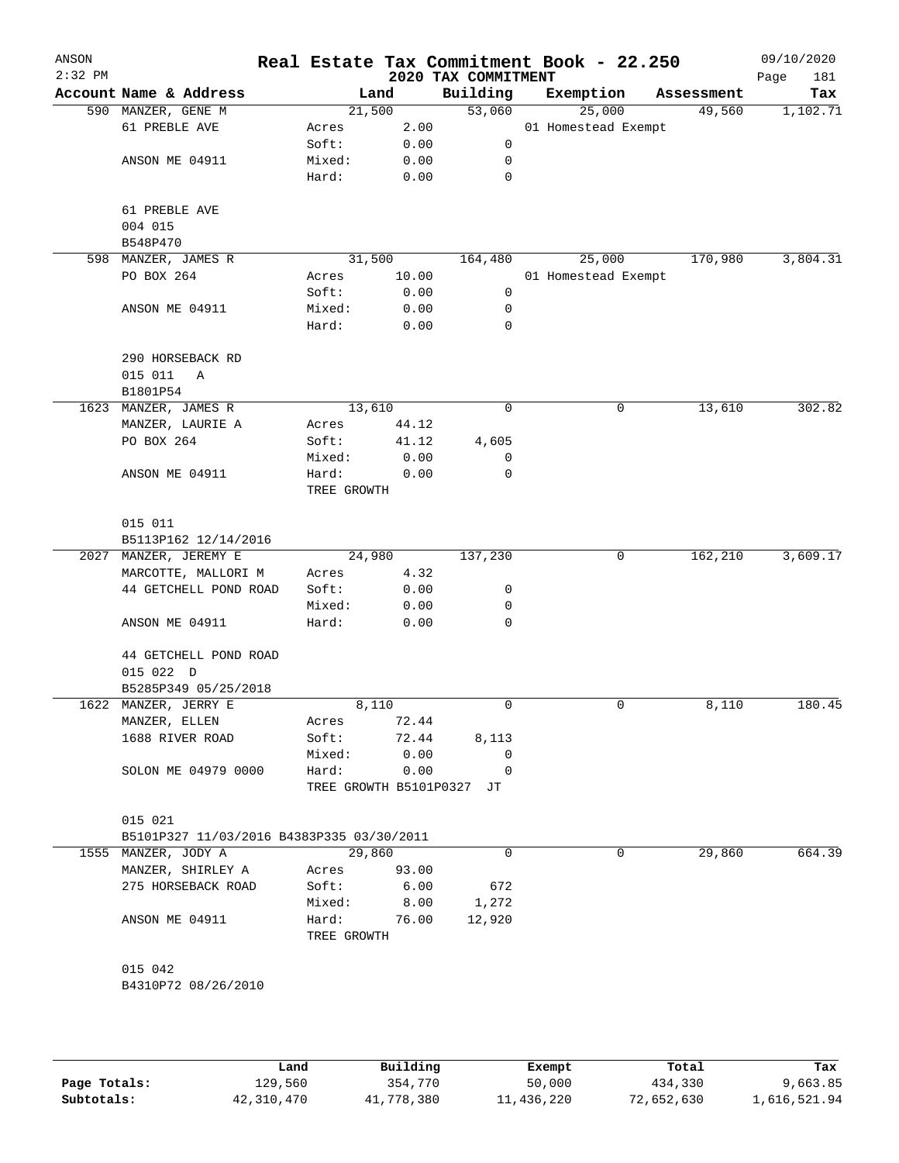| ANSON<br>$2:32$ PM |                                           |                        |        |       | Real Estate Tax Commitment Book - 22.250<br>2020 TAX COMMITMENT |                     |            | 09/10/2020<br>Page<br>181 |
|--------------------|-------------------------------------------|------------------------|--------|-------|-----------------------------------------------------------------|---------------------|------------|---------------------------|
|                    | Account Name & Address                    |                        | Land   |       | Building                                                        | Exemption           | Assessment | Tax                       |
|                    | 590 MANZER, GENE M                        |                        | 21,500 |       | 53,060                                                          | 25,000              | 49,560     | 1,102.71                  |
|                    | 61 PREBLE AVE                             | Acres                  |        | 2.00  |                                                                 | 01 Homestead Exempt |            |                           |
|                    |                                           | Soft:                  |        | 0.00  | 0                                                               |                     |            |                           |
|                    | ANSON ME 04911                            | Mixed:                 |        | 0.00  | 0                                                               |                     |            |                           |
|                    |                                           | Hard:                  |        | 0.00  | $\mathbf 0$                                                     |                     |            |                           |
|                    |                                           |                        |        |       |                                                                 |                     |            |                           |
|                    | 61 PREBLE AVE<br>004 015                  |                        |        |       |                                                                 |                     |            |                           |
|                    | B548P470                                  |                        |        |       |                                                                 |                     |            |                           |
|                    | 598 MANZER, JAMES R                       |                        | 31,500 |       | 164,480                                                         | 25,000              | 170,980    | 3,804.31                  |
|                    | PO BOX 264                                | Acres                  |        | 10.00 |                                                                 | 01 Homestead Exempt |            |                           |
|                    |                                           | Soft:                  |        | 0.00  | 0                                                               |                     |            |                           |
|                    | ANSON ME 04911                            | Mixed:                 |        | 0.00  | 0                                                               |                     |            |                           |
|                    |                                           | Hard:                  |        | 0.00  | 0                                                               |                     |            |                           |
|                    |                                           |                        |        |       |                                                                 |                     |            |                           |
|                    | 290 HORSEBACK RD                          |                        |        |       |                                                                 |                     |            |                           |
|                    | 015 011<br>Α                              |                        |        |       |                                                                 |                     |            |                           |
|                    | B1801P54                                  |                        |        |       |                                                                 |                     |            |                           |
|                    | 1623 MANZER, JAMES R                      |                        | 13,610 |       | 0                                                               | 0                   | 13,610     | 302.82                    |
|                    | MANZER, LAURIE A                          | Acres                  |        | 44.12 |                                                                 |                     |            |                           |
|                    | PO BOX 264                                | Soft:                  |        | 41.12 | 4,605                                                           |                     |            |                           |
|                    |                                           | Mixed:                 |        | 0.00  | 0                                                               |                     |            |                           |
|                    | ANSON ME 04911                            | Hard:                  |        | 0.00  | 0                                                               |                     |            |                           |
|                    |                                           | TREE GROWTH            |        |       |                                                                 |                     |            |                           |
|                    |                                           |                        |        |       |                                                                 |                     |            |                           |
|                    | 015 011                                   |                        |        |       |                                                                 |                     |            |                           |
|                    | B5113P162 12/14/2016                      |                        |        |       |                                                                 |                     |            |                           |
|                    | 2027 MANZER, JEREMY E                     |                        | 24,980 |       | 137,230                                                         | 0                   | 162,210    | 3,609.17                  |
|                    | MARCOTTE, MALLORI M                       | Acres                  |        | 4.32  |                                                                 |                     |            |                           |
|                    | 44 GETCHELL POND ROAD                     | Soft:                  |        | 0.00  | 0                                                               |                     |            |                           |
|                    |                                           | Mixed:                 |        | 0.00  | 0                                                               |                     |            |                           |
|                    | ANSON ME 04911                            | Hard:                  |        | 0.00  | 0                                                               |                     |            |                           |
|                    | 44 GETCHELL POND ROAD                     |                        |        |       |                                                                 |                     |            |                           |
|                    | 015 022 D                                 |                        |        |       |                                                                 |                     |            |                           |
|                    | B5285P349 05/25/2018                      |                        |        |       |                                                                 |                     |            |                           |
|                    | 1622 MANZER, JERRY E                      |                        | 8,110  |       | 0                                                               | 0                   | 8,110      | 180.45                    |
|                    | MANZER, ELLEN                             | Acres                  |        | 72.44 |                                                                 |                     |            |                           |
|                    | 1688 RIVER ROAD                           | Soft:                  |        | 72.44 | 8,113                                                           |                     |            |                           |
|                    |                                           | Mixed:                 |        | 0.00  | 0                                                               |                     |            |                           |
|                    | SOLON ME 04979 0000                       | Hard:                  |        | 0.00  | 0                                                               |                     |            |                           |
|                    |                                           | TREE GROWTH B5101P0327 |        |       | JT                                                              |                     |            |                           |
|                    |                                           |                        |        |       |                                                                 |                     |            |                           |
|                    | 015 021                                   |                        |        |       |                                                                 |                     |            |                           |
|                    | B5101P327 11/03/2016 B4383P335 03/30/2011 |                        |        |       |                                                                 |                     |            |                           |
|                    | 1555 MANZER, JODY A                       |                        | 29,860 |       | $\mathbf 0$                                                     | 0                   | 29,860     | 664.39                    |
|                    | MANZER, SHIRLEY A                         | Acres                  |        | 93.00 |                                                                 |                     |            |                           |
|                    | 275 HORSEBACK ROAD                        | Soft:                  |        | 6.00  | 672                                                             |                     |            |                           |
|                    |                                           | Mixed:                 |        | 8.00  | 1,272                                                           |                     |            |                           |
|                    | ANSON ME 04911                            | Hard:                  |        | 76.00 | 12,920                                                          |                     |            |                           |
|                    |                                           | TREE GROWTH            |        |       |                                                                 |                     |            |                           |
|                    |                                           |                        |        |       |                                                                 |                     |            |                           |
|                    | 015 042                                   |                        |        |       |                                                                 |                     |            |                           |
|                    | B4310P72 08/26/2010                       |                        |        |       |                                                                 |                     |            |                           |
|                    |                                           |                        |        |       |                                                                 |                     |            |                           |
|                    |                                           |                        |        |       |                                                                 |                     |            |                           |

|              | Land       | Building   | Exempt     | Total      | Tax          |
|--------------|------------|------------|------------|------------|--------------|
| Page Totals: | 129,560    | 354,770    | 50,000     | 434,330    | 9,663.85     |
| Subtotals:   | 42,310,470 | 41,778,380 | 11,436,220 | 72,652,630 | 1,616,521.94 |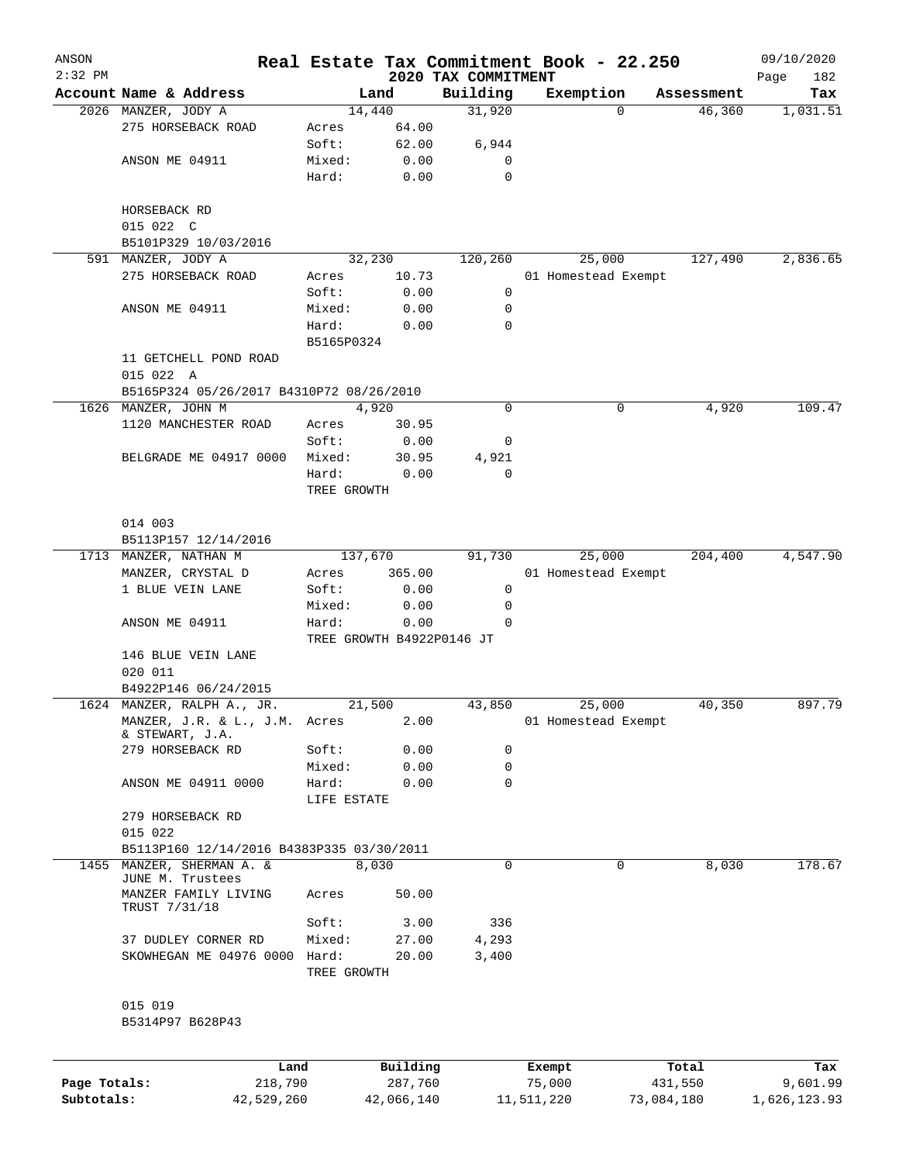| ANSON        |                                           |                |          |                                 | Real Estate Tax Commitment Book - 22.250 |                    | 09/10/2020         |
|--------------|-------------------------------------------|----------------|----------|---------------------------------|------------------------------------------|--------------------|--------------------|
| $2:32$ PM    | Account Name & Address                    |                | Land     | 2020 TAX COMMITMENT<br>Building | Exemption                                | Assessment         | Page<br>182<br>Tax |
|              | 2026 MANZER, JODY A                       |                | 14,440   | 31,920                          |                                          | 46,360<br>$\Omega$ | 1,031.51           |
|              | 275 HORSEBACK ROAD                        | Acres          | 64.00    |                                 |                                          |                    |                    |
|              |                                           | Soft:          | 62.00    | 6,944                           |                                          |                    |                    |
|              | ANSON ME 04911                            | Mixed:         | 0.00     | 0                               |                                          |                    |                    |
|              |                                           | Hard:          | 0.00     | $\mathbf 0$                     |                                          |                    |                    |
|              | HORSEBACK RD                              |                |          |                                 |                                          |                    |                    |
|              | 015 022 C                                 |                |          |                                 |                                          |                    |                    |
|              | B5101P329 10/03/2016                      |                |          |                                 |                                          |                    |                    |
|              | 591 MANZER, JODY A                        |                | 32,230   | 120,260                         | 25,000                                   | 127,490            | 2,836.65           |
|              | 275 HORSEBACK ROAD                        | Acres          | 10.73    |                                 | 01 Homestead Exempt                      |                    |                    |
|              |                                           | Soft:          | 0.00     | 0                               |                                          |                    |                    |
|              | ANSON ME 04911                            | Mixed:         | 0.00     | 0                               |                                          |                    |                    |
|              |                                           | Hard:          | 0.00     | 0                               |                                          |                    |                    |
|              |                                           | B5165P0324     |          |                                 |                                          |                    |                    |
|              | 11 GETCHELL POND ROAD                     |                |          |                                 |                                          |                    |                    |
|              | 015 022 A                                 |                |          |                                 |                                          |                    |                    |
|              | B5165P324 05/26/2017 B4310P72 08/26/2010  |                |          |                                 |                                          |                    |                    |
|              | 1626 MANZER, JOHN M                       |                | 4,920    | $\mathbf 0$                     |                                          | 0<br>4,920         | 109.47             |
|              | 1120 MANCHESTER ROAD                      | Acres          | 30.95    |                                 |                                          |                    |                    |
|              |                                           | Soft:          | 0.00     | 0                               |                                          |                    |                    |
|              | BELGRADE ME 04917 0000                    | Mixed:         | 30.95    | 4,921                           |                                          |                    |                    |
|              |                                           | Hard:          | 0.00     | $\mathbf 0$                     |                                          |                    |                    |
|              |                                           | TREE GROWTH    |          |                                 |                                          |                    |                    |
|              | 014 003                                   |                |          |                                 |                                          |                    |                    |
|              | B5113P157 12/14/2016                      |                |          |                                 |                                          |                    |                    |
|              | 1713 MANZER, NATHAN M                     | 137,670        |          | 91,730                          | 25,000                                   | 204,400            | 4,547.90           |
|              | MANZER, CRYSTAL D                         |                | 365.00   |                                 | 01 Homestead Exempt                      |                    |                    |
|              | 1 BLUE VEIN LANE                          | Acres<br>Soft: | 0.00     | 0                               |                                          |                    |                    |
|              |                                           | Mixed:         | 0.00     | 0                               |                                          |                    |                    |
|              | ANSON ME 04911                            | Hard:          | 0.00     | 0                               |                                          |                    |                    |
|              |                                           |                |          | TREE GROWTH B4922P0146 JT       |                                          |                    |                    |
|              | 146 BLUE VEIN LANE                        |                |          |                                 |                                          |                    |                    |
|              | 020 011                                   |                |          |                                 |                                          |                    |                    |
|              | B4922P146 06/24/2015                      |                |          |                                 |                                          |                    |                    |
|              | 1624 MANZER, RALPH A., JR.                |                | 21,500   | 43,850                          | 25,000                                   | 40,350             | 897.79             |
|              | MANZER, J.R. & L., J.M. Acres             |                | 2.00     |                                 | 01 Homestead Exempt                      |                    |                    |
|              | & STEWART, J.A.                           |                |          |                                 |                                          |                    |                    |
|              | 279 HORSEBACK RD                          | Soft:          | 0.00     | 0                               |                                          |                    |                    |
|              |                                           | Mixed:         | 0.00     | 0                               |                                          |                    |                    |
|              | ANSON ME 04911 0000                       | Hard:          | 0.00     | 0                               |                                          |                    |                    |
|              |                                           | LIFE ESTATE    |          |                                 |                                          |                    |                    |
|              | 279 HORSEBACK RD                          |                |          |                                 |                                          |                    |                    |
|              | 015 022                                   |                |          |                                 |                                          |                    |                    |
|              | B5113P160 12/14/2016 B4383P335 03/30/2011 |                |          |                                 |                                          |                    |                    |
| 1455         | MANZER, SHERMAN A. &                      |                | 8,030    | 0                               |                                          | 8,030<br>0         | 178.67             |
|              | JUNE M. Trustees                          |                |          |                                 |                                          |                    |                    |
|              | MANZER FAMILY LIVING<br>TRUST 7/31/18     | Acres          | 50.00    |                                 |                                          |                    |                    |
|              |                                           | Soft:          | 3.00     | 336                             |                                          |                    |                    |
|              | 37 DUDLEY CORNER RD                       | Mixed:         | 27.00    | 4,293                           |                                          |                    |                    |
|              | SKOWHEGAN ME 04976 0000                   | Hard:          | 20.00    | 3,400                           |                                          |                    |                    |
|              |                                           | TREE GROWTH    |          |                                 |                                          |                    |                    |
|              | 015 019                                   |                |          |                                 |                                          |                    |                    |
|              | B5314P97 B628P43                          |                |          |                                 |                                          |                    |                    |
|              |                                           |                |          |                                 |                                          |                    |                    |
|              |                                           |                |          |                                 |                                          |                    |                    |
|              | Land                                      |                | Building |                                 | Exempt                                   | Total              | Tax                |
| Page Totals: | 218,790                                   |                | 287,760  |                                 | 75,000                                   | 431,550            | 9,601.99           |

**Subtotals:** 42,529,260 42,066,140 11,511,220 73,084,180 1,626,123.93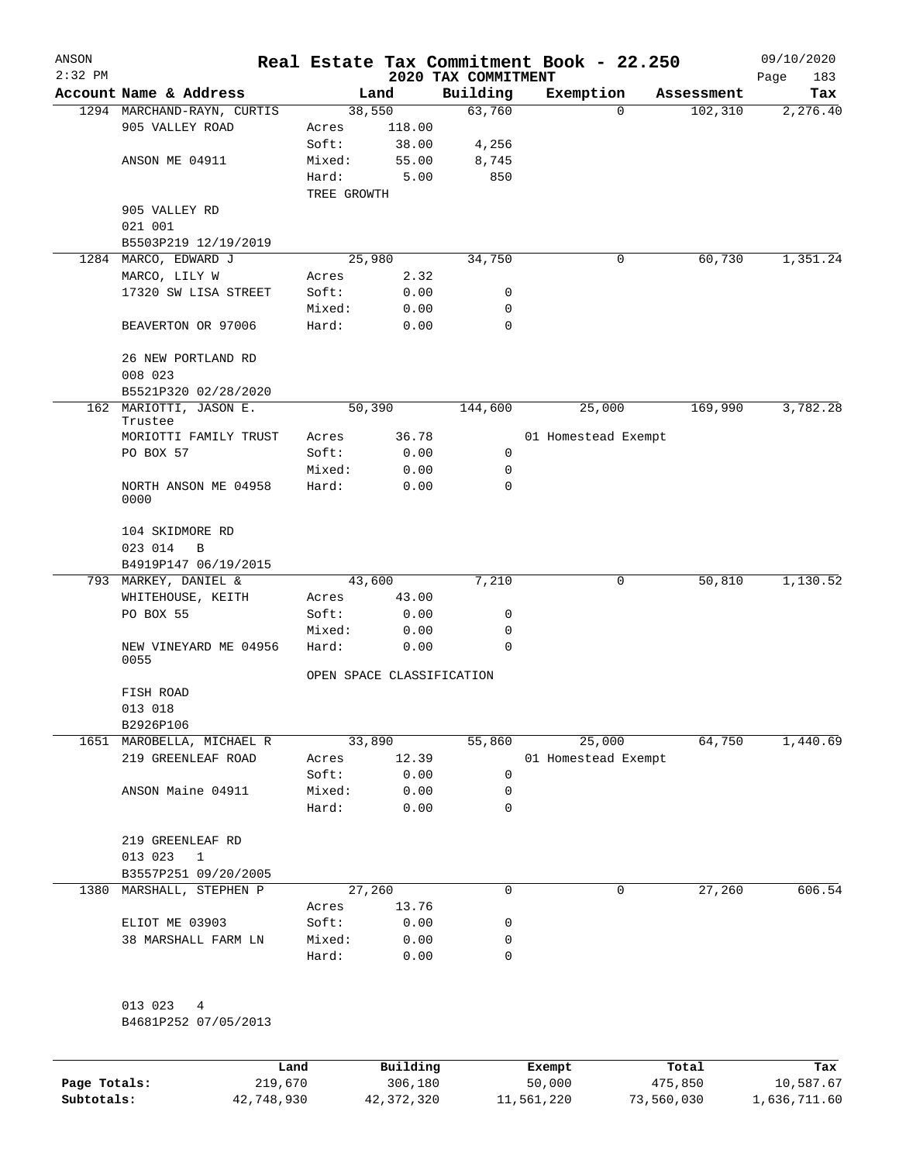| ANSON     |                                               |             |                 |                           | Real Estate Tax Commitment Book - 22.250 |            | 09/10/2020  |
|-----------|-----------------------------------------------|-------------|-----------------|---------------------------|------------------------------------------|------------|-------------|
| $2:32$ PM |                                               |             |                 | 2020 TAX COMMITMENT       |                                          |            | Page<br>183 |
|           | Account Name & Address                        |             | Land            | Building                  | Exemption                                | Assessment | Tax         |
|           | 1294 MARCHAND-RAYN, CURTIS<br>905 VALLEY ROAD | Acres       | 38,550          | 63,760                    | 0                                        | 102,310    | 2,276.40    |
|           |                                               | Soft:       | 118.00<br>38.00 | 4,256                     |                                          |            |             |
|           | ANSON ME 04911                                | Mixed:      | 55.00           | 8,745                     |                                          |            |             |
|           |                                               | Hard:       | 5.00            | 850                       |                                          |            |             |
|           |                                               | TREE GROWTH |                 |                           |                                          |            |             |
|           | 905 VALLEY RD                                 |             |                 |                           |                                          |            |             |
|           | 021 001                                       |             |                 |                           |                                          |            |             |
|           | B5503P219 12/19/2019                          |             |                 |                           |                                          |            |             |
|           | 1284 MARCO, EDWARD J                          |             | 25,980          | 34,750                    | 0                                        | 60,730     | 1,351.24    |
|           | MARCO, LILY W                                 | Acres       | 2.32            |                           |                                          |            |             |
|           | 17320 SW LISA STREET                          | Soft:       | 0.00            | 0                         |                                          |            |             |
|           |                                               | Mixed:      | 0.00            | 0                         |                                          |            |             |
|           | BEAVERTON OR 97006                            | Hard:       | 0.00            | $\mathbf 0$               |                                          |            |             |
|           | 26 NEW PORTLAND RD                            |             |                 |                           |                                          |            |             |
|           | 008 023                                       |             |                 |                           |                                          |            |             |
|           | B5521P320 02/28/2020                          |             |                 |                           |                                          |            |             |
|           | 162 MARIOTTI, JASON E.<br>Trustee             |             | 50,390          | 144,600                   | 25,000                                   | 169,990    | 3,782.28    |
|           | MORIOTTI FAMILY TRUST                         | Acres       | 36.78           |                           | 01 Homestead Exempt                      |            |             |
|           | PO BOX 57                                     | Soft:       | 0.00            | 0                         |                                          |            |             |
|           |                                               | Mixed:      | 0.00            | 0                         |                                          |            |             |
|           | NORTH ANSON ME 04958<br>0000                  | Hard:       | 0.00            | 0                         |                                          |            |             |
|           | 104 SKIDMORE RD<br>023 014<br>B               |             |                 |                           |                                          |            |             |
|           | B4919P147 06/19/2015                          |             |                 |                           |                                          |            |             |
|           | 793 MARKEY, DANIEL &                          |             | 43,600          | 7,210                     | 0                                        | 50,810     | 1,130.52    |
|           | WHITEHOUSE, KEITH                             | Acres       | 43.00           |                           |                                          |            |             |
|           | PO BOX 55                                     | Soft:       | 0.00            | 0                         |                                          |            |             |
|           |                                               | Mixed:      | 0.00            | 0                         |                                          |            |             |
|           | NEW VINEYARD ME 04956<br>0055                 | Hard:       | 0.00            | 0                         |                                          |            |             |
|           |                                               |             |                 | OPEN SPACE CLASSIFICATION |                                          |            |             |
|           | FISH ROAD                                     |             |                 |                           |                                          |            |             |
|           | 013 018                                       |             |                 |                           |                                          |            |             |
|           | B2926P106                                     |             |                 |                           |                                          |            |             |
|           | 1651 MAROBELLA, MICHAEL R                     |             | 33,890          | 55,860                    | 25,000                                   | 64,750     | 1,440.69    |
|           | 219 GREENLEAF ROAD                            | Acres       | 12.39           |                           | 01 Homestead Exempt                      |            |             |
|           |                                               | Soft:       | 0.00            | 0                         |                                          |            |             |
|           | ANSON Maine 04911                             | Mixed:      | 0.00            | 0                         |                                          |            |             |
|           |                                               | Hard:       | 0.00            | 0                         |                                          |            |             |
|           | 219 GREENLEAF RD                              |             |                 |                           |                                          |            |             |
|           | 013 023<br>$\mathbf{1}$                       |             |                 |                           |                                          |            |             |
|           | B3557P251 09/20/2005                          |             |                 |                           |                                          |            |             |
|           | 1380 MARSHALL, STEPHEN P                      |             | 27,260          | 0                         | 0                                        | 27,260     | 606.54      |
|           |                                               | Acres       | 13.76           |                           |                                          |            |             |
|           | ELIOT ME 03903                                | Soft:       | 0.00            | 0                         |                                          |            |             |
|           | 38 MARSHALL FARM LN                           | Mixed:      | 0.00            | 0                         |                                          |            |             |
|           |                                               | Hard:       | 0.00            | 0                         |                                          |            |             |
|           | 013 023<br>4                                  |             |                 |                           |                                          |            |             |
|           | B4681P252 07/05/2013                          |             |                 |                           |                                          |            |             |
|           |                                               |             |                 |                           |                                          |            |             |

|              | Land       | Building   | Exempt     | Total      | Tax          |
|--------------|------------|------------|------------|------------|--------------|
| Page Totals: | 219,670    | 306,180    | 50,000     | 475,850    | 10,587.67    |
| Subtotals:   | 42,748,930 | 42,372,320 | 11,561,220 | 73,560,030 | 1,636,711.60 |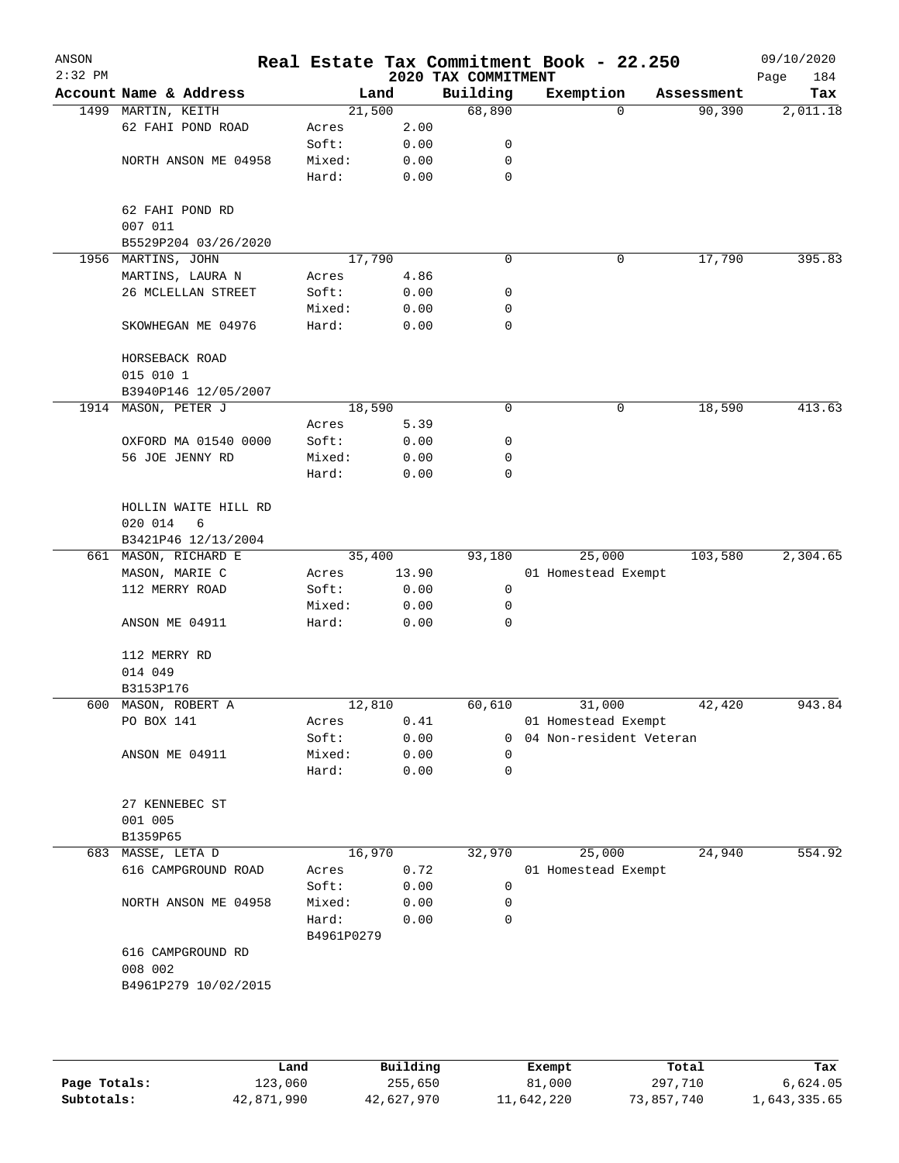| ANSON<br>$2:32$ PM |                                      |            |       | 2020 TAX COMMITMENT | Real Estate Tax Commitment Book - 22.250 |            | 09/10/2020<br>Page<br>184 |
|--------------------|--------------------------------------|------------|-------|---------------------|------------------------------------------|------------|---------------------------|
|                    | Account Name & Address               |            | Land  | Building            | Exemption                                | Assessment | Tax                       |
|                    | 1499 MARTIN, KEITH                   | 21,500     |       | 68,890              | 0                                        | 90,390     | 2,011.18                  |
|                    | 62 FAHI POND ROAD                    | Acres      | 2.00  |                     |                                          |            |                           |
|                    |                                      | Soft:      | 0.00  | 0                   |                                          |            |                           |
|                    | NORTH ANSON ME 04958                 | Mixed:     | 0.00  | 0                   |                                          |            |                           |
|                    |                                      | Hard:      | 0.00  | 0                   |                                          |            |                           |
|                    | 62 FAHI POND RD<br>007 011           |            |       |                     |                                          |            |                           |
|                    | B5529P204 03/26/2020                 |            |       |                     |                                          |            |                           |
| 1956               | MARTINS, JOHN                        | 17,790     |       | 0                   | 0                                        | 17,790     | 395.83                    |
|                    | MARTINS, LAURA N                     | Acres      | 4.86  |                     |                                          |            |                           |
|                    | 26 MCLELLAN STREET                   | Soft:      | 0.00  | 0                   |                                          |            |                           |
|                    |                                      | Mixed:     | 0.00  | 0                   |                                          |            |                           |
|                    | SKOWHEGAN ME 04976                   | Hard:      | 0.00  | 0                   |                                          |            |                           |
|                    | HORSEBACK ROAD                       |            |       |                     |                                          |            |                           |
|                    | 015 010 1                            |            |       |                     |                                          |            |                           |
|                    | B3940P146 12/05/2007                 |            |       |                     |                                          |            |                           |
| 1914               | MASON, PETER J                       | 18,590     |       | 0                   | 0                                        | 18,590     | 413.63                    |
|                    |                                      | Acres      | 5.39  |                     |                                          |            |                           |
|                    | OXFORD MA 01540 0000                 | Soft:      | 0.00  | 0                   |                                          |            |                           |
|                    | 56 JOE JENNY RD                      | Mixed:     | 0.00  | 0                   |                                          |            |                           |
|                    |                                      | Hard:      | 0.00  | 0                   |                                          |            |                           |
|                    | HOLLIN WAITE HILL RD<br>020 014<br>6 |            |       |                     |                                          |            |                           |
|                    | B3421P46 12/13/2004                  |            |       |                     |                                          |            |                           |
|                    | 661 MASON, RICHARD E                 | 35,400     |       | 93,180              | 25,000                                   | 103,580    | 2,304.65                  |
|                    | MASON, MARIE C                       | Acres      | 13.90 |                     | 01 Homestead Exempt                      |            |                           |
|                    | 112 MERRY ROAD                       | Soft:      | 0.00  | 0                   |                                          |            |                           |
|                    |                                      | Mixed:     | 0.00  | 0                   |                                          |            |                           |
|                    | ANSON ME 04911                       | Hard:      | 0.00  | 0                   |                                          |            |                           |
|                    | 112 MERRY RD                         |            |       |                     |                                          |            |                           |
|                    | 014 049                              |            |       |                     |                                          |            |                           |
|                    | B3153P176                            |            |       |                     |                                          |            |                           |
|                    | 600 MASON, ROBERT A                  | 12,810     |       | 60,610              | 31,000                                   | 42,420     | 943.84                    |
|                    | PO BOX 141                           | Acres      | 0.41  |                     | 01 Homestead Exempt                      |            |                           |
|                    |                                      | Soft:      | 0.00  | 0                   | 04 Non-resident Veteran                  |            |                           |
|                    | ANSON ME 04911                       | Mixed:     | 0.00  | $\Omega$            |                                          |            |                           |
|                    |                                      | Hard:      | 0.00  | 0                   |                                          |            |                           |
|                    | 27 KENNEBEC ST<br>001 005            |            |       |                     |                                          |            |                           |
|                    | B1359P65                             |            |       |                     |                                          |            |                           |
| 683                | MASSE, LETA D                        | 16,970     |       | 32,970              | 25,000                                   | 24,940     | 554.92                    |
|                    | 616 CAMPGROUND ROAD                  | Acres      | 0.72  |                     | 01 Homestead Exempt                      |            |                           |
|                    |                                      | Soft:      | 0.00  | 0                   |                                          |            |                           |
|                    | NORTH ANSON ME 04958                 | Mixed:     | 0.00  | 0                   |                                          |            |                           |
|                    |                                      | Hard:      | 0.00  | 0                   |                                          |            |                           |
|                    |                                      | B4961P0279 |       |                     |                                          |            |                           |
|                    | 616 CAMPGROUND RD<br>008 002         |            |       |                     |                                          |            |                           |
|                    | B4961P279 10/02/2015                 |            |       |                     |                                          |            |                           |

|              | Land       | Building   | Exempt     | Total      | Tax          |
|--------------|------------|------------|------------|------------|--------------|
| Page Totals: | 123,060    | 255,650    | 81,000     | 297,710    | 6,624.05     |
| Subtotals:   | 42,871,990 | 42,627,970 | 11,642,220 | 73,857,740 | 1,643,335.65 |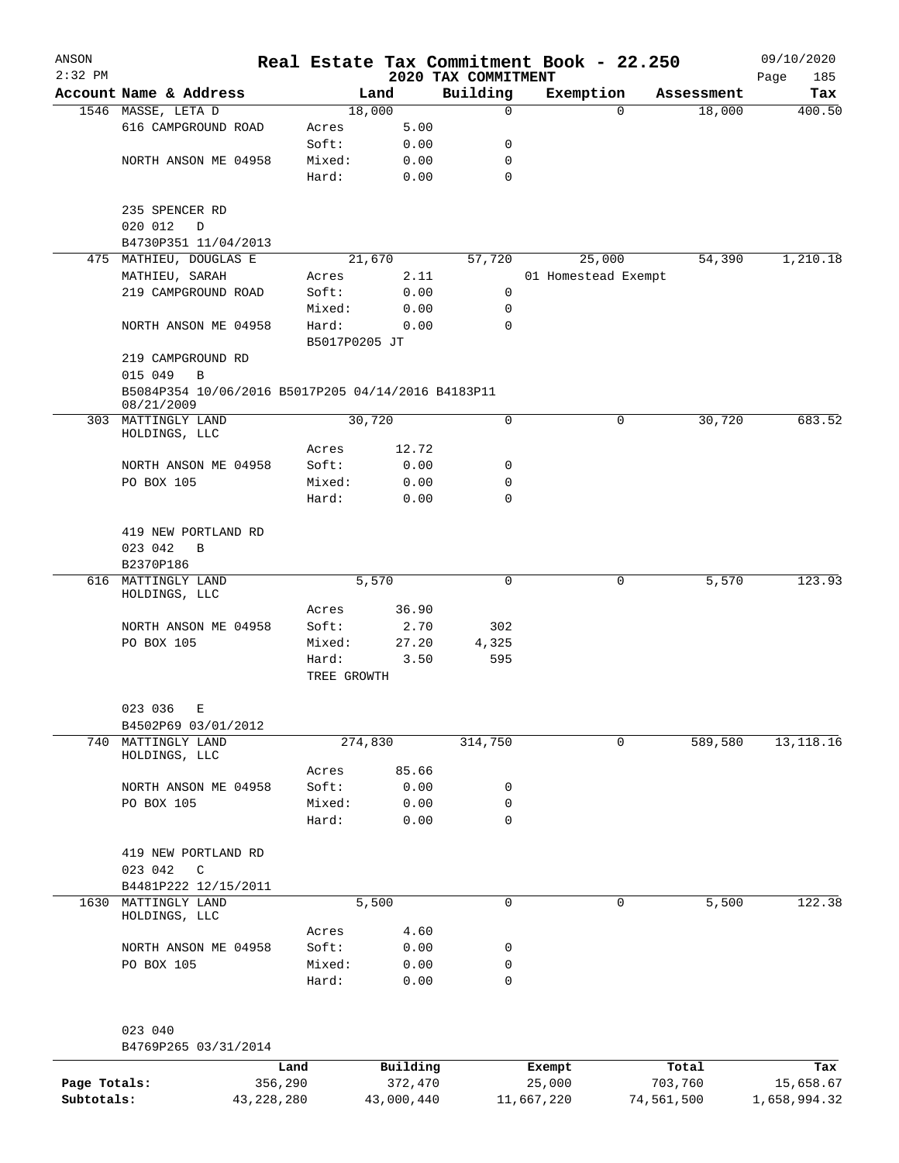| ANSON<br>$2:32$ PM |                                                                  |               |         | 2020 TAX COMMITMENT | Real Estate Tax Commitment Book - 22.250 |            | 09/10/2020<br>Page<br>185 |
|--------------------|------------------------------------------------------------------|---------------|---------|---------------------|------------------------------------------|------------|---------------------------|
|                    | Account Name & Address                                           |               | Land    | Building            | Exemption                                | Assessment | Tax                       |
|                    | 1546 MASSE, LETA D                                               |               | 18,000  | 0                   | 0                                        | 18,000     | 400.50                    |
|                    | 616 CAMPGROUND ROAD                                              | Acres         | 5.00    |                     |                                          |            |                           |
|                    |                                                                  | Soft:         | 0.00    | 0                   |                                          |            |                           |
|                    | NORTH ANSON ME 04958                                             | Mixed:        | 0.00    | 0                   |                                          |            |                           |
|                    |                                                                  | Hard:         | 0.00    | 0                   |                                          |            |                           |
|                    | 235 SPENCER RD                                                   |               |         |                     |                                          |            |                           |
|                    | 020 012<br>D                                                     |               |         |                     |                                          |            |                           |
|                    | B4730P351 11/04/2013                                             |               |         |                     |                                          |            |                           |
|                    | 475 MATHIEU, DOUGLAS E                                           |               | 21,670  | 57,720              | 25,000                                   | 54,390     | 1,210.18                  |
|                    | MATHIEU, SARAH                                                   | Acres         | 2.11    |                     | 01 Homestead Exempt                      |            |                           |
|                    | 219 CAMPGROUND ROAD                                              | Soft:         | 0.00    | 0                   |                                          |            |                           |
|                    |                                                                  | Mixed:        | 0.00    | 0                   |                                          |            |                           |
|                    | NORTH ANSON ME 04958                                             | Hard:         | 0.00    | 0                   |                                          |            |                           |
|                    |                                                                  | B5017P0205 JT |         |                     |                                          |            |                           |
|                    | 219 CAMPGROUND RD                                                |               |         |                     |                                          |            |                           |
|                    | 015 049<br>B                                                     |               |         |                     |                                          |            |                           |
|                    | B5084P354 10/06/2016 B5017P205 04/14/2016 B4183P11<br>08/21/2009 |               |         |                     |                                          |            |                           |
|                    | 303 MATTINGLY LAND                                               |               | 30,720  | 0                   | 0                                        | 30,720     | 683.52                    |
|                    | HOLDINGS, LLC                                                    |               |         |                     |                                          |            |                           |
|                    |                                                                  | Acres         | 12.72   |                     |                                          |            |                           |
|                    | NORTH ANSON ME 04958                                             | Soft:         | 0.00    | 0                   |                                          |            |                           |
|                    | PO BOX 105                                                       | Mixed:        | 0.00    | 0                   |                                          |            |                           |
|                    |                                                                  | Hard:         | 0.00    | 0                   |                                          |            |                           |
|                    |                                                                  |               |         |                     |                                          |            |                           |
|                    | 419 NEW PORTLAND RD                                              |               |         |                     |                                          |            |                           |
|                    | 023 042<br>B                                                     |               |         |                     |                                          |            |                           |
|                    | B2370P186                                                        |               |         |                     |                                          |            |                           |
|                    | 616 MATTINGLY LAND                                               |               | 5,570   | 0                   | 0                                        | 5,570      | 123.93                    |
|                    | HOLDINGS, LLC                                                    |               |         |                     |                                          |            |                           |
|                    |                                                                  | Acres         | 36.90   |                     |                                          |            |                           |
|                    | NORTH ANSON ME 04958                                             | Soft:         | 2.70    | 302                 |                                          |            |                           |
|                    | PO BOX 105                                                       | Mixed:        | 27.20   | 4,325               |                                          |            |                           |
|                    |                                                                  | Hard:         | 3.50    | 595                 |                                          |            |                           |
|                    |                                                                  | TREE GROWTH   |         |                     |                                          |            |                           |
|                    | 023 036<br>Е                                                     |               |         |                     |                                          |            |                           |
|                    | B4502P69 03/01/2012                                              |               |         |                     |                                          |            |                           |
| 740                | MATTINGLY LAND<br>HOLDINGS, LLC                                  |               | 274,830 | 314,750             | 0                                        | 589,580    | 13, 118. 16               |
|                    |                                                                  | Acres         | 85.66   |                     |                                          |            |                           |
|                    | NORTH ANSON ME 04958                                             | Soft:         | 0.00    | 0                   |                                          |            |                           |
|                    | PO BOX 105                                                       | Mixed:        | 0.00    | 0                   |                                          |            |                           |
|                    |                                                                  | Hard:         | 0.00    | 0                   |                                          |            |                           |
|                    | 419 NEW PORTLAND RD                                              |               |         |                     |                                          |            |                           |
|                    | 023 042<br>$\mathsf{C}$                                          |               |         |                     |                                          |            |                           |
|                    | B4481P222 12/15/2011                                             |               |         |                     |                                          |            |                           |
| 1630               | MATTINGLY LAND                                                   |               | 5,500   | 0                   | 0                                        | 5,500      | 122.38                    |
|                    | HOLDINGS, LLC                                                    |               |         |                     |                                          |            |                           |
|                    |                                                                  | Acres         | 4.60    |                     |                                          |            |                           |
|                    | NORTH ANSON ME 04958                                             | Soft:         | 0.00    | 0                   |                                          |            |                           |
|                    | PO BOX 105                                                       | Mixed:        | 0.00    | 0                   |                                          |            |                           |
|                    |                                                                  | Hard:         | 0.00    | 0                   |                                          |            |                           |
|                    |                                                                  |               |         |                     |                                          |            |                           |
|                    |                                                                  |               |         |                     |                                          |            |                           |
|                    | 023 040                                                          |               |         |                     |                                          |            |                           |
|                    | B4769P265 03/31/2014                                             |               |         |                     |                                          |            |                           |

|              | Land       | Building   | Exempt     | Total      | Tax          |
|--------------|------------|------------|------------|------------|--------------|
| Page Totals: | 356,290    | 372,470    | 25,000     | 703,760    | 15,658.67    |
| Subtotals:   | 43,228,280 | 43,000,440 | 11,667,220 | 74,561,500 | 1,658,994.32 |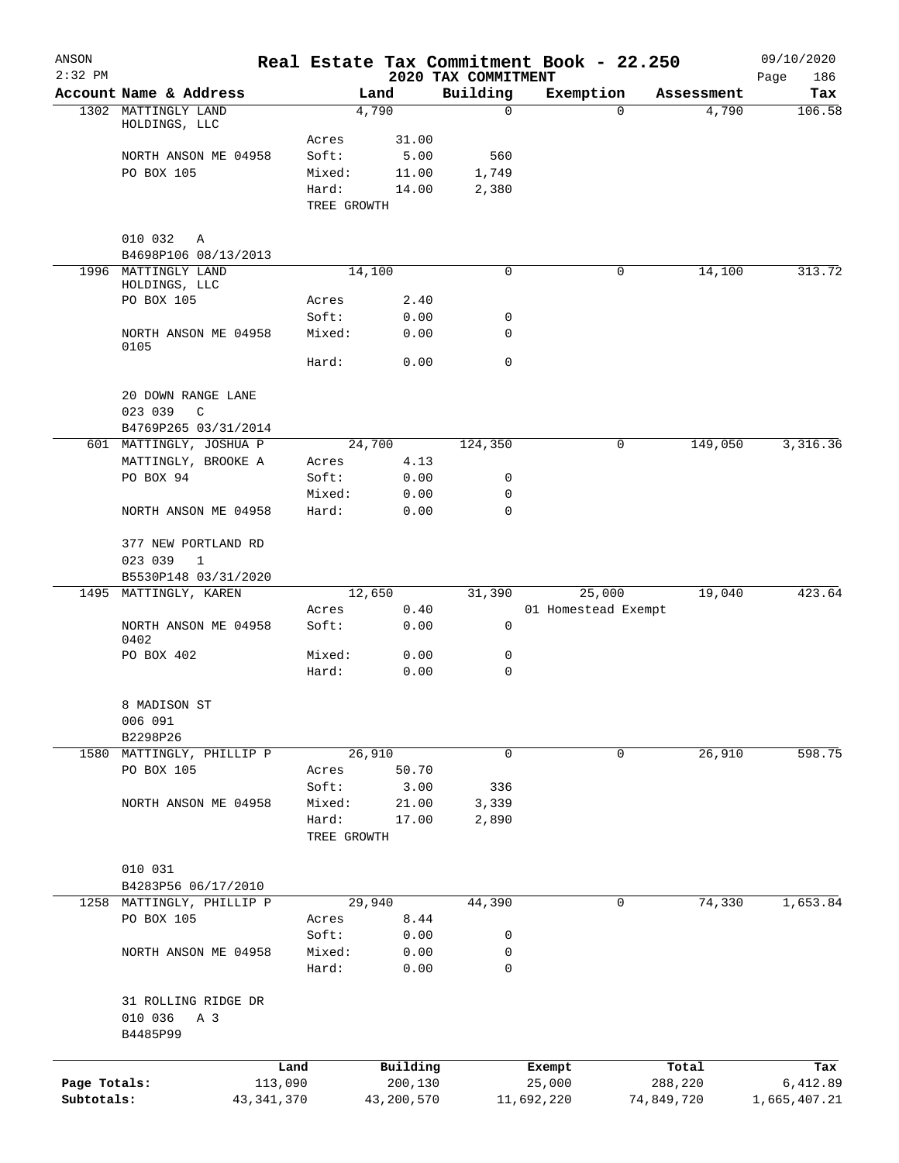| ANSON<br>$2:32$ PM |                                      |                      |                 | 2020 TAX COMMITMENT | Real Estate Tax Commitment Book - 22.250 |            | 09/10/2020<br>Page<br>186 |
|--------------------|--------------------------------------|----------------------|-----------------|---------------------|------------------------------------------|------------|---------------------------|
|                    | Account Name & Address               |                      | Land            | Building            | Exemption                                | Assessment | Tax                       |
|                    | 1302 MATTINGLY LAND<br>HOLDINGS, LLC |                      | 4,790           | $\mathbf 0$         | 0                                        | 4,790      | 106.58                    |
|                    |                                      | Acres                | 31.00           |                     |                                          |            |                           |
|                    | NORTH ANSON ME 04958                 | Soft:                | 5.00            | 560                 |                                          |            |                           |
|                    | PO BOX 105                           | Mixed:               | 11.00           | 1,749               |                                          |            |                           |
|                    |                                      | Hard:<br>TREE GROWTH | 14.00           | 2,380               |                                          |            |                           |
|                    | 010 032<br>Α                         |                      |                 |                     |                                          |            |                           |
|                    | B4698P106 08/13/2013                 |                      |                 |                     |                                          |            |                           |
| 1996               | MATTINGLY LAND                       |                      | 14,100          | $\mathbf 0$         | 0                                        | 14,100     | 313.72                    |
|                    | HOLDINGS, LLC<br>PO BOX 105          |                      |                 |                     |                                          |            |                           |
|                    |                                      | Acres<br>Soft:       | 2.40<br>0.00    | 0                   |                                          |            |                           |
|                    | NORTH ANSON ME 04958                 | Mixed:               | 0.00            | 0                   |                                          |            |                           |
|                    | 0105                                 | Hard:                | 0.00            | $\mathbf 0$         |                                          |            |                           |
|                    | 20 DOWN RANGE LANE                   |                      |                 |                     |                                          |            |                           |
|                    | 023 039<br>C                         |                      |                 |                     |                                          |            |                           |
|                    | B4769P265 03/31/2014                 |                      |                 |                     |                                          |            |                           |
|                    | 601 MATTINGLY, JOSHUA P              |                      | 24,700          | 124,350             | 0                                        | 149,050    | 3,316.36                  |
|                    | MATTINGLY, BROOKE A                  | Acres                | 4.13            |                     |                                          |            |                           |
|                    | PO BOX 94                            | Soft:                | 0.00            | 0                   |                                          |            |                           |
|                    | NORTH ANSON ME 04958                 | Mixed:<br>Hard:      | 0.00<br>0.00    | 0<br>0              |                                          |            |                           |
|                    | 377 NEW PORTLAND RD                  |                      |                 |                     |                                          |            |                           |
|                    | 023 039<br>1                         |                      |                 |                     |                                          |            |                           |
|                    | B5530P148 03/31/2020                 |                      |                 |                     |                                          |            |                           |
|                    | 1495 MATTINGLY, KAREN                |                      | 12,650          | 31,390              | 25,000                                   | 19,040     | 423.64                    |
|                    | NORTH ANSON ME 04958<br>0402         | Acres<br>Soft:       | 0.40<br>0.00    | 0                   | 01 Homestead Exempt                      |            |                           |
|                    | PO BOX 402                           | Mixed:               | 0.00            | 0                   |                                          |            |                           |
|                    |                                      | Hard:                | 0.00            | 0                   |                                          |            |                           |
|                    | 8 MADISON ST                         |                      |                 |                     |                                          |            |                           |
|                    | 006 091                              |                      |                 |                     |                                          |            |                           |
|                    | B2298P26                             |                      |                 |                     |                                          |            | 598.75                    |
| 1580               | MATTINGLY, PHILLIP P<br>PO BOX 105   | Acres                | 26,910<br>50.70 | 0                   | 0                                        | 26,910     |                           |
|                    |                                      | Soft:                | 3.00            | 336                 |                                          |            |                           |
|                    | NORTH ANSON ME 04958                 | Mixed:               | 21.00           | 3,339               |                                          |            |                           |
|                    |                                      | Hard:                | 17.00           | 2,890               |                                          |            |                           |
|                    |                                      | TREE GROWTH          |                 |                     |                                          |            |                           |
|                    | 010 031                              |                      |                 |                     |                                          |            |                           |
|                    | B4283P56 06/17/2010                  |                      |                 |                     |                                          |            |                           |
| 1258               | MATTINGLY, PHILLIP P                 |                      | 29,940          | 44,390              | 0                                        | 74,330     | 1,653.84                  |
|                    | PO BOX 105                           | Acres                | 8.44            |                     |                                          |            |                           |
|                    |                                      | Soft:                | 0.00            | 0                   |                                          |            |                           |
|                    | NORTH ANSON ME 04958                 | Mixed:<br>Hard:      | 0.00<br>0.00    | 0<br>$\mathbf 0$    |                                          |            |                           |
|                    | 31 ROLLING RIDGE DR                  |                      |                 |                     |                                          |            |                           |
|                    | 010 036<br>A 3                       |                      |                 |                     |                                          |            |                           |
|                    | B4485P99                             |                      |                 |                     |                                          |            |                           |
|                    |                                      | Land                 | Building        |                     | Exempt                                   | Total      | Tax                       |
| Page Totals:       |                                      | 113,090              | 200,130         |                     | 25,000                                   | 288,220    | 6,412.89                  |
| Subtotals:         | 43, 341, 370                         |                      | 43,200,570      |                     | 11,692,220                               | 74,849,720 | 1,665,407.21              |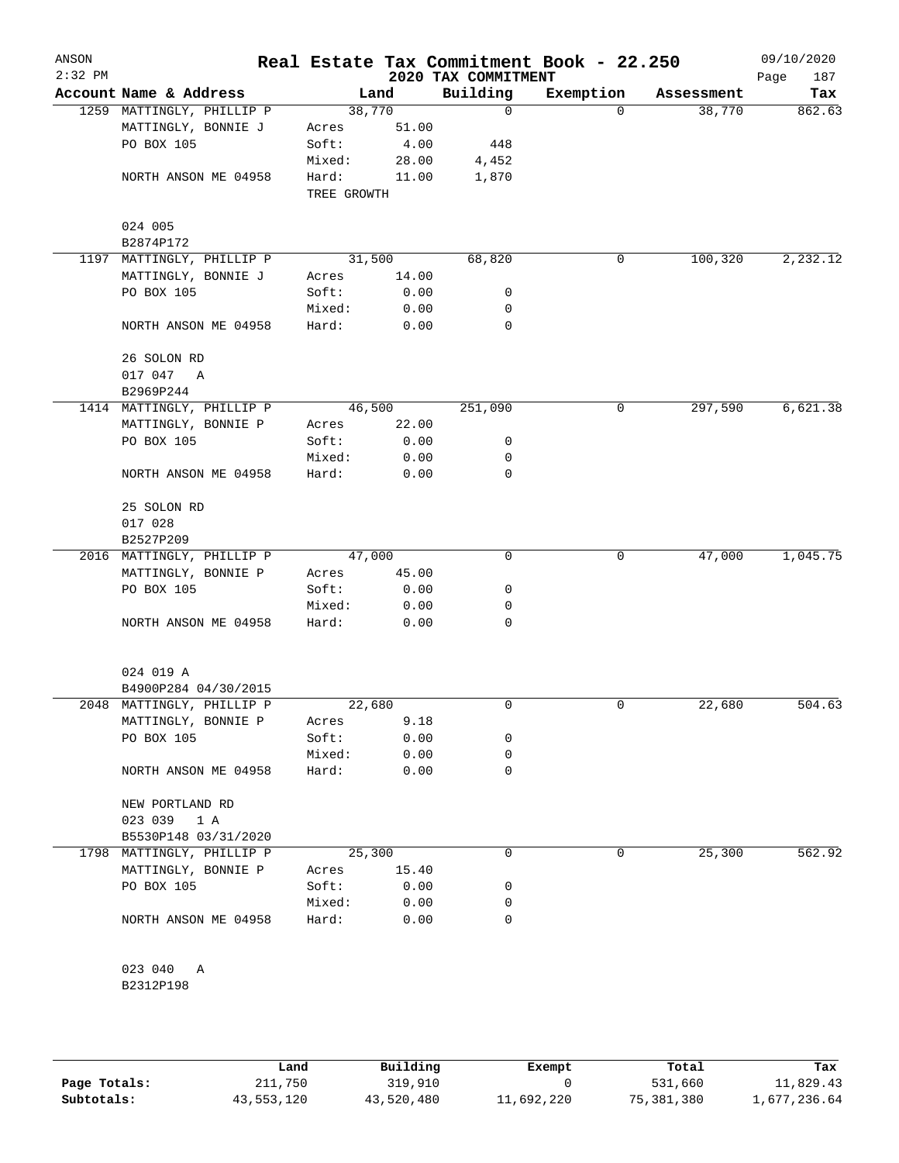| ANSON<br>$2:32$ PM |                             |             |       | 2020 TAX COMMITMENT | Real Estate Tax Commitment Book - 22.250 |            | 09/10/2020<br>187<br>Page |
|--------------------|-----------------------------|-------------|-------|---------------------|------------------------------------------|------------|---------------------------|
|                    | Account Name & Address      |             | Land  | Building            | Exemption                                | Assessment | Tax                       |
|                    | 1259 MATTINGLY, PHILLIP P   | 38,770      |       | $\mathbf 0$         | $\Omega$                                 | 38,770     | 862.63                    |
|                    | MATTINGLY, BONNIE J         | Acres       | 51.00 |                     |                                          |            |                           |
|                    | PO BOX 105                  | Soft:       | 4.00  | 448                 |                                          |            |                           |
|                    |                             | Mixed:      | 28.00 | 4,452               |                                          |            |                           |
|                    | NORTH ANSON ME 04958        | Hard:       | 11.00 | 1,870               |                                          |            |                           |
|                    |                             | TREE GROWTH |       |                     |                                          |            |                           |
|                    | 024 005<br>B2874P172        |             |       |                     |                                          |            |                           |
|                    | 1197 MATTINGLY, PHILLIP P   | 31,500      |       | 68,820              | 0                                        | 100,320    | 2,232.12                  |
|                    | MATTINGLY, BONNIE J         | Acres       | 14.00 |                     |                                          |            |                           |
|                    | PO BOX 105                  | Soft:       | 0.00  | 0                   |                                          |            |                           |
|                    |                             | Mixed:      | 0.00  | 0                   |                                          |            |                           |
|                    | NORTH ANSON ME 04958        | Hard:       | 0.00  | $\mathbf 0$         |                                          |            |                           |
|                    |                             |             |       |                     |                                          |            |                           |
|                    | 26 SOLON RD<br>017 047<br>A |             |       |                     |                                          |            |                           |
|                    | B2969P244                   |             |       |                     |                                          |            |                           |
|                    | 1414 MATTINGLY, PHILLIP P   | 46,500      |       | 251,090             | 0                                        | 297,590    | 6,621.38                  |
|                    | MATTINGLY, BONNIE P         | Acres       | 22.00 |                     |                                          |            |                           |
|                    | PO BOX 105                  | Soft:       | 0.00  | 0                   |                                          |            |                           |
|                    |                             | Mixed:      | 0.00  | 0                   |                                          |            |                           |
|                    | NORTH ANSON ME 04958        | Hard:       | 0.00  | 0                   |                                          |            |                           |
|                    |                             |             |       |                     |                                          |            |                           |
|                    | 25 SOLON RD                 |             |       |                     |                                          |            |                           |
|                    | 017 028                     |             |       |                     |                                          |            |                           |
|                    | B2527P209                   |             |       |                     |                                          |            |                           |
|                    | 2016 MATTINGLY, PHILLIP P   | 47,000      |       | 0                   | 0                                        | 47,000     | 1,045.75                  |
|                    | MATTINGLY, BONNIE P         | Acres       | 45.00 |                     |                                          |            |                           |
|                    | PO BOX 105                  | Soft:       | 0.00  | 0                   |                                          |            |                           |
|                    |                             | Mixed:      | 0.00  | 0                   |                                          |            |                           |
|                    | NORTH ANSON ME 04958        | Hard:       | 0.00  | 0                   |                                          |            |                           |
|                    |                             |             |       |                     |                                          |            |                           |
|                    | 024 019 A                   |             |       |                     |                                          |            |                           |
|                    | B4900P284 04/30/2015        |             |       |                     |                                          |            |                           |
|                    | 2048 MATTINGLY, PHILLIP P   | 22,680      |       | 0                   | 0                                        | 22,680     | 504.63                    |
|                    | MATTINGLY, BONNIE P         | Acres       | 9.18  |                     |                                          |            |                           |
|                    | PO BOX 105                  | Soft:       | 0.00  | 0                   |                                          |            |                           |
|                    |                             | Mixed:      | 0.00  | 0                   |                                          |            |                           |
|                    | NORTH ANSON ME 04958        | Hard:       | 0.00  | 0                   |                                          |            |                           |
|                    | NEW PORTLAND RD             |             |       |                     |                                          |            |                           |
|                    | 023 039 1 A                 |             |       |                     |                                          |            |                           |
|                    | B5530P148 03/31/2020        |             |       |                     |                                          |            |                           |
|                    | 1798 MATTINGLY, PHILLIP P   | 25,300      |       | 0                   | 0                                        | 25,300     | 562.92                    |
|                    | MATTINGLY, BONNIE P         | Acres       | 15.40 |                     |                                          |            |                           |
|                    | PO BOX 105                  | Soft:       | 0.00  | 0                   |                                          |            |                           |
|                    |                             | Mixed:      | 0.00  | 0                   |                                          |            |                           |
|                    | NORTH ANSON ME 04958        | Hard:       | 0.00  | 0                   |                                          |            |                           |
|                    |                             |             |       |                     |                                          |            |                           |
|                    | 023 040<br>A                |             |       |                     |                                          |            |                           |
|                    | B2312P198                   |             |       |                     |                                          |            |                           |
|                    |                             |             |       |                     |                                          |            |                           |

|              | Land       | Building   | Exempt     | Total      | Tax          |
|--------------|------------|------------|------------|------------|--------------|
| Page Totals: | 211,750    | 319,910    |            | 531,660    | 11,829.43    |
| Subtotals:   | 43,553,120 | 43,520,480 | 11,692,220 | 75,381,380 | 1,677,236.64 |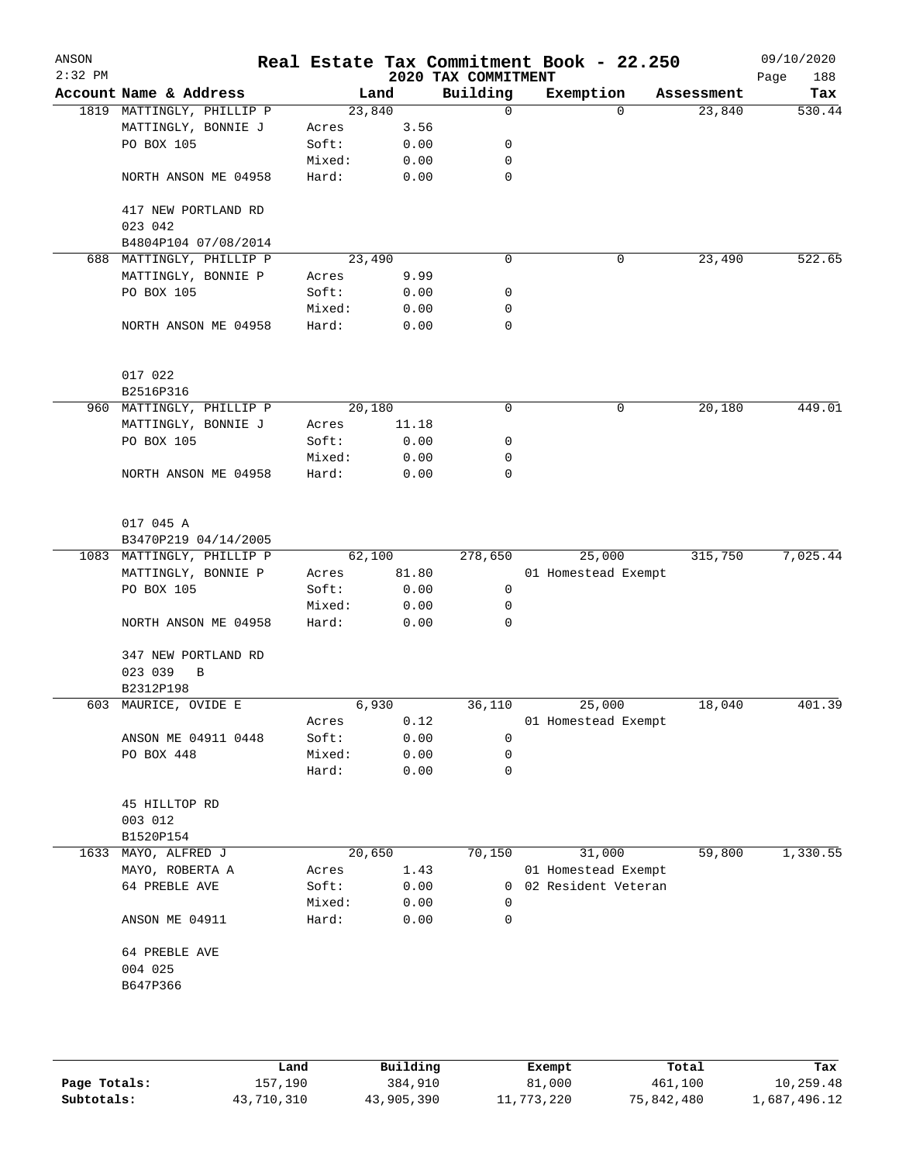| $2:32$ PM<br>Building<br>Account Name & Address<br>Exemption<br>Land<br>Assessment<br>23,840<br>1819 MATTINGLY, PHILLIP P<br>$\mathbf 0$<br>$\Omega$<br>23,840<br>MATTINGLY, BONNIE J<br>3.56<br>Acres<br>PO BOX 105<br>Soft:<br>0.00<br>0<br>Mixed:<br>0.00<br>0<br>Hard:<br>0.00<br>0<br>NORTH ANSON ME 04958<br>417 NEW PORTLAND RD<br>023 042<br>B4804P104 07/08/2014<br>688 MATTINGLY, PHILLIP P<br>23,490<br>0<br>0<br>23,490<br>MATTINGLY, BONNIE P<br>9.99<br>Acres<br>PO BOX 105<br>Soft:<br>0.00<br>0<br>Mixed:<br>0.00<br>0<br>Hard:<br>0<br>NORTH ANSON ME 04958<br>0.00<br>017 022<br>B2516P316<br>960 MATTINGLY, PHILLIP P<br>20,180<br>0<br>0<br>20,180<br>MATTINGLY, BONNIE J<br>11.18<br>Acres<br>PO BOX 105<br>0<br>Soft:<br>0.00<br>0<br>Mixed:<br>0.00<br>Hard:<br>0<br>NORTH ANSON ME 04958<br>0.00<br>017 045 A<br>B3470P219 04/14/2005<br>62,100<br>278,650<br>25,000<br>315,750<br>1083 MATTINGLY, PHILLIP P<br>MATTINGLY, BONNIE P<br>81.80<br>01 Homestead Exempt<br>Acres<br>PO BOX 105<br>Soft:<br>0.00<br>0<br>0.00<br>0<br>Mixed:<br>0.00<br>0<br>NORTH ANSON ME 04958<br>Hard:<br>347 NEW PORTLAND RD<br>023 039<br>B<br>B2312P198<br>603 MAURICE, OVIDE E<br>6,930<br>36,110<br>25,000<br>18,040<br>0.12<br>01 Homestead Exempt<br>Acres<br>0.00<br>ANSON ME 04911 0448<br>Soft:<br>0<br>PO BOX 448<br>Mixed:<br>0.00<br>0<br>0<br>Hard:<br>0.00<br>45 HILLTOP RD<br>003 012<br>B1520P154<br>1633 MAYO, ALFRED J<br>20,650<br>70,150<br>31,000<br>59,800<br>MAYO, ROBERTA A<br>1.43<br>01 Homestead Exempt<br>Acres<br>0.00<br>02 Resident Veteran<br>64 PREBLE AVE<br>Soft:<br>$\overline{0}$<br>Mixed:<br>0.00<br>0<br>0.00<br>ANSON ME 04911<br>Hard:<br>0<br>64 PREBLE AVE<br>004 025<br>B647P366 |  |  |                     | 09/10/2020<br>Page<br>188                |
|---------------------------------------------------------------------------------------------------------------------------------------------------------------------------------------------------------------------------------------------------------------------------------------------------------------------------------------------------------------------------------------------------------------------------------------------------------------------------------------------------------------------------------------------------------------------------------------------------------------------------------------------------------------------------------------------------------------------------------------------------------------------------------------------------------------------------------------------------------------------------------------------------------------------------------------------------------------------------------------------------------------------------------------------------------------------------------------------------------------------------------------------------------------------------------------------------------------------------------------------------------------------------------------------------------------------------------------------------------------------------------------------------------------------------------------------------------------------------------------------------------------------------------------------------------------------------------------------------------------------------------------------------------------------------------------------------------------------------------------|--|--|---------------------|------------------------------------------|
|                                                                                                                                                                                                                                                                                                                                                                                                                                                                                                                                                                                                                                                                                                                                                                                                                                                                                                                                                                                                                                                                                                                                                                                                                                                                                                                                                                                                                                                                                                                                                                                                                                                                                                                                       |  |  |                     | Tax                                      |
|                                                                                                                                                                                                                                                                                                                                                                                                                                                                                                                                                                                                                                                                                                                                                                                                                                                                                                                                                                                                                                                                                                                                                                                                                                                                                                                                                                                                                                                                                                                                                                                                                                                                                                                                       |  |  |                     | 530.44                                   |
|                                                                                                                                                                                                                                                                                                                                                                                                                                                                                                                                                                                                                                                                                                                                                                                                                                                                                                                                                                                                                                                                                                                                                                                                                                                                                                                                                                                                                                                                                                                                                                                                                                                                                                                                       |  |  |                     |                                          |
|                                                                                                                                                                                                                                                                                                                                                                                                                                                                                                                                                                                                                                                                                                                                                                                                                                                                                                                                                                                                                                                                                                                                                                                                                                                                                                                                                                                                                                                                                                                                                                                                                                                                                                                                       |  |  |                     |                                          |
|                                                                                                                                                                                                                                                                                                                                                                                                                                                                                                                                                                                                                                                                                                                                                                                                                                                                                                                                                                                                                                                                                                                                                                                                                                                                                                                                                                                                                                                                                                                                                                                                                                                                                                                                       |  |  |                     |                                          |
|                                                                                                                                                                                                                                                                                                                                                                                                                                                                                                                                                                                                                                                                                                                                                                                                                                                                                                                                                                                                                                                                                                                                                                                                                                                                                                                                                                                                                                                                                                                                                                                                                                                                                                                                       |  |  |                     |                                          |
|                                                                                                                                                                                                                                                                                                                                                                                                                                                                                                                                                                                                                                                                                                                                                                                                                                                                                                                                                                                                                                                                                                                                                                                                                                                                                                                                                                                                                                                                                                                                                                                                                                                                                                                                       |  |  |                     |                                          |
|                                                                                                                                                                                                                                                                                                                                                                                                                                                                                                                                                                                                                                                                                                                                                                                                                                                                                                                                                                                                                                                                                                                                                                                                                                                                                                                                                                                                                                                                                                                                                                                                                                                                                                                                       |  |  |                     |                                          |
|                                                                                                                                                                                                                                                                                                                                                                                                                                                                                                                                                                                                                                                                                                                                                                                                                                                                                                                                                                                                                                                                                                                                                                                                                                                                                                                                                                                                                                                                                                                                                                                                                                                                                                                                       |  |  |                     |                                          |
|                                                                                                                                                                                                                                                                                                                                                                                                                                                                                                                                                                                                                                                                                                                                                                                                                                                                                                                                                                                                                                                                                                                                                                                                                                                                                                                                                                                                                                                                                                                                                                                                                                                                                                                                       |  |  |                     | 522.65                                   |
|                                                                                                                                                                                                                                                                                                                                                                                                                                                                                                                                                                                                                                                                                                                                                                                                                                                                                                                                                                                                                                                                                                                                                                                                                                                                                                                                                                                                                                                                                                                                                                                                                                                                                                                                       |  |  |                     |                                          |
|                                                                                                                                                                                                                                                                                                                                                                                                                                                                                                                                                                                                                                                                                                                                                                                                                                                                                                                                                                                                                                                                                                                                                                                                                                                                                                                                                                                                                                                                                                                                                                                                                                                                                                                                       |  |  |                     |                                          |
|                                                                                                                                                                                                                                                                                                                                                                                                                                                                                                                                                                                                                                                                                                                                                                                                                                                                                                                                                                                                                                                                                                                                                                                                                                                                                                                                                                                                                                                                                                                                                                                                                                                                                                                                       |  |  |                     |                                          |
|                                                                                                                                                                                                                                                                                                                                                                                                                                                                                                                                                                                                                                                                                                                                                                                                                                                                                                                                                                                                                                                                                                                                                                                                                                                                                                                                                                                                                                                                                                                                                                                                                                                                                                                                       |  |  |                     |                                          |
|                                                                                                                                                                                                                                                                                                                                                                                                                                                                                                                                                                                                                                                                                                                                                                                                                                                                                                                                                                                                                                                                                                                                                                                                                                                                                                                                                                                                                                                                                                                                                                                                                                                                                                                                       |  |  |                     |                                          |
|                                                                                                                                                                                                                                                                                                                                                                                                                                                                                                                                                                                                                                                                                                                                                                                                                                                                                                                                                                                                                                                                                                                                                                                                                                                                                                                                                                                                                                                                                                                                                                                                                                                                                                                                       |  |  |                     |                                          |
|                                                                                                                                                                                                                                                                                                                                                                                                                                                                                                                                                                                                                                                                                                                                                                                                                                                                                                                                                                                                                                                                                                                                                                                                                                                                                                                                                                                                                                                                                                                                                                                                                                                                                                                                       |  |  |                     | 449.01                                   |
|                                                                                                                                                                                                                                                                                                                                                                                                                                                                                                                                                                                                                                                                                                                                                                                                                                                                                                                                                                                                                                                                                                                                                                                                                                                                                                                                                                                                                                                                                                                                                                                                                                                                                                                                       |  |  |                     |                                          |
|                                                                                                                                                                                                                                                                                                                                                                                                                                                                                                                                                                                                                                                                                                                                                                                                                                                                                                                                                                                                                                                                                                                                                                                                                                                                                                                                                                                                                                                                                                                                                                                                                                                                                                                                       |  |  |                     |                                          |
|                                                                                                                                                                                                                                                                                                                                                                                                                                                                                                                                                                                                                                                                                                                                                                                                                                                                                                                                                                                                                                                                                                                                                                                                                                                                                                                                                                                                                                                                                                                                                                                                                                                                                                                                       |  |  |                     |                                          |
|                                                                                                                                                                                                                                                                                                                                                                                                                                                                                                                                                                                                                                                                                                                                                                                                                                                                                                                                                                                                                                                                                                                                                                                                                                                                                                                                                                                                                                                                                                                                                                                                                                                                                                                                       |  |  |                     |                                          |
|                                                                                                                                                                                                                                                                                                                                                                                                                                                                                                                                                                                                                                                                                                                                                                                                                                                                                                                                                                                                                                                                                                                                                                                                                                                                                                                                                                                                                                                                                                                                                                                                                                                                                                                                       |  |  |                     |                                          |
|                                                                                                                                                                                                                                                                                                                                                                                                                                                                                                                                                                                                                                                                                                                                                                                                                                                                                                                                                                                                                                                                                                                                                                                                                                                                                                                                                                                                                                                                                                                                                                                                                                                                                                                                       |  |  |                     |                                          |
|                                                                                                                                                                                                                                                                                                                                                                                                                                                                                                                                                                                                                                                                                                                                                                                                                                                                                                                                                                                                                                                                                                                                                                                                                                                                                                                                                                                                                                                                                                                                                                                                                                                                                                                                       |  |  |                     | 7,025.44                                 |
|                                                                                                                                                                                                                                                                                                                                                                                                                                                                                                                                                                                                                                                                                                                                                                                                                                                                                                                                                                                                                                                                                                                                                                                                                                                                                                                                                                                                                                                                                                                                                                                                                                                                                                                                       |  |  |                     |                                          |
|                                                                                                                                                                                                                                                                                                                                                                                                                                                                                                                                                                                                                                                                                                                                                                                                                                                                                                                                                                                                                                                                                                                                                                                                                                                                                                                                                                                                                                                                                                                                                                                                                                                                                                                                       |  |  |                     |                                          |
|                                                                                                                                                                                                                                                                                                                                                                                                                                                                                                                                                                                                                                                                                                                                                                                                                                                                                                                                                                                                                                                                                                                                                                                                                                                                                                                                                                                                                                                                                                                                                                                                                                                                                                                                       |  |  |                     |                                          |
|                                                                                                                                                                                                                                                                                                                                                                                                                                                                                                                                                                                                                                                                                                                                                                                                                                                                                                                                                                                                                                                                                                                                                                                                                                                                                                                                                                                                                                                                                                                                                                                                                                                                                                                                       |  |  |                     |                                          |
|                                                                                                                                                                                                                                                                                                                                                                                                                                                                                                                                                                                                                                                                                                                                                                                                                                                                                                                                                                                                                                                                                                                                                                                                                                                                                                                                                                                                                                                                                                                                                                                                                                                                                                                                       |  |  |                     |                                          |
|                                                                                                                                                                                                                                                                                                                                                                                                                                                                                                                                                                                                                                                                                                                                                                                                                                                                                                                                                                                                                                                                                                                                                                                                                                                                                                                                                                                                                                                                                                                                                                                                                                                                                                                                       |  |  |                     |                                          |
|                                                                                                                                                                                                                                                                                                                                                                                                                                                                                                                                                                                                                                                                                                                                                                                                                                                                                                                                                                                                                                                                                                                                                                                                                                                                                                                                                                                                                                                                                                                                                                                                                                                                                                                                       |  |  |                     |                                          |
|                                                                                                                                                                                                                                                                                                                                                                                                                                                                                                                                                                                                                                                                                                                                                                                                                                                                                                                                                                                                                                                                                                                                                                                                                                                                                                                                                                                                                                                                                                                                                                                                                                                                                                                                       |  |  |                     | 401.39                                   |
|                                                                                                                                                                                                                                                                                                                                                                                                                                                                                                                                                                                                                                                                                                                                                                                                                                                                                                                                                                                                                                                                                                                                                                                                                                                                                                                                                                                                                                                                                                                                                                                                                                                                                                                                       |  |  |                     |                                          |
|                                                                                                                                                                                                                                                                                                                                                                                                                                                                                                                                                                                                                                                                                                                                                                                                                                                                                                                                                                                                                                                                                                                                                                                                                                                                                                                                                                                                                                                                                                                                                                                                                                                                                                                                       |  |  |                     |                                          |
|                                                                                                                                                                                                                                                                                                                                                                                                                                                                                                                                                                                                                                                                                                                                                                                                                                                                                                                                                                                                                                                                                                                                                                                                                                                                                                                                                                                                                                                                                                                                                                                                                                                                                                                                       |  |  |                     |                                          |
|                                                                                                                                                                                                                                                                                                                                                                                                                                                                                                                                                                                                                                                                                                                                                                                                                                                                                                                                                                                                                                                                                                                                                                                                                                                                                                                                                                                                                                                                                                                                                                                                                                                                                                                                       |  |  |                     |                                          |
|                                                                                                                                                                                                                                                                                                                                                                                                                                                                                                                                                                                                                                                                                                                                                                                                                                                                                                                                                                                                                                                                                                                                                                                                                                                                                                                                                                                                                                                                                                                                                                                                                                                                                                                                       |  |  |                     |                                          |
|                                                                                                                                                                                                                                                                                                                                                                                                                                                                                                                                                                                                                                                                                                                                                                                                                                                                                                                                                                                                                                                                                                                                                                                                                                                                                                                                                                                                                                                                                                                                                                                                                                                                                                                                       |  |  |                     |                                          |
|                                                                                                                                                                                                                                                                                                                                                                                                                                                                                                                                                                                                                                                                                                                                                                                                                                                                                                                                                                                                                                                                                                                                                                                                                                                                                                                                                                                                                                                                                                                                                                                                                                                                                                                                       |  |  |                     |                                          |
|                                                                                                                                                                                                                                                                                                                                                                                                                                                                                                                                                                                                                                                                                                                                                                                                                                                                                                                                                                                                                                                                                                                                                                                                                                                                                                                                                                                                                                                                                                                                                                                                                                                                                                                                       |  |  |                     | 1,330.55                                 |
|                                                                                                                                                                                                                                                                                                                                                                                                                                                                                                                                                                                                                                                                                                                                                                                                                                                                                                                                                                                                                                                                                                                                                                                                                                                                                                                                                                                                                                                                                                                                                                                                                                                                                                                                       |  |  |                     |                                          |
|                                                                                                                                                                                                                                                                                                                                                                                                                                                                                                                                                                                                                                                                                                                                                                                                                                                                                                                                                                                                                                                                                                                                                                                                                                                                                                                                                                                                                                                                                                                                                                                                                                                                                                                                       |  |  |                     |                                          |
|                                                                                                                                                                                                                                                                                                                                                                                                                                                                                                                                                                                                                                                                                                                                                                                                                                                                                                                                                                                                                                                                                                                                                                                                                                                                                                                                                                                                                                                                                                                                                                                                                                                                                                                                       |  |  |                     |                                          |
|                                                                                                                                                                                                                                                                                                                                                                                                                                                                                                                                                                                                                                                                                                                                                                                                                                                                                                                                                                                                                                                                                                                                                                                                                                                                                                                                                                                                                                                                                                                                                                                                                                                                                                                                       |  |  |                     |                                          |
|                                                                                                                                                                                                                                                                                                                                                                                                                                                                                                                                                                                                                                                                                                                                                                                                                                                                                                                                                                                                                                                                                                                                                                                                                                                                                                                                                                                                                                                                                                                                                                                                                                                                                                                                       |  |  |                     |                                          |
|                                                                                                                                                                                                                                                                                                                                                                                                                                                                                                                                                                                                                                                                                                                                                                                                                                                                                                                                                                                                                                                                                                                                                                                                                                                                                                                                                                                                                                                                                                                                                                                                                                                                                                                                       |  |  |                     |                                          |
|                                                                                                                                                                                                                                                                                                                                                                                                                                                                                                                                                                                                                                                                                                                                                                                                                                                                                                                                                                                                                                                                                                                                                                                                                                                                                                                                                                                                                                                                                                                                                                                                                                                                                                                                       |  |  |                     |                                          |
|                                                                                                                                                                                                                                                                                                                                                                                                                                                                                                                                                                                                                                                                                                                                                                                                                                                                                                                                                                                                                                                                                                                                                                                                                                                                                                                                                                                                                                                                                                                                                                                                                                                                                                                                       |  |  | 2020 TAX COMMITMENT | Real Estate Tax Commitment Book - 22.250 |

|              | Land       | Building   | Exempt     | Total      | Tax          |
|--------------|------------|------------|------------|------------|--------------|
| Page Totals: | 157,190    | 384,910    | 81,000     | 461,100    | 10,259.48    |
| Subtotals:   | 43,710,310 | 43,905,390 | 11,773,220 | 75,842,480 | l,687,496.12 |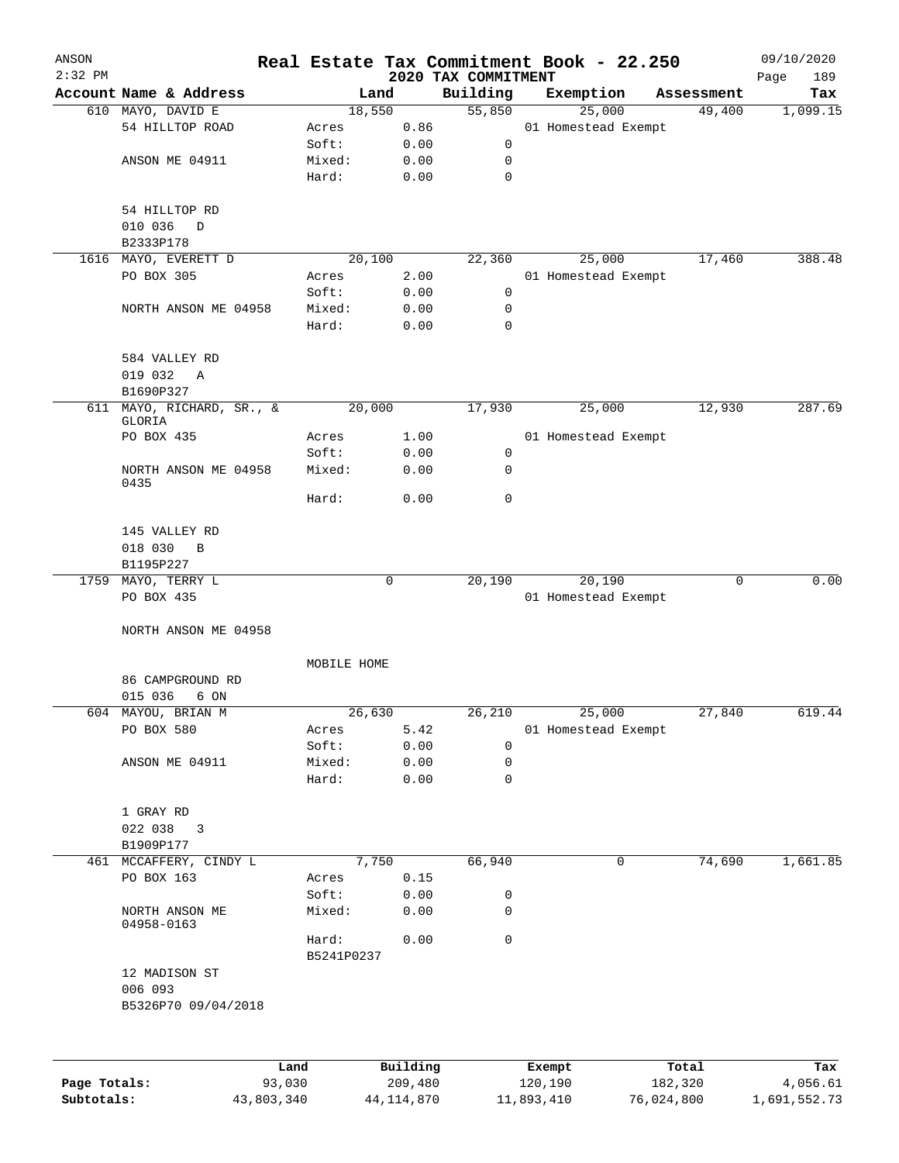| ANSON        |                                     |                     |          |                                 | Real Estate Tax Commitment Book - 22.250 |            | 09/10/2020         |
|--------------|-------------------------------------|---------------------|----------|---------------------------------|------------------------------------------|------------|--------------------|
| $2:32$ PM    | Account Name & Address              |                     | Land     | 2020 TAX COMMITMENT<br>Building | Exemption                                | Assessment | 189<br>Page<br>Tax |
|              | 610 MAYO, DAVID E                   |                     | 18,550   | 55,850                          | 25,000                                   | 49,400     | 1,099.15           |
|              | 54 HILLTOP ROAD                     | Acres               | 0.86     |                                 | 01 Homestead Exempt                      |            |                    |
|              |                                     | Soft:               | 0.00     | 0                               |                                          |            |                    |
|              | ANSON ME 04911                      | Mixed:              | 0.00     | 0                               |                                          |            |                    |
|              |                                     | Hard:               | 0.00     | 0                               |                                          |            |                    |
|              | 54 HILLTOP RD                       |                     |          |                                 |                                          |            |                    |
|              | 010 036<br>$\Box$                   |                     |          |                                 |                                          |            |                    |
|              | B2333P178                           |                     |          |                                 |                                          |            |                    |
|              | 1616 MAYO, EVERETT D                |                     | 20,100   | 22,360                          | 25,000                                   | 17,460     | 388.48             |
|              | PO BOX 305                          | Acres               | 2.00     |                                 | 01 Homestead Exempt                      |            |                    |
|              |                                     | Soft:               | 0.00     | 0                               |                                          |            |                    |
|              | NORTH ANSON ME 04958                | Mixed:              | 0.00     | 0                               |                                          |            |                    |
|              |                                     | Hard:               | 0.00     | $\mathbf 0$                     |                                          |            |                    |
|              | 584 VALLEY RD                       |                     |          |                                 |                                          |            |                    |
|              | 019 032<br>A                        |                     |          |                                 |                                          |            |                    |
|              | B1690P327                           |                     |          |                                 |                                          |            |                    |
|              | 611 MAYO, RICHARD, SR., &<br>GLORIA |                     | 20,000   | 17,930                          | 25,000                                   | 12,930     | 287.69             |
|              | PO BOX 435                          | Acres               | 1.00     |                                 | 01 Homestead Exempt                      |            |                    |
|              |                                     | Soft:               | 0.00     | 0                               |                                          |            |                    |
|              | NORTH ANSON ME 04958<br>0435        | Mixed:              | 0.00     | 0                               |                                          |            |                    |
|              |                                     | Hard:               | 0.00     | 0                               |                                          |            |                    |
|              | 145 VALLEY RD                       |                     |          |                                 |                                          |            |                    |
|              | 018 030<br>B                        |                     |          |                                 |                                          |            |                    |
|              | B1195P227                           |                     |          |                                 |                                          |            |                    |
|              | 1759 MAYO, TERRY L                  |                     | 0        | 20,190                          | 20,190                                   | 0          | 0.00               |
|              | PO BOX 435                          |                     |          |                                 | 01 Homestead Exempt                      |            |                    |
|              | NORTH ANSON ME 04958                |                     |          |                                 |                                          |            |                    |
|              |                                     | MOBILE HOME         |          |                                 |                                          |            |                    |
|              | 86 CAMPGROUND RD                    |                     |          |                                 |                                          |            |                    |
|              | 015 036<br>6 ON                     |                     |          |                                 |                                          |            |                    |
|              | 604 MAYOU, BRIAN M                  |                     | 26,630   | 26,210                          | 25,000                                   | 27,840     | 619.44             |
|              | PO BOX 580                          | Acres               | 5.42     |                                 | 01 Homestead Exempt                      |            |                    |
|              |                                     | Soft:               | 0.00     | $\mathbf 0$                     |                                          |            |                    |
|              | ANSON ME 04911                      | Mixed:              | 0.00     | 0                               |                                          |            |                    |
|              |                                     | Hard:               | 0.00     | 0                               |                                          |            |                    |
|              | 1 GRAY RD                           |                     |          |                                 |                                          |            |                    |
|              | 022 038 3                           |                     |          |                                 |                                          |            |                    |
|              | B1909P177                           |                     |          |                                 |                                          |            |                    |
|              | 461 MCCAFFERY, CINDY L              |                     | 7,750    | 66,940                          | 0                                        | 74,690     | 1,661.85           |
|              | PO BOX 163                          | Acres               | 0.15     |                                 |                                          |            |                    |
|              |                                     | Soft:               | 0.00     | 0                               |                                          |            |                    |
|              | NORTH ANSON ME<br>04958-0163        | Mixed:              | 0.00     | 0                               |                                          |            |                    |
|              |                                     | Hard:<br>B5241P0237 | 0.00     | 0                               |                                          |            |                    |
|              | 12 MADISON ST                       |                     |          |                                 |                                          |            |                    |
|              | 006 093                             |                     |          |                                 |                                          |            |                    |
|              | B5326P70 09/04/2018                 |                     |          |                                 |                                          |            |                    |
|              |                                     |                     |          |                                 |                                          |            |                    |
|              |                                     | Land                | Building |                                 | Exempt                                   | Total      | Tax                |
| Page Totals: |                                     | 93,030              | 209,480  |                                 | 120,190                                  | 182,320    | 4,056.61           |

**Subtotals:** 43,803,340 44,114,870 11,893,410 76,024,800 1,691,552.73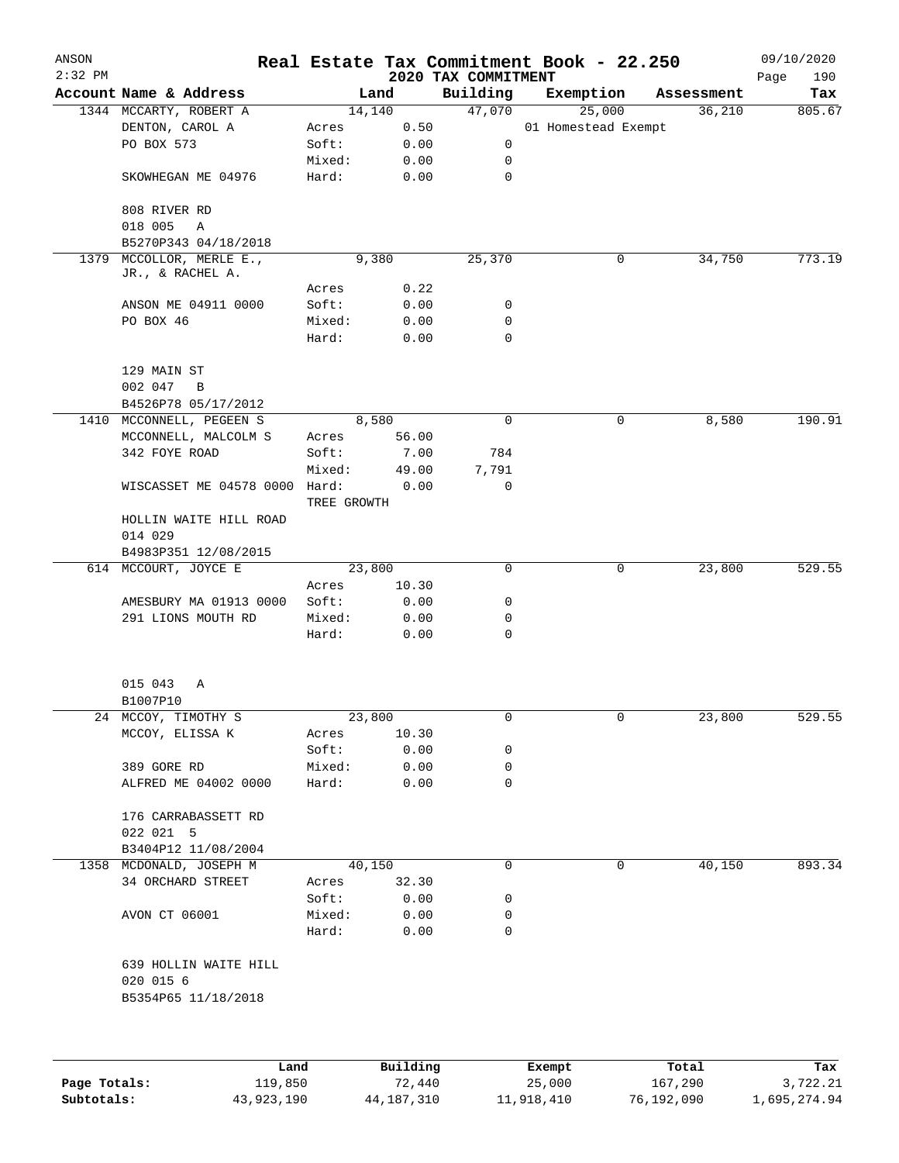| ANSON<br>$2:32$ PM |                                         |                      |              | 2020 TAX COMMITMENT | Real Estate Tax Commitment Book - 22.250 |            | 09/10/2020<br>190<br>Page |
|--------------------|-----------------------------------------|----------------------|--------------|---------------------|------------------------------------------|------------|---------------------------|
|                    | Account Name & Address                  |                      | Land         | Building            | Exemption                                | Assessment | Tax                       |
|                    | 1344 MCCARTY, ROBERT A                  |                      | 14,140       | 47,070              | 25,000                                   | 36,210     | 805.67                    |
|                    | DENTON, CAROL A                         | Acres                | 0.50         |                     | 01 Homestead Exempt                      |            |                           |
|                    | PO BOX 573                              | Soft:                | 0.00         | 0                   |                                          |            |                           |
|                    |                                         | Mixed:               | 0.00         | 0                   |                                          |            |                           |
|                    | SKOWHEGAN ME 04976                      | Hard:                | 0.00         | 0                   |                                          |            |                           |
|                    | 808 RIVER RD                            |                      |              |                     |                                          |            |                           |
|                    | 018 005<br>Α                            |                      |              |                     |                                          |            |                           |
|                    | B5270P343 04/18/2018                    |                      |              |                     |                                          |            |                           |
| 1379               | MCCOLLOR, MERLE E.,<br>JR., & RACHEL A. |                      | 9,380        | 25,370              | 0                                        | 34,750     | 773.19                    |
|                    |                                         | Acres                | 0.22         |                     |                                          |            |                           |
|                    | ANSON ME 04911 0000                     | Soft:                | 0.00         | 0                   |                                          |            |                           |
|                    | PO BOX 46                               | Mixed:               | 0.00         | 0                   |                                          |            |                           |
|                    |                                         | Hard:                | 0.00         | 0                   |                                          |            |                           |
|                    | 129 MAIN ST                             |                      |              |                     |                                          |            |                           |
|                    | 002 047<br>B                            |                      |              |                     |                                          |            |                           |
|                    | B4526P78 05/17/2012                     |                      |              |                     |                                          |            |                           |
| 1410               | MCCONNELL, PEGEEN S                     |                      | 8,580        | $\mathbf 0$         | 0                                        | 8,580      | 190.91                    |
|                    | MCCONNELL, MALCOLM S                    | Acres                | 56.00        |                     |                                          |            |                           |
|                    | 342 FOYE ROAD                           | Soft:                | 7.00         | 784                 |                                          |            |                           |
|                    |                                         | Mixed:               | 49.00        | 7,791               |                                          |            |                           |
|                    | WISCASSET ME 04578 0000                 | Hard:<br>TREE GROWTH | 0.00         | 0                   |                                          |            |                           |
|                    | HOLLIN WAITE HILL ROAD                  |                      |              |                     |                                          |            |                           |
|                    | 014 029                                 |                      |              |                     |                                          |            |                           |
|                    | B4983P351 12/08/2015                    |                      |              |                     |                                          |            |                           |
|                    | 614 MCCOURT, JOYCE E                    |                      | 23,800       | 0                   | 0                                        | 23,800     | 529.55                    |
|                    |                                         | Acres                | 10.30        |                     |                                          |            |                           |
|                    | AMESBURY MA 01913 0000                  | Soft:                | 0.00         | 0                   |                                          |            |                           |
|                    | 291 LIONS MOUTH RD                      | Mixed:               | 0.00         | 0                   |                                          |            |                           |
|                    |                                         | Hard:                | 0.00         | 0                   |                                          |            |                           |
|                    | 015 043<br>Α                            |                      |              |                     |                                          |            |                           |
|                    | B1007P10                                |                      |              |                     |                                          |            |                           |
|                    | 24 MCCOY, TIMOTHY S                     |                      | 23,800       | 0                   | 0                                        | 23,800     | 529.55                    |
|                    | MCCOY, ELISSA K                         | Acres                | 10.30        |                     |                                          |            |                           |
|                    |                                         | Soft:                | 0.00         | 0                   |                                          |            |                           |
|                    | 389 GORE RD                             | Mixed:               | 0.00         | 0                   |                                          |            |                           |
|                    | ALFRED ME 04002 0000                    | Hard:                | 0.00         | 0                   |                                          |            |                           |
|                    | 176 CARRABASSETT RD                     |                      |              |                     |                                          |            |                           |
|                    | 022 021 5                               |                      |              |                     |                                          |            |                           |
|                    | B3404P12 11/08/2004                     |                      |              |                     |                                          |            |                           |
|                    | 1358 MCDONALD, JOSEPH M                 |                      | 40,150       | 0                   | 0                                        | 40,150     | 893.34                    |
|                    | 34 ORCHARD STREET                       | Acres                | 32.30        |                     |                                          |            |                           |
|                    |                                         | Soft:                | 0.00         | 0                   |                                          |            |                           |
|                    | AVON CT 06001                           | Mixed:<br>Hard:      | 0.00<br>0.00 | 0<br>0              |                                          |            |                           |
|                    | 639 HOLLIN WAITE HILL<br>020 015 6      |                      |              |                     |                                          |            |                           |
|                    | B5354P65 11/18/2018                     |                      |              |                     |                                          |            |                           |
|                    |                                         |                      |              |                     |                                          |            |                           |
|                    | Land                                    |                      | Building     |                     | <b>Exempt</b>                            | Total      | Tax                       |

|              | Land       | Building   | Exempt     | Total      | Tax          |
|--------------|------------|------------|------------|------------|--------------|
| Page Totals: | 119,850    | 72,440     | 25,000     | 167,290    | 3,722.21     |
| Subtotals:   | 43,923,190 | 44,187,310 | 11,918,410 | 76,192,090 | 1,695,274.94 |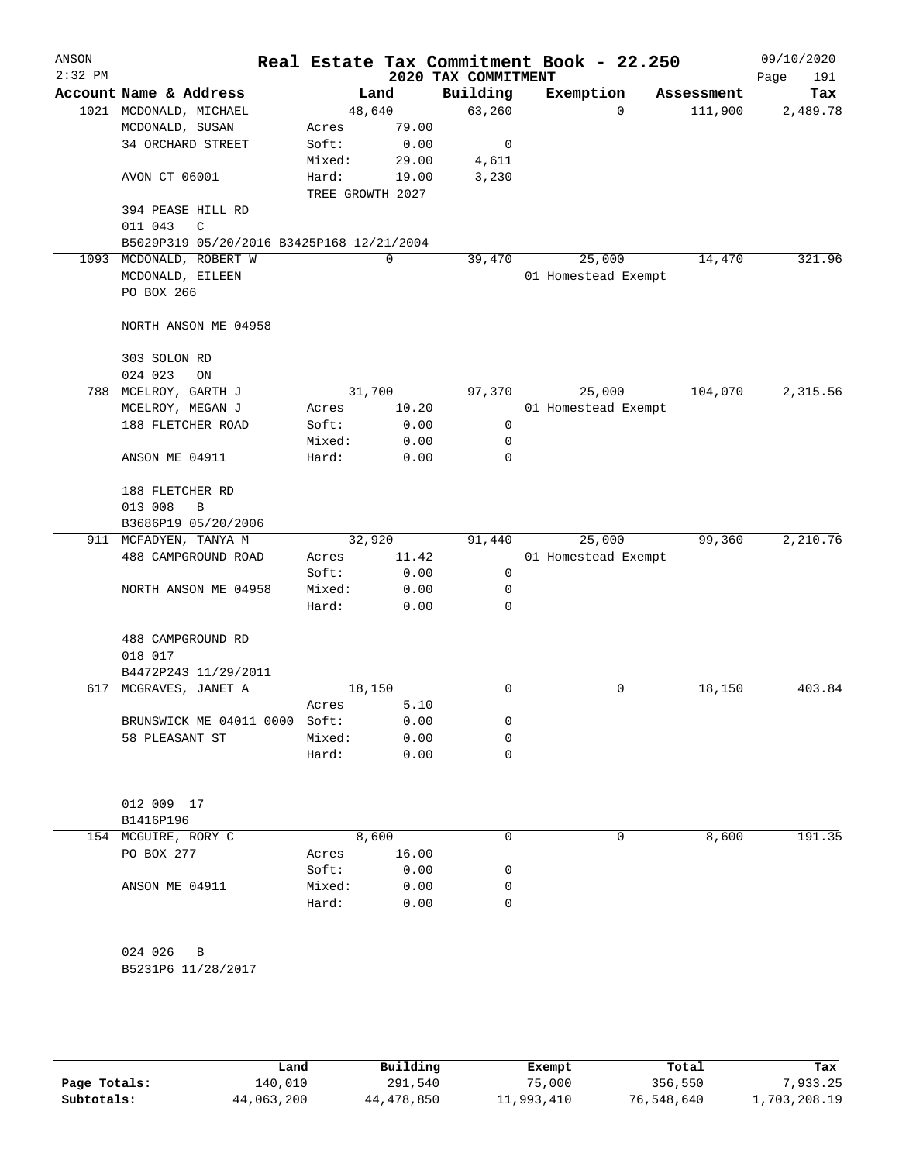| ANSON<br>$2:32$ PM |                                           |                           |               | 2020 TAX COMMITMENT | Real Estate Tax Commitment Book - 22.250 |            |         | 09/10/2020<br>191<br>Page |
|--------------------|-------------------------------------------|---------------------------|---------------|---------------------|------------------------------------------|------------|---------|---------------------------|
|                    | Account Name & Address                    |                           | Land          | Building            | Exemption                                | Assessment |         | Tax                       |
|                    | 1021 MCDONALD, MICHAEL                    | 48,640                    |               | 63,260              |                                          | $\Omega$   | 111,900 | 2,489.78                  |
|                    | MCDONALD, SUSAN                           | Acres                     | 79.00         |                     |                                          |            |         |                           |
|                    | 34 ORCHARD STREET                         | Soft:                     | 0.00          | 0                   |                                          |            |         |                           |
|                    |                                           | Mixed:                    | 29.00         | 4,611               |                                          |            |         |                           |
|                    | AVON CT 06001                             | Hard:<br>TREE GROWTH 2027 | 19.00         | 3,230               |                                          |            |         |                           |
|                    | 394 PEASE HILL RD                         |                           |               |                     |                                          |            |         |                           |
|                    | $\mathsf C$<br>011 043                    |                           |               |                     |                                          |            |         |                           |
|                    | B5029P319 05/20/2016 B3425P168 12/21/2004 |                           |               |                     |                                          |            |         |                           |
|                    | 1093 MCDONALD, ROBERT W                   |                           | $\mathbf 0$   | 39,470              | 25,000                                   |            | 14,470  | 321.96                    |
|                    | MCDONALD, EILEEN                          |                           |               |                     | 01 Homestead Exempt                      |            |         |                           |
|                    | PO BOX 266                                |                           |               |                     |                                          |            |         |                           |
|                    | NORTH ANSON ME 04958                      |                           |               |                     |                                          |            |         |                           |
|                    | 303 SOLON RD                              |                           |               |                     |                                          |            |         |                           |
|                    | 024 023<br>ON                             |                           |               |                     |                                          |            |         |                           |
|                    | 788 MCELROY, GARTH J                      | 31,700                    |               | 97,370              | 25,000                                   |            | 104,070 | 2,315.56                  |
|                    | MCELROY, MEGAN J                          | Acres                     | 10.20         |                     | 01 Homestead Exempt                      |            |         |                           |
|                    | 188 FLETCHER ROAD                         | Soft:                     | 0.00          | $\mathbf 0$         |                                          |            |         |                           |
|                    |                                           | Mixed:                    | 0.00          | 0                   |                                          |            |         |                           |
|                    | ANSON ME 04911                            | Hard:                     | 0.00          | $\mathbf 0$         |                                          |            |         |                           |
|                    | 188 FLETCHER RD                           |                           |               |                     |                                          |            |         |                           |
|                    | 013 008<br>$\, {\bf B}$                   |                           |               |                     |                                          |            |         |                           |
|                    | B3686P19 05/20/2006                       |                           |               |                     |                                          |            |         |                           |
|                    | 911 MCFADYEN, TANYA M                     | 32,920                    |               | 91,440              | 25,000                                   |            | 99,360  | 2,210.76                  |
|                    | 488 CAMPGROUND ROAD                       | Acres<br>Soft:            | 11.42<br>0.00 | 0                   | 01 Homestead Exempt                      |            |         |                           |
|                    | NORTH ANSON ME 04958                      | Mixed:                    | 0.00          | 0                   |                                          |            |         |                           |
|                    |                                           | Hard:                     | 0.00          | $\mathbf 0$         |                                          |            |         |                           |
|                    |                                           |                           |               |                     |                                          |            |         |                           |
|                    | 488 CAMPGROUND RD                         |                           |               |                     |                                          |            |         |                           |
|                    | 018 017                                   |                           |               |                     |                                          |            |         |                           |
|                    | B4472P243 11/29/2011                      |                           |               |                     |                                          |            |         |                           |
|                    | 617 MCGRAVES, JANET A                     | 18,150                    |               | 0                   |                                          | 0          | 18,150  | 403.84                    |
|                    |                                           | Acres                     | 5.10          |                     |                                          |            |         |                           |
|                    | BRUNSWICK ME 04011 0000 Soft:             |                           | 0.00          | 0                   |                                          |            |         |                           |
|                    | 58 PLEASANT ST                            | Mixed:                    | 0.00          | 0                   |                                          |            |         |                           |
|                    |                                           | Hard:                     | 0.00          | 0                   |                                          |            |         |                           |
|                    | 012 009 17                                |                           |               |                     |                                          |            |         |                           |
|                    | B1416P196                                 |                           |               |                     |                                          |            |         |                           |
|                    | 154 MCGUIRE, RORY C                       |                           | 8,600         | 0                   |                                          | 0          | 8,600   | 191.35                    |
|                    | PO BOX 277                                | Acres                     | 16.00         |                     |                                          |            |         |                           |
|                    |                                           | Soft:                     | 0.00          | 0                   |                                          |            |         |                           |
|                    | ANSON ME 04911                            | Mixed:                    | 0.00          | 0                   |                                          |            |         |                           |
|                    |                                           | Hard:                     | 0.00          | 0                   |                                          |            |         |                           |
|                    |                                           |                           |               |                     |                                          |            |         |                           |
|                    | 024 026<br>B                              |                           |               |                     |                                          |            |         |                           |
|                    | B5231P6 11/28/2017                        |                           |               |                     |                                          |            |         |                           |
|                    |                                           |                           |               |                     |                                          |            |         |                           |
|                    |                                           |                           |               |                     |                                          |            |         |                           |
|                    |                                           |                           |               |                     |                                          |            |         |                           |

|              | Land       | Building   | Exempt     | Total      | Tax          |
|--------------|------------|------------|------------|------------|--------------|
| Page Totals: | 140,010    | 291,540    | 75,000     | 356,550    | 7,933.25     |
| Subtotals:   | 44,063,200 | 44,478,850 | 11,993,410 | 76,548,640 | 1,703,208.19 |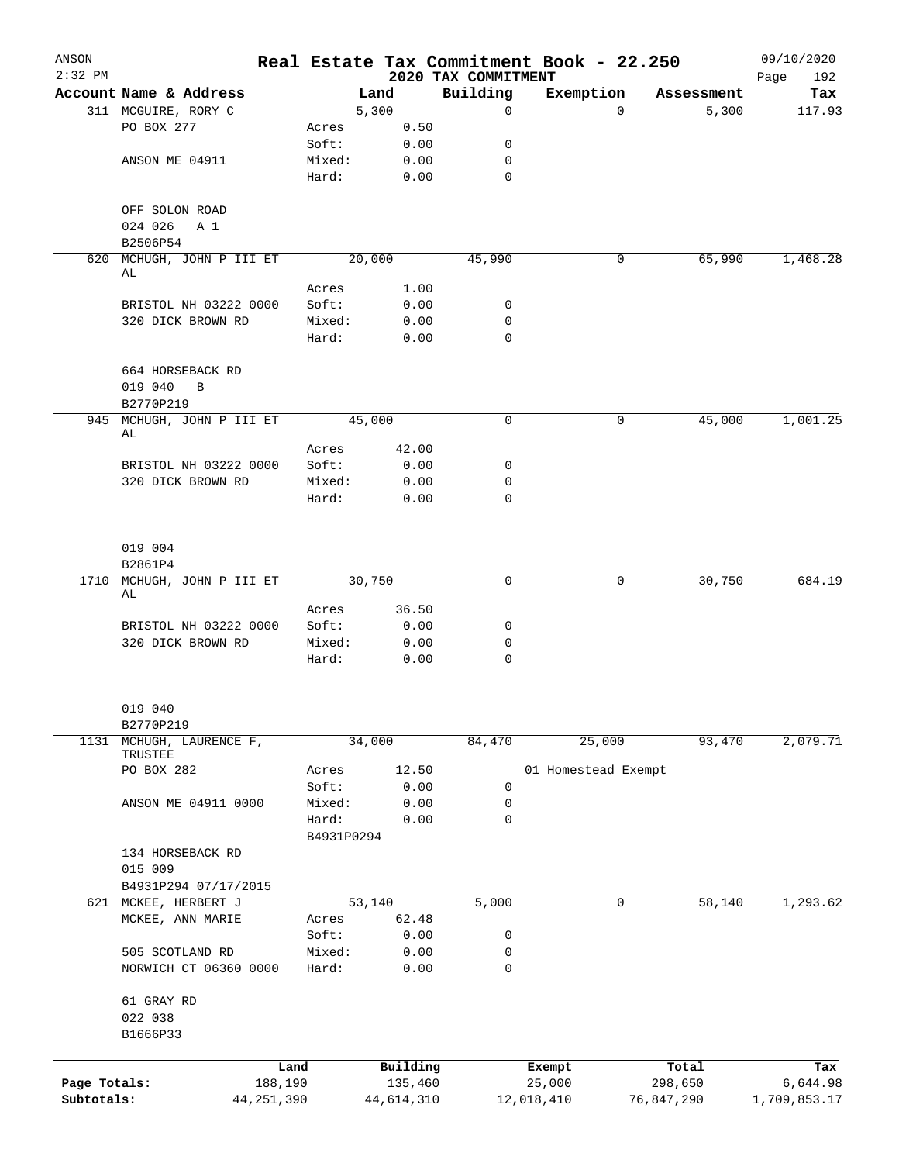| ANSON<br>$2:32$ PM         |                                   |                         |                 |        |                       | 2020 TAX COMMITMENT | Real Estate Tax Commitment Book - 22.250 |          |                       | 09/10/2020<br>192<br>Page |
|----------------------------|-----------------------------------|-------------------------|-----------------|--------|-----------------------|---------------------|------------------------------------------|----------|-----------------------|---------------------------|
|                            | Account Name & Address            |                         |                 | Land   |                       | Building            | Exemption                                |          | Assessment            | Tax                       |
|                            | 311 MCGUIRE, RORY C               |                         |                 | 5,300  |                       | $\mathbf 0$         |                                          | $\Omega$ | 5,300                 | 117.93                    |
|                            | PO BOX 277                        |                         | Acres           |        | 0.50                  |                     |                                          |          |                       |                           |
|                            |                                   |                         | Soft:           |        | 0.00                  | 0                   |                                          |          |                       |                           |
|                            | ANSON ME 04911                    |                         | Mixed:          |        | 0.00                  | 0                   |                                          |          |                       |                           |
|                            |                                   |                         | Hard:           |        | 0.00                  | $\mathbf 0$         |                                          |          |                       |                           |
|                            | OFF SOLON ROAD                    |                         |                 |        |                       |                     |                                          |          |                       |                           |
|                            | 024 026<br>A 1<br>B2506P54        |                         |                 |        |                       |                     |                                          |          |                       |                           |
|                            | 620 MCHUGH, JOHN P III ET         |                         |                 | 20,000 |                       | 45,990              |                                          | 0        | 65,990                | 1,468.28                  |
|                            | AL                                |                         |                 |        |                       |                     |                                          |          |                       |                           |
|                            |                                   |                         | Acres           |        | 1.00                  |                     |                                          |          |                       |                           |
|                            | BRISTOL NH 03222 0000             |                         | Soft:           |        | 0.00                  | 0                   |                                          |          |                       |                           |
|                            | 320 DICK BROWN RD                 |                         | Mixed:          |        | 0.00                  | 0                   |                                          |          |                       |                           |
|                            |                                   |                         | Hard:           |        | 0.00                  | $\mathbf 0$         |                                          |          |                       |                           |
|                            | 664 HORSEBACK RD<br>019 040<br>B  |                         |                 |        |                       |                     |                                          |          |                       |                           |
|                            | B2770P219                         |                         |                 |        |                       |                     |                                          |          |                       |                           |
|                            | 945 MCHUGH, JOHN P III ET<br>AL   |                         |                 | 45,000 |                       | $\mathbf 0$         |                                          | 0        | 45,000                | 1,001.25                  |
|                            |                                   |                         | Acres           |        | 42.00                 |                     |                                          |          |                       |                           |
|                            | BRISTOL NH 03222 0000             |                         | Soft:           |        | 0.00                  | 0                   |                                          |          |                       |                           |
|                            | 320 DICK BROWN RD                 |                         | Mixed:          |        | 0.00                  | $\mathbf 0$         |                                          |          |                       |                           |
|                            |                                   |                         | Hard:           |        | 0.00                  | $\mathbf 0$         |                                          |          |                       |                           |
|                            | 019 004<br>B2861P4                |                         |                 |        |                       |                     |                                          |          |                       |                           |
|                            | 1710 MCHUGH, JOHN P III ET 30,750 |                         |                 |        |                       | $\mathbf 0$         |                                          | 0        | 30,750                | 684.19                    |
|                            | AL                                |                         |                 |        |                       |                     |                                          |          |                       |                           |
|                            |                                   |                         | Acres           |        | 36.50                 |                     |                                          |          |                       |                           |
|                            | BRISTOL NH 03222 0000             |                         | Soft:           |        | 0.00                  | 0                   |                                          |          |                       |                           |
|                            | 320 DICK BROWN RD                 |                         | Mixed:<br>Hard: |        | 0.00                  | 0<br>$\mathbf 0$    |                                          |          |                       |                           |
|                            |                                   |                         |                 |        | 0.00                  |                     |                                          |          |                       |                           |
|                            | 019 040<br>B2770P219              |                         |                 |        |                       |                     |                                          |          |                       |                           |
| 1131                       | MCHUGH, LAURENCE F,<br>TRUSTEE    |                         |                 | 34,000 |                       | 84,470              | 25,000                                   |          | 93,470                | 2,079.71                  |
|                            | PO BOX 282                        |                         | Acres           |        | 12.50                 |                     | 01 Homestead Exempt                      |          |                       |                           |
|                            |                                   |                         | Soft:           |        | 0.00                  | 0                   |                                          |          |                       |                           |
|                            | ANSON ME 04911 0000               |                         | Mixed:          |        | 0.00                  | 0                   |                                          |          |                       |                           |
|                            |                                   |                         | Hard:           |        | 0.00                  | $\mathbf 0$         |                                          |          |                       |                           |
|                            | 134 HORSEBACK RD                  |                         | B4931P0294      |        |                       |                     |                                          |          |                       |                           |
|                            | 015 009                           |                         |                 |        |                       |                     |                                          |          |                       |                           |
|                            | B4931P294 07/17/2015              |                         |                 |        |                       |                     |                                          |          |                       |                           |
| 621                        | MCKEE, HERBERT J                  |                         |                 | 53,140 |                       | 5,000               |                                          | 0        | 58,140                | 1,293.62                  |
|                            | MCKEE, ANN MARIE                  |                         | Acres           |        | 62.48                 |                     |                                          |          |                       |                           |
|                            |                                   |                         | Soft:           |        | 0.00                  | 0                   |                                          |          |                       |                           |
|                            | 505 SCOTLAND RD                   |                         | Mixed:          |        | 0.00                  | 0                   |                                          |          |                       |                           |
|                            | NORWICH CT 06360 0000             |                         | Hard:           |        | 0.00                  | $\mathbf 0$         |                                          |          |                       |                           |
|                            | 61 GRAY RD                        |                         |                 |        |                       |                     |                                          |          |                       |                           |
|                            | 022 038<br>B1666P33               |                         |                 |        |                       |                     |                                          |          |                       |                           |
|                            |                                   |                         |                 |        |                       |                     |                                          |          |                       |                           |
|                            |                                   | Land                    |                 |        | Building              |                     | Exempt                                   |          | Total                 | Tax                       |
| Page Totals:<br>Subtotals: |                                   | 188,190<br>44, 251, 390 |                 |        | 135,460<br>44,614,310 |                     | 25,000<br>12,018,410                     |          | 298,650<br>76,847,290 | 6,644.98<br>1,709,853.17  |
|                            |                                   |                         |                 |        |                       |                     |                                          |          |                       |                           |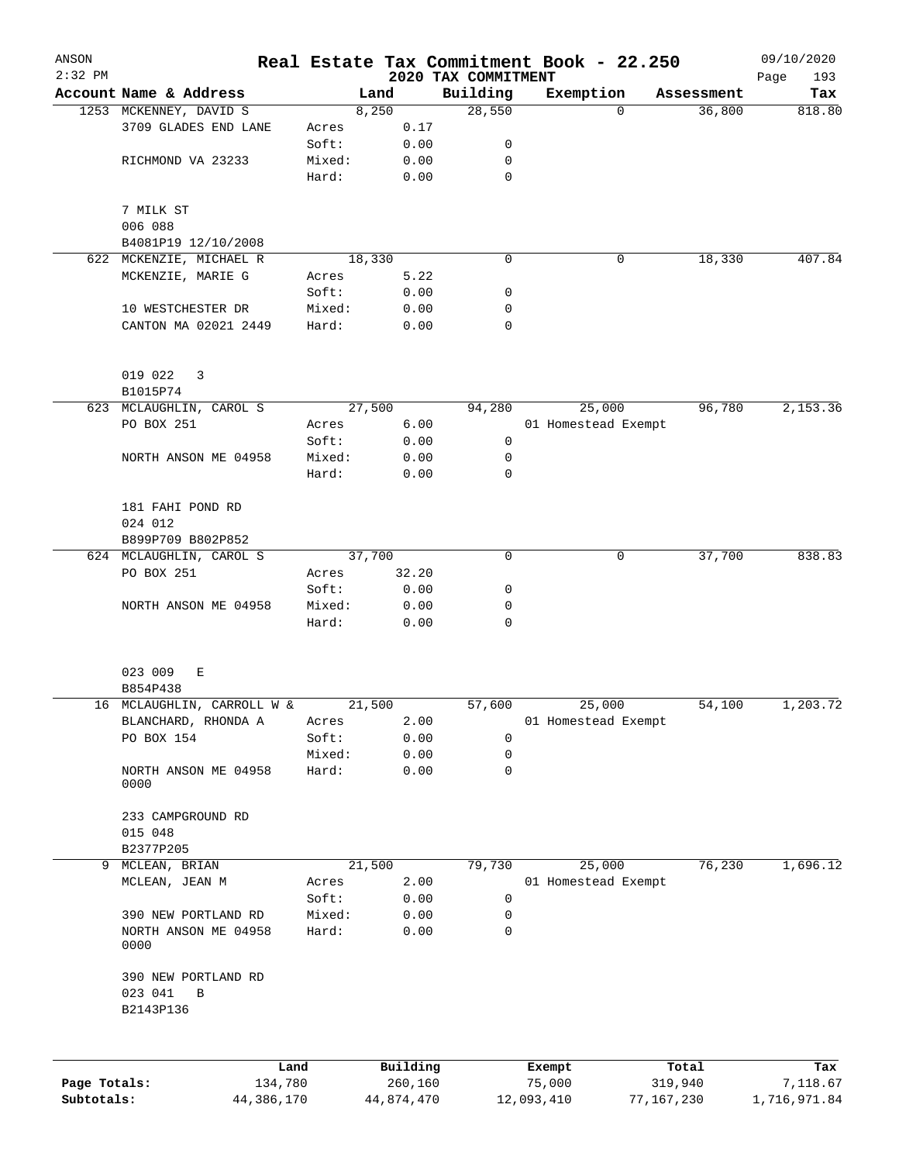| ANSON<br>$2:32$ PM |                              |        |        |          | 2020 TAX COMMITMENT | Real Estate Tax Commitment Book - 22.250 |            | 09/10/2020<br>Page<br>193 |
|--------------------|------------------------------|--------|--------|----------|---------------------|------------------------------------------|------------|---------------------------|
|                    | Account Name & Address       |        | Land   |          | Building            | Exemption                                | Assessment | Tax                       |
|                    | 1253 MCKENNEY, DAVID S       |        | 8,250  |          | 28,550              | $\Omega$                                 | 36,800     | 818.80                    |
|                    | 3709 GLADES END LANE         | Acres  |        | 0.17     |                     |                                          |            |                           |
|                    |                              | Soft:  |        | 0.00     | 0                   |                                          |            |                           |
|                    | RICHMOND VA 23233            | Mixed: |        | 0.00     | 0                   |                                          |            |                           |
|                    |                              | Hard:  |        | 0.00     | $\mathbf 0$         |                                          |            |                           |
|                    | 7 MILK ST                    |        |        |          |                     |                                          |            |                           |
|                    | 006 088                      |        |        |          |                     |                                          |            |                           |
|                    | B4081P19 12/10/2008          |        |        |          |                     |                                          |            |                           |
|                    | 622 MCKENZIE, MICHAEL R      |        | 18,330 |          | $\mathbf 0$         | 0                                        | 18,330     | 407.84                    |
|                    | MCKENZIE, MARIE G            | Acres  |        | 5.22     |                     |                                          |            |                           |
|                    |                              | Soft:  |        | 0.00     | 0                   |                                          |            |                           |
|                    | 10 WESTCHESTER DR            | Mixed: |        | 0.00     | 0                   |                                          |            |                           |
|                    | CANTON MA 02021 2449         | Hard:  |        | 0.00     | $\mathbf 0$         |                                          |            |                           |
|                    |                              |        |        |          |                     |                                          |            |                           |
|                    | 019 022<br>3                 |        |        |          |                     |                                          |            |                           |
|                    | B1015P74                     |        |        |          |                     |                                          |            |                           |
|                    | 623 MCLAUGHLIN, CAROL S      |        | 27,500 |          | 94,280              | 25,000                                   | 96,780     | 2,153.36                  |
|                    | PO BOX 251                   | Acres  |        | 6.00     |                     | 01 Homestead Exempt                      |            |                           |
|                    |                              | Soft:  |        | 0.00     | 0                   |                                          |            |                           |
|                    | NORTH ANSON ME 04958         | Mixed: |        | 0.00     | 0                   |                                          |            |                           |
|                    |                              | Hard:  |        | 0.00     | $\mathbf 0$         |                                          |            |                           |
|                    |                              |        |        |          |                     |                                          |            |                           |
|                    | 181 FAHI POND RD             |        |        |          |                     |                                          |            |                           |
|                    | 024 012                      |        |        |          |                     |                                          |            |                           |
|                    |                              |        |        |          |                     |                                          |            |                           |
|                    | B899P709 B802P852            |        |        |          |                     |                                          |            |                           |
|                    | 624 MCLAUGHLIN, CAROL S      |        | 37,700 |          | 0                   | 0                                        | 37,700     | 838.83                    |
|                    | PO BOX 251                   | Acres  |        | 32.20    |                     |                                          |            |                           |
|                    |                              | Soft:  |        | 0.00     | 0                   |                                          |            |                           |
|                    | NORTH ANSON ME 04958         | Mixed: |        | 0.00     | 0                   |                                          |            |                           |
|                    |                              | Hard:  |        | 0.00     | $\mathbf 0$         |                                          |            |                           |
|                    | 023 009<br>Е                 |        |        |          |                     |                                          |            |                           |
|                    | B854P438                     |        |        |          |                     |                                          |            |                           |
|                    | 16 MCLAUGHLIN, CARROLL W &   |        | 21,500 |          | 57,600              | 25,000                                   | 54,100     | 1,203.72                  |
|                    | BLANCHARD, RHONDA A          | Acres  |        | 2.00     |                     | 01 Homestead Exempt                      |            |                           |
|                    | PO BOX 154                   | Soft:  |        | 0.00     | 0                   |                                          |            |                           |
|                    |                              | Mixed: |        | 0.00     | 0                   |                                          |            |                           |
|                    | NORTH ANSON ME 04958<br>0000 | Hard:  |        | 0.00     | 0                   |                                          |            |                           |
|                    | 233 CAMPGROUND RD            |        |        |          |                     |                                          |            |                           |
|                    | 015 048                      |        |        |          |                     |                                          |            |                           |
|                    | B2377P205                    |        |        |          |                     |                                          |            |                           |
| 9                  | MCLEAN, BRIAN                |        | 21,500 |          | 79,730              | 25,000                                   | 76,230     | 1,696.12                  |
|                    | MCLEAN, JEAN M               | Acres  |        | 2.00     |                     | 01 Homestead Exempt                      |            |                           |
|                    |                              | Soft:  |        | 0.00     | 0                   |                                          |            |                           |
|                    | 390 NEW PORTLAND RD          | Mixed: |        | 0.00     | 0                   |                                          |            |                           |
|                    | NORTH ANSON ME 04958         | Hard:  |        | 0.00     | 0                   |                                          |            |                           |
|                    | 0000                         |        |        |          |                     |                                          |            |                           |
|                    | 390 NEW PORTLAND RD          |        |        |          |                     |                                          |            |                           |
|                    | 023 041<br>В                 |        |        |          |                     |                                          |            |                           |
|                    | B2143P136                    |        |        |          |                     |                                          |            |                           |
|                    |                              |        |        |          |                     |                                          |            |                           |
|                    | Land                         |        |        | Building |                     | Exempt                                   | Total      | Tax                       |
| Page Totals:       | 134,780                      |        |        | 260,160  |                     | 75,000                                   | 319,940    | 7,118.67                  |

**Subtotals:** 44,386,170 44,874,470 12,093,410 77,167,230 1,716,971.84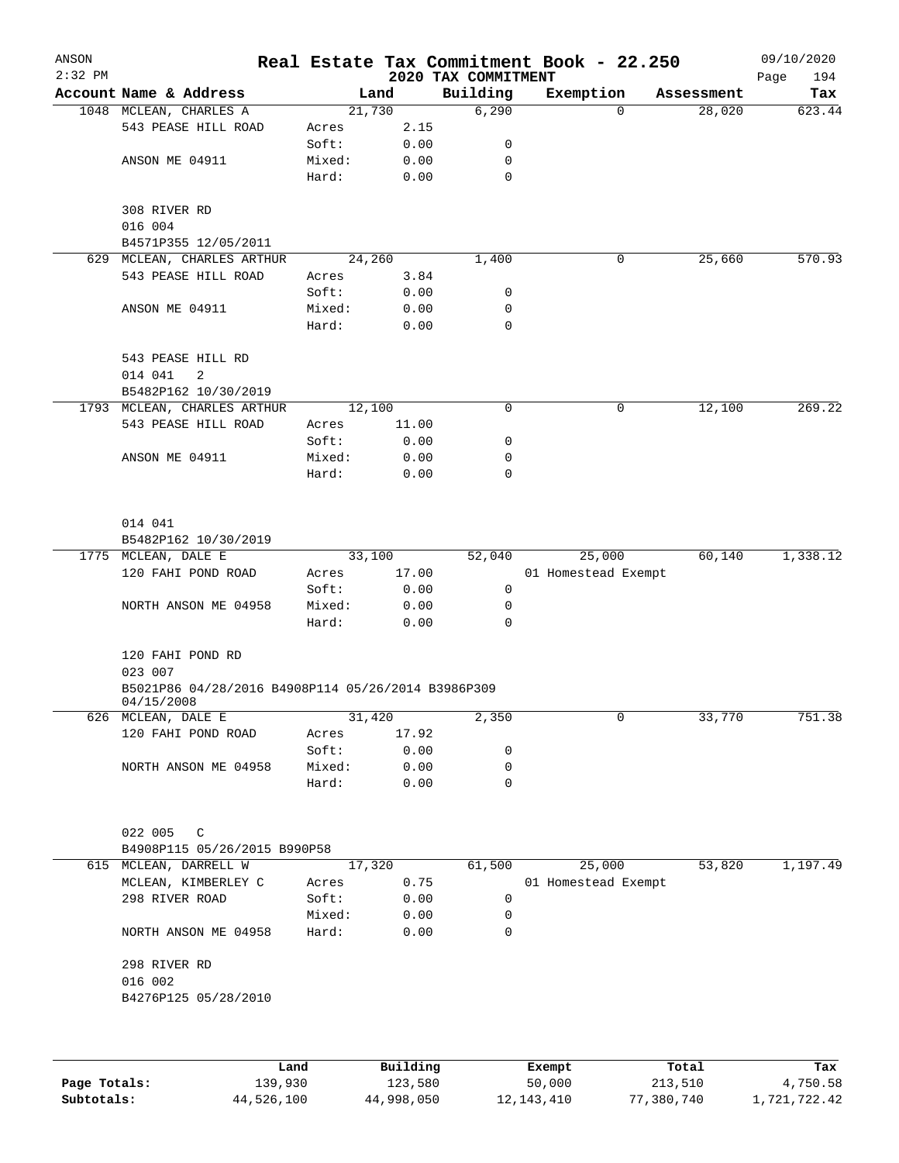| ANSON<br>$2:32$ PM |                                                                  |        |          | 2020 TAX COMMITMENT | Real Estate Tax Commitment Book - 22.250 |            | 09/10/2020<br>194<br>Page |
|--------------------|------------------------------------------------------------------|--------|----------|---------------------|------------------------------------------|------------|---------------------------|
|                    | Account Name & Address                                           |        | Land     | Building            | Exemption                                | Assessment | Tax                       |
|                    | 1048 MCLEAN, CHARLES A                                           |        | 21,730   | 6,290               | 0                                        | 28,020     | 623.44                    |
|                    | 543 PEASE HILL ROAD                                              | Acres  | 2.15     |                     |                                          |            |                           |
|                    |                                                                  | Soft:  | 0.00     | 0                   |                                          |            |                           |
|                    | ANSON ME 04911                                                   | Mixed: | 0.00     | 0                   |                                          |            |                           |
|                    |                                                                  | Hard:  | 0.00     | 0                   |                                          |            |                           |
|                    | 308 RIVER RD<br>016 004                                          |        |          |                     |                                          |            |                           |
|                    | B4571P355 12/05/2011                                             |        |          |                     |                                          |            |                           |
| 629                | MCLEAN, CHARLES ARTHUR                                           |        | 24,260   | 1,400               | 0                                        | 25,660     | 570.93                    |
|                    | 543 PEASE HILL ROAD                                              | Acres  | 3.84     |                     |                                          |            |                           |
|                    |                                                                  | Soft:  | 0.00     | 0                   |                                          |            |                           |
|                    | ANSON ME 04911                                                   | Mixed: | 0.00     | 0                   |                                          |            |                           |
|                    |                                                                  | Hard:  | 0.00     | 0                   |                                          |            |                           |
|                    | 543 PEASE HILL RD                                                |        |          |                     |                                          |            |                           |
|                    | 014 041<br>2                                                     |        |          |                     |                                          |            |                           |
|                    | B5482P162 10/30/2019                                             |        |          |                     |                                          |            |                           |
|                    | 1793 MCLEAN, CHARLES ARTHUR                                      |        | 12,100   | 0                   | 0                                        | 12,100     | 269.22                    |
|                    | 543 PEASE HILL ROAD                                              | Acres  | 11.00    |                     |                                          |            |                           |
|                    |                                                                  | Soft:  | 0.00     | 0                   |                                          |            |                           |
|                    | ANSON ME 04911                                                   | Mixed: | 0.00     | 0                   |                                          |            |                           |
|                    |                                                                  | Hard:  | 0.00     | 0                   |                                          |            |                           |
|                    | 014 041                                                          |        |          |                     |                                          |            |                           |
|                    | B5482P162 10/30/2019                                             |        |          |                     |                                          |            |                           |
|                    | 1775 MCLEAN, DALE E                                              |        | 33,100   | 52,040              | 25,000                                   | 60,140     | 1,338.12                  |
|                    | 120 FAHI POND ROAD                                               | Acres  | 17.00    |                     | 01 Homestead Exempt                      |            |                           |
|                    |                                                                  | Soft:  | 0.00     | 0                   |                                          |            |                           |
|                    | NORTH ANSON ME 04958                                             | Mixed: | 0.00     | 0                   |                                          |            |                           |
|                    |                                                                  | Hard:  | 0.00     | 0                   |                                          |            |                           |
|                    | 120 FAHI POND RD<br>023 007                                      |        |          |                     |                                          |            |                           |
|                    | B5021P86 04/28/2016 B4908P114 05/26/2014 B3986P309<br>04/15/2008 |        |          |                     |                                          |            |                           |
|                    | 626 MCLEAN, DALE E                                               |        | 31,420   | 2,350               | 0                                        | 33,770     | 751.38                    |
|                    | 120 FAHI POND ROAD                                               | Acres  | 17.92    |                     |                                          |            |                           |
|                    |                                                                  | Soft:  | 0.00     | 0                   |                                          |            |                           |
|                    | NORTH ANSON ME 04958                                             | Mixed: | 0.00     | 0                   |                                          |            |                           |
|                    |                                                                  | Hard:  | 0.00     | 0                   |                                          |            |                           |
|                    | 022 005<br>C                                                     |        |          |                     |                                          |            |                           |
|                    | B4908P115 05/26/2015 B990P58                                     |        |          |                     |                                          |            |                           |
|                    | 615 MCLEAN, DARRELL W                                            |        | 17,320   | 61,500              | 25,000                                   | 53,820     | 1,197.49                  |
|                    | MCLEAN, KIMBERLEY C                                              | Acres  | 0.75     |                     | 01 Homestead Exempt                      |            |                           |
|                    | 298 RIVER ROAD                                                   | Soft:  | 0.00     | 0                   |                                          |            |                           |
|                    |                                                                  | Mixed: | 0.00     | 0                   |                                          |            |                           |
|                    | NORTH ANSON ME 04958                                             | Hard:  | 0.00     | 0                   |                                          |            |                           |
|                    | 298 RIVER RD                                                     |        |          |                     |                                          |            |                           |
|                    | 016 002                                                          |        |          |                     |                                          |            |                           |
|                    | B4276P125 05/28/2010                                             |        |          |                     |                                          |            |                           |
|                    |                                                                  |        |          |                     |                                          |            |                           |
|                    |                                                                  | Land   | Building |                     | Exempt                                   | Total      | Tax                       |

|              | Land       | Building   | Exempt       | Total      | Tax          |
|--------------|------------|------------|--------------|------------|--------------|
| Page Totals: | 139,930    | 123,580    | 50,000       | 213,510    | 4,750.58     |
| Subtotals:   | 44,526,100 | 44,998,050 | 12, 143, 410 | 77,380,740 | 1,721,722.42 |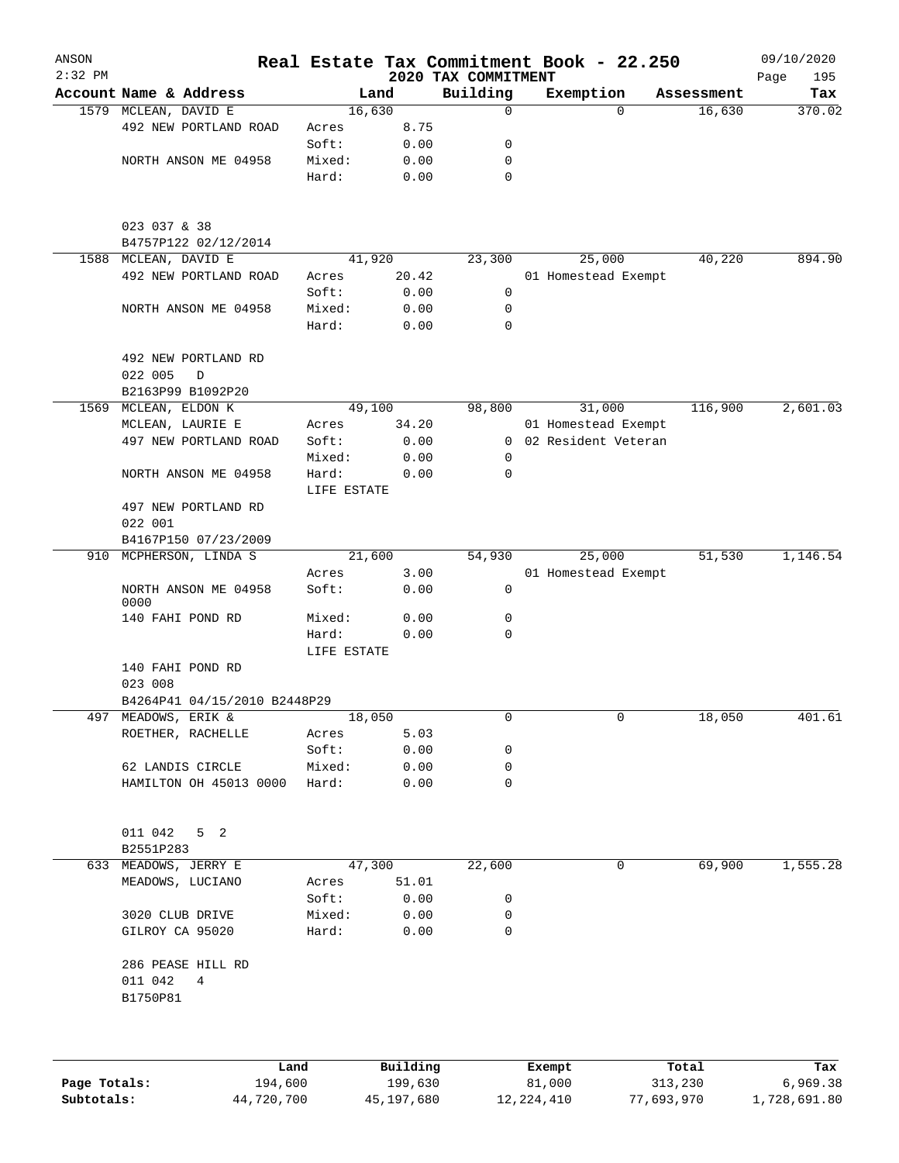| ANSON<br>$2:32$ PM |                                     |                 |              |                                 | Real Estate Tax Commitment Book - 22.250 |            | 09/10/2020         |
|--------------------|-------------------------------------|-----------------|--------------|---------------------------------|------------------------------------------|------------|--------------------|
|                    | Account Name & Address              |                 | Land         | 2020 TAX COMMITMENT<br>Building | Exemption                                | Assessment | Page<br>195<br>Tax |
|                    | 1579 MCLEAN, DAVID E                |                 | 16,630       | $\mathbf 0$                     | $\Omega$                                 | 16,630     | 370.02             |
|                    | 492 NEW PORTLAND ROAD               | Acres           | 8.75         |                                 |                                          |            |                    |
|                    |                                     | Soft:           | 0.00         | 0                               |                                          |            |                    |
|                    | NORTH ANSON ME 04958                | Mixed:          | 0.00         | 0                               |                                          |            |                    |
|                    |                                     | Hard:           | 0.00         | $\mathbf 0$                     |                                          |            |                    |
|                    | 023 037 & 38                        |                 |              |                                 |                                          |            |                    |
|                    | B4757P122 02/12/2014                |                 |              |                                 |                                          |            |                    |
| 1588               | MCLEAN, DAVID E                     |                 | 41,920       | 23,300                          | 25,000                                   | 40,220     | 894.90             |
|                    | 492 NEW PORTLAND ROAD               | Acres           | 20.42        |                                 | 01 Homestead Exempt                      |            |                    |
|                    |                                     | Soft:           | 0.00         | 0                               |                                          |            |                    |
|                    | NORTH ANSON ME 04958                | Mixed:<br>Hard: | 0.00<br>0.00 | 0<br>$\mathbf 0$                |                                          |            |                    |
|                    | 492 NEW PORTLAND RD<br>022 005<br>D |                 |              |                                 |                                          |            |                    |
|                    | B2163P99 B1092P20                   |                 |              |                                 |                                          |            |                    |
|                    | 1569 MCLEAN, ELDON K                |                 | 49,100       | 98,800                          | 31,000                                   | 116,900    | 2,601.03           |
|                    | MCLEAN, LAURIE E                    | Acres           | 34.20        |                                 | 01 Homestead Exempt                      |            |                    |
|                    | 497 NEW PORTLAND ROAD               | Soft:           | 0.00         |                                 | 0 02 Resident Veteran                    |            |                    |
|                    |                                     | Mixed:          | 0.00         | 0                               |                                          |            |                    |
|                    | NORTH ANSON ME 04958                | Hard:           | 0.00         | 0                               |                                          |            |                    |
|                    |                                     | LIFE ESTATE     |              |                                 |                                          |            |                    |
|                    | 497 NEW PORTLAND RD                 |                 |              |                                 |                                          |            |                    |
|                    | 022 001                             |                 |              |                                 |                                          |            |                    |
|                    | B4167P150 07/23/2009                |                 |              |                                 |                                          |            |                    |
| 910                | MCPHERSON, LINDA S                  |                 | 21,600       | 54,930                          | 25,000                                   | 51,530     | 1,146.54           |
|                    |                                     | Acres           | 3.00         |                                 | 01 Homestead Exempt                      |            |                    |
|                    | NORTH ANSON ME 04958<br>0000        | Soft:           | 0.00         | 0                               |                                          |            |                    |
|                    | 140 FAHI POND RD                    | Mixed:          | 0.00         | 0                               |                                          |            |                    |
|                    |                                     | Hard:           | 0.00         | 0                               |                                          |            |                    |
|                    |                                     | LIFE ESTATE     |              |                                 |                                          |            |                    |
|                    | 140 FAHI POND RD                    |                 |              |                                 |                                          |            |                    |
|                    | 023 008                             |                 |              |                                 |                                          |            |                    |
|                    | B4264P41 04/15/2010 B2448P29        |                 |              |                                 |                                          |            |                    |
|                    | 497 MEADOWS, ERIK &                 |                 | 18,050       | 0                               | 0                                        | 18,050     | 401.61             |
|                    | ROETHER, RACHELLE                   | Acres           | 5.03         |                                 |                                          |            |                    |
|                    |                                     | Soft:           | 0.00         | 0                               |                                          |            |                    |
|                    | 62 LANDIS CIRCLE                    | Mixed:          | 0.00         | 0                               |                                          |            |                    |
|                    | HAMILTON OH 45013 0000              | Hard:           | 0.00         | 0                               |                                          |            |                    |
|                    | 011 042<br>5 <sub>2</sub>           |                 |              |                                 |                                          |            |                    |
|                    | B2551P283                           |                 |              |                                 |                                          |            |                    |
|                    | 633 MEADOWS, JERRY E                |                 | 47,300       | 22,600                          | 0                                        | 69,900     | 1,555.28           |
|                    | MEADOWS, LUCIANO                    | Acres           | 51.01        |                                 |                                          |            |                    |
|                    |                                     | Soft:           | 0.00         | 0                               |                                          |            |                    |
|                    | 3020 CLUB DRIVE                     | Mixed:          | 0.00         | 0                               |                                          |            |                    |
|                    | GILROY CA 95020                     | Hard:           | 0.00         | $\mathbf 0$                     |                                          |            |                    |
|                    |                                     |                 |              |                                 |                                          |            |                    |
|                    | 286 PEASE HILL RD                   |                 |              |                                 |                                          |            |                    |
|                    | 011 042<br>4<br>B1750P81            |                 |              |                                 |                                          |            |                    |
|                    |                                     |                 |              |                                 |                                          |            |                    |
|                    |                                     | Land            | Building     |                                 | Exempt                                   | Total      | Tax                |
| Page Totals:       | 194,600                             |                 | 199,630      |                                 | 81,000                                   | 313,230    | 6,969.38           |

**Subtotals:** 44,720,700 45,197,680 12,224,410 77,693,970 1,728,691.80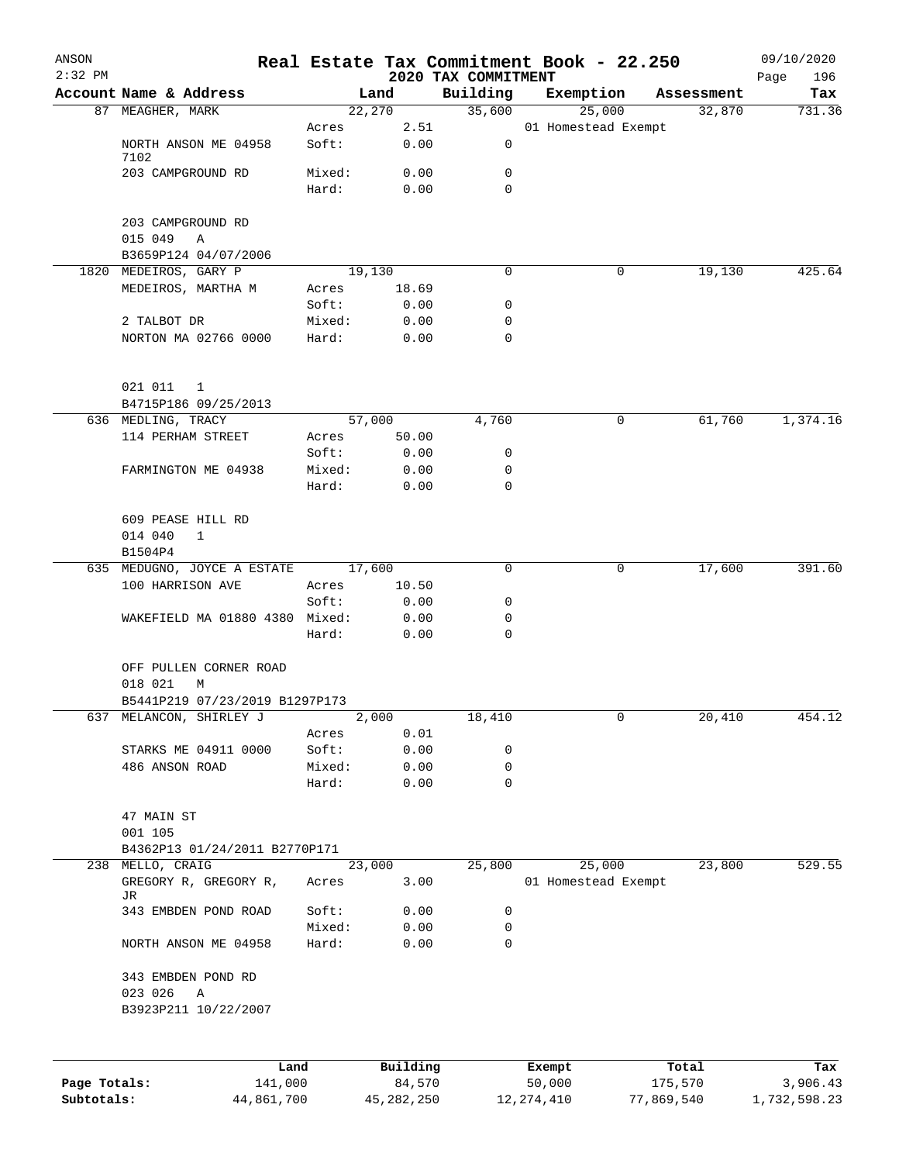| ANSON<br>$2:32$ PM |                                          |                 |              | 2020 TAX COMMITMENT | Real Estate Tax Commitment Book - 22.250 |            | 09/10/2020<br>196<br>Page |
|--------------------|------------------------------------------|-----------------|--------------|---------------------|------------------------------------------|------------|---------------------------|
|                    | Account Name & Address                   |                 | Land         | Building            | Exemption                                | Assessment | Tax                       |
|                    | 87 MEAGHER, MARK                         |                 | 22,270       | 35,600              | 25,000                                   | 32,870     | 731.36                    |
|                    |                                          | Acres           | 2.51         |                     | 01 Homestead Exempt                      |            |                           |
|                    | NORTH ANSON ME 04958                     | Soft:           | 0.00         | 0                   |                                          |            |                           |
|                    | 7102<br>203 CAMPGROUND RD                | Mixed:          | 0.00         | 0                   |                                          |            |                           |
|                    |                                          | Hard:           | 0.00         | $\Omega$            |                                          |            |                           |
|                    |                                          |                 |              |                     |                                          |            |                           |
|                    | 203 CAMPGROUND RD                        |                 |              |                     |                                          |            |                           |
|                    | 015 049<br>Α                             |                 |              |                     |                                          |            |                           |
|                    | B3659P124 04/07/2006                     |                 |              |                     |                                          |            |                           |
|                    | 1820 MEDEIROS, GARY P                    |                 | 19,130       | 0                   | 0                                        | 19,130     | 425.64                    |
|                    | MEDEIROS, MARTHA M                       | Acres           | 18.69        |                     |                                          |            |                           |
|                    |                                          | Soft:           | 0.00         | 0                   |                                          |            |                           |
|                    | 2 TALBOT DR<br>NORTON MA 02766 0000      | Mixed:<br>Hard: | 0.00<br>0.00 | 0<br>0              |                                          |            |                           |
|                    |                                          |                 |              |                     |                                          |            |                           |
|                    | 021 011<br>$\mathbf{1}$                  |                 |              |                     |                                          |            |                           |
|                    | B4715P186 09/25/2013                     |                 |              |                     |                                          |            |                           |
|                    | 636 MEDLING, TRACY                       |                 | 57,000       | 4,760               | 0                                        | 61,760     | 1,374.16                  |
|                    | 114 PERHAM STREET                        | Acres           | 50.00        |                     |                                          |            |                           |
|                    |                                          | Soft:           | 0.00         | 0                   |                                          |            |                           |
|                    | FARMINGTON ME 04938                      | Mixed:<br>Hard: | 0.00<br>0.00 | 0<br>0              |                                          |            |                           |
|                    |                                          |                 |              |                     |                                          |            |                           |
|                    | 609 PEASE HILL RD                        |                 |              |                     |                                          |            |                           |
|                    | 014 040<br>$\mathbf{1}$                  |                 |              |                     |                                          |            |                           |
|                    | B1504P4                                  |                 |              |                     |                                          |            |                           |
|                    | 635 MEDUGNO, JOYCE A ESTATE              |                 | 17,600       | 0                   | 0                                        | 17,600     | 391.60                    |
|                    | 100 HARRISON AVE                         | Acres           | 10.50        |                     |                                          |            |                           |
|                    |                                          | Soft:           | 0.00         | 0                   |                                          |            |                           |
|                    | WAKEFIELD MA 01880 4380 Mixed:           |                 | 0.00         | 0                   |                                          |            |                           |
|                    |                                          | Hard:           | 0.00         | 0                   |                                          |            |                           |
|                    | OFF PULLEN CORNER ROAD                   |                 |              |                     |                                          |            |                           |
|                    | 018 021<br>М                             |                 |              |                     |                                          |            |                           |
|                    | B5441P219 07/23/2019 B1297P173           |                 |              |                     |                                          |            |                           |
|                    | 637 MELANCON, SHIRLEY J                  |                 | 2,000        | 18,410              | 0                                        | 20,410     | 454.12                    |
|                    |                                          | Acres           | 0.01         |                     |                                          |            |                           |
|                    | STARKS ME 04911 0000                     | Soft:           | 0.00         | 0                   |                                          |            |                           |
|                    | 486 ANSON ROAD                           | Mixed:          | 0.00         | 0                   |                                          |            |                           |
|                    |                                          | Hard:           | 0.00         | 0                   |                                          |            |                           |
|                    |                                          |                 |              |                     |                                          |            |                           |
|                    | 47 MAIN ST                               |                 |              |                     |                                          |            |                           |
|                    | 001 105<br>B4362P13 01/24/2011 B2770P171 |                 |              |                     |                                          |            |                           |
|                    | 238 MELLO, CRAIG                         |                 | 23,000       | 25,800              | 25,000                                   | 23,800     | 529.55                    |
|                    | GREGORY R, GREGORY R,                    | Acres           | 3.00         |                     | 01 Homestead Exempt                      |            |                           |
|                    | JR                                       |                 |              |                     |                                          |            |                           |
|                    | 343 EMBDEN POND ROAD                     | Soft:           | 0.00         | 0                   |                                          |            |                           |
|                    |                                          | Mixed:          | 0.00         | 0                   |                                          |            |                           |
|                    | NORTH ANSON ME 04958                     | Hard:           | 0.00         | 0                   |                                          |            |                           |
|                    | 343 EMBDEN POND RD                       |                 |              |                     |                                          |            |                           |
|                    | 023 026<br>Α                             |                 |              |                     |                                          |            |                           |
|                    | B3923P211 10/22/2007                     |                 |              |                     |                                          |            |                           |
|                    |                                          |                 |              |                     |                                          |            |                           |
|                    | Land                                     |                 | Building     |                     | Exempt                                   | Total      | Tax                       |

|              | Land       | Building   | Exempt     | Total      | Tax          |
|--------------|------------|------------|------------|------------|--------------|
| Page Totals: | 141,000    | 84,570     | 50,000     | 175,570    | 3,906.43     |
| Subtotals:   | 44,861,700 | 45,282,250 | 12,274,410 | 77,869,540 | 1,732,598.23 |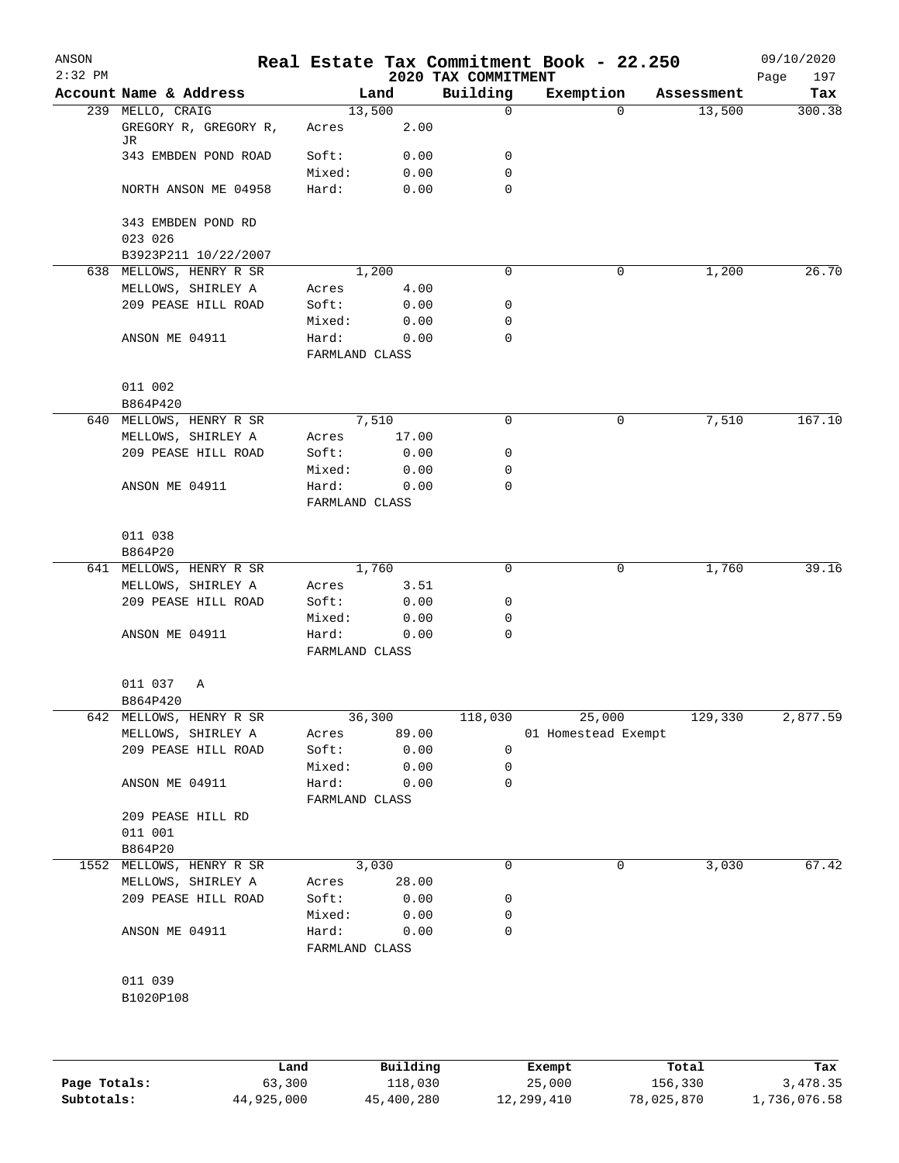| ANSON<br>$2:32$ PM |                                 |                         |          |                                 | Real Estate Tax Commitment Book - 22.250 |            | 09/10/2020         |
|--------------------|---------------------------------|-------------------------|----------|---------------------------------|------------------------------------------|------------|--------------------|
|                    | Account Name & Address          |                         | Land     | 2020 TAX COMMITMENT<br>Building | Exemption                                | Assessment | 197<br>Page<br>Tax |
|                    | 239 MELLO, CRAIG                |                         | 13,500   | 0                               | $\Omega$                                 | 13,500     | 300.38             |
|                    | GREGORY R, GREGORY R,<br>JR     | Acres                   | 2.00     |                                 |                                          |            |                    |
|                    | 343 EMBDEN POND ROAD            | Soft:                   | 0.00     | 0                               |                                          |            |                    |
|                    |                                 | Mixed:                  | 0.00     | 0                               |                                          |            |                    |
|                    | NORTH ANSON ME 04958            | Hard:                   | 0.00     | 0                               |                                          |            |                    |
|                    | 343 EMBDEN POND RD              |                         |          |                                 |                                          |            |                    |
|                    | 023 026<br>B3923P211 10/22/2007 |                         |          |                                 |                                          |            |                    |
| 638                | MELLOWS, HENRY R SR             |                         | 1,200    | 0                               | 0                                        | 1,200      | 26.70              |
|                    | MELLOWS, SHIRLEY A              | Acres                   | 4.00     |                                 |                                          |            |                    |
|                    | 209 PEASE HILL ROAD             | Soft:                   | 0.00     | 0                               |                                          |            |                    |
|                    |                                 | Mixed:                  | 0.00     | 0                               |                                          |            |                    |
|                    | ANSON ME 04911                  | Hard:                   | 0.00     | 0                               |                                          |            |                    |
|                    |                                 | FARMLAND CLASS          |          |                                 |                                          |            |                    |
|                    | 011 002                         |                         |          |                                 |                                          |            |                    |
|                    | B864P420                        |                         |          |                                 |                                          |            |                    |
| 640                | MELLOWS, HENRY R SR             |                         | 7,510    | 0                               | 0                                        | 7,510      | 167.10             |
|                    | MELLOWS, SHIRLEY A              | Acres                   | 17.00    |                                 |                                          |            |                    |
|                    | 209 PEASE HILL ROAD             | Soft:                   | 0.00     | 0                               |                                          |            |                    |
|                    |                                 | Mixed:                  | 0.00     | 0                               |                                          |            |                    |
|                    | ANSON ME 04911                  | Hard:                   | 0.00     | 0                               |                                          |            |                    |
|                    |                                 | FARMLAND CLASS          |          |                                 |                                          |            |                    |
|                    | 011 038                         |                         |          |                                 |                                          |            |                    |
|                    | B864P20                         |                         |          |                                 |                                          |            |                    |
| 641                | MELLOWS, HENRY R SR             |                         | 1,760    | 0                               | 0                                        | 1,760      | 39.16              |
|                    | MELLOWS, SHIRLEY A              | Acres                   | 3.51     |                                 |                                          |            |                    |
|                    | 209 PEASE HILL ROAD             | Soft:                   | 0.00     | 0                               |                                          |            |                    |
|                    |                                 | Mixed:                  | 0.00     | 0<br>0                          |                                          |            |                    |
|                    | ANSON ME 04911                  | Hard:<br>FARMLAND CLASS | 0.00     |                                 |                                          |            |                    |
|                    | 011 037<br>Α                    |                         |          |                                 |                                          |            |                    |
|                    | B864P420                        |                         |          |                                 |                                          |            |                    |
|                    | 642 MELLOWS, HENRY R SR         |                         | 36,300   | 118,030                         | 25,000                                   | 129,330    | 2,877.59           |
|                    | MELLOWS, SHIRLEY A              | Acres                   | 89.00    |                                 | 01 Homestead Exempt                      |            |                    |
|                    | 209 PEASE HILL ROAD             | Soft:                   | 0.00     | 0                               |                                          |            |                    |
|                    |                                 | Mixed:                  | 0.00     | 0                               |                                          |            |                    |
|                    | ANSON ME 04911                  | Hard:                   | 0.00     | 0                               |                                          |            |                    |
|                    |                                 | FARMLAND CLASS          |          |                                 |                                          |            |                    |
|                    | 209 PEASE HILL RD               |                         |          |                                 |                                          |            |                    |
|                    | 011 001                         |                         |          |                                 |                                          |            |                    |
|                    | B864P20                         |                         |          |                                 |                                          |            |                    |
| 1552               | MELLOWS, HENRY R SR             |                         | 3,030    | 0                               | 0                                        | 3,030      | 67.42              |
|                    | MELLOWS, SHIRLEY A              | Acres                   | 28.00    |                                 |                                          |            |                    |
|                    | 209 PEASE HILL ROAD             | Soft:                   | 0.00     | 0                               |                                          |            |                    |
|                    |                                 | Mixed:                  | 0.00     | 0                               |                                          |            |                    |
|                    | ANSON ME 04911                  | Hard:<br>FARMLAND CLASS | 0.00     | 0                               |                                          |            |                    |
|                    |                                 |                         |          |                                 |                                          |            |                    |
|                    | 011 039                         |                         |          |                                 |                                          |            |                    |
|                    | B1020P108                       |                         |          |                                 |                                          |            |                    |
|                    |                                 |                         |          |                                 |                                          |            |                    |
|                    |                                 | Land                    | Building |                                 | Exempt                                   | Total      | Tax                |

**Page Totals:** 63,300 118,030 25,000 156,330 3,478.35 **Subtotals:** 44,925,000 45,400,280 12,299,410 78,025,870 1,736,076.58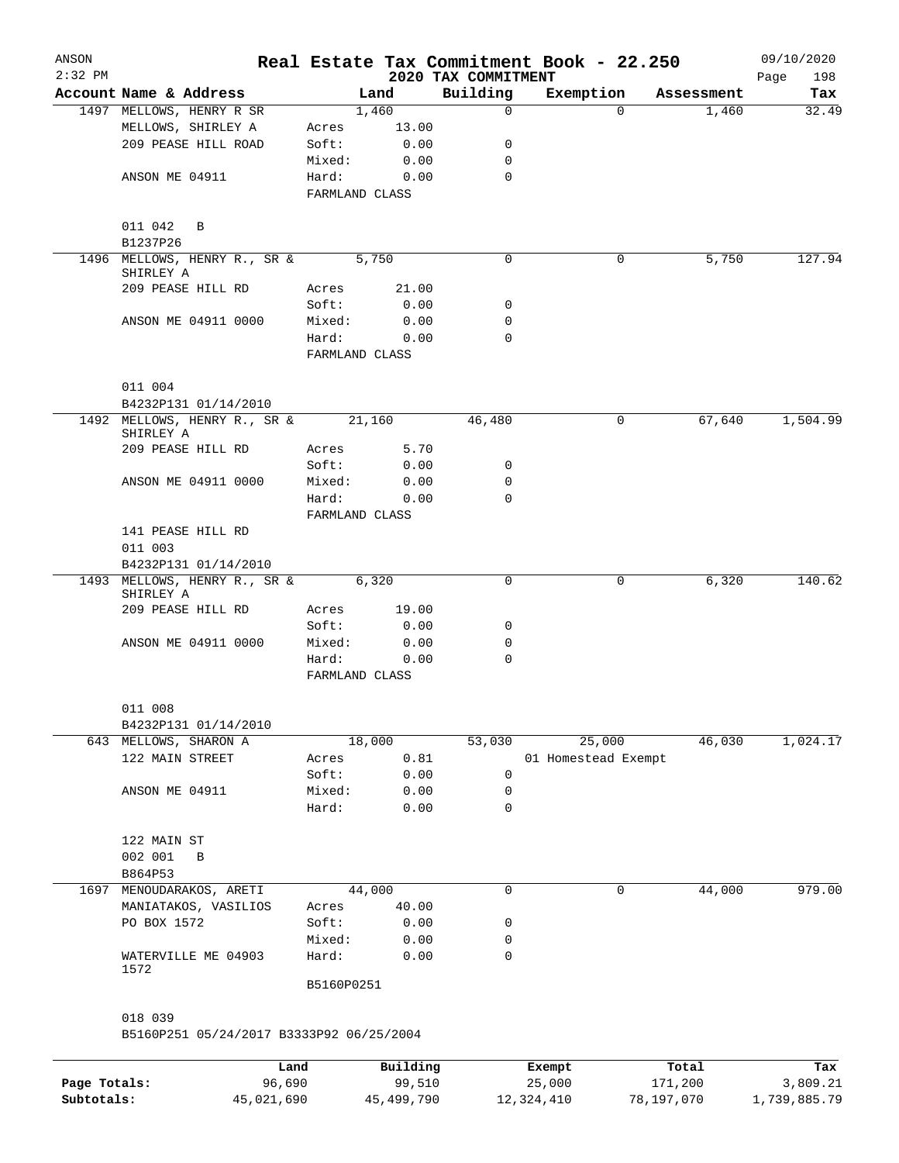| ANSON<br>$2:32$ PM |                                           |                         |              |                                 | Real Estate Tax Commitment Book - 22.250 |          |            | 09/10/2020         |
|--------------------|-------------------------------------------|-------------------------|--------------|---------------------------------|------------------------------------------|----------|------------|--------------------|
|                    | Account Name & Address                    |                         | Land         | 2020 TAX COMMITMENT<br>Building | Exemption                                |          | Assessment | 198<br>Page<br>Tax |
|                    | 1497 MELLOWS, HENRY R SR                  |                         | 1,460        | $\mathbf 0$                     |                                          | $\Omega$ | 1,460      | 32.49              |
|                    | MELLOWS, SHIRLEY A                        | Acres                   | 13.00        |                                 |                                          |          |            |                    |
|                    | 209 PEASE HILL ROAD                       | Soft:                   | 0.00         | 0                               |                                          |          |            |                    |
|                    |                                           | Mixed:                  | 0.00         | 0                               |                                          |          |            |                    |
|                    | ANSON ME 04911                            | Hard:                   | 0.00         | $\mathbf 0$                     |                                          |          |            |                    |
|                    |                                           | FARMLAND CLASS          |              |                                 |                                          |          |            |                    |
|                    | 011 042<br>B                              |                         |              |                                 |                                          |          |            |                    |
|                    | B1237P26                                  |                         |              |                                 |                                          |          |            |                    |
|                    | 1496 MELLOWS, HENRY R., SR &              |                         | 5,750        | 0                               |                                          | 0        | 5,750      | 127.94             |
|                    | SHIRLEY A                                 |                         |              |                                 |                                          |          |            |                    |
|                    | 209 PEASE HILL RD                         | Acres                   | 21.00        |                                 |                                          |          |            |                    |
|                    |                                           | Soft:                   | 0.00         | 0<br>0                          |                                          |          |            |                    |
|                    | ANSON ME 04911 0000                       | Mixed:<br>Hard:         | 0.00<br>0.00 | 0                               |                                          |          |            |                    |
|                    |                                           | FARMLAND CLASS          |              |                                 |                                          |          |            |                    |
|                    | 011 004                                   |                         |              |                                 |                                          |          |            |                    |
|                    | B4232P131 01/14/2010                      |                         |              |                                 |                                          |          |            |                    |
|                    | 1492 MELLOWS, HENRY R., SR &<br>SHIRLEY A | 21,160                  |              | 46,480                          |                                          | 0        | 67,640     | 1,504.99           |
|                    | 209 PEASE HILL RD                         | Acres                   | 5.70         |                                 |                                          |          |            |                    |
|                    |                                           | Soft:                   | 0.00         | 0                               |                                          |          |            |                    |
|                    | ANSON ME 04911 0000                       | Mixed:                  | 0.00         | 0                               |                                          |          |            |                    |
|                    |                                           | Hard:                   | 0.00         | $\Omega$                        |                                          |          |            |                    |
|                    |                                           | FARMLAND CLASS          |              |                                 |                                          |          |            |                    |
|                    | 141 PEASE HILL RD<br>011 003              |                         |              |                                 |                                          |          |            |                    |
|                    | B4232P131 01/14/2010                      |                         |              |                                 |                                          |          |            |                    |
|                    | 1493 MELLOWS, HENRY R., SR &              |                         | 6,320        | 0                               |                                          | 0        | 6,320      | 140.62             |
|                    | SHIRLEY A                                 |                         |              |                                 |                                          |          |            |                    |
|                    | 209 PEASE HILL RD                         | Acres                   | 19.00        |                                 |                                          |          |            |                    |
|                    |                                           | Soft:                   | 0.00         | 0                               |                                          |          |            |                    |
|                    | ANSON ME 04911 0000                       | Mixed:                  | 0.00         | 0                               |                                          |          |            |                    |
|                    |                                           | Hard:<br>FARMLAND CLASS | 0.00         | $\mathbf 0$                     |                                          |          |            |                    |
|                    |                                           |                         |              |                                 |                                          |          |            |                    |
|                    | 011 008                                   |                         |              |                                 |                                          |          |            |                    |
|                    | B4232P131 01/14/2010                      |                         |              |                                 |                                          |          |            |                    |
|                    | 643 MELLOWS, SHARON A                     |                         | 18,000       | 53,030                          | 25,000                                   |          | 46,030     | 1,024.17           |
|                    | 122 MAIN STREET                           | Acres                   | 0.81         |                                 | 01 Homestead Exempt                      |          |            |                    |
|                    |                                           | Soft:                   | 0.00         | 0                               |                                          |          |            |                    |
|                    | ANSON ME 04911                            | Mixed:                  | 0.00         | 0                               |                                          |          |            |                    |
|                    |                                           | Hard:                   | 0.00         | 0                               |                                          |          |            |                    |
|                    | 122 MAIN ST                               |                         |              |                                 |                                          |          |            |                    |
|                    | 002 001<br>B                              |                         |              |                                 |                                          |          |            |                    |
|                    | B864P53                                   |                         |              |                                 |                                          |          |            |                    |
|                    | 1697 MENOUDARAKOS, ARETI                  | 44,000                  |              | 0                               |                                          | 0        | 44,000     | 979.00             |
|                    | MANIATAKOS, VASILIOS                      | Acres                   | 40.00        |                                 |                                          |          |            |                    |
|                    | PO BOX 1572                               | Soft:                   | 0.00         | 0                               |                                          |          |            |                    |
|                    |                                           | Mixed:                  | 0.00         | 0                               |                                          |          |            |                    |
|                    | WATERVILLE ME 04903<br>1572               | Hard:                   | 0.00         | $\mathbf 0$                     |                                          |          |            |                    |
|                    |                                           | B5160P0251              |              |                                 |                                          |          |            |                    |
|                    | 018 039                                   |                         |              |                                 |                                          |          |            |                    |
|                    | B5160P251 05/24/2017 B3333P92 06/25/2004  |                         |              |                                 |                                          |          |            |                    |
|                    | Land                                      |                         | Building     |                                 | Exempt                                   |          | Total      | Tax                |
| Page Totals:       | 96,690                                    |                         | 99,510       |                                 | 25,000                                   | 171,200  |            | 3,809.21           |

**Subtotals:** 45,021,690 45,499,790 12,324,410 78,197,070 1,739,885.79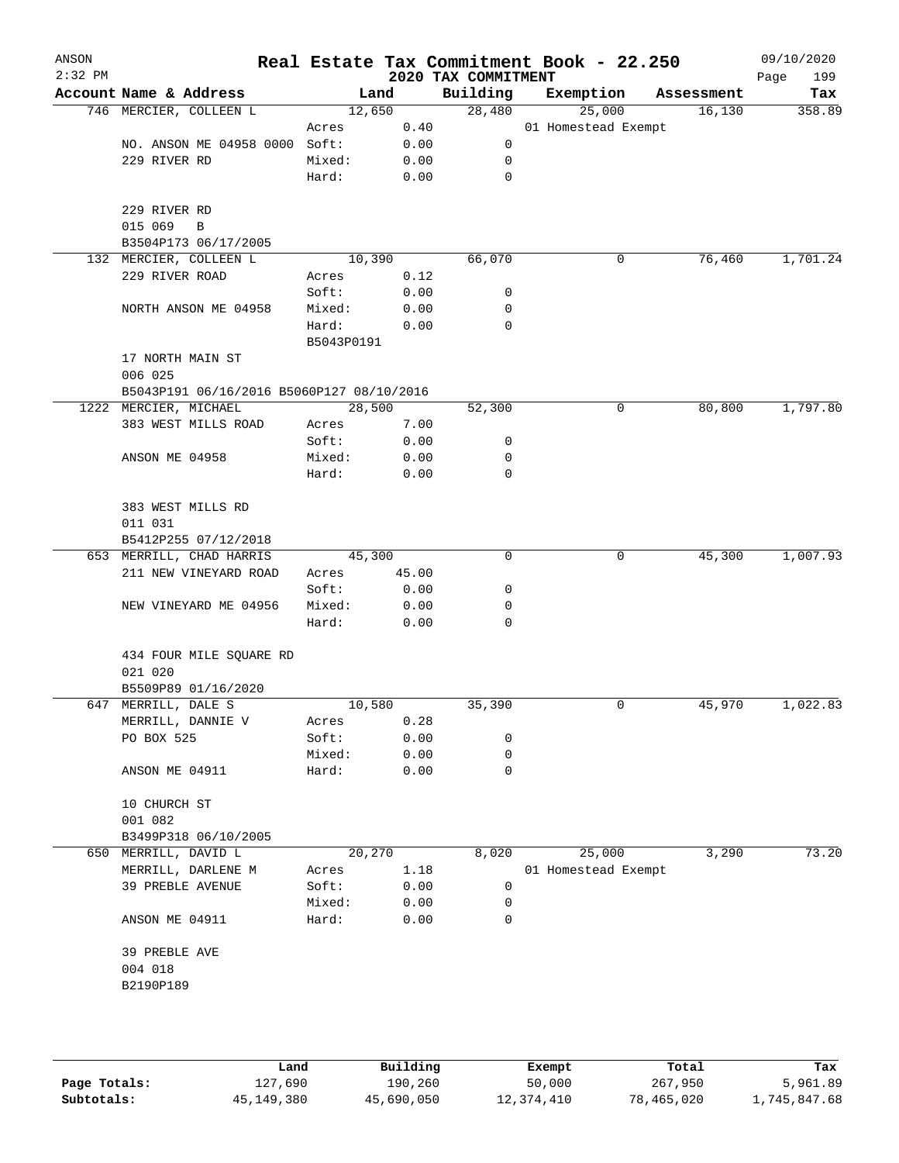| ANSON<br>$2:32$ PM |                                           |                 |              | 2020 TAX COMMITMENT | Real Estate Tax Commitment Book - 22.250 |            | 09/10/2020<br>199<br>Page |
|--------------------|-------------------------------------------|-----------------|--------------|---------------------|------------------------------------------|------------|---------------------------|
|                    | Account Name & Address                    | Land            |              | Building            | Exemption                                | Assessment | Tax                       |
|                    | 746 MERCIER, COLLEEN L                    | 12,650          |              | 28,480              | 25,000                                   | 16,130     | 358.89                    |
|                    |                                           | Acres           | 0.40         |                     | 01 Homestead Exempt                      |            |                           |
|                    | NO. ANSON ME 04958 0000 Soft:             |                 | 0.00         | 0                   |                                          |            |                           |
|                    | 229 RIVER RD                              | Mixed:          | 0.00         | 0                   |                                          |            |                           |
|                    |                                           | Hard:           | 0.00         | $\mathbf 0$         |                                          |            |                           |
|                    |                                           |                 |              |                     |                                          |            |                           |
|                    | 229 RIVER RD<br>015 069<br>B              |                 |              |                     |                                          |            |                           |
|                    | B3504P173 06/17/2005                      |                 |              |                     |                                          |            |                           |
|                    | 132 MERCIER, COLLEEN L                    | 10,390          |              | 66,070              | 0                                        | 76,460     | 1,701.24                  |
|                    | 229 RIVER ROAD                            | Acres           | 0.12         |                     |                                          |            |                           |
|                    |                                           | Soft:           | 0.00         | 0                   |                                          |            |                           |
|                    | NORTH ANSON ME 04958                      | Mixed:          | 0.00         | 0                   |                                          |            |                           |
|                    |                                           | Hard:           | 0.00         | 0                   |                                          |            |                           |
|                    |                                           | B5043P0191      |              |                     |                                          |            |                           |
|                    | 17 NORTH MAIN ST                          |                 |              |                     |                                          |            |                           |
|                    | 006 025                                   |                 |              |                     |                                          |            |                           |
|                    | B5043P191 06/16/2016 B5060P127 08/10/2016 |                 |              |                     |                                          |            |                           |
|                    | 1222 MERCIER, MICHAEL                     | 28,500          |              | 52,300              | 0                                        | 80,800     | 1,797.80                  |
|                    | 383 WEST MILLS ROAD                       | Acres           | 7.00         |                     |                                          |            |                           |
|                    |                                           | Soft:           | 0.00         | 0                   |                                          |            |                           |
|                    | ANSON ME 04958                            | Mixed:          | 0.00         | 0                   |                                          |            |                           |
|                    |                                           | Hard:           | 0.00         | 0                   |                                          |            |                           |
|                    |                                           |                 |              |                     |                                          |            |                           |
|                    | 383 WEST MILLS RD                         |                 |              |                     |                                          |            |                           |
|                    | 011 031                                   |                 |              |                     |                                          |            |                           |
|                    | B5412P255 07/12/2018                      |                 |              |                     |                                          |            |                           |
|                    | 653 MERRILL, CHAD HARRIS                  | 45,300          |              | $\mathbf 0$         | 0                                        | 45,300     | 1,007.93                  |
|                    | 211 NEW VINEYARD ROAD                     | Acres           | 45.00        |                     |                                          |            |                           |
|                    |                                           | Soft:           | 0.00         | 0                   |                                          |            |                           |
|                    | NEW VINEYARD ME 04956                     | Mixed:          | 0.00         | 0                   |                                          |            |                           |
|                    |                                           | Hard:           | 0.00         | 0                   |                                          |            |                           |
|                    |                                           |                 |              |                     |                                          |            |                           |
|                    | 434 FOUR MILE SQUARE RD                   |                 |              |                     |                                          |            |                           |
|                    | 021 020                                   |                 |              |                     |                                          |            |                           |
|                    | B5509P89 01/16/2020                       |                 |              | 35,390              |                                          | 45,970     | 1,022.83                  |
|                    | 647 MERRILL, DALE S                       | 10,580          |              |                     | 0                                        |            |                           |
|                    | MERRILL, DANNIE V<br>PO BOX 525           | Acres           | 0.28         | 0                   |                                          |            |                           |
|                    |                                           | Soft:<br>Mixed: | 0.00<br>0.00 | 0                   |                                          |            |                           |
|                    | ANSON ME 04911                            | Hard:           | 0.00         | 0                   |                                          |            |                           |
|                    |                                           |                 |              |                     |                                          |            |                           |
|                    | 10 CHURCH ST                              |                 |              |                     |                                          |            |                           |
|                    | 001 082                                   |                 |              |                     |                                          |            |                           |
|                    | B3499P318 06/10/2005                      |                 |              |                     |                                          |            |                           |
| 650                | MERRILL, DAVID L                          | 20,270          |              | 8,020               | 25,000                                   | 3,290      | 73.20                     |
|                    | MERRILL, DARLENE M                        | Acres           | 1.18         |                     | 01 Homestead Exempt                      |            |                           |
|                    | 39 PREBLE AVENUE                          | Soft:           | 0.00         | 0                   |                                          |            |                           |
|                    |                                           | Mixed:          | 0.00         | 0                   |                                          |            |                           |
|                    | ANSON ME 04911                            | Hard:           | 0.00         | 0                   |                                          |            |                           |
|                    |                                           |                 |              |                     |                                          |            |                           |
|                    | 39 PREBLE AVE                             |                 |              |                     |                                          |            |                           |
|                    | 004 018                                   |                 |              |                     |                                          |            |                           |
|                    | B2190P189                                 |                 |              |                     |                                          |            |                           |
|                    |                                           |                 |              |                     |                                          |            |                           |
|                    |                                           |                 |              |                     |                                          |            |                           |
|                    |                                           |                 |              |                     |                                          |            |                           |

|              | Land       | Building   | Exempt     | Total      | Tax          |
|--------------|------------|------------|------------|------------|--------------|
| Page Totals: | 127,690    | 190,260    | 50,000     | 267,950    | 5,961.89     |
| Subtotals:   | 45,149,380 | 45,690,050 | 12,374,410 | 78,465,020 | 1,745,847.68 |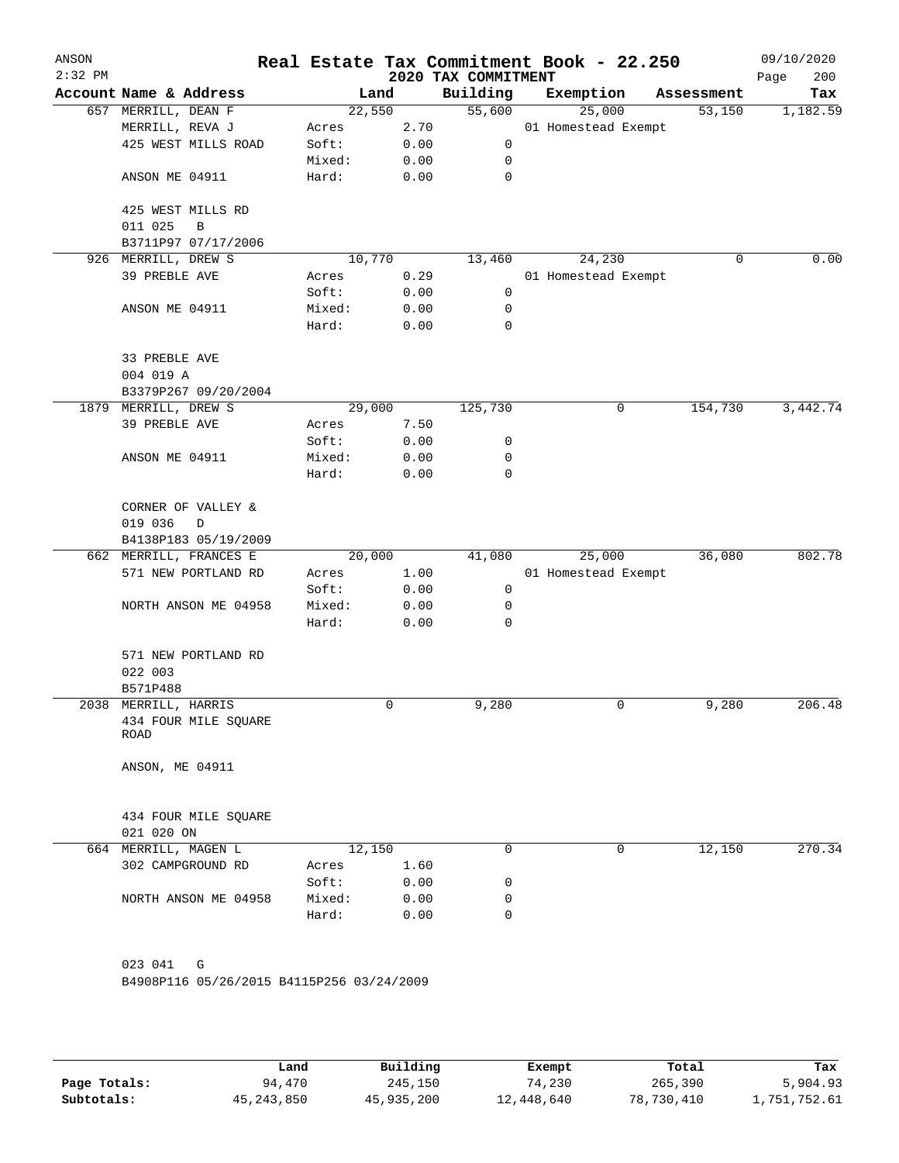| ANSON<br>$2:32$ PM |                                           |        |      | Real Estate Tax Commitment Book - 22.250<br>2020 TAX COMMITMENT |                     |            | 09/10/2020<br>200<br>Page |
|--------------------|-------------------------------------------|--------|------|-----------------------------------------------------------------|---------------------|------------|---------------------------|
|                    | Account Name & Address                    |        | Land | Building                                                        | Exemption           | Assessment | Tax                       |
|                    | 657 MERRILL, DEAN F                       | 22,550 |      | 55,600                                                          | 25,000              | 53,150     | 1,182.59                  |
|                    | MERRILL, REVA J                           | Acres  | 2.70 |                                                                 | 01 Homestead Exempt |            |                           |
|                    | 425 WEST MILLS ROAD                       | Soft:  | 0.00 | 0                                                               |                     |            |                           |
|                    |                                           | Mixed: | 0.00 | 0                                                               |                     |            |                           |
|                    | ANSON ME 04911                            | Hard:  | 0.00 | $\mathbf 0$                                                     |                     |            |                           |
|                    | 425 WEST MILLS RD<br>011 025<br>B         |        |      |                                                                 |                     |            |                           |
|                    | B3711P97 07/17/2006                       |        |      |                                                                 |                     |            |                           |
|                    | 926 MERRILL, DREW S                       | 10,770 |      | 13,460                                                          | 24,230              | 0          | 0.00                      |
|                    | 39 PREBLE AVE                             | Acres  | 0.29 |                                                                 | 01 Homestead Exempt |            |                           |
|                    |                                           | Soft:  | 0.00 | 0                                                               |                     |            |                           |
|                    | ANSON ME 04911                            | Mixed: | 0.00 | 0                                                               |                     |            |                           |
|                    |                                           | Hard:  | 0.00 | $\mathbf 0$                                                     |                     |            |                           |
|                    |                                           |        |      |                                                                 |                     |            |                           |
|                    | 33 PREBLE AVE                             |        |      |                                                                 |                     |            |                           |
|                    | 004 019 A                                 |        |      |                                                                 |                     |            |                           |
|                    | B3379P267 09/20/2004                      |        |      |                                                                 |                     |            |                           |
|                    | 1879 MERRILL, DREW S                      | 29,000 |      | 125,730                                                         | 0                   | 154,730    | 3,442.74                  |
|                    | 39 PREBLE AVE                             | Acres  | 7.50 |                                                                 |                     |            |                           |
|                    |                                           | Soft:  | 0.00 | 0                                                               |                     |            |                           |
|                    | ANSON ME 04911                            | Mixed: | 0.00 | 0                                                               |                     |            |                           |
|                    |                                           | Hard:  | 0.00 | 0                                                               |                     |            |                           |
|                    | CORNER OF VALLEY &                        |        |      |                                                                 |                     |            |                           |
|                    | 019 036<br>D                              |        |      |                                                                 |                     |            |                           |
|                    | B4138P183 05/19/2009                      |        |      |                                                                 |                     |            |                           |
|                    | 662 MERRILL, FRANCES E                    | 20,000 |      | 41,080                                                          | 25,000              | 36,080     | 802.78                    |
|                    | 571 NEW PORTLAND RD                       | Acres  | 1.00 |                                                                 | 01 Homestead Exempt |            |                           |
|                    |                                           | Soft:  | 0.00 | $\mathbf 0$                                                     |                     |            |                           |
|                    | NORTH ANSON ME 04958                      | Mixed: | 0.00 | 0                                                               |                     |            |                           |
|                    |                                           | Hard:  | 0.00 | 0                                                               |                     |            |                           |
|                    | 571 NEW PORTLAND RD                       |        |      |                                                                 |                     |            |                           |
|                    | 022 003                                   |        |      |                                                                 |                     |            |                           |
|                    | B571P488                                  |        |      |                                                                 |                     |            |                           |
|                    | 2038 MERRILL, HARRIS                      |        | 0    | 9,280                                                           | 0                   | 9,280      | 206.48                    |
|                    | 434 FOUR MILE SQUARE                      |        |      |                                                                 |                     |            |                           |
|                    | ROAD                                      |        |      |                                                                 |                     |            |                           |
|                    | ANSON, ME 04911                           |        |      |                                                                 |                     |            |                           |
|                    |                                           |        |      |                                                                 |                     |            |                           |
|                    | 434 FOUR MILE SQUARE<br>021 020 ON        |        |      |                                                                 |                     |            |                           |
|                    | 664 MERRILL, MAGEN L                      | 12,150 |      | 0                                                               | 0                   | 12,150     | 270.34                    |
|                    | 302 CAMPGROUND RD                         | Acres  | 1.60 |                                                                 |                     |            |                           |
|                    |                                           | Soft:  | 0.00 | 0                                                               |                     |            |                           |
|                    | NORTH ANSON ME 04958                      | Mixed: | 0.00 | 0                                                               |                     |            |                           |
|                    |                                           | Hard:  | 0.00 | 0                                                               |                     |            |                           |
|                    |                                           |        |      |                                                                 |                     |            |                           |
|                    | 023 041<br>G                              |        |      |                                                                 |                     |            |                           |
|                    | B4908P116 05/26/2015 B4115P256 03/24/2009 |        |      |                                                                 |                     |            |                           |
|                    |                                           |        |      |                                                                 |                     |            |                           |
|                    |                                           |        |      |                                                                 |                     |            |                           |

|              | Land       | Building   | Exempt     | Total      | Tax          |
|--------------|------------|------------|------------|------------|--------------|
| Page Totals: | 94,470     | 245,150    | 74,230     | 265,390    | 5,904.93     |
| Subtotals:   | 45,243,850 | 45,935,200 | 12,448,640 | 78,730,410 | 1,751,752.61 |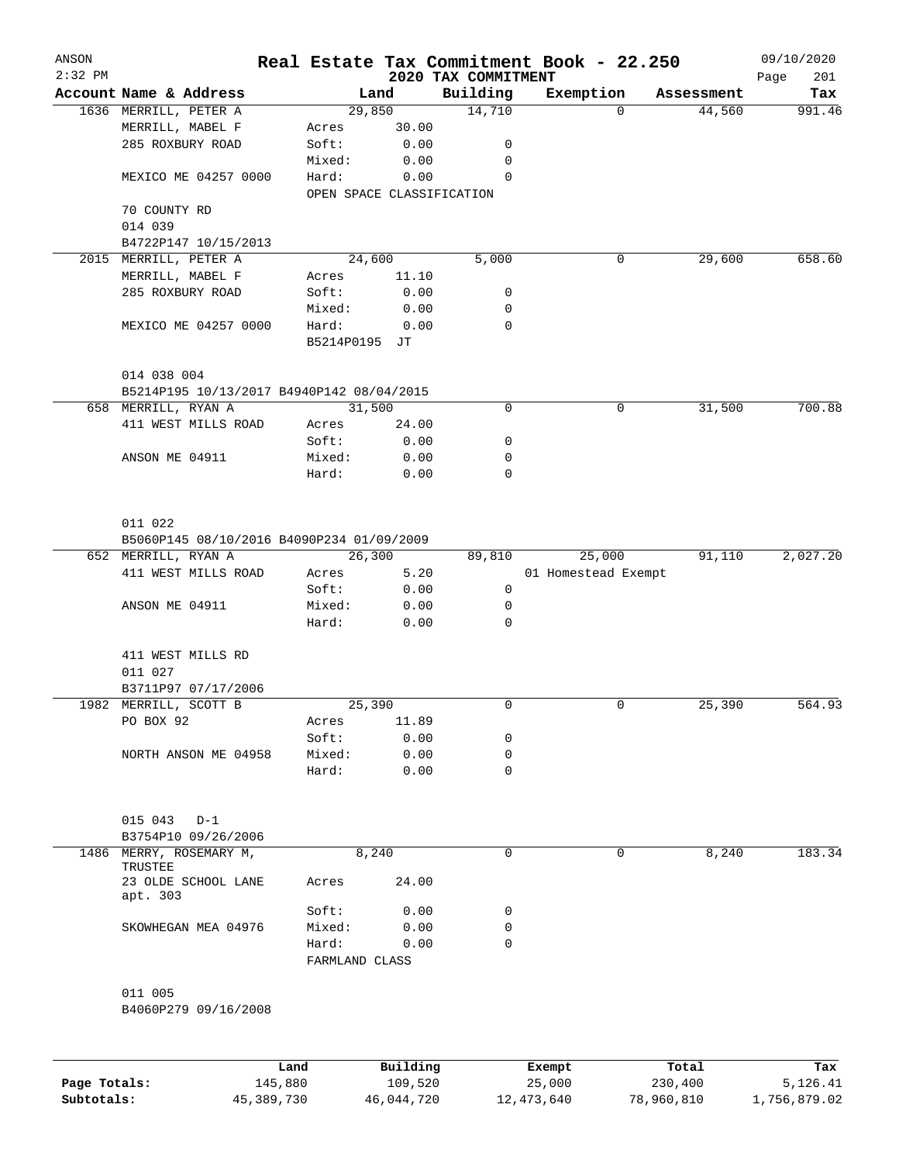| ANSON<br>$2:32$ PM |                                           |                |          | 2020 TAX COMMITMENT       | Real Estate Tax Commitment Book - 22.250 |          |            | 09/10/2020<br>201<br>Page |
|--------------------|-------------------------------------------|----------------|----------|---------------------------|------------------------------------------|----------|------------|---------------------------|
|                    | Account Name & Address                    |                | Land     | Building                  | Exemption                                |          | Assessment | Tax                       |
|                    | 1636 MERRILL, PETER A                     |                | 29,850   | 14,710                    |                                          | $\Omega$ | 44,560     | 991.46                    |
|                    | MERRILL, MABEL F                          | Acres          | 30.00    |                           |                                          |          |            |                           |
|                    | 285 ROXBURY ROAD                          | Soft:          | 0.00     | 0                         |                                          |          |            |                           |
|                    |                                           | Mixed:         | 0.00     | 0                         |                                          |          |            |                           |
|                    | MEXICO ME 04257 0000                      | Hard:          | 0.00     | $\Omega$                  |                                          |          |            |                           |
|                    |                                           |                |          | OPEN SPACE CLASSIFICATION |                                          |          |            |                           |
|                    | 70 COUNTY RD                              |                |          |                           |                                          |          |            |                           |
|                    | 014 039                                   |                |          |                           |                                          |          |            |                           |
|                    | B4722P147 10/15/2013                      |                |          |                           |                                          |          |            |                           |
|                    | 2015 MERRILL, PETER A                     |                | 24,600   | 5,000                     |                                          | 0        | 29,600     | 658.60                    |
|                    | MERRILL, MABEL F                          | Acres          | 11.10    |                           |                                          |          |            |                           |
|                    | 285 ROXBURY ROAD                          | Soft:          | 0.00     | 0                         |                                          |          |            |                           |
|                    |                                           | Mixed:         | 0.00     | 0                         |                                          |          |            |                           |
|                    | MEXICO ME 04257 0000                      | Hard:          | 0.00     | 0                         |                                          |          |            |                           |
|                    |                                           | B5214P0195 JT  |          |                           |                                          |          |            |                           |
|                    |                                           |                |          |                           |                                          |          |            |                           |
|                    | 014 038 004                               |                |          |                           |                                          |          |            |                           |
|                    | B5214P195 10/13/2017 B4940P142 08/04/2015 |                |          |                           |                                          |          |            |                           |
|                    | 658 MERRILL, RYAN A                       |                | 31,500   | 0                         |                                          | 0        | 31,500     | 700.88                    |
|                    | 411 WEST MILLS ROAD                       | Acres          | 24.00    |                           |                                          |          |            |                           |
|                    |                                           | Soft:          | 0.00     | 0                         |                                          |          |            |                           |
|                    |                                           |                |          |                           |                                          |          |            |                           |
|                    | ANSON ME 04911                            | Mixed:         | 0.00     | 0                         |                                          |          |            |                           |
|                    |                                           | Hard:          | 0.00     | $\mathbf 0$               |                                          |          |            |                           |
|                    |                                           |                |          |                           |                                          |          |            |                           |
|                    |                                           |                |          |                           |                                          |          |            |                           |
|                    | 011 022                                   |                |          |                           |                                          |          |            |                           |
|                    | B5060P145 08/10/2016 B4090P234 01/09/2009 |                |          |                           |                                          |          |            |                           |
|                    | 652 MERRILL, RYAN A                       |                | 26,300   | 89,810                    | 25,000                                   |          | 91,110     | 2,027.20                  |
|                    | 411 WEST MILLS ROAD                       | Acres          | 5.20     |                           | 01 Homestead Exempt                      |          |            |                           |
|                    |                                           | Soft:          | 0.00     | 0                         |                                          |          |            |                           |
|                    | ANSON ME 04911                            | Mixed:         | 0.00     | 0                         |                                          |          |            |                           |
|                    |                                           | Hard:          | 0.00     | 0                         |                                          |          |            |                           |
|                    |                                           |                |          |                           |                                          |          |            |                           |
|                    | 411 WEST MILLS RD                         |                |          |                           |                                          |          |            |                           |
|                    | 011 027                                   |                |          |                           |                                          |          |            |                           |
|                    | B3711P97 07/17/2006                       |                |          |                           |                                          |          |            |                           |
|                    | 1982 MERRILL, SCOTT B                     |                | 25,390   | 0                         |                                          | 0        | 25,390     | 564.93                    |
|                    | PO BOX 92                                 | Acres          | 11.89    |                           |                                          |          |            |                           |
|                    |                                           | Soft:          | 0.00     | 0                         |                                          |          |            |                           |
|                    | NORTH ANSON ME 04958                      | Mixed:         | 0.00     | $\mathbf 0$               |                                          |          |            |                           |
|                    |                                           | Hard:          | 0.00     | $\mathbf 0$               |                                          |          |            |                           |
|                    |                                           |                |          |                           |                                          |          |            |                           |
|                    |                                           |                |          |                           |                                          |          |            |                           |
|                    | 015 043<br>$D-1$                          |                |          |                           |                                          |          |            |                           |
|                    | B3754P10 09/26/2006                       |                |          |                           |                                          |          |            |                           |
|                    | 1486 MERRY, ROSEMARY M,                   |                | 8,240    | $\mathbf 0$               |                                          | 0        | 8,240      | 183.34                    |
|                    | TRUSTEE                                   |                |          |                           |                                          |          |            |                           |
|                    | 23 OLDE SCHOOL LANE                       | Acres          | 24.00    |                           |                                          |          |            |                           |
|                    | apt. 303                                  |                |          |                           |                                          |          |            |                           |
|                    |                                           | Soft:          | 0.00     | 0                         |                                          |          |            |                           |
|                    | SKOWHEGAN MEA 04976                       | Mixed:         | 0.00     | $\mathbf 0$               |                                          |          |            |                           |
|                    |                                           | Hard:          | 0.00     | $\mathbf 0$               |                                          |          |            |                           |
|                    |                                           | FARMLAND CLASS |          |                           |                                          |          |            |                           |
|                    |                                           |                |          |                           |                                          |          |            |                           |
|                    | 011 005                                   |                |          |                           |                                          |          |            |                           |
|                    | B4060P279 09/16/2008                      |                |          |                           |                                          |          |            |                           |
|                    |                                           |                |          |                           |                                          |          |            |                           |
|                    |                                           |                |          |                           |                                          |          |            |                           |
|                    |                                           |                |          |                           |                                          |          |            |                           |
|                    |                                           | Land           | Building |                           | Exempt                                   |          | Total      | Tax                       |
| Page Totals:       | 145,880                                   |                | 109,520  |                           | 25,000                                   |          | 230,400    | 5,126.41                  |

**Subtotals:** 45,389,730 46,044,720 12,473,640 78,960,810 1,756,879.02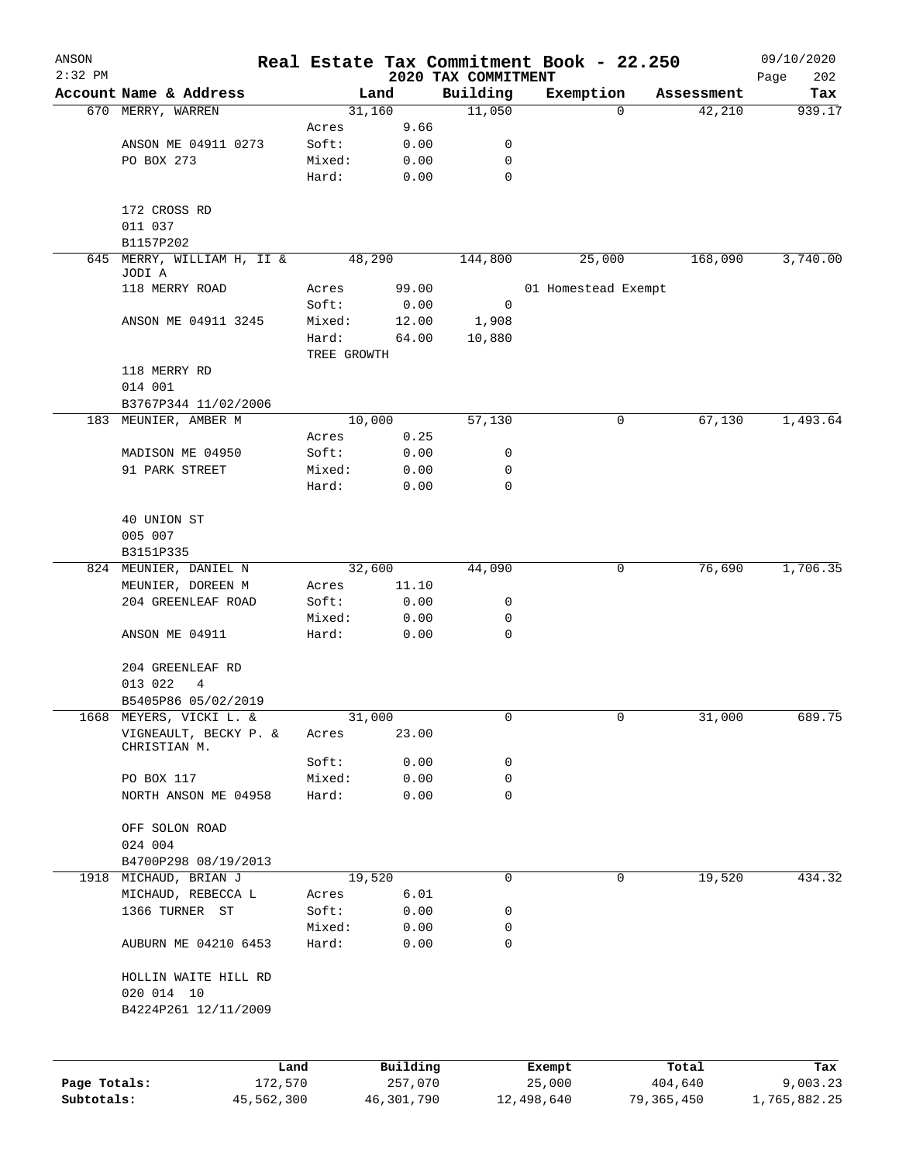| ANSON        |                                                |             |                |                     | Real Estate Tax Commitment Book - 22.250 |                 | 09/10/2020              |
|--------------|------------------------------------------------|-------------|----------------|---------------------|------------------------------------------|-----------------|-------------------------|
| $2:32$ PM    |                                                |             |                | 2020 TAX COMMITMENT |                                          |                 | Page<br>202             |
|              | Account Name & Address                         |             | Land           | Building<br>11,050  | Exemption                                | Assessment<br>0 | Tax<br>42,210<br>939.17 |
|              | 670 MERRY, WARREN                              | Acres       | 31,160<br>9.66 |                     |                                          |                 |                         |
|              | ANSON ME 04911 0273                            | Soft:       | 0.00           | 0                   |                                          |                 |                         |
|              | PO BOX 273                                     | Mixed:      | 0.00           | 0                   |                                          |                 |                         |
|              |                                                | Hard:       | 0.00           | 0                   |                                          |                 |                         |
|              |                                                |             |                |                     |                                          |                 |                         |
|              | 172 CROSS RD                                   |             |                |                     |                                          |                 |                         |
|              | 011 037                                        |             |                |                     |                                          |                 |                         |
|              | B1157P202                                      |             |                |                     |                                          |                 |                         |
| 645          | MERRY, WILLIAM H, II &<br>JODI A               |             | 48,290         | 144,800             | 25,000                                   | 168,090         | 3,740.00                |
|              | 118 MERRY ROAD                                 | Acres       | 99.00          |                     | 01 Homestead Exempt                      |                 |                         |
|              |                                                | Soft:       | 0.00           | 0                   |                                          |                 |                         |
|              | ANSON ME 04911 3245                            | Mixed:      | 12.00          | 1,908               |                                          |                 |                         |
|              |                                                | Hard:       | 64.00          | 10,880              |                                          |                 |                         |
|              |                                                | TREE GROWTH |                |                     |                                          |                 |                         |
|              | 118 MERRY RD                                   |             |                |                     |                                          |                 |                         |
|              | 014 001                                        |             |                |                     |                                          |                 |                         |
|              | B3767P344 11/02/2006                           |             |                |                     |                                          |                 |                         |
|              | 183 MEUNIER, AMBER M                           |             | 10,000         | 57,130              |                                          | 0               | 1,493.64<br>67,130      |
|              |                                                | Acres       | 0.25           |                     |                                          |                 |                         |
|              | MADISON ME 04950                               | Soft:       | 0.00           | 0                   |                                          |                 |                         |
|              | 91 PARK STREET                                 | Mixed:      | 0.00           | 0                   |                                          |                 |                         |
|              |                                                | Hard:       | 0.00           | 0                   |                                          |                 |                         |
|              |                                                |             |                |                     |                                          |                 |                         |
|              | 40 UNION ST                                    |             |                |                     |                                          |                 |                         |
|              | 005 007                                        |             |                |                     |                                          |                 |                         |
|              | B3151P335                                      |             |                |                     |                                          |                 |                         |
| 824          | MEUNIER, DANIEL N                              |             | 32,600         | 44,090              |                                          | 0               | 1,706.35<br>76,690      |
|              | MEUNIER, DOREEN M                              | Acres       | 11.10          |                     |                                          |                 |                         |
|              | 204 GREENLEAF ROAD                             | Soft:       | 0.00           | 0                   |                                          |                 |                         |
|              |                                                | Mixed:      | 0.00           | 0                   |                                          |                 |                         |
|              | ANSON ME 04911                                 | Hard:       | 0.00           | 0                   |                                          |                 |                         |
|              | 204 GREENLEAF RD                               |             |                |                     |                                          |                 |                         |
|              | 013 022<br>4                                   |             |                |                     |                                          |                 |                         |
|              |                                                |             |                |                     |                                          |                 |                         |
|              | B5405P86 05/02/2019<br>1668 MEYERS, VICKI L. & |             | 31,000         | 0                   |                                          | 0               | 31,000<br>689.75        |
|              | VIGNEAULT, BECKY P. &                          | Acres       | 23.00          |                     |                                          |                 |                         |
|              | CHRISTIAN M.                                   |             |                |                     |                                          |                 |                         |
|              |                                                | Soft:       | 0.00           | 0                   |                                          |                 |                         |
|              | PO BOX 117                                     | Mixed:      | 0.00           | 0                   |                                          |                 |                         |
|              | NORTH ANSON ME 04958                           | Hard:       | 0.00           | 0                   |                                          |                 |                         |
|              |                                                |             |                |                     |                                          |                 |                         |
|              | OFF SOLON ROAD                                 |             |                |                     |                                          |                 |                         |
|              | 024 004                                        |             |                |                     |                                          |                 |                         |
|              | B4700P298 08/19/2013                           |             |                |                     |                                          |                 |                         |
|              | 1918 MICHAUD, BRIAN J                          |             | 19,520         | 0                   |                                          | 0               | 434.32<br>19,520        |
|              | MICHAUD, REBECCA L                             | Acres       | 6.01           |                     |                                          |                 |                         |
|              | 1366 TURNER ST                                 | Soft:       | 0.00           | 0                   |                                          |                 |                         |
|              |                                                | Mixed:      | 0.00           | 0                   |                                          |                 |                         |
|              | AUBURN ME 04210 6453                           | Hard:       | 0.00           | 0                   |                                          |                 |                         |
|              |                                                |             |                |                     |                                          |                 |                         |
|              | HOLLIN WAITE HILL RD                           |             |                |                     |                                          |                 |                         |
|              | 020 014 10                                     |             |                |                     |                                          |                 |                         |
|              | B4224P261 12/11/2009                           |             |                |                     |                                          |                 |                         |
|              |                                                |             |                |                     |                                          |                 |                         |
|              |                                                | Land        | Building       |                     | Exempt                                   | Total           | Tax                     |
| Page Totals: | 172,570                                        |             | 257,070        |                     | 25,000                                   | 404,640         | 9,003.23                |
| Subtotals:   | 45,562,300                                     |             | 46,301,790     |                     | 12,498,640                               | 79,365,450      | 1,765,882.25            |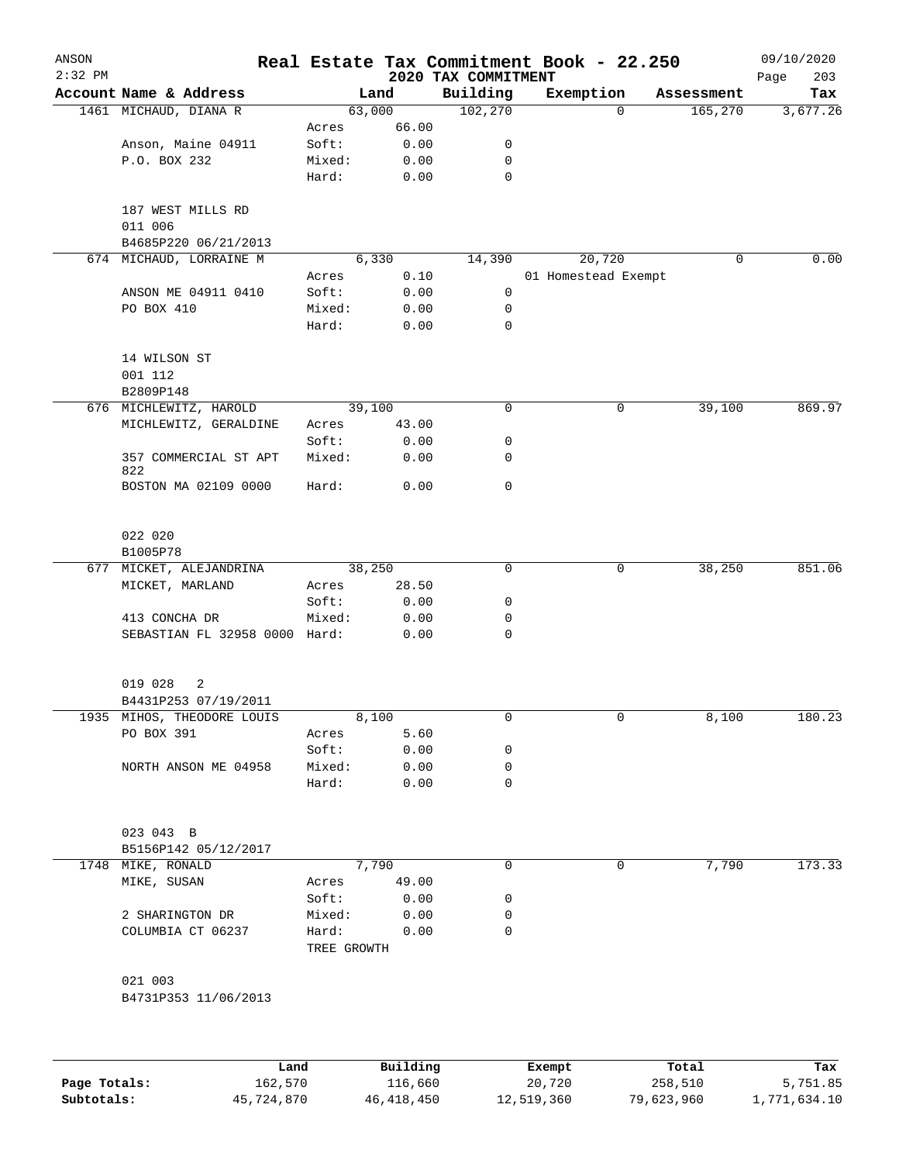| ANSON     |                                                |                 |              | Real Estate Tax Commitment Book - 22.250 |        |                     |            | 09/10/2020         |
|-----------|------------------------------------------------|-----------------|--------------|------------------------------------------|--------|---------------------|------------|--------------------|
| $2:32$ PM | Account Name & Address                         |                 | Land         | 2020 TAX COMMITMENT<br>Building          |        | Exemption           | Assessment | 203<br>Page<br>Tax |
|           | 1461 MICHAUD, DIANA R                          |                 | 63,000       | 102,270                                  |        | 0                   | 165,270    | 3,677.26           |
|           |                                                | Acres           | 66.00        |                                          |        |                     |            |                    |
|           | Anson, Maine 04911                             | Soft:           | 0.00         | 0                                        |        |                     |            |                    |
|           | P.O. BOX 232                                   | Mixed:          | 0.00         | 0                                        |        |                     |            |                    |
|           |                                                | Hard:           | 0.00         | 0                                        |        |                     |            |                    |
|           | 187 WEST MILLS RD<br>011 006                   |                 |              |                                          |        |                     |            |                    |
|           | B4685P220 06/21/2013                           |                 |              |                                          |        |                     |            |                    |
|           | 674 MICHAUD, LORRAINE M                        |                 | 6,330        | 14,390                                   |        | 20,720              | 0          | 0.00               |
|           |                                                | Acres           | 0.10         |                                          |        | 01 Homestead Exempt |            |                    |
|           | ANSON ME 04911 0410                            | Soft:           | 0.00         | 0                                        |        |                     |            |                    |
|           | PO BOX 410                                     | Mixed:<br>Hard: | 0.00<br>0.00 | 0<br>0                                   |        |                     |            |                    |
|           |                                                |                 |              |                                          |        |                     |            |                    |
|           | 14 WILSON ST<br>001 112                        |                 |              |                                          |        |                     |            |                    |
|           | B2809P148                                      |                 |              |                                          |        |                     |            |                    |
|           | 676 MICHLEWITZ, HAROLD                         |                 | 39,100       | 0                                        |        | 0                   | 39,100     | 869.97             |
|           | MICHLEWITZ, GERALDINE                          | Acres           | 43.00        |                                          |        |                     |            |                    |
|           |                                                | Soft:           | 0.00         | 0                                        |        |                     |            |                    |
|           | 357 COMMERCIAL ST APT                          | Mixed:          | 0.00         | 0                                        |        |                     |            |                    |
|           | 822<br>BOSTON MA 02109 0000                    | Hard:           | 0.00         | 0                                        |        |                     |            |                    |
|           |                                                |                 |              |                                          |        |                     |            |                    |
|           | 022 020                                        |                 |              |                                          |        |                     |            |                    |
|           | B1005P78                                       |                 |              |                                          |        |                     |            |                    |
| 677       | MICKET, ALEJANDRINA                            |                 | 38,250       | 0                                        |        | 0                   | 38,250     | 851.06             |
|           | MICKET, MARLAND                                | Acres           | 28.50        |                                          |        |                     |            |                    |
|           |                                                | Soft:           | 0.00         | 0                                        |        |                     |            |                    |
|           | 413 CONCHA DR<br>SEBASTIAN FL 32958 0000 Hard: | Mixed:          | 0.00<br>0.00 | 0<br>0                                   |        |                     |            |                    |
|           |                                                |                 |              |                                          |        |                     |            |                    |
|           | 019 028<br>2                                   |                 |              |                                          |        |                     |            |                    |
|           | B4431P253 07/19/2011                           |                 |              |                                          |        |                     |            |                    |
|           | 1935 MIHOS, THEODORE LOUIS                     |                 | 8,100        | 0                                        |        | 0                   | 8,100      | 180.23             |
|           | PO BOX 391                                     | Acres           | 5.60         |                                          |        |                     |            |                    |
|           |                                                | Soft:           | 0.00         | 0                                        |        |                     |            |                    |
|           | NORTH ANSON ME 04958                           | Mixed:          | 0.00         | 0                                        |        |                     |            |                    |
|           |                                                | Hard:           | 0.00         | 0                                        |        |                     |            |                    |
|           | 023 043 B                                      |                 |              |                                          |        |                     |            |                    |
|           | B5156P142 05/12/2017                           |                 |              |                                          |        |                     |            |                    |
|           | 1748 MIKE, RONALD                              |                 | 7,790        | 0                                        |        | 0                   | 7,790      | 173.33             |
|           | MIKE, SUSAN                                    | Acres           | 49.00        |                                          |        |                     |            |                    |
|           |                                                | Soft:           | 0.00         | 0                                        |        |                     |            |                    |
|           | 2 SHARINGTON DR                                | Mixed:          | 0.00         | 0                                        |        |                     |            |                    |
|           | COLUMBIA CT 06237                              | Hard:           | 0.00         | 0                                        |        |                     |            |                    |
|           |                                                | TREE GROWTH     |              |                                          |        |                     |            |                    |
|           | 021 003                                        |                 |              |                                          |        |                     |            |                    |
|           | B4731P353 11/06/2013                           |                 |              |                                          |        |                     |            |                    |
|           |                                                |                 |              |                                          |        |                     |            |                    |
|           | Land                                           |                 | Building     |                                          | Exempt |                     | Total      | Tax                |

**Page Totals:** 162,570 116,660 20,720 258,510 5,751.85 **Subtotals:** 45,724,870 46,418,450 12,519,360 79,623,960 1,771,634.10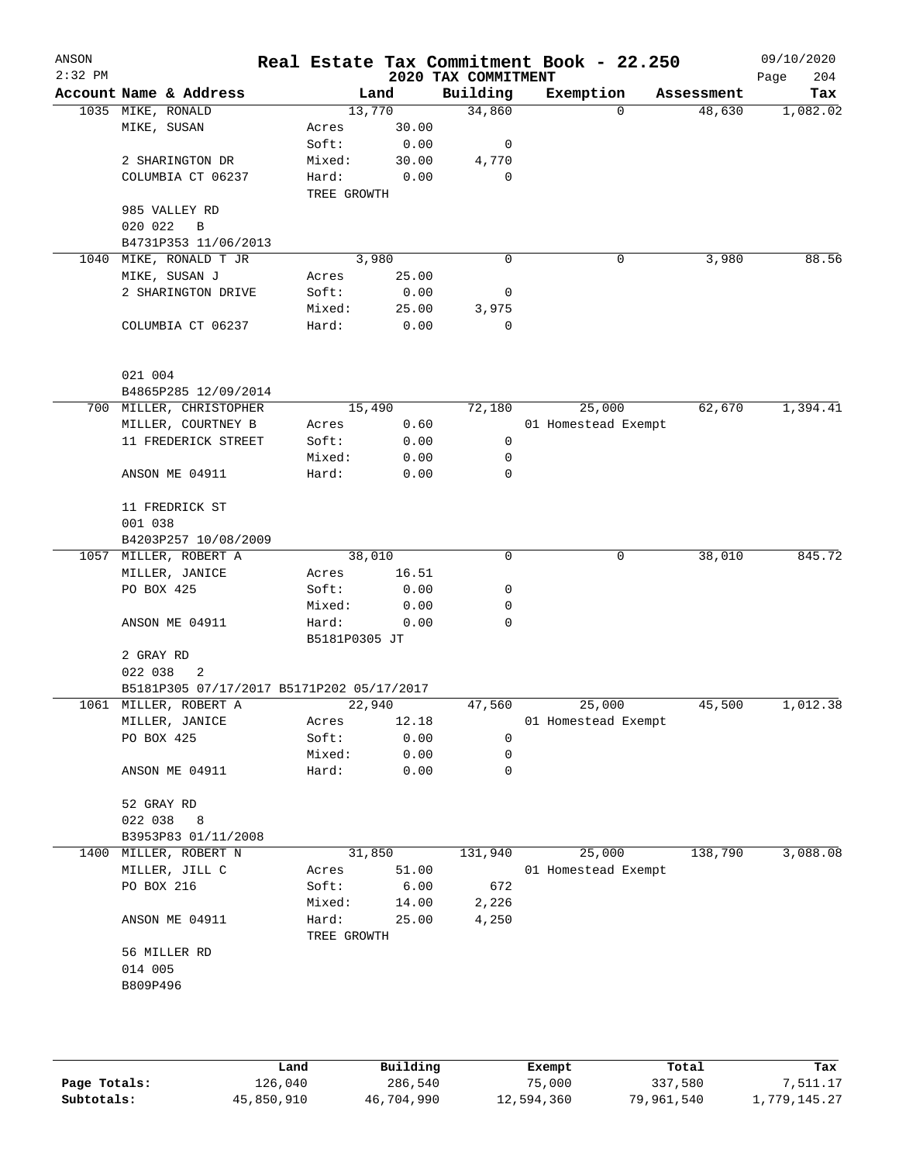| ANSON<br>$2:32$ PM |                                           |               |       | 2020 TAX COMMITMENT | Real Estate Tax Commitment Book - 22.250 |            | 09/10/2020<br>Page<br>204 |
|--------------------|-------------------------------------------|---------------|-------|---------------------|------------------------------------------|------------|---------------------------|
|                    | Account Name & Address                    |               | Land  | Building            | Exemption                                | Assessment | Tax                       |
|                    | 1035 MIKE, RONALD                         | 13,770        |       | 34,860              | $\Omega$                                 | 48,630     | 1,082.02                  |
|                    | MIKE, SUSAN                               | Acres         | 30.00 |                     |                                          |            |                           |
|                    |                                           | Soft:         | 0.00  | 0                   |                                          |            |                           |
|                    | 2 SHARINGTON DR                           | Mixed:        | 30.00 | 4,770               |                                          |            |                           |
|                    | COLUMBIA CT 06237                         | Hard:         | 0.00  | 0                   |                                          |            |                           |
|                    |                                           | TREE GROWTH   |       |                     |                                          |            |                           |
|                    | 985 VALLEY RD                             |               |       |                     |                                          |            |                           |
|                    | 020 022<br>B                              |               |       |                     |                                          |            |                           |
|                    | B4731P353 11/06/2013                      |               |       |                     |                                          |            |                           |
| 1040               | MIKE, RONALD T JR                         | 3,980         |       | 0                   | 0                                        | 3,980      | 88.56                     |
|                    | MIKE, SUSAN J                             | Acres         | 25.00 |                     |                                          |            |                           |
|                    | 2 SHARINGTON DRIVE                        | Soft:         | 0.00  | 0                   |                                          |            |                           |
|                    |                                           | Mixed:        | 25.00 | 3,975               |                                          |            |                           |
|                    | COLUMBIA CT 06237                         | Hard:         | 0.00  | $\mathbf 0$         |                                          |            |                           |
|                    | 021 004                                   |               |       |                     |                                          |            |                           |
|                    | B4865P285 12/09/2014                      |               |       |                     |                                          |            |                           |
|                    | 700 MILLER, CHRISTOPHER                   | 15,490        |       | 72,180              | 25,000                                   | 62,670     | 1,394.41                  |
|                    | MILLER, COURTNEY B                        | Acres         | 0.60  |                     | 01 Homestead Exempt                      |            |                           |
|                    | 11 FREDERICK STREET                       | Soft:         | 0.00  | 0                   |                                          |            |                           |
|                    |                                           | Mixed:        | 0.00  | 0                   |                                          |            |                           |
|                    | ANSON ME 04911                            | Hard:         | 0.00  | 0                   |                                          |            |                           |
|                    | 11 FREDRICK ST                            |               |       |                     |                                          |            |                           |
|                    | 001 038                                   |               |       |                     |                                          |            |                           |
|                    | B4203P257 10/08/2009                      |               |       |                     |                                          |            |                           |
|                    | 1057 MILLER, ROBERT A                     | 38,010        |       | 0                   | 0                                        | 38,010     | 845.72                    |
|                    | MILLER, JANICE                            | Acres         | 16.51 |                     |                                          |            |                           |
|                    | PO BOX 425                                | Soft:         | 0.00  | 0                   |                                          |            |                           |
|                    |                                           | Mixed:        | 0.00  | 0                   |                                          |            |                           |
|                    | ANSON ME 04911                            | Hard:         | 0.00  | 0                   |                                          |            |                           |
|                    |                                           | B5181P0305 JT |       |                     |                                          |            |                           |
|                    | 2 GRAY RD                                 |               |       |                     |                                          |            |                           |
|                    | 022 038<br>2                              |               |       |                     |                                          |            |                           |
|                    | B5181P305 07/17/2017 B5171P202 05/17/2017 |               |       |                     |                                          |            |                           |
|                    | 1061 MILLER, ROBERT A                     | 22,940        |       | 47,560              | 25,000                                   | 45,500     | 1,012.38                  |
|                    | MILLER, JANICE                            | Acres         | 12.18 |                     | 01 Homestead Exempt                      |            |                           |
|                    | PO BOX 425                                | Soft:         | 0.00  | 0                   |                                          |            |                           |
|                    |                                           | Mixed:        | 0.00  | 0                   |                                          |            |                           |
|                    | ANSON ME 04911                            | Hard:         | 0.00  | 0                   |                                          |            |                           |
|                    | 52 GRAY RD                                |               |       |                     |                                          |            |                           |
|                    | 022 038<br>8                              |               |       |                     |                                          |            |                           |
|                    | B3953P83 01/11/2008                       |               |       |                     |                                          |            |                           |
|                    | 1400 MILLER, ROBERT N                     | 31,850        |       | 131,940             | 25,000                                   | 138,790    | 3,088.08                  |
|                    | MILLER, JILL C                            | Acres         | 51.00 |                     | 01 Homestead Exempt                      |            |                           |
|                    | PO BOX 216                                | Soft:         | 6.00  | 672                 |                                          |            |                           |
|                    |                                           | Mixed:        | 14.00 | 2,226               |                                          |            |                           |
|                    | ANSON ME 04911                            | Hard:         | 25.00 | 4,250               |                                          |            |                           |
|                    |                                           | TREE GROWTH   |       |                     |                                          |            |                           |
|                    | 56 MILLER RD                              |               |       |                     |                                          |            |                           |
|                    | 014 005                                   |               |       |                     |                                          |            |                           |
|                    | B809P496                                  |               |       |                     |                                          |            |                           |
|                    |                                           |               |       |                     |                                          |            |                           |
|                    |                                           |               |       |                     |                                          |            |                           |
|                    |                                           |               |       |                     |                                          |            |                           |

|              | Land       | Building   | Exempt     | Total      | Tax          |
|--------------|------------|------------|------------|------------|--------------|
| Page Totals: | 126,040    | 286,540    | 75,000     | 337,580    | 7,511.17     |
| Subtotals:   | 45,850,910 | 46,704,990 | 12,594,360 | 79,961,540 | 1,779,145.27 |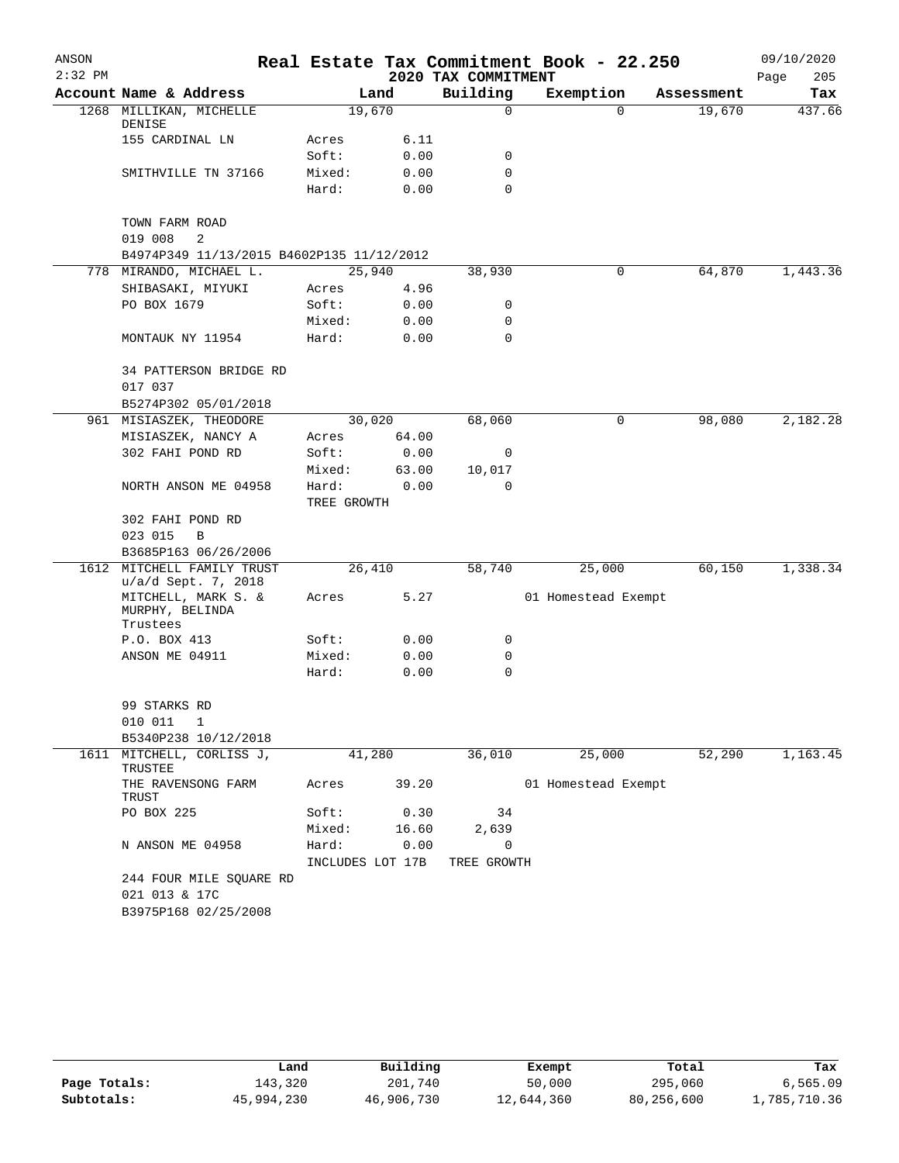| ANSON     |                                                    |                           |       |                            | Real Estate Tax Commitment Book - 22.250 |            | 09/10/2020  |
|-----------|----------------------------------------------------|---------------------------|-------|----------------------------|------------------------------------------|------------|-------------|
| $2:32$ PM |                                                    |                           |       | 2020 TAX COMMITMENT        |                                          |            | Page<br>205 |
|           | Account Name & Address                             |                           | Land  | Building                   | Exemption                                | Assessment | Tax         |
|           | 1268 MILLIKAN, MICHELLE<br>DENISE                  | 19,670                    |       | 0                          | $\Omega$                                 | 19,670     | 437.66      |
|           | 155 CARDINAL LN                                    | Acres                     | 6.11  |                            |                                          |            |             |
|           |                                                    | Soft:                     | 0.00  | 0                          |                                          |            |             |
|           | SMITHVILLE TN 37166                                | Mixed:                    | 0.00  | 0                          |                                          |            |             |
|           |                                                    | Hard:                     | 0.00  | $\Omega$                   |                                          |            |             |
|           | TOWN FARM ROAD                                     |                           |       |                            |                                          |            |             |
|           | 019 008<br>2                                       |                           |       |                            |                                          |            |             |
|           | B4974P349 11/13/2015 B4602P135 11/12/2012          |                           |       |                            |                                          |            |             |
|           | 778 MIRANDO, MICHAEL L.                            | 25,940                    |       | 38,930                     | 0                                        | 64,870     | 1,443.36    |
|           | SHIBASAKI, MIYUKI                                  | Acres                     | 4.96  |                            |                                          |            |             |
|           | PO BOX 1679                                        | Soft:                     | 0.00  | 0                          |                                          |            |             |
|           |                                                    | Mixed:                    | 0.00  | 0                          |                                          |            |             |
|           | MONTAUK NY 11954                                   | Hard:                     | 0.00  | 0                          |                                          |            |             |
|           | 34 PATTERSON BRIDGE RD<br>017 037                  |                           |       |                            |                                          |            |             |
|           | B5274P302 05/01/2018                               |                           |       |                            |                                          |            |             |
|           | 961 MISIASZEK, THEODORE                            | 30,020                    |       | 68,060                     | 0                                        | 98,080     | 2,182.28    |
|           | MISIASZEK, NANCY A                                 | Acres                     | 64.00 |                            |                                          |            |             |
|           | 302 FAHI POND RD                                   | Soft:                     | 0.00  | 0                          |                                          |            |             |
|           |                                                    | Mixed:                    | 63.00 | 10,017                     |                                          |            |             |
|           | NORTH ANSON ME 04958                               | Hard:                     | 0.00  | $\Omega$                   |                                          |            |             |
|           |                                                    | TREE GROWTH               |       |                            |                                          |            |             |
|           | 302 FAHI POND RD                                   |                           |       |                            |                                          |            |             |
|           | 023 015<br>B                                       |                           |       |                            |                                          |            |             |
|           | B3685P163 06/26/2006                               |                           |       |                            |                                          |            |             |
| 1612      | MITCHELL FAMILY TRUST<br>u/a/d Sept. 7, 2018       | 26,410                    |       | 58,740                     | 25,000                                   | 60,150     | 1,338.34    |
|           | MITCHELL, MARK S. &<br>MURPHY, BELINDA<br>Trustees | Acres                     | 5.27  |                            | 01 Homestead Exempt                      |            |             |
|           | P.O. BOX 413                                       | Soft:                     | 0.00  | 0                          |                                          |            |             |
|           | ANSON ME 04911                                     | Mixed:                    | 0.00  | 0                          |                                          |            |             |
|           |                                                    | Hard:                     | 0.00  | 0                          |                                          |            |             |
|           |                                                    |                           |       |                            |                                          |            |             |
|           | 99 STARKS RD                                       |                           |       |                            |                                          |            |             |
|           | 010 011<br>1                                       |                           |       |                            |                                          |            |             |
|           | B5340P238 10/12/2018                               |                           |       |                            |                                          |            |             |
|           | 1611 MITCHELL, CORLISS J,<br>TRUSTEE               | 41,280                    |       | 36,010                     | 25,000                                   | 52,290     | 1,163.45    |
|           | THE RAVENSONG FARM<br>TRUST                        | Acres                     | 39.20 |                            | 01 Homestead Exempt                      |            |             |
|           | PO BOX 225                                         | Soft:                     | 0.30  | 34                         |                                          |            |             |
|           |                                                    | Mixed:                    | 16.60 | 2,639                      |                                          |            |             |
|           | N ANSON ME 04958                                   | Hard:<br>INCLUDES LOT 17B | 0.00  | $\mathbf 0$<br>TREE GROWTH |                                          |            |             |
|           | 244 FOUR MILE SQUARE RD                            |                           |       |                            |                                          |            |             |
|           | 021 013 & 17C                                      |                           |       |                            |                                          |            |             |
|           | B3975P168 02/25/2008                               |                           |       |                            |                                          |            |             |
|           |                                                    |                           |       |                            |                                          |            |             |

|              | Land       | Building   | Exempt     | Total      | Tax          |
|--------------|------------|------------|------------|------------|--------------|
| Page Totals: | 143,320    | 201,740    | 50,000     | 295,060    | 6,565.09     |
| Subtotals:   | 45,994,230 | 46,906,730 | 12,644,360 | 80,256,600 | 1,785,710.36 |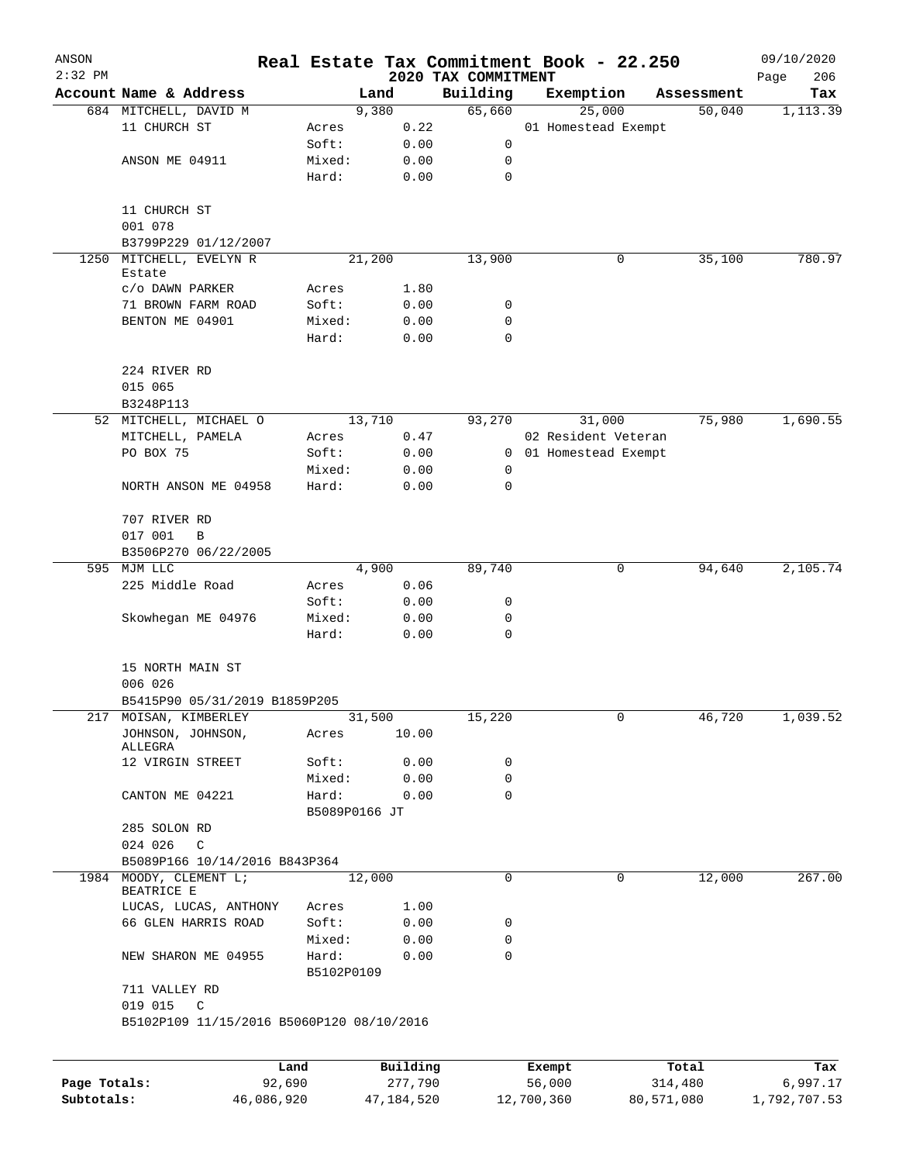| ANSON        |                                           |                 |               |              |                                 | Real Estate Tax Commitment Book - 22.250 |             |            | 09/10/2020         |
|--------------|-------------------------------------------|-----------------|---------------|--------------|---------------------------------|------------------------------------------|-------------|------------|--------------------|
| $2:32$ PM    | Account Name & Address                    |                 | Land          |              | 2020 TAX COMMITMENT<br>Building | Exemption                                |             | Assessment | 206<br>Page<br>Tax |
|              | 684 MITCHELL, DAVID M                     |                 | 9,380         |              | 65,660                          | 25,000                                   |             | 50,040     | 1,113.39           |
|              | 11 CHURCH ST                              | Acres           |               | 0.22         |                                 | 01 Homestead Exempt                      |             |            |                    |
|              |                                           | Soft:           |               | 0.00         | 0                               |                                          |             |            |                    |
|              | ANSON ME 04911                            | Mixed:          |               | 0.00         | 0                               |                                          |             |            |                    |
|              |                                           | Hard:           |               | 0.00         | 0                               |                                          |             |            |                    |
|              |                                           |                 |               |              |                                 |                                          |             |            |                    |
|              | 11 CHURCH ST                              |                 |               |              |                                 |                                          |             |            |                    |
|              | 001 078                                   |                 |               |              |                                 |                                          |             |            |                    |
|              | B3799P229 01/12/2007                      |                 |               |              |                                 |                                          |             |            |                    |
| 1250         | MITCHELL, EVELYN R                        |                 | 21,200        |              | 13,900                          |                                          | 0           | 35,100     | 780.97             |
|              | Estate                                    |                 |               |              |                                 |                                          |             |            |                    |
|              | C/O DAWN PARKER                           | Acres           |               | 1.80         |                                 |                                          |             |            |                    |
|              | 71 BROWN FARM ROAD                        | Soft:           |               | 0.00         | 0                               |                                          |             |            |                    |
|              | BENTON ME 04901                           | Mixed:          |               | 0.00         | 0                               |                                          |             |            |                    |
|              |                                           | Hard:           |               | 0.00         | 0                               |                                          |             |            |                    |
|              | 224 RIVER RD                              |                 |               |              |                                 |                                          |             |            |                    |
|              | 015 065                                   |                 |               |              |                                 |                                          |             |            |                    |
|              | B3248P113<br>MITCHELL, MICHAEL O          |                 | 13,710        |              | 93,270                          | 31,000                                   |             | 75,980     | 1,690.55           |
| 52           | MITCHELL, PAMELA                          |                 |               |              |                                 | 02 Resident Veteran                      |             |            |                    |
|              | PO BOX 75                                 | Acres<br>Soft:  |               | 0.47         | 0                               |                                          |             |            |                    |
|              |                                           |                 |               | 0.00         |                                 | 01 Homestead Exempt                      |             |            |                    |
|              | NORTH ANSON ME 04958                      | Mixed:<br>Hard: |               | 0.00<br>0.00 | 0<br>0                          |                                          |             |            |                    |
|              |                                           |                 |               |              |                                 |                                          |             |            |                    |
|              | 707 RIVER RD                              |                 |               |              |                                 |                                          |             |            |                    |
|              | 017 001<br>B                              |                 |               |              |                                 |                                          |             |            |                    |
|              | B3506P270 06/22/2005                      |                 |               |              |                                 |                                          |             |            |                    |
|              | 595 MJM LLC                               |                 | 4,900         |              | 89,740                          |                                          | 0           | 94,640     | 2,105.74           |
|              | 225 Middle Road                           | Acres           |               | 0.06         |                                 |                                          |             |            |                    |
|              |                                           | Soft:           |               | 0.00         | 0                               |                                          |             |            |                    |
|              | Skowhegan ME 04976                        | Mixed:<br>Hard: |               | 0.00<br>0.00 | 0<br>$\mathbf 0$                |                                          |             |            |                    |
|              |                                           |                 |               |              |                                 |                                          |             |            |                    |
|              | 15 NORTH MAIN ST                          |                 |               |              |                                 |                                          |             |            |                    |
|              | 006 026                                   |                 |               |              |                                 |                                          |             |            |                    |
|              | B5415P90 05/31/2019 B1859P205             |                 |               |              |                                 |                                          |             |            |                    |
|              | 217 MOISAN, KIMBERLEY                     |                 | 31,500        |              | 15,220                          |                                          | 0           | 46,720     | 1,039.52           |
|              | JOHNSON, JOHNSON,<br>ALLEGRA              | Acres           |               | 10.00        |                                 |                                          |             |            |                    |
|              | 12 VIRGIN STREET                          | Soft:           |               | 0.00         | 0                               |                                          |             |            |                    |
|              |                                           | Mixed:          |               | 0.00         | 0                               |                                          |             |            |                    |
|              | CANTON ME 04221                           | Hard:           |               | 0.00         | $\mathbf 0$                     |                                          |             |            |                    |
|              |                                           |                 | B5089P0166 JT |              |                                 |                                          |             |            |                    |
|              | 285 SOLON RD                              |                 |               |              |                                 |                                          |             |            |                    |
|              | 024 026 C                                 |                 |               |              |                                 |                                          |             |            |                    |
|              | B5089P166 10/14/2016 B843P364             |                 |               |              |                                 |                                          |             |            |                    |
|              | 1984 MOODY, CLEMENT L;<br>BEATRICE E      |                 | 12,000        |              | 0                               |                                          | $\mathbf 0$ | 12,000     | 267.00             |
|              | LUCAS, LUCAS, ANTHONY                     | Acres           |               | 1.00         |                                 |                                          |             |            |                    |
|              | 66 GLEN HARRIS ROAD                       | Soft:           |               | 0.00         | 0                               |                                          |             |            |                    |
|              |                                           | Mixed:          |               | 0.00         | 0                               |                                          |             |            |                    |
|              | NEW SHARON ME 04955                       | Hard:           |               | 0.00         | $\Omega$                        |                                          |             |            |                    |
|              | 711 VALLEY RD                             |                 | B5102P0109    |              |                                 |                                          |             |            |                    |
|              | 019 015 C                                 |                 |               |              |                                 |                                          |             |            |                    |
|              | B5102P109 11/15/2016 B5060P120 08/10/2016 |                 |               |              |                                 |                                          |             |            |                    |
|              |                                           |                 |               |              |                                 |                                          |             |            |                    |
|              |                                           | Land            |               | Building     |                                 | Exempt                                   |             | Total      | Tax                |
| Page Totals: |                                           | 92,690          |               | 277,790      |                                 | 56,000                                   |             | 314,480    | 6,997.17           |

**Subtotals:** 46,086,920 47,184,520 12,700,360 80,571,080 1,792,707.53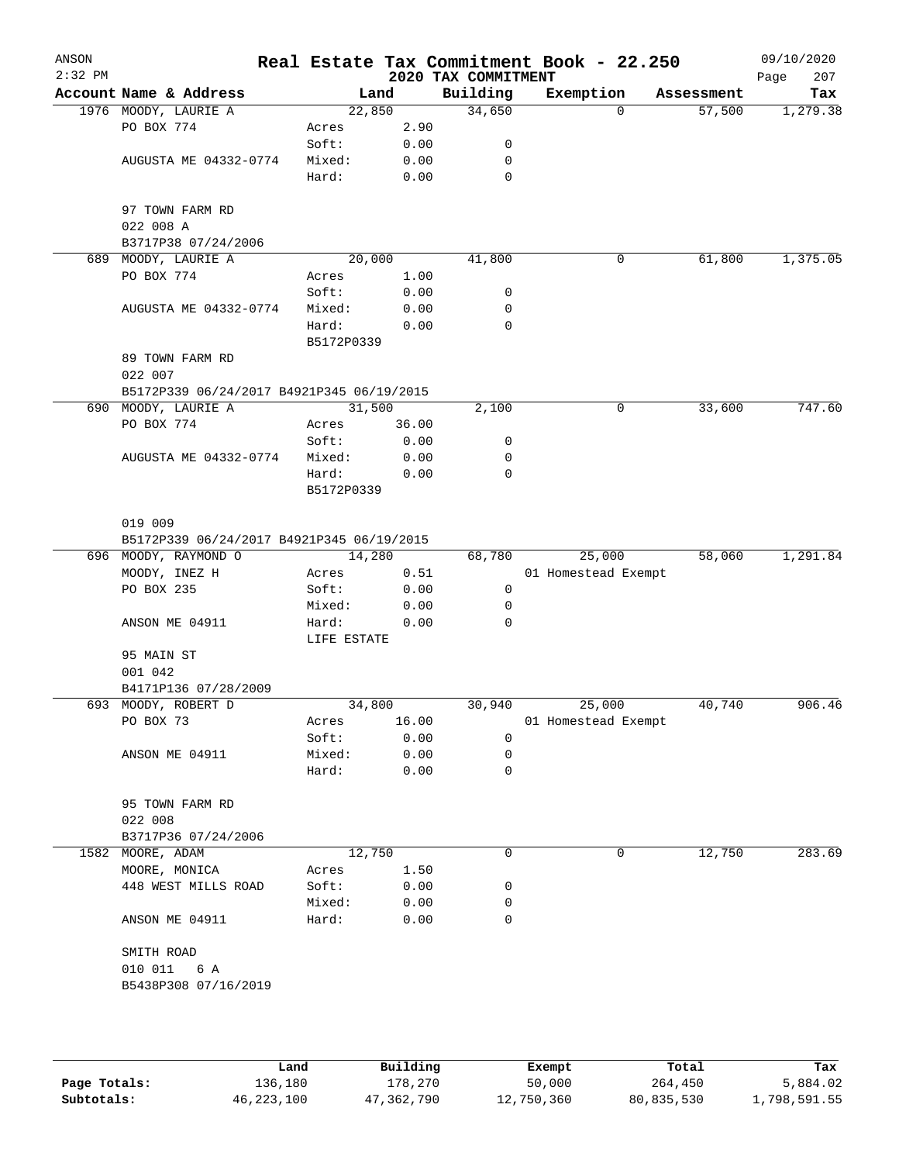| ANSON<br>$2:32$ PM |                                           |             |       | 2020 TAX COMMITMENT | Real Estate Tax Commitment Book - 22.250 |            | 09/10/2020<br>207<br>Page |
|--------------------|-------------------------------------------|-------------|-------|---------------------|------------------------------------------|------------|---------------------------|
|                    | Account Name & Address                    | Land        |       | Building            | Exemption                                | Assessment | Tax                       |
|                    | 1976 MOODY, LAURIE A                      | 22,850      |       | 34,650              | $\mathbf 0$                              | 57,500     | 1,279.38                  |
|                    | PO BOX 774                                | Acres       | 2.90  |                     |                                          |            |                           |
|                    |                                           | Soft:       | 0.00  | 0                   |                                          |            |                           |
|                    | AUGUSTA ME 04332-0774                     | Mixed:      | 0.00  | 0                   |                                          |            |                           |
|                    |                                           | Hard:       | 0.00  | 0                   |                                          |            |                           |
|                    | 97 TOWN FARM RD                           |             |       |                     |                                          |            |                           |
|                    | 022 008 A                                 |             |       |                     |                                          |            |                           |
|                    | B3717P38 07/24/2006                       |             |       |                     |                                          |            |                           |
|                    | 689 MOODY, LAURIE A                       | 20,000      |       | 41,800              | 0                                        | 61,800     | 1,375.05                  |
|                    | PO BOX 774                                | Acres       | 1.00  |                     |                                          |            |                           |
|                    |                                           | Soft:       | 0.00  | 0                   |                                          |            |                           |
|                    | AUGUSTA ME 04332-0774                     | Mixed:      | 0.00  | 0                   |                                          |            |                           |
|                    |                                           | Hard:       | 0.00  | $\mathbf 0$         |                                          |            |                           |
|                    |                                           | B5172P0339  |       |                     |                                          |            |                           |
|                    | 89 TOWN FARM RD                           |             |       |                     |                                          |            |                           |
|                    | 022 007                                   |             |       |                     |                                          |            |                           |
|                    | B5172P339 06/24/2017 B4921P345 06/19/2015 |             |       |                     |                                          |            |                           |
|                    | 690 MOODY, LAURIE A                       | 31,500      |       | 2,100               | 0                                        | 33,600     | 747.60                    |
|                    | PO BOX 774                                | Acres       | 36.00 |                     |                                          |            |                           |
|                    |                                           | Soft:       | 0.00  | 0                   |                                          |            |                           |
|                    | AUGUSTA ME 04332-0774                     | Mixed:      | 0.00  | 0                   |                                          |            |                           |
|                    |                                           | Hard:       | 0.00  | $\mathbf 0$         |                                          |            |                           |
|                    |                                           | B5172P0339  |       |                     |                                          |            |                           |
|                    |                                           |             |       |                     |                                          |            |                           |
|                    | 019 009                                   |             |       |                     |                                          |            |                           |
|                    | B5172P339 06/24/2017 B4921P345 06/19/2015 |             |       |                     |                                          |            |                           |
|                    | 696 MOODY, RAYMOND O                      | 14,280      |       | 68,780              | 25,000                                   | 58,060     | 1,291.84                  |
|                    | MOODY, INEZ H                             | Acres       | 0.51  |                     | 01 Homestead Exempt                      |            |                           |
|                    | PO BOX 235                                | Soft:       | 0.00  | 0                   |                                          |            |                           |
|                    |                                           | Mixed:      | 0.00  | 0                   |                                          |            |                           |
|                    | ANSON ME 04911                            | Hard:       | 0.00  | 0                   |                                          |            |                           |
|                    |                                           | LIFE ESTATE |       |                     |                                          |            |                           |
|                    | 95 MAIN ST                                |             |       |                     |                                          |            |                           |
|                    | 001 042                                   |             |       |                     |                                          |            |                           |
|                    | B4171P136 07/28/2009                      |             |       |                     |                                          |            |                           |
|                    | 693 MOODY, ROBERT D                       | 34,800      |       | 30,940              | 25,000                                   | 40,740     | 906.46                    |
|                    | PO BOX 73                                 | Acres       | 16.00 |                     | 01 Homestead Exempt                      |            |                           |
|                    |                                           | Soft:       | 0.00  | 0                   |                                          |            |                           |
|                    | ANSON ME 04911                            | Mixed:      | 0.00  | 0                   |                                          |            |                           |
|                    |                                           | Hard:       | 0.00  | 0                   |                                          |            |                           |
|                    | 95 TOWN FARM RD                           |             |       |                     |                                          |            |                           |
|                    | 022 008                                   |             |       |                     |                                          |            |                           |
|                    | B3717P36 07/24/2006                       |             |       |                     |                                          |            |                           |
|                    | 1582 MOORE, ADAM                          | 12,750      |       | 0                   | 0                                        | 12,750     | 283.69                    |
|                    | MOORE, MONICA                             | Acres       | 1.50  |                     |                                          |            |                           |
|                    | 448 WEST MILLS ROAD                       | Soft:       | 0.00  | 0                   |                                          |            |                           |
|                    |                                           | Mixed:      | 0.00  | 0                   |                                          |            |                           |
|                    | ANSON ME 04911                            | Hard:       | 0.00  | 0                   |                                          |            |                           |
|                    |                                           |             |       |                     |                                          |            |                           |
|                    | SMITH ROAD                                |             |       |                     |                                          |            |                           |
|                    | 010 011<br>6 A                            |             |       |                     |                                          |            |                           |
|                    | B5438P308 07/16/2019                      |             |       |                     |                                          |            |                           |
|                    |                                           |             |       |                     |                                          |            |                           |
|                    |                                           |             |       |                     |                                          |            |                           |
|                    |                                           |             |       |                     |                                          |            |                           |

|              | Land         | Building   | Exempt     | Total      | Tax          |
|--------------|--------------|------------|------------|------------|--------------|
| Page Totals: | 136,180      | 178,270    | 50,000     | 264,450    | 5,884.02     |
| Subtotals:   | 46, 223, 100 | 47,362,790 | 12,750,360 | 80,835,530 | l,798,591.55 |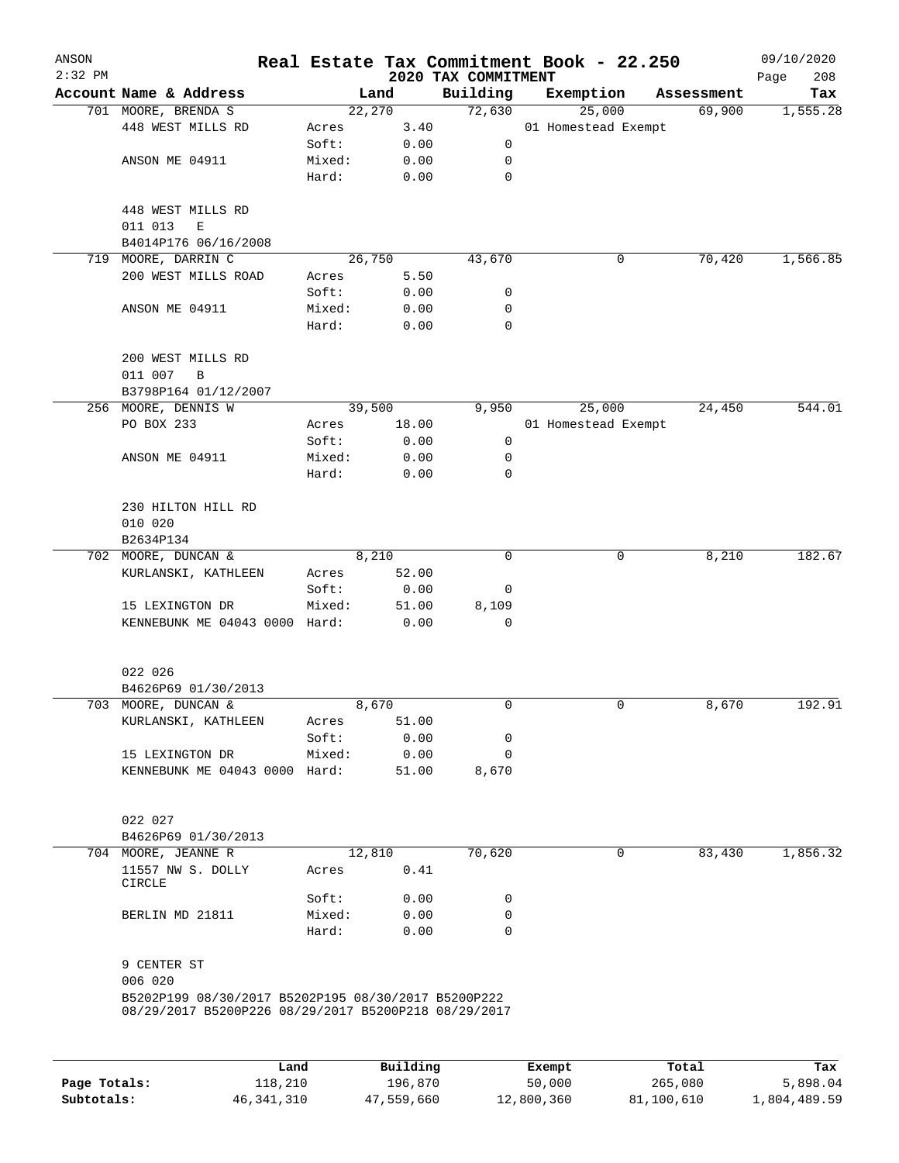| ANSON     |                                                      |        |        |                                 | Real Estate Tax Commitment Book - 22.250 |            | 09/10/2020         |
|-----------|------------------------------------------------------|--------|--------|---------------------------------|------------------------------------------|------------|--------------------|
| $2:32$ PM | Account Name & Address                               |        | Land   | 2020 TAX COMMITMENT<br>Building | Exemption                                | Assessment | 208<br>Page<br>Tax |
|           | 701 MOORE, BRENDA S                                  |        | 22,270 | 72,630                          | 25,000                                   | 69,900     | 1,555.28           |
|           | 448 WEST MILLS RD                                    | Acres  | 3.40   |                                 | 01 Homestead Exempt                      |            |                    |
|           |                                                      | Soft:  | 0.00   | 0                               |                                          |            |                    |
|           | ANSON ME 04911                                       | Mixed: | 0.00   | 0                               |                                          |            |                    |
|           |                                                      | Hard:  | 0.00   | 0                               |                                          |            |                    |
|           | 448 WEST MILLS RD<br>011 013<br>Ε                    |        |        |                                 |                                          |            |                    |
|           | B4014P176 06/16/2008                                 |        |        |                                 |                                          |            |                    |
| 719       | MOORE, DARRIN C                                      |        | 26,750 | 43,670                          | 0                                        | 70,420     | 1,566.85           |
|           | 200 WEST MILLS ROAD                                  | Acres  | 5.50   |                                 |                                          |            |                    |
|           |                                                      | Soft:  | 0.00   | 0                               |                                          |            |                    |
|           | ANSON ME 04911                                       | Mixed: | 0.00   | 0                               |                                          |            |                    |
|           |                                                      | Hard:  | 0.00   | 0                               |                                          |            |                    |
|           | 200 WEST MILLS RD<br>011 007<br>B                    |        |        |                                 |                                          |            |                    |
|           | B3798P164 01/12/2007                                 |        |        |                                 |                                          |            |                    |
|           | 256 MOORE, DENNIS W                                  |        | 39,500 | 9,950                           | 25,000                                   | 24,450     | 544.01             |
|           | PO BOX 233                                           | Acres  | 18.00  |                                 | 01 Homestead Exempt                      |            |                    |
|           |                                                      | Soft:  | 0.00   | $\mathbf 0$                     |                                          |            |                    |
|           | ANSON ME 04911                                       | Mixed: | 0.00   | 0                               |                                          |            |                    |
|           |                                                      | Hard:  | 0.00   | 0                               |                                          |            |                    |
|           | 230 HILTON HILL RD                                   |        |        |                                 |                                          |            |                    |
|           | 010 020<br>B2634P134                                 |        |        |                                 |                                          |            |                    |
|           | 702 MOORE, DUNCAN &                                  |        | 8,210  | $\mathbf 0$                     | 0                                        | 8,210      | 182.67             |
|           | KURLANSKI, KATHLEEN                                  | Acres  | 52.00  |                                 |                                          |            |                    |
|           |                                                      | Soft:  | 0.00   | 0                               |                                          |            |                    |
|           | 15 LEXINGTON DR                                      | Mixed: | 51.00  | 8,109                           |                                          |            |                    |
|           | KENNEBUNK ME 04043 0000 Hard:                        |        | 0.00   | $\Omega$                        |                                          |            |                    |
|           |                                                      |        |        |                                 |                                          |            |                    |
|           | 022 026                                              |        |        |                                 |                                          |            |                    |
|           | B4626P69 01/30/2013                                  |        |        |                                 |                                          |            |                    |
|           | 703 MOORE, DUNCAN &                                  |        | 8,670  | 0                               | 0                                        | 8,670      | 192.91             |
|           | KURLANSKI, KATHLEEN                                  | Acres  | 51.00  |                                 |                                          |            |                    |
|           |                                                      | Soft:  | 0.00   | 0                               |                                          |            |                    |
|           | 15 LEXINGTON DR                                      | Mixed: | 0.00   | 0                               |                                          |            |                    |
|           | KENNEBUNK ME 04043 0000 Hard:                        |        | 51.00  | 8,670                           |                                          |            |                    |
|           | 022 027                                              |        |        |                                 |                                          |            |                    |
|           | B4626P69 01/30/2013                                  |        |        |                                 |                                          |            |                    |
|           | 704 MOORE, JEANNE R                                  |        | 12,810 | 70,620                          | 0                                        | 83,430     | 1,856.32           |
|           | 11557 NW S. DOLLY<br><b>CIRCLE</b>                   | Acres  | 0.41   |                                 |                                          |            |                    |
|           |                                                      | Soft:  | 0.00   | 0                               |                                          |            |                    |
|           | BERLIN MD 21811                                      | Mixed: | 0.00   | 0                               |                                          |            |                    |
|           |                                                      | Hard:  | 0.00   | 0                               |                                          |            |                    |
|           | 9 CENTER ST                                          |        |        |                                 |                                          |            |                    |
|           | 006 020                                              |        |        |                                 |                                          |            |                    |
|           | B5202P199 08/30/2017 B5202P195 08/30/2017 B5200P222  |        |        |                                 |                                          |            |                    |
|           | 08/29/2017 B5200P226 08/29/2017 B5200P218 08/29/2017 |        |        |                                 |                                          |            |                    |
|           |                                                      |        |        |                                 |                                          |            |                    |
|           |                                                      |        |        |                                 |                                          |            |                    |
|           |                                                      |        |        |                                 |                                          |            |                    |

|              | Land       | Building   | Exempt     | Total      | Tax          |
|--------------|------------|------------|------------|------------|--------------|
| Page Totals: | 118,210    | 196,870    | 50,000     | 265,080    | 5,898.04     |
| Subtotals:   | 46,341,310 | 47,559,660 | 12,800,360 | 81,100,610 | 1,804,489.59 |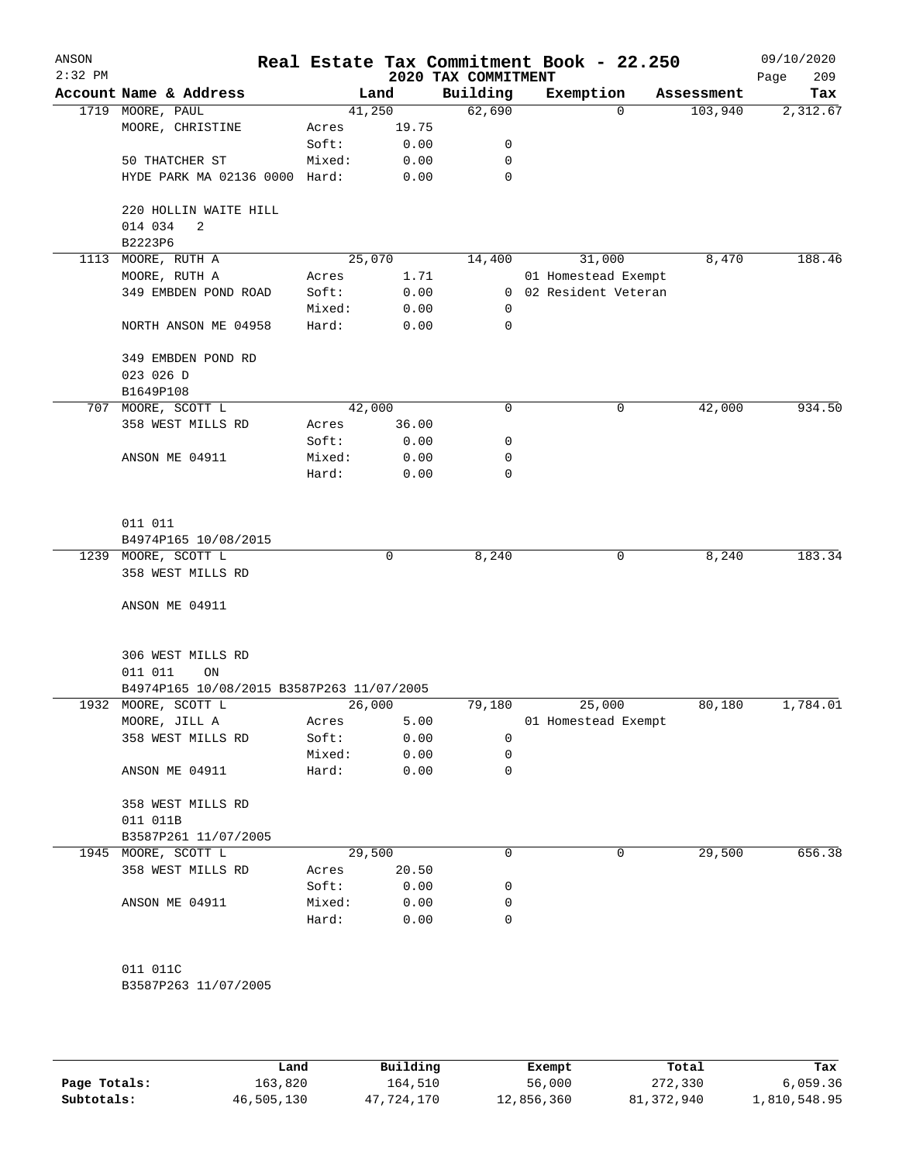| ANSON<br>$2:32$ PM |                                           |        |       | 2020 TAX COMMITMENT | Real Estate Tax Commitment Book - 22.250 |          |            | 09/10/2020<br>Page<br>209 |
|--------------------|-------------------------------------------|--------|-------|---------------------|------------------------------------------|----------|------------|---------------------------|
|                    | Account Name & Address                    |        | Land  | Building            | Exemption                                |          | Assessment | Tax                       |
|                    | 1719 MOORE, PAUL                          | 41,250 |       | 62,690              |                                          | $\Omega$ | 103,940    | 2,312.67                  |
|                    | MOORE, CHRISTINE                          | Acres  | 19.75 |                     |                                          |          |            |                           |
|                    |                                           | Soft:  | 0.00  | 0                   |                                          |          |            |                           |
|                    | 50 THATCHER ST                            | Mixed: | 0.00  | 0                   |                                          |          |            |                           |
|                    | HYDE PARK MA 02136 0000 Hard:             |        | 0.00  | 0                   |                                          |          |            |                           |
|                    | 220 HOLLIN WAITE HILL                     |        |       |                     |                                          |          |            |                           |
|                    | 014 034<br>2                              |        |       |                     |                                          |          |            |                           |
|                    | B2223P6                                   |        |       |                     |                                          |          |            |                           |
| 1113               | MOORE, RUTH A                             | 25,070 |       | 14,400              | 31,000                                   |          | 8,470      | 188.46                    |
|                    | MOORE, RUTH A                             | Acres  | 1.71  |                     | 01 Homestead Exempt                      |          |            |                           |
|                    | 349 EMBDEN POND ROAD                      | Soft:  | 0.00  |                     | 0 02 Resident Veteran                    |          |            |                           |
|                    |                                           | Mixed: | 0.00  | 0                   |                                          |          |            |                           |
|                    | NORTH ANSON ME 04958                      | Hard:  | 0.00  | 0                   |                                          |          |            |                           |
|                    | 349 EMBDEN POND RD                        |        |       |                     |                                          |          |            |                           |
|                    | 023 026 D                                 |        |       |                     |                                          |          |            |                           |
|                    | B1649P108                                 |        |       |                     |                                          |          |            |                           |
| 707                | MOORE, SCOTT L                            | 42,000 |       | 0                   |                                          | 0        | 42,000     | 934.50                    |
|                    | 358 WEST MILLS RD                         | Acres  | 36.00 |                     |                                          |          |            |                           |
|                    |                                           | Soft:  | 0.00  | 0                   |                                          |          |            |                           |
|                    | ANSON ME 04911                            | Mixed: | 0.00  | 0                   |                                          |          |            |                           |
|                    |                                           | Hard:  | 0.00  | 0                   |                                          |          |            |                           |
|                    |                                           |        |       |                     |                                          |          |            |                           |
|                    | 011 011                                   |        |       |                     |                                          |          |            |                           |
|                    | B4974P165 10/08/2015                      |        |       |                     |                                          |          |            |                           |
|                    | 1239 MOORE, SCOTT L                       |        | 0     | 8,240               |                                          | 0        | 8,240      | 183.34                    |
|                    | 358 WEST MILLS RD                         |        |       |                     |                                          |          |            |                           |
|                    |                                           |        |       |                     |                                          |          |            |                           |
|                    | ANSON ME 04911                            |        |       |                     |                                          |          |            |                           |
|                    | 306 WEST MILLS RD                         |        |       |                     |                                          |          |            |                           |
|                    | 011 011<br>ON                             |        |       |                     |                                          |          |            |                           |
|                    | B4974P165 10/08/2015 B3587P263 11/07/2005 |        |       |                     |                                          |          |            |                           |
| 1932               | MOORE, SCOTT L                            | 26,000 |       | 79,180              | 25,000                                   |          | 80,180     | 1,784.01                  |
|                    | MOORE, JILL A                             | Acres  | 5.00  |                     | 01 Homestead Exempt                      |          |            |                           |
|                    | 358 WEST MILLS RD                         | Soft:  | 0.00  | 0                   |                                          |          |            |                           |
|                    |                                           | Mixed: | 0.00  | 0                   |                                          |          |            |                           |
|                    | ANSON ME 04911                            | Hard:  | 0.00  | 0                   |                                          |          |            |                           |
|                    | 358 WEST MILLS RD                         |        |       |                     |                                          |          |            |                           |
|                    | 011 011B                                  |        |       |                     |                                          |          |            |                           |
|                    | B3587P261 11/07/2005                      |        |       |                     |                                          |          |            |                           |
|                    | 1945 MOORE, SCOTT L                       | 29,500 |       | 0                   |                                          | 0        | 29,500     | 656.38                    |
|                    | 358 WEST MILLS RD                         | Acres  | 20.50 |                     |                                          |          |            |                           |
|                    |                                           | Soft:  | 0.00  | 0                   |                                          |          |            |                           |
|                    | ANSON ME 04911                            | Mixed: | 0.00  | 0                   |                                          |          |            |                           |
|                    |                                           | Hard:  | 0.00  | 0                   |                                          |          |            |                           |
|                    |                                           |        |       |                     |                                          |          |            |                           |
|                    | 011 011C                                  |        |       |                     |                                          |          |            |                           |
|                    | B3587P263 11/07/2005                      |        |       |                     |                                          |          |            |                           |
|                    |                                           |        |       |                     |                                          |          |            |                           |
|                    |                                           |        |       |                     |                                          |          |            |                           |

|              | Land       | Building   | Exempt     | Total      | Tax          |
|--------------|------------|------------|------------|------------|--------------|
| Page Totals: | 163,820    | 164,510    | 56,000     | 272,330    | 6,059.36     |
| Subtotals:   | 46,505,130 | 47,724,170 | 12,856,360 | 81,372,940 | 1,810,548.95 |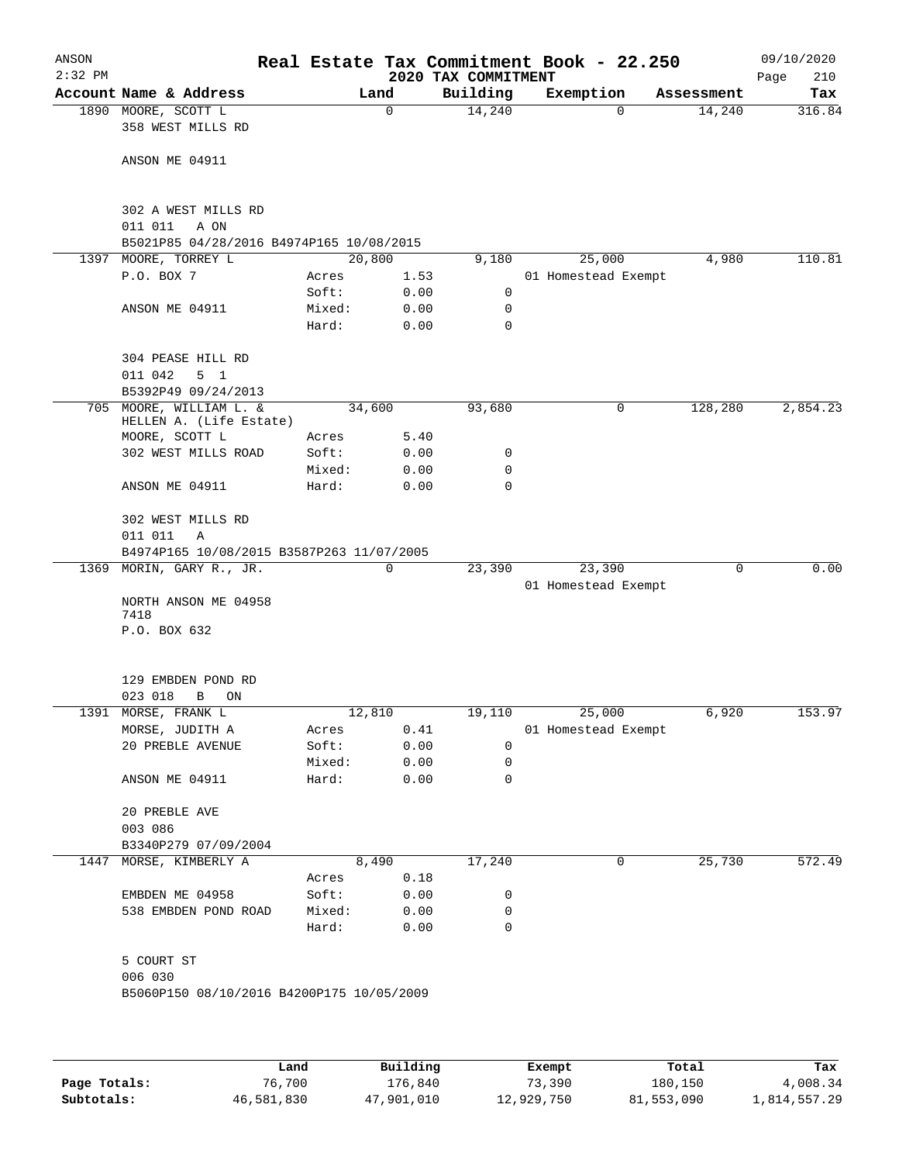| ANSON<br>$2:32$ PM |                                                |                 |              | 2020 TAX COMMITMENT | Real Estate Tax Commitment Book - 22.250 |            | 09/10/2020<br>210<br>Page |
|--------------------|------------------------------------------------|-----------------|--------------|---------------------|------------------------------------------|------------|---------------------------|
|                    | Account Name & Address                         |                 | Land         | Building            | Exemption                                | Assessment | Tax                       |
|                    | 1890 MOORE, SCOTT L<br>358 WEST MILLS RD       |                 | $\mathbf 0$  | 14,240              | $\Omega$                                 | 14,240     | 316.84                    |
|                    | ANSON ME 04911                                 |                 |              |                     |                                          |            |                           |
|                    | 302 A WEST MILLS RD<br>011 011<br>A ON         |                 |              |                     |                                          |            |                           |
|                    | B5021P85 04/28/2016 B4974P165 10/08/2015       |                 |              |                     |                                          |            |                           |
| 1397               | MOORE, TORREY L                                |                 | 20,800       | 9,180               | 25,000                                   | 4,980      | 110.81                    |
|                    | P.O. BOX 7                                     | Acres           | 1.53         |                     | 01 Homestead Exempt                      |            |                           |
|                    |                                                | Soft:           | 0.00         | 0                   |                                          |            |                           |
|                    | ANSON ME 04911                                 | Mixed:          | 0.00         | 0                   |                                          |            |                           |
|                    |                                                | Hard:           | 0.00         | 0                   |                                          |            |                           |
|                    | 304 PEASE HILL RD<br>011 042<br>5 <sub>1</sub> |                 |              |                     |                                          |            |                           |
|                    | B5392P49 09/24/2013                            |                 |              |                     |                                          |            |                           |
| 705                | MOORE, WILLIAM L. &<br>HELLEN A. (Life Estate) |                 | 34,600       | 93,680              | 0                                        | 128,280    | 2,854.23                  |
|                    | MOORE, SCOTT L                                 | Acres           | 5.40         |                     |                                          |            |                           |
|                    | 302 WEST MILLS ROAD                            | Soft:           | 0.00         | 0                   |                                          |            |                           |
|                    | ANSON ME 04911                                 | Mixed:<br>Hard: | 0.00<br>0.00 | 0<br>0              |                                          |            |                           |
|                    |                                                |                 |              |                     |                                          |            |                           |
|                    | 302 WEST MILLS RD<br>011 011<br>Α              |                 |              |                     |                                          |            |                           |
|                    | B4974P165 10/08/2015 B3587P263 11/07/2005      |                 |              |                     |                                          |            |                           |
| 1369               | MORIN, GARY R., JR.                            |                 | 0            | 23,390              | 23,390                                   | 0          | 0.00                      |
|                    | NORTH ANSON ME 04958<br>7418                   |                 |              |                     | 01 Homestead Exempt                      |            |                           |
|                    | P.O. BOX 632                                   |                 |              |                     |                                          |            |                           |
|                    | 129 EMBDEN POND RD                             |                 |              |                     |                                          |            |                           |
|                    | 023 018<br>B<br>ON                             |                 |              |                     |                                          |            |                           |
|                    | 1391 MORSE, FRANK L                            |                 | 12,810       |                     | 19,110 25,000                            | 6,920      | 153.97                    |
|                    | MORSE, JUDITH A                                | Acres           | 0.41         |                     | 01 Homestead Exempt                      |            |                           |
|                    | 20 PREBLE AVENUE                               | Soft:           | 0.00         | 0                   |                                          |            |                           |
|                    |                                                | Mixed:          | 0.00         | 0                   |                                          |            |                           |
|                    | ANSON ME 04911                                 | Hard:           | 0.00         | 0                   |                                          |            |                           |
|                    | 20 PREBLE AVE<br>003 086                       |                 |              |                     |                                          |            |                           |
|                    | B3340P279 07/09/2004                           |                 |              |                     |                                          |            |                           |
|                    | 1447 MORSE, KIMBERLY A                         |                 | 8,490        | 17,240              | 0                                        | 25,730     | 572.49                    |
|                    |                                                | Acres           | 0.18         |                     |                                          |            |                           |
|                    | EMBDEN ME 04958                                | Soft:           | 0.00         | 0                   |                                          |            |                           |
|                    | 538 EMBDEN POND ROAD                           | Mixed:          | 0.00         | 0                   |                                          |            |                           |
|                    |                                                | Hard:           | 0.00         | 0                   |                                          |            |                           |
|                    | 5 COURT ST                                     |                 |              |                     |                                          |            |                           |
|                    | 006 030                                        |                 |              |                     |                                          |            |                           |
|                    | B5060P150 08/10/2016 B4200P175 10/05/2009      |                 |              |                     |                                          |            |                           |
|                    |                                                |                 |              |                     |                                          |            |                           |
|                    |                                                |                 |              |                     |                                          |            |                           |
|                    |                                                | Land J          | Building     |                     | <b>Ryomnt</b>                            | Total      | Tay                       |

|              | Land       | Building   | Exempt     | Total      | Tax          |
|--------------|------------|------------|------------|------------|--------------|
| Page Totals: | 76,700     | 176.840    | 73,390     | 180,150    | 4,008.34     |
| Subtotals:   | 46,581,830 | 47,901,010 | 12,929,750 | 81,553,090 | 1,814,557.29 |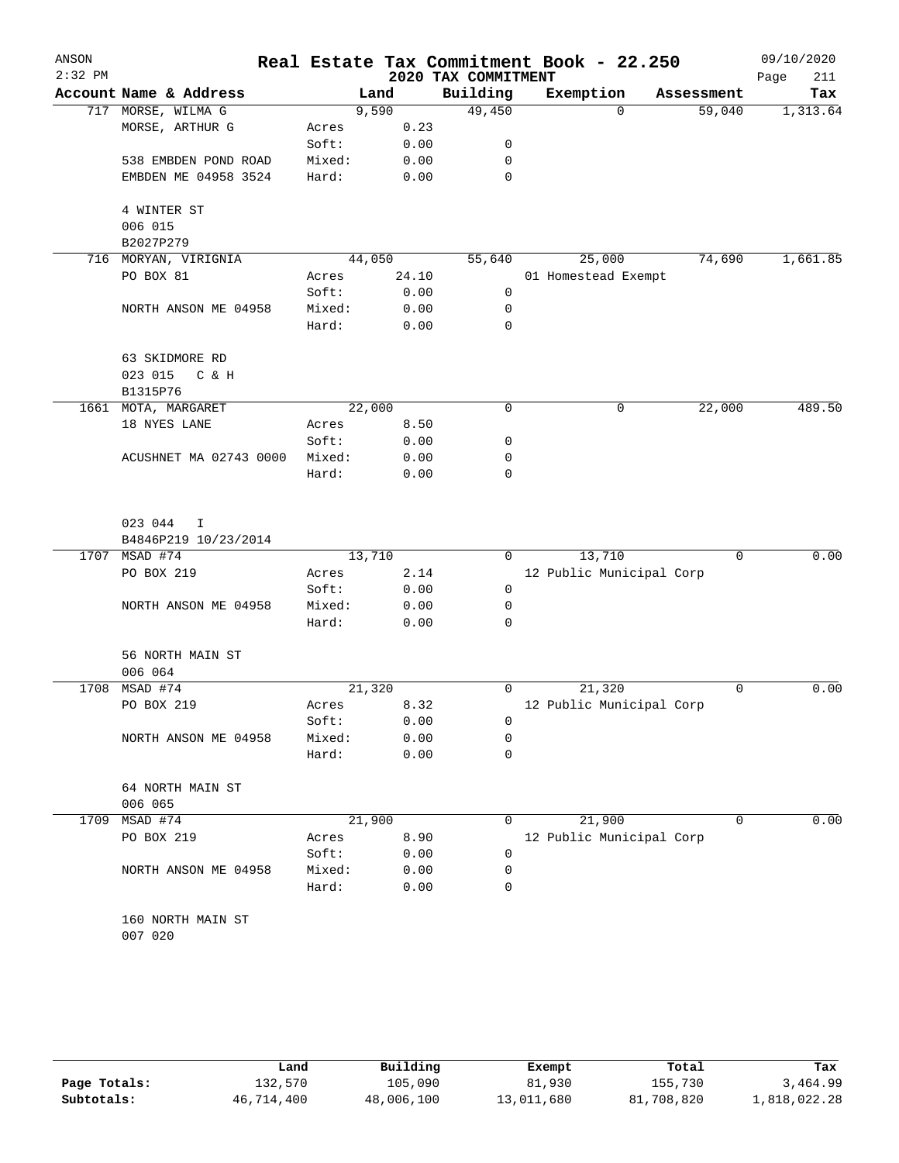| ANSON<br>$2:32$ PM |                        |        |        | 2020 TAX COMMITMENT | Real Estate Tax Commitment Book - 22.250 |            | 09/10/2020<br>211<br>Page |
|--------------------|------------------------|--------|--------|---------------------|------------------------------------------|------------|---------------------------|
|                    | Account Name & Address |        | Land   | Building            | Exemption                                | Assessment | Tax                       |
|                    | 717 MORSE, WILMA G     |        | 9,590  | 49,450              | $\Omega$                                 | 59,040     | 1,313.64                  |
|                    | MORSE, ARTHUR G        | Acres  | 0.23   |                     |                                          |            |                           |
|                    |                        | Soft:  | 0.00   | 0                   |                                          |            |                           |
|                    | 538 EMBDEN POND ROAD   | Mixed: | 0.00   | 0                   |                                          |            |                           |
|                    | EMBDEN ME 04958 3524   | Hard:  | 0.00   | $\mathbf 0$         |                                          |            |                           |
|                    |                        |        |        |                     |                                          |            |                           |
|                    | 4 WINTER ST            |        |        |                     |                                          |            |                           |
|                    | 006 015                |        |        |                     |                                          |            |                           |
|                    | B2027P279              |        |        |                     |                                          |            |                           |
| 716                | MORYAN, VIRIGNIA       |        | 44,050 | 55,640              | 25,000                                   | 74,690     | 1,661.85                  |
|                    | PO BOX 81              | Acres  | 24.10  |                     | 01 Homestead Exempt                      |            |                           |
|                    |                        | Soft:  | 0.00   | 0                   |                                          |            |                           |
|                    | NORTH ANSON ME 04958   | Mixed: | 0.00   | 0                   |                                          |            |                           |
|                    |                        | Hard:  | 0.00   | $\mathbf 0$         |                                          |            |                           |
|                    |                        |        |        |                     |                                          |            |                           |
|                    | 63 SKIDMORE RD         |        |        |                     |                                          |            |                           |
|                    | 023 015<br>C & H       |        |        |                     |                                          |            |                           |
|                    | B1315P76               |        |        |                     |                                          |            |                           |
|                    | 1661 MOTA, MARGARET    |        | 22,000 | 0                   | 0                                        | 22,000     | 489.50                    |
|                    | 18 NYES LANE           | Acres  | 8.50   |                     |                                          |            |                           |
|                    |                        | Soft:  | 0.00   | 0                   |                                          |            |                           |
|                    | ACUSHNET MA 02743 0000 | Mixed: | 0.00   | 0                   |                                          |            |                           |
|                    |                        | Hard:  | 0.00   | 0                   |                                          |            |                           |
|                    |                        |        |        |                     |                                          |            |                           |
|                    |                        |        |        |                     |                                          |            |                           |
|                    | 023 044<br>I.          |        |        |                     |                                          |            |                           |
|                    | B4846P219 10/23/2014   |        |        |                     |                                          |            |                           |
|                    | 1707 MSAD #74          |        | 13,710 | 0                   | 13,710                                   | 0          | 0.00                      |
|                    | PO BOX 219             | Acres  | 2.14   |                     | 12 Public Municipal Corp                 |            |                           |
|                    |                        | Soft:  | 0.00   | 0                   |                                          |            |                           |
|                    | NORTH ANSON ME 04958   | Mixed: | 0.00   | 0                   |                                          |            |                           |
|                    |                        | Hard:  | 0.00   | 0                   |                                          |            |                           |
|                    | 56 NORTH MAIN ST       |        |        |                     |                                          |            |                           |
|                    | 006 064                |        |        |                     |                                          |            |                           |
| 1708               | MSAD #74               |        | 21,320 | 0                   | 21,320                                   | 0          | 0.00                      |
|                    | PO BOX 219             | Acres  | 8.32   |                     | 12 Public Municipal Corp                 |            |                           |
|                    |                        | Soft:  | 0.00   | 0                   |                                          |            |                           |
|                    | NORTH ANSON ME 04958   | Mixed: | 0.00   | 0                   |                                          |            |                           |
|                    |                        | Hard:  | 0.00   | 0                   |                                          |            |                           |
|                    |                        |        |        |                     |                                          |            |                           |
|                    | 64 NORTH MAIN ST       |        |        |                     |                                          |            |                           |
|                    | 006 065                |        |        |                     |                                          |            |                           |
| 1709               | MSAD #74               |        | 21,900 | 0                   | 21,900                                   | 0          | 0.00                      |
|                    | PO BOX 219             | Acres  | 8.90   |                     | 12 Public Municipal Corp                 |            |                           |
|                    |                        | Soft:  | 0.00   | 0                   |                                          |            |                           |
|                    | NORTH ANSON ME 04958   | Mixed: | 0.00   | 0                   |                                          |            |                           |
|                    |                        | Hard:  | 0.00   | 0                   |                                          |            |                           |
|                    |                        |        |        |                     |                                          |            |                           |
|                    | 160 NORTH MAIN ST      |        |        |                     |                                          |            |                           |
|                    | 007 020                |        |        |                     |                                          |            |                           |
|                    |                        |        |        |                     |                                          |            |                           |
|                    |                        |        |        |                     |                                          |            |                           |

|              | Land       | Building   | Exempt     | Total      | Tax          |
|--------------|------------|------------|------------|------------|--------------|
| Page Totals: | 132,570    | 105,090    | 81,930     | 155,730    | 3,464.99     |
| Subtotals:   | 46,714,400 | 48,006,100 | 13,011,680 | 81,708,820 | 1,818,022.28 |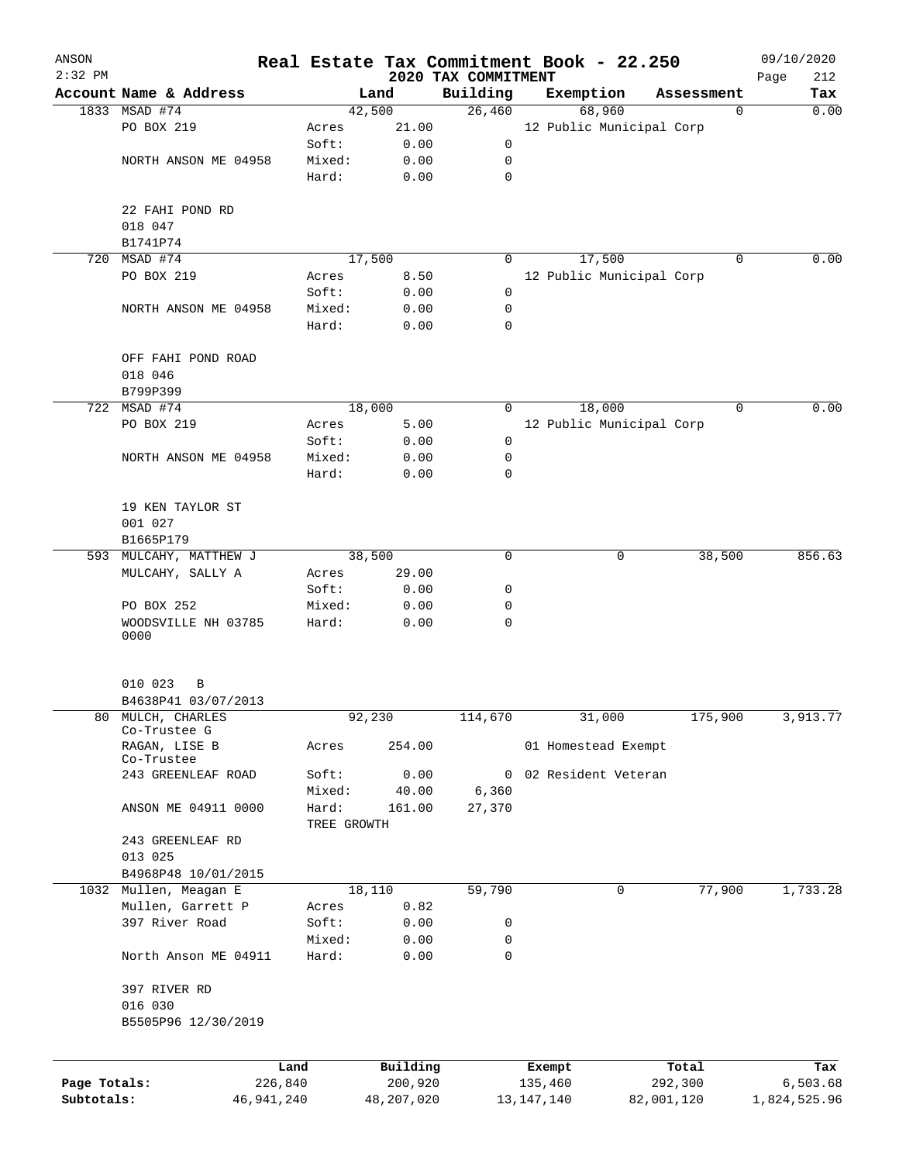| ANSON        |                                |                 |             | Real Estate Tax Commitment Book - 22.250 |                                 |                   |                          |                  | 09/10/2020         |
|--------------|--------------------------------|-----------------|-------------|------------------------------------------|---------------------------------|-------------------|--------------------------|------------------|--------------------|
| $2:32$ PM    | Account Name & Address         |                 |             | Land                                     | 2020 TAX COMMITMENT<br>Building | Exemption         |                          | Assessment       | 212<br>Page<br>Tax |
|              | 1833 MSAD #74                  |                 |             | 42,500                                   | 26,460                          |                   | 68,960                   | $\mathbf 0$      | 0.00               |
|              | PO BOX 219                     |                 | Acres       | 21.00                                    |                                 |                   | 12 Public Municipal Corp |                  |                    |
|              |                                |                 | Soft:       | 0.00                                     | 0                               |                   |                          |                  |                    |
|              | NORTH ANSON ME 04958           |                 | Mixed:      | 0.00                                     | 0                               |                   |                          |                  |                    |
|              |                                |                 | Hard:       | 0.00                                     | $\mathbf 0$                     |                   |                          |                  |                    |
|              | 22 FAHI POND RD                |                 |             |                                          |                                 |                   |                          |                  |                    |
|              | 018 047                        |                 |             |                                          |                                 |                   |                          |                  |                    |
|              | B1741P74                       |                 |             |                                          |                                 |                   |                          |                  |                    |
| 720          | MSAD #74                       |                 |             | 17,500                                   | 0                               |                   | 17,500                   | $\Omega$         | 0.00               |
|              | PO BOX 219                     |                 | Acres       | 8.50                                     |                                 |                   | 12 Public Municipal Corp |                  |                    |
|              |                                |                 | Soft:       | 0.00                                     | 0                               |                   |                          |                  |                    |
|              | NORTH ANSON ME 04958           |                 | Mixed:      | 0.00                                     | 0                               |                   |                          |                  |                    |
|              |                                |                 | Hard:       | 0.00                                     | 0                               |                   |                          |                  |                    |
|              | OFF FAHI POND ROAD             |                 |             |                                          |                                 |                   |                          |                  |                    |
|              | 018 046                        |                 |             |                                          |                                 |                   |                          |                  |                    |
|              | B799P399                       |                 |             |                                          |                                 |                   |                          |                  |                    |
|              | 722 MSAD #74                   |                 |             | 18,000                                   | 0                               |                   | 18,000                   | 0                | 0.00               |
|              | PO BOX 219                     |                 | Acres       | 5.00                                     |                                 |                   | 12 Public Municipal Corp |                  |                    |
|              |                                |                 | Soft:       | 0.00                                     | 0                               |                   |                          |                  |                    |
|              | NORTH ANSON ME 04958           |                 | Mixed:      | 0.00                                     | 0                               |                   |                          |                  |                    |
|              |                                |                 | Hard:       | 0.00                                     | 0                               |                   |                          |                  |                    |
|              | 19 KEN TAYLOR ST               |                 |             |                                          |                                 |                   |                          |                  |                    |
|              | 001 027                        |                 |             |                                          |                                 |                   |                          |                  |                    |
|              | B1665P179                      |                 |             |                                          |                                 |                   |                          |                  |                    |
|              | 593 MULCAHY, MATTHEW J         |                 |             | 38,500                                   | 0                               |                   | 0                        | 38,500           | 856.63             |
|              | MULCAHY, SALLY A               |                 | Acres       | 29.00                                    |                                 |                   |                          |                  |                    |
|              |                                |                 | Soft:       | 0.00                                     | 0                               |                   |                          |                  |                    |
|              | PO BOX 252                     |                 | Mixed:      | 0.00                                     | 0                               |                   |                          |                  |                    |
|              | WOODSVILLE NH 03785<br>0000    |                 | Hard:       | 0.00                                     | 0                               |                   |                          |                  |                    |
|              |                                |                 |             |                                          |                                 |                   |                          |                  |                    |
|              | 010 023<br>В                   |                 |             |                                          |                                 |                   |                          |                  |                    |
|              | B4638P41 03/07/2013            |                 |             |                                          |                                 |                   |                          |                  |                    |
| 80           | MULCH, CHARLES<br>Co-Trustee G |                 |             | 92,230                                   | 114,670                         |                   | 31,000                   | 175,900          | 3,913.77           |
|              | RAGAN, LISE B<br>Co-Trustee    |                 | Acres       | 254.00                                   |                                 |                   | 01 Homestead Exempt      |                  |                    |
|              | 243 GREENLEAF ROAD             |                 | Soft:       | 0.00                                     | 0                               |                   | 02 Resident Veteran      |                  |                    |
|              |                                |                 | Mixed:      | 40.00                                    | 6,360                           |                   |                          |                  |                    |
|              | ANSON ME 04911 0000            |                 | Hard:       | 161.00                                   | 27,370                          |                   |                          |                  |                    |
|              |                                |                 | TREE GROWTH |                                          |                                 |                   |                          |                  |                    |
|              | 243 GREENLEAF RD               |                 |             |                                          |                                 |                   |                          |                  |                    |
|              | 013 025                        |                 |             |                                          |                                 |                   |                          |                  |                    |
|              | B4968P48 10/01/2015            |                 |             |                                          |                                 |                   |                          |                  |                    |
|              | 1032 Mullen, Meagan E          |                 |             | 18,110                                   | 59,790                          |                   | 0                        | 77,900           | 1,733.28           |
|              | Mullen, Garrett P              |                 | Acres       | 0.82                                     |                                 |                   |                          |                  |                    |
|              | 397 River Road                 |                 | Soft:       | 0.00                                     | 0                               |                   |                          |                  |                    |
|              |                                |                 | Mixed:      | 0.00                                     | 0                               |                   |                          |                  |                    |
|              | North Anson ME 04911           |                 | Hard:       | 0.00                                     | 0                               |                   |                          |                  |                    |
|              | 397 RIVER RD                   |                 |             |                                          |                                 |                   |                          |                  |                    |
|              | 016 030                        |                 |             |                                          |                                 |                   |                          |                  |                    |
|              | B5505P96 12/30/2019            |                 |             |                                          |                                 |                   |                          |                  |                    |
|              |                                |                 |             |                                          |                                 |                   |                          |                  |                    |
| Page Totals: |                                | Land<br>226,840 |             | Building<br>200,920                      |                                 | Exempt<br>135,460 |                          | Total<br>292,300 | Tax<br>6,503.68    |
| Subtotals:   |                                | 46, 941, 240    |             | 48,207,020                               |                                 | 13, 147, 140      |                          | 82,001,120       | 1,824,525.96       |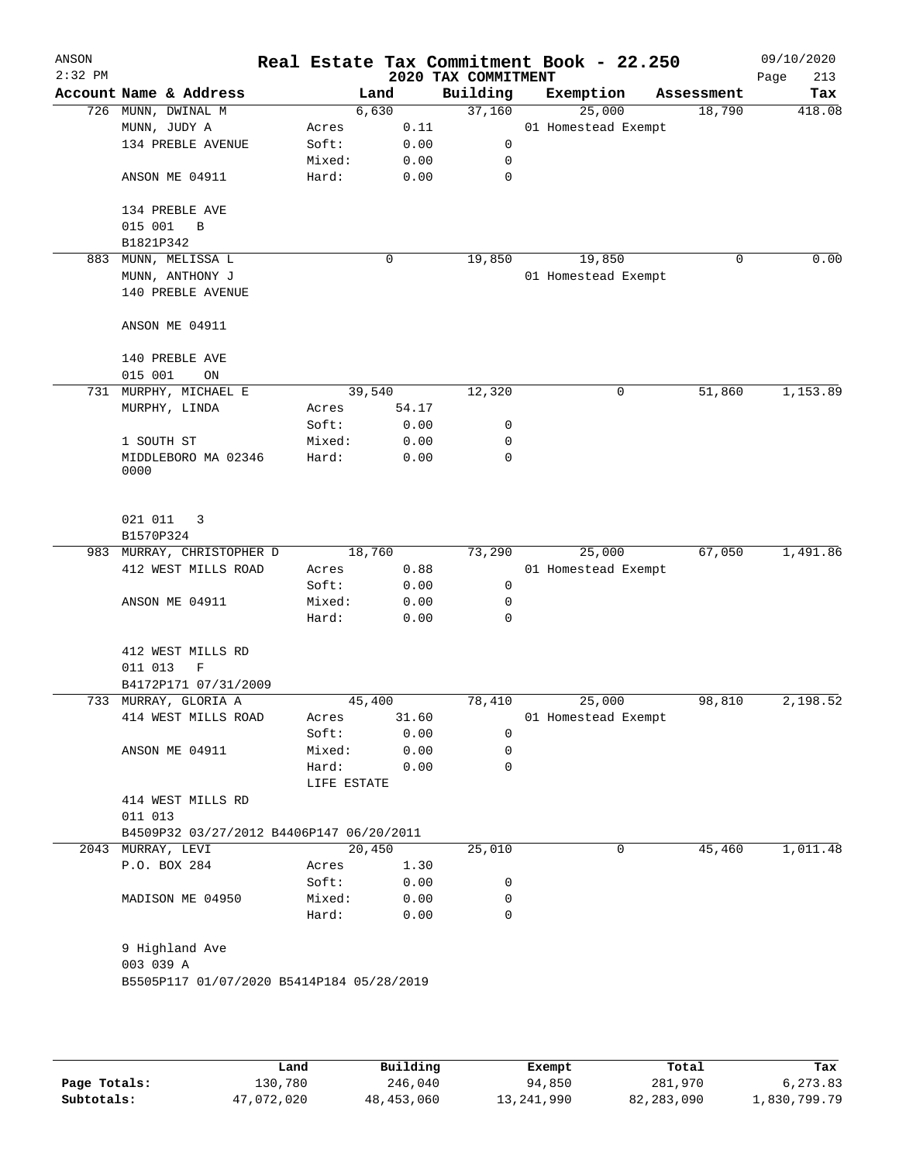| ANSON<br>$2:32$ PM |                                           |                 |        |              | 2020 TAX COMMITMENT | Real Estate Tax Commitment Book - 22.250 |            | 09/10/2020<br>Page<br>213 |
|--------------------|-------------------------------------------|-----------------|--------|--------------|---------------------|------------------------------------------|------------|---------------------------|
|                    | Account Name & Address                    |                 | Land   |              | Building            | Exemption                                | Assessment | Tax                       |
|                    | 726 MUNN, DWINAL M                        |                 | 6,630  |              | 37,160              | 25,000                                   | 18,790     | 418.08                    |
|                    | MUNN, JUDY A                              | Acres           |        | 0.11         |                     | 01 Homestead Exempt                      |            |                           |
|                    | 134 PREBLE AVENUE                         | Soft:           |        | 0.00         | 0                   |                                          |            |                           |
|                    |                                           | Mixed:          |        | 0.00         | 0                   |                                          |            |                           |
|                    | ANSON ME 04911                            | Hard:           |        | 0.00         | 0                   |                                          |            |                           |
|                    | 134 PREBLE AVE                            |                 |        |              |                     |                                          |            |                           |
|                    | 015 001<br>B                              |                 |        |              |                     |                                          |            |                           |
|                    | B1821P342                                 |                 |        |              |                     |                                          |            |                           |
| 883                | MUNN, MELISSA L                           |                 | 0      |              | 19,850              | 19,850                                   | 0          | 0.00                      |
|                    | MUNN, ANTHONY J                           |                 |        |              |                     | 01 Homestead Exempt                      |            |                           |
|                    | 140 PREBLE AVENUE                         |                 |        |              |                     |                                          |            |                           |
|                    | ANSON ME 04911                            |                 |        |              |                     |                                          |            |                           |
|                    | 140 PREBLE AVE                            |                 |        |              |                     |                                          |            |                           |
|                    | 015 001<br>ON                             |                 |        |              |                     |                                          |            |                           |
| 731                | MURPHY, MICHAEL E                         |                 | 39,540 |              | 12,320              | 0                                        | 51,860     | 1,153.89                  |
|                    | MURPHY, LINDA                             | Acres           |        | 54.17        |                     |                                          |            |                           |
|                    |                                           | Soft:           |        | 0.00         | 0                   |                                          |            |                           |
|                    | 1 SOUTH ST                                | Mixed:          |        | 0.00         | 0                   |                                          |            |                           |
|                    | MIDDLEBORO MA 02346                       | Hard:           |        | 0.00         | 0                   |                                          |            |                           |
|                    | 0000                                      |                 |        |              |                     |                                          |            |                           |
|                    | 021 011<br>3<br>B1570P324                 |                 |        |              |                     |                                          |            |                           |
|                    | 983 MURRAY, CHRISTOPHER D                 |                 | 18,760 |              | 73,290              | 25,000                                   | 67,050     | 1,491.86                  |
|                    | 412 WEST MILLS ROAD                       | Acres           |        | 0.88         |                     | 01 Homestead Exempt                      |            |                           |
|                    |                                           | Soft:           |        | 0.00         | 0                   |                                          |            |                           |
|                    | ANSON ME 04911                            | Mixed:          |        | 0.00         | 0                   |                                          |            |                           |
|                    |                                           | Hard:           |        | 0.00         | 0                   |                                          |            |                           |
|                    | 412 WEST MILLS RD                         |                 |        |              |                     |                                          |            |                           |
|                    | $\mathbf F$<br>011 013                    |                 |        |              |                     |                                          |            |                           |
|                    | B4172P171 07/31/2009                      |                 |        |              |                     |                                          |            |                           |
|                    | 733 MURRAY, GLORIA A                      |                 | 45,400 |              | 78,410              | 25,000                                   | 98,810     | 2,198.52                  |
|                    | 414 WEST MILLS ROAD                       | Acres           |        | 31.60        |                     | 01 Homestead Exempt                      |            |                           |
|                    |                                           | Soft:           |        | 0.00         | 0                   |                                          |            |                           |
|                    | ANSON ME 04911                            | Mixed:          |        | 0.00         | 0                   |                                          |            |                           |
|                    |                                           | Hard:           |        | 0.00         | 0                   |                                          |            |                           |
|                    |                                           | LIFE ESTATE     |        |              |                     |                                          |            |                           |
|                    | 414 WEST MILLS RD                         |                 |        |              |                     |                                          |            |                           |
|                    | 011 013                                   |                 |        |              |                     |                                          |            |                           |
|                    | B4509P32 03/27/2012 B4406P147 06/20/2011  |                 |        |              |                     |                                          |            |                           |
|                    | 2043 MURRAY, LEVI                         |                 | 20,450 |              | 25,010              | 0                                        | 45,460     | 1,011.48                  |
|                    | P.O. BOX 284                              | Acres           |        | 1.30         |                     |                                          |            |                           |
|                    |                                           | Soft:           |        | 0.00         | 0                   |                                          |            |                           |
|                    | MADISON ME 04950                          | Mixed:<br>Hard: |        | 0.00<br>0.00 | 0<br>$\mathbf 0$    |                                          |            |                           |
|                    |                                           |                 |        |              |                     |                                          |            |                           |
|                    | 9 Highland Ave                            |                 |        |              |                     |                                          |            |                           |
|                    | 003 039 A                                 |                 |        |              |                     |                                          |            |                           |
|                    | B5505P117 01/07/2020 B5414P184 05/28/2019 |                 |        |              |                     |                                          |            |                           |
|                    |                                           |                 |        |              |                     |                                          |            |                           |
|                    |                                           |                 |        |              |                     |                                          |            |                           |
|                    |                                           |                 |        |              |                     |                                          |            |                           |
|                    |                                           |                 |        |              |                     |                                          |            |                           |

|              | Land       | Building     | Exempt     | Total      | Tax          |
|--------------|------------|--------------|------------|------------|--------------|
| Page Totals: | 130,780    | 246,040      | 94,850     | 281,970    | 6,273.83     |
| Subtotals:   | 47,072,020 | 48, 453, 060 | 13,241,990 | 82,283,090 | 1,830,799.79 |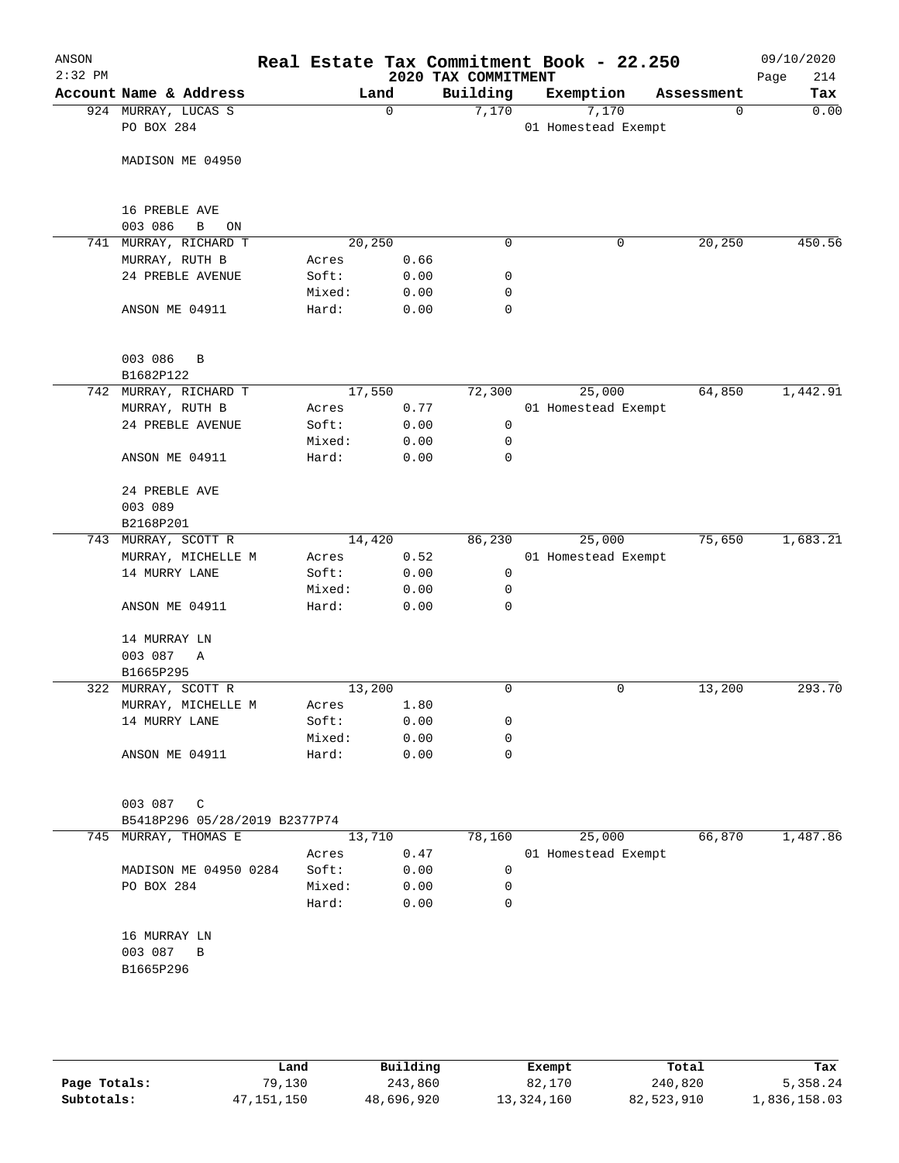| ANSON<br>$2:32$ PM |                                         |        |                | 2020 TAX COMMITMENT | Real Estate Tax Commitment Book - 22.250 |             | 09/10/2020<br>Page<br>214 |
|--------------------|-----------------------------------------|--------|----------------|---------------------|------------------------------------------|-------------|---------------------------|
|                    | Account Name & Address                  |        | Land           | Building            | Exemption                                | Assessment  | Tax                       |
|                    | 924 MURRAY, LUCAS S<br>PO BOX 284       |        | $\mathbf 0$    | 7,170               | 7,170<br>01 Homestead Exempt             | $\mathbf 0$ | 0.00                      |
|                    | MADISON ME 04950                        |        |                |                     |                                          |             |                           |
|                    | 16 PREBLE AVE                           |        |                |                     |                                          |             |                           |
|                    | 003 086<br>В<br>ON                      |        |                |                     |                                          |             |                           |
|                    | 741 MURRAY, RICHARD T<br>MURRAY, RUTH B | Acres  | 20,250<br>0.66 | 0                   | $\mathsf{O}$                             | 20,250      | 450.56                    |
|                    | 24 PREBLE AVENUE                        | Soft:  | 0.00           | 0                   |                                          |             |                           |
|                    |                                         | Mixed: | 0.00           | 0                   |                                          |             |                           |
|                    | ANSON ME 04911                          | Hard:  | 0.00           | 0                   |                                          |             |                           |
|                    | 003 086<br>B<br>B1682P122               |        |                |                     |                                          |             |                           |
|                    | 742 MURRAY, RICHARD T                   |        | 17,550         | 72,300              | 25,000                                   | 64,850      | 1,442.91                  |
|                    | MURRAY, RUTH B                          | Acres  | 0.77           |                     | 01 Homestead Exempt                      |             |                           |
|                    | 24 PREBLE AVENUE                        | Soft:  | 0.00           | $\mathbf 0$         |                                          |             |                           |
|                    |                                         | Mixed: | 0.00           | 0                   |                                          |             |                           |
|                    | ANSON ME 04911                          | Hard:  | 0.00           | 0                   |                                          |             |                           |
|                    | 24 PREBLE AVE<br>003 089                |        |                |                     |                                          |             |                           |
|                    | B2168P201                               |        |                |                     |                                          |             |                           |
|                    | 743 MURRAY, SCOTT R                     |        | 14,420         | 86,230              | 25,000                                   | 75,650      | 1,683.21                  |
|                    | MURRAY, MICHELLE M                      | Acres  | 0.52           |                     | 01 Homestead Exempt                      |             |                           |
|                    | 14 MURRY LANE                           | Soft:  | 0.00           | 0                   |                                          |             |                           |
|                    |                                         | Mixed: | 0.00           | 0                   |                                          |             |                           |
|                    | ANSON ME 04911                          | Hard:  | 0.00           | $\mathbf 0$         |                                          |             |                           |
|                    | 14 MURRAY LN<br>003 087<br>$\mathbb{A}$ |        |                |                     |                                          |             |                           |
|                    | B1665P295                               |        |                |                     |                                          |             |                           |
|                    | 322 MURRAY, SCOTT R                     |        | 13,200         | 0                   | 0                                        | 13,200      | 293.70                    |
|                    | MURRAY, MICHELLE M                      |        | Acres 1.80     |                     |                                          |             |                           |
|                    | 14 MURRY LANE                           | Soft:  | 0.00           | 0                   |                                          |             |                           |
|                    |                                         | Mixed: | 0.00           | 0                   |                                          |             |                           |
|                    | ANSON ME 04911                          | Hard:  | 0.00           | 0                   |                                          |             |                           |
|                    | 003 087<br>C                            |        |                |                     |                                          |             |                           |
|                    | B5418P296 05/28/2019 B2377P74           |        |                |                     |                                          |             |                           |
| 745                | MURRAY, THOMAS E                        |        | 13,710         | 78,160              | 25,000                                   | 66,870      | 1,487.86                  |
|                    |                                         | Acres  | 0.47           |                     | 01 Homestead Exempt                      |             |                           |
|                    | MADISON ME 04950 0284                   | Soft:  | 0.00           | 0                   |                                          |             |                           |
|                    | PO BOX 284                              | Mixed: | 0.00           | 0                   |                                          |             |                           |
|                    |                                         | Hard:  | 0.00           | 0                   |                                          |             |                           |
|                    | 16 MURRAY LN                            |        |                |                     |                                          |             |                           |
|                    | 003 087<br>B                            |        |                |                     |                                          |             |                           |
|                    | B1665P296                               |        |                |                     |                                          |             |                           |
|                    |                                         |        |                |                     |                                          |             |                           |
|                    |                                         |        |                |                     |                                          |             |                           |
|                    |                                         |        |                |                     |                                          |             |                           |

|              | Land       | Building   | Exempt     | Total      | Tax          |
|--------------|------------|------------|------------|------------|--------------|
| Page Totals: | 79,130     | 243,860    | 82,170     | 240,820    | 5,358.24     |
| Subtotals:   | 47,151,150 | 48,696,920 | 13,324,160 | 82,523,910 | 1,836,158.03 |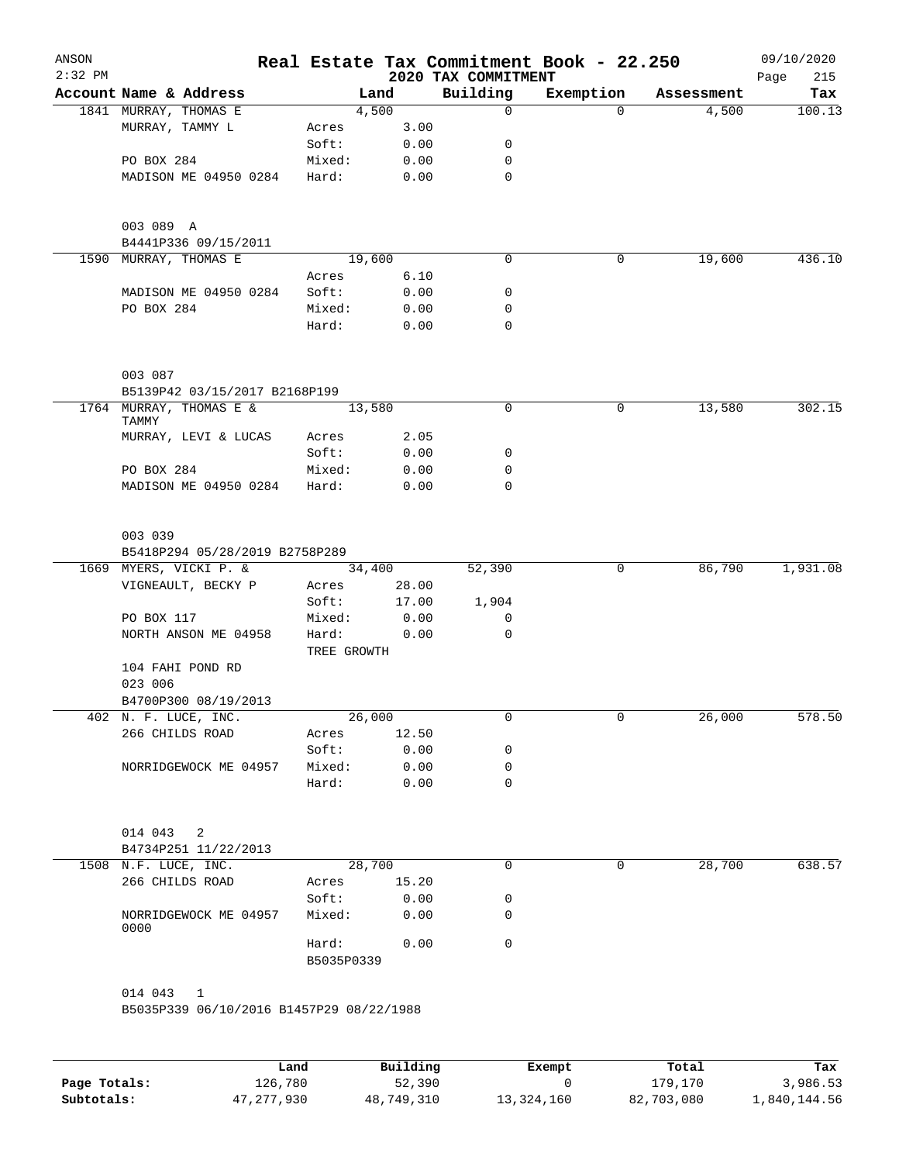| ANSON<br>$2:32$ PM |                                          |                 |                     | 2020 TAX COMMITMENT | Real Estate Tax Commitment Book - 22.250 |            | 09/10/2020<br>215<br>Page |
|--------------------|------------------------------------------|-----------------|---------------------|---------------------|------------------------------------------|------------|---------------------------|
|                    | Account Name & Address                   |                 | Land                | Building            | Exemption                                | Assessment | Tax                       |
|                    | 1841 MURRAY, THOMAS E                    |                 | 4,500               | 0                   | $\Omega$                                 | 4,500      | 100.13                    |
|                    | MURRAY, TAMMY L                          | Acres           | 3.00                |                     |                                          |            |                           |
|                    |                                          | Soft:           | 0.00                | 0                   |                                          |            |                           |
|                    | PO BOX 284                               | Mixed:          | 0.00                | 0                   |                                          |            |                           |
|                    | MADISON ME 04950 0284                    | Hard:           | 0.00                | 0                   |                                          |            |                           |
|                    | 003 089 A<br>B4441P336 09/15/2011        |                 |                     |                     |                                          |            |                           |
| 1590               | MURRAY, THOMAS E                         |                 | 19,600              | 0                   | 0                                        | 19,600     | 436.10                    |
|                    |                                          | Acres           | 6.10                |                     |                                          |            |                           |
|                    | MADISON ME 04950 0284                    | Soft:           | 0.00                | 0                   |                                          |            |                           |
|                    | PO BOX 284                               | Mixed:          | 0.00                | 0                   |                                          |            |                           |
|                    |                                          | Hard:           | 0.00                | 0                   |                                          |            |                           |
|                    | 003 087                                  |                 |                     |                     |                                          |            |                           |
|                    | B5139P42 03/15/2017 B2168P199            |                 |                     |                     |                                          |            |                           |
| 1764               | MURRAY, THOMAS E &<br>TAMMY              |                 | 13,580              | 0                   | 0                                        | 13,580     | 302.15                    |
|                    | MURRAY, LEVI & LUCAS                     | Acres<br>Soft:  | 2.05<br>0.00        | 0                   |                                          |            |                           |
|                    | PO BOX 284                               | Mixed:          | 0.00                | 0                   |                                          |            |                           |
|                    | MADISON ME 04950 0284                    | Hard:           | 0.00                | 0                   |                                          |            |                           |
|                    |                                          |                 |                     |                     |                                          |            |                           |
|                    | 003 039                                  |                 |                     |                     |                                          |            |                           |
|                    | B5418P294 05/28/2019 B2758P289           |                 |                     |                     |                                          |            |                           |
|                    | 1669 MYERS, VICKI P. &                   |                 | 34,400              | 52,390              | 0                                        | 86,790     | 1,931.08                  |
|                    | VIGNEAULT, BECKY P                       | Acres           | 28.00               |                     |                                          |            |                           |
|                    |                                          | Soft:           | 17.00               | 1,904               |                                          |            |                           |
|                    | PO BOX 117                               | Mixed:          | 0.00                | 0                   |                                          |            |                           |
|                    | NORTH ANSON ME 04958                     | Hard:           | 0.00<br>TREE GROWTH | 0                   |                                          |            |                           |
|                    | 104 FAHI POND RD                         |                 |                     |                     |                                          |            |                           |
|                    | 023 006                                  |                 |                     |                     |                                          |            |                           |
|                    | B4700P300 08/19/2013                     |                 |                     |                     |                                          |            |                           |
|                    | 402 N. F. LUCE, INC.                     |                 | 26,000              | 0                   | 0                                        | 26,000     | 578.50                    |
|                    | 266 CHILDS ROAD                          | Acres           | 12.50               | 0                   |                                          |            |                           |
|                    | NORRIDGEWOCK ME 04957                    | Soft:<br>Mixed: | 0.00<br>0.00        | 0                   |                                          |            |                           |
|                    |                                          | Hard:           | 0.00                | 0                   |                                          |            |                           |
|                    |                                          |                 |                     |                     |                                          |            |                           |
|                    | 014 043<br>2                             |                 |                     |                     |                                          |            |                           |
|                    | B4734P251 11/22/2013                     |                 |                     |                     |                                          |            |                           |
|                    | 1508 N.F. LUCE, INC.                     |                 | 28,700              | 0                   | 0                                        | 28,700     | 638.57                    |
|                    | 266 CHILDS ROAD                          | Acres           | 15.20               |                     |                                          |            |                           |
|                    | NORRIDGEWOCK ME 04957<br>0000            | Soft:<br>Mixed: | 0.00<br>0.00        | 0<br>0              |                                          |            |                           |
|                    |                                          | Hard:           | 0.00                | 0                   |                                          |            |                           |
|                    |                                          | B5035P0339      |                     |                     |                                          |            |                           |
|                    | 014 043 1                                |                 |                     |                     |                                          |            |                           |
|                    | B5035P339 06/10/2016 B1457P29 08/22/1988 |                 |                     |                     |                                          |            |                           |
|                    |                                          |                 |                     |                     |                                          |            |                           |
|                    |                                          |                 |                     |                     |                                          |            |                           |

|              | Land         | Building   | Exempt     | Total      | Tax          |
|--------------|--------------|------------|------------|------------|--------------|
| Page Totals: | 126,780      | 52,390     |            | 179,170    | 3,986.53     |
| Subtotals:   | 47, 277, 930 | 48,749,310 | 13,324,160 | 82,703,080 | 1,840,144.56 |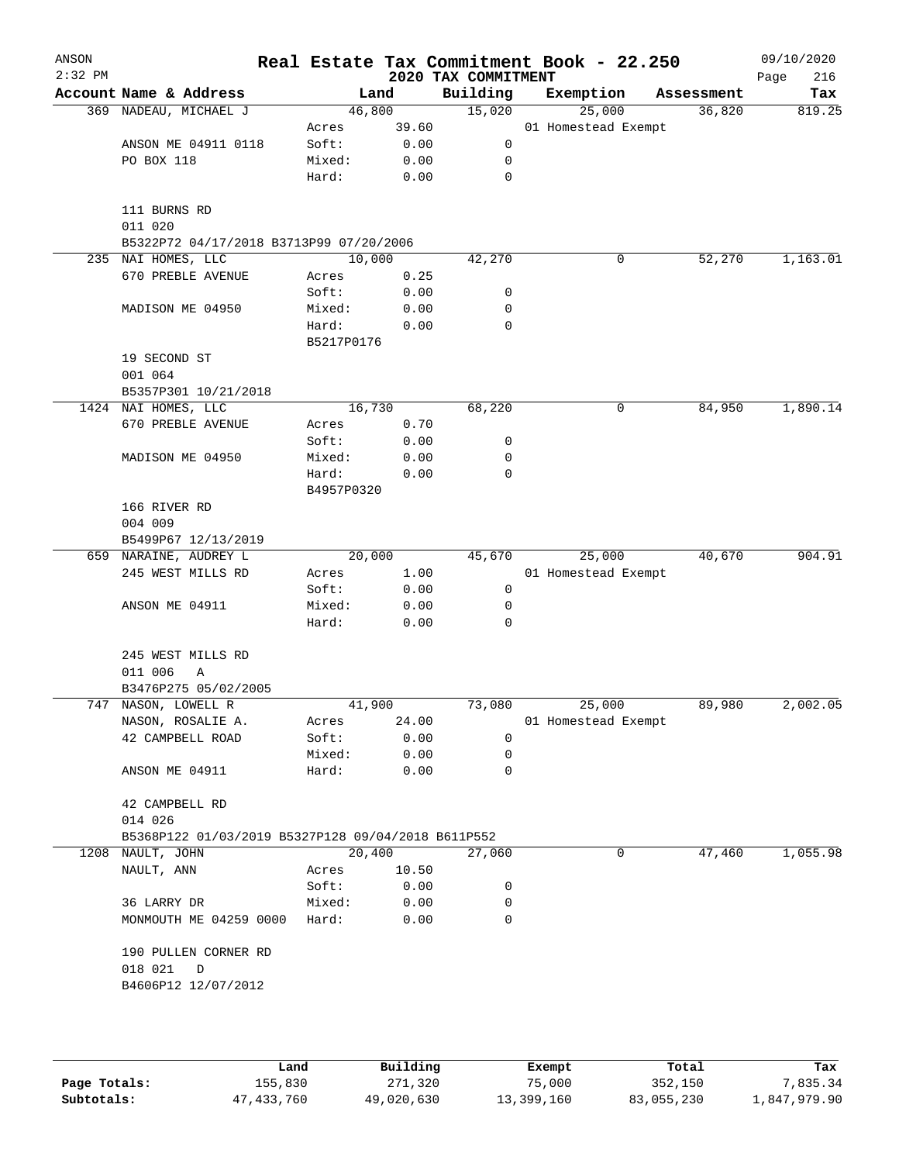| ANSON<br>$2:32$ PM |                                                    |            |       |                                 | Real Estate Tax Commitment Book - 22.250 |            | 09/10/2020         |
|--------------------|----------------------------------------------------|------------|-------|---------------------------------|------------------------------------------|------------|--------------------|
|                    | Account Name & Address                             | Land       |       | 2020 TAX COMMITMENT<br>Building | Exemption                                | Assessment | 216<br>Page<br>Tax |
|                    | 369 NADEAU, MICHAEL J                              | 46,800     |       | 15,020                          | 25,000                                   | 36,820     | 819.25             |
|                    |                                                    | Acres      | 39.60 |                                 | 01 Homestead Exempt                      |            |                    |
|                    | ANSON ME 04911 0118                                | Soft:      | 0.00  | 0                               |                                          |            |                    |
|                    | PO BOX 118                                         | Mixed:     | 0.00  | 0                               |                                          |            |                    |
|                    |                                                    | Hard:      | 0.00  | 0                               |                                          |            |                    |
|                    | 111 BURNS RD<br>011 020                            |            |       |                                 |                                          |            |                    |
|                    | B5322P72 04/17/2018 B3713P99 07/20/2006            |            |       |                                 |                                          |            |                    |
|                    | 235 NAI HOMES, LLC                                 | 10,000     |       | 42,270                          | 0                                        | 52,270     | 1,163.01           |
|                    | 670 PREBLE AVENUE                                  | Acres      | 0.25  |                                 |                                          |            |                    |
|                    |                                                    | Soft:      | 0.00  | 0                               |                                          |            |                    |
|                    | MADISON ME 04950                                   | Mixed:     | 0.00  | 0                               |                                          |            |                    |
|                    |                                                    | Hard:      | 0.00  | 0                               |                                          |            |                    |
|                    |                                                    | B5217P0176 |       |                                 |                                          |            |                    |
|                    | 19 SECOND ST<br>001 064                            |            |       |                                 |                                          |            |                    |
|                    | B5357P301 10/21/2018                               |            |       |                                 |                                          |            |                    |
|                    | 1424 NAI HOMES, LLC                                | 16,730     |       | 68,220                          | 0                                        | 84,950     | 1,890.14           |
|                    | 670 PREBLE AVENUE                                  | Acres      | 0.70  |                                 |                                          |            |                    |
|                    |                                                    | Soft:      | 0.00  | 0                               |                                          |            |                    |
|                    | MADISON ME 04950                                   | Mixed:     | 0.00  | 0                               |                                          |            |                    |
|                    |                                                    | Hard:      | 0.00  | 0                               |                                          |            |                    |
|                    |                                                    | B4957P0320 |       |                                 |                                          |            |                    |
|                    | 166 RIVER RD                                       |            |       |                                 |                                          |            |                    |
|                    | 004 009                                            |            |       |                                 |                                          |            |                    |
|                    | B5499P67 12/13/2019                                |            |       |                                 |                                          |            |                    |
|                    | 659 NARAINE, AUDREY L                              | 20,000     |       | 45,670                          | 25,000                                   | 40,670     | 904.91             |
|                    | 245 WEST MILLS RD                                  | Acres      | 1.00  |                                 | 01 Homestead Exempt                      |            |                    |
|                    |                                                    | Soft:      | 0.00  | 0                               |                                          |            |                    |
|                    | ANSON ME 04911                                     | Mixed:     | 0.00  | 0                               |                                          |            |                    |
|                    |                                                    | Hard:      | 0.00  | 0                               |                                          |            |                    |
|                    | 245 WEST MILLS RD                                  |            |       |                                 |                                          |            |                    |
|                    | 011 006<br>Α                                       |            |       |                                 |                                          |            |                    |
|                    | B3476P275 05/02/2005                               |            |       |                                 |                                          |            |                    |
|                    | 747 NASON, LOWELL R                                | 41,900     |       | 73,080                          | 25,000                                   | 89,980     | 2,002.05           |
|                    | NASON, ROSALIE A.                                  | Acres      | 24.00 |                                 | 01 Homestead Exempt                      |            |                    |
|                    | 42 CAMPBELL ROAD                                   | Soft:      | 0.00  | 0                               |                                          |            |                    |
|                    |                                                    | Mixed:     | 0.00  | 0                               |                                          |            |                    |
|                    | ANSON ME 04911                                     | Hard:      | 0.00  | 0                               |                                          |            |                    |
|                    | 42 CAMPBELL RD                                     |            |       |                                 |                                          |            |                    |
|                    | 014 026                                            |            |       |                                 |                                          |            |                    |
|                    | B5368P122 01/03/2019 B5327P128 09/04/2018 B611P552 |            |       |                                 |                                          |            |                    |
| 1208               | NAULT, JOHN                                        | 20,400     |       | 27,060                          | 0                                        | 47,460     | 1,055.98           |
|                    | NAULT, ANN                                         | Acres      | 10.50 |                                 |                                          |            |                    |
|                    |                                                    | Soft:      | 0.00  | 0                               |                                          |            |                    |
|                    | 36 LARRY DR                                        | Mixed:     | 0.00  | 0                               |                                          |            |                    |
|                    | MONMOUTH ME 04259 0000                             | Hard:      | 0.00  | 0                               |                                          |            |                    |
|                    | 190 PULLEN CORNER RD                               |            |       |                                 |                                          |            |                    |
|                    | 018 021<br>D                                       |            |       |                                 |                                          |            |                    |
|                    | B4606P12 12/07/2012                                |            |       |                                 |                                          |            |                    |
|                    |                                                    |            |       |                                 |                                          |            |                    |
|                    |                                                    |            |       |                                 |                                          |            |                    |
|                    |                                                    |            |       |                                 |                                          |            |                    |
|                    |                                                    |            |       |                                 |                                          |            |                    |

|              | Land         | Building   | Exempt     | Total      | Tax          |
|--------------|--------------|------------|------------|------------|--------------|
| Page Totals: | 155,830      | 271,320    | 75,000     | 352,150    | 7.835.34     |
| Subtotals:   | 47, 433, 760 | 49,020,630 | 13,399,160 | 83,055,230 | 1,847,979.90 |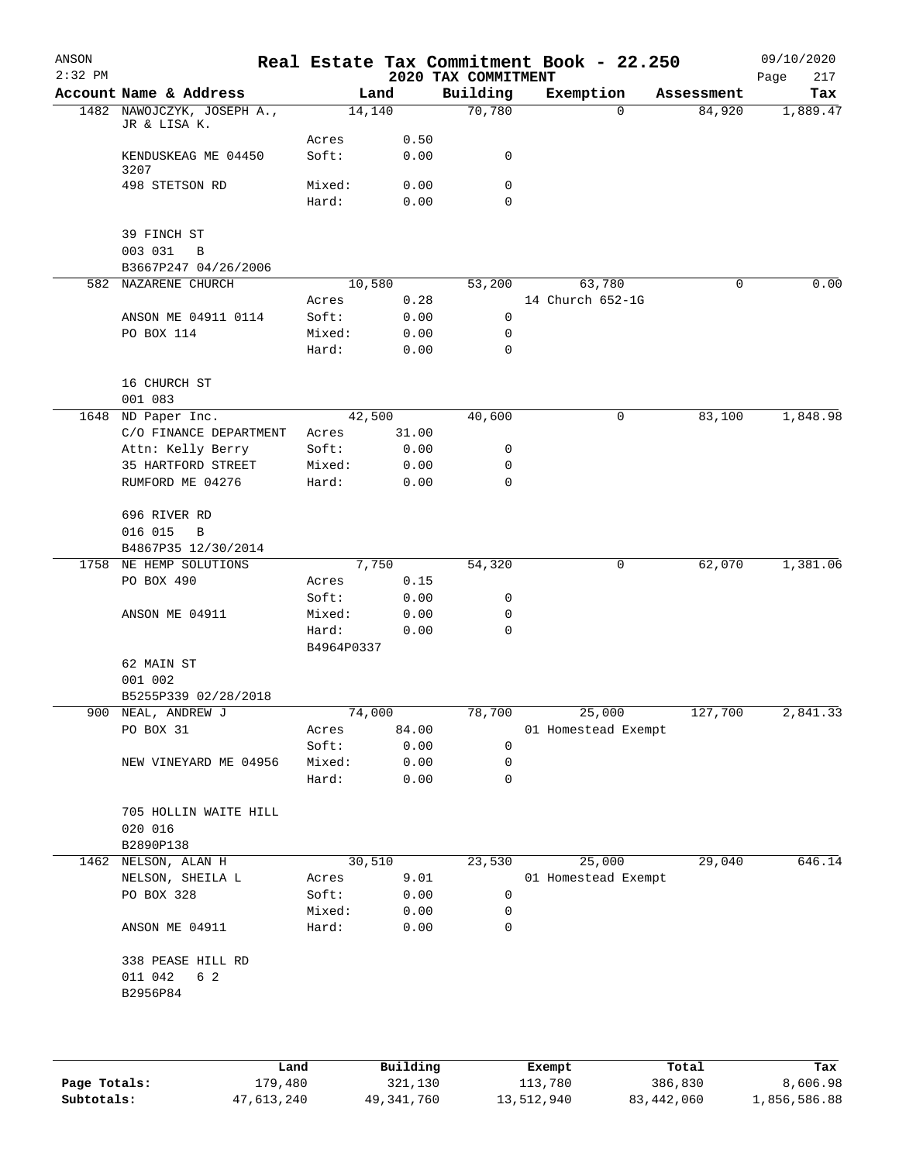| ANSON     |                                                 |                |        |              | Real Estate Tax Commitment Book - 22.250 |                     |          |            | 09/10/2020  |
|-----------|-------------------------------------------------|----------------|--------|--------------|------------------------------------------|---------------------|----------|------------|-------------|
| $2:32$ PM |                                                 |                |        |              | 2020 TAX COMMITMENT                      |                     |          |            | 217<br>Page |
|           | Account Name & Address                          |                | Land   |              | Building                                 | Exemption           |          | Assessment | Tax         |
|           | 1482 NAWOJCZYK, JOSEPH A.,<br>JR & LISA K.      |                | 14,140 |              | 70,780                                   |                     | $\Omega$ | 84,920     | 1,889.47    |
|           | KENDUSKEAG ME 04450<br>3207                     | Acres<br>Soft: |        | 0.50<br>0.00 | 0                                        |                     |          |            |             |
|           | 498 STETSON RD                                  | Mixed:         |        | 0.00         | 0                                        |                     |          |            |             |
|           |                                                 | Hard:          |        | 0.00         | 0                                        |                     |          |            |             |
|           | 39 FINCH ST                                     |                |        |              |                                          |                     |          |            |             |
|           | 003 031<br>$\, {\bf B}$<br>B3667P247 04/26/2006 |                |        |              |                                          |                     |          |            |             |
|           | 582 NAZARENE CHURCH                             |                | 10,580 |              | 53,200                                   |                     | 63,780   | 0          | 0.00        |
|           |                                                 | Acres          |        | 0.28         |                                          | 14 Church 652-1G    |          |            |             |
|           | ANSON ME 04911 0114                             | Soft:          |        | 0.00         | 0                                        |                     |          |            |             |
|           | PO BOX 114                                      | Mixed:         |        | 0.00         | 0                                        |                     |          |            |             |
|           |                                                 | Hard:          |        | 0.00         | $\mathbf 0$                              |                     |          |            |             |
|           | 16 CHURCH ST                                    |                |        |              |                                          |                     |          |            |             |
|           | 001 083                                         |                |        |              |                                          |                     |          |            |             |
|           | 1648 ND Paper Inc.                              |                | 42,500 |              | 40,600                                   |                     | 0        | 83,100     | 1,848.98    |
|           | C/O FINANCE DEPARTMENT                          | Acres          |        | 31.00        |                                          |                     |          |            |             |
|           | Attn: Kelly Berry                               | Soft:          |        | 0.00         | 0                                        |                     |          |            |             |
|           | 35 HARTFORD STREET                              | Mixed:         |        | 0.00         | 0                                        |                     |          |            |             |
|           | RUMFORD ME 04276                                | Hard:          |        | 0.00         | $\mathbf 0$                              |                     |          |            |             |
|           | 696 RIVER RD<br>016 015<br>$\, {\bf B}$         |                |        |              |                                          |                     |          |            |             |
|           | B4867P35 12/30/2014                             |                |        |              |                                          |                     |          |            |             |
|           | 1758 NE HEMP SOLUTIONS                          |                | 7,750  |              | 54,320                                   |                     | 0        | 62,070     | 1,381.06    |
|           | PO BOX 490                                      | Acres          |        | 0.15         |                                          |                     |          |            |             |
|           |                                                 | Soft:          |        | 0.00         | 0                                        |                     |          |            |             |
|           |                                                 | Mixed:         |        |              | 0                                        |                     |          |            |             |
|           | ANSON ME 04911                                  | Hard:          |        | 0.00         | $\mathbf 0$                              |                     |          |            |             |
|           |                                                 | B4964P0337     |        | 0.00         |                                          |                     |          |            |             |
|           | 62 MAIN ST                                      |                |        |              |                                          |                     |          |            |             |
|           | 001 002                                         |                |        |              |                                          |                     |          |            |             |
|           | B5255P339 02/28/2018                            |                |        |              |                                          |                     |          |            |             |
|           | 900 NEAL, ANDREW J                              |                | 74,000 |              |                                          | 78,700 25,000       |          | 127,700    | 2,841.33    |
|           | PO BOX 31                                       | Acres          |        | 84.00        |                                          | 01 Homestead Exempt |          |            |             |
|           |                                                 | Soft:          |        | 0.00         | $\mathbf 0$                              |                     |          |            |             |
|           | NEW VINEYARD ME 04956                           | Mixed:         |        | 0.00         | 0                                        |                     |          |            |             |
|           |                                                 | Hard:          |        | 0.00         | 0                                        |                     |          |            |             |
|           | 705 HOLLIN WAITE HILL                           |                |        |              |                                          |                     |          |            |             |
|           | 020 016                                         |                |        |              |                                          |                     |          |            |             |
|           | B2890P138                                       |                |        |              |                                          |                     |          |            |             |
|           | 1462 NELSON, ALAN H                             |                | 30,510 |              | 23,530                                   |                     | 25,000   | 29,040     | 646.14      |
|           | NELSON, SHEILA L                                | Acres          |        | 9.01         |                                          | 01 Homestead Exempt |          |            |             |
|           | PO BOX 328                                      | Soft:          |        | 0.00         | 0                                        |                     |          |            |             |
|           |                                                 | Mixed:         |        | 0.00         | 0                                        |                     |          |            |             |
|           | ANSON ME 04911                                  | Hard:          |        | 0.00         | 0                                        |                     |          |            |             |
|           | 338 PEASE HILL RD                               |                |        |              |                                          |                     |          |            |             |
|           | 011 042<br>6 2                                  |                |        |              |                                          |                     |          |            |             |
|           | B2956P84                                        |                |        |              |                                          |                     |          |            |             |
|           |                                                 |                |        |              |                                          |                     |          |            |             |
|           |                                                 |                |        |              |                                          |                     |          |            |             |
|           |                                                 |                |        |              |                                          |                     |          |            |             |
|           |                                                 |                |        |              |                                          |                     |          |            |             |

|              | Land       | Building   | Exempt     | Total      | Tax          |
|--------------|------------|------------|------------|------------|--------------|
| Page Totals: | 179,480    | 321,130    | 113,780    | 386,830    | 8,606.98     |
| Subtotals:   | 47,613,240 | 49,341,760 | 13,512,940 | 83,442,060 | 1,856,586.88 |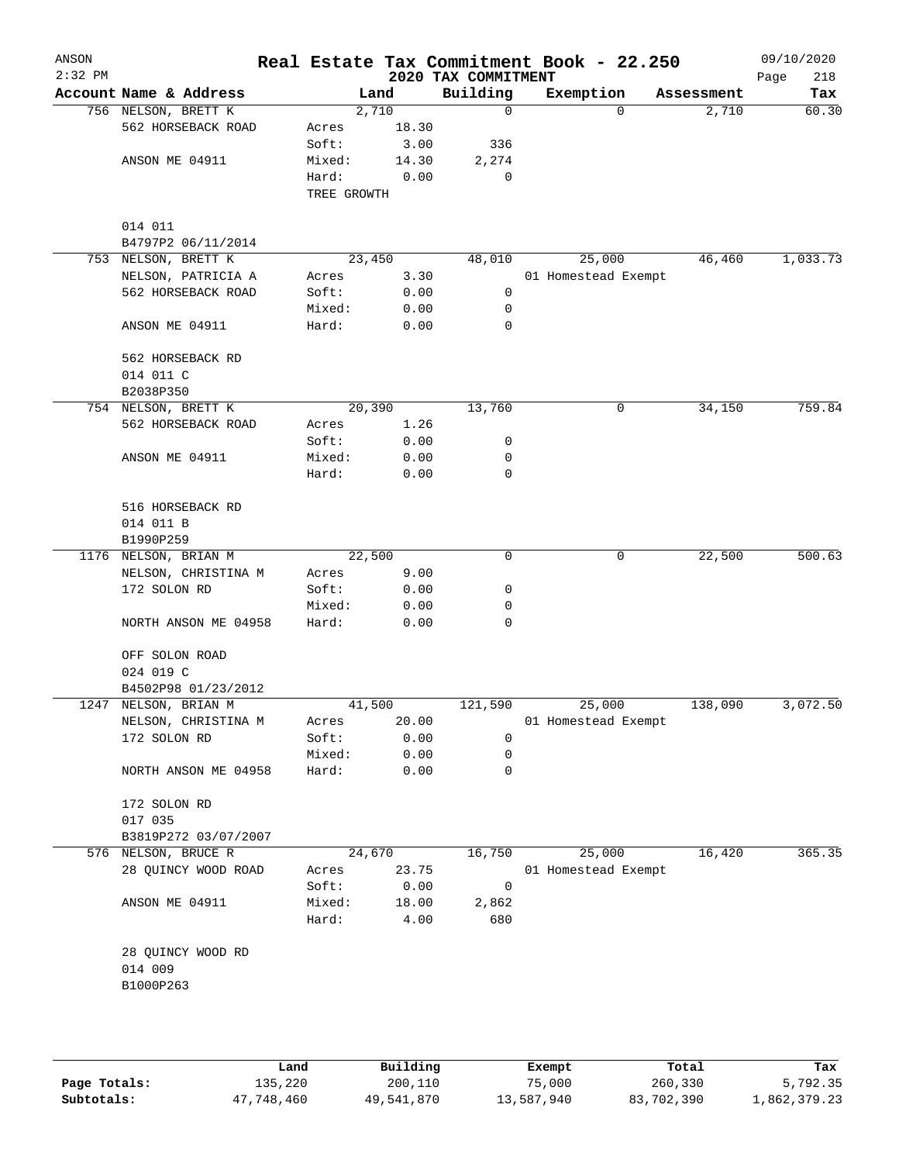| ANSON<br>$2:32$ PM |                               |                      |        | 2020 TAX COMMITMENT | Real Estate Tax Commitment Book - 22.250 |            | 09/10/2020<br>218<br>Page |
|--------------------|-------------------------------|----------------------|--------|---------------------|------------------------------------------|------------|---------------------------|
|                    | Account Name & Address        |                      | Land   | Building            | Exemption                                | Assessment | Tax                       |
|                    | 756 NELSON, BRETT K           |                      | 2,710  | $\mathbf 0$         | 0                                        | 2,710      | 60.30                     |
|                    | 562 HORSEBACK ROAD            | Acres                | 18.30  |                     |                                          |            |                           |
|                    |                               | Soft:                | 3.00   | 336                 |                                          |            |                           |
|                    | ANSON ME 04911                | Mixed:               | 14.30  | 2,274               |                                          |            |                           |
|                    |                               | Hard:<br>TREE GROWTH | 0.00   | 0                   |                                          |            |                           |
|                    |                               |                      |        |                     |                                          |            |                           |
|                    | 014 011<br>B4797P2 06/11/2014 |                      |        |                     |                                          |            |                           |
|                    | 753 NELSON, BRETT K           |                      | 23,450 | 48,010              | 25,000                                   | 46,460     | 1,033.73                  |
|                    | NELSON, PATRICIA A            | Acres                | 3.30   |                     | 01 Homestead Exempt                      |            |                           |
|                    | 562 HORSEBACK ROAD            | Soft:                | 0.00   | 0                   |                                          |            |                           |
|                    |                               | Mixed:               | 0.00   | 0                   |                                          |            |                           |
|                    | ANSON ME 04911                | Hard:                | 0.00   | $\mathbf 0$         |                                          |            |                           |
|                    | 562 HORSEBACK RD              |                      |        |                     |                                          |            |                           |
|                    | 014 011 C                     |                      |        |                     |                                          |            |                           |
|                    | B2038P350                     |                      |        |                     |                                          |            |                           |
|                    | 754 NELSON, BRETT K           |                      | 20,390 | 13,760              | 0                                        | 34,150     | 759.84                    |
|                    | 562 HORSEBACK ROAD            | Acres                | 1.26   |                     |                                          |            |                           |
|                    |                               | Soft:                | 0.00   | 0                   |                                          |            |                           |
|                    | ANSON ME 04911                | Mixed:               | 0.00   | 0                   |                                          |            |                           |
|                    |                               | Hard:                | 0.00   | $\mathbf 0$         |                                          |            |                           |
|                    | 516 HORSEBACK RD              |                      |        |                     |                                          |            |                           |
|                    | 014 011 B                     |                      |        |                     |                                          |            |                           |
|                    | B1990P259                     |                      |        |                     |                                          |            |                           |
|                    | 1176 NELSON, BRIAN M          |                      | 22,500 | $\mathbf 0$         | 0                                        | 22,500     | 500.63                    |
|                    | NELSON, CHRISTINA M           | Acres                | 9.00   |                     |                                          |            |                           |
|                    | 172 SOLON RD                  | Soft:                | 0.00   | 0                   |                                          |            |                           |
|                    |                               | Mixed:               | 0.00   | 0                   |                                          |            |                           |
|                    | NORTH ANSON ME 04958          | Hard:                | 0.00   | 0                   |                                          |            |                           |
|                    | OFF SOLON ROAD                |                      |        |                     |                                          |            |                           |
|                    | 024 019 C                     |                      |        |                     |                                          |            |                           |
|                    | B4502P98 01/23/2012           |                      |        |                     |                                          |            |                           |
|                    | 1247 NELSON, BRIAN M          |                      | 41,500 | 121,590             | 25,000                                   | 138,090    | 3,072.50                  |
|                    | NELSON, CHRISTINA M           | Acres                | 20.00  |                     | 01 Homestead Exempt                      |            |                           |
|                    | 172 SOLON RD                  | Soft:                | 0.00   | 0                   |                                          |            |                           |
|                    |                               | Mixed:               | 0.00   | 0                   |                                          |            |                           |
|                    | NORTH ANSON ME 04958          | Hard:                | 0.00   | 0                   |                                          |            |                           |
|                    | 172 SOLON RD                  |                      |        |                     |                                          |            |                           |
|                    | 017 035                       |                      |        |                     |                                          |            |                           |
|                    | B3819P272 03/07/2007          |                      |        |                     |                                          |            |                           |
| 576                | NELSON, BRUCE R               |                      | 24,670 | 16,750              | 25,000                                   | 16,420     | 365.35                    |
|                    | 28 QUINCY WOOD ROAD           | Acres                | 23.75  |                     | 01 Homestead Exempt                      |            |                           |
|                    |                               | Soft:                | 0.00   | 0                   |                                          |            |                           |
|                    | ANSON ME 04911                | Mixed:               | 18.00  | 2,862               |                                          |            |                           |
|                    |                               | Hard:                | 4.00   | 680                 |                                          |            |                           |
|                    | 28 QUINCY WOOD RD             |                      |        |                     |                                          |            |                           |
|                    | 014 009                       |                      |        |                     |                                          |            |                           |
|                    | B1000P263                     |                      |        |                     |                                          |            |                           |
|                    |                               |                      |        |                     |                                          |            |                           |
|                    |                               |                      |        |                     |                                          |            |                           |
|                    |                               |                      |        |                     |                                          |            |                           |

|              | Land       | Building   | Exempt     | Total      | Tax          |
|--------------|------------|------------|------------|------------|--------------|
| Page Totals: | 135,220    | 200,110    | 75,000     | 260,330    | 5,792.35     |
| Subtotals:   | 47,748,460 | 49,541,870 | 13,587,940 | 83,702,390 | 1,862,379.23 |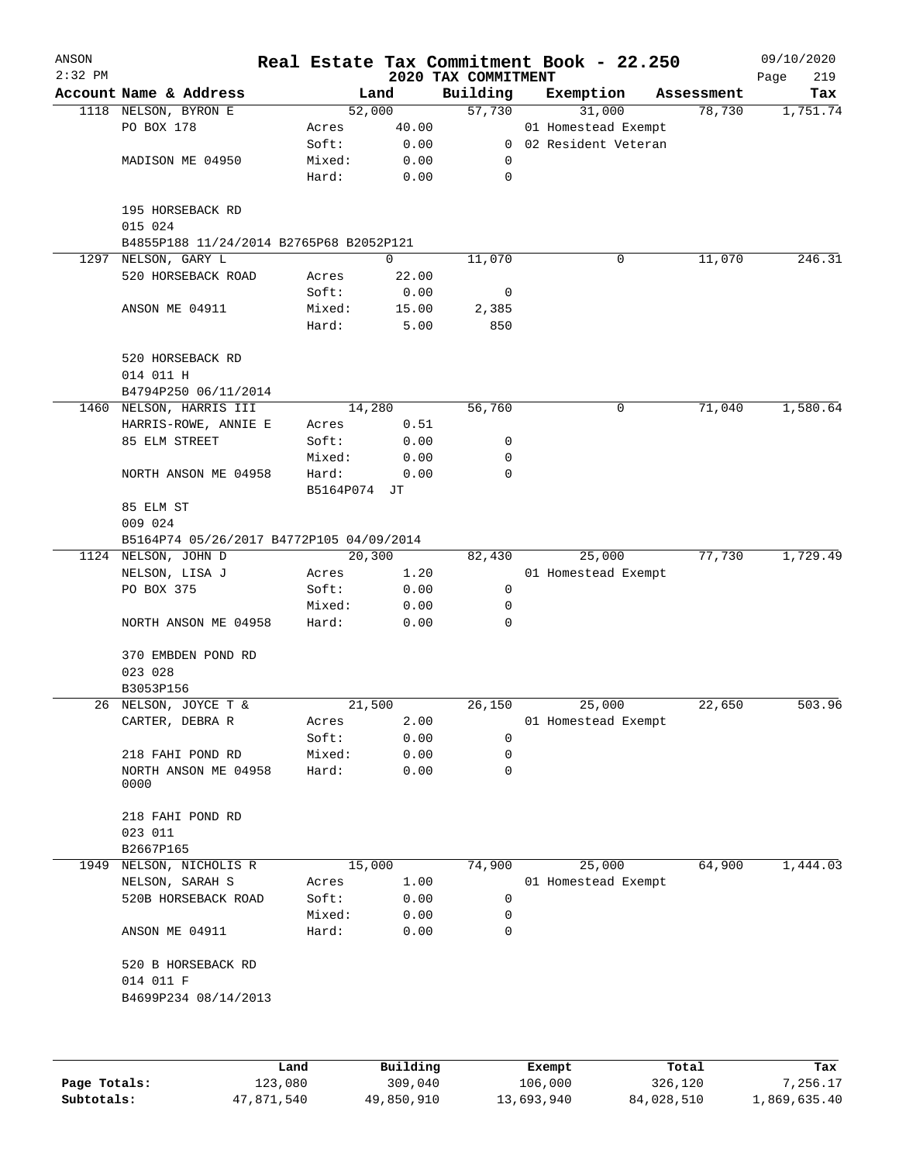| ANSON     |                                          |                 |               |                                 | Real Estate Tax Commitment Book - 22.250 |            | 09/10/2020         |
|-----------|------------------------------------------|-----------------|---------------|---------------------------------|------------------------------------------|------------|--------------------|
| $2:32$ PM | Account Name & Address                   |                 | Land          | 2020 TAX COMMITMENT<br>Building | Exemption                                | Assessment | 219<br>Page<br>Tax |
|           | 1118 NELSON, BYRON E                     | 52,000          |               | 57,730                          | 31,000                                   | 78,730     | 1,751.74           |
|           | PO BOX 178                               | Acres           | 40.00         |                                 | 01 Homestead Exempt                      |            |                    |
|           |                                          | Soft:           | 0.00          |                                 | 0 02 Resident Veteran                    |            |                    |
|           | MADISON ME 04950                         | Mixed:          | 0.00          | 0                               |                                          |            |                    |
|           |                                          | Hard:           | 0.00          | $\mathbf 0$                     |                                          |            |                    |
|           | 195 HORSEBACK RD<br>015 024              |                 |               |                                 |                                          |            |                    |
|           | B4855P188 11/24/2014 B2765P68 B2052P121  |                 |               |                                 |                                          |            |                    |
| 1297      | NELSON, GARY L                           |                 | $\Omega$      | 11,070                          | 0                                        | 11,070     | 246.31             |
|           | 520 HORSEBACK ROAD                       | Acres           | 22.00         |                                 |                                          |            |                    |
|           |                                          | Soft:           | 0.00          | 0                               |                                          |            |                    |
|           | ANSON ME 04911                           | Mixed:<br>Hard: | 15.00<br>5.00 | 2,385<br>850                    |                                          |            |                    |
|           |                                          |                 |               |                                 |                                          |            |                    |
|           | 520 HORSEBACK RD<br>014 011 H            |                 |               |                                 |                                          |            |                    |
|           | B4794P250 06/11/2014                     |                 |               |                                 |                                          |            |                    |
|           | 1460 NELSON, HARRIS III                  | 14,280          |               | 56,760                          | 0                                        | 71,040     | 1,580.64           |
|           | HARRIS-ROWE, ANNIE E                     | Acres           | 0.51          |                                 |                                          |            |                    |
|           | 85 ELM STREET                            | Soft:           | 0.00          | 0                               |                                          |            |                    |
|           |                                          | Mixed:          | 0.00          | $\mathbf 0$                     |                                          |            |                    |
|           | NORTH ANSON ME 04958                     | Hard:           | 0.00          | $\mathbf 0$                     |                                          |            |                    |
|           |                                          | B5164P074 JT    |               |                                 |                                          |            |                    |
|           | 85 ELM ST<br>009 024                     |                 |               |                                 |                                          |            |                    |
|           | B5164P74 05/26/2017 B4772P105 04/09/2014 |                 |               |                                 |                                          |            |                    |
|           | 1124 NELSON, JOHN D                      | 20,300          |               | 82,430                          | 25,000                                   | 77,730     | 1,729.49           |
|           | NELSON, LISA J                           | Acres           | 1.20          |                                 | 01 Homestead Exempt                      |            |                    |
|           | PO BOX 375                               | Soft:           | 0.00          | 0                               |                                          |            |                    |
|           |                                          | Mixed:          | 0.00          | 0                               |                                          |            |                    |
|           | NORTH ANSON ME 04958                     | Hard:           | 0.00          | 0                               |                                          |            |                    |
|           | 370 EMBDEN POND RD                       |                 |               |                                 |                                          |            |                    |
|           | 023 028                                  |                 |               |                                 |                                          |            |                    |
|           | B3053P156                                |                 |               |                                 |                                          |            |                    |
|           | 26 NELSON, JOYCE T &                     | 21,500          |               | 26,150                          | 25,000                                   | 22,650     | 503.96             |
|           | CARTER, DEBRA R                          | Acres           | 2.00          |                                 | 01 Homestead Exempt                      |            |                    |
|           |                                          | Soft:           | 0.00          | 0                               |                                          |            |                    |
|           | 218 FAHI POND RD                         | Mixed:          | 0.00          | $\mathbf 0$                     |                                          |            |                    |
|           | NORTH ANSON ME 04958<br>0000             | Hard:           | 0.00          | 0                               |                                          |            |                    |
|           | 218 FAHI POND RD                         |                 |               |                                 |                                          |            |                    |
|           | 023 011                                  |                 |               |                                 |                                          |            |                    |
|           | B2667P165                                |                 |               |                                 |                                          |            |                    |
| 1949      | NELSON, NICHOLIS R                       | 15,000          |               | 74,900                          | 25,000                                   | 64,900     | 1,444.03           |
|           | NELSON, SARAH S                          | Acres           | 1.00          |                                 | 01 Homestead Exempt                      |            |                    |
|           | 520B HORSEBACK ROAD                      | Soft:           | 0.00          | 0                               |                                          |            |                    |
|           |                                          | Mixed:          | 0.00          | 0                               |                                          |            |                    |
|           | ANSON ME 04911                           | Hard:           | 0.00          | 0                               |                                          |            |                    |
|           | 520 B HORSEBACK RD                       |                 |               |                                 |                                          |            |                    |
|           | 014 011 F<br>B4699P234 08/14/2013        |                 |               |                                 |                                          |            |                    |
|           |                                          |                 |               |                                 |                                          |            |                    |
|           |                                          |                 |               |                                 |                                          |            |                    |
|           |                                          |                 |               |                                 |                                          |            |                    |

|              | Land       | Building   | Exempt     | Total      | Tax          |
|--------------|------------|------------|------------|------------|--------------|
| Page Totals: | 123,080    | 309,040    | 106,000    | 326,120    | 7.256.17     |
| Subtotals:   | 47,871,540 | 49,850,910 | 13,693,940 | 84,028,510 | 1,869,635.40 |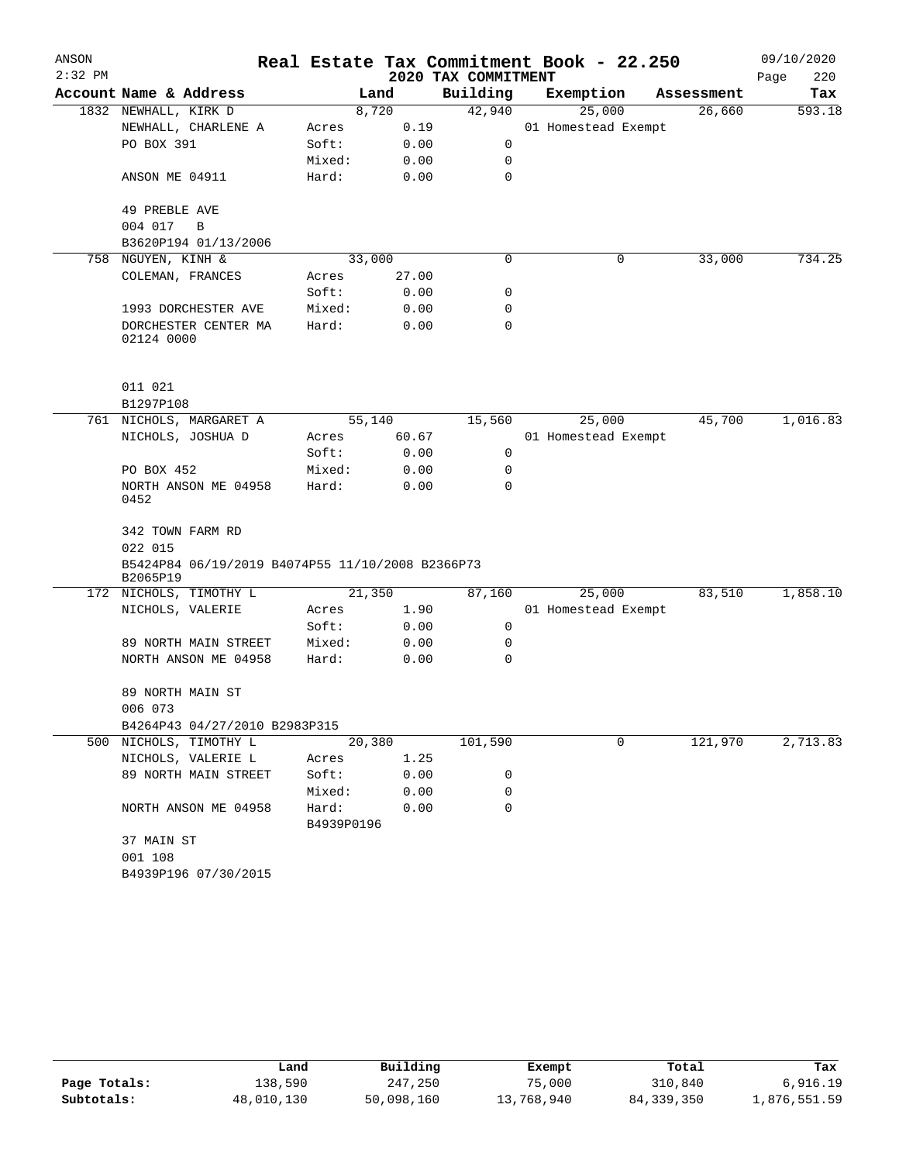| ANSON     |                                                              |                     |        |                     | Real Estate Tax Commitment Book - 22.250 |            | 09/10/2020  |
|-----------|--------------------------------------------------------------|---------------------|--------|---------------------|------------------------------------------|------------|-------------|
| $2:32$ PM |                                                              |                     |        | 2020 TAX COMMITMENT |                                          |            | Page<br>220 |
|           | Account Name & Address                                       |                     | Land   | Building            | Exemption                                | Assessment | Tax         |
|           | 1832 NEWHALL, KIRK D                                         |                     | 8,720  | 42,940              | 25,000                                   | 26,660     | 593.18      |
|           | NEWHALL, CHARLENE A                                          | Acres               | 0.19   |                     | 01 Homestead Exempt                      |            |             |
|           | PO BOX 391                                                   | Soft:               | 0.00   | 0                   |                                          |            |             |
|           |                                                              | Mixed:              | 0.00   | 0                   |                                          |            |             |
|           | ANSON ME 04911                                               | Hard:               | 0.00   | 0                   |                                          |            |             |
|           | 49 PREBLE AVE                                                |                     |        |                     |                                          |            |             |
|           | 004 017<br>B                                                 |                     |        |                     |                                          |            |             |
|           | B3620P194 01/13/2006                                         |                     |        |                     |                                          |            |             |
| 758       | NGUYEN, KINH &                                               |                     | 33,000 | $\mathbf 0$         | 0                                        | 33,000     | 734.25      |
|           | COLEMAN, FRANCES                                             | Acres               | 27.00  |                     |                                          |            |             |
|           |                                                              | Soft:               | 0.00   | 0                   |                                          |            |             |
|           | 1993 DORCHESTER AVE                                          | Mixed:              | 0.00   | 0                   |                                          |            |             |
|           | DORCHESTER CENTER MA<br>02124 0000                           | Hard:               | 0.00   | 0                   |                                          |            |             |
|           | 011 021                                                      |                     |        |                     |                                          |            |             |
|           | B1297P108                                                    |                     |        |                     |                                          |            |             |
|           | 761 NICHOLS, MARGARET A                                      |                     | 55,140 | 15,560              | 25,000                                   | 45,700     | 1,016.83    |
|           | NICHOLS, JOSHUA D                                            | Acres               | 60.67  |                     | 01 Homestead Exempt                      |            |             |
|           |                                                              | Soft:               | 0.00   | 0                   |                                          |            |             |
|           | PO BOX 452                                                   | Mixed:              | 0.00   | 0                   |                                          |            |             |
|           | NORTH ANSON ME 04958<br>0452                                 | Hard:               | 0.00   | $\Omega$            |                                          |            |             |
|           | 342 TOWN FARM RD                                             |                     |        |                     |                                          |            |             |
|           | 022 015                                                      |                     |        |                     |                                          |            |             |
|           | B5424P84 06/19/2019 B4074P55 11/10/2008 B2366P73<br>B2065P19 |                     |        |                     |                                          |            |             |
| 172       | NICHOLS, TIMOTHY L                                           |                     | 21,350 | 87,160              | 25,000                                   | 83,510     | 1,858.10    |
|           | NICHOLS, VALERIE                                             | Acres               | 1.90   |                     | 01 Homestead Exempt                      |            |             |
|           |                                                              | Soft:               | 0.00   | 0                   |                                          |            |             |
|           | 89 NORTH MAIN STREET                                         | Mixed:              | 0.00   | 0                   |                                          |            |             |
|           | NORTH ANSON ME 04958                                         | Hard:               | 0.00   | 0                   |                                          |            |             |
|           | 89 NORTH MAIN ST                                             |                     |        |                     |                                          |            |             |
|           | 006 073                                                      |                     |        |                     |                                          |            |             |
|           | B4264P43 04/27/2010 B2983P315                                |                     |        |                     |                                          |            |             |
|           | 500 NICHOLS, TIMOTHY L                                       |                     | 20,380 | 101,590             | 0                                        | 121,970    | 2,713.83    |
|           | NICHOLS, VALERIE L                                           | Acres               | 1.25   |                     |                                          |            |             |
|           | 89 NORTH MAIN STREET                                         | Soft:               | 0.00   | 0                   |                                          |            |             |
|           |                                                              | Mixed:              | 0.00   | 0                   |                                          |            |             |
|           | NORTH ANSON ME 04958                                         | Hard:<br>B4939P0196 | 0.00   | 0                   |                                          |            |             |
|           | 37 MAIN ST                                                   |                     |        |                     |                                          |            |             |
|           | 001 108                                                      |                     |        |                     |                                          |            |             |
|           | B4939P196 07/30/2015                                         |                     |        |                     |                                          |            |             |

|              | Land       | Building   | Exempt     | Total        | Tax          |
|--------------|------------|------------|------------|--------------|--------------|
| Page Totals: | 138,590    | 247,250    | 75,000     | 310,840      | 6,916.19     |
| Subtotals:   | 48,010,130 | 50,098,160 | 13,768,940 | 84, 339, 350 | 1,876,551.59 |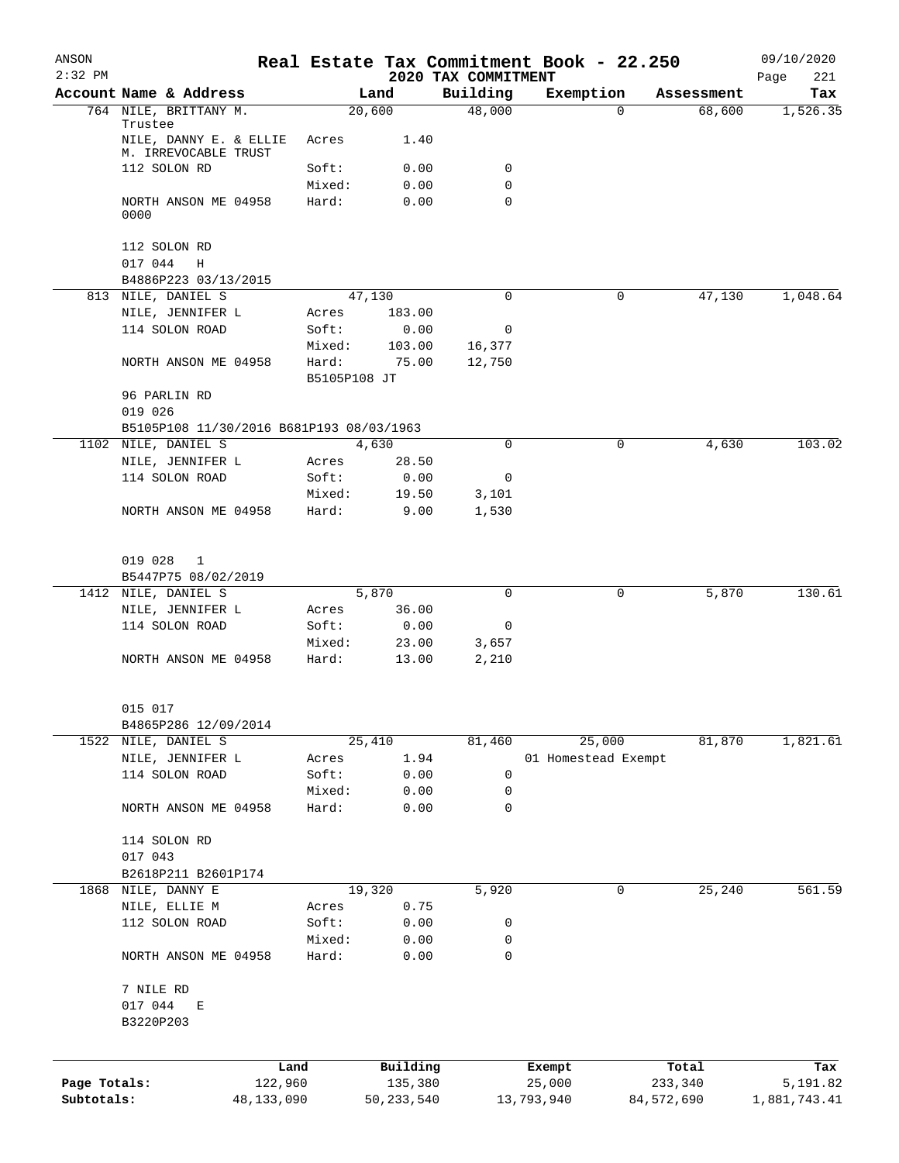| ANSON<br>$2:32$ PM |                                                                 |            |              |                    | 2020 TAX COMMITMENT | Real Estate Tax Commitment Book - 22.250 |                    | 09/10/2020<br>221<br>Page |
|--------------------|-----------------------------------------------------------------|------------|--------------|--------------------|---------------------|------------------------------------------|--------------------|---------------------------|
|                    | Account Name & Address                                          |            |              | Land               | Building            | Exemption                                | Assessment         | Tax                       |
|                    | 764 NILE, BRITTANY M.                                           |            |              | 20,600             | 48,000              |                                          | 68,600<br>$\Omega$ | 1,526.35                  |
|                    | Trustee                                                         |            |              |                    |                     |                                          |                    |                           |
|                    | NILE, DANNY E. & ELLIE<br>M. IRREVOCABLE TRUST                  |            | Acres        | 1.40               |                     |                                          |                    |                           |
|                    | 112 SOLON RD                                                    |            | Soft:        | 0.00               | 0                   |                                          |                    |                           |
|                    |                                                                 |            | Mixed:       | 0.00               | 0                   |                                          |                    |                           |
|                    | NORTH ANSON ME 04958<br>0000                                    |            | Hard:        | 0.00               | $\mathbf 0$         |                                          |                    |                           |
|                    | 112 SOLON RD<br>017 044<br>Η                                    |            |              |                    |                     |                                          |                    |                           |
|                    | B4886P223 03/13/2015                                            |            |              |                    |                     |                                          |                    |                           |
| 813                | NILE, DANIEL S                                                  |            |              | 47,130             | 0                   |                                          | 0<br>47,130        | 1,048.64                  |
|                    | NILE, JENNIFER L                                                |            | Acres        | 183.00             |                     |                                          |                    |                           |
|                    | 114 SOLON ROAD                                                  |            | Soft:        | 0.00               | 0                   |                                          |                    |                           |
|                    |                                                                 |            | Mixed:       | 103.00             | 16,377              |                                          |                    |                           |
|                    | NORTH ANSON ME 04958                                            |            | Hard:        | 75.00              | 12,750              |                                          |                    |                           |
|                    |                                                                 |            | B5105P108 JT |                    |                     |                                          |                    |                           |
|                    | 96 PARLIN RD                                                    |            |              |                    |                     |                                          |                    |                           |
|                    | 019 026                                                         |            |              |                    |                     |                                          |                    |                           |
|                    | B5105P108 11/30/2016 B681P193 08/03/1963<br>1102 NILE, DANIEL S |            |              | 4,630              | 0                   |                                          | 0<br>4,630         | 103.02                    |
|                    | NILE, JENNIFER L                                                |            | Acres        | 28.50              |                     |                                          |                    |                           |
|                    | 114 SOLON ROAD                                                  |            | Soft:        | 0.00               | 0                   |                                          |                    |                           |
|                    |                                                                 |            | Mixed:       | 19.50              | 3,101               |                                          |                    |                           |
|                    | NORTH ANSON ME 04958                                            |            | Hard:        | 9.00               | 1,530               |                                          |                    |                           |
|                    |                                                                 |            |              |                    |                     |                                          |                    |                           |
|                    |                                                                 |            |              |                    |                     |                                          |                    |                           |
|                    | 019 028<br>1                                                    |            |              |                    |                     |                                          |                    |                           |
|                    | B5447P75 08/02/2019                                             |            |              |                    |                     |                                          |                    |                           |
| 1412               | NILE, DANIEL S                                                  |            |              | $\overline{5,870}$ | $\mathbf 0$         |                                          | 5,870<br>0         | 130.61                    |
|                    | NILE, JENNIFER L                                                |            | Acres        | 36.00              |                     |                                          |                    |                           |
|                    | 114 SOLON ROAD                                                  |            | Soft:        | 0.00               | 0                   |                                          |                    |                           |
|                    |                                                                 |            | Mixed:       | 23.00              | 3,657               |                                          |                    |                           |
|                    | NORTH ANSON ME 04958                                            |            | Hard:        | 13.00              | 2,210               |                                          |                    |                           |
|                    | 015 017                                                         |            |              |                    |                     |                                          |                    |                           |
|                    | B4865P286 12/09/2014                                            |            |              |                    |                     |                                          |                    |                           |
|                    | 1522 NILE, DANIEL S                                             |            |              | 25,410             | 81,460              | 25,000                                   | 81,870             | 1,821.61                  |
|                    | NILE, JENNIFER L                                                |            | Acres        | 1.94               |                     | 01 Homestead Exempt                      |                    |                           |
|                    | 114 SOLON ROAD                                                  |            | Soft:        | 0.00               | 0                   |                                          |                    |                           |
|                    |                                                                 |            | Mixed:       | 0.00               | 0                   |                                          |                    |                           |
|                    | NORTH ANSON ME 04958                                            |            | Hard:        | 0.00               | 0                   |                                          |                    |                           |
|                    |                                                                 |            |              |                    |                     |                                          |                    |                           |
|                    | 114 SOLON RD                                                    |            |              |                    |                     |                                          |                    |                           |
|                    | 017 043                                                         |            |              |                    |                     |                                          |                    |                           |
|                    | B2618P211 B2601P174<br>1868 NILE, DANNY E                       |            |              | 19,320             | 5,920               |                                          | 25,240<br>0        | 561.59                    |
|                    | NILE, ELLIE M                                                   |            | Acres        | 0.75               |                     |                                          |                    |                           |
|                    | 112 SOLON ROAD                                                  |            | Soft:        | 0.00               | 0                   |                                          |                    |                           |
|                    |                                                                 |            | Mixed:       | 0.00               | 0                   |                                          |                    |                           |
|                    | NORTH ANSON ME 04958                                            |            | Hard:        | 0.00               | 0                   |                                          |                    |                           |
|                    |                                                                 |            |              |                    |                     |                                          |                    |                           |
|                    | 7 NILE RD                                                       |            |              |                    |                     |                                          |                    |                           |
|                    | 017 044<br>Е                                                    |            |              |                    |                     |                                          |                    |                           |
|                    | B3220P203                                                       |            |              |                    |                     |                                          |                    |                           |
|                    |                                                                 |            |              |                    |                     |                                          |                    |                           |
|                    |                                                                 | Land       |              | Building           |                     | Exempt                                   | Total              | Tax                       |
| Page Totals:       |                                                                 | 122,960    |              | 135,380            |                     | 25,000                                   | 233,340            | 5,191.82                  |
| Subtotals:         |                                                                 | 48,133,090 |              | 50, 233, 540       |                     | 13,793,940                               | 84, 572, 690       | 1,881,743.41              |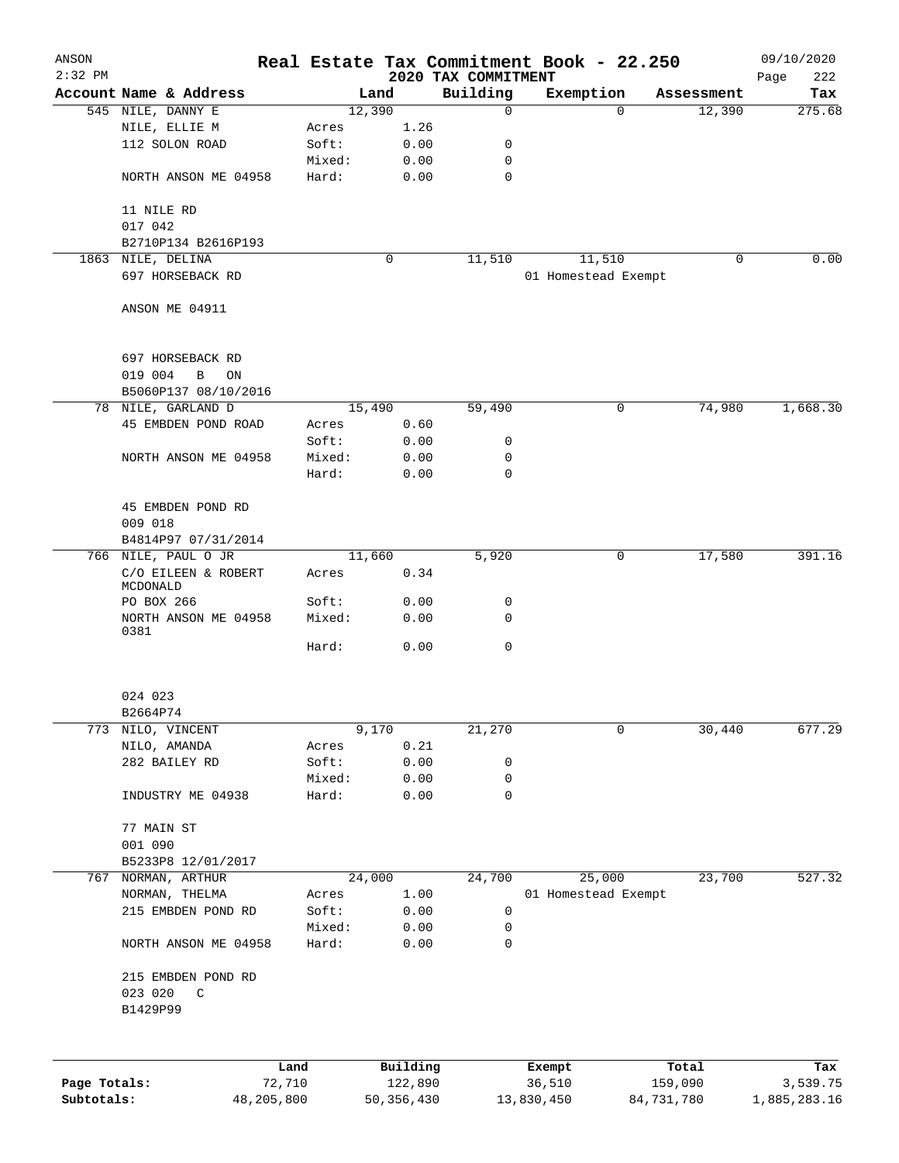| ANSON<br>$2:32$ PM         |                                 |                      |        |                         |      | 2020 TAX COMMITMENT | Real Estate Tax Commitment Book - 22.250 |          |                       | 09/10/2020<br>222<br>Page |
|----------------------------|---------------------------------|----------------------|--------|-------------------------|------|---------------------|------------------------------------------|----------|-----------------------|---------------------------|
|                            | Account Name & Address          |                      |        | Land                    |      | Building            | Exemption                                |          | Assessment            | Tax                       |
|                            | 545 NILE, DANNY E               |                      |        | 12,390                  |      | $\mathbf 0$         |                                          | $\Omega$ | 12,390                | 275.68                    |
|                            | NILE, ELLIE M                   |                      | Acres  |                         | 1.26 |                     |                                          |          |                       |                           |
|                            | 112 SOLON ROAD                  |                      | Soft:  |                         | 0.00 | 0                   |                                          |          |                       |                           |
|                            |                                 |                      | Mixed: |                         | 0.00 | 0                   |                                          |          |                       |                           |
|                            | NORTH ANSON ME 04958            |                      | Hard:  |                         | 0.00 | 0                   |                                          |          |                       |                           |
|                            | 11 NILE RD                      |                      |        |                         |      |                     |                                          |          |                       |                           |
|                            | 017 042                         |                      |        |                         |      |                     |                                          |          |                       |                           |
|                            | B2710P134 B2616P193             |                      |        |                         |      |                     |                                          |          |                       |                           |
|                            | 1863 NILE, DELINA               |                      |        | 0                       |      | 11,510              | 11,510                                   |          | 0                     | 0.00                      |
|                            | 697 HORSEBACK RD                |                      |        |                         |      |                     | 01 Homestead Exempt                      |          |                       |                           |
|                            | ANSON ME 04911                  |                      |        |                         |      |                     |                                          |          |                       |                           |
|                            | 697 HORSEBACK RD                |                      |        |                         |      |                     |                                          |          |                       |                           |
|                            | 019 004<br>B<br>ON              |                      |        |                         |      |                     |                                          |          |                       |                           |
|                            | B5060P137 08/10/2016            |                      |        |                         |      |                     |                                          |          |                       |                           |
|                            | 78 NILE, GARLAND D              |                      |        | 15,490                  |      | 59,490              |                                          | 0        | 74,980                | 1,668.30                  |
|                            | 45 EMBDEN POND ROAD             |                      | Acres  |                         | 0.60 |                     |                                          |          |                       |                           |
|                            |                                 |                      | Soft:  |                         | 0.00 | 0                   |                                          |          |                       |                           |
|                            | NORTH ANSON ME 04958            |                      | Mixed: |                         | 0.00 | 0                   |                                          |          |                       |                           |
|                            |                                 |                      | Hard:  |                         | 0.00 | 0                   |                                          |          |                       |                           |
|                            | 45 EMBDEN POND RD<br>009 018    |                      |        |                         |      |                     |                                          |          |                       |                           |
|                            | B4814P97 07/31/2014             |                      |        |                         |      |                     |                                          |          |                       |                           |
|                            | 766 NILE, PAUL O JR             |                      |        | 11,660                  |      | 5,920               |                                          | 0        | 17,580                | 391.16                    |
|                            | C/O EILEEN & ROBERT<br>MCDONALD |                      | Acres  |                         | 0.34 |                     |                                          |          |                       |                           |
|                            | PO BOX 266                      |                      | Soft:  |                         | 0.00 | 0                   |                                          |          |                       |                           |
|                            | NORTH ANSON ME 04958<br>0381    |                      | Mixed: |                         | 0.00 | 0                   |                                          |          |                       |                           |
|                            |                                 |                      | Hard:  |                         | 0.00 | 0                   |                                          |          |                       |                           |
|                            | 024 023                         |                      |        |                         |      |                     |                                          |          |                       |                           |
|                            | B2664P74                        |                      |        |                         |      |                     |                                          |          |                       |                           |
|                            | 773 NILO, VINCENT               |                      |        | 9,170                   |      | 21,270              |                                          | 0        | 30,440                | 677.29                    |
|                            | NILO, AMANDA                    |                      | Acres  |                         | 0.21 |                     |                                          |          |                       |                           |
|                            | 282 BAILEY RD                   |                      | Soft:  |                         | 0.00 | 0                   |                                          |          |                       |                           |
|                            |                                 |                      | Mixed: |                         | 0.00 | 0                   |                                          |          |                       |                           |
|                            | INDUSTRY ME 04938               |                      | Hard:  |                         | 0.00 | 0                   |                                          |          |                       |                           |
|                            | 77 MAIN ST                      |                      |        |                         |      |                     |                                          |          |                       |                           |
|                            | 001 090                         |                      |        |                         |      |                     |                                          |          |                       |                           |
|                            | B5233P8 12/01/2017              |                      |        |                         |      |                     |                                          |          |                       |                           |
| 767                        | NORMAN, ARTHUR                  |                      |        | 24,000                  |      | 24,700              | 25,000                                   |          | 23,700                | 527.32                    |
|                            | NORMAN, THELMA                  |                      | Acres  |                         | 1.00 |                     | 01 Homestead Exempt                      |          |                       |                           |
|                            | 215 EMBDEN POND RD              |                      | Soft:  |                         | 0.00 | 0                   |                                          |          |                       |                           |
|                            |                                 |                      | Mixed: |                         | 0.00 | 0                   |                                          |          |                       |                           |
|                            | NORTH ANSON ME 04958            |                      | Hard:  |                         | 0.00 | 0                   |                                          |          |                       |                           |
|                            | 215 EMBDEN POND RD              |                      |        |                         |      |                     |                                          |          |                       |                           |
|                            | 023 020<br>$\mathsf C$          |                      |        |                         |      |                     |                                          |          |                       |                           |
|                            | B1429P99                        |                      |        |                         |      |                     |                                          |          |                       |                           |
|                            |                                 |                      |        |                         |      |                     |                                          |          |                       |                           |
|                            |                                 | Land                 |        | Building                |      |                     | Exempt                                   |          | Total                 | Tax                       |
| Page Totals:<br>Subtotals: |                                 | 72,710<br>48,205,800 |        | 122,890<br>50, 356, 430 |      |                     | 36,510<br>13,830,450                     |          | 159,090<br>84,731,780 | 3,539.75<br>1,885,283.16  |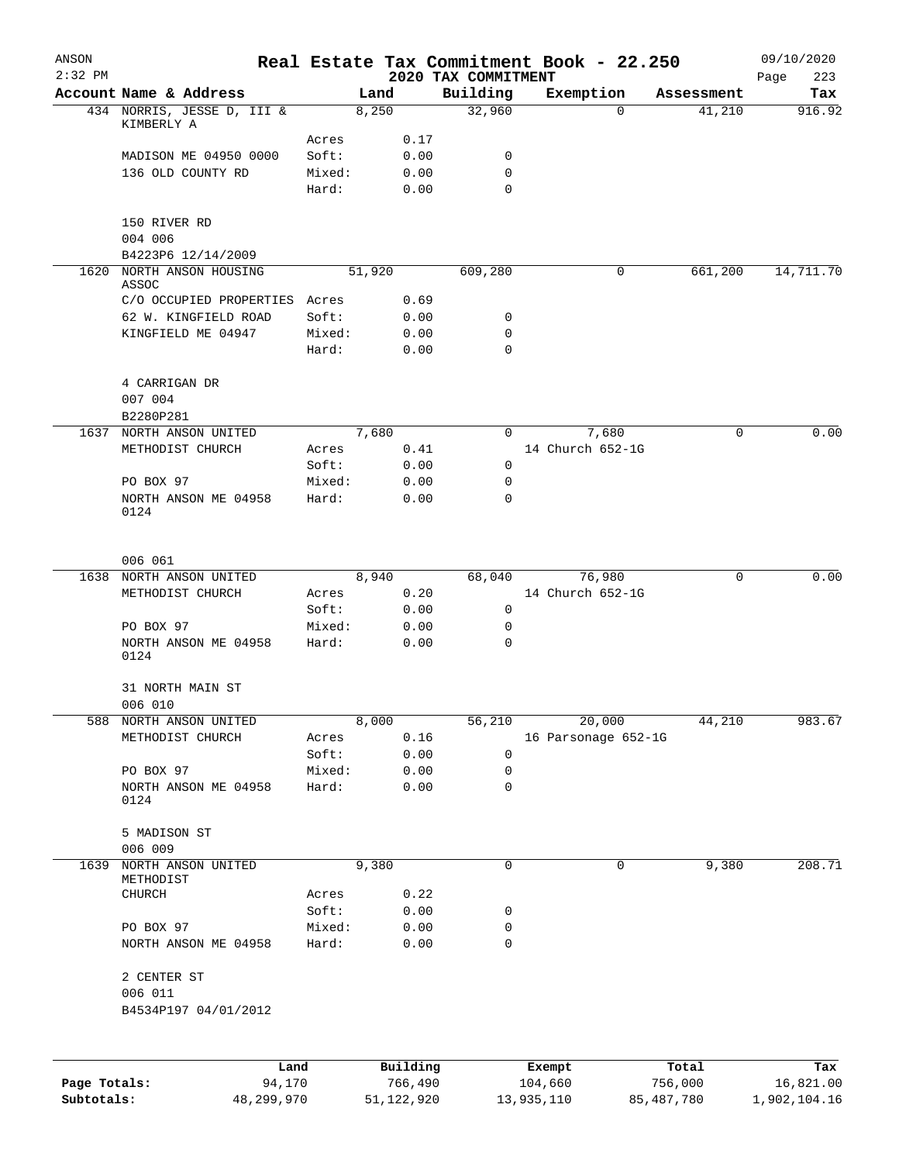| ANSON<br>$2:32$ PM |                                          |        |          |      | 2020 TAX COMMITMENT | Real Estate Tax Commitment Book - 22.250 |         |            | 09/10/2020<br>223<br>Page |
|--------------------|------------------------------------------|--------|----------|------|---------------------|------------------------------------------|---------|------------|---------------------------|
|                    | Account Name & Address                   |        | Land     |      | Building            | Exemption                                |         | Assessment | Tax                       |
|                    | 434 NORRIS, JESSE D, III &<br>KIMBERLY A |        | 8,250    |      | 32,960              | $\Omega$                                 |         | 41,210     | 916.92                    |
|                    |                                          | Acres  |          | 0.17 |                     |                                          |         |            |                           |
|                    | MADISON ME 04950 0000                    | Soft:  |          | 0.00 | 0                   |                                          |         |            |                           |
|                    | 136 OLD COUNTY RD                        | Mixed: |          | 0.00 | $\mathbf 0$         |                                          |         |            |                           |
|                    |                                          | Hard:  |          | 0.00 | $\mathbf 0$         |                                          |         |            |                           |
|                    | 150 RIVER RD                             |        |          |      |                     |                                          |         |            |                           |
|                    | 004 006                                  |        |          |      |                     |                                          |         |            |                           |
|                    | B4223P6 12/14/2009                       |        |          |      |                     |                                          |         |            |                           |
| 1620               | NORTH ANSON HOUSING<br>ASSOC             |        | 51,920   |      | 609,280             | 0                                        |         | 661,200    | 14,711.70                 |
|                    | C/O OCCUPIED PROPERTIES                  | Acres  |          | 0.69 |                     |                                          |         |            |                           |
|                    | 62 W. KINGFIELD ROAD                     | Soft:  |          | 0.00 | 0                   |                                          |         |            |                           |
|                    | KINGFIELD ME 04947                       | Mixed: |          | 0.00 | 0                   |                                          |         |            |                           |
|                    |                                          | Hard:  |          | 0.00 | 0                   |                                          |         |            |                           |
|                    | 4 CARRIGAN DR                            |        |          |      |                     |                                          |         |            |                           |
|                    | 007 004                                  |        |          |      |                     |                                          |         |            |                           |
|                    | B2280P281                                |        |          |      |                     |                                          |         |            |                           |
|                    | 1637 NORTH ANSON UNITED                  |        | 7,680    |      | $\Omega$            | 7,680                                    |         | 0          | 0.00                      |
|                    | METHODIST CHURCH                         | Acres  |          | 0.41 |                     | 14 Church 652-1G                         |         |            |                           |
|                    |                                          | Soft:  |          | 0.00 | 0                   |                                          |         |            |                           |
|                    | PO BOX 97                                | Mixed: |          | 0.00 | 0                   |                                          |         |            |                           |
|                    | NORTH ANSON ME 04958<br>0124             | Hard:  |          | 0.00 | $\mathbf 0$         |                                          |         |            |                           |
|                    | 006 061                                  |        |          |      |                     |                                          |         |            |                           |
| 1638               | NORTH ANSON UNITED                       |        | 8,940    |      | 68,040              | 76,980                                   |         | 0          | 0.00                      |
|                    | METHODIST CHURCH                         | Acres  |          | 0.20 |                     | 14 Church 652-1G                         |         |            |                           |
|                    |                                          | Soft:  |          | 0.00 | 0                   |                                          |         |            |                           |
|                    | PO BOX 97                                | Mixed: |          | 0.00 | 0                   |                                          |         |            |                           |
|                    | NORTH ANSON ME 04958<br>0124             | Hard:  |          | 0.00 | $\mathbf 0$         |                                          |         |            |                           |
|                    | 31 NORTH MAIN ST                         |        |          |      |                     |                                          |         |            |                           |
|                    | 006 010                                  |        |          |      |                     |                                          |         |            |                           |
|                    | 588 NORTH ANSON UNITED                   |        | 8,000    |      | 56,210              | 20,000                                   |         | 44,210     | 983.67                    |
|                    | METHODIST CHURCH                         | Acres  |          | 0.16 |                     | 16 Parsonage 652-1G                      |         |            |                           |
|                    |                                          | Soft:  |          | 0.00 | 0                   |                                          |         |            |                           |
|                    | PO BOX 97                                | Mixed: |          | 0.00 | 0                   |                                          |         |            |                           |
|                    | NORTH ANSON ME 04958<br>0124             | Hard:  |          | 0.00 | $\mathbf 0$         |                                          |         |            |                           |
|                    | 5 MADISON ST<br>006 009                  |        |          |      |                     |                                          |         |            |                           |
| 1639               | NORTH ANSON UNITED<br>METHODIST          |        | 9,380    |      | 0                   | 0                                        |         | 9,380      | 208.71                    |
|                    | CHURCH                                   | Acres  |          | 0.22 |                     |                                          |         |            |                           |
|                    |                                          | Soft:  |          | 0.00 | 0                   |                                          |         |            |                           |
|                    | PO BOX 97                                | Mixed: |          | 0.00 | 0                   |                                          |         |            |                           |
|                    | NORTH ANSON ME 04958                     | Hard:  |          | 0.00 | 0                   |                                          |         |            |                           |
|                    | 2 CENTER ST<br>006 011                   |        |          |      |                     |                                          |         |            |                           |
|                    | B4534P197 04/01/2012                     |        |          |      |                     |                                          |         |            |                           |
|                    |                                          |        |          |      |                     |                                          |         |            |                           |
|                    | Land                                     |        | Building |      |                     | Exempt                                   |         | Total      | Tax                       |
| Page Totals:       | 94,170                                   |        | 766,490  |      |                     | 104,660                                  | 756,000 |            | 16,821.00                 |

**Subtotals:** 48,299,970 51,122,920 13,935,110 85,487,780 1,902,104.16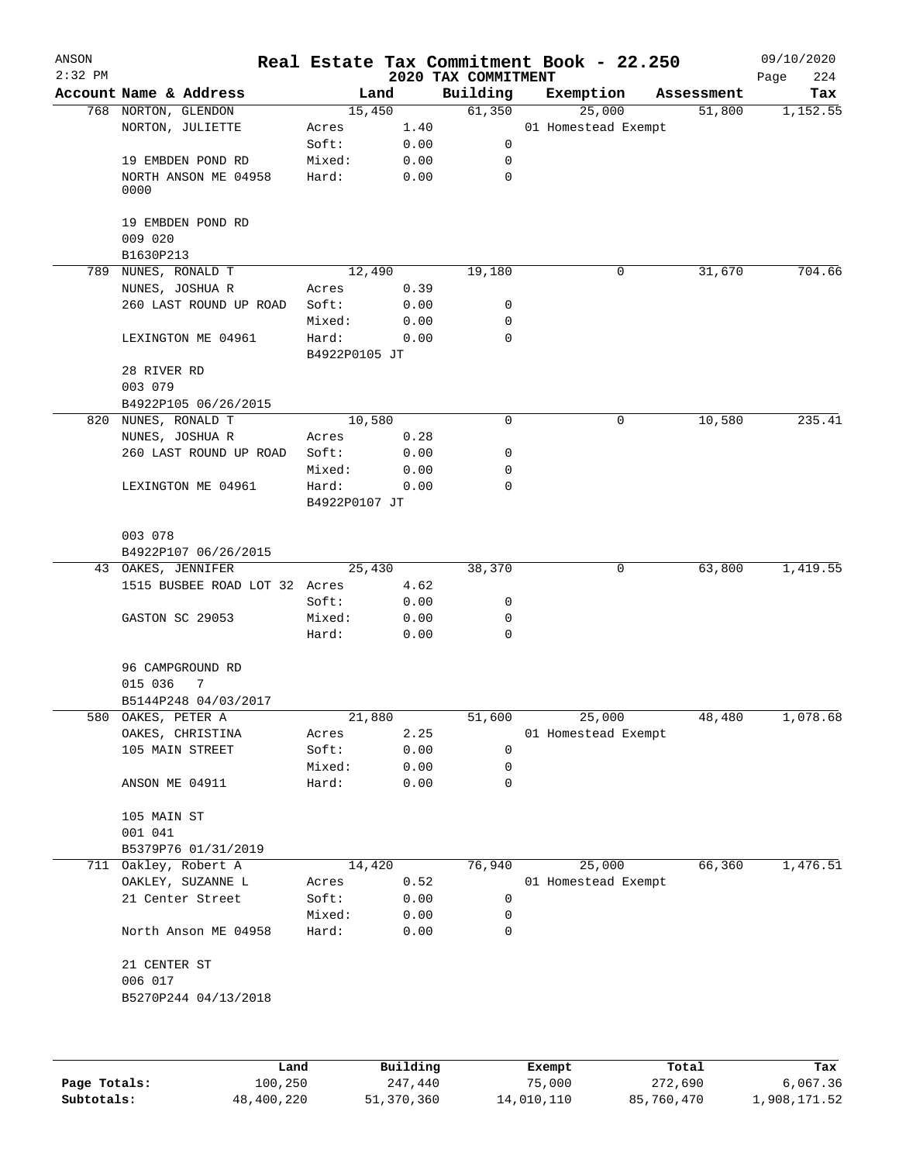| ANSON<br>$2:32$ PM |                                  |                        |          | 2020 TAX COMMITMENT | Real Estate Tax Commitment Book - 22.250 |            | 09/10/2020<br>Page<br>224 |
|--------------------|----------------------------------|------------------------|----------|---------------------|------------------------------------------|------------|---------------------------|
|                    | Account Name & Address           |                        | Land     | Building            | Exemption                                | Assessment | Tax                       |
|                    | 768 NORTON, GLENDON              |                        | 15,450   | 61,350              | 25,000                                   | 51,800     | 1,152.55                  |
|                    | NORTON, JULIETTE                 | Acres                  | 1.40     |                     | 01 Homestead Exempt                      |            |                           |
|                    |                                  | Soft:                  | 0.00     | 0                   |                                          |            |                           |
|                    | 19 EMBDEN POND RD                | Mixed:                 | 0.00     | 0                   |                                          |            |                           |
|                    | NORTH ANSON ME 04958<br>0000     | Hard:                  | 0.00     | 0                   |                                          |            |                           |
|                    | 19 EMBDEN POND RD<br>009 020     |                        |          |                     |                                          |            |                           |
|                    | B1630P213                        |                        |          |                     |                                          |            |                           |
| 789                | NUNES, RONALD T                  |                        | 12,490   | 19,180              | 0                                        | 31,670     | 704.66                    |
|                    | NUNES, JOSHUA R                  | Acres                  | 0.39     |                     |                                          |            |                           |
|                    | 260 LAST ROUND UP ROAD           | Soft:                  | 0.00     | 0                   |                                          |            |                           |
|                    |                                  | Mixed:                 | 0.00     | 0                   |                                          |            |                           |
|                    | LEXINGTON ME 04961               | Hard:<br>B4922P0105 JT | 0.00     | 0                   |                                          |            |                           |
|                    | 28 RIVER RD                      |                        |          |                     |                                          |            |                           |
|                    | 003 079                          |                        |          |                     |                                          |            |                           |
|                    | B4922P105 06/26/2015             |                        |          |                     |                                          |            |                           |
| 820                | NUNES, RONALD T                  |                        | 10,580   | $\mathbf 0$         | 0                                        | 10,580     | 235.41                    |
|                    | NUNES, JOSHUA R                  | Acres                  | 0.28     |                     |                                          |            |                           |
|                    | 260 LAST ROUND UP ROAD           | Soft:                  | 0.00     | 0                   |                                          |            |                           |
|                    |                                  | Mixed:                 | 0.00     | 0                   |                                          |            |                           |
|                    | LEXINGTON ME 04961               | Hard:<br>B4922P0107 JT | 0.00     | 0                   |                                          |            |                           |
|                    | 003 078                          |                        |          |                     |                                          |            |                           |
|                    | B4922P107 06/26/2015             |                        |          |                     |                                          |            |                           |
|                    | 43 OAKES, JENNIFER               |                        | 25,430   | 38,370              | 0                                        | 63,800     | 1,419.55                  |
|                    | 1515 BUSBEE ROAD LOT 32 Acres    |                        | 4.62     |                     |                                          |            |                           |
|                    |                                  | Soft:                  | 0.00     | 0                   |                                          |            |                           |
|                    | GASTON SC 29053                  | Mixed:                 | 0.00     | 0                   |                                          |            |                           |
|                    |                                  | Hard:                  | 0.00     | $\mathbf 0$         |                                          |            |                           |
|                    | 96 CAMPGROUND RD<br>015 036<br>7 |                        |          |                     |                                          |            |                           |
|                    | B5144P248 04/03/2017             |                        |          |                     |                                          |            |                           |
| 580                | OAKES, PETER A                   |                        | 21,880   | 51,600              | 25,000                                   | 48,480     | 1,078.68                  |
|                    | OAKES, CHRISTINA                 | Acres                  | 2.25     |                     | 01 Homestead Exempt                      |            |                           |
|                    | 105 MAIN STREET                  | Soft:                  | 0.00     | 0                   |                                          |            |                           |
|                    |                                  | Mixed:                 | 0.00     | 0                   |                                          |            |                           |
|                    | ANSON ME 04911                   | Hard:                  | 0.00     | 0                   |                                          |            |                           |
|                    | 105 MAIN ST                      |                        |          |                     |                                          |            |                           |
|                    | 001 041                          |                        |          |                     |                                          |            |                           |
|                    | B5379P76 01/31/2019              |                        |          |                     |                                          |            |                           |
|                    | 711 Oakley, Robert A             |                        | 14,420   | 76,940              | 25,000                                   | 66,360     | 1,476.51                  |
|                    | OAKLEY, SUZANNE L                | Acres                  | 0.52     |                     | 01 Homestead Exempt                      |            |                           |
|                    | 21 Center Street                 | Soft:                  | 0.00     | 0                   |                                          |            |                           |
|                    |                                  | Mixed:                 | 0.00     | 0                   |                                          |            |                           |
|                    | North Anson ME 04958             | Hard:                  | 0.00     | 0                   |                                          |            |                           |
|                    | 21 CENTER ST                     |                        |          |                     |                                          |            |                           |
|                    | 006 017                          |                        |          |                     |                                          |            |                           |
|                    | B5270P244 04/13/2018             |                        |          |                     |                                          |            |                           |
|                    |                                  |                        |          |                     |                                          |            |                           |
|                    | Land.                            |                        | Building |                     | $F$ vomnt                                | $T$ ctal   | Tox                       |

|              | Land       | Building   | Exempt     | Total      | Tax          |
|--------------|------------|------------|------------|------------|--------------|
| Page Totals: | 100,250    | 247,440    | 75,000     | 272,690    | 6,067.36     |
| Subtotals:   | 48,400,220 | 51,370,360 | 14,010,110 | 85,760,470 | 1,908,171.52 |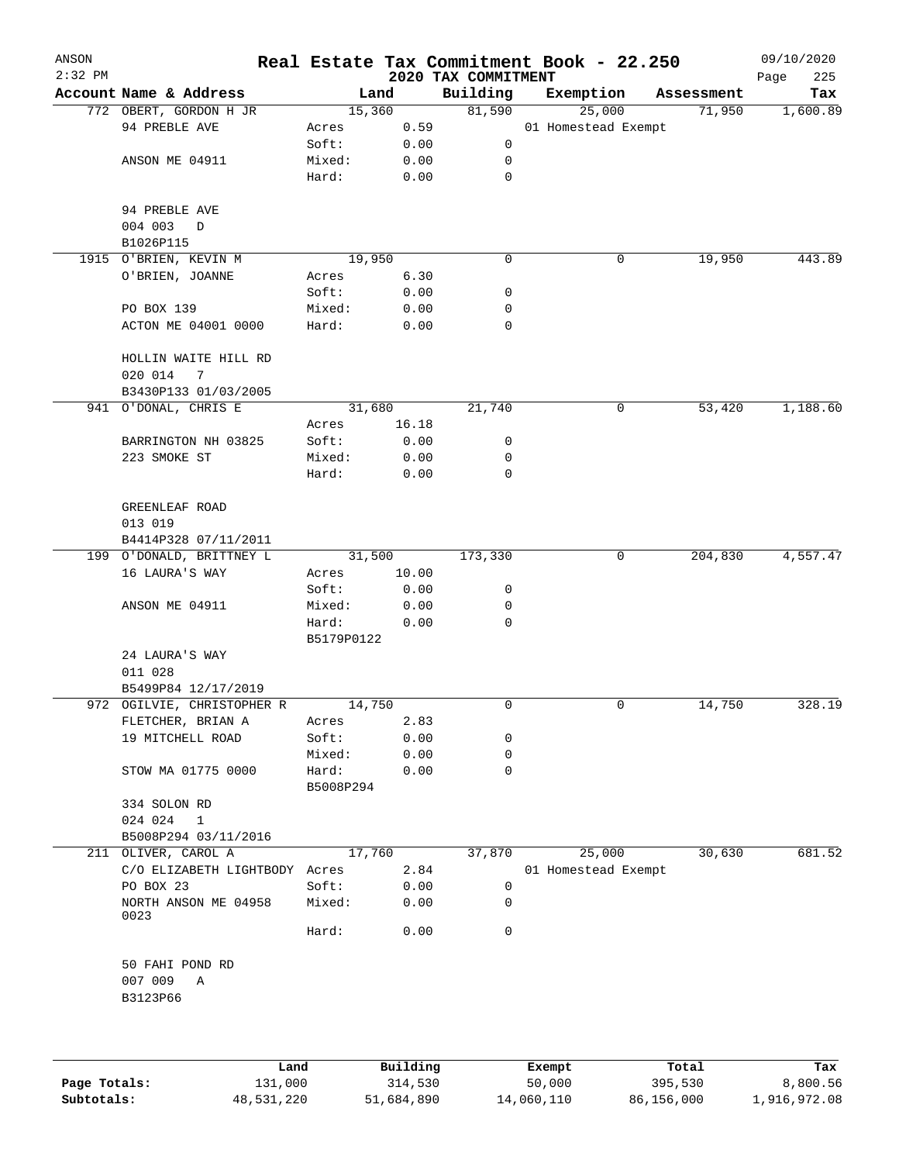| ANSON     |                                      |                     |       |                                 | Real Estate Tax Commitment Book - 22.250 |            | 09/10/2020         |
|-----------|--------------------------------------|---------------------|-------|---------------------------------|------------------------------------------|------------|--------------------|
| $2:32$ PM | Account Name & Address               | Land                |       | 2020 TAX COMMITMENT<br>Building | Exemption                                | Assessment | 225<br>Page<br>Tax |
|           | 772 OBERT, GORDON H JR               | 15,360              |       | 81,590                          | 25,000                                   | 71,950     | 1,600.89           |
|           | 94 PREBLE AVE                        | Acres               | 0.59  |                                 | 01 Homestead Exempt                      |            |                    |
|           |                                      | Soft:               | 0.00  | 0                               |                                          |            |                    |
|           | ANSON ME 04911                       | Mixed:              | 0.00  | 0                               |                                          |            |                    |
|           |                                      | Hard:               | 0.00  | $\mathbf 0$                     |                                          |            |                    |
|           | 94 PREBLE AVE                        |                     |       |                                 |                                          |            |                    |
|           | 004 003<br>$\mathbf D$               |                     |       |                                 |                                          |            |                    |
|           | B1026P115                            |                     |       |                                 |                                          |            |                    |
|           | 1915 O'BRIEN, KEVIN M                | 19,950              |       | 0                               | 0                                        | 19,950     | 443.89             |
|           | O'BRIEN, JOANNE                      | Acres               | 6.30  |                                 |                                          |            |                    |
|           |                                      | Soft:               | 0.00  | 0                               |                                          |            |                    |
|           | PO BOX 139                           | Mixed:              | 0.00  | 0                               |                                          |            |                    |
|           | ACTON ME 04001 0000                  | Hard:               | 0.00  | 0                               |                                          |            |                    |
|           | HOLLIN WAITE HILL RD<br>020 014<br>7 |                     |       |                                 |                                          |            |                    |
|           | B3430P133 01/03/2005                 |                     |       |                                 |                                          |            |                    |
|           | 941 O'DONAL, CHRIS E                 | 31,680              |       | 21,740                          | 0                                        | 53,420     | 1,188.60           |
|           |                                      | Acres               | 16.18 |                                 |                                          |            |                    |
|           | BARRINGTON NH 03825                  | Soft:               | 0.00  | 0                               |                                          |            |                    |
|           | 223 SMOKE ST                         | Mixed:              | 0.00  | 0                               |                                          |            |                    |
|           |                                      | Hard:               | 0.00  | 0                               |                                          |            |                    |
|           | GREENLEAF ROAD                       |                     |       |                                 |                                          |            |                    |
|           | 013 019                              |                     |       |                                 |                                          |            |                    |
|           | B4414P328 07/11/2011                 |                     |       |                                 |                                          |            |                    |
|           | 199 O'DONALD, BRITTNEY L             | 31,500              |       | 173,330                         | $\mathbf 0$                              | 204,830    | 4,557.47           |
|           | 16 LAURA'S WAY                       | Acres               | 10.00 |                                 |                                          |            |                    |
|           |                                      | Soft:               | 0.00  | 0                               |                                          |            |                    |
|           | ANSON ME 04911                       | Mixed:              | 0.00  | 0                               |                                          |            |                    |
|           |                                      | Hard:<br>B5179P0122 | 0.00  | 0                               |                                          |            |                    |
|           | 24 LAURA'S WAY                       |                     |       |                                 |                                          |            |                    |
|           | 011 028                              |                     |       |                                 |                                          |            |                    |
|           | B5499P84 12/17/2019                  |                     |       |                                 |                                          |            |                    |
|           | 972 OGILVIE, CHRISTOPHER R           | 14,750              |       | 0                               | 0                                        | 14,750     | 328.19             |
|           | FLETCHER, BRIAN A                    | Acres               | 2.83  |                                 |                                          |            |                    |
|           | 19 MITCHELL ROAD                     | Soft:               | 0.00  | 0                               |                                          |            |                    |
|           |                                      | Mixed:              | 0.00  | 0                               |                                          |            |                    |
|           | STOW MA 01775 0000                   | Hard:<br>B5008P294  | 0.00  | 0                               |                                          |            |                    |
|           | 334 SOLON RD                         |                     |       |                                 |                                          |            |                    |
|           | 024 024<br>1                         |                     |       |                                 |                                          |            |                    |
|           | B5008P294 03/11/2016                 |                     |       |                                 |                                          |            |                    |
| 211       | OLIVER, CAROL A                      | 17,760              |       | 37,870                          | 25,000                                   | 30,630     | 681.52             |
|           | C/O ELIZABETH LIGHTBODY Acres        |                     | 2.84  |                                 | 01 Homestead Exempt                      |            |                    |
|           | PO BOX 23                            | Soft:               | 0.00  | 0                               |                                          |            |                    |
|           | NORTH ANSON ME 04958<br>0023         | Mixed:              | 0.00  | 0                               |                                          |            |                    |
|           |                                      | Hard:               | 0.00  | 0                               |                                          |            |                    |
|           | 50 FAHI POND RD                      |                     |       |                                 |                                          |            |                    |
|           | 007 009<br>Α<br>B3123P66             |                     |       |                                 |                                          |            |                    |
|           |                                      |                     |       |                                 |                                          |            |                    |
|           |                                      |                     |       |                                 |                                          |            |                    |
|           |                                      |                     |       |                                 |                                          |            |                    |

|              | Land       | Building   | Exempt     | Total      | Tax          |
|--------------|------------|------------|------------|------------|--------------|
| Page Totals: | 131,000    | 314,530    | 50,000     | 395,530    | 8,800.56     |
| Subtotals:   | 48,531,220 | 51,684,890 | 14,060,110 | 86,156,000 | 1,916,972.08 |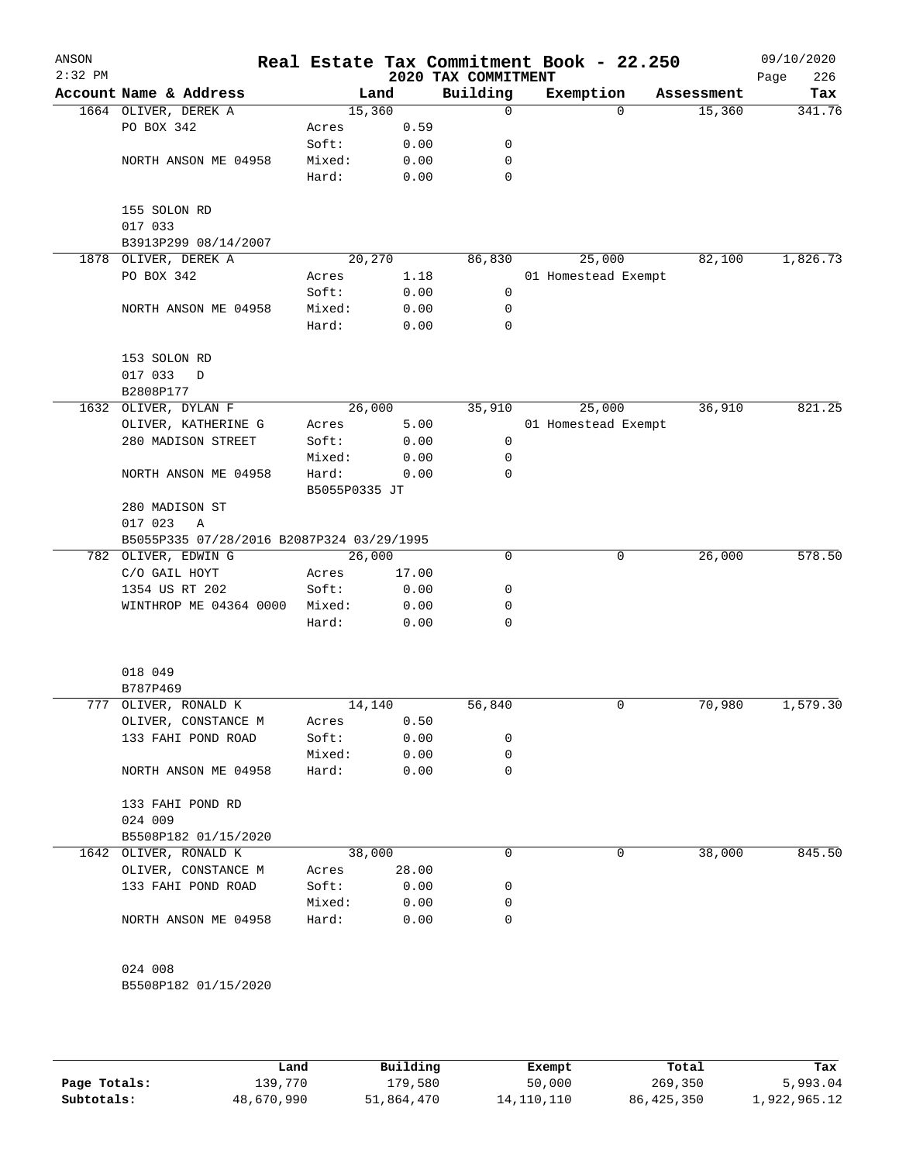| ANSON<br>$2:32$ PM |                                           |               |       | 2020 TAX COMMITMENT | Real Estate Tax Commitment Book - 22.250 |          |            | 09/10/2020<br>226<br>Page |
|--------------------|-------------------------------------------|---------------|-------|---------------------|------------------------------------------|----------|------------|---------------------------|
|                    | Account Name & Address                    |               | Land  | Building            | Exemption                                |          | Assessment | Tax                       |
|                    | 1664 OLIVER, DEREK A                      | 15,360        |       | 0                   |                                          | $\Omega$ | 15,360     | 341.76                    |
|                    | PO BOX 342                                | Acres         | 0.59  |                     |                                          |          |            |                           |
|                    |                                           | Soft:         | 0.00  | 0                   |                                          |          |            |                           |
|                    | NORTH ANSON ME 04958                      | Mixed:        | 0.00  | 0                   |                                          |          |            |                           |
|                    |                                           | Hard:         | 0.00  | 0                   |                                          |          |            |                           |
|                    | 155 SOLON RD<br>017 033                   |               |       |                     |                                          |          |            |                           |
|                    | B3913P299 08/14/2007                      |               |       |                     |                                          |          |            |                           |
| 1878               | OLIVER, DEREK A                           | 20,270        |       | 86,830              | 25,000                                   |          | 82,100     | 1,826.73                  |
|                    | PO BOX 342                                | Acres         | 1.18  |                     | 01 Homestead Exempt                      |          |            |                           |
|                    |                                           | Soft:         | 0.00  | $\mathsf{O}$        |                                          |          |            |                           |
|                    | NORTH ANSON ME 04958                      | Mixed:        | 0.00  | 0                   |                                          |          |            |                           |
|                    |                                           | Hard:         | 0.00  | 0                   |                                          |          |            |                           |
|                    | 153 SOLON RD                              |               |       |                     |                                          |          |            |                           |
|                    | 017 033<br>D                              |               |       |                     |                                          |          |            |                           |
|                    | B2808P177                                 |               |       |                     |                                          |          |            |                           |
|                    | 1632 OLIVER, DYLAN F                      | 26,000        |       | 35,910              | 25,000                                   |          | 36,910     | 821.25                    |
|                    | OLIVER, KATHERINE G                       | Acres         | 5.00  |                     | 01 Homestead Exempt                      |          |            |                           |
|                    | 280 MADISON STREET                        | Soft:         | 0.00  | 0                   |                                          |          |            |                           |
|                    |                                           | Mixed:        | 0.00  | 0                   |                                          |          |            |                           |
|                    | NORTH ANSON ME 04958                      | Hard:         | 0.00  | 0                   |                                          |          |            |                           |
|                    |                                           | B5055P0335 JT |       |                     |                                          |          |            |                           |
|                    | 280 MADISON ST                            |               |       |                     |                                          |          |            |                           |
|                    | 017 023<br>$\mathbb{A}$                   |               |       |                     |                                          |          |            |                           |
|                    | B5055P335 07/28/2016 B2087P324 03/29/1995 |               |       |                     |                                          |          |            |                           |
|                    | 782 OLIVER, EDWIN G                       | 26,000        |       | 0                   |                                          | 0        | 26,000     | 578.50                    |
|                    | C/O GAIL HOYT                             | Acres         | 17.00 |                     |                                          |          |            |                           |
|                    | 1354 US RT 202                            | Soft:         | 0.00  | 0                   |                                          |          |            |                           |
|                    | WINTHROP ME 04364 0000                    | Mixed:        | 0.00  | 0                   |                                          |          |            |                           |
|                    |                                           | Hard:         | 0.00  | 0                   |                                          |          |            |                           |
|                    |                                           |               |       |                     |                                          |          |            |                           |
|                    | 018 049                                   |               |       |                     |                                          |          |            |                           |
|                    | B787P469                                  |               |       |                     |                                          |          |            |                           |
|                    | 777 OLIVER, RONALD K                      | 14,140        |       | 56,840              |                                          | 0        | 70,980     | 1,579.30                  |
|                    | OLIVER, CONSTANCE M                       | Acres         | 0.50  |                     |                                          |          |            |                           |
|                    | 133 FAHI POND ROAD                        | Soft:         | 0.00  | 0                   |                                          |          |            |                           |
|                    |                                           | Mixed:        | 0.00  | 0                   |                                          |          |            |                           |
|                    | NORTH ANSON ME 04958                      | Hard:         | 0.00  | 0                   |                                          |          |            |                           |
|                    | 133 FAHI POND RD                          |               |       |                     |                                          |          |            |                           |
|                    | 024 009                                   |               |       |                     |                                          |          |            |                           |
|                    | B5508P182 01/15/2020                      |               |       |                     |                                          |          |            |                           |
|                    | 1642 OLIVER, RONALD K                     | 38,000        |       | 0                   |                                          | 0        | 38,000     | 845.50                    |
|                    | OLIVER, CONSTANCE M                       | Acres         | 28.00 |                     |                                          |          |            |                           |
|                    | 133 FAHI POND ROAD                        | Soft:         | 0.00  | 0                   |                                          |          |            |                           |
|                    |                                           | Mixed:        | 0.00  | 0                   |                                          |          |            |                           |
|                    | NORTH ANSON ME 04958                      | Hard:         | 0.00  | 0                   |                                          |          |            |                           |
|                    | 024 008                                   |               |       |                     |                                          |          |            |                           |
|                    | B5508P182 01/15/2020                      |               |       |                     |                                          |          |            |                           |
|                    |                                           |               |       |                     |                                          |          |            |                           |
|                    |                                           |               |       |                     |                                          |          |            |                           |

|              | Land       | Building   | Exempt       | Total      | Tax          |
|--------------|------------|------------|--------------|------------|--------------|
| Page Totals: | 139,770    | 179,580    | 50,000       | 269,350    | 5,993.04     |
| Subtotals:   | 48,670,990 | 51,864,470 | 14, 110, 110 | 86,425,350 | 1,922,965.12 |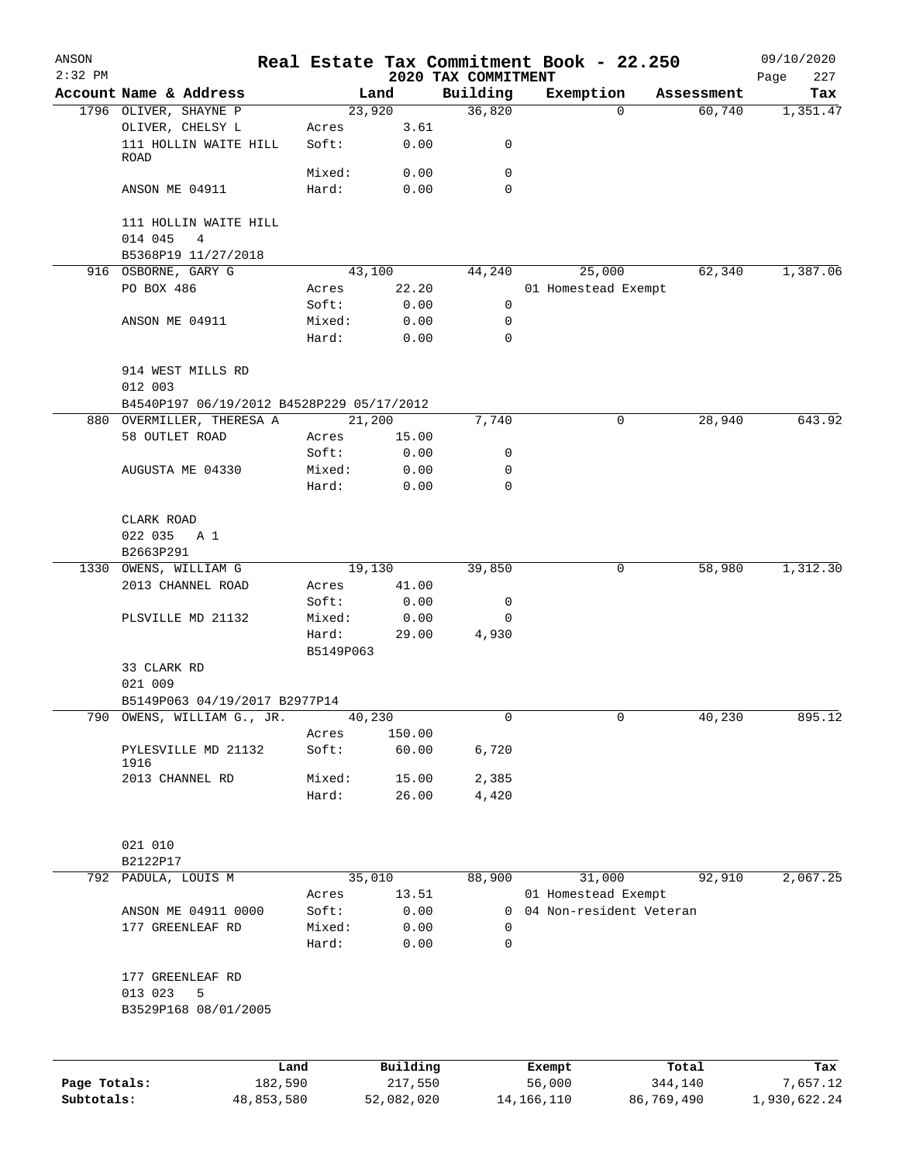| ANSON        |                                             |            |                    |              |                                 | Real Estate Tax Commitment Book - 22.250 |            | 09/10/2020         |
|--------------|---------------------------------------------|------------|--------------------|--------------|---------------------------------|------------------------------------------|------------|--------------------|
| $2:32$ PM    | Account Name & Address                      |            |                    | Land         | 2020 TAX COMMITMENT<br>Building |                                          | Assessment | 227<br>Page<br>Tax |
|              | 1796 OLIVER, SHAYNE P                       |            |                    | 23,920       | 36,820                          | Exemption<br>$\Omega$                    | 60,740     | 1,351.47           |
|              | OLIVER, CHELSY L                            |            | Acres              | 3.61         |                                 |                                          |            |                    |
|              | 111 HOLLIN WAITE HILL<br>ROAD               |            | Soft:              | 0.00         | 0                               |                                          |            |                    |
|              |                                             |            | Mixed:             | 0.00         | 0                               |                                          |            |                    |
|              | ANSON ME 04911                              |            | Hard:              | 0.00         | $\Omega$                        |                                          |            |                    |
|              | 111 HOLLIN WAITE HILL                       |            |                    |              |                                 |                                          |            |                    |
|              | 014 045<br>4                                |            |                    |              |                                 |                                          |            |                    |
|              | B5368P19 11/27/2018                         |            |                    |              |                                 |                                          | 62,340     | 1,387.06           |
|              | 916 OSBORNE, GARY G                         |            |                    | 43,100       | 44,240                          | 25,000                                   |            |                    |
|              | PO BOX 486                                  |            | Acres              | 22.20        |                                 | 01 Homestead Exempt                      |            |                    |
|              |                                             |            | Soft:              | 0.00         | 0                               |                                          |            |                    |
|              | ANSON ME 04911                              |            | Mixed:<br>Hard:    | 0.00<br>0.00 | 0<br>0                          |                                          |            |                    |
|              | 914 WEST MILLS RD                           |            |                    |              |                                 |                                          |            |                    |
|              | 012 003                                     |            |                    |              |                                 |                                          |            |                    |
|              | B4540P197 06/19/2012 B4528P229 05/17/2012   |            |                    | 21,200       | 7,740                           | 0                                        | 28,940     | 643.92             |
|              | 880 OVERMILLER, THERESA A<br>58 OUTLET ROAD |            |                    |              |                                 |                                          |            |                    |
|              |                                             |            | Acres              | 15.00        |                                 |                                          |            |                    |
|              |                                             |            | Soft:              | 0.00         | 0                               |                                          |            |                    |
|              | AUGUSTA ME 04330                            |            | Mixed:             | 0.00         | 0                               |                                          |            |                    |
|              |                                             |            | Hard:              | 0.00         | $\mathbf 0$                     |                                          |            |                    |
|              | CLARK ROAD                                  |            |                    |              |                                 |                                          |            |                    |
|              | 022 035<br>A 1                              |            |                    |              |                                 |                                          |            |                    |
|              | B2663P291                                   |            |                    |              |                                 |                                          |            |                    |
| 1330         | OWENS, WILLIAM G                            |            |                    | 19,130       | 39,850                          | 0                                        | 58,980     | 1,312.30           |
|              | 2013 CHANNEL ROAD                           |            | Acres              | 41.00        |                                 |                                          |            |                    |
|              |                                             |            | Soft:              | 0.00         | 0                               |                                          |            |                    |
|              | PLSVILLE MD 21132                           |            | Mixed:             | 0.00         | 0                               |                                          |            |                    |
|              |                                             |            | Hard:<br>B5149P063 | 29.00        | 4,930                           |                                          |            |                    |
|              | 33 CLARK RD                                 |            |                    |              |                                 |                                          |            |                    |
|              | 021 009                                     |            |                    |              |                                 |                                          |            |                    |
|              | B5149P063 04/19/2017 B2977P14               |            |                    |              |                                 |                                          |            |                    |
|              | 790 OWENS, WILLIAM G., JR.                  |            |                    | 40,230       | 0                               | 0                                        | 40,230     | 895.12             |
|              |                                             |            | Acres              | 150.00       |                                 |                                          |            |                    |
|              | PYLESVILLE MD 21132<br>1916                 |            | Soft:              | 60.00        | 6,720                           |                                          |            |                    |
|              | 2013 CHANNEL RD                             |            | Mixed:             | 15.00        | 2,385                           |                                          |            |                    |
|              |                                             |            | Hard:              | 26.00        | 4,420                           |                                          |            |                    |
|              |                                             |            |                    |              |                                 |                                          |            |                    |
|              | 021 010                                     |            |                    |              |                                 |                                          |            |                    |
|              | B2122P17                                    |            |                    |              |                                 |                                          |            |                    |
|              | 792 PADULA, LOUIS M                         |            |                    | 35,010       | 88,900                          | 31,000                                   | 92,910     | 2,067.25           |
|              |                                             |            | Acres              | 13.51        |                                 | 01 Homestead Exempt                      |            |                    |
|              | ANSON ME 04911 0000                         |            | Soft:              | 0.00         | $\mathbf{0}$                    | 04 Non-resident Veteran                  |            |                    |
|              | 177 GREENLEAF RD                            |            | Mixed:             | 0.00         | 0                               |                                          |            |                    |
|              |                                             |            | Hard:              | 0.00         | 0                               |                                          |            |                    |
|              | 177 GREENLEAF RD                            |            |                    |              |                                 |                                          |            |                    |
|              | 013 023<br>5                                |            |                    |              |                                 |                                          |            |                    |
|              | B3529P168 08/01/2005                        |            |                    |              |                                 |                                          |            |                    |
|              |                                             |            |                    |              |                                 |                                          |            |                    |
|              |                                             | Land       |                    | Building     |                                 | Exempt                                   | Total      | Tax                |
| Page Totals: |                                             | 182,590    |                    | 217,550      |                                 | 56,000                                   | 344,140    | 7,657.12           |
| Subtotals:   |                                             | 48,853,580 |                    | 52,082,020   |                                 | 14, 166, 110                             | 86,769,490 | 1,930,622.24       |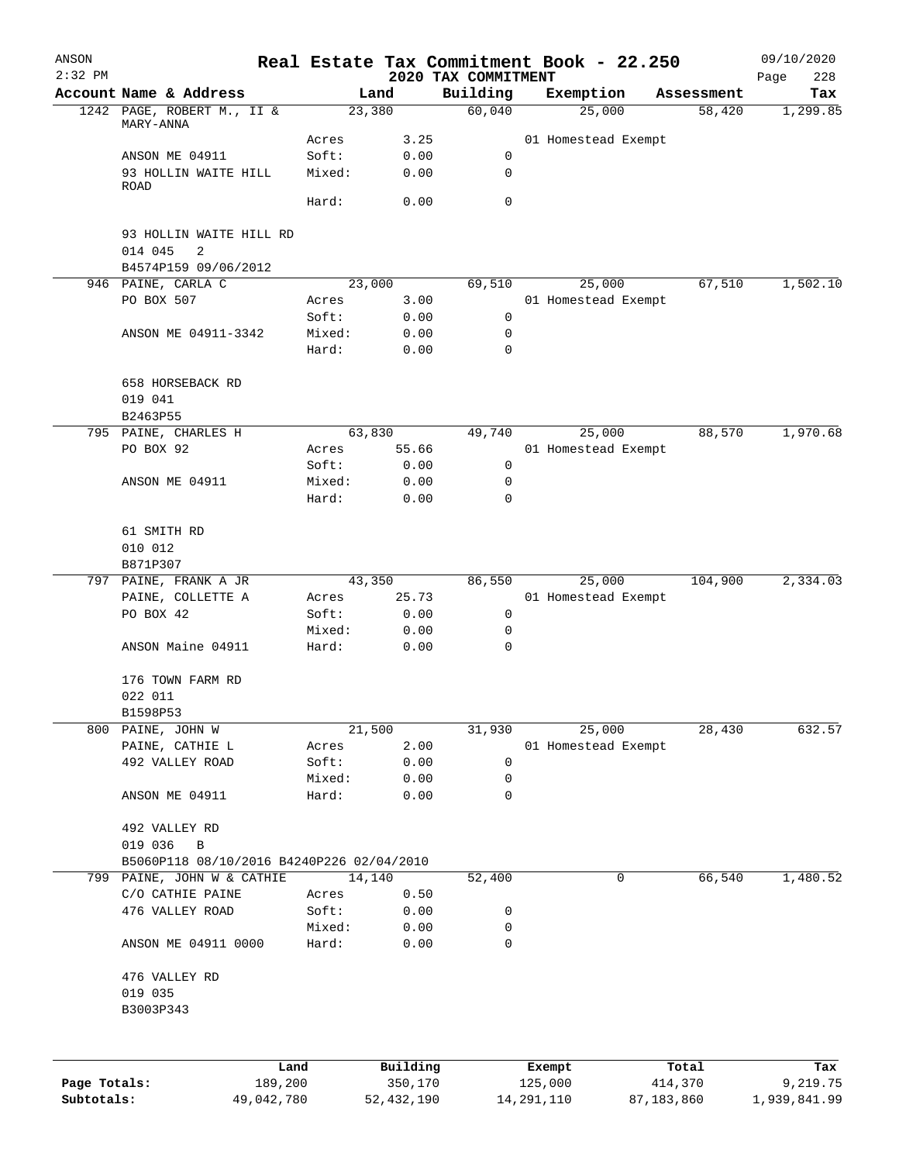| ANSON        |                                            |                 |        |              |                                 |              | Real Estate Tax Commitment Book - 22.250 |            | 09/10/2020         |
|--------------|--------------------------------------------|-----------------|--------|--------------|---------------------------------|--------------|------------------------------------------|------------|--------------------|
| $2:32$ PM    | Account Name & Address                     |                 | Land   |              | 2020 TAX COMMITMENT<br>Building |              | Exemption                                | Assessment | Page<br>228<br>Tax |
|              | 1242 PAGE, ROBERT M., II &                 |                 | 23,380 |              | 60,040                          |              | 25,000                                   | 58,420     | 1,299.85           |
|              | MARY-ANNA                                  |                 |        |              |                                 |              |                                          |            |                    |
|              | ANSON ME 04911                             | Acres<br>Soft:  |        | 3.25<br>0.00 | 0                               |              | 01 Homestead Exempt                      |            |                    |
|              | 93 HOLLIN WAITE HILL                       | Mixed:          |        | 0.00         | 0                               |              |                                          |            |                    |
|              | ROAD                                       |                 |        |              |                                 |              |                                          |            |                    |
|              |                                            | Hard:           |        | 0.00         | $\mathbf 0$                     |              |                                          |            |                    |
|              | 93 HOLLIN WAITE HILL RD<br>014 045<br>2    |                 |        |              |                                 |              |                                          |            |                    |
|              | B4574P159 09/06/2012<br>946 PAINE, CARLA C |                 | 23,000 |              | 69,510                          |              | 25,000                                   | 67,510     | 1,502.10           |
|              | PO BOX 507                                 | Acres           |        | 3.00         |                                 |              | 01 Homestead Exempt                      |            |                    |
|              |                                            | Soft:           |        | 0.00         | 0                               |              |                                          |            |                    |
|              | ANSON ME 04911-3342                        | Mixed:          |        | 0.00         | 0                               |              |                                          |            |                    |
|              |                                            | Hard:           |        | 0.00         | 0                               |              |                                          |            |                    |
|              |                                            |                 |        |              |                                 |              |                                          |            |                    |
|              | 658 HORSEBACK RD<br>019 041                |                 |        |              |                                 |              |                                          |            |                    |
|              | B2463P55                                   |                 |        |              |                                 |              |                                          |            |                    |
|              | 795 PAINE, CHARLES H                       |                 | 63,830 |              | 49,740                          |              | 25,000                                   | 88,570     | 1,970.68           |
|              | PO BOX 92                                  | Acres           |        | 55.66        |                                 |              | 01 Homestead Exempt                      |            |                    |
|              |                                            | Soft:           |        | 0.00         | 0                               |              |                                          |            |                    |
|              | ANSON ME 04911                             | Mixed:          |        | 0.00         | 0                               |              |                                          |            |                    |
|              |                                            | Hard:           |        | 0.00         | 0                               |              |                                          |            |                    |
|              |                                            |                 |        |              |                                 |              |                                          |            |                    |
|              | 61 SMITH RD                                |                 |        |              |                                 |              |                                          |            |                    |
|              | 010 012                                    |                 |        |              |                                 |              |                                          |            |                    |
|              | B871P307<br>797 PAINE, FRANK A JR          |                 | 43,350 |              | 86,550                          |              | 25,000                                   | 104,900    | 2,334.03           |
|              |                                            |                 |        |              |                                 |              |                                          |            |                    |
|              | PAINE, COLLETTE A                          | Acres           |        | 25.73        |                                 |              | 01 Homestead Exempt                      |            |                    |
|              | PO BOX 42                                  | Soft:           |        | 0.00         | 0                               |              |                                          |            |                    |
|              | ANSON Maine 04911                          | Mixed:<br>Hard: |        | 0.00<br>0.00 | 0<br>0                          |              |                                          |            |                    |
|              |                                            |                 |        |              |                                 |              |                                          |            |                    |
|              | 176 TOWN FARM RD                           |                 |        |              |                                 |              |                                          |            |                    |
|              | 022 011                                    |                 |        |              |                                 |              |                                          |            |                    |
|              | B1598P53                                   |                 |        |              |                                 |              |                                          |            |                    |
|              | 800 PAINE, JOHN W                          |                 | 21,500 |              | 31,930                          |              | 25,000                                   | 28,430     | 632.57             |
|              | PAINE, CATHIE L                            | Acres           |        | 2.00         |                                 |              | 01 Homestead Exempt                      |            |                    |
|              | 492 VALLEY ROAD                            | Soft:           |        | 0.00         | 0                               |              |                                          |            |                    |
|              |                                            | Mixed:          |        | 0.00         | 0                               |              |                                          |            |                    |
|              | ANSON ME 04911                             | Hard:           |        | 0.00         | 0                               |              |                                          |            |                    |
|              | 492 VALLEY RD                              |                 |        |              |                                 |              |                                          |            |                    |
|              | 019 036<br>$\, {\bf B}$                    |                 |        |              |                                 |              |                                          |            |                    |
|              | B5060P118 08/10/2016 B4240P226 02/04/2010  |                 |        |              |                                 |              |                                          |            |                    |
|              | 799 PAINE, JOHN W & CATHIE                 |                 | 14,140 |              | 52,400                          |              | $\mathbf 0$                              | 66,540     | 1,480.52           |
|              | C/O CATHIE PAINE                           | Acres           |        | 0.50         |                                 |              |                                          |            |                    |
|              | 476 VALLEY ROAD                            | Soft:           |        | 0.00         | 0                               |              |                                          |            |                    |
|              |                                            | Mixed:          |        | 0.00         | 0                               |              |                                          |            |                    |
|              | ANSON ME 04911 0000                        | Hard:           |        | 0.00         | 0                               |              |                                          |            |                    |
|              | 476 VALLEY RD                              |                 |        |              |                                 |              |                                          |            |                    |
|              | 019 035                                    |                 |        |              |                                 |              |                                          |            |                    |
|              | B3003P343                                  |                 |        |              |                                 |              |                                          |            |                    |
|              |                                            |                 |        |              |                                 |              |                                          |            |                    |
|              |                                            | Land            |        | Building     |                                 |              | Exempt                                   | Total      | Tax                |
| Page Totals: |                                            | 189,200         |        | 350,170      |                                 | 125,000      |                                          | 414,370    | 9,219.75           |
| Subtotals:   |                                            | 49,042,780      |        | 52, 432, 190 |                                 | 14, 291, 110 |                                          | 87,183,860 | 1,939,841.99       |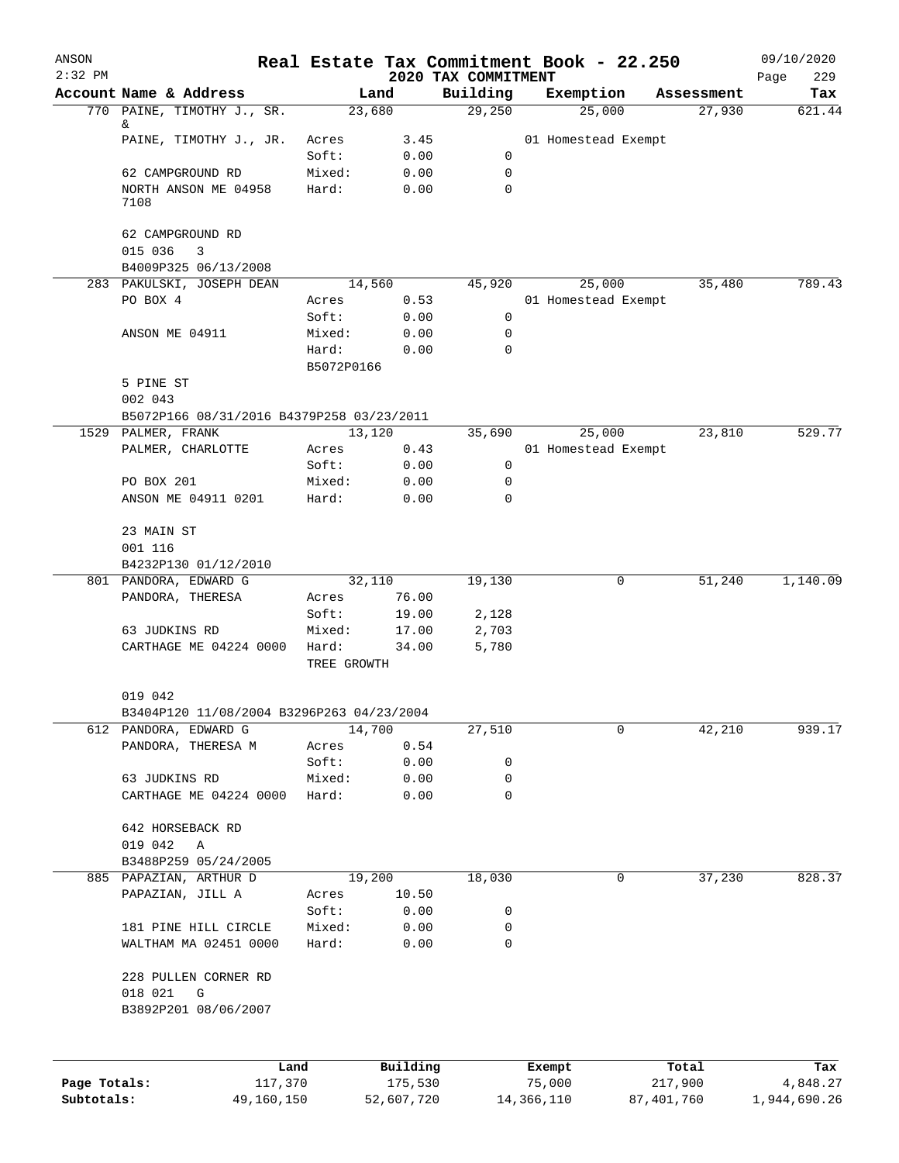| ANSON<br>$2:32$ PM |                                           |                     |            | 2020 TAX COMMITMENT | Real Estate Tax Commitment Book - 22.250 |              |            | 09/10/2020<br>229<br>Page |
|--------------------|-------------------------------------------|---------------------|------------|---------------------|------------------------------------------|--------------|------------|---------------------------|
|                    | Account Name & Address                    |                     | Land       | Building            | Exemption                                |              | Assessment | Tax                       |
|                    | 770 PAINE, TIMOTHY J., SR.                |                     | 23,680     | 29,250              | 25,000                                   |              | 27,930     | 621.44                    |
|                    | &<br>PAINE, TIMOTHY J., JR.               | Acres               | 3.45       |                     | 01 Homestead Exempt                      |              |            |                           |
|                    |                                           | Soft:               | 0.00       | 0                   |                                          |              |            |                           |
|                    | 62 CAMPGROUND RD                          | Mixed:              | 0.00       | 0                   |                                          |              |            |                           |
|                    | NORTH ANSON ME 04958                      | Hard:               | 0.00       | 0                   |                                          |              |            |                           |
|                    | 7108                                      |                     |            |                     |                                          |              |            |                           |
|                    | 62 CAMPGROUND RD<br>015 036<br>3          |                     |            |                     |                                          |              |            |                           |
|                    | B4009P325 06/13/2008                      |                     |            |                     |                                          |              |            |                           |
|                    | 283 PAKULSKI, JOSEPH DEAN                 |                     | 14,560     | 45,920              | 25,000                                   |              | 35,480     | 789.43                    |
|                    | PO BOX 4                                  | Acres               | 0.53       |                     | 01 Homestead Exempt                      |              |            |                           |
|                    |                                           | Soft:               | 0.00       | 0                   |                                          |              |            |                           |
|                    | ANSON ME 04911                            | Mixed:              | 0.00       | 0                   |                                          |              |            |                           |
|                    |                                           | Hard:<br>B5072P0166 | 0.00       | $\Omega$            |                                          |              |            |                           |
|                    | 5 PINE ST                                 |                     |            |                     |                                          |              |            |                           |
|                    | 002 043                                   |                     |            |                     |                                          |              |            |                           |
|                    | B5072P166 08/31/2016 B4379P258 03/23/2011 |                     |            |                     |                                          |              |            |                           |
|                    | 1529 PALMER, FRANK                        |                     | 13,120     | 35,690              | 25,000                                   |              | 23,810     | 529.77                    |
|                    | PALMER, CHARLOTTE                         | Acres               | 0.43       |                     | 01 Homestead Exempt                      |              |            |                           |
|                    |                                           | Soft:               | 0.00       | 0                   |                                          |              |            |                           |
|                    | PO BOX 201                                | Mixed:              | 0.00       | 0                   |                                          |              |            |                           |
|                    | ANSON ME 04911 0201                       | Hard:               | 0.00       | $\Omega$            |                                          |              |            |                           |
|                    | 23 MAIN ST                                |                     |            |                     |                                          |              |            |                           |
|                    | 001 116                                   |                     |            |                     |                                          |              |            |                           |
|                    | B4232P130 01/12/2010                      |                     |            |                     |                                          |              |            |                           |
|                    | 801 PANDORA, EDWARD G                     |                     | 32,110     | 19,130              |                                          | 0            | 51,240     | 1,140.09                  |
|                    | PANDORA, THERESA                          | Acres               | 76.00      |                     |                                          |              |            |                           |
|                    |                                           | Soft:               | 19.00      | 2,128               |                                          |              |            |                           |
|                    | 63 JUDKINS RD                             | Mixed:              | 17.00      | 2,703               |                                          |              |            |                           |
|                    | CARTHAGE ME 04224 0000                    | Hard:               | 34.00      | 5,780               |                                          |              |            |                           |
|                    |                                           | TREE GROWTH         |            |                     |                                          |              |            |                           |
|                    | 019 042                                   |                     |            |                     |                                          |              |            |                           |
|                    | B3404P120 11/08/2004 B3296P263 04/23/2004 |                     |            |                     |                                          |              |            |                           |
|                    | 612 PANDORA, EDWARD G                     |                     | 14,700     | 27,510              |                                          | 0            | 42,210     | 939.17                    |
|                    | PANDORA, THERESA M                        | Acres               | 0.54       |                     |                                          |              |            |                           |
|                    |                                           | Soft:               | 0.00       | 0                   |                                          |              |            |                           |
|                    | 63 JUDKINS RD                             | Mixed:              | 0.00       | 0                   |                                          |              |            |                           |
|                    | CARTHAGE ME 04224 0000                    | Hard:               | 0.00       | 0                   |                                          |              |            |                           |
|                    | 642 HORSEBACK RD                          |                     |            |                     |                                          |              |            |                           |
|                    | 019 042<br>$\mathbb A$                    |                     |            |                     |                                          |              |            |                           |
|                    | B3488P259 05/24/2005                      |                     |            |                     |                                          |              |            |                           |
|                    | 885 PAPAZIAN, ARTHUR D                    |                     | 19,200     | 18,030              |                                          | 0            | 37,230     | 828.37                    |
|                    | PAPAZIAN, JILL A                          | Acres               | 10.50      |                     |                                          |              |            |                           |
|                    |                                           | Soft:               | 0.00       | 0                   |                                          |              |            |                           |
|                    | 181 PINE HILL CIRCLE                      | Mixed:              | 0.00       | 0                   |                                          |              |            |                           |
|                    | WALTHAM MA 02451 0000                     | Hard:               | 0.00       | 0                   |                                          |              |            |                           |
|                    | 228 PULLEN CORNER RD                      |                     |            |                     |                                          |              |            |                           |
|                    | 018 021<br>G                              |                     |            |                     |                                          |              |            |                           |
|                    | B3892P201 08/06/2007                      |                     |            |                     |                                          |              |            |                           |
|                    |                                           |                     |            |                     |                                          |              |            |                           |
|                    |                                           | Land                | Building   |                     | Exempt                                   |              | Total      | Tax                       |
| Page Totals:       | 117,370                                   |                     | 175,530    |                     | 75,000                                   |              | 217,900    | 4,848.27                  |
| Subtotals:         | 49,160,150                                |                     | 52,607,720 |                     | 14,366,110                               | 87, 401, 760 |            | 1,944,690.26              |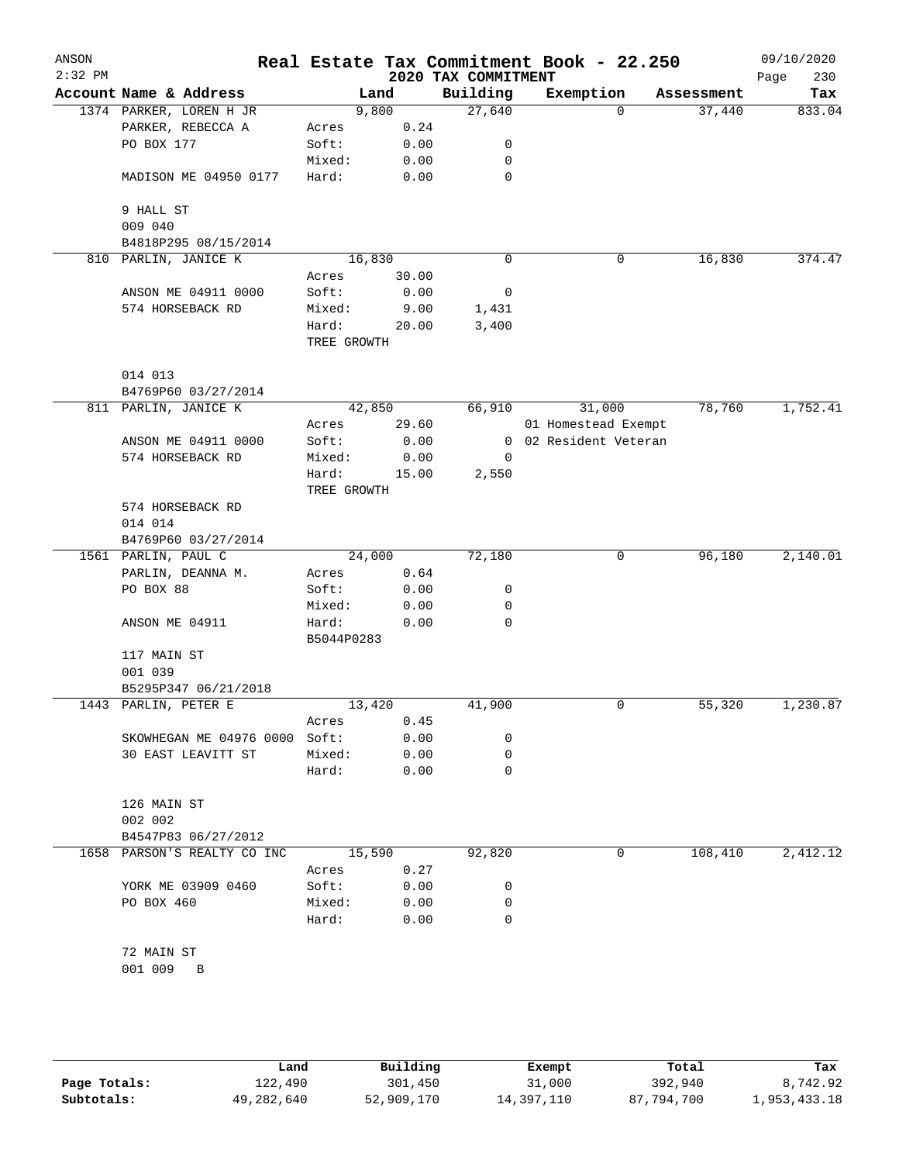| ANSON<br>$2:32$ PM |                             |             |        | 2020 TAX COMMITMENT | Real Estate Tax Commitment Book - 22.250 |            | 09/10/2020<br>Page<br>230 |
|--------------------|-----------------------------|-------------|--------|---------------------|------------------------------------------|------------|---------------------------|
|                    | Account Name & Address      |             | Land   | Building            | Exemption                                | Assessment | Tax                       |
|                    | 1374 PARKER, LOREN H JR     |             | 9,800  | 27,640              | $\Omega$                                 | 37,440     | 833.04                    |
|                    | PARKER, REBECCA A           | Acres       | 0.24   |                     |                                          |            |                           |
|                    | PO BOX 177                  | Soft:       | 0.00   | 0                   |                                          |            |                           |
|                    |                             | Mixed:      | 0.00   | 0                   |                                          |            |                           |
|                    | MADISON ME 04950 0177       | Hard:       | 0.00   | 0                   |                                          |            |                           |
|                    | 9 HALL ST                   |             |        |                     |                                          |            |                           |
|                    | 009 040                     |             |        |                     |                                          |            |                           |
|                    | B4818P295 08/15/2014        |             |        |                     |                                          |            |                           |
|                    | 810 PARLIN, JANICE K        |             | 16,830 | $\mathbf 0$         | 0                                        | 16,830     | 374.47                    |
|                    |                             | Acres       | 30.00  |                     |                                          |            |                           |
|                    | ANSON ME 04911 0000         | Soft:       | 0.00   | 0                   |                                          |            |                           |
|                    | 574 HORSEBACK RD            | Mixed:      | 9.00   | 1,431               |                                          |            |                           |
|                    |                             | Hard:       | 20.00  | 3,400               |                                          |            |                           |
|                    |                             | TREE GROWTH |        |                     |                                          |            |                           |
|                    | 014 013                     |             |        |                     |                                          |            |                           |
|                    | B4769P60 03/27/2014         |             |        |                     |                                          |            |                           |
|                    | 811 PARLIN, JANICE K        |             | 42,850 | 66,910              | 31,000                                   | 78,760     | 1,752.41                  |
|                    |                             | Acres       | 29.60  |                     | 01 Homestead Exempt                      |            |                           |
|                    | ANSON ME 04911 0000         | Soft:       | 0.00   | $\overline{0}$      | 02 Resident Veteran                      |            |                           |
|                    | 574 HORSEBACK RD            | Mixed:      | 0.00   | 0                   |                                          |            |                           |
|                    |                             | Hard:       | 15.00  | 2,550               |                                          |            |                           |
|                    |                             | TREE GROWTH |        |                     |                                          |            |                           |
|                    | 574 HORSEBACK RD            |             |        |                     |                                          |            |                           |
|                    | 014 014                     |             |        |                     |                                          |            |                           |
|                    | B4769P60 03/27/2014         |             |        |                     |                                          |            |                           |
|                    | 1561 PARLIN, PAUL C         |             | 24,000 | 72,180              | 0                                        | 96,180     | 2,140.01                  |
|                    | PARLIN, DEANNA M.           | Acres       | 0.64   |                     |                                          |            |                           |
|                    | PO BOX 88                   | Soft:       | 0.00   | 0                   |                                          |            |                           |
|                    |                             | Mixed:      | 0.00   | 0                   |                                          |            |                           |
|                    | ANSON ME 04911              | Hard:       | 0.00   | 0                   |                                          |            |                           |
|                    |                             | B5044P0283  |        |                     |                                          |            |                           |
|                    | 117 MAIN ST<br>001 039      |             |        |                     |                                          |            |                           |
|                    | B5295P347 06/21/2018        |             |        |                     |                                          |            |                           |
|                    | 1443 PARLIN, PETER E        |             | 13,420 | 41,900              | 0                                        | 55,320     | 1,230.87                  |
|                    |                             | Acres       | 0.45   |                     |                                          |            |                           |
|                    | SKOWHEGAN ME 04976 0000     | Soft:       | 0.00   | 0                   |                                          |            |                           |
|                    | 30 EAST LEAVITT ST          | Mixed:      | 0.00   | 0                   |                                          |            |                           |
|                    |                             | Hard:       | 0.00   | 0                   |                                          |            |                           |
|                    | 126 MAIN ST                 |             |        |                     |                                          |            |                           |
|                    | 002 002                     |             |        |                     |                                          |            |                           |
|                    | B4547P83 06/27/2012         |             |        |                     |                                          |            |                           |
|                    | 1658 PARSON'S REALTY CO INC |             | 15,590 | 92,820              | 0                                        | 108,410    | 2,412.12                  |
|                    |                             | Acres       | 0.27   |                     |                                          |            |                           |
|                    | YORK ME 03909 0460          | Soft:       | 0.00   | 0                   |                                          |            |                           |
|                    | PO BOX 460                  | Mixed:      | 0.00   | 0                   |                                          |            |                           |
|                    |                             | Hard:       | 0.00   | $\Omega$            |                                          |            |                           |
|                    |                             |             |        |                     |                                          |            |                           |
|                    | 72 MAIN ST<br>001 009       |             |        |                     |                                          |            |                           |
|                    | $\mathbf B$                 |             |        |                     |                                          |            |                           |
|                    |                             |             |        |                     |                                          |            |                           |

|              | Land       | Building   | Exempt     | Total      | Tax          |
|--------------|------------|------------|------------|------------|--------------|
| Page Totals: | 122,490    | 301,450    | 31,000     | 392,940    | 8,742.92     |
| Subtotals:   | 49,282,640 | 52,909,170 | 14,397,110 | 87,794,700 | 1,953,433.18 |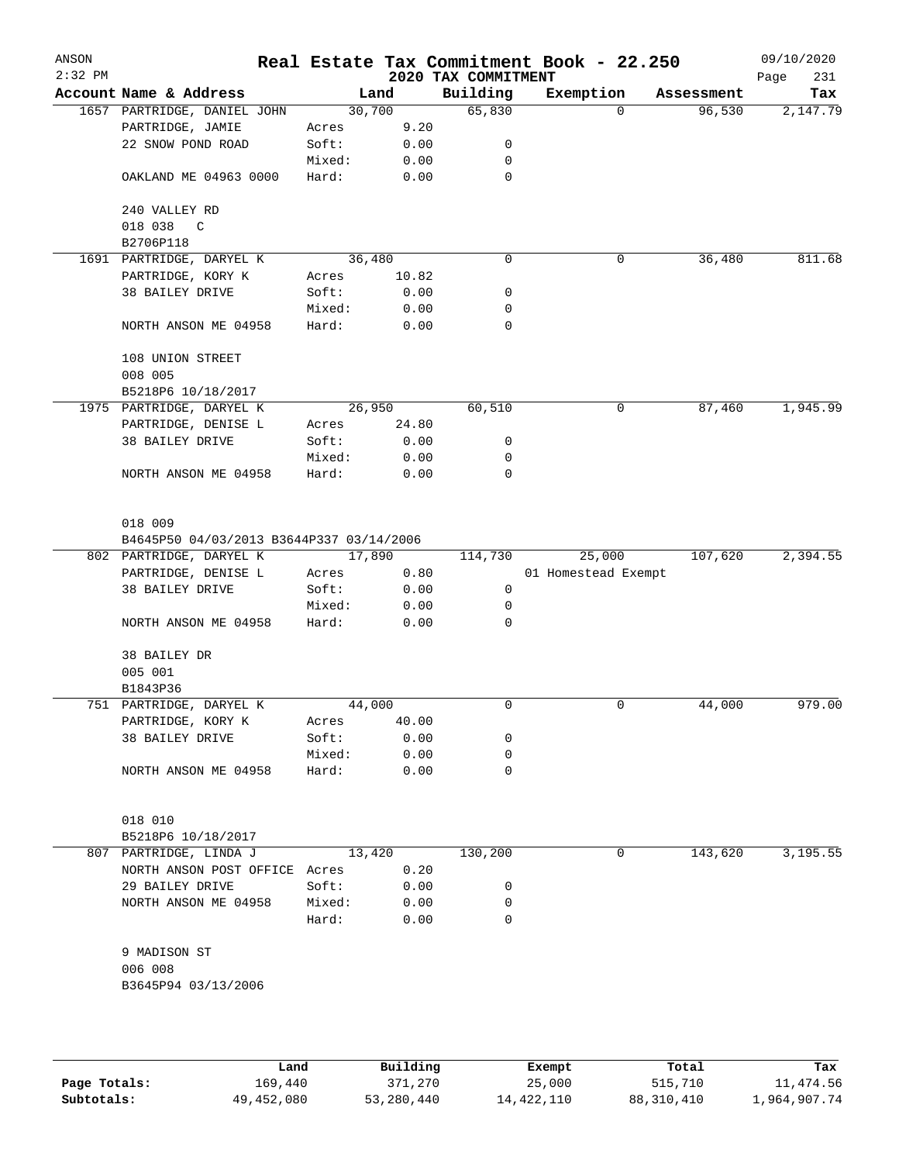| ANSON<br>$2:32$ PM |                                                                                |        |        | 2020 TAX COMMITMENT | Real Estate Tax Commitment Book - 22.250 |            | 09/10/2020<br>Page<br>231 |
|--------------------|--------------------------------------------------------------------------------|--------|--------|---------------------|------------------------------------------|------------|---------------------------|
|                    | Account Name & Address                                                         |        | Land   | Building            | Exemption                                | Assessment | Tax                       |
|                    | 1657 PARTRIDGE, DANIEL JOHN                                                    | 30,700 |        | 65,830              | $\Omega$                                 | 96,530     | 2,147.79                  |
|                    | PARTRIDGE, JAMIE                                                               | Acres  | 9.20   |                     |                                          |            |                           |
|                    | 22 SNOW POND ROAD                                                              | Soft:  | 0.00   | 0                   |                                          |            |                           |
|                    |                                                                                | Mixed: | 0.00   | 0                   |                                          |            |                           |
|                    | OAKLAND ME 04963 0000                                                          | Hard:  | 0.00   | 0                   |                                          |            |                           |
|                    | 240 VALLEY RD                                                                  |        |        |                     |                                          |            |                           |
|                    | 018 038<br>$\mathbb{C}$                                                        |        |        |                     |                                          |            |                           |
|                    | B2706P118                                                                      |        |        |                     |                                          |            |                           |
|                    | 1691 PARTRIDGE, DARYEL K                                                       |        | 36,480 | $\mathbf 0$         | 0                                        | 36,480     | 811.68                    |
|                    | PARTRIDGE, KORY K                                                              | Acres  | 10.82  |                     |                                          |            |                           |
|                    | 38 BAILEY DRIVE                                                                | Soft:  | 0.00   | 0                   |                                          |            |                           |
|                    |                                                                                | Mixed: | 0.00   | 0                   |                                          |            |                           |
|                    | NORTH ANSON ME 04958                                                           | Hard:  | 0.00   | 0                   |                                          |            |                           |
|                    | 108 UNION STREET                                                               |        |        |                     |                                          |            |                           |
|                    | 008 005                                                                        |        |        |                     |                                          |            |                           |
|                    | B5218P6 10/18/2017                                                             |        |        |                     |                                          |            |                           |
|                    | 1975 PARTRIDGE, DARYEL K                                                       |        | 26,950 | 60,510              | 0                                        | 87,460     | 1,945.99                  |
|                    | PARTRIDGE, DENISE L                                                            | Acres  | 24.80  |                     |                                          |            |                           |
|                    | 38 BAILEY DRIVE                                                                | Soft:  | 0.00   | 0                   |                                          |            |                           |
|                    |                                                                                | Mixed: | 0.00   | 0                   |                                          |            |                           |
|                    | NORTH ANSON ME 04958                                                           | Hard:  | 0.00   | 0                   |                                          |            |                           |
|                    | 018 009<br>B4645P50 04/03/2013 B3644P337 03/14/2006<br>802 PARTRIDGE, DARYEL K | 17,890 |        | 114,730             | 25,000                                   | 107,620    | 2,394.55                  |
|                    | PARTRIDGE, DENISE L                                                            | Acres  | 0.80   |                     | 01 Homestead Exempt                      |            |                           |
|                    | 38 BAILEY DRIVE                                                                | Soft:  | 0.00   | 0                   |                                          |            |                           |
|                    |                                                                                | Mixed: | 0.00   | 0                   |                                          |            |                           |
|                    | NORTH ANSON ME 04958                                                           | Hard:  | 0.00   | 0                   |                                          |            |                           |
|                    | 38 BAILEY DR<br>005 001                                                        |        |        |                     |                                          |            |                           |
|                    | B1843P36                                                                       |        |        |                     |                                          |            |                           |
|                    | 751 PARTRIDGE, DARYEL K                                                        | 44,000 |        | 0                   | 0                                        | 44,000     | 979.00                    |
|                    | PARTRIDGE, KORY K                                                              | Acres  | 40.00  |                     |                                          |            |                           |
|                    | 38 BAILEY DRIVE                                                                | Soft:  | 0.00   | 0                   |                                          |            |                           |
|                    |                                                                                | Mixed: | 0.00   | 0                   |                                          |            |                           |
|                    | NORTH ANSON ME 04958                                                           | Hard:  | 0.00   | 0                   |                                          |            |                           |
|                    |                                                                                |        |        |                     |                                          |            |                           |
|                    | 018 010                                                                        |        |        |                     |                                          |            |                           |
|                    | B5218P6 10/18/2017                                                             |        |        |                     |                                          |            |                           |
|                    | 807 PARTRIDGE, LINDA J                                                         |        | 13,420 | 130,200             | 0                                        | 143,620    | 3,195.55                  |
|                    | NORTH ANSON POST OFFICE Acres                                                  |        | 0.20   |                     |                                          |            |                           |
|                    | 29 BAILEY DRIVE                                                                | Soft:  | 0.00   | 0                   |                                          |            |                           |
|                    | NORTH ANSON ME 04958                                                           | Mixed: | 0.00   | 0                   |                                          |            |                           |
|                    |                                                                                | Hard:  | 0.00   | 0                   |                                          |            |                           |
|                    | 9 MADISON ST                                                                   |        |        |                     |                                          |            |                           |
|                    | 006 008                                                                        |        |        |                     |                                          |            |                           |
|                    | B3645P94 03/13/2006                                                            |        |        |                     |                                          |            |                           |
|                    |                                                                                |        |        |                     |                                          |            |                           |
|                    |                                                                                |        |        |                     |                                          |            |                           |

|              | Land       | Building   | Exempt     | Total      | Tax          |
|--------------|------------|------------|------------|------------|--------------|
| Page Totals: | 169,440    | 371,270    | 25,000     | 515,710    | 11,474.56    |
| Subtotals:   | 49,452,080 | 53,280,440 | 14,422,110 | 88,310,410 | 1,964,907.74 |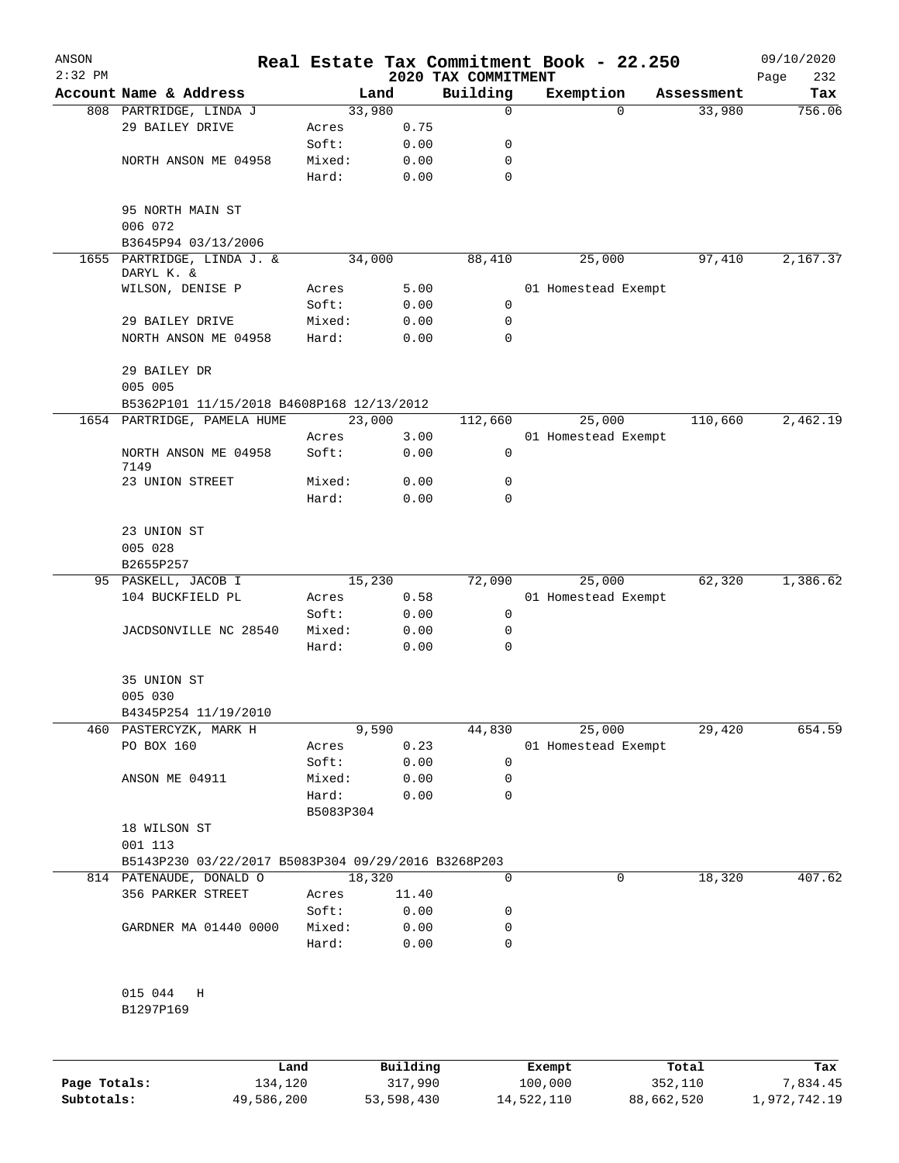| ANSON<br>$2:32$ PM |                                                     |                    |              | 2020 TAX COMMITMENT | Real Estate Tax Commitment Book - 22.250 |            | 09/10/2020<br>232<br>Page |
|--------------------|-----------------------------------------------------|--------------------|--------------|---------------------|------------------------------------------|------------|---------------------------|
|                    | Account Name & Address                              |                    | Land         | Building            | Exemption                                | Assessment | Tax                       |
|                    | 808 PARTRIDGE, LINDA J                              | 33,980             |              | 0                   | $\Omega$                                 | 33,980     | 756.06                    |
|                    | 29 BAILEY DRIVE                                     | Acres              | 0.75         |                     |                                          |            |                           |
|                    |                                                     | Soft:              | 0.00         | 0                   |                                          |            |                           |
|                    | NORTH ANSON ME 04958                                | Mixed:             | 0.00         | 0                   |                                          |            |                           |
|                    |                                                     | Hard:              | 0.00         | $\mathbf 0$         |                                          |            |                           |
|                    | 95 NORTH MAIN ST<br>006 072                         |                    |              |                     |                                          |            |                           |
|                    | B3645P94 03/13/2006                                 |                    |              |                     |                                          |            |                           |
|                    | 1655 PARTRIDGE, LINDA J. &<br>DARYL K. &            | 34,000             |              | 88,410              | 25,000                                   | 97,410     | 2,167.37                  |
|                    | WILSON, DENISE P                                    | Acres              | 5.00         |                     | 01 Homestead Exempt                      |            |                           |
|                    |                                                     | Soft:              | 0.00         | $\mathbf 0$         |                                          |            |                           |
|                    | 29 BAILEY DRIVE                                     | Mixed:             | 0.00         | 0                   |                                          |            |                           |
|                    | NORTH ANSON ME 04958                                | Hard:              | 0.00         | 0                   |                                          |            |                           |
|                    | 29 BAILEY DR<br>005 005                             |                    |              |                     |                                          |            |                           |
|                    | B5362P101 11/15/2018 B4608P168 12/13/2012           |                    |              |                     |                                          |            |                           |
|                    | 1654 PARTRIDGE, PAMELA HUME                         | 23,000             |              | 112,660             | 25,000                                   | 110,660    | 2,462.19                  |
|                    |                                                     | Acres              | 3.00         |                     | 01 Homestead Exempt                      |            |                           |
|                    | NORTH ANSON ME 04958<br>7149                        | Soft:              | 0.00         | 0                   |                                          |            |                           |
|                    | 23 UNION STREET                                     | Mixed:             | 0.00         | 0                   |                                          |            |                           |
|                    |                                                     | Hard:              | 0.00         | $\Omega$            |                                          |            |                           |
|                    | 23 UNION ST<br>005 028                              |                    |              |                     |                                          |            |                           |
|                    | B2655P257                                           |                    |              |                     |                                          |            |                           |
|                    | 95 PASKELL, JACOB I                                 | 15,230             |              | 72,090              | 25,000                                   | 62,320     | 1,386.62                  |
|                    | 104 BUCKFIELD PL                                    | Acres              | 0.58         |                     | 01 Homestead Exempt                      |            |                           |
|                    |                                                     | Soft:              | 0.00         | 0                   |                                          |            |                           |
|                    | JACDSONVILLE NC 28540                               | Mixed:<br>Hard:    | 0.00<br>0.00 | 0<br>0              |                                          |            |                           |
|                    | 35 UNION ST                                         |                    |              |                     |                                          |            |                           |
|                    | 005 030                                             |                    |              |                     |                                          |            |                           |
|                    | B4345P254 11/19/2010                                |                    |              |                     |                                          |            |                           |
|                    | 460 PASTERCYZK, MARK H                              |                    | 9,590        | 44,830              | 25,000                                   | 29,420     | 654.59                    |
|                    | PO BOX 160                                          | Acres              | 0.23         |                     | 01 Homestead Exempt                      |            |                           |
|                    |                                                     | Soft:              | 0.00         | $\mathbf 0$         |                                          |            |                           |
|                    | ANSON ME 04911                                      | Mixed:             | 0.00         | 0                   |                                          |            |                           |
|                    |                                                     | Hard:<br>B5083P304 | 0.00         | 0                   |                                          |            |                           |
|                    | 18 WILSON ST<br>001 113                             |                    |              |                     |                                          |            |                           |
|                    | B5143P230 03/22/2017 B5083P304 09/29/2016 B3268P203 |                    |              |                     |                                          |            |                           |
|                    | 814 PATENAUDE, DONALD O                             | 18,320             |              | 0                   | 0                                        | 18,320     | 407.62                    |
|                    | 356 PARKER STREET                                   | Acres              | 11.40        |                     |                                          |            |                           |
|                    |                                                     | Soft:              | 0.00         | 0                   |                                          |            |                           |
|                    | GARDNER MA 01440 0000                               | Mixed:             | 0.00         | 0                   |                                          |            |                           |
|                    |                                                     | Hard:              | 0.00         | 0                   |                                          |            |                           |
|                    | 015 044<br>H                                        |                    |              |                     |                                          |            |                           |
|                    | B1297P169                                           |                    |              |                     |                                          |            |                           |
|                    |                                                     |                    |              |                     |                                          |            |                           |
|                    |                                                     | Land               | Building     |                     | <b>Exempt</b>                            | Total      | Tax                       |

|              | Land       | Building   | Exempt     | Total      | Tax          |
|--------------|------------|------------|------------|------------|--------------|
| Page Totals: | 134,120    | 317,990    | 100,000    | 352,110    | 7,834.45     |
| Subtotals:   | 49,586,200 | 53,598,430 | 14,522,110 | 88,662,520 | 1,972,742.19 |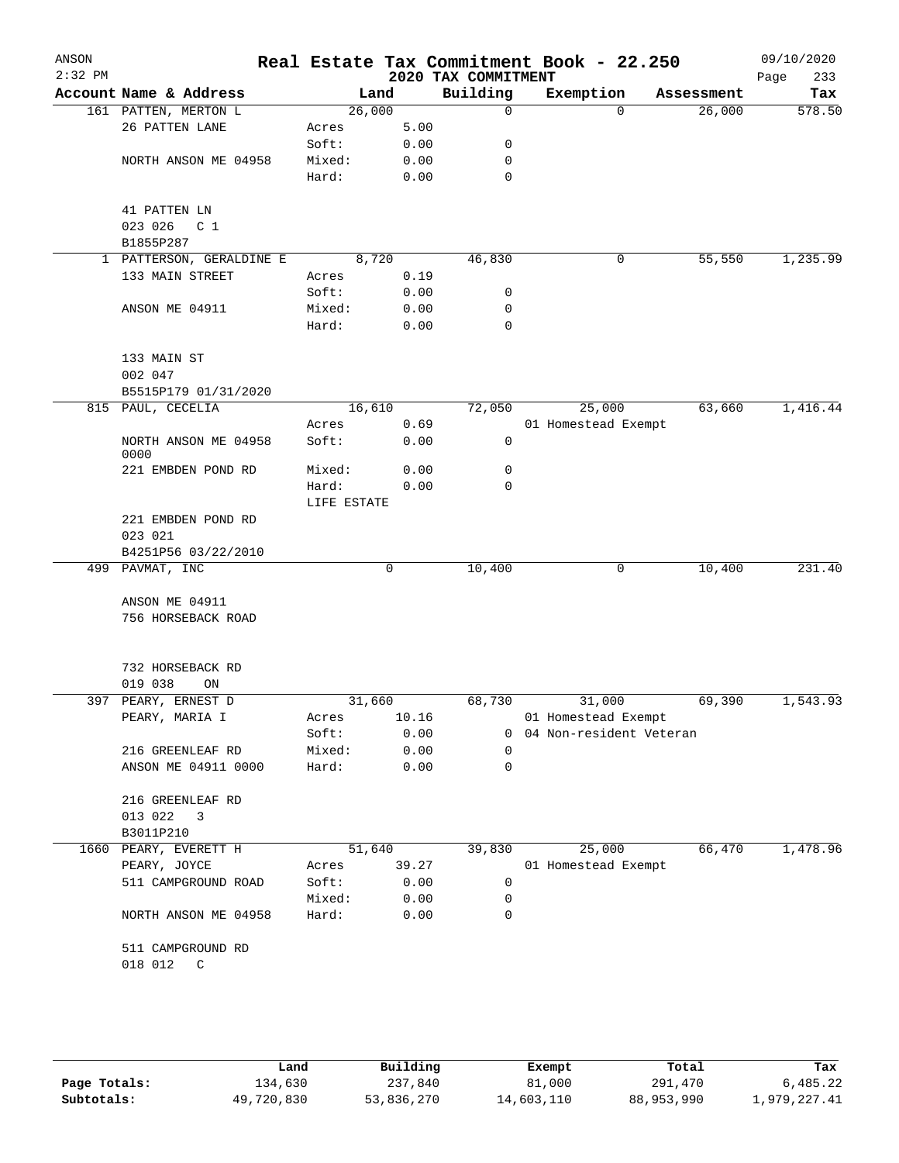| ANSON<br>$2:32$ PM |                              |             |       | 2020 TAX COMMITMENT | Real Estate Tax Commitment Book - 22.250 |          |            | 09/10/2020<br>233<br>Page |
|--------------------|------------------------------|-------------|-------|---------------------|------------------------------------------|----------|------------|---------------------------|
|                    | Account Name & Address       | Land        |       | Building            | Exemption                                |          | Assessment | Tax                       |
|                    | 161 PATTEN, MERTON L         | 26,000      |       | 0                   |                                          | $\Omega$ | 26,000     | 578.50                    |
|                    | 26 PATTEN LANE               | Acres       | 5.00  |                     |                                          |          |            |                           |
|                    |                              | Soft:       | 0.00  | 0                   |                                          |          |            |                           |
|                    | NORTH ANSON ME 04958         | Mixed:      | 0.00  | 0                   |                                          |          |            |                           |
|                    |                              | Hard:       | 0.00  | $\mathbf 0$         |                                          |          |            |                           |
|                    | 41 PATTEN LN                 |             |       |                     |                                          |          |            |                           |
|                    | 023 026<br>C <sub>1</sub>    |             |       |                     |                                          |          |            |                           |
|                    | B1855P287                    |             |       |                     |                                          |          |            |                           |
|                    | 1 PATTERSON, GERALDINE E     | 8,720       |       | 46,830              |                                          | 0        | 55,550     | 1,235.99                  |
|                    | 133 MAIN STREET              | Acres       | 0.19  |                     |                                          |          |            |                           |
|                    |                              | Soft:       | 0.00  | 0                   |                                          |          |            |                           |
|                    | ANSON ME 04911               | Mixed:      | 0.00  | 0                   |                                          |          |            |                           |
|                    |                              | Hard:       | 0.00  | 0                   |                                          |          |            |                           |
|                    | 133 MAIN ST                  |             |       |                     |                                          |          |            |                           |
|                    | 002 047                      |             |       |                     |                                          |          |            |                           |
|                    | B5515P179 01/31/2020         |             |       |                     |                                          |          |            |                           |
|                    | 815 PAUL, CECELIA            | 16,610      |       | 72,050              | 25,000                                   |          | 63,660     | 1,416.44                  |
|                    |                              | Acres       | 0.69  |                     | 01 Homestead Exempt                      |          |            |                           |
|                    | NORTH ANSON ME 04958<br>0000 | Soft:       | 0.00  | 0                   |                                          |          |            |                           |
|                    | 221 EMBDEN POND RD           | Mixed:      | 0.00  | 0                   |                                          |          |            |                           |
|                    |                              | Hard:       | 0.00  | 0                   |                                          |          |            |                           |
|                    |                              | LIFE ESTATE |       |                     |                                          |          |            |                           |
|                    | 221 EMBDEN POND RD           |             |       |                     |                                          |          |            |                           |
|                    | 023 021                      |             |       |                     |                                          |          |            |                           |
|                    | B4251P56 03/22/2010          |             |       |                     |                                          |          |            |                           |
|                    | 499 PAVMAT, INC              |             | 0     | 10,400              |                                          | 0        | 10,400     | 231.40                    |
|                    |                              |             |       |                     |                                          |          |            |                           |
|                    | ANSON ME 04911               |             |       |                     |                                          |          |            |                           |
|                    | 756 HORSEBACK ROAD           |             |       |                     |                                          |          |            |                           |
|                    | 732 HORSEBACK RD             |             |       |                     |                                          |          |            |                           |
|                    | 019 038<br>ON                |             |       |                     |                                          |          |            |                           |
| 397                | PEARY, ERNEST D              | 31,660      |       | 68,730              | 31,000                                   |          | 69,390     | 1,543.93                  |
|                    | PEARY, MARIA I               | Acres       | 10.16 |                     | 01 Homestead Exempt                      |          |            |                           |
|                    |                              | Soft:       | 0.00  | 0                   | 04 Non-resident Veteran                  |          |            |                           |
|                    | 216 GREENLEAF RD             | Mixed:      | 0.00  | 0                   |                                          |          |            |                           |
|                    | ANSON ME 04911 0000          | Hard:       | 0.00  | 0                   |                                          |          |            |                           |
|                    | 216 GREENLEAF RD             |             |       |                     |                                          |          |            |                           |
|                    | 013 022<br>3                 |             |       |                     |                                          |          |            |                           |
|                    | B3011P210                    |             |       |                     |                                          |          |            |                           |
| 1660               | PEARY, EVERETT H             | 51,640      |       | 39,830              | 25,000                                   |          | 66,470     | 1,478.96                  |
|                    | PEARY, JOYCE                 | Acres       | 39.27 |                     | 01 Homestead Exempt                      |          |            |                           |
|                    | 511 CAMPGROUND ROAD          | Soft:       | 0.00  | 0                   |                                          |          |            |                           |
|                    |                              | Mixed:      | 0.00  | 0                   |                                          |          |            |                           |
|                    | NORTH ANSON ME 04958         | Hard:       | 0.00  | $\mathbf 0$         |                                          |          |            |                           |
|                    | 511 CAMPGROUND RD            |             |       |                     |                                          |          |            |                           |
|                    | 018 012<br>C                 |             |       |                     |                                          |          |            |                           |
|                    |                              |             |       |                     |                                          |          |            |                           |
|                    |                              |             |       |                     |                                          |          |            |                           |

|              | Land       | Building   | Exempt     | Total      | Tax          |
|--------------|------------|------------|------------|------------|--------------|
| Page Totals: | 134,630    | 237,840    | 81,000     | 291,470    | 6,485.22     |
| Subtotals:   | 49,720,830 | 53,836,270 | 14,603,110 | 88,953,990 | 1,979,227.41 |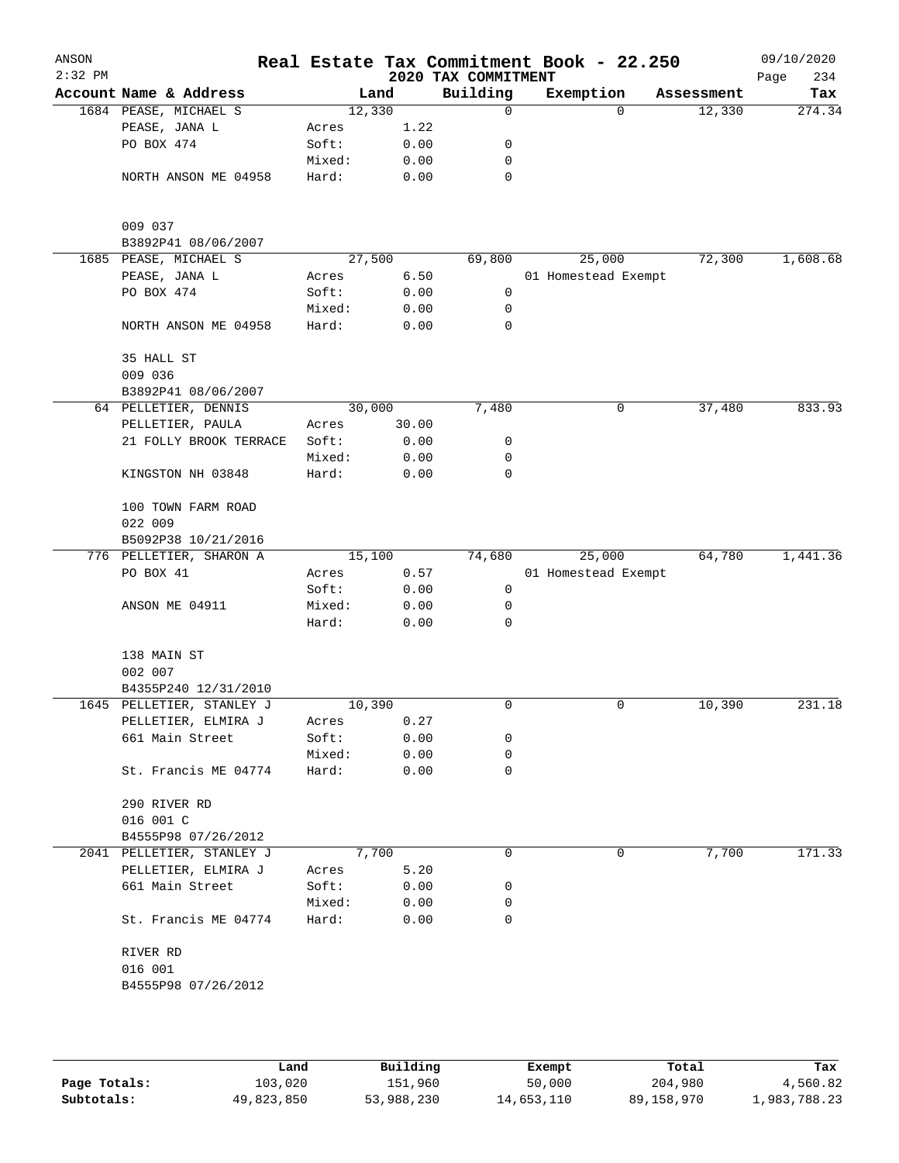| ANSON<br>$2:32$ PM |                               |        |       | 2020 TAX COMMITMENT | Real Estate Tax Commitment Book - 22.250 |            | 09/10/2020<br>Page<br>234 |
|--------------------|-------------------------------|--------|-------|---------------------|------------------------------------------|------------|---------------------------|
|                    | Account Name & Address        |        | Land  | Building            | Exemption                                | Assessment | Tax                       |
|                    | 1684 PEASE, MICHAEL S         | 12,330 |       | 0                   | $\Omega$                                 | 12,330     | 274.34                    |
|                    | PEASE, JANA L                 | Acres  | 1.22  |                     |                                          |            |                           |
|                    | PO BOX 474                    | Soft:  | 0.00  | 0                   |                                          |            |                           |
|                    |                               | Mixed: | 0.00  | 0                   |                                          |            |                           |
|                    | NORTH ANSON ME 04958          | Hard:  | 0.00  | 0                   |                                          |            |                           |
|                    | 009 037                       |        |       |                     |                                          |            |                           |
|                    | B3892P41 08/06/2007           |        |       |                     |                                          |            |                           |
|                    | 1685 PEASE, MICHAEL S         | 27,500 |       | 69,800              | 25,000                                   | 72,300     | 1,608.68                  |
|                    | PEASE, JANA L                 | Acres  | 6.50  |                     | 01 Homestead Exempt                      |            |                           |
|                    | PO BOX 474                    | Soft:  | 0.00  | 0                   |                                          |            |                           |
|                    |                               | Mixed: | 0.00  | 0                   |                                          |            |                           |
|                    | NORTH ANSON ME 04958          | Hard:  | 0.00  | 0                   |                                          |            |                           |
|                    | 35 HALL ST                    |        |       |                     |                                          |            |                           |
|                    | 009 036                       |        |       |                     |                                          |            |                           |
|                    | B3892P41 08/06/2007           |        |       |                     |                                          |            |                           |
|                    | 64 PELLETIER, DENNIS          | 30,000 |       | 7,480               | 0                                        | 37,480     | 833.93                    |
|                    | PELLETIER, PAULA              | Acres  | 30.00 |                     |                                          |            |                           |
|                    | 21 FOLLY BROOK TERRACE        | Soft:  | 0.00  | 0                   |                                          |            |                           |
|                    |                               | Mixed: | 0.00  | 0                   |                                          |            |                           |
|                    | KINGSTON NH 03848             | Hard:  | 0.00  | 0                   |                                          |            |                           |
|                    | 100 TOWN FARM ROAD<br>022 009 |        |       |                     |                                          |            |                           |
|                    | B5092P38 10/21/2016           |        |       |                     |                                          |            |                           |
|                    | 776 PELLETIER, SHARON A       | 15,100 |       | 74,680              | 25,000                                   | 64,780     | 1,441.36                  |
|                    | PO BOX 41                     | Acres  | 0.57  |                     | 01 Homestead Exempt                      |            |                           |
|                    |                               | Soft:  | 0.00  | 0                   |                                          |            |                           |
|                    | ANSON ME 04911                | Mixed: | 0.00  | 0                   |                                          |            |                           |
|                    |                               | Hard:  | 0.00  | 0                   |                                          |            |                           |
|                    | 138 MAIN ST                   |        |       |                     |                                          |            |                           |
|                    | 002 007                       |        |       |                     |                                          |            |                           |
|                    | B4355P240 12/31/2010          |        |       |                     |                                          |            |                           |
|                    | 1645 PELLETIER, STANLEY J     | 10,390 |       | 0                   | 0                                        | 10,390     | 231.18                    |
|                    | PELLETIER, ELMIRA J           | Acres  | 0.27  |                     |                                          |            |                           |
|                    | 661 Main Street               | Soft:  | 0.00  | 0                   |                                          |            |                           |
|                    |                               | Mixed: | 0.00  | 0                   |                                          |            |                           |
|                    | St. Francis ME 04774          | Hard:  | 0.00  | 0                   |                                          |            |                           |
|                    | 290 RIVER RD                  |        |       |                     |                                          |            |                           |
|                    | 016 001 C                     |        |       |                     |                                          |            |                           |
|                    | B4555P98 07/26/2012           |        |       |                     |                                          |            |                           |
|                    | 2041 PELLETIER, STANLEY J     |        | 7,700 | 0                   | 0                                        | 7,700      | 171.33                    |
|                    | PELLETIER, ELMIRA J           |        | 5.20  |                     |                                          |            |                           |
|                    |                               | Acres  |       |                     |                                          |            |                           |
|                    | 661 Main Street               | Soft:  | 0.00  | 0                   |                                          |            |                           |
|                    |                               | Mixed: | 0.00  | 0                   |                                          |            |                           |
|                    | St. Francis ME 04774          | Hard:  | 0.00  | 0                   |                                          |            |                           |
|                    | RIVER RD                      |        |       |                     |                                          |            |                           |
|                    | 016 001                       |        |       |                     |                                          |            |                           |
|                    | B4555P98 07/26/2012           |        |       |                     |                                          |            |                           |
|                    |                               |        |       |                     |                                          |            |                           |
|                    |                               |        |       |                     |                                          |            |                           |
|                    |                               |        |       |                     |                                          |            |                           |

|              | Land       | Building   | Exempt     | Total      | Tax          |
|--------------|------------|------------|------------|------------|--------------|
| Page Totals: | 103,020    | 151,960    | 50,000     | 204,980    | 4,560.82     |
| Subtotals:   | 49,823,850 | 53,988,230 | 14,653,110 | 89,158,970 | 1,983,788.23 |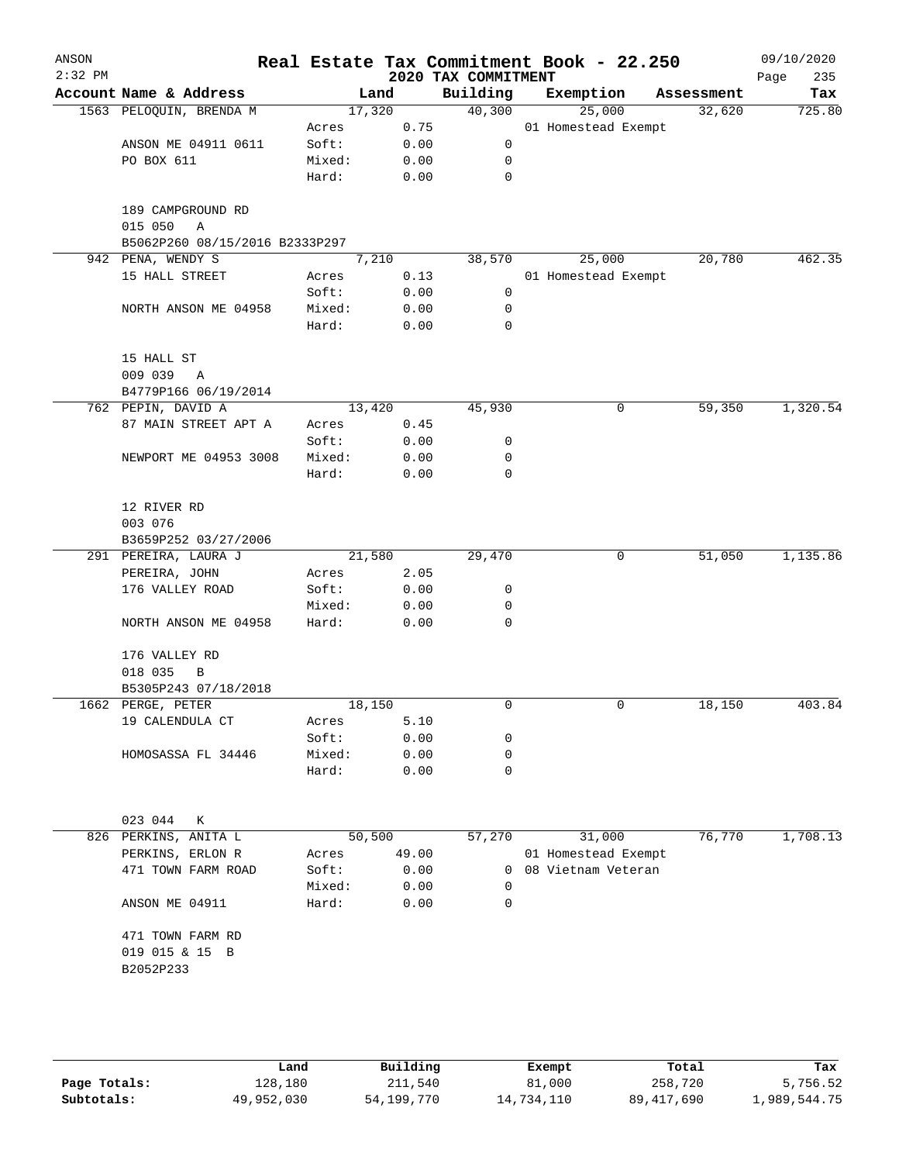| Account Name & Address<br>1563 PELOQUIN, BRENDA M<br>ANSON ME 04911 0611<br>PO BOX 611<br>189 CAMPGROUND RD<br>015 050<br>Α<br>B5062P260 08/15/2016 B2333P297<br>942 PENA, WENDY S<br>15 HALL STREET<br>NORTH ANSON ME 04958 | Land<br>17,320<br>Acres<br>Soft:<br>Mixed:<br>Hard:<br>7,210<br>Acres        | 0.75<br>0.00<br>0.00<br>0.00      | Building<br>40,300<br>0<br>0<br>0 |                                                                                    | Exemption<br>25,000<br>01 Homestead Exempt | Assessment<br>32,620 | Tax                                                           |
|------------------------------------------------------------------------------------------------------------------------------------------------------------------------------------------------------------------------------|------------------------------------------------------------------------------|-----------------------------------|-----------------------------------|------------------------------------------------------------------------------------|--------------------------------------------|----------------------|---------------------------------------------------------------|
|                                                                                                                                                                                                                              |                                                                              |                                   |                                   |                                                                                    |                                            |                      | 725.80                                                        |
|                                                                                                                                                                                                                              |                                                                              |                                   |                                   |                                                                                    |                                            |                      |                                                               |
|                                                                                                                                                                                                                              |                                                                              |                                   |                                   |                                                                                    |                                            |                      |                                                               |
|                                                                                                                                                                                                                              |                                                                              |                                   |                                   |                                                                                    |                                            |                      |                                                               |
|                                                                                                                                                                                                                              |                                                                              |                                   |                                   |                                                                                    |                                            |                      |                                                               |
|                                                                                                                                                                                                                              |                                                                              |                                   |                                   |                                                                                    |                                            |                      |                                                               |
|                                                                                                                                                                                                                              |                                                                              |                                   |                                   |                                                                                    |                                            |                      |                                                               |
|                                                                                                                                                                                                                              |                                                                              |                                   |                                   |                                                                                    |                                            |                      |                                                               |
|                                                                                                                                                                                                                              |                                                                              |                                   |                                   |                                                                                    |                                            |                      |                                                               |
|                                                                                                                                                                                                                              |                                                                              |                                   | 38,570                            |                                                                                    | 25,000                                     | 20,780               | 462.35                                                        |
|                                                                                                                                                                                                                              |                                                                              | 0.13                              |                                   |                                                                                    | 01 Homestead Exempt                        |                      |                                                               |
|                                                                                                                                                                                                                              | Soft:                                                                        | 0.00                              | 0                                 |                                                                                    |                                            |                      |                                                               |
|                                                                                                                                                                                                                              | Mixed:                                                                       | 0.00                              | 0                                 |                                                                                    |                                            |                      |                                                               |
|                                                                                                                                                                                                                              | Hard:                                                                        | 0.00                              | 0                                 |                                                                                    |                                            |                      |                                                               |
|                                                                                                                                                                                                                              |                                                                              |                                   |                                   |                                                                                    |                                            |                      |                                                               |
| 15 HALL ST                                                                                                                                                                                                                   |                                                                              |                                   |                                   |                                                                                    |                                            |                      |                                                               |
| 009 039<br>Α                                                                                                                                                                                                                 |                                                                              |                                   |                                   |                                                                                    |                                            |                      |                                                               |
| B4779P166 06/19/2014                                                                                                                                                                                                         |                                                                              |                                   |                                   |                                                                                    |                                            |                      |                                                               |
| 762 PEPIN, DAVID A                                                                                                                                                                                                           | 13,420                                                                       |                                   | 45,930                            |                                                                                    | 0                                          | 59,350               | 1,320.54                                                      |
| 87 MAIN STREET APT A                                                                                                                                                                                                         | Acres                                                                        | 0.45                              |                                   |                                                                                    |                                            |                      |                                                               |
|                                                                                                                                                                                                                              | Soft:                                                                        | 0.00                              | 0                                 |                                                                                    |                                            |                      |                                                               |
| NEWPORT ME 04953 3008                                                                                                                                                                                                        | Mixed:                                                                       | 0.00                              | 0                                 |                                                                                    |                                            |                      |                                                               |
|                                                                                                                                                                                                                              | Hard:                                                                        | 0.00                              | 0                                 |                                                                                    |                                            |                      |                                                               |
| 12 RIVER RD                                                                                                                                                                                                                  |                                                                              |                                   |                                   |                                                                                    |                                            |                      |                                                               |
| 003 076                                                                                                                                                                                                                      |                                                                              |                                   |                                   |                                                                                    |                                            |                      |                                                               |
| B3659P252 03/27/2006                                                                                                                                                                                                         |                                                                              |                                   |                                   |                                                                                    |                                            |                      |                                                               |
| 291 PEREIRA, LAURA J                                                                                                                                                                                                         | 21,580                                                                       |                                   | 29,470                            |                                                                                    | 0                                          | 51,050               | 1,135.86                                                      |
| PEREIRA, JOHN                                                                                                                                                                                                                | Acres                                                                        | 2.05                              |                                   |                                                                                    |                                            |                      |                                                               |
| 176 VALLEY ROAD                                                                                                                                                                                                              | Soft:                                                                        | 0.00                              | 0                                 |                                                                                    |                                            |                      |                                                               |
|                                                                                                                                                                                                                              | Mixed:                                                                       | 0.00                              | 0                                 |                                                                                    |                                            |                      |                                                               |
| NORTH ANSON ME 04958                                                                                                                                                                                                         | Hard:                                                                        | 0.00                              | 0                                 |                                                                                    |                                            |                      |                                                               |
|                                                                                                                                                                                                                              |                                                                              |                                   |                                   |                                                                                    |                                            |                      |                                                               |
| 176 VALLEY RD                                                                                                                                                                                                                |                                                                              |                                   |                                   |                                                                                    |                                            |                      |                                                               |
| 018 035<br>В                                                                                                                                                                                                                 |                                                                              |                                   |                                   |                                                                                    |                                            |                      |                                                               |
| B5305P243 07/18/2018                                                                                                                                                                                                         |                                                                              |                                   |                                   |                                                                                    |                                            |                      |                                                               |
|                                                                                                                                                                                                                              |                                                                              |                                   |                                   |                                                                                    |                                            |                      | 403.84                                                        |
|                                                                                                                                                                                                                              |                                                                              |                                   |                                   |                                                                                    |                                            |                      |                                                               |
|                                                                                                                                                                                                                              |                                                                              |                                   |                                   |                                                                                    |                                            |                      |                                                               |
|                                                                                                                                                                                                                              |                                                                              |                                   |                                   |                                                                                    |                                            |                      |                                                               |
|                                                                                                                                                                                                                              |                                                                              |                                   |                                   |                                                                                    |                                            |                      |                                                               |
|                                                                                                                                                                                                                              |                                                                              |                                   |                                   |                                                                                    |                                            |                      |                                                               |
| 023 044<br>К                                                                                                                                                                                                                 |                                                                              |                                   |                                   |                                                                                    |                                            |                      |                                                               |
| 826 PERKINS, ANITA L                                                                                                                                                                                                         |                                                                              |                                   |                                   |                                                                                    |                                            |                      | 1,708.13                                                      |
| PERKINS, ERLON R                                                                                                                                                                                                             | Acres                                                                        | 49.00                             |                                   |                                                                                    |                                            |                      |                                                               |
| 471 TOWN FARM ROAD                                                                                                                                                                                                           | Soft:                                                                        |                                   | 0                                 |                                                                                    |                                            |                      |                                                               |
|                                                                                                                                                                                                                              | Mixed:                                                                       |                                   | 0                                 |                                                                                    |                                            |                      |                                                               |
| ANSON ME 04911                                                                                                                                                                                                               | Hard:                                                                        |                                   | $\Omega$                          |                                                                                    |                                            |                      |                                                               |
|                                                                                                                                                                                                                              |                                                                              |                                   |                                   |                                                                                    |                                            |                      |                                                               |
| 471 TOWN FARM RD                                                                                                                                                                                                             |                                                                              |                                   |                                   |                                                                                    |                                            |                      |                                                               |
|                                                                                                                                                                                                                              |                                                                              |                                   |                                   |                                                                                    |                                            |                      |                                                               |
| B2052P233                                                                                                                                                                                                                    |                                                                              |                                   |                                   |                                                                                    |                                            |                      |                                                               |
|                                                                                                                                                                                                                              | 1662 PERGE, PETER<br>19 CALENDULA CT<br>HOMOSASSA FL 34446<br>019 015 & 15 B | Acres<br>Soft:<br>Mixed:<br>Hard: | 18,150<br>50,500                  | 0<br>5.10<br>0.00<br>0<br>0.00<br>0<br>0.00<br>0<br>57,270<br>0.00<br>0.00<br>0.00 |                                            | 0<br>31,000          | 18,150<br>76,770<br>01 Homestead Exempt<br>08 Vietnam Veteran |

|              | Land       | Building   | Exempt     | Total      | Tax          |
|--------------|------------|------------|------------|------------|--------------|
| Page Totals: | 128,180    | 211,540    | 81,000     | 258,720    | 5,756.52     |
| Subtotals:   | 49,952,030 | 54,199,770 | 14,734,110 | 89,417,690 | 1,989,544.75 |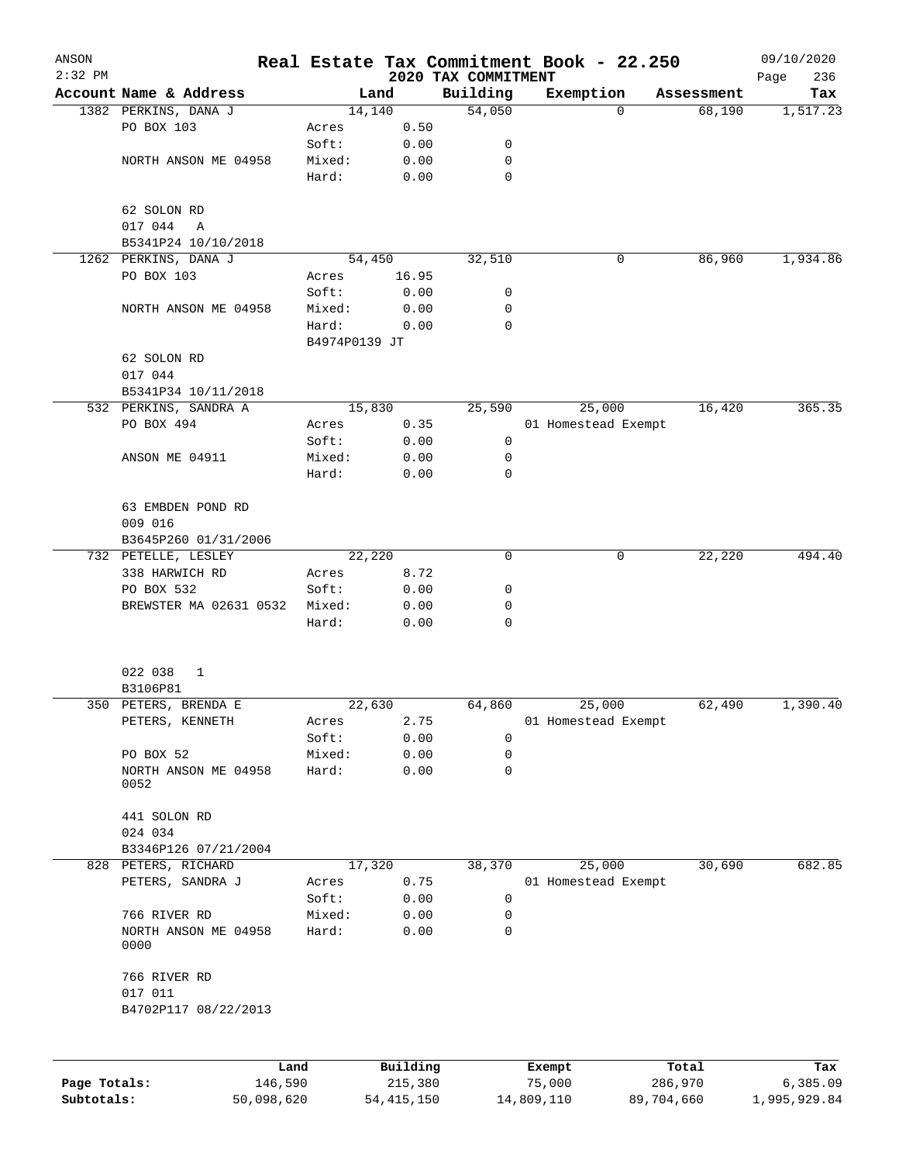| ANSON<br>$2:32$ PM |                              |               |          | 2020 TAX COMMITMENT | Real Estate Tax Commitment Book - 22.250 |            | 09/10/2020<br>236<br>Page |
|--------------------|------------------------------|---------------|----------|---------------------|------------------------------------------|------------|---------------------------|
|                    | Account Name & Address       |               | Land     | Building            | Exemption                                | Assessment | Tax                       |
|                    | 1382 PERKINS, DANA J         |               | 14,140   | 54,050              | 0                                        | 68,190     | 1, 517.23                 |
|                    | PO BOX 103                   | Acres         | 0.50     |                     |                                          |            |                           |
|                    |                              | Soft:         | 0.00     | 0                   |                                          |            |                           |
|                    | NORTH ANSON ME 04958         | Mixed:        | 0.00     | 0                   |                                          |            |                           |
|                    |                              | Hard:         | 0.00     | 0                   |                                          |            |                           |
|                    | 62 SOLON RD                  |               |          |                     |                                          |            |                           |
|                    | 017 044<br>Α                 |               |          |                     |                                          |            |                           |
|                    | B5341P24 10/10/2018          |               |          |                     |                                          |            |                           |
|                    | 1262 PERKINS, DANA J         |               | 54,450   | 32,510              | 0                                        | 86,960     | 1,934.86                  |
|                    | PO BOX 103                   | Acres         | 16.95    |                     |                                          |            |                           |
|                    |                              | Soft:         | 0.00     | 0                   |                                          |            |                           |
|                    | NORTH ANSON ME 04958         | Mixed:        | 0.00     | 0                   |                                          |            |                           |
|                    |                              | Hard:         | 0.00     | $\mathbf 0$         |                                          |            |                           |
|                    |                              | B4974P0139 JT |          |                     |                                          |            |                           |
|                    | 62 SOLON RD                  |               |          |                     |                                          |            |                           |
|                    | 017 044                      |               |          |                     |                                          |            |                           |
|                    | B5341P34 10/11/2018          |               |          |                     |                                          |            |                           |
|                    | 532 PERKINS, SANDRA A        |               | 15,830   | 25,590              | 25,000                                   | 16,420     | 365.35                    |
|                    | PO BOX 494                   | Acres         | 0.35     |                     | 01 Homestead Exempt                      |            |                           |
|                    |                              | Soft:         | 0.00     | 0                   |                                          |            |                           |
|                    | ANSON ME 04911               | Mixed:        | 0.00     | 0                   |                                          |            |                           |
|                    |                              | Hard:         | 0.00     | 0                   |                                          |            |                           |
|                    | 63 EMBDEN POND RD            |               |          |                     |                                          |            |                           |
|                    | 009 016                      |               |          |                     |                                          |            |                           |
|                    | B3645P260 01/31/2006         |               |          |                     |                                          |            |                           |
|                    | 732 PETELLE, LESLEY          |               | 22,220   | 0                   | 0                                        | 22,220     | 494.40                    |
|                    | 338 HARWICH RD               | Acres         | 8.72     |                     |                                          |            |                           |
|                    | PO BOX 532                   | Soft:         | 0.00     | 0                   |                                          |            |                           |
|                    | BREWSTER MA 02631 0532       | Mixed:        | 0.00     | 0                   |                                          |            |                           |
|                    |                              | Hard:         | 0.00     | 0                   |                                          |            |                           |
|                    | 022 038<br>1                 |               |          |                     |                                          |            |                           |
|                    | B3106P81                     |               |          |                     |                                          |            |                           |
|                    | 350 PETERS, BRENDA E         |               | 22,630   | 64,860              | 25,000                                   | 62,490     | 1,390.40                  |
|                    | PETERS, KENNETH              | Acres         | 2.75     |                     | 01 Homestead Exempt                      |            |                           |
|                    |                              | Soft:         | 0.00     | 0                   |                                          |            |                           |
|                    | PO BOX 52                    | Mixed:        | 0.00     | 0                   |                                          |            |                           |
|                    | NORTH ANSON ME 04958         | Hard:         | 0.00     | 0                   |                                          |            |                           |
|                    | 0052                         |               |          |                     |                                          |            |                           |
|                    | 441 SOLON RD                 |               |          |                     |                                          |            |                           |
|                    | 024 034                      |               |          |                     |                                          |            |                           |
|                    | B3346P126 07/21/2004         |               |          |                     |                                          |            |                           |
|                    | 828 PETERS, RICHARD          |               | 17,320   | 38,370              | 25,000                                   | 30,690     | 682.85                    |
|                    | PETERS, SANDRA J             | Acres         | 0.75     |                     | 01 Homestead Exempt                      |            |                           |
|                    |                              | Soft:         | 0.00     | 0                   |                                          |            |                           |
|                    | 766 RIVER RD                 | Mixed:        | 0.00     | $\mathbf 0$         |                                          |            |                           |
|                    | NORTH ANSON ME 04958<br>0000 | Hard:         | 0.00     | 0                   |                                          |            |                           |
|                    | 766 RIVER RD                 |               |          |                     |                                          |            |                           |
|                    | 017 011                      |               |          |                     |                                          |            |                           |
|                    | B4702P117 08/22/2013         |               |          |                     |                                          |            |                           |
|                    |                              |               |          |                     |                                          |            |                           |
|                    |                              | Land          | Building |                     | Exempt                                   | Total      | Tax                       |

|              | Land       | Building   | Exempt     | Total      | Tax          |
|--------------|------------|------------|------------|------------|--------------|
| Page Totals: | 146.590    | 215,380    | 75,000     | 286,970    | 6,385.09     |
| Subtotals:   | 50,098,620 | 54,415,150 | 14,809,110 | 89,704,660 | 1,995,929.84 |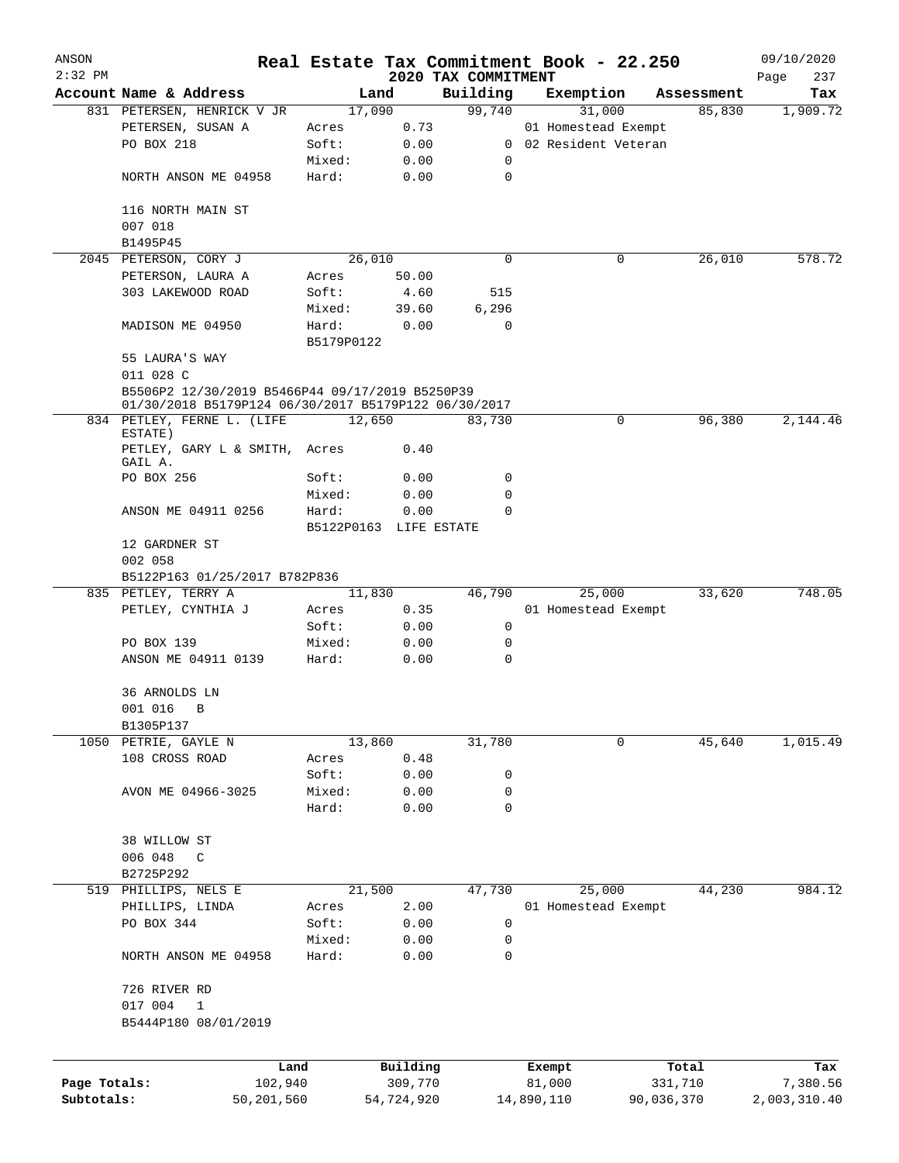| ANSON        |                                                                                                         |            |                        |                     | Real Estate Tax Commitment Book - 22.250 |                      | 09/10/2020      |
|--------------|---------------------------------------------------------------------------------------------------------|------------|------------------------|---------------------|------------------------------------------|----------------------|-----------------|
| $2:32$ PM    |                                                                                                         |            |                        | 2020 TAX COMMITMENT |                                          |                      | Page<br>237     |
|              | Account Name & Address<br>831 PETERSEN, HENRICK V JR                                                    |            | Land<br>17,090         | Building<br>99,740  | Exemption<br>31,000                      | Assessment<br>85,830 | Tax<br>1,909.72 |
|              | PETERSEN, SUSAN A                                                                                       | Acres      | 0.73                   |                     | 01 Homestead Exempt                      |                      |                 |
|              | PO BOX 218                                                                                              | Soft:      | 0.00                   |                     | 0 02 Resident Veteran                    |                      |                 |
|              |                                                                                                         | Mixed:     | 0.00                   | 0                   |                                          |                      |                 |
|              | NORTH ANSON ME 04958                                                                                    | Hard:      | 0.00                   | $\mathbf 0$         |                                          |                      |                 |
|              | 116 NORTH MAIN ST                                                                                       |            |                        |                     |                                          |                      |                 |
|              | 007 018                                                                                                 |            |                        |                     |                                          |                      |                 |
|              | B1495P45                                                                                                |            |                        |                     |                                          |                      |                 |
|              | 2045 PETERSON, CORY J                                                                                   |            | 26,010                 | $\mathbf 0$         | 0                                        | 26,010               | 578.72          |
|              | PETERSON, LAURA A                                                                                       | Acres      | 50.00                  |                     |                                          |                      |                 |
|              | 303 LAKEWOOD ROAD                                                                                       | Soft:      | 4.60                   | 515                 |                                          |                      |                 |
|              |                                                                                                         | Mixed:     | 39.60                  | 6,296               |                                          |                      |                 |
|              | MADISON ME 04950                                                                                        | Hard:      | 0.00                   | $\mathbf 0$         |                                          |                      |                 |
|              |                                                                                                         | B5179P0122 |                        |                     |                                          |                      |                 |
|              | 55 LAURA'S WAY                                                                                          |            |                        |                     |                                          |                      |                 |
|              | 011 028 C                                                                                               |            |                        |                     |                                          |                      |                 |
|              | B5506P2 12/30/2019 B5466P44 09/17/2019 B5250P39<br>01/30/2018 B5179P124 06/30/2017 B5179P122 06/30/2017 |            |                        |                     |                                          |                      |                 |
|              | 834 PETLEY, FERNE L. (LIFE                                                                              |            | 12,650                 | 83,730              | 0                                        | 96,380               | 2,144.46        |
|              | ESTATE)<br>PETLEY, GARY L & SMITH, Acres<br>GAIL A.                                                     |            | 0.40                   |                     |                                          |                      |                 |
|              | PO BOX 256                                                                                              | Soft:      | 0.00                   | 0                   |                                          |                      |                 |
|              |                                                                                                         | Mixed:     | 0.00                   | $\mathbf 0$         |                                          |                      |                 |
|              | ANSON ME 04911 0256                                                                                     | Hard:      | 0.00                   | $\Omega$            |                                          |                      |                 |
|              |                                                                                                         |            | B5122P0163 LIFE ESTATE |                     |                                          |                      |                 |
|              | 12 GARDNER ST                                                                                           |            |                        |                     |                                          |                      |                 |
|              | 002 058                                                                                                 |            |                        |                     |                                          |                      |                 |
|              | B5122P163 01/25/2017 B782P836                                                                           |            |                        |                     |                                          |                      |                 |
|              | 835 PETLEY, TERRY A                                                                                     |            | 11,830                 | 46,790              | 25,000                                   | 33,620               | 748.05          |
|              | PETLEY, CYNTHIA J                                                                                       | Acres      | 0.35                   |                     | 01 Homestead Exempt                      |                      |                 |
|              |                                                                                                         | Soft:      | 0.00                   | 0                   |                                          |                      |                 |
|              | PO BOX 139                                                                                              | Mixed:     | 0.00                   | 0                   |                                          |                      |                 |
|              | ANSON ME 04911 0139                                                                                     | Hard:      | 0.00                   | $\mathbf 0$         |                                          |                      |                 |
|              | 36 ARNOLDS LN                                                                                           |            |                        |                     |                                          |                      |                 |
|              | 001 016<br>В                                                                                            |            |                        |                     |                                          |                      |                 |
|              | B1305P137                                                                                               |            |                        |                     |                                          |                      |                 |
|              | 1050 PETRIE, GAYLE N                                                                                    |            | 13,860                 | 31,780              | 0                                        | 45,640               | 1,015.49        |
|              | 108 CROSS ROAD                                                                                          | Acres      | 0.48                   |                     |                                          |                      |                 |
|              |                                                                                                         | Soft:      | 0.00                   | 0                   |                                          |                      |                 |
|              | AVON ME 04966-3025                                                                                      | Mixed:     | 0.00                   | $\mathbf 0$         |                                          |                      |                 |
|              |                                                                                                         | Hard:      | 0.00                   | $\mathbf 0$         |                                          |                      |                 |
|              |                                                                                                         |            |                        |                     |                                          |                      |                 |
|              | 38 WILLOW ST                                                                                            |            |                        |                     |                                          |                      |                 |
|              | 006 048<br>C                                                                                            |            |                        |                     |                                          |                      |                 |
|              | B2725P292                                                                                               |            |                        |                     |                                          |                      |                 |
|              | 519 PHILLIPS, NELS E                                                                                    |            | 21,500                 | 47,730              | 25,000                                   | 44,230               | 984.12          |
|              | PHILLIPS, LINDA                                                                                         | Acres      | 2.00                   |                     | 01 Homestead Exempt                      |                      |                 |
|              | PO BOX 344                                                                                              | Soft:      | 0.00                   | 0                   |                                          |                      |                 |
|              |                                                                                                         | Mixed:     | 0.00                   | 0                   |                                          |                      |                 |
|              | NORTH ANSON ME 04958                                                                                    | Hard:      | 0.00                   | 0                   |                                          |                      |                 |
|              | 726 RIVER RD                                                                                            |            |                        |                     |                                          |                      |                 |
|              | 017 004<br>$\mathbf{1}$                                                                                 |            |                        |                     |                                          |                      |                 |
|              | B5444P180 08/01/2019                                                                                    |            |                        |                     |                                          |                      |                 |
|              |                                                                                                         |            |                        |                     |                                          |                      |                 |
|              |                                                                                                         | Land       | Building               |                     | Exempt                                   | Total                | Tax             |
| Page Totals: |                                                                                                         | 102,940    | 309,770                |                     | 81,000                                   | 331,710              | 7,380.56        |
| Subtotals:   | 50,201,560                                                                                              |            | 54,724,920             |                     | 14,890,110                               | 90,036,370           | 2,003,310.40    |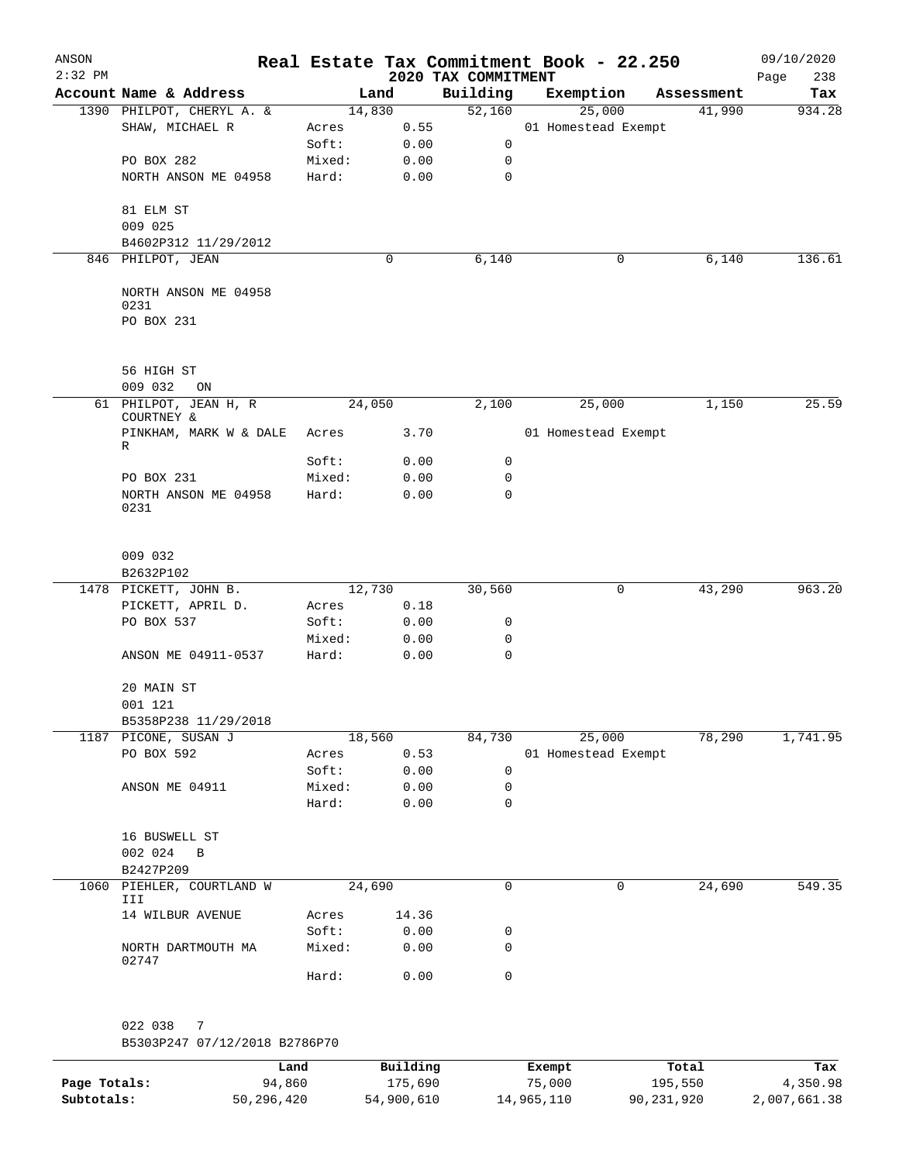| ANSON<br>$2:32$ PM |                                 |        |             | 2020 TAX COMMITMENT | Real Estate Tax Commitment Book - 22.250 |            | 09/10/2020<br>238<br>Page |
|--------------------|---------------------------------|--------|-------------|---------------------|------------------------------------------|------------|---------------------------|
|                    | Account Name & Address          |        | Land        | Building            | Exemption                                | Assessment | Tax                       |
|                    | 1390 PHILPOT, CHERYL A. &       |        | 14,830      | 52,160              | 25,000                                   | 41,990     | 934.28                    |
|                    | SHAW, MICHAEL R                 | Acres  | 0.55        |                     | 01 Homestead Exempt                      |            |                           |
|                    |                                 | Soft:  | 0.00        | $\mathsf{O}$        |                                          |            |                           |
|                    | PO BOX 282                      | Mixed: | 0.00        | 0                   |                                          |            |                           |
|                    | NORTH ANSON ME 04958            | Hard:  | 0.00        | $\mathbf 0$         |                                          |            |                           |
|                    |                                 |        |             |                     |                                          |            |                           |
|                    | 81 ELM ST<br>009 025            |        |             |                     |                                          |            |                           |
|                    | B4602P312 11/29/2012            |        |             |                     |                                          |            |                           |
|                    | 846 PHILPOT, JEAN               |        | $\mathbf 0$ | 6,140               | 0                                        | 6,140      | 136.61                    |
|                    |                                 |        |             |                     |                                          |            |                           |
|                    | NORTH ANSON ME 04958            |        |             |                     |                                          |            |                           |
|                    | 0231                            |        |             |                     |                                          |            |                           |
|                    | PO BOX 231                      |        |             |                     |                                          |            |                           |
|                    |                                 |        |             |                     |                                          |            |                           |
|                    |                                 |        |             |                     |                                          |            |                           |
|                    | 56 HIGH ST<br>009 032           |        |             |                     |                                          |            |                           |
|                    | ON<br>61 PHILPOT, JEAN H, R     |        | 24,050      | 2,100               | 25,000                                   | 1,150      | 25.59                     |
|                    | COURTNEY &                      |        |             |                     |                                          |            |                           |
|                    | PINKHAM, MARK W & DALE          | Acres  | 3.70        |                     | 01 Homestead Exempt                      |            |                           |
|                    | R                               |        |             |                     |                                          |            |                           |
|                    |                                 | Soft:  | 0.00        | $\mathsf{O}$        |                                          |            |                           |
|                    | PO BOX 231                      | Mixed: | 0.00        | 0                   |                                          |            |                           |
|                    | NORTH ANSON ME 04958<br>0231    | Hard:  | 0.00        | $\mathbf 0$         |                                          |            |                           |
|                    |                                 |        |             |                     |                                          |            |                           |
|                    |                                 |        |             |                     |                                          |            |                           |
|                    | 009 032                         |        |             |                     |                                          |            |                           |
|                    | B2632P102                       |        |             |                     |                                          |            |                           |
|                    | 1478 PICKETT, JOHN B.           |        | 12,730      | 30,560              | 0                                        | 43,290     | 963.20                    |
|                    | PICKETT, APRIL D.               | Acres  | 0.18        |                     |                                          |            |                           |
|                    | PO BOX 537                      | Soft:  | 0.00        | 0                   |                                          |            |                           |
|                    |                                 | Mixed: | 0.00        | 0                   |                                          |            |                           |
|                    | ANSON ME 04911-0537             | Hard:  | 0.00        | 0                   |                                          |            |                           |
|                    |                                 |        |             |                     |                                          |            |                           |
|                    | 20 MAIN ST                      |        |             |                     |                                          |            |                           |
|                    | 001 121<br>B5358P238 11/29/2018 |        |             |                     |                                          |            |                           |
|                    | 1187 PICONE, SUSAN J            |        | 18,560      | 84,730              | 25,000                                   | 78,290     | 1,741.95                  |
|                    | PO BOX 592                      | Acres  | 0.53        |                     | 01 Homestead Exempt                      |            |                           |
|                    |                                 | Soft:  | 0.00        | 0                   |                                          |            |                           |
|                    | ANSON ME 04911                  | Mixed: | 0.00        | 0                   |                                          |            |                           |
|                    |                                 | Hard:  | 0.00        | 0                   |                                          |            |                           |
|                    |                                 |        |             |                     |                                          |            |                           |
|                    | 16 BUSWELL ST                   |        |             |                     |                                          |            |                           |
|                    | 002 024<br>B                    |        |             |                     |                                          |            |                           |
|                    | B2427P209                       |        |             |                     |                                          |            |                           |
| 1060               | PIEHLER, COURTLAND W            |        | 24,690      | 0                   | 0                                        | 24,690     | 549.35                    |
|                    | III<br>14 WILBUR AVENUE         | Acres  | 14.36       |                     |                                          |            |                           |
|                    |                                 | Soft:  | 0.00        | 0                   |                                          |            |                           |
|                    | NORTH DARTMOUTH MA              | Mixed: | 0.00        | 0                   |                                          |            |                           |
|                    | 02747                           |        |             |                     |                                          |            |                           |
|                    |                                 | Hard:  | 0.00        | 0                   |                                          |            |                           |
|                    |                                 |        |             |                     |                                          |            |                           |
|                    |                                 |        |             |                     |                                          |            |                           |
|                    | 022 038<br>7                    |        |             |                     |                                          |            |                           |
|                    | B5303P247 07/12/2018 B2786P70   |        |             |                     |                                          |            |                           |
|                    |                                 |        |             |                     |                                          |            |                           |

|              | Land       | Building   | Exempt     | Total      | Tax          |
|--------------|------------|------------|------------|------------|--------------|
| Page Totals: | 94,860     | 175,690    | 75,000     | 195,550    | 4,350.98     |
| Subtotals:   | 50,296,420 | 54,900,610 | 14,965,110 | 90,231,920 | 2,007,661.38 |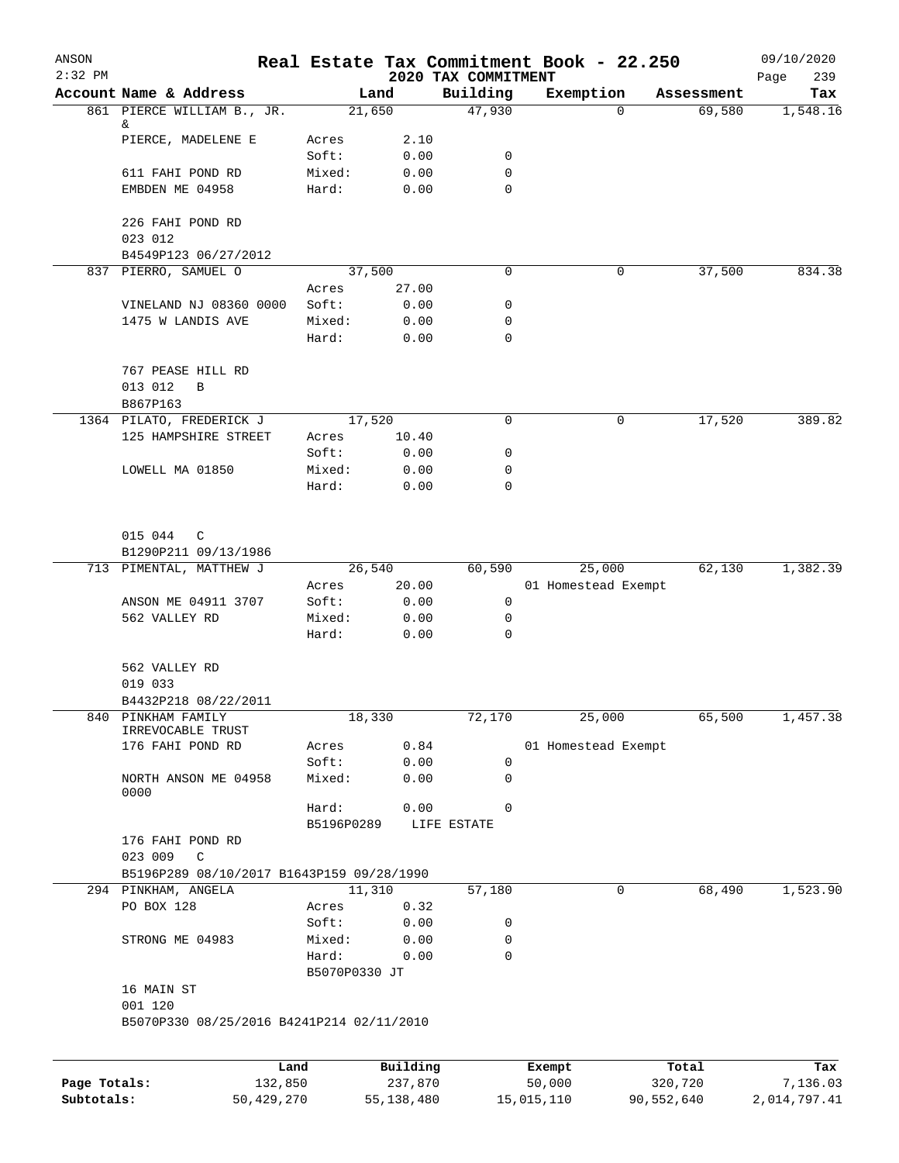| ANSON        |                                           |                        |            |                                 | Real Estate Tax Commitment Book - 22.250 |            | 09/10/2020         |
|--------------|-------------------------------------------|------------------------|------------|---------------------------------|------------------------------------------|------------|--------------------|
| $2:32$ PM    | Account Name & Address                    |                        | Land       | 2020 TAX COMMITMENT<br>Building | Exemption                                | Assessment | 239<br>Page<br>Tax |
|              | 861 PIERCE WILLIAM B., JR.                |                        | 21,650     | 47,930                          | $\Omega$                                 | 69,580     | 1,548.16           |
|              | &<br>PIERCE, MADELENE E                   | Acres                  | 2.10       |                                 |                                          |            |                    |
|              |                                           | Soft:                  | 0.00       | 0                               |                                          |            |                    |
|              | 611 FAHI POND RD                          | Mixed:                 | 0.00       | 0                               |                                          |            |                    |
|              | EMBDEN ME 04958                           | Hard:                  | 0.00       | 0                               |                                          |            |                    |
|              | 226 FAHI POND RD                          |                        |            |                                 |                                          |            |                    |
|              | 023 012<br>B4549P123 06/27/2012           |                        |            |                                 |                                          |            |                    |
|              | 837 PIERRO, SAMUEL O                      |                        | 37,500     | 0                               | 0                                        | 37,500     | 834.38             |
|              |                                           | Acres                  | 27.00      |                                 |                                          |            |                    |
|              | VINELAND NJ 08360 0000                    | Soft:                  | 0.00       | 0                               |                                          |            |                    |
|              | 1475 W LANDIS AVE                         | Mixed:                 | 0.00       | 0                               |                                          |            |                    |
|              |                                           | Hard:                  | 0.00       | 0                               |                                          |            |                    |
|              | 767 PEASE HILL RD                         |                        |            |                                 |                                          |            |                    |
|              | 013 012<br>B                              |                        |            |                                 |                                          |            |                    |
|              | B867P163                                  |                        |            |                                 |                                          |            |                    |
|              | 1364 PILATO, FREDERICK J                  | 17,520                 |            | 0                               | 0                                        | 17,520     | 389.82             |
|              | 125 HAMPSHIRE STREET                      | Acres                  | 10.40      |                                 |                                          |            |                    |
|              |                                           | Soft:                  | 0.00       | 0                               |                                          |            |                    |
|              | LOWELL MA 01850                           | Mixed:                 | 0.00       | 0                               |                                          |            |                    |
|              |                                           | Hard:                  | 0.00       | 0                               |                                          |            |                    |
|              | 015 044<br>C                              |                        |            |                                 |                                          |            |                    |
|              | B1290P211 09/13/1986                      |                        |            |                                 |                                          |            |                    |
|              | 713 PIMENTAL, MATTHEW J                   |                        | 26,540     | 60,590                          | 25,000                                   | 62,130     | 1,382.39           |
|              |                                           | Acres                  | 20.00      |                                 | 01 Homestead Exempt                      |            |                    |
|              | ANSON ME 04911 3707                       | Soft:                  | 0.00       | 0                               |                                          |            |                    |
|              | 562 VALLEY RD                             | Mixed:                 | 0.00       | 0                               |                                          |            |                    |
|              |                                           | Hard:                  | 0.00       | $\mathbf 0$                     |                                          |            |                    |
|              | 562 VALLEY RD                             |                        |            |                                 |                                          |            |                    |
|              | 019 033                                   |                        |            |                                 |                                          |            |                    |
|              | B4432P218 08/22/2011                      |                        |            |                                 |                                          |            |                    |
|              | 840 PINKHAM FAMILY<br>IRREVOCABLE TRUST   |                        | 18,330     | 72,170                          | 25,000                                   | 65,500     | 1,457.38           |
|              | 176 FAHI POND RD                          | Acres                  | 0.84       |                                 | 01 Homestead Exempt                      |            |                    |
|              |                                           | Soft:                  | 0.00       | $\mathbf 0$                     |                                          |            |                    |
|              | NORTH ANSON ME 04958<br>0000              | Mixed:                 | 0.00       | $\mathbf 0$                     |                                          |            |                    |
|              |                                           | Hard:<br>B5196P0289    | 0.00       | 0<br>LIFE ESTATE                |                                          |            |                    |
|              | 176 FAHI POND RD                          |                        |            |                                 |                                          |            |                    |
|              | 023 009<br>C                              |                        |            |                                 |                                          |            |                    |
|              | B5196P289 08/10/2017 B1643P159 09/28/1990 |                        |            |                                 |                                          |            |                    |
|              | 294 PINKHAM, ANGELA                       |                        | 11,310     | 57,180                          | 0                                        | 68,490     | 1,523.90           |
|              | PO BOX 128                                | Acres                  | 0.32       |                                 |                                          |            |                    |
|              |                                           | Soft:                  | 0.00       | 0                               |                                          |            |                    |
|              | STRONG ME 04983                           | Mixed:                 | 0.00       | 0                               |                                          |            |                    |
|              |                                           | Hard:<br>B5070P0330 JT | 0.00       | 0                               |                                          |            |                    |
|              | 16 MAIN ST                                |                        |            |                                 |                                          |            |                    |
|              | 001 120                                   |                        |            |                                 |                                          |            |                    |
|              | B5070P330 08/25/2016 B4241P214 02/11/2010 |                        |            |                                 |                                          |            |                    |
|              |                                           |                        |            |                                 |                                          |            |                    |
|              |                                           | Land                   | Building   |                                 | Exempt                                   | Total      | Tax                |
| Page Totals: | 132,850                                   |                        | 237,870    |                                 | 50,000                                   | 320,720    | 7,136.03           |
| Subtotals:   | 50,429,270                                |                        | 55,138,480 |                                 | 15,015,110                               | 90,552,640 | 2,014,797.41       |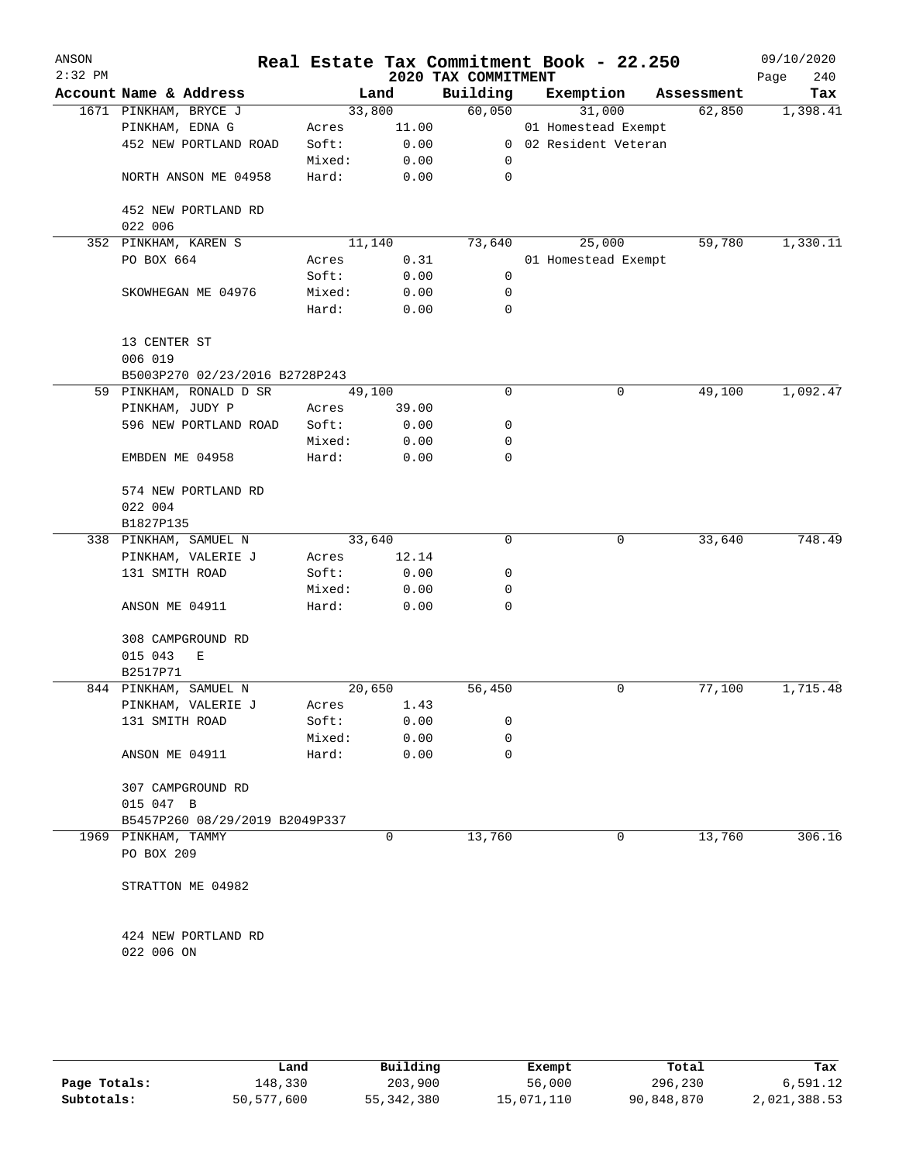| ANSON<br>$2:32$ PM |                                |        |        | 2020 TAX COMMITMENT | Real Estate Tax Commitment Book - 22.250 |            | 09/10/2020<br>240<br>Page |
|--------------------|--------------------------------|--------|--------|---------------------|------------------------------------------|------------|---------------------------|
|                    | Account Name & Address         |        | Land   | Building            | Exemption                                | Assessment | Tax                       |
|                    | 1671 PINKHAM, BRYCE J          |        | 33,800 | 60,050              | 31,000                                   | 62,850     | 1,398.41                  |
|                    | PINKHAM, EDNA G                | Acres  | 11.00  |                     | 01 Homestead Exempt                      |            |                           |
|                    | 452 NEW PORTLAND ROAD          | Soft:  | 0.00   |                     | 0 02 Resident Veteran                    |            |                           |
|                    |                                | Mixed: | 0.00   | 0                   |                                          |            |                           |
|                    | NORTH ANSON ME 04958           | Hard:  | 0.00   | 0                   |                                          |            |                           |
|                    | 452 NEW PORTLAND RD            |        |        |                     |                                          |            |                           |
|                    | 022 006                        |        |        |                     |                                          |            |                           |
|                    | 352 PINKHAM, KAREN S           |        | 11,140 | 73,640              | 25,000                                   | 59,780     | 1,330.11                  |
|                    | PO BOX 664                     | Acres  | 0.31   |                     | 01 Homestead Exempt                      |            |                           |
|                    |                                | Soft:  | 0.00   | 0                   |                                          |            |                           |
|                    | SKOWHEGAN ME 04976             | Mixed: | 0.00   | 0                   |                                          |            |                           |
|                    |                                | Hard:  | 0.00   | 0                   |                                          |            |                           |
|                    | 13 CENTER ST<br>006 019        |        |        |                     |                                          |            |                           |
|                    | B5003P270 02/23/2016 B2728P243 |        |        |                     |                                          |            |                           |
|                    | 59 PINKHAM, RONALD D SR        |        | 49,100 | 0                   | 0                                        | 49,100     | 1,092.47                  |
|                    | PINKHAM, JUDY P                | Acres  | 39.00  |                     |                                          |            |                           |
|                    | 596 NEW PORTLAND ROAD          | Soft:  | 0.00   | 0                   |                                          |            |                           |
|                    |                                | Mixed: | 0.00   | 0                   |                                          |            |                           |
|                    | EMBDEN ME 04958                | Hard:  | 0.00   | $\mathbf 0$         |                                          |            |                           |
|                    | 574 NEW PORTLAND RD            |        |        |                     |                                          |            |                           |
|                    | 022 004                        |        |        |                     |                                          |            |                           |
|                    | B1827P135                      |        |        |                     |                                          |            |                           |
|                    | 338 PINKHAM, SAMUEL N          |        | 33,640 | 0                   | 0                                        | 33,640     | 748.49                    |
|                    | PINKHAM, VALERIE J             | Acres  | 12.14  |                     |                                          |            |                           |
|                    | 131 SMITH ROAD                 | Soft:  | 0.00   | 0                   |                                          |            |                           |
|                    |                                | Mixed: | 0.00   | 0                   |                                          |            |                           |
|                    | ANSON ME 04911                 | Hard:  | 0.00   | $\mathbf 0$         |                                          |            |                           |
|                    | 308 CAMPGROUND RD              |        |        |                     |                                          |            |                           |
|                    | 015 043<br>Е                   |        |        |                     |                                          |            |                           |
|                    | B2517P71                       |        |        |                     |                                          |            |                           |
|                    | 844 PINKHAM, SAMUEL N          |        | 20,650 | 56,450              | 0                                        | 77,100     | 1,715.48                  |
|                    | PINKHAM, VALERIE J             | Acres  | 1.43   |                     |                                          |            |                           |
|                    | 131 SMITH ROAD                 | Soft:  | 0.00   | 0                   |                                          |            |                           |
|                    |                                | Mixed: | 0.00   | 0                   |                                          |            |                           |
|                    | ANSON ME 04911                 | Hard:  | 0.00   | $\mathbf 0$         |                                          |            |                           |
|                    | 307 CAMPGROUND RD              |        |        |                     |                                          |            |                           |
|                    | 015 047 B                      |        |        |                     |                                          |            |                           |
|                    | B5457P260 08/29/2019 B2049P337 |        |        |                     |                                          |            |                           |
|                    | 1969 PINKHAM, TAMMY            |        | 0      | 13,760              | 0                                        | 13,760     | 306.16                    |
|                    | PO BOX 209                     |        |        |                     |                                          |            |                           |
|                    | STRATTON ME 04982              |        |        |                     |                                          |            |                           |
|                    | 424 NEW PORTLAND RD            |        |        |                     |                                          |            |                           |
|                    | 022 006 ON                     |        |        |                     |                                          |            |                           |
|                    |                                |        |        |                     |                                          |            |                           |
|                    |                                |        |        |                     |                                          |            |                           |

|              | Land       | Building     | Exempt     | Total      | Tax          |
|--------------|------------|--------------|------------|------------|--------------|
| Page Totals: | 148,330    | 203,900      | 56,000     | 296,230    | 6,591.12     |
| Subtotals:   | 50,577,600 | 55, 342, 380 | 15,071,110 | 90,848,870 | 2,021,388.53 |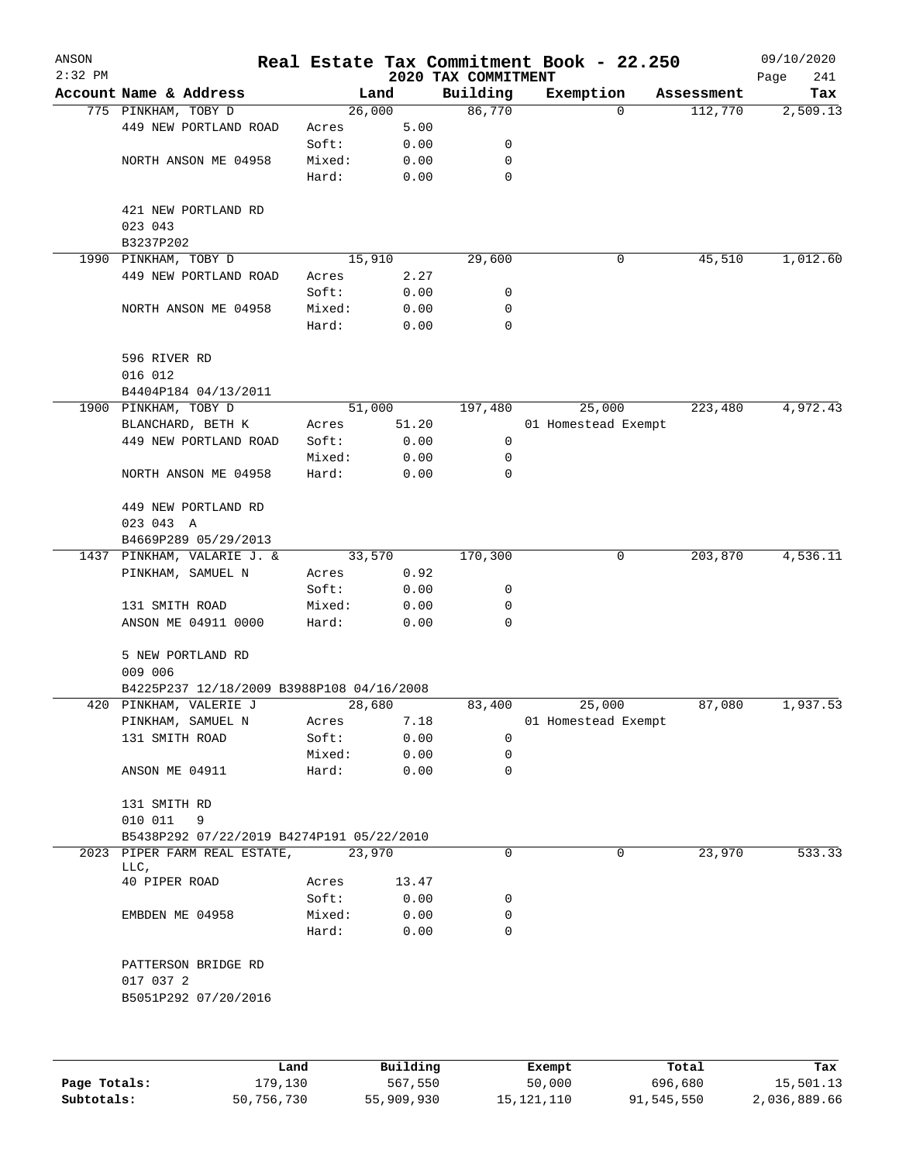| ANSON<br>$2:32$ PM |                                           |                 |        |              | 2020 TAX COMMITMENT | Real Estate Tax Commitment Book - 22.250 |             |            | 09/10/2020<br>Page<br>241 |
|--------------------|-------------------------------------------|-----------------|--------|--------------|---------------------|------------------------------------------|-------------|------------|---------------------------|
|                    | Account Name & Address                    |                 | Land   |              | Building            | Exemption                                |             | Assessment | Tax                       |
|                    | 775 PINKHAM, TOBY D                       |                 | 26,000 |              | 86,770              |                                          | $\mathbf 0$ | 112,770    | 2,509.13                  |
|                    | 449 NEW PORTLAND ROAD                     | Acres           |        | 5.00         |                     |                                          |             |            |                           |
|                    |                                           | Soft:           |        | 0.00         | 0                   |                                          |             |            |                           |
|                    | NORTH ANSON ME 04958                      | Mixed:          |        | 0.00         | 0                   |                                          |             |            |                           |
|                    |                                           | Hard:           |        | 0.00         | 0                   |                                          |             |            |                           |
|                    | 421 NEW PORTLAND RD<br>023 043            |                 |        |              |                     |                                          |             |            |                           |
|                    | B3237P202                                 |                 |        |              |                     |                                          |             |            |                           |
| 1990               | PINKHAM, TOBY D                           |                 | 15,910 |              | 29,600              |                                          | 0           | 45,510     | 1,012.60                  |
|                    | 449 NEW PORTLAND ROAD                     | Acres           |        | 2.27         |                     |                                          |             |            |                           |
|                    |                                           | Soft:           |        | 0.00         | 0                   |                                          |             |            |                           |
|                    | NORTH ANSON ME 04958                      | Mixed:          |        | 0.00         | 0                   |                                          |             |            |                           |
|                    |                                           | Hard:           |        | 0.00         | 0                   |                                          |             |            |                           |
|                    | 596 RIVER RD<br>016 012                   |                 |        |              |                     |                                          |             |            |                           |
|                    | B4404P184 04/13/2011                      |                 |        |              |                     |                                          |             |            |                           |
|                    | 1900 PINKHAM, TOBY D                      |                 | 51,000 |              | 197,480             | 25,000                                   |             | 223,480    | 4,972.43                  |
|                    | BLANCHARD, BETH K                         | Acres           |        | 51.20        |                     | 01 Homestead Exempt                      |             |            |                           |
|                    | 449 NEW PORTLAND ROAD                     | Soft:           |        | 0.00         | 0                   |                                          |             |            |                           |
|                    |                                           | Mixed:          |        | 0.00         | 0                   |                                          |             |            |                           |
|                    | NORTH ANSON ME 04958                      | Hard:           |        | 0.00         | 0                   |                                          |             |            |                           |
|                    | 449 NEW PORTLAND RD<br>023 043 A          |                 |        |              |                     |                                          |             |            |                           |
|                    | B4669P289 05/29/2013                      |                 |        |              |                     |                                          |             |            |                           |
|                    | 1437 PINKHAM, VALARIE J. &                |                 | 33,570 |              | 170,300             |                                          | 0           | 203,870    | 4,536.11                  |
|                    | PINKHAM, SAMUEL N                         | Acres           |        | 0.92         |                     |                                          |             |            |                           |
|                    |                                           | Soft:           |        | 0.00         | 0                   |                                          |             |            |                           |
|                    | 131 SMITH ROAD                            | Mixed:          |        | 0.00         | 0                   |                                          |             |            |                           |
|                    | ANSON ME 04911 0000                       | Hard:           |        | 0.00         | $\Omega$            |                                          |             |            |                           |
|                    | 5 NEW PORTLAND RD<br>009 006              |                 |        |              |                     |                                          |             |            |                           |
|                    | B4225P237 12/18/2009 B3988P108 04/16/2008 |                 |        |              |                     |                                          |             |            |                           |
|                    | 420 PINKHAM, VALERIE J                    |                 | 28,680 |              | 83,400              | 25,000                                   |             | 87,080     | 1,937.53                  |
|                    | PINKHAM, SAMUEL N                         | Acres           |        | 7.18         |                     | 01 Homestead Exempt                      |             |            |                           |
|                    | 131 SMITH ROAD                            | Soft:           |        | 0.00         | 0                   |                                          |             |            |                           |
|                    |                                           | Mixed:          |        | 0.00         | 0                   |                                          |             |            |                           |
|                    | ANSON ME 04911                            | Hard:           |        | 0.00         | $\mathbf 0$         |                                          |             |            |                           |
|                    | 131 SMITH RD<br>010 011<br>9              |                 |        |              |                     |                                          |             |            |                           |
|                    | B5438P292 07/22/2019 B4274P191 05/22/2010 |                 |        |              |                     |                                          |             |            |                           |
|                    | 2023 PIPER FARM REAL ESTATE,              |                 | 23,970 |              | 0                   |                                          | 0           | 23,970     | 533.33                    |
|                    | LLC,                                      |                 |        |              |                     |                                          |             |            |                           |
|                    | 40 PIPER ROAD                             | Acres           |        | 13.47        |                     |                                          |             |            |                           |
|                    |                                           | Soft:           |        | 0.00         | 0                   |                                          |             |            |                           |
|                    | EMBDEN ME 04958                           | Mixed:<br>Hard: |        | 0.00<br>0.00 | 0<br>$\Omega$       |                                          |             |            |                           |
|                    | PATTERSON BRIDGE RD                       |                 |        |              |                     |                                          |             |            |                           |
|                    | 017 037 2                                 |                 |        |              |                     |                                          |             |            |                           |
|                    | B5051P292 07/20/2016                      |                 |        |              |                     |                                          |             |            |                           |
|                    |                                           |                 |        |              |                     |                                          |             |            |                           |
|                    |                                           |                 |        |              |                     |                                          |             |            |                           |
|                    |                                           | Land.           |        | Building     |                     | $F$ vomnt                                |             | $T$ ctal   | <b>Tax</b>                |

|              | Land       | Building   | Exempt     | Total      | Tax          |
|--------------|------------|------------|------------|------------|--------------|
| Page Totals: | 179,130    | 567,550    | 50,000     | 696,680    | 15,501.13    |
| Subtotals:   | 50,756,730 | 55,909,930 | 15,121,110 | 91,545,550 | 2,036,889.66 |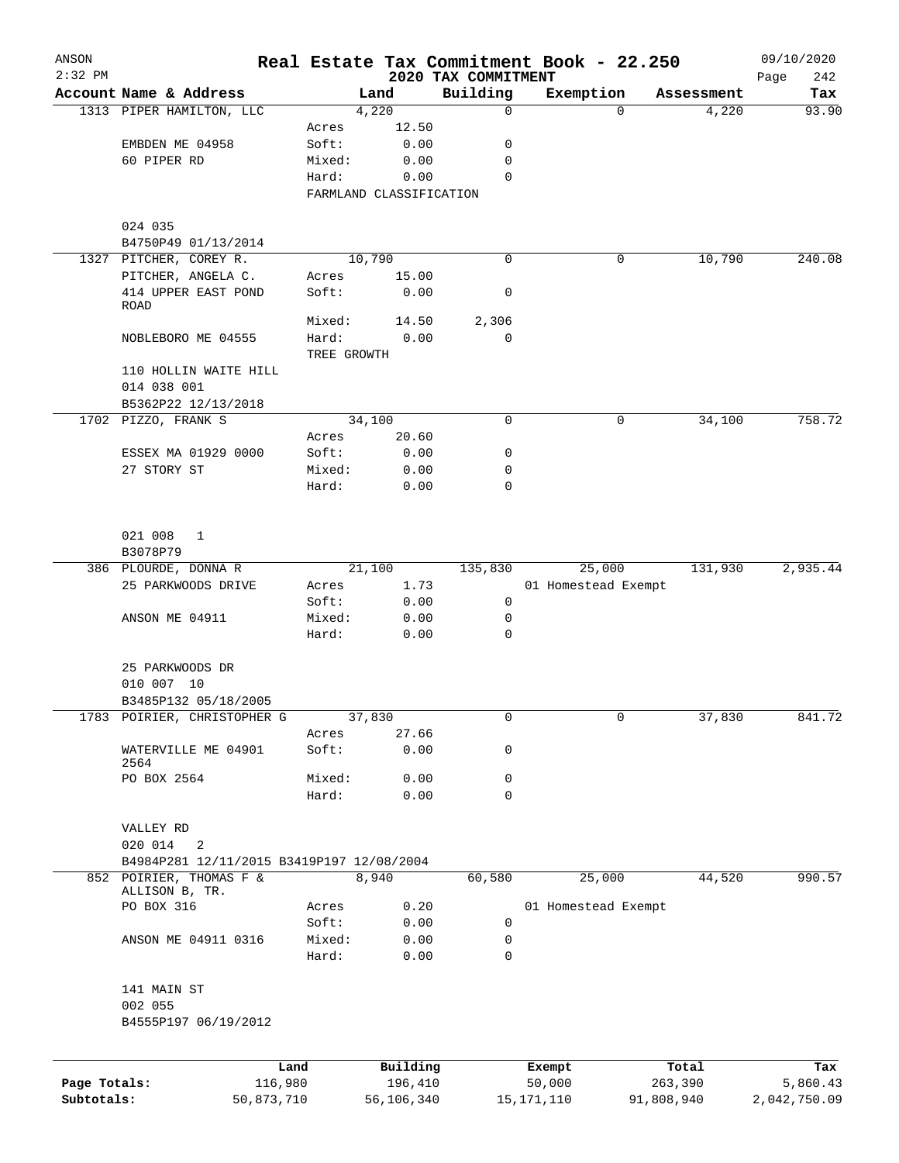| ANSON<br>$2:32$ PM |                                           |                         |              | 2020 TAX COMMITMENT | Real Estate Tax Commitment Book - 22.250 |            | 09/10/2020         |
|--------------------|-------------------------------------------|-------------------------|--------------|---------------------|------------------------------------------|------------|--------------------|
|                    | Account Name & Address                    |                         | Land         | Building            | Exemption                                | Assessment | 242<br>Page<br>Tax |
|                    | 1313 PIPER HAMILTON, LLC                  |                         | 4,220        | 0                   | $\Omega$                                 | 4,220      | 93.90              |
|                    |                                           | Acres                   | 12.50        |                     |                                          |            |                    |
|                    | EMBDEN ME 04958                           | Soft:                   | 0.00         | 0                   |                                          |            |                    |
|                    | 60 PIPER RD                               | Mixed:                  | 0.00         | 0                   |                                          |            |                    |
|                    |                                           | Hard:                   | 0.00         | $\Omega$            |                                          |            |                    |
|                    |                                           | FARMLAND CLASSIFICATION |              |                     |                                          |            |                    |
|                    | 024 035                                   |                         |              |                     |                                          |            |                    |
|                    | B4750P49 01/13/2014                       |                         |              |                     |                                          |            |                    |
|                    | 1327 PITCHER, COREY R.                    |                         | 10,790       | $\Omega$            | 0                                        | 10,790     | 240.08             |
|                    | PITCHER, ANGELA C.                        | Acres                   | 15.00        |                     |                                          |            |                    |
|                    | 414 UPPER EAST POND<br><b>ROAD</b>        | Soft:                   | 0.00         | 0                   |                                          |            |                    |
|                    |                                           | Mixed:                  | 14.50        | 2,306               |                                          |            |                    |
|                    | NOBLEBORO ME 04555                        | Hard:                   | 0.00         | 0                   |                                          |            |                    |
|                    |                                           | TREE GROWTH             |              |                     |                                          |            |                    |
|                    | 110 HOLLIN WAITE HILL<br>014 038 001      |                         |              |                     |                                          |            |                    |
|                    | B5362P22 12/13/2018                       |                         |              |                     |                                          |            |                    |
|                    | 1702 PIZZO, FRANK S                       |                         | 34,100       | 0                   | 0                                        | 34,100     | 758.72             |
|                    |                                           | Acres                   | 20.60        |                     |                                          |            |                    |
|                    |                                           |                         |              |                     |                                          |            |                    |
|                    | ESSEX MA 01929 0000                       | Soft:                   | 0.00         | 0                   |                                          |            |                    |
|                    | 27 STORY ST                               | Mixed:                  | 0.00         | 0                   |                                          |            |                    |
|                    |                                           | Hard:                   | 0.00         | 0                   |                                          |            |                    |
|                    | 021 008<br>$\mathbf{1}$                   |                         |              |                     |                                          |            |                    |
|                    | B3078P79                                  |                         |              |                     |                                          |            |                    |
|                    | 386 PLOURDE, DONNA R                      |                         | 21,100       | 135,830             | 25,000                                   | 131,930    | 2,935.44           |
|                    | 25 PARKWOODS DRIVE                        | Acres                   | 1.73         |                     | 01 Homestead Exempt                      |            |                    |
|                    |                                           | Soft:                   | 0.00         | 0                   |                                          |            |                    |
|                    | ANSON ME 04911                            | Mixed:                  | 0.00         | 0                   |                                          |            |                    |
|                    |                                           | Hard:                   | 0.00         | 0                   |                                          |            |                    |
|                    | 25 PARKWOODS DR                           |                         |              |                     |                                          |            |                    |
|                    | 010 007 10                                |                         |              |                     |                                          |            |                    |
|                    | B3485P132 05/18/2005                      |                         |              |                     |                                          |            |                    |
|                    | 1783 POIRIER, CHRISTOPHER G               |                         | 37,830       | 0                   | 0                                        | 37,830     | 841.72             |
|                    |                                           | Acres                   | 27.66        |                     |                                          |            |                    |
|                    | WATERVILLE ME 04901<br>2564               | Soft:                   | 0.00         | 0                   |                                          |            |                    |
|                    | PO BOX 2564                               | Mixed:                  | 0.00         | 0                   |                                          |            |                    |
|                    |                                           | Hard:                   | 0.00         | 0                   |                                          |            |                    |
|                    | VALLEY RD                                 |                         |              |                     |                                          |            |                    |
|                    | 020 014<br>2                              |                         |              |                     |                                          |            |                    |
|                    | B4984P281 12/11/2015 B3419P197 12/08/2004 |                         |              |                     |                                          |            |                    |
|                    | 852 POIRIER, THOMAS F &<br>ALLISON B, TR. |                         | 8,940        | 60,580              | 25,000                                   | 44,520     | 990.57             |
|                    | PO BOX 316                                | Acres                   | 0.20         |                     | 01 Homestead Exempt                      |            |                    |
|                    |                                           | Soft:                   | 0.00         | 0                   |                                          |            |                    |
|                    | ANSON ME 04911 0316                       | Mixed:<br>Hard:         | 0.00<br>0.00 | 0<br>0              |                                          |            |                    |
|                    | 141 MAIN ST                               |                         |              |                     |                                          |            |                    |
|                    | 002 055                                   |                         |              |                     |                                          |            |                    |
|                    | B4555P197 06/19/2012                      |                         |              |                     |                                          |            |                    |
|                    | Land                                      |                         | Building     |                     | Exempt                                   | Total      | Tax                |
| Page Totals:       | 116,980                                   |                         | 196,410      |                     | 50,000                                   | 263,390    | 5,860.43           |

**Subtotals:** 50,873,710 56,106,340 15,171,110 91,808,940 2,042,750.09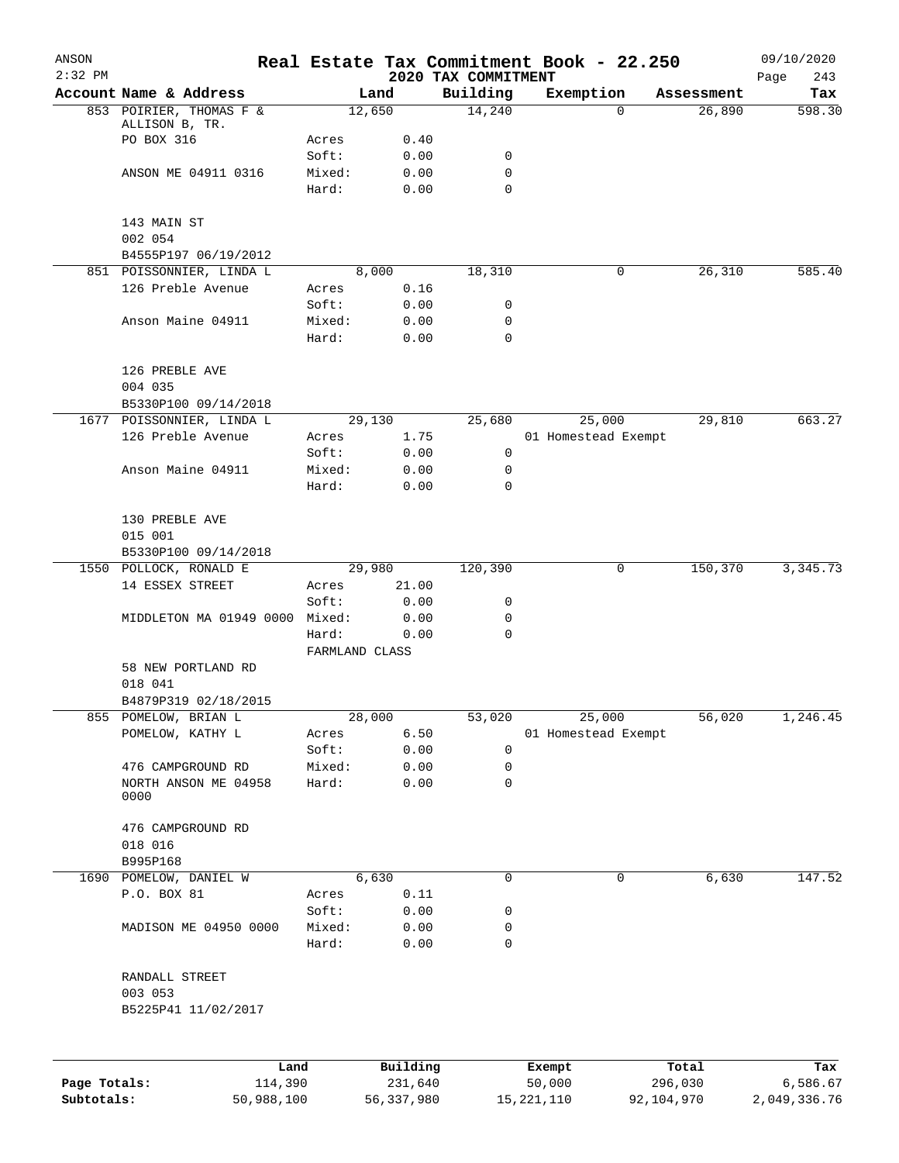| ANSON<br>$2:32$ PM |                                       |                 |               | 2020 TAX COMMITMENT | Real Estate Tax Commitment Book - 22.250 |            | 09/10/2020<br>Page<br>243 |
|--------------------|---------------------------------------|-----------------|---------------|---------------------|------------------------------------------|------------|---------------------------|
|                    | Account Name & Address                |                 | Land          | Building            | Exemption                                | Assessment | Tax                       |
|                    | 853 POIRIER, THOMAS F &               |                 | 12,650        | 14,240              | 0                                        | 26,890     | 598.30                    |
|                    | ALLISON B, TR.                        |                 |               |                     |                                          |            |                           |
|                    | PO BOX 316                            | Acres           | 0.40          |                     |                                          |            |                           |
|                    | ANSON ME 04911 0316                   | Soft:<br>Mixed: | 0.00<br>0.00  | 0<br>0              |                                          |            |                           |
|                    |                                       | Hard:           | 0.00          | 0                   |                                          |            |                           |
|                    |                                       |                 |               |                     |                                          |            |                           |
|                    | 143 MAIN ST                           |                 |               |                     |                                          |            |                           |
|                    | 002 054                               |                 |               |                     |                                          |            |                           |
|                    | B4555P197 06/19/2012                  |                 |               |                     |                                          |            |                           |
|                    | 851 POISSONNIER, LINDA L              |                 | 8,000         | 18,310              | 0                                        | 26,310     | 585.40                    |
|                    | 126 Preble Avenue                     | Acres           | 0.16          |                     |                                          |            |                           |
|                    |                                       | Soft:           | 0.00          | 0                   |                                          |            |                           |
|                    | Anson Maine 04911                     | Mixed:          | 0.00          | 0<br>$\mathbf 0$    |                                          |            |                           |
|                    |                                       | Hard:           | 0.00          |                     |                                          |            |                           |
|                    | 126 PREBLE AVE                        |                 |               |                     |                                          |            |                           |
|                    | 004 035                               |                 |               |                     |                                          |            |                           |
|                    | B5330P100 09/14/2018                  |                 |               |                     |                                          |            |                           |
|                    | 1677 POISSONNIER, LINDA L             |                 | 29,130        | 25,680              | 25,000                                   | 29,810     | 663.27                    |
|                    | 126 Preble Avenue                     | Acres           | 1.75          |                     | 01 Homestead Exempt                      |            |                           |
|                    |                                       | Soft:           | 0.00          | 0                   |                                          |            |                           |
|                    | Anson Maine 04911                     | Mixed:          | 0.00          | 0                   |                                          |            |                           |
|                    |                                       | Hard:           | 0.00          | $\Omega$            |                                          |            |                           |
|                    |                                       |                 |               |                     |                                          |            |                           |
|                    | 130 PREBLE AVE                        |                 |               |                     |                                          |            |                           |
|                    | 015 001<br>B5330P100 09/14/2018       |                 |               |                     |                                          |            |                           |
|                    | 1550 POLLOCK, RONALD E                |                 | 29,980        | 120,390             | 0                                        | 150,370    | 3, 345.73                 |
|                    | 14 ESSEX STREET                       | Acres           | 21.00         |                     |                                          |            |                           |
|                    |                                       | Soft:           | 0.00          | 0                   |                                          |            |                           |
|                    | MIDDLETON MA 01949 0000               | Mixed:          | 0.00          | 0                   |                                          |            |                           |
|                    |                                       | Hard:           | 0.00          | $\mathbf 0$         |                                          |            |                           |
|                    |                                       | FARMLAND CLASS  |               |                     |                                          |            |                           |
|                    | 58 NEW PORTLAND RD                    |                 |               |                     |                                          |            |                           |
|                    | 018 041                               |                 |               |                     |                                          |            |                           |
|                    | B4879P319 02/18/2015                  |                 |               |                     |                                          |            |                           |
|                    | 855 POMELOW, BRIAN L                  |                 | 28,000        | 53,020              | 25,000                                   | 56,020     | 1,246.45                  |
|                    | POMELOW, KATHY L                      | Acres<br>Soft:  | 6.50<br>0.00  | 0                   | 01 Homestead Exempt                      |            |                           |
|                    | 476 CAMPGROUND RD                     | Mixed:          | 0.00          | 0                   |                                          |            |                           |
|                    | NORTH ANSON ME 04958                  | Hard:           | 0.00          | 0                   |                                          |            |                           |
|                    | 0000                                  |                 |               |                     |                                          |            |                           |
|                    |                                       |                 |               |                     |                                          |            |                           |
|                    | 476 CAMPGROUND RD                     |                 |               |                     |                                          |            |                           |
|                    | 018 016                               |                 |               |                     |                                          |            |                           |
|                    | B995P168                              |                 |               | $\mathbf 0$         | $\mathbf 0$                              |            | 147.52                    |
|                    | 1690 POMELOW, DANIEL W<br>P.O. BOX 81 | Acres           | 6,630<br>0.11 |                     |                                          | 6,630      |                           |
|                    |                                       | Soft:           | 0.00          | 0                   |                                          |            |                           |
|                    | MADISON ME 04950 0000                 | Mixed:          | 0.00          | 0                   |                                          |            |                           |
|                    |                                       | Hard:           | 0.00          | $\mathbf 0$         |                                          |            |                           |
|                    |                                       |                 |               |                     |                                          |            |                           |
|                    | RANDALL STREET                        |                 |               |                     |                                          |            |                           |
|                    | 003 053                               |                 |               |                     |                                          |            |                           |
|                    | B5225P41 11/02/2017                   |                 |               |                     |                                          |            |                           |
|                    |                                       |                 |               |                     |                                          |            |                           |
|                    |                                       |                 |               |                     |                                          |            |                           |
|                    | Land                                  |                 | Building      |                     | Exempt                                   | Total      | Tax                       |
| Page Totals:       | 114,390                               |                 | 231,640       |                     | 50,000                                   | 296,030    | 6,586.67                  |

**Subtotals:** 50,988,100 56,337,980 15,221,110 92,104,970 2,049,336.76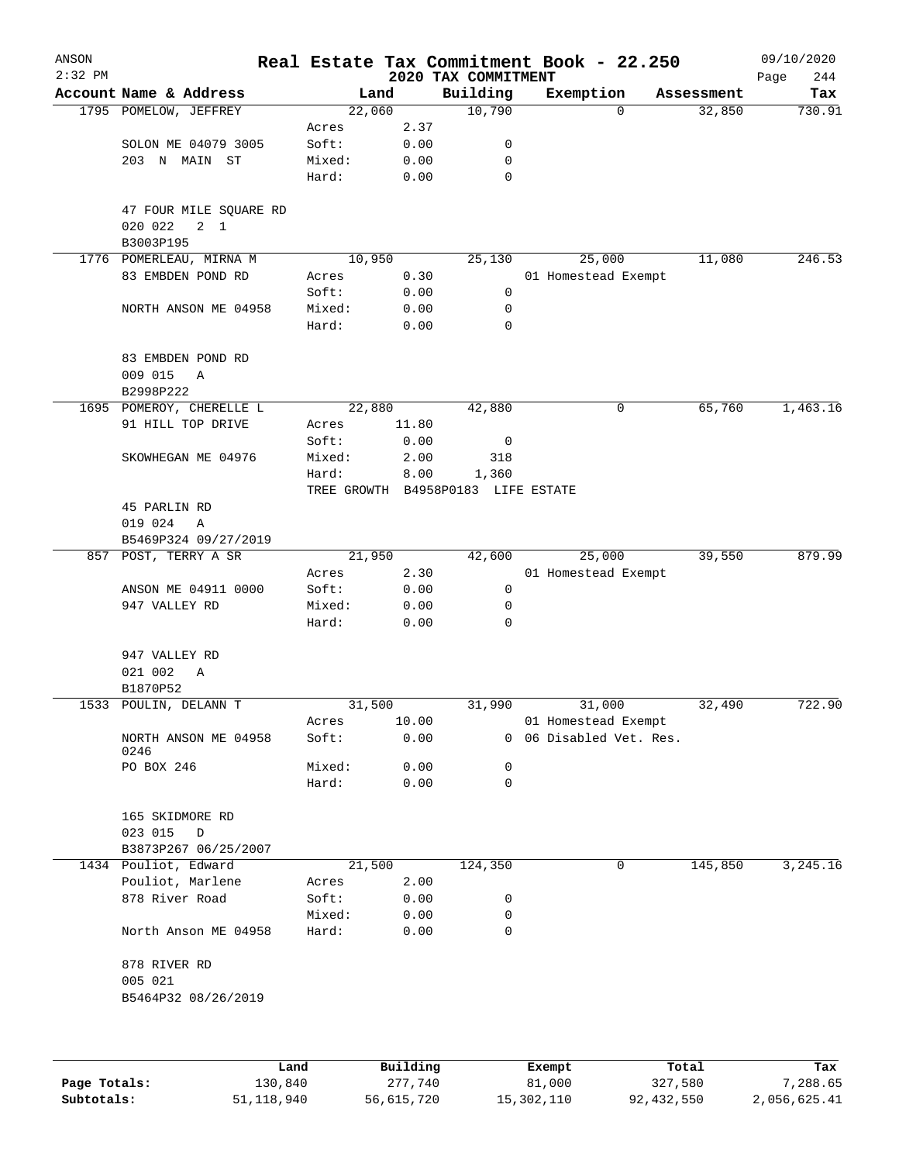| 2020 TAX COMMITMENT<br>Account Name & Address<br>Building<br>Land<br>Exemption<br>Tax<br>Assessment<br>1795 POMELOW, JEFFREY<br>22,060<br>10,790<br>32,850<br>730.91<br>$\Omega$<br>2.37<br>Acres<br>SOLON ME 04079 3005<br>Soft:<br>0.00<br>0<br>203 N MAIN ST<br>Mixed:<br>0.00<br>0<br>Hard:<br>$\mathbf 0$<br>0.00<br>47 FOUR MILE SQUARE RD<br>020 022<br>$2 \quad 1$<br>B3003P195<br>10,950<br>25,000<br>11,080<br>246.53<br>1776 POMERLEAU, MIRNA M<br>25,130<br>83 EMBDEN POND RD<br>0.30<br>01 Homestead Exempt<br>Acres<br>Soft:<br>0.00<br>0<br>Mixed:<br>0.00<br>0<br>NORTH ANSON ME 04958<br>Hard:<br>0.00<br>0<br>83 EMBDEN POND RD<br>009 015<br>Α<br>B2998P222<br>1695 POMEROY, CHERELLE L<br>22,880<br>42,880<br>65,760<br>1,463.16<br>0<br>91 HILL TOP DRIVE<br>Acres<br>11.80<br>Soft:<br>0.00<br>0<br>SKOWHEGAN ME 04976<br>Mixed:<br>2.00<br>318<br>Hard:<br>8.00<br>1,360<br>TREE GROWTH B4958P0183 LIFE ESTATE<br>45 PARLIN RD<br>019 024<br>Α<br>B5469P324 09/27/2019<br>21,950<br>25,000<br>857 POST, TERRY A SR<br>42,600<br>39,550<br>2.30<br>01 Homestead Exempt<br>Acres<br>ANSON ME 04911 0000<br>Soft:<br>0.00<br>0<br>0.00<br>947 VALLEY RD<br>Mixed:<br>0<br>Hard:<br>0.00<br>0<br>947 VALLEY RD<br>021 002<br>Α<br>B1870P52<br>31,500<br>31,990<br>31,000<br>32,490<br>722.90<br>1533 POULIN, DELANN T<br>10.00<br>01 Homestead Exempt<br>Acres<br>0.00<br>Soft:<br>0 06 Disabled Vet. Res.<br>NORTH ANSON ME 04958<br>0246<br>PO BOX 246<br>Mixed:<br>0.00<br>0<br>Hard:<br>0.00<br>0<br>165 SKIDMORE RD<br>023 015<br>D<br>B3873P267 06/25/2007<br>21,500<br>145,850<br>1434 Pouliot, Edward<br>124,350<br>0<br>Pouliot, Marlene<br>2.00<br>Acres<br>878 River Road<br>Soft:<br>0.00<br>0<br>Mixed:<br>0.00<br>0<br>North Anson ME 04958<br>Hard:<br>0.00<br>0<br>878 RIVER RD<br>005 021<br>B5464P32 08/26/2019<br>Building<br>Land<br>Exempt<br>Total | ANSON<br>$2:32$ PM |  |  | Real Estate Tax Commitment Book - 22.250 | 09/10/2020  |
|---------------------------------------------------------------------------------------------------------------------------------------------------------------------------------------------------------------------------------------------------------------------------------------------------------------------------------------------------------------------------------------------------------------------------------------------------------------------------------------------------------------------------------------------------------------------------------------------------------------------------------------------------------------------------------------------------------------------------------------------------------------------------------------------------------------------------------------------------------------------------------------------------------------------------------------------------------------------------------------------------------------------------------------------------------------------------------------------------------------------------------------------------------------------------------------------------------------------------------------------------------------------------------------------------------------------------------------------------------------------------------------------------------------------------------------------------------------------------------------------------------------------------------------------------------------------------------------------------------------------------------------------------------------------------------------------------------------------------------------------------------------------------------------------------------------------------------------------------------------------------------------------|--------------------|--|--|------------------------------------------|-------------|
|                                                                                                                                                                                                                                                                                                                                                                                                                                                                                                                                                                                                                                                                                                                                                                                                                                                                                                                                                                                                                                                                                                                                                                                                                                                                                                                                                                                                                                                                                                                                                                                                                                                                                                                                                                                                                                                                                             |                    |  |  |                                          | 244<br>Page |
|                                                                                                                                                                                                                                                                                                                                                                                                                                                                                                                                                                                                                                                                                                                                                                                                                                                                                                                                                                                                                                                                                                                                                                                                                                                                                                                                                                                                                                                                                                                                                                                                                                                                                                                                                                                                                                                                                             |                    |  |  |                                          |             |
|                                                                                                                                                                                                                                                                                                                                                                                                                                                                                                                                                                                                                                                                                                                                                                                                                                                                                                                                                                                                                                                                                                                                                                                                                                                                                                                                                                                                                                                                                                                                                                                                                                                                                                                                                                                                                                                                                             |                    |  |  |                                          |             |
|                                                                                                                                                                                                                                                                                                                                                                                                                                                                                                                                                                                                                                                                                                                                                                                                                                                                                                                                                                                                                                                                                                                                                                                                                                                                                                                                                                                                                                                                                                                                                                                                                                                                                                                                                                                                                                                                                             |                    |  |  |                                          |             |
|                                                                                                                                                                                                                                                                                                                                                                                                                                                                                                                                                                                                                                                                                                                                                                                                                                                                                                                                                                                                                                                                                                                                                                                                                                                                                                                                                                                                                                                                                                                                                                                                                                                                                                                                                                                                                                                                                             |                    |  |  |                                          |             |
|                                                                                                                                                                                                                                                                                                                                                                                                                                                                                                                                                                                                                                                                                                                                                                                                                                                                                                                                                                                                                                                                                                                                                                                                                                                                                                                                                                                                                                                                                                                                                                                                                                                                                                                                                                                                                                                                                             |                    |  |  |                                          |             |
|                                                                                                                                                                                                                                                                                                                                                                                                                                                                                                                                                                                                                                                                                                                                                                                                                                                                                                                                                                                                                                                                                                                                                                                                                                                                                                                                                                                                                                                                                                                                                                                                                                                                                                                                                                                                                                                                                             |                    |  |  |                                          |             |
|                                                                                                                                                                                                                                                                                                                                                                                                                                                                                                                                                                                                                                                                                                                                                                                                                                                                                                                                                                                                                                                                                                                                                                                                                                                                                                                                                                                                                                                                                                                                                                                                                                                                                                                                                                                                                                                                                             |                    |  |  |                                          |             |
|                                                                                                                                                                                                                                                                                                                                                                                                                                                                                                                                                                                                                                                                                                                                                                                                                                                                                                                                                                                                                                                                                                                                                                                                                                                                                                                                                                                                                                                                                                                                                                                                                                                                                                                                                                                                                                                                                             |                    |  |  |                                          |             |
|                                                                                                                                                                                                                                                                                                                                                                                                                                                                                                                                                                                                                                                                                                                                                                                                                                                                                                                                                                                                                                                                                                                                                                                                                                                                                                                                                                                                                                                                                                                                                                                                                                                                                                                                                                                                                                                                                             |                    |  |  |                                          |             |
|                                                                                                                                                                                                                                                                                                                                                                                                                                                                                                                                                                                                                                                                                                                                                                                                                                                                                                                                                                                                                                                                                                                                                                                                                                                                                                                                                                                                                                                                                                                                                                                                                                                                                                                                                                                                                                                                                             |                    |  |  |                                          |             |
|                                                                                                                                                                                                                                                                                                                                                                                                                                                                                                                                                                                                                                                                                                                                                                                                                                                                                                                                                                                                                                                                                                                                                                                                                                                                                                                                                                                                                                                                                                                                                                                                                                                                                                                                                                                                                                                                                             |                    |  |  |                                          |             |
|                                                                                                                                                                                                                                                                                                                                                                                                                                                                                                                                                                                                                                                                                                                                                                                                                                                                                                                                                                                                                                                                                                                                                                                                                                                                                                                                                                                                                                                                                                                                                                                                                                                                                                                                                                                                                                                                                             |                    |  |  |                                          |             |
|                                                                                                                                                                                                                                                                                                                                                                                                                                                                                                                                                                                                                                                                                                                                                                                                                                                                                                                                                                                                                                                                                                                                                                                                                                                                                                                                                                                                                                                                                                                                                                                                                                                                                                                                                                                                                                                                                             |                    |  |  |                                          |             |
|                                                                                                                                                                                                                                                                                                                                                                                                                                                                                                                                                                                                                                                                                                                                                                                                                                                                                                                                                                                                                                                                                                                                                                                                                                                                                                                                                                                                                                                                                                                                                                                                                                                                                                                                                                                                                                                                                             |                    |  |  |                                          |             |
|                                                                                                                                                                                                                                                                                                                                                                                                                                                                                                                                                                                                                                                                                                                                                                                                                                                                                                                                                                                                                                                                                                                                                                                                                                                                                                                                                                                                                                                                                                                                                                                                                                                                                                                                                                                                                                                                                             |                    |  |  |                                          |             |
|                                                                                                                                                                                                                                                                                                                                                                                                                                                                                                                                                                                                                                                                                                                                                                                                                                                                                                                                                                                                                                                                                                                                                                                                                                                                                                                                                                                                                                                                                                                                                                                                                                                                                                                                                                                                                                                                                             |                    |  |  |                                          |             |
|                                                                                                                                                                                                                                                                                                                                                                                                                                                                                                                                                                                                                                                                                                                                                                                                                                                                                                                                                                                                                                                                                                                                                                                                                                                                                                                                                                                                                                                                                                                                                                                                                                                                                                                                                                                                                                                                                             |                    |  |  |                                          |             |
|                                                                                                                                                                                                                                                                                                                                                                                                                                                                                                                                                                                                                                                                                                                                                                                                                                                                                                                                                                                                                                                                                                                                                                                                                                                                                                                                                                                                                                                                                                                                                                                                                                                                                                                                                                                                                                                                                             |                    |  |  |                                          |             |
|                                                                                                                                                                                                                                                                                                                                                                                                                                                                                                                                                                                                                                                                                                                                                                                                                                                                                                                                                                                                                                                                                                                                                                                                                                                                                                                                                                                                                                                                                                                                                                                                                                                                                                                                                                                                                                                                                             |                    |  |  |                                          |             |
|                                                                                                                                                                                                                                                                                                                                                                                                                                                                                                                                                                                                                                                                                                                                                                                                                                                                                                                                                                                                                                                                                                                                                                                                                                                                                                                                                                                                                                                                                                                                                                                                                                                                                                                                                                                                                                                                                             |                    |  |  |                                          |             |
|                                                                                                                                                                                                                                                                                                                                                                                                                                                                                                                                                                                                                                                                                                                                                                                                                                                                                                                                                                                                                                                                                                                                                                                                                                                                                                                                                                                                                                                                                                                                                                                                                                                                                                                                                                                                                                                                                             |                    |  |  |                                          |             |
|                                                                                                                                                                                                                                                                                                                                                                                                                                                                                                                                                                                                                                                                                                                                                                                                                                                                                                                                                                                                                                                                                                                                                                                                                                                                                                                                                                                                                                                                                                                                                                                                                                                                                                                                                                                                                                                                                             |                    |  |  |                                          | 879.99      |
|                                                                                                                                                                                                                                                                                                                                                                                                                                                                                                                                                                                                                                                                                                                                                                                                                                                                                                                                                                                                                                                                                                                                                                                                                                                                                                                                                                                                                                                                                                                                                                                                                                                                                                                                                                                                                                                                                             |                    |  |  |                                          |             |
|                                                                                                                                                                                                                                                                                                                                                                                                                                                                                                                                                                                                                                                                                                                                                                                                                                                                                                                                                                                                                                                                                                                                                                                                                                                                                                                                                                                                                                                                                                                                                                                                                                                                                                                                                                                                                                                                                             |                    |  |  |                                          |             |
|                                                                                                                                                                                                                                                                                                                                                                                                                                                                                                                                                                                                                                                                                                                                                                                                                                                                                                                                                                                                                                                                                                                                                                                                                                                                                                                                                                                                                                                                                                                                                                                                                                                                                                                                                                                                                                                                                             |                    |  |  |                                          |             |
|                                                                                                                                                                                                                                                                                                                                                                                                                                                                                                                                                                                                                                                                                                                                                                                                                                                                                                                                                                                                                                                                                                                                                                                                                                                                                                                                                                                                                                                                                                                                                                                                                                                                                                                                                                                                                                                                                             |                    |  |  |                                          |             |
|                                                                                                                                                                                                                                                                                                                                                                                                                                                                                                                                                                                                                                                                                                                                                                                                                                                                                                                                                                                                                                                                                                                                                                                                                                                                                                                                                                                                                                                                                                                                                                                                                                                                                                                                                                                                                                                                                             |                    |  |  |                                          |             |
|                                                                                                                                                                                                                                                                                                                                                                                                                                                                                                                                                                                                                                                                                                                                                                                                                                                                                                                                                                                                                                                                                                                                                                                                                                                                                                                                                                                                                                                                                                                                                                                                                                                                                                                                                                                                                                                                                             |                    |  |  |                                          |             |
|                                                                                                                                                                                                                                                                                                                                                                                                                                                                                                                                                                                                                                                                                                                                                                                                                                                                                                                                                                                                                                                                                                                                                                                                                                                                                                                                                                                                                                                                                                                                                                                                                                                                                                                                                                                                                                                                                             |                    |  |  |                                          |             |
|                                                                                                                                                                                                                                                                                                                                                                                                                                                                                                                                                                                                                                                                                                                                                                                                                                                                                                                                                                                                                                                                                                                                                                                                                                                                                                                                                                                                                                                                                                                                                                                                                                                                                                                                                                                                                                                                                             |                    |  |  |                                          |             |
|                                                                                                                                                                                                                                                                                                                                                                                                                                                                                                                                                                                                                                                                                                                                                                                                                                                                                                                                                                                                                                                                                                                                                                                                                                                                                                                                                                                                                                                                                                                                                                                                                                                                                                                                                                                                                                                                                             |                    |  |  |                                          |             |
|                                                                                                                                                                                                                                                                                                                                                                                                                                                                                                                                                                                                                                                                                                                                                                                                                                                                                                                                                                                                                                                                                                                                                                                                                                                                                                                                                                                                                                                                                                                                                                                                                                                                                                                                                                                                                                                                                             |                    |  |  |                                          |             |
|                                                                                                                                                                                                                                                                                                                                                                                                                                                                                                                                                                                                                                                                                                                                                                                                                                                                                                                                                                                                                                                                                                                                                                                                                                                                                                                                                                                                                                                                                                                                                                                                                                                                                                                                                                                                                                                                                             |                    |  |  |                                          |             |
|                                                                                                                                                                                                                                                                                                                                                                                                                                                                                                                                                                                                                                                                                                                                                                                                                                                                                                                                                                                                                                                                                                                                                                                                                                                                                                                                                                                                                                                                                                                                                                                                                                                                                                                                                                                                                                                                                             |                    |  |  |                                          |             |
|                                                                                                                                                                                                                                                                                                                                                                                                                                                                                                                                                                                                                                                                                                                                                                                                                                                                                                                                                                                                                                                                                                                                                                                                                                                                                                                                                                                                                                                                                                                                                                                                                                                                                                                                                                                                                                                                                             |                    |  |  |                                          |             |
|                                                                                                                                                                                                                                                                                                                                                                                                                                                                                                                                                                                                                                                                                                                                                                                                                                                                                                                                                                                                                                                                                                                                                                                                                                                                                                                                                                                                                                                                                                                                                                                                                                                                                                                                                                                                                                                                                             |                    |  |  |                                          |             |
|                                                                                                                                                                                                                                                                                                                                                                                                                                                                                                                                                                                                                                                                                                                                                                                                                                                                                                                                                                                                                                                                                                                                                                                                                                                                                                                                                                                                                                                                                                                                                                                                                                                                                                                                                                                                                                                                                             |                    |  |  |                                          |             |
|                                                                                                                                                                                                                                                                                                                                                                                                                                                                                                                                                                                                                                                                                                                                                                                                                                                                                                                                                                                                                                                                                                                                                                                                                                                                                                                                                                                                                                                                                                                                                                                                                                                                                                                                                                                                                                                                                             |                    |  |  |                                          | 3,245.16    |
|                                                                                                                                                                                                                                                                                                                                                                                                                                                                                                                                                                                                                                                                                                                                                                                                                                                                                                                                                                                                                                                                                                                                                                                                                                                                                                                                                                                                                                                                                                                                                                                                                                                                                                                                                                                                                                                                                             |                    |  |  |                                          |             |
|                                                                                                                                                                                                                                                                                                                                                                                                                                                                                                                                                                                                                                                                                                                                                                                                                                                                                                                                                                                                                                                                                                                                                                                                                                                                                                                                                                                                                                                                                                                                                                                                                                                                                                                                                                                                                                                                                             |                    |  |  |                                          |             |
|                                                                                                                                                                                                                                                                                                                                                                                                                                                                                                                                                                                                                                                                                                                                                                                                                                                                                                                                                                                                                                                                                                                                                                                                                                                                                                                                                                                                                                                                                                                                                                                                                                                                                                                                                                                                                                                                                             |                    |  |  |                                          |             |
|                                                                                                                                                                                                                                                                                                                                                                                                                                                                                                                                                                                                                                                                                                                                                                                                                                                                                                                                                                                                                                                                                                                                                                                                                                                                                                                                                                                                                                                                                                                                                                                                                                                                                                                                                                                                                                                                                             |                    |  |  |                                          |             |
|                                                                                                                                                                                                                                                                                                                                                                                                                                                                                                                                                                                                                                                                                                                                                                                                                                                                                                                                                                                                                                                                                                                                                                                                                                                                                                                                                                                                                                                                                                                                                                                                                                                                                                                                                                                                                                                                                             |                    |  |  |                                          |             |
|                                                                                                                                                                                                                                                                                                                                                                                                                                                                                                                                                                                                                                                                                                                                                                                                                                                                                                                                                                                                                                                                                                                                                                                                                                                                                                                                                                                                                                                                                                                                                                                                                                                                                                                                                                                                                                                                                             |                    |  |  |                                          |             |
|                                                                                                                                                                                                                                                                                                                                                                                                                                                                                                                                                                                                                                                                                                                                                                                                                                                                                                                                                                                                                                                                                                                                                                                                                                                                                                                                                                                                                                                                                                                                                                                                                                                                                                                                                                                                                                                                                             |                    |  |  |                                          |             |
|                                                                                                                                                                                                                                                                                                                                                                                                                                                                                                                                                                                                                                                                                                                                                                                                                                                                                                                                                                                                                                                                                                                                                                                                                                                                                                                                                                                                                                                                                                                                                                                                                                                                                                                                                                                                                                                                                             |                    |  |  |                                          |             |
|                                                                                                                                                                                                                                                                                                                                                                                                                                                                                                                                                                                                                                                                                                                                                                                                                                                                                                                                                                                                                                                                                                                                                                                                                                                                                                                                                                                                                                                                                                                                                                                                                                                                                                                                                                                                                                                                                             |                    |  |  |                                          | Tax         |

|              | Lanu       | <b>Building</b> | LXCMDL     | TOLAT      | 1ax.         |
|--------------|------------|-----------------|------------|------------|--------------|
| Page Totals: | 130,840    | 277.740         | 81,000     | 327,580    | 7,288.65     |
| Subtotals:   | 51,118,940 | 56,615,720      | 15,302,110 | 92,432,550 | 2,056,625.41 |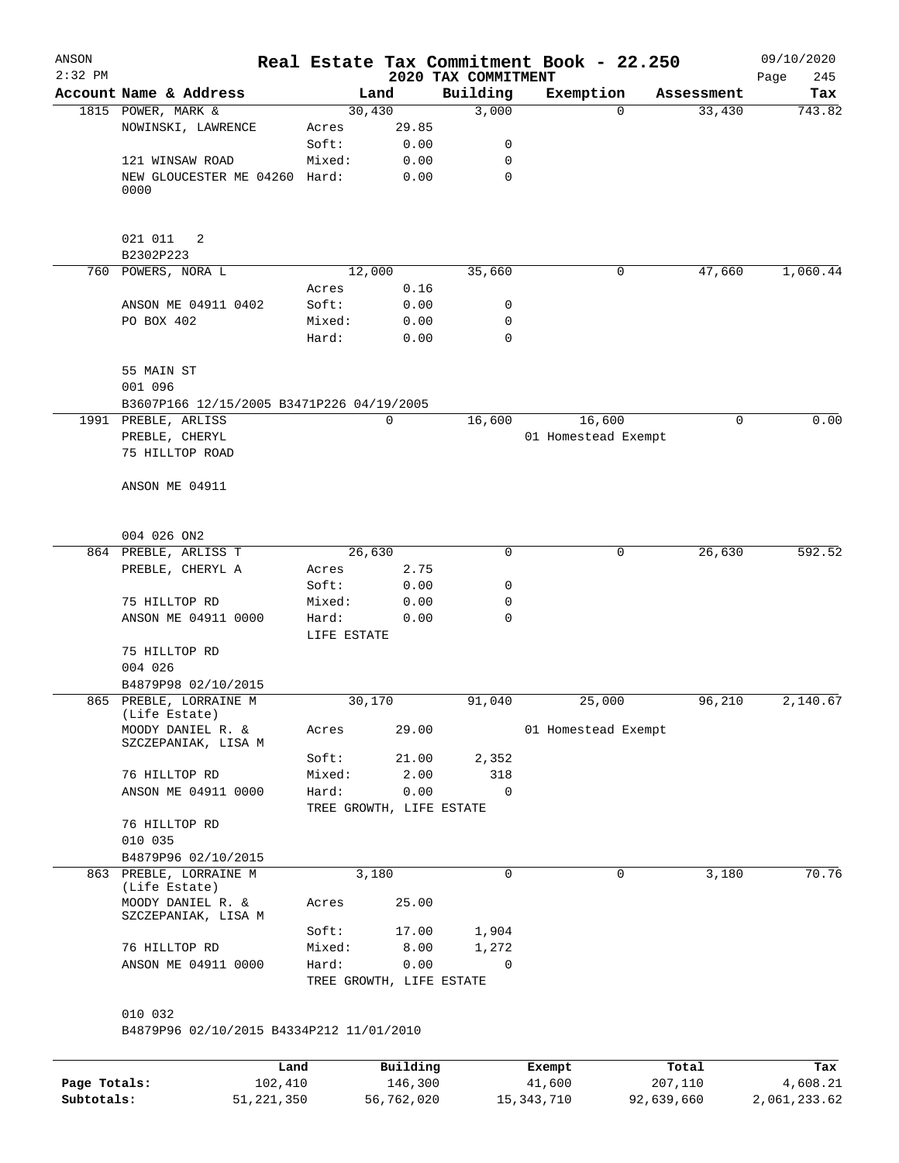| ANSON<br>$2:32$ PM |                                                           |                          |       | 2020 TAX COMMITMENT | Real Estate Tax Commitment Book - 22.250 |            | 09/10/2020<br>245<br>Page |
|--------------------|-----------------------------------------------------------|--------------------------|-------|---------------------|------------------------------------------|------------|---------------------------|
|                    | Account Name & Address                                    |                          | Land  | Building            | Exemption                                | Assessment | Tax                       |
|                    | 1815 POWER, MARK &                                        | 30,430                   |       | 3,000               | $\Omega$                                 | 33,430     | 743.82                    |
|                    | NOWINSKI, LAWRENCE                                        | Acres                    | 29.85 |                     |                                          |            |                           |
|                    |                                                           | Soft:                    | 0.00  | 0                   |                                          |            |                           |
|                    | 121 WINSAW ROAD                                           | Mixed:                   | 0.00  | 0                   |                                          |            |                           |
|                    | NEW GLOUCESTER ME 04260 Hard:<br>0000                     |                          | 0.00  | 0                   |                                          |            |                           |
|                    |                                                           |                          |       |                     |                                          |            |                           |
|                    | 021 011<br>2                                              |                          |       |                     |                                          |            |                           |
|                    | B2302P223                                                 |                          |       |                     |                                          |            |                           |
|                    | 760 POWERS, NORA L                                        | 12,000                   |       | 35,660              | 0                                        | 47,660     | 1,060.44                  |
|                    |                                                           | Acres                    | 0.16  |                     |                                          |            |                           |
|                    | ANSON ME 04911 0402                                       | Soft:                    | 0.00  | 0                   |                                          |            |                           |
|                    | PO BOX 402                                                | Mixed:                   | 0.00  | 0                   |                                          |            |                           |
|                    |                                                           | Hard:                    | 0.00  | $\mathbf 0$         |                                          |            |                           |
|                    | 55 MAIN ST                                                |                          |       |                     |                                          |            |                           |
|                    | 001 096                                                   |                          |       |                     |                                          |            |                           |
|                    | B3607P166 12/15/2005 B3471P226 04/19/2005                 |                          |       |                     |                                          |            |                           |
|                    | 1991 PREBLE, ARLISS                                       |                          | 0     | 16,600              | 16,600                                   | 0          | 0.00                      |
|                    | PREBLE, CHERYL                                            |                          |       |                     | 01 Homestead Exempt                      |            |                           |
|                    | 75 HILLTOP ROAD                                           |                          |       |                     |                                          |            |                           |
|                    |                                                           |                          |       |                     |                                          |            |                           |
|                    | ANSON ME 04911                                            |                          |       |                     |                                          |            |                           |
|                    |                                                           |                          |       |                     |                                          |            |                           |
|                    | 004 026 ON2                                               |                          |       |                     |                                          |            |                           |
|                    | 864 PREBLE, ARLISS T                                      | 26,630                   |       | 0                   | 0                                        | 26,630     | 592.52                    |
|                    | PREBLE, CHERYL A                                          | Acres                    | 2.75  |                     |                                          |            |                           |
|                    |                                                           | Soft:                    | 0.00  | 0                   |                                          |            |                           |
|                    | 75 HILLTOP RD                                             | Mixed:                   | 0.00  | 0                   |                                          |            |                           |
|                    | ANSON ME 04911 0000                                       | Hard:                    | 0.00  | 0                   |                                          |            |                           |
|                    |                                                           | LIFE ESTATE              |       |                     |                                          |            |                           |
|                    | 75 HILLTOP RD                                             |                          |       |                     |                                          |            |                           |
|                    | 004 026                                                   |                          |       |                     |                                          |            |                           |
|                    | B4879P98 02/10/2015                                       |                          |       |                     |                                          |            |                           |
|                    | 865 PREBLE, LORRAINE M                                    | 30,170                   |       | 91,040              | 25,000                                   | 96,210     | 2,140.67                  |
|                    | (Life Estate)<br>MOODY DANIEL R. &<br>SZCZEPANIAK, LISA M | Acres                    | 29.00 |                     | 01 Homestead Exempt                      |            |                           |
|                    |                                                           | Soft:                    | 21.00 | 2,352               |                                          |            |                           |
|                    | 76 HILLTOP RD                                             | Mixed:                   | 2.00  | 318                 |                                          |            |                           |
|                    | ANSON ME 04911 0000                                       | Hard:                    | 0.00  | $\mathbf 0$         |                                          |            |                           |
|                    |                                                           | TREE GROWTH, LIFE ESTATE |       |                     |                                          |            |                           |
|                    | 76 HILLTOP RD                                             |                          |       |                     |                                          |            |                           |
|                    | 010 035                                                   |                          |       |                     |                                          |            |                           |
|                    | B4879P96 02/10/2015<br>863 PREBLE, LORRAINE M             |                          | 3,180 | 0                   | 0                                        | 3,180      | 70.76                     |
|                    | (Life Estate)                                             |                          |       |                     |                                          |            |                           |
|                    | MOODY DANIEL R. &<br>SZCZEPANIAK, LISA M                  | Acres                    | 25.00 |                     |                                          |            |                           |
|                    |                                                           | Soft:                    | 17.00 | 1,904               |                                          |            |                           |
|                    | 76 HILLTOP RD                                             | Mixed:                   | 8.00  | 1,272               |                                          |            |                           |
|                    | ANSON ME 04911 0000                                       | Hard:                    | 0.00  | 0                   |                                          |            |                           |
|                    |                                                           | TREE GROWTH, LIFE ESTATE |       |                     |                                          |            |                           |
|                    |                                                           |                          |       |                     |                                          |            |                           |
|                    | 010 032<br>B4879P96 02/10/2015 B4334P212 11/01/2010       |                          |       |                     |                                          |            |                           |
|                    |                                                           |                          |       |                     |                                          |            |                           |
|                    |                                                           |                          |       |                     |                                          |            |                           |

|              | Land       | Building   | Exempt     | Total      | Tax          |
|--------------|------------|------------|------------|------------|--------------|
| Page Totals: | 102,410    | 146,300    | 41,600     | 207,110    | 4,608.21     |
| Subtotals:   | 51,221,350 | 56,762,020 | 15,343,710 | 92,639,660 | 2,061,233.62 |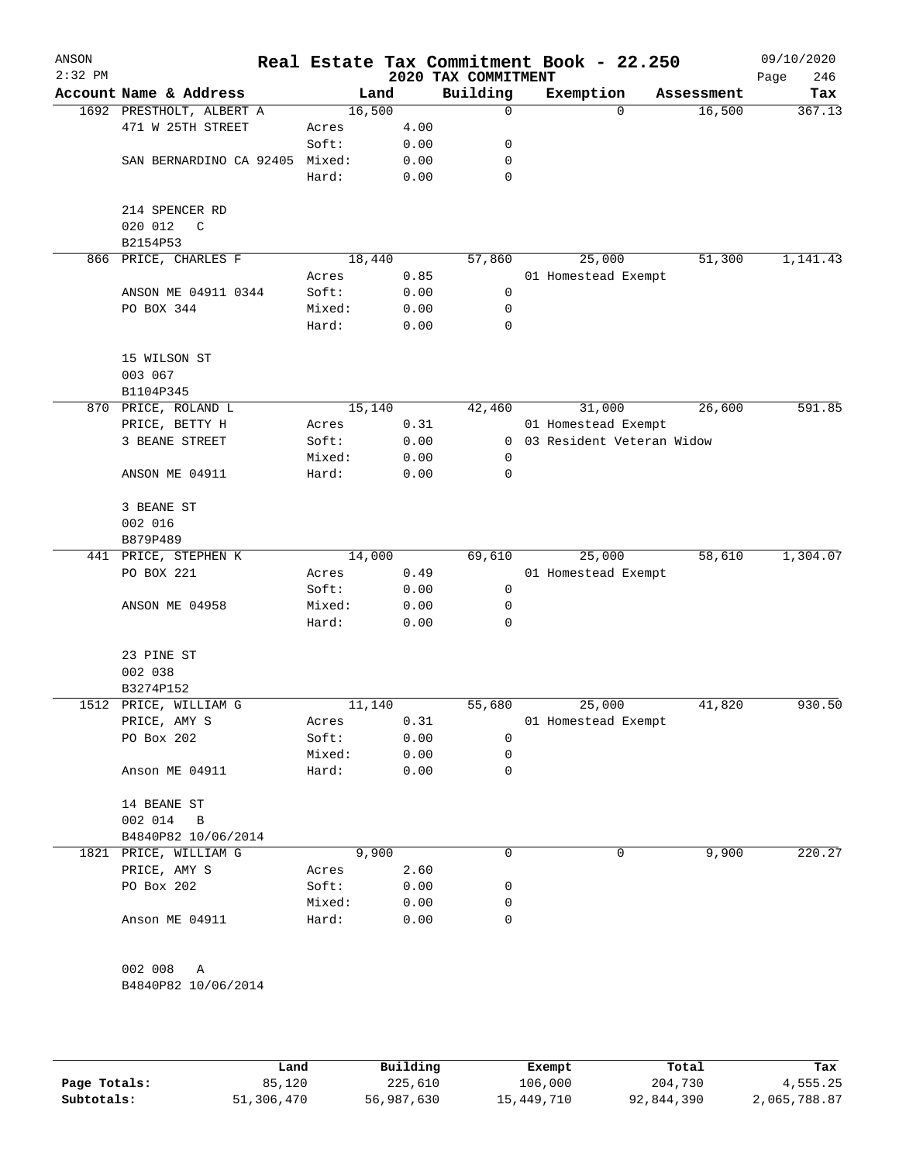| ANSON<br>$2:32$ PM |                                |                 |        |              | 2020 TAX COMMITMENT | Real Estate Tax Commitment Book - 22.250 |            | 09/10/2020<br>246<br>Page |
|--------------------|--------------------------------|-----------------|--------|--------------|---------------------|------------------------------------------|------------|---------------------------|
|                    | Account Name & Address         |                 | Land   |              | Building            | Exemption                                | Assessment | Tax                       |
|                    | 1692 PRESTHOLT, ALBERT A       |                 | 16,500 |              | 0                   | $\Omega$                                 | 16,500     | 367.13                    |
|                    | 471 W 25TH STREET              | Acres           |        | 4.00         |                     |                                          |            |                           |
|                    |                                | Soft:           |        | 0.00         | 0                   |                                          |            |                           |
|                    | SAN BERNARDINO CA 92405 Mixed: |                 |        | 0.00         | 0                   |                                          |            |                           |
|                    |                                | Hard:           |        | 0.00         | 0                   |                                          |            |                           |
|                    | 214 SPENCER RD<br>020 012<br>C |                 |        |              |                     |                                          |            |                           |
|                    | B2154P53                       |                 | 18,440 |              |                     |                                          |            |                           |
|                    | 866 PRICE, CHARLES F           | Acres           |        | 0.85         | 57,860              | 25,000<br>01 Homestead Exempt            | 51,300     | 1,141.43                  |
|                    | ANSON ME 04911 0344            | Soft:           |        | 0.00         | 0                   |                                          |            |                           |
|                    |                                |                 |        |              | 0                   |                                          |            |                           |
|                    | PO BOX 344                     | Mixed:<br>Hard: |        | 0.00<br>0.00 | 0                   |                                          |            |                           |
|                    | 15 WILSON ST                   |                 |        |              |                     |                                          |            |                           |
|                    | 003 067                        |                 |        |              |                     |                                          |            |                           |
|                    | B1104P345                      |                 |        |              |                     |                                          |            |                           |
|                    | 870 PRICE, ROLAND L            |                 | 15,140 |              | 42,460              | 31,000                                   | 26,600     | 591.85                    |
|                    | PRICE, BETTY H                 | Acres           |        | 0.31         |                     | 01 Homestead Exempt                      |            |                           |
|                    | 3 BEANE STREET                 | Soft:           |        | 0.00         | $\overline{0}$      | 03 Resident Veteran Widow                |            |                           |
|                    |                                | Mixed:          |        | 0.00         | 0                   |                                          |            |                           |
|                    | ANSON ME 04911                 | Hard:           |        | 0.00         | 0                   |                                          |            |                           |
|                    | 3 BEANE ST                     |                 |        |              |                     |                                          |            |                           |
|                    | 002 016                        |                 |        |              |                     |                                          |            |                           |
|                    | B879P489                       |                 |        |              |                     |                                          |            |                           |
|                    | 441 PRICE, STEPHEN K           |                 | 14,000 |              | 69,610              | 25,000                                   | 58,610     | 1,304.07                  |
|                    | PO BOX 221                     | Acres           |        | 0.49         |                     | 01 Homestead Exempt                      |            |                           |
|                    |                                | Soft:           |        | 0.00         | 0                   |                                          |            |                           |
|                    | ANSON ME 04958                 | Mixed:          |        | 0.00         | 0                   |                                          |            |                           |
|                    |                                | Hard:           |        | 0.00         | 0                   |                                          |            |                           |
|                    | 23 PINE ST                     |                 |        |              |                     |                                          |            |                           |
|                    | 002 038                        |                 |        |              |                     |                                          |            |                           |
|                    | B3274P152                      |                 |        |              |                     |                                          |            |                           |
|                    | 1512 PRICE, WILLIAM G          |                 | 11,140 |              | 55,680              | 25,000                                   | 41,820     | 930.50                    |
|                    | PRICE, AMY S                   | Acres           |        | 0.31         |                     | 01 Homestead Exempt                      |            |                           |
|                    | PO Box 202                     | Soft:           |        | 0.00         | 0                   |                                          |            |                           |
|                    |                                | Mixed:          |        | 0.00         | 0                   |                                          |            |                           |
|                    | Anson ME 04911                 | Hard:           |        | 0.00         | 0                   |                                          |            |                           |
|                    | 14 BEANE ST                    |                 |        |              |                     |                                          |            |                           |
|                    | 002 014<br>$\overline{B}$      |                 |        |              |                     |                                          |            |                           |
|                    | B4840P82 10/06/2014            |                 |        |              |                     |                                          |            |                           |
|                    | 1821 PRICE, WILLIAM G          |                 | 9,900  |              | 0                   | 0                                        | 9,900      | 220.27                    |
|                    | PRICE, AMY S                   | Acres           |        | 2.60         |                     |                                          |            |                           |
|                    | PO Box 202                     | Soft:           |        | 0.00         | 0                   |                                          |            |                           |
|                    |                                | Mixed:          |        | 0.00         | 0                   |                                          |            |                           |
|                    | Anson ME 04911                 | Hard:           |        | 0.00         | 0                   |                                          |            |                           |
|                    | 002 008<br>A                   |                 |        |              |                     |                                          |            |                           |
|                    | B4840P82 10/06/2014            |                 |        |              |                     |                                          |            |                           |
|                    |                                |                 |        |              |                     |                                          |            |                           |
|                    |                                |                 |        |              |                     |                                          |            |                           |
|                    |                                |                 |        |              |                     |                                          |            |                           |
|                    |                                |                 |        |              |                     |                                          |            |                           |

|              | Land       | Building   | Exempt     | Total      | Tax          |
|--------------|------------|------------|------------|------------|--------------|
| Page Totals: | 85,120     | 225,610    | 106,000    | 204,730    | 4,555.25     |
| Subtotals:   | 51,306,470 | 56,987,630 | 15,449,710 | 92,844,390 | 2,065,788.87 |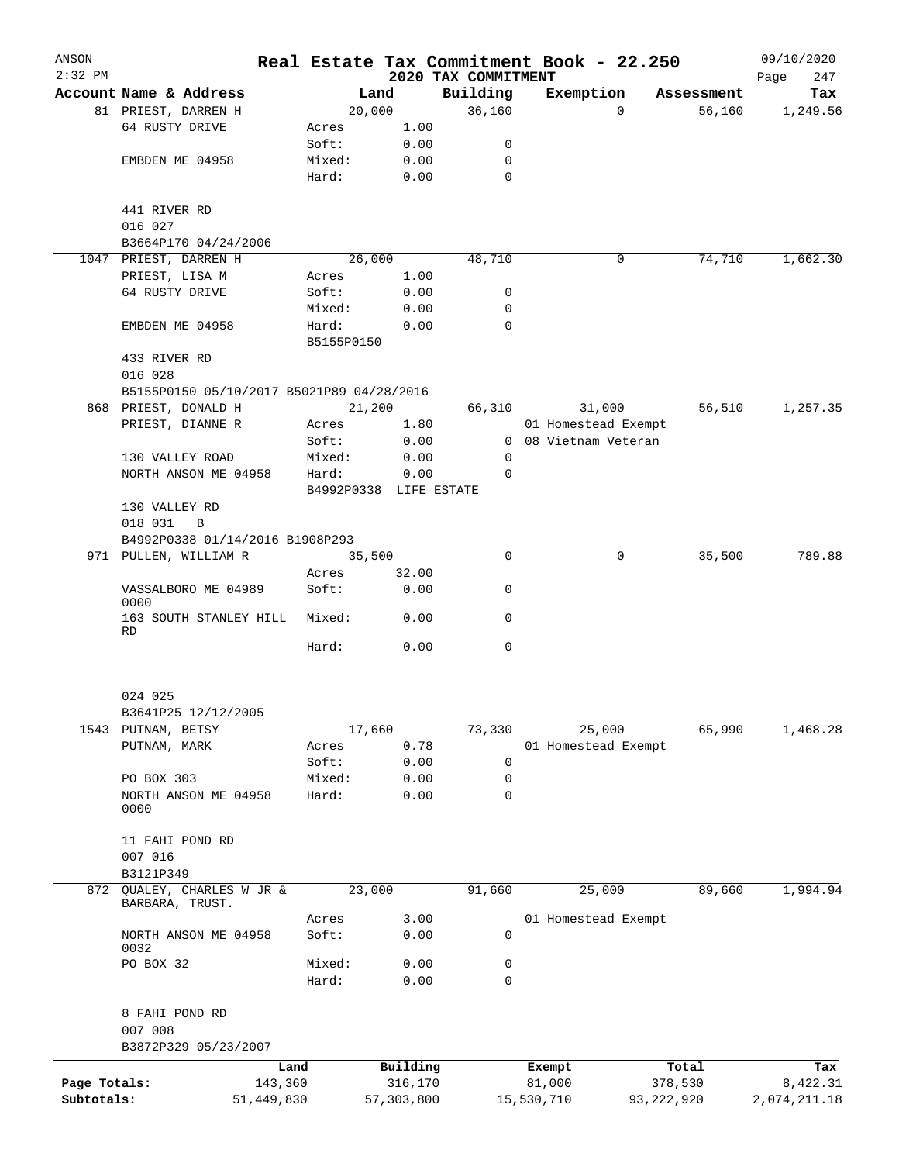| ANSON        |                                           |                 |            |                        | Real Estate Tax Commitment Book - 22.250 |            |                      |              |                  | 09/10/2020      |
|--------------|-------------------------------------------|-----------------|------------|------------------------|------------------------------------------|------------|----------------------|--------------|------------------|-----------------|
| $2:32$ PM    |                                           |                 |            |                        | 2020 TAX COMMITMENT                      |            |                      |              |                  | Page<br>247     |
|              | Account Name & Address                    |                 |            | Land                   | Building                                 |            | Exemption            |              | Assessment       | Tax             |
|              | 81 PRIEST, DARREN H                       |                 |            | 20,000                 | 36,160                                   |            | $\mathbf 0$          |              | 56,160           | 1,249.56        |
|              | 64 RUSTY DRIVE                            |                 | Acres      | 1.00                   |                                          |            |                      |              |                  |                 |
|              |                                           |                 | Soft:      | 0.00                   | 0                                        |            |                      |              |                  |                 |
|              | EMBDEN ME 04958                           |                 | Mixed:     | 0.00                   | 0                                        |            |                      |              |                  |                 |
|              |                                           |                 | Hard:      | 0.00                   | 0                                        |            |                      |              |                  |                 |
|              | 441 RIVER RD                              |                 |            |                        |                                          |            |                      |              |                  |                 |
|              | 016 027                                   |                 |            |                        |                                          |            |                      |              |                  |                 |
|              | B3664P170 04/24/2006                      |                 |            |                        |                                          |            |                      |              |                  |                 |
|              | 1047 PRIEST, DARREN H                     |                 |            | 26,000                 | 48,710                                   |            | 0                    |              | 74,710           | 1,662.30        |
|              | PRIEST, LISA M                            |                 | Acres      | 1.00                   |                                          |            |                      |              |                  |                 |
|              | 64 RUSTY DRIVE                            |                 | Soft:      | 0.00                   | 0                                        |            |                      |              |                  |                 |
|              |                                           |                 | Mixed:     | 0.00                   | 0                                        |            |                      |              |                  |                 |
|              | EMBDEN ME 04958                           |                 | Hard:      | 0.00                   | $\Omega$                                 |            |                      |              |                  |                 |
|              |                                           |                 | B5155P0150 |                        |                                          |            |                      |              |                  |                 |
|              | 433 RIVER RD                              |                 |            |                        |                                          |            |                      |              |                  |                 |
|              | 016 028                                   |                 |            |                        |                                          |            |                      |              |                  |                 |
|              | B5155P0150 05/10/2017 B5021P89 04/28/2016 |                 |            |                        |                                          |            |                      |              |                  |                 |
|              | 868 PRIEST, DONALD H                      |                 |            | 21,200                 | 66,310                                   |            | 31,000               |              | 56,510           | 1,257.35        |
|              | PRIEST, DIANNE R                          |                 | Acres      | 1.80                   |                                          |            | 01 Homestead Exempt  |              |                  |                 |
|              |                                           |                 | Soft:      | 0.00                   |                                          |            | 0 08 Vietnam Veteran |              |                  |                 |
|              | 130 VALLEY ROAD                           |                 | Mixed:     | 0.00                   | 0                                        |            |                      |              |                  |                 |
|              | NORTH ANSON ME 04958                      |                 | Hard:      | 0.00                   | 0                                        |            |                      |              |                  |                 |
|              |                                           |                 |            | B4992P0338 LIFE ESTATE |                                          |            |                      |              |                  |                 |
|              | 130 VALLEY RD                             |                 |            |                        |                                          |            |                      |              |                  |                 |
|              | 018 031<br>$\overline{B}$                 |                 |            |                        |                                          |            |                      |              |                  |                 |
|              | B4992P0338 01/14/2016 B1908P293           |                 |            |                        |                                          |            |                      |              |                  |                 |
|              | 971 PULLEN, WILLIAM R                     |                 |            | 35,500                 | $\Omega$                                 |            | 0                    |              | 35,500           | 789.88          |
|              |                                           |                 | Acres      | 32.00                  |                                          |            |                      |              |                  |                 |
|              | VASSALBORO ME 04989<br>0000               |                 | Soft:      | 0.00                   | 0                                        |            |                      |              |                  |                 |
|              | 163 SOUTH STANLEY HILL                    |                 | Mixed:     | 0.00                   | 0                                        |            |                      |              |                  |                 |
|              | RD                                        |                 |            |                        |                                          |            |                      |              |                  |                 |
|              |                                           |                 | Hard:      | 0.00                   | 0                                        |            |                      |              |                  |                 |
|              | 024 025                                   |                 |            |                        |                                          |            |                      |              |                  |                 |
|              | B3641P25 12/12/2005                       |                 |            |                        |                                          |            |                      |              |                  |                 |
| 1543         | PUTNAM, BETSY                             |                 |            | 17,660                 | 73,330                                   |            | 25,000               |              | 65,990           | 1,468.28        |
|              | PUTNAM, MARK                              |                 | Acres      | 0.78                   |                                          |            | 01 Homestead Exempt  |              |                  |                 |
|              |                                           |                 | Soft:      | 0.00                   | 0                                        |            |                      |              |                  |                 |
|              | PO BOX 303                                |                 | Mixed:     | 0.00                   | 0                                        |            |                      |              |                  |                 |
|              | NORTH ANSON ME 04958<br>0000              |                 | Hard:      | 0.00                   | 0                                        |            |                      |              |                  |                 |
|              | 11 FAHI POND RD                           |                 |            |                        |                                          |            |                      |              |                  |                 |
|              | 007 016                                   |                 |            |                        |                                          |            |                      |              |                  |                 |
|              | B3121P349                                 |                 |            |                        |                                          |            |                      |              |                  |                 |
| 872          | OUALEY, CHARLES W JR &<br>BARBARA, TRUST. |                 |            | 23,000                 | 91,660                                   |            | 25,000               |              | 89,660           | 1,994.94        |
|              |                                           |                 | Acres      | 3.00                   |                                          |            | 01 Homestead Exempt  |              |                  |                 |
|              | NORTH ANSON ME 04958<br>0032              |                 | Soft:      | 0.00                   | 0                                        |            |                      |              |                  |                 |
|              | PO BOX 32                                 |                 | Mixed:     | 0.00                   | 0                                        |            |                      |              |                  |                 |
|              |                                           |                 | Hard:      | 0.00                   | 0                                        |            |                      |              |                  |                 |
|              | 8 FAHI POND RD                            |                 |            |                        |                                          |            |                      |              |                  |                 |
|              | 007 008<br>B3872P329 05/23/2007           |                 |            |                        |                                          |            |                      |              |                  |                 |
|              |                                           |                 |            |                        |                                          |            |                      |              |                  |                 |
| Page Totals: |                                           | Land<br>143,360 |            | Building<br>316,170    |                                          |            | Exempt<br>81,000     |              | Total<br>378,530 | Tax<br>8,422.31 |
| Subtotals:   |                                           | 51,449,830      |            | 57, 303, 800           |                                          | 15,530,710 |                      | 93, 222, 920 |                  | 2,074,211.18    |
|              |                                           |                 |            |                        |                                          |            |                      |              |                  |                 |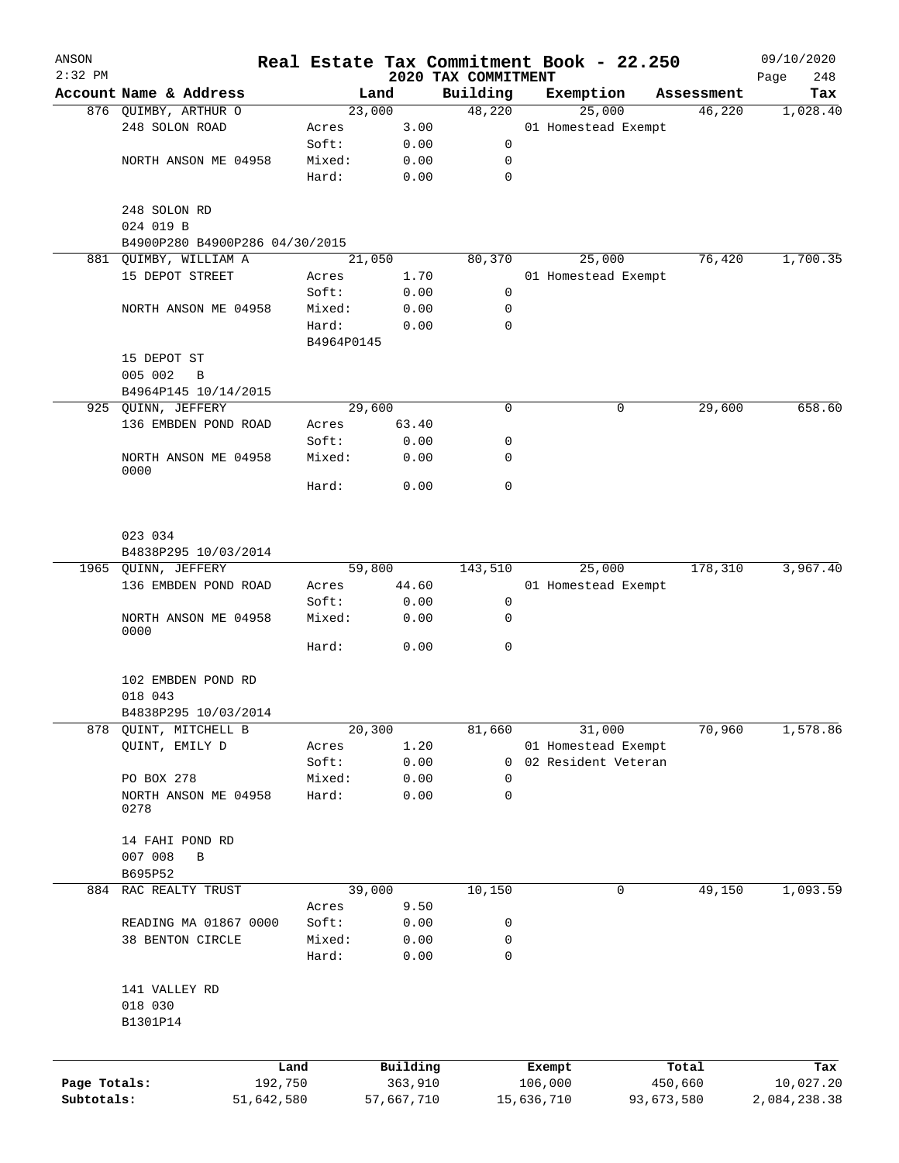| ANSON<br>$2:32$ PM |                                |                 |              |                                 |            | Real Estate Tax Commitment Book - 22.250   |            | 09/10/2020         |
|--------------------|--------------------------------|-----------------|--------------|---------------------------------|------------|--------------------------------------------|------------|--------------------|
|                    | Account Name & Address         |                 | Land         | 2020 TAX COMMITMENT<br>Building |            | Exemption                                  | Assessment | 248<br>Page<br>Tax |
|                    | 876 QUIMBY, ARTHUR O           |                 | 23,000       | 48,220                          |            | 25,000                                     | 46,220     | 1,028.40           |
|                    | 248 SOLON ROAD                 | Acres           | 3.00         |                                 |            | 01 Homestead Exempt                        |            |                    |
|                    |                                | Soft:           | 0.00         | 0                               |            |                                            |            |                    |
|                    | NORTH ANSON ME 04958           | Mixed:          | 0.00         | 0                               |            |                                            |            |                    |
|                    |                                | Hard:           | 0.00         | $\mathbf 0$                     |            |                                            |            |                    |
|                    | 248 SOLON RD                   |                 |              |                                 |            |                                            |            |                    |
|                    | 024 019 B                      |                 |              |                                 |            |                                            |            |                    |
|                    | B4900P280 B4900P286 04/30/2015 |                 |              |                                 |            |                                            |            |                    |
|                    | 881 QUIMBY, WILLIAM A          |                 | 21,050       | 80,370                          |            | 25,000                                     | 76,420     | 1,700.35           |
|                    | 15 DEPOT STREET                | Acres           | 1.70         |                                 |            | 01 Homestead Exempt                        |            |                    |
|                    | NORTH ANSON ME 04958           | Soft:<br>Mixed: | 0.00<br>0.00 | 0<br>0                          |            |                                            |            |                    |
|                    |                                | Hard:           | 0.00         | 0                               |            |                                            |            |                    |
|                    |                                | B4964P0145      |              |                                 |            |                                            |            |                    |
|                    | 15 DEPOT ST                    |                 |              |                                 |            |                                            |            |                    |
|                    | 005 002<br>$\mathbf B$         |                 |              |                                 |            |                                            |            |                    |
|                    | B4964P145 10/14/2015           |                 |              |                                 |            |                                            |            |                    |
|                    | 925 QUINN, JEFFERY             |                 | 29,600       | 0                               |            | 0                                          | 29,600     | 658.60             |
|                    | 136 EMBDEN POND ROAD           | Acres           | 63.40        |                                 |            |                                            |            |                    |
|                    |                                | Soft:           | 0.00         | 0                               |            |                                            |            |                    |
|                    | NORTH ANSON ME 04958<br>0000   | Mixed:          | 0.00         | 0                               |            |                                            |            |                    |
|                    |                                | Hard:           | 0.00         | 0                               |            |                                            |            |                    |
|                    | 023 034                        |                 |              |                                 |            |                                            |            |                    |
|                    | B4838P295 10/03/2014           |                 |              |                                 |            |                                            |            |                    |
|                    | 1965 QUINN, JEFFERY            |                 | 59,800       | 143,510                         |            | 25,000                                     | 178,310    | 3,967.40           |
|                    | 136 EMBDEN POND ROAD           | Acres           | 44.60        |                                 |            | 01 Homestead Exempt                        |            |                    |
|                    |                                | Soft:           | 0.00         | 0                               |            |                                            |            |                    |
|                    | NORTH ANSON ME 04958<br>0000   | Mixed:          | 0.00         | 0                               |            |                                            |            |                    |
|                    |                                | Hard:           | 0.00         | 0                               |            |                                            |            |                    |
|                    | 102 EMBDEN POND RD             |                 |              |                                 |            |                                            |            |                    |
|                    | 018 043                        |                 |              |                                 |            |                                            |            |                    |
|                    | B4838P295 10/03/2014           |                 |              |                                 |            |                                            |            |                    |
| 878                | QUINT, MITCHELL B              |                 | 20,300       | 81,660                          |            | 31,000                                     | 70,960     | 1,578.86           |
|                    | QUINT, EMILY D                 | Acres<br>Soft:  | 1.20         | 0                               |            | 01 Homestead Exempt<br>02 Resident Veteran |            |                    |
|                    | PO BOX 278                     | Mixed:          | 0.00<br>0.00 | 0                               |            |                                            |            |                    |
|                    | NORTH ANSON ME 04958           | Hard:           | 0.00         | 0                               |            |                                            |            |                    |
|                    | 0278                           |                 |              |                                 |            |                                            |            |                    |
|                    | 14 FAHI POND RD                |                 |              |                                 |            |                                            |            |                    |
|                    | 007 008<br>$\, {\bf B}$        |                 |              |                                 |            |                                            |            |                    |
|                    | B695P52                        |                 |              |                                 |            |                                            |            |                    |
| 884                | RAC REALTY TRUST               |                 | 39,000       | 10,150                          |            | 0                                          | 49,150     | 1,093.59           |
|                    |                                | Acres           | 9.50         |                                 |            |                                            |            |                    |
|                    | READING MA 01867 0000          | Soft:           | 0.00         | 0                               |            |                                            |            |                    |
|                    | 38 BENTON CIRCLE               | Mixed:<br>Hard: | 0.00<br>0.00 | 0<br>0                          |            |                                            |            |                    |
|                    |                                |                 |              |                                 |            |                                            |            |                    |
|                    | 141 VALLEY RD                  |                 |              |                                 |            |                                            |            |                    |
|                    | 018 030<br>B1301P14            |                 |              |                                 |            |                                            |            |                    |
|                    |                                |                 |              |                                 |            |                                            |            |                    |
|                    |                                | Land            | Building     |                                 | Exempt     |                                            | Total      | Tax                |
| Page Totals:       | 192,750                        |                 | 363,910      |                                 | 106,000    |                                            | 450,660    | 10,027.20          |
| Subtotals:         | 51,642,580                     |                 | 57,667,710   |                                 | 15,636,710 |                                            | 93,673,580 | 2,084,238.38       |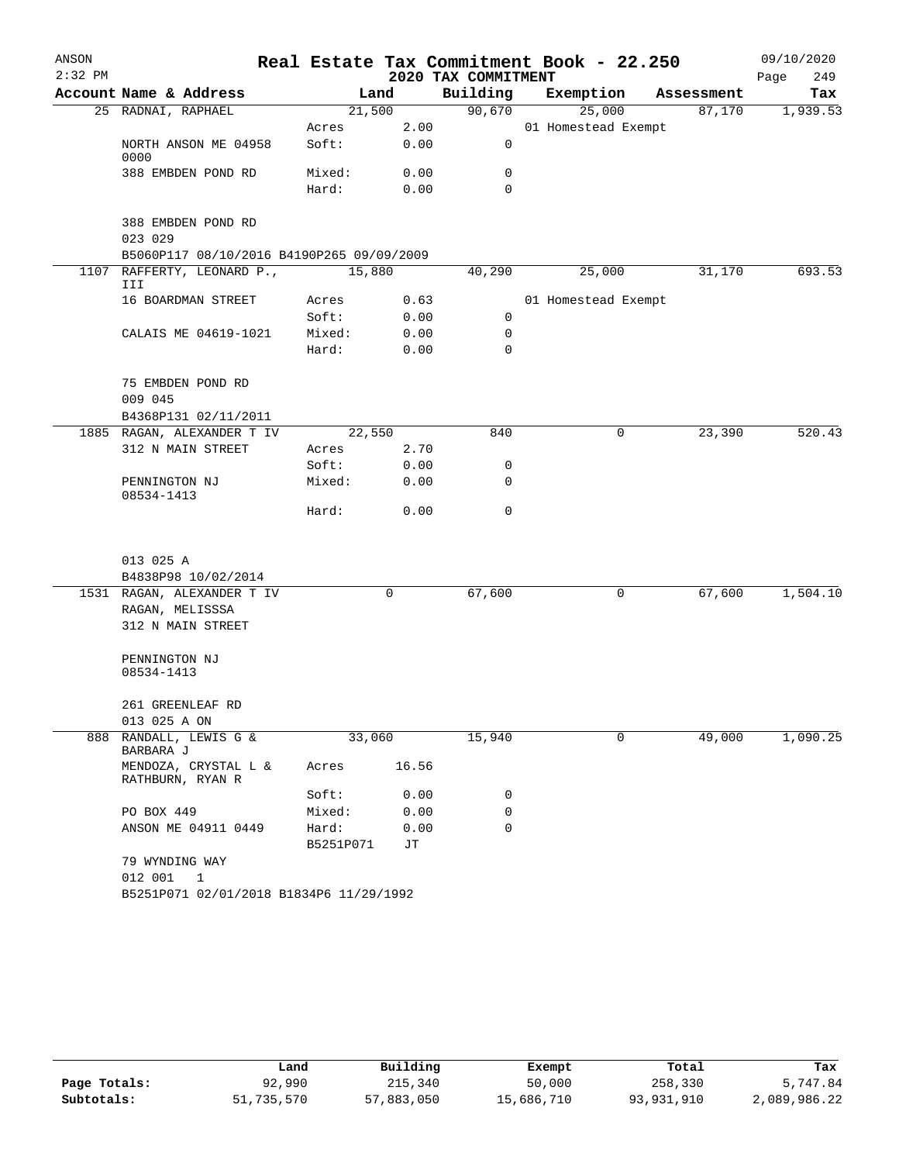| ANSON     |                                           |           |       |                     | Real Estate Tax Commitment Book - 22.250 |             |            | 09/10/2020  |
|-----------|-------------------------------------------|-----------|-------|---------------------|------------------------------------------|-------------|------------|-------------|
| $2:32$ PM |                                           |           |       | 2020 TAX COMMITMENT |                                          |             |            | Page<br>249 |
|           | Account Name & Address                    |           | Land  | Building            | Exemption                                |             | Assessment | Tax         |
|           | 25 RADNAI, RAPHAEL                        | 21,500    |       | 90,670              | 25,000                                   |             | 87,170     | 1,939.53    |
|           |                                           | Acres     | 2.00  |                     | 01 Homestead Exempt                      |             |            |             |
|           | NORTH ANSON ME 04958<br>0000              | Soft:     | 0.00  | 0                   |                                          |             |            |             |
|           | 388 EMBDEN POND RD                        | Mixed:    | 0.00  | 0                   |                                          |             |            |             |
|           |                                           | Hard:     | 0.00  | $\Omega$            |                                          |             |            |             |
|           | 388 EMBDEN POND RD<br>023 029             |           |       |                     |                                          |             |            |             |
|           | B5060P117 08/10/2016 B4190P265 09/09/2009 |           |       |                     |                                          |             |            |             |
|           | 1107 RAFFERTY, LEONARD P.,                | 15,880    |       | 40,290              | 25,000                                   |             | 31,170     | 693.53      |
|           | III                                       |           |       |                     |                                          |             |            |             |
|           | 16 BOARDMAN STREET                        | Acres     | 0.63  |                     | 01 Homestead Exempt                      |             |            |             |
|           |                                           | Soft:     | 0.00  | 0                   |                                          |             |            |             |
|           | CALAIS ME 04619-1021                      | Mixed:    | 0.00  | 0                   |                                          |             |            |             |
|           |                                           | Hard:     | 0.00  | 0                   |                                          |             |            |             |
|           | 75 EMBDEN POND RD                         |           |       |                     |                                          |             |            |             |
|           | 009 045                                   |           |       |                     |                                          |             |            |             |
|           | B4368P131 02/11/2011                      |           |       |                     |                                          |             |            |             |
|           | 1885 RAGAN, ALEXANDER T IV                | 22,550    |       | 840                 |                                          | 0           | 23,390     | 520.43      |
|           | 312 N MAIN STREET                         | Acres     | 2.70  |                     |                                          |             |            |             |
|           |                                           | Soft:     | 0.00  | 0                   |                                          |             |            |             |
|           | PENNINGTON NJ<br>08534-1413               | Mixed:    | 0.00  | 0                   |                                          |             |            |             |
|           |                                           | Hard:     | 0.00  | 0                   |                                          |             |            |             |
|           |                                           |           |       |                     |                                          |             |            |             |
|           | 013 025 A                                 |           |       |                     |                                          |             |            |             |
|           | B4838P98 10/02/2014                       |           |       |                     |                                          |             |            |             |
|           | 1531 RAGAN, ALEXANDER T IV                |           | 0     | 67,600              |                                          | 0           | 67,600     | 1,504.10    |
|           | RAGAN, MELISSSA                           |           |       |                     |                                          |             |            |             |
|           | 312 N MAIN STREET                         |           |       |                     |                                          |             |            |             |
|           | PENNINGTON NJ                             |           |       |                     |                                          |             |            |             |
|           | 08534-1413                                |           |       |                     |                                          |             |            |             |
|           | 261 GREENLEAF RD                          |           |       |                     |                                          |             |            |             |
|           | 013 025 A ON                              |           |       |                     |                                          |             |            |             |
| 888       | RANDALL, LEWIS G &<br>BARBARA J           | 33,060    |       | 15,940              |                                          | $\mathbf 0$ | 49,000     | 1,090.25    |
|           | MENDOZA, CRYSTAL L &<br>RATHBURN, RYAN R  | Acres     | 16.56 |                     |                                          |             |            |             |
|           |                                           | Soft:     | 0.00  | 0                   |                                          |             |            |             |
|           | PO BOX 449                                | Mixed:    | 0.00  | 0                   |                                          |             |            |             |
|           | ANSON ME 04911 0449                       | Hard:     | 0.00  | 0                   |                                          |             |            |             |
|           |                                           | B5251P071 | JТ    |                     |                                          |             |            |             |
|           | 79 WYNDING WAY                            |           |       |                     |                                          |             |            |             |
|           | 012 001<br>1                              |           |       |                     |                                          |             |            |             |
|           | B5251P071 02/01/2018 B1834P6 11/29/1992   |           |       |                     |                                          |             |            |             |

|              | Land       | Building   | Exempt     | Total        | Tax          |
|--------------|------------|------------|------------|--------------|--------------|
| Page Totals: | 92,990     | 215,340    | 50,000     | 258,330      | 5,747.84     |
| Subtotals:   | 51,735,570 | 57,883,050 | 15,686,710 | 93, 931, 910 | 2,089,986.22 |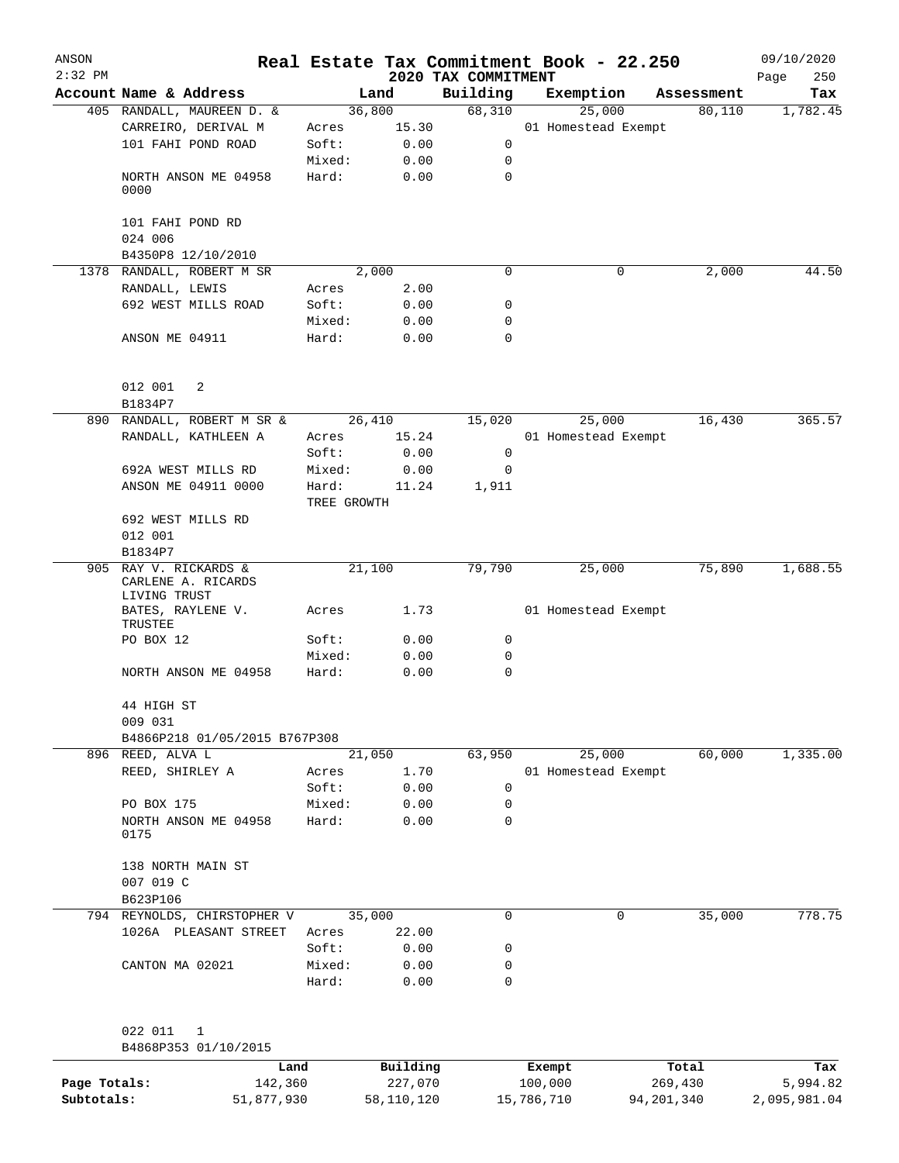| ANSON     |                                                         |                      |       |                                 | Real Estate Tax Commitment Book - 22.250 |   |            | 09/10/2020         |
|-----------|---------------------------------------------------------|----------------------|-------|---------------------------------|------------------------------------------|---|------------|--------------------|
| $2:32$ PM | Account Name & Address                                  |                      | Land  | 2020 TAX COMMITMENT<br>Building | Exemption                                |   | Assessment | Page<br>250<br>Tax |
|           | 405 RANDALL, MAUREEN D. &                               | 36,800               |       | 68,310                          | 25,000                                   |   | 80,110     | 1,782.45           |
|           | CARREIRO, DERIVAL M                                     | Acres                | 15.30 |                                 | 01 Homestead Exempt                      |   |            |                    |
|           | 101 FAHI POND ROAD                                      | Soft:                | 0.00  | 0                               |                                          |   |            |                    |
|           |                                                         | Mixed:               | 0.00  | 0                               |                                          |   |            |                    |
|           | NORTH ANSON ME 04958<br>0000                            | Hard:                | 0.00  | $\mathbf 0$                     |                                          |   |            |                    |
|           | 101 FAHI POND RD<br>024 006                             |                      |       |                                 |                                          |   |            |                    |
|           | B4350P8 12/10/2010                                      |                      |       |                                 |                                          |   |            |                    |
|           | 1378 RANDALL, ROBERT M SR                               |                      | 2,000 | $\mathbf 0$                     |                                          | 0 | 2,000      | 44.50              |
|           | RANDALL, LEWIS                                          | Acres                | 2.00  |                                 |                                          |   |            |                    |
|           | 692 WEST MILLS ROAD                                     | Soft:                | 0.00  | 0                               |                                          |   |            |                    |
|           |                                                         | Mixed:               | 0.00  | 0                               |                                          |   |            |                    |
|           | ANSON ME 04911                                          | Hard:                | 0.00  | $\mathbf 0$                     |                                          |   |            |                    |
|           | 012 001<br>2                                            |                      |       |                                 |                                          |   |            |                    |
|           | B1834P7                                                 |                      |       |                                 |                                          |   |            |                    |
|           | 890 RANDALL, ROBERT M SR &                              | 26,410               |       | 15,020                          | 25,000                                   |   | 16,430     | 365.57             |
|           | RANDALL, KATHLEEN A                                     | Acres                | 15.24 |                                 | 01 Homestead Exempt                      |   |            |                    |
|           |                                                         | Soft:                | 0.00  | 0                               |                                          |   |            |                    |
|           | 692A WEST MILLS RD                                      | Mixed:               | 0.00  | 0                               |                                          |   |            |                    |
|           | ANSON ME 04911 0000                                     | Hard:<br>TREE GROWTH | 11.24 | 1,911                           |                                          |   |            |                    |
|           | 692 WEST MILLS RD<br>012 001                            |                      |       |                                 |                                          |   |            |                    |
|           | B1834P7                                                 |                      |       |                                 |                                          |   |            |                    |
| 905       | RAY V. RICKARDS &<br>CARLENE A. RICARDS<br>LIVING TRUST | 21,100               |       | 79,790                          | 25,000                                   |   | 75,890     | 1,688.55           |
|           | BATES, RAYLENE V.<br>TRUSTEE                            | Acres                | 1.73  |                                 | 01 Homestead Exempt                      |   |            |                    |
|           | PO BOX 12                                               | Soft:                | 0.00  | 0                               |                                          |   |            |                    |
|           |                                                         | Mixed:               | 0.00  | 0                               |                                          |   |            |                    |
|           | NORTH ANSON ME 04958                                    | Hard:                | 0.00  | 0                               |                                          |   |            |                    |
|           | 44 HIGH ST<br>009 031                                   |                      |       |                                 |                                          |   |            |                    |
|           | B4866P218 01/05/2015 B767P308                           |                      |       |                                 |                                          |   |            |                    |
|           | 896 REED, ALVA L                                        | 21,050               |       | 63,950                          | 25,000                                   |   | 60,000     | 1,335.00           |
|           | REED, SHIRLEY A                                         | Acres                | 1.70  |                                 | 01 Homestead Exempt                      |   |            |                    |
|           |                                                         | Soft:                | 0.00  | 0                               |                                          |   |            |                    |
|           | PO BOX 175                                              | Mixed:               | 0.00  | 0                               |                                          |   |            |                    |
|           | NORTH ANSON ME 04958<br>0175                            | Hard:                | 0.00  | 0                               |                                          |   |            |                    |
|           | 138 NORTH MAIN ST<br>007 019 C                          |                      |       |                                 |                                          |   |            |                    |
|           | B623P106                                                |                      |       |                                 |                                          |   |            |                    |
|           | 794 REYNOLDS, CHIRSTOPHER V                             | 35,000               |       | 0                               |                                          | 0 | 35,000     | 778.75             |
|           | 1026A PLEASANT STREET                                   | Acres                | 22.00 |                                 |                                          |   |            |                    |
|           |                                                         | Soft:                | 0.00  | 0                               |                                          |   |            |                    |
|           | CANTON MA 02021                                         | Mixed:               | 0.00  | 0                               |                                          |   |            |                    |
|           |                                                         | Hard:                | 0.00  | 0                               |                                          |   |            |                    |
|           | 022 011<br>1                                            |                      |       |                                 |                                          |   |            |                    |
|           | B4868P353 01/10/2015                                    |                      |       |                                 |                                          |   |            |                    |

|              | Land       | Building   | Exempt     | Total      | Tax          |
|--------------|------------|------------|------------|------------|--------------|
| Page Totals: | 142,360    | 227,070    | 100,000    | 269,430    | 5,994.82     |
| Subtotals:   | 51,877,930 | 58,110,120 | 15,786,710 | 94,201,340 | 2,095,981.04 |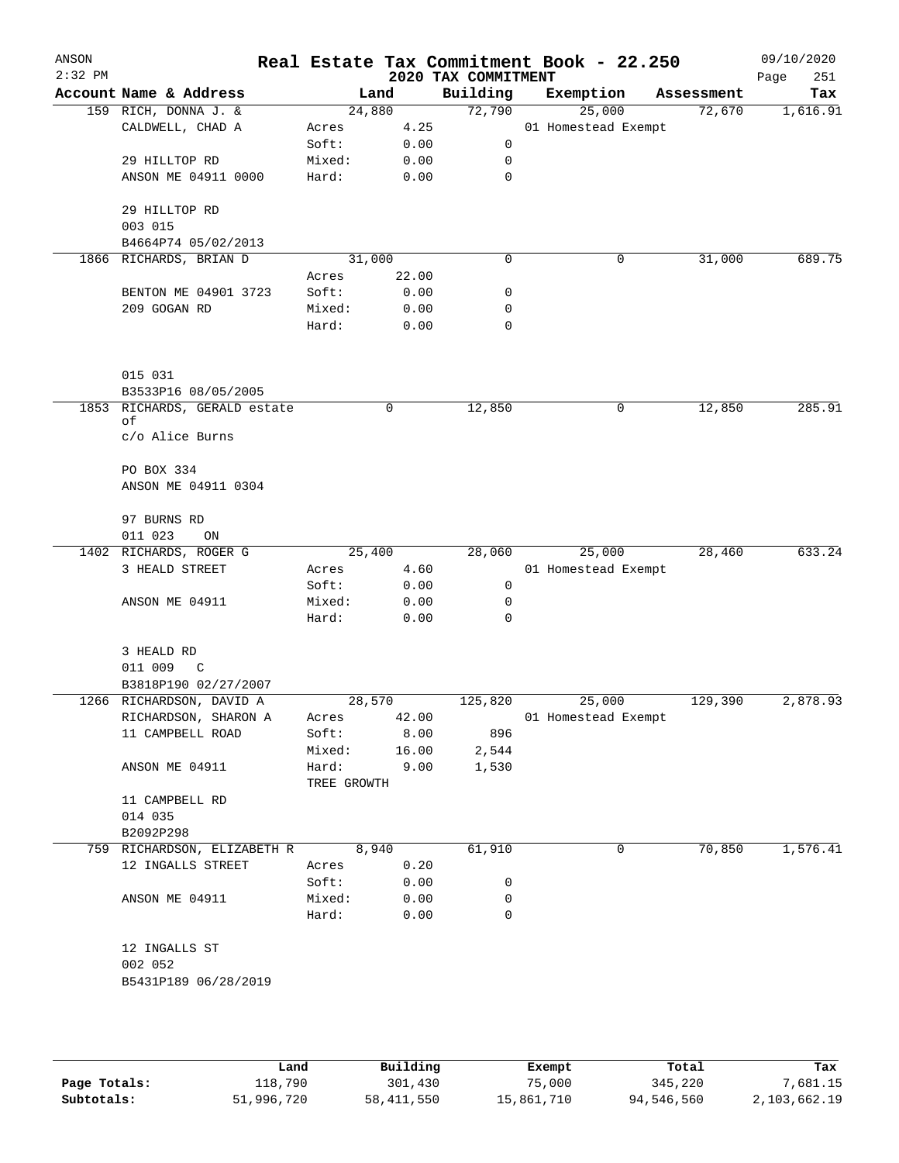| ANSON<br>$2:32$ PM |                             |                      |       | 2020 TAX COMMITMENT | Real Estate Tax Commitment Book - 22.250 |            | 09/10/2020<br>Page<br>251 |
|--------------------|-----------------------------|----------------------|-------|---------------------|------------------------------------------|------------|---------------------------|
|                    | Account Name & Address      |                      | Land  | Building            | Exemption                                | Assessment | Tax                       |
|                    | 159 RICH, DONNA J. &        | 24,880               |       | 72,790              | 25,000                                   | 72,670     | 1,616.91                  |
|                    | CALDWELL, CHAD A            | Acres                | 4.25  |                     | 01 Homestead Exempt                      |            |                           |
|                    |                             | Soft:                | 0.00  | 0                   |                                          |            |                           |
|                    | 29 HILLTOP RD               | Mixed:               | 0.00  | 0                   |                                          |            |                           |
|                    | ANSON ME 04911 0000         | Hard:                | 0.00  | 0                   |                                          |            |                           |
|                    | 29 HILLTOP RD               |                      |       |                     |                                          |            |                           |
|                    | 003 015                     |                      |       |                     |                                          |            |                           |
|                    | B4664P74 05/02/2013         |                      |       |                     |                                          |            |                           |
|                    | 1866 RICHARDS, BRIAN D      | 31,000               |       | $\mathbf 0$         | $\mathbf 0$                              | 31,000     | 689.75                    |
|                    |                             | Acres                | 22.00 |                     |                                          |            |                           |
|                    | BENTON ME 04901 3723        | Soft:                | 0.00  | 0                   |                                          |            |                           |
|                    | 209 GOGAN RD                | Mixed:               | 0.00  | 0                   |                                          |            |                           |
|                    |                             | Hard:                | 0.00  | $\mathbf 0$         |                                          |            |                           |
|                    | 015 031                     |                      |       |                     |                                          |            |                           |
|                    | B3533P16 08/05/2005         |                      |       |                     |                                          |            |                           |
| 1853               | RICHARDS, GERALD estate     |                      | 0     | 12,850              | 0                                        | 12,850     | 285.91                    |
|                    | οf                          |                      |       |                     |                                          |            |                           |
|                    | c/o Alice Burns             |                      |       |                     |                                          |            |                           |
|                    | PO BOX 334                  |                      |       |                     |                                          |            |                           |
|                    | ANSON ME 04911 0304         |                      |       |                     |                                          |            |                           |
|                    |                             |                      |       |                     |                                          |            |                           |
|                    | 97 BURNS RD                 |                      |       |                     |                                          |            |                           |
|                    | 011 023<br>ON               |                      |       |                     |                                          |            |                           |
|                    | 1402 RICHARDS, ROGER G      | 25,400               |       | 28,060              | 25,000                                   | 28,460     | 633.24                    |
|                    | 3 HEALD STREET              | Acres                | 4.60  |                     | 01 Homestead Exempt                      |            |                           |
|                    |                             | Soft:                | 0.00  | 0                   |                                          |            |                           |
|                    | ANSON ME 04911              | Mixed:               | 0.00  | 0                   |                                          |            |                           |
|                    |                             | Hard:                | 0.00  | $\mathbf 0$         |                                          |            |                           |
|                    | 3 HEALD RD                  |                      |       |                     |                                          |            |                           |
|                    | 011 009<br>C                |                      |       |                     |                                          |            |                           |
|                    | B3818P190 02/27/2007        |                      |       |                     |                                          |            |                           |
|                    | 1266 RICHARDSON, DAVID A    | 28,570               |       | 125,820             | 25,000                                   | 129,390    | 2,878.93                  |
|                    | RICHARDSON, SHARON A        | Acres                | 42.00 |                     | 01 Homestead Exempt                      |            |                           |
|                    | 11 CAMPBELL ROAD            | Soft:                | 8.00  | 896                 |                                          |            |                           |
|                    |                             | Mixed:               | 16.00 | 2,544               |                                          |            |                           |
|                    | ANSON ME 04911              | Hard:<br>TREE GROWTH | 9.00  | 1,530               |                                          |            |                           |
|                    | 11 CAMPBELL RD              |                      |       |                     |                                          |            |                           |
|                    | 014 035                     |                      |       |                     |                                          |            |                           |
|                    | B2092P298                   |                      |       |                     |                                          |            |                           |
|                    | 759 RICHARDSON, ELIZABETH R |                      | 8,940 | 61,910              | 0                                        | 70,850     | 1,576.41                  |
|                    | 12 INGALLS STREET           | Acres                | 0.20  |                     |                                          |            |                           |
|                    |                             | Soft:                | 0.00  | 0                   |                                          |            |                           |
|                    | ANSON ME 04911              | Mixed:               | 0.00  | 0                   |                                          |            |                           |
|                    |                             | Hard:                | 0.00  | 0                   |                                          |            |                           |
|                    | 12 INGALLS ST               |                      |       |                     |                                          |            |                           |
|                    | 002 052                     |                      |       |                     |                                          |            |                           |
|                    | B5431P189 06/28/2019        |                      |       |                     |                                          |            |                           |
|                    |                             |                      |       |                     |                                          |            |                           |
|                    |                             |                      |       |                     |                                          |            |                           |
|                    |                             |                      |       |                     |                                          |            |                           |

|              | Land       | Building     | Exempt     | Total      | Tax          |
|--------------|------------|--------------|------------|------------|--------------|
| Page Totals: | 118,790    | 301,430      | 75,000     | 345,220    | 7,681.15     |
| Subtotals:   | 51,996,720 | 58, 411, 550 | 15,861,710 | 94,546,560 | 2,103,662.19 |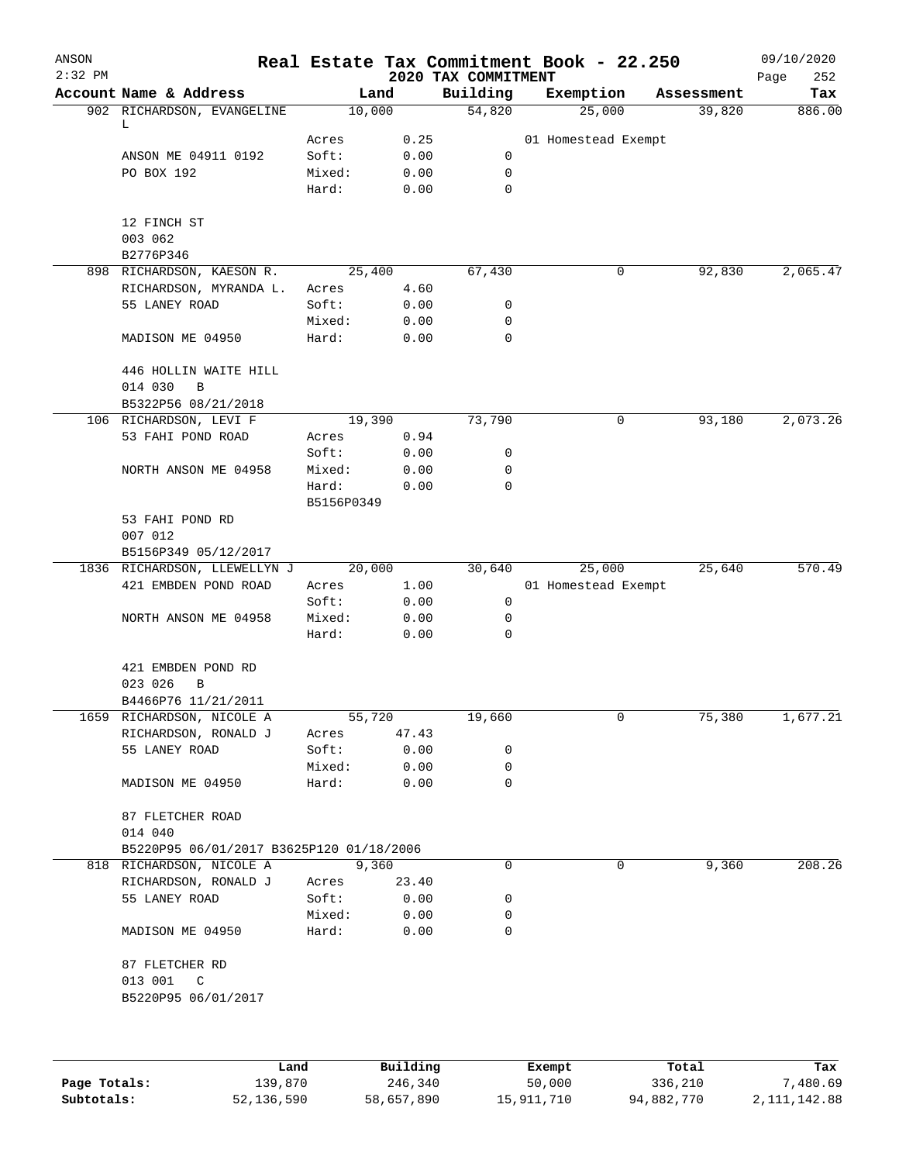| ANSON<br>$2:32$ PM |                                          |            |       | 2020 TAX COMMITMENT | Real Estate Tax Commitment Book - 22.250 |            | 09/10/2020<br>252<br>Page |
|--------------------|------------------------------------------|------------|-------|---------------------|------------------------------------------|------------|---------------------------|
|                    | Account Name & Address                   | Land       |       | Building            | Exemption                                | Assessment | Tax                       |
|                    | 902 RICHARDSON, EVANGELINE<br>L          | 10,000     |       | 54,820              | 25,000                                   | 39,820     | 886.00                    |
|                    |                                          | Acres      | 0.25  |                     | 01 Homestead Exempt                      |            |                           |
|                    | ANSON ME 04911 0192                      | Soft:      | 0.00  | 0                   |                                          |            |                           |
|                    | PO BOX 192                               | Mixed:     | 0.00  | 0                   |                                          |            |                           |
|                    |                                          | Hard:      | 0.00  | $\mathbf 0$         |                                          |            |                           |
|                    | 12 FINCH ST                              |            |       |                     |                                          |            |                           |
|                    | 003 062                                  |            |       |                     |                                          |            |                           |
|                    | B2776P346                                |            |       |                     |                                          |            |                           |
|                    | 898 RICHARDSON, KAESON R.                | 25,400     |       | 67,430              | 0                                        | 92,830     | 2,065.47                  |
|                    | RICHARDSON, MYRANDA L.                   | Acres      | 4.60  |                     |                                          |            |                           |
|                    | 55 LANEY ROAD                            | Soft:      | 0.00  | 0                   |                                          |            |                           |
|                    |                                          | Mixed:     | 0.00  | 0                   |                                          |            |                           |
|                    | MADISON ME 04950                         | Hard:      | 0.00  | $\mathbf 0$         |                                          |            |                           |
|                    | 446 HOLLIN WAITE HILL                    |            |       |                     |                                          |            |                           |
|                    | 014 030<br>$\mathbf B$                   |            |       |                     |                                          |            |                           |
|                    | B5322P56 08/21/2018                      |            |       |                     |                                          |            |                           |
|                    | 106 RICHARDSON, LEVI F                   | 19,390     |       | 73,790              | 0                                        | 93,180     | 2,073.26                  |
|                    | 53 FAHI POND ROAD                        | Acres      | 0.94  |                     |                                          |            |                           |
|                    |                                          | Soft:      | 0.00  | 0                   |                                          |            |                           |
|                    | NORTH ANSON ME 04958                     | Mixed:     | 0.00  | 0                   |                                          |            |                           |
|                    |                                          |            |       | $\mathbf 0$         |                                          |            |                           |
|                    |                                          | Hard:      | 0.00  |                     |                                          |            |                           |
|                    |                                          | B5156P0349 |       |                     |                                          |            |                           |
|                    | 53 FAHI POND RD                          |            |       |                     |                                          |            |                           |
|                    | 007 012                                  |            |       |                     |                                          |            |                           |
|                    | B5156P349 05/12/2017                     |            |       |                     |                                          |            |                           |
|                    | 1836 RICHARDSON, LLEWELLYN J             | 20,000     |       | 30,640              | 25,000                                   | 25,640     | 570.49                    |
|                    | 421 EMBDEN POND ROAD                     | Acres      | 1.00  |                     | 01 Homestead Exempt                      |            |                           |
|                    |                                          | Soft:      | 0.00  | 0                   |                                          |            |                           |
|                    | NORTH ANSON ME 04958                     | Mixed:     | 0.00  | 0                   |                                          |            |                           |
|                    |                                          | Hard:      | 0.00  | 0                   |                                          |            |                           |
|                    | 421 EMBDEN POND RD                       |            |       |                     |                                          |            |                           |
|                    | 023 026<br>В                             |            |       |                     |                                          |            |                           |
|                    | B4466P76 11/21/2011                      |            |       |                     |                                          |            |                           |
|                    | 1659 RICHARDSON, NICOLE A                | 55,720     |       | 19,660              | 0                                        | 75,380     | 1,677.21                  |
|                    | RICHARDSON, RONALD J                     | Acres      | 47.43 |                     |                                          |            |                           |
|                    | 55 LANEY ROAD                            | Soft:      | 0.00  | 0                   |                                          |            |                           |
|                    |                                          | Mixed:     | 0.00  | 0                   |                                          |            |                           |
|                    | MADISON ME 04950                         | Hard:      | 0.00  | 0                   |                                          |            |                           |
|                    | 87 FLETCHER ROAD                         |            |       |                     |                                          |            |                           |
|                    | 014 040                                  |            |       |                     |                                          |            |                           |
|                    | B5220P95 06/01/2017 B3625P120 01/18/2006 |            |       |                     |                                          |            |                           |
|                    | 818 RICHARDSON, NICOLE A                 | 9,360      |       | 0                   | 0                                        | 9,360      | 208.26                    |
|                    | RICHARDSON, RONALD J                     | Acres      | 23.40 |                     |                                          |            |                           |
|                    | 55 LANEY ROAD                            | Soft:      | 0.00  | 0                   |                                          |            |                           |
|                    |                                          | Mixed:     | 0.00  | 0                   |                                          |            |                           |
|                    | MADISON ME 04950                         | Hard:      | 0.00  | 0                   |                                          |            |                           |
|                    | 87 FLETCHER RD                           |            |       |                     |                                          |            |                           |
|                    | 013 001<br>$\mathbb{C}$                  |            |       |                     |                                          |            |                           |
|                    | B5220P95 06/01/2017                      |            |       |                     |                                          |            |                           |
|                    |                                          |            |       |                     |                                          |            |                           |
|                    |                                          |            |       |                     |                                          |            |                           |
|                    |                                          |            |       |                     |                                          |            |                           |
|                    |                                          |            |       |                     |                                          |            |                           |

|              | Land       | Building   | Exempt     | Total      | Tax          |
|--------------|------------|------------|------------|------------|--------------|
| Page Totals: | 139,870    | 246,340    | 50,000     | 336,210    | 7,480.69     |
| Subtotals:   | 52,136,590 | 58,657,890 | 15,911,710 | 94,882,770 | 2,111,142.88 |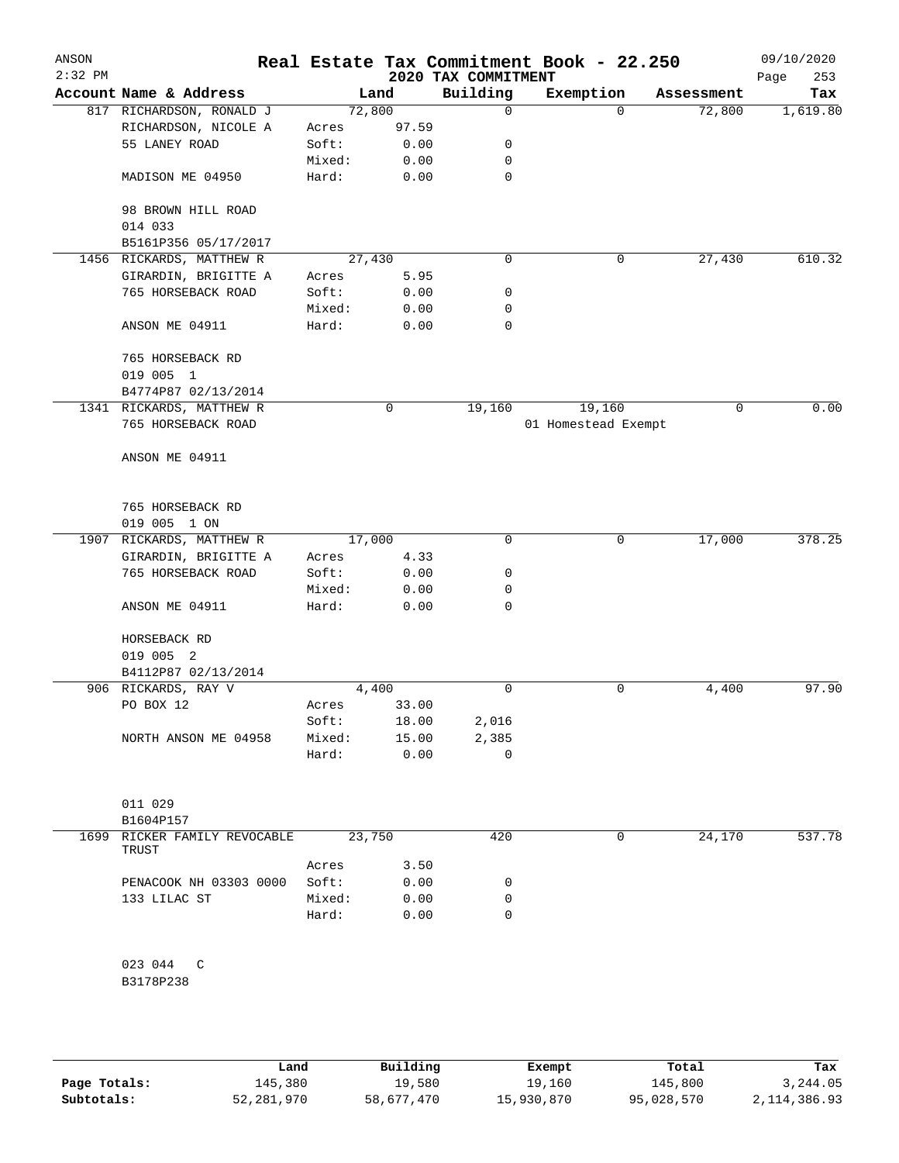| ANSON<br>$2:32$ PM |                          |        |        | 2020 TAX COMMITMENT | Real Estate Tax Commitment Book - 22.250 |            | 09/10/2020<br>253<br>Page |
|--------------------|--------------------------|--------|--------|---------------------|------------------------------------------|------------|---------------------------|
|                    | Account Name & Address   |        | Land   | Building            | Exemption                                | Assessment | Tax                       |
|                    | 817 RICHARDSON, RONALD J |        | 72,800 | 0                   | $\Omega$                                 | 72,800     | 1,619.80                  |
|                    | RICHARDSON, NICOLE A     | Acres  | 97.59  |                     |                                          |            |                           |
|                    | 55 LANEY ROAD            | Soft:  | 0.00   | 0                   |                                          |            |                           |
|                    |                          | Mixed: | 0.00   | 0                   |                                          |            |                           |
|                    | MADISON ME 04950         | Hard:  | 0.00   | 0                   |                                          |            |                           |
|                    | 98 BROWN HILL ROAD       |        |        |                     |                                          |            |                           |
|                    | 014 033                  |        |        |                     |                                          |            |                           |
|                    | B5161P356 05/17/2017     |        |        |                     |                                          |            |                           |
|                    | 1456 RICKARDS, MATTHEW R |        | 27,430 | 0                   | 0                                        | 27,430     | 610.32                    |
|                    | GIRARDIN, BRIGITTE A     | Acres  | 5.95   |                     |                                          |            |                           |
|                    | 765 HORSEBACK ROAD       | Soft:  | 0.00   | 0                   |                                          |            |                           |
|                    |                          | Mixed: | 0.00   | 0                   |                                          |            |                           |
|                    | ANSON ME 04911           | Hard:  | 0.00   | 0                   |                                          |            |                           |
|                    | 765 HORSEBACK RD         |        |        |                     |                                          |            |                           |
|                    | 019 005 1                |        |        |                     |                                          |            |                           |
|                    | B4774P87 02/13/2014      |        |        |                     |                                          |            |                           |
|                    | 1341 RICKARDS, MATTHEW R |        | 0      | 19,160              | 19,160                                   | 0          | 0.00                      |
|                    | 765 HORSEBACK ROAD       |        |        |                     | 01 Homestead Exempt                      |            |                           |
|                    | ANSON ME 04911           |        |        |                     |                                          |            |                           |
|                    |                          |        |        |                     |                                          |            |                           |
|                    | 765 HORSEBACK RD         |        |        |                     |                                          |            |                           |
|                    | 019 005 1 ON             |        |        |                     |                                          |            |                           |
|                    | 1907 RICKARDS, MATTHEW R |        | 17,000 | 0                   | 0                                        | 17,000     | 378.25                    |
|                    | GIRARDIN, BRIGITTE A     | Acres  | 4.33   |                     |                                          |            |                           |
|                    | 765 HORSEBACK ROAD       | Soft:  | 0.00   | 0                   |                                          |            |                           |
|                    |                          | Mixed: | 0.00   | 0                   |                                          |            |                           |
|                    | ANSON ME 04911           | Hard:  | 0.00   | 0                   |                                          |            |                           |
|                    | HORSEBACK RD             |        |        |                     |                                          |            |                           |
|                    | 019 005 2                |        |        |                     |                                          |            |                           |
|                    | B4112P87 02/13/2014      |        |        |                     |                                          |            |                           |
|                    | 906 RICKARDS, RAY V      |        | 4,400  | 0                   | 0                                        | 4,400      | 97.90                     |
|                    | PO BOX 12                | Acres  | 33.00  |                     |                                          |            |                           |
|                    |                          | Soft:  | 18.00  | 2,016               |                                          |            |                           |
|                    | NORTH ANSON ME 04958     | Mixed: | 15.00  | 2,385               |                                          |            |                           |
|                    |                          | Hard:  | 0.00   | 0                   |                                          |            |                           |
|                    |                          |        |        |                     |                                          |            |                           |
|                    | 011 029                  |        |        |                     |                                          |            |                           |
|                    | B1604P157                |        |        |                     |                                          |            |                           |
| 1699               | RICKER FAMILY REVOCABLE  |        | 23,750 | 420                 | 0                                        | 24,170     | 537.78                    |
|                    | TRUST                    | Acres  | 3.50   |                     |                                          |            |                           |
|                    | PENACOOK NH 03303 0000   | Soft:  | 0.00   | 0                   |                                          |            |                           |
|                    |                          |        |        |                     |                                          |            |                           |
|                    | 133 LILAC ST             | Mixed: | 0.00   | 0                   |                                          |            |                           |
|                    |                          | Hard:  | 0.00   | 0                   |                                          |            |                           |
|                    | 023 044<br>C             |        |        |                     |                                          |            |                           |
|                    | B3178P238                |        |        |                     |                                          |            |                           |
|                    |                          |        |        |                     |                                          |            |                           |
|                    |                          |        |        |                     |                                          |            |                           |

|              | Land       | Building   | Exempt     | Total      | Tax            |
|--------------|------------|------------|------------|------------|----------------|
| Page Totals: | 145,380    | 19,580     | 19,160     | 145,800    | 3,244.05       |
| Subtotals:   | 52,281,970 | 58,677,470 | 15,930,870 | 95,028,570 | 2, 114, 386.93 |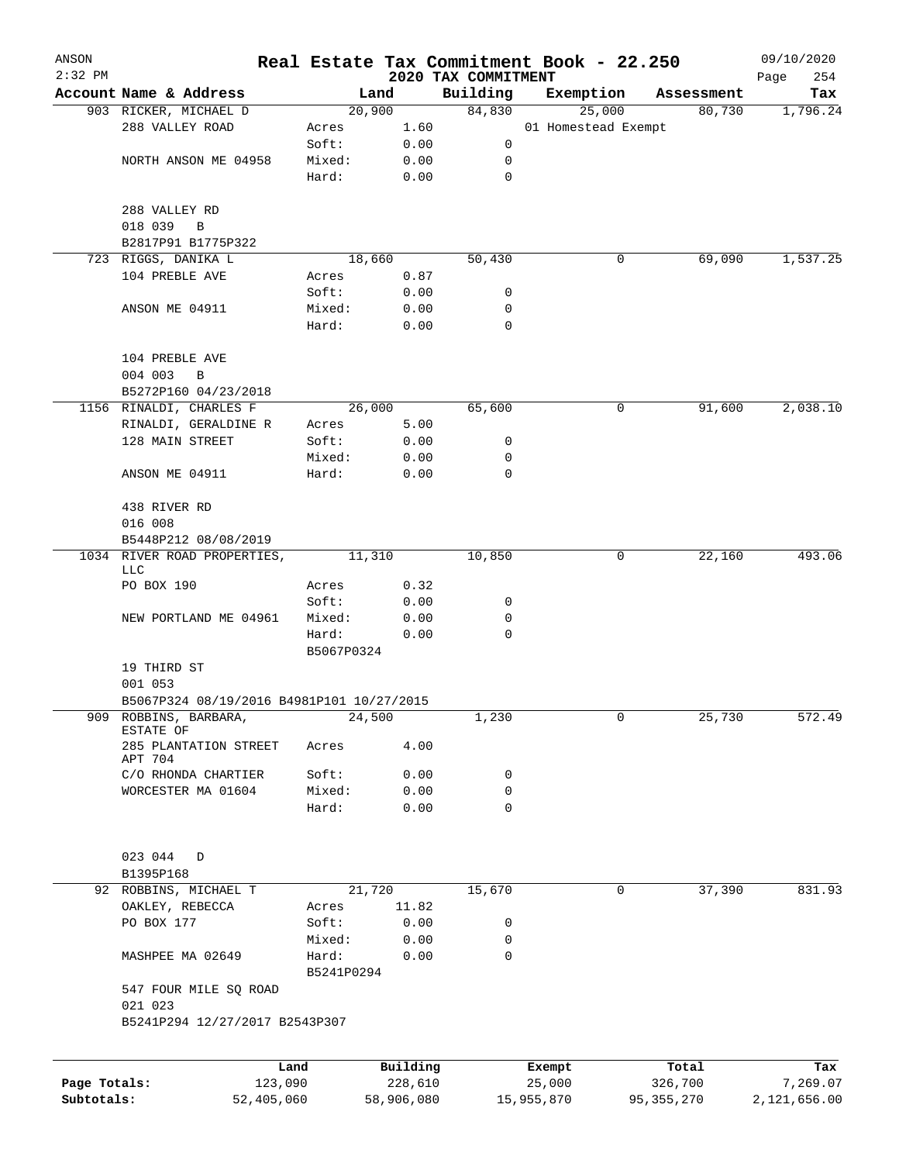| ANSON                      |                                           |                     |                       |                     | Real Estate Tax Commitment Book - 22.250 |                         | 09/10/2020               |
|----------------------------|-------------------------------------------|---------------------|-----------------------|---------------------|------------------------------------------|-------------------------|--------------------------|
| $2:32$ PM                  | Account Name & Address                    |                     |                       | 2020 TAX COMMITMENT |                                          |                         | 254<br>Page              |
|                            | 903 RICKER, MICHAEL D                     |                     | Land<br>20,900        | Building<br>84,830  | Exemption<br>25,000                      | Assessment<br>80,730    | Tax<br>1,796.24          |
|                            | 288 VALLEY ROAD                           | Acres               | 1.60                  |                     | 01 Homestead Exempt                      |                         |                          |
|                            |                                           | Soft:               | 0.00                  | 0                   |                                          |                         |                          |
|                            | NORTH ANSON ME 04958                      | Mixed:              | 0.00                  | 0                   |                                          |                         |                          |
|                            |                                           | Hard:               | 0.00                  | $\mathbf 0$         |                                          |                         |                          |
|                            | 288 VALLEY RD                             |                     |                       |                     |                                          |                         |                          |
|                            | 018 039<br>B                              |                     |                       |                     |                                          |                         |                          |
|                            | B2817P91 B1775P322                        |                     |                       |                     |                                          |                         |                          |
|                            | 723 RIGGS, DANIKA L                       |                     | 18,660                | 50,430              |                                          | 69,090<br>0             | 1,537.25                 |
|                            | 104 PREBLE AVE                            | Acres               | 0.87                  |                     |                                          |                         |                          |
|                            |                                           | Soft:               | 0.00                  | 0                   |                                          |                         |                          |
|                            | ANSON ME 04911                            | Mixed:              | 0.00                  | 0                   |                                          |                         |                          |
|                            |                                           | Hard:               | 0.00                  | $\mathbf 0$         |                                          |                         |                          |
|                            | 104 PREBLE AVE                            |                     |                       |                     |                                          |                         |                          |
|                            | 004 003<br>$\, {\bf B}$                   |                     |                       |                     |                                          |                         |                          |
|                            | B5272P160 04/23/2018                      |                     |                       |                     |                                          |                         |                          |
|                            | 1156 RINALDI, CHARLES F                   |                     | 26,000                | 65,600              |                                          | 0<br>91,600             | 2,038.10                 |
|                            | RINALDI, GERALDINE R                      | Acres               | 5.00                  |                     |                                          |                         |                          |
|                            | 128 MAIN STREET                           | Soft:               | 0.00                  | 0                   |                                          |                         |                          |
|                            |                                           | Mixed:<br>Hard:     | 0.00                  | 0<br>$\mathbf 0$    |                                          |                         |                          |
|                            | ANSON ME 04911                            |                     | 0.00                  |                     |                                          |                         |                          |
|                            | 438 RIVER RD                              |                     |                       |                     |                                          |                         |                          |
|                            | 016 008                                   |                     |                       |                     |                                          |                         |                          |
|                            | B5448P212 08/08/2019                      |                     |                       |                     |                                          |                         |                          |
|                            | 1034 RIVER ROAD PROPERTIES,<br>LLC        |                     | 11,310                | 10,850              |                                          | 0<br>22,160             | 493.06                   |
|                            | PO BOX 190                                | Acres               | 0.32                  |                     |                                          |                         |                          |
|                            |                                           | Soft:               | 0.00                  | 0                   |                                          |                         |                          |
|                            | NEW PORTLAND ME 04961                     | Mixed:              | 0.00                  | 0                   |                                          |                         |                          |
|                            |                                           | Hard:               | 0.00                  | $\mathbf 0$         |                                          |                         |                          |
|                            |                                           | B5067P0324          |                       |                     |                                          |                         |                          |
|                            | 19 THIRD ST                               |                     |                       |                     |                                          |                         |                          |
|                            | 001 053                                   |                     |                       |                     |                                          |                         |                          |
|                            | B5067P324 08/19/2016 B4981P101 10/27/2015 |                     |                       |                     |                                          |                         |                          |
|                            | 909 ROBBINS, BARBARA,<br>ESTATE OF        |                     | 24,500                | 1,230               |                                          | 0<br>25,730             | 572.49                   |
|                            | 285 PLANTATION STREET<br>APT 704          | Acres               | 4.00                  |                     |                                          |                         |                          |
|                            | C/O RHONDA CHARTIER                       | Soft:               | 0.00                  | 0                   |                                          |                         |                          |
|                            | WORCESTER MA 01604                        | Mixed:              | 0.00                  | 0                   |                                          |                         |                          |
|                            |                                           | Hard:               | 0.00                  | 0                   |                                          |                         |                          |
|                            | 023 044<br>D                              |                     |                       |                     |                                          |                         |                          |
|                            | B1395P168                                 |                     |                       |                     |                                          |                         |                          |
|                            | 92 ROBBINS, MICHAEL T                     |                     | 21,720                | 15,670              |                                          | 37,390<br>0             | 831.93                   |
|                            | OAKLEY, REBECCA                           | Acres               | 11.82                 |                     |                                          |                         |                          |
|                            | PO BOX 177                                | Soft:               | 0.00                  | 0                   |                                          |                         |                          |
|                            |                                           | Mixed:              | 0.00                  | 0                   |                                          |                         |                          |
|                            | MASHPEE MA 02649                          | Hard:<br>B5241P0294 | 0.00                  | 0                   |                                          |                         |                          |
|                            | 547 FOUR MILE SQ ROAD                     |                     |                       |                     |                                          |                         |                          |
|                            | 021 023                                   |                     |                       |                     |                                          |                         |                          |
|                            | B5241P294 12/27/2017 B2543P307            |                     |                       |                     |                                          |                         |                          |
|                            |                                           |                     |                       |                     |                                          |                         |                          |
|                            |                                           | Land                | Building              |                     | Exempt                                   | Total                   | Tax                      |
| Page Totals:<br>Subtotals: | 123,090<br>52,405,060                     |                     | 228,610<br>58,906,080 |                     | 25,000<br>15,955,870                     | 326,700<br>95, 355, 270 | 7,269.07<br>2,121,656.00 |
|                            |                                           |                     |                       |                     |                                          |                         |                          |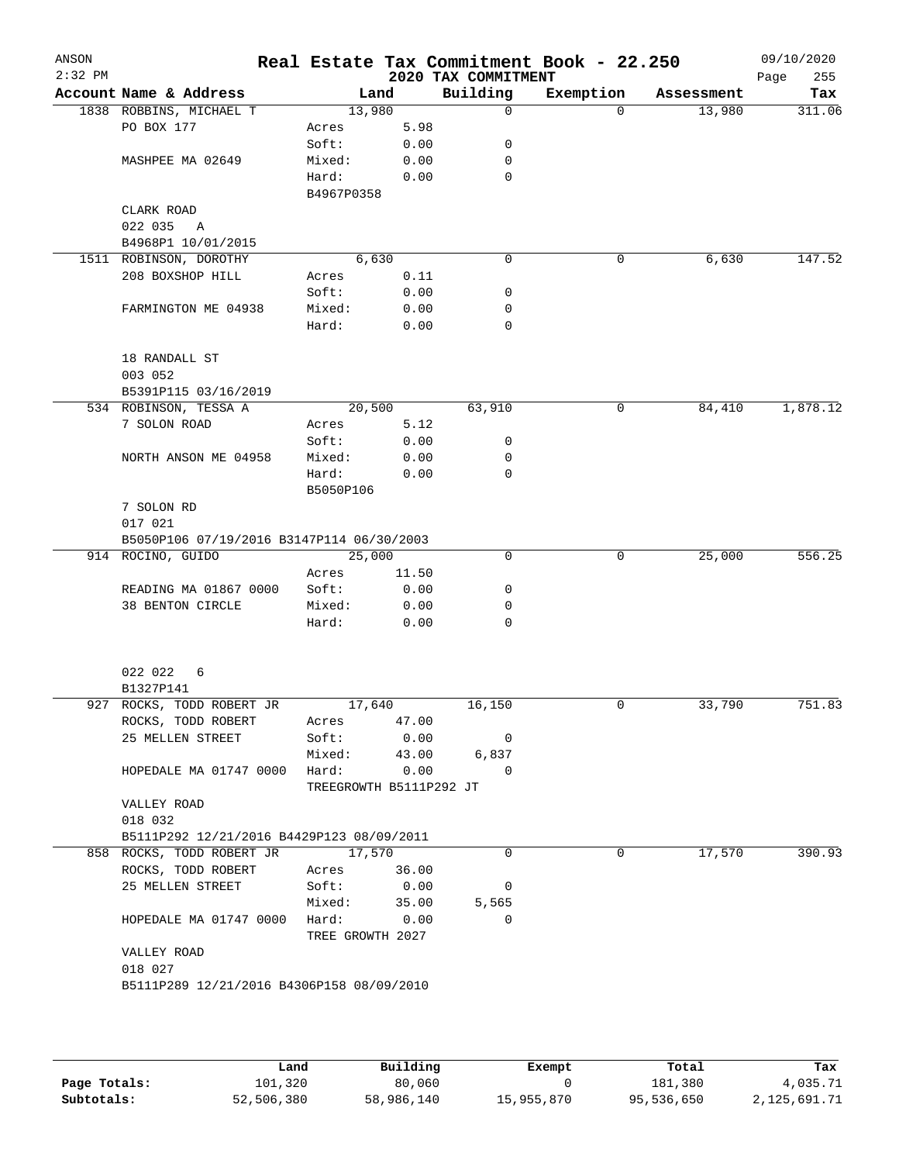| ANSON<br>$2:32$ PM |                                            |                                  |               | 2020 TAX COMMITMENT | Real Estate Tax Commitment Book - 22.250 |            | 09/10/2020<br>255<br>Page |  |  |
|--------------------|--------------------------------------------|----------------------------------|---------------|---------------------|------------------------------------------|------------|---------------------------|--|--|
|                    | Account Name & Address                     |                                  | Land          | Building            | Exemption                                | Assessment | Tax                       |  |  |
|                    | 1838 ROBBINS, MICHAEL T                    | 13,980                           |               | 0                   | $\Omega$                                 | 13,980     | 311.06                    |  |  |
|                    | PO BOX 177                                 | Acres                            | 5.98          |                     |                                          |            |                           |  |  |
|                    |                                            | Soft:                            | 0.00          | 0                   |                                          |            |                           |  |  |
|                    | MASHPEE MA 02649                           | Mixed:                           | 0.00          | 0                   |                                          |            |                           |  |  |
|                    |                                            | Hard:                            | 0.00          | 0                   |                                          |            |                           |  |  |
|                    |                                            | B4967P0358                       |               |                     |                                          |            |                           |  |  |
|                    | CLARK ROAD                                 |                                  |               |                     |                                          |            |                           |  |  |
|                    | 022 035<br>A                               |                                  |               |                     |                                          |            |                           |  |  |
|                    | B4968P1 10/01/2015                         |                                  |               | 0                   |                                          | 6,630      | 147.52                    |  |  |
|                    | 1511 ROBINSON, DOROTHY<br>208 BOXSHOP HILL | Acres                            | 6,630<br>0.11 |                     | 0                                        |            |                           |  |  |
|                    |                                            | Soft:                            | 0.00          | 0                   |                                          |            |                           |  |  |
|                    | FARMINGTON ME 04938                        | Mixed:                           | 0.00          | 0                   |                                          |            |                           |  |  |
|                    |                                            | Hard:                            | 0.00          | 0                   |                                          |            |                           |  |  |
|                    |                                            |                                  |               |                     |                                          |            |                           |  |  |
|                    | 18 RANDALL ST                              |                                  |               |                     |                                          |            |                           |  |  |
|                    | 003 052                                    |                                  |               |                     |                                          |            |                           |  |  |
|                    | B5391P115 03/16/2019                       |                                  |               |                     |                                          |            |                           |  |  |
|                    | 534 ROBINSON, TESSA A                      | 20,500                           |               | 63,910              | 0                                        | 84,410     | 1,878.12                  |  |  |
|                    | 7 SOLON ROAD                               | Acres                            | 5.12          |                     |                                          |            |                           |  |  |
|                    |                                            | Soft:                            | 0.00          | 0                   |                                          |            |                           |  |  |
|                    | NORTH ANSON ME 04958                       | Mixed:                           | 0.00          | 0                   |                                          |            |                           |  |  |
|                    |                                            | Hard:                            | 0.00          | 0                   |                                          |            |                           |  |  |
|                    |                                            | B5050P106                        |               |                     |                                          |            |                           |  |  |
|                    | 7 SOLON RD                                 |                                  |               |                     |                                          |            |                           |  |  |
|                    | 017 021                                    |                                  |               |                     |                                          |            |                           |  |  |
|                    | B5050P106 07/19/2016 B3147P114 06/30/2003  |                                  |               |                     |                                          |            |                           |  |  |
|                    | 914 ROCINO, GUIDO                          | 25,000                           |               | 0                   | 0                                        | 25,000     | 556.25                    |  |  |
|                    |                                            | Acres                            | 11.50         |                     |                                          |            |                           |  |  |
|                    | READING MA 01867 0000                      | Soft:                            | 0.00          | 0                   |                                          |            |                           |  |  |
|                    | 38 BENTON CIRCLE                           | Mixed:                           | 0.00          | 0                   |                                          |            |                           |  |  |
|                    |                                            | Hard:                            | 0.00          | 0                   |                                          |            |                           |  |  |
|                    | 022 022<br>6<br>B1327P141                  |                                  |               |                     |                                          |            |                           |  |  |
|                    | 927 ROCKS, TODD ROBERT JR                  | 17,640                           |               | 16,150              | 0                                        | 33,790     | 751.83                    |  |  |
|                    | ROCKS, TODD ROBERT                         | Acres                            | 47.00         |                     |                                          |            |                           |  |  |
|                    | 25 MELLEN STREET                           | Soft:                            | 0.00          | 0                   |                                          |            |                           |  |  |
|                    |                                            | Mixed:                           | 43.00         | 6,837               |                                          |            |                           |  |  |
|                    | HOPEDALE MA 01747 0000                     | Hard:<br>TREEGROWTH B5111P292 JT | 0.00          | $\Omega$            |                                          |            |                           |  |  |
|                    | VALLEY ROAD                                |                                  |               |                     |                                          |            |                           |  |  |
|                    | 018 032                                    |                                  |               |                     |                                          |            |                           |  |  |
|                    | B5111P292 12/21/2016 B4429P123 08/09/2011  |                                  |               |                     |                                          |            |                           |  |  |
|                    | 858 ROCKS, TODD ROBERT JR                  | 17,570                           |               | 0                   | 0                                        | 17,570     | 390.93                    |  |  |
|                    | ROCKS, TODD ROBERT                         | Acres                            | 36.00         |                     |                                          |            |                           |  |  |
|                    | 25 MELLEN STREET                           | Soft:                            | 0.00          | 0                   |                                          |            |                           |  |  |
|                    |                                            | Mixed:                           | 35.00         | 5,565               |                                          |            |                           |  |  |
|                    | HOPEDALE MA 01747 0000                     | Hard:                            | 0.00          | $\Omega$            |                                          |            |                           |  |  |
|                    | VALLEY ROAD                                | TREE GROWTH 2027                 |               |                     |                                          |            |                           |  |  |
|                    | 018 027                                    |                                  |               |                     |                                          |            |                           |  |  |
|                    | B5111P289 12/21/2016 B4306P158 08/09/2010  |                                  |               |                     |                                          |            |                           |  |  |

|              | Land       | Building   | Exempt     | Total      | Tax          |
|--------------|------------|------------|------------|------------|--------------|
| Page Totals: | 101,320    | 80,060     |            | 181,380    | 4,035.71     |
| Subtotals:   | 52,506,380 | 58,986,140 | 15,955,870 | 95,536,650 | 2,125,691.71 |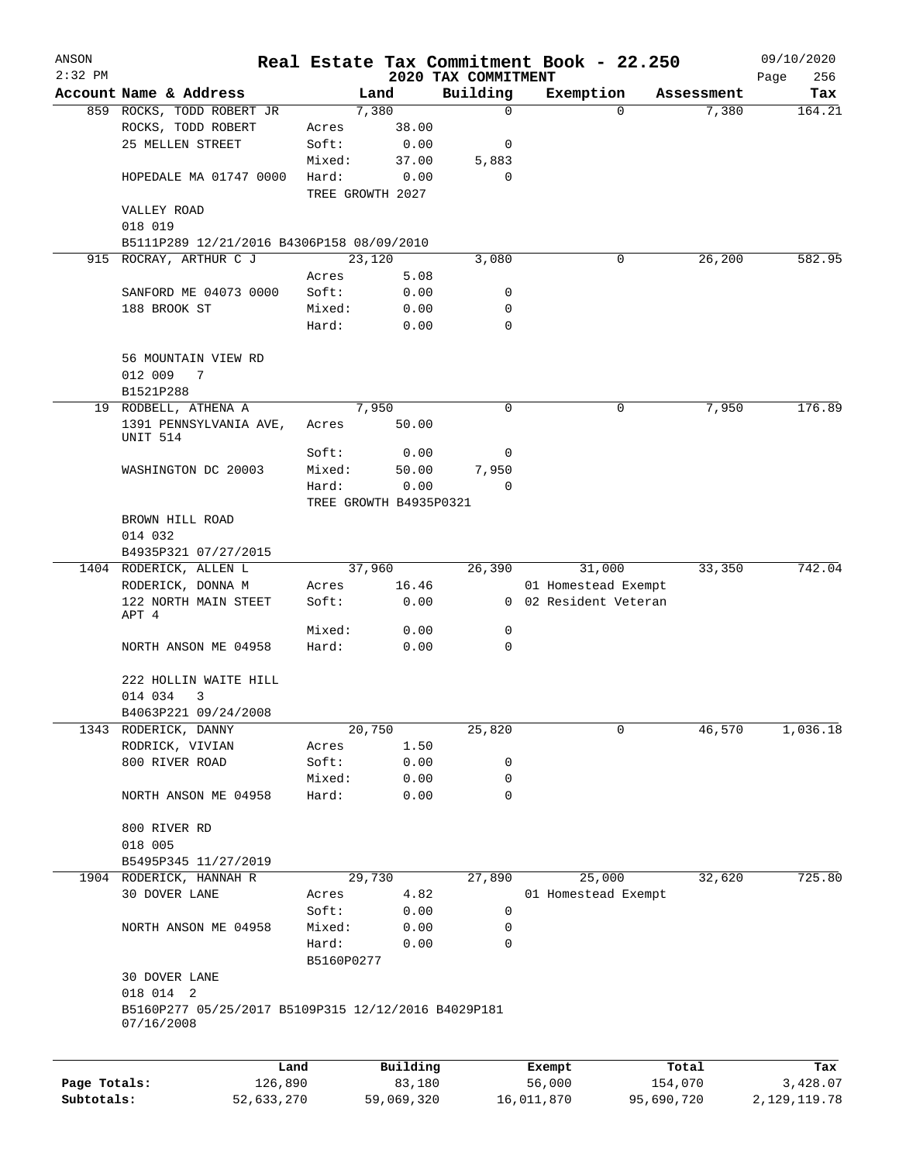| ANSON        |                                                                   |            |            |                        |                         | Real Estate Tax Commitment Book - 22.250 |                     | 09/10/2020     |
|--------------|-------------------------------------------------------------------|------------|------------|------------------------|-------------------------|------------------------------------------|---------------------|----------------|
| $2:32$ PM    |                                                                   |            |            |                        | 2020 TAX COMMITMENT     |                                          |                     | Page<br>256    |
|              | Account Name & Address<br>859 ROCKS, TODD ROBERT JR               |            |            | Land<br>7,380          | Building<br>$\mathbf 0$ | Exemption<br>$\Omega$                    | Assessment<br>7,380 | Tax<br>164.21  |
|              | ROCKS, TODD ROBERT                                                |            | Acres      | 38.00                  |                         |                                          |                     |                |
|              | 25 MELLEN STREET                                                  |            | Soft:      | 0.00                   | 0                       |                                          |                     |                |
|              |                                                                   |            | Mixed:     | 37.00                  | 5,883                   |                                          |                     |                |
|              | HOPEDALE MA 01747 0000                                            |            | Hard:      | 0.00                   | $\mathbf 0$             |                                          |                     |                |
|              |                                                                   |            |            | TREE GROWTH 2027       |                         |                                          |                     |                |
|              | VALLEY ROAD                                                       |            |            |                        |                         |                                          |                     |                |
|              | 018 019                                                           |            |            |                        |                         |                                          |                     |                |
|              | B5111P289 12/21/2016 B4306P158 08/09/2010                         |            |            |                        |                         |                                          |                     |                |
| 915          | ROCRAY, ARTHUR C J                                                |            |            | 23,120                 | 3,080                   | 0                                        | 26,200              | 582.95         |
|              |                                                                   |            | Acres      | 5.08                   |                         |                                          |                     |                |
|              | SANFORD ME 04073 0000                                             |            | Soft:      | 0.00                   | 0                       |                                          |                     |                |
|              | 188 BROOK ST                                                      |            | Mixed:     | 0.00                   | 0                       |                                          |                     |                |
|              |                                                                   |            | Hard:      | 0.00                   | $\Omega$                |                                          |                     |                |
|              | 56 MOUNTAIN VIEW RD                                               |            |            |                        |                         |                                          |                     |                |
|              | 012 009<br>7                                                      |            |            |                        |                         |                                          |                     |                |
|              | B1521P288                                                         |            |            |                        |                         |                                          |                     |                |
|              | 19 RODBELL, ATHENA A                                              |            |            | 7,950                  | 0                       | 0                                        | 7,950               | 176.89         |
|              | 1391 PENNSYLVANIA AVE,                                            |            | Acres      | 50.00                  |                         |                                          |                     |                |
|              | UNIT 514                                                          |            |            |                        |                         |                                          |                     |                |
|              |                                                                   |            | Soft:      | 0.00                   | 0                       |                                          |                     |                |
|              | WASHINGTON DC 20003                                               |            | Mixed:     | 50.00                  | 7,950                   |                                          |                     |                |
|              |                                                                   |            | Hard:      | 0.00                   | $\Omega$                |                                          |                     |                |
|              |                                                                   |            |            | TREE GROWTH B4935P0321 |                         |                                          |                     |                |
|              | BROWN HILL ROAD<br>014 032                                        |            |            |                        |                         |                                          |                     |                |
|              | B4935P321 07/27/2015                                              |            |            |                        |                         |                                          |                     |                |
|              | 1404 RODERICK, ALLEN L                                            |            |            | 37,960                 | 26,390                  | 31,000                                   | 33,350              | 742.04         |
|              | RODERICK, DONNA M                                                 |            | Acres      | 16.46                  |                         | 01 Homestead Exempt                      |                     |                |
|              | 122 NORTH MAIN STEET                                              |            | Soft:      | 0.00                   |                         | 0 02 Resident Veteran                    |                     |                |
|              | APT 4                                                             |            |            |                        |                         |                                          |                     |                |
|              |                                                                   |            | Mixed:     | 0.00                   | 0                       |                                          |                     |                |
|              | NORTH ANSON ME 04958                                              |            | Hard:      | 0.00                   | 0                       |                                          |                     |                |
|              | 222 HOLLIN WAITE HILL                                             |            |            |                        |                         |                                          |                     |                |
|              | 014 034<br>3                                                      |            |            |                        |                         |                                          |                     |                |
|              | B4063P221 09/24/2008                                              |            |            |                        |                         |                                          |                     |                |
| 1343         | RODERICK, DANNY                                                   |            |            | 20,750                 | 25,820                  | 0                                        | 46,570              | 1,036.18       |
|              | RODRICK, VIVIAN                                                   |            | Acres      | 1.50                   |                         |                                          |                     |                |
|              | 800 RIVER ROAD                                                    |            | Soft:      | 0.00                   | 0                       |                                          |                     |                |
|              |                                                                   |            | Mixed:     | 0.00                   | 0                       |                                          |                     |                |
|              | NORTH ANSON ME 04958                                              |            | Hard:      | 0.00                   | $\mathbf 0$             |                                          |                     |                |
|              |                                                                   |            |            |                        |                         |                                          |                     |                |
|              | 800 RIVER RD<br>018 005                                           |            |            |                        |                         |                                          |                     |                |
|              | B5495P345 11/27/2019                                              |            |            |                        |                         |                                          |                     |                |
|              | 1904 RODERICK, HANNAH R                                           |            |            | 29,730                 | 27,890                  | 25,000                                   | 32,620              | 725.80         |
|              | 30 DOVER LANE                                                     |            | Acres      | 4.82                   |                         | 01 Homestead Exempt                      |                     |                |
|              |                                                                   |            | Soft:      | 0.00                   | 0                       |                                          |                     |                |
|              | NORTH ANSON ME 04958                                              |            | Mixed:     | 0.00                   | 0                       |                                          |                     |                |
|              |                                                                   |            | Hard:      | 0.00                   | 0                       |                                          |                     |                |
|              |                                                                   |            | B5160P0277 |                        |                         |                                          |                     |                |
|              | 30 DOVER LANE                                                     |            |            |                        |                         |                                          |                     |                |
|              | 018 014 2                                                         |            |            |                        |                         |                                          |                     |                |
|              | B5160P277 05/25/2017 B5109P315 12/12/2016 B4029P181<br>07/16/2008 |            |            |                        |                         |                                          |                     |                |
|              |                                                                   | Land       |            | Building               |                         | Exempt                                   | Total               | Tax            |
| Page Totals: |                                                                   | 126,890    |            | 83,180                 |                         | 56,000                                   | 154,070             | 3,428.07       |
| Subtotals:   |                                                                   | 52,633,270 |            | 59,069,320             |                         | 16,011,870                               | 95,690,720          | 2, 129, 119.78 |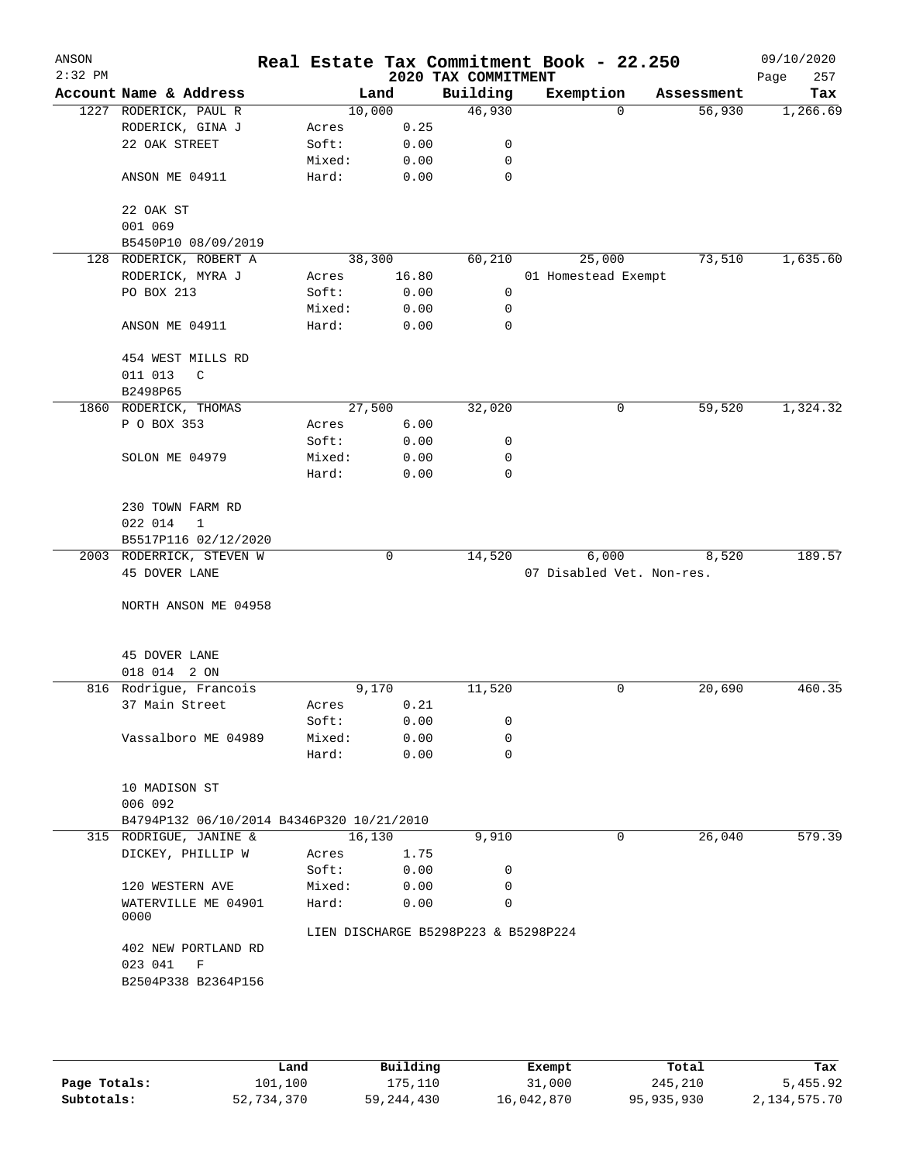| ANSON     |                                           |                 |        |       |                                      | Real Estate Tax Commitment Book - 22.250 |            | 09/10/2020  |
|-----------|-------------------------------------------|-----------------|--------|-------|--------------------------------------|------------------------------------------|------------|-------------|
| $2:32$ PM |                                           |                 |        |       | 2020 TAX COMMITMENT                  |                                          |            | 257<br>Page |
|           | Account Name & Address                    |                 | Land   |       | Building                             | Exemption                                | Assessment | Tax         |
|           | 1227 RODERICK, PAUL R                     |                 | 10,000 |       | 46,930                               | $\Omega$                                 | 56,930     | 1,266.69    |
|           | RODERICK, GINA J                          | Acres           |        | 0.25  |                                      |                                          |            |             |
|           | 22 OAK STREET                             | Soft:           |        | 0.00  | 0                                    |                                          |            |             |
|           |                                           | Mixed:          |        | 0.00  | 0                                    |                                          |            |             |
|           | ANSON ME 04911                            | Hard:           |        | 0.00  | $\mathbf 0$                          |                                          |            |             |
|           | 22 OAK ST                                 |                 |        |       |                                      |                                          |            |             |
|           | 001 069                                   |                 |        |       |                                      |                                          |            |             |
|           | B5450P10 08/09/2019                       |                 |        |       |                                      |                                          |            |             |
|           | 128 RODERICK, ROBERT A                    |                 | 38,300 |       | 60,210                               | 25,000                                   | 73,510     | 1,635.60    |
|           | RODERICK, MYRA J                          | Acres           |        | 16.80 |                                      | 01 Homestead Exempt                      |            |             |
|           | PO BOX 213                                | Soft:           |        | 0.00  | 0                                    |                                          |            |             |
|           |                                           | Mixed:          |        | 0.00  | 0                                    |                                          |            |             |
|           | ANSON ME 04911                            | Hard:           |        | 0.00  | 0                                    |                                          |            |             |
|           | 454 WEST MILLS RD                         |                 |        |       |                                      |                                          |            |             |
|           | 011 013<br>C                              |                 |        |       |                                      |                                          |            |             |
|           | B2498P65                                  |                 |        |       |                                      |                                          | 59,520     | 1,324.32    |
|           | 1860 RODERICK, THOMAS<br>P O BOX 353      |                 | 27,500 | 6.00  | 32,020                               | 0                                        |            |             |
|           |                                           | Acres           |        |       |                                      |                                          |            |             |
|           |                                           | Soft:           |        | 0.00  | 0                                    |                                          |            |             |
|           | SOLON ME 04979                            | Mixed:<br>Hard: |        | 0.00  | 0<br>$\mathbf 0$                     |                                          |            |             |
|           |                                           |                 |        | 0.00  |                                      |                                          |            |             |
|           | 230 TOWN FARM RD                          |                 |        |       |                                      |                                          |            |             |
|           | 022 014<br>$\mathbf{1}$                   |                 |        |       |                                      |                                          |            |             |
|           | B5517P116 02/12/2020                      |                 |        |       |                                      |                                          |            |             |
|           | 2003 RODERRICK, STEVEN W                  |                 |        | 0     | 14,520                               | 6,000                                    | 8,520      | 189.57      |
|           | 45 DOVER LANE                             |                 |        |       |                                      | 07 Disabled Vet. Non-res.                |            |             |
|           | NORTH ANSON ME 04958                      |                 |        |       |                                      |                                          |            |             |
|           |                                           |                 |        |       |                                      |                                          |            |             |
|           |                                           |                 |        |       |                                      |                                          |            |             |
|           | 45 DOVER LANE                             |                 |        |       |                                      |                                          |            |             |
|           | 018 014 2 ON                              |                 |        |       |                                      |                                          |            |             |
|           | 816 Rodrigue, Francois                    |                 | 9,170  |       | 11,520                               | 0                                        | 20,690     | 460.35      |
|           | 37 Main Street                            | Acres           |        | 0.21  |                                      |                                          |            |             |
|           |                                           | Soft:           |        | 0.00  | 0                                    |                                          |            |             |
|           | Vassalboro ME 04989                       | Mixed:          |        | 0.00  | 0                                    |                                          |            |             |
|           |                                           | Hard:           |        | 0.00  | 0                                    |                                          |            |             |
|           | 10 MADISON ST                             |                 |        |       |                                      |                                          |            |             |
|           | 006 092                                   |                 |        |       |                                      |                                          |            |             |
|           | B4794P132 06/10/2014 B4346P320 10/21/2010 |                 |        |       |                                      |                                          |            |             |
|           | 315 RODRIGUE, JANINE &                    |                 | 16,130 |       | 9,910                                | 0                                        | 26,040     | 579.39      |
|           | DICKEY, PHILLIP W                         | Acres           |        | 1.75  |                                      |                                          |            |             |
|           |                                           | Soft:           |        | 0.00  | 0                                    |                                          |            |             |
|           | 120 WESTERN AVE                           | Mixed:          |        | 0.00  | 0                                    |                                          |            |             |
|           | WATERVILLE ME 04901                       | Hard:           |        | 0.00  | 0                                    |                                          |            |             |
|           | 0000                                      |                 |        |       | LIEN DISCHARGE B5298P223 & B5298P224 |                                          |            |             |
|           | 402 NEW PORTLAND RD                       |                 |        |       |                                      |                                          |            |             |
|           | 023 041<br>F                              |                 |        |       |                                      |                                          |            |             |
|           | B2504P338 B2364P156                       |                 |        |       |                                      |                                          |            |             |
|           |                                           |                 |        |       |                                      |                                          |            |             |
|           |                                           |                 |        |       |                                      |                                          |            |             |
|           |                                           |                 |        |       |                                      |                                          |            |             |
|           |                                           |                 |        |       |                                      |                                          |            |             |

|              | Land       | Building     | Exempt     | Total      | Tax          |
|--------------|------------|--------------|------------|------------|--------------|
| Page Totals: | 101,100    | 175,110      | 31,000     | 245,210    | 5,455.92     |
| Subtotals:   | 52,734,370 | 59, 244, 430 | 16,042,870 | 95,935,930 | 2,134,575.70 |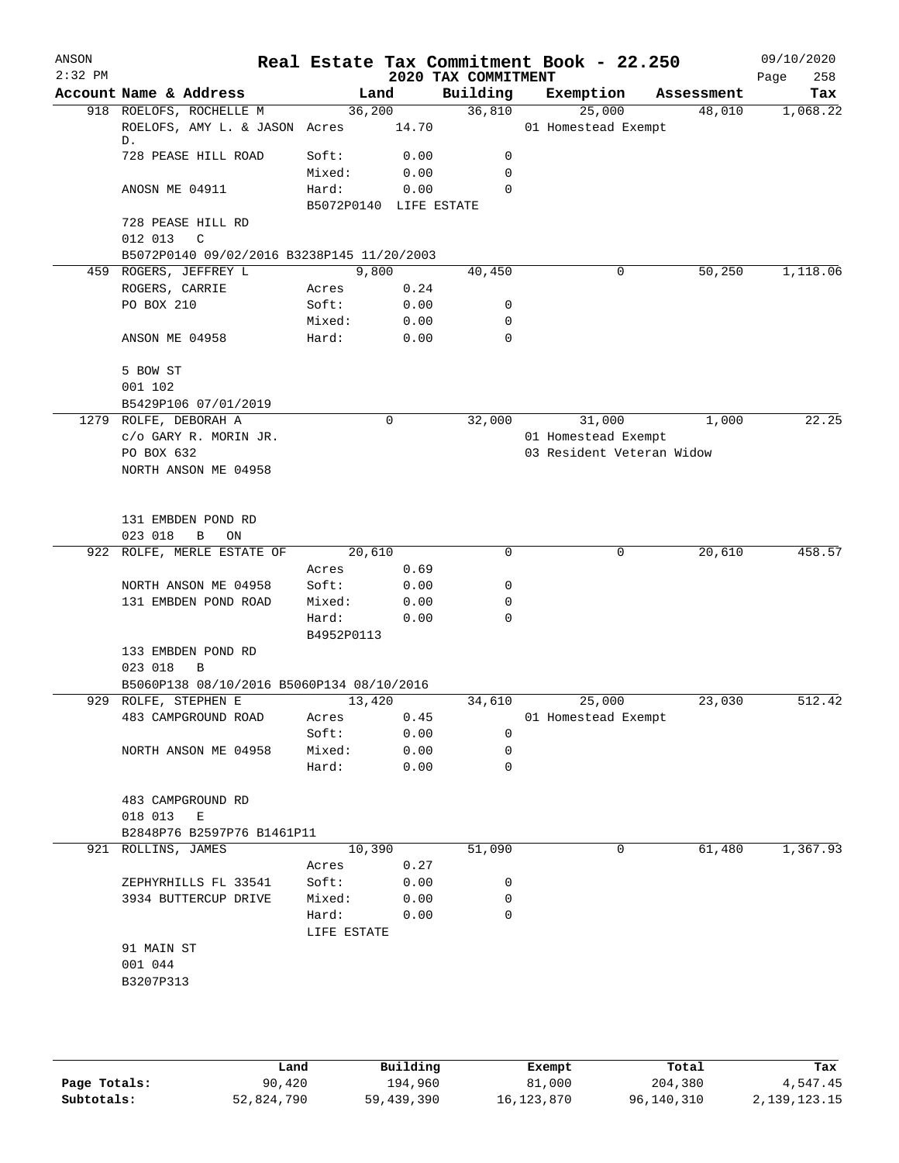| ANSON<br>$2:32$ PM |                                                                |                        |              | 2020 TAX COMMITMENT | Real Estate Tax Commitment Book - 22.250 |            | 09/10/2020<br>258<br>Page |
|--------------------|----------------------------------------------------------------|------------------------|--------------|---------------------|------------------------------------------|------------|---------------------------|
|                    | Account Name & Address                                         | Land                   |              | Building            | Exemption                                | Assessment | Tax                       |
|                    | 918 ROELOFS, ROCHELLE M<br>ROELOFS, AMY L. & JASON Acres<br>D. | 36,200                 | 14.70        | 36,810              | 25,000<br>01 Homestead Exempt            | 48,010     | 1,068.22                  |
|                    | 728 PEASE HILL ROAD                                            | Soft:                  | 0.00         | 0                   |                                          |            |                           |
|                    | ANOSN ME 04911                                                 | Mixed:<br>Hard:        | 0.00<br>0.00 | 0<br>0              |                                          |            |                           |
|                    | 728 PEASE HILL RD<br>012 013<br>$\mathbb{C}$                   | B5072P0140 LIFE ESTATE |              |                     |                                          |            |                           |
|                    | B5072P0140 09/02/2016 B3238P145 11/20/2003                     |                        |              |                     |                                          |            |                           |
|                    | 459 ROGERS, JEFFREY L                                          | 9,800                  |              | 40,450              | 0                                        | 50,250     | 1,118.06                  |
|                    | ROGERS, CARRIE                                                 | Acres                  | 0.24         |                     |                                          |            |                           |
|                    | PO BOX 210                                                     | Soft:                  | 0.00         | 0                   |                                          |            |                           |
|                    |                                                                | Mixed:                 | 0.00         | 0                   |                                          |            |                           |
|                    | ANSON ME 04958                                                 | Hard:                  | 0.00         | $\mathbf 0$         |                                          |            |                           |
|                    | 5 BOW ST                                                       |                        |              |                     |                                          |            |                           |
|                    | 001 102                                                        |                        |              |                     |                                          |            |                           |
|                    | B5429P106 07/01/2019                                           |                        |              |                     |                                          |            |                           |
|                    | 1279 ROLFE, DEBORAH A                                          |                        | $\mathbf 0$  | 32,000              | 31,000                                   | 1,000      | 22.25                     |
|                    | c/o GARY R. MORIN JR.                                          |                        |              |                     | 01 Homestead Exempt                      |            |                           |
|                    | PO BOX 632<br>NORTH ANSON ME 04958                             |                        |              |                     | 03 Resident Veteran Widow                |            |                           |
|                    |                                                                |                        |              |                     |                                          |            |                           |
|                    | 131 EMBDEN POND RD                                             |                        |              |                     |                                          |            |                           |
|                    | 023 018<br>B<br>$\mathop{\rm ON}$                              |                        |              |                     |                                          |            |                           |
|                    | 922 ROLFE, MERLE ESTATE OF                                     | 20,610                 |              | $\mathbf 0$         | 0                                        | 20,610     | 458.57                    |
|                    |                                                                | Acres                  | 0.69         |                     |                                          |            |                           |
|                    | NORTH ANSON ME 04958                                           | Soft:                  | 0.00         | 0                   |                                          |            |                           |
|                    | 131 EMBDEN POND ROAD                                           | Mixed:                 | 0.00         | 0                   |                                          |            |                           |
|                    |                                                                | Hard:<br>B4952P0113    | 0.00         | $\mathbf 0$         |                                          |            |                           |
|                    | 133 EMBDEN POND RD<br>023 018<br>B                             |                        |              |                     |                                          |            |                           |
|                    | B5060P138 08/10/2016 B5060P134 08/10/2016                      |                        |              |                     |                                          |            |                           |
|                    | 929 ROLFE, STEPHEN E                                           | 13,420                 |              | 34,610              | 25,000                                   | 23,030     | 512.42                    |
|                    | 483 CAMPGROUND ROAD                                            | Acres                  | 0.45         |                     | 01 Homestead Exempt                      |            |                           |
|                    |                                                                | Soft:                  | 0.00         | 0                   |                                          |            |                           |
|                    | NORTH ANSON ME 04958                                           | Mixed:                 | 0.00         | 0                   |                                          |            |                           |
|                    |                                                                | Hard:                  | 0.00         | 0                   |                                          |            |                           |
|                    | 483 CAMPGROUND RD                                              |                        |              |                     |                                          |            |                           |
|                    | 018 013<br>Е                                                   |                        |              |                     |                                          |            |                           |
|                    | B2848P76 B2597P76 B1461P11                                     |                        |              |                     |                                          |            |                           |
|                    | 921 ROLLINS, JAMES                                             | 10,390                 |              | 51,090              | 0                                        | 61,480     | 1,367.93                  |
|                    |                                                                | Acres                  | 0.27         |                     |                                          |            |                           |
|                    | ZEPHYRHILLS FL 33541                                           | Soft:                  | 0.00         | 0                   |                                          |            |                           |
|                    | 3934 BUTTERCUP DRIVE                                           | Mixed:                 | 0.00         | 0                   |                                          |            |                           |
|                    |                                                                | Hard:<br>LIFE ESTATE   | 0.00         | 0                   |                                          |            |                           |
|                    | 91 MAIN ST                                                     |                        |              |                     |                                          |            |                           |
|                    | 001 044                                                        |                        |              |                     |                                          |            |                           |
|                    | B3207P313                                                      |                        |              |                     |                                          |            |                           |
|                    |                                                                |                        |              |                     |                                          |            |                           |
|                    |                                                                |                        |              |                     |                                          |            |                           |
|                    |                                                                |                        |              |                     |                                          |            |                           |
|                    |                                                                |                        |              |                     |                                          |            |                           |
|                    |                                                                |                        |              |                     |                                          |            |                           |

|              | Land       | Building   | Exempt     | Total      | Tax          |
|--------------|------------|------------|------------|------------|--------------|
| Page Totals: | 90,420     | 194,960    | 81,000     | 204,380    | 4,547.45     |
| Subtotals:   | 52,824,790 | 59,439,390 | 16,123,870 | 96,140,310 | 2,139,123.15 |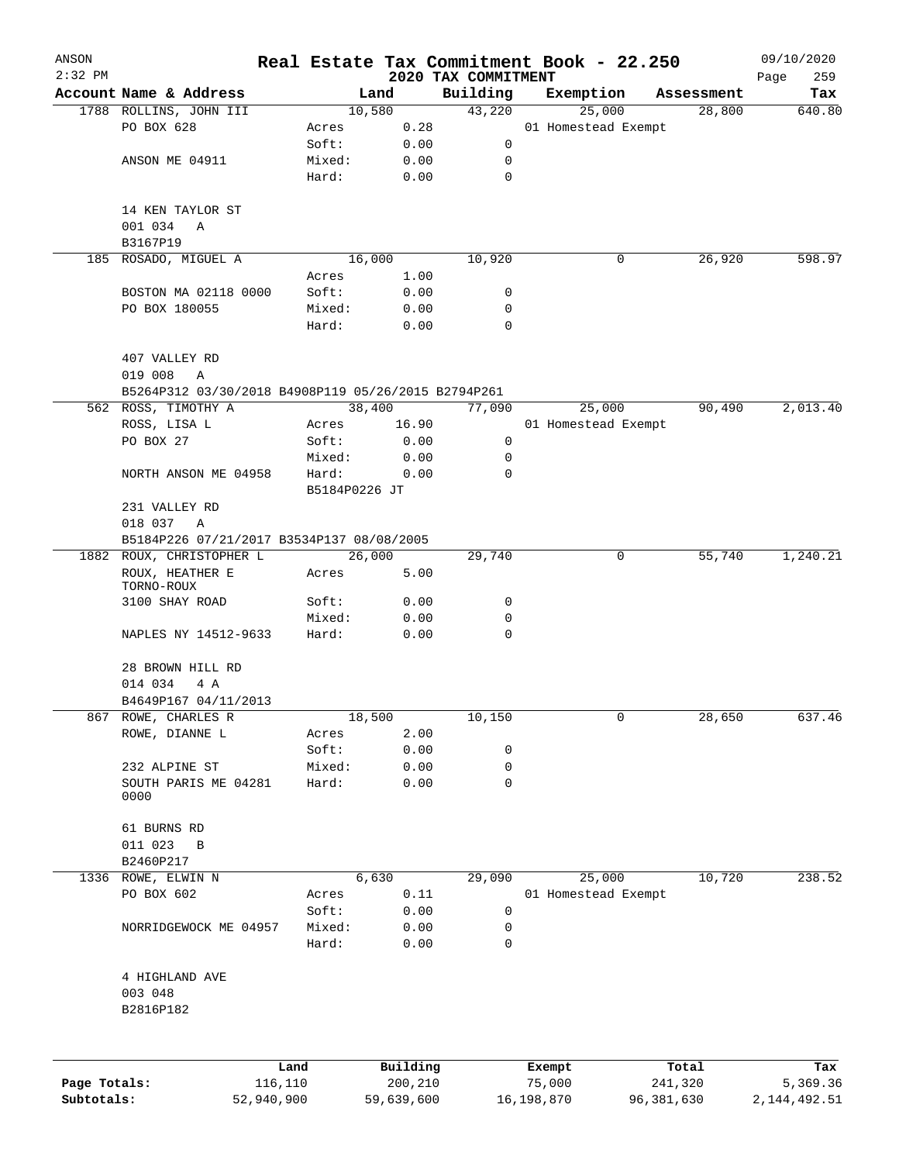| ANSON<br>$2:32$ PM |                                                                            |                 |                        |                     |                                 | Real Estate Tax Commitment Book - 22.250 |              |                  | 09/10/2020         |
|--------------------|----------------------------------------------------------------------------|-----------------|------------------------|---------------------|---------------------------------|------------------------------------------|--------------|------------------|--------------------|
|                    | Account Name & Address                                                     |                 |                        | Land                | 2020 TAX COMMITMENT<br>Building | Exemption                                |              | Assessment       | 259<br>Page<br>Tax |
|                    | 1788 ROLLINS, JOHN III                                                     |                 |                        | 10,580              | 43,220                          | 25,000                                   |              | 28,800           | 640.80             |
|                    | PO BOX 628                                                                 |                 | Acres                  | 0.28                |                                 | 01 Homestead Exempt                      |              |                  |                    |
|                    |                                                                            |                 | Soft:                  | 0.00                | 0                               |                                          |              |                  |                    |
|                    | ANSON ME 04911                                                             |                 | Mixed:                 | 0.00                | 0                               |                                          |              |                  |                    |
|                    |                                                                            |                 | Hard:                  | 0.00                | $\mathbf 0$                     |                                          |              |                  |                    |
|                    |                                                                            |                 |                        |                     |                                 |                                          |              |                  |                    |
|                    | 14 KEN TAYLOR ST                                                           |                 |                        |                     |                                 |                                          |              |                  |                    |
|                    | 001 034<br>Α                                                               |                 |                        |                     |                                 |                                          |              |                  |                    |
|                    | B3167P19                                                                   |                 |                        |                     |                                 |                                          |              |                  |                    |
|                    | 185 ROSADO, MIGUEL A                                                       |                 |                        | 16,000              | 10,920                          |                                          | 0            | 26,920           | 598.97             |
|                    |                                                                            |                 | Acres                  | 1.00                |                                 |                                          |              |                  |                    |
|                    | BOSTON MA 02118 0000                                                       |                 | Soft:                  | 0.00                | 0<br>0                          |                                          |              |                  |                    |
|                    | PO BOX 180055                                                              |                 | Mixed:<br>Hard:        | 0.00<br>0.00        | $\Omega$                        |                                          |              |                  |                    |
|                    |                                                                            |                 |                        |                     |                                 |                                          |              |                  |                    |
|                    | 407 VALLEY RD                                                              |                 |                        |                     |                                 |                                          |              |                  |                    |
|                    | 019 008<br>Α                                                               |                 |                        |                     |                                 |                                          |              |                  |                    |
|                    | B5264P312 03/30/2018 B4908P119 05/26/2015 B2794P261<br>562 ROSS, TIMOTHY A |                 |                        | 38,400              | 77,090                          | 25,000                                   |              | 90,490           | 2,013.40           |
|                    |                                                                            |                 | Acres                  |                     |                                 | 01 Homestead Exempt                      |              |                  |                    |
|                    | ROSS, LISA L<br>PO BOX 27                                                  |                 | Soft:                  | 16.90               | 0                               |                                          |              |                  |                    |
|                    |                                                                            |                 |                        | 0.00                | 0                               |                                          |              |                  |                    |
|                    | NORTH ANSON ME 04958                                                       |                 | Mixed:                 | 0.00                | $\mathbf 0$                     |                                          |              |                  |                    |
|                    |                                                                            |                 | Hard:<br>B5184P0226 JT | 0.00                |                                 |                                          |              |                  |                    |
|                    | 231 VALLEY RD                                                              |                 |                        |                     |                                 |                                          |              |                  |                    |
|                    | 018 037<br>A                                                               |                 |                        |                     |                                 |                                          |              |                  |                    |
|                    | B5184P226 07/21/2017 B3534P137 08/08/2005                                  |                 |                        |                     |                                 |                                          |              |                  |                    |
|                    | 1882 ROUX, CHRISTOPHER L                                                   |                 |                        | 26,000              | 29,740                          |                                          | 0            | 55,740           | 1,240.21           |
|                    | ROUX, HEATHER E                                                            |                 | Acres                  | 5.00                |                                 |                                          |              |                  |                    |
|                    | TORNO-ROUX                                                                 |                 |                        |                     |                                 |                                          |              |                  |                    |
|                    | 3100 SHAY ROAD                                                             |                 | Soft:                  | 0.00                | 0                               |                                          |              |                  |                    |
|                    |                                                                            |                 | Mixed:                 | 0.00                | 0                               |                                          |              |                  |                    |
|                    | NAPLES NY 14512-9633                                                       |                 | Hard:                  | 0.00                | $\mathbf 0$                     |                                          |              |                  |                    |
|                    | 28 BROWN HILL RD                                                           |                 |                        |                     |                                 |                                          |              |                  |                    |
|                    | 014 034<br>4 A                                                             |                 |                        |                     |                                 |                                          |              |                  |                    |
|                    | B4649P167 04/11/2013                                                       |                 |                        |                     |                                 |                                          |              |                  |                    |
|                    | 867 ROWE, CHARLES R                                                        |                 |                        | 18,500              | 10,150                          |                                          | 0            | 28,650           | 637.46             |
|                    | ROWE, DIANNE L                                                             |                 | Acres                  | 2.00                |                                 |                                          |              |                  |                    |
|                    |                                                                            |                 | Soft:                  | 0.00                | 0                               |                                          |              |                  |                    |
|                    | 232 ALPINE ST                                                              |                 | Mixed:                 | 0.00                | $\mathbf 0$                     |                                          |              |                  |                    |
|                    | SOUTH PARIS ME 04281                                                       |                 | Hard:                  | 0.00                | $\mathbf 0$                     |                                          |              |                  |                    |
|                    | 0000                                                                       |                 |                        |                     |                                 |                                          |              |                  |                    |
|                    | 61 BURNS RD                                                                |                 |                        |                     |                                 |                                          |              |                  |                    |
|                    | 011 023<br>$\, {\bf B}$                                                    |                 |                        |                     |                                 |                                          |              |                  |                    |
|                    | B2460P217                                                                  |                 |                        |                     |                                 |                                          |              |                  |                    |
| 1336               | ROWE, ELWIN N                                                              |                 |                        | 6,630               | 29,090                          | 25,000                                   |              | 10,720           | 238.52             |
|                    | PO BOX 602                                                                 |                 | Acres                  | 0.11                |                                 | 01 Homestead Exempt                      |              |                  |                    |
|                    |                                                                            |                 | Soft:                  | 0.00                | 0                               |                                          |              |                  |                    |
|                    | NORRIDGEWOCK ME 04957                                                      |                 | Mixed:                 | 0.00                | 0                               |                                          |              |                  |                    |
|                    |                                                                            |                 | Hard:                  | 0.00                | $\mathsf{O}$                    |                                          |              |                  |                    |
|                    | 4 HIGHLAND AVE                                                             |                 |                        |                     |                                 |                                          |              |                  |                    |
|                    | 003 048                                                                    |                 |                        |                     |                                 |                                          |              |                  |                    |
|                    | B2816P182                                                                  |                 |                        |                     |                                 |                                          |              |                  |                    |
|                    |                                                                            |                 |                        |                     |                                 |                                          |              |                  |                    |
|                    |                                                                            |                 |                        |                     |                                 |                                          |              |                  |                    |
| Page Totals:       |                                                                            | Land<br>116,110 |                        | Building<br>200,210 |                                 | Exempt<br>75,000                         |              | Total<br>241,320 | Tax<br>5,369.36    |
| Subtotals:         |                                                                            | 52,940,900      |                        | 59,639,600          |                                 | 16,198,870                               | 96, 381, 630 |                  | 2, 144, 492.51     |
|                    |                                                                            |                 |                        |                     |                                 |                                          |              |                  |                    |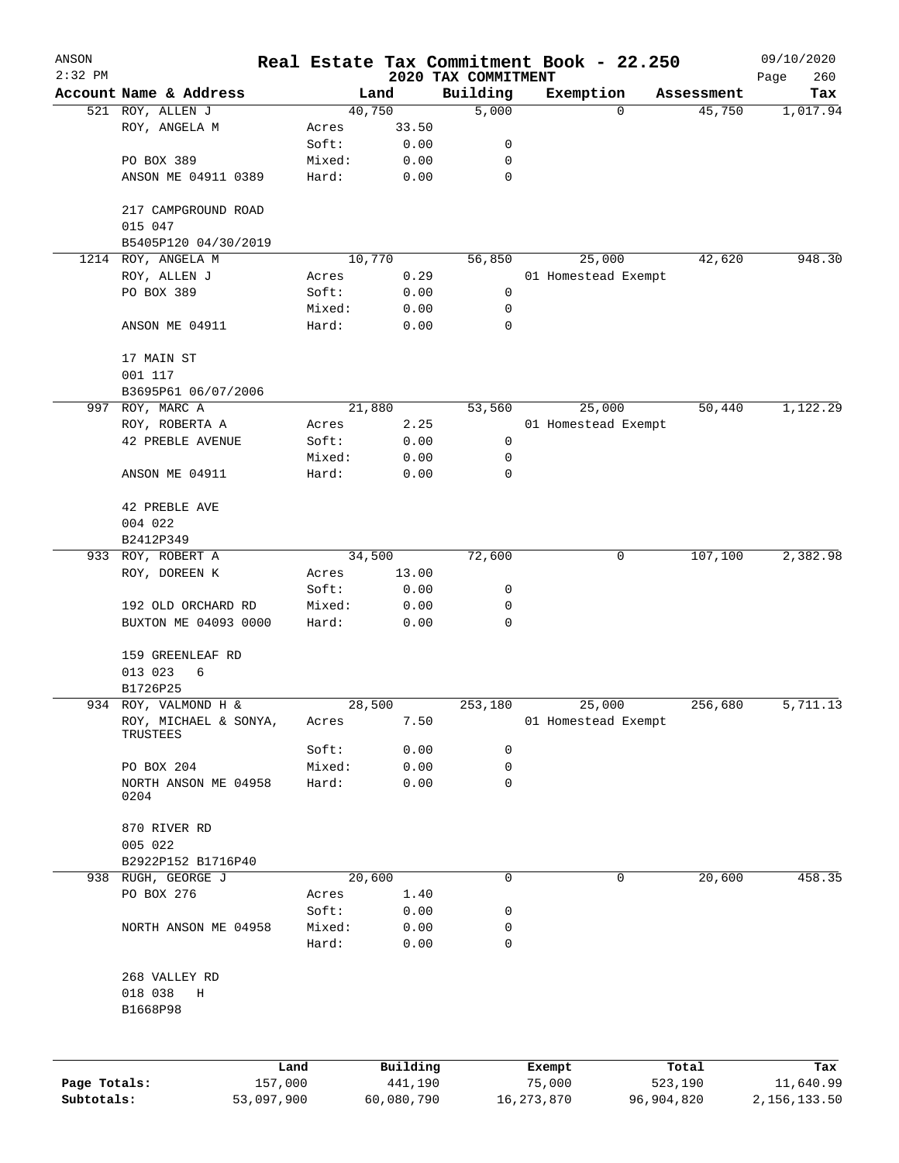| ANSON        |                                                           |            |                 |                |                                 | Real Estate Tax Commitment Book - 22.250 |            | 09/10/2020         |
|--------------|-----------------------------------------------------------|------------|-----------------|----------------|---------------------------------|------------------------------------------|------------|--------------------|
| $2:32$ PM    | Account Name & Address                                    |            |                 | Land           | 2020 TAX COMMITMENT<br>Building | Exemption                                | Assessment | 260<br>Page<br>Tax |
|              | 521 ROY, ALLEN J                                          |            |                 | 40,750         | 5,000                           | 0                                        | 45,750     | 1,017.94           |
|              | ROY, ANGELA M                                             |            | Acres           | 33.50          |                                 |                                          |            |                    |
|              |                                                           |            | Soft:           | 0.00           | 0                               |                                          |            |                    |
|              | PO BOX 389                                                |            | Mixed:          | 0.00           | 0                               |                                          |            |                    |
|              | ANSON ME 04911 0389                                       |            | Hard:           | 0.00           | $\mathbf 0$                     |                                          |            |                    |
|              | 217 CAMPGROUND ROAD<br>015 047                            |            |                 |                |                                 |                                          |            |                    |
|              | B5405P120 04/30/2019                                      |            |                 |                |                                 |                                          |            |                    |
|              | 1214 ROY, ANGELA M                                        |            |                 | 10,770         | 56,850                          | 25,000                                   | 42,620     | 948.30             |
|              | ROY, ALLEN J                                              |            | Acres           | 0.29           |                                 | 01 Homestead Exempt                      |            |                    |
|              | PO BOX 389                                                |            | Soft:           | 0.00           | 0                               |                                          |            |                    |
|              |                                                           |            | Mixed:          | 0.00           | 0                               |                                          |            |                    |
|              | ANSON ME 04911                                            |            | Hard:           | 0.00           | 0                               |                                          |            |                    |
|              | 17 MAIN ST                                                |            |                 |                |                                 |                                          |            |                    |
|              | 001 117                                                   |            |                 |                |                                 |                                          |            |                    |
|              | B3695P61 06/07/2006                                       |            |                 |                |                                 |                                          |            |                    |
|              | 997 ROY, MARC A                                           |            |                 | 21,880         | 53,560                          | 25,000                                   | 50,440     | 1,122.29           |
|              | ROY, ROBERTA A                                            |            | Acres           | 2.25           |                                 | 01 Homestead Exempt                      |            |                    |
|              | <b>42 PREBLE AVENUE</b>                                   |            | Soft:           | 0.00           | 0                               |                                          |            |                    |
|              |                                                           |            | Mixed:          | 0.00           | 0                               |                                          |            |                    |
|              | ANSON ME 04911                                            |            | Hard:           | 0.00           | 0                               |                                          |            |                    |
|              | 42 PREBLE AVE                                             |            |                 |                |                                 |                                          |            |                    |
|              | 004 022                                                   |            |                 |                |                                 |                                          |            |                    |
|              | B2412P349                                                 |            |                 |                |                                 |                                          |            |                    |
|              | 933 ROY, ROBERT A                                         |            |                 | 34,500         | 72,600                          | 0                                        | 107,100    | 2,382.98           |
|              | ROY, DOREEN K                                             |            | Acres           | 13.00          |                                 |                                          |            |                    |
|              |                                                           |            | Soft:           | 0.00           | 0                               |                                          |            |                    |
|              | 192 OLD ORCHARD RD<br>BUXTON ME 04093 0000                |            | Mixed:<br>Hard: | 0.00<br>0.00   | 0<br>0                          |                                          |            |                    |
|              |                                                           |            |                 |                |                                 |                                          |            |                    |
|              | 159 GREENLEAF RD                                          |            |                 |                |                                 |                                          |            |                    |
|              | 013 023<br>6                                              |            |                 |                |                                 |                                          |            |                    |
|              | B1726P25                                                  |            |                 |                |                                 |                                          |            | 5,711.13           |
|              | 934 ROY, VALMOND H &<br>ROY, MICHAEL & SONYA,<br>TRUSTEES |            | Acres           | 28,500<br>7.50 | 253,180                         | 25,000<br>01 Homestead Exempt            | 256,680    |                    |
|              |                                                           |            | Soft:           | 0.00           | 0                               |                                          |            |                    |
|              | PO BOX 204                                                |            | Mixed:          | 0.00           | 0                               |                                          |            |                    |
|              | NORTH ANSON ME 04958<br>0204                              |            | Hard:           | 0.00           | 0                               |                                          |            |                    |
|              |                                                           |            |                 |                |                                 |                                          |            |                    |
|              | 870 RIVER RD                                              |            |                 |                |                                 |                                          |            |                    |
|              | 005 022                                                   |            |                 |                |                                 |                                          |            |                    |
|              | B2922P152 B1716P40                                        |            |                 |                |                                 |                                          |            |                    |
| 938          | RUGH, GEORGE J                                            |            |                 | 20,600         | 0                               | 0                                        | 20,600     | 458.35             |
|              | PO BOX 276                                                |            | Acres           | 1.40           |                                 |                                          |            |                    |
|              |                                                           |            | Soft:           | 0.00           | 0                               |                                          |            |                    |
|              | NORTH ANSON ME 04958                                      |            | Mixed:<br>Hard: | 0.00<br>0.00   | 0<br>0                          |                                          |            |                    |
|              |                                                           |            |                 |                |                                 |                                          |            |                    |
|              | 268 VALLEY RD<br>018 038<br>Η                             |            |                 |                |                                 |                                          |            |                    |
|              | B1668P98                                                  |            |                 |                |                                 |                                          |            |                    |
|              |                                                           |            |                 |                |                                 |                                          |            |                    |
|              |                                                           | Land       |                 | Building       |                                 | Exempt                                   | Total      | Tax                |
| Page Totals: |                                                           | 157,000    |                 | 441,190        |                                 | 75,000                                   | 523,190    | 11,640.99          |
| Subtotals:   |                                                           | 53,097,900 |                 | 60,080,790     |                                 | 16, 273, 870                             | 96,904,820 | 2,156,133.50       |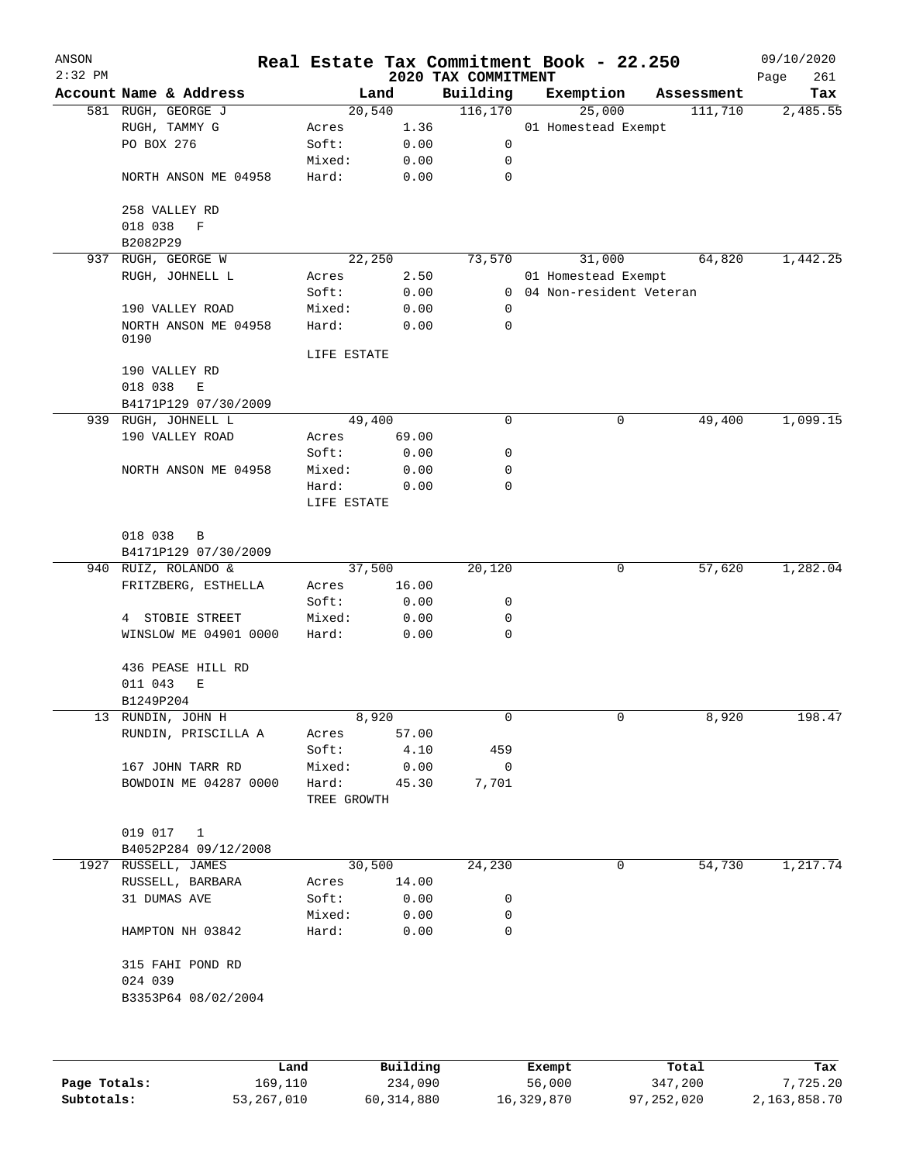| ANSON        |                              |             |          |                                 | Real Estate Tax Commitment Book - 22.250 |            | 09/10/2020         |
|--------------|------------------------------|-------------|----------|---------------------------------|------------------------------------------|------------|--------------------|
| $2:32$ PM    | Account Name & Address       |             | Land     | 2020 TAX COMMITMENT<br>Building | Exemption                                | Assessment | Page<br>261<br>Tax |
|              | 581 RUGH, GEORGE J           |             | 20,540   | 116,170                         | 25,000                                   | 111,710    | 2,485.55           |
|              | RUGH, TAMMY G                | Acres       | 1.36     |                                 | 01 Homestead Exempt                      |            |                    |
|              | PO BOX 276                   | Soft:       | 0.00     | 0                               |                                          |            |                    |
|              |                              | Mixed:      | 0.00     | 0                               |                                          |            |                    |
|              | NORTH ANSON ME 04958         | Hard:       | 0.00     | 0                               |                                          |            |                    |
|              | 258 VALLEY RD                |             |          |                                 |                                          |            |                    |
|              | 018 038<br>$\mathbf F$       |             |          |                                 |                                          |            |                    |
|              | B2082P29                     |             |          |                                 |                                          |            |                    |
| 937          | RUGH, GEORGE W               |             | 22,250   | 73,570                          | 31,000                                   | 64,820     | 1,442.25           |
|              | RUGH, JOHNELL L              | Acres       | 2.50     |                                 | 01 Homestead Exempt                      |            |                    |
|              |                              | Soft:       | 0.00     |                                 | 0 04 Non-resident Veteran                |            |                    |
|              | 190 VALLEY ROAD              | Mixed:      | 0.00     | 0                               |                                          |            |                    |
|              | NORTH ANSON ME 04958<br>0190 | Hard:       | 0.00     | 0                               |                                          |            |                    |
|              |                              | LIFE ESTATE |          |                                 |                                          |            |                    |
|              | 190 VALLEY RD                |             |          |                                 |                                          |            |                    |
|              | 018 038<br>$\mathbf E$       |             |          |                                 |                                          |            |                    |
|              | B4171P129 07/30/2009         |             |          |                                 |                                          |            |                    |
|              | 939 RUGH, JOHNELL L          |             | 49,400   | $\mathbf 0$                     | 0                                        | 49,400     | 1,099.15           |
|              | 190 VALLEY ROAD              | Acres       | 69.00    |                                 |                                          |            |                    |
|              |                              | Soft:       | 0.00     | 0                               |                                          |            |                    |
|              | NORTH ANSON ME 04958         | Mixed:      | 0.00     | 0                               |                                          |            |                    |
|              |                              | Hard:       | 0.00     | 0                               |                                          |            |                    |
|              |                              | LIFE ESTATE |          |                                 |                                          |            |                    |
|              | 018 038<br>B                 |             |          |                                 |                                          |            |                    |
|              | B4171P129 07/30/2009         |             |          |                                 |                                          |            |                    |
|              | 940 RUIZ, ROLANDO &          |             | 37,500   | 20,120                          | 0                                        | 57,620     | 1,282.04           |
|              | FRITZBERG, ESTHELLA          | Acres       | 16.00    |                                 |                                          |            |                    |
|              |                              | Soft:       | 0.00     | 0                               |                                          |            |                    |
|              | 4 STOBIE STREET              | Mixed:      | 0.00     | 0                               |                                          |            |                    |
|              | WINSLOW ME 04901 0000        | Hard:       | 0.00     | 0                               |                                          |            |                    |
|              | 436 PEASE HILL RD            |             |          |                                 |                                          |            |                    |
|              | 011 043<br>Е                 |             |          |                                 |                                          |            |                    |
|              | B1249P204                    |             |          |                                 |                                          |            |                    |
|              | 13 RUNDIN, JOHN H            |             | 8,920    | 0                               | 0                                        | 8,920      | 198.47             |
|              | RUNDIN, PRISCILLA A          | Acres       | 57.00    |                                 |                                          |            |                    |
|              |                              | Soft:       | 4.10     | 459                             |                                          |            |                    |
|              | 167 JOHN TARR RD             | Mixed:      | 0.00     | 0                               |                                          |            |                    |
|              | BOWDOIN ME 04287 0000        | Hard:       | 45.30    | 7,701                           |                                          |            |                    |
|              |                              | TREE GROWTH |          |                                 |                                          |            |                    |
|              | 019 017<br>1                 |             |          |                                 |                                          |            |                    |
|              | B4052P284 09/12/2008         |             |          |                                 |                                          |            |                    |
|              | 1927 RUSSELL, JAMES          |             | 30,500   | 24,230                          | 0                                        | 54,730     | 1,217.74           |
|              | RUSSELL, BARBARA             | Acres       | 14.00    |                                 |                                          |            |                    |
|              | 31 DUMAS AVE                 | Soft:       | 0.00     | 0                               |                                          |            |                    |
|              |                              | Mixed:      | 0.00     | 0                               |                                          |            |                    |
|              | HAMPTON NH 03842             | Hard:       | 0.00     | $\mathbf 0$                     |                                          |            |                    |
|              | 315 FAHI POND RD             |             |          |                                 |                                          |            |                    |
|              | 024 039                      |             |          |                                 |                                          |            |                    |
|              | B3353P64 08/02/2004          |             |          |                                 |                                          |            |                    |
|              |                              |             |          |                                 |                                          |            |                    |
|              | Land                         |             | Building |                                 |                                          | Total      | Tax                |
| Page Totals: | 169,110                      |             | 234,090  |                                 | Exempt<br>56,000                         | 347,200    | 7,725.20           |

**Subtotals:** 53,267,010 60,314,880 16,329,870 97,252,020 2,163,858.70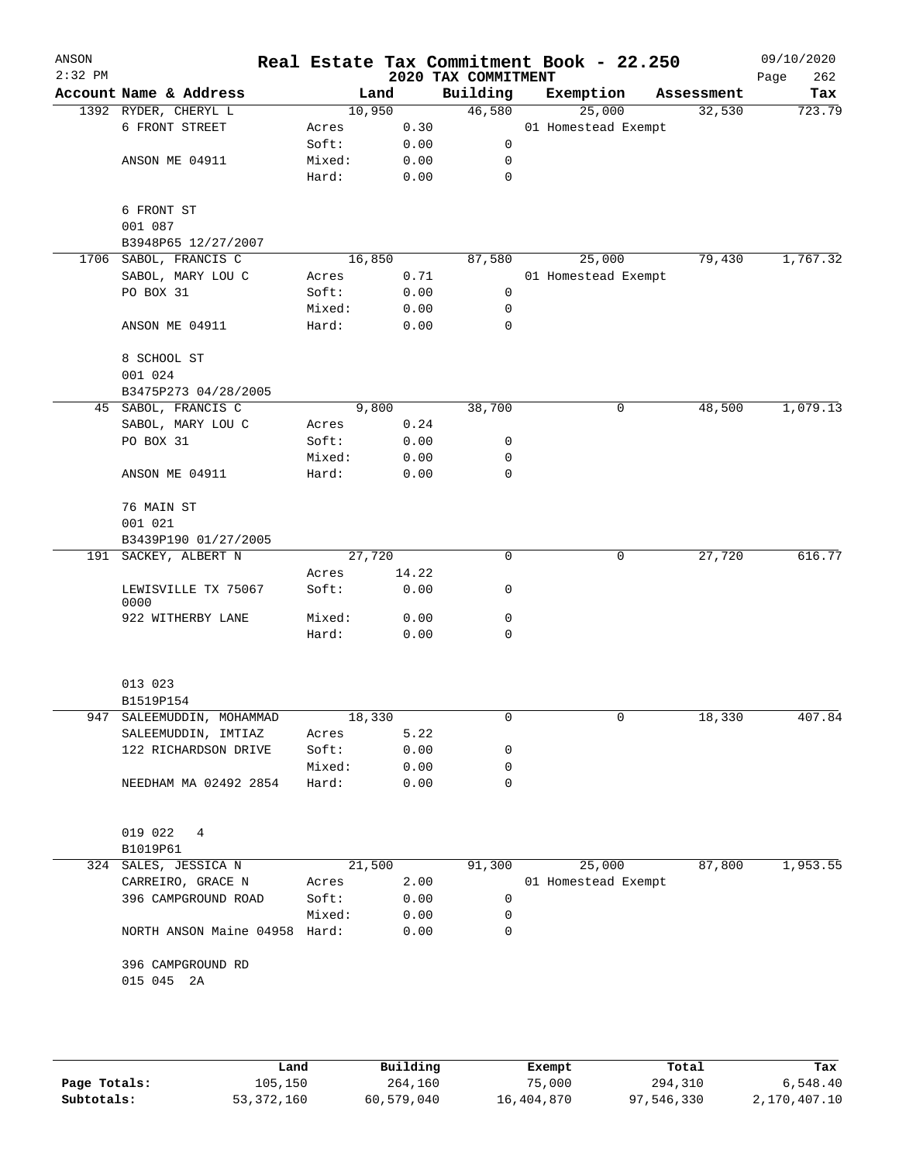| ANSON<br>$2:32$ PM |                                |        |       | 2020 TAX COMMITMENT | Real Estate Tax Commitment Book - 22.250 |             | 09/10/2020<br>262<br>Page |
|--------------------|--------------------------------|--------|-------|---------------------|------------------------------------------|-------------|---------------------------|
|                    | Account Name & Address         |        | Land  | Building            | Exemption                                | Assessment  | Tax                       |
|                    | 1392 RYDER, CHERYL L           | 10,950 |       | 46,580              | 25,000                                   | 32,530      | 723.79                    |
|                    | 6 FRONT STREET                 | Acres  | 0.30  |                     | 01 Homestead Exempt                      |             |                           |
|                    |                                | Soft:  | 0.00  | 0                   |                                          |             |                           |
|                    | ANSON ME 04911                 | Mixed: | 0.00  | 0                   |                                          |             |                           |
|                    |                                | Hard:  | 0.00  | 0                   |                                          |             |                           |
|                    | 6 FRONT ST                     |        |       |                     |                                          |             |                           |
|                    | 001 087<br>B3948P65 12/27/2007 |        |       |                     |                                          |             |                           |
| 1706               | SABOL, FRANCIS C               | 16,850 |       | 87,580              | 25,000                                   | 79,430      | 1,767.32                  |
|                    | SABOL, MARY LOU C              | Acres  | 0.71  |                     | 01 Homestead Exempt                      |             |                           |
|                    | PO BOX 31                      | Soft:  | 0.00  | 0                   |                                          |             |                           |
|                    |                                | Mixed: | 0.00  | $\mathbf 0$         |                                          |             |                           |
|                    | ANSON ME 04911                 | Hard:  | 0.00  | 0                   |                                          |             |                           |
|                    | 8 SCHOOL ST<br>001 024         |        |       |                     |                                          |             |                           |
|                    | B3475P273 04/28/2005           |        |       |                     |                                          |             |                           |
|                    | 45 SABOL, FRANCIS C            |        | 9,800 | 38,700              |                                          | 0<br>48,500 | 1,079.13                  |
|                    | SABOL, MARY LOU C              | Acres  | 0.24  |                     |                                          |             |                           |
|                    | PO BOX 31                      | Soft:  | 0.00  | 0                   |                                          |             |                           |
|                    |                                | Mixed: | 0.00  | 0                   |                                          |             |                           |
|                    | ANSON ME 04911                 | Hard:  | 0.00  | 0                   |                                          |             |                           |
|                    | 76 MAIN ST                     |        |       |                     |                                          |             |                           |
|                    | 001 021                        |        |       |                     |                                          |             |                           |
|                    | B3439P190 01/27/2005           |        |       |                     |                                          |             |                           |
|                    | 191 SACKEY, ALBERT N           | 27,720 |       | $\mathbf 0$         |                                          | 0<br>27,720 | 616.77                    |
|                    |                                | Acres  | 14.22 |                     |                                          |             |                           |
|                    | LEWISVILLE TX 75067<br>0000    | Soft:  | 0.00  | 0                   |                                          |             |                           |
|                    | 922 WITHERBY LANE              | Mixed: | 0.00  | 0                   |                                          |             |                           |
|                    |                                | Hard:  | 0.00  | 0                   |                                          |             |                           |
|                    | 013 023                        |        |       |                     |                                          |             |                           |
|                    | B1519P154                      |        |       |                     |                                          |             |                           |
| 947                | SALEEMUDDIN, MOHAMMAD          | 18,330 |       | 0                   |                                          | 0<br>18,330 | 407.84                    |
|                    | SALEEMUDDIN, IMTIAZ            | Acres  | 5.22  |                     |                                          |             |                           |
|                    | 122 RICHARDSON DRIVE           | Soft:  | 0.00  | 0                   |                                          |             |                           |
|                    |                                | Mixed: | 0.00  | 0                   |                                          |             |                           |
|                    | NEEDHAM MA 02492 2854          | Hard:  | 0.00  | 0                   |                                          |             |                           |
|                    |                                |        |       |                     |                                          |             |                           |
|                    | 019 022<br>4<br>B1019P61       |        |       |                     |                                          |             |                           |
|                    | 324 SALES, JESSICA N           | 21,500 |       | 91,300              | 25,000                                   | 87,800      | 1,953.55                  |
|                    | CARREIRO, GRACE N              | Acres  | 2.00  |                     | 01 Homestead Exempt                      |             |                           |
|                    | 396 CAMPGROUND ROAD            | Soft:  | 0.00  | 0                   |                                          |             |                           |
|                    |                                | Mixed: | 0.00  | 0                   |                                          |             |                           |
|                    | NORTH ANSON Maine 04958 Hard:  |        | 0.00  | 0                   |                                          |             |                           |
|                    | 396 CAMPGROUND RD              |        |       |                     |                                          |             |                           |
|                    | 015 045 2A                     |        |       |                     |                                          |             |                           |
|                    |                                |        |       |                     |                                          |             |                           |
|                    |                                |        |       |                     |                                          |             |                           |
|                    |                                |        |       |                     |                                          |             |                           |

|              | Land       | Building   | Exempt     | Total      | Tax          |
|--------------|------------|------------|------------|------------|--------------|
| Page Totals: | 105,150    | 264,160    | 75,000     | 294,310    | 6,548.40     |
| Subtotals:   | 53,372,160 | 60,579,040 | 16,404,870 | 97,546,330 | 2,170,407.10 |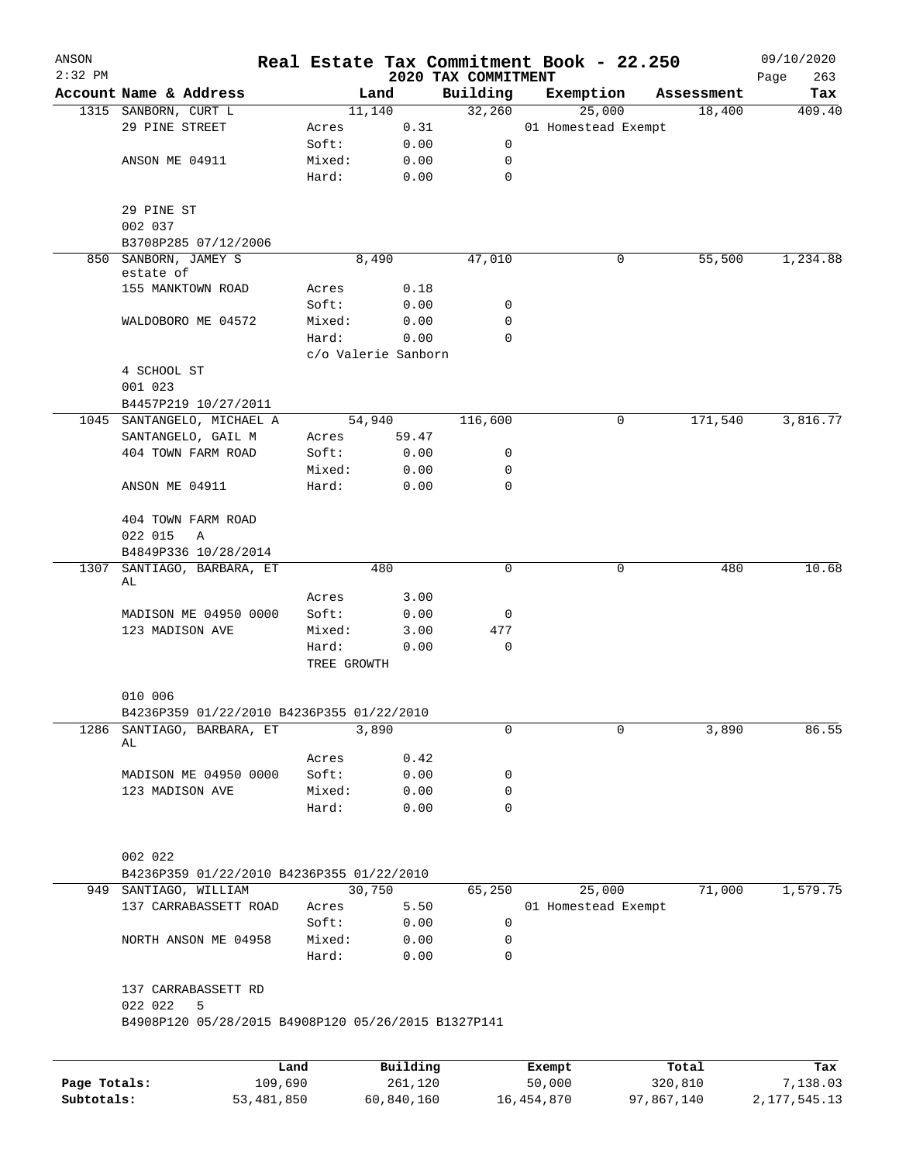| ANSON                      |                                                     |            |                      | Real Estate Tax Commitment Book - 22.250 |                     |            |                     |                      | 09/10/2020      |
|----------------------------|-----------------------------------------------------|------------|----------------------|------------------------------------------|---------------------|------------|---------------------|----------------------|-----------------|
| $2:32$ PM                  |                                                     |            |                      |                                          | 2020 TAX COMMITMENT |            |                     |                      | Page<br>263     |
|                            | Account Name & Address                              |            |                      | Land<br>11,140                           | Building<br>32,260  | Exemption  | 25,000              | Assessment<br>18,400 | Tax<br>409.40   |
|                            | 1315 SANBORN, CURT L<br>29 PINE STREET              |            | Acres                | 0.31                                     |                     |            | 01 Homestead Exempt |                      |                 |
|                            |                                                     |            | Soft:                | 0.00                                     | 0                   |            |                     |                      |                 |
|                            | ANSON ME 04911                                      |            | Mixed:               | 0.00                                     | 0                   |            |                     |                      |                 |
|                            |                                                     |            | Hard:                | 0.00                                     | 0                   |            |                     |                      |                 |
|                            |                                                     |            |                      |                                          |                     |            |                     |                      |                 |
|                            | 29 PINE ST                                          |            |                      |                                          |                     |            |                     |                      |                 |
|                            | 002 037                                             |            |                      |                                          |                     |            |                     |                      |                 |
|                            | B3708P285 07/12/2006                                |            |                      |                                          |                     |            |                     |                      |                 |
| 850                        | SANBORN, JAMEY S                                    |            |                      | 8,490                                    | 47,010              |            | 0                   | 55,500               | 1,234.88        |
|                            | estate of                                           |            |                      |                                          |                     |            |                     |                      |                 |
|                            | 155 MANKTOWN ROAD                                   |            | Acres                | 0.18                                     |                     |            |                     |                      |                 |
|                            |                                                     |            | Soft:                | 0.00                                     | 0                   |            |                     |                      |                 |
|                            | WALDOBORO ME 04572                                  |            | Mixed:               | 0.00                                     | 0                   |            |                     |                      |                 |
|                            |                                                     |            | Hard:                | 0.00                                     | 0                   |            |                     |                      |                 |
|                            |                                                     |            |                      | c/o Valerie Sanborn                      |                     |            |                     |                      |                 |
|                            | 4 SCHOOL ST                                         |            |                      |                                          |                     |            |                     |                      |                 |
|                            | 001 023                                             |            |                      |                                          |                     |            |                     |                      |                 |
|                            | B4457P219 10/27/2011                                |            |                      |                                          |                     |            |                     |                      |                 |
|                            | 1045 SANTANGELO, MICHAEL A                          |            |                      | 54,940                                   | 116,600             |            | 0                   | 171,540              | 3,816.77        |
|                            | SANTANGELO, GAIL M                                  |            | Acres                | 59.47                                    |                     |            |                     |                      |                 |
|                            | 404 TOWN FARM ROAD                                  |            | Soft:                | 0.00                                     | 0                   |            |                     |                      |                 |
|                            |                                                     |            | Mixed:               | 0.00                                     | 0                   |            |                     |                      |                 |
|                            | ANSON ME 04911                                      |            | Hard:                | 0.00                                     | 0                   |            |                     |                      |                 |
|                            |                                                     |            |                      |                                          |                     |            |                     |                      |                 |
|                            | 404 TOWN FARM ROAD                                  |            |                      |                                          |                     |            |                     |                      |                 |
|                            | 022 015<br>Α                                        |            |                      |                                          |                     |            |                     |                      |                 |
|                            | B4849P336 10/28/2014                                |            |                      |                                          |                     |            |                     |                      |                 |
| 1307                       | SANTIAGO, BARBARA, ET                               |            |                      | 480                                      | 0                   |            | $\mathbf 0$         | 480                  | 10.68           |
|                            | AL                                                  |            |                      |                                          |                     |            |                     |                      |                 |
|                            |                                                     |            | Acres                | 3.00                                     |                     |            |                     |                      |                 |
|                            | MADISON ME 04950 0000                               |            | Soft:                | 0.00                                     | 0                   |            |                     |                      |                 |
|                            | 123 MADISON AVE                                     |            | Mixed:               | 3.00                                     | 477                 |            |                     |                      |                 |
|                            |                                                     |            | Hard:<br>TREE GROWTH | 0.00                                     | 0                   |            |                     |                      |                 |
|                            | 010 006                                             |            |                      |                                          |                     |            |                     |                      |                 |
|                            | B4236P359 01/22/2010 B4236P355 01/22/2010           |            |                      |                                          |                     |            |                     |                      |                 |
| 1286                       | SANTIAGO, BARBARA, ET                               |            |                      | 3,890                                    | 0                   |            | 0                   | 3,890                | 86.55           |
|                            | AL                                                  |            |                      |                                          |                     |            |                     |                      |                 |
|                            |                                                     |            | Acres                | 0.42                                     |                     |            |                     |                      |                 |
|                            | MADISON ME 04950 0000                               |            | Soft:                | 0.00                                     | 0                   |            |                     |                      |                 |
|                            | 123 MADISON AVE                                     |            | Mixed:               | 0.00                                     | 0                   |            |                     |                      |                 |
|                            |                                                     |            | Hard:                | 0.00                                     | 0                   |            |                     |                      |                 |
|                            |                                                     |            |                      |                                          |                     |            |                     |                      |                 |
|                            |                                                     |            |                      |                                          |                     |            |                     |                      |                 |
|                            | 002 022                                             |            |                      |                                          |                     |            |                     |                      |                 |
|                            | B4236P359 01/22/2010 B4236P355 01/22/2010           |            |                      |                                          |                     |            |                     |                      |                 |
|                            | 949 SANTIAGO, WILLIAM                               |            |                      | 30,750                                   | 65,250              |            | 25,000              | 71,000               | 1,579.75        |
|                            | 137 CARRABASSETT ROAD                               |            | Acres                | 5.50                                     |                     |            | 01 Homestead Exempt |                      |                 |
|                            |                                                     |            | Soft:                | 0.00                                     | 0                   |            |                     |                      |                 |
|                            | NORTH ANSON ME 04958                                |            | Mixed:               | 0.00                                     | 0                   |            |                     |                      |                 |
|                            |                                                     |            | Hard:                | 0.00                                     | $\Omega$            |            |                     |                      |                 |
|                            |                                                     |            |                      |                                          |                     |            |                     |                      |                 |
|                            | 137 CARRABASSETT RD                                 |            |                      |                                          |                     |            |                     |                      |                 |
|                            | 022 022<br>5                                        |            |                      |                                          |                     |            |                     |                      |                 |
|                            | B4908P120 05/28/2015 B4908P120 05/26/2015 B1327P141 |            |                      |                                          |                     |            |                     |                      |                 |
|                            |                                                     |            |                      |                                          |                     |            |                     |                      |                 |
|                            |                                                     | Land       |                      | Building                                 |                     | Exempt     |                     | Total                | Tax             |
| Page Totals:<br>Subtotals: |                                                     | 109,690    |                      | 261,120                                  |                     | 50,000     |                     | 320,810              | 7,138.03        |
|                            |                                                     | 53,481,850 |                      | 60,840,160                               |                     | 16,454,870 | 97,867,140          |                      | 2, 177, 545. 13 |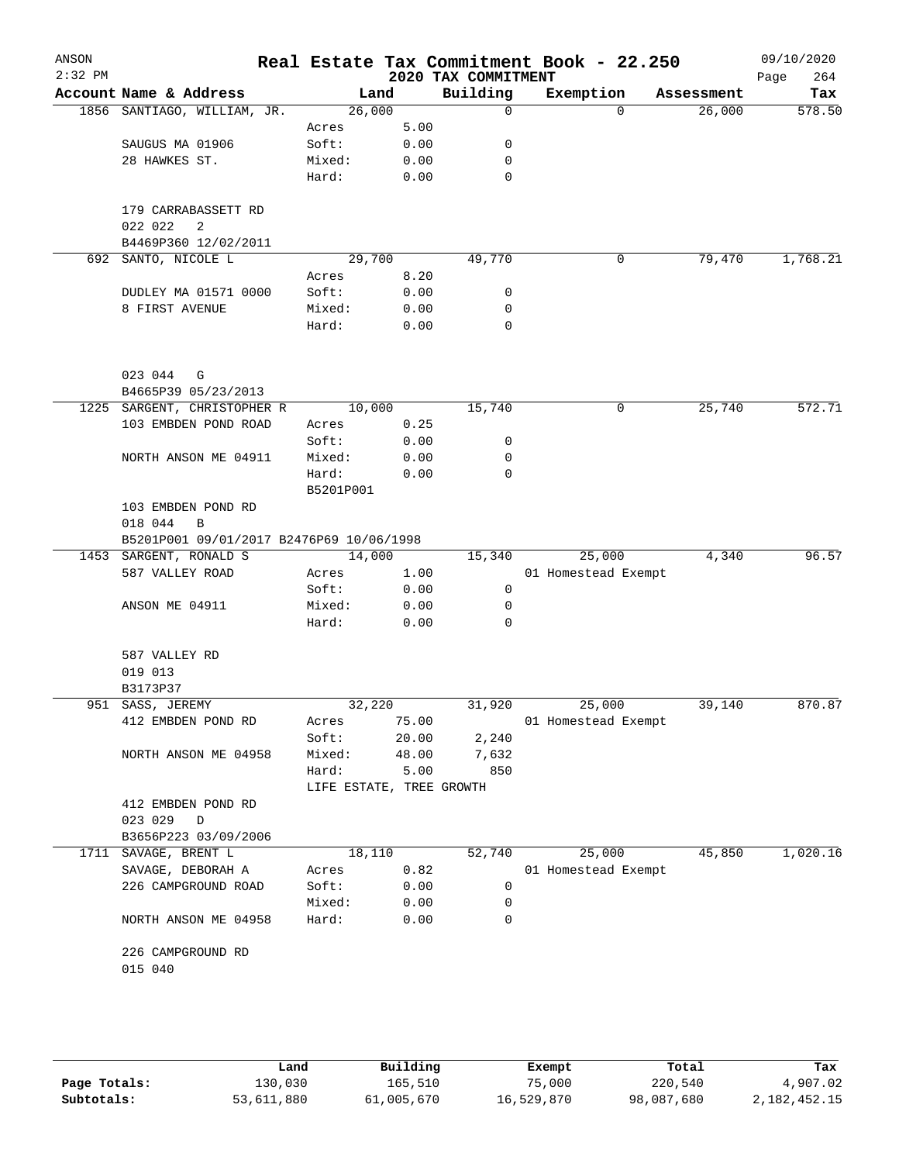| ANSON<br>$2:32$ PM |                                          |                          |       | 2020 TAX COMMITMENT | Real Estate Tax Commitment Book - 22.250 |          |            | 09/10/2020<br>264<br>Page |
|--------------------|------------------------------------------|--------------------------|-------|---------------------|------------------------------------------|----------|------------|---------------------------|
|                    | Account Name & Address                   | Land                     |       | Building            | Exemption                                |          | Assessment | Tax                       |
|                    | 1856 SANTIAGO, WILLIAM, JR.              | 26,000                   |       | $\mathbf 0$         |                                          | $\Omega$ | 26,000     | 578.50                    |
|                    |                                          | Acres                    | 5.00  |                     |                                          |          |            |                           |
|                    | SAUGUS MA 01906                          | Soft:                    | 0.00  | 0                   |                                          |          |            |                           |
|                    | 28 HAWKES ST.                            | Mixed:                   | 0.00  | 0                   |                                          |          |            |                           |
|                    |                                          | Hard:                    | 0.00  | 0                   |                                          |          |            |                           |
|                    | 179 CARRABASSETT RD                      |                          |       |                     |                                          |          |            |                           |
|                    | 022 022<br>2                             |                          |       |                     |                                          |          |            |                           |
|                    | B4469P360 12/02/2011                     |                          |       |                     |                                          |          |            |                           |
|                    | 692 SANTO, NICOLE L                      | 29,700                   |       | 49,770              |                                          | 0        | 79,470     | 1,768.21                  |
|                    |                                          | Acres                    | 8.20  |                     |                                          |          |            |                           |
|                    | DUDLEY MA 01571 0000                     | Soft:                    | 0.00  | 0                   |                                          |          |            |                           |
|                    | 8 FIRST AVENUE                           | Mixed:                   | 0.00  | 0                   |                                          |          |            |                           |
|                    |                                          | Hard:                    | 0.00  | 0                   |                                          |          |            |                           |
|                    | 023 044                                  |                          |       |                     |                                          |          |            |                           |
|                    | G<br>B4665P39 05/23/2013                 |                          |       |                     |                                          |          |            |                           |
|                    | 1225 SARGENT, CHRISTOPHER R              | 10,000                   |       | 15,740              |                                          | 0        | 25,740     | 572.71                    |
|                    | 103 EMBDEN POND ROAD                     | Acres                    | 0.25  |                     |                                          |          |            |                           |
|                    |                                          | Soft:                    | 0.00  | 0                   |                                          |          |            |                           |
|                    | NORTH ANSON ME 04911                     | Mixed:                   | 0.00  | 0                   |                                          |          |            |                           |
|                    |                                          | Hard:                    | 0.00  | $\Omega$            |                                          |          |            |                           |
|                    |                                          | B5201P001                |       |                     |                                          |          |            |                           |
|                    | 103 EMBDEN POND RD                       |                          |       |                     |                                          |          |            |                           |
|                    | 018 044<br>B                             |                          |       |                     |                                          |          |            |                           |
|                    | B5201P001 09/01/2017 B2476P69 10/06/1998 |                          |       |                     |                                          |          |            |                           |
|                    | 1453 SARGENT, RONALD S                   | 14,000                   |       | 15,340              | 25,000                                   |          | 4,340      | 96.57                     |
|                    | 587 VALLEY ROAD                          | Acres                    | 1.00  |                     | 01 Homestead Exempt                      |          |            |                           |
|                    |                                          | Soft:                    | 0.00  | 0                   |                                          |          |            |                           |
|                    | ANSON ME 04911                           | Mixed:                   | 0.00  | 0                   |                                          |          |            |                           |
|                    |                                          | Hard:                    | 0.00  | 0                   |                                          |          |            |                           |
|                    | 587 VALLEY RD                            |                          |       |                     |                                          |          |            |                           |
|                    | 019 013                                  |                          |       |                     |                                          |          |            |                           |
|                    | B3173P37                                 |                          |       |                     |                                          |          |            |                           |
|                    | 951 SASS, JEREMY                         | 32,220                   |       | 31,920              | 25,000                                   |          | 39,140     | 870.87                    |
|                    | 412 EMBDEN POND RD                       | Acres                    | 75.00 |                     | 01 Homestead Exempt                      |          |            |                           |
|                    |                                          | Soft:                    | 20.00 | 2,240               |                                          |          |            |                           |
|                    | NORTH ANSON ME 04958                     | Mixed:                   | 48.00 | 7,632               |                                          |          |            |                           |
|                    |                                          | Hard:                    | 5.00  | 850                 |                                          |          |            |                           |
|                    |                                          | LIFE ESTATE, TREE GROWTH |       |                     |                                          |          |            |                           |
|                    | 412 EMBDEN POND RD                       |                          |       |                     |                                          |          |            |                           |
|                    | 023 029<br>$\mathbb D$                   |                          |       |                     |                                          |          |            |                           |
|                    | B3656P223 03/09/2006                     |                          |       |                     |                                          |          |            |                           |
|                    | 1711 SAVAGE, BRENT L                     | 18,110                   |       | 52,740              | 25,000                                   |          | 45,850     | 1,020.16                  |
|                    | SAVAGE, DEBORAH A                        | Acres                    | 0.82  |                     | 01 Homestead Exempt                      |          |            |                           |
|                    | 226 CAMPGROUND ROAD                      | Soft:                    | 0.00  | 0                   |                                          |          |            |                           |
|                    |                                          | Mixed:                   | 0.00  | 0                   |                                          |          |            |                           |
|                    | NORTH ANSON ME 04958                     | Hard:                    | 0.00  | 0                   |                                          |          |            |                           |
|                    | 226 CAMPGROUND RD                        |                          |       |                     |                                          |          |            |                           |
|                    | 015 040                                  |                          |       |                     |                                          |          |            |                           |
|                    |                                          |                          |       |                     |                                          |          |            |                           |
|                    |                                          |                          |       |                     |                                          |          |            |                           |

|              | Land       | Building   | Exempt     | Total      | Tax          |
|--------------|------------|------------|------------|------------|--------------|
| Page Totals: | 130,030    | 165,510    | 75,000     | 220,540    | 4,907.02     |
| Subtotals:   | 53,611,880 | 61,005,670 | 16,529,870 | 98,087,680 | 2,182,452.15 |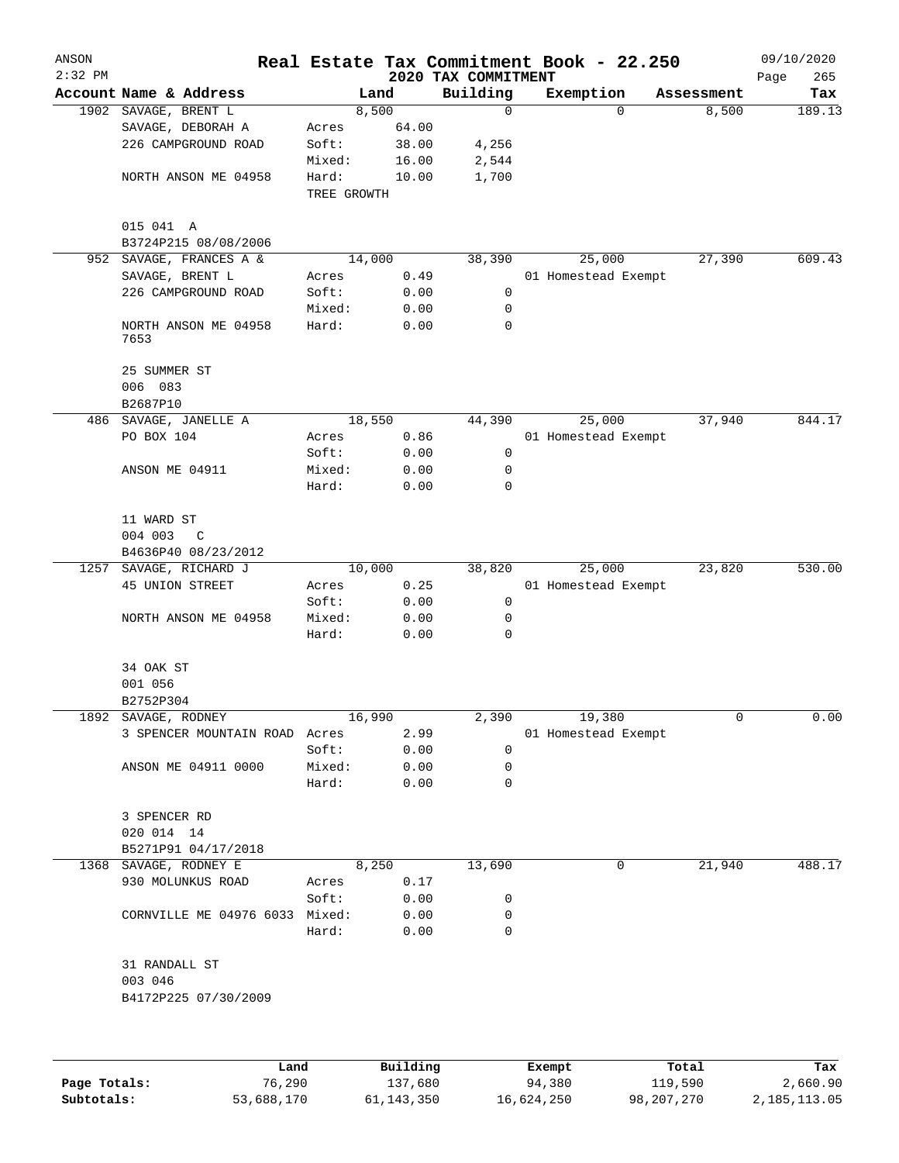| ANSON<br>$2:32$ PM |                               |             |          |                                 | Real Estate Tax Commitment Book - 22.250 |            | 09/10/2020         |
|--------------------|-------------------------------|-------------|----------|---------------------------------|------------------------------------------|------------|--------------------|
|                    | Account Name & Address        |             | Land     | 2020 TAX COMMITMENT<br>Building | Exemption                                | Assessment | 265<br>Page<br>Tax |
|                    | 1902 SAVAGE, BRENT L          |             | 8,500    | $\mathbf 0$                     | $\Omega$                                 | 8,500      | 189.13             |
|                    | SAVAGE, DEBORAH A             | Acres       | 64.00    |                                 |                                          |            |                    |
|                    | 226 CAMPGROUND ROAD           | Soft:       | 38.00    | 4,256                           |                                          |            |                    |
|                    |                               | Mixed:      | 16.00    | 2,544                           |                                          |            |                    |
|                    | NORTH ANSON ME 04958          | Hard:       | 10.00    | 1,700                           |                                          |            |                    |
|                    |                               | TREE GROWTH |          |                                 |                                          |            |                    |
|                    | 015 041 A                     |             |          |                                 |                                          |            |                    |
|                    | B3724P215 08/08/2006          |             |          |                                 |                                          |            |                    |
| 952                | SAVAGE, FRANCES A &           | 14,000      |          | 38,390                          | 25,000                                   | 27,390     | 609.43             |
|                    | SAVAGE, BRENT L               | Acres       | 0.49     |                                 | 01 Homestead Exempt                      |            |                    |
|                    | 226 CAMPGROUND ROAD           | Soft:       | 0.00     | 0                               |                                          |            |                    |
|                    |                               | Mixed:      | 0.00     | 0                               |                                          |            |                    |
|                    | NORTH ANSON ME 04958<br>7653  | Hard:       | 0.00     | 0                               |                                          |            |                    |
|                    | 25 SUMMER ST                  |             |          |                                 |                                          |            |                    |
|                    | 006 083                       |             |          |                                 |                                          |            |                    |
|                    | B2687P10                      |             |          |                                 |                                          |            |                    |
| 486                | SAVAGE, JANELLE A             | 18,550      |          | 44,390                          | 25,000                                   | 37,940     | 844.17             |
|                    | PO BOX 104                    | Acres       | 0.86     |                                 | 01 Homestead Exempt                      |            |                    |
|                    |                               | Soft:       | 0.00     | 0                               |                                          |            |                    |
|                    | ANSON ME 04911                | Mixed:      | 0.00     | 0                               |                                          |            |                    |
|                    |                               | Hard:       | 0.00     | 0                               |                                          |            |                    |
|                    | 11 WARD ST                    |             |          |                                 |                                          |            |                    |
|                    | 004 003<br>C                  |             |          |                                 |                                          |            |                    |
|                    | B4636P40 08/23/2012           |             |          |                                 |                                          |            |                    |
| 1257               | SAVAGE, RICHARD J             | 10,000      |          | 38,820                          | 25,000                                   | 23,820     | 530.00             |
|                    | 45 UNION STREET               | Acres       | 0.25     |                                 | 01 Homestead Exempt                      |            |                    |
|                    |                               | Soft:       | 0.00     | 0                               |                                          |            |                    |
|                    | NORTH ANSON ME 04958          | Mixed:      | 0.00     | 0                               |                                          |            |                    |
|                    |                               | Hard:       | 0.00     | 0                               |                                          |            |                    |
|                    | 34 OAK ST                     |             |          |                                 |                                          |            |                    |
|                    | 001 056                       |             |          |                                 |                                          |            |                    |
|                    | B2752P304                     |             |          |                                 |                                          |            |                    |
| 1892               | SAVAGE, RODNEY                | 16,990      |          | 2,390                           | 19,380                                   | 0          | 0.00               |
|                    | 3 SPENCER MOUNTAIN ROAD Acres |             | 2.99     |                                 | 01 Homestead Exempt                      |            |                    |
|                    |                               | Soft:       | 0.00     | 0                               |                                          |            |                    |
|                    | ANSON ME 04911 0000           | Mixed:      | 0.00     | 0                               |                                          |            |                    |
|                    |                               | Hard:       | 0.00     | 0                               |                                          |            |                    |
|                    | 3 SPENCER RD                  |             |          |                                 |                                          |            |                    |
|                    | 020 014 14                    |             |          |                                 |                                          |            |                    |
|                    | B5271P91 04/17/2018           |             |          |                                 |                                          |            |                    |
|                    | 1368 SAVAGE, RODNEY E         |             | 8,250    | 13,690                          | 0                                        | 21,940     | 488.17             |
|                    | 930 MOLUNKUS ROAD             | Acres       | 0.17     |                                 |                                          |            |                    |
|                    |                               | Soft:       | 0.00     | 0                               |                                          |            |                    |
|                    | CORNVILLE ME 04976 6033       | Mixed:      | 0.00     | 0                               |                                          |            |                    |
|                    |                               | Hard:       | 0.00     | $\mathbf 0$                     |                                          |            |                    |
|                    | 31 RANDALL ST                 |             |          |                                 |                                          |            |                    |
|                    | 003 046                       |             |          |                                 |                                          |            |                    |
|                    | B4172P225 07/30/2009          |             |          |                                 |                                          |            |                    |
|                    |                               |             |          |                                 |                                          |            |                    |
|                    | Land                          |             | Building |                                 | Exempt                                   | Total      | Tax                |

|              | Land       | Building   | Exempt     | Total      | тах          |
|--------------|------------|------------|------------|------------|--------------|
| Page Totals: | 76,290     | 137,680    | 94,380     | 119,590    | 2,660.90     |
| Subtotals:   | 53,688,170 | 61,143,350 | 16,624,250 | 98,207,270 | 2,185,113.05 |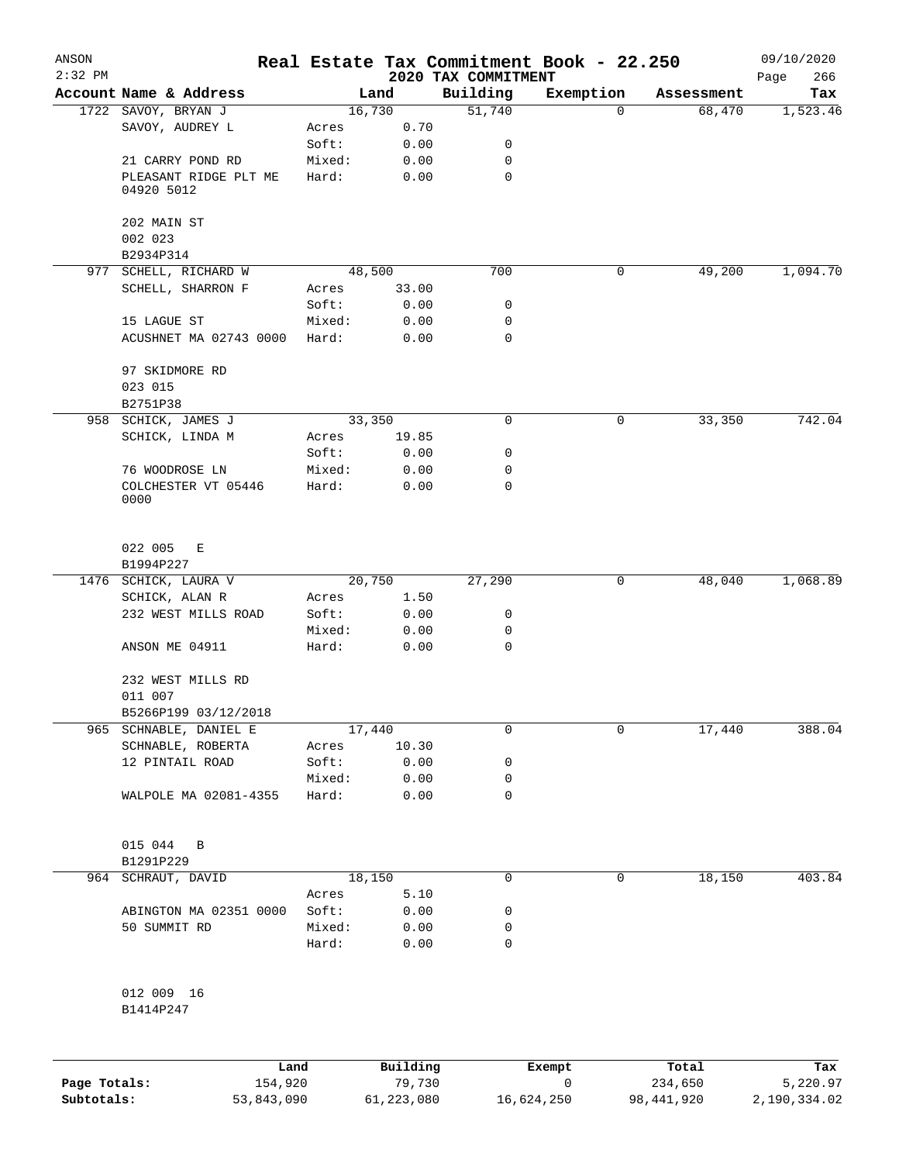| ANSON<br>$2:32$ PM |                                     |                 |              | 2020 TAX COMMITMENT | Real Estate Tax Commitment Book - 22.250 |            | 09/10/2020<br>266<br>Page |
|--------------------|-------------------------------------|-----------------|--------------|---------------------|------------------------------------------|------------|---------------------------|
|                    | Account Name & Address              |                 | Land         | Building            | Exemption                                | Assessment | Tax                       |
|                    | 1722 SAVOY, BRYAN J                 |                 | 16,730       | 51,740              | 0                                        | 68,470     | 1,523.46                  |
|                    | SAVOY, AUDREY L                     | Acres           | 0.70         |                     |                                          |            |                           |
|                    |                                     | Soft:           | 0.00         | 0                   |                                          |            |                           |
|                    | 21 CARRY POND RD                    | Mixed:          | 0.00         | 0                   |                                          |            |                           |
|                    | PLEASANT RIDGE PLT ME<br>04920 5012 | Hard:           | 0.00         | $\mathbf 0$         |                                          |            |                           |
|                    | 202 MAIN ST<br>002 023              |                 |              |                     |                                          |            |                           |
|                    | B2934P314                           |                 |              |                     |                                          |            |                           |
|                    | 977 SCHELL, RICHARD W               |                 | 48,500       | 700                 | 0                                        | 49,200     | 1,094.70                  |
|                    | SCHELL, SHARRON F                   | Acres           | 33.00        |                     |                                          |            |                           |
|                    |                                     | Soft:           | 0.00         | 0                   |                                          |            |                           |
|                    | 15 LAGUE ST                         | Mixed:          | 0.00         | 0                   |                                          |            |                           |
|                    | ACUSHNET MA 02743 0000              | Hard:           | 0.00         | 0                   |                                          |            |                           |
|                    | 97 SKIDMORE RD                      |                 |              |                     |                                          |            |                           |
|                    | 023 015                             |                 |              |                     |                                          |            |                           |
|                    | B2751P38                            |                 |              |                     |                                          |            |                           |
| 958                | SCHICK, JAMES J                     |                 | 33,350       | $\mathbf 0$         | 0                                        | 33,350     | 742.04                    |
|                    | SCHICK, LINDA M                     | Acres           | 19.85        |                     |                                          |            |                           |
|                    |                                     | Soft:           | 0.00         | 0                   |                                          |            |                           |
|                    | 76 WOODROSE LN                      | Mixed:          | 0.00         | 0                   |                                          |            |                           |
|                    | COLCHESTER VT 05446<br>0000         | Hard:           | 0.00         | 0                   |                                          |            |                           |
|                    | 022 005<br>Е                        |                 |              |                     |                                          |            |                           |
|                    | B1994P227                           |                 |              |                     |                                          |            | 1,068.89                  |
|                    | 1476 SCHICK, LAURA V                |                 | 20,750       | 27,290              | 0                                        | 48,040     |                           |
|                    | SCHICK, ALAN R                      | Acres           | 1.50         |                     |                                          |            |                           |
|                    | 232 WEST MILLS ROAD                 | Soft:           | 0.00         | 0                   |                                          |            |                           |
|                    | ANSON ME 04911                      | Mixed:<br>Hard: | 0.00<br>0.00 | 0<br>$\mathbf 0$    |                                          |            |                           |
|                    | 232 WEST MILLS RD                   |                 |              |                     |                                          |            |                           |
|                    | 011 007                             |                 |              |                     |                                          |            |                           |
|                    | B5266P199 03/12/2018                |                 |              |                     |                                          |            |                           |
|                    | 965 SCHNABLE, DANIEL E              |                 | 17,440       | 0                   | 0                                        | 17,440     | 388.04                    |
|                    | SCHNABLE, ROBERTA                   | Acres           | 10.30        |                     |                                          |            |                           |
|                    | 12 PINTAIL ROAD                     | Soft:           | 0.00         | 0                   |                                          |            |                           |
|                    |                                     | Mixed:          | 0.00         | 0                   |                                          |            |                           |
|                    | WALPOLE MA 02081-4355               | Hard:           | 0.00         | 0                   |                                          |            |                           |
|                    | 015 044 B<br>B1291P229              |                 |              |                     |                                          |            |                           |
|                    | 964 SCHRAUT, DAVID                  |                 | 18,150       | 0                   | 0                                        | 18,150     | 403.84                    |
|                    |                                     | Acres           | 5.10         |                     |                                          |            |                           |
|                    | ABINGTON MA 02351 0000              | Soft:           | 0.00         | 0                   |                                          |            |                           |
|                    | 50 SUMMIT RD                        | Mixed:          | 0.00         | 0                   |                                          |            |                           |
|                    |                                     | Hard:           | 0.00         | 0                   |                                          |            |                           |
|                    | 012 009 16                          |                 |              |                     |                                          |            |                           |
|                    | B1414P247                           |                 |              |                     |                                          |            |                           |
|                    |                                     |                 |              |                     |                                          |            |                           |
|                    |                                     |                 |              |                     |                                          |            |                           |

|              | Land       | Building   | Exempt     | Total      | Tax          |
|--------------|------------|------------|------------|------------|--------------|
| Page Totals: | 154,920    | 79,730     |            | 234,650    | 5,220.97     |
| Subtotals:   | 53,843,090 | 61,223,080 | 16,624,250 | 98,441,920 | 2,190,334.02 |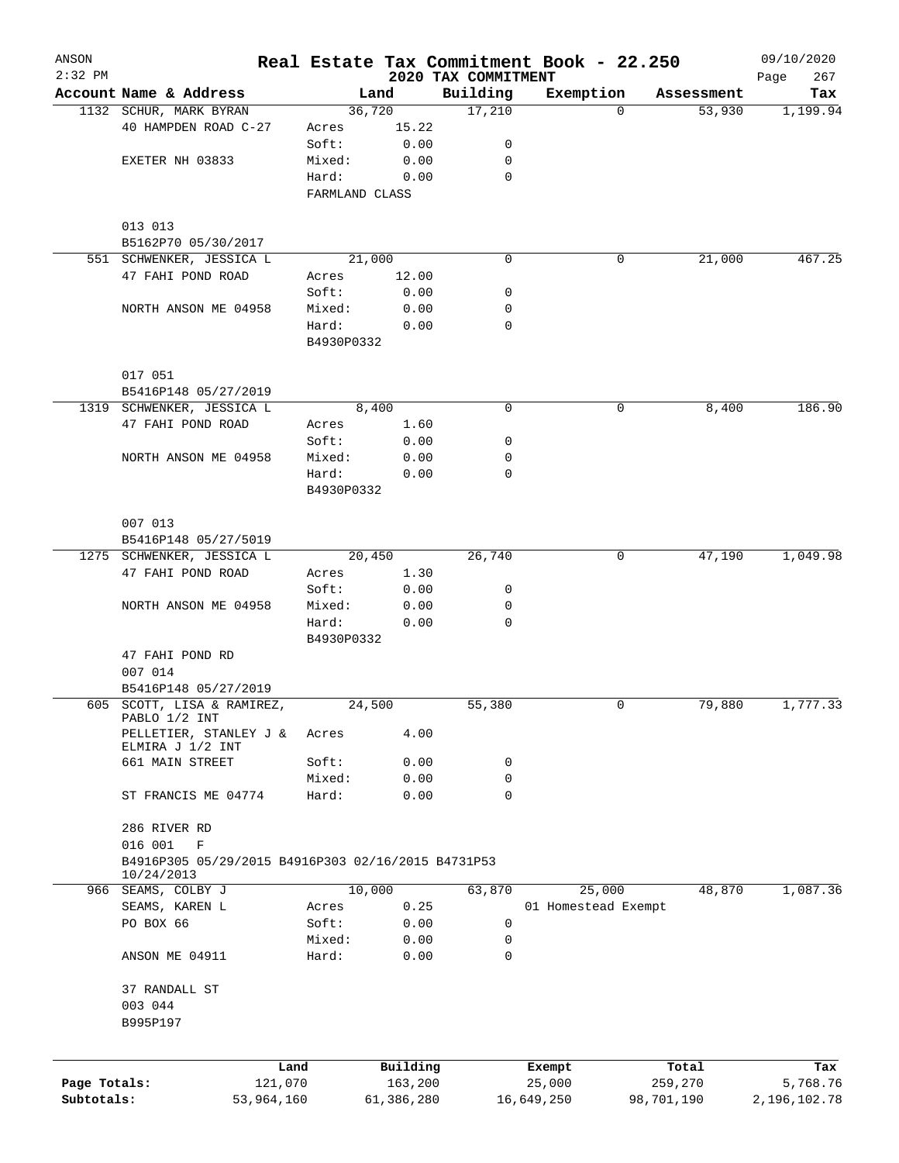| ANSON        |                                                                  |            |                     |            |                     | Real Estate Tax Commitment Book - 22.250 |            |                      | 09/10/2020      |
|--------------|------------------------------------------------------------------|------------|---------------------|------------|---------------------|------------------------------------------|------------|----------------------|-----------------|
| $2:32$ PM    | Account Name & Address                                           |            |                     |            | 2020 TAX COMMITMENT |                                          |            |                      | 267<br>Page     |
|              | 1132 SCHUR, MARK BYRAN                                           |            | 36,720              | Land       | Building<br>17,210  | Exemption                                | $\Omega$   | Assessment<br>53,930 | Tax<br>1,199.94 |
|              | 40 HAMPDEN ROAD C-27                                             |            | Acres               | 15.22      |                     |                                          |            |                      |                 |
|              |                                                                  |            | Soft:               | 0.00       | 0                   |                                          |            |                      |                 |
|              | EXETER NH 03833                                                  |            | Mixed:              | 0.00       | 0                   |                                          |            |                      |                 |
|              |                                                                  |            | Hard:               | 0.00       | 0                   |                                          |            |                      |                 |
|              |                                                                  |            | FARMLAND CLASS      |            |                     |                                          |            |                      |                 |
|              | 013 013                                                          |            |                     |            |                     |                                          |            |                      |                 |
|              | B5162P70 05/30/2017                                              |            |                     |            |                     |                                          |            |                      |                 |
|              | 551 SCHWENKER, JESSICA L                                         |            | 21,000              |            | 0                   |                                          | 0          | 21,000               | 467.25          |
|              | 47 FAHI POND ROAD                                                |            | Acres               | 12.00      |                     |                                          |            |                      |                 |
|              |                                                                  |            | Soft:               | 0.00       | 0                   |                                          |            |                      |                 |
|              | NORTH ANSON ME 04958                                             |            | Mixed:              | 0.00       | 0                   |                                          |            |                      |                 |
|              |                                                                  |            | Hard:               | 0.00       | $\Omega$            |                                          |            |                      |                 |
|              |                                                                  |            | B4930P0332          |            |                     |                                          |            |                      |                 |
|              | 017 051                                                          |            |                     |            |                     |                                          |            |                      |                 |
|              | B5416P148 05/27/2019                                             |            |                     |            |                     |                                          |            |                      |                 |
|              | 1319 SCHWENKER, JESSICA L                                        |            |                     | 8,400      | 0                   |                                          | 0          | 8,400                | 186.90          |
|              | 47 FAHI POND ROAD                                                |            | Acres               | 1.60       |                     |                                          |            |                      |                 |
|              |                                                                  |            | Soft:               | 0.00       | 0                   |                                          |            |                      |                 |
|              | NORTH ANSON ME 04958                                             |            | Mixed:              | 0.00       | $\mathbf 0$<br>0    |                                          |            |                      |                 |
|              |                                                                  |            | Hard:<br>B4930P0332 | 0.00       |                     |                                          |            |                      |                 |
|              | 007 013                                                          |            |                     |            |                     |                                          |            |                      |                 |
|              | B5416P148 05/27/5019                                             |            |                     |            |                     |                                          |            |                      |                 |
|              | 1275 SCHWENKER, JESSICA L                                        |            | 20,450              |            | 26,740              |                                          | 0          | 47,190               | 1,049.98        |
|              | 47 FAHI POND ROAD                                                |            | Acres               | 1.30       |                     |                                          |            |                      |                 |
|              |                                                                  |            | Soft:               | 0.00       | 0                   |                                          |            |                      |                 |
|              | NORTH ANSON ME 04958                                             |            | Mixed:              | 0.00       | $\mathbf 0$         |                                          |            |                      |                 |
|              |                                                                  |            | Hard:               | 0.00       | 0                   |                                          |            |                      |                 |
|              |                                                                  |            | B4930P0332          |            |                     |                                          |            |                      |                 |
|              | 47 FAHI POND RD                                                  |            |                     |            |                     |                                          |            |                      |                 |
|              | 007 014                                                          |            |                     |            |                     |                                          |            |                      |                 |
|              | B5416P148 05/27/2019                                             |            |                     |            |                     |                                          |            |                      |                 |
|              | 605 SCOTT, LISA & RAMIREZ,<br>PABLO 1/2 INT                      |            | 24,500              |            | 55,380              |                                          | 0          | 79,880               | 1,777.33        |
|              | PELLETIER, STANLEY J &<br>ELMIRA J 1/2 INT                       |            | Acres               | 4.00       |                     |                                          |            |                      |                 |
|              | 661 MAIN STREET                                                  |            | Soft:               | 0.00       | 0                   |                                          |            |                      |                 |
|              |                                                                  |            | Mixed:              | 0.00       | 0                   |                                          |            |                      |                 |
|              | ST FRANCIS ME 04774                                              |            | Hard:               | 0.00       | $\mathbf 0$         |                                          |            |                      |                 |
|              | 286 RIVER RD                                                     |            |                     |            |                     |                                          |            |                      |                 |
|              | 016 001<br>$\mathbf F$                                           |            |                     |            |                     |                                          |            |                      |                 |
|              | B4916P305 05/29/2015 B4916P303 02/16/2015 B4731P53<br>10/24/2013 |            |                     |            |                     |                                          |            |                      |                 |
|              | 966 SEAMS, COLBY J                                               |            | 10,000              |            | 63,870              | 25,000                                   |            | 48,870               | 1,087.36        |
|              | SEAMS, KAREN L                                                   |            | Acres               | 0.25       |                     | 01 Homestead Exempt                      |            |                      |                 |
|              | PO BOX 66                                                        |            | Soft:               | 0.00       | 0                   |                                          |            |                      |                 |
|              |                                                                  |            | Mixed:              | 0.00       | 0                   |                                          |            |                      |                 |
|              | ANSON ME 04911                                                   |            | Hard:               | 0.00       | $\Omega$            |                                          |            |                      |                 |
|              | 37 RANDALL ST                                                    |            |                     |            |                     |                                          |            |                      |                 |
|              | 003 044                                                          |            |                     |            |                     |                                          |            |                      |                 |
|              | B995P197                                                         |            |                     |            |                     |                                          |            |                      |                 |
|              |                                                                  | Land       |                     | Building   |                     | Exempt                                   | Total      |                      | Tax             |
| Page Totals: |                                                                  | 121,070    |                     | 163,200    |                     | 25,000                                   | 259,270    |                      | 5,768.76        |
| Subtotals:   |                                                                  | 53,964,160 |                     | 61,386,280 |                     | 16,649,250                               | 98,701,190 |                      | 2,196,102.78    |
|              |                                                                  |            |                     |            |                     |                                          |            |                      |                 |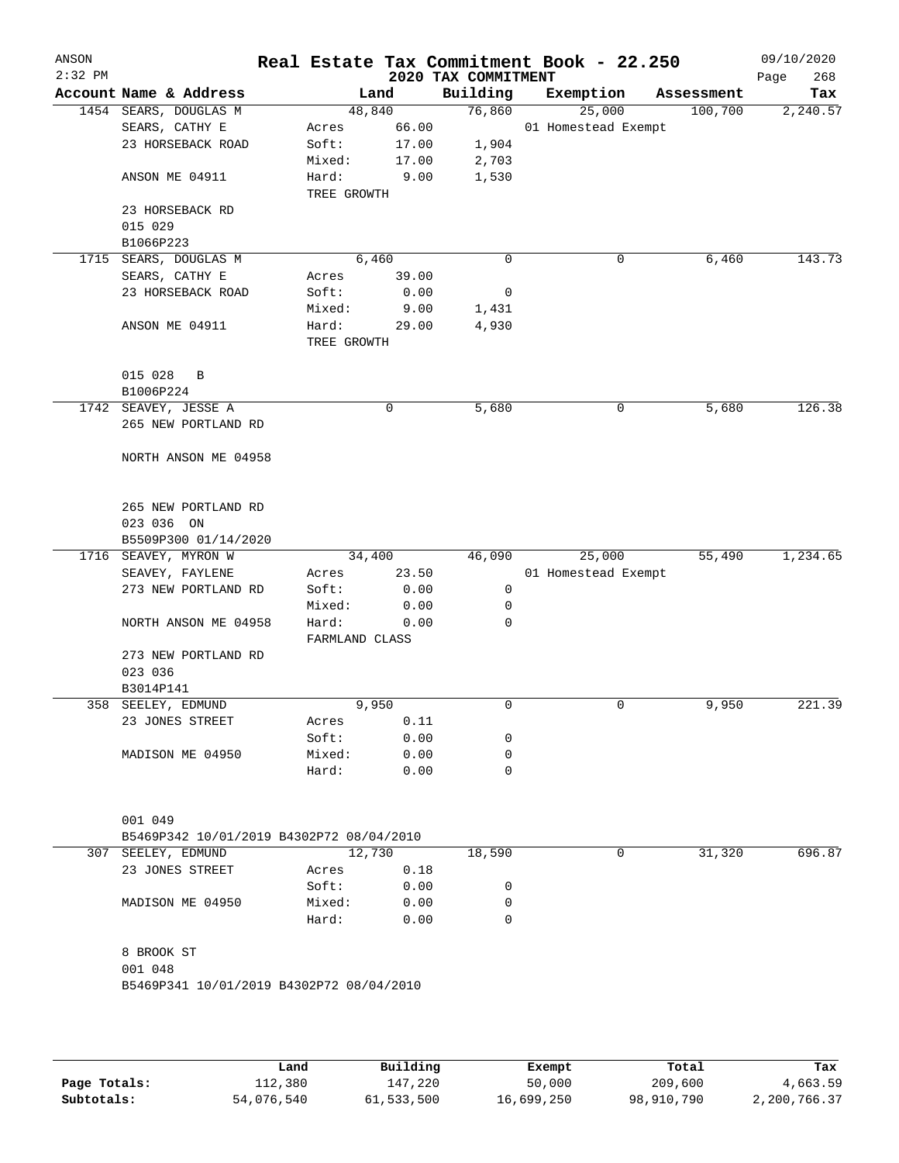| ANSON<br>$2:32$ PM |                                          |                         |              | 2020 TAX COMMITMENT | Real Estate Tax Commitment Book - 22.250 |            | 09/10/2020<br>268<br>Page |
|--------------------|------------------------------------------|-------------------------|--------------|---------------------|------------------------------------------|------------|---------------------------|
|                    | Account Name & Address                   |                         | Land         | Building            | Exemption                                | Assessment | Tax                       |
|                    | 1454 SEARS, DOUGLAS M                    | 48,840                  |              | 76,860              | 25,000                                   | 100,700    | 2,240.57                  |
|                    | SEARS, CATHY E                           | Acres                   | 66.00        |                     | 01 Homestead Exempt                      |            |                           |
|                    | 23 HORSEBACK ROAD                        | Soft:                   | 17.00        | 1,904               |                                          |            |                           |
|                    |                                          | Mixed:                  | 17.00        | 2,703               |                                          |            |                           |
|                    | ANSON ME 04911                           | Hard:<br>TREE GROWTH    | 9.00         | 1,530               |                                          |            |                           |
|                    | 23 HORSEBACK RD                          |                         |              |                     |                                          |            |                           |
|                    | 015 029                                  |                         |              |                     |                                          |            |                           |
|                    | B1066P223                                |                         |              |                     |                                          |            |                           |
|                    | 1715 SEARS, DOUGLAS M                    | 6,460                   |              | 0                   | 0                                        | 6,460      | 143.73                    |
|                    | SEARS, CATHY E                           | Acres                   | 39.00        |                     |                                          |            |                           |
|                    | 23 HORSEBACK ROAD                        | Soft:                   | 0.00         | 0                   |                                          |            |                           |
|                    |                                          | Mixed:                  | 9.00         | 1,431               |                                          |            |                           |
|                    | ANSON ME 04911                           | Hard:                   | 29.00        | 4,930               |                                          |            |                           |
|                    |                                          | TREE GROWTH             |              |                     |                                          |            |                           |
|                    | 015 028<br>B                             |                         |              |                     |                                          |            |                           |
|                    | B1006P224                                |                         |              |                     |                                          |            |                           |
|                    | 1742 SEAVEY, JESSE A                     |                         | 0            | 5,680               | 0                                        | 5,680      | 126.38                    |
|                    | 265 NEW PORTLAND RD                      |                         |              |                     |                                          |            |                           |
|                    | NORTH ANSON ME 04958                     |                         |              |                     |                                          |            |                           |
|                    | 265 NEW PORTLAND RD<br>023 036 ON        |                         |              |                     |                                          |            |                           |
|                    | B5509P300 01/14/2020                     |                         |              |                     |                                          |            |                           |
|                    | 1716 SEAVEY, MYRON W                     | 34,400                  |              | 46,090              | 25,000                                   | 55,490     | 1,234.65                  |
|                    | SEAVEY, FAYLENE                          | Acres                   | 23.50        |                     | 01 Homestead Exempt                      |            |                           |
|                    | 273 NEW PORTLAND RD                      | Soft:                   | 0.00         | 0                   |                                          |            |                           |
|                    |                                          | Mixed:                  | 0.00         | 0                   |                                          |            |                           |
|                    | NORTH ANSON ME 04958                     | Hard:<br>FARMLAND CLASS | 0.00         | 0                   |                                          |            |                           |
|                    | 273 NEW PORTLAND RD                      |                         |              |                     |                                          |            |                           |
|                    | 023 036                                  |                         |              |                     |                                          |            |                           |
|                    | B3014P141                                |                         |              |                     |                                          |            |                           |
|                    | 358 SEELEY, EDMUND                       | 9,950                   |              | 0                   | 0                                        | 9,950      | 221.39                    |
|                    | 23 JONES STREET                          | Acres                   | 0.11         |                     |                                          |            |                           |
|                    |                                          | Soft:                   | 0.00         | 0                   |                                          |            |                           |
|                    | MADISON ME 04950                         | Mixed:                  | 0.00         | 0                   |                                          |            |                           |
|                    |                                          | Hard:                   | 0.00         | 0                   |                                          |            |                           |
|                    | 001 049                                  |                         |              |                     |                                          |            |                           |
|                    | B5469P342 10/01/2019 B4302P72 08/04/2010 |                         |              |                     |                                          |            |                           |
| 307                | SEELEY, EDMUND                           | 12,730                  |              | 18,590              | 0                                        | 31,320     | 696.87                    |
|                    | 23 JONES STREET                          | Acres                   | 0.18         |                     |                                          |            |                           |
|                    |                                          | Soft:                   | 0.00         | 0                   |                                          |            |                           |
|                    | MADISON ME 04950                         | Mixed:<br>Hard:         | 0.00<br>0.00 | 0<br>0              |                                          |            |                           |
|                    | 8 BROOK ST                               |                         |              |                     |                                          |            |                           |
|                    | 001 048                                  |                         |              |                     |                                          |            |                           |
|                    | B5469P341 10/01/2019 B4302P72 08/04/2010 |                         |              |                     |                                          |            |                           |
|                    |                                          |                         |              |                     |                                          |            |                           |
|                    |                                          |                         |              |                     |                                          |            |                           |
|                    |                                          |                         |              |                     |                                          |            |                           |
|                    |                                          |                         |              |                     |                                          |            |                           |

|              | Land       | Building   | Exempt     | Total      | Tax          |
|--------------|------------|------------|------------|------------|--------------|
| Page Totals: | 112,380    | 147,220    | 50,000     | 209,600    | 4,663.59     |
| Subtotals:   | 54,076,540 | 61,533,500 | 16,699,250 | 98,910,790 | 2,200,766.37 |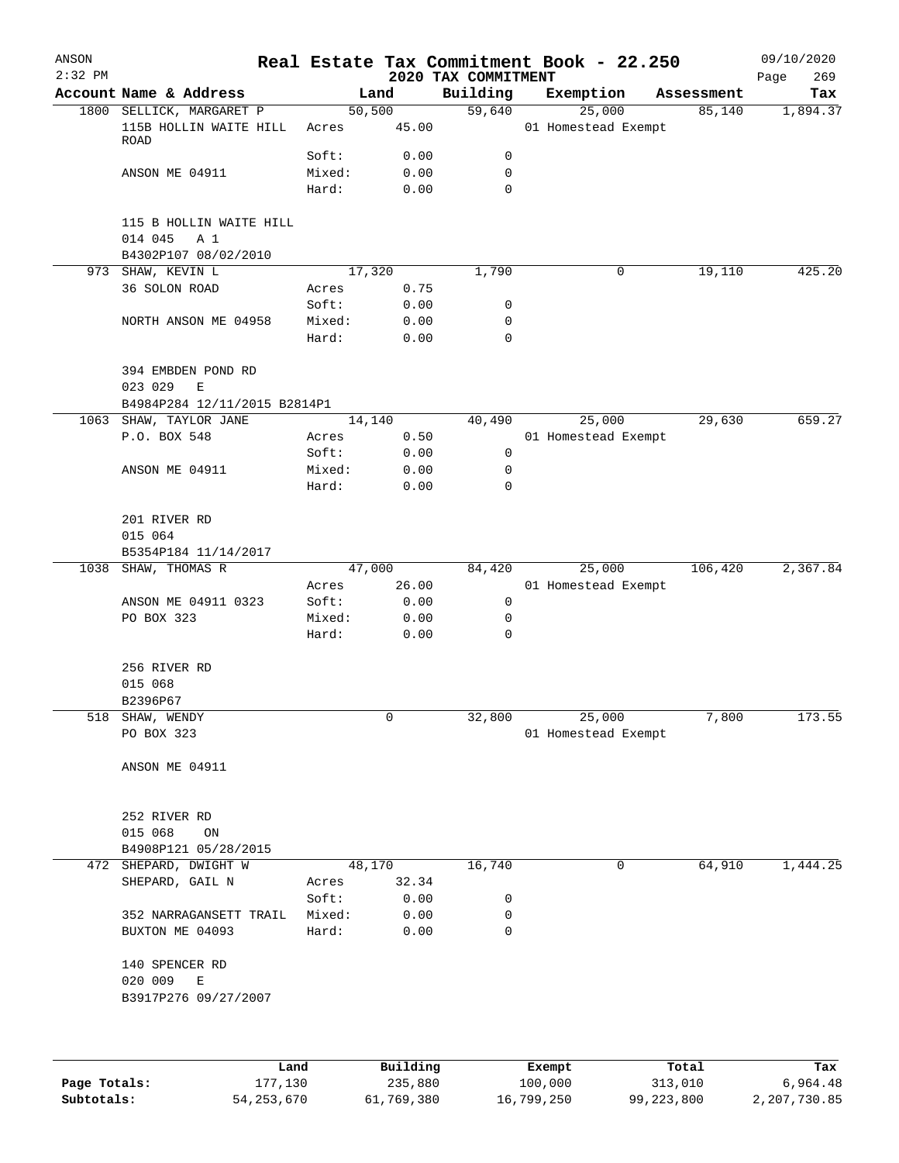| ANSON<br>$2:32$ PM |                                                                    |        |          | 2020 TAX COMMITMENT | Real Estate Tax Commitment Book - 22.250 |            | 09/10/2020<br>269<br>Page |
|--------------------|--------------------------------------------------------------------|--------|----------|---------------------|------------------------------------------|------------|---------------------------|
|                    | Account Name & Address                                             |        | Land     | Building            | Exemption                                | Assessment | Tax                       |
|                    | 1800 SELLICK, MARGARET P                                           |        | 50,500   | 59,640              | 25,000                                   | 85,140     | 1,894.37                  |
|                    | 115B HOLLIN WAITE HILL<br>ROAD                                     | Acres  | 45.00    |                     | 01 Homestead Exempt                      |            |                           |
|                    |                                                                    | Soft:  | 0.00     | 0                   |                                          |            |                           |
|                    | ANSON ME 04911                                                     | Mixed: | 0.00     | $\mathbf 0$         |                                          |            |                           |
|                    |                                                                    | Hard:  | 0.00     | 0                   |                                          |            |                           |
|                    | 115 B HOLLIN WAITE HILL<br>014 045<br>A 1<br>B4302P107 08/02/2010  |        |          |                     |                                          |            |                           |
|                    | 973 SHAW, KEVIN L                                                  |        | 17,320   | 1,790               | 0                                        | 19,110     | 425.20                    |
|                    | 36 SOLON ROAD                                                      | Acres  | 0.75     |                     |                                          |            |                           |
|                    |                                                                    | Soft:  | 0.00     | 0                   |                                          |            |                           |
|                    | NORTH ANSON ME 04958                                               | Mixed: | 0.00     | 0                   |                                          |            |                           |
|                    |                                                                    | Hard:  | 0.00     | $\mathbf 0$         |                                          |            |                           |
|                    | 394 EMBDEN POND RD<br>023 029<br>E<br>B4984P284 12/11/2015 B2814P1 |        |          |                     |                                          |            |                           |
|                    | 1063 SHAW, TAYLOR JANE                                             |        | 14,140   | 40,490              | 25,000                                   | 29,630     | 659.27                    |
|                    | P.O. BOX 548                                                       | Acres  | 0.50     |                     | 01 Homestead Exempt                      |            |                           |
|                    |                                                                    | Soft:  | 0.00     | $\mathsf{O}$        |                                          |            |                           |
|                    | ANSON ME 04911                                                     | Mixed: | 0.00     | 0                   |                                          |            |                           |
|                    |                                                                    | Hard:  | 0.00     | $\mathbf 0$         |                                          |            |                           |
|                    | 201 RIVER RD<br>015 064                                            |        |          |                     |                                          |            |                           |
|                    | B5354P184 11/14/2017                                               |        |          |                     |                                          |            |                           |
| 1038               | SHAW, THOMAS R                                                     |        | 47,000   | 84,420              | 25,000                                   | 106,420    | 2,367.84                  |
|                    |                                                                    | Acres  | 26.00    |                     | 01 Homestead Exempt                      |            |                           |
|                    | ANSON ME 04911 0323                                                | Soft:  | 0.00     | 0                   |                                          |            |                           |
|                    | PO BOX 323                                                         | Mixed: | 0.00     | 0<br>$\mathbf 0$    |                                          |            |                           |
|                    |                                                                    | Hard:  | 0.00     |                     |                                          |            |                           |
|                    | 256 RIVER RD                                                       |        |          |                     |                                          |            |                           |
|                    | 015 068                                                            |        |          |                     |                                          |            |                           |
|                    | B2396P67                                                           |        |          |                     |                                          |            |                           |
| 518                | SHAW, WENDY                                                        |        | 0        | 32,800              | 25,000                                   | 7,800      | 173.55                    |
|                    | PO BOX 323                                                         |        |          |                     | 01 Homestead Exempt                      |            |                           |
|                    | ANSON ME 04911                                                     |        |          |                     |                                          |            |                           |
|                    |                                                                    |        |          |                     |                                          |            |                           |
|                    |                                                                    |        |          |                     |                                          |            |                           |
|                    | 252 RIVER RD                                                       |        |          |                     |                                          |            |                           |
|                    | 015 068<br>ON                                                      |        |          |                     |                                          |            |                           |
| 472                | B4908P121 05/28/2015<br>SHEPARD, DWIGHT W                          |        | 48,170   | 16,740              | 0                                        | 64,910     | 1,444.25                  |
|                    | SHEPARD, GAIL N                                                    | Acres  | 32.34    |                     |                                          |            |                           |
|                    |                                                                    | Soft:  | 0.00     | 0                   |                                          |            |                           |
|                    | 352 NARRAGANSETT TRAIL                                             | Mixed: | 0.00     | 0                   |                                          |            |                           |
|                    | BUXTON ME 04093                                                    | Hard:  | 0.00     | 0                   |                                          |            |                           |
|                    | 140 SPENCER RD<br>020 009<br>Ε<br>B3917P276 09/27/2007             |        |          |                     |                                          |            |                           |
|                    |                                                                    |        |          |                     |                                          |            |                           |
|                    | Land                                                               |        | Building |                     | Exempt                                   | Total      | Tax                       |
| Page Totals:       | 177,130                                                            |        | 235,880  |                     | 100,000                                  | 313,010    | 6,964.48                  |

**Subtotals:** 54,253,670 61,769,380 16,799,250 99,223,800 2,207,730.85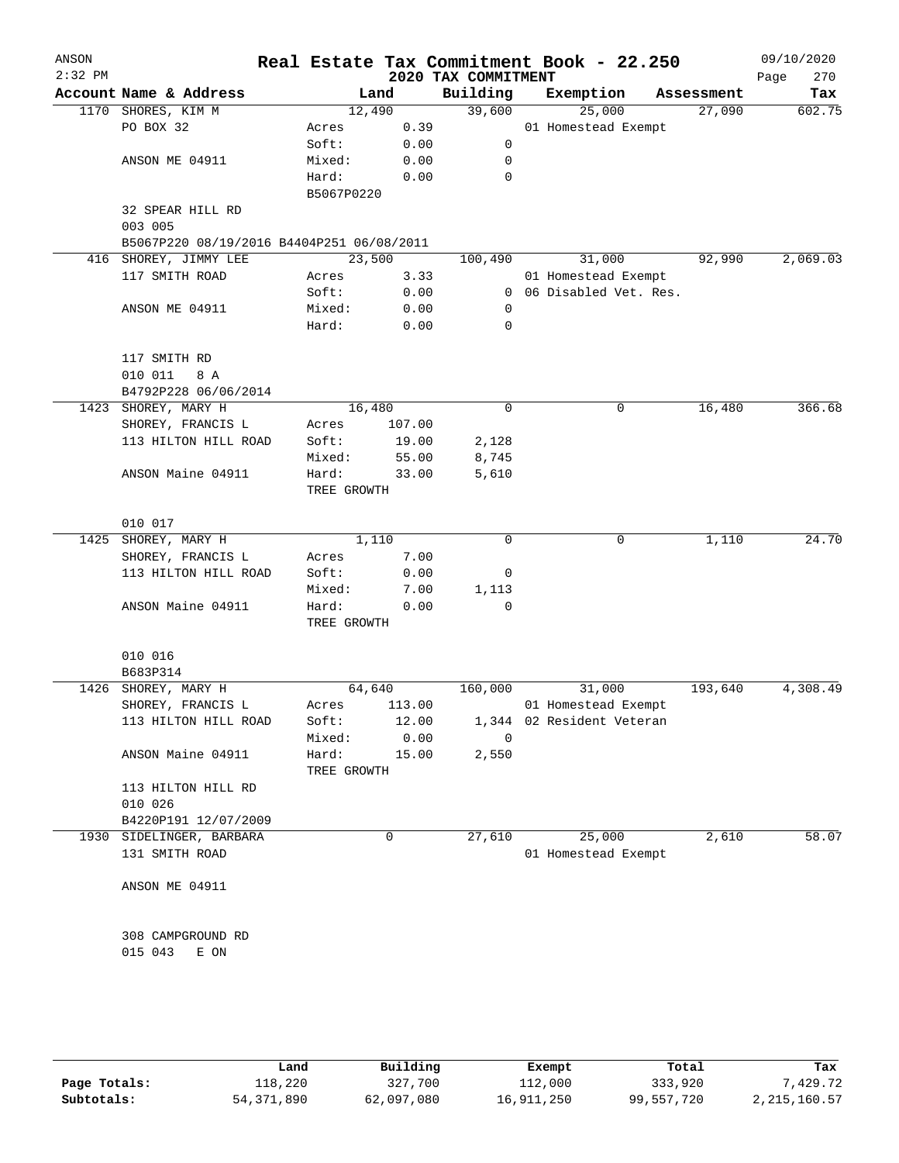| ANSON<br>$2:32$ PM |                                                                |                 |              | 2020 TAX COMMITMENT | Real Estate Tax Commitment Book - 22.250 |            | 09/10/2020<br>270<br>Page |
|--------------------|----------------------------------------------------------------|-----------------|--------------|---------------------|------------------------------------------|------------|---------------------------|
|                    | Account Name & Address                                         |                 | Land         | Building            | Exemption                                | Assessment | Tax                       |
|                    | 1170 SHORES, KIM M                                             |                 | 12,490       | 39,600              | 25,000                                   | 27,090     | 602.75                    |
|                    | PO BOX 32                                                      | Acres           | 0.39         |                     | 01 Homestead Exempt                      |            |                           |
|                    |                                                                | Soft:           | 0.00         | 0                   |                                          |            |                           |
|                    | ANSON ME 04911                                                 | Mixed:          | 0.00         | 0                   |                                          |            |                           |
|                    |                                                                | Hard:           | 0.00         | 0                   |                                          |            |                           |
|                    |                                                                | B5067P0220      |              |                     |                                          |            |                           |
|                    | 32 SPEAR HILL RD                                               |                 |              |                     |                                          |            |                           |
|                    | 003 005                                                        |                 |              |                     |                                          |            |                           |
|                    | B5067P220 08/19/2016 B4404P251 06/08/2011<br>SHOREY, JIMMY LEE |                 | 23,500       |                     |                                          | 92,990     | 2,069.03                  |
| 416                | 117 SMITH ROAD                                                 | Acres           | 3.33         | 100,490             | 31,000<br>01 Homestead Exempt            |            |                           |
|                    |                                                                | Soft:           | 0.00         |                     | 0 06 Disabled Vet. Res.                  |            |                           |
|                    | ANSON ME 04911                                                 | Mixed:          | 0.00         | 0                   |                                          |            |                           |
|                    |                                                                | Hard:           | 0.00         | 0                   |                                          |            |                           |
|                    |                                                                |                 |              |                     |                                          |            |                           |
|                    | 117 SMITH RD                                                   |                 |              |                     |                                          |            |                           |
|                    | 010 011<br>8 A                                                 |                 |              |                     |                                          |            |                           |
|                    | B4792P228 06/06/2014                                           |                 |              |                     |                                          |            |                           |
|                    | 1423 SHOREY, MARY H                                            |                 | 16,480       | 0                   | 0                                        | 16,480     | 366.68                    |
|                    | SHOREY, FRANCIS L                                              | Acres           | 107.00       |                     |                                          |            |                           |
|                    | 113 HILTON HILL ROAD                                           | Soft:           | 19.00        | 2,128               |                                          |            |                           |
|                    |                                                                | Mixed:          | 55.00        | 8,745               |                                          |            |                           |
|                    | ANSON Maine 04911                                              | Hard:           | 33.00        | 5,610               |                                          |            |                           |
|                    |                                                                | TREE GROWTH     |              |                     |                                          |            |                           |
|                    |                                                                |                 |              |                     |                                          |            |                           |
|                    | 010 017                                                        |                 |              |                     |                                          |            |                           |
| 1425               | SHOREY, MARY H                                                 |                 | 1,110        | $\Omega$            | 0                                        | 1,110      | 24.70                     |
|                    | SHOREY, FRANCIS L                                              | Acres           | 7.00         |                     |                                          |            |                           |
|                    | 113 HILTON HILL ROAD                                           | Soft:           | 0.00         | 0                   |                                          |            |                           |
|                    | ANSON Maine 04911                                              | Mixed:<br>Hard: | 7.00<br>0.00 | 1,113<br>0          |                                          |            |                           |
|                    |                                                                | TREE GROWTH     |              |                     |                                          |            |                           |
|                    |                                                                |                 |              |                     |                                          |            |                           |
|                    | 010 016                                                        |                 |              |                     |                                          |            |                           |
|                    | B683P314                                                       |                 |              |                     |                                          |            |                           |
|                    | 1426 SHOREY, MARY H                                            |                 | 64,640       | 160,000             | 31,000                                   | 193,640    | 4,308.49                  |
|                    | SHOREY, FRANCIS L                                              | Acres           | 113.00       |                     | 01 Homestead Exempt                      |            |                           |
|                    | 113 HILTON HILL ROAD                                           | Soft:           | 12.00        |                     | 1,344 02 Resident Veteran                |            |                           |
|                    |                                                                | Mixed:          | 0.00         | $\Omega$            |                                          |            |                           |
|                    | ANSON Maine 04911                                              | Hard:           | 15.00        | 2,550               |                                          |            |                           |
|                    |                                                                | TREE GROWTH     |              |                     |                                          |            |                           |
|                    | 113 HILTON HILL RD                                             |                 |              |                     |                                          |            |                           |
|                    | 010 026                                                        |                 |              |                     |                                          |            |                           |
|                    | B4220P191 12/07/2009                                           |                 |              |                     |                                          |            |                           |
|                    | 1930 SIDELINGER, BARBARA                                       |                 | 0            | 27,610              | 25,000                                   | 2,610      | 58.07                     |
|                    | 131 SMITH ROAD                                                 |                 |              |                     | 01 Homestead Exempt                      |            |                           |
|                    |                                                                |                 |              |                     |                                          |            |                           |
|                    | ANSON ME 04911                                                 |                 |              |                     |                                          |            |                           |
|                    |                                                                |                 |              |                     |                                          |            |                           |
|                    | 308 CAMPGROUND RD                                              |                 |              |                     |                                          |            |                           |
|                    | 015 043<br>E ON                                                |                 |              |                     |                                          |            |                           |
|                    |                                                                |                 |              |                     |                                          |            |                           |
|                    |                                                                |                 |              |                     |                                          |            |                           |
|                    |                                                                |                 |              |                     |                                          |            |                           |
|                    |                                                                |                 |              |                     |                                          |            |                           |

|              | Land         | Building   | Exempt     | Total      | Tax            |
|--------------|--------------|------------|------------|------------|----------------|
| Page Totals: | 118,220      | 327,700    | 112,000    | 333,920    | .429.72        |
| Subtotals:   | 54, 371, 890 | 62,097,080 | 16,911,250 | 99,557,720 | 2, 215, 160.57 |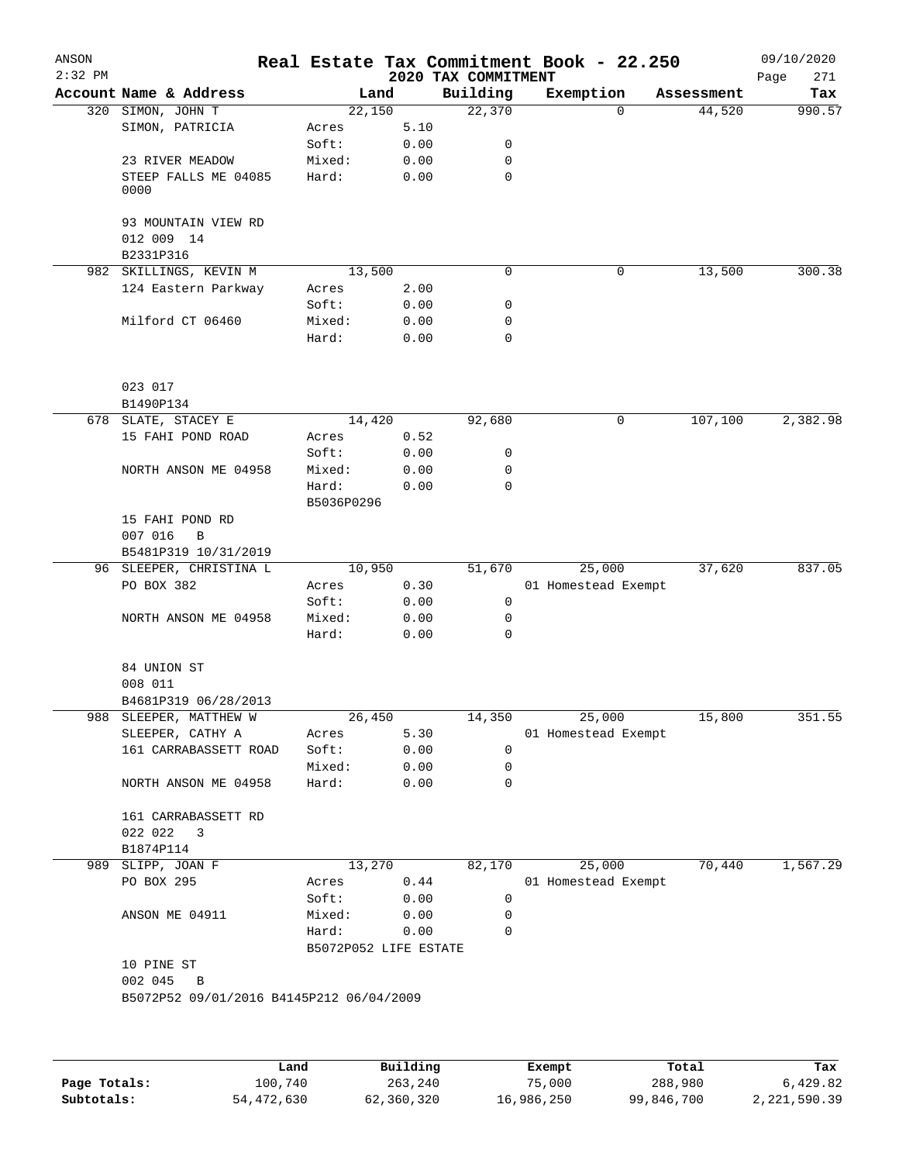| 2020 TAX COMMITMENT<br>Account Name & Address<br>Building<br>Exemption<br>Land<br>Assessment<br>Tax<br>990.57<br>320 SIMON, JOHN T<br>22,150<br>22,370<br>44,520<br>$\Omega$<br>5.10<br>SIMON, PATRICIA<br>Acres<br>Soft:<br>0.00<br>0<br>23 RIVER MEADOW<br>Mixed:<br>0.00<br>0<br>STEEP FALLS ME 04085<br>Hard:<br>0.00<br>0<br>0000<br>93 MOUNTAIN VIEW RD<br>012 009 14<br>B2331P316<br>0<br>982 SKILLINGS, KEVIN M<br>13,500<br>0<br>13,500<br>124 Eastern Parkway<br>2.00<br>Acres<br>Soft:<br>0.00<br>0<br>Milford CT 06460<br>Mixed:<br>0.00<br>0<br>Hard:<br>0.00<br>0<br>023 017<br>B1490P134<br>14,420<br>107,100<br>678 SLATE, STACEY E<br>92,680<br>0<br>15 FAHI POND ROAD<br>0.52<br>Acres<br>Soft:<br>0.00<br>0<br>Mixed:<br>0.00<br>0<br>NORTH ANSON ME 04958<br>Hard:<br>0.00<br>0<br>B5036P0296<br>15 FAHI POND RD<br>007 016<br>$\, {\bf B}$<br>B5481P319 10/31/2019<br>51,670<br>37,620<br>96 SLEEPER, CHRISTINA L<br>10,950<br>25,000<br>PO BOX 382<br>0.30<br>01 Homestead Exempt<br>Acres<br>0<br>0.00<br>Soft:<br>Mixed:<br>0.00<br>NORTH ANSON ME 04958<br>0<br>Hard:<br>0<br>0.00<br>84 UNION ST<br>008 011<br>B4681P319 06/28/2013<br>15,800<br>988 SLEEPER, MATTHEW W<br>26,450<br>14,350<br>25,000<br>SLEEPER, CATHY A<br>5.30<br>01 Homestead Exempt<br>Acres<br>161 CARRABASSETT ROAD<br>Soft:<br>0.00<br>0<br>Mixed:<br>0.00<br>0<br>NORTH ANSON ME 04958<br>Hard:<br>0.00<br>0<br>161 CARRABASSETT RD<br>022 022<br>3<br>B1874P114<br>13,270<br>70,440<br>989<br>SLIPP, JOAN F<br>82,170<br>25,000<br>PO BOX 295<br>Acres<br>0.44<br>01 Homestead Exempt<br>Soft:<br>0.00<br>0<br>Mixed:<br>ANSON ME 04911<br>0.00<br>0<br>Hard:<br>0.00<br>0<br>B5072P052 LIFE ESTATE<br>10 PINE ST<br>002 045<br>B<br>B5072P52 09/01/2016 B4145P212 06/04/2009 | ANSON<br>$2:32$ PM |  |  | Real Estate Tax Commitment Book - 22.250 | 09/10/2020<br>271<br>Page |
|-----------------------------------------------------------------------------------------------------------------------------------------------------------------------------------------------------------------------------------------------------------------------------------------------------------------------------------------------------------------------------------------------------------------------------------------------------------------------------------------------------------------------------------------------------------------------------------------------------------------------------------------------------------------------------------------------------------------------------------------------------------------------------------------------------------------------------------------------------------------------------------------------------------------------------------------------------------------------------------------------------------------------------------------------------------------------------------------------------------------------------------------------------------------------------------------------------------------------------------------------------------------------------------------------------------------------------------------------------------------------------------------------------------------------------------------------------------------------------------------------------------------------------------------------------------------------------------------------------------------------------------------------------------------------------------------------------------------------------------------------------------------------------------|--------------------|--|--|------------------------------------------|---------------------------|
|                                                                                                                                                                                                                                                                                                                                                                                                                                                                                                                                                                                                                                                                                                                                                                                                                                                                                                                                                                                                                                                                                                                                                                                                                                                                                                                                                                                                                                                                                                                                                                                                                                                                                                                                                                                   |                    |  |  |                                          |                           |
|                                                                                                                                                                                                                                                                                                                                                                                                                                                                                                                                                                                                                                                                                                                                                                                                                                                                                                                                                                                                                                                                                                                                                                                                                                                                                                                                                                                                                                                                                                                                                                                                                                                                                                                                                                                   |                    |  |  |                                          |                           |
|                                                                                                                                                                                                                                                                                                                                                                                                                                                                                                                                                                                                                                                                                                                                                                                                                                                                                                                                                                                                                                                                                                                                                                                                                                                                                                                                                                                                                                                                                                                                                                                                                                                                                                                                                                                   |                    |  |  |                                          |                           |
| 300.38<br>2,382.98<br>837.05<br>351.55<br>1,567.29                                                                                                                                                                                                                                                                                                                                                                                                                                                                                                                                                                                                                                                                                                                                                                                                                                                                                                                                                                                                                                                                                                                                                                                                                                                                                                                                                                                                                                                                                                                                                                                                                                                                                                                                |                    |  |  |                                          |                           |
|                                                                                                                                                                                                                                                                                                                                                                                                                                                                                                                                                                                                                                                                                                                                                                                                                                                                                                                                                                                                                                                                                                                                                                                                                                                                                                                                                                                                                                                                                                                                                                                                                                                                                                                                                                                   |                    |  |  |                                          |                           |
|                                                                                                                                                                                                                                                                                                                                                                                                                                                                                                                                                                                                                                                                                                                                                                                                                                                                                                                                                                                                                                                                                                                                                                                                                                                                                                                                                                                                                                                                                                                                                                                                                                                                                                                                                                                   |                    |  |  |                                          |                           |
|                                                                                                                                                                                                                                                                                                                                                                                                                                                                                                                                                                                                                                                                                                                                                                                                                                                                                                                                                                                                                                                                                                                                                                                                                                                                                                                                                                                                                                                                                                                                                                                                                                                                                                                                                                                   |                    |  |  |                                          |                           |
|                                                                                                                                                                                                                                                                                                                                                                                                                                                                                                                                                                                                                                                                                                                                                                                                                                                                                                                                                                                                                                                                                                                                                                                                                                                                                                                                                                                                                                                                                                                                                                                                                                                                                                                                                                                   |                    |  |  |                                          |                           |
|                                                                                                                                                                                                                                                                                                                                                                                                                                                                                                                                                                                                                                                                                                                                                                                                                                                                                                                                                                                                                                                                                                                                                                                                                                                                                                                                                                                                                                                                                                                                                                                                                                                                                                                                                                                   |                    |  |  |                                          |                           |
|                                                                                                                                                                                                                                                                                                                                                                                                                                                                                                                                                                                                                                                                                                                                                                                                                                                                                                                                                                                                                                                                                                                                                                                                                                                                                                                                                                                                                                                                                                                                                                                                                                                                                                                                                                                   |                    |  |  |                                          |                           |
|                                                                                                                                                                                                                                                                                                                                                                                                                                                                                                                                                                                                                                                                                                                                                                                                                                                                                                                                                                                                                                                                                                                                                                                                                                                                                                                                                                                                                                                                                                                                                                                                                                                                                                                                                                                   |                    |  |  |                                          |                           |
|                                                                                                                                                                                                                                                                                                                                                                                                                                                                                                                                                                                                                                                                                                                                                                                                                                                                                                                                                                                                                                                                                                                                                                                                                                                                                                                                                                                                                                                                                                                                                                                                                                                                                                                                                                                   |                    |  |  |                                          |                           |
|                                                                                                                                                                                                                                                                                                                                                                                                                                                                                                                                                                                                                                                                                                                                                                                                                                                                                                                                                                                                                                                                                                                                                                                                                                                                                                                                                                                                                                                                                                                                                                                                                                                                                                                                                                                   |                    |  |  |                                          |                           |
|                                                                                                                                                                                                                                                                                                                                                                                                                                                                                                                                                                                                                                                                                                                                                                                                                                                                                                                                                                                                                                                                                                                                                                                                                                                                                                                                                                                                                                                                                                                                                                                                                                                                                                                                                                                   |                    |  |  |                                          |                           |
|                                                                                                                                                                                                                                                                                                                                                                                                                                                                                                                                                                                                                                                                                                                                                                                                                                                                                                                                                                                                                                                                                                                                                                                                                                                                                                                                                                                                                                                                                                                                                                                                                                                                                                                                                                                   |                    |  |  |                                          |                           |
|                                                                                                                                                                                                                                                                                                                                                                                                                                                                                                                                                                                                                                                                                                                                                                                                                                                                                                                                                                                                                                                                                                                                                                                                                                                                                                                                                                                                                                                                                                                                                                                                                                                                                                                                                                                   |                    |  |  |                                          |                           |
|                                                                                                                                                                                                                                                                                                                                                                                                                                                                                                                                                                                                                                                                                                                                                                                                                                                                                                                                                                                                                                                                                                                                                                                                                                                                                                                                                                                                                                                                                                                                                                                                                                                                                                                                                                                   |                    |  |  |                                          |                           |
|                                                                                                                                                                                                                                                                                                                                                                                                                                                                                                                                                                                                                                                                                                                                                                                                                                                                                                                                                                                                                                                                                                                                                                                                                                                                                                                                                                                                                                                                                                                                                                                                                                                                                                                                                                                   |                    |  |  |                                          |                           |
|                                                                                                                                                                                                                                                                                                                                                                                                                                                                                                                                                                                                                                                                                                                                                                                                                                                                                                                                                                                                                                                                                                                                                                                                                                                                                                                                                                                                                                                                                                                                                                                                                                                                                                                                                                                   |                    |  |  |                                          |                           |
|                                                                                                                                                                                                                                                                                                                                                                                                                                                                                                                                                                                                                                                                                                                                                                                                                                                                                                                                                                                                                                                                                                                                                                                                                                                                                                                                                                                                                                                                                                                                                                                                                                                                                                                                                                                   |                    |  |  |                                          |                           |
|                                                                                                                                                                                                                                                                                                                                                                                                                                                                                                                                                                                                                                                                                                                                                                                                                                                                                                                                                                                                                                                                                                                                                                                                                                                                                                                                                                                                                                                                                                                                                                                                                                                                                                                                                                                   |                    |  |  |                                          |                           |
|                                                                                                                                                                                                                                                                                                                                                                                                                                                                                                                                                                                                                                                                                                                                                                                                                                                                                                                                                                                                                                                                                                                                                                                                                                                                                                                                                                                                                                                                                                                                                                                                                                                                                                                                                                                   |                    |  |  |                                          |                           |
|                                                                                                                                                                                                                                                                                                                                                                                                                                                                                                                                                                                                                                                                                                                                                                                                                                                                                                                                                                                                                                                                                                                                                                                                                                                                                                                                                                                                                                                                                                                                                                                                                                                                                                                                                                                   |                    |  |  |                                          |                           |
|                                                                                                                                                                                                                                                                                                                                                                                                                                                                                                                                                                                                                                                                                                                                                                                                                                                                                                                                                                                                                                                                                                                                                                                                                                                                                                                                                                                                                                                                                                                                                                                                                                                                                                                                                                                   |                    |  |  |                                          |                           |
|                                                                                                                                                                                                                                                                                                                                                                                                                                                                                                                                                                                                                                                                                                                                                                                                                                                                                                                                                                                                                                                                                                                                                                                                                                                                                                                                                                                                                                                                                                                                                                                                                                                                                                                                                                                   |                    |  |  |                                          |                           |
|                                                                                                                                                                                                                                                                                                                                                                                                                                                                                                                                                                                                                                                                                                                                                                                                                                                                                                                                                                                                                                                                                                                                                                                                                                                                                                                                                                                                                                                                                                                                                                                                                                                                                                                                                                                   |                    |  |  |                                          |                           |
|                                                                                                                                                                                                                                                                                                                                                                                                                                                                                                                                                                                                                                                                                                                                                                                                                                                                                                                                                                                                                                                                                                                                                                                                                                                                                                                                                                                                                                                                                                                                                                                                                                                                                                                                                                                   |                    |  |  |                                          |                           |
|                                                                                                                                                                                                                                                                                                                                                                                                                                                                                                                                                                                                                                                                                                                                                                                                                                                                                                                                                                                                                                                                                                                                                                                                                                                                                                                                                                                                                                                                                                                                                                                                                                                                                                                                                                                   |                    |  |  |                                          |                           |
|                                                                                                                                                                                                                                                                                                                                                                                                                                                                                                                                                                                                                                                                                                                                                                                                                                                                                                                                                                                                                                                                                                                                                                                                                                                                                                                                                                                                                                                                                                                                                                                                                                                                                                                                                                                   |                    |  |  |                                          |                           |
|                                                                                                                                                                                                                                                                                                                                                                                                                                                                                                                                                                                                                                                                                                                                                                                                                                                                                                                                                                                                                                                                                                                                                                                                                                                                                                                                                                                                                                                                                                                                                                                                                                                                                                                                                                                   |                    |  |  |                                          |                           |
|                                                                                                                                                                                                                                                                                                                                                                                                                                                                                                                                                                                                                                                                                                                                                                                                                                                                                                                                                                                                                                                                                                                                                                                                                                                                                                                                                                                                                                                                                                                                                                                                                                                                                                                                                                                   |                    |  |  |                                          |                           |
|                                                                                                                                                                                                                                                                                                                                                                                                                                                                                                                                                                                                                                                                                                                                                                                                                                                                                                                                                                                                                                                                                                                                                                                                                                                                                                                                                                                                                                                                                                                                                                                                                                                                                                                                                                                   |                    |  |  |                                          |                           |
|                                                                                                                                                                                                                                                                                                                                                                                                                                                                                                                                                                                                                                                                                                                                                                                                                                                                                                                                                                                                                                                                                                                                                                                                                                                                                                                                                                                                                                                                                                                                                                                                                                                                                                                                                                                   |                    |  |  |                                          |                           |
|                                                                                                                                                                                                                                                                                                                                                                                                                                                                                                                                                                                                                                                                                                                                                                                                                                                                                                                                                                                                                                                                                                                                                                                                                                                                                                                                                                                                                                                                                                                                                                                                                                                                                                                                                                                   |                    |  |  |                                          |                           |
|                                                                                                                                                                                                                                                                                                                                                                                                                                                                                                                                                                                                                                                                                                                                                                                                                                                                                                                                                                                                                                                                                                                                                                                                                                                                                                                                                                                                                                                                                                                                                                                                                                                                                                                                                                                   |                    |  |  |                                          |                           |
|                                                                                                                                                                                                                                                                                                                                                                                                                                                                                                                                                                                                                                                                                                                                                                                                                                                                                                                                                                                                                                                                                                                                                                                                                                                                                                                                                                                                                                                                                                                                                                                                                                                                                                                                                                                   |                    |  |  |                                          |                           |
|                                                                                                                                                                                                                                                                                                                                                                                                                                                                                                                                                                                                                                                                                                                                                                                                                                                                                                                                                                                                                                                                                                                                                                                                                                                                                                                                                                                                                                                                                                                                                                                                                                                                                                                                                                                   |                    |  |  |                                          |                           |
|                                                                                                                                                                                                                                                                                                                                                                                                                                                                                                                                                                                                                                                                                                                                                                                                                                                                                                                                                                                                                                                                                                                                                                                                                                                                                                                                                                                                                                                                                                                                                                                                                                                                                                                                                                                   |                    |  |  |                                          |                           |
|                                                                                                                                                                                                                                                                                                                                                                                                                                                                                                                                                                                                                                                                                                                                                                                                                                                                                                                                                                                                                                                                                                                                                                                                                                                                                                                                                                                                                                                                                                                                                                                                                                                                                                                                                                                   |                    |  |  |                                          |                           |
|                                                                                                                                                                                                                                                                                                                                                                                                                                                                                                                                                                                                                                                                                                                                                                                                                                                                                                                                                                                                                                                                                                                                                                                                                                                                                                                                                                                                                                                                                                                                                                                                                                                                                                                                                                                   |                    |  |  |                                          |                           |
|                                                                                                                                                                                                                                                                                                                                                                                                                                                                                                                                                                                                                                                                                                                                                                                                                                                                                                                                                                                                                                                                                                                                                                                                                                                                                                                                                                                                                                                                                                                                                                                                                                                                                                                                                                                   |                    |  |  |                                          |                           |
|                                                                                                                                                                                                                                                                                                                                                                                                                                                                                                                                                                                                                                                                                                                                                                                                                                                                                                                                                                                                                                                                                                                                                                                                                                                                                                                                                                                                                                                                                                                                                                                                                                                                                                                                                                                   |                    |  |  |                                          |                           |
|                                                                                                                                                                                                                                                                                                                                                                                                                                                                                                                                                                                                                                                                                                                                                                                                                                                                                                                                                                                                                                                                                                                                                                                                                                                                                                                                                                                                                                                                                                                                                                                                                                                                                                                                                                                   |                    |  |  |                                          |                           |
|                                                                                                                                                                                                                                                                                                                                                                                                                                                                                                                                                                                                                                                                                                                                                                                                                                                                                                                                                                                                                                                                                                                                                                                                                                                                                                                                                                                                                                                                                                                                                                                                                                                                                                                                                                                   |                    |  |  |                                          |                           |
|                                                                                                                                                                                                                                                                                                                                                                                                                                                                                                                                                                                                                                                                                                                                                                                                                                                                                                                                                                                                                                                                                                                                                                                                                                                                                                                                                                                                                                                                                                                                                                                                                                                                                                                                                                                   |                    |  |  |                                          |                           |
|                                                                                                                                                                                                                                                                                                                                                                                                                                                                                                                                                                                                                                                                                                                                                                                                                                                                                                                                                                                                                                                                                                                                                                                                                                                                                                                                                                                                                                                                                                                                                                                                                                                                                                                                                                                   |                    |  |  |                                          |                           |
|                                                                                                                                                                                                                                                                                                                                                                                                                                                                                                                                                                                                                                                                                                                                                                                                                                                                                                                                                                                                                                                                                                                                                                                                                                                                                                                                                                                                                                                                                                                                                                                                                                                                                                                                                                                   |                    |  |  |                                          |                           |
|                                                                                                                                                                                                                                                                                                                                                                                                                                                                                                                                                                                                                                                                                                                                                                                                                                                                                                                                                                                                                                                                                                                                                                                                                                                                                                                                                                                                                                                                                                                                                                                                                                                                                                                                                                                   |                    |  |  |                                          |                           |
|                                                                                                                                                                                                                                                                                                                                                                                                                                                                                                                                                                                                                                                                                                                                                                                                                                                                                                                                                                                                                                                                                                                                                                                                                                                                                                                                                                                                                                                                                                                                                                                                                                                                                                                                                                                   |                    |  |  |                                          |                           |
|                                                                                                                                                                                                                                                                                                                                                                                                                                                                                                                                                                                                                                                                                                                                                                                                                                                                                                                                                                                                                                                                                                                                                                                                                                                                                                                                                                                                                                                                                                                                                                                                                                                                                                                                                                                   |                    |  |  |                                          |                           |
|                                                                                                                                                                                                                                                                                                                                                                                                                                                                                                                                                                                                                                                                                                                                                                                                                                                                                                                                                                                                                                                                                                                                                                                                                                                                                                                                                                                                                                                                                                                                                                                                                                                                                                                                                                                   |                    |  |  |                                          |                           |
|                                                                                                                                                                                                                                                                                                                                                                                                                                                                                                                                                                                                                                                                                                                                                                                                                                                                                                                                                                                                                                                                                                                                                                                                                                                                                                                                                                                                                                                                                                                                                                                                                                                                                                                                                                                   |                    |  |  |                                          |                           |
|                                                                                                                                                                                                                                                                                                                                                                                                                                                                                                                                                                                                                                                                                                                                                                                                                                                                                                                                                                                                                                                                                                                                                                                                                                                                                                                                                                                                                                                                                                                                                                                                                                                                                                                                                                                   |                    |  |  |                                          |                           |
|                                                                                                                                                                                                                                                                                                                                                                                                                                                                                                                                                                                                                                                                                                                                                                                                                                                                                                                                                                                                                                                                                                                                                                                                                                                                                                                                                                                                                                                                                                                                                                                                                                                                                                                                                                                   |                    |  |  |                                          |                           |
|                                                                                                                                                                                                                                                                                                                                                                                                                                                                                                                                                                                                                                                                                                                                                                                                                                                                                                                                                                                                                                                                                                                                                                                                                                                                                                                                                                                                                                                                                                                                                                                                                                                                                                                                                                                   |                    |  |  |                                          |                           |

|              | Land       | Building   | Exempt     | Total      | Tax          |
|--------------|------------|------------|------------|------------|--------------|
| Page Totals: | 100,740    | 263,240    | 75,000     | 288,980    | 6,429.82     |
| Subtotals:   | 54,472,630 | 62,360,320 | 16,986,250 | 99,846,700 | 2,221,590.39 |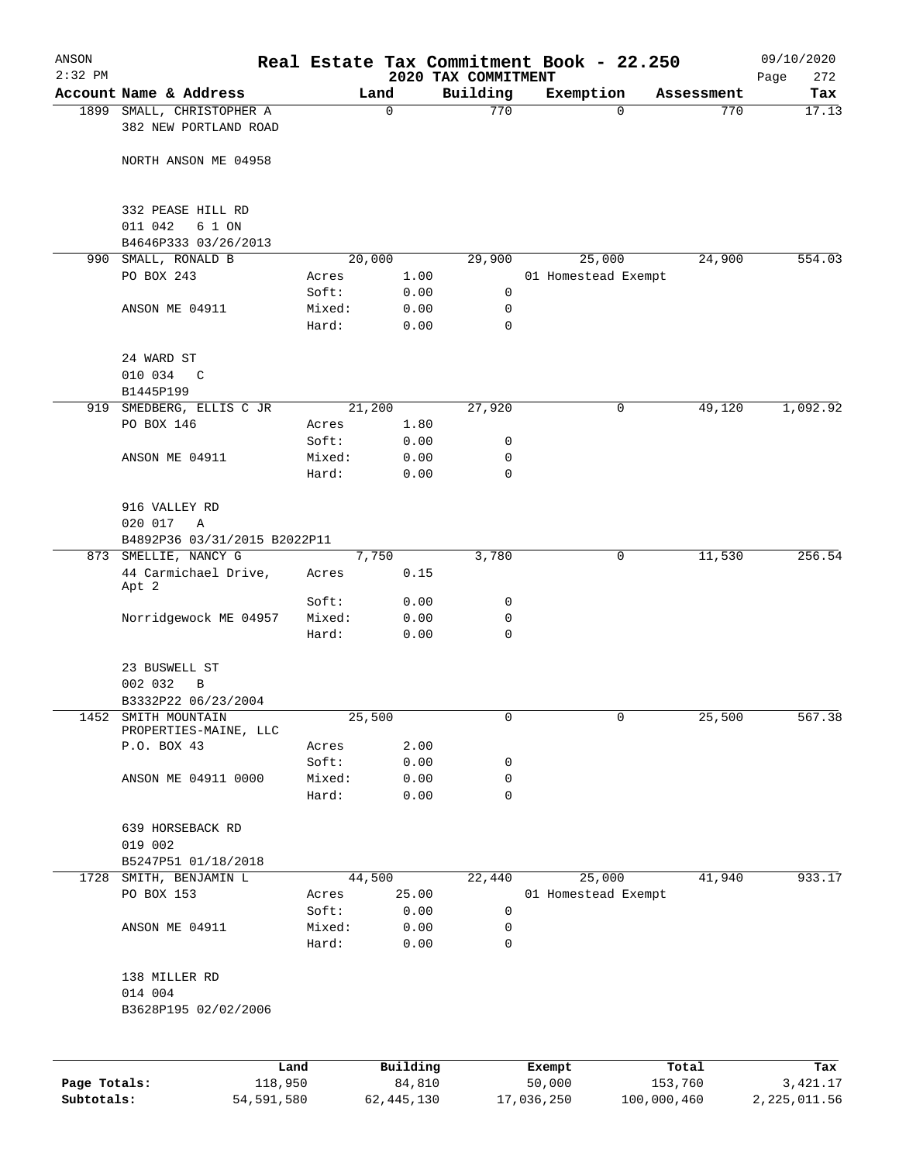| $2:32$ PM |                                              |                |              |                                 | Real Estate Tax Commitment Book - 22.250 |                    | 09/10/2020         |
|-----------|----------------------------------------------|----------------|--------------|---------------------------------|------------------------------------------|--------------------|--------------------|
|           | Account Name & Address                       |                | Land         | 2020 TAX COMMITMENT<br>Building | Exemption                                | Assessment         | 272<br>Page<br>Tax |
|           | 1899 SMALL, CHRISTOPHER A                    |                | 0            | 770                             |                                          | 770<br>$\mathbf 0$ | 17.13              |
|           | 382 NEW PORTLAND ROAD                        |                |              |                                 |                                          |                    |                    |
|           | NORTH ANSON ME 04958                         |                |              |                                 |                                          |                    |                    |
|           | 332 PEASE HILL RD<br>011 042<br>6 1 ON       |                |              |                                 |                                          |                    |                    |
|           | B4646P333 03/26/2013                         |                |              |                                 |                                          |                    |                    |
| 990       | SMALL, RONALD B                              |                | 20,000       | 29,900                          | 25,000                                   | 24,900             | 554.03             |
|           | PO BOX 243                                   | Acres          | 1.00         |                                 | 01 Homestead Exempt                      |                    |                    |
|           |                                              | Soft:          | 0.00         | 0                               |                                          |                    |                    |
|           | ANSON ME 04911                               | Mixed:         | 0.00         | 0                               |                                          |                    |                    |
|           |                                              | Hard:          | 0.00         | $\mathbf 0$                     |                                          |                    |                    |
|           | 24 WARD ST<br>010 034<br>C                   |                |              |                                 |                                          |                    |                    |
|           | B1445P199                                    |                |              |                                 |                                          |                    |                    |
|           | 919 SMEDBERG, ELLIS C JR                     |                | 21,200       | 27,920                          |                                          | 49,120<br>0        | 1,092.92           |
|           | PO BOX 146                                   | Acres          | 1.80         |                                 |                                          |                    |                    |
|           |                                              | Soft:          | 0.00         | 0                               |                                          |                    |                    |
|           | ANSON ME 04911                               | Mixed:         | 0.00         | 0                               |                                          |                    |                    |
|           |                                              | Hard:          | 0.00         | $\mathbf 0$                     |                                          |                    |                    |
|           |                                              |                |              |                                 |                                          |                    |                    |
|           | 916 VALLEY RD                                |                |              |                                 |                                          |                    |                    |
|           | 020 017<br>Α                                 |                |              |                                 |                                          |                    |                    |
|           | B4892P36 03/31/2015 B2022P11                 |                |              |                                 |                                          |                    |                    |
|           | 873 SMELLIE, NANCY G                         |                | 7,750        | 3,780                           |                                          | 0<br>11,530        | 256.54             |
|           | 44 Carmichael Drive,<br>Apt 2                | Acres<br>Soft: | 0.15<br>0.00 | 0                               |                                          |                    |                    |
|           | Norridgewock ME 04957                        | Mixed:         | 0.00         | 0                               |                                          |                    |                    |
|           |                                              | Hard:          | 0.00         | $\mathbf 0$                     |                                          |                    |                    |
|           |                                              |                |              |                                 |                                          |                    |                    |
|           | 23 BUSWELL ST                                |                |              |                                 |                                          |                    |                    |
|           | 002 032<br>B                                 |                |              |                                 |                                          |                    |                    |
|           | B3332P22 06/23/2004                          |                |              |                                 |                                          |                    |                    |
|           | 1452 SMITH MOUNTAIN<br>PROPERTIES-MAINE, LLC |                | 25,500       | 0                               |                                          | 0<br>25,500        | 567.38             |
|           | P.O. BOX 43                                  | Acres<br>Soft: | 2.00<br>0.00 |                                 |                                          |                    |                    |
|           | ANSON ME 04911 0000                          | Mixed:         | 0.00         | 0<br>0                          |                                          |                    |                    |
|           |                                              | Hard:          | 0.00         | $\mathbf 0$                     |                                          |                    |                    |
|           |                                              |                |              |                                 |                                          |                    |                    |
|           | 639 HORSEBACK RD<br>019 002                  |                |              |                                 |                                          |                    |                    |
|           | B5247P51 01/18/2018                          |                |              |                                 |                                          |                    |                    |
|           | 1728 SMITH, BENJAMIN L                       |                | 44,500       | 22,440                          | 25,000                                   | 41,940             | 933.17             |
|           | PO BOX 153                                   | Acres          | 25.00        |                                 | 01 Homestead Exempt                      |                    |                    |
|           |                                              | Soft:          | 0.00         | 0                               |                                          |                    |                    |
|           | ANSON ME 04911                               | Mixed:         | 0.00         | 0                               |                                          |                    |                    |
|           |                                              | Hard:          | 0.00         | 0                               |                                          |                    |                    |
|           | 138 MILLER RD                                |                |              |                                 |                                          |                    |                    |
|           | 014 004                                      |                |              |                                 |                                          |                    |                    |
|           | B3628P195 02/02/2006                         |                |              |                                 |                                          |                    |                    |
|           |                                              |                |              |                                 |                                          |                    |                    |
|           |                                              |                |              |                                 |                                          |                    |                    |
|           |                                              | Land           | Building     |                                 | Exempt                                   | Total              | Tax                |

**Subtotals:** 54,591,580 62,445,130 17,036,250 100,000,460 2,225,011.56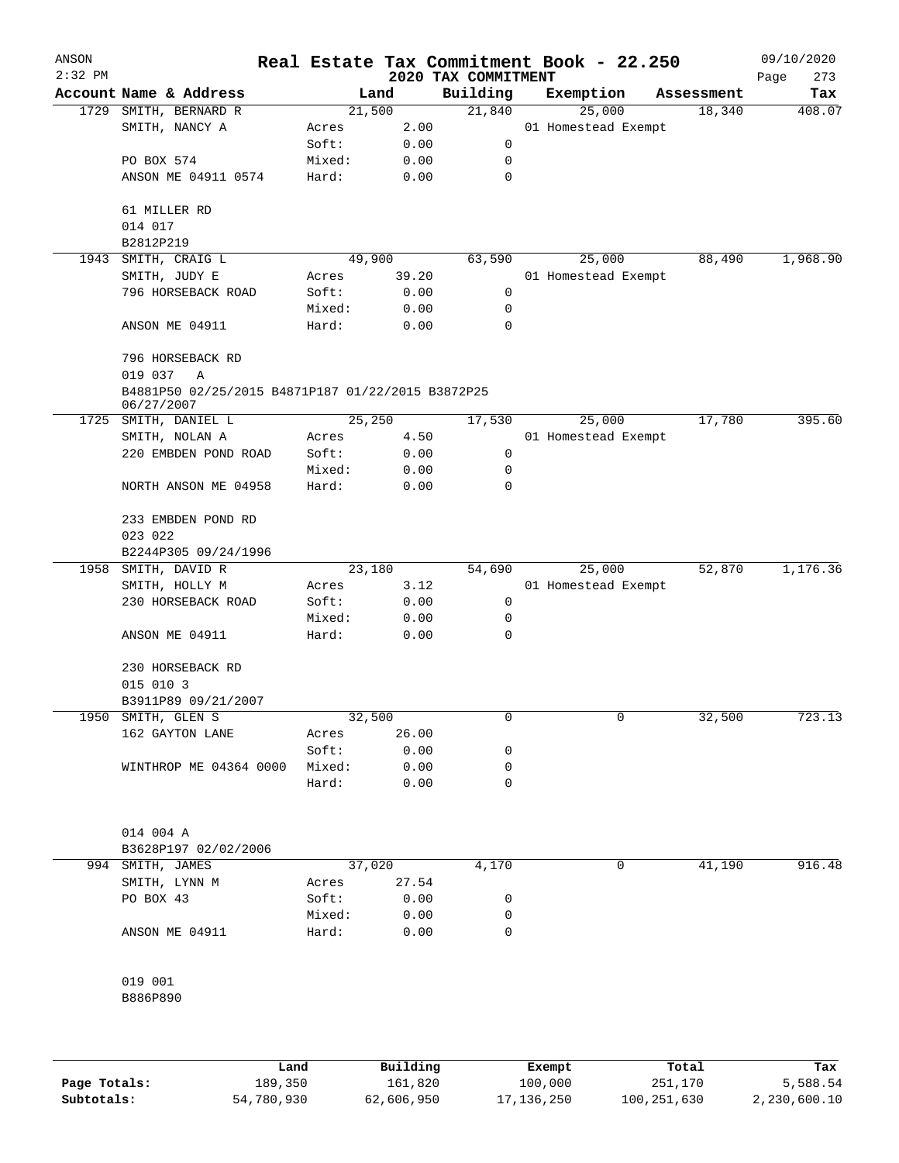| ANSON     |                                                   |        |        |                                 | Real Estate Tax Commitment Book - 22.250 |            | 09/10/2020         |
|-----------|---------------------------------------------------|--------|--------|---------------------------------|------------------------------------------|------------|--------------------|
| $2:32$ PM | Account Name & Address                            |        | Land   | 2020 TAX COMMITMENT<br>Building | Exemption                                | Assessment | 273<br>Page<br>Tax |
| 1729      | SMITH, BERNARD R                                  |        | 21,500 | 21,840                          | 25,000                                   | 18,340     | 408.07             |
|           | SMITH, NANCY A                                    | Acres  | 2.00   |                                 | 01 Homestead Exempt                      |            |                    |
|           |                                                   | Soft:  | 0.00   | 0                               |                                          |            |                    |
|           | PO BOX 574                                        | Mixed: |        | 0                               |                                          |            |                    |
|           |                                                   |        | 0.00   | 0                               |                                          |            |                    |
|           | ANSON ME 04911 0574                               | Hard:  | 0.00   |                                 |                                          |            |                    |
|           |                                                   |        |        |                                 |                                          |            |                    |
|           | 61 MILLER RD                                      |        |        |                                 |                                          |            |                    |
|           | 014 017                                           |        |        |                                 |                                          |            |                    |
|           | B2812P219                                         |        |        |                                 |                                          |            |                    |
| 1943      | SMITH, CRAIG L                                    |        | 49,900 | 63,590                          | 25,000                                   | 88,490     | 1,968.90           |
|           | SMITH, JUDY E                                     | Acres  | 39.20  |                                 | 01 Homestead Exempt                      |            |                    |
|           | 796 HORSEBACK ROAD                                | Soft:  | 0.00   | 0                               |                                          |            |                    |
|           |                                                   | Mixed: | 0.00   | $\mathbf 0$                     |                                          |            |                    |
|           | ANSON ME 04911                                    | Hard:  | 0.00   | 0                               |                                          |            |                    |
|           | 796 HORSEBACK RD<br>019 037<br>Α                  |        |        |                                 |                                          |            |                    |
|           | B4881P50 02/25/2015 B4871P187 01/22/2015 B3872P25 |        |        |                                 |                                          |            |                    |
| 1725      | 06/27/2007<br>SMITH, DANIEL L                     |        | 25,250 | 17,530                          | 25,000                                   | 17,780     | 395.60             |
|           |                                                   |        |        |                                 |                                          |            |                    |
|           | SMITH, NOLAN A                                    | Acres  | 4.50   |                                 | 01 Homestead Exempt                      |            |                    |
|           | 220 EMBDEN POND ROAD                              | Soft:  | 0.00   | 0                               |                                          |            |                    |
|           |                                                   | Mixed: | 0.00   | 0                               |                                          |            |                    |
|           | NORTH ANSON ME 04958                              | Hard:  | 0.00   | 0                               |                                          |            |                    |
|           | 233 EMBDEN POND RD<br>023 022                     |        |        |                                 |                                          |            |                    |
|           | B2244P305 09/24/1996                              |        |        |                                 |                                          |            |                    |
| 1958      | SMITH, DAVID R                                    |        | 23,180 | 54,690                          | 25,000                                   | 52,870     | 1,176.36           |
|           | SMITH, HOLLY M                                    | Acres  | 3.12   |                                 | 01 Homestead Exempt                      |            |                    |
|           | 230 HORSEBACK ROAD                                | Soft:  | 0.00   | 0                               |                                          |            |                    |
|           |                                                   | Mixed: | 0.00   | 0                               |                                          |            |                    |
|           | ANSON ME 04911                                    | Hard:  | 0.00   | 0                               |                                          |            |                    |
|           |                                                   |        |        |                                 |                                          |            |                    |
|           | 230 HORSEBACK RD                                  |        |        |                                 |                                          |            |                    |
|           | 015 010 3                                         |        |        |                                 |                                          |            |                    |
|           |                                                   |        |        |                                 |                                          |            |                    |
|           | B3911P89 09/21/2007                               |        |        |                                 |                                          |            |                    |
| 1950      | SMITH, GLEN S                                     |        | 32,500 | 0                               | 0                                        | 32,500     | 723.13             |
|           | 162 GAYTON LANE                                   | Acres  | 26.00  |                                 |                                          |            |                    |
|           |                                                   | Soft:  | 0.00   | 0                               |                                          |            |                    |
|           | WINTHROP ME 04364 0000                            | Mixed: | 0.00   | 0                               |                                          |            |                    |
|           |                                                   | Hard:  | 0.00   | 0                               |                                          |            |                    |
|           | 014 004 A                                         |        |        |                                 |                                          |            |                    |
|           | B3628P197 02/02/2006                              |        |        |                                 |                                          |            |                    |
|           | 994 SMITH, JAMES                                  |        | 37,020 | 4,170                           | 0                                        | 41,190     | 916.48             |
|           |                                                   |        |        |                                 |                                          |            |                    |
|           | SMITH, LYNN M                                     | Acres  | 27.54  |                                 |                                          |            |                    |
|           | PO BOX 43                                         | Soft:  | 0.00   | 0                               |                                          |            |                    |
|           |                                                   | Mixed: | 0.00   | 0                               |                                          |            |                    |
|           | ANSON ME 04911                                    | Hard:  | 0.00   | 0                               |                                          |            |                    |
|           | 019 001                                           |        |        |                                 |                                          |            |                    |
|           | B886P890                                          |        |        |                                 |                                          |            |                    |
|           |                                                   |        |        |                                 |                                          |            |                    |
|           |                                                   |        |        |                                 |                                          |            |                    |
|           |                                                   |        |        |                                 |                                          |            |                    |
|           |                                                   |        |        |                                 |                                          |            |                    |

|              | Land       | Building   | Exempt       | Total       | Tax          |
|--------------|------------|------------|--------------|-------------|--------------|
| Page Totals: | 189,350    | 161,820    | 100,000      | 251,170     | 5,588.54     |
| Subtotals:   | 54,780,930 | 62,606,950 | 17, 136, 250 | 100,251,630 | 2,230,600.10 |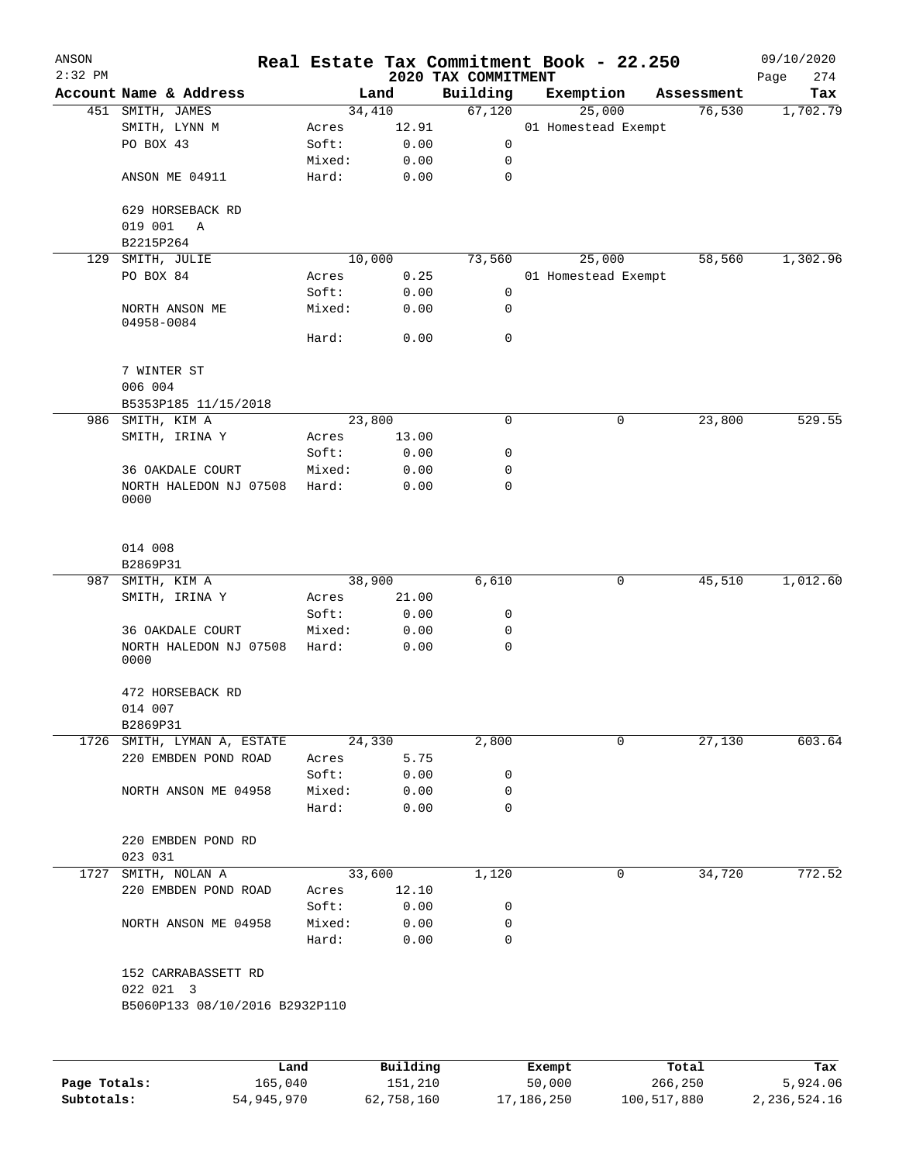| ANSON<br>$2:32$ PM |                                                    |                 |              |                                 | Real Estate Tax Commitment Book - 22.250 |            | 09/10/2020         |
|--------------------|----------------------------------------------------|-----------------|--------------|---------------------------------|------------------------------------------|------------|--------------------|
|                    | Account Name & Address                             |                 | Land         | 2020 TAX COMMITMENT<br>Building | Exemption                                | Assessment | 274<br>Page<br>Tax |
|                    | 451 SMITH, JAMES                                   |                 | 34,410       | 67,120                          | 25,000                                   | 76,530     | 1,702.79           |
|                    | SMITH, LYNN M                                      | Acres           | 12.91        |                                 | 01 Homestead Exempt                      |            |                    |
|                    | PO BOX 43                                          | Soft:           | 0.00         | 0                               |                                          |            |                    |
|                    |                                                    | Mixed:          | 0.00         | 0                               |                                          |            |                    |
|                    | ANSON ME 04911                                     | Hard:           | 0.00         | $\mathbf 0$                     |                                          |            |                    |
|                    | 629 HORSEBACK RD                                   |                 |              |                                 |                                          |            |                    |
|                    | 019 001<br>Α                                       |                 |              |                                 |                                          |            |                    |
|                    | B2215P264                                          |                 |              |                                 |                                          |            |                    |
| 129                | SMITH, JULIE                                       |                 | 10,000       | 73,560                          | 25,000                                   | 58,560     | 1,302.96           |
|                    | PO BOX 84                                          | Acres           | 0.25         |                                 | 01 Homestead Exempt                      |            |                    |
|                    |                                                    | Soft:           | 0.00         | 0                               |                                          |            |                    |
|                    | NORTH ANSON ME<br>04958-0084                       | Mixed:          | 0.00         | 0                               |                                          |            |                    |
|                    |                                                    | Hard:           | 0.00         | 0                               |                                          |            |                    |
|                    | 7 WINTER ST                                        |                 |              |                                 |                                          |            |                    |
|                    | 006 004                                            |                 |              |                                 |                                          |            |                    |
|                    | B5353P185 11/15/2018                               |                 | 23,800       | $\mathbf 0$                     |                                          |            | 529.55             |
| 986                | SMITH, KIM A                                       |                 |              |                                 | 0                                        | 23,800     |                    |
|                    | SMITH, IRINA Y                                     | Acres           | 13.00        |                                 |                                          |            |                    |
|                    |                                                    | Soft:           | 0.00         | 0                               |                                          |            |                    |
|                    | 36 OAKDALE COURT<br>NORTH HALEDON NJ 07508<br>0000 | Mixed:<br>Hard: | 0.00<br>0.00 | 0<br>0                          |                                          |            |                    |
|                    | 014 008<br>B2869P31                                |                 |              |                                 |                                          |            |                    |
| 987                | SMITH, KIM A                                       |                 | 38,900       | 6,610                           | 0                                        | 45,510     | 1,012.60           |
|                    | SMITH, IRINA Y                                     | Acres           | 21.00        |                                 |                                          |            |                    |
|                    |                                                    | Soft:           | 0.00         | 0                               |                                          |            |                    |
|                    | 36 OAKDALE COURT                                   | Mixed:          | 0.00         | 0                               |                                          |            |                    |
|                    | NORTH HALEDON NJ 07508<br>0000                     | Hard:           | 0.00         | $\mathbf 0$                     |                                          |            |                    |
|                    | 472 HORSEBACK RD                                   |                 |              |                                 |                                          |            |                    |
|                    | 014 007                                            |                 |              |                                 |                                          |            |                    |
|                    | B2869P31                                           |                 |              |                                 |                                          |            |                    |
|                    | 1726 SMITH, LYMAN A, ESTATE                        |                 | 24,330       | 2,800                           | 0                                        | 27,130     | 603.64             |
|                    | 220 EMBDEN POND ROAD                               | Acres           | 5.75         |                                 |                                          |            |                    |
|                    |                                                    | Soft:           | 0.00         | 0                               |                                          |            |                    |
|                    | NORTH ANSON ME 04958                               | Mixed:          | 0.00         | 0                               |                                          |            |                    |
|                    |                                                    | Hard:           | 0.00         | 0                               |                                          |            |                    |
|                    | 220 EMBDEN POND RD                                 |                 |              |                                 |                                          |            |                    |
|                    | 023 031                                            |                 |              |                                 |                                          |            |                    |
| 1727               | SMITH, NOLAN A                                     |                 | 33,600       | 1,120                           | 0                                        | 34,720     | 772.52             |
|                    | 220 EMBDEN POND ROAD                               | Acres           | 12.10        |                                 |                                          |            |                    |
|                    |                                                    | Soft:           | 0.00         | 0                               |                                          |            |                    |
|                    | NORTH ANSON ME 04958                               | Mixed:<br>Hard: | 0.00<br>0.00 | 0<br>0                          |                                          |            |                    |
|                    | 152 CARRABASSETT RD                                |                 |              |                                 |                                          |            |                    |
|                    | 022 021 3<br>B5060P133 08/10/2016 B2932P110        |                 |              |                                 |                                          |            |                    |
|                    |                                                    |                 |              |                                 |                                          |            |                    |
|                    |                                                    | Land            | Building     |                                 | Exempt                                   | Total      | Tax                |
| Page Totals:       |                                                    | 165,040         | 151,210      |                                 | 50,000                                   | 266,250    | 5,924.06           |

**Subtotals:** 54,945,970 62,758,160 17,186,250 100,517,880 2,236,524.16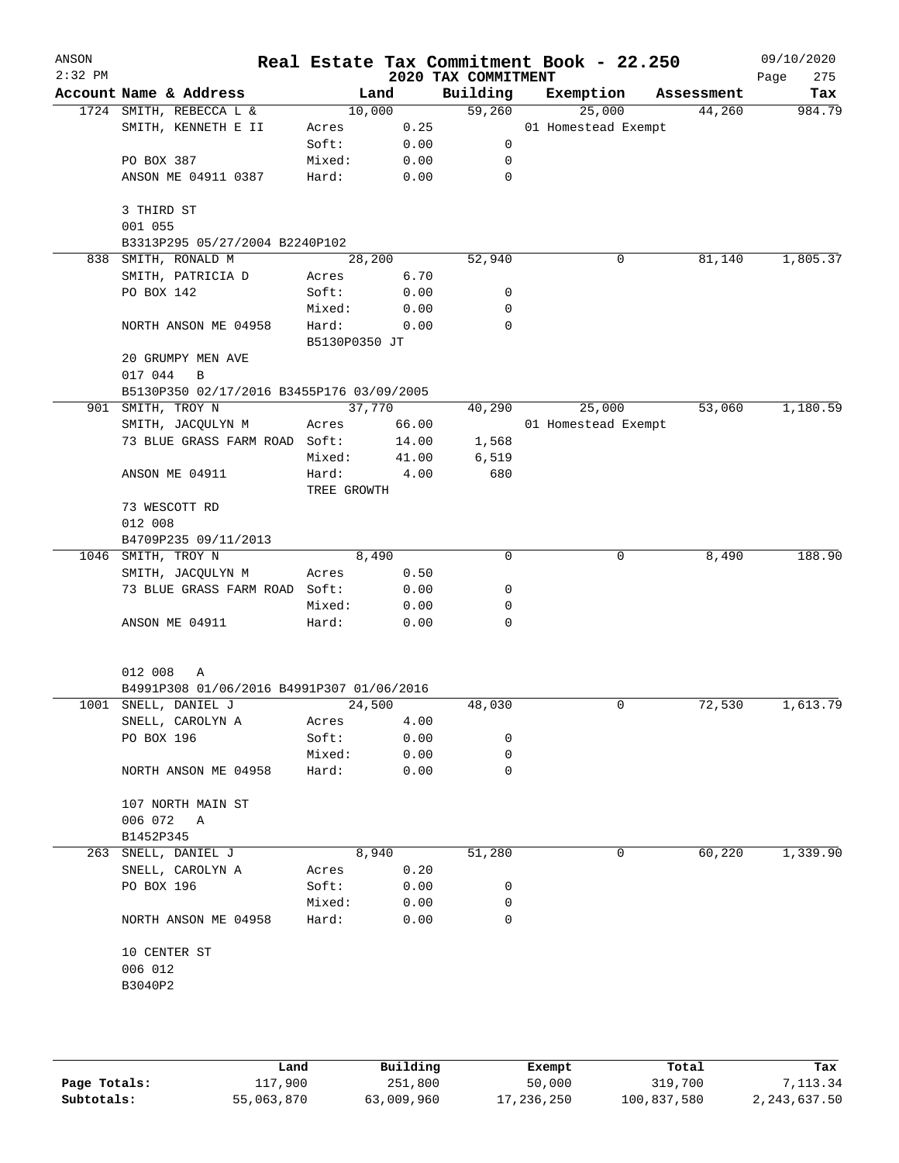| ANSON     |                                           |               |                |                     | Real Estate Tax Commitment Book - 22.250 |                      | 09/10/2020    |
|-----------|-------------------------------------------|---------------|----------------|---------------------|------------------------------------------|----------------------|---------------|
| $2:32$ PM | Account Name & Address                    |               |                | 2020 TAX COMMITMENT |                                          |                      | 275<br>Page   |
|           | 1724 SMITH, REBECCA L &                   |               | Land<br>10,000 | Building<br>59,260  | Exemption<br>25,000                      | Assessment<br>44,260 | Tax<br>984.79 |
|           | SMITH, KENNETH E II                       | Acres         | 0.25           |                     | 01 Homestead Exempt                      |                      |               |
|           |                                           | Soft:         | 0.00           | 0                   |                                          |                      |               |
|           | PO BOX 387                                | Mixed:        | 0.00           | 0                   |                                          |                      |               |
|           | ANSON ME 04911 0387                       | Hard:         | 0.00           | $\mathbf 0$         |                                          |                      |               |
|           | 3 THIRD ST<br>001 055                     |               |                |                     |                                          |                      |               |
|           | B3313P295 05/27/2004 B2240P102            |               |                |                     |                                          |                      |               |
|           | 838 SMITH, RONALD M                       |               | 28,200         | 52,940              | 0                                        | 81,140               | 1,805.37      |
|           | SMITH, PATRICIA D                         | Acres         | 6.70           |                     |                                          |                      |               |
|           | PO BOX 142                                | Soft:         | 0.00           | 0                   |                                          |                      |               |
|           |                                           | Mixed:        | 0.00           | 0                   |                                          |                      |               |
|           | NORTH ANSON ME 04958                      | Hard:         | 0.00           | $\Omega$            |                                          |                      |               |
|           |                                           | B5130P0350 JT |                |                     |                                          |                      |               |
|           | 20 GRUMPY MEN AVE<br>017 044<br>B         |               |                |                     |                                          |                      |               |
|           | B5130P350 02/17/2016 B3455P176 03/09/2005 |               |                |                     |                                          |                      |               |
|           | 901 SMITH, TROY N                         |               | 37,770         | 40,290              | 25,000                                   | 53,060               | 1,180.59      |
|           | SMITH, JACQULYN M                         | Acres         | 66.00          |                     | 01 Homestead Exempt                      |                      |               |
|           | 73 BLUE GRASS FARM ROAD Soft:             |               | 14.00          | 1,568               |                                          |                      |               |
|           |                                           | Mixed:        | 41.00          | 6,519               |                                          |                      |               |
|           | ANSON ME 04911                            | Hard:         | 4.00           | 680                 |                                          |                      |               |
|           |                                           | TREE GROWTH   |                |                     |                                          |                      |               |
|           | 73 WESCOTT RD                             |               |                |                     |                                          |                      |               |
|           | 012 008                                   |               |                |                     |                                          |                      |               |
|           | B4709P235 09/11/2013                      |               |                |                     |                                          |                      |               |
|           | 1046 SMITH, TROY N                        |               | 8,490          | $\Omega$            | $\Omega$                                 | 8,490                | 188.90        |
|           | SMITH, JACQULYN M                         | Acres         | 0.50           |                     |                                          |                      |               |
|           | 73 BLUE GRASS FARM ROAD Soft:             |               | 0.00           | 0                   |                                          |                      |               |
|           |                                           | Mixed:        | 0.00           | 0                   |                                          |                      |               |
|           | ANSON ME 04911                            | Hard:         | 0.00           | 0                   |                                          |                      |               |
|           | 012 008<br>Α                              |               |                |                     |                                          |                      |               |
|           | B4991P308 01/06/2016 B4991P307 01/06/2016 |               |                |                     |                                          |                      |               |
|           | 1001 SNELL, DANIEL J                      |               | 24,500         | 48,030              | 0                                        | 72,530               | 1,613.79      |
|           | SNELL, CAROLYN A                          | Acres         | 4.00           |                     |                                          |                      |               |
|           | PO BOX 196                                | Soft:         | 0.00           | 0                   |                                          |                      |               |
|           |                                           | Mixed:        | 0.00           | 0                   |                                          |                      |               |
|           | NORTH ANSON ME 04958                      | Hard:         | 0.00           | 0                   |                                          |                      |               |
|           | 107 NORTH MAIN ST                         |               |                |                     |                                          |                      |               |
|           | 006 072 A                                 |               |                |                     |                                          |                      |               |
|           | B1452P345                                 |               |                |                     |                                          |                      |               |
|           | 263 SNELL, DANIEL J                       |               | 8,940          | 51,280              | 0                                        | 60,220               | 1,339.90      |
|           | SNELL, CAROLYN A                          | Acres         | 0.20           |                     |                                          |                      |               |
|           | PO BOX 196                                | Soft:         | 0.00           | 0                   |                                          |                      |               |
|           |                                           | Mixed:        | 0.00           | 0                   |                                          |                      |               |
|           | NORTH ANSON ME 04958                      | Hard:         | 0.00           | 0                   |                                          |                      |               |
|           | 10 CENTER ST<br>006 012                   |               |                |                     |                                          |                      |               |
|           | B3040P2                                   |               |                |                     |                                          |                      |               |
|           |                                           |               |                |                     |                                          |                      |               |
|           |                                           |               |                |                     |                                          |                      |               |
|           |                                           |               |                |                     |                                          |                      |               |
|           |                                           |               |                |                     |                                          |                      |               |

|              | Land       | Building   | Exempt     | Total       | Tax          |
|--------------|------------|------------|------------|-------------|--------------|
| Page Totals: | 117,900    | 251,800    | 50,000     | 319,700     | 7, 113, 34   |
| Subtotals:   | 55,063,870 | 63,009,960 | 17,236,250 | 100,837,580 | 2,243,637.50 |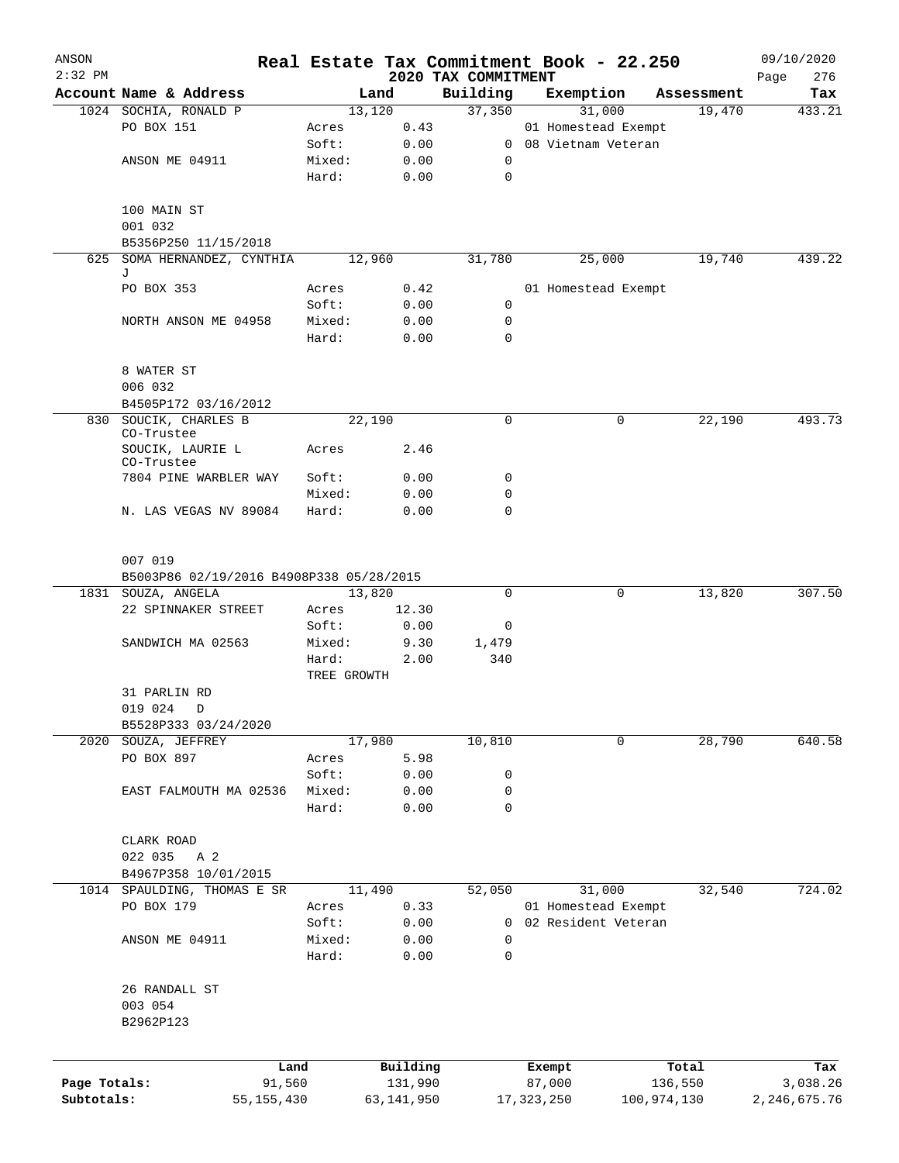| ANSON        |                                          |                |                     | Real Estate Tax Commitment Book - 22.250 |                      |             |                  | 09/10/2020      |
|--------------|------------------------------------------|----------------|---------------------|------------------------------------------|----------------------|-------------|------------------|-----------------|
| $2:32$ PM    |                                          |                |                     | 2020 TAX COMMITMENT                      |                      |             |                  | 276<br>Page     |
|              | Account Name & Address                   |                | Land                | Building                                 | Exemption            |             | Assessment       | Tax             |
|              | 1024 SOCHIA, RONALD P<br>PO BOX 151      |                | 13,120<br>0.43      | 37,350                                   | 01 Homestead Exempt  | 31,000      | 19,470           | 433.21          |
|              |                                          | Acres<br>Soft: | 0.00                |                                          | 0 08 Vietnam Veteran |             |                  |                 |
|              | ANSON ME 04911                           | Mixed:         | 0.00                | 0                                        |                      |             |                  |                 |
|              |                                          | Hard:          | 0.00                | $\mathbf 0$                              |                      |             |                  |                 |
|              |                                          |                |                     |                                          |                      |             |                  |                 |
|              | 100 MAIN ST                              |                |                     |                                          |                      |             |                  |                 |
|              | 001 032                                  |                |                     |                                          |                      |             |                  |                 |
|              | B5356P250 11/15/2018                     |                |                     |                                          |                      |             |                  |                 |
|              | 625 SOMA HERNANDEZ, CYNTHIA              |                | 12,960              | 31,780                                   |                      | 25,000      | 19,740           | 439.22          |
|              | J                                        |                |                     |                                          |                      |             |                  |                 |
|              | PO BOX 353                               | Acres          | 0.42                |                                          | 01 Homestead Exempt  |             |                  |                 |
|              |                                          | Soft:          | 0.00                | $\mathbf 0$                              |                      |             |                  |                 |
|              | NORTH ANSON ME 04958                     | Mixed:         | 0.00                | 0                                        |                      |             |                  |                 |
|              |                                          | Hard:          | 0.00                | $\mathbf 0$                              |                      |             |                  |                 |
|              |                                          |                |                     |                                          |                      |             |                  |                 |
|              | 8 WATER ST                               |                |                     |                                          |                      |             |                  |                 |
|              | 006 032                                  |                |                     |                                          |                      |             |                  |                 |
|              | B4505P172 03/16/2012                     |                |                     |                                          |                      |             |                  |                 |
|              | 830 SOUCIK, CHARLES B                    |                | 22,190              | $\mathbf 0$                              |                      | 0           | 22,190           | 493.73          |
|              | CO-Trustee                               |                |                     |                                          |                      |             |                  |                 |
|              | SOUCIK, LAURIE L<br>CO-Trustee           | Acres          | 2.46                |                                          |                      |             |                  |                 |
|              | 7804 PINE WARBLER WAY                    | Soft:          | 0.00                | 0                                        |                      |             |                  |                 |
|              |                                          | Mixed:         | 0.00                | 0                                        |                      |             |                  |                 |
|              | N. LAS VEGAS NV 89084                    | Hard:          | 0.00                | $\mathbf 0$                              |                      |             |                  |                 |
|              |                                          |                |                     |                                          |                      |             |                  |                 |
|              | 007 019                                  |                |                     |                                          |                      |             |                  |                 |
|              | B5003P86 02/19/2016 B4908P338 05/28/2015 |                |                     |                                          |                      |             |                  |                 |
|              | 1831 SOUZA, ANGELA                       |                | 13,820              | 0                                        |                      | 0           | 13,820           | 307.50          |
|              | 22 SPINNAKER STREET                      | Acres          | 12.30               |                                          |                      |             |                  |                 |
|              |                                          | Soft:          | 0.00                | 0                                        |                      |             |                  |                 |
|              | SANDWICH MA 02563                        | Mixed:         | 9.30                | 1,479                                    |                      |             |                  |                 |
|              |                                          | Hard:          | 2.00                | 340                                      |                      |             |                  |                 |
|              |                                          | TREE GROWTH    |                     |                                          |                      |             |                  |                 |
|              | 31 PARLIN RD                             |                |                     |                                          |                      |             |                  |                 |
|              | 019 024 D                                |                |                     |                                          |                      |             |                  |                 |
|              | B5528P333 03/24/2020                     |                |                     |                                          |                      |             | 28,790           | 640.58          |
|              | 2020 SOUZA, JEFFREY<br>PO BOX 897        | Acres          | 17,980              | 10,810                                   |                      | $\mathbf 0$ |                  |                 |
|              |                                          | Soft:          | 5.98<br>0.00        | 0                                        |                      |             |                  |                 |
|              | EAST FALMOUTH MA 02536                   | Mixed:         | 0.00                | 0                                        |                      |             |                  |                 |
|              |                                          | Hard:          | 0.00                | $\mathbf 0$                              |                      |             |                  |                 |
|              |                                          |                |                     |                                          |                      |             |                  |                 |
|              | CLARK ROAD                               |                |                     |                                          |                      |             |                  |                 |
|              | 022 035<br>A 2                           |                |                     |                                          |                      |             |                  |                 |
|              | B4967P358 10/01/2015                     |                |                     |                                          |                      |             |                  |                 |
|              | 1014 SPAULDING, THOMAS E SR              |                | 11,490              | 52,050                                   |                      | 31,000      | 32,540           | 724.02          |
|              | PO BOX 179                               | Acres          | 0.33                |                                          | 01 Homestead Exempt  |             |                  |                 |
|              |                                          | Soft:          | 0.00                | 0                                        | 02 Resident Veteran  |             |                  |                 |
|              | ANSON ME 04911                           | Mixed:         | 0.00                | $\mathbf 0$                              |                      |             |                  |                 |
|              |                                          | Hard:          | 0.00                | $\mathbf 0$                              |                      |             |                  |                 |
|              |                                          |                |                     |                                          |                      |             |                  |                 |
|              | 26 RANDALL ST                            |                |                     |                                          |                      |             |                  |                 |
|              | 003 054                                  |                |                     |                                          |                      |             |                  |                 |
|              | B2962P123                                |                |                     |                                          |                      |             |                  |                 |
|              |                                          |                |                     |                                          |                      |             |                  |                 |
|              |                                          |                |                     |                                          |                      |             |                  |                 |
| Page Totals: |                                          | Land<br>91,560 | Building<br>131,990 |                                          | Exempt<br>87,000     |             | Total<br>136,550 | Tax<br>3,038.26 |
| Subtotals:   | 55, 155, 430                             |                | 63, 141, 950        |                                          | 17, 323, 250         | 100,974,130 |                  | 2, 246, 675.76  |
|              |                                          |                |                     |                                          |                      |             |                  |                 |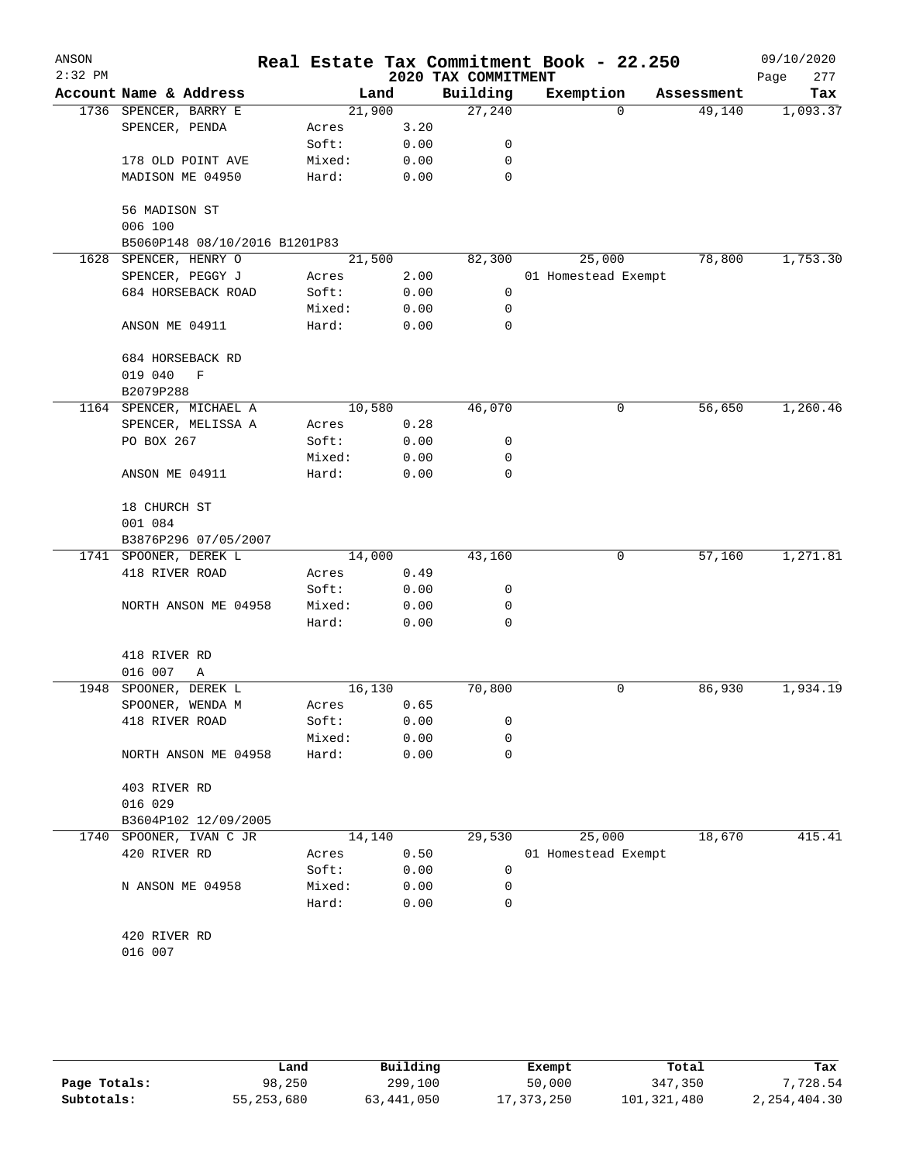| ANSON<br>$2:32$ PM |                               |        |      | 2020 TAX COMMITMENT | Real Estate Tax Commitment Book - 22.250 |          |            | 09/10/2020         |
|--------------------|-------------------------------|--------|------|---------------------|------------------------------------------|----------|------------|--------------------|
|                    | Account Name & Address        | Land   |      | Building            | Exemption                                |          | Assessment | 277<br>Page<br>Tax |
|                    | 1736 SPENCER, BARRY E         | 21,900 |      | 27,240              |                                          | $\Omega$ | 49,140     | 1,093.37           |
|                    | SPENCER, PENDA                | Acres  | 3.20 |                     |                                          |          |            |                    |
|                    |                               | Soft:  | 0.00 | 0                   |                                          |          |            |                    |
|                    | 178 OLD POINT AVE             | Mixed: | 0.00 | 0                   |                                          |          |            |                    |
|                    | MADISON ME 04950              | Hard:  | 0.00 | 0                   |                                          |          |            |                    |
|                    |                               |        |      |                     |                                          |          |            |                    |
|                    | 56 MADISON ST                 |        |      |                     |                                          |          |            |                    |
|                    | 006 100                       |        |      |                     |                                          |          |            |                    |
|                    | B5060P148 08/10/2016 B1201P83 |        |      |                     |                                          |          |            |                    |
| 1628               | SPENCER, HENRY O              | 21,500 |      | 82,300              | 25,000                                   |          | 78,800     | 1,753.30           |
|                    | SPENCER, PEGGY J              | Acres  | 2.00 |                     | 01 Homestead Exempt                      |          |            |                    |
|                    | 684 HORSEBACK ROAD            | Soft:  | 0.00 | 0                   |                                          |          |            |                    |
|                    |                               | Mixed: | 0.00 | 0                   |                                          |          |            |                    |
|                    | ANSON ME 04911                | Hard:  | 0.00 | $\mathbf 0$         |                                          |          |            |                    |
|                    | 684 HORSEBACK RD              |        |      |                     |                                          |          |            |                    |
|                    | 019 040<br>$\mathbf F$        |        |      |                     |                                          |          |            |                    |
|                    | B2079P288                     |        |      |                     |                                          |          |            |                    |
|                    | 1164 SPENCER, MICHAEL A       | 10,580 |      | 46,070              |                                          | 0        | 56,650     | 1,260.46           |
|                    | SPENCER, MELISSA A            | Acres  | 0.28 |                     |                                          |          |            |                    |
|                    | PO BOX 267                    | Soft:  | 0.00 | 0                   |                                          |          |            |                    |
|                    |                               | Mixed: | 0.00 | 0                   |                                          |          |            |                    |
|                    | ANSON ME 04911                | Hard:  | 0.00 | 0                   |                                          |          |            |                    |
|                    | 18 CHURCH ST                  |        |      |                     |                                          |          |            |                    |
|                    | 001 084                       |        |      |                     |                                          |          |            |                    |
|                    | B3876P296 07/05/2007          |        |      |                     |                                          |          |            |                    |
|                    | 1741 SPOONER, DEREK L         | 14,000 |      | 43,160              |                                          | 0        | 57,160     | 1,271.81           |
|                    | 418 RIVER ROAD                | Acres  | 0.49 |                     |                                          |          |            |                    |
|                    |                               | Soft:  | 0.00 | 0                   |                                          |          |            |                    |
|                    | NORTH ANSON ME 04958          | Mixed: | 0.00 | 0                   |                                          |          |            |                    |
|                    |                               | Hard:  | 0.00 | 0                   |                                          |          |            |                    |
|                    | 418 RIVER RD                  |        |      |                     |                                          |          |            |                    |
|                    | 016 007<br>Α                  |        |      |                     |                                          |          |            |                    |
| 1948               | SPOONER, DEREK L              | 16,130 |      | 70,800              |                                          | 0        | 86,930     | 1,934.19           |
|                    | SPOONER, WENDA M              | Acres  | 0.65 |                     |                                          |          |            |                    |
|                    | 418 RIVER ROAD                | Soft:  | 0.00 | 0                   |                                          |          |            |                    |
|                    |                               | Mixed: | 0.00 | 0                   |                                          |          |            |                    |
|                    | NORTH ANSON ME 04958          | Hard:  | 0.00 | 0                   |                                          |          |            |                    |
|                    | 403 RIVER RD                  |        |      |                     |                                          |          |            |                    |
|                    | 016 029                       |        |      |                     |                                          |          |            |                    |
|                    | B3604P102 12/09/2005          |        |      |                     |                                          |          |            |                    |
|                    | 1740 SPOONER, IVAN C JR       | 14,140 |      | 29,530              | 25,000                                   |          | 18,670     | 415.41             |
|                    | 420 RIVER RD                  | Acres  | 0.50 |                     | 01 Homestead Exempt                      |          |            |                    |
|                    |                               | Soft:  | 0.00 | 0                   |                                          |          |            |                    |
|                    | N ANSON ME 04958              | Mixed: | 0.00 | 0                   |                                          |          |            |                    |
|                    |                               | Hard:  | 0.00 | 0                   |                                          |          |            |                    |
|                    | 420 RIVER RD                  |        |      |                     |                                          |          |            |                    |
|                    | 016 007                       |        |      |                     |                                          |          |            |                    |
|                    |                               |        |      |                     |                                          |          |            |                    |

|              | Land       | Building   | Exempt       | Total       | Tax          |
|--------------|------------|------------|--------------|-------------|--------------|
| Page Totals: | 98,250     | 299,100    | 50,000       | 347,350     | 7.728.54     |
| Subtotals:   | 55,253,680 | 63,441,050 | 17, 373, 250 | 101,321,480 | 2,254,404.30 |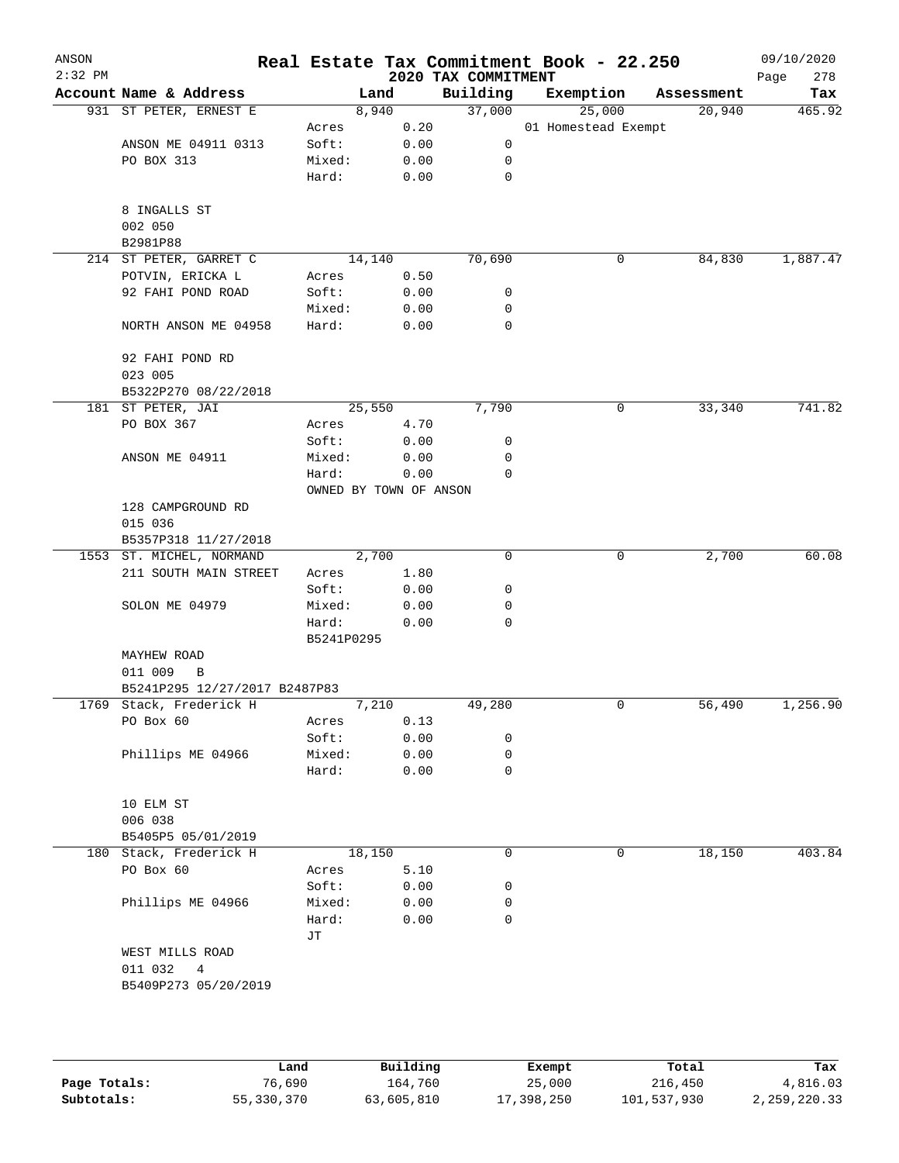| ANSON<br>$2:32$ PM |                               |                     |      | 2020 TAX COMMITMENT | Real Estate Tax Commitment Book - 22.250 |            | 09/10/2020<br>278<br>Page |  |
|--------------------|-------------------------------|---------------------|------|---------------------|------------------------------------------|------------|---------------------------|--|
|                    | Account Name & Address        | Land                |      | Building            | Exemption                                | Assessment | Tax                       |  |
|                    | 931 ST PETER, ERNEST E        | 8,940               |      | 37,000              | 25,000                                   | 20,940     | 465.92                    |  |
|                    |                               | Acres               | 0.20 |                     | 01 Homestead Exempt                      |            |                           |  |
|                    | ANSON ME 04911 0313           | Soft:               | 0.00 | 0                   |                                          |            |                           |  |
|                    | PO BOX 313                    | Mixed:              | 0.00 | 0                   |                                          |            |                           |  |
|                    |                               | Hard:               | 0.00 | $\mathbf 0$         |                                          |            |                           |  |
|                    | 8 INGALLS ST                  |                     |      |                     |                                          |            |                           |  |
|                    | 002 050                       |                     |      |                     |                                          |            |                           |  |
|                    | B2981P88                      |                     |      |                     |                                          |            |                           |  |
|                    | 214 ST PETER, GARRET C        | 14,140              |      | 70,690              | 0                                        | 84,830     | 1,887.47                  |  |
|                    | POTVIN, ERICKA L              | Acres               | 0.50 |                     |                                          |            |                           |  |
|                    | 92 FAHI POND ROAD             | Soft:               | 0.00 | 0                   |                                          |            |                           |  |
|                    |                               | Mixed:              | 0.00 | 0                   |                                          |            |                           |  |
|                    | NORTH ANSON ME 04958          | Hard:               | 0.00 | $\mathbf 0$         |                                          |            |                           |  |
|                    | 92 FAHI POND RD               |                     |      |                     |                                          |            |                           |  |
|                    | 023 005                       |                     |      |                     |                                          |            |                           |  |
|                    | B5322P270 08/22/2018          |                     |      |                     |                                          |            |                           |  |
|                    | 181 ST PETER, JAI             | 25,550              |      | 7,790               | 0                                        | 33,340     | 741.82                    |  |
|                    | PO BOX 367                    | Acres               | 4.70 |                     |                                          |            |                           |  |
|                    |                               | Soft:               | 0.00 | 0                   |                                          |            |                           |  |
|                    | ANSON ME 04911                | Mixed:              | 0.00 | 0                   |                                          |            |                           |  |
|                    |                               | Hard:               | 0.00 | 0                   |                                          |            |                           |  |
|                    | OWNED BY TOWN OF ANSON        |                     |      |                     |                                          |            |                           |  |
|                    | 128 CAMPGROUND RD             |                     |      |                     |                                          |            |                           |  |
|                    | 015 036                       |                     |      |                     |                                          |            |                           |  |
|                    | B5357P318 11/27/2018          |                     |      |                     |                                          |            |                           |  |
|                    | 1553 ST. MICHEL, NORMAND      | 2,700               |      | $\mathbf 0$         | 0                                        | 2,700      | 60.08                     |  |
|                    | 211 SOUTH MAIN STREET         | Acres               | 1.80 |                     |                                          |            |                           |  |
|                    |                               | Soft:               | 0.00 | 0                   |                                          |            |                           |  |
|                    | SOLON ME 04979                | Mixed:              | 0.00 | 0                   |                                          |            |                           |  |
|                    |                               | Hard:<br>B5241P0295 | 0.00 | 0                   |                                          |            |                           |  |
|                    | MAYHEW ROAD                   |                     |      |                     |                                          |            |                           |  |
|                    | 011 009<br>B                  |                     |      |                     |                                          |            |                           |  |
|                    | B5241P295 12/27/2017 B2487P83 |                     |      |                     |                                          |            |                           |  |
|                    | 1769 Stack, Frederick H       | 7,210               |      | 49,280              | 0                                        | 56,490     | 1,256.90                  |  |
|                    | PO Box 60                     | Acres               | 0.13 |                     |                                          |            |                           |  |
|                    |                               | Soft:               | 0.00 | 0                   |                                          |            |                           |  |
|                    | Phillips ME 04966             | Mixed:              | 0.00 | 0                   |                                          |            |                           |  |
|                    |                               | Hard:               | 0.00 | 0                   |                                          |            |                           |  |
|                    | 10 ELM ST                     |                     |      |                     |                                          |            |                           |  |
|                    | 006 038                       |                     |      |                     |                                          |            |                           |  |
|                    | B5405P5 05/01/2019            |                     |      |                     |                                          |            |                           |  |
|                    | 180 Stack, Frederick H        | 18,150              |      | 0                   | 0                                        | 18,150     | 403.84                    |  |
|                    | PO Box 60                     | Acres               | 5.10 |                     |                                          |            |                           |  |
|                    |                               | Soft:               | 0.00 | 0                   |                                          |            |                           |  |
|                    | Phillips ME 04966             | Mixed:              | 0.00 | 0                   |                                          |            |                           |  |
|                    |                               | Hard:<br>JТ         | 0.00 | 0                   |                                          |            |                           |  |
|                    | WEST MILLS ROAD               |                     |      |                     |                                          |            |                           |  |
|                    | 011 032<br>4                  |                     |      |                     |                                          |            |                           |  |
|                    | B5409P273 05/20/2019          |                     |      |                     |                                          |            |                           |  |
|                    |                               |                     |      |                     |                                          |            |                           |  |
|                    |                               |                     |      |                     |                                          |            |                           |  |
|                    |                               |                     |      |                     |                                          |            |                           |  |
|                    |                               |                     |      |                     |                                          |            |                           |  |

|              | Land       | Building   | Exempt     | Total       | Tax          |
|--------------|------------|------------|------------|-------------|--------------|
| Page Totals: | 76,690     | 164,760    | 25,000     | 216,450     | 4,816.03     |
| Subtotals:   | 55,330,370 | 63,605,810 | 17,398,250 | 101,537,930 | 2,259,220.33 |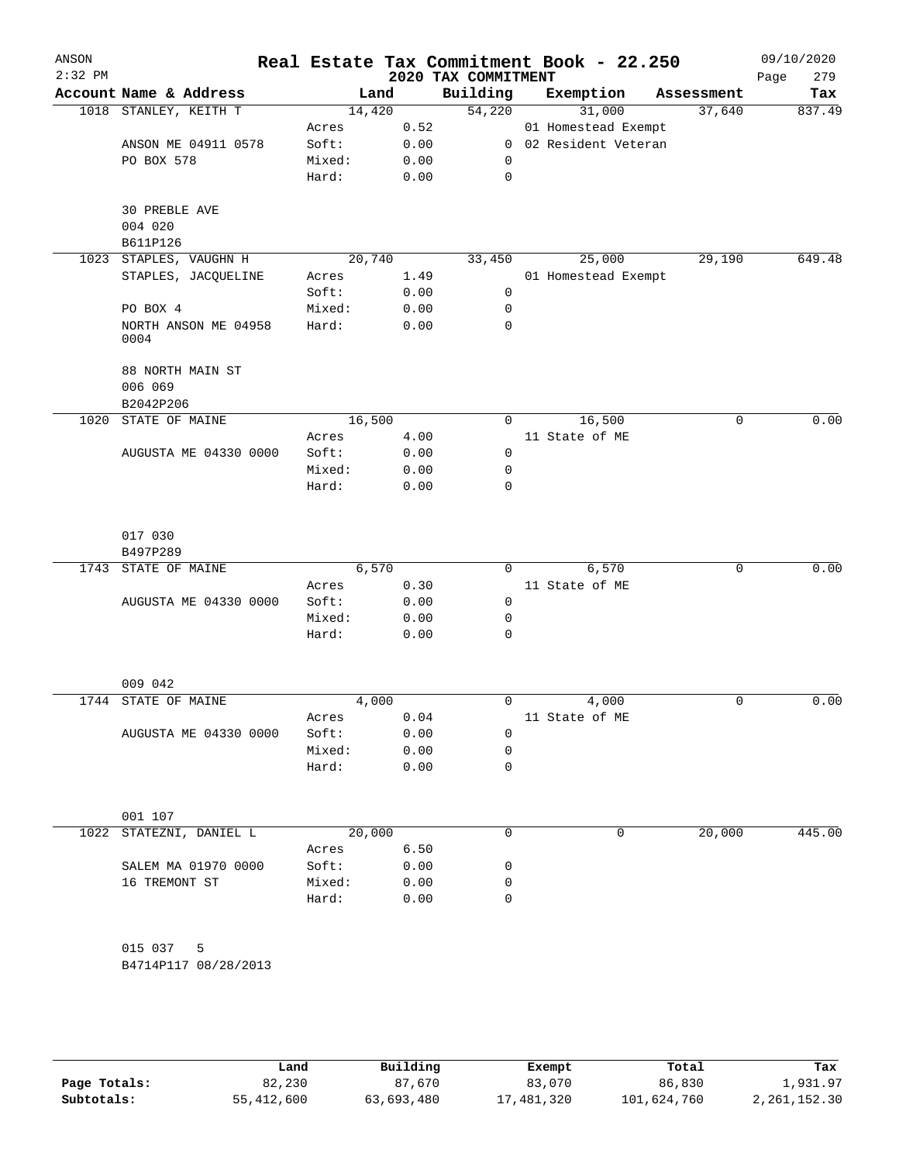| ANSON<br>$2:32$ PM |                             |                 |              | 2020 TAX COMMITMENT | Real Estate Tax Commitment Book - 22.250 |            | 09/10/2020<br>279<br>Page |
|--------------------|-----------------------------|-----------------|--------------|---------------------|------------------------------------------|------------|---------------------------|
|                    | Account Name & Address      | Land            |              | Building            | Exemption                                | Assessment | Tax                       |
|                    | 1018 STANLEY, KEITH T       | 14,420          |              | 54,220              | 31,000                                   | 37,640     | 837.49                    |
|                    |                             | Acres           | 0.52         |                     | 01 Homestead Exempt                      |            |                           |
|                    | ANSON ME 04911 0578         | Soft:           | 0.00         | $\overline{0}$      | 02 Resident Veteran                      |            |                           |
|                    | PO BOX 578                  | Mixed:          | 0.00         | 0                   |                                          |            |                           |
|                    |                             | Hard:           | 0.00         | $\mathbf 0$         |                                          |            |                           |
|                    |                             |                 |              |                     |                                          |            |                           |
|                    | 30 PREBLE AVE               |                 |              |                     |                                          |            |                           |
|                    | 004 020<br>B611P126         |                 |              |                     |                                          |            |                           |
| 1023               | STAPLES, VAUGHN H           | 20,740          |              | 33,450              | 25,000                                   | 29,190     | 649.48                    |
|                    | STAPLES, JACQUELINE         | Acres           | 1.49         |                     | 01 Homestead Exempt                      |            |                           |
|                    |                             | Soft:           | 0.00         | 0                   |                                          |            |                           |
|                    | PO BOX 4                    | Mixed:          | 0.00         | 0                   |                                          |            |                           |
|                    | NORTH ANSON ME 04958        | Hard:           | 0.00         | $\mathbf 0$         |                                          |            |                           |
|                    | 0004                        |                 |              |                     |                                          |            |                           |
|                    |                             |                 |              |                     |                                          |            |                           |
|                    | 88 NORTH MAIN ST            |                 |              |                     |                                          |            |                           |
|                    | 006 069                     |                 |              |                     |                                          |            |                           |
| 1020               | B2042P206<br>STATE OF MAINE | 16,500          |              | 0                   | 16,500                                   | 0          | 0.00                      |
|                    |                             | Acres           | 4.00         |                     | 11 State of ME                           |            |                           |
|                    | AUGUSTA ME 04330 0000       | Soft:           | 0.00         | 0                   |                                          |            |                           |
|                    |                             | Mixed:          | 0.00         | 0                   |                                          |            |                           |
|                    |                             | Hard:           | 0.00         | $\mathbf 0$         |                                          |            |                           |
|                    |                             |                 |              |                     |                                          |            |                           |
|                    |                             |                 |              |                     |                                          |            |                           |
|                    | 017 030                     |                 |              |                     |                                          |            |                           |
|                    | B497P289                    |                 |              |                     |                                          |            |                           |
| 1743               | STATE OF MAINE              | 6,570           |              | $\Omega$            | 6,570                                    | 0          | 0.00                      |
|                    |                             | Acres           | 0.30         |                     | 11 State of ME                           |            |                           |
|                    | AUGUSTA ME 04330 0000       | Soft:           | 0.00         | $\mathbf 0$         |                                          |            |                           |
|                    |                             | Mixed:<br>Hard: | 0.00<br>0.00 | 0<br>$\mathbf 0$    |                                          |            |                           |
|                    |                             |                 |              |                     |                                          |            |                           |
|                    |                             |                 |              |                     |                                          |            |                           |
|                    | 009 042                     |                 |              |                     |                                          |            |                           |
|                    | 1744 STATE OF MAINE         | 4,000           |              | 0                   | 4,000                                    | 0          | 0.00                      |
|                    |                             | Acres           | 0.04         |                     | 11 State of ME                           |            |                           |
|                    | AUGUSTA ME 04330 0000       | Soft:           | 0.00         | 0                   |                                          |            |                           |
|                    |                             | Mixed:          | 0.00<br>0.00 | 0<br>$\mathbf 0$    |                                          |            |                           |
|                    |                             | Hard:           |              |                     |                                          |            |                           |
|                    |                             |                 |              |                     |                                          |            |                           |
|                    | 001 107                     |                 |              |                     |                                          |            |                           |
| 1022               | STATEZNI, DANIEL L          | 20,000          |              | $\mathbf 0$         | 0                                        | 20,000     | 445.00                    |
|                    |                             | Acres           | 6.50         |                     |                                          |            |                           |
|                    | SALEM MA 01970 0000         | Soft:           | 0.00         | 0                   |                                          |            |                           |
|                    | 16 TREMONT ST               | Mixed:          | 0.00         | 0                   |                                          |            |                           |
|                    |                             | Hard:           | 0.00         | $\mathbf 0$         |                                          |            |                           |
|                    |                             |                 |              |                     |                                          |            |                           |
|                    | 015 037<br>5                |                 |              |                     |                                          |            |                           |
|                    | B4714P117 08/28/2013        |                 |              |                     |                                          |            |                           |
|                    |                             |                 |              |                     |                                          |            |                           |
|                    |                             |                 |              |                     |                                          |            |                           |

|              | Land       | Building   | Exempt     | Total       | Tax            |
|--------------|------------|------------|------------|-------------|----------------|
| Page Totals: | 82,230     | 87,670     | 83,070     | 86,830      | 1,931.97       |
| Subtotals:   | 55,412,600 | 63,693,480 | 17,481,320 | 101,624,760 | 2, 261, 152.30 |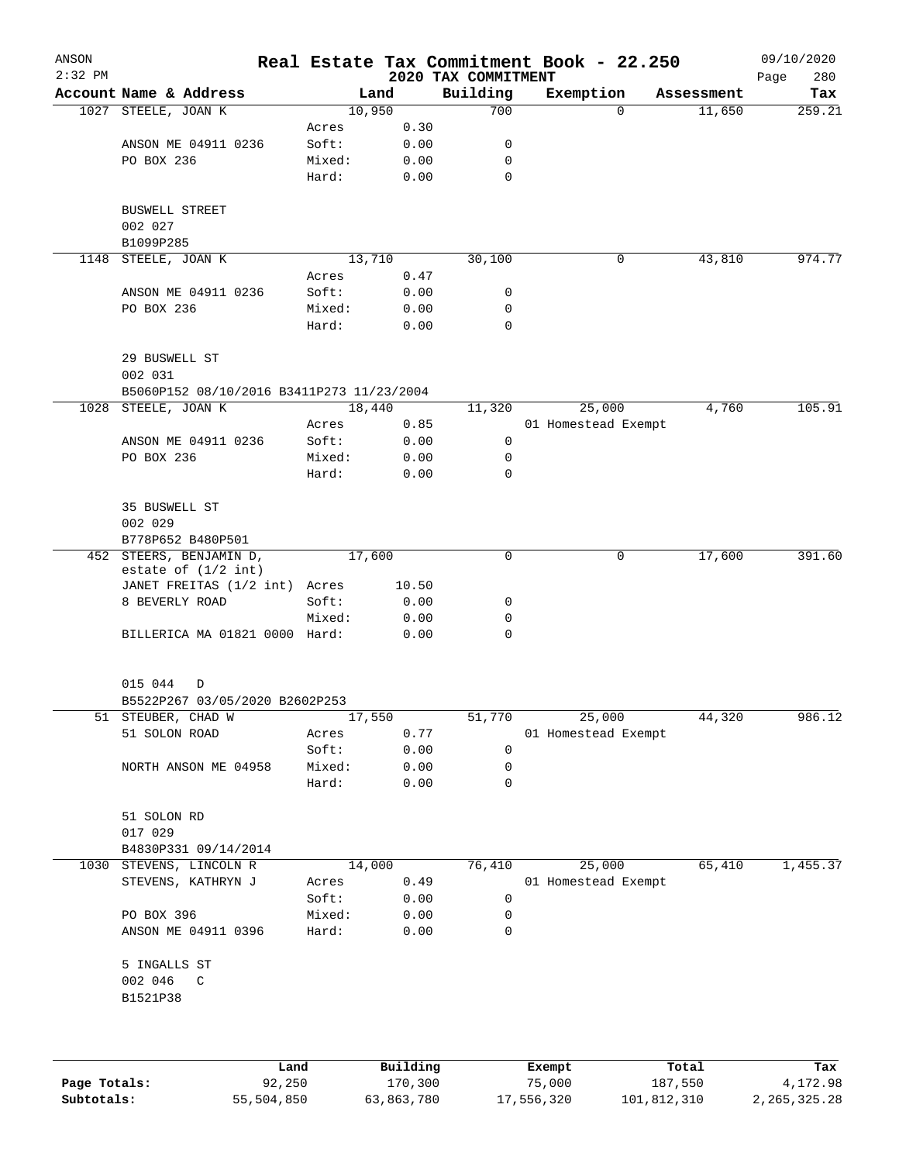| ANSON<br>$2:32$ PM |                                                  |        |                 | 2020 TAX COMMITMENT | Real Estate Tax Commitment Book - 22.250 |            | 09/10/2020<br>280<br>Page |
|--------------------|--------------------------------------------------|--------|-----------------|---------------------|------------------------------------------|------------|---------------------------|
|                    | Account Name & Address                           |        | Land            | Building            | Exemption                                | Assessment | Tax                       |
| 1027               | STEELE, JOAN K                                   |        | 10,950          | 700                 | $\mathbf 0$                              | 11,650     | 259.21                    |
|                    |                                                  | Acres  | 0.30            |                     |                                          |            |                           |
|                    | ANSON ME 04911 0236                              | Soft:  | 0.00            | 0                   |                                          |            |                           |
|                    | PO BOX 236                                       | Mixed: | 0.00            | 0                   |                                          |            |                           |
|                    |                                                  | Hard:  | 0.00            | 0                   |                                          |            |                           |
|                    | <b>BUSWELL STREET</b>                            |        |                 |                     |                                          |            |                           |
|                    | 002 027                                          |        |                 |                     |                                          |            |                           |
|                    | B1099P285                                        |        |                 |                     |                                          |            |                           |
| 1148               | STEELE, JOAN K                                   |        | 13,710          | 30,100              | 0                                        | 43,810     | 974.77                    |
|                    |                                                  | Acres  | 0.47            |                     |                                          |            |                           |
|                    | ANSON ME 04911 0236                              | Soft:  | 0.00            | 0                   |                                          |            |                           |
|                    | PO BOX 236                                       | Mixed: | 0.00            | 0                   |                                          |            |                           |
|                    |                                                  | Hard:  | 0.00            | $\mathbf 0$         |                                          |            |                           |
|                    | 29 BUSWELL ST<br>002 031                         |        |                 |                     |                                          |            |                           |
|                    | B5060P152 08/10/2016 B3411P273 11/23/2004        |        |                 |                     |                                          |            |                           |
| 1028               | STEELE, JOAN K                                   |        | 18,440          | 11,320              | 25,000                                   | 4,760      | 105.91                    |
|                    |                                                  | Acres  | 0.85            |                     | 01 Homestead Exempt                      |            |                           |
|                    | ANSON ME 04911 0236                              | Soft:  | 0.00            | 0                   |                                          |            |                           |
|                    | PO BOX 236                                       | Mixed: | 0.00            | 0                   |                                          |            |                           |
|                    |                                                  | Hard:  | 0.00            | 0                   |                                          |            |                           |
|                    | 35 BUSWELL ST                                    |        |                 |                     |                                          |            |                           |
|                    | 002 029                                          |        |                 |                     |                                          |            |                           |
|                    | B778P652 B480P501                                |        |                 |                     |                                          |            |                           |
|                    | 452 STEERS, BENJAMIN D,<br>estate of $(1/2$ int) |        | 17,600          | $\mathbf 0$         | 0                                        | 17,600     | 391.60                    |
|                    | JANET FREITAS (1/2 int) Acres                    |        | 10.50           |                     |                                          |            |                           |
|                    | 8 BEVERLY ROAD                                   | Soft:  | 0.00            | 0                   |                                          |            |                           |
|                    |                                                  | Mixed: | 0.00            | 0                   |                                          |            |                           |
|                    | BILLERICA MA 01821 0000 Hard:                    |        | 0.00            | 0                   |                                          |            |                           |
|                    |                                                  |        |                 |                     |                                          |            |                           |
|                    | 015 044<br>D                                     |        |                 |                     |                                          |            |                           |
|                    | B5522P267 03/05/2020 B2602P253                   |        |                 |                     |                                          |            |                           |
|                    | 51 STEUBER, CHAD W                               | Acres  | 17,550          | 51,770              | 25,000<br>01 Homestead Exempt            | 44,320     | 986.12                    |
|                    | 51 SOLON ROAD                                    | Soft:  | 0.77<br>0.00    | 0                   |                                          |            |                           |
|                    | NORTH ANSON ME 04958                             | Mixed: | 0.00            | 0                   |                                          |            |                           |
|                    |                                                  | Hard:  | 0.00            | 0                   |                                          |            |                           |
|                    | 51 SOLON RD                                      |        |                 |                     |                                          |            |                           |
|                    | 017 029                                          |        |                 |                     |                                          |            |                           |
|                    | B4830P331 09/14/2014                             |        |                 |                     |                                          |            |                           |
| 1030               | STEVENS, LINCOLN R                               |        | 14,000          | 76,410              | 25,000                                   | 65,410     | 1,455.37                  |
|                    | STEVENS, KATHRYN J                               | Acres  | 0.49            |                     | 01 Homestead Exempt                      |            |                           |
|                    |                                                  | Soft:  | 0.00            | 0                   |                                          |            |                           |
|                    | PO BOX 396                                       | Mixed: | 0.00            | 0                   |                                          |            |                           |
|                    | ANSON ME 04911 0396                              | Hard:  | 0.00            | 0                   |                                          |            |                           |
|                    | 5 INGALLS ST                                     |        |                 |                     |                                          |            |                           |
|                    | 002 046<br>C<br>B1521P38                         |        |                 |                     |                                          |            |                           |
|                    |                                                  |        |                 |                     |                                          |            |                           |
|                    |                                                  |        |                 |                     |                                          |            |                           |
|                    | T and                                            |        | $P_{11}$ ilding |                     | $F$ vomnt                                | $T - 1$    |                           |

|              | Land       | Building   | Exempt     | Total       | Tax          |
|--------------|------------|------------|------------|-------------|--------------|
| Page Totals: | 92,250     | 170,300    | 75,000     | 187,550     | 4,172.98     |
| Subtotals:   | 55,504,850 | 63,863,780 | 17,556,320 | 101,812,310 | 2,265,325.28 |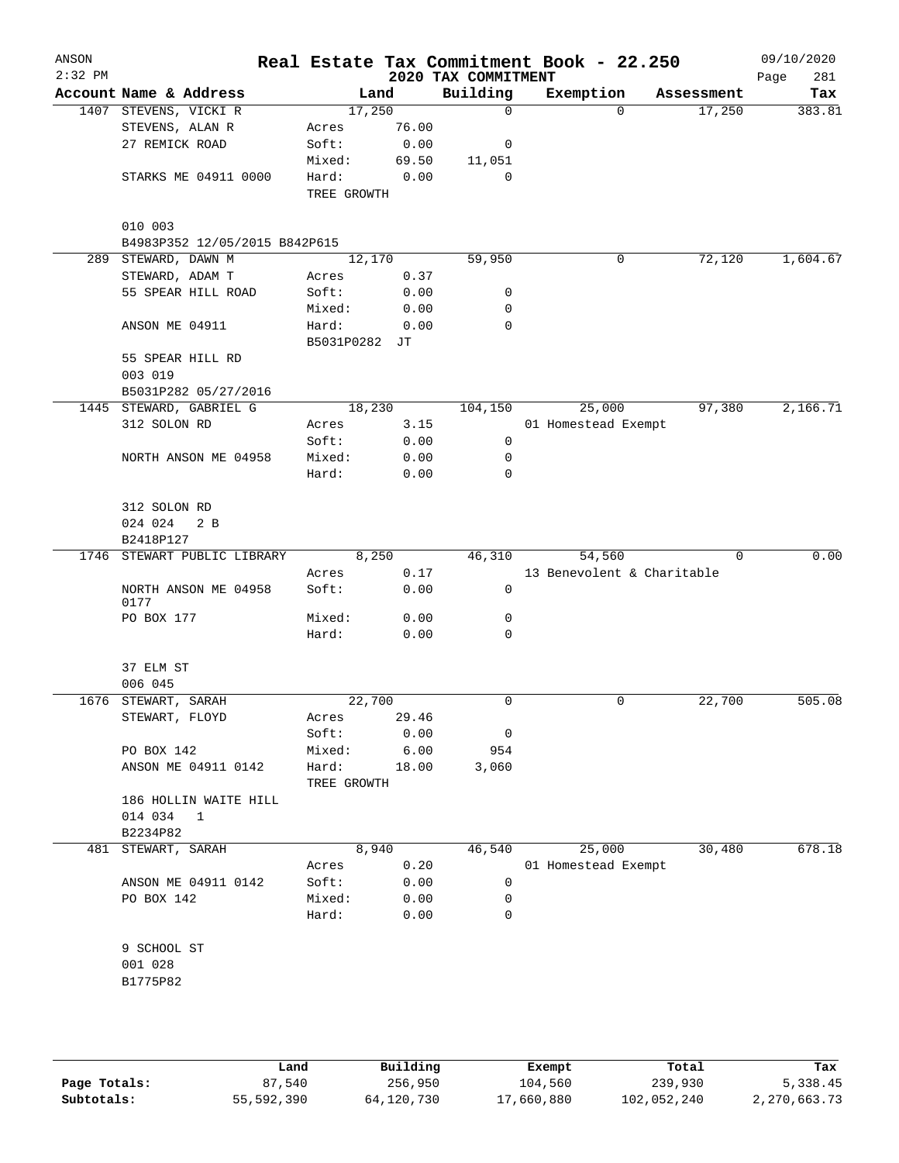| ANSON<br>$2:32$ PM |                               |                     |              | 2020 TAX COMMITMENT | Real Estate Tax Commitment Book - 22.250 |            | 09/10/2020<br>Page<br>281 |
|--------------------|-------------------------------|---------------------|--------------|---------------------|------------------------------------------|------------|---------------------------|
|                    | Account Name & Address        |                     | Land         | Building            | Exemption                                | Assessment | Tax                       |
|                    | 1407 STEVENS, VICKI R         |                     | 17,250       | 0                   | $\Omega$                                 | 17,250     | 383.81                    |
|                    | STEVENS, ALAN R               | Acres               | 76.00        |                     |                                          |            |                           |
|                    | 27 REMICK ROAD                | Soft:               | 0.00         | 0                   |                                          |            |                           |
|                    |                               | Mixed:              | 69.50        | 11,051              |                                          |            |                           |
|                    | STARKS ME 04911 0000          | Hard:               | 0.00         | $\mathbf 0$         |                                          |            |                           |
|                    |                               | TREE GROWTH         |              |                     |                                          |            |                           |
|                    | 010 003                       |                     |              |                     |                                          |            |                           |
|                    | B4983P352 12/05/2015 B842P615 |                     |              |                     |                                          |            |                           |
| 289                | STEWARD, DAWN M               |                     | 12,170       | 59,950              | 0                                        | 72,120     | 1,604.67                  |
|                    | STEWARD, ADAM T               | Acres               | 0.37         |                     |                                          |            |                           |
|                    | 55 SPEAR HILL ROAD            | Soft:               | 0.00         | 0                   |                                          |            |                           |
|                    |                               | Mixed:              | 0.00         | 0                   |                                          |            |                           |
|                    | ANSON ME 04911                | Hard:<br>B5031P0282 | 0.00<br>JT   | 0                   |                                          |            |                           |
|                    | 55 SPEAR HILL RD              |                     |              |                     |                                          |            |                           |
|                    | 003 019                       |                     |              |                     |                                          |            |                           |
|                    | B5031P282 05/27/2016          |                     |              |                     |                                          |            |                           |
|                    |                               |                     |              |                     |                                          |            | 2,166.71                  |
|                    | 1445 STEWARD, GABRIEL G       |                     | 18,230       | 104,150             | 25,000                                   | 97,380     |                           |
|                    | 312 SOLON RD                  | Acres               | 3.15         |                     | 01 Homestead Exempt                      |            |                           |
|                    |                               | Soft:               | 0.00         | 0                   |                                          |            |                           |
|                    | NORTH ANSON ME 04958          | Mixed:              | 0.00         | 0                   |                                          |            |                           |
|                    |                               | Hard:               | 0.00         | 0                   |                                          |            |                           |
|                    | 312 SOLON RD                  |                     |              |                     |                                          |            |                           |
|                    | 024 024<br>2 <sub>B</sub>     |                     |              |                     |                                          |            |                           |
|                    | B2418P127                     |                     |              |                     |                                          |            |                           |
|                    | 1746 STEWART PUBLIC LIBRARY   |                     | 8,250        | 46,310              | 54,560                                   | $\Omega$   | 0.00                      |
|                    |                               | Acres               | 0.17         |                     | 13 Benevolent & Charitable               |            |                           |
|                    | NORTH ANSON ME 04958<br>0177  | Soft:               | 0.00         | 0                   |                                          |            |                           |
|                    | PO BOX 177                    | Mixed:              | 0.00         | 0                   |                                          |            |                           |
|                    |                               | Hard:               | 0.00         | 0                   |                                          |            |                           |
|                    | 37 ELM ST                     |                     |              |                     |                                          |            |                           |
|                    | 006 045                       |                     |              |                     |                                          |            |                           |
|                    | 1676 STEWART, SARAH           |                     | 22,700       | 0                   | 0                                        | 22,700     | 505.08                    |
|                    | STEWART, FLOYD                | Acres               | 29.46        |                     |                                          |            |                           |
|                    |                               | Soft:               | 0.00         | 0                   |                                          |            |                           |
|                    | PO BOX 142                    | Mixed:              | 6.00         | 954                 |                                          |            |                           |
|                    | ANSON ME 04911 0142           | Hard:               | 18.00        | 3,060               |                                          |            |                           |
|                    |                               | TREE GROWTH         |              |                     |                                          |            |                           |
|                    | 186 HOLLIN WAITE HILL         |                     |              |                     |                                          |            |                           |
|                    | 014 034<br>$\mathbf{1}$       |                     |              |                     |                                          |            |                           |
|                    | B2234P82                      |                     |              |                     |                                          |            |                           |
| 481                | STEWART, SARAH                |                     | 8,940        | 46,540              | 25,000                                   | 30,480     | 678.18                    |
|                    |                               |                     | 0.20         |                     | 01 Homestead Exempt                      |            |                           |
|                    |                               | Acres               |              |                     |                                          |            |                           |
|                    | ANSON ME 04911 0142           | Soft:               | 0.00         | 0                   |                                          |            |                           |
|                    | PO BOX 142                    | Mixed:<br>Hard:     | 0.00<br>0.00 | 0<br>0              |                                          |            |                           |
|                    | 9 SCHOOL ST                   |                     |              |                     |                                          |            |                           |
|                    | 001 028                       |                     |              |                     |                                          |            |                           |
|                    | B1775P82                      |                     |              |                     |                                          |            |                           |
|                    |                               |                     |              |                     |                                          |            |                           |
|                    |                               |                     |              |                     |                                          |            |                           |
|                    |                               |                     |              |                     |                                          |            |                           |
|                    |                               |                     |              |                     |                                          |            |                           |

|              | Land       | Building   | Exempt     | Total       | Tax          |
|--------------|------------|------------|------------|-------------|--------------|
| Page Totals: | 87,540     | 256,950    | 104,560    | 239,930     | 5,338.45     |
| Subtotals:   | 55,592,390 | 64,120,730 | 17,660,880 | 102,052,240 | 2,270,663.73 |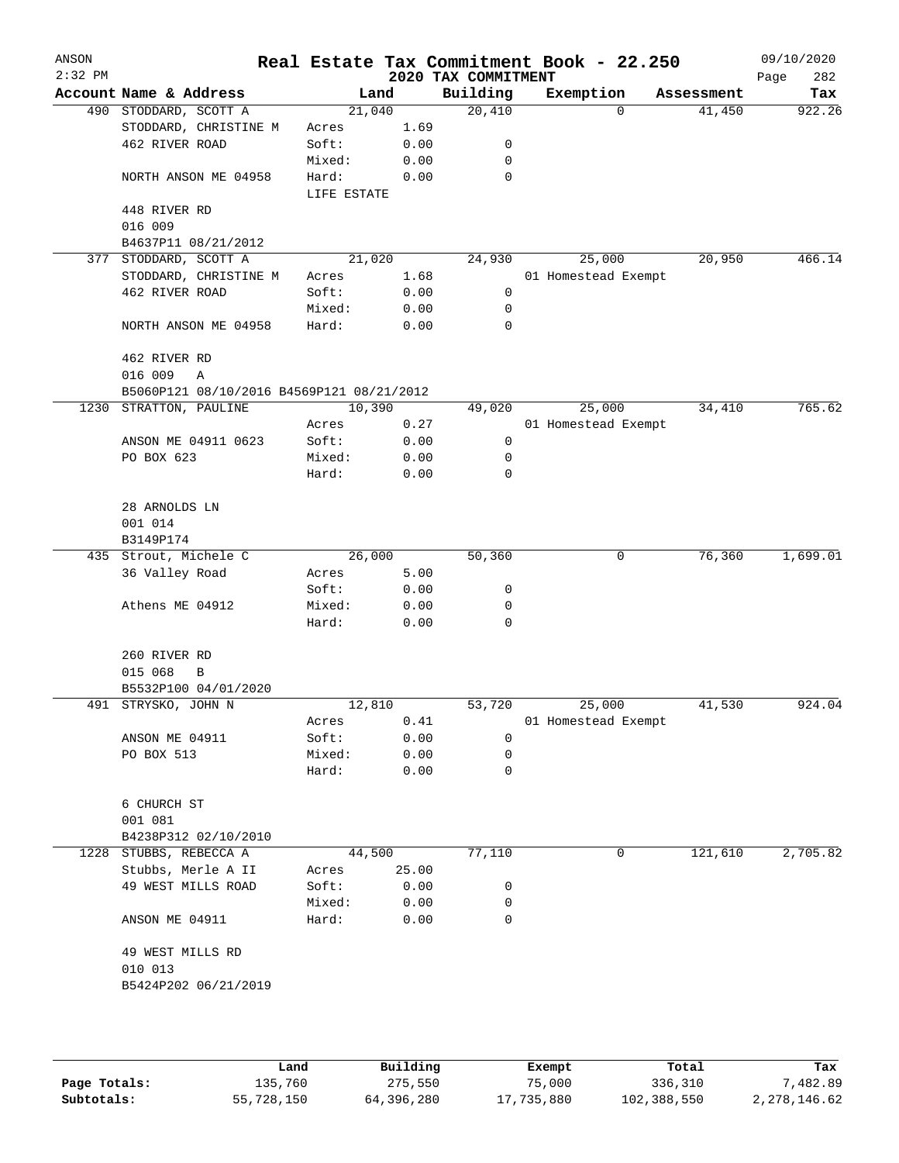| ANSON<br>$2:32$ PM |                                           |                      |       | 2020 TAX COMMITMENT | Real Estate Tax Commitment Book - 22.250 |            | 09/10/2020<br>Page<br>282 |
|--------------------|-------------------------------------------|----------------------|-------|---------------------|------------------------------------------|------------|---------------------------|
|                    | Account Name & Address                    | Land                 |       | Building            | Exemption                                | Assessment | Tax                       |
|                    | 490 STODDARD, SCOTT A                     | 21,040               |       | 20,410              | 0                                        | 41,450     | 922.26                    |
|                    | STODDARD, CHRISTINE M                     | Acres                | 1.69  |                     |                                          |            |                           |
|                    | 462 RIVER ROAD                            | Soft:                | 0.00  | 0                   |                                          |            |                           |
|                    |                                           | Mixed:               | 0.00  | 0                   |                                          |            |                           |
|                    | NORTH ANSON ME 04958                      | Hard:<br>LIFE ESTATE | 0.00  | 0                   |                                          |            |                           |
|                    | 448 RIVER RD                              |                      |       |                     |                                          |            |                           |
|                    | 016 009                                   |                      |       |                     |                                          |            |                           |
|                    | B4637P11 08/21/2012                       |                      |       |                     |                                          |            |                           |
|                    | 377 STODDARD, SCOTT A                     | 21,020               |       | 24,930              | 25,000                                   | 20,950     | 466.14                    |
|                    | STODDARD, CHRISTINE M                     | Acres                | 1.68  |                     | 01 Homestead Exempt                      |            |                           |
|                    | 462 RIVER ROAD                            | Soft:                | 0.00  | 0                   |                                          |            |                           |
|                    |                                           | Mixed:               | 0.00  | 0                   |                                          |            |                           |
|                    | NORTH ANSON ME 04958                      | Hard:                | 0.00  | 0                   |                                          |            |                           |
|                    | 462 RIVER RD                              |                      |       |                     |                                          |            |                           |
|                    | 016 009<br>Α                              |                      |       |                     |                                          |            |                           |
|                    | B5060P121 08/10/2016 B4569P121 08/21/2012 |                      |       |                     |                                          |            |                           |
|                    | 1230 STRATTON, PAULINE                    | 10,390               |       | 49,020              | 25,000                                   | 34,410     | 765.62                    |
|                    |                                           | Acres                | 0.27  |                     | 01 Homestead Exempt                      |            |                           |
|                    | ANSON ME 04911 0623                       | Soft:                | 0.00  | 0                   |                                          |            |                           |
|                    | PO BOX 623                                | Mixed:               | 0.00  | 0                   |                                          |            |                           |
|                    |                                           | Hard:                | 0.00  | 0                   |                                          |            |                           |
|                    | 28 ARNOLDS LN                             |                      |       |                     |                                          |            |                           |
|                    | 001 014<br>B3149P174                      |                      |       |                     |                                          |            |                           |
|                    | 435 Strout, Michele C                     | 26,000               |       | 50,360              | 0                                        | 76,360     | 1,699.01                  |
|                    | 36 Valley Road                            | Acres                | 5.00  |                     |                                          |            |                           |
|                    |                                           | Soft:                | 0.00  | 0                   |                                          |            |                           |
|                    | Athens ME 04912                           | Mixed:               | 0.00  | 0                   |                                          |            |                           |
|                    |                                           | Hard:                | 0.00  | 0                   |                                          |            |                           |
|                    | 260 RIVER RD                              |                      |       |                     |                                          |            |                           |
|                    | 015 068<br>В                              |                      |       |                     |                                          |            |                           |
|                    | B5532P100 04/01/2020                      |                      |       |                     |                                          |            |                           |
|                    | 491 STRYSKO, JOHN N                       | 12,810               |       | 53,720              | 25,000                                   | 41,530     | 924.04                    |
|                    |                                           | Acres                | 0.41  |                     | 01 Homestead Exempt                      |            |                           |
|                    | ANSON ME 04911                            | Soft:                | 0.00  | 0                   |                                          |            |                           |
|                    | PO BOX 513                                | Mixed:               | 0.00  | 0                   |                                          |            |                           |
|                    |                                           | Hard:                | 0.00  | 0                   |                                          |            |                           |
|                    | 6 CHURCH ST<br>001 081                    |                      |       |                     |                                          |            |                           |
|                    | B4238P312 02/10/2010                      |                      |       |                     |                                          |            |                           |
| 1228               | STUBBS, REBECCA A                         | 44,500               |       | 77,110              | 0                                        | 121,610    | 2,705.82                  |
|                    | Stubbs, Merle A II                        | Acres                | 25.00 |                     |                                          |            |                           |
|                    | 49 WEST MILLS ROAD                        | Soft:                | 0.00  | 0                   |                                          |            |                           |
|                    |                                           | Mixed:               | 0.00  | 0                   |                                          |            |                           |
|                    | ANSON ME 04911                            | Hard:                | 0.00  | 0                   |                                          |            |                           |
|                    | 49 WEST MILLS RD                          |                      |       |                     |                                          |            |                           |
|                    | 010 013                                   |                      |       |                     |                                          |            |                           |
|                    | B5424P202 06/21/2019                      |                      |       |                     |                                          |            |                           |
|                    |                                           |                      |       |                     |                                          |            |                           |
|                    |                                           |                      |       |                     |                                          |            |                           |

|              | Land       | Building   | Exempt     | Total       | Tax          |
|--------------|------------|------------|------------|-------------|--------------|
| Page Totals: | 135,760    | 275,550    | 75,000     | 336,310     | 7,482.89     |
| Subtotals:   | 55,728,150 | 64,396,280 | 17,735,880 | 102,388,550 | 2,278,146.62 |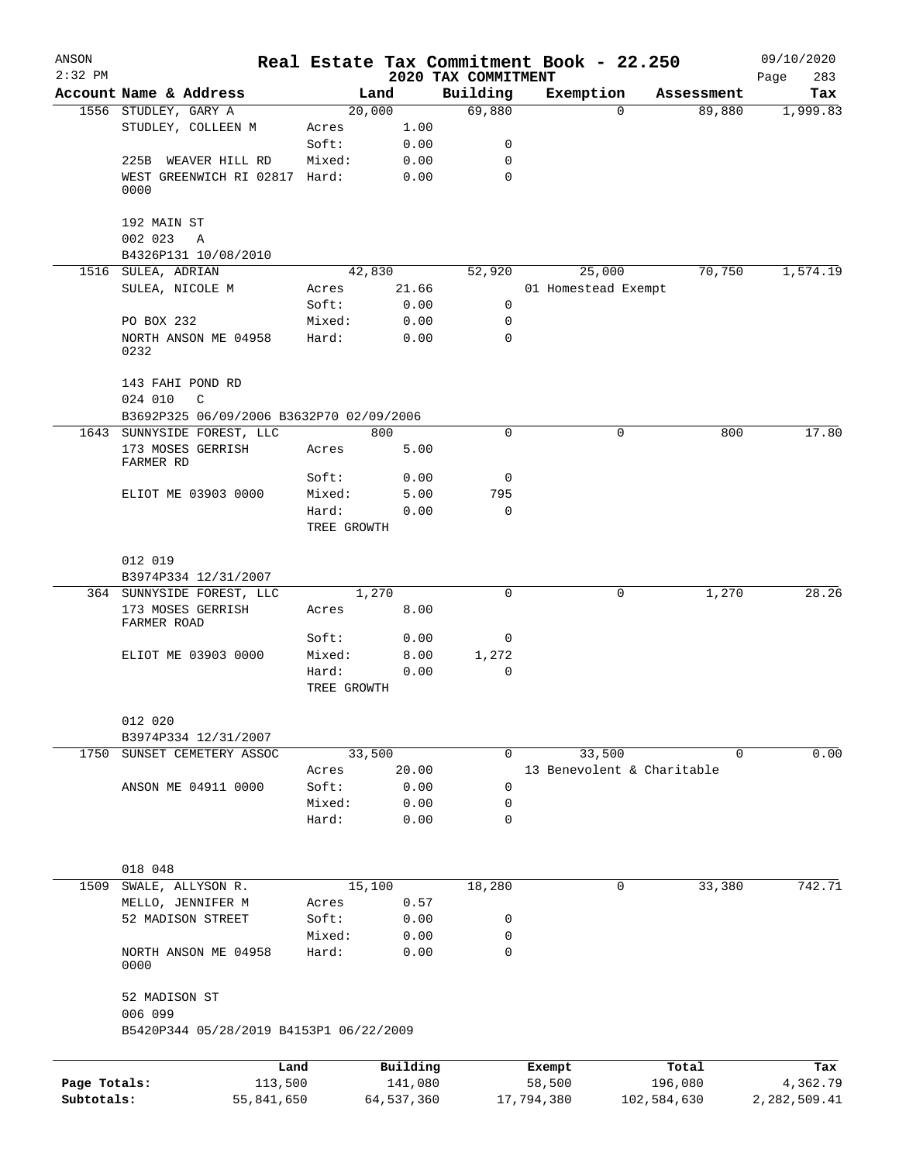| ANSON        |                                              |                      |                |                                 | Real Estate Tax Commitment Book - 22.250 |                            | 09/10/2020         |
|--------------|----------------------------------------------|----------------------|----------------|---------------------------------|------------------------------------------|----------------------------|--------------------|
| $2:32$ PM    | Account Name & Address                       |                      | Land           | 2020 TAX COMMITMENT<br>Building |                                          | Assessment                 | 283<br>Page<br>Tax |
|              | 1556 STUDLEY, GARY A                         |                      | 20,000         | 69,880                          | Exemption                                | 89,880<br>$\Omega$         | 1,999.83           |
|              | STUDLEY, COLLEEN M                           | Acres                | 1.00           |                                 |                                          |                            |                    |
|              |                                              | Soft:                | 0.00           | 0                               |                                          |                            |                    |
|              | 225B WEAVER HILL RD                          | Mixed:               | 0.00           | 0                               |                                          |                            |                    |
|              | WEST GREENWICH RI 02817 Hard:<br>0000        |                      | 0.00           | $\mathbf 0$                     |                                          |                            |                    |
|              | 192 MAIN ST<br>002 023                       |                      |                |                                 |                                          |                            |                    |
|              | A<br>B4326P131 10/08/2010                    |                      |                |                                 |                                          |                            |                    |
|              | 1516 SULEA, ADRIAN                           |                      | 42,830         | 52,920                          | 25,000                                   | 70,750                     | 1,574.19           |
|              | SULEA, NICOLE M                              | Acres                | 21.66          |                                 | 01 Homestead Exempt                      |                            |                    |
|              |                                              | Soft:                | 0.00           | $\mathbf 0$                     |                                          |                            |                    |
|              | PO BOX 232                                   | Mixed:               | 0.00           | 0                               |                                          |                            |                    |
|              | NORTH ANSON ME 04958<br>0232                 | Hard:                | 0.00           | $\mathbf 0$                     |                                          |                            |                    |
|              | 143 FAHI POND RD<br>024 010<br>$\mathcal{C}$ |                      |                |                                 |                                          |                            |                    |
|              | B3692P325 06/09/2006 B3632P70 02/09/2006     |                      |                |                                 |                                          |                            |                    |
|              | 1643 SUNNYSIDE FOREST, LLC                   |                      | 800            | $\Omega$                        |                                          | 0<br>800                   | 17.80              |
|              | 173 MOSES GERRISH<br>FARMER RD               | Acres                | 5.00           |                                 |                                          |                            |                    |
|              |                                              | Soft:                | 0.00           | 0                               |                                          |                            |                    |
|              | ELIOT ME 03903 0000                          | Mixed:               | 5.00           | 795                             |                                          |                            |                    |
|              |                                              | Hard:<br>TREE GROWTH | 0.00           | $\mathbf 0$                     |                                          |                            |                    |
|              | 012 019                                      |                      |                |                                 |                                          |                            |                    |
|              | B3974P334 12/31/2007                         |                      |                |                                 |                                          |                            |                    |
|              | 364 SUNNYSIDE FOREST, LLC                    |                      | 1,270          | $\mathbf 0$                     |                                          | 1,270<br>0                 | 28.26              |
|              | 173 MOSES GERRISH<br>FARMER ROAD             | Acres                | 8.00           |                                 |                                          |                            |                    |
|              |                                              | Soft:                | 0.00           | 0                               |                                          |                            |                    |
|              | ELIOT ME 03903 0000                          | Mixed:<br>Hard:      | 8.00           | 1,272<br>0                      |                                          |                            |                    |
|              |                                              | TREE GROWTH          | 0.00           |                                 |                                          |                            |                    |
|              | 012 020<br>B3974P334 12/31/2007              |                      |                |                                 |                                          |                            |                    |
| 1750         | SUNSET CEMETERY ASSOC                        |                      | 33,500         | $\mathbf 0$                     | 33,500                                   | 0                          | 0.00               |
|              |                                              | Acres                | 20.00          |                                 |                                          | 13 Benevolent & Charitable |                    |
|              | ANSON ME 04911 0000                          | Soft:                | 0.00           | 0                               |                                          |                            |                    |
|              |                                              | Mixed:               | 0.00           | 0                               |                                          |                            |                    |
|              |                                              | Hard:                | 0.00           | $\mathbf 0$                     |                                          |                            |                    |
|              | 018 048                                      |                      |                |                                 |                                          |                            |                    |
| 1509         | SWALE, ALLYSON R.<br>MELLO, JENNIFER M       | Acres                | 15,100<br>0.57 | 18,280                          |                                          | 33,380<br>0                | 742.71             |
|              | 52 MADISON STREET                            | Soft:                | 0.00           | 0                               |                                          |                            |                    |
|              |                                              | Mixed:               | 0.00           | 0                               |                                          |                            |                    |
|              | NORTH ANSON ME 04958<br>0000                 | Hard:                | 0.00           | $\mathbf 0$                     |                                          |                            |                    |
|              | 52 MADISON ST<br>006 099                     |                      |                |                                 |                                          |                            |                    |
|              | B5420P344 05/28/2019 B4153P1 06/22/2009      |                      |                |                                 |                                          |                            |                    |
|              |                                              |                      |                |                                 |                                          |                            |                    |
|              |                                              | Land                 | Building       |                                 | Exempt                                   | Total                      | Tax                |
| Page Totals: | 113,500                                      |                      | 141,080        |                                 | 58,500                                   | 196,080                    | 4,362.79           |
| Subtotals:   | 55,841,650                                   |                      | 64,537,360     |                                 | 17,794,380                               | 102,584,630                | 2,282,509.41       |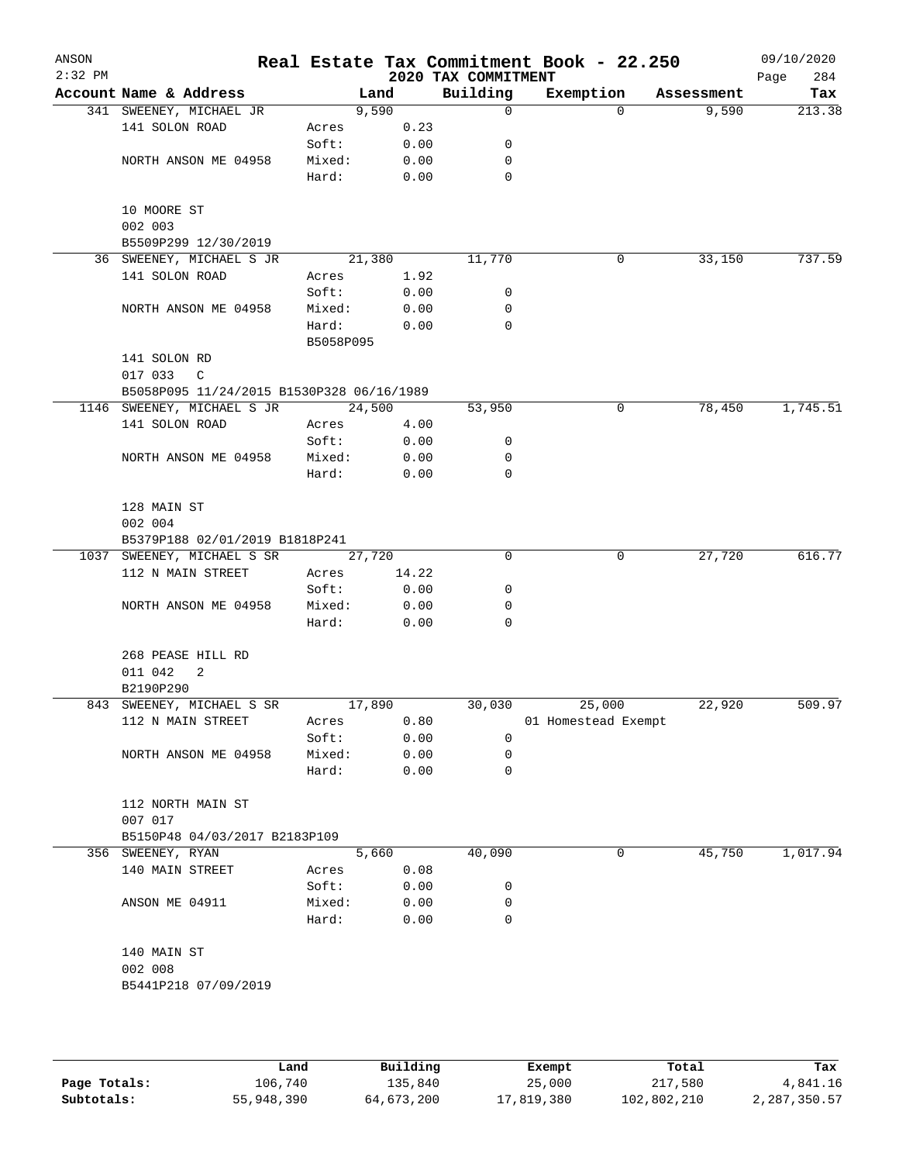| ANSON<br>$2:32$ PM |                                           |           |       | 2020 TAX COMMITMENT | Real Estate Tax Commitment Book - 22.250 |            | 09/10/2020<br>284<br>Page |
|--------------------|-------------------------------------------|-----------|-------|---------------------|------------------------------------------|------------|---------------------------|
|                    | Account Name & Address                    | Land      |       | Building            | Exemption                                | Assessment | Tax                       |
|                    | 341 SWEENEY, MICHAEL JR                   | 9,590     |       | $\mathbf 0$         | $\Omega$                                 | 9,590      | 213.38                    |
|                    | 141 SOLON ROAD                            | Acres     | 0.23  |                     |                                          |            |                           |
|                    |                                           | Soft:     | 0.00  | 0                   |                                          |            |                           |
|                    | NORTH ANSON ME 04958                      | Mixed:    | 0.00  | 0                   |                                          |            |                           |
|                    |                                           | Hard:     | 0.00  | $\mathbf 0$         |                                          |            |                           |
|                    | 10 MOORE ST                               |           |       |                     |                                          |            |                           |
|                    | 002 003                                   |           |       |                     |                                          |            |                           |
|                    | B5509P299 12/30/2019                      |           |       |                     |                                          |            |                           |
|                    | 36 SWEENEY, MICHAEL S JR                  | 21,380    |       | 11,770              | 0                                        | 33,150     | 737.59                    |
|                    | 141 SOLON ROAD                            | Acres     | 1.92  |                     |                                          |            |                           |
|                    |                                           | Soft:     | 0.00  | 0                   |                                          |            |                           |
|                    | NORTH ANSON ME 04958                      | Mixed:    | 0.00  | 0                   |                                          |            |                           |
|                    |                                           | Hard:     | 0.00  | $\mathbf 0$         |                                          |            |                           |
|                    |                                           | B5058P095 |       |                     |                                          |            |                           |
|                    | 141 SOLON RD                              |           |       |                     |                                          |            |                           |
|                    | 017 033<br>C                              |           |       |                     |                                          |            |                           |
|                    | B5058P095 11/24/2015 B1530P328 06/16/1989 |           |       |                     |                                          |            |                           |
|                    | 1146 SWEENEY, MICHAEL S JR                | 24,500    |       | 53,950              | 0                                        | 78,450     | 1,745.51                  |
|                    | 141 SOLON ROAD                            | Acres     | 4.00  |                     |                                          |            |                           |
|                    |                                           | Soft:     | 0.00  | 0                   |                                          |            |                           |
|                    | NORTH ANSON ME 04958                      | Mixed:    | 0.00  | $\mathbf 0$         |                                          |            |                           |
|                    |                                           | Hard:     | 0.00  | 0                   |                                          |            |                           |
|                    |                                           |           |       |                     |                                          |            |                           |
|                    | 128 MAIN ST                               |           |       |                     |                                          |            |                           |
|                    | 002 004                                   |           |       |                     |                                          |            |                           |
|                    | B5379P188 02/01/2019 B1818P241            |           |       |                     |                                          |            |                           |
|                    | 1037 SWEENEY, MICHAEL S SR                | 27,720    |       | 0                   | 0                                        | 27,720     | 616.77                    |
|                    | 112 N MAIN STREET                         | Acres     | 14.22 |                     |                                          |            |                           |
|                    |                                           | Soft:     | 0.00  | 0                   |                                          |            |                           |
|                    | NORTH ANSON ME 04958                      | Mixed:    | 0.00  | 0                   |                                          |            |                           |
|                    |                                           | Hard:     | 0.00  | 0                   |                                          |            |                           |
|                    | 268 PEASE HILL RD                         |           |       |                     |                                          |            |                           |
|                    | 011 042<br>2                              |           |       |                     |                                          |            |                           |
|                    | B2190P290                                 |           |       |                     |                                          |            |                           |
|                    | 843 SWEENEY, MICHAEL S SR                 | 17,890    |       | 30,030              | 25,000                                   | 22,920     | 509.97                    |
|                    | 112 N MAIN STREET                         | Acres     | 0.80  |                     | 01 Homestead Exempt                      |            |                           |
|                    |                                           | Soft:     | 0.00  | 0                   |                                          |            |                           |
|                    | NORTH ANSON ME 04958                      | Mixed:    | 0.00  | 0                   |                                          |            |                           |
|                    |                                           | Hard:     | 0.00  | 0                   |                                          |            |                           |
|                    |                                           |           |       |                     |                                          |            |                           |
|                    | 112 NORTH MAIN ST                         |           |       |                     |                                          |            |                           |
|                    | 007 017                                   |           |       |                     |                                          |            |                           |
|                    | B5150P48 04/03/2017 B2183P109             |           |       |                     |                                          |            |                           |
|                    | 356 SWEENEY, RYAN                         | 5,660     |       | 40,090              | 0                                        | 45,750     | 1,017.94                  |
|                    | 140 MAIN STREET                           | Acres     | 0.08  |                     |                                          |            |                           |
|                    |                                           | Soft:     | 0.00  | 0                   |                                          |            |                           |
|                    | ANSON ME 04911                            | Mixed:    | 0.00  | 0                   |                                          |            |                           |
|                    |                                           | Hard:     | 0.00  | $\mathbf 0$         |                                          |            |                           |
|                    | 140 MAIN ST                               |           |       |                     |                                          |            |                           |
|                    | 002 008                                   |           |       |                     |                                          |            |                           |
|                    | B5441P218 07/09/2019                      |           |       |                     |                                          |            |                           |
|                    |                                           |           |       |                     |                                          |            |                           |
|                    |                                           |           |       |                     |                                          |            |                           |
|                    |                                           |           |       |                     |                                          |            |                           |
|                    |                                           |           |       |                     |                                          |            |                           |

|              | Land       | Building   | Exempt     | Total       | Tax          |
|--------------|------------|------------|------------|-------------|--------------|
| Page Totals: | 106,740    | 135,840    | 25,000     | 217,580     | 4,841.16     |
| Subtotals:   | 55,948,390 | 64,673,200 | 17,819,380 | 102,802,210 | 2,287,350.57 |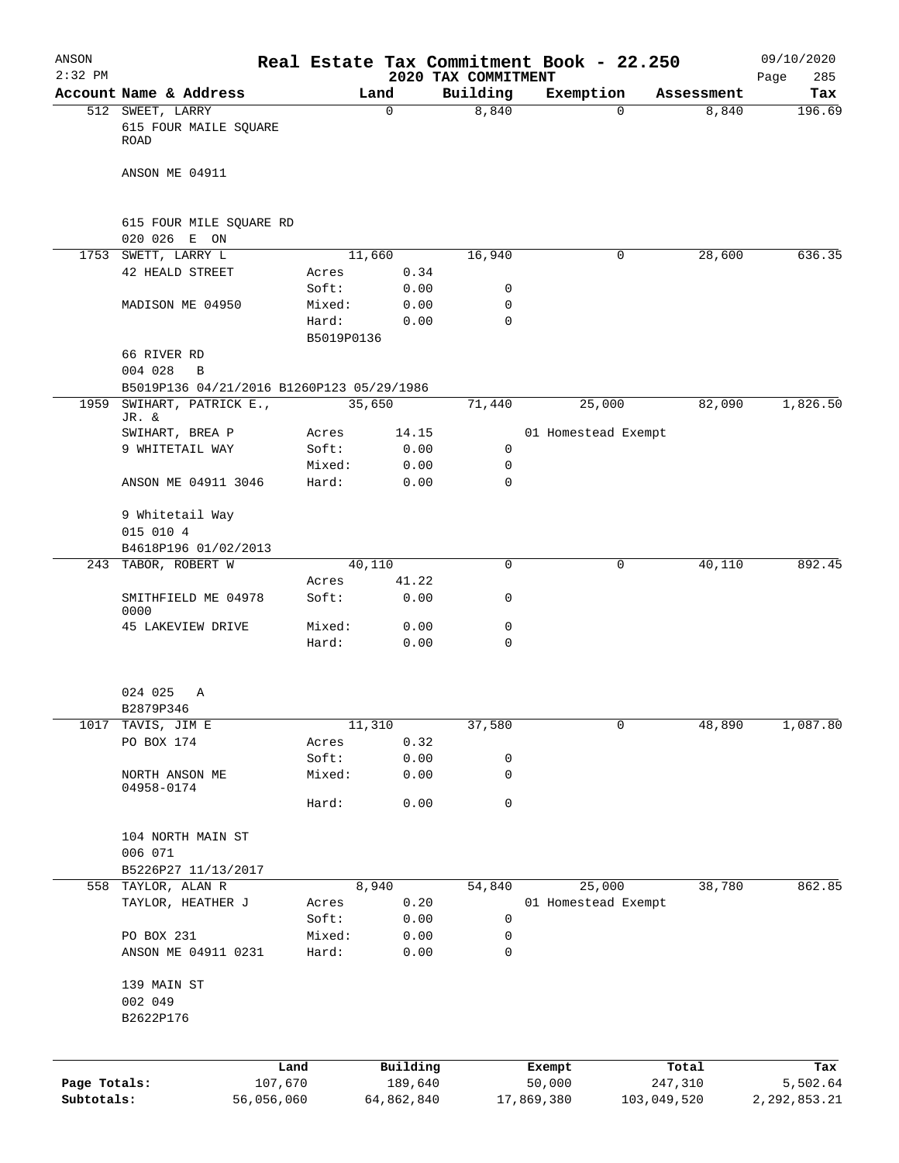| ANSON<br>$2:32$ PM         |                                                   |                               |                       | 2020 TAX COMMITMENT | Real Estate Tax Commitment Book - 22.250 |                        |            | 09/10/2020<br>285<br>Page  |
|----------------------------|---------------------------------------------------|-------------------------------|-----------------------|---------------------|------------------------------------------|------------------------|------------|----------------------------|
|                            | Account Name & Address                            |                               | Land                  | Building            | Exemption                                |                        | Assessment | Tax                        |
|                            | 512 SWEET, LARRY<br>615 FOUR MAILE SQUARE<br>ROAD |                               | $\Omega$              | 8,840               |                                          | $\Omega$               | 8,840      | 196.69                     |
|                            | ANSON ME 04911                                    |                               |                       |                     |                                          |                        |            |                            |
|                            | 615 FOUR MILE SQUARE RD<br>020 026 E ON           |                               |                       |                     |                                          |                        |            |                            |
|                            | 1753 SWETT, LARRY L                               | 11,660                        |                       | 16,940              |                                          | $\mathbf{0}$           | 28,600     | 636.35                     |
|                            | 42 HEALD STREET                                   | Acres                         | 0.34                  |                     |                                          |                        |            |                            |
|                            |                                                   | Soft:                         | 0.00                  | 0                   |                                          |                        |            |                            |
|                            | MADISON ME 04950                                  | Mixed:<br>Hard:<br>B5019P0136 | 0.00<br>0.00          | 0<br>$\mathbf 0$    |                                          |                        |            |                            |
|                            | 66 RIVER RD<br>004 028<br>B                       |                               |                       |                     |                                          |                        |            |                            |
|                            | B5019P136 04/21/2016 B1260P123 05/29/1986         |                               |                       |                     |                                          |                        |            |                            |
| 1959                       | SWIHART, PATRICK E.,<br>JR. &                     | 35,650                        |                       | 71,440              | 25,000                                   |                        | 82,090     | 1,826.50                   |
|                            | SWIHART, BREA P                                   | Acres                         | 14.15                 |                     | 01 Homestead Exempt                      |                        |            |                            |
|                            | 9 WHITETAIL WAY                                   | Soft:                         | 0.00                  | 0                   |                                          |                        |            |                            |
|                            |                                                   | Mixed:                        | 0.00                  | 0                   |                                          |                        |            |                            |
|                            | ANSON ME 04911 3046                               | Hard:                         | 0.00                  | $\mathbf 0$         |                                          |                        |            |                            |
|                            | 9 Whitetail Way                                   |                               |                       |                     |                                          |                        |            |                            |
|                            | 015 010 4                                         |                               |                       |                     |                                          |                        |            |                            |
|                            | B4618P196 01/02/2013                              |                               |                       |                     |                                          |                        |            |                            |
| 243                        | TABOR, ROBERT W                                   | 40,110                        |                       | 0                   |                                          | 0                      | 40,110     | 892.45                     |
|                            |                                                   | Acres                         | 41.22                 |                     |                                          |                        |            |                            |
|                            | SMITHFIELD ME 04978<br>0000                       | Soft:                         | 0.00                  | 0                   |                                          |                        |            |                            |
|                            | 45 LAKEVIEW DRIVE                                 | Mixed:<br>Hard:               | 0.00<br>0.00          | 0<br>0              |                                          |                        |            |                            |
|                            |                                                   |                               |                       |                     |                                          |                        |            |                            |
|                            | 024 025<br>Α                                      |                               |                       |                     |                                          |                        |            |                            |
|                            | B2879P346                                         |                               |                       |                     |                                          |                        |            |                            |
| 1017                       | TAVIS, JIM E<br>PO BOX 174                        | 11,310                        | 0.32                  | 37,580              |                                          | 0                      | 48,890     | 1,087.80                   |
|                            |                                                   | Acres<br>Soft:                | 0.00                  | 0                   |                                          |                        |            |                            |
|                            | NORTH ANSON ME                                    | Mixed:                        | 0.00                  | 0                   |                                          |                        |            |                            |
|                            | 04958-0174                                        | Hard:                         | 0.00                  | 0                   |                                          |                        |            |                            |
|                            |                                                   |                               |                       |                     |                                          |                        |            |                            |
|                            | 104 NORTH MAIN ST                                 |                               |                       |                     |                                          |                        |            |                            |
|                            | 006 071<br>B5226P27 11/13/2017                    |                               |                       |                     |                                          |                        |            |                            |
|                            | 558 TAYLOR, ALAN R                                | 8,940                         |                       | 54,840              | 25,000                                   |                        | 38,780     | 862.85                     |
|                            | TAYLOR, HEATHER J                                 | Acres                         | 0.20                  |                     | 01 Homestead Exempt                      |                        |            |                            |
|                            |                                                   | Soft:                         | 0.00                  | 0                   |                                          |                        |            |                            |
|                            | PO BOX 231                                        | Mixed:                        | 0.00                  | 0                   |                                          |                        |            |                            |
|                            | ANSON ME 04911 0231                               | Hard:                         | 0.00                  | 0                   |                                          |                        |            |                            |
|                            | 139 MAIN ST                                       |                               |                       |                     |                                          |                        |            |                            |
|                            | 002 049<br>B2622P176                              |                               |                       |                     |                                          |                        |            |                            |
|                            |                                                   |                               |                       |                     |                                          |                        |            |                            |
|                            |                                                   | Land                          | Building              |                     | Exempt                                   |                        | Total      | Tax                        |
| Page Totals:<br>Subtotals: | 107,670<br>56,056,060                             |                               | 189,640<br>64,862,840 |                     | 50,000<br>17,869,380                     | 247,310<br>103,049,520 |            | 5,502.64<br>2, 292, 853.21 |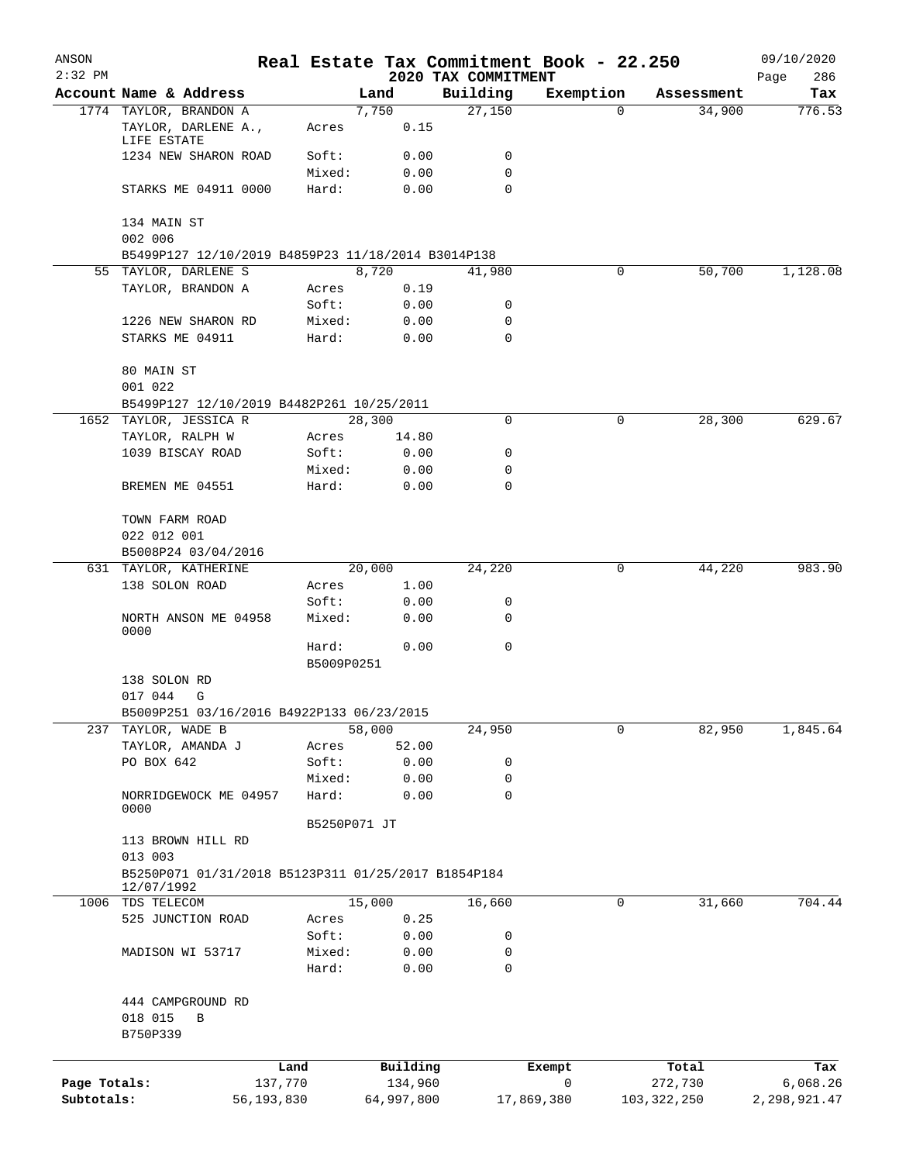| ANSON<br>$2:32$ PM |                                                                            |            |                     |            |          | Real Estate Tax Commitment Book - 22.250 |            |                      | 09/10/2020         |
|--------------------|----------------------------------------------------------------------------|------------|---------------------|------------|----------|------------------------------------------|------------|----------------------|--------------------|
|                    | Account Name & Address                                                     |            |                     | Land       |          | 2020 TAX COMMITMENT<br>Building          | Exemption  |                      | 286<br>Page<br>Tax |
|                    | 1774 TAYLOR, BRANDON A                                                     |            |                     | 7,750      |          | 27,150                                   | 0          | Assessment<br>34,900 | 776.53             |
|                    | TAYLOR, DARLENE A.,<br>LIFE ESTATE                                         |            | Acres               |            | 0.15     |                                          |            |                      |                    |
|                    | 1234 NEW SHARON ROAD                                                       |            | Soft:               |            | 0.00     | 0                                        |            |                      |                    |
|                    |                                                                            |            | Mixed:              |            | 0.00     | 0                                        |            |                      |                    |
|                    | STARKS ME 04911 0000                                                       |            | Hard:               |            | 0.00     | 0                                        |            |                      |                    |
|                    | 134 MAIN ST                                                                |            |                     |            |          |                                          |            |                      |                    |
|                    | 002 006                                                                    |            |                     |            |          |                                          |            |                      |                    |
|                    | B5499P127 12/10/2019 B4859P23 11/18/2014 B3014P138<br>55 TAYLOR, DARLENE S |            |                     | 8,720      |          | 41,980                                   | 0          | 50,700               | 1,128.08           |
|                    | TAYLOR, BRANDON A                                                          |            | Acres               |            | 0.19     |                                          |            |                      |                    |
|                    |                                                                            |            | Soft:               |            | 0.00     | 0                                        |            |                      |                    |
|                    | 1226 NEW SHARON RD                                                         |            | Mixed:              |            | 0.00     | 0                                        |            |                      |                    |
|                    | STARKS ME 04911                                                            |            | Hard:               |            | 0.00     | 0                                        |            |                      |                    |
|                    | 80 MAIN ST<br>001 022                                                      |            |                     |            |          |                                          |            |                      |                    |
|                    | B5499P127 12/10/2019 B4482P261 10/25/2011                                  |            |                     |            |          |                                          |            |                      |                    |
|                    | 1652 TAYLOR, JESSICA R                                                     |            |                     | 28,300     |          | 0                                        | 0          | 28,300               | 629.67             |
|                    | TAYLOR, RALPH W                                                            |            | Acres               |            | 14.80    |                                          |            |                      |                    |
|                    | 1039 BISCAY ROAD                                                           |            | Soft:               |            | 0.00     | 0                                        |            |                      |                    |
|                    |                                                                            |            | Mixed:              |            | 0.00     | 0                                        |            |                      |                    |
|                    | BREMEN ME 04551                                                            |            | Hard:               |            | 0.00     | 0                                        |            |                      |                    |
|                    | TOWN FARM ROAD                                                             |            |                     |            |          |                                          |            |                      |                    |
|                    | 022 012 001                                                                |            |                     |            |          |                                          |            |                      |                    |
|                    | B5008P24 03/04/2016                                                        |            |                     |            |          |                                          |            |                      |                    |
|                    | 631 TAYLOR, KATHERINE                                                      |            |                     | 20,000     |          | 24,220                                   | 0          | 44,220               | 983.90             |
|                    | 138 SOLON ROAD                                                             |            | Acres               |            | 1.00     |                                          |            |                      |                    |
|                    |                                                                            |            | Soft:               |            | 0.00     | 0                                        |            |                      |                    |
|                    | NORTH ANSON ME 04958                                                       |            | Mixed:              |            | 0.00     | 0                                        |            |                      |                    |
|                    | 0000                                                                       |            |                     |            |          |                                          |            |                      |                    |
|                    |                                                                            |            | Hard:<br>B5009P0251 |            | 0.00     | 0                                        |            |                      |                    |
|                    | 138 SOLON RD                                                               |            |                     |            |          |                                          |            |                      |                    |
|                    | 017 044<br>G                                                               |            |                     |            |          |                                          |            |                      |                    |
|                    | B5009P251 03/16/2016 B4922P133 06/23/2015                                  |            |                     |            |          |                                          |            |                      |                    |
| 237                | TAYLOR, WADE B                                                             |            |                     | 58,000     |          | 24,950                                   | 0          | 82,950               | 1,845.64           |
|                    | TAYLOR, AMANDA J                                                           |            | Acres               |            | 52.00    |                                          |            |                      |                    |
|                    | PO BOX 642                                                                 |            | Soft:               |            | 0.00     | 0                                        |            |                      |                    |
|                    |                                                                            |            | Mixed:              |            | 0.00     | 0                                        |            |                      |                    |
|                    | NORRIDGEWOCK ME 04957<br>0000                                              |            | Hard:               |            | 0.00     | 0                                        |            |                      |                    |
|                    |                                                                            |            | B5250P071 JT        |            |          |                                          |            |                      |                    |
|                    | 113 BROWN HILL RD                                                          |            |                     |            |          |                                          |            |                      |                    |
|                    | 013 003                                                                    |            |                     |            |          |                                          |            |                      |                    |
|                    | B5250P071 01/31/2018 B5123P311 01/25/2017 B1854P184<br>12/07/1992          |            |                     |            |          |                                          |            |                      |                    |
| 1006               | TDS TELECOM                                                                |            |                     | 15,000     |          | 16,660                                   | 0          | 31,660               | 704.44             |
|                    | 525 JUNCTION ROAD                                                          |            | Acres               |            | 0.25     |                                          |            |                      |                    |
|                    |                                                                            |            | Soft:               |            | 0.00     | 0                                        |            |                      |                    |
|                    | MADISON WI 53717                                                           |            | Mixed:              |            | 0.00     | 0                                        |            |                      |                    |
|                    |                                                                            |            | Hard:               |            | 0.00     | 0                                        |            |                      |                    |
|                    | 444 CAMPGROUND RD                                                          |            |                     |            |          |                                          |            |                      |                    |
|                    | 018 015<br>В                                                               |            |                     |            |          |                                          |            |                      |                    |
|                    | B750P339                                                                   |            |                     |            |          |                                          |            |                      |                    |
|                    |                                                                            |            |                     |            |          |                                          |            |                      |                    |
|                    |                                                                            | Land       |                     |            | Building |                                          | Exempt     | Total                | Tax                |
| Page Totals:       |                                                                            | 137,770    |                     |            | 134,960  |                                          | 0          | 272,730              | 6,068.26           |
| Subtotals:         |                                                                            | 56,193,830 |                     | 64,997,800 |          |                                          | 17,869,380 | 103,322,250          | 2,298,921.47       |
|                    |                                                                            |            |                     |            |          |                                          |            |                      |                    |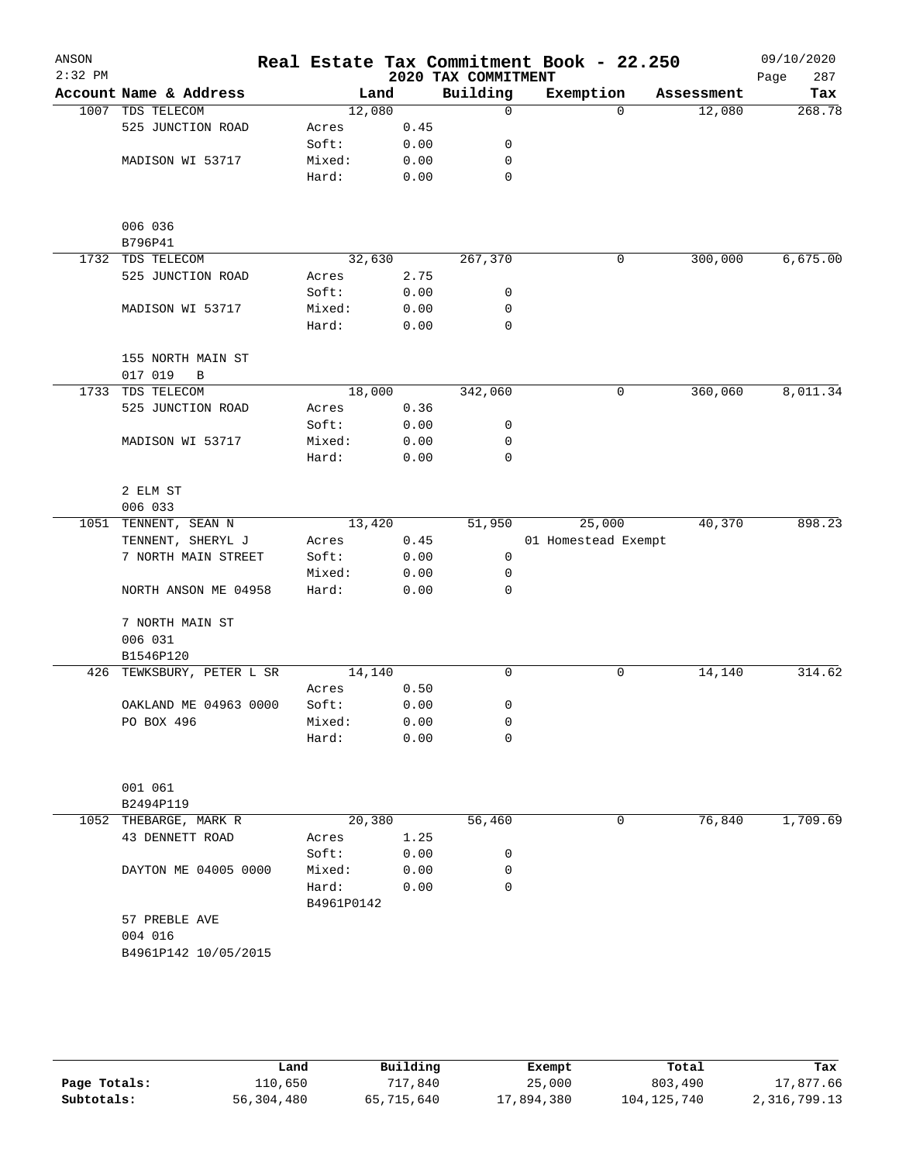| ANSON<br>$2:32$ PM |                                        |                     |        | 2020 TAX COMMITMENT | Real Estate Tax Commitment Book - 22.250 |            | 09/10/2020<br>Page<br>287 |
|--------------------|----------------------------------------|---------------------|--------|---------------------|------------------------------------------|------------|---------------------------|
|                    | Account Name & Address                 |                     | Land   | Building            | Exemption                                | Assessment | Tax                       |
|                    | 1007 TDS TELECOM                       | 12,080              |        | $\Omega$            | $\Omega$                                 | 12,080     | 268.78                    |
|                    | 525 JUNCTION ROAD                      | Acres               | 0.45   |                     |                                          |            |                           |
|                    |                                        | Soft:               | 0.00   | 0                   |                                          |            |                           |
|                    | MADISON WI 53717                       | Mixed:              | 0.00   | 0                   |                                          |            |                           |
|                    |                                        | Hard:               | 0.00   | 0                   |                                          |            |                           |
|                    | 006 036                                |                     |        |                     |                                          |            |                           |
|                    | B796P41                                |                     |        |                     |                                          |            |                           |
|                    | 1732 TDS TELECOM                       | 32,630              |        | 267,370             | 0                                        | 300,000    | 6,675.00                  |
|                    | 525 JUNCTION ROAD                      | Acres               | 2.75   |                     |                                          |            |                           |
|                    |                                        | Soft:               | 0.00   | 0                   |                                          |            |                           |
|                    | MADISON WI 53717                       | Mixed:              | 0.00   | 0                   |                                          |            |                           |
|                    |                                        | Hard:               | 0.00   | 0                   |                                          |            |                           |
|                    | 155 NORTH MAIN ST                      |                     |        |                     |                                          |            |                           |
|                    | 017 019<br>B                           |                     |        |                     |                                          |            |                           |
|                    | 1733 TDS TELECOM                       |                     | 18,000 | 342,060             | 0                                        | 360,060    | 8,011.34                  |
|                    | 525 JUNCTION ROAD                      | Acres               | 0.36   |                     |                                          |            |                           |
|                    |                                        | Soft:               | 0.00   | 0                   |                                          |            |                           |
|                    | MADISON WI 53717                       | Mixed:              | 0.00   | 0                   |                                          |            |                           |
|                    |                                        | Hard:               | 0.00   | 0                   |                                          |            |                           |
|                    | 2 ELM ST                               |                     |        |                     |                                          |            |                           |
|                    | 006 033                                |                     |        |                     |                                          |            |                           |
|                    | 1051 TENNENT, SEAN N                   | 13,420              |        | 51,950              | 25,000                                   | 40,370     | 898.23                    |
|                    | TENNENT, SHERYL J                      | Acres               | 0.45   |                     | 01 Homestead Exempt                      |            |                           |
|                    | 7 NORTH MAIN STREET                    | Soft:               | 0.00   | 0                   |                                          |            |                           |
|                    |                                        | Mixed:              | 0.00   | 0                   |                                          |            |                           |
|                    | NORTH ANSON ME 04958                   | Hard:               | 0.00   | 0                   |                                          |            |                           |
|                    | 7 NORTH MAIN ST                        |                     |        |                     |                                          |            |                           |
|                    | 006 031                                |                     |        |                     |                                          |            |                           |
|                    | B1546P120<br>426 TEWKSBURY, PETER L SR |                     |        | 0                   | $\mathbf 0$                              |            | 314.62                    |
|                    |                                        | 14,140<br>Acres     | 0.50   |                     |                                          | 14,140     |                           |
|                    | OAKLAND ME 04963 0000                  | Soft:               | 0.00   |                     |                                          |            |                           |
|                    | PO BOX 496                             | Mixed:              | 0.00   | 0<br>0              |                                          |            |                           |
|                    |                                        | Hard:               | 0.00   | 0                   |                                          |            |                           |
|                    |                                        |                     |        |                     |                                          |            |                           |
|                    | 001 061                                |                     |        |                     |                                          |            |                           |
|                    | B2494P119                              |                     |        |                     |                                          |            |                           |
| 1052               | THEBARGE, MARK R                       | 20,380              |        | 56,460              | 0                                        | 76,840     | 1,709.69                  |
|                    | 43 DENNETT ROAD                        | Acres               | 1.25   |                     |                                          |            |                           |
|                    |                                        | Soft:               | 0.00   | 0                   |                                          |            |                           |
|                    | DAYTON ME 04005 0000                   | Mixed:              | 0.00   | 0                   |                                          |            |                           |
|                    |                                        | Hard:<br>B4961P0142 | 0.00   | 0                   |                                          |            |                           |
|                    | 57 PREBLE AVE                          |                     |        |                     |                                          |            |                           |
|                    | 004 016                                |                     |        |                     |                                          |            |                           |
|                    | B4961P142 10/05/2015                   |                     |        |                     |                                          |            |                           |
|                    |                                        |                     |        |                     |                                          |            |                           |
|                    |                                        |                     |        |                     |                                          |            |                           |

|              | Land       | Building   | Exempt     | Total       | Tax          |
|--------------|------------|------------|------------|-------------|--------------|
| Page Totals: | 110,650    | 717,840    | 25,000     | 803,490     | 17,877.66    |
| Subtotals:   | 56,304,480 | 65,715,640 | 17,894,380 | 104,125,740 | 2,316,799.13 |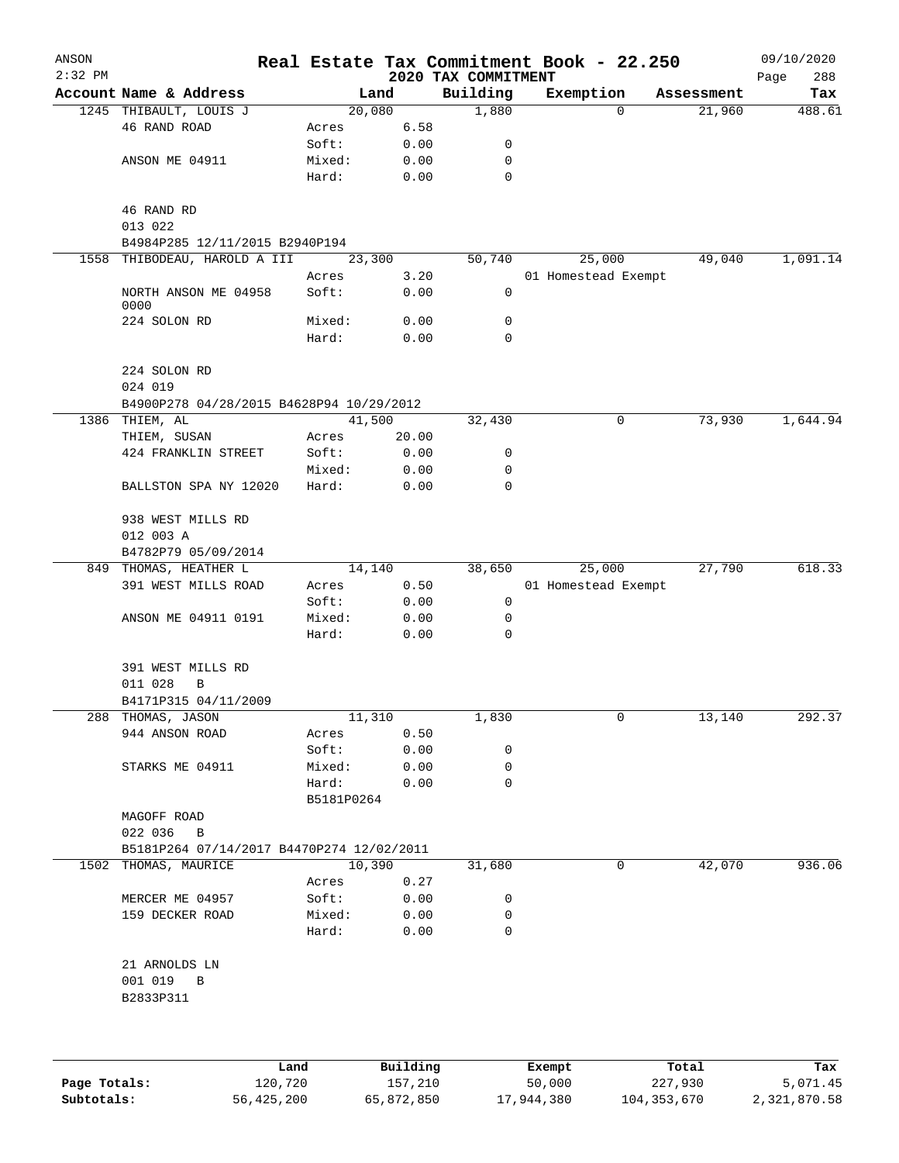| ANSON<br>$2:32$ PM |                                           |                 |              | 2020 TAX COMMITMENT | Real Estate Tax Commitment Book - 22.250 |            | 09/10/2020<br>288<br>Page |
|--------------------|-------------------------------------------|-----------------|--------------|---------------------|------------------------------------------|------------|---------------------------|
|                    | Account Name & Address                    |                 | Land         | Building            | Exemption                                | Assessment | Tax                       |
|                    | 1245 THIBAULT, LOUIS J                    |                 | 20,080       | 1,880               | 0                                        | 21,960     | 488.61                    |
|                    | 46 RAND ROAD                              | Acres           | 6.58         |                     |                                          |            |                           |
|                    |                                           | Soft:           | 0.00         | 0                   |                                          |            |                           |
|                    | ANSON ME 04911                            | Mixed:          | 0.00         | $\mathbf 0$         |                                          |            |                           |
|                    |                                           | Hard:           | 0.00         | $\mathbf 0$         |                                          |            |                           |
|                    | 46 RAND RD<br>013 022                     |                 |              |                     |                                          |            |                           |
|                    | B4984P285 12/11/2015 B2940P194            |                 |              |                     |                                          |            |                           |
|                    | 1558 THIBODEAU, HAROLD A III              |                 | 23,300       | 50,740              | 25,000                                   | 49,040     | 1,091.14                  |
|                    |                                           | Acres           | 3.20         |                     | 01 Homestead Exempt                      |            |                           |
|                    | NORTH ANSON ME 04958<br>0000              | Soft:           | 0.00         | 0                   |                                          |            |                           |
|                    | 224 SOLON RD                              | Mixed:          | 0.00         | 0                   |                                          |            |                           |
|                    |                                           | Hard:           | 0.00         | $\mathbf 0$         |                                          |            |                           |
|                    | 224 SOLON RD                              |                 |              |                     |                                          |            |                           |
|                    | 024 019                                   |                 |              |                     |                                          |            |                           |
|                    | B4900P278 04/28/2015 B4628P94 10/29/2012  |                 |              |                     |                                          |            |                           |
|                    | 1386 THIEM, AL                            |                 | 41,500       | 32,430              | 0                                        | 73,930     | 1,644.94                  |
|                    | THIEM, SUSAN                              | Acres           | 20.00        |                     |                                          |            |                           |
|                    | 424 FRANKLIN STREET                       | Soft:           | 0.00         | 0                   |                                          |            |                           |
|                    |                                           | Mixed:          | 0.00         | 0                   |                                          |            |                           |
|                    | BALLSTON SPA NY 12020                     | Hard:           | 0.00         | $\Omega$            |                                          |            |                           |
|                    | 938 WEST MILLS RD                         |                 |              |                     |                                          |            |                           |
|                    | 012 003 A                                 |                 |              |                     |                                          |            |                           |
|                    | B4782P79 05/09/2014                       |                 |              |                     |                                          |            |                           |
| 849                | THOMAS, HEATHER L                         |                 | 14,140       | 38,650              | 25,000                                   | 27,790     | 618.33                    |
|                    | 391 WEST MILLS ROAD                       | Acres           | 0.50         |                     | 01 Homestead Exempt                      |            |                           |
|                    |                                           | Soft:           | 0.00         | 0                   |                                          |            |                           |
|                    | ANSON ME 04911 0191                       | Mixed:          | 0.00         | 0                   |                                          |            |                           |
|                    |                                           | Hard:           | 0.00         | $\mathbf 0$         |                                          |            |                           |
|                    | 391 WEST MILLS RD                         |                 |              |                     |                                          |            |                           |
|                    | 011 028<br>В                              |                 |              |                     |                                          |            |                           |
|                    | B4171P315 04/11/2009                      |                 |              |                     |                                          |            |                           |
|                    | 288 THOMAS, JASON                         |                 | 11,310       | 1,830               | 0                                        | 13,140     | 292.37                    |
|                    | 944 ANSON ROAD                            | Acres           | 0.50         |                     |                                          |            |                           |
|                    |                                           | Soft:           | 0.00         | 0                   |                                          |            |                           |
|                    | STARKS ME 04911                           | Mixed:          | 0.00         | 0                   |                                          |            |                           |
|                    |                                           | Hard:           | 0.00         | $\mathbf 0$         |                                          |            |                           |
|                    |                                           | B5181P0264      |              |                     |                                          |            |                           |
|                    | MAGOFF ROAD                               |                 |              |                     |                                          |            |                           |
|                    | 022 036<br>B                              |                 |              |                     |                                          |            |                           |
|                    | B5181P264 07/14/2017 B4470P274 12/02/2011 |                 | 10,390       |                     | 0                                        | 42,070     | 936.06                    |
|                    | 1502 THOMAS, MAURICE                      |                 |              | 31,680              |                                          |            |                           |
|                    |                                           | Acres           | 0.27         |                     |                                          |            |                           |
|                    | MERCER ME 04957<br>159 DECKER ROAD        | Soft:<br>Mixed: | 0.00<br>0.00 | 0<br>0              |                                          |            |                           |
|                    |                                           | Hard:           | 0.00         | 0                   |                                          |            |                           |
|                    | 21 ARNOLDS LN                             |                 |              |                     |                                          |            |                           |
|                    | 001 019 B                                 |                 |              |                     |                                          |            |                           |
|                    | B2833P311                                 |                 |              |                     |                                          |            |                           |
|                    |                                           |                 |              |                     |                                          |            |                           |
|                    |                                           | Land            | Building     |                     | Exempt                                   | Total      | Tax                       |

|              | Land       | Building   | Exempt     | Total         | Tax          |
|--------------|------------|------------|------------|---------------|--------------|
| Page Totals: | 120,720    | 157,210    | 50,000     | 227,930       | 5,071.45     |
| Subtotals:   | 56,425,200 | 65,872,850 | 17,944,380 | 104, 353, 670 | 2,321,870.58 |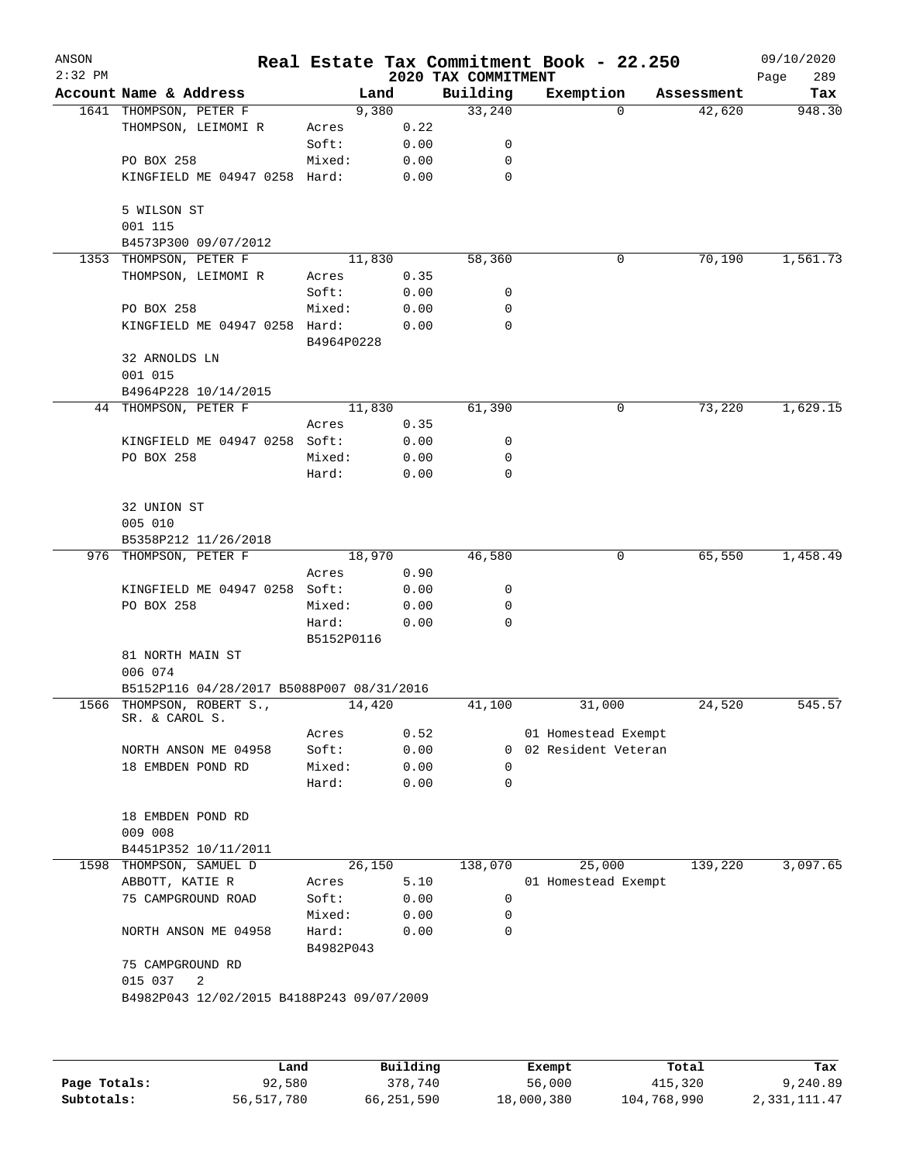| ANSON<br>$2:32$ PM |                                             |                     |              | 2020 TAX COMMITMENT | Real Estate Tax Commitment Book - 22.250 |            | 09/10/2020<br>Page<br>289 |
|--------------------|---------------------------------------------|---------------------|--------------|---------------------|------------------------------------------|------------|---------------------------|
|                    | Account Name & Address                      |                     | Land         | Building            | Exemption                                | Assessment | Tax                       |
|                    | 1641 THOMPSON, PETER F                      | 9,380               |              | 33,240              | 0                                        | 42,620     | 948.30                    |
|                    | THOMPSON, LEIMOMI R                         | Acres               | 0.22         |                     |                                          |            |                           |
|                    |                                             | Soft:               | 0.00         | 0                   |                                          |            |                           |
|                    | PO BOX 258                                  | Mixed:              | 0.00         | 0                   |                                          |            |                           |
|                    | KINGFIELD ME 04947 0258 Hard:               |                     | 0.00         | $\mathbf 0$         |                                          |            |                           |
|                    | 5 WILSON ST<br>001 115                      |                     |              |                     |                                          |            |                           |
|                    | B4573P300 09/07/2012                        |                     |              |                     |                                          |            |                           |
|                    | 1353 THOMPSON, PETER F                      | 11,830              |              | 58,360              | 0                                        | 70,190     | 1,561.73                  |
|                    | THOMPSON, LEIMOMI R                         | Acres               | 0.35         |                     |                                          |            |                           |
|                    |                                             | Soft:               | 0.00         | 0                   |                                          |            |                           |
|                    | PO BOX 258                                  | Mixed:              | 0.00         | 0                   |                                          |            |                           |
|                    | KINGFIELD ME 04947 0258 Hard:               | B4964P0228          | 0.00         | 0                   |                                          |            |                           |
|                    | 32 ARNOLDS LN<br>001 015                    |                     |              |                     |                                          |            |                           |
|                    | B4964P228 10/14/2015                        |                     |              |                     |                                          |            |                           |
|                    | 44 THOMPSON, PETER F                        | 11,830              |              | 61,390              | 0                                        | 73,220     | 1,629.15                  |
|                    |                                             | Acres               | 0.35         |                     |                                          |            |                           |
|                    | KINGFIELD ME 04947 0258 Soft:               |                     | 0.00         | 0                   |                                          |            |                           |
|                    | PO BOX 258                                  | Mixed:              | 0.00         | $\mathbf 0$         |                                          |            |                           |
|                    |                                             | Hard:               | 0.00         | 0                   |                                          |            |                           |
|                    | 32 UNION ST                                 |                     |              |                     |                                          |            |                           |
|                    | 005 010                                     |                     |              |                     |                                          |            |                           |
|                    | B5358P212 11/26/2018                        |                     |              |                     |                                          |            |                           |
|                    | 976 THOMPSON, PETER F                       | 18,970              |              | 46,580              | 0                                        | 65,550     | 1,458.49                  |
|                    | KINGFIELD ME 04947 0258 Soft:               | Acres               | 0.90         | 0                   |                                          |            |                           |
|                    |                                             |                     | 0.00         | 0                   |                                          |            |                           |
|                    | PO BOX 258                                  | Mixed:              | 0.00         | 0                   |                                          |            |                           |
|                    |                                             | Hard:<br>B5152P0116 | 0.00         |                     |                                          |            |                           |
|                    | 81 NORTH MAIN ST<br>006 074                 |                     |              |                     |                                          |            |                           |
|                    | B5152P116 04/28/2017 B5088P007 08/31/2016   |                     |              |                     |                                          |            |                           |
|                    | 1566 THOMPSON, ROBERT S.,<br>SR. & CAROL S. | 14,420              |              | 41,100              | 31,000                                   | 24,520     | 545.57                    |
|                    |                                             | Acres               | 0.52         |                     | 01 Homestead Exempt                      |            |                           |
|                    | NORTH ANSON ME 04958                        | Soft:               | 0.00         |                     | 0 02 Resident Veteran                    |            |                           |
|                    | 18 EMBDEN POND RD                           | Mixed:<br>Hard:     | 0.00<br>0.00 | 0<br>0              |                                          |            |                           |
|                    | 18 EMBDEN POND RD                           |                     |              |                     |                                          |            |                           |
|                    | 009 008                                     |                     |              |                     |                                          |            |                           |
|                    | B4451P352 10/11/2011                        |                     |              |                     |                                          |            |                           |
|                    | 1598 THOMPSON, SAMUEL D                     | 26,150              |              | 138,070             | 25,000                                   | 139,220    | 3,097.65                  |
|                    | ABBOTT, KATIE R                             | Acres               | 5.10         |                     | 01 Homestead Exempt                      |            |                           |
|                    | 75 CAMPGROUND ROAD                          | Soft:               | 0.00         | 0                   |                                          |            |                           |
|                    |                                             | Mixed:              | 0.00         | 0                   |                                          |            |                           |
|                    | NORTH ANSON ME 04958                        | Hard:<br>B4982P043  | 0.00         | 0                   |                                          |            |                           |
|                    | 75 CAMPGROUND RD                            |                     |              |                     |                                          |            |                           |
|                    | 015 037<br>2                                |                     |              |                     |                                          |            |                           |
|                    | B4982P043 12/02/2015 B4188P243 09/07/2009   |                     |              |                     |                                          |            |                           |
|                    |                                             |                     |              |                     |                                          |            |                           |
|                    |                                             |                     |              |                     |                                          |            |                           |
|                    | Land                                        |                     | Building     |                     | Exempt.                                  | Total      | Tax                       |

|              | Land       | Building   | Exempt     | Total       | Tax          |
|--------------|------------|------------|------------|-------------|--------------|
| Page Totals: | 92,580     | 378,740    | 56,000     | 415,320     | 9,240.89     |
| Subtotals:   | 56,517,780 | 66,251,590 | 18,000,380 | 104,768,990 | 2,331,111.47 |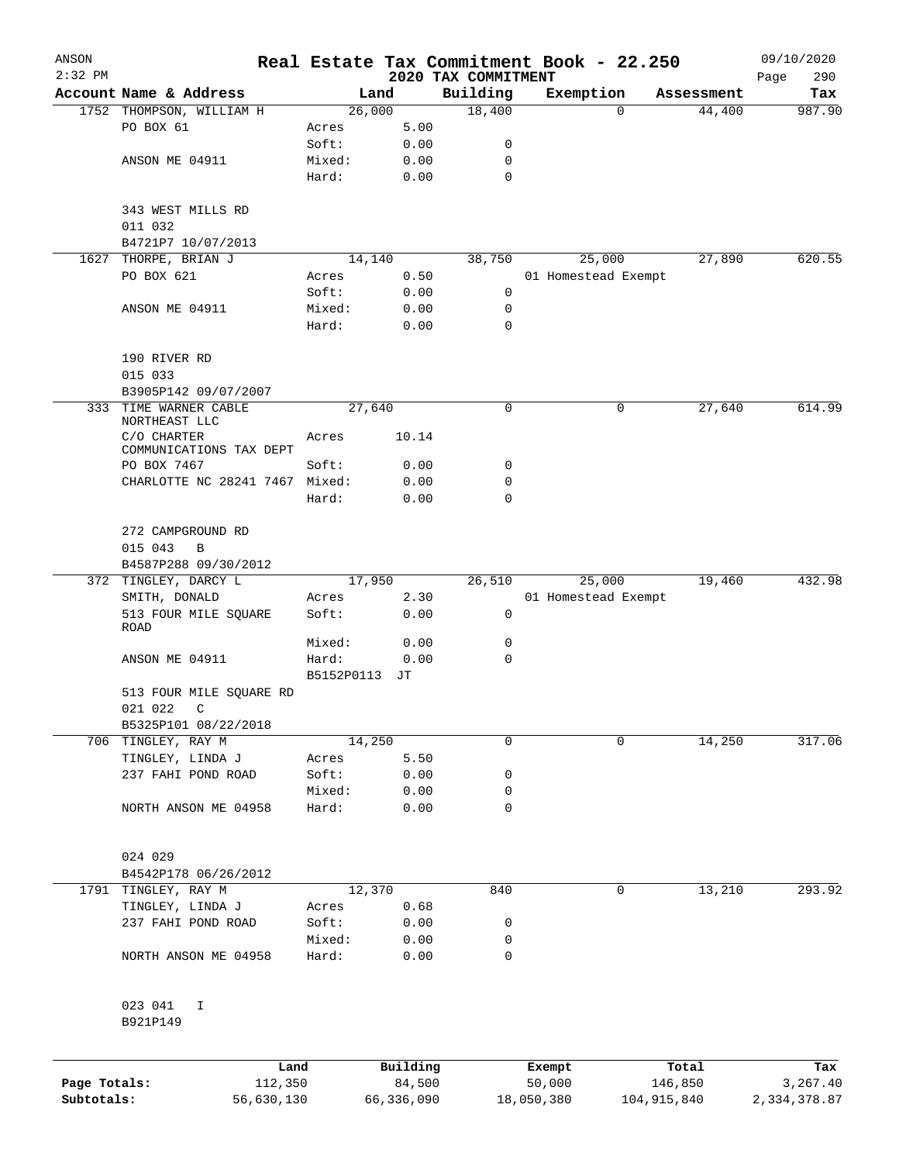| ANSON        |                                         |                 |              |                                 | Real Estate Tax Commitment Book - 22.250 |               | 09/10/2020         |
|--------------|-----------------------------------------|-----------------|--------------|---------------------------------|------------------------------------------|---------------|--------------------|
| $2:32$ PM    | Account Name & Address                  |                 | Land         | 2020 TAX COMMITMENT<br>Building | Exemption                                | Assessment    | 290<br>Page<br>Tax |
|              | 1752 THOMPSON, WILLIAM H                |                 | 26,000       | 18,400                          |                                          | 44,400<br>0   | 987.90             |
|              | PO BOX 61                               | Acres           | 5.00         |                                 |                                          |               |                    |
|              |                                         | Soft:           | 0.00         | 0                               |                                          |               |                    |
|              | ANSON ME 04911                          | Mixed:          | 0.00         | 0                               |                                          |               |                    |
|              |                                         | Hard:           | 0.00         | $\mathbf 0$                     |                                          |               |                    |
|              | 343 WEST MILLS RD<br>011 032            |                 |              |                                 |                                          |               |                    |
|              | B4721P7 10/07/2013                      |                 |              |                                 |                                          |               |                    |
| 1627         | THORPE, BRIAN J                         |                 | 14,140       | 38,750                          | 25,000                                   | 27,890        | 620.55             |
|              | PO BOX 621                              | Acres           | 0.50         |                                 | 01 Homestead Exempt                      |               |                    |
|              |                                         | Soft:           | 0.00         | 0                               |                                          |               |                    |
|              | ANSON ME 04911                          | Mixed:<br>Hard: | 0.00<br>0.00 | 0<br>0                          |                                          |               |                    |
|              |                                         |                 |              |                                 |                                          |               |                    |
|              | 190 RIVER RD<br>015 033                 |                 |              |                                 |                                          |               |                    |
|              | B3905P142 09/07/2007                    |                 |              |                                 |                                          |               |                    |
| 333          | TIME WARNER CABLE<br>NORTHEAST LLC      |                 | 27,640       | 0                               |                                          | 27,640<br>0   | 614.99             |
|              | C/O CHARTER                             | Acres           | 10.14        |                                 |                                          |               |                    |
|              | COMMUNICATIONS TAX DEPT<br>PO BOX 7467  | Soft:           | 0.00         | 0                               |                                          |               |                    |
|              | CHARLOTTE NC 28241 7467 Mixed:          |                 | 0.00         | 0                               |                                          |               |                    |
|              |                                         | Hard:           | 0.00         | 0                               |                                          |               |                    |
|              | 272 CAMPGROUND RD                       |                 |              |                                 |                                          |               |                    |
|              | 015 043<br>B                            |                 |              |                                 |                                          |               |                    |
|              | B4587P288 09/30/2012                    |                 |              |                                 |                                          |               |                    |
| 372          | TINGLEY, DARCY L                        |                 | 17,950       | 26,510                          | 25,000                                   | 19,460        | 432.98             |
|              | SMITH, DONALD                           | Acres           | 2.30         |                                 | 01 Homestead Exempt                      |               |                    |
|              | 513 FOUR MILE SQUARE<br>ROAD            | Soft:           | 0.00         | 0                               |                                          |               |                    |
|              |                                         | Mixed:          | 0.00         | 0                               |                                          |               |                    |
|              | ANSON ME 04911                          | Hard:           | 0.00         | $\mathbf 0$                     |                                          |               |                    |
|              |                                         | B5152P0113      | JТ           |                                 |                                          |               |                    |
|              | 513 FOUR MILE SQUARE RD<br>021 022<br>C |                 |              |                                 |                                          |               |                    |
|              | B5325P101 08/22/2018                    |                 |              |                                 |                                          |               |                    |
|              | 706 TINGLEY, RAY M                      |                 | 14,250       | 0                               |                                          | 0<br>14,250   | 317.06             |
|              | TINGLEY, LINDA J                        | Acres           | 5.50         |                                 |                                          |               |                    |
|              | 237 FAHI POND ROAD                      | Soft:           | 0.00         | 0                               |                                          |               |                    |
|              | NORTH ANSON ME 04958                    | Mixed:<br>Hard: | 0.00<br>0.00 | 0<br>0                          |                                          |               |                    |
|              |                                         |                 |              |                                 |                                          |               |                    |
|              | 024 029                                 |                 |              |                                 |                                          |               |                    |
|              | B4542P178 06/26/2012                    |                 |              |                                 |                                          |               |                    |
|              | 1791 TINGLEY, RAY M                     |                 | 12,370       | 840                             |                                          | 13,210<br>0   | 293.92             |
|              | TINGLEY, LINDA J                        | Acres           | 0.68         |                                 |                                          |               |                    |
|              | 237 FAHI POND ROAD                      | Soft:           | 0.00         | 0                               |                                          |               |                    |
|              |                                         | Mixed:          | 0.00         | 0                               |                                          |               |                    |
|              | NORTH ANSON ME 04958                    | Hard:           | 0.00         | 0                               |                                          |               |                    |
|              | 023 041<br>I                            |                 |              |                                 |                                          |               |                    |
|              | B921P149                                |                 |              |                                 |                                          |               |                    |
|              | Land                                    |                 | Building     |                                 | Exempt                                   | Total         | Tax                |
| Page Totals: | 112,350                                 |                 | 84,500       |                                 | 50,000                                   | 146,850       | 3,267.40           |
| Subtotals:   | 56,630,130                              |                 | 66,336,090   |                                 | 18,050,380                               | 104, 915, 840 | 2,334,378.87       |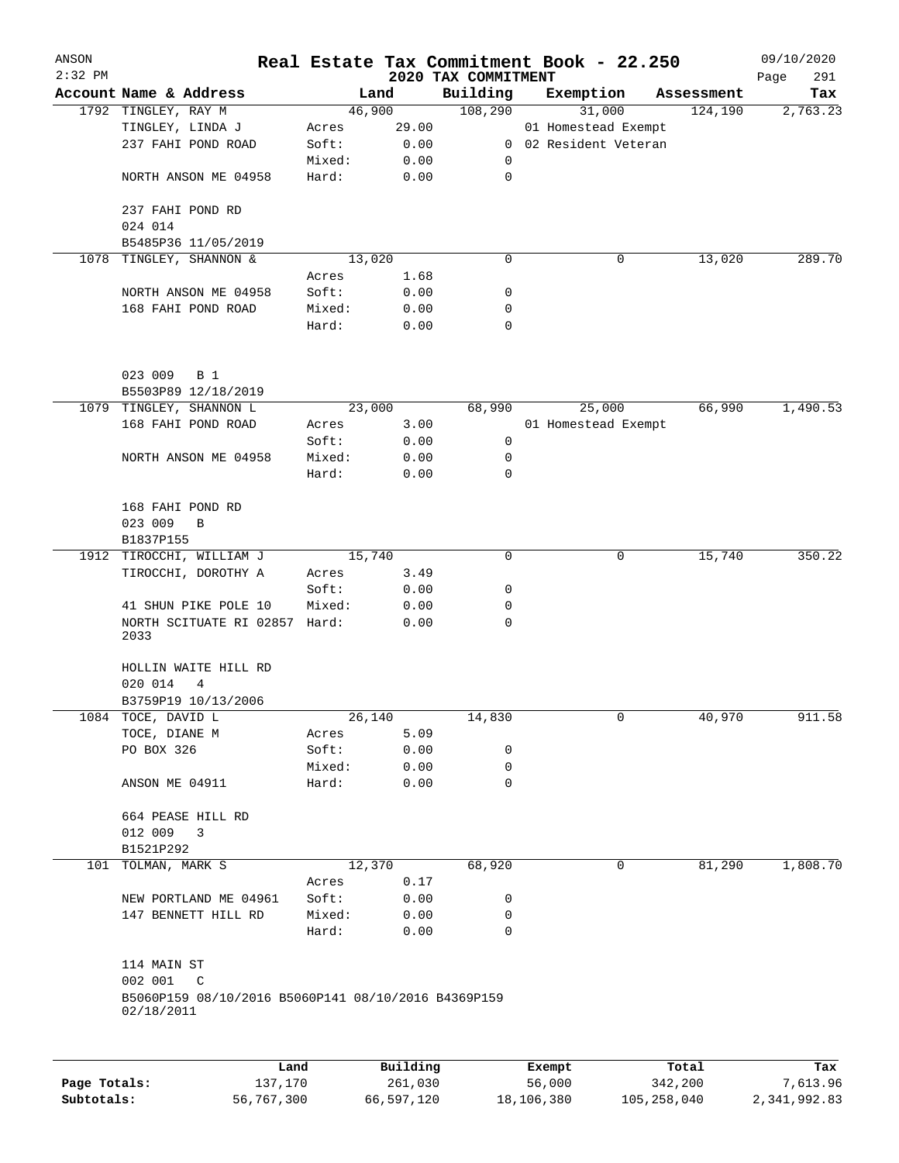| ANSON        |                                                                   |                |          |                                 |        | Real Estate Tax Commitment Book - 22.250 |                       | 09/10/2020         |
|--------------|-------------------------------------------------------------------|----------------|----------|---------------------------------|--------|------------------------------------------|-----------------------|--------------------|
| $2:32$ PM    | Account Name & Address                                            |                | Land     | 2020 TAX COMMITMENT<br>Building |        |                                          |                       | 291<br>Page<br>Tax |
|              | 1792 TINGLEY, RAY M                                               |                | 46,900   | 108,290                         |        | Exemption<br>31,000                      | Assessment<br>124,190 | 2,763.23           |
|              | TINGLEY, LINDA J                                                  | Acres          | 29.00    |                                 |        | 01 Homestead Exempt                      |                       |                    |
|              | 237 FAHI POND ROAD                                                | Soft:          | 0.00     |                                 |        | 0 02 Resident Veteran                    |                       |                    |
|              |                                                                   | Mixed:         | 0.00     | 0                               |        |                                          |                       |                    |
|              | NORTH ANSON ME 04958                                              | Hard:          | 0.00     | $\mathbf 0$                     |        |                                          |                       |                    |
|              | 237 FAHI POND RD                                                  |                |          |                                 |        |                                          |                       |                    |
|              | 024 014                                                           |                |          |                                 |        |                                          |                       |                    |
|              | B5485P36 11/05/2019                                               |                |          |                                 |        |                                          |                       |                    |
| 1078         | TINGLEY, SHANNON &                                                |                | 13,020   | 0                               |        | 0                                        | 13,020                | 289.70             |
|              |                                                                   | Acres          | 1.68     |                                 |        |                                          |                       |                    |
|              | NORTH ANSON ME 04958                                              | Soft:          | 0.00     | 0                               |        |                                          |                       |                    |
|              | 168 FAHI POND ROAD                                                | Mixed:         | 0.00     | 0                               |        |                                          |                       |                    |
|              |                                                                   | Hard:          | 0.00     | $\Omega$                        |        |                                          |                       |                    |
|              | 023 009                                                           |                |          |                                 |        |                                          |                       |                    |
|              | <b>B</b> 1                                                        |                |          |                                 |        |                                          |                       |                    |
|              | B5503P89 12/18/2019                                               |                |          |                                 |        |                                          | 66,990                | 1,490.53           |
|              | 1079 TINGLEY, SHANNON L                                           |                | 23,000   | 68,990                          |        | 25,000                                   |                       |                    |
|              | 168 FAHI POND ROAD                                                | Acres<br>Soft: | 3.00     | 0                               |        | 01 Homestead Exempt                      |                       |                    |
|              | NORTH ANSON ME 04958                                              |                | 0.00     | 0                               |        |                                          |                       |                    |
|              |                                                                   | Mixed:         | 0.00     | 0                               |        |                                          |                       |                    |
|              |                                                                   | Hard:          | 0.00     |                                 |        |                                          |                       |                    |
|              | 168 FAHI POND RD                                                  |                |          |                                 |        |                                          |                       |                    |
|              | 023 009<br>B                                                      |                |          |                                 |        |                                          |                       |                    |
|              | B1837P155                                                         |                |          |                                 |        |                                          |                       |                    |
|              | 1912 TIROCCHI, WILLIAM J                                          |                | 15,740   | 0                               |        | 0                                        | 15,740                | 350.22             |
|              | TIROCCHI, DOROTHY A                                               | Acres          | 3.49     |                                 |        |                                          |                       |                    |
|              |                                                                   | Soft:          | 0.00     | 0                               |        |                                          |                       |                    |
|              | 41 SHUN PIKE POLE 10                                              | Mixed:         | 0.00     | 0                               |        |                                          |                       |                    |
|              | NORTH SCITUATE RI 02857<br>2033                                   | Hard:          | 0.00     | 0                               |        |                                          |                       |                    |
|              | HOLLIN WAITE HILL RD                                              |                |          |                                 |        |                                          |                       |                    |
|              | 020 014<br>4                                                      |                |          |                                 |        |                                          |                       |                    |
|              | B3759P19 10/13/2006                                               |                |          |                                 |        |                                          |                       |                    |
|              | 1084 TOCE, DAVID L                                                |                | 26,140   | 14,830                          |        | 0                                        | 40,970                | 911.58             |
|              | TOCE, DIANE M                                                     | Acres          | 5.09     |                                 |        |                                          |                       |                    |
|              | PO BOX 326                                                        | Soft:          | 0.00     | 0                               |        |                                          |                       |                    |
|              |                                                                   | Mixed:         | 0.00     | 0                               |        |                                          |                       |                    |
|              | ANSON ME 04911                                                    | Hard:          | 0.00     | 0                               |        |                                          |                       |                    |
|              | 664 PEASE HILL RD                                                 |                |          |                                 |        |                                          |                       |                    |
|              | 012 009<br>3                                                      |                |          |                                 |        |                                          |                       |                    |
|              | B1521P292                                                         |                |          |                                 |        |                                          |                       |                    |
|              | 101 TOLMAN, MARK S                                                |                | 12,370   | 68,920                          |        | 0                                        | 81,290                | 1,808.70           |
|              |                                                                   | Acres          | 0.17     |                                 |        |                                          |                       |                    |
|              | NEW PORTLAND ME 04961                                             | Soft:          | 0.00     | 0                               |        |                                          |                       |                    |
|              | 147 BENNETT HILL RD                                               | Mixed:         | 0.00     | 0                               |        |                                          |                       |                    |
|              |                                                                   | Hard:          | 0.00     | 0                               |        |                                          |                       |                    |
|              | 114 MAIN ST<br>002 001<br>C                                       |                |          |                                 |        |                                          |                       |                    |
|              | B5060P159 08/10/2016 B5060P141 08/10/2016 B4369P159<br>02/18/2011 |                |          |                                 |        |                                          |                       |                    |
|              |                                                                   |                |          |                                 |        |                                          |                       |                    |
|              | Land                                                              |                | Building |                                 | Exempt |                                          | Total                 | Tax                |
| Page Totals: | 137,170                                                           |                | 261,030  |                                 | 56,000 |                                          | 342,200               | 7,613.96           |

**Subtotals:** 56,767,300 66,597,120 18,106,380 105,258,040 2,341,992.83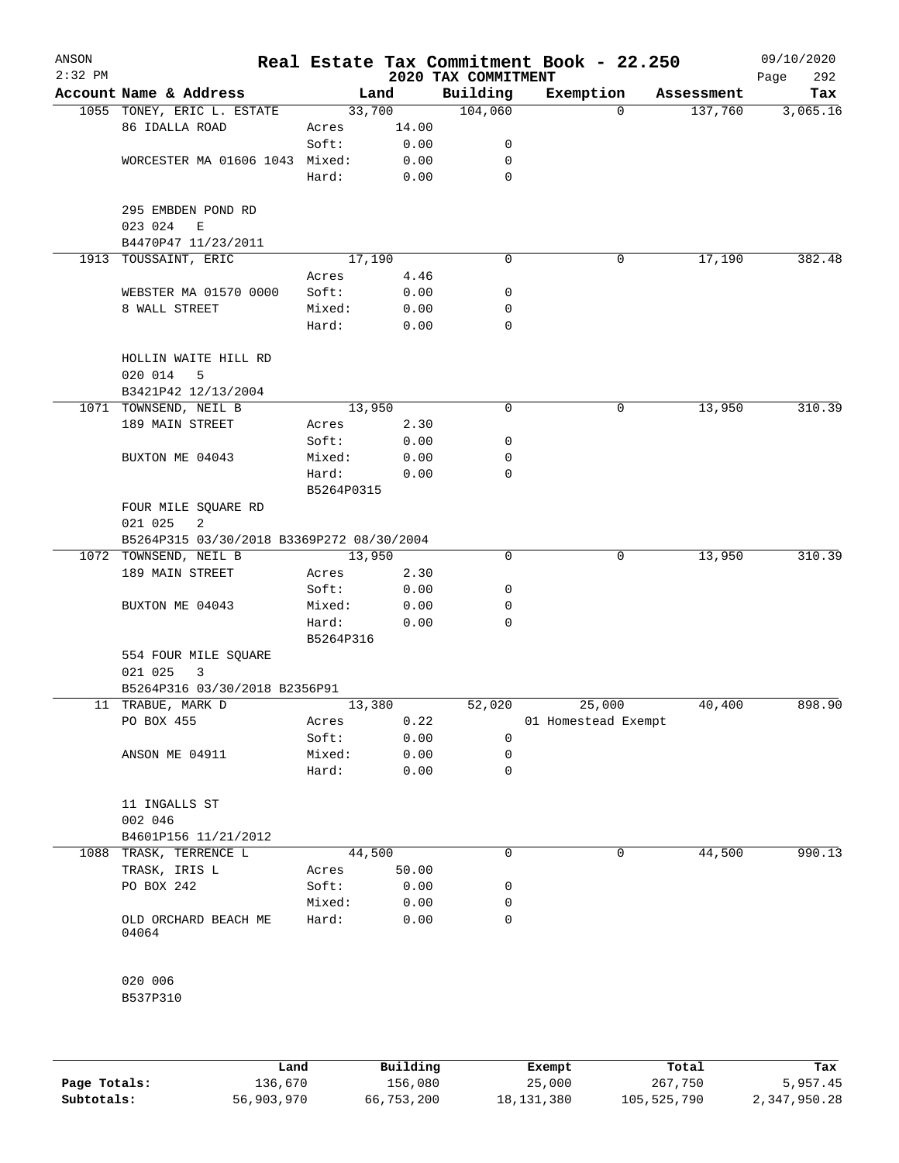| ANSON<br>$2:32$ PM |                                           |                     |       | 2020 TAX COMMITMENT | Real Estate Tax Commitment Book - 22.250 |            | 09/10/2020<br>292<br>Page |
|--------------------|-------------------------------------------|---------------------|-------|---------------------|------------------------------------------|------------|---------------------------|
|                    | Account Name & Address                    |                     | Land  | Building            | Exemption                                | Assessment | Tax                       |
|                    | 1055 TONEY, ERIC L. ESTATE                | 33,700              |       | 104,060             | $\Omega$                                 | 137,760    | 3,065.16                  |
|                    | 86 IDALLA ROAD                            | Acres               | 14.00 |                     |                                          |            |                           |
|                    |                                           | Soft:               | 0.00  | 0                   |                                          |            |                           |
|                    | WORCESTER MA 01606 1043 Mixed:            |                     | 0.00  | 0                   |                                          |            |                           |
|                    |                                           | Hard:               | 0.00  | 0                   |                                          |            |                           |
|                    | 295 EMBDEN POND RD<br>023 024<br>E        |                     |       |                     |                                          |            |                           |
|                    | B4470P47 11/23/2011                       |                     |       |                     |                                          |            |                           |
|                    | 1913 TOUSSAINT, ERIC                      | 17,190              |       | $\Omega$            | 0                                        | 17,190     | 382.48                    |
|                    |                                           | Acres               | 4.46  |                     |                                          |            |                           |
|                    | WEBSTER MA 01570 0000                     | Soft:               | 0.00  | 0                   |                                          |            |                           |
|                    | 8 WALL STREET                             | Mixed:              | 0.00  | 0                   |                                          |            |                           |
|                    |                                           | Hard:               | 0.00  | 0                   |                                          |            |                           |
|                    | HOLLIN WAITE HILL RD                      |                     |       |                     |                                          |            |                           |
|                    | 020 014<br>5                              |                     |       |                     |                                          |            |                           |
|                    | B3421P42 12/13/2004                       |                     |       |                     |                                          |            |                           |
|                    | 1071 TOWNSEND, NEIL B                     | 13,950              |       | 0                   | 0                                        | 13,950     | 310.39                    |
|                    | 189 MAIN STREET                           | Acres               | 2.30  |                     |                                          |            |                           |
|                    |                                           | Soft:               | 0.00  | 0                   |                                          |            |                           |
|                    | BUXTON ME 04043                           | Mixed:              | 0.00  | 0                   |                                          |            |                           |
|                    |                                           | Hard:<br>B5264P0315 | 0.00  | 0                   |                                          |            |                           |
|                    | FOUR MILE SQUARE RD                       |                     |       |                     |                                          |            |                           |
|                    | 021 025<br>2                              |                     |       |                     |                                          |            |                           |
|                    | B5264P315 03/30/2018 B3369P272 08/30/2004 |                     |       |                     |                                          |            |                           |
|                    | 1072 TOWNSEND, NEIL B                     | 13,950              |       | 0                   | 0                                        | 13,950     | 310.39                    |
|                    | 189 MAIN STREET                           | Acres               | 2.30  |                     |                                          |            |                           |
|                    |                                           | Soft:               | 0.00  | 0                   |                                          |            |                           |
|                    | BUXTON ME 04043                           | Mixed:              | 0.00  | 0                   |                                          |            |                           |
|                    |                                           | Hard:               | 0.00  | 0                   |                                          |            |                           |
|                    |                                           | B5264P316           |       |                     |                                          |            |                           |
|                    | 554 FOUR MILE SQUARE                      |                     |       |                     |                                          |            |                           |
|                    | 021 025<br>3                              |                     |       |                     |                                          |            |                           |
|                    | B5264P316 03/30/2018 B2356P91             |                     |       |                     |                                          |            |                           |
|                    | 11 TRABUE, MARK D                         | 13,380              |       | 52,020              | 25,000                                   | 40,400     | 898.90                    |
|                    | PO BOX 455                                | Acres               | 0.22  |                     | 01 Homestead Exempt                      |            |                           |
|                    |                                           | Soft:               | 0.00  | 0                   |                                          |            |                           |
|                    | ANSON ME 04911                            | Mixed:              | 0.00  | 0                   |                                          |            |                           |
|                    |                                           | Hard:               | 0.00  | 0                   |                                          |            |                           |
|                    | 11 INGALLS ST<br>002 046                  |                     |       |                     |                                          |            |                           |
|                    | B4601P156 11/21/2012                      |                     |       |                     |                                          |            |                           |
|                    | 1088 TRASK, TERRENCE L                    | 44,500              |       | 0                   | 0                                        | 44,500     | 990.13                    |
|                    | TRASK, IRIS L                             | Acres               | 50.00 |                     |                                          |            |                           |
|                    | PO BOX 242                                | Soft:               | 0.00  | 0                   |                                          |            |                           |
|                    |                                           | Mixed:              | 0.00  | 0                   |                                          |            |                           |
|                    | OLD ORCHARD BEACH ME<br>04064             | Hard:               | 0.00  | 0                   |                                          |            |                           |
|                    | 020 006<br>B537P310                       |                     |       |                     |                                          |            |                           |
|                    |                                           |                     |       |                     |                                          |            |                           |

|              | Land       | Building   | Exempt     | Total       | Tax          |
|--------------|------------|------------|------------|-------------|--------------|
| Page Totals: | 136,670    | 156,080    | 25,000     | 267,750     | 5,957.45     |
| Subtotals:   | 56,903,970 | 66,753,200 | 18,131,380 | 105,525,790 | 2,347,950.28 |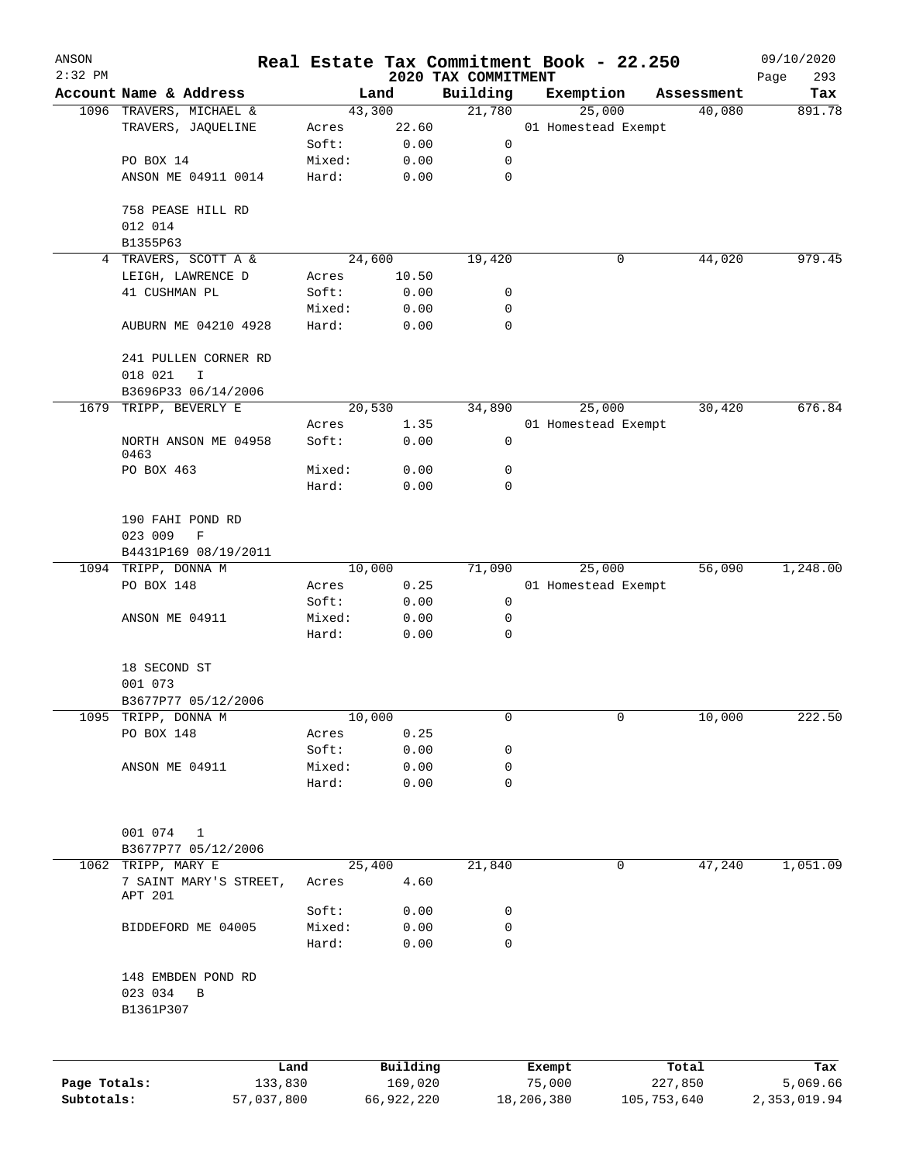| ANSON<br>$2:32$ PM |                         |        |          | 2020 TAX COMMITMENT | Real Estate Tax Commitment Book - 22.250 |            | 09/10/2020         |
|--------------------|-------------------------|--------|----------|---------------------|------------------------------------------|------------|--------------------|
|                    | Account Name & Address  |        | Land     | Building            | Exemption                                | Assessment | Page<br>293<br>Tax |
|                    | 1096 TRAVERS, MICHAEL & |        | 43,300   | 21,780              | 25,000                                   | 40,080     | 891.78             |
|                    | TRAVERS, JAQUELINE      | Acres  | 22.60    |                     | 01 Homestead Exempt                      |            |                    |
|                    |                         | Soft:  | 0.00     | 0                   |                                          |            |                    |
|                    | PO BOX 14               | Mixed: | 0.00     | 0                   |                                          |            |                    |
|                    | ANSON ME 04911 0014     | Hard:  | 0.00     | $\mathbf 0$         |                                          |            |                    |
|                    |                         |        |          |                     |                                          |            |                    |
|                    | 758 PEASE HILL RD       |        |          |                     |                                          |            |                    |
|                    | 012 014                 |        |          |                     |                                          |            |                    |
|                    | B1355P63                |        |          |                     |                                          |            |                    |
|                    | 4 TRAVERS, SCOTT A &    |        | 24,600   | 19,420              | 0                                        | 44,020     | 979.45             |
|                    | LEIGH, LAWRENCE D       | Acres  | 10.50    |                     |                                          |            |                    |
|                    | 41 CUSHMAN PL           | Soft:  | 0.00     | 0                   |                                          |            |                    |
|                    |                         | Mixed: | 0.00     | 0                   |                                          |            |                    |
|                    | AUBURN ME 04210 4928    | Hard:  | 0.00     | $\mathbf 0$         |                                          |            |                    |
|                    |                         |        |          |                     |                                          |            |                    |
|                    | 241 PULLEN CORNER RD    |        |          |                     |                                          |            |                    |
|                    | 018 021<br>I            |        |          |                     |                                          |            |                    |
|                    | B3696P33 06/14/2006     |        |          |                     |                                          |            |                    |
| 1679               | TRIPP, BEVERLY E        |        | 20,530   | 34,890              | 25,000                                   | 30,420     | 676.84             |
|                    |                         | Acres  | 1.35     |                     | 01 Homestead Exempt                      |            |                    |
|                    | NORTH ANSON ME 04958    | Soft:  | 0.00     | $\mathsf 0$         |                                          |            |                    |
|                    | 0463                    |        |          |                     |                                          |            |                    |
|                    | PO BOX 463              | Mixed: | 0.00     | 0                   |                                          |            |                    |
|                    |                         | Hard:  | 0.00     | $\mathbf 0$         |                                          |            |                    |
|                    |                         |        |          |                     |                                          |            |                    |
|                    | 190 FAHI POND RD        |        |          |                     |                                          |            |                    |
|                    | 023 009<br>F            |        |          |                     |                                          |            |                    |
|                    | B4431P169 08/19/2011    |        |          |                     |                                          |            |                    |
|                    | 1094 TRIPP, DONNA M     | 10,000 |          | 71,090              | 25,000                                   | 56,090     | 1,248.00           |
|                    | PO BOX 148              | Acres  | 0.25     |                     | 01 Homestead Exempt                      |            |                    |
|                    |                         | Soft:  | 0.00     | 0                   |                                          |            |                    |
|                    | ANSON ME 04911          | Mixed: | 0.00     | 0                   |                                          |            |                    |
|                    |                         | Hard:  | 0.00     | 0                   |                                          |            |                    |
|                    |                         |        |          |                     |                                          |            |                    |
|                    | 18 SECOND ST            |        |          |                     |                                          |            |                    |
|                    | 001 073                 |        |          |                     |                                          |            |                    |
|                    | B3677P77 05/12/2006     |        |          |                     |                                          |            |                    |
|                    | 1095 TRIPP, DONNA M     | 10,000 |          | 0                   | 0                                        | 10,000     | 222.50             |
|                    | PO BOX 148              | Acres  | 0.25     |                     |                                          |            |                    |
|                    |                         | Soft:  | 0.00     | 0                   |                                          |            |                    |
|                    | ANSON ME 04911          | Mixed: | 0.00     | 0                   |                                          |            |                    |
|                    |                         | Hard:  | 0.00     | $\mathbf 0$         |                                          |            |                    |
|                    |                         |        |          |                     |                                          |            |                    |
|                    |                         |        |          |                     |                                          |            |                    |
|                    | 001 074<br>1            |        |          |                     |                                          |            |                    |
|                    | B3677P77 05/12/2006     |        |          |                     |                                          |            |                    |
|                    | 1062 TRIPP, MARY E      |        | 25,400   | 21,840              | 0                                        | 47,240     | 1,051.09           |
|                    | 7 SAINT MARY'S STREET,  | Acres  | 4.60     |                     |                                          |            |                    |
|                    | APT 201                 |        |          |                     |                                          |            |                    |
|                    |                         | Soft:  | 0.00     | 0                   |                                          |            |                    |
|                    | BIDDEFORD ME 04005      | Mixed: | 0.00     | 0                   |                                          |            |                    |
|                    |                         | Hard:  | 0.00     | $\mathbf 0$         |                                          |            |                    |
|                    |                         |        |          |                     |                                          |            |                    |
|                    | 148 EMBDEN POND RD      |        |          |                     |                                          |            |                    |
|                    | 023 034<br>B            |        |          |                     |                                          |            |                    |
|                    | B1361P307               |        |          |                     |                                          |            |                    |
|                    |                         |        |          |                     |                                          |            |                    |
|                    |                         |        |          |                     |                                          |            |                    |
|                    |                         | Land   | Building |                     | Exempt                                   | Total      | Tax                |
| Page Totals:       | 133,830                 |        | 169,020  |                     | 75,000                                   | 227,850    | 5,069.66           |

**Subtotals:** 57,037,800 66,922,220 18,206,380 105,753,640 2,353,019.94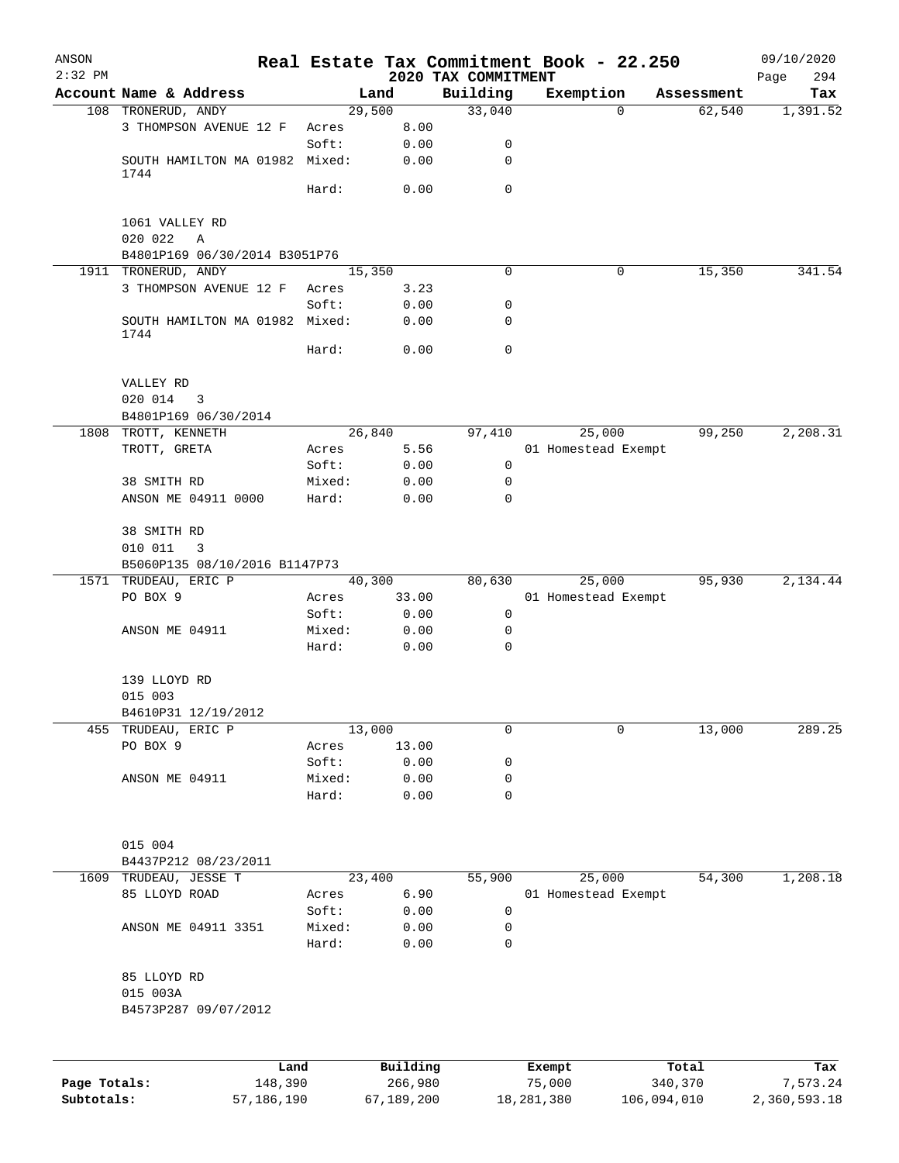| ANSON<br>$2:32$ PM |                                               |                 |                     | 2020 TAX COMMITMENT | Real Estate Tax Commitment Book - 22.250 |                       | 09/10/2020<br>294<br>Page |
|--------------------|-----------------------------------------------|-----------------|---------------------|---------------------|------------------------------------------|-----------------------|---------------------------|
|                    | Account Name & Address                        |                 | Land                | Building            | Exemption                                | Assessment            | Tax                       |
|                    | 108 TRONERUD, ANDY                            |                 | 29,500              | 33,040              |                                          | 62,540<br>$\mathbf 0$ | 1,391.52                  |
|                    | 3 THOMPSON AVENUE 12 F                        | Acres           | 8.00                |                     |                                          |                       |                           |
|                    |                                               | Soft:           | 0.00                | 0                   |                                          |                       |                           |
|                    | SOUTH HAMILTON MA 01982 Mixed:<br>1744        |                 | 0.00                | 0                   |                                          |                       |                           |
|                    |                                               | Hard:           | 0.00                | $\mathbf 0$         |                                          |                       |                           |
|                    | 1061 VALLEY RD                                |                 |                     |                     |                                          |                       |                           |
|                    | 020 022<br>Α<br>B4801P169 06/30/2014 B3051P76 |                 |                     |                     |                                          |                       |                           |
|                    | 1911 TRONERUD, ANDY                           |                 | 15,350              | 0                   |                                          | 15,350<br>0           | 341.54                    |
|                    | 3 THOMPSON AVENUE 12 F                        | Acres           | 3.23                |                     |                                          |                       |                           |
|                    |                                               | Soft:           | 0.00                | 0                   |                                          |                       |                           |
|                    | SOUTH HAMILTON MA 01982 Mixed:<br>1744        |                 | 0.00                | 0                   |                                          |                       |                           |
|                    |                                               | Hard:           | 0.00                | $\mathbf 0$         |                                          |                       |                           |
|                    | VALLEY RD                                     |                 |                     |                     |                                          |                       |                           |
|                    | 020 014<br>3                                  |                 |                     |                     |                                          |                       |                           |
|                    | B4801P169 06/30/2014                          |                 |                     |                     |                                          |                       |                           |
|                    | 1808 TROTT, KENNETH                           |                 | 26,840              | 97,410              | 25,000                                   | 99,250                | 2,208.31                  |
|                    | TROTT, GRETA                                  | Acres           | 5.56                |                     | 01 Homestead Exempt                      |                       |                           |
|                    |                                               | Soft:           | 0.00                | 0                   |                                          |                       |                           |
|                    | 38 SMITH RD                                   | Mixed:          | 0.00                | 0                   |                                          |                       |                           |
|                    | ANSON ME 04911 0000                           | Hard:           | 0.00                | $\mathbf 0$         |                                          |                       |                           |
|                    | 38 SMITH RD                                   |                 |                     |                     |                                          |                       |                           |
|                    | 010 011<br>3                                  |                 |                     |                     |                                          |                       |                           |
|                    | B5060P135 08/10/2016 B1147P73                 |                 |                     |                     |                                          |                       |                           |
|                    | 1571 TRUDEAU, ERIC P                          |                 | 40,300              | 80,630              | 25,000                                   | 95,930                | 2,134.44                  |
|                    | PO BOX 9                                      | Acres           | 33.00               |                     | 01 Homestead Exempt                      |                       |                           |
|                    | ANSON ME 04911                                | Soft:<br>Mixed: | 0.00<br>0.00        | 0<br>0              |                                          |                       |                           |
|                    |                                               | Hard:           | 0.00                | 0                   |                                          |                       |                           |
|                    | 139 LLOYD RD                                  |                 |                     |                     |                                          |                       |                           |
|                    | 015 003                                       |                 |                     |                     |                                          |                       |                           |
|                    | B4610P31 12/19/2012                           |                 |                     |                     |                                          |                       |                           |
| 455                | TRUDEAU, ERIC P                               |                 | 13,000              | 0                   |                                          | 0<br>13,000           | 289.25                    |
|                    | PO BOX 9                                      | Acres           | 13.00               |                     |                                          |                       |                           |
|                    |                                               | Soft:           | 0.00                | 0                   |                                          |                       |                           |
|                    | ANSON ME 04911                                | Mixed:<br>Hard: | 0.00<br>0.00        | 0<br>0              |                                          |                       |                           |
|                    | 015 004                                       |                 |                     |                     |                                          |                       |                           |
|                    | B4437P212 08/23/2011                          |                 |                     |                     |                                          |                       |                           |
| 1609               | TRUDEAU, JESSE T                              |                 | 23,400              | 55,900              | 25,000                                   | 54,300                | 1,208.18                  |
|                    | 85 LLOYD ROAD                                 | Acres           | 6.90                |                     | 01 Homestead Exempt                      |                       |                           |
|                    |                                               | Soft:           | 0.00                | 0                   |                                          |                       |                           |
|                    | ANSON ME 04911 3351                           | Mixed:          | 0.00                | 0                   |                                          |                       |                           |
|                    |                                               | Hard:           | 0.00                | 0                   |                                          |                       |                           |
|                    | 85 LLOYD RD                                   |                 |                     |                     |                                          |                       |                           |
|                    | 015 003A                                      |                 |                     |                     |                                          |                       |                           |
|                    | B4573P287 09/07/2012                          |                 |                     |                     |                                          |                       |                           |
|                    |                                               |                 |                     |                     |                                          |                       |                           |
| Page Totals:       | 148,390                                       | Land            | Building<br>266,980 |                     | Exempt<br>75,000                         | Total<br>340,370      | Tax<br>7,573.24           |

**Subtotals:** 57,186,190 67,189,200 18,281,380 106,094,010 2,360,593.18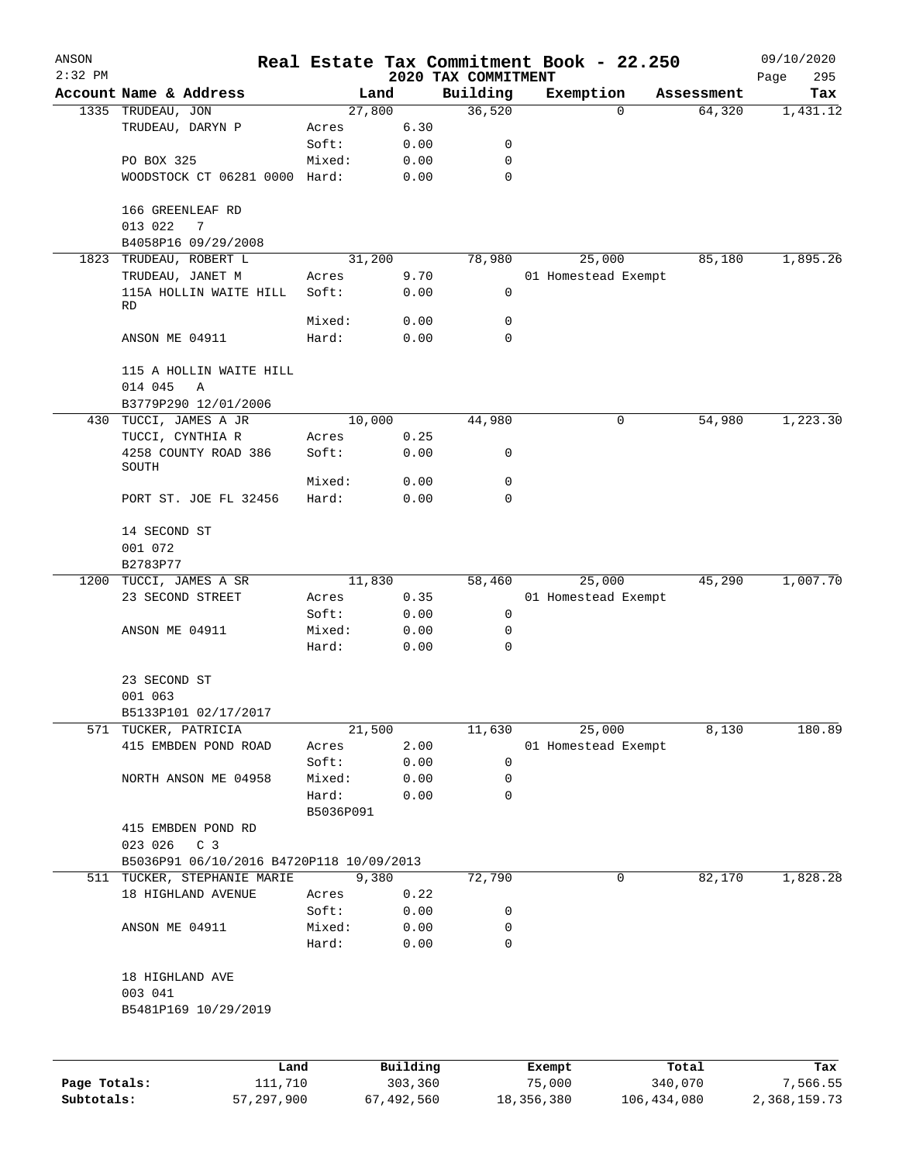| ANSON        |                                          |                 |              |                                 | Real Estate Tax Commitment Book - 22.250 |            | 09/10/2020         |
|--------------|------------------------------------------|-----------------|--------------|---------------------------------|------------------------------------------|------------|--------------------|
| $2:32$ PM    | Account Name & Address                   |                 | Land         | 2020 TAX COMMITMENT<br>Building | Exemption                                | Assessment | 295<br>Page<br>Tax |
|              | 1335 TRUDEAU, JON                        | 27,800          |              | 36,520                          | 0                                        | 64,320     | 1,431.12           |
|              | TRUDEAU, DARYN P                         | Acres           | 6.30         |                                 |                                          |            |                    |
|              |                                          | Soft:           | 0.00         | 0                               |                                          |            |                    |
|              | PO BOX 325                               | Mixed:          | 0.00         | $\mathbf 0$                     |                                          |            |                    |
|              | WOODSTOCK CT 06281 0000 Hard:            |                 | 0.00         | $\mathbf 0$                     |                                          |            |                    |
|              | 166 GREENLEAF RD<br>013 022<br>7         |                 |              |                                 |                                          |            |                    |
|              | B4058P16 09/29/2008                      |                 |              |                                 |                                          |            |                    |
| 1823         | TRUDEAU, ROBERT L                        | 31,200          |              | 78,980                          | 25,000                                   | 85,180     | 1,895.26           |
|              | TRUDEAU, JANET M                         | Acres           | 9.70         |                                 | 01 Homestead Exempt                      |            |                    |
|              | 115A HOLLIN WAITE HILL<br><b>RD</b>      | Soft:           | 0.00         | 0                               |                                          |            |                    |
|              |                                          | Mixed:          | 0.00         | 0                               |                                          |            |                    |
|              | ANSON ME 04911                           | Hard:           | 0.00         | $\mathbf 0$                     |                                          |            |                    |
|              | 115 A HOLLIN WAITE HILL<br>014 045<br>Α  |                 |              |                                 |                                          |            |                    |
|              | B3779P290 12/01/2006                     |                 |              |                                 |                                          |            |                    |
| 430          | TUCCI, JAMES A JR                        | 10,000          |              | 44,980                          | 0                                        | 54,980     | 1,223.30           |
|              | TUCCI, CYNTHIA R<br>4258 COUNTY ROAD 386 | Acres<br>Soft:  | 0.25<br>0.00 | 0                               |                                          |            |                    |
|              | SOUTH                                    |                 |              |                                 |                                          |            |                    |
|              | PORT ST. JOE FL 32456                    | Mixed:<br>Hard: | 0.00<br>0.00 | 0<br>0                          |                                          |            |                    |
|              |                                          |                 |              |                                 |                                          |            |                    |
|              | 14 SECOND ST                             |                 |              |                                 |                                          |            |                    |
|              | 001 072                                  |                 |              |                                 |                                          |            |                    |
|              | B2783P77<br>1200 TUCCI, JAMES A SR       | 11,830          |              | 58,460                          | 25,000                                   | 45,290     | 1,007.70           |
|              | 23 SECOND STREET                         | Acres           | 0.35         |                                 | 01 Homestead Exempt                      |            |                    |
|              |                                          | Soft:           | 0.00         | 0                               |                                          |            |                    |
|              | ANSON ME 04911                           | Mixed:          | 0.00         | 0                               |                                          |            |                    |
|              |                                          | Hard:           | 0.00         | 0                               |                                          |            |                    |
|              | 23 SECOND ST                             |                 |              |                                 |                                          |            |                    |
|              | 001 063                                  |                 |              |                                 |                                          |            |                    |
|              | B5133P101 02/17/2017                     |                 |              |                                 |                                          |            |                    |
| 571          | TUCKER, PATRICIA                         | 21,500          |              | 11,630                          | 25,000                                   | 8,130      | 180.89             |
|              | 415 EMBDEN POND ROAD                     | Acres           | 2.00         |                                 | 01 Homestead Exempt                      |            |                    |
|              |                                          | Soft:           | 0.00         | 0                               |                                          |            |                    |
|              | NORTH ANSON ME 04958                     | Mixed:          | 0.00         | 0                               |                                          |            |                    |
|              |                                          | Hard:           | 0.00         | 0                               |                                          |            |                    |
|              |                                          | B5036P091       |              |                                 |                                          |            |                    |
|              | 415 EMBDEN POND RD<br>023 026 C 3        |                 |              |                                 |                                          |            |                    |
|              | B5036P91 06/10/2016 B4720P118 10/09/2013 |                 |              |                                 |                                          |            |                    |
|              | 511 TUCKER, STEPHANIE MARIE              |                 | 9,380        | 72,790                          | 0                                        | 82,170     | 1,828.28           |
|              | 18 HIGHLAND AVENUE                       | Acres           | 0.22         |                                 |                                          |            |                    |
|              |                                          | Soft:           | 0.00         | 0                               |                                          |            |                    |
|              | ANSON ME 04911                           | Mixed:<br>Hard: | 0.00<br>0.00 | 0<br>$\mathbf 0$                |                                          |            |                    |
|              |                                          |                 |              |                                 |                                          |            |                    |
|              | 18 HIGHLAND AVE                          |                 |              |                                 |                                          |            |                    |
|              | 003 041                                  |                 |              |                                 |                                          |            |                    |
|              | B5481P169 10/29/2019                     |                 |              |                                 |                                          |            |                    |
|              |                                          |                 |              |                                 |                                          |            |                    |
|              | Land                                     |                 | Building     |                                 | Exempt                                   | Total      | Tax                |
| Page Totals: | 111,710                                  |                 | 303,360      |                                 | 75,000                                   | 340,070    | 7,566.55           |

**Subtotals:** 57,297,900 67,492,560 18,356,380 106,434,080 2,368,159.73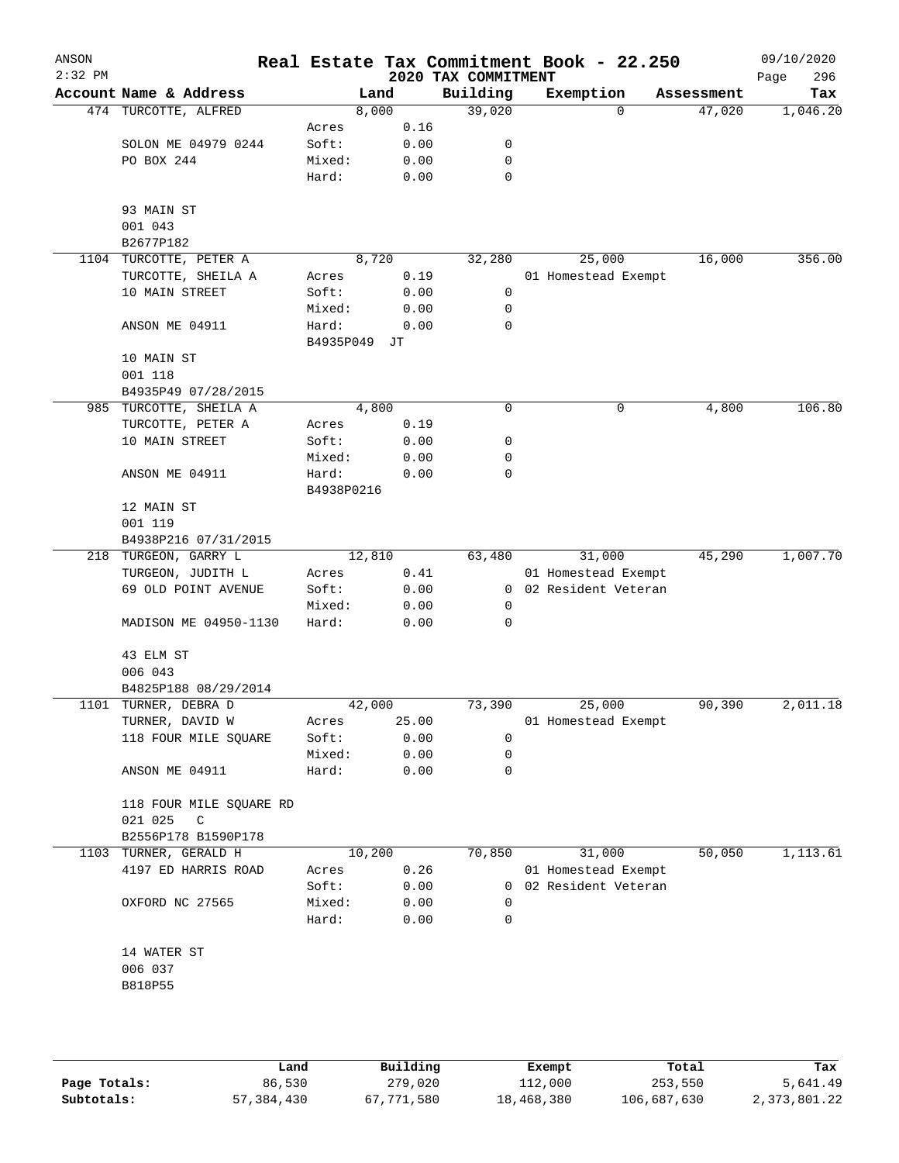| ANSON<br>$2:32$ PM |                         |                    |              | Real Estate Tax Commitment Book - 22.250<br>2020 TAX COMMITMENT |           |                       |            | 09/10/2020<br>296<br>Page |
|--------------------|-------------------------|--------------------|--------------|-----------------------------------------------------------------|-----------|-----------------------|------------|---------------------------|
|                    | Account Name & Address  |                    | Land         | Building                                                        | Exemption |                       | Assessment | Tax                       |
|                    | 474 TURCOTTE, ALFRED    |                    | 8,000        | 39,020                                                          |           | 0                     | 47,020     | 1,046.20                  |
|                    |                         | Acres              | 0.16         |                                                                 |           |                       |            |                           |
|                    | SOLON ME 04979 0244     | Soft:              | 0.00         | 0                                                               |           |                       |            |                           |
|                    | PO BOX 244              | Mixed:             | 0.00         | 0                                                               |           |                       |            |                           |
|                    |                         | Hard:              | 0.00         | $\mathbf 0$                                                     |           |                       |            |                           |
|                    | 93 MAIN ST              |                    |              |                                                                 |           |                       |            |                           |
|                    | 001 043                 |                    |              |                                                                 |           |                       |            |                           |
|                    | B2677P182               |                    |              |                                                                 |           |                       |            |                           |
|                    | 1104 TURCOTTE, PETER A  |                    | 8,720        | 32,280                                                          |           | 25,000                | 16,000     | 356.00                    |
|                    | TURCOTTE, SHEILA A      | Acres              | 0.19         |                                                                 |           | 01 Homestead Exempt   |            |                           |
|                    | 10 MAIN STREET          | Soft:              | 0.00         | 0                                                               |           |                       |            |                           |
|                    |                         | Mixed:             | 0.00         | 0                                                               |           |                       |            |                           |
|                    | ANSON ME 04911          | Hard:<br>B4935P049 | 0.00<br>JТ   | 0                                                               |           |                       |            |                           |
|                    | 10 MAIN ST              |                    |              |                                                                 |           |                       |            |                           |
|                    | 001 118                 |                    |              |                                                                 |           |                       |            |                           |
|                    | B4935P49 07/28/2015     |                    |              |                                                                 |           |                       |            |                           |
|                    | 985 TURCOTTE, SHEILA A  |                    | 4,800        | 0                                                               |           | 0                     | 4,800      | 106.80                    |
|                    | TURCOTTE, PETER A       | Acres              | 0.19         |                                                                 |           |                       |            |                           |
|                    | 10 MAIN STREET          | Soft:              | 0.00         | 0                                                               |           |                       |            |                           |
|                    |                         | Mixed:             | 0.00         | 0                                                               |           |                       |            |                           |
|                    | ANSON ME 04911          | Hard:              | 0.00         | 0                                                               |           |                       |            |                           |
|                    |                         | B4938P0216         |              |                                                                 |           |                       |            |                           |
|                    | 12 MAIN ST              |                    |              |                                                                 |           |                       |            |                           |
|                    | 001 119                 |                    |              |                                                                 |           |                       |            |                           |
|                    | B4938P216 07/31/2015    |                    |              |                                                                 |           |                       |            |                           |
|                    | 218 TURGEON, GARRY L    |                    | 12,810       | 63,480                                                          |           | 31,000                | 45,290     | 1,007.70                  |
|                    | TURGEON, JUDITH L       | Acres              | 0.41         |                                                                 |           | 01 Homestead Exempt   |            |                           |
|                    | 69 OLD POINT AVENUE     | Soft:              | 0.00         |                                                                 |           | 0 02 Resident Veteran |            |                           |
|                    |                         | Mixed:             | 0.00         | $\mathbf 0$                                                     |           |                       |            |                           |
|                    | MADISON ME 04950-1130   | Hard:              | 0.00         | 0                                                               |           |                       |            |                           |
|                    | 43 ELM ST               |                    |              |                                                                 |           |                       |            |                           |
|                    | 006 043                 |                    |              |                                                                 |           |                       |            |                           |
|                    | B4825P188 08/29/2014    |                    |              |                                                                 |           |                       |            |                           |
|                    | 1101 TURNER, DEBRA D    |                    | 42,000       | 73,390                                                          |           | 25,000                | 90,390     | 2,011.18                  |
|                    | TURNER, DAVID W         | Acres              | 25.00        |                                                                 |           | 01 Homestead Exempt   |            |                           |
|                    | 118 FOUR MILE SQUARE    | Soft:              | 0.00         | 0                                                               |           |                       |            |                           |
|                    |                         | Mixed:             | 0.00         | 0                                                               |           |                       |            |                           |
|                    | ANSON ME 04911          | Hard:              | 0.00         | 0                                                               |           |                       |            |                           |
|                    | 118 FOUR MILE SQUARE RD |                    |              |                                                                 |           |                       |            |                           |
|                    | 021 025<br>C            |                    |              |                                                                 |           |                       |            |                           |
|                    | B2556P178 B1590P178     |                    |              |                                                                 |           |                       | 50,050     |                           |
| 1103               | TURNER, GERALD H        |                    | 10,200       | 70,850                                                          |           | 31,000                |            | 1,113.61                  |
|                    | 4197 ED HARRIS ROAD     | Acres              | 0.26         |                                                                 |           | 01 Homestead Exempt   |            |                           |
|                    |                         | Soft:              | 0.00         | 0                                                               |           | 02 Resident Veteran   |            |                           |
|                    | OXFORD NC 27565         | Mixed:<br>Hard:    | 0.00<br>0.00 | 0<br>0                                                          |           |                       |            |                           |
|                    |                         |                    |              |                                                                 |           |                       |            |                           |
|                    | 14 WATER ST             |                    |              |                                                                 |           |                       |            |                           |
|                    | 006 037                 |                    |              |                                                                 |           |                       |            |                           |
|                    | B818P55                 |                    |              |                                                                 |           |                       |            |                           |
|                    |                         |                    |              |                                                                 |           |                       |            |                           |
|                    |                         |                    |              |                                                                 |           |                       |            |                           |
|                    |                         |                    |              |                                                                 |           |                       |            |                           |

|              | Land       | Building   | Exempt     | Total       | Tax          |
|--------------|------------|------------|------------|-------------|--------------|
| Page Totals: | 86,530     | 279,020    | 112,000    | 253,550     | 5,641.49     |
| Subtotals:   | 57,384,430 | 67,771,580 | 18,468,380 | 106,687,630 | 2,373,801.22 |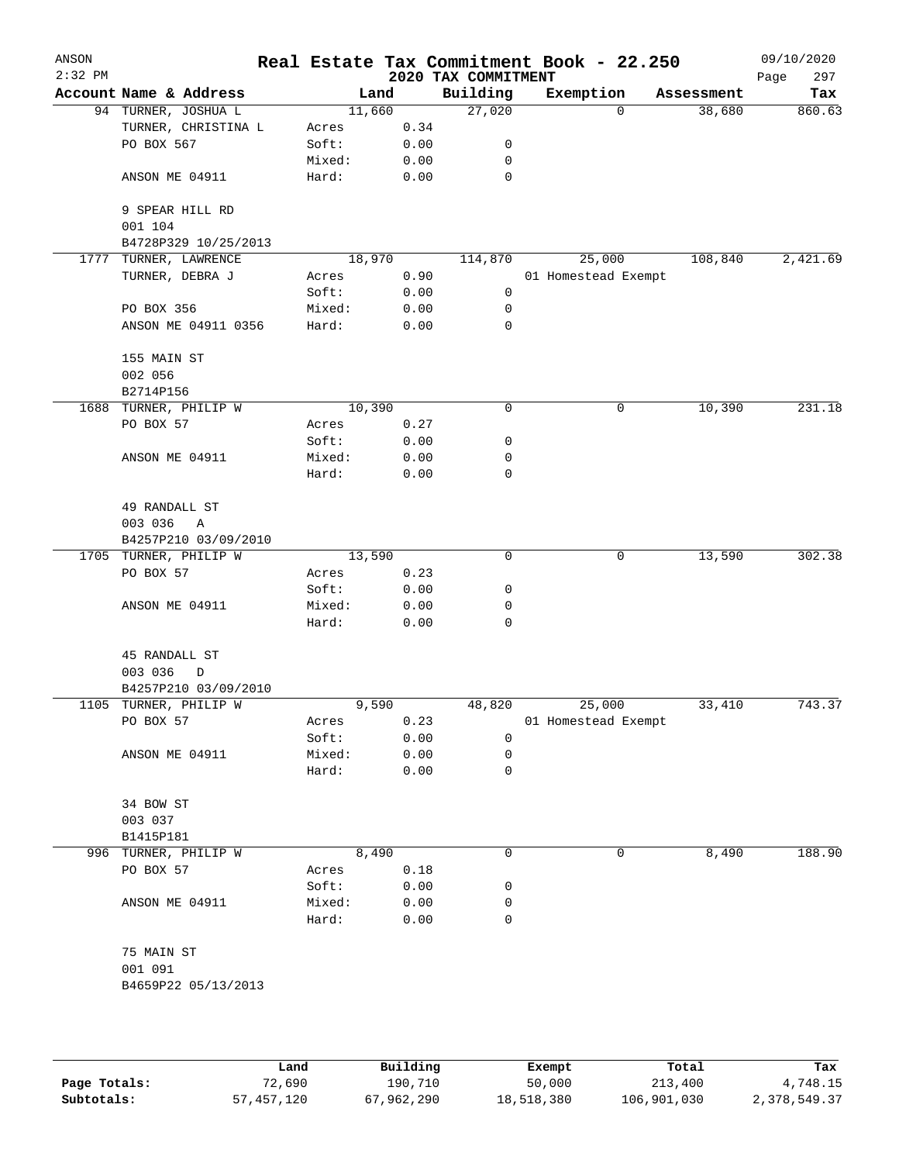| ANSON<br>$2:32$ PM |                                      |        |      | Real Estate Tax Commitment Book - 22.250<br>2020 TAX COMMITMENT |                     |            | 09/10/2020<br>297<br>Page |
|--------------------|--------------------------------------|--------|------|-----------------------------------------------------------------|---------------------|------------|---------------------------|
|                    | Account Name & Address               |        | Land | Building                                                        | Exemption           | Assessment | Tax                       |
|                    | 94 TURNER, JOSHUA L                  | 11,660 |      | 27,020                                                          | 0                   | 38,680     | 860.63                    |
|                    | TURNER, CHRISTINA L                  | Acres  | 0.34 |                                                                 |                     |            |                           |
|                    | PO BOX 567                           | Soft:  | 0.00 | 0                                                               |                     |            |                           |
|                    |                                      | Mixed: | 0.00 | 0                                                               |                     |            |                           |
|                    | ANSON ME 04911                       | Hard:  | 0.00 | 0                                                               |                     |            |                           |
|                    | 9 SPEAR HILL RD<br>001 104           |        |      |                                                                 |                     |            |                           |
|                    | B4728P329 10/25/2013                 |        |      |                                                                 |                     |            |                           |
| 1777               | TURNER, LAWRENCE                     | 18,970 |      | 114,870                                                         | 25,000              | 108,840    | 2,421.69                  |
|                    | TURNER, DEBRA J                      | Acres  | 0.90 |                                                                 | 01 Homestead Exempt |            |                           |
|                    |                                      | Soft:  | 0.00 | 0                                                               |                     |            |                           |
|                    | PO BOX 356                           | Mixed: | 0.00 | $\mathbf 0$                                                     |                     |            |                           |
|                    | ANSON ME 04911 0356                  | Hard:  | 0.00 | 0                                                               |                     |            |                           |
|                    | 155 MAIN ST<br>002 056               |        |      |                                                                 |                     |            |                           |
|                    | B2714P156                            |        |      |                                                                 |                     |            |                           |
|                    | 1688 TURNER, PHILIP W                | 10,390 |      | 0                                                               | 0                   | 10,390     | 231.18                    |
|                    | PO BOX 57                            | Acres  | 0.27 |                                                                 |                     |            |                           |
|                    |                                      | Soft:  | 0.00 | 0                                                               |                     |            |                           |
|                    | ANSON ME 04911                       | Mixed: | 0.00 | 0                                                               |                     |            |                           |
|                    |                                      | Hard:  | 0.00 | 0                                                               |                     |            |                           |
|                    | 49 RANDALL ST                        |        |      |                                                                 |                     |            |                           |
|                    | 003 036<br>Α<br>B4257P210 03/09/2010 |        |      |                                                                 |                     |            |                           |
|                    | 1705 TURNER, PHILIP W                | 13,590 |      | 0                                                               | 0                   | 13,590     | 302.38                    |
|                    | PO BOX 57                            | Acres  | 0.23 |                                                                 |                     |            |                           |
|                    |                                      | Soft:  | 0.00 | 0                                                               |                     |            |                           |
|                    | ANSON ME 04911                       | Mixed: | 0.00 | 0                                                               |                     |            |                           |
|                    |                                      | Hard:  | 0.00 | 0                                                               |                     |            |                           |
|                    | 45 RANDALL ST                        |        |      |                                                                 |                     |            |                           |
|                    | 003 036<br>D                         |        |      |                                                                 |                     |            |                           |
|                    | B4257P210 03/09/2010                 |        |      |                                                                 |                     |            |                           |
|                    | 1105 TURNER, PHILIP W                | 9,590  |      | 48,820                                                          | 25,000              | 33,410     | 743.37                    |
|                    | PO BOX 57                            | Acres  | 0.23 |                                                                 | 01 Homestead Exempt |            |                           |
|                    |                                      | Soft:  | 0.00 | 0                                                               |                     |            |                           |
|                    | ANSON ME 04911                       | Mixed: | 0.00 | 0                                                               |                     |            |                           |
|                    |                                      | Hard:  | 0.00 | 0                                                               |                     |            |                           |
|                    | 34 BOW ST                            |        |      |                                                                 |                     |            |                           |
|                    | 003 037                              |        |      |                                                                 |                     |            |                           |
|                    | B1415P181                            |        |      |                                                                 |                     |            |                           |
| 996                | TURNER, PHILIP W                     | 8,490  |      | 0                                                               | 0                   | 8,490      | 188.90                    |
|                    | PO BOX 57                            | Acres  | 0.18 |                                                                 |                     |            |                           |
|                    |                                      | Soft:  | 0.00 | 0                                                               |                     |            |                           |
|                    | ANSON ME 04911                       | Mixed: | 0.00 | 0                                                               |                     |            |                           |
|                    |                                      | Hard:  | 0.00 | 0                                                               |                     |            |                           |
|                    | 75 MAIN ST                           |        |      |                                                                 |                     |            |                           |
|                    | 001 091                              |        |      |                                                                 |                     |            |                           |
|                    | B4659P22 05/13/2013                  |        |      |                                                                 |                     |            |                           |
|                    |                                      |        |      |                                                                 |                     |            |                           |
|                    |                                      |        |      |                                                                 |                     |            |                           |

|              | Land       | Building   | Exempt     | Total       | Tax          |
|--------------|------------|------------|------------|-------------|--------------|
| Page Totals: | 72,690     | 190.710    | 50,000     | 213,400     | 4,748.15     |
| Subtotals:   | 57,457,120 | 67,962,290 | 18,518,380 | 106,901,030 | 2,378,549.37 |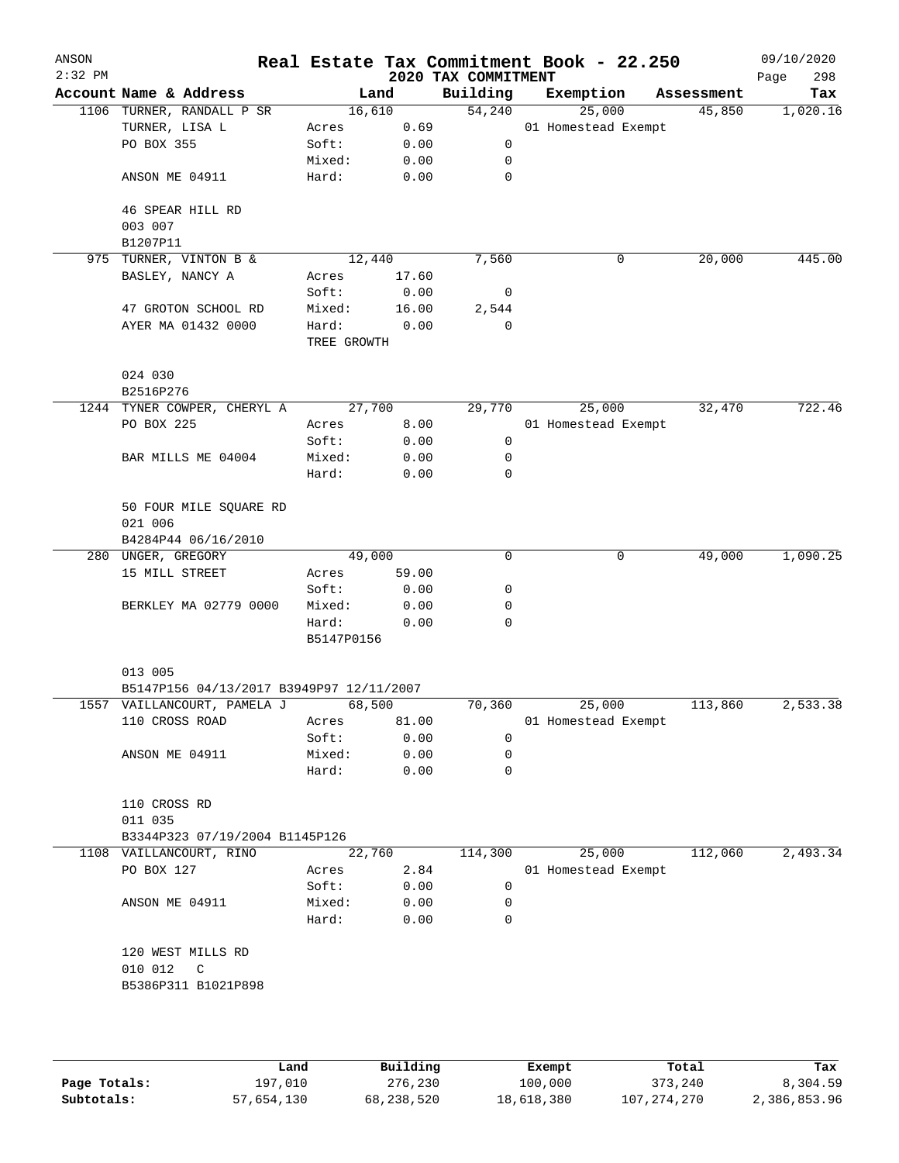| ANSON<br>$2:32$ PM |                                          |                      |       | 2020 TAX COMMITMENT | Real Estate Tax Commitment Book - 22.250 |            | 09/10/2020<br>298<br>Page |
|--------------------|------------------------------------------|----------------------|-------|---------------------|------------------------------------------|------------|---------------------------|
|                    | Account Name & Address                   |                      | Land  | Building            | Exemption                                | Assessment | Tax                       |
|                    | 1106 TURNER, RANDALL P SR                | 16,610               |       | 54,240              | 25,000                                   | 45,850     | 1,020.16                  |
|                    | TURNER, LISA L                           | Acres                | 0.69  |                     | 01 Homestead Exempt                      |            |                           |
|                    | PO BOX 355                               | Soft:                | 0.00  | 0                   |                                          |            |                           |
|                    |                                          | Mixed:               | 0.00  | 0                   |                                          |            |                           |
|                    | ANSON ME 04911                           | Hard:                | 0.00  | $\mathbf 0$         |                                          |            |                           |
|                    | 46 SPEAR HILL RD                         |                      |       |                     |                                          |            |                           |
|                    | 003 007                                  |                      |       |                     |                                          |            |                           |
|                    | B1207P11                                 |                      |       |                     |                                          |            |                           |
|                    | 975 TURNER, VINTON B &                   | 12,440               |       | 7,560               | 0                                        | 20,000     | 445.00                    |
|                    | BASLEY, NANCY A                          | Acres                | 17.60 |                     |                                          |            |                           |
|                    |                                          | Soft:                | 0.00  | $\overline{0}$      |                                          |            |                           |
|                    | 47 GROTON SCHOOL RD                      | Mixed:               | 16.00 | 2,544               |                                          |            |                           |
|                    | AYER MA 01432 0000                       | Hard:<br>TREE GROWTH | 0.00  | $\mathbf 0$         |                                          |            |                           |
|                    | 024 030                                  |                      |       |                     |                                          |            |                           |
|                    | B2516P276                                |                      |       |                     |                                          |            |                           |
|                    | 1244 TYNER COWPER, CHERYL A              | 27,700               |       | 29,770              | 25,000                                   | 32,470     | 722.46                    |
|                    | PO BOX 225                               | Acres                | 8.00  |                     | 01 Homestead Exempt                      |            |                           |
|                    |                                          | Soft:                | 0.00  | 0                   |                                          |            |                           |
|                    | BAR MILLS ME 04004                       | Mixed:               | 0.00  | 0                   |                                          |            |                           |
|                    |                                          | Hard:                | 0.00  | $\mathbf 0$         |                                          |            |                           |
|                    | 50 FOUR MILE SQUARE RD                   |                      |       |                     |                                          |            |                           |
|                    | 021 006                                  |                      |       |                     |                                          |            |                           |
|                    | B4284P44 06/16/2010                      |                      |       |                     |                                          |            |                           |
|                    | 280 UNGER, GREGORY                       | 49,000               |       | 0                   | 0                                        | 49,000     | 1,090.25                  |
|                    | 15 MILL STREET                           | Acres                | 59.00 |                     |                                          |            |                           |
|                    |                                          | Soft:                | 0.00  | 0                   |                                          |            |                           |
|                    | BERKLEY MA 02779 0000                    | Mixed:               | 0.00  | 0                   |                                          |            |                           |
|                    |                                          | Hard:                | 0.00  | $\mathbf 0$         |                                          |            |                           |
|                    |                                          | B5147P0156           |       |                     |                                          |            |                           |
|                    | 013 005                                  |                      |       |                     |                                          |            |                           |
|                    | B5147P156 04/13/2017 B3949P97 12/11/2007 |                      |       |                     |                                          |            |                           |
|                    | 1557 VAILLANCOURT, PAMELA J              | 68,500               |       | 70,360              | 25,000                                   | 113,860    | 2,533.38                  |
|                    | 110 CROSS ROAD                           | Acres                | 81.00 |                     | 01 Homestead Exempt                      |            |                           |
|                    |                                          | Soft:                | 0.00  | 0                   |                                          |            |                           |
|                    | ANSON ME 04911                           | Mixed:               | 0.00  | 0                   |                                          |            |                           |
|                    |                                          | Hard:                | 0.00  | $\mathbf 0$         |                                          |            |                           |
|                    | 110 CROSS RD                             |                      |       |                     |                                          |            |                           |
|                    | 011 035                                  |                      |       |                     |                                          |            |                           |
|                    | B3344P323 07/19/2004 B1145P126           |                      |       |                     |                                          |            |                           |
|                    | 1108 VAILLANCOURT, RINO                  | 22,760               |       | 114,300             | 25,000                                   | 112,060    | 2,493.34                  |
|                    | PO BOX 127                               | Acres                | 2.84  |                     | 01 Homestead Exempt                      |            |                           |
|                    |                                          | Soft:                | 0.00  | 0                   |                                          |            |                           |
|                    | ANSON ME 04911                           | Mixed:               | 0.00  | 0                   |                                          |            |                           |
|                    |                                          | Hard:                | 0.00  | $\mathbf 0$         |                                          |            |                           |
|                    | 120 WEST MILLS RD                        |                      |       |                     |                                          |            |                           |
|                    | 010 012<br>$\mathsf{C}$                  |                      |       |                     |                                          |            |                           |
|                    | B5386P311 B1021P898                      |                      |       |                     |                                          |            |                           |
|                    |                                          |                      |       |                     |                                          |            |                           |
|                    |                                          |                      |       |                     |                                          |            |                           |
|                    |                                          |                      |       |                     |                                          |            |                           |

|              | Land       | Building   | Exempt     | Total       | Tax          |
|--------------|------------|------------|------------|-------------|--------------|
| Page Totals: | 197.010    | 276,230    | 100,000    | 373,240     | 8,304.59     |
| Subtotals:   | 57,654,130 | 68,238,520 | 18,618,380 | 107,274,270 | 2,386,853.96 |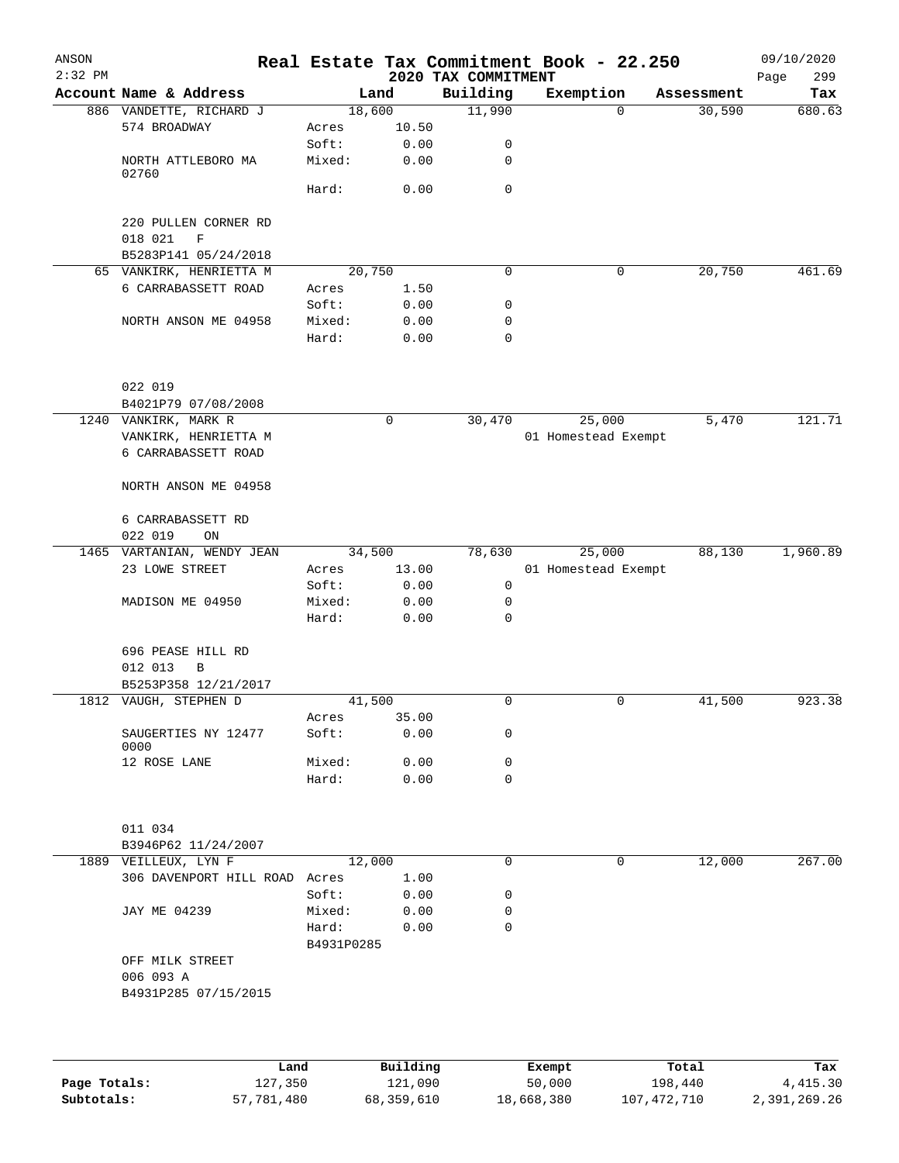| ANSON     |                                    |                     |             |                     | Real Estate Tax Commitment Book - 22.250 |            | 09/10/2020  |
|-----------|------------------------------------|---------------------|-------------|---------------------|------------------------------------------|------------|-------------|
| $2:32$ PM |                                    |                     |             | 2020 TAX COMMITMENT |                                          |            | 299<br>Page |
|           | Account Name & Address             |                     | Land        | Building            | Exemption                                | Assessment | Tax         |
|           | 886 VANDETTE, RICHARD J            |                     | 18,600      | 11,990              | $\Omega$                                 | 30,590     | 680.63      |
|           | 574 BROADWAY                       | Acres               | 10.50       |                     |                                          |            |             |
|           |                                    | Soft:               | 0.00        | 0                   |                                          |            |             |
|           | NORTH ATTLEBORO MA<br>02760        | Mixed:              | 0.00        | 0                   |                                          |            |             |
|           |                                    | Hard:               | 0.00        | $\mathbf 0$         |                                          |            |             |
|           | 220 PULLEN CORNER RD               |                     |             |                     |                                          |            |             |
|           | 018 021<br>$\mathbf F$             |                     |             |                     |                                          |            |             |
|           | B5283P141 05/24/2018               |                     |             |                     |                                          |            |             |
|           | 65 VANKIRK, HENRIETTA M            |                     | 20,750      | $\mathbf 0$         | 0                                        | 20,750     | 461.69      |
|           | 6 CARRABASSETT ROAD                | Acres               | 1.50        |                     |                                          |            |             |
|           |                                    | Soft:               | 0.00        | 0                   |                                          |            |             |
|           | NORTH ANSON ME 04958               | Mixed:              | 0.00        | $\mathbf 0$         |                                          |            |             |
|           |                                    | Hard:               | 0.00        | $\mathbf 0$         |                                          |            |             |
|           | 022 019                            |                     |             |                     |                                          |            |             |
|           | B4021P79 07/08/2008                |                     |             |                     |                                          |            |             |
|           | 1240 VANKIRK, MARK R               |                     | $\mathbf 0$ | 30,470              | 25,000                                   | 5,470      | 121.71      |
|           | VANKIRK, HENRIETTA M               |                     |             |                     | 01 Homestead Exempt                      |            |             |
|           | 6 CARRABASSETT ROAD                |                     |             |                     |                                          |            |             |
|           | NORTH ANSON ME 04958               |                     |             |                     |                                          |            |             |
|           | 6 CARRABASSETT RD<br>022 019<br>ON |                     |             |                     |                                          |            |             |
|           | 1465 VARTANIAN, WENDY JEAN         |                     | 34,500      | 78,630              | 25,000                                   | 88,130     | 1,960.89    |
|           | 23 LOWE STREET                     |                     | 13.00       |                     | 01 Homestead Exempt                      |            |             |
|           |                                    | Acres               | 0.00        | $\mathbf 0$         |                                          |            |             |
|           |                                    | Soft:               | 0.00        | 0                   |                                          |            |             |
|           | MADISON ME 04950                   | Mixed:<br>Hard:     | 0.00        | 0                   |                                          |            |             |
|           | 696 PEASE HILL RD<br>012 013<br>B  |                     |             |                     |                                          |            |             |
|           | B5253P358 12/21/2017               |                     |             |                     |                                          |            |             |
|           | 1812 VAUGH, STEPHEN D              |                     | 41,500      | $\mathbf 0$         | 0                                        | 41,500     | 923.38      |
|           |                                    | Acres               | 35.00       |                     |                                          |            |             |
|           | SAUGERTIES NY 12477<br>0000        | Soft:               | 0.00        | 0                   |                                          |            |             |
|           | 12 ROSE LANE                       | Mixed:              | 0.00        | 0                   |                                          |            |             |
|           |                                    | Hard:               | 0.00        | $\Omega$            |                                          |            |             |
|           | 011 034                            |                     |             |                     |                                          |            |             |
|           | B3946P62 11/24/2007                |                     |             |                     |                                          |            |             |
|           | 1889 VEILLEUX, LYN F               |                     | 12,000      | $\mathbf 0$         | 0                                        | 12,000     | 267.00      |
|           | 306 DAVENPORT HILL ROAD            | Acres               | 1.00        |                     |                                          |            |             |
|           |                                    | Soft:               | 0.00        | 0                   |                                          |            |             |
|           | JAY ME 04239                       | Mixed:              | 0.00        | 0                   |                                          |            |             |
|           |                                    |                     |             | $\mathbf 0$         |                                          |            |             |
|           |                                    | Hard:<br>B4931P0285 | 0.00        |                     |                                          |            |             |
|           | OFF MILK STREET                    |                     |             |                     |                                          |            |             |
|           | 006 093 A                          |                     |             |                     |                                          |            |             |
|           | B4931P285 07/15/2015               |                     |             |                     |                                          |            |             |
|           |                                    |                     |             |                     |                                          |            |             |
|           |                                    |                     |             |                     |                                          |            |             |
|           | Land                               |                     | Building    |                     | Exempt                                   | Total      | Tax         |

|              | Lanu       | <b>BUILQING</b> | Lxempt     | TOLAT       | rax.         |
|--------------|------------|-----------------|------------|-------------|--------------|
| Page Totals: | 127,350    | 121,090         | 50,000     | 198,440     | 4,415.30     |
| Subtotals:   | 57,781,480 | 68,359,610      | 18,668,380 | 107,472,710 | 2,391,269.26 |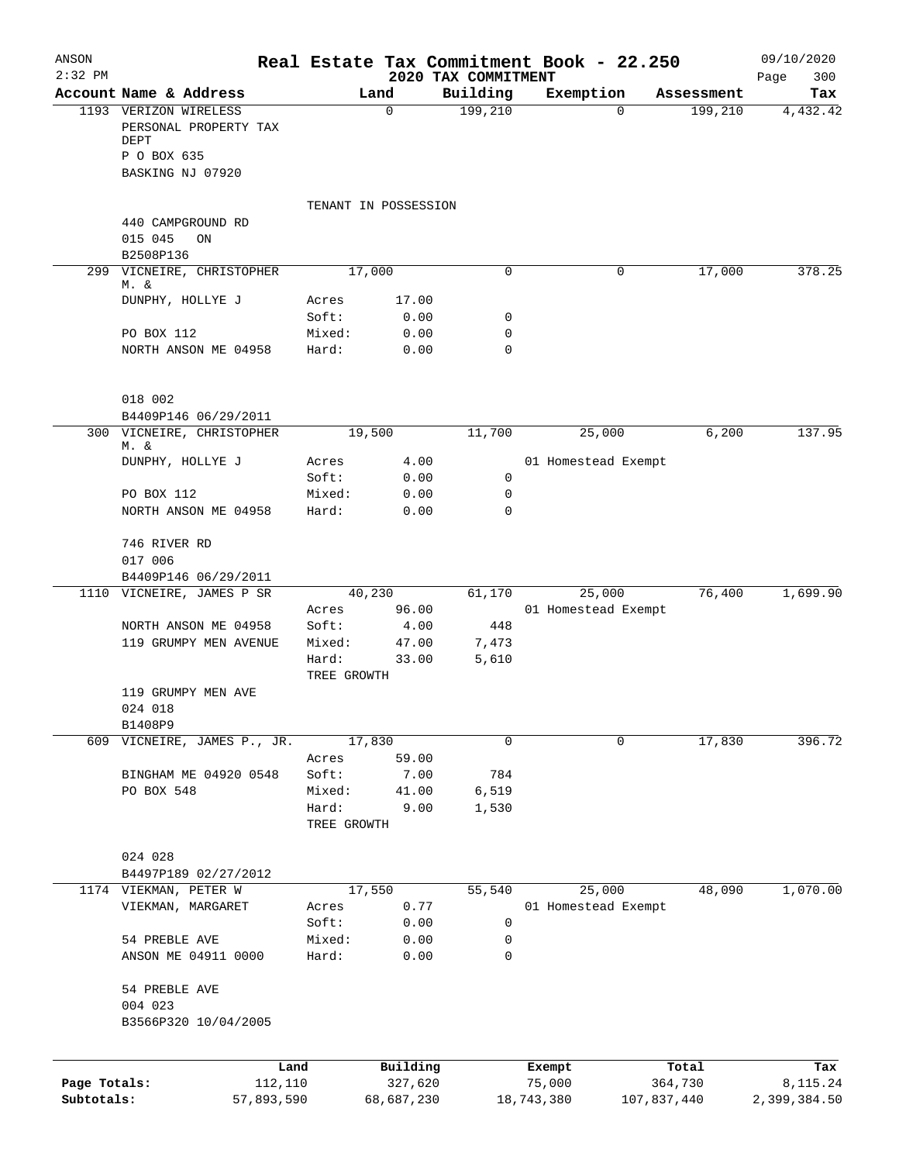| ANSON        |                                                |                      |                     |                     | Real Estate Tax Commitment Book - 22.250 |                  |                       | 09/10/2020      |
|--------------|------------------------------------------------|----------------------|---------------------|---------------------|------------------------------------------|------------------|-----------------------|-----------------|
| $2:32$ PM    | Account Name & Address                         |                      | Land                | 2020 TAX COMMITMENT |                                          |                  |                       | 300<br>Page     |
|              | 1193 VERIZON WIRELESS<br>PERSONAL PROPERTY TAX |                      | 0                   | Building<br>199,210 | Exemption                                | $\Omega$         | Assessment<br>199,210 | Tax<br>4,432.42 |
|              | DEPT<br>P O BOX 635                            |                      |                     |                     |                                          |                  |                       |                 |
|              | BASKING NJ 07920                               |                      |                     |                     |                                          |                  |                       |                 |
|              |                                                | TENANT IN POSSESSION |                     |                     |                                          |                  |                       |                 |
|              | 440 CAMPGROUND RD                              |                      |                     |                     |                                          |                  |                       |                 |
|              | 015 045<br>ON<br>B2508P136                     |                      |                     |                     |                                          |                  |                       |                 |
|              | 299 VICNEIRE, CHRISTOPHER                      |                      | 17,000              | 0                   |                                          | 0                | 17,000                | 378.25          |
|              | M. &                                           |                      |                     |                     |                                          |                  |                       |                 |
|              | DUNPHY, HOLLYE J                               | Acres<br>Soft:       | 17.00<br>0.00       | 0                   |                                          |                  |                       |                 |
|              | PO BOX 112                                     | Mixed:               | 0.00                | 0                   |                                          |                  |                       |                 |
|              | NORTH ANSON ME 04958                           | Hard:                | 0.00                | 0                   |                                          |                  |                       |                 |
|              | 018 002                                        |                      |                     |                     |                                          |                  |                       |                 |
|              | B4409P146 06/29/2011                           |                      |                     |                     |                                          |                  |                       |                 |
|              | 300 VICNEIRE, CHRISTOPHER<br>M. &              |                      | 19,500              | 11,700              | 25,000                                   |                  | 6,200                 | 137.95          |
|              | DUNPHY, HOLLYE J                               | Acres                | 4.00                |                     | 01 Homestead Exempt                      |                  |                       |                 |
|              |                                                | Soft:                | 0.00                | 0                   |                                          |                  |                       |                 |
|              | PO BOX 112                                     | Mixed:               | 0.00                | 0                   |                                          |                  |                       |                 |
|              | NORTH ANSON ME 04958                           | Hard:                | 0.00                | 0                   |                                          |                  |                       |                 |
|              | 746 RIVER RD<br>017 006                        |                      |                     |                     |                                          |                  |                       |                 |
|              | B4409P146 06/29/2011                           |                      |                     |                     |                                          |                  |                       |                 |
|              | 1110 VICNEIRE, JAMES P SR                      |                      | 40,230              | 61,170              | 25,000                                   |                  | 76,400                | 1,699.90        |
|              |                                                | Acres                | 96.00               |                     | 01 Homestead Exempt                      |                  |                       |                 |
|              | NORTH ANSON ME 04958<br>119 GRUMPY MEN AVENUE  | Soft:<br>Mixed:      | 4.00<br>47.00       | 448<br>7,473        |                                          |                  |                       |                 |
|              |                                                | Hard:<br>TREE GROWTH | 33.00               | 5,610               |                                          |                  |                       |                 |
|              | 119 GRUMPY MEN AVE                             |                      |                     |                     |                                          |                  |                       |                 |
|              | 024 018<br>B1408P9                             |                      |                     |                     |                                          |                  |                       |                 |
|              | 609 VICNEIRE, JAMES P., JR.                    |                      | 17,830              | 0                   |                                          | 0                | 17,830                | 396.72          |
|              |                                                | Acres                | 59.00               |                     |                                          |                  |                       |                 |
|              | BINGHAM ME 04920 0548                          | Soft:                | 7.00                | 784                 |                                          |                  |                       |                 |
|              | PO BOX 548                                     | Mixed:<br>Hard:      | 41.00<br>9.00       | 6,519<br>1,530      |                                          |                  |                       |                 |
|              |                                                | TREE GROWTH          |                     |                     |                                          |                  |                       |                 |
|              | 024 028                                        |                      |                     |                     |                                          |                  |                       |                 |
|              | B4497P189 02/27/2012                           |                      |                     |                     |                                          |                  |                       |                 |
|              | 1174 VIEKMAN, PETER W<br>VIEKMAN, MARGARET     | Acres                | 17,550<br>0.77      | 55,540              | 25,000<br>01 Homestead Exempt            |                  | 48,090                | 1,070.00        |
|              |                                                | Soft:                | 0.00                | 0                   |                                          |                  |                       |                 |
|              | 54 PREBLE AVE                                  | Mixed:               | 0.00                | 0                   |                                          |                  |                       |                 |
|              | ANSON ME 04911 0000                            | Hard:                | 0.00                | 0                   |                                          |                  |                       |                 |
|              | 54 PREBLE AVE<br>004 023                       |                      |                     |                     |                                          |                  |                       |                 |
|              | B3566P320 10/04/2005                           |                      |                     |                     |                                          |                  |                       |                 |
|              |                                                |                      |                     |                     |                                          |                  |                       |                 |
| Page Totals: | Land<br>112,110                                |                      | Building<br>327,620 |                     | Exempt<br>75,000                         | Total<br>364,730 |                       | Tax<br>8,115.24 |
| Subtotals:   | 57,893,590                                     |                      | 68,687,230          |                     | 18,743,380                               | 107,837,440      |                       | 2,399,384.50    |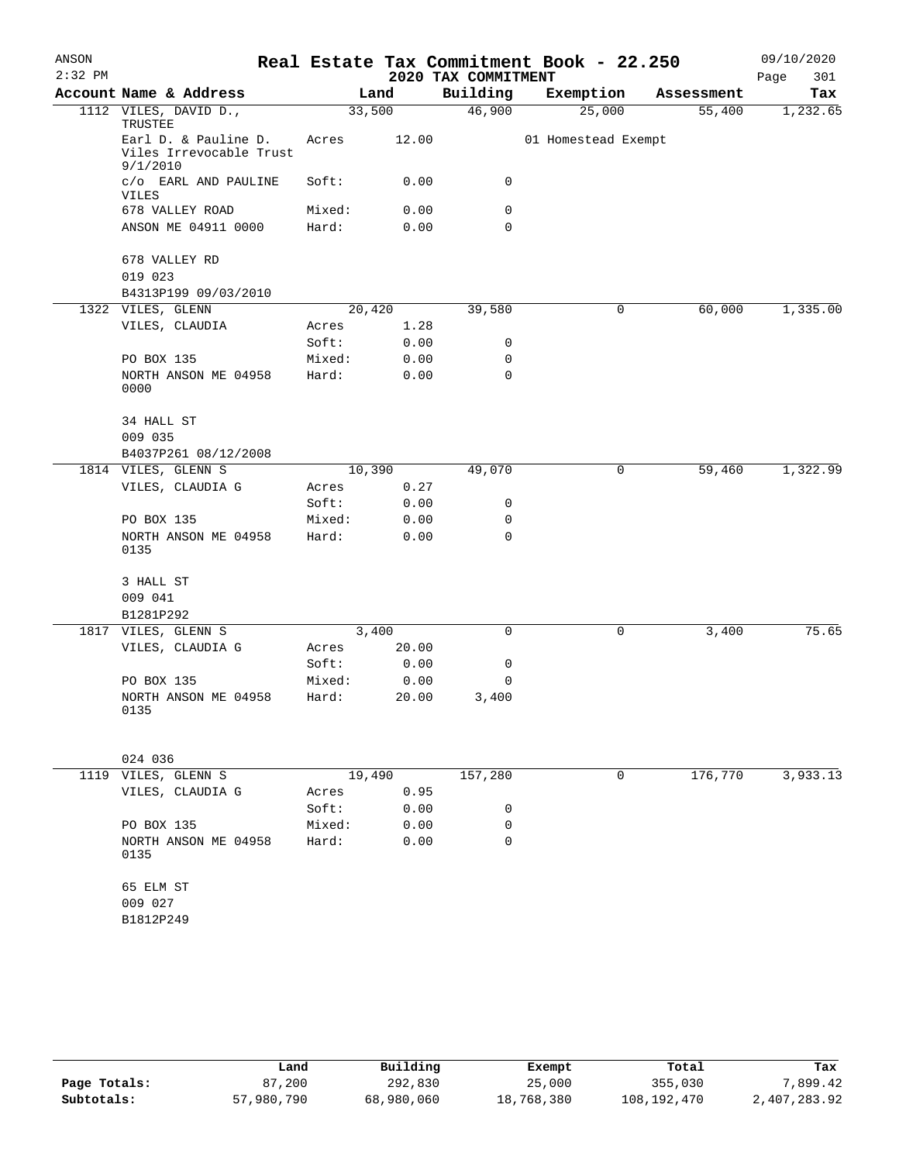| ANSON     |                                                             |        |       |                     | Real Estate Tax Commitment Book - 22.250 |   |            | 09/10/2020  |
|-----------|-------------------------------------------------------------|--------|-------|---------------------|------------------------------------------|---|------------|-------------|
| $2:32$ PM |                                                             |        |       | 2020 TAX COMMITMENT |                                          |   |            | 301<br>Page |
|           | Account Name & Address                                      |        | Land  | Building            | Exemption                                |   | Assessment | Tax         |
|           | 1112 VILES, DAVID D.,<br>TRUSTEE                            | 33,500 |       | 46,900              | 25,000                                   |   | 55,400     | 1,232.65    |
|           | Earl D. & Pauline D.<br>Viles Irrevocable Trust<br>9/1/2010 | Acres  | 12.00 |                     | 01 Homestead Exempt                      |   |            |             |
|           | c/o EARL AND PAULINE<br>VILES                               | Soft:  | 0.00  | 0                   |                                          |   |            |             |
|           | 678 VALLEY ROAD                                             | Mixed: | 0.00  | 0                   |                                          |   |            |             |
|           | ANSON ME 04911 0000                                         | Hard:  | 0.00  | 0                   |                                          |   |            |             |
|           | 678 VALLEY RD<br>019 023                                    |        |       |                     |                                          |   |            |             |
|           | B4313P199 09/03/2010                                        |        |       |                     |                                          |   |            |             |
|           | 1322 VILES, GLENN                                           | 20,420 |       | 39,580              |                                          | 0 | 60,000     | 1,335.00    |
|           | VILES, CLAUDIA                                              | Acres  | 1.28  |                     |                                          |   |            |             |
|           |                                                             | Soft:  | 0.00  | 0                   |                                          |   |            |             |
|           | PO BOX 135                                                  | Mixed: | 0.00  | 0                   |                                          |   |            |             |
|           | NORTH ANSON ME 04958<br>0000                                | Hard:  | 0.00  | 0                   |                                          |   |            |             |
|           | 34 HALL ST<br>009 035                                       |        |       |                     |                                          |   |            |             |
|           | B4037P261 08/12/2008                                        |        |       |                     |                                          |   |            |             |
|           | 1814 VILES, GLENN S                                         | 10,390 |       | 49,070              |                                          | 0 | 59,460     | 1,322.99    |
|           | VILES, CLAUDIA G                                            | Acres  | 0.27  |                     |                                          |   |            |             |
|           |                                                             | Soft:  | 0.00  | 0                   |                                          |   |            |             |
|           | PO BOX 135                                                  | Mixed: | 0.00  | 0                   |                                          |   |            |             |
|           | NORTH ANSON ME 04958<br>0135                                | Hard:  | 0.00  | 0                   |                                          |   |            |             |
|           | 3 HALL ST                                                   |        |       |                     |                                          |   |            |             |
|           | 009 041                                                     |        |       |                     |                                          |   |            |             |
|           | B1281P292                                                   |        |       |                     |                                          |   |            |             |
|           | 1817 VILES, GLENN S                                         | 3,400  |       | 0                   |                                          | 0 | 3,400      | 75.65       |
|           | VILES, CLAUDIA G                                            | Acres  | 20.00 |                     |                                          |   |            |             |
|           |                                                             | Soft:  | 0.00  | 0                   |                                          |   |            |             |
|           | PO BOX 135                                                  | Mixed: | 0.00  | 0                   |                                          |   |            |             |
|           | NORTH ANSON ME 04958<br>0135                                | Hard:  | 20.00 | 3,400               |                                          |   |            |             |
|           | 024 036                                                     |        |       |                     |                                          |   |            |             |
|           | 1119 VILES, GLENN S                                         | 19,490 |       | 157,280             |                                          | 0 | 176,770    | 3,933.13    |
|           | VILES, CLAUDIA G                                            | Acres  | 0.95  |                     |                                          |   |            |             |
|           |                                                             | Soft:  | 0.00  | 0                   |                                          |   |            |             |
|           | PO BOX 135                                                  | Mixed: | 0.00  | 0                   |                                          |   |            |             |
|           | NORTH ANSON ME 04958<br>0135                                | Hard:  | 0.00  | 0                   |                                          |   |            |             |
|           | 65 ELM ST                                                   |        |       |                     |                                          |   |            |             |
|           | 009 027                                                     |        |       |                     |                                          |   |            |             |
|           | B1812P249                                                   |        |       |                     |                                          |   |            |             |
|           |                                                             |        |       |                     |                                          |   |            |             |

|              | Land       | Building   | Exempt     | Total       | Tax          |
|--------------|------------|------------|------------|-------------|--------------|
| Page Totals: | 87,200     | 292,830    | 25,000     | 355,030     | 7,899.42     |
| Subtotals:   | 57,980,790 | 68,980,060 | 18,768,380 | 108,192,470 | 2,407,283.92 |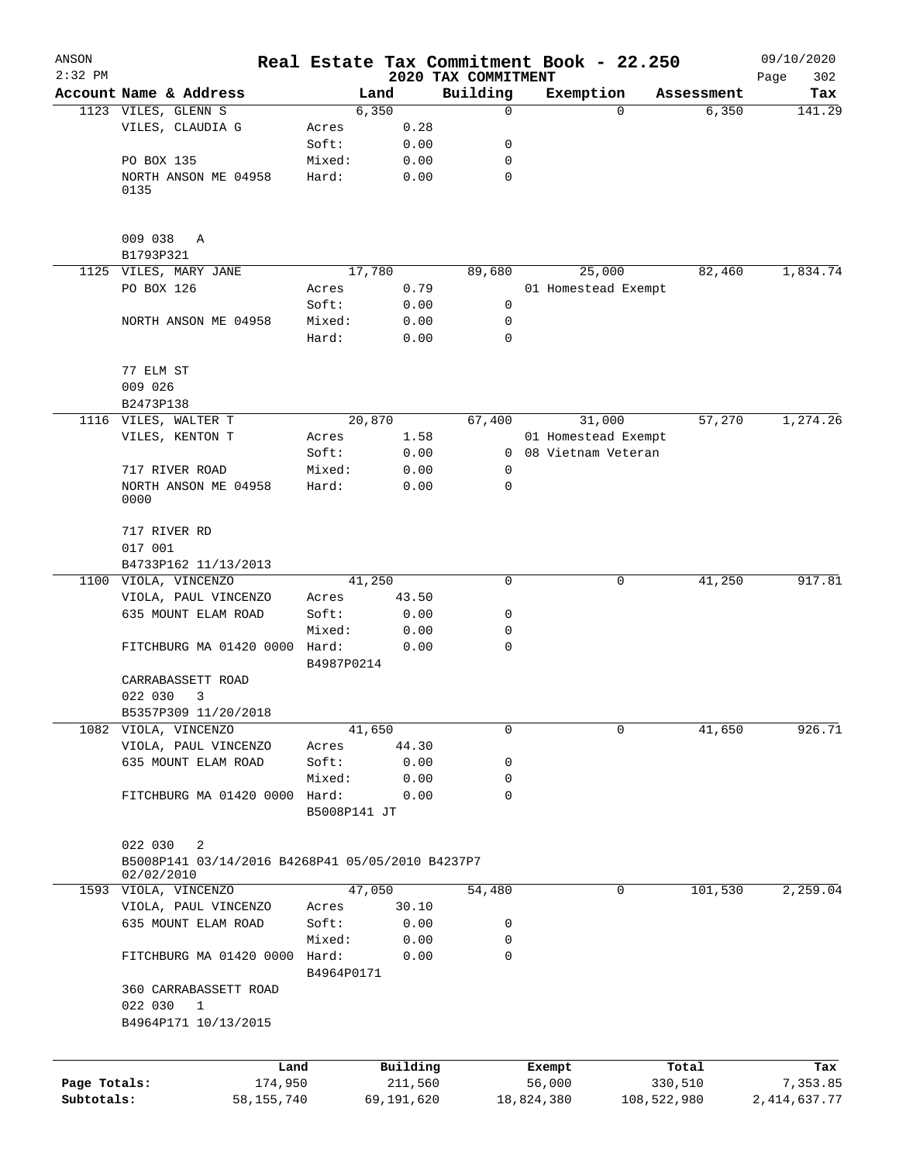| ANSON<br>$2:32$ PM |                                                  |                       |            | Real Estate Tax Commitment Book - 22.250 |                     |             |            | 09/10/2020         |
|--------------------|--------------------------------------------------|-----------------------|------------|------------------------------------------|---------------------|-------------|------------|--------------------|
|                    | Account Name & Address                           |                       | Land       | 2020 TAX COMMITMENT<br>Building          | Exemption           |             | Assessment | Page<br>302<br>Tax |
|                    | 1123 VILES, GLENN S                              | 6,350                 |            | $\mathbf 0$                              |                     | $\Omega$    | 6,350      | 141.29             |
|                    | VILES, CLAUDIA G                                 | Acres                 | 0.28       |                                          |                     |             |            |                    |
|                    |                                                  | Soft:                 | 0.00       | 0                                        |                     |             |            |                    |
|                    | PO BOX 135                                       | Mixed:                | 0.00       | 0                                        |                     |             |            |                    |
|                    | NORTH ANSON ME 04958                             | Hard:                 | 0.00       | $\mathbf 0$                              |                     |             |            |                    |
|                    | 0135                                             |                       |            |                                          |                     |             |            |                    |
|                    | 009 038<br>Α                                     |                       |            |                                          |                     |             |            |                    |
|                    | B1793P321                                        |                       |            |                                          |                     |             |            |                    |
|                    | 1125 VILES, MARY JANE                            | 17,780                |            | 89,680                                   |                     | 25,000      | 82,460     | 1,834.74           |
|                    | PO BOX 126                                       | Acres                 | 0.79       |                                          | 01 Homestead Exempt |             |            |                    |
|                    |                                                  | Soft:                 | 0.00       | 0                                        |                     |             |            |                    |
|                    | NORTH ANSON ME 04958                             | Mixed:                | 0.00       | 0                                        |                     |             |            |                    |
|                    |                                                  | Hard:                 | 0.00       | 0                                        |                     |             |            |                    |
|                    | 77 ELM ST                                        |                       |            |                                          |                     |             |            |                    |
|                    | 009 026                                          |                       |            |                                          |                     |             |            |                    |
|                    | B2473P138                                        |                       |            |                                          |                     |             |            |                    |
|                    | 1116 VILES, WALTER T                             | 20,870                |            | 67,400                                   |                     | 31,000      | 57,270     | 1,274.26           |
|                    | VILES, KENTON T                                  | Acres                 | 1.58       |                                          | 01 Homestead Exempt |             |            |                    |
|                    |                                                  | Soft:                 | 0.00       | $\mathbf{0}$                             | 08 Vietnam Veteran  |             |            |                    |
|                    | 717 RIVER ROAD                                   | Mixed:                | 0.00       | 0                                        |                     |             |            |                    |
|                    | NORTH ANSON ME 04958<br>0000                     | Hard:                 | 0.00       | 0                                        |                     |             |            |                    |
|                    | 717 RIVER RD                                     |                       |            |                                          |                     |             |            |                    |
|                    | 017 001                                          |                       |            |                                          |                     |             |            |                    |
|                    | B4733P162 11/13/2013                             |                       |            |                                          |                     |             |            |                    |
|                    | 1100 VIOLA, VINCENZO                             | 41,250                |            | 0                                        |                     | 0           | 41,250     | 917.81             |
|                    | VIOLA, PAUL VINCENZO                             | Acres                 | 43.50      |                                          |                     |             |            |                    |
|                    | 635 MOUNT ELAM ROAD                              | Soft:                 | 0.00       | 0                                        |                     |             |            |                    |
|                    |                                                  | Mixed:                | 0.00       | 0                                        |                     |             |            |                    |
|                    | FITCHBURG MA 01420 0000                          | Hard:                 | 0.00       | 0                                        |                     |             |            |                    |
|                    |                                                  | B4987P0214            |            |                                          |                     |             |            |                    |
|                    | CARRABASSETT ROAD                                |                       |            |                                          |                     |             |            |                    |
|                    | 022 030<br>3                                     |                       |            |                                          |                     |             |            |                    |
|                    | B5357P309 11/20/2018                             |                       |            |                                          |                     |             |            |                    |
|                    | 1082 VIOLA, VINCENZO                             | 41,650                |            | 0                                        |                     | 0           | 41,650     | 926.71             |
|                    | VIOLA, PAUL VINCENZO                             | Acres                 | 44.30      |                                          |                     |             |            |                    |
|                    | 635 MOUNT ELAM ROAD                              | Soft:                 | 0.00       | 0                                        |                     |             |            |                    |
|                    |                                                  | Mixed:                | 0.00       | 0                                        |                     |             |            |                    |
|                    | FITCHBURG MA 01420 0000                          | Hard:<br>B5008P141 JT | 0.00       | 0                                        |                     |             |            |                    |
|                    | 022 030<br>2                                     |                       |            |                                          |                     |             |            |                    |
|                    | B5008P141 03/14/2016 B4268P41 05/05/2010 B4237P7 |                       |            |                                          |                     |             |            |                    |
|                    | 02/02/2010                                       |                       |            |                                          |                     |             |            |                    |
|                    | 1593 VIOLA, VINCENZO                             | 47,050                |            | 54,480                                   |                     | 0           | 101,530    | 2,259.04           |
|                    | VIOLA, PAUL VINCENZO                             | Acres                 | 30.10      |                                          |                     |             |            |                    |
|                    | 635 MOUNT ELAM ROAD                              | Soft:                 | 0.00       | 0                                        |                     |             |            |                    |
|                    |                                                  | Mixed:                | 0.00       | 0                                        |                     |             |            |                    |
|                    | FITCHBURG MA 01420 0000                          | Hard:<br>B4964P0171   | 0.00       | 0                                        |                     |             |            |                    |
|                    | 360 CARRABASSETT ROAD<br>022 030<br>$\mathbf{1}$ |                       |            |                                          |                     |             |            |                    |
|                    | B4964P171 10/13/2015                             |                       |            |                                          |                     |             |            |                    |
|                    | Land                                             |                       | Building   |                                          | Exempt              |             | Total      | Tax                |
| Page Totals:       | 174,950                                          |                       | 211,560    |                                          | 56,000              |             | 330,510    | 7,353.85           |
| Subtotals:         | 58,155,740                                       |                       | 69,191,620 |                                          | 18,824,380          | 108,522,980 |            | 2,414,637.77       |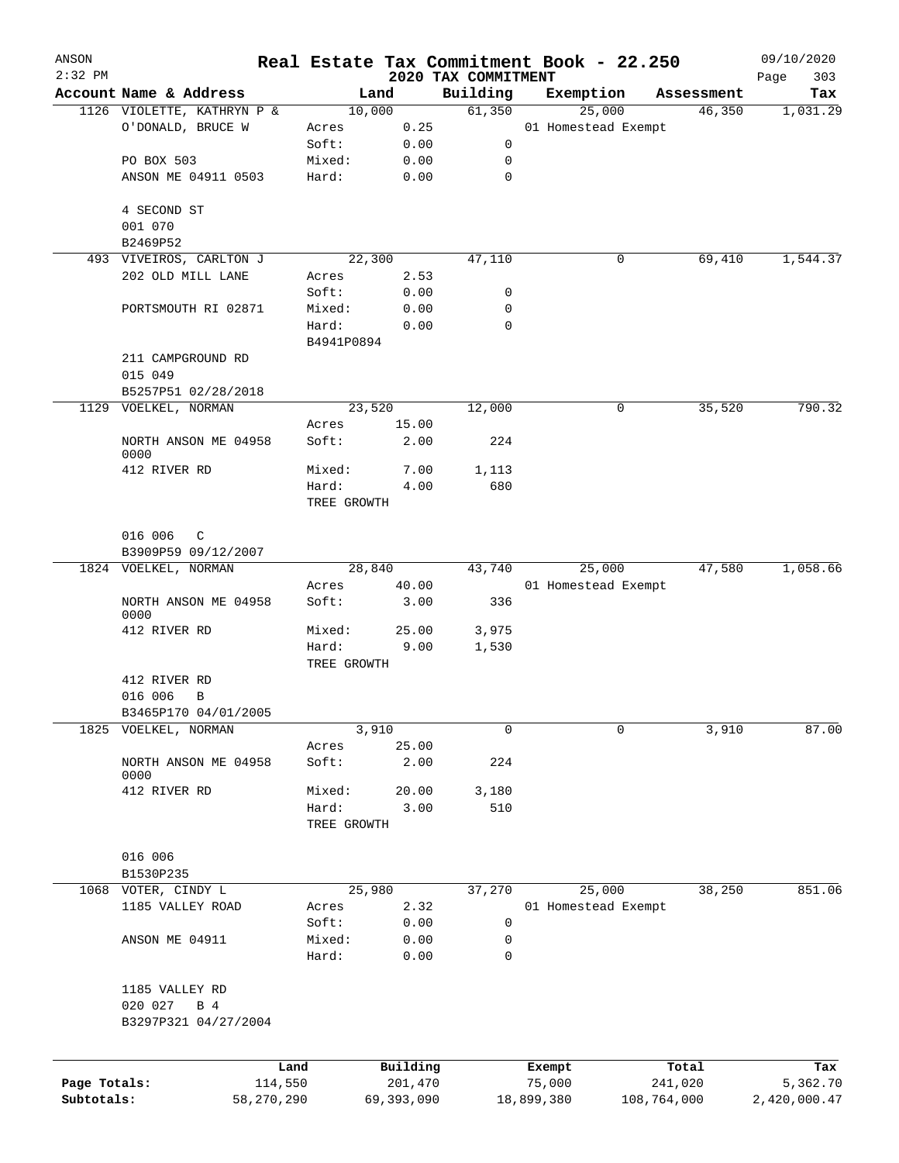| ANSON        |                              |                 |                      |                     |                                 | Real Estate Tax Commitment Book - 22.250 |                  | 09/10/2020         |
|--------------|------------------------------|-----------------|----------------------|---------------------|---------------------------------|------------------------------------------|------------------|--------------------|
| $2:32$ PM    | Account Name & Address       |                 |                      | Land                | 2020 TAX COMMITMENT<br>Building | Exemption                                | Assessment       | 303<br>Page<br>Tax |
|              | 1126 VIOLETTE, KATHRYN P &   |                 |                      | 10,000              | 61,350                          | 25,000                                   | 46,350           | 1,031.29           |
|              | O'DONALD, BRUCE W            |                 | Acres                | 0.25                |                                 | 01 Homestead Exempt                      |                  |                    |
|              |                              |                 | Soft:                | 0.00                | 0                               |                                          |                  |                    |
|              | PO BOX 503                   |                 | Mixed:               | 0.00                | 0                               |                                          |                  |                    |
|              | ANSON ME 04911 0503          |                 | Hard:                | 0.00                | 0                               |                                          |                  |                    |
|              |                              |                 |                      |                     |                                 |                                          |                  |                    |
|              | 4 SECOND ST<br>001 070       |                 |                      |                     |                                 |                                          |                  |                    |
|              | B2469P52                     |                 |                      |                     |                                 |                                          |                  |                    |
|              | 493 VIVEIROS, CARLTON J      |                 |                      | 22,300              | 47,110                          | 0                                        | 69,410           | 1,544.37           |
|              | 202 OLD MILL LANE            |                 | Acres                | 2.53                |                                 |                                          |                  |                    |
|              |                              |                 | Soft:                | 0.00                | 0                               |                                          |                  |                    |
|              | PORTSMOUTH RI 02871          |                 | Mixed:               | 0.00                | 0                               |                                          |                  |                    |
|              |                              |                 | Hard:                | 0.00                | 0                               |                                          |                  |                    |
|              |                              |                 | B4941P0894           |                     |                                 |                                          |                  |                    |
|              | 211 CAMPGROUND RD            |                 |                      |                     |                                 |                                          |                  |                    |
|              | 015 049                      |                 |                      |                     |                                 |                                          |                  |                    |
|              | B5257P51 02/28/2018          |                 |                      |                     |                                 |                                          |                  |                    |
|              | 1129 VOELKEL, NORMAN         |                 |                      | 23,520              | 12,000                          | 0                                        | 35,520           | 790.32             |
|              |                              |                 | Acres                | 15.00               |                                 |                                          |                  |                    |
|              | NORTH ANSON ME 04958         |                 | Soft:                | 2.00                | 224                             |                                          |                  |                    |
|              | 0000                         |                 |                      |                     |                                 |                                          |                  |                    |
|              | 412 RIVER RD                 |                 | Mixed:               | 7.00                | 1,113<br>680                    |                                          |                  |                    |
|              |                              |                 | Hard:<br>TREE GROWTH | 4.00                |                                 |                                          |                  |                    |
|              |                              |                 |                      |                     |                                 |                                          |                  |                    |
|              | 016 006<br>C                 |                 |                      |                     |                                 |                                          |                  |                    |
|              | B3909P59 09/12/2007          |                 |                      |                     |                                 |                                          |                  |                    |
|              | 1824 VOELKEL, NORMAN         |                 |                      | 28,840              | 43,740                          | 25,000                                   | 47,580           | 1,058.66           |
|              |                              |                 | Acres                | 40.00               |                                 | 01 Homestead Exempt                      |                  |                    |
|              | NORTH ANSON ME 04958<br>0000 |                 | Soft:                | 3.00                | 336                             |                                          |                  |                    |
|              | 412 RIVER RD                 |                 | Mixed:               | 25.00               | 3,975                           |                                          |                  |                    |
|              |                              |                 | Hard:                | 9.00                | 1,530                           |                                          |                  |                    |
|              |                              |                 | TREE GROWTH          |                     |                                 |                                          |                  |                    |
|              | 412 RIVER RD                 |                 |                      |                     |                                 |                                          |                  |                    |
|              | 016 006<br>$\, {\bf B}$      |                 |                      |                     |                                 |                                          |                  |                    |
|              | B3465P170 04/01/2005         |                 |                      |                     |                                 |                                          |                  |                    |
| 1825         | VOELKEL, NORMAN              |                 |                      | 3,910               | 0                               | 0                                        | 3,910            | 87.00              |
|              |                              |                 | Acres                | 25.00               |                                 |                                          |                  |                    |
|              | NORTH ANSON ME 04958<br>0000 |                 | Soft:                | 2.00                | 224                             |                                          |                  |                    |
|              | 412 RIVER RD                 |                 | Mixed:               | 20.00               | 3,180                           |                                          |                  |                    |
|              |                              |                 | Hard:                | 3.00                | 510                             |                                          |                  |                    |
|              |                              |                 | TREE GROWTH          |                     |                                 |                                          |                  |                    |
|              |                              |                 |                      |                     |                                 |                                          |                  |                    |
|              | 016 006                      |                 |                      |                     |                                 |                                          |                  |                    |
|              | B1530P235                    |                 |                      |                     |                                 |                                          |                  |                    |
|              | 1068 VOTER, CINDY L          |                 |                      | 25,980              | 37,270                          | 25,000                                   | 38,250           | 851.06             |
|              | 1185 VALLEY ROAD             |                 | Acres                | 2.32                |                                 | 01 Homestead Exempt                      |                  |                    |
|              |                              |                 | Soft:                | 0.00                | $\mathbf 0$                     |                                          |                  |                    |
|              | ANSON ME 04911               |                 | Mixed:               | 0.00                | 0                               |                                          |                  |                    |
|              |                              |                 | Hard:                | 0.00                | 0                               |                                          |                  |                    |
|              | 1185 VALLEY RD               |                 |                      |                     |                                 |                                          |                  |                    |
|              | 020 027<br>B 4               |                 |                      |                     |                                 |                                          |                  |                    |
|              | B3297P321 04/27/2004         |                 |                      |                     |                                 |                                          |                  |                    |
|              |                              |                 |                      |                     |                                 |                                          |                  |                    |
|              |                              |                 |                      |                     |                                 |                                          |                  |                    |
| Page Totals: |                              | Land<br>114,550 |                      | Building<br>201,470 |                                 | Exempt<br>75,000                         | Total<br>241,020 | Tax<br>5,362.70    |
| Subtotals:   |                              | 58,270,290      |                      | 69,393,090          |                                 | 18,899,380                               | 108,764,000      | 2,420,000.47       |
|              |                              |                 |                      |                     |                                 |                                          |                  |                    |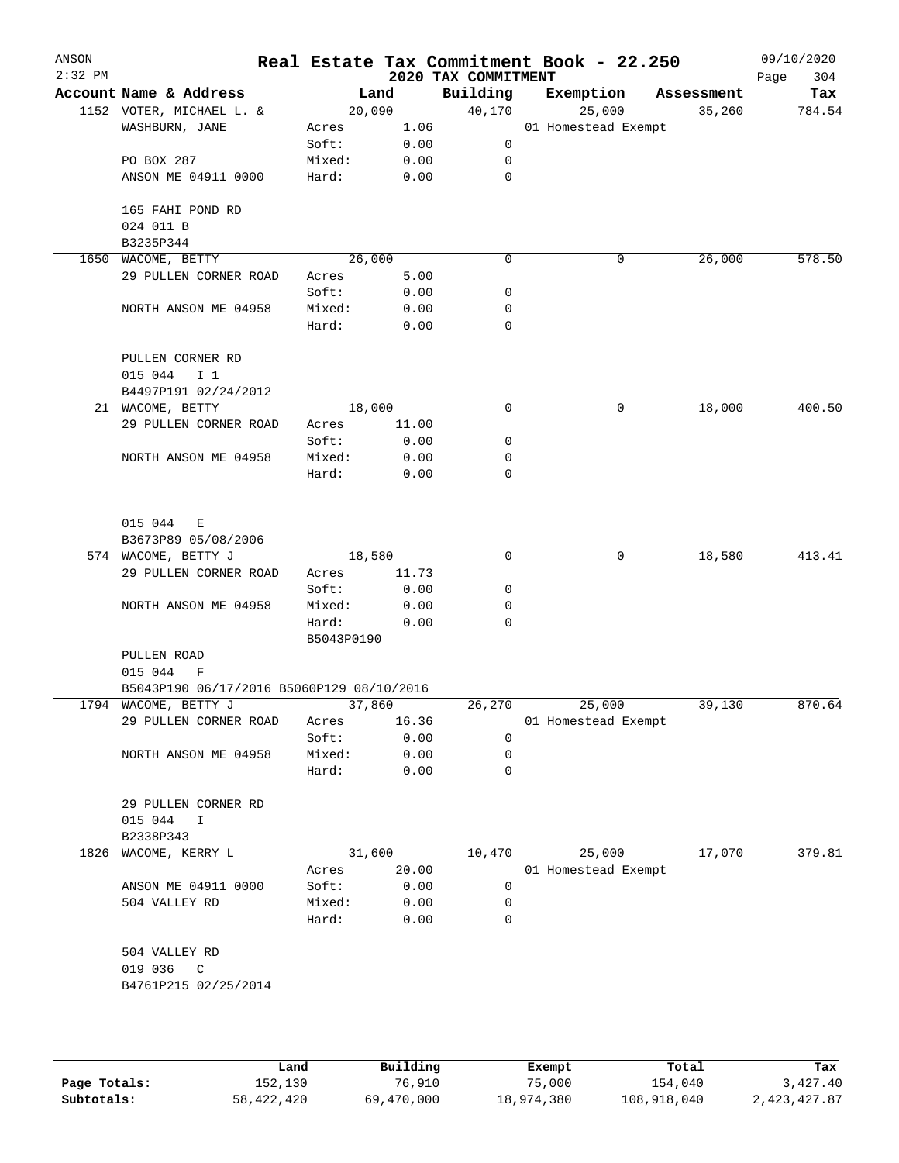| ANSON<br>$2:32$ PM |                                           |                     |              | 2020 TAX COMMITMENT | Real Estate Tax Commitment Book - 22.250 |            | 09/10/2020<br>304<br>Page |
|--------------------|-------------------------------------------|---------------------|--------------|---------------------|------------------------------------------|------------|---------------------------|
|                    | Account Name & Address                    | Land                |              | Building            | Exemption                                | Assessment | Tax                       |
|                    | 1152 VOTER, MICHAEL L. &                  | 20,090              |              | 40,170              | 25,000                                   | 35,260     | 784.54                    |
|                    | WASHBURN, JANE                            | Acres               | 1.06         |                     | 01 Homestead Exempt                      |            |                           |
|                    |                                           | Soft:               | 0.00         | 0                   |                                          |            |                           |
|                    | PO BOX 287                                | Mixed:              | 0.00         | 0                   |                                          |            |                           |
|                    | ANSON ME 04911 0000                       | Hard:               | 0.00         | $\mathbf 0$         |                                          |            |                           |
|                    | 165 FAHI POND RD<br>024 011 B             |                     |              |                     |                                          |            |                           |
|                    | B3235P344                                 |                     |              |                     |                                          |            |                           |
|                    | 1650 WACOME, BETTY                        | 26,000              |              | 0                   | 0                                        | 26,000     | 578.50                    |
|                    | 29 PULLEN CORNER ROAD                     | Acres               | 5.00         |                     |                                          |            |                           |
|                    |                                           | Soft:               | 0.00         | 0                   |                                          |            |                           |
|                    | NORTH ANSON ME 04958                      | Mixed:              | 0.00         | 0                   |                                          |            |                           |
|                    |                                           | Hard:               | 0.00         | 0                   |                                          |            |                           |
|                    | PULLEN CORNER RD                          |                     |              |                     |                                          |            |                           |
|                    | 015 044<br>I <sub>1</sub>                 |                     |              |                     |                                          |            |                           |
|                    | B4497P191 02/24/2012                      |                     |              |                     |                                          |            |                           |
|                    | 21 WACOME, BETTY                          | 18,000              |              | 0                   | 0                                        | 18,000     | 400.50                    |
|                    | 29 PULLEN CORNER ROAD                     | Acres               | 11.00        |                     |                                          |            |                           |
|                    |                                           | Soft:               | 0.00         | 0                   |                                          |            |                           |
|                    | NORTH ANSON ME 04958                      | Mixed:              | 0.00         | 0                   |                                          |            |                           |
|                    |                                           | Hard:               | 0.00         | 0                   |                                          |            |                           |
|                    | 015 044<br>Е<br>B3673P89 05/08/2006       |                     |              |                     |                                          |            |                           |
|                    | 574 WACOME, BETTY J                       | 18,580              |              | 0                   | 0                                        | 18,580     | 413.41                    |
|                    | 29 PULLEN CORNER ROAD                     | Acres               | 11.73        |                     |                                          |            |                           |
|                    |                                           | Soft:               | 0.00         | 0                   |                                          |            |                           |
|                    | NORTH ANSON ME 04958                      | Mixed:              | 0.00         | 0                   |                                          |            |                           |
|                    |                                           | Hard:<br>B5043P0190 | 0.00         | 0                   |                                          |            |                           |
|                    | PULLEN ROAD                               |                     |              |                     |                                          |            |                           |
|                    | 015 044<br>F                              |                     |              |                     |                                          |            |                           |
|                    | B5043P190 06/17/2016 B5060P129 08/10/2016 |                     |              |                     |                                          |            |                           |
|                    | 1794 WACOME, BETTY J                      | 37,860              |              | 26,270              | 25,000                                   | 39,130     | 870.64                    |
|                    | 29 PULLEN CORNER ROAD                     | Acres               | 16.36        |                     | 01 Homestead Exempt                      |            |                           |
|                    |                                           | Soft:               | 0.00         | 0                   |                                          |            |                           |
|                    | NORTH ANSON ME 04958                      | Mixed:              | 0.00         | 0                   |                                          |            |                           |
|                    |                                           | Hard:               | 0.00         | 0                   |                                          |            |                           |
|                    | 29 PULLEN CORNER RD                       |                     |              |                     |                                          |            |                           |
|                    | 015 044<br>$\mathbf I$                    |                     |              |                     |                                          |            |                           |
|                    | B2338P343                                 |                     |              |                     |                                          |            |                           |
| 1826               | WACOME, KERRY L                           | 31,600              |              | 10,470              | 25,000                                   | 17,070     | 379.81                    |
|                    |                                           | Acres               | 20.00        |                     | 01 Homestead Exempt                      |            |                           |
|                    | ANSON ME 04911 0000                       | Soft:               | 0.00         | 0                   |                                          |            |                           |
|                    | 504 VALLEY RD                             | Mixed:<br>Hard:     | 0.00<br>0.00 | 0<br>0              |                                          |            |                           |
|                    |                                           |                     |              |                     |                                          |            |                           |
|                    | 504 VALLEY RD                             |                     |              |                     |                                          |            |                           |
|                    | 019 036<br>$\mathbb{C}$                   |                     |              |                     |                                          |            |                           |
|                    | B4761P215 02/25/2014                      |                     |              |                     |                                          |            |                           |
|                    |                                           |                     |              |                     |                                          |            |                           |
|                    |                                           |                     |              |                     |                                          |            |                           |
|                    |                                           |                     |              |                     |                                          |            |                           |

|              | Land       | Building   | Exempt     | Total       | Tax          |
|--------------|------------|------------|------------|-------------|--------------|
| Page Totals: | 152,130    | 76,910     | 75,000     | 154,040     | 3,427.40     |
| Subtotals:   | 58,422,420 | 69,470,000 | 18,974,380 | 108,918,040 | 2,423,427.87 |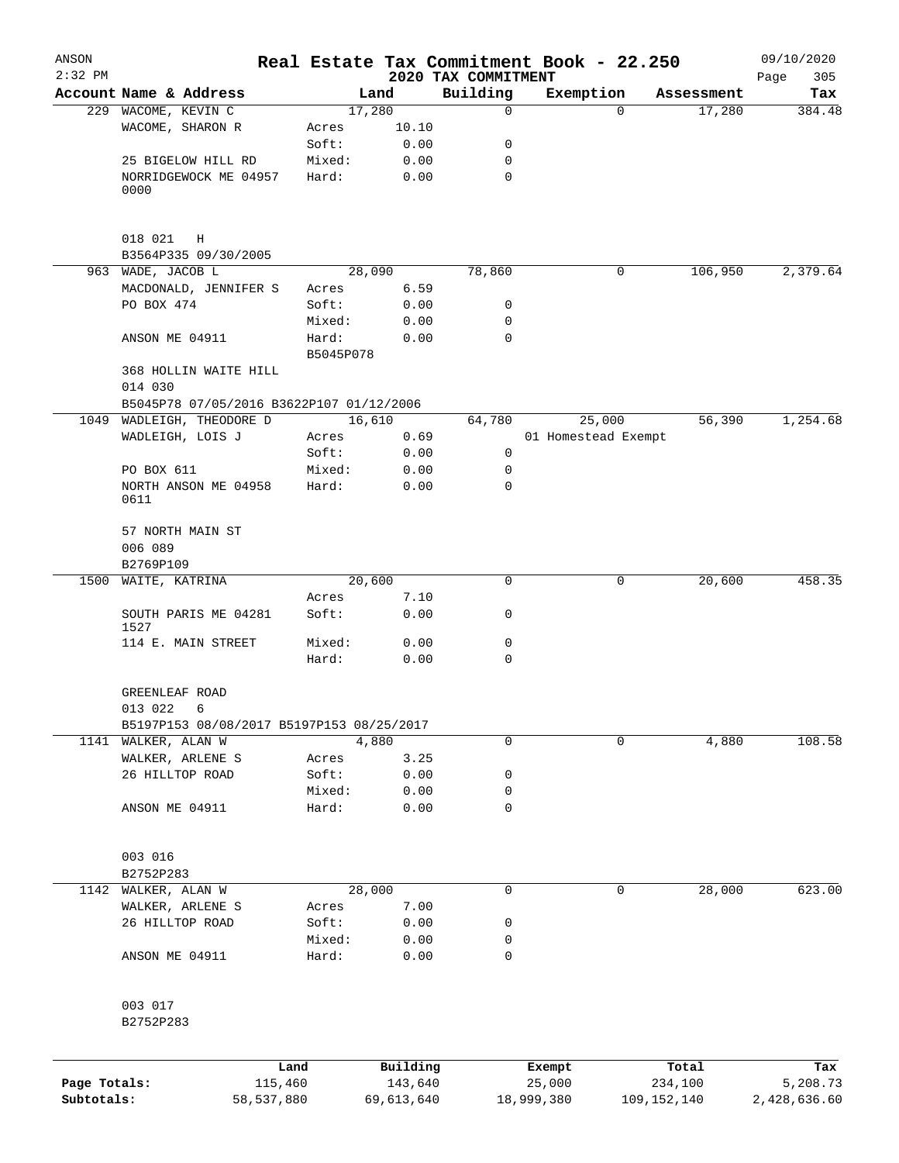| ANSON                      |                                           |           |                       |                                 | Real Estate Tax Commitment Book - 22.250 |               |            | 09/10/2020               |
|----------------------------|-------------------------------------------|-----------|-----------------------|---------------------------------|------------------------------------------|---------------|------------|--------------------------|
| $2:32$ PM                  | Account Name & Address                    |           | Land                  | 2020 TAX COMMITMENT<br>Building | Exemption                                |               | Assessment | 305<br>Page<br>Tax       |
|                            | 229 WACOME, KEVIN C                       | 17,280    |                       | $\mathbf 0$                     |                                          | 0             | 17,280     | 384.48                   |
|                            | WACOME, SHARON R                          | Acres     | 10.10                 |                                 |                                          |               |            |                          |
|                            |                                           | Soft:     | 0.00                  | 0                               |                                          |               |            |                          |
|                            | 25 BIGELOW HILL RD                        | Mixed:    | 0.00                  | 0                               |                                          |               |            |                          |
|                            | NORRIDGEWOCK ME 04957                     | Hard:     | 0.00                  | $\mathbf 0$                     |                                          |               |            |                          |
|                            | 0000                                      |           |                       |                                 |                                          |               |            |                          |
|                            | 018 021<br>H                              |           |                       |                                 |                                          |               |            |                          |
|                            | B3564P335 09/30/2005                      |           |                       |                                 |                                          |               |            |                          |
|                            | 963 WADE, JACOB L                         |           | 28,090                | 78,860                          |                                          | 0             | 106,950    | 2,379.64                 |
|                            | MACDONALD, JENNIFER S                     | Acres     | 6.59                  |                                 |                                          |               |            |                          |
|                            | PO BOX 474                                | Soft:     | 0.00                  | 0                               |                                          |               |            |                          |
|                            |                                           | Mixed:    | 0.00                  | $\mathbf 0$                     |                                          |               |            |                          |
|                            | ANSON ME 04911                            | Hard:     | 0.00                  | $\mathbf 0$                     |                                          |               |            |                          |
|                            |                                           | B5045P078 |                       |                                 |                                          |               |            |                          |
|                            | 368 HOLLIN WAITE HILL<br>014 030          |           |                       |                                 |                                          |               |            |                          |
|                            | B5045P78 07/05/2016 B3622P107 01/12/2006  |           |                       |                                 |                                          |               |            |                          |
|                            | 1049 WADLEIGH, THEODORE D                 |           | 16,610                | 64,780                          | 25,000                                   |               | 56,390     | 1,254.68                 |
|                            | WADLEIGH, LOIS J                          | Acres     | 0.69                  |                                 | 01 Homestead Exempt                      |               |            |                          |
|                            |                                           | Soft:     | 0.00                  | $\mathbf 0$                     |                                          |               |            |                          |
|                            | PO BOX 611                                | Mixed:    | 0.00                  | 0                               |                                          |               |            |                          |
|                            | NORTH ANSON ME 04958<br>0611              | Hard:     | 0.00                  | $\mathbf 0$                     |                                          |               |            |                          |
|                            | 57 NORTH MAIN ST                          |           |                       |                                 |                                          |               |            |                          |
|                            | 006 089                                   |           |                       |                                 |                                          |               |            |                          |
|                            | B2769P109                                 |           |                       |                                 |                                          |               |            |                          |
| 1500                       | WAITE, KATRINA                            | 20,600    |                       | $\mathbf 0$                     |                                          | 0             | 20,600     | 458.35                   |
|                            |                                           | Acres     | 7.10                  |                                 |                                          |               |            |                          |
|                            | SOUTH PARIS ME 04281<br>1527              | Soft:     | 0.00                  | 0                               |                                          |               |            |                          |
|                            | 114 E. MAIN STREET                        | Mixed:    | 0.00                  | 0                               |                                          |               |            |                          |
|                            |                                           | Hard:     | 0.00                  | $\mathbf 0$                     |                                          |               |            |                          |
|                            | GREENLEAF ROAD<br>013 022<br>6            |           |                       |                                 |                                          |               |            |                          |
|                            | B5197P153 08/08/2017 B5197P153 08/25/2017 |           |                       |                                 |                                          |               |            |                          |
|                            | 1141 WALKER, ALAN W                       |           | 4,880                 | $\mathbf 0$                     |                                          | 0             | 4,880      | 108.58                   |
|                            | WALKER, ARLENE S                          | Acres     | 3.25                  |                                 |                                          |               |            |                          |
|                            | 26 HILLTOP ROAD                           | Soft:     | 0.00                  | $\mathsf 0$                     |                                          |               |            |                          |
|                            |                                           | Mixed:    | 0.00                  | 0                               |                                          |               |            |                          |
|                            | ANSON ME 04911                            | Hard:     | 0.00                  | $\mathbf 0$                     |                                          |               |            |                          |
|                            | 003 016                                   |           |                       |                                 |                                          |               |            |                          |
|                            | B2752P283                                 |           |                       |                                 |                                          |               |            |                          |
| 1142                       | WALKER, ALAN W                            |           | 28,000                | $\mathsf{O}$                    |                                          | 0             | 28,000     | 623.00                   |
|                            | WALKER, ARLENE S                          | Acres     | 7.00                  |                                 |                                          |               |            |                          |
|                            | 26 HILLTOP ROAD                           | Soft:     | 0.00                  | 0                               |                                          |               |            |                          |
|                            |                                           | Mixed:    | 0.00                  | 0                               |                                          |               |            |                          |
|                            | ANSON ME 04911                            | Hard:     | 0.00                  | $\mathbf 0$                     |                                          |               |            |                          |
|                            | 003 017                                   |           |                       |                                 |                                          |               |            |                          |
|                            | B2752P283                                 |           |                       |                                 |                                          |               |            |                          |
|                            |                                           | Land      | Building              |                                 | Exempt                                   |               | Total      | Tax                      |
| Page Totals:<br>Subtotals: | 115,460<br>58,537,880                     |           | 143,640<br>69,613,640 |                                 | 25,000<br>18,999,380                     | 109, 152, 140 | 234,100    | 5,208.73<br>2,428,636.60 |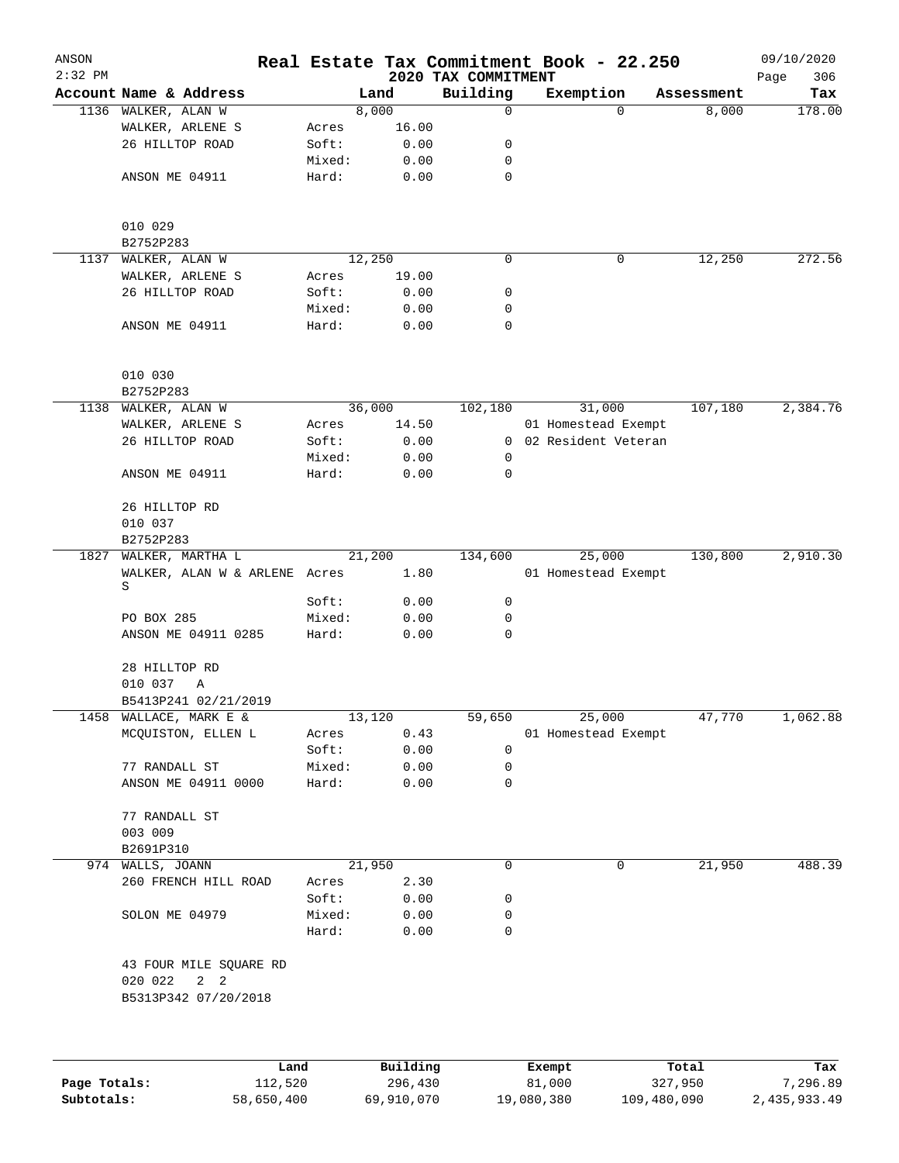| ANSON<br>$2:32$ PM |                                                  |                 |              | 2020 TAX COMMITMENT | Real Estate Tax Commitment Book - 22.250 |            | 09/10/2020         |
|--------------------|--------------------------------------------------|-----------------|--------------|---------------------|------------------------------------------|------------|--------------------|
|                    | Account Name & Address                           |                 | Land         | Building            | Exemption                                | Assessment | 306<br>Page<br>Tax |
| 1136               | WALKER, ALAN W                                   |                 | 8,000        | 0                   | $\mathbf 0$                              | 8,000      | 178.00             |
|                    | WALKER, ARLENE S                                 | Acres           | 16.00        |                     |                                          |            |                    |
|                    | 26 HILLTOP ROAD                                  | Soft:           | 0.00         | 0                   |                                          |            |                    |
|                    |                                                  | Mixed:          | 0.00         | 0                   |                                          |            |                    |
|                    | ANSON ME 04911                                   | Hard:           | 0.00         | $\mathbf 0$         |                                          |            |                    |
|                    |                                                  |                 |              |                     |                                          |            |                    |
|                    | 010 029                                          |                 |              |                     |                                          |            |                    |
|                    | B2752P283                                        |                 | 12,250       | 0                   | 0                                        |            | 272.56             |
| 1137               | WALKER, ALAN W<br>WALKER, ARLENE S               | Acres           | 19.00        |                     |                                          | 12,250     |                    |
|                    | 26 HILLTOP ROAD                                  | Soft:           | 0.00         | 0                   |                                          |            |                    |
|                    |                                                  |                 |              | 0                   |                                          |            |                    |
|                    | ANSON ME 04911                                   | Mixed:<br>Hard: | 0.00<br>0.00 | $\mathbf 0$         |                                          |            |                    |
|                    | 010 030                                          |                 |              |                     |                                          |            |                    |
|                    | B2752P283                                        |                 |              |                     |                                          |            |                    |
| 1138               | WALKER, ALAN W                                   |                 | 36,000       | 102,180             | 31,000                                   | 107,180    | 2,384.76           |
|                    | WALKER, ARLENE S                                 | Acres           | 14.50        |                     | 01 Homestead Exempt                      |            |                    |
|                    | 26 HILLTOP ROAD                                  | Soft:           | 0.00         | $\overline{0}$      | 02 Resident Veteran                      |            |                    |
|                    |                                                  | Mixed:          | 0.00         | 0                   |                                          |            |                    |
|                    | ANSON ME 04911                                   | Hard:           | 0.00         | $\mathbf 0$         |                                          |            |                    |
|                    | 26 HILLTOP RD                                    |                 |              |                     |                                          |            |                    |
|                    | 010 037                                          |                 |              |                     |                                          |            |                    |
|                    | B2752P283                                        |                 |              |                     |                                          |            |                    |
| 1827               | WALKER, MARTHA L                                 |                 | 21,200       | 134,600             | 25,000                                   | 130,800    | 2,910.30           |
|                    | WALKER, ALAN W & ARLENE Acres<br>S               |                 | 1.80         |                     | 01 Homestead Exempt                      |            |                    |
|                    |                                                  | Soft:           | 0.00         | 0                   |                                          |            |                    |
|                    | PO BOX 285                                       | Mixed:          | 0.00         | 0                   |                                          |            |                    |
|                    | ANSON ME 04911 0285                              | Hard:           | 0.00         | $\mathbf 0$         |                                          |            |                    |
|                    | 28 HILLTOP RD<br>010 037<br>Α                    |                 |              |                     |                                          |            |                    |
|                    | B5413P241 02/21/2019                             |                 |              |                     |                                          |            |                    |
| 1458               | WALLACE, MARK E &                                |                 | 13,120       | 59,650              | 25,000                                   | 47,770     | 1,062.88           |
|                    | MCQUISTON, ELLEN L                               | Acres           | 0.43         |                     | 01 Homestead Exempt                      |            |                    |
|                    |                                                  | Soft:           | 0.00         | 0                   |                                          |            |                    |
|                    | 77 RANDALL ST                                    | Mixed:          | 0.00         | 0                   |                                          |            |                    |
|                    | ANSON ME 04911 0000                              | Hard:           | 0.00         | $\mathbf 0$         |                                          |            |                    |
|                    | 77 RANDALL ST                                    |                 |              |                     |                                          |            |                    |
|                    | 003 009                                          |                 |              |                     |                                          |            |                    |
|                    | B2691P310                                        |                 |              |                     |                                          |            |                    |
|                    | 974 WALLS, JOANN                                 |                 | 21,950       | 0                   | 0                                        | 21,950     | 488.39             |
|                    | 260 FRENCH HILL ROAD                             | Acres           | 2.30         |                     |                                          |            |                    |
|                    |                                                  | Soft:           | 0.00         | 0                   |                                          |            |                    |
|                    | SOLON ME 04979                                   | Mixed:<br>Hard: | 0.00<br>0.00 | 0<br>$\mathbf 0$    |                                          |            |                    |
|                    | 43 FOUR MILE SQUARE RD<br>020 022<br>$2 \quad 2$ |                 |              |                     |                                          |            |                    |
|                    | B5313P342 07/20/2018                             |                 |              |                     |                                          |            |                    |
|                    |                                                  |                 |              |                     |                                          |            |                    |
|                    | Land                                             |                 | Building     |                     | Exempt                                   | Total      | Tax                |

|              | Land       | Building   | Exempt     | Total       | Tax          |
|--------------|------------|------------|------------|-------------|--------------|
| Page Totals: | 112,520    | 296,430    | 81,000     | 327,950     | 7,296.89     |
| Subtotals:   | 58,650,400 | 69,910,070 | 19,080,380 | 109,480,090 | 2,435,933.49 |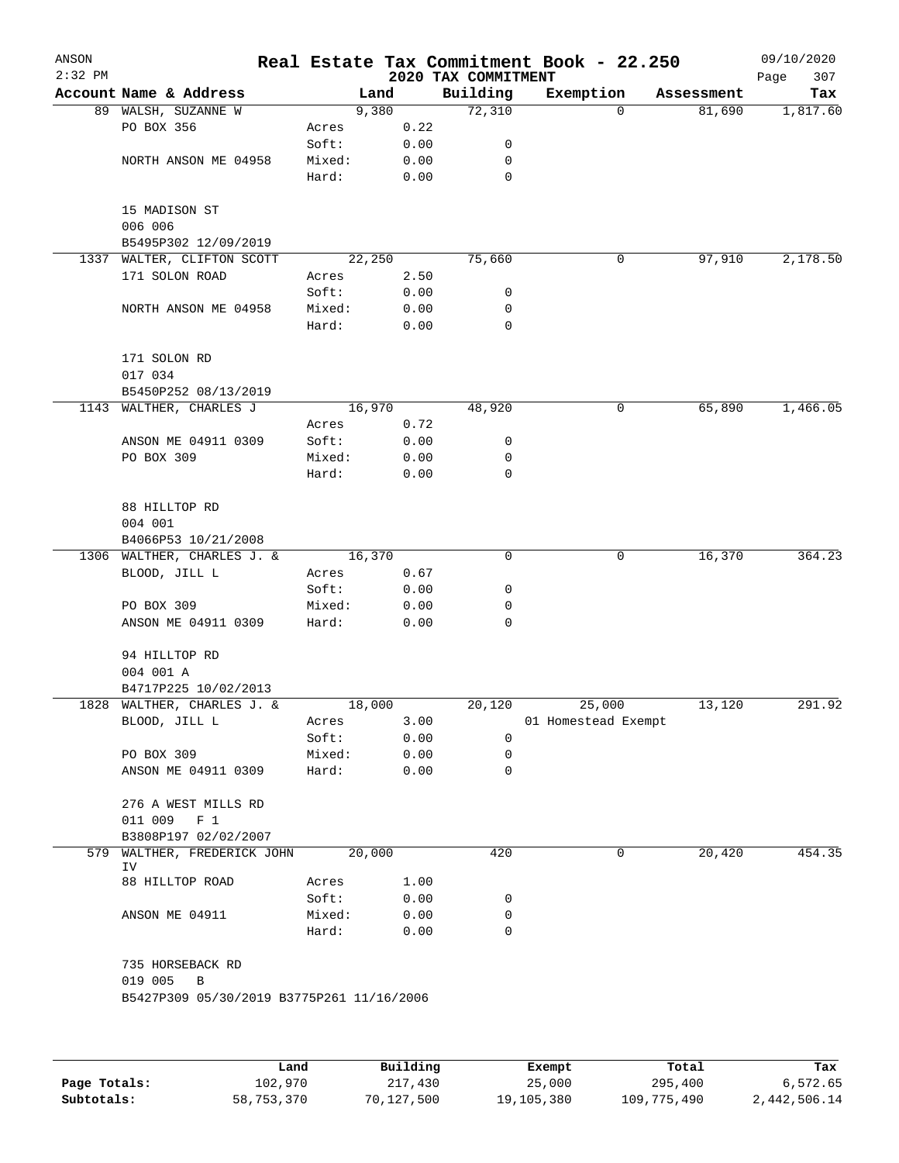| ANSON<br>$2:32$ PM |                                           |        |        | 2020 TAX COMMITMENT | Real Estate Tax Commitment Book - 22.250 |            | 09/10/2020<br>Page<br>307 |
|--------------------|-------------------------------------------|--------|--------|---------------------|------------------------------------------|------------|---------------------------|
|                    | Account Name & Address                    |        | Land   | Building            | Exemption                                | Assessment | Tax                       |
|                    | 89 WALSH, SUZANNE W                       |        | 9,380  | 72,310              | $\mathbf 0$                              | 81,690     | 1,817.60                  |
|                    | PO BOX 356                                | Acres  | 0.22   |                     |                                          |            |                           |
|                    |                                           | Soft:  | 0.00   | 0                   |                                          |            |                           |
|                    | NORTH ANSON ME 04958                      | Mixed: | 0.00   | 0                   |                                          |            |                           |
|                    |                                           | Hard:  | 0.00   | $\mathbf 0$         |                                          |            |                           |
|                    | 15 MADISON ST                             |        |        |                     |                                          |            |                           |
|                    | 006 006                                   |        |        |                     |                                          |            |                           |
|                    | B5495P302 12/09/2019                      |        |        |                     |                                          |            |                           |
| 1337               | WALTER, CLIFTON SCOTT                     |        | 22,250 | 75,660              | 0                                        | 97,910     | 2,178.50                  |
|                    | 171 SOLON ROAD                            | Acres  | 2.50   |                     |                                          |            |                           |
|                    |                                           | Soft:  | 0.00   | 0                   |                                          |            |                           |
|                    | NORTH ANSON ME 04958                      | Mixed: | 0.00   | 0                   |                                          |            |                           |
|                    |                                           | Hard:  | 0.00   | $\mathbf 0$         |                                          |            |                           |
|                    | 171 SOLON RD                              |        |        |                     |                                          |            |                           |
|                    | 017 034                                   |        |        |                     |                                          |            |                           |
|                    | B5450P252 08/13/2019                      |        |        |                     |                                          |            |                           |
| 1143               | WALTHER, CHARLES J                        |        | 16,970 | 48,920              | 0                                        | 65,890     | 1,466.05                  |
|                    |                                           | Acres  | 0.72   |                     |                                          |            |                           |
|                    | ANSON ME 04911 0309                       | Soft:  | 0.00   | 0                   |                                          |            |                           |
|                    | PO BOX 309                                | Mixed: | 0.00   | 0                   |                                          |            |                           |
|                    |                                           | Hard:  | 0.00   | 0                   |                                          |            |                           |
|                    | 88 HILLTOP RD                             |        |        |                     |                                          |            |                           |
|                    | 004 001                                   |        |        |                     |                                          |            |                           |
|                    | B4066P53 10/21/2008                       |        |        |                     |                                          |            |                           |
|                    | 1306 WALTHER, CHARLES J. &                |        | 16,370 | 0                   | 0                                        | 16,370     | 364.23                    |
|                    | BLOOD, JILL L                             | Acres  | 0.67   |                     |                                          |            |                           |
|                    |                                           | Soft:  | 0.00   | 0                   |                                          |            |                           |
|                    | PO BOX 309                                | Mixed: | 0.00   | 0                   |                                          |            |                           |
|                    | ANSON ME 04911 0309                       | Hard:  | 0.00   | 0                   |                                          |            |                           |
|                    | 94 HILLTOP RD                             |        |        |                     |                                          |            |                           |
|                    | 004 001 A                                 |        |        |                     |                                          |            |                           |
|                    | B4717P225 10/02/2013                      |        |        |                     |                                          |            |                           |
|                    | 1828 WALTHER, CHARLES J. &                |        | 18,000 | 20,120              | 25,000                                   | 13,120     | 291.92                    |
|                    | BLOOD, JILL L                             | Acres  | 3.00   |                     | 01 Homestead Exempt                      |            |                           |
|                    |                                           | Soft:  | 0.00   | 0                   |                                          |            |                           |
|                    | PO BOX 309                                | Mixed: | 0.00   | 0                   |                                          |            |                           |
|                    | ANSON ME 04911 0309                       | Hard:  | 0.00   | 0                   |                                          |            |                           |
|                    | 276 A WEST MILLS RD                       |        |        |                     |                                          |            |                           |
|                    | 011 009<br>F <sub>1</sub>                 |        |        |                     |                                          |            |                           |
|                    | B3808P197 02/02/2007                      |        |        |                     |                                          |            |                           |
| 579                | WALTHER, FREDERICK JOHN<br>IV             |        | 20,000 | 420                 | 0                                        | 20,420     | 454.35                    |
|                    | 88 HILLTOP ROAD                           | Acres  | 1.00   |                     |                                          |            |                           |
|                    |                                           | Soft:  | 0.00   | 0                   |                                          |            |                           |
|                    | ANSON ME 04911                            | Mixed: | 0.00   | 0                   |                                          |            |                           |
|                    |                                           | Hard:  | 0.00   | $\mathbf 0$         |                                          |            |                           |
|                    | 735 HORSEBACK RD                          |        |        |                     |                                          |            |                           |
|                    | 019 005<br>B                              |        |        |                     |                                          |            |                           |
|                    | B5427P309 05/30/2019 B3775P261 11/16/2006 |        |        |                     |                                          |            |                           |
|                    |                                           |        |        |                     |                                          |            |                           |
|                    |                                           |        |        |                     |                                          |            |                           |
|                    |                                           |        |        |                     |                                          |            |                           |

|              | Land       | Building   | Exempt     | Total       | Tax          |
|--------------|------------|------------|------------|-------------|--------------|
| Page Totals: | 102,970    | 217,430    | 25,000     | 295,400     | 6,572.65     |
| Subtotals:   | 58,753,370 | 70,127,500 | 19,105,380 | 109,775,490 | 2,442,506.14 |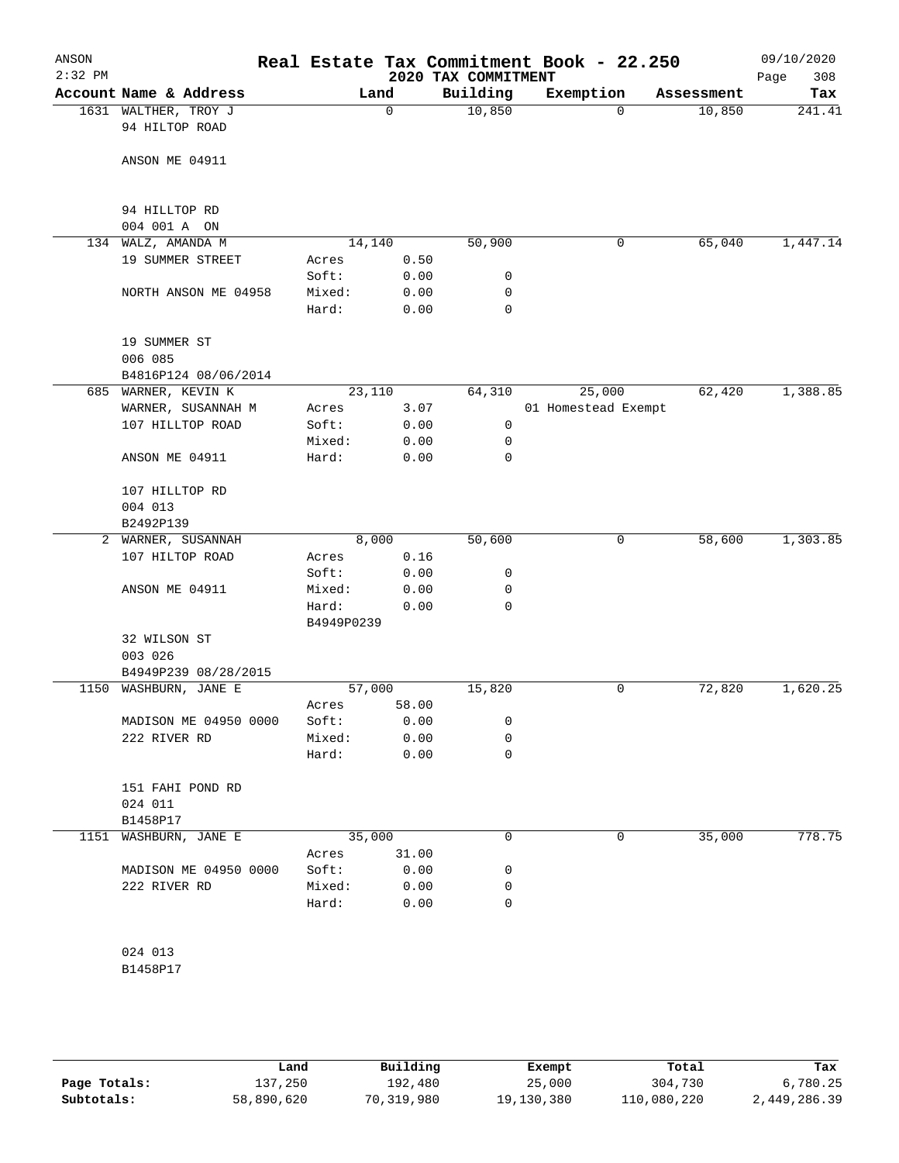| ANSON        |                                          |                 |                 |                     | Real Estate Tax Commitment Book - 22.250 |          |            | 09/10/2020  |
|--------------|------------------------------------------|-----------------|-----------------|---------------------|------------------------------------------|----------|------------|-------------|
| $2:32$ PM    |                                          |                 |                 | 2020 TAX COMMITMENT |                                          |          |            | 308<br>Page |
|              | Account Name & Address                   |                 | Land            | Building            | Exemption                                |          | Assessment | Tax         |
|              | 1631 WALTHER, TROY J                     |                 | $\Omega$        | 10,850              |                                          | $\Omega$ | 10,850     | 241.41      |
|              | 94 HILTOP ROAD                           |                 |                 |                     |                                          |          |            |             |
|              |                                          |                 |                 |                     |                                          |          |            |             |
|              | ANSON ME 04911                           |                 |                 |                     |                                          |          |            |             |
|              |                                          |                 |                 |                     |                                          |          |            |             |
|              | 94 HILLTOP RD                            |                 |                 |                     |                                          |          |            |             |
|              | 004 001 A ON                             |                 |                 |                     |                                          |          |            |             |
|              | 134 WALZ, AMANDA M                       |                 | 14,140          | 50,900              |                                          | 0        | 65,040     | 1,447.14    |
|              | 19 SUMMER STREET                         | Acres           | 0.50            |                     |                                          |          |            |             |
|              |                                          | Soft:           | 0.00            | 0                   |                                          |          |            |             |
|              | NORTH ANSON ME 04958                     | Mixed:          | 0.00            | 0                   |                                          |          |            |             |
|              |                                          | Hard:           | 0.00            | $\mathbf 0$         |                                          |          |            |             |
|              | 19 SUMMER ST                             |                 |                 |                     |                                          |          |            |             |
|              | 006 085                                  |                 |                 |                     |                                          |          |            |             |
|              | B4816P124 08/06/2014                     |                 |                 |                     |                                          |          |            |             |
|              | 685 WARNER, KEVIN K                      |                 | 23,110          | 64,310              |                                          | 25,000   | 62,420     | 1,388.85    |
|              | WARNER, SUSANNAH M                       | Acres           | 3.07            |                     | 01 Homestead Exempt                      |          |            |             |
|              | 107 HILLTOP ROAD                         | Soft:           | 0.00            | 0                   |                                          |          |            |             |
|              |                                          | Mixed:          | 0.00            | 0                   |                                          |          |            |             |
|              | ANSON ME 04911                           | Hard:           | 0.00            | 0                   |                                          |          |            |             |
|              |                                          |                 |                 |                     |                                          |          |            |             |
|              | 107 HILLTOP RD                           |                 |                 |                     |                                          |          |            |             |
|              | 004 013                                  |                 |                 |                     |                                          |          |            |             |
|              | B2492P139                                |                 |                 |                     |                                          |          |            |             |
| $\mathbf{2}$ | WARNER, SUSANNAH                         |                 | 8,000           | 50,600              |                                          | 0        | 58,600     | 1,303.85    |
|              | 107 HILTOP ROAD                          | Acres           | 0.16            |                     |                                          |          |            |             |
|              |                                          | Soft:           | 0.00            | 0                   |                                          |          |            |             |
|              | ANSON ME 04911                           | Mixed:          | 0.00            | 0                   |                                          |          |            |             |
|              |                                          | Hard:           | 0.00            | 0                   |                                          |          |            |             |
|              |                                          | B4949P0239      |                 |                     |                                          |          |            |             |
|              | 32 WILSON ST                             |                 |                 |                     |                                          |          |            |             |
|              | 003 026                                  |                 |                 |                     |                                          |          |            |             |
|              | B4949P239 08/28/2015<br>WASHBURN, JANE E |                 |                 |                     |                                          |          |            |             |
| 1150         |                                          |                 | 57,000<br>58.00 | 15,820              |                                          | 0        | 72,820     | 1,620.25    |
|              |                                          | Acres           | 0.00            |                     |                                          |          |            |             |
|              | MADISON ME 04950 0000<br>222 RIVER RD    | Soft:           |                 | 0                   |                                          |          |            |             |
|              |                                          | Mixed:<br>Hard: | 0.00            | 0<br>0              |                                          |          |            |             |
|              |                                          |                 | 0.00            |                     |                                          |          |            |             |
|              | 151 FAHI POND RD                         |                 |                 |                     |                                          |          |            |             |
|              | 024 011                                  |                 |                 |                     |                                          |          |            |             |
|              | B1458P17                                 |                 |                 |                     |                                          |          |            |             |
|              | 1151 WASHBURN, JANE E                    |                 | 35,000          | 0                   |                                          | 0        | 35,000     | 778.75      |
|              |                                          | Acres           | 31.00           |                     |                                          |          |            |             |
|              | MADISON ME 04950 0000                    | Soft:           | 0.00            | 0                   |                                          |          |            |             |
|              | 222 RIVER RD                             | Mixed:          | 0.00            | 0                   |                                          |          |            |             |
|              |                                          | Hard:           | 0.00            | 0                   |                                          |          |            |             |
|              |                                          |                 |                 |                     |                                          |          |            |             |
|              |                                          |                 |                 |                     |                                          |          |            |             |
|              | 024 013                                  |                 |                 |                     |                                          |          |            |             |

B1458P17

|              | Land       | Building   | Exempt     | Total       | Tax          |
|--------------|------------|------------|------------|-------------|--------------|
| Page Totals: | 137,250    | 192,480    | 25,000     | 304,730     | 6,780.25     |
| Subtotals:   | 58,890,620 | 70,319,980 | 19,130,380 | 110,080,220 | 2,449,286.39 |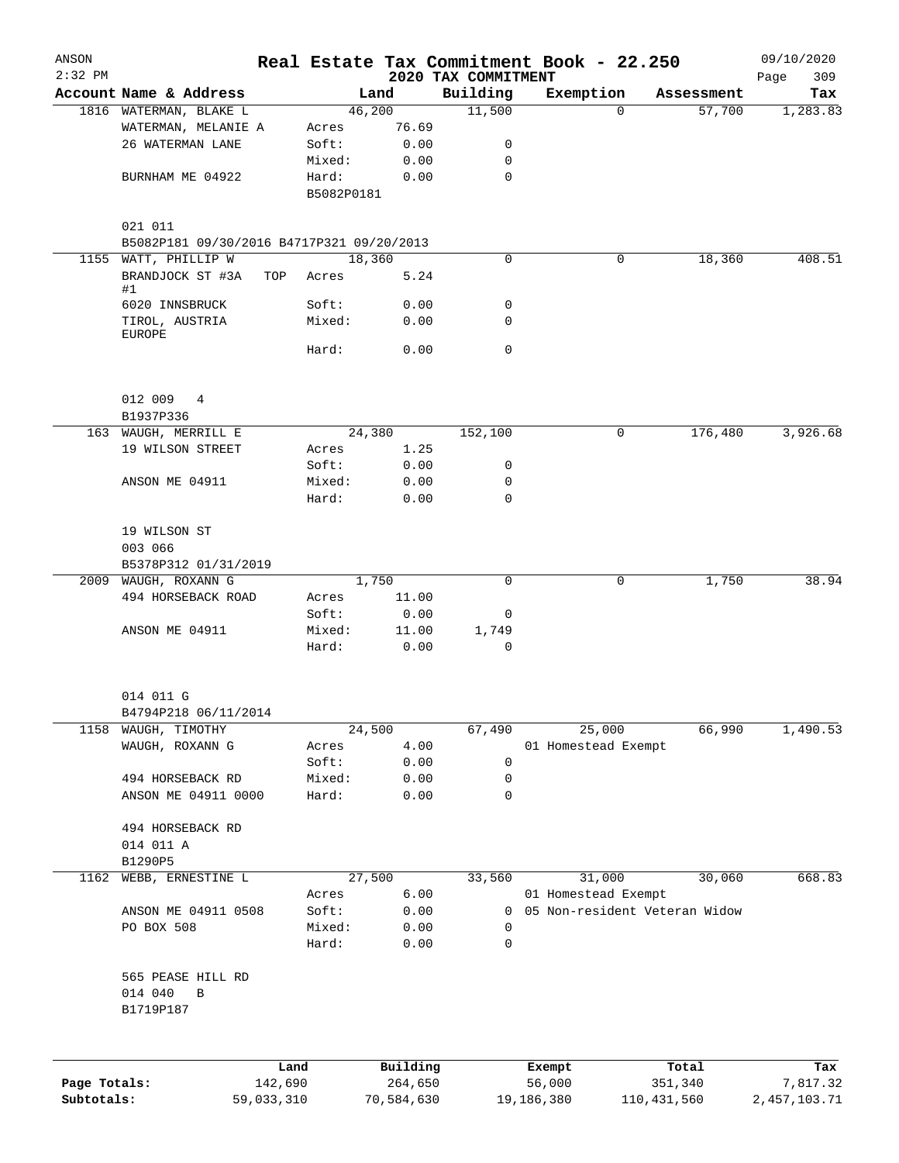| ANSON<br>$2:32$ PM |                                                      |            |                 |            | 2020 TAX COMMITMENT | Real Estate Tax Commitment Book - 22.250 |                               | 09/10/2020<br>309<br>Page |
|--------------------|------------------------------------------------------|------------|-----------------|------------|---------------------|------------------------------------------|-------------------------------|---------------------------|
|                    | Account Name & Address                               |            |                 | Land       | Building            | Exemption                                | Assessment                    | Tax                       |
|                    | 1816 WATERMAN, BLAKE L                               |            |                 | 46,200     | 11,500              |                                          | $\Omega$<br>57,700            | 1,283.83                  |
|                    | WATERMAN, MELANIE A                                  |            | Acres           | 76.69      |                     |                                          |                               |                           |
|                    | 26 WATERMAN LANE                                     |            | Soft:           | 0.00       | 0                   |                                          |                               |                           |
|                    |                                                      |            | Mixed:          | 0.00       | 0                   |                                          |                               |                           |
|                    | BURNHAM ME 04922                                     |            | Hard:           | 0.00       | 0                   |                                          |                               |                           |
|                    |                                                      |            | B5082P0181      |            |                     |                                          |                               |                           |
|                    |                                                      |            |                 |            |                     |                                          |                               |                           |
|                    | 021 011<br>B5082P181 09/30/2016 B4717P321 09/20/2013 |            |                 |            |                     |                                          |                               |                           |
|                    | 1155 WATT, PHILLIP W                                 |            |                 | 18,360     | $\mathbf 0$         |                                          | 18,360<br>0                   | 408.51                    |
|                    | BRANDJOCK ST #3A<br>#1                               | TOP        | Acres           | 5.24       |                     |                                          |                               |                           |
|                    | 6020 INNSBRUCK                                       |            | Soft:           | 0.00       | 0                   |                                          |                               |                           |
|                    | TIROL, AUSTRIA<br>EUROPE                             |            | Mixed:          | 0.00       | 0                   |                                          |                               |                           |
|                    |                                                      |            | Hard:           | 0.00       | $\mathbf 0$         |                                          |                               |                           |
|                    |                                                      |            |                 |            |                     |                                          |                               |                           |
|                    | 012 009 4                                            |            |                 |            |                     |                                          |                               |                           |
|                    | B1937P336                                            |            |                 |            |                     |                                          |                               |                           |
|                    | 163 WAUGH, MERRILL E                                 |            |                 | 24,380     | 152,100             |                                          | 176,480<br>0                  | 3,926.68                  |
|                    | 19 WILSON STREET                                     |            | Acres           | 1.25       |                     |                                          |                               |                           |
|                    |                                                      |            | Soft:           | 0.00       | 0                   |                                          |                               |                           |
|                    | ANSON ME 04911                                       |            | Mixed:<br>Hard: | 0.00       | 0<br>$\Omega$       |                                          |                               |                           |
|                    |                                                      |            |                 | 0.00       |                     |                                          |                               |                           |
|                    | 19 WILSON ST                                         |            |                 |            |                     |                                          |                               |                           |
|                    | 003 066                                              |            |                 |            |                     |                                          |                               |                           |
|                    | B5378P312 01/31/2019                                 |            |                 |            |                     |                                          |                               |                           |
|                    | 2009 WAUGH, ROXANN G                                 |            |                 | 1,750      | 0                   |                                          | 0<br>1,750                    | 38.94                     |
|                    | 494 HORSEBACK ROAD                                   |            | Acres           | 11.00      |                     |                                          |                               |                           |
|                    |                                                      |            | Soft:           | 0.00       | 0                   |                                          |                               |                           |
|                    | ANSON ME 04911                                       |            | Mixed:          | 11.00      | 1,749               |                                          |                               |                           |
|                    |                                                      |            | Hard:           | 0.00       | 0                   |                                          |                               |                           |
|                    | 014 011 G                                            |            |                 |            |                     |                                          |                               |                           |
|                    | B4794P218 06/11/2014                                 |            |                 |            |                     |                                          |                               |                           |
| 1158               | WAUGH, TIMOTHY                                       |            |                 | 24,500     | 67,490              | 25,000                                   | 66,990                        | 1,490.53                  |
|                    | WAUGH, ROXANN G                                      |            | Acres           | 4.00       |                     | 01 Homestead Exempt                      |                               |                           |
|                    |                                                      |            | Soft:           | 0.00       | 0                   |                                          |                               |                           |
|                    | 494 HORSEBACK RD                                     |            | Mixed:          | 0.00       | 0                   |                                          |                               |                           |
|                    | ANSON ME 04911 0000                                  |            | Hard:           | 0.00       | $\mathbf 0$         |                                          |                               |                           |
|                    | 494 HORSEBACK RD                                     |            |                 |            |                     |                                          |                               |                           |
|                    | 014 011 A                                            |            |                 |            |                     |                                          |                               |                           |
|                    | B1290P5                                              |            |                 |            |                     |                                          |                               |                           |
| 1162               | WEBB, ERNESTINE L                                    |            |                 | 27,500     | 33,560              | 31,000                                   | 30,060                        | 668.83                    |
|                    |                                                      |            | Acres           | 6.00       |                     | 01 Homestead Exempt                      |                               |                           |
|                    | ANSON ME 04911 0508                                  |            | Soft:           | 0.00       | 0                   |                                          | 05 Non-resident Veteran Widow |                           |
|                    | PO BOX 508                                           |            | Mixed:          | 0.00       | 0                   |                                          |                               |                           |
|                    |                                                      |            | Hard:           | 0.00       | 0                   |                                          |                               |                           |
|                    | 565 PEASE HILL RD                                    |            |                 |            |                     |                                          |                               |                           |
|                    | 014 040<br>В                                         |            |                 |            |                     |                                          |                               |                           |
|                    | B1719P187                                            |            |                 |            |                     |                                          |                               |                           |
|                    |                                                      |            |                 |            |                     |                                          |                               |                           |
|                    |                                                      | Land       |                 | Building   |                     | Exempt                                   | Total                         | Tax                       |
| Page Totals:       |                                                      | 142,690    |                 | 264,650    |                     | 56,000                                   | 351,340                       | 7,817.32                  |
| Subtotals:         |                                                      | 59,033,310 |                 | 70,584,630 |                     | 19,186,380                               | 110,431,560                   | 2,457,103.71              |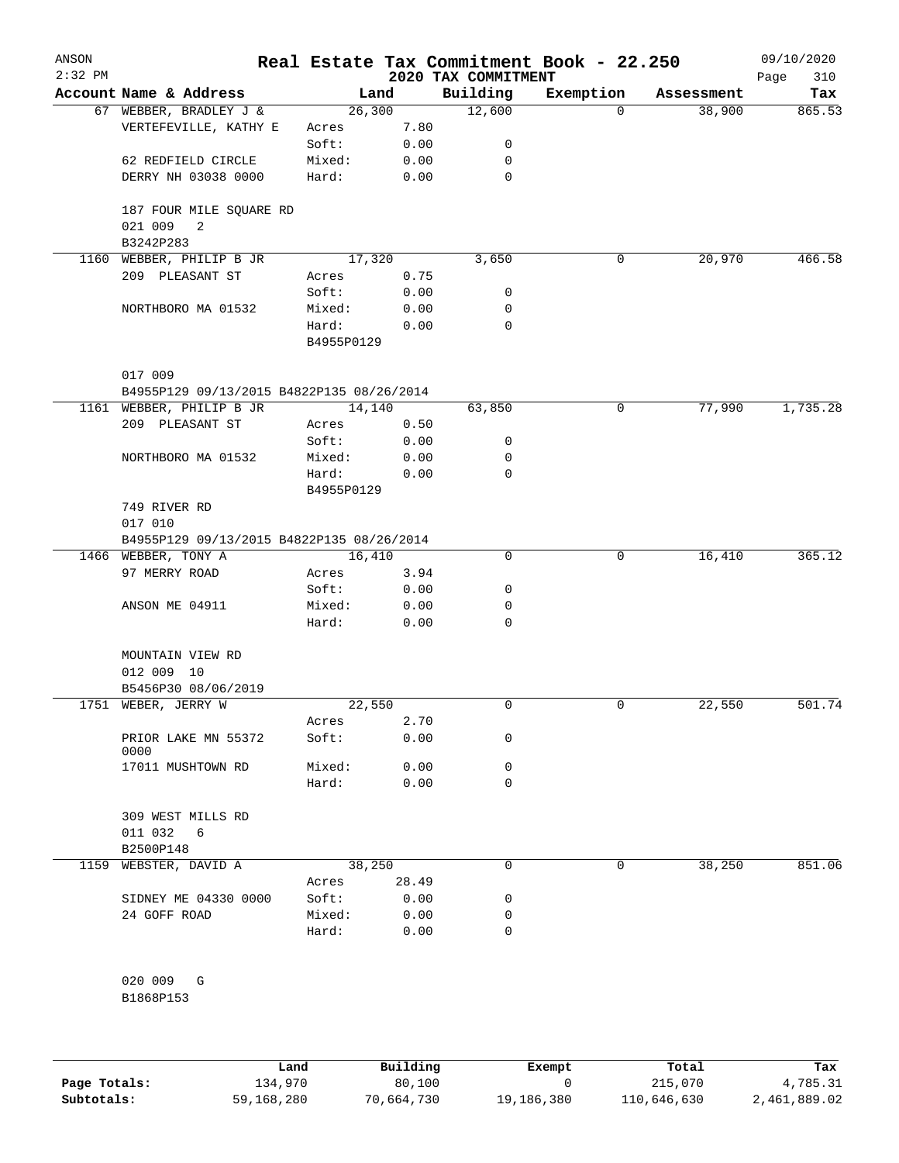| ANSON<br>$2:32$ PM |                                                      |                     |       | 2020 TAX COMMITMENT | Real Estate Tax Commitment Book - 22.250 |            | 09/10/2020<br>310<br>Page |
|--------------------|------------------------------------------------------|---------------------|-------|---------------------|------------------------------------------|------------|---------------------------|
|                    | Account Name & Address                               | Land                |       | Building            | Exemption                                | Assessment | Tax                       |
|                    | 67 WEBBER, BRADLEY J &                               | 26,300              |       | 12,600              | $\Omega$                                 | 38,900     | 865.53                    |
|                    | VERTEFEVILLE, KATHY E                                | Acres               | 7.80  |                     |                                          |            |                           |
|                    |                                                      | Soft:               | 0.00  | 0                   |                                          |            |                           |
|                    | 62 REDFIELD CIRCLE                                   | Mixed:              | 0.00  | 0                   |                                          |            |                           |
|                    | DERRY NH 03038 0000                                  | Hard:               | 0.00  | 0                   |                                          |            |                           |
|                    | 187 FOUR MILE SQUARE RD<br>021 009<br>2<br>B3242P283 |                     |       |                     |                                          |            |                           |
| 1160               | WEBBER, PHILIP B JR                                  | 17,320              |       | 3,650               | 0                                        | 20,970     | 466.58                    |
|                    | 209 PLEASANT ST                                      | Acres               | 0.75  |                     |                                          |            |                           |
|                    |                                                      | Soft:               | 0.00  | 0                   |                                          |            |                           |
|                    | NORTHBORO MA 01532                                   | Mixed:              | 0.00  | 0                   |                                          |            |                           |
|                    |                                                      | Hard:<br>B4955P0129 | 0.00  | $\mathbf 0$         |                                          |            |                           |
|                    | 017 009                                              |                     |       |                     |                                          |            |                           |
|                    | B4955P129 09/13/2015 B4822P135 08/26/2014            |                     |       |                     |                                          |            |                           |
|                    | 1161 WEBBER, PHILIP B JR                             | 14,140              |       | 63,850              | 0                                        | 77,990     | 1,735.28                  |
|                    | 209 PLEASANT ST                                      | Acres               | 0.50  |                     |                                          |            |                           |
|                    |                                                      | Soft:               | 0.00  | 0                   |                                          |            |                           |
|                    | NORTHBORO MA 01532                                   | Mixed:              | 0.00  | 0                   |                                          |            |                           |
|                    |                                                      | Hard:               | 0.00  | 0                   |                                          |            |                           |
|                    | 749 RIVER RD<br>017 010                              | B4955P0129          |       |                     |                                          |            |                           |
|                    | B4955P129 09/13/2015 B4822P135 08/26/2014            |                     |       |                     |                                          |            |                           |
|                    | 1466 WEBBER, TONY A                                  | 16,410              |       | 0                   | 0                                        | 16,410     | 365.12                    |
|                    | 97 MERRY ROAD                                        | Acres               | 3.94  |                     |                                          |            |                           |
|                    |                                                      | Soft:               | 0.00  | 0                   |                                          |            |                           |
|                    | ANSON ME 04911                                       | Mixed:              | 0.00  | 0                   |                                          |            |                           |
|                    |                                                      | Hard:               | 0.00  | 0                   |                                          |            |                           |
|                    | MOUNTAIN VIEW RD                                     |                     |       |                     |                                          |            |                           |
|                    | 012 009 10                                           |                     |       |                     |                                          |            |                           |
|                    | B5456P30 08/06/2019                                  |                     |       |                     |                                          |            |                           |
|                    | 1751 WEBER, JERRY W                                  | 22,550              |       | 0                   | $\mathbf 0$                              | 22,550     | 501.74                    |
|                    |                                                      | Acres               | 2.70  |                     |                                          |            |                           |
|                    | PRIOR LAKE MN 55372<br>0000                          | Soft:               | 0.00  | 0                   |                                          |            |                           |
|                    | 17011 MUSHTOWN RD                                    | Mixed:              | 0.00  | 0                   |                                          |            |                           |
|                    |                                                      | Hard:               | 0.00  | $\mathbf 0$         |                                          |            |                           |
|                    | 309 WEST MILLS RD                                    |                     |       |                     |                                          |            |                           |
|                    | 011 032<br>6                                         |                     |       |                     |                                          |            |                           |
|                    | B2500P148                                            |                     |       |                     |                                          |            |                           |
| 1159               | WEBSTER, DAVID A                                     | 38,250              |       | 0                   | 0                                        | 38,250     | 851.06                    |
|                    |                                                      | Acres               | 28.49 |                     |                                          |            |                           |
|                    | SIDNEY ME 04330 0000                                 | Soft:               | 0.00  | 0                   |                                          |            |                           |
|                    | 24 GOFF ROAD                                         | Mixed:              | 0.00  | 0                   |                                          |            |                           |
|                    |                                                      | Hard:               | 0.00  | $\mathbf 0$         |                                          |            |                           |
|                    |                                                      |                     |       |                     |                                          |            |                           |
|                    | 020 009<br>G                                         |                     |       |                     |                                          |            |                           |
|                    | B1868P153                                            |                     |       |                     |                                          |            |                           |

|              | Land       | Building   | Exempt     | Total       | Tax          |
|--------------|------------|------------|------------|-------------|--------------|
| Page Totals: | 134,970    | 80,100     |            | 215,070     | 4,785.31     |
| Subtotals:   | 59,168,280 | 70,664,730 | 19,186,380 | 110,646,630 | 2,461,889.02 |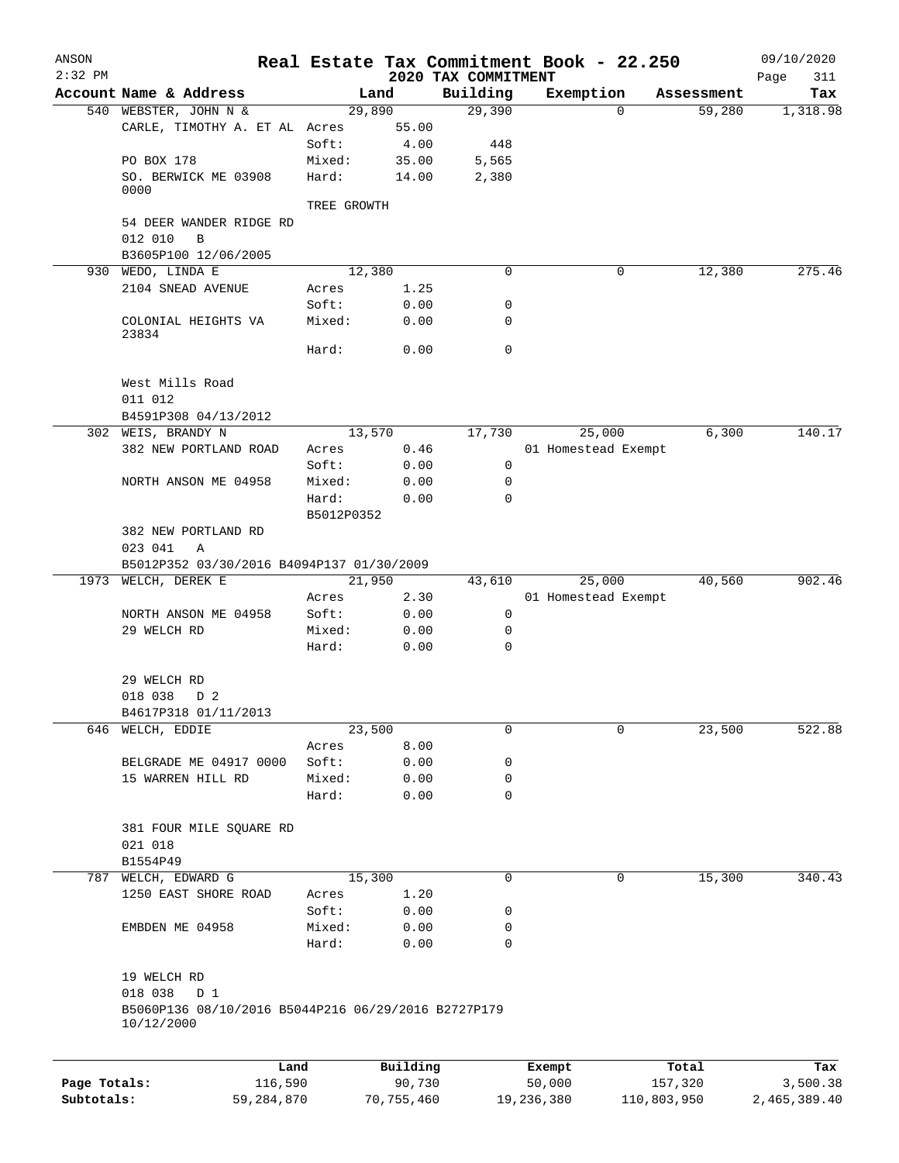| ANSON        |                                                                   |             |                 |                     | Real Estate Tax Commitment Book - 22.250 |                        | 09/10/2020         |
|--------------|-------------------------------------------------------------------|-------------|-----------------|---------------------|------------------------------------------|------------------------|--------------------|
| $2:32$ PM    |                                                                   |             |                 | 2020 TAX COMMITMENT |                                          |                        | Page<br>311        |
|              | Account Name & Address                                            |             | Land            | Building<br>29,390  | Exemption                                | Assessment<br>$\Omega$ | Tax                |
|              | 540 WEBSTER, JOHN N &<br>CARLE, TIMOTHY A. ET AL Acres            |             | 29,890<br>55.00 |                     |                                          |                        | 59,280<br>1,318.98 |
|              |                                                                   | Soft:       | 4.00            | 448                 |                                          |                        |                    |
|              | PO BOX 178                                                        | Mixed:      | 35.00           | 5,565               |                                          |                        |                    |
|              | SO. BERWICK ME 03908                                              | Hard:       | 14.00           | 2,380               |                                          |                        |                    |
|              | 0000                                                              |             |                 |                     |                                          |                        |                    |
|              |                                                                   | TREE GROWTH |                 |                     |                                          |                        |                    |
|              | 54 DEER WANDER RIDGE RD                                           |             |                 |                     |                                          |                        |                    |
|              | 012 010<br>$\mathbf B$<br>B3605P100 12/06/2005                    |             |                 |                     |                                          |                        |                    |
| 930          | WEDO, LINDA E                                                     |             | 12,380          | 0                   |                                          | 0                      | 275.46<br>12,380   |
|              | 2104 SNEAD AVENUE                                                 | Acres       | 1.25            |                     |                                          |                        |                    |
|              |                                                                   | Soft:       | 0.00            | 0                   |                                          |                        |                    |
|              | COLONIAL HEIGHTS VA                                               | Mixed:      | 0.00            | 0                   |                                          |                        |                    |
|              | 23834                                                             | Hard:       | 0.00            | 0                   |                                          |                        |                    |
|              |                                                                   |             |                 |                     |                                          |                        |                    |
|              | West Mills Road                                                   |             |                 |                     |                                          |                        |                    |
|              | 011 012                                                           |             |                 |                     |                                          |                        |                    |
|              | B4591P308 04/13/2012                                              |             |                 |                     |                                          |                        |                    |
|              | 302 WEIS, BRANDY N                                                |             | 13,570          | 17,730              | 25,000                                   |                        | 6,300<br>140.17    |
|              | 382 NEW PORTLAND ROAD                                             | Acres       | 0.46            |                     | 01 Homestead Exempt                      |                        |                    |
|              |                                                                   | Soft:       | 0.00            | 0                   |                                          |                        |                    |
|              | NORTH ANSON ME 04958                                              | Mixed:      | 0.00            | 0                   |                                          |                        |                    |
|              |                                                                   | Hard:       | 0.00            | 0                   |                                          |                        |                    |
|              |                                                                   | B5012P0352  |                 |                     |                                          |                        |                    |
|              | 382 NEW PORTLAND RD                                               |             |                 |                     |                                          |                        |                    |
|              | 023 041<br>Α                                                      |             |                 |                     |                                          |                        |                    |
|              | B5012P352 03/30/2016 B4094P137 01/30/2009                         |             |                 |                     |                                          |                        |                    |
|              | 1973 WELCH, DEREK E                                               |             | 21,950          | 43,610              | 25,000                                   |                        | 40,560<br>902.46   |
|              |                                                                   | Acres       | 2.30            |                     | 01 Homestead Exempt                      |                        |                    |
|              | NORTH ANSON ME 04958                                              | Soft:       | 0.00            | 0                   |                                          |                        |                    |
|              | 29 WELCH RD                                                       | Mixed:      | 0.00            | 0                   |                                          |                        |                    |
|              |                                                                   | Hard:       | 0.00            | 0                   |                                          |                        |                    |
|              | 29 WELCH RD                                                       |             |                 |                     |                                          |                        |                    |
|              | 018 038<br>D 2                                                    |             |                 |                     |                                          |                        |                    |
|              | B4617P318 01/11/2013                                              |             |                 |                     |                                          |                        |                    |
| 646          | WELCH, EDDIE                                                      |             | 23,500          | 0                   |                                          | 0                      | 23,500<br>522.88   |
|              |                                                                   | Acres       | 8.00            |                     |                                          |                        |                    |
|              | BELGRADE ME 04917 0000                                            | Soft:       | 0.00            | 0                   |                                          |                        |                    |
|              | 15 WARREN HILL RD                                                 | Mixed:      | 0.00            | 0                   |                                          |                        |                    |
|              |                                                                   | Hard:       | 0.00            | $\mathbf 0$         |                                          |                        |                    |
|              | 381 FOUR MILE SQUARE RD                                           |             |                 |                     |                                          |                        |                    |
|              | 021 018                                                           |             |                 |                     |                                          |                        |                    |
|              | B1554P49                                                          |             |                 |                     |                                          |                        |                    |
| 787          | WELCH, EDWARD G                                                   |             | 15,300          | 0                   |                                          | 0                      | 15,300<br>340.43   |
|              | 1250 EAST SHORE ROAD                                              | Acres       | 1.20            |                     |                                          |                        |                    |
|              |                                                                   | Soft:       | 0.00            | 0                   |                                          |                        |                    |
|              | EMBDEN ME 04958                                                   | Mixed:      | 0.00            | 0                   |                                          |                        |                    |
|              |                                                                   | Hard:       | 0.00            | 0                   |                                          |                        |                    |
|              | 19 WELCH RD                                                       |             |                 |                     |                                          |                        |                    |
|              | 018 038<br>D 1                                                    |             |                 |                     |                                          |                        |                    |
|              | B5060P136 08/10/2016 B5044P216 06/29/2016 B2727P179<br>10/12/2000 |             |                 |                     |                                          |                        |                    |
|              |                                                                   |             |                 |                     |                                          |                        |                    |
|              |                                                                   | Land        | Building        |                     | Exempt                                   | Total                  | Tax                |
| Page Totals: | 116,590                                                           |             | 90,730          |                     | 50,000                                   | 157,320                | 3,500.38           |
| Subtotals:   | 59, 284, 870                                                      |             | 70,755,460      |                     | 19,236,380                               | 110,803,950            | 2,465,389.40       |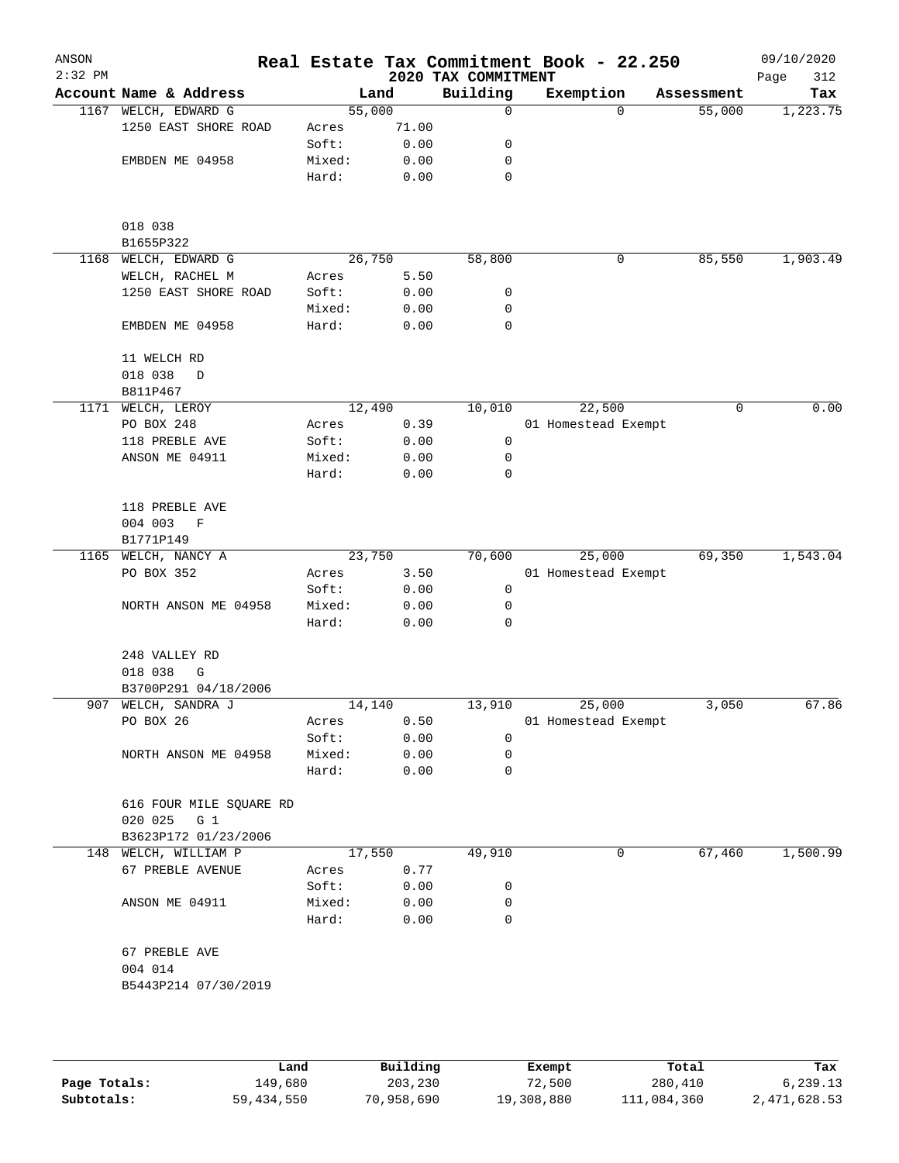| ANSON<br>$2:32$ PM |                                              |                 |              | 2020 TAX COMMITMENT | Real Estate Tax Commitment Book - 22.250 |            | 09/10/2020<br>312<br>Page |
|--------------------|----------------------------------------------|-----------------|--------------|---------------------|------------------------------------------|------------|---------------------------|
|                    | Account Name & Address                       |                 | Land         | Building            | Exemption                                | Assessment | Tax                       |
|                    | 1167 WELCH, EDWARD G                         | 55,000          |              | 0                   | $\Omega$                                 | 55,000     | 1,223.75                  |
|                    | 1250 EAST SHORE ROAD                         | Acres           | 71.00        |                     |                                          |            |                           |
|                    |                                              | Soft:           | 0.00         | 0                   |                                          |            |                           |
|                    | EMBDEN ME 04958                              | Mixed:          | 0.00         | 0                   |                                          |            |                           |
|                    |                                              | Hard:           | 0.00         | 0                   |                                          |            |                           |
|                    |                                              |                 |              |                     |                                          |            |                           |
|                    | 018 038                                      |                 |              |                     |                                          |            |                           |
|                    | B1655P322                                    | 26,750          |              |                     |                                          |            |                           |
| 1168               | WELCH, EDWARD G<br>WELCH, RACHEL M           |                 | 5.50         | 58,800              | 0                                        | 85,550     | 1,903.49                  |
|                    | 1250 EAST SHORE ROAD                         | Acres<br>Soft:  | 0.00         | 0                   |                                          |            |                           |
|                    |                                              | Mixed:          | 0.00         | 0                   |                                          |            |                           |
|                    | EMBDEN ME 04958                              | Hard:           | 0.00         | 0                   |                                          |            |                           |
|                    | 11 WELCH RD                                  |                 |              |                     |                                          |            |                           |
|                    | 018 038<br>D                                 |                 |              |                     |                                          |            |                           |
|                    | B811P467                                     |                 |              |                     |                                          |            |                           |
|                    | 1171 WELCH, LEROY                            | 12,490          |              | 10,010              | 22,500                                   | 0          | 0.00                      |
|                    | PO BOX 248                                   | Acres           | 0.39         |                     | 01 Homestead Exempt                      |            |                           |
|                    | 118 PREBLE AVE                               | Soft:           | 0.00         | 0                   |                                          |            |                           |
|                    | ANSON ME 04911                               | Mixed:          | 0.00         | 0                   |                                          |            |                           |
|                    |                                              | Hard:           | 0.00         | $\mathbf 0$         |                                          |            |                           |
|                    | 118 PREBLE AVE<br>004 003<br>F               |                 |              |                     |                                          |            |                           |
|                    | B1771P149                                    |                 |              |                     |                                          |            |                           |
| 1165               | WELCH, NANCY A                               | 23,750          |              | 70,600              | 25,000                                   | 69,350     | 1,543.04                  |
|                    | PO BOX 352                                   | Acres           | 3.50         |                     | 01 Homestead Exempt                      |            |                           |
|                    |                                              | Soft:           | 0.00         | 0                   |                                          |            |                           |
|                    | NORTH ANSON ME 04958                         | Mixed:          | 0.00         | 0                   |                                          |            |                           |
|                    |                                              | Hard:           | 0.00         | 0                   |                                          |            |                           |
|                    | 248 VALLEY RD                                |                 |              |                     |                                          |            |                           |
|                    | 018 038<br>G                                 |                 |              |                     |                                          |            |                           |
|                    | B3700P291 04/18/2006                         |                 |              |                     |                                          |            |                           |
| 907                | WELCH, SANDRA J                              | 14,140          |              | 13,910              | 25,000                                   | 3,050      | 67.86                     |
|                    | PO BOX 26                                    | Acres           | 0.50         |                     | 01 Homestead Exempt                      |            |                           |
|                    |                                              | Soft:           | 0.00         | $\mathbf 0$         |                                          |            |                           |
|                    | NORTH ANSON ME 04958                         | Mixed:          | 0.00         | $\mathbf 0$         |                                          |            |                           |
|                    |                                              | Hard:           | 0.00         | 0                   |                                          |            |                           |
|                    | 616 FOUR MILE SQUARE RD                      |                 |              |                     |                                          |            |                           |
|                    | 020 025<br>$G_1$                             |                 |              |                     |                                          |            |                           |
|                    | B3623P172 01/23/2006<br>148 WELCH, WILLIAM P | 17,550          |              | 49,910              | 0                                        | 67,460     | 1,500.99                  |
|                    | 67 PREBLE AVENUE                             |                 | 0.77         |                     |                                          |            |                           |
|                    |                                              | Acres           |              |                     |                                          |            |                           |
|                    |                                              | Soft:           | 0.00         | 0                   |                                          |            |                           |
|                    | ANSON ME 04911                               | Mixed:<br>Hard: | 0.00<br>0.00 | 0<br>0              |                                          |            |                           |
|                    | 67 PREBLE AVE                                |                 |              |                     |                                          |            |                           |
|                    | 004 014                                      |                 |              |                     |                                          |            |                           |
|                    | B5443P214 07/30/2019                         |                 |              |                     |                                          |            |                           |
|                    |                                              |                 |              |                     |                                          |            |                           |
|                    |                                              |                 |              |                     |                                          |            |                           |

|              | Land       | Building   | Exempt     | Total       | Tax          |
|--------------|------------|------------|------------|-------------|--------------|
| Page Totals: | 149,680    | 203,230    | 72,500     | 280,410     | 6,239.13     |
| Subtotals:   | 59,434,550 | 70,958,690 | 19,308,880 | 111,084,360 | 2,471,628.53 |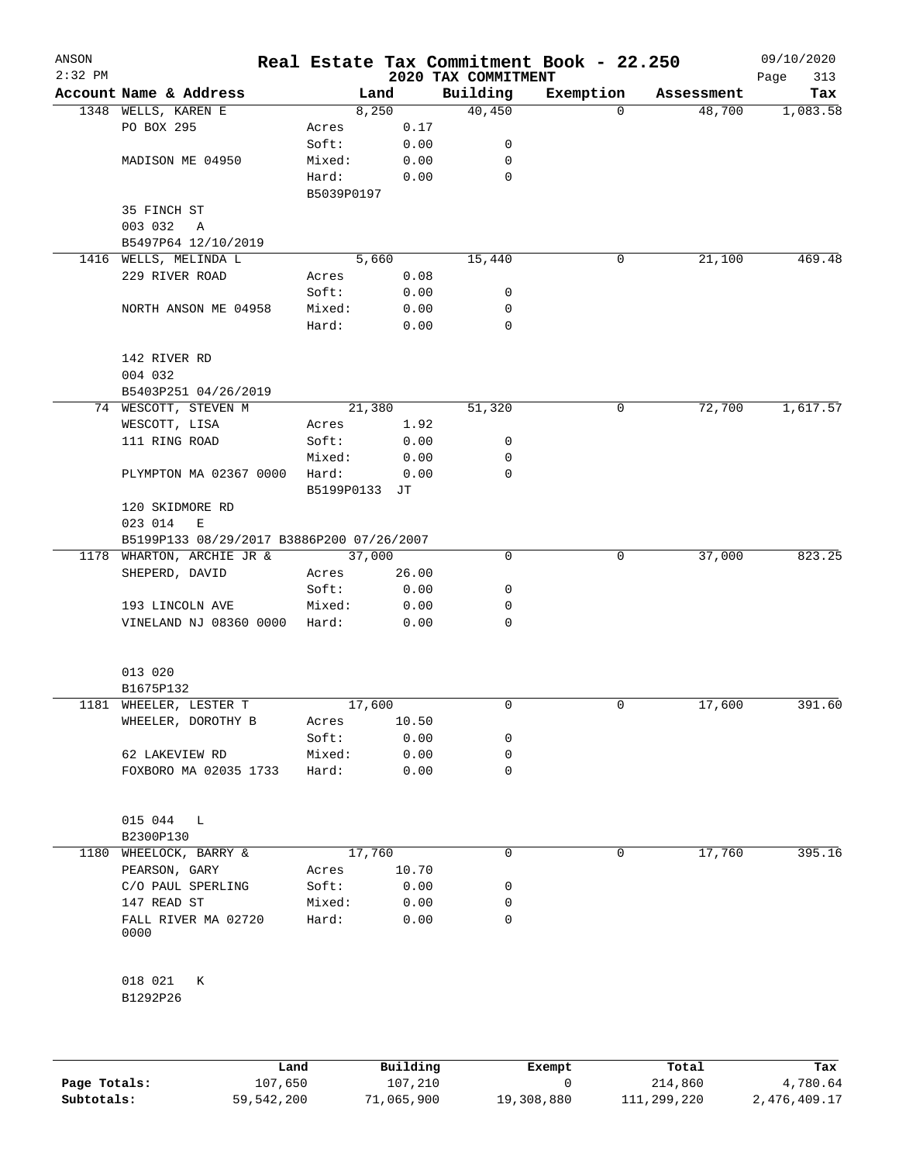| ANSON<br>$2:32$ PM |                                             |                 |               | 2020 TAX COMMITMENT | Real Estate Tax Commitment Book - 22.250 |            | 09/10/2020<br>313<br>Page |
|--------------------|---------------------------------------------|-----------------|---------------|---------------------|------------------------------------------|------------|---------------------------|
|                    | Account Name & Address                      |                 | Land          | Building            | Exemption                                | Assessment | Tax                       |
|                    | 1348 WELLS, KAREN E                         |                 | 8,250         | 40,450              | 0                                        | 48,700     | 1,083.58                  |
|                    | PO BOX 295                                  | Acres           | 0.17          |                     |                                          |            |                           |
|                    |                                             | Soft:           | 0.00          | 0                   |                                          |            |                           |
|                    | MADISON ME 04950                            | Mixed:          | 0.00          | 0                   |                                          |            |                           |
|                    |                                             | Hard:           | 0.00          | 0                   |                                          |            |                           |
|                    |                                             | B5039P0197      |               |                     |                                          |            |                           |
|                    | 35 FINCH ST                                 |                 |               |                     |                                          |            |                           |
|                    | 003 032<br>Α                                |                 |               |                     |                                          |            |                           |
|                    | B5497P64 12/10/2019                         |                 |               |                     |                                          |            |                           |
|                    | 1416 WELLS, MELINDA L                       |                 | 5,660         | 15,440              | 0                                        | 21,100     | 469.48                    |
|                    | 229 RIVER ROAD                              | Acres           | 0.08          |                     |                                          |            |                           |
|                    |                                             | Soft:           | 0.00          | 0                   |                                          |            |                           |
|                    | NORTH ANSON ME 04958                        | Mixed:          | 0.00          | 0                   |                                          |            |                           |
|                    |                                             | Hard:           | 0.00          | 0                   |                                          |            |                           |
|                    |                                             |                 |               |                     |                                          |            |                           |
|                    | 142 RIVER RD                                |                 |               |                     |                                          |            |                           |
|                    | 004 032                                     |                 |               |                     |                                          |            |                           |
|                    | B5403P251 04/26/2019                        |                 |               |                     |                                          |            |                           |
|                    | 74 WESCOTT, STEVEN M                        |                 | 21,380        | 51,320              | 0                                        | 72,700     | 1,617.57                  |
|                    | WESCOTT, LISA                               | Acres           | 1.92          |                     |                                          |            |                           |
|                    | 111 RING ROAD                               | Soft:           | 0.00          | 0                   |                                          |            |                           |
|                    |                                             | Mixed:          | 0.00          | 0                   |                                          |            |                           |
|                    | PLYMPTON MA 02367 0000                      | Hard:           | 0.00          | 0                   |                                          |            |                           |
|                    |                                             | B5199P0133      | JT            |                     |                                          |            |                           |
|                    | 120 SKIDMORE RD                             |                 |               |                     |                                          |            |                           |
|                    | 023 014<br>E                                |                 |               |                     |                                          |            |                           |
|                    | B5199P133 08/29/2017 B3886P200 07/26/2007   | 37,000          |               | 0                   | 0                                        | 37,000     | 823.25                    |
|                    | 1178 WHARTON, ARCHIE JR &<br>SHEPERD, DAVID |                 |               |                     |                                          |            |                           |
|                    |                                             | Acres<br>Soft:  | 26.00<br>0.00 | 0                   |                                          |            |                           |
|                    |                                             |                 |               | 0                   |                                          |            |                           |
|                    | 193 LINCOLN AVE<br>VINELAND NJ 08360 0000   | Mixed:<br>Hard: | 0.00<br>0.00  | 0                   |                                          |            |                           |
|                    |                                             |                 |               |                     |                                          |            |                           |
|                    | 013 020                                     |                 |               |                     |                                          |            |                           |
|                    | B1675P132                                   |                 |               |                     |                                          |            |                           |
|                    | 1181 WHEELER, LESTER T                      | 17,600          |               | 0                   | 0                                        | 17,600     | 391.60                    |
|                    | WHEELER, DOROTHY B                          | Acres           | 10.50         |                     |                                          |            |                           |
|                    |                                             | Soft:           | 0.00          | 0                   |                                          |            |                           |
|                    | 62 LAKEVIEW RD                              | Mixed:          | 0.00          | 0                   |                                          |            |                           |
|                    | FOXBORO MA 02035 1733                       | Hard:           | 0.00          | 0                   |                                          |            |                           |
|                    |                                             |                 |               |                     |                                          |            |                           |
|                    | 015 044<br>L                                |                 |               |                     |                                          |            |                           |
|                    | B2300P130                                   |                 |               |                     |                                          |            |                           |
| 1180               | WHEELOCK, BARRY &                           | 17,760          |               | 0                   | 0                                        | 17,760     | 395.16                    |
|                    | PEARSON, GARY                               | Acres           | 10.70         |                     |                                          |            |                           |
|                    | C/O PAUL SPERLING                           | Soft:           | 0.00          | 0                   |                                          |            |                           |
|                    | 147 READ ST                                 | Mixed:          | 0.00          | 0                   |                                          |            |                           |
|                    | FALL RIVER MA 02720<br>0000                 | Hard:           | 0.00          | 0                   |                                          |            |                           |
|                    |                                             |                 |               |                     |                                          |            |                           |
|                    | 018 021<br>К<br>B1292P26                    |                 |               |                     |                                          |            |                           |
|                    |                                             |                 |               |                     |                                          |            |                           |
|                    |                                             |                 |               |                     |                                          |            |                           |

|              | ⊥and       | Building   | Exempt     | Total       | Tax          |
|--------------|------------|------------|------------|-------------|--------------|
| Page Totals: | 107,650    | 107,210    |            | 214,860     | 4,780.64     |
| Subtotals:   | 59,542,200 | 71,065,900 | 19,308,880 | 111,299,220 | 2,476,409.17 |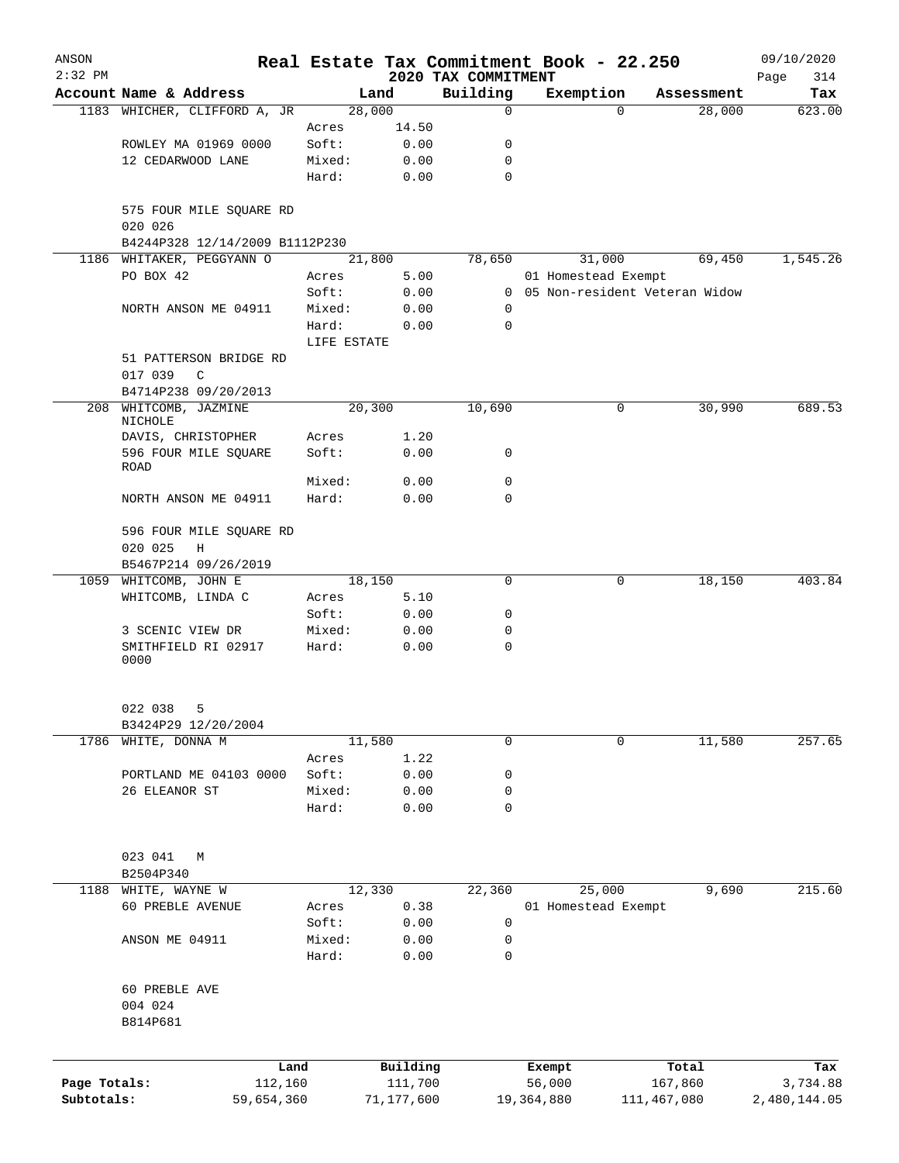| ANSON        |                                         |                 |               |                     | Real Estate Tax Commitment Book - 22.250 |                                 | 09/10/2020   |
|--------------|-----------------------------------------|-----------------|---------------|---------------------|------------------------------------------|---------------------------------|--------------|
| $2:32$ PM    |                                         |                 |               | 2020 TAX COMMITMENT |                                          |                                 | Page<br>314  |
|              | Account Name & Address                  |                 | Land          | Building            | Exemption                                | Assessment                      | Tax          |
|              | 1183 WHICHER, CLIFFORD A, JR            | 28,000          |               | $\mathbf 0$         |                                          | 28,000<br>$\Omega$              | 623.00       |
|              | ROWLEY MA 01969 0000                    | Acres<br>Soft:  | 14.50<br>0.00 | 0                   |                                          |                                 |              |
|              | 12 CEDARWOOD LANE                       | Mixed:          | 0.00          | 0                   |                                          |                                 |              |
|              |                                         | Hard:           | 0.00          | $\mathbf 0$         |                                          |                                 |              |
|              |                                         |                 |               |                     |                                          |                                 |              |
|              | 575 FOUR MILE SQUARE RD<br>020 026      |                 |               |                     |                                          |                                 |              |
|              | B4244P328 12/14/2009 B1112P230          |                 |               |                     |                                          |                                 |              |
|              | 1186 WHITAKER, PEGGYANN O               | 21,800          |               | 78,650              | 31,000                                   | 69,450                          | 1,545.26     |
|              | PO BOX 42                               | Acres           | 5.00          |                     | 01 Homestead Exempt                      |                                 |              |
|              |                                         | Soft:           | 0.00          |                     |                                          | 0 05 Non-resident Veteran Widow |              |
|              | NORTH ANSON ME 04911                    | Mixed:          | 0.00          | 0                   |                                          |                                 |              |
|              |                                         | Hard:           | 0.00          | 0                   |                                          |                                 |              |
|              |                                         | LIFE ESTATE     |               |                     |                                          |                                 |              |
|              | 51 PATTERSON BRIDGE RD                  |                 |               |                     |                                          |                                 |              |
|              | 017 039<br>C                            |                 |               |                     |                                          |                                 |              |
|              | B4714P238 09/20/2013                    |                 |               |                     |                                          |                                 |              |
| 208          | WHITCOMB, JAZMINE<br>NICHOLE            | 20,300          |               | 10,690              |                                          | 30,990<br>0                     | 689.53       |
|              | DAVIS, CHRISTOPHER                      | Acres           | 1.20          |                     |                                          |                                 |              |
|              | 596 FOUR MILE SQUARE                    | Soft:           | 0.00          | 0                   |                                          |                                 |              |
|              | ROAD                                    |                 |               |                     |                                          |                                 |              |
|              |                                         | Mixed:          | 0.00          | 0                   |                                          |                                 |              |
|              | NORTH ANSON ME 04911                    | Hard:           | 0.00          | $\mathbf 0$         |                                          |                                 |              |
|              |                                         |                 |               |                     |                                          |                                 |              |
|              | 596 FOUR MILE SQUARE RD                 |                 |               |                     |                                          |                                 |              |
|              | 020 025<br>Η                            |                 |               |                     |                                          |                                 |              |
|              | B5467P214 09/26/2019                    |                 |               |                     |                                          |                                 |              |
|              | 1059 WHITCOMB, JOHN E                   | 18,150          |               | 0                   |                                          | 18,150<br>0                     | 403.84       |
|              | WHITCOMB, LINDA C                       | Acres           | 5.10          |                     |                                          |                                 |              |
|              |                                         | Soft:           | 0.00          | 0                   |                                          |                                 |              |
|              | 3 SCENIC VIEW DR<br>SMITHFIELD RI 02917 | Mixed:<br>Hard: | 0.00<br>0.00  | 0<br>0              |                                          |                                 |              |
|              | 0000                                    |                 |               |                     |                                          |                                 |              |
|              |                                         |                 |               |                     |                                          |                                 |              |
|              | 022 038<br>5                            |                 |               |                     |                                          |                                 |              |
|              | B3424P29 12/20/2004                     |                 |               |                     |                                          |                                 |              |
| 1786         | WHITE, DONNA M                          | 11,580          |               | 0                   |                                          | 11,580<br>0                     | 257.65       |
|              |                                         | Acres           | 1.22          |                     |                                          |                                 |              |
|              | PORTLAND ME 04103 0000                  | Soft:           | 0.00          | 0                   |                                          |                                 |              |
|              | 26 ELEANOR ST                           | Mixed:          | 0.00          | 0                   |                                          |                                 |              |
|              |                                         | Hard:           | 0.00          | 0                   |                                          |                                 |              |
|              |                                         |                 |               |                     |                                          |                                 |              |
|              | 023 041<br>М                            |                 |               |                     |                                          |                                 |              |
|              | B2504P340                               |                 |               |                     |                                          |                                 |              |
| 1188         | WHITE, WAYNE W                          | 12,330          |               | 22,360              | 25,000                                   | 9,690                           | 215.60       |
|              | 60 PREBLE AVENUE                        | Acres           | 0.38          |                     | 01 Homestead Exempt                      |                                 |              |
|              |                                         | Soft:           | 0.00          | 0                   |                                          |                                 |              |
|              | ANSON ME 04911                          | Mixed:          | 0.00          | 0                   |                                          |                                 |              |
|              |                                         | Hard:           | 0.00          | 0                   |                                          |                                 |              |
|              | 60 PREBLE AVE                           |                 |               |                     |                                          |                                 |              |
|              | 004 024                                 |                 |               |                     |                                          |                                 |              |
|              | B814P681                                |                 |               |                     |                                          |                                 |              |
|              |                                         |                 |               |                     |                                          |                                 |              |
|              | Land                                    |                 | Building      |                     | Exempt                                   | Total                           | Tax          |
| Page Totals: | 112,160                                 |                 | 111,700       |                     | 56,000                                   | 167,860                         | 3,734.88     |
| Subtotals:   | 59,654,360                              |                 | 71,177,600    |                     | 19,364,880                               | 111,467,080                     | 2,480,144.05 |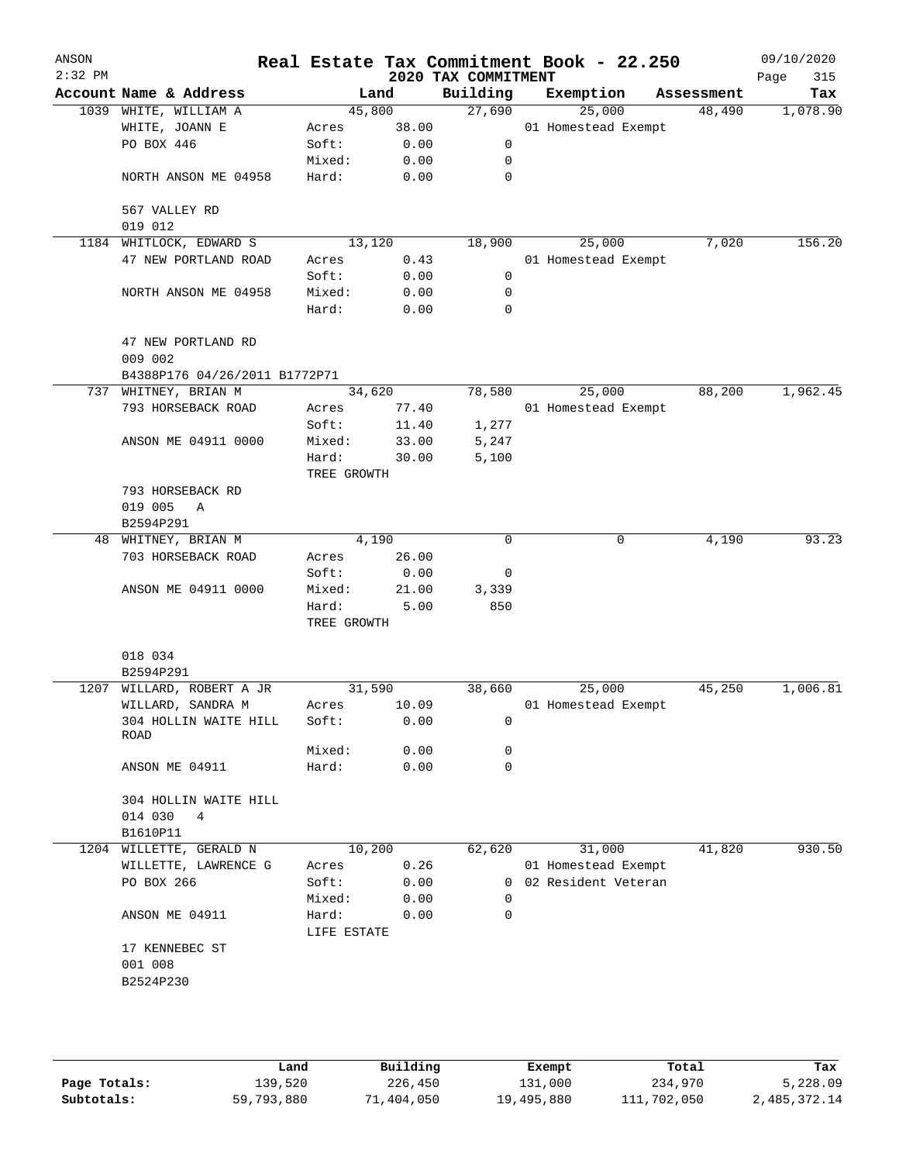| ANSON<br>$2:32$ PM |                                                   |                      |        | 2020 TAX COMMITMENT | Real Estate Tax Commitment Book - 22.250 |            | 09/10/2020<br>Page<br>315 |
|--------------------|---------------------------------------------------|----------------------|--------|---------------------|------------------------------------------|------------|---------------------------|
|                    | Account Name & Address                            |                      | Land   | Building            | Exemption                                | Assessment | Tax                       |
|                    | 1039 WHITE, WILLIAM A                             |                      | 45,800 | 27,690              | 25,000                                   | 48,490     | 1,078.90                  |
|                    | WHITE, JOANN E                                    | Acres                | 38.00  |                     | 01 Homestead Exempt                      |            |                           |
|                    | PO BOX 446                                        | Soft:                | 0.00   | 0                   |                                          |            |                           |
|                    |                                                   | Mixed:               | 0.00   | 0                   |                                          |            |                           |
|                    | NORTH ANSON ME 04958                              | Hard:                | 0.00   | 0                   |                                          |            |                           |
|                    | 567 VALLEY RD<br>019 012                          |                      |        |                     |                                          |            |                           |
|                    | 1184 WHITLOCK, EDWARD S                           |                      | 13,120 | 18,900              | 25,000                                   | 7,020      | 156.20                    |
|                    | 47 NEW PORTLAND ROAD                              | Acres                | 0.43   |                     | 01 Homestead Exempt                      |            |                           |
|                    |                                                   | Soft:                | 0.00   | 0                   |                                          |            |                           |
|                    | NORTH ANSON ME 04958                              | Mixed:               | 0.00   | 0                   |                                          |            |                           |
|                    |                                                   | Hard:                | 0.00   | 0                   |                                          |            |                           |
|                    | 47 NEW PORTLAND RD<br>009 002                     |                      |        |                     |                                          |            |                           |
|                    | B4388P176 04/26/2011 B1772P71                     |                      |        |                     |                                          |            |                           |
|                    | 737 WHITNEY, BRIAN M                              |                      | 34,620 | 78,580              | 25,000                                   | 88,200     | 1,962.45                  |
|                    | 793 HORSEBACK ROAD                                | Acres                | 77.40  |                     | 01 Homestead Exempt                      |            |                           |
|                    |                                                   | Soft:                | 11.40  | 1,277               |                                          |            |                           |
|                    | ANSON ME 04911 0000                               | Mixed:               | 33.00  | 5,247               |                                          |            |                           |
|                    |                                                   | Hard:<br>TREE GROWTH | 30.00  | 5,100               |                                          |            |                           |
|                    | 793 HORSEBACK RD                                  |                      |        |                     |                                          |            |                           |
|                    | 019 005<br>A                                      |                      |        |                     |                                          |            |                           |
|                    | B2594P291                                         |                      |        |                     |                                          |            |                           |
|                    | 48 WHITNEY, BRIAN M                               |                      | 4,190  | 0                   | 0                                        | 4,190      | 93.23                     |
|                    | 703 HORSEBACK ROAD                                | Acres                | 26.00  |                     |                                          |            |                           |
|                    |                                                   |                      |        | 0                   |                                          |            |                           |
|                    |                                                   | Soft:                | 0.00   |                     |                                          |            |                           |
|                    | ANSON ME 04911 0000                               | Mixed:               | 21.00  | 3,339               |                                          |            |                           |
|                    |                                                   | Hard:<br>TREE GROWTH | 5.00   | 850                 |                                          |            |                           |
|                    |                                                   |                      |        |                     |                                          |            |                           |
|                    | 018 034                                           |                      |        |                     |                                          |            |                           |
|                    | B2594P291                                         |                      |        |                     |                                          |            |                           |
|                    | 1207 WILLARD, ROBERT A JR                         |                      | 31,590 | 38,660              | 25,000                                   | 45,250     | 1,006.81                  |
|                    | WILLARD, SANDRA M                                 | Acres                | 10.09  |                     | 01 Homestead Exempt                      |            |                           |
|                    | 304 HOLLIN WAITE HILL<br>ROAD                     | Soft:                | 0.00   | 0                   |                                          |            |                           |
|                    |                                                   | Mixed:               | 0.00   | 0                   |                                          |            |                           |
|                    | ANSON ME 04911                                    | Hard:                | 0.00   | $\mathbf 0$         |                                          |            |                           |
|                    | 304 HOLLIN WAITE HILL<br>014 030<br>4<br>B1610P11 |                      |        |                     |                                          |            |                           |
| 1204               | WILLETTE, GERALD N                                |                      | 10,200 | 62,620              | 31,000                                   | 41,820     | 930.50                    |
|                    | WILLETTE, LAWRENCE G                              | Acres                | 0.26   |                     | 01 Homestead Exempt                      |            |                           |
|                    | PO BOX 266                                        | Soft:                | 0.00   |                     | 0 02 Resident Veteran                    |            |                           |
|                    |                                                   | Mixed:               | 0.00   | 0                   |                                          |            |                           |
|                    | ANSON ME 04911                                    | Hard:                | 0.00   | $\Omega$            |                                          |            |                           |
|                    |                                                   | LIFE ESTATE          |        |                     |                                          |            |                           |
|                    | 17 KENNEBEC ST                                    |                      |        |                     |                                          |            |                           |
|                    | 001 008                                           |                      |        |                     |                                          |            |                           |
|                    | B2524P230                                         |                      |        |                     |                                          |            |                           |
|                    |                                                   |                      |        |                     |                                          |            |                           |
|                    |                                                   |                      |        |                     |                                          |            |                           |
|                    |                                                   |                      |        |                     |                                          |            |                           |

|              | Land       | Building   | Exempt     | Total       | Tax          |
|--------------|------------|------------|------------|-------------|--------------|
| Page Totals: | 139,520    | 226,450    | 131,000    | 234,970     | 5,228.09     |
| Subtotals:   | 59,793,880 | 71,404,050 | 19,495,880 | 111,702,050 | 2,485,372.14 |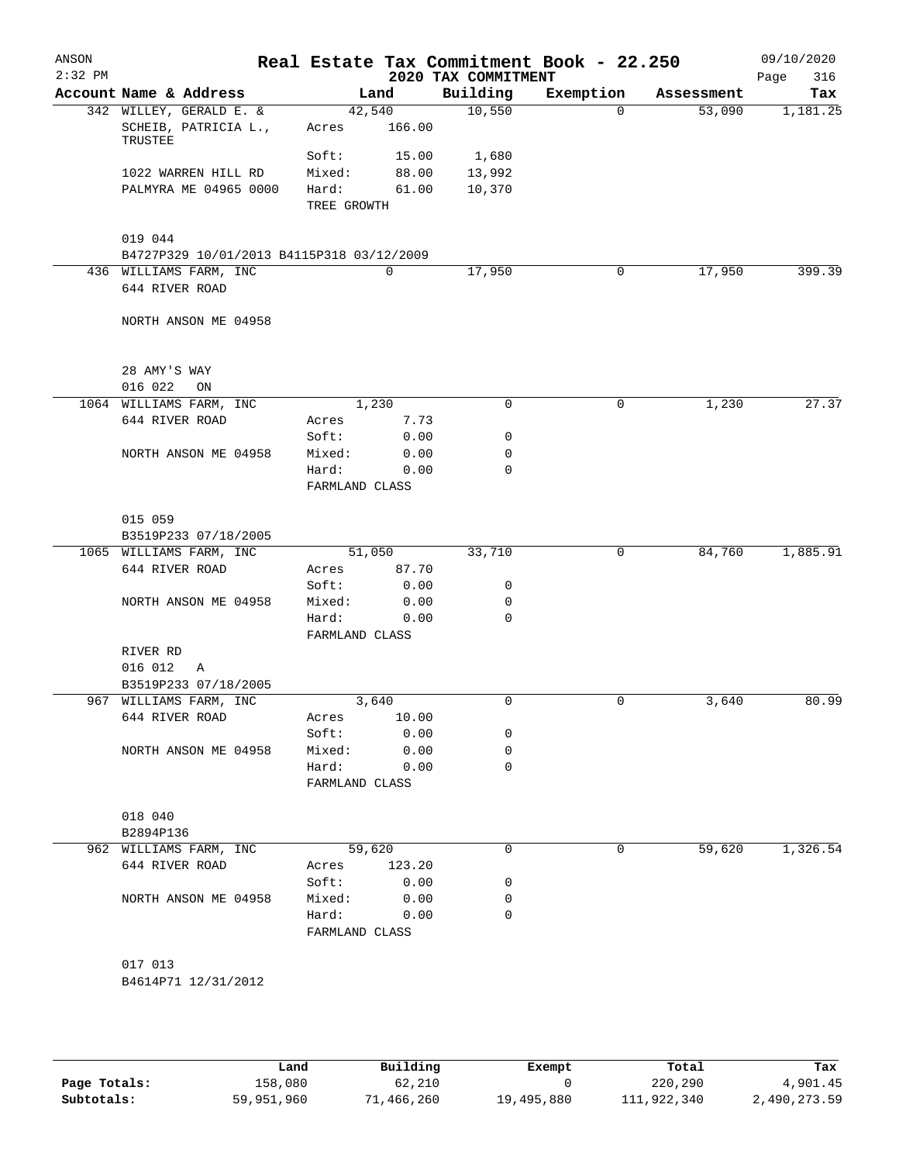| ANSON<br>$2:32$ PM |                                                            |                         |        | 2020 TAX COMMITMENT | Real Estate Tax Commitment Book - 22.250 |            | 09/10/2020<br>316<br>Page |
|--------------------|------------------------------------------------------------|-------------------------|--------|---------------------|------------------------------------------|------------|---------------------------|
|                    | Account Name & Address                                     |                         | Land   | Building            | Exemption                                | Assessment | Tax                       |
|                    | 342 WILLEY, GERALD E. &<br>SCHEIB, PATRICIA L.,<br>TRUSTEE | 42,540<br>Acres         | 166.00 | 10,550              | 0                                        | 53,090     | 1,181.25                  |
|                    |                                                            | Soft:                   | 15.00  | 1,680               |                                          |            |                           |
|                    | 1022 WARREN HILL RD                                        | Mixed:                  | 88.00  | 13,992              |                                          |            |                           |
|                    | PALMYRA ME 04965 0000                                      | Hard:<br>TREE GROWTH    | 61.00  | 10,370              |                                          |            |                           |
|                    | 019 044                                                    |                         |        |                     |                                          |            |                           |
|                    | B4727P329 10/01/2013 B4115P318 03/12/2009                  |                         |        |                     |                                          |            |                           |
|                    | 436 WILLIAMS FARM, INC<br>644 RIVER ROAD                   |                         | 0      | 17,950              | 0                                        | 17,950     | 399.39                    |
|                    | NORTH ANSON ME 04958                                       |                         |        |                     |                                          |            |                           |
|                    | 28 AMY'S WAY                                               |                         |        |                     |                                          |            |                           |
|                    | 016 022<br>ON<br>1064 WILLIAMS FARM, INC                   |                         | 1,230  | $\mathbf 0$         | 0                                        | 1,230      | 27.37                     |
|                    | 644 RIVER ROAD                                             | Acres                   | 7.73   |                     |                                          |            |                           |
|                    |                                                            | Soft:                   | 0.00   | 0                   |                                          |            |                           |
|                    | NORTH ANSON ME 04958                                       | Mixed:                  | 0.00   | 0                   |                                          |            |                           |
|                    |                                                            | Hard:                   | 0.00   | 0                   |                                          |            |                           |
|                    |                                                            | FARMLAND CLASS          |        |                     |                                          |            |                           |
|                    | 015 059                                                    |                         |        |                     |                                          |            |                           |
|                    | B3519P233 07/18/2005                                       |                         |        |                     |                                          |            |                           |
|                    | 1065 WILLIAMS FARM, INC                                    | 51,050                  |        | 33,710              | 0                                        | 84,760     | 1,885.91                  |
|                    | 644 RIVER ROAD                                             | Acres                   | 87.70  |                     |                                          |            |                           |
|                    |                                                            | Soft:                   | 0.00   | 0                   |                                          |            |                           |
|                    | NORTH ANSON ME 04958                                       | Mixed:                  | 0.00   | 0                   |                                          |            |                           |
|                    |                                                            | Hard:<br>FARMLAND CLASS | 0.00   | 0                   |                                          |            |                           |
|                    | RIVER RD                                                   |                         |        |                     |                                          |            |                           |
|                    | 016 012<br>Α                                               |                         |        |                     |                                          |            |                           |
|                    | B3519P233 07/18/2005<br>967 WILLIAMS FARM, INC             |                         | 3,640  | 0                   | 0                                        | 3,640      | 80.99                     |
|                    | 644 RIVER ROAD                                             | Acres                   | 10.00  |                     |                                          |            |                           |
|                    |                                                            | Soft:                   | 0.00   | 0                   |                                          |            |                           |
|                    | NORTH ANSON ME 04958                                       | Mixed:                  | 0.00   | 0                   |                                          |            |                           |
|                    |                                                            | Hard:                   | 0.00   | 0                   |                                          |            |                           |
|                    |                                                            | FARMLAND CLASS          |        |                     |                                          |            |                           |
|                    | 018 040                                                    |                         |        |                     |                                          |            |                           |
|                    | B2894P136                                                  |                         |        | 0                   | 0                                        | 59,620     | 1,326.54                  |
|                    | 962 WILLIAMS FARM, INC<br>644 RIVER ROAD                   | 59,620<br>Acres         | 123.20 |                     |                                          |            |                           |
|                    |                                                            | Soft:                   | 0.00   | 0                   |                                          |            |                           |
|                    | NORTH ANSON ME 04958                                       | Mixed:                  | 0.00   | 0                   |                                          |            |                           |
|                    |                                                            | Hard:                   | 0.00   | 0                   |                                          |            |                           |
|                    |                                                            | FARMLAND CLASS          |        |                     |                                          |            |                           |
|                    | 017 013                                                    |                         |        |                     |                                          |            |                           |
|                    | B4614P71 12/31/2012                                        |                         |        |                     |                                          |            |                           |
|                    |                                                            |                         |        |                     |                                          |            |                           |
|                    |                                                            |                         |        |                     |                                          |            |                           |

|              | Land       | Building   | Exempt     | Total       | Tax          |
|--------------|------------|------------|------------|-------------|--------------|
| Page Totals: | 158,080    | 62,210     |            | 220,290     | 4,901.45     |
| Subtotals:   | 59,951,960 | 71,466,260 | 19,495,880 | 111,922,340 | 2,490,273.59 |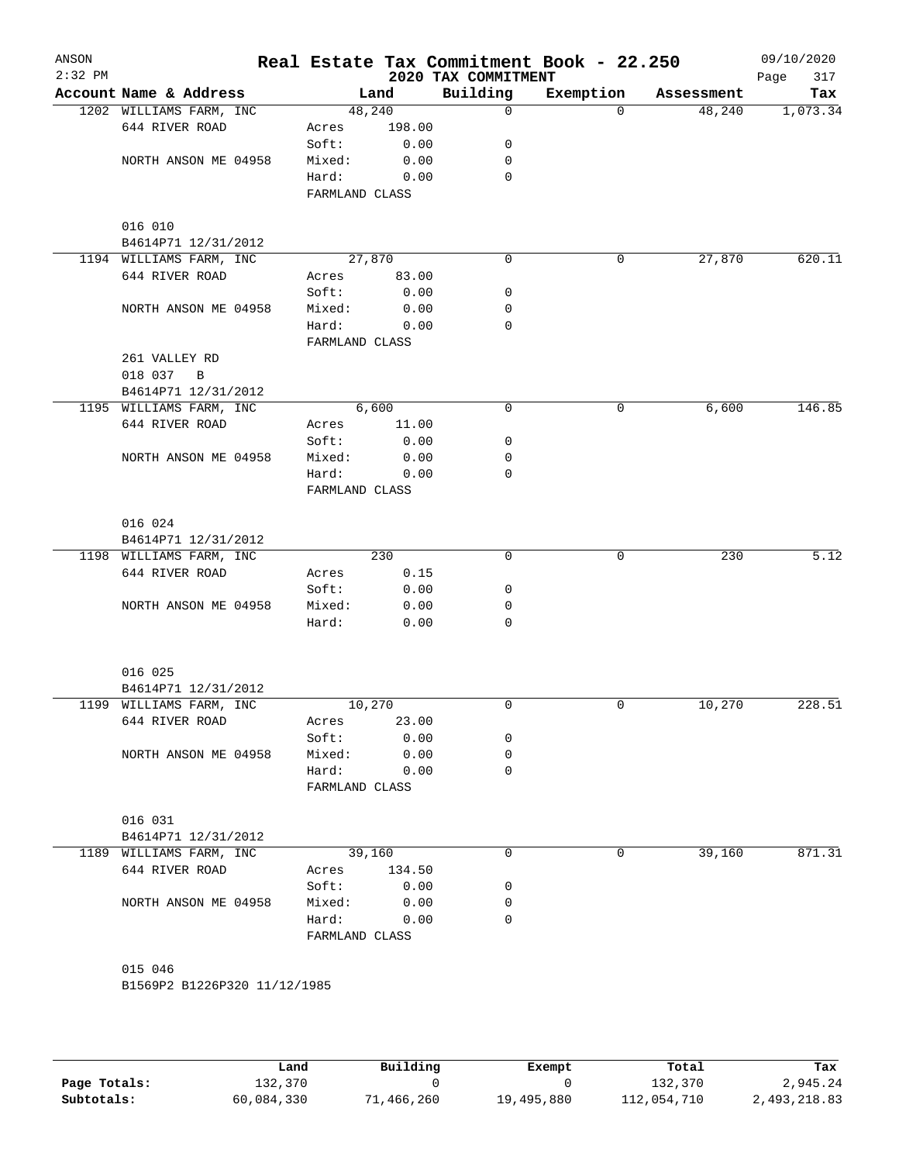| ANSON<br>$2:32$ PM |                              |                         |              | 2020 TAX COMMITMENT | Real Estate Tax Commitment Book - 22.250 |            | 09/10/2020<br>Page<br>317 |
|--------------------|------------------------------|-------------------------|--------------|---------------------|------------------------------------------|------------|---------------------------|
|                    | Account Name & Address       |                         | Land         | Building            | Exemption                                | Assessment | Tax                       |
|                    | 1202 WILLIAMS FARM, INC      | 48,240                  |              | 0                   | $\Omega$                                 | 48,240     | 1,073.34                  |
|                    | 644 RIVER ROAD               | Acres                   | 198.00       |                     |                                          |            |                           |
|                    |                              | Soft:                   | 0.00         | 0                   |                                          |            |                           |
|                    | NORTH ANSON ME 04958         | Mixed:                  | 0.00         | 0                   |                                          |            |                           |
|                    |                              | Hard:                   | 0.00         | 0                   |                                          |            |                           |
|                    |                              | FARMLAND CLASS          |              |                     |                                          |            |                           |
|                    | 016 010                      |                         |              |                     |                                          |            |                           |
|                    | B4614P71 12/31/2012          |                         |              |                     |                                          |            |                           |
|                    | 1194 WILLIAMS FARM, INC      | 27,870                  |              | $\Omega$            | 0                                        | 27,870     | 620.11                    |
|                    | 644 RIVER ROAD               | Acres                   | 83.00        |                     |                                          |            |                           |
|                    |                              | Soft:                   | 0.00         | 0                   |                                          |            |                           |
|                    | NORTH ANSON ME 04958         | Mixed:                  | 0.00         | 0                   |                                          |            |                           |
|                    |                              | Hard:                   | 0.00         | 0                   |                                          |            |                           |
|                    |                              | FARMLAND CLASS          |              |                     |                                          |            |                           |
|                    | 261 VALLEY RD                |                         |              |                     |                                          |            |                           |
|                    | 018 037<br>$\overline{B}$    |                         |              |                     |                                          |            |                           |
|                    | B4614P71 12/31/2012          |                         |              |                     |                                          |            |                           |
|                    | 1195 WILLIAMS FARM, INC      |                         | 6,600        | 0                   | 0                                        | 6,600      | 146.85                    |
|                    | 644 RIVER ROAD               | Acres                   | 11.00        |                     |                                          |            |                           |
|                    |                              | Soft:                   | 0.00         | 0                   |                                          |            |                           |
|                    | NORTH ANSON ME 04958         | Mixed:                  | 0.00         | 0                   |                                          |            |                           |
|                    |                              | Hard:                   | 0.00         | 0                   |                                          |            |                           |
|                    |                              | FARMLAND CLASS          |              |                     |                                          |            |                           |
|                    | 016 024                      |                         |              |                     |                                          |            |                           |
|                    | B4614P71 12/31/2012          |                         |              |                     |                                          |            |                           |
|                    | 1198 WILLIAMS FARM, INC      |                         | 230          | $\mathbf 0$         | 0                                        | 230        | 5.12                      |
|                    | 644 RIVER ROAD               | Acres                   | 0.15         |                     |                                          |            |                           |
|                    |                              | Soft:                   | 0.00         | 0                   |                                          |            |                           |
|                    | NORTH ANSON ME 04958         | Mixed:                  | 0.00         | 0                   |                                          |            |                           |
|                    |                              | Hard:                   | 0.00         | 0                   |                                          |            |                           |
|                    |                              |                         |              |                     |                                          |            |                           |
|                    | 016 025                      |                         |              |                     |                                          |            |                           |
|                    | B4614P71 12/31/2012          |                         |              |                     |                                          |            |                           |
|                    | 1199 WILLIAMS FARM, INC      | 10,270                  | 23.00        | 0                   | 0                                        | 10,270     | 228.51                    |
|                    | 644 RIVER ROAD               | Acres                   |              | 0                   |                                          |            |                           |
|                    | NORTH ANSON ME 04958         | Soft:<br>Mixed:         | 0.00<br>0.00 | 0                   |                                          |            |                           |
|                    |                              | Hard:                   | 0.00         | 0                   |                                          |            |                           |
|                    |                              | FARMLAND CLASS          |              |                     |                                          |            |                           |
|                    | 016 031                      |                         |              |                     |                                          |            |                           |
|                    | B4614P71 12/31/2012          |                         |              |                     |                                          |            |                           |
|                    | 1189 WILLIAMS FARM, INC      | 39,160                  |              | 0                   | 0                                        | 39,160     | 871.31                    |
|                    | 644 RIVER ROAD               | Acres                   | 134.50       |                     |                                          |            |                           |
|                    |                              |                         | 0.00         |                     |                                          |            |                           |
|                    | NORTH ANSON ME 04958         | Soft:<br>Mixed:         | 0.00         | 0<br>0              |                                          |            |                           |
|                    |                              |                         |              | 0                   |                                          |            |                           |
|                    |                              | Hard:<br>FARMLAND CLASS | 0.00         |                     |                                          |            |                           |
|                    | 015 046                      |                         |              |                     |                                          |            |                           |
|                    | B1569P2 B1226P320 11/12/1985 |                         |              |                     |                                          |            |                           |
|                    |                              |                         |              |                     |                                          |            |                           |

|              | Land       | Building   | Exempt     | Total       | Tax          |
|--------------|------------|------------|------------|-------------|--------------|
| Page Totals: | 132,370    |            |            | 132,370     | 2,945.24     |
| Subtotals:   | 60,084,330 | 71,466,260 | 19,495,880 | 112,054,710 | 2,493,218.83 |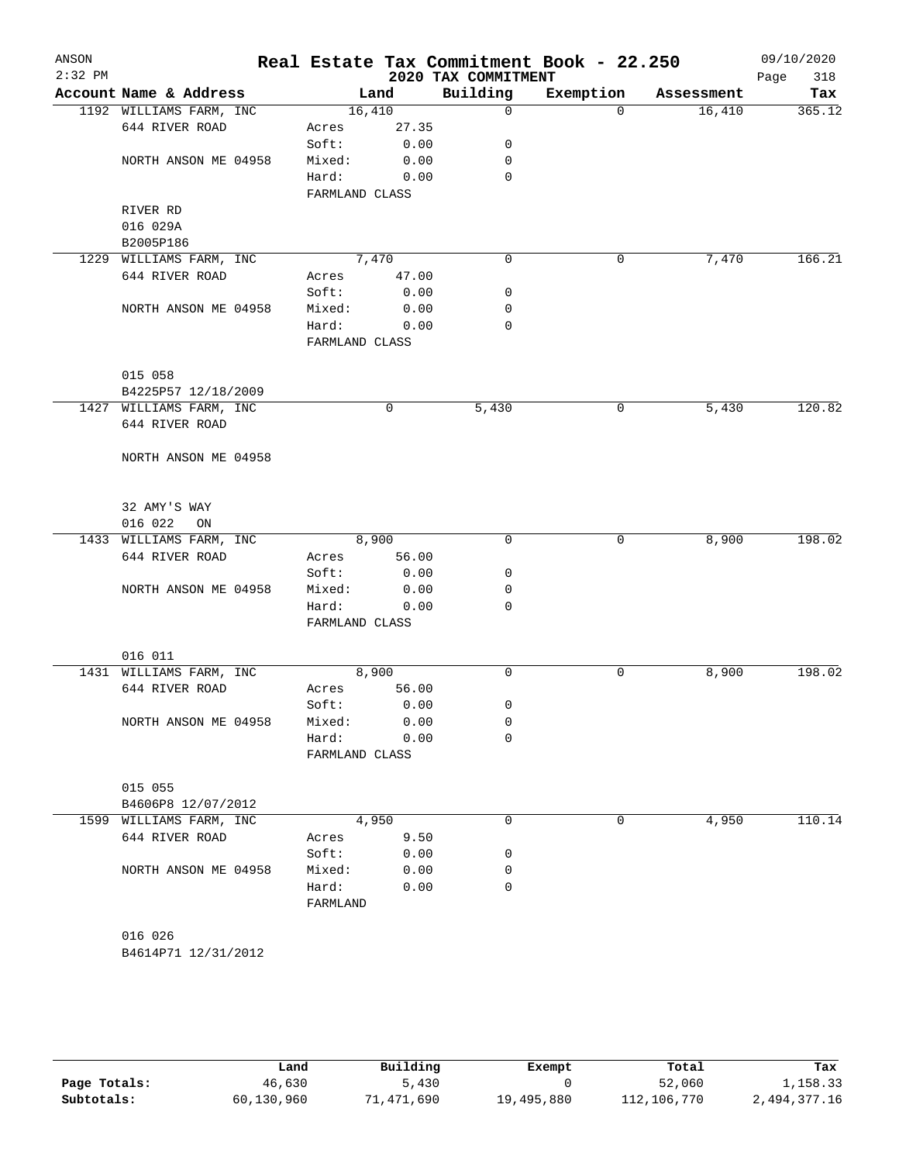| ANSON<br>$2:32$ PM |                                           |                |       | 2020 TAX COMMITMENT | Real Estate Tax Commitment Book - 22.250 |            | 09/10/2020<br>318 |
|--------------------|-------------------------------------------|----------------|-------|---------------------|------------------------------------------|------------|-------------------|
|                    | Account Name & Address                    |                | Land  | Building            | Exemption                                | Assessment | Page<br>Tax       |
|                    | 1192 WILLIAMS FARM, INC                   | 16,410         |       | $\mathsf{O}$        | $\Omega$                                 | 16,410     | 365.12            |
|                    | 644 RIVER ROAD                            | Acres          | 27.35 |                     |                                          |            |                   |
|                    |                                           | Soft:          | 0.00  | 0                   |                                          |            |                   |
|                    | NORTH ANSON ME 04958                      | Mixed:         | 0.00  | 0                   |                                          |            |                   |
|                    |                                           | Hard:          | 0.00  | $\Omega$            |                                          |            |                   |
|                    |                                           | FARMLAND CLASS |       |                     |                                          |            |                   |
|                    | RIVER RD                                  |                |       |                     |                                          |            |                   |
|                    | 016 029A                                  |                |       |                     |                                          |            |                   |
|                    | B2005P186                                 |                |       |                     |                                          |            |                   |
|                    | 1229 WILLIAMS FARM, INC                   | 7,470          |       | $\mathbf 0$         | 0                                        | 7,470      | 166.21            |
|                    | 644 RIVER ROAD                            | Acres          | 47.00 |                     |                                          |            |                   |
|                    |                                           | Soft:          | 0.00  | 0                   |                                          |            |                   |
|                    | NORTH ANSON ME 04958                      | Mixed:         | 0.00  | 0                   |                                          |            |                   |
|                    |                                           | Hard:          | 0.00  | 0                   |                                          |            |                   |
|                    |                                           | FARMLAND CLASS |       |                     |                                          |            |                   |
|                    |                                           |                |       |                     |                                          |            |                   |
|                    | 015 058                                   |                |       |                     |                                          |            |                   |
|                    | B4225P57 12/18/2009                       |                |       |                     |                                          |            |                   |
|                    | 1427 WILLIAMS FARM, INC                   |                | 0     | 5,430               | 0                                        | 5,430      | 120.82            |
|                    | 644 RIVER ROAD                            |                |       |                     |                                          |            |                   |
|                    |                                           |                |       |                     |                                          |            |                   |
|                    | NORTH ANSON ME 04958                      |                |       |                     |                                          |            |                   |
|                    |                                           |                |       |                     |                                          |            |                   |
|                    | 32 AMY'S WAY                              |                |       |                     |                                          |            |                   |
|                    | 016 022<br>ON                             |                |       |                     |                                          |            |                   |
|                    | 1433 WILLIAMS FARM, INC                   |                | 8,900 | $\Omega$            | 0                                        | 8,900      | 198.02            |
|                    | 644 RIVER ROAD                            | Acres          | 56.00 |                     |                                          |            |                   |
|                    |                                           | Soft:          | 0.00  | 0                   |                                          |            |                   |
|                    | NORTH ANSON ME 04958                      | Mixed:         | 0.00  | 0                   |                                          |            |                   |
|                    |                                           | Hard:          | 0.00  | $\Omega$            |                                          |            |                   |
|                    |                                           | FARMLAND CLASS |       |                     |                                          |            |                   |
|                    |                                           |                |       |                     |                                          |            |                   |
|                    | 016 011                                   |                | 8,900 | $\mathbf 0$         | 0                                        |            | 198.02            |
|                    | 1431 WILLIAMS FARM, INC<br>644 RIVER ROAD | Acres          | 56.00 |                     |                                          | 8,900      |                   |
|                    |                                           | Soft:          | 0.00  | 0                   |                                          |            |                   |
|                    | NORTH ANSON ME 04958                      | Mixed:         | 0.00  | 0                   |                                          |            |                   |
|                    |                                           | Hard:          | 0.00  | 0                   |                                          |            |                   |
|                    |                                           | FARMLAND CLASS |       |                     |                                          |            |                   |
|                    |                                           |                |       |                     |                                          |            |                   |
|                    | 015 055                                   |                |       |                     |                                          |            |                   |
|                    | B4606P8 12/07/2012                        |                |       |                     |                                          |            |                   |
|                    | 1599 WILLIAMS FARM, INC                   |                | 4,950 | 0                   | 0                                        | 4,950      | 110.14            |
|                    | 644 RIVER ROAD                            | Acres          | 9.50  |                     |                                          |            |                   |
|                    |                                           | Soft:          | 0.00  | 0                   |                                          |            |                   |
|                    | NORTH ANSON ME 04958                      | Mixed:         | 0.00  | 0                   |                                          |            |                   |
|                    |                                           | Hard:          | 0.00  | 0                   |                                          |            |                   |
|                    |                                           | FARMLAND       |       |                     |                                          |            |                   |
|                    |                                           |                |       |                     |                                          |            |                   |
|                    | 016 026                                   |                |       |                     |                                          |            |                   |
|                    | B4614P71 12/31/2012                       |                |       |                     |                                          |            |                   |
|                    |                                           |                |       |                     |                                          |            |                   |

|              | Land       | Building   | Exempt     | Total       | Tax          |
|--------------|------------|------------|------------|-------------|--------------|
| Page Totals: | 46,630     | 5,430      |            | 52,060      | 1,158.33     |
| Subtotals:   | 60,130,960 | 71,471,690 | 19,495,880 | 112,106,770 | 2,494,377.16 |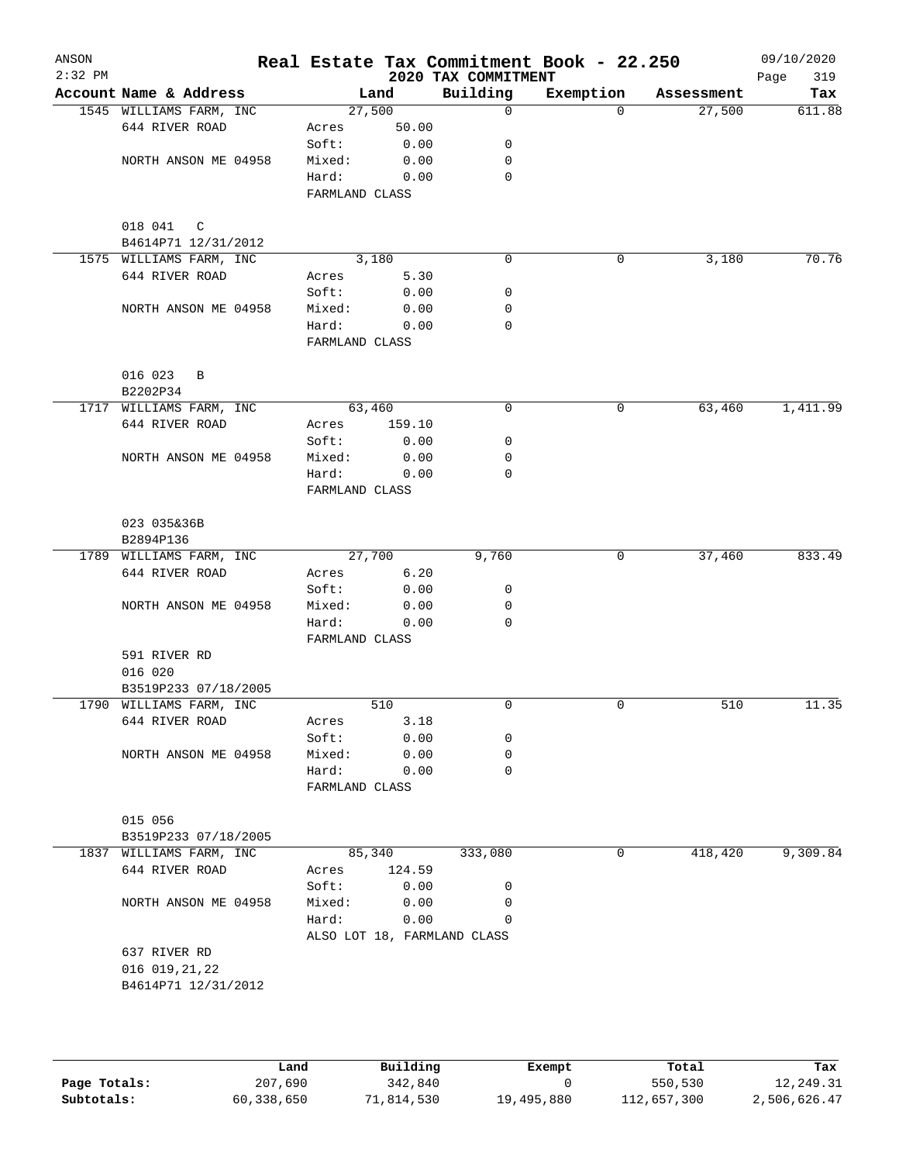| ANSON<br>$2:32$ PM |                                      |                 |              | 2020 TAX COMMITMENT         | Real Estate Tax Commitment Book - 22.250 |            | 09/10/2020<br>Page<br>319 |
|--------------------|--------------------------------------|-----------------|--------------|-----------------------------|------------------------------------------|------------|---------------------------|
|                    | Account Name & Address               |                 | Land         | Building                    | Exemption                                | Assessment | Tax                       |
|                    | 1545 WILLIAMS FARM, INC              | 27,500          |              | $\mathbf 0$                 | $\Omega$                                 | 27,500     | 611.88                    |
|                    | 644 RIVER ROAD                       | Acres           | 50.00        |                             |                                          |            |                           |
|                    |                                      | Soft:           | 0.00         | 0                           |                                          |            |                           |
|                    | NORTH ANSON ME 04958                 | Mixed:          | 0.00         | 0                           |                                          |            |                           |
|                    |                                      | Hard:           | 0.00         | $\mathbf 0$                 |                                          |            |                           |
|                    |                                      | FARMLAND CLASS  |              |                             |                                          |            |                           |
|                    |                                      |                 |              |                             |                                          |            |                           |
|                    | 018 041<br>C<br>B4614P71 12/31/2012  |                 |              |                             |                                          |            |                           |
|                    | 1575 WILLIAMS FARM, INC              |                 | 3,180        | $\mathbf 0$                 | 0                                        | 3,180      | 70.76                     |
|                    | 644 RIVER ROAD                       | Acres           | 5.30         |                             |                                          |            |                           |
|                    |                                      | Soft:           | 0.00         | 0                           |                                          |            |                           |
|                    | NORTH ANSON ME 04958                 | Mixed:          | 0.00         | 0                           |                                          |            |                           |
|                    |                                      | Hard:           | 0.00         | 0                           |                                          |            |                           |
|                    |                                      | FARMLAND CLASS  |              |                             |                                          |            |                           |
|                    |                                      |                 |              |                             |                                          |            |                           |
|                    | 016 023<br>B                         |                 |              |                             |                                          |            |                           |
|                    | B2202P34                             |                 |              |                             |                                          |            |                           |
|                    | 1717 WILLIAMS FARM, INC              | 63,460          |              | 0                           | 0                                        | 63,460     | 1,411.99                  |
|                    | 644 RIVER ROAD                       | Acres           | 159.10       |                             |                                          |            |                           |
|                    |                                      | Soft:           | 0.00         | 0                           |                                          |            |                           |
|                    | NORTH ANSON ME 04958                 | Mixed:          | 0.00         | 0                           |                                          |            |                           |
|                    |                                      | Hard:           | 0.00         | $\Omega$                    |                                          |            |                           |
|                    |                                      | FARMLAND CLASS  |              |                             |                                          |            |                           |
|                    |                                      |                 |              |                             |                                          |            |                           |
|                    | 023 035&36B                          |                 |              |                             |                                          |            |                           |
|                    | B2894P136<br>1789 WILLIAMS FARM, INC | 27,700          |              | 9,760                       | 0                                        | 37,460     | 833.49                    |
|                    | 644 RIVER ROAD                       | Acres           | 6.20         |                             |                                          |            |                           |
|                    |                                      | Soft:           | 0.00         | 0                           |                                          |            |                           |
|                    | NORTH ANSON ME 04958                 | Mixed:          | 0.00         | 0                           |                                          |            |                           |
|                    |                                      | Hard:           | 0.00         | 0                           |                                          |            |                           |
|                    |                                      | FARMLAND CLASS  |              |                             |                                          |            |                           |
|                    | 591 RIVER RD                         |                 |              |                             |                                          |            |                           |
|                    | 016 020                              |                 |              |                             |                                          |            |                           |
|                    | B3519P233 07/18/2005                 |                 |              |                             |                                          |            |                           |
|                    | 1790 WILLIAMS FARM, INC              |                 | 510          | 0                           | $\mathbf 0$                              | 510        | 11.35                     |
|                    | 644 RIVER ROAD                       | Acres           | 3.18         |                             |                                          |            |                           |
|                    |                                      | Soft:           | 0.00         | 0                           |                                          |            |                           |
|                    | NORTH ANSON ME 04958                 | Mixed:          | 0.00         | 0                           |                                          |            |                           |
|                    |                                      | Hard:           | 0.00         | 0                           |                                          |            |                           |
|                    |                                      | FARMLAND CLASS  |              |                             |                                          |            |                           |
|                    |                                      |                 |              |                             |                                          |            |                           |
|                    | 015 056                              |                 |              |                             |                                          |            |                           |
|                    | B3519P233 07/18/2005                 |                 |              |                             |                                          |            |                           |
|                    | 1837 WILLIAMS FARM, INC              | 85,340          |              | 333,080                     | 0                                        | 418,420    | 9,309.84                  |
|                    | 644 RIVER ROAD                       | Acres           | 124.59       |                             |                                          |            |                           |
|                    | NORTH ANSON ME 04958                 | Soft:<br>Mixed: | 0.00<br>0.00 | 0<br>0                      |                                          |            |                           |
|                    |                                      | Hard:           | 0.00         | 0                           |                                          |            |                           |
|                    |                                      |                 |              | ALSO LOT 18, FARMLAND CLASS |                                          |            |                           |
|                    | 637 RIVER RD                         |                 |              |                             |                                          |            |                           |
|                    | 016 019, 21, 22                      |                 |              |                             |                                          |            |                           |
|                    | B4614P71 12/31/2012                  |                 |              |                             |                                          |            |                           |
|                    |                                      |                 |              |                             |                                          |            |                           |
|                    |                                      |                 |              |                             |                                          |            |                           |

|              | Land       | Building   | Exempt     | Total       | Tax          |
|--------------|------------|------------|------------|-------------|--------------|
| Page Totals: | 207,690    | 342,840    |            | 550,530     | 12,249.31    |
| Subtotals:   | 60,338,650 | 71,814,530 | 19,495,880 | 112,657,300 | 2,506,626.47 |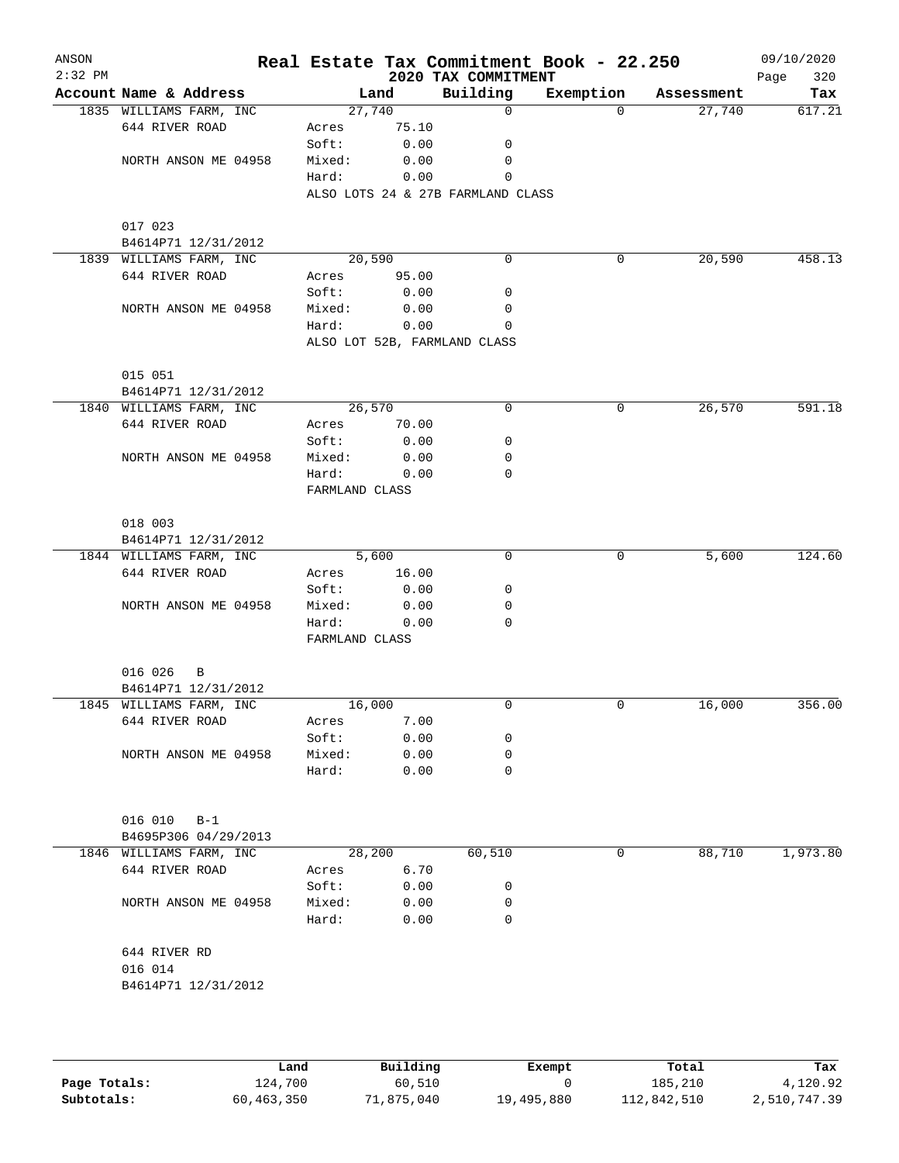| ANSON<br>$2:32$ PM |                         |                 |              | 2020 TAX COMMITMENT               | Real Estate Tax Commitment Book - 22.250 |            | 09/10/2020<br>320<br>Page |
|--------------------|-------------------------|-----------------|--------------|-----------------------------------|------------------------------------------|------------|---------------------------|
|                    | Account Name & Address  |                 | Land         | Building                          | Exemption                                | Assessment | Tax                       |
|                    | 1835 WILLIAMS FARM, INC | 27,740          |              | $\mathbf 0$                       | $\Omega$                                 | 27,740     | 617.21                    |
|                    | 644 RIVER ROAD          | Acres           | 75.10        |                                   |                                          |            |                           |
|                    |                         | Soft:           | 0.00         | 0                                 |                                          |            |                           |
|                    | NORTH ANSON ME 04958    | Mixed:          | 0.00         | $\mathbf 0$                       |                                          |            |                           |
|                    |                         | Hard:           | 0.00         | 0                                 |                                          |            |                           |
|                    |                         |                 |              | ALSO LOTS 24 & 27B FARMLAND CLASS |                                          |            |                           |
|                    |                         |                 |              |                                   |                                          |            |                           |
|                    | 017 023                 |                 |              |                                   |                                          |            |                           |
|                    | B4614P71 12/31/2012     |                 |              |                                   |                                          |            |                           |
|                    | 1839 WILLIAMS FARM, INC | 20,590          |              | 0                                 | 0                                        | 20,590     | 458.13                    |
|                    | 644 RIVER ROAD          | Acres           | 95.00        |                                   |                                          |            |                           |
|                    |                         | Soft:           | 0.00         | 0                                 |                                          |            |                           |
|                    | NORTH ANSON ME 04958    | Mixed:<br>Hard: | 0.00<br>0.00 | 0<br>$\Omega$                     |                                          |            |                           |
|                    |                         |                 |              | ALSO LOT 52B, FARMLAND CLASS      |                                          |            |                           |
|                    |                         |                 |              |                                   |                                          |            |                           |
|                    | 015 051                 |                 |              |                                   |                                          |            |                           |
|                    | B4614P71 12/31/2012     |                 |              |                                   |                                          |            |                           |
|                    | 1840 WILLIAMS FARM, INC | 26,570          |              | 0                                 | 0                                        | 26,570     | 591.18                    |
|                    | 644 RIVER ROAD          | Acres           | 70.00        |                                   |                                          |            |                           |
|                    |                         | Soft:           | 0.00         | 0                                 |                                          |            |                           |
|                    | NORTH ANSON ME 04958    | Mixed:          | 0.00         | 0                                 |                                          |            |                           |
|                    |                         | Hard:           | 0.00         | $\mathbf 0$                       |                                          |            |                           |
|                    |                         | FARMLAND CLASS  |              |                                   |                                          |            |                           |
|                    |                         |                 |              |                                   |                                          |            |                           |
|                    | 018 003                 |                 |              |                                   |                                          |            |                           |
|                    | B4614P71 12/31/2012     |                 |              |                                   |                                          |            |                           |
|                    | 1844 WILLIAMS FARM, INC |                 | 5,600        | 0                                 | 0                                        | 5,600      | 124.60                    |
|                    | 644 RIVER ROAD          | Acres           | 16.00        |                                   |                                          |            |                           |
|                    |                         | Soft:           | 0.00         | 0                                 |                                          |            |                           |
|                    | NORTH ANSON ME 04958    | Mixed:          | 0.00         | $\mathbf 0$                       |                                          |            |                           |
|                    |                         | Hard:           | 0.00         | $\Omega$                          |                                          |            |                           |
|                    |                         | FARMLAND CLASS  |              |                                   |                                          |            |                           |
|                    | 016 026<br>B            |                 |              |                                   |                                          |            |                           |
|                    | B4614P71 12/31/2012     |                 |              |                                   |                                          |            |                           |
|                    | 1845 WILLIAMS FARM, INC | 16,000          |              | 0                                 | 0                                        | 16,000     | 356.00                    |
|                    | 644 RIVER ROAD          | Acres           | 7.00         |                                   |                                          |            |                           |
|                    |                         | Soft:           | 0.00         | 0                                 |                                          |            |                           |
|                    | NORTH ANSON ME 04958    | Mixed:          | 0.00         | 0                                 |                                          |            |                           |
|                    |                         | Hard:           | 0.00         | 0                                 |                                          |            |                           |
|                    |                         |                 |              |                                   |                                          |            |                           |
|                    |                         |                 |              |                                   |                                          |            |                           |
|                    | 016 010<br>$B-1$        |                 |              |                                   |                                          |            |                           |
|                    | B4695P306 04/29/2013    |                 |              |                                   |                                          |            |                           |
|                    | 1846 WILLIAMS FARM, INC | 28,200          |              | 60,510                            | 0                                        | 88,710     | 1,973.80                  |
|                    | 644 RIVER ROAD          | Acres           | 6.70         |                                   |                                          |            |                           |
|                    |                         | Soft:           | 0.00         | 0                                 |                                          |            |                           |
|                    | NORTH ANSON ME 04958    | Mixed:          | 0.00         | 0                                 |                                          |            |                           |
|                    |                         | Hard:           | 0.00         | 0                                 |                                          |            |                           |
|                    |                         |                 |              |                                   |                                          |            |                           |
|                    | 644 RIVER RD            |                 |              |                                   |                                          |            |                           |
|                    | 016 014                 |                 |              |                                   |                                          |            |                           |
|                    | B4614P71 12/31/2012     |                 |              |                                   |                                          |            |                           |
|                    |                         |                 |              |                                   |                                          |            |                           |
|                    |                         |                 |              |                                   |                                          |            |                           |
|                    |                         |                 |              |                                   |                                          |            |                           |

|              | Land       | Building   | Exempt     | Total       | Tax          |
|--------------|------------|------------|------------|-------------|--------------|
| Page Totals: | 124,700    | 60,510     |            | 185,210     | 4,120.92     |
| Subtotals:   | 60,463,350 | 71,875,040 | 19,495,880 | 112,842,510 | 2,510,747.39 |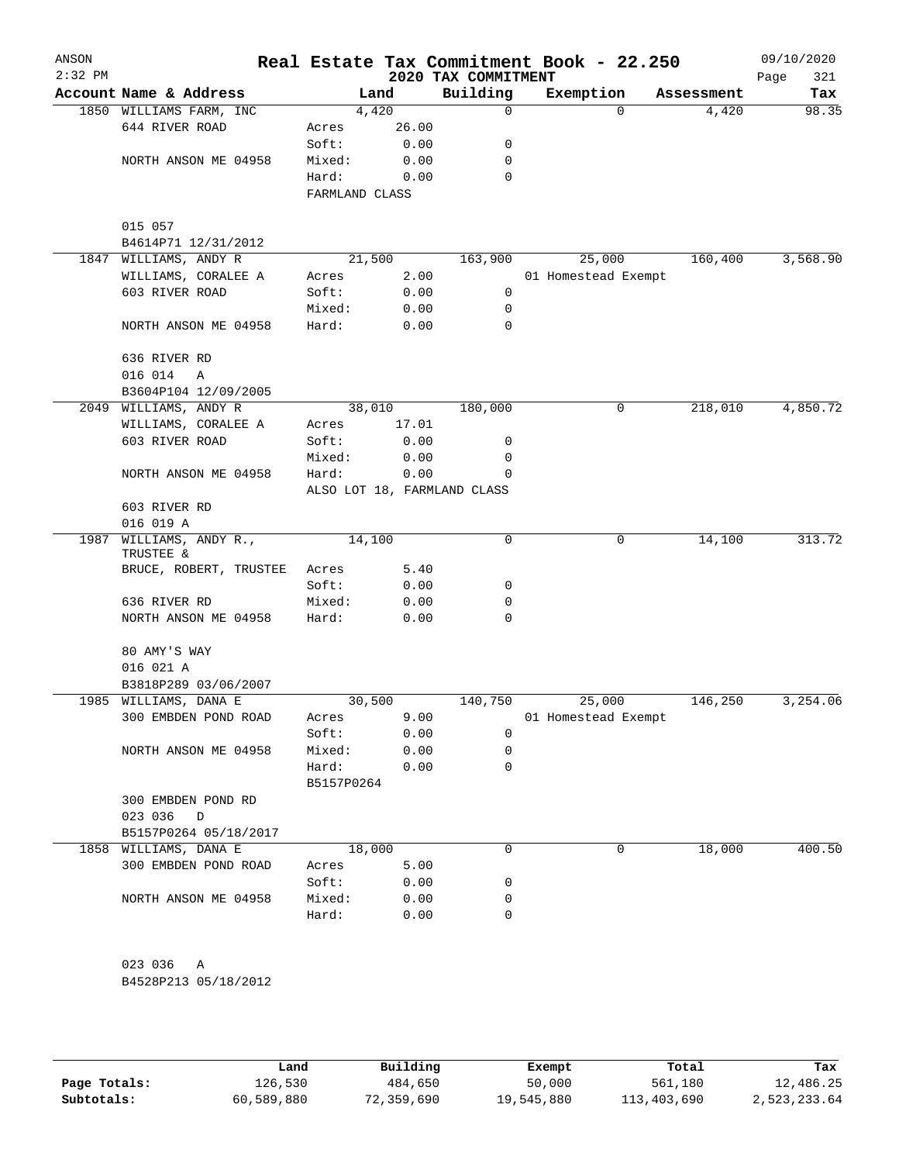| ANSON<br>$2:32$ PM |                         |                |                             | 2020 TAX COMMITMENT | Real Estate Tax Commitment Book - 22.250 |            | 09/10/2020<br>Page<br>321 |
|--------------------|-------------------------|----------------|-----------------------------|---------------------|------------------------------------------|------------|---------------------------|
|                    | Account Name & Address  |                | Land                        | Building            | Exemption                                | Assessment | Tax                       |
|                    | 1850 WILLIAMS FARM, INC |                | 4,420                       | 0                   | $\Omega$                                 | 4,420      | 98.35                     |
|                    | 644 RIVER ROAD          | Acres          | 26.00                       |                     |                                          |            |                           |
|                    |                         | Soft:          | 0.00                        | 0                   |                                          |            |                           |
|                    | NORTH ANSON ME 04958    | Mixed:         | 0.00                        | 0                   |                                          |            |                           |
|                    |                         | Hard:          | 0.00                        | 0                   |                                          |            |                           |
|                    |                         | FARMLAND CLASS |                             |                     |                                          |            |                           |
|                    | 015 057                 |                |                             |                     |                                          |            |                           |
|                    | B4614P71 12/31/2012     |                |                             |                     |                                          |            |                           |
|                    | 1847 WILLIAMS, ANDY R   |                | 21,500                      | 163,900             | 25,000                                   | 160,400    | 3,568.90                  |
|                    | WILLIAMS, CORALEE A     | Acres          | 2.00                        |                     | 01 Homestead Exempt                      |            |                           |
|                    | 603 RIVER ROAD          | Soft:          | 0.00                        | 0                   |                                          |            |                           |
|                    |                         | Mixed:         | 0.00                        | 0                   |                                          |            |                           |
|                    | NORTH ANSON ME 04958    | Hard:          | 0.00                        | 0                   |                                          |            |                           |
|                    | 636 RIVER RD            |                |                             |                     |                                          |            |                           |
|                    | 016 014<br>Α            |                |                             |                     |                                          |            |                           |
|                    | B3604P104 12/09/2005    |                |                             |                     |                                          |            |                           |
|                    | 2049 WILLIAMS, ANDY R   |                | 38,010                      | 180,000             | 0                                        | 218,010    | 4,850.72                  |
|                    | WILLIAMS, CORALEE A     | Acres          | 17.01                       |                     |                                          |            |                           |
|                    | 603 RIVER ROAD          | Soft:          | 0.00                        | 0                   |                                          |            |                           |
|                    |                         | Mixed:         | 0.00                        | 0                   |                                          |            |                           |
|                    | NORTH ANSON ME 04958    | Hard:          | 0.00                        | 0                   |                                          |            |                           |
|                    |                         |                | ALSO LOT 18, FARMLAND CLASS |                     |                                          |            |                           |
|                    | 603 RIVER RD            |                |                             |                     |                                          |            |                           |
|                    | 016 019 A               |                |                             |                     |                                          |            |                           |
| 1987               | WILLIAMS, ANDY R.,      |                | 14,100                      | 0                   | 0                                        | 14,100     | 313.72                    |
|                    | TRUSTEE &               |                |                             |                     |                                          |            |                           |
|                    | BRUCE, ROBERT, TRUSTEE  | Acres          | 5.40                        |                     |                                          |            |                           |
|                    |                         | Soft:          | 0.00                        | 0                   |                                          |            |                           |
|                    | 636 RIVER RD            | Mixed:         | 0.00                        | 0                   |                                          |            |                           |
|                    | NORTH ANSON ME 04958    | Hard:          | 0.00                        | 0                   |                                          |            |                           |
|                    | 80 AMY'S WAY            |                |                             |                     |                                          |            |                           |
|                    | 016 021 A               |                |                             |                     |                                          |            |                           |
|                    | B3818P289 03/06/2007    |                |                             |                     |                                          |            |                           |
|                    | 1985 WILLIAMS, DANA E   |                | 30,500                      | 140,750             | 25,000                                   | 146,250    | 3,254.06                  |
|                    | 300 EMBDEN POND ROAD    | Acres          | 9.00                        |                     | 01 Homestead Exempt                      |            |                           |
|                    |                         | Soft:          | 0.00                        | 0                   |                                          |            |                           |
|                    | NORTH ANSON ME 04958    | Mixed:         | 0.00                        | 0                   |                                          |            |                           |
|                    |                         | Hard:          | 0.00                        | 0                   |                                          |            |                           |
|                    |                         | B5157P0264     |                             |                     |                                          |            |                           |
|                    | 300 EMBDEN POND RD      |                |                             |                     |                                          |            |                           |
|                    | 023 036<br>$\mathbb D$  |                |                             |                     |                                          |            |                           |
|                    | B5157P0264 05/18/2017   |                |                             |                     |                                          |            |                           |
|                    | 1858 WILLIAMS, DANA E   |                | 18,000                      | $\Omega$            | 0                                        | 18,000     | 400.50                    |
|                    | 300 EMBDEN POND ROAD    | Acres          | 5.00                        |                     |                                          |            |                           |
|                    |                         | Soft:          | 0.00                        | 0                   |                                          |            |                           |
|                    | NORTH ANSON ME 04958    | Mixed:         | 0.00                        | 0                   |                                          |            |                           |
|                    |                         | Hard:          | 0.00                        | $\Omega$            |                                          |            |                           |
|                    |                         |                |                             |                     |                                          |            |                           |
|                    | 023 036<br>Α            |                |                             |                     |                                          |            |                           |
|                    | B4528P213 05/18/2012    |                |                             |                     |                                          |            |                           |
|                    |                         |                |                             |                     |                                          |            |                           |

|              | Land       | Building   | Exempt     | Total       | Tax          |
|--------------|------------|------------|------------|-------------|--------------|
| Page Totals: | 126,530    | 484,650    | 50,000     | 561,180     | 12,486.25    |
| Subtotals:   | 60,589,880 | 72,359,690 | 19,545,880 | 113,403,690 | 2,523,233.64 |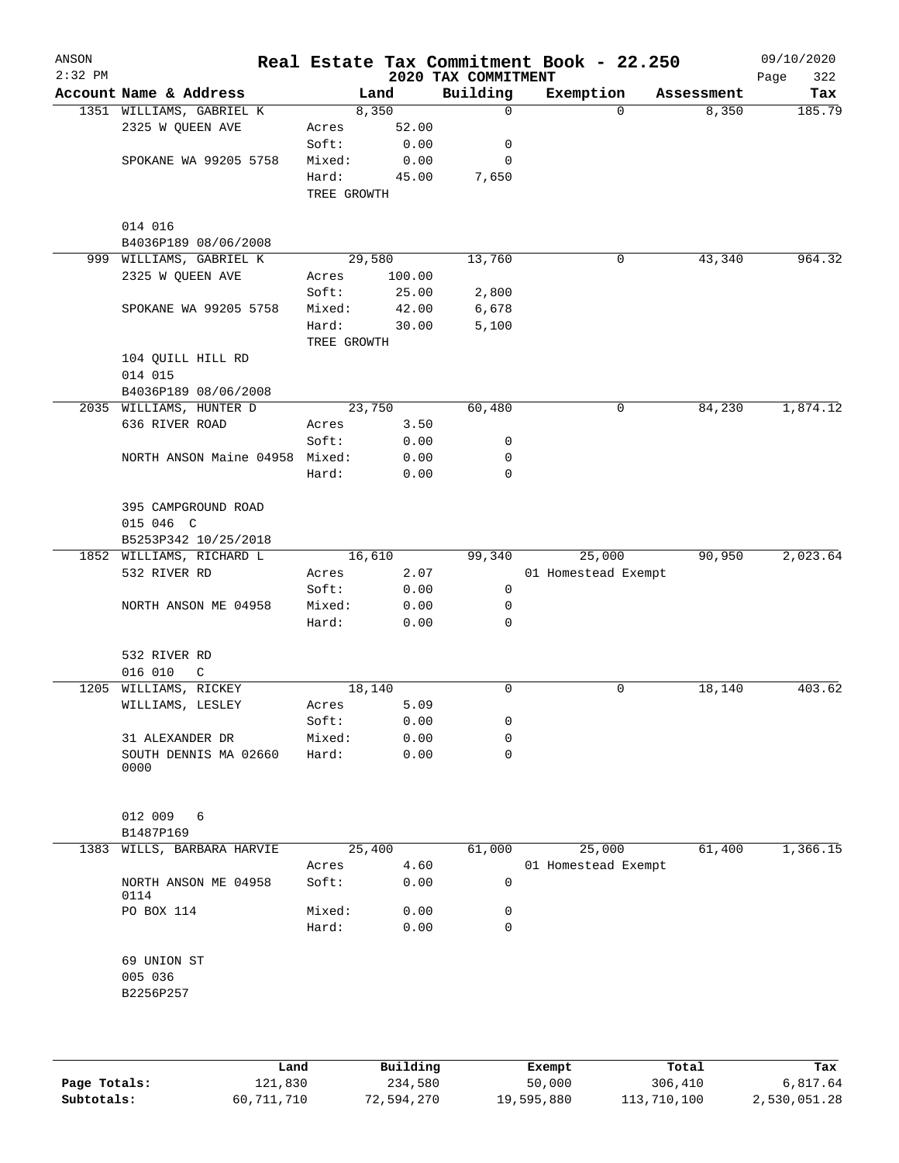| ANSON<br>$2:32$ PM |                                |             |        | 2020 TAX COMMITMENT | Real Estate Tax Commitment Book - 22.250 |          |            | 09/10/2020<br>322<br>Page |
|--------------------|--------------------------------|-------------|--------|---------------------|------------------------------------------|----------|------------|---------------------------|
|                    | Account Name & Address         | Land        |        | Building            | Exemption                                |          | Assessment | Tax                       |
|                    | 1351 WILLIAMS, GABRIEL K       | 8,350       |        | $\mathbf 0$         |                                          | $\Omega$ | 8,350      | 185.79                    |
|                    | 2325 W QUEEN AVE               | Acres       | 52.00  |                     |                                          |          |            |                           |
|                    |                                | Soft:       | 0.00   | 0                   |                                          |          |            |                           |
|                    | SPOKANE WA 99205 5758          | Mixed:      | 0.00   | 0                   |                                          |          |            |                           |
|                    |                                | Hard:       | 45.00  | 7,650               |                                          |          |            |                           |
|                    |                                | TREE GROWTH |        |                     |                                          |          |            |                           |
|                    | 014 016                        |             |        |                     |                                          |          |            |                           |
|                    | B4036P189 08/06/2008           |             |        |                     |                                          |          |            |                           |
|                    | 999 WILLIAMS, GABRIEL K        | 29,580      |        | 13,760              |                                          | 0        | 43,340     | 964.32                    |
|                    | 2325 W QUEEN AVE               | Acres       | 100.00 |                     |                                          |          |            |                           |
|                    |                                | Soft:       | 25.00  | 2,800               |                                          |          |            |                           |
|                    | SPOKANE WA 99205 5758          | Mixed:      | 42.00  | 6,678               |                                          |          |            |                           |
|                    |                                | Hard:       | 30.00  | 5,100               |                                          |          |            |                           |
|                    |                                | TREE GROWTH |        |                     |                                          |          |            |                           |
|                    | 104 QUILL HILL RD              |             |        |                     |                                          |          |            |                           |
|                    | 014 015                        |             |        |                     |                                          |          |            |                           |
|                    | B4036P189 08/06/2008           |             |        |                     |                                          |          |            |                           |
|                    | 2035 WILLIAMS, HUNTER D        | 23,750      |        | 60,480              |                                          | 0        | 84,230     | 1,874.12                  |
|                    | 636 RIVER ROAD                 | Acres       | 3.50   |                     |                                          |          |            |                           |
|                    |                                | Soft:       | 0.00   | 0                   |                                          |          |            |                           |
|                    | NORTH ANSON Maine 04958 Mixed: |             | 0.00   | 0                   |                                          |          |            |                           |
|                    |                                | Hard:       | 0.00   | $\mathbf 0$         |                                          |          |            |                           |
|                    | 395 CAMPGROUND ROAD            |             |        |                     |                                          |          |            |                           |
|                    | 015 046 C                      |             |        |                     |                                          |          |            |                           |
|                    | B5253P342 10/25/2018           |             |        |                     |                                          |          |            |                           |
|                    | 1852 WILLIAMS, RICHARD L       | 16,610      |        | 99,340              | 25,000                                   |          | 90,950     | 2,023.64                  |
|                    | 532 RIVER RD                   | Acres       | 2.07   |                     | 01 Homestead Exempt                      |          |            |                           |
|                    |                                | Soft:       | 0.00   | 0                   |                                          |          |            |                           |
|                    | NORTH ANSON ME 04958           | Mixed:      | 0.00   | 0                   |                                          |          |            |                           |
|                    |                                | Hard:       | 0.00   | $\mathbf 0$         |                                          |          |            |                           |
|                    |                                |             |        |                     |                                          |          |            |                           |
|                    | 532 RIVER RD                   |             |        |                     |                                          |          |            |                           |
|                    | 016 010<br>C                   |             |        |                     |                                          |          |            |                           |
| 1205               | WILLIAMS, RICKEY               | 18,140      |        | 0                   |                                          | 0        | 18,140     | 403.62                    |
|                    | WILLIAMS, LESLEY               | Acres       | 5.09   |                     |                                          |          |            |                           |
|                    |                                | Soft:       | 0.00   | 0                   |                                          |          |            |                           |
|                    | 31 ALEXANDER DR                | Mixed:      | 0.00   | 0                   |                                          |          |            |                           |
|                    | SOUTH DENNIS MA 02660          | Hard:       | 0.00   | $\mathbf 0$         |                                          |          |            |                           |
|                    | 0000                           |             |        |                     |                                          |          |            |                           |
|                    |                                |             |        |                     |                                          |          |            |                           |
|                    | 012 009<br>6                   |             |        |                     |                                          |          |            |                           |
|                    | B1487P169                      |             |        |                     |                                          |          |            |                           |
| 1383               | WILLS, BARBARA HARVIE          | 25,400      |        | 61,000              | 25,000                                   |          | 61,400     | 1,366.15                  |
|                    |                                | Acres       | 4.60   |                     | 01 Homestead Exempt                      |          |            |                           |
|                    | NORTH ANSON ME 04958<br>0114   | Soft:       | 0.00   | 0                   |                                          |          |            |                           |
|                    | PO BOX 114                     | Mixed:      | 0.00   | 0                   |                                          |          |            |                           |
|                    |                                | Hard:       | 0.00   | 0                   |                                          |          |            |                           |
|                    |                                |             |        |                     |                                          |          |            |                           |
|                    | 69 UNION ST<br>005 036         |             |        |                     |                                          |          |            |                           |
|                    | B2256P257                      |             |        |                     |                                          |          |            |                           |
|                    |                                |             |        |                     |                                          |          |            |                           |
|                    |                                |             |        |                     |                                          |          |            |                           |
|                    |                                |             |        |                     |                                          |          |            |                           |
|                    |                                |             |        |                     |                                          |          |            |                           |

|              | Land       | Building   | Exempt     | Total       | Tax          |
|--------------|------------|------------|------------|-------------|--------------|
| Page Totals: | 121,830    | 234,580    | 50,000     | 306,410     | 6,817.64     |
| Subtotals:   | 60,711,710 | 72,594,270 | 19,595,880 | 113,710,100 | 2,530,051.28 |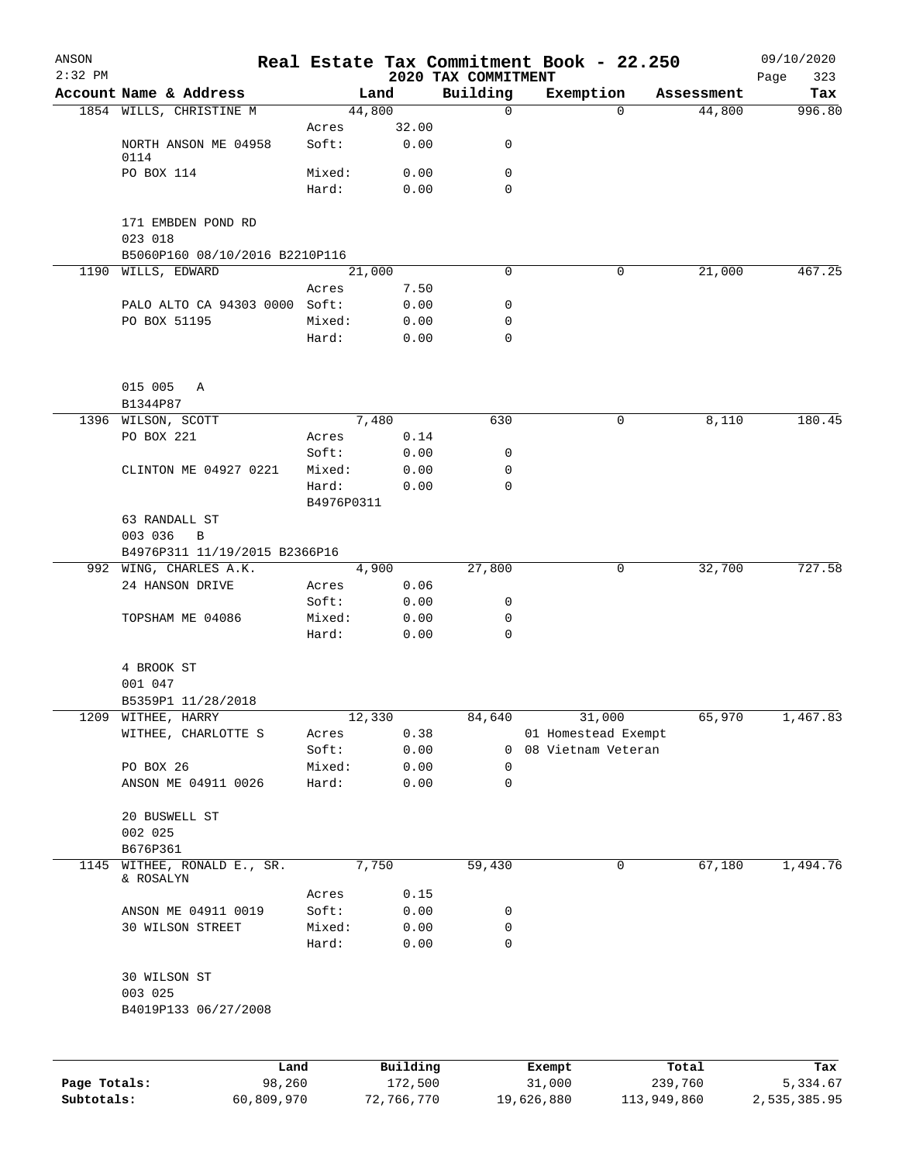| ANSON<br>$2:32$ PM |                                     |            |          |                                 | Real Estate Tax Commitment Book - 22.250 |            | 09/10/2020         |
|--------------------|-------------------------------------|------------|----------|---------------------------------|------------------------------------------|------------|--------------------|
|                    | Account Name & Address              |            | Land     | 2020 TAX COMMITMENT<br>Building | Exemption                                | Assessment | Page<br>323<br>Tax |
|                    | 1854 WILLS, CHRISTINE M             |            | 44,800   | $\mathbf 0$                     | $\Omega$                                 | 44,800     | 996.80             |
|                    |                                     | Acres      | 32.00    |                                 |                                          |            |                    |
|                    | NORTH ANSON ME 04958<br>0114        | Soft:      | 0.00     | 0                               |                                          |            |                    |
|                    | PO BOX 114                          | Mixed:     | 0.00     | 0                               |                                          |            |                    |
|                    |                                     | Hard:      | 0.00     | 0                               |                                          |            |                    |
|                    | 171 EMBDEN POND RD                  |            |          |                                 |                                          |            |                    |
|                    | 023 018                             |            |          |                                 |                                          |            |                    |
|                    | B5060P160 08/10/2016 B2210P116      |            |          |                                 |                                          |            |                    |
|                    | 1190 WILLS, EDWARD                  |            | 21,000   | 0                               | 0                                        | 21,000     | 467.25             |
|                    |                                     | Acres      | 7.50     |                                 |                                          |            |                    |
|                    | PALO ALTO CA 94303 0000 Soft:       |            | 0.00     | 0                               |                                          |            |                    |
|                    | PO BOX 51195                        | Mixed:     | 0.00     | 0                               |                                          |            |                    |
|                    |                                     | Hard:      | 0.00     | $\mathbf 0$                     |                                          |            |                    |
|                    | 015 005<br>Α                        |            |          |                                 |                                          |            |                    |
|                    | B1344P87                            |            |          |                                 |                                          |            |                    |
|                    | 1396 WILSON, SCOTT                  |            | 7,480    | 630                             | 0                                        | 8,110      | 180.45             |
|                    | PO BOX 221                          | Acres      | 0.14     |                                 |                                          |            |                    |
|                    |                                     | Soft:      | 0.00     | 0                               |                                          |            |                    |
|                    | CLINTON ME 04927 0221               | Mixed:     | 0.00     | 0                               |                                          |            |                    |
|                    |                                     | Hard:      | 0.00     | $\mathbf 0$                     |                                          |            |                    |
|                    |                                     | B4976P0311 |          |                                 |                                          |            |                    |
|                    | 63 RANDALL ST                       |            |          |                                 |                                          |            |                    |
|                    | 003 036<br>$\, {\bf B}$             |            |          |                                 |                                          |            |                    |
|                    | B4976P311 11/19/2015 B2366P16       |            |          |                                 |                                          |            |                    |
|                    | 992 WING, CHARLES A.K.              |            | 4,900    | 27,800                          | 0                                        | 32,700     | 727.58             |
|                    | 24 HANSON DRIVE                     | Acres      | 0.06     |                                 |                                          |            |                    |
|                    |                                     | Soft:      | 0.00     | 0                               |                                          |            |                    |
|                    | TOPSHAM ME 04086                    | Mixed:     | 0.00     | 0                               |                                          |            |                    |
|                    |                                     | Hard:      | 0.00     | $\mathbf 0$                     |                                          |            |                    |
|                    | 4 BROOK ST                          |            |          |                                 |                                          |            |                    |
|                    | 001 047                             |            |          |                                 |                                          |            |                    |
|                    | B5359P1 11/28/2018                  |            |          |                                 |                                          |            |                    |
| 1209               | WITHEE, HARRY                       |            | 12,330   | 84,640                          | 31,000                                   | 65,970     | 1,467.83           |
|                    | WITHEE, CHARLOTTE S                 | Acres      | 0.38     |                                 | 01 Homestead Exempt                      |            |                    |
|                    |                                     | Soft:      | 0.00     | 0                               | 08 Vietnam Veteran                       |            |                    |
|                    | PO BOX 26                           | Mixed:     | 0.00     | 0                               |                                          |            |                    |
|                    | ANSON ME 04911 0026                 | Hard:      | 0.00     | $\mathbf 0$                     |                                          |            |                    |
|                    | 20 BUSWELL ST                       |            |          |                                 |                                          |            |                    |
|                    | 002 025                             |            |          |                                 |                                          |            |                    |
|                    | B676P361                            |            |          |                                 |                                          |            |                    |
| 1145               | WITHEE, RONALD E., SR.<br>& ROSALYN |            | 7,750    | 59,430                          | 0                                        | 67,180     | 1,494.76           |
|                    |                                     | Acres      | 0.15     |                                 |                                          |            |                    |
|                    | ANSON ME 04911 0019                 | Soft:      | 0.00     | 0                               |                                          |            |                    |
|                    | 30 WILSON STREET                    | Mixed:     | 0.00     | 0                               |                                          |            |                    |
|                    |                                     | Hard:      | 0.00     | $\mathbf 0$                     |                                          |            |                    |
|                    | 30 WILSON ST<br>003 025             |            |          |                                 |                                          |            |                    |
|                    | B4019P133 06/27/2008                |            |          |                                 |                                          |            |                    |
|                    |                                     |            |          |                                 |                                          |            |                    |
|                    | Land                                |            | Building |                                 | Exempt                                   | Total      | Tax                |
| Page Totals:       | 98,260                              |            | 172,500  |                                 | 31,000                                   | 239,760    | 5,334.67           |

**Subtotals:** 60,809,970 72,766,770 19,626,880 113,949,860 2,535,385.95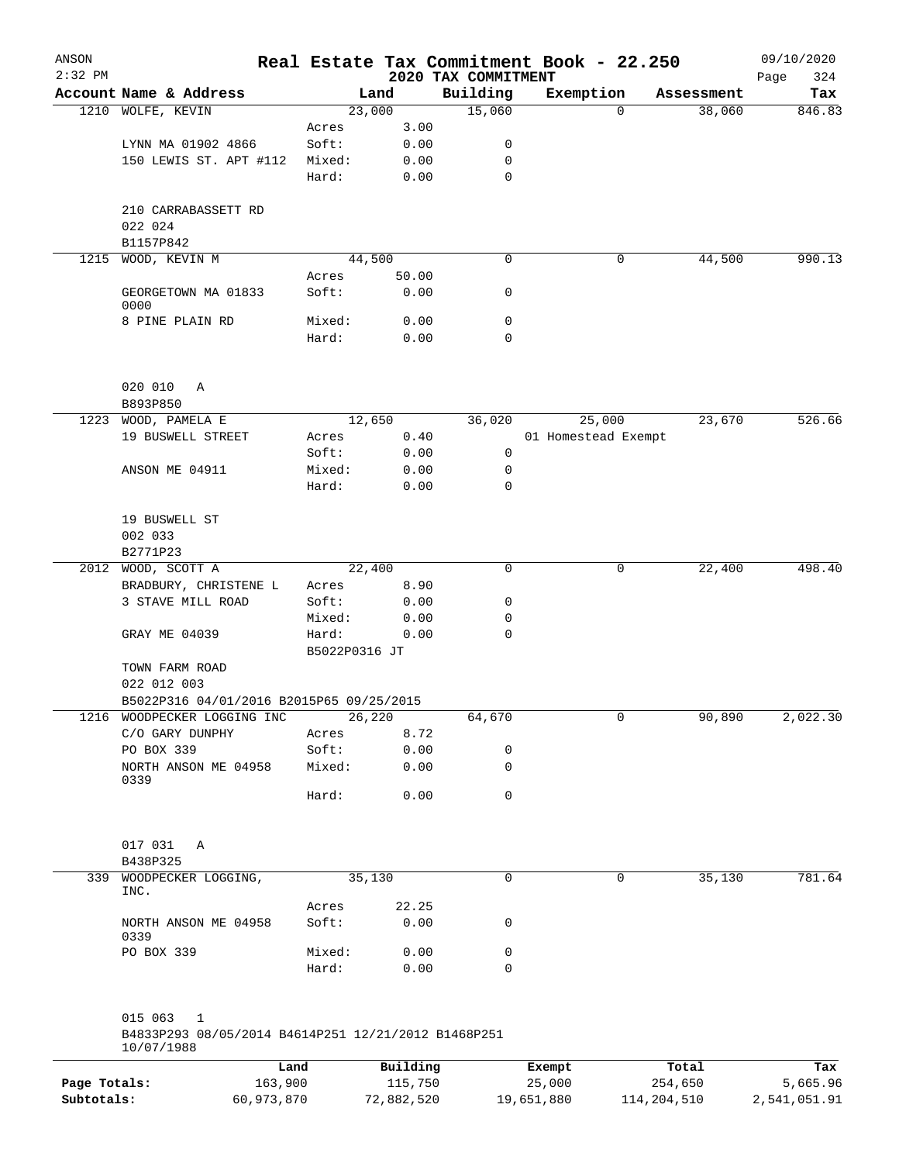| ANSON        |                                                     |            |               |                |                     | Real Estate Tax Commitment Book - 22.250 |                        | 09/10/2020         |
|--------------|-----------------------------------------------------|------------|---------------|----------------|---------------------|------------------------------------------|------------------------|--------------------|
| $2:32$ PM    |                                                     |            |               |                | 2020 TAX COMMITMENT |                                          |                        | Page<br>324        |
|              | Account Name & Address                              |            |               | Land<br>23,000 | Building<br>15,060  | Exemption                                | Assessment<br>$\Omega$ | Tax<br>846.83      |
|              | 1210 WOLFE, KEVIN                                   |            | Acres         | 3.00           |                     |                                          |                        | 38,060             |
|              | LYNN MA 01902 4866                                  |            | Soft:         | 0.00           | 0                   |                                          |                        |                    |
|              | 150 LEWIS ST. APT #112                              |            | Mixed:        | 0.00           | 0                   |                                          |                        |                    |
|              |                                                     |            | Hard:         | 0.00           | 0                   |                                          |                        |                    |
|              |                                                     |            |               |                |                     |                                          |                        |                    |
|              | 210 CARRABASSETT RD                                 |            |               |                |                     |                                          |                        |                    |
|              | 022 024                                             |            |               |                |                     |                                          |                        |                    |
|              | B1157P842                                           |            |               |                |                     |                                          |                        |                    |
| 1215         | WOOD, KEVIN M                                       |            |               | 44,500         | 0                   |                                          | 0                      | 990.13<br>44,500   |
|              |                                                     |            | Acres         | 50.00          |                     |                                          |                        |                    |
|              | GEORGETOWN MA 01833                                 |            | Soft:         | 0.00           | 0                   |                                          |                        |                    |
|              | 0000                                                |            |               |                |                     |                                          |                        |                    |
|              | 8 PINE PLAIN RD                                     |            | Mixed:        | 0.00           | 0                   |                                          |                        |                    |
|              |                                                     |            | Hard:         | 0.00           | 0                   |                                          |                        |                    |
|              |                                                     |            |               |                |                     |                                          |                        |                    |
|              |                                                     |            |               |                |                     |                                          |                        |                    |
|              | 020 010<br>Α                                        |            |               |                |                     |                                          |                        |                    |
|              | B893P850                                            |            |               |                |                     |                                          |                        |                    |
| 1223         | WOOD, PAMELA E                                      |            |               | 12,650         | 36,020              | 25,000                                   |                        | 526.66<br>23,670   |
|              | 19 BUSWELL STREET                                   |            | Acres         | 0.40           |                     | 01 Homestead Exempt                      |                        |                    |
|              |                                                     |            | Soft:         | 0.00           | 0                   |                                          |                        |                    |
|              | ANSON ME 04911                                      |            | Mixed:        | 0.00           | 0                   |                                          |                        |                    |
|              |                                                     |            | Hard:         | 0.00           | 0                   |                                          |                        |                    |
|              |                                                     |            |               |                |                     |                                          |                        |                    |
|              | 19 BUSWELL ST                                       |            |               |                |                     |                                          |                        |                    |
|              | 002 033                                             |            |               |                |                     |                                          |                        |                    |
|              | B2771P23                                            |            |               |                |                     |                                          |                        |                    |
| 2012         | WOOD, SCOTT A                                       |            |               | 22,400         | 0                   |                                          | 0                      | 498.40<br>22,400   |
|              | BRADBURY, CHRISTENE L                               |            | Acres         | 8.90           |                     |                                          |                        |                    |
|              | 3 STAVE MILL ROAD                                   |            | Soft:         | 0.00           | 0                   |                                          |                        |                    |
|              |                                                     |            | Mixed:        | 0.00           | 0                   |                                          |                        |                    |
|              | GRAY ME 04039                                       |            | Hard:         | 0.00           | 0                   |                                          |                        |                    |
|              |                                                     |            | B5022P0316 JT |                |                     |                                          |                        |                    |
|              | TOWN FARM ROAD                                      |            |               |                |                     |                                          |                        |                    |
|              | 022 012 003                                         |            |               |                |                     |                                          |                        |                    |
|              | B5022P316 04/01/2016 B2015P65 09/25/2015            |            |               |                |                     |                                          |                        |                    |
|              | 1216 WOODPECKER LOGGING INC                         |            |               | 26,220         | 64,670              |                                          | 0                      | 90,890<br>2,022.30 |
|              | C/O GARY DUNPHY                                     |            | Acres         | 8.72           |                     |                                          |                        |                    |
|              | PO BOX 339                                          |            | Soft:         | 0.00           | 0                   |                                          |                        |                    |
|              | NORTH ANSON ME 04958<br>0339                        |            | Mixed:        | 0.00           | 0                   |                                          |                        |                    |
|              |                                                     |            | Hard:         | 0.00           | 0                   |                                          |                        |                    |
|              |                                                     |            |               |                |                     |                                          |                        |                    |
|              |                                                     |            |               |                |                     |                                          |                        |                    |
|              | 017 031<br>Α                                        |            |               |                |                     |                                          |                        |                    |
|              | B438P325                                            |            |               |                |                     |                                          |                        |                    |
| 339          | WOODPECKER LOGGING,                                 |            |               | 35,130         | 0                   |                                          | 0                      | 781.64<br>35,130   |
|              | INC.                                                |            |               |                |                     |                                          |                        |                    |
|              |                                                     |            | Acres         | 22.25          |                     |                                          |                        |                    |
|              | NORTH ANSON ME 04958<br>0339                        |            | Soft:         | 0.00           | 0                   |                                          |                        |                    |
|              | PO BOX 339                                          |            | Mixed:        | 0.00           | 0                   |                                          |                        |                    |
|              |                                                     |            | Hard:         | 0.00           | 0                   |                                          |                        |                    |
|              |                                                     |            |               |                |                     |                                          |                        |                    |
|              |                                                     |            |               |                |                     |                                          |                        |                    |
|              | 015 063<br>1                                        |            |               |                |                     |                                          |                        |                    |
|              | B4833P293 08/05/2014 B4614P251 12/21/2012 B1468P251 |            |               |                |                     |                                          |                        |                    |
|              | 10/07/1988                                          |            |               |                |                     |                                          |                        |                    |
|              |                                                     | Land       |               | Building       |                     | Exempt                                   | Total                  | Tax                |
| Page Totals: |                                                     | 163,900    |               | 115,750        |                     | 25,000                                   | 254,650                | 5,665.96           |
| Subtotals:   |                                                     | 60,973,870 |               | 72,882,520     |                     | 19,651,880                               | 114,204,510            | 2,541,051.91       |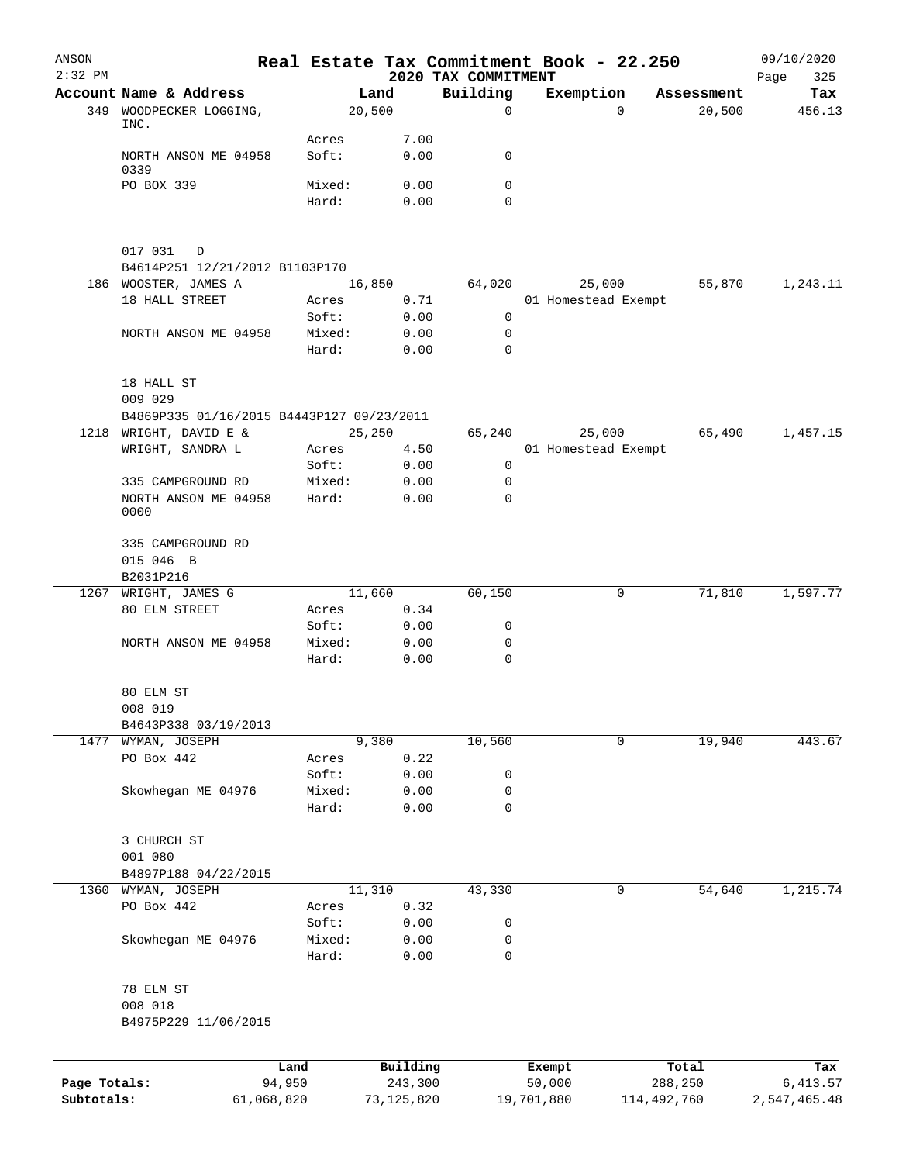| $2:32$ PM<br>349 | Account Name & Address<br>WOODPECKER LOGGING,<br>INC.<br>NORTH ANSON ME 04958<br>0339<br>PO BOX 339 | Acres<br>Soft:  | Land<br>20,500      | 2020 TAX COMMITMENT<br>Building<br>$\mathbf 0$ | Exemption<br>$\Omega$         | Assessment<br>20,500 | 325<br>Page<br>Tax<br>456.13 |
|------------------|-----------------------------------------------------------------------------------------------------|-----------------|---------------------|------------------------------------------------|-------------------------------|----------------------|------------------------------|
|                  |                                                                                                     |                 |                     |                                                |                               |                      |                              |
|                  |                                                                                                     |                 |                     |                                                |                               |                      |                              |
|                  |                                                                                                     |                 | 7.00                |                                                |                               |                      |                              |
|                  |                                                                                                     |                 | 0.00                | 0                                              |                               |                      |                              |
|                  |                                                                                                     |                 |                     |                                                |                               |                      |                              |
|                  |                                                                                                     | Mixed:          | 0.00                | 0                                              |                               |                      |                              |
|                  |                                                                                                     | Hard:           | 0.00                | $\mathbf 0$                                    |                               |                      |                              |
|                  | 017 031<br>D                                                                                        |                 |                     |                                                |                               |                      |                              |
|                  | B4614P251 12/21/2012 B1103P170                                                                      |                 |                     |                                                |                               |                      |                              |
|                  | 186 WOOSTER, JAMES A<br>18 HALL STREET                                                              | Acres           | 16,850<br>0.71      | 64,020                                         | 25,000<br>01 Homestead Exempt | 55,870               | 1,243.11                     |
|                  |                                                                                                     | Soft:           | 0.00                | 0                                              |                               |                      |                              |
|                  | NORTH ANSON ME 04958                                                                                | Mixed:          | 0.00                | 0                                              |                               |                      |                              |
|                  |                                                                                                     | Hard:           | 0.00                | $\mathbf 0$                                    |                               |                      |                              |
|                  | 18 HALL ST                                                                                          |                 |                     |                                                |                               |                      |                              |
|                  | 009 029                                                                                             |                 |                     |                                                |                               |                      |                              |
|                  | B4869P335 01/16/2015 B4443P127 09/23/2011                                                           |                 |                     |                                                |                               |                      |                              |
| 1218             | WRIGHT, DAVID E &                                                                                   |                 | 25,250              | 65,240                                         | 25,000                        | 65,490               | 1,457.15                     |
|                  | WRIGHT, SANDRA L                                                                                    | Acres           | 4.50                |                                                | 01 Homestead Exempt           |                      |                              |
|                  | 335 CAMPGROUND RD                                                                                   | Soft:<br>Mixed: | 0.00<br>0.00        | $\mathbf 0$<br>$\mathbf 0$                     |                               |                      |                              |
|                  | NORTH ANSON ME 04958                                                                                | Hard:           | 0.00                | $\mathbf 0$                                    |                               |                      |                              |
|                  | 0000                                                                                                |                 |                     |                                                |                               |                      |                              |
|                  | 335 CAMPGROUND RD                                                                                   |                 |                     |                                                |                               |                      |                              |
|                  | 015 046 B                                                                                           |                 |                     |                                                |                               |                      |                              |
|                  | B2031P216                                                                                           |                 |                     |                                                |                               |                      |                              |
| 1267             | WRIGHT, JAMES G                                                                                     |                 | 11,660              | 60,150                                         | 0                             | 71,810               | 1,597.77                     |
|                  | 80 ELM STREET                                                                                       | Acres           | 0.34                |                                                |                               |                      |                              |
|                  |                                                                                                     | Soft:           | 0.00                | 0                                              |                               |                      |                              |
|                  | NORTH ANSON ME 04958                                                                                | Mixed:<br>Hard: | 0.00<br>0.00        | 0<br>$\mathbf 0$                               |                               |                      |                              |
|                  | 80 ELM ST                                                                                           |                 |                     |                                                |                               |                      |                              |
|                  | 008 019                                                                                             |                 |                     |                                                |                               |                      |                              |
|                  | B4643P338 03/19/2013                                                                                |                 |                     |                                                |                               |                      |                              |
| 1477             | WYMAN, JOSEPH                                                                                       |                 | 9,380               | 10,560                                         | 0                             | 19,940               | 443.67                       |
|                  | PO Box 442                                                                                          | Acres           | 0.22                |                                                |                               |                      |                              |
|                  |                                                                                                     | Soft:           | 0.00                | 0                                              |                               |                      |                              |
|                  | Skowhegan ME 04976                                                                                  | Mixed:          | 0.00                | 0                                              |                               |                      |                              |
|                  |                                                                                                     | Hard:           | 0.00                | $\mathbf 0$                                    |                               |                      |                              |
|                  | 3 CHURCH ST                                                                                         |                 |                     |                                                |                               |                      |                              |
|                  | 001 080                                                                                             |                 |                     |                                                |                               |                      |                              |
|                  | B4897P188 04/22/2015                                                                                |                 |                     |                                                |                               |                      |                              |
|                  | 1360 WYMAN, JOSEPH                                                                                  |                 | 11,310              | 43,330                                         | 0                             | 54,640               | 1,215.74                     |
|                  | PO Box 442                                                                                          | Acres           | 0.32                |                                                |                               |                      |                              |
|                  |                                                                                                     | Soft:           | 0.00                | 0                                              |                               |                      |                              |
|                  | Skowhegan ME 04976                                                                                  | Mixed:          | 0.00                | $\mathbf 0$                                    |                               |                      |                              |
|                  |                                                                                                     | Hard:           | 0.00                | $\mathbf 0$                                    |                               |                      |                              |
|                  | 78 ELM ST                                                                                           |                 |                     |                                                |                               |                      |                              |
|                  | 008 018                                                                                             |                 |                     |                                                |                               |                      |                              |
|                  | B4975P229 11/06/2015                                                                                |                 |                     |                                                |                               |                      |                              |
|                  |                                                                                                     |                 |                     |                                                |                               |                      |                              |
| Page Totals:     | 94,950                                                                                              | Land            | Building<br>243,300 |                                                | Exempt<br>50,000              | Total<br>288,250     | Tax<br>6, 413.57             |
| Subtotals:       | 61,068,820                                                                                          |                 | 73, 125, 820        |                                                | 19,701,880                    | 114,492,760          | 2,547,465.48                 |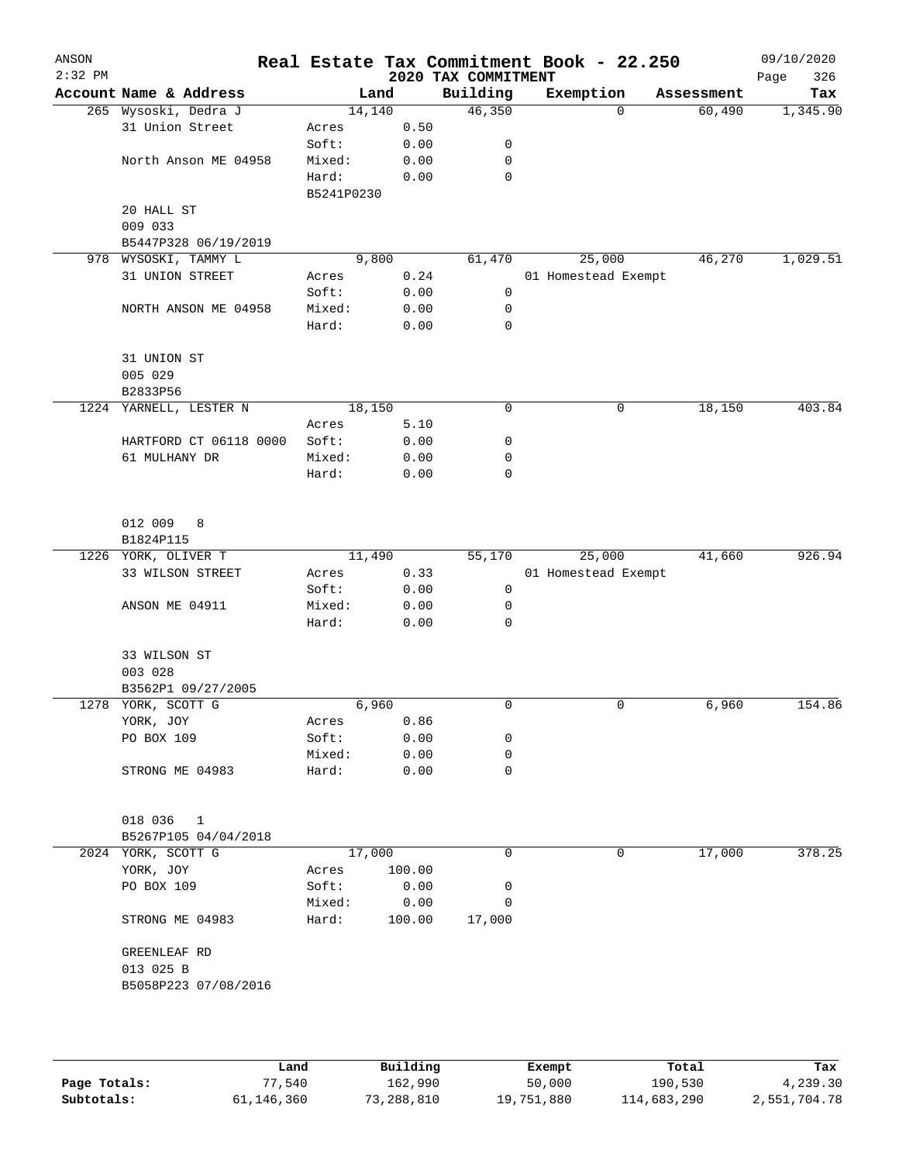| ANSON     |                        |            |        |                                 | Real Estate Tax Commitment Book - 22.250 |            | 09/10/2020         |
|-----------|------------------------|------------|--------|---------------------------------|------------------------------------------|------------|--------------------|
| $2:32$ PM | Account Name & Address |            | Land   | 2020 TAX COMMITMENT<br>Building | Exemption                                | Assessment | 326<br>Page<br>Tax |
|           | 265 Wysoski, Dedra J   | 14,140     |        | 46,350                          | $\mathbf 0$                              | 60,490     | 1,345.90           |
|           | 31 Union Street        | Acres      | 0.50   |                                 |                                          |            |                    |
|           |                        | Soft:      | 0.00   | 0                               |                                          |            |                    |
|           | North Anson ME 04958   | Mixed:     | 0.00   | 0                               |                                          |            |                    |
|           |                        | Hard:      | 0.00   | 0                               |                                          |            |                    |
|           |                        | B5241P0230 |        |                                 |                                          |            |                    |
|           | 20 HALL ST             |            |        |                                 |                                          |            |                    |
|           | 009 033                |            |        |                                 |                                          |            |                    |
|           | B5447P328 06/19/2019   |            |        |                                 |                                          |            |                    |
|           | 978 WYSOSKI, TAMMY L   | 9,800      |        | 61,470                          | 25,000                                   | 46,270     | 1,029.51           |
|           | 31 UNION STREET        | Acres      | 0.24   |                                 | 01 Homestead Exempt                      |            |                    |
|           |                        | Soft:      | 0.00   | 0                               |                                          |            |                    |
|           | NORTH ANSON ME 04958   | Mixed:     | 0.00   | 0                               |                                          |            |                    |
|           |                        | Hard:      | 0.00   | $\mathbf 0$                     |                                          |            |                    |
|           |                        |            |        |                                 |                                          |            |                    |
|           | 31 UNION ST            |            |        |                                 |                                          |            |                    |
|           | 005 029<br>B2833P56    |            |        |                                 |                                          |            |                    |
| 1224      | YARNELL, LESTER N      | 18,150     |        | 0                               | $\mathsf 0$                              | 18,150     | 403.84             |
|           |                        | Acres      | 5.10   |                                 |                                          |            |                    |
|           | HARTFORD CT 06118 0000 | Soft:      | 0.00   | 0                               |                                          |            |                    |
|           | 61 MULHANY DR          | Mixed:     | 0.00   | 0                               |                                          |            |                    |
|           |                        | Hard:      | 0.00   | 0                               |                                          |            |                    |
|           |                        |            |        |                                 |                                          |            |                    |
|           | 012 009<br>8           |            |        |                                 |                                          |            |                    |
|           | B1824P115              |            |        |                                 |                                          |            |                    |
|           | 1226 YORK, OLIVER T    | 11,490     |        | 55,170                          | 25,000                                   | 41,660     | 926.94             |
|           | 33 WILSON STREET       | Acres      | 0.33   |                                 | 01 Homestead Exempt                      |            |                    |
|           |                        | Soft:      | 0.00   | 0                               |                                          |            |                    |
|           | ANSON ME 04911         | Mixed:     | 0.00   | 0                               |                                          |            |                    |
|           |                        | Hard:      | 0.00   | 0                               |                                          |            |                    |
|           | 33 WILSON ST           |            |        |                                 |                                          |            |                    |
|           | 003 028                |            |        |                                 |                                          |            |                    |
|           | B3562P1 09/27/2005     |            |        |                                 |                                          |            |                    |
|           | 1278 YORK, SCOTT G     | 6,960      |        | 0                               | $\mathbf 0$                              | 6,960      | 154.86             |
|           | YORK, JOY              | Acres      | 0.86   |                                 |                                          |            |                    |
|           | PO BOX 109             | Soft:      | 0.00   | 0                               |                                          |            |                    |
|           |                        | Mixed:     | 0.00   | 0                               |                                          |            |                    |
|           | STRONG ME 04983        | Hard:      | 0.00   | 0                               |                                          |            |                    |
|           | 018 036 1              |            |        |                                 |                                          |            |                    |
|           | B5267P105 04/04/2018   |            |        |                                 |                                          |            |                    |
|           | 2024 YORK, SCOTT G     | 17,000     |        | 0                               | 0                                        | 17,000     | 378.25             |
|           | YORK, JOY              | Acres      | 100.00 |                                 |                                          |            |                    |
|           | PO BOX 109             | Soft:      | 0.00   | 0                               |                                          |            |                    |
|           |                        | Mixed:     | 0.00   | 0                               |                                          |            |                    |
|           | STRONG ME 04983        | Hard:      | 100.00 | 17,000                          |                                          |            |                    |
|           | GREENLEAF RD           |            |        |                                 |                                          |            |                    |
|           | 013 025 B              |            |        |                                 |                                          |            |                    |
|           | B5058P223 07/08/2016   |            |        |                                 |                                          |            |                    |
|           |                        |            |        |                                 |                                          |            |                    |
|           |                        |            |        |                                 |                                          |            |                    |
|           |                        |            |        |                                 |                                          |            |                    |

|              | Land       | Building   | Exempt     | Total       | Tax          |
|--------------|------------|------------|------------|-------------|--------------|
| Page Totals: | 77,540     | 162,990    | 50,000     | 190,530     | 4,239.30     |
| Subtotals:   | 61,146,360 | 73,288,810 | 19,751,880 | 114,683,290 | 2,551,704.78 |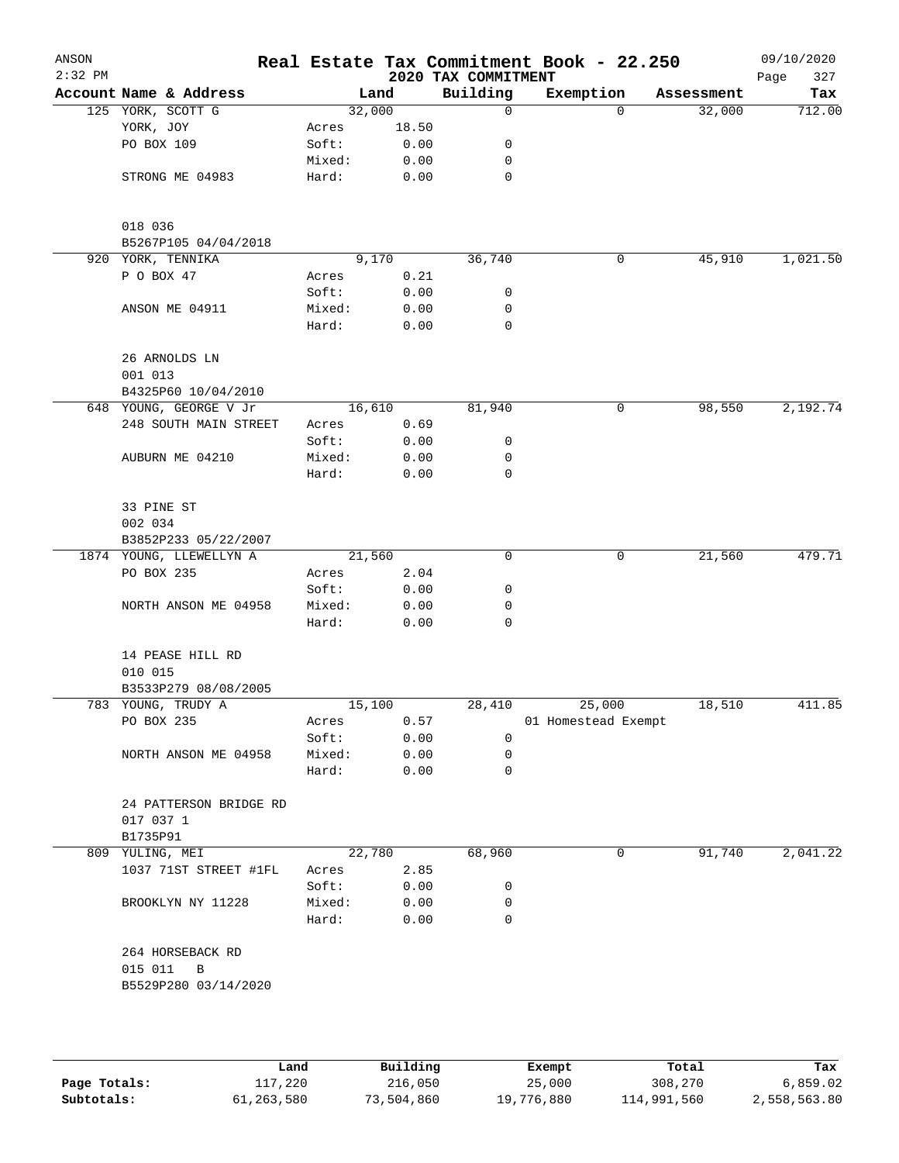| ANSON<br>$2:32$ PM |                                     |        |       | 2020 TAX COMMITMENT | Real Estate Tax Commitment Book - 22.250 |            | 09/10/2020<br>327<br>Page |
|--------------------|-------------------------------------|--------|-------|---------------------|------------------------------------------|------------|---------------------------|
|                    | Account Name & Address              |        | Land  | Building            | Exemption                                | Assessment | Tax                       |
|                    | 125 YORK, SCOTT G                   | 32,000 |       | 0                   | $\Omega$                                 | 32,000     | 712.00                    |
|                    | YORK, JOY                           | Acres  | 18.50 |                     |                                          |            |                           |
|                    | PO BOX 109                          | Soft:  | 0.00  | 0                   |                                          |            |                           |
|                    |                                     | Mixed: | 0.00  | 0                   |                                          |            |                           |
|                    | STRONG ME 04983                     | Hard:  | 0.00  | $\mathbf 0$         |                                          |            |                           |
|                    | 018 036                             |        |       |                     |                                          |            |                           |
|                    | B5267P105 04/04/2018                |        |       |                     |                                          |            |                           |
|                    | 920 YORK, TENNIKA                   |        | 9,170 | 36,740              | 0                                        | 45,910     | 1,021.50                  |
|                    | P O BOX 47                          | Acres  | 0.21  |                     |                                          |            |                           |
|                    |                                     | Soft:  | 0.00  | 0                   |                                          |            |                           |
|                    | ANSON ME 04911                      | Mixed: | 0.00  | 0                   |                                          |            |                           |
|                    |                                     | Hard:  | 0.00  | $\mathbf 0$         |                                          |            |                           |
|                    | 26 ARNOLDS LN<br>001 013            |        |       |                     |                                          |            |                           |
|                    | B4325P60 10/04/2010                 |        |       |                     |                                          |            |                           |
|                    | 648 YOUNG, GEORGE V Jr              | 16,610 |       | 81,940              | 0                                        | 98,550     | 2,192.74                  |
|                    | 248 SOUTH MAIN STREET               | Acres  | 0.69  |                     |                                          |            |                           |
|                    |                                     | Soft:  | 0.00  | 0                   |                                          |            |                           |
|                    | AUBURN ME 04210                     | Mixed: | 0.00  | 0                   |                                          |            |                           |
|                    |                                     | Hard:  | 0.00  | $\mathbf 0$         |                                          |            |                           |
|                    | 33 PINE ST                          |        |       |                     |                                          |            |                           |
|                    | 002 034                             |        |       |                     |                                          |            |                           |
|                    | B3852P233 05/22/2007                |        |       |                     |                                          |            |                           |
|                    | 1874 YOUNG, LLEWELLYN A             | 21,560 |       | $\mathbf 0$         | 0                                        | 21,560     | 479.71                    |
|                    | PO BOX 235                          | Acres  | 2.04  |                     |                                          |            |                           |
|                    |                                     | Soft:  | 0.00  | 0                   |                                          |            |                           |
|                    | NORTH ANSON ME 04958                | Mixed: | 0.00  | 0                   |                                          |            |                           |
|                    |                                     | Hard:  | 0.00  | 0                   |                                          |            |                           |
|                    | 14 PEASE HILL RD<br>010 015         |        |       |                     |                                          |            |                           |
|                    | B3533P279 08/08/2005                |        |       |                     |                                          |            |                           |
|                    | 783 YOUNG, TRUDY A                  | 15,100 |       | 28,410              | 25,000                                   | 18,510     | 411.85                    |
|                    | PO BOX 235                          | Acres  | 0.57  |                     | 01 Homestead Exempt                      |            |                           |
|                    |                                     | Soft:  | 0.00  | 0                   |                                          |            |                           |
|                    | NORTH ANSON ME 04958                | Mixed: | 0.00  | 0                   |                                          |            |                           |
|                    |                                     | Hard:  | 0.00  | 0                   |                                          |            |                           |
|                    | 24 PATTERSON BRIDGE RD<br>017 037 1 |        |       |                     |                                          |            |                           |
|                    | B1735P91                            |        |       |                     |                                          |            |                           |
|                    | 809 YULING, MEI                     | 22,780 |       | 68,960              | 0                                        | 91,740     | 2,041.22                  |
|                    | 1037 71ST STREET #1FL               | Acres  | 2.85  |                     |                                          |            |                           |
|                    |                                     | Soft:  | 0.00  | 0                   |                                          |            |                           |
|                    | BROOKLYN NY 11228                   | Mixed: | 0.00  | 0                   |                                          |            |                           |
|                    |                                     | Hard:  | 0.00  | 0                   |                                          |            |                           |
|                    | 264 HORSEBACK RD<br>015 011<br>B    |        |       |                     |                                          |            |                           |
|                    | B5529P280 03/14/2020                |        |       |                     |                                          |            |                           |
|                    |                                     |        |       |                     |                                          |            |                           |
|                    |                                     |        |       |                     |                                          |            |                           |

|              | Land       | Building   | Exempt     | Total       | Tax          |
|--------------|------------|------------|------------|-------------|--------------|
| Page Totals: | 117,220    | 216,050    | 25,000     | 308,270     | 6,859.02     |
| Subtotals:   | 61,263,580 | 73,504,860 | 19,776,880 | 114,991,560 | 2,558,563.80 |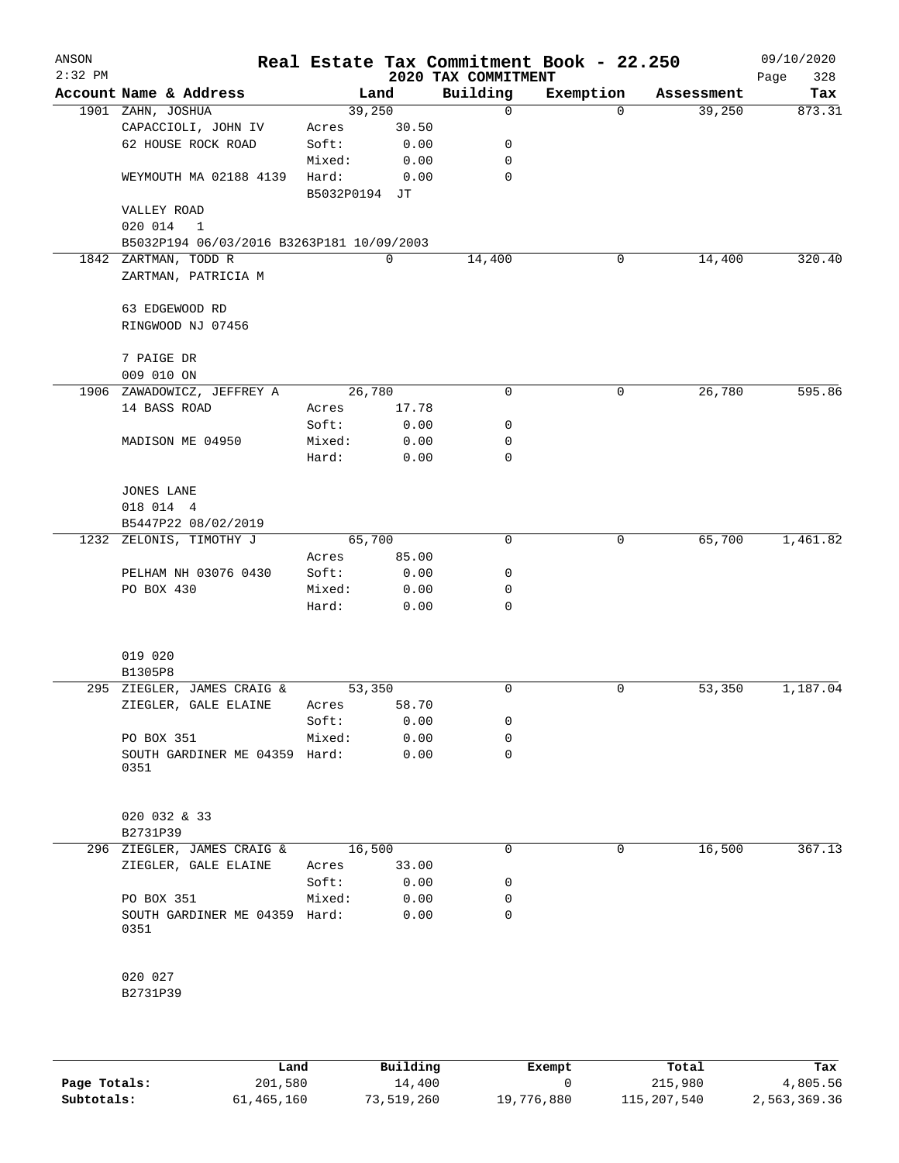| ANSON<br>$2:32$ PM |                                                    |                        |               | 2020 TAX COMMITMENT | Real Estate Tax Commitment Book - 22.250 |            | 09/10/2020<br>328 |
|--------------------|----------------------------------------------------|------------------------|---------------|---------------------|------------------------------------------|------------|-------------------|
|                    | Account Name & Address                             | Land                   |               | Building            | Exemption                                | Assessment | Page<br>Tax       |
|                    | 1901 ZAHN, JOSHUA                                  | 39,250                 |               | $\mathbf 0$         | $\Omega$                                 | 39,250     | 873.31            |
|                    | CAPACCIOLI, JOHN IV                                | Acres                  | 30.50         |                     |                                          |            |                   |
|                    | 62 HOUSE ROCK ROAD                                 | Soft:                  | 0.00          | 0                   |                                          |            |                   |
|                    |                                                    | Mixed:                 | 0.00          | 0                   |                                          |            |                   |
|                    | WEYMOUTH MA 02188 4139                             | Hard:<br>B5032P0194 JT | 0.00          | 0                   |                                          |            |                   |
|                    | VALLEY ROAD                                        |                        |               |                     |                                          |            |                   |
|                    | 020 014<br>1                                       |                        |               |                     |                                          |            |                   |
|                    | B5032P194 06/03/2016 B3263P181 10/09/2003          |                        |               |                     |                                          |            |                   |
|                    | 1842 ZARTMAN, TODD R                               |                        | $\mathbf 0$   | 14,400              | 0                                        | 14,400     | 320.40            |
|                    | ZARTMAN, PATRICIA M                                |                        |               |                     |                                          |            |                   |
|                    | 63 EDGEWOOD RD                                     |                        |               |                     |                                          |            |                   |
|                    | RINGWOOD NJ 07456                                  |                        |               |                     |                                          |            |                   |
|                    | 7 PAIGE DR                                         |                        |               |                     |                                          |            |                   |
|                    | 009 010 ON                                         |                        |               |                     |                                          |            |                   |
|                    | 1906 ZAWADOWICZ, JEFFREY A                         | 26,780                 |               | 0                   | 0                                        | 26,780     | 595.86            |
|                    | 14 BASS ROAD                                       | Acres                  | 17.78         |                     |                                          |            |                   |
|                    |                                                    | Soft:                  | 0.00          | 0                   |                                          |            |                   |
|                    | MADISON ME 04950                                   | Mixed:                 | 0.00          | 0                   |                                          |            |                   |
|                    |                                                    | Hard:                  | 0.00          | $\mathbf 0$         |                                          |            |                   |
|                    |                                                    |                        |               |                     |                                          |            |                   |
|                    | <b>JONES LANE</b>                                  |                        |               |                     |                                          |            |                   |
|                    | 018 014 4                                          |                        |               |                     |                                          |            |                   |
|                    | B5447P22 08/02/2019                                |                        |               |                     |                                          |            |                   |
|                    | 1232 ZELONIS, TIMOTHY J                            | 65,700                 |               | $\Omega$            | 0                                        | 65,700     | 1,461.82          |
|                    |                                                    | Acres<br>Soft:         | 85.00<br>0.00 |                     |                                          |            |                   |
|                    | PELHAM NH 03076 0430<br>PO BOX 430                 | Mixed:                 | 0.00          | 0<br>0              |                                          |            |                   |
|                    |                                                    | Hard:                  | 0.00          | $\mathbf 0$         |                                          |            |                   |
|                    |                                                    |                        |               |                     |                                          |            |                   |
|                    | 019 020                                            |                        |               |                     |                                          |            |                   |
|                    | B1305P8                                            |                        |               |                     |                                          |            |                   |
|                    | 295 ZIEGLER, JAMES CRAIG &<br>ZIEGLER, GALE ELAINE | 53,350<br>Acres        | 58.70         | 0                   | 0                                        | 53,350     | 1,187.04          |
|                    |                                                    | Soft:                  | 0.00          | 0                   |                                          |            |                   |
|                    | PO BOX 351                                         | Mixed:                 | 0.00          | 0                   |                                          |            |                   |
|                    | SOUTH GARDINER ME 04359 Hard:                      |                        | 0.00          | $\Omega$            |                                          |            |                   |
|                    | 0351                                               |                        |               |                     |                                          |            |                   |
|                    | 020 032 & 33                                       |                        |               |                     |                                          |            |                   |
|                    | B2731P39                                           |                        |               |                     |                                          |            |                   |
|                    | 296 ZIEGLER, JAMES CRAIG &                         | 16,500                 |               | $\mathbf 0$         | 0                                        | 16,500     | 367.13            |
|                    | ZIEGLER, GALE ELAINE                               | Acres                  | 33.00         |                     |                                          |            |                   |
|                    |                                                    | Soft:                  | 0.00          | 0                   |                                          |            |                   |
|                    | PO BOX 351                                         | Mixed:                 | 0.00          | 0                   |                                          |            |                   |
|                    | SOUTH GARDINER ME 04359 Hard:<br>0351              |                        | 0.00          | 0                   |                                          |            |                   |
|                    | 020 027                                            |                        |               |                     |                                          |            |                   |
|                    | B2731P39                                           |                        |               |                     |                                          |            |                   |
|                    |                                                    |                        |               |                     |                                          |            |                   |
|                    |                                                    |                        |               |                     |                                          |            |                   |

|              | Land       | Building   | Exempt     | Total       | Tax          |
|--------------|------------|------------|------------|-------------|--------------|
| Page Totals: | 201,580    | 14,400     |            | 215,980     | 4,805.56     |
| Subtotals:   | 61,465,160 | 73,519,260 | 19,776,880 | 115,207,540 | 2,563,369.36 |